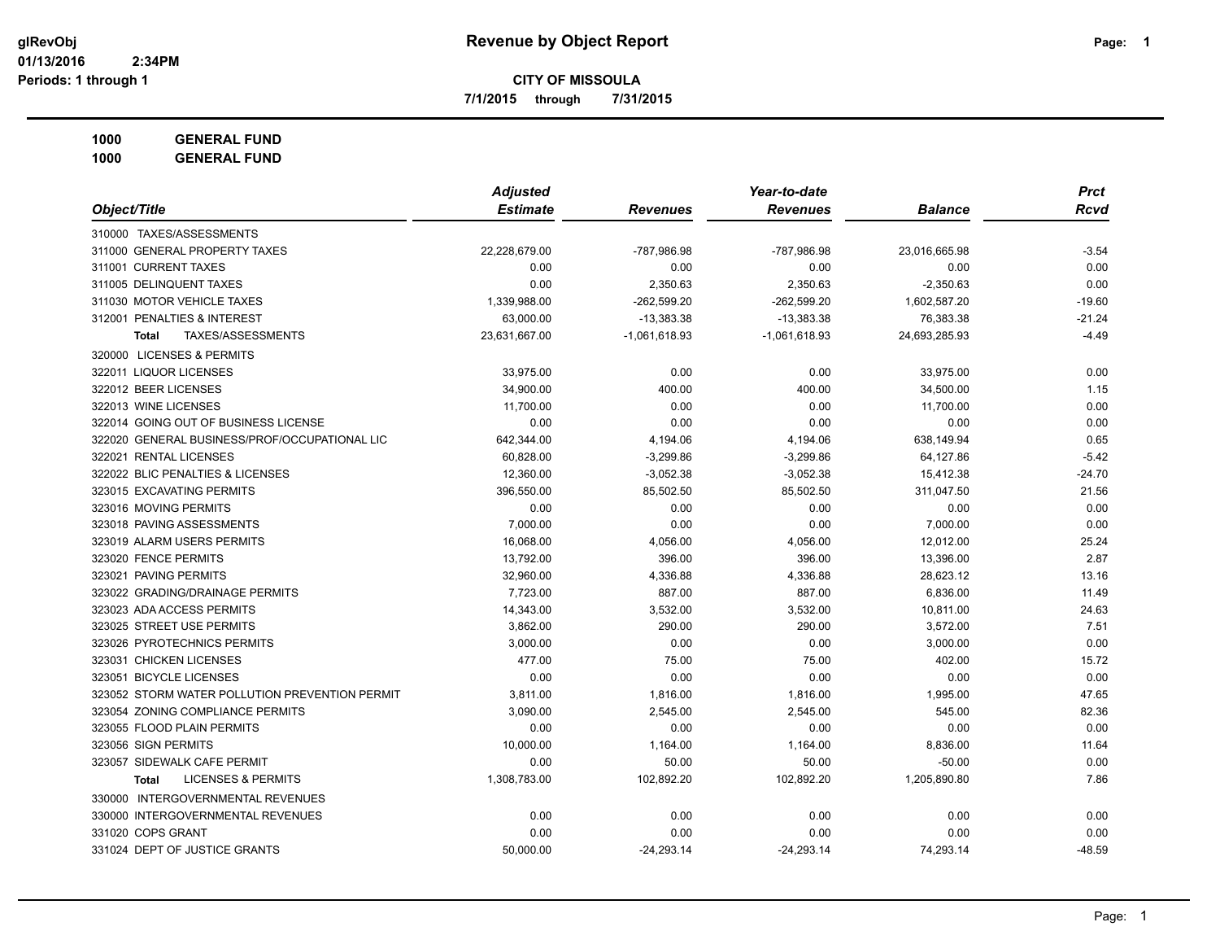**7/1/2015 through 7/31/2015**

**1000 GENERAL FUND**

|                                                | <b>Adjusted</b> |                 | Year-to-date    |                | <b>Prct</b> |
|------------------------------------------------|-----------------|-----------------|-----------------|----------------|-------------|
| Object/Title                                   | <b>Estimate</b> | <b>Revenues</b> | <b>Revenues</b> | <b>Balance</b> | <b>Rcvd</b> |
| 310000 TAXES/ASSESSMENTS                       |                 |                 |                 |                |             |
| 311000 GENERAL PROPERTY TAXES                  | 22,228,679.00   | -787,986.98     | -787,986.98     | 23,016,665.98  | $-3.54$     |
| 311001 CURRENT TAXES                           | 0.00            | 0.00            | 0.00            | 0.00           | 0.00        |
| 311005 DELINQUENT TAXES                        | 0.00            | 2,350.63        | 2,350.63        | $-2,350.63$    | 0.00        |
| 311030 MOTOR VEHICLE TAXES                     | 1,339,988.00    | $-262,599.20$   | $-262,599.20$   | 1,602,587.20   | $-19.60$    |
| 312001 PENALTIES & INTEREST                    | 63,000.00       | $-13,383.38$    | $-13,383.38$    | 76,383.38      | $-21.24$    |
| TAXES/ASSESSMENTS<br>Total                     | 23,631,667.00   | $-1,061,618.93$ | $-1,061,618.93$ | 24,693,285.93  | $-4.49$     |
| 320000 LICENSES & PERMITS                      |                 |                 |                 |                |             |
| 322011 LIQUOR LICENSES                         | 33,975.00       | 0.00            | 0.00            | 33,975.00      | 0.00        |
| 322012 BEER LICENSES                           | 34,900.00       | 400.00          | 400.00          | 34,500.00      | 1.15        |
| 322013 WINE LICENSES                           | 11,700.00       | 0.00            | 0.00            | 11,700.00      | 0.00        |
| 322014 GOING OUT OF BUSINESS LICENSE           | 0.00            | 0.00            | 0.00            | 0.00           | 0.00        |
| 322020 GENERAL BUSINESS/PROF/OCCUPATIONAL LIC  | 642,344.00      | 4,194.06        | 4,194.06        | 638,149.94     | 0.65        |
| 322021 RENTAL LICENSES                         | 60,828.00       | $-3,299.86$     | $-3,299.86$     | 64,127.86      | $-5.42$     |
| 322022 BLIC PENALTIES & LICENSES               | 12,360.00       | $-3,052.38$     | $-3,052.38$     | 15,412.38      | $-24.70$    |
| 323015 EXCAVATING PERMITS                      | 396,550.00      | 85,502.50       | 85,502.50       | 311,047.50     | 21.56       |
| 323016 MOVING PERMITS                          | 0.00            | 0.00            | 0.00            | 0.00           | 0.00        |
| 323018 PAVING ASSESSMENTS                      | 7,000.00        | 0.00            | 0.00            | 7,000.00       | 0.00        |
| 323019 ALARM USERS PERMITS                     | 16,068.00       | 4,056.00        | 4,056.00        | 12,012.00      | 25.24       |
| 323020 FENCE PERMITS                           | 13,792.00       | 396.00          | 396.00          | 13,396.00      | 2.87        |
| 323021 PAVING PERMITS                          | 32,960.00       | 4,336.88        | 4,336.88        | 28,623.12      | 13.16       |
| 323022 GRADING/DRAINAGE PERMITS                | 7,723.00        | 887.00          | 887.00          | 6,836.00       | 11.49       |
| 323023 ADA ACCESS PERMITS                      | 14,343.00       | 3,532.00        | 3,532.00        | 10,811.00      | 24.63       |
| 323025 STREET USE PERMITS                      | 3,862.00        | 290.00          | 290.00          | 3,572.00       | 7.51        |
| 323026 PYROTECHNICS PERMITS                    | 3,000.00        | 0.00            | 0.00            | 3,000.00       | 0.00        |
| 323031 CHICKEN LICENSES                        | 477.00          | 75.00           | 75.00           | 402.00         | 15.72       |
| 323051 BICYCLE LICENSES                        | 0.00            | 0.00            | 0.00            | 0.00           | 0.00        |
| 323052 STORM WATER POLLUTION PREVENTION PERMIT | 3,811.00        | 1,816.00        | 1,816.00        | 1,995.00       | 47.65       |
| 323054 ZONING COMPLIANCE PERMITS               | 3,090.00        | 2,545.00        | 2,545.00        | 545.00         | 82.36       |
| 323055 FLOOD PLAIN PERMITS                     | 0.00            | 0.00            | 0.00            | 0.00           | 0.00        |
| 323056 SIGN PERMITS                            | 10,000.00       | 1,164.00        | 1,164.00        | 8,836.00       | 11.64       |
| 323057 SIDEWALK CAFE PERMIT                    | 0.00            | 50.00           | 50.00           | $-50.00$       | 0.00        |
| <b>LICENSES &amp; PERMITS</b><br>Total         | 1,308,783.00    | 102,892.20      | 102,892.20      | 1,205,890.80   | 7.86        |
| 330000 INTERGOVERNMENTAL REVENUES              |                 |                 |                 |                |             |
| 330000 INTERGOVERNMENTAL REVENUES              | 0.00            | 0.00            | 0.00            | 0.00           | 0.00        |
| 331020 COPS GRANT                              | 0.00            | 0.00            | 0.00            | 0.00           | 0.00        |
| 331024 DEPT OF JUSTICE GRANTS                  | 50,000.00       | $-24,293.14$    | $-24,293.14$    | 74,293.14      | $-48.59$    |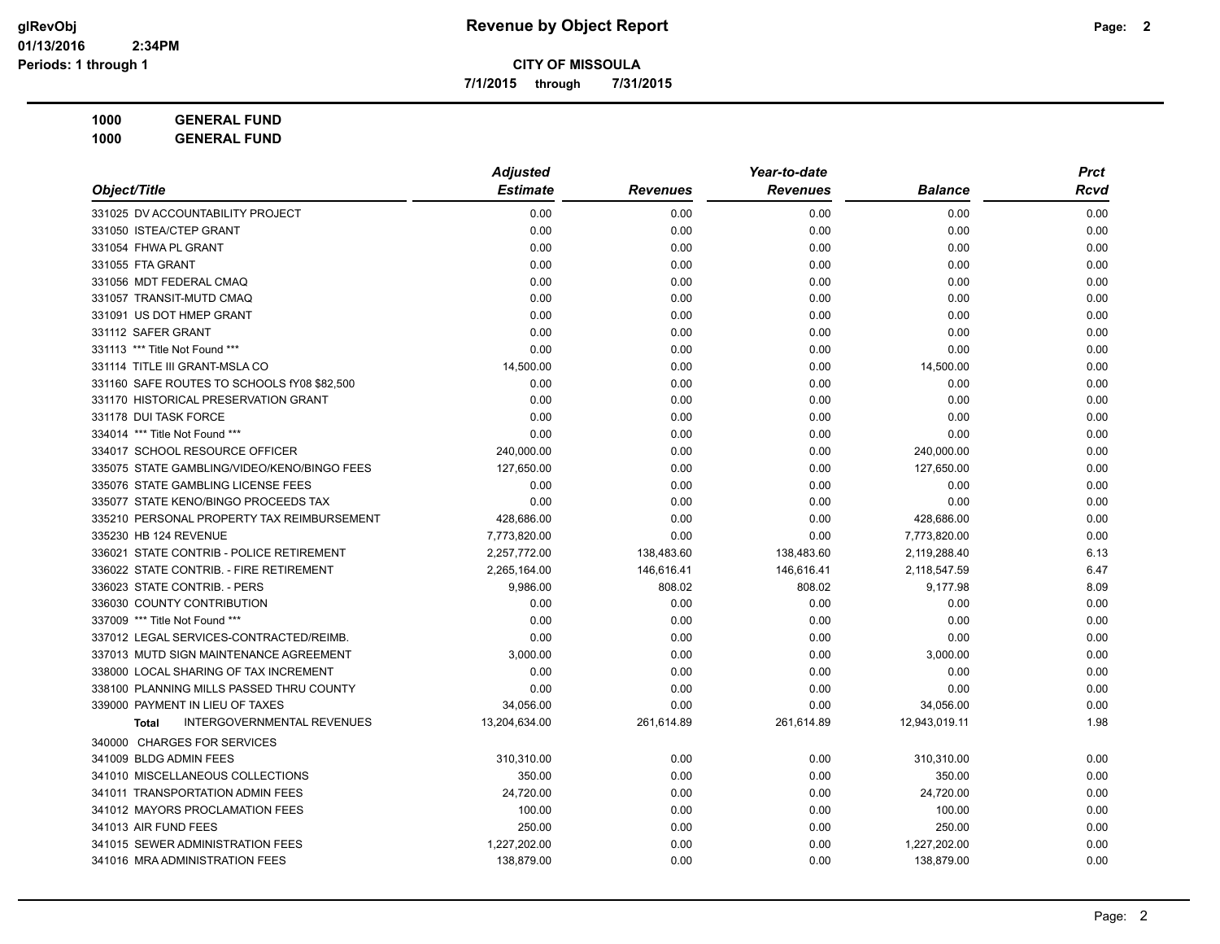**7/1/2015 through 7/31/2015**

**1000 GENERAL FUND 1000 GENERAL FUND**

|                                                   | <b>Adjusted</b> |                 | Year-to-date    |                | <b>Prct</b> |
|---------------------------------------------------|-----------------|-----------------|-----------------|----------------|-------------|
| Object/Title                                      | <b>Estimate</b> | <b>Revenues</b> | <b>Revenues</b> | <b>Balance</b> | <b>Rcvd</b> |
| 331025 DV ACCOUNTABILITY PROJECT                  | 0.00            | 0.00            | 0.00            | 0.00           | 0.00        |
| 331050 ISTEA/CTEP GRANT                           | 0.00            | 0.00            | 0.00            | 0.00           | 0.00        |
| 331054 FHWA PL GRANT                              | 0.00            | 0.00            | 0.00            | 0.00           | 0.00        |
| 331055 FTA GRANT                                  | 0.00            | 0.00            | 0.00            | 0.00           | 0.00        |
| 331056 MDT FEDERAL CMAQ                           | 0.00            | 0.00            | 0.00            | 0.00           | 0.00        |
| 331057 TRANSIT-MUTD CMAQ                          | 0.00            | 0.00            | 0.00            | 0.00           | 0.00        |
| 331091 US DOT HMEP GRANT                          | 0.00            | 0.00            | 0.00            | 0.00           | 0.00        |
| 331112 SAFER GRANT                                | 0.00            | 0.00            | 0.00            | 0.00           | 0.00        |
| 331113 *** Title Not Found ***                    | 0.00            | 0.00            | 0.00            | 0.00           | 0.00        |
| 331114 TITLE III GRANT-MSLA CO                    | 14,500.00       | 0.00            | 0.00            | 14,500.00      | 0.00        |
| 331160 SAFE ROUTES TO SCHOOLS fY08 \$82,500       | 0.00            | 0.00            | 0.00            | 0.00           | 0.00        |
| 331170 HISTORICAL PRESERVATION GRANT              | 0.00            | 0.00            | 0.00            | 0.00           | 0.00        |
| 331178 DUI TASK FORCE                             | 0.00            | 0.00            | 0.00            | 0.00           | 0.00        |
| 334014 *** Title Not Found ***                    | 0.00            | 0.00            | 0.00            | 0.00           | 0.00        |
| 334017 SCHOOL RESOURCE OFFICER                    | 240,000.00      | 0.00            | 0.00            | 240,000.00     | 0.00        |
| 335075 STATE GAMBLING/VIDEO/KENO/BINGO FEES       | 127,650.00      | 0.00            | 0.00            | 127,650.00     | 0.00        |
| 335076 STATE GAMBLING LICENSE FEES                | 0.00            | 0.00            | 0.00            | 0.00           | 0.00        |
| 335077 STATE KENO/BINGO PROCEEDS TAX              | 0.00            | 0.00            | 0.00            | 0.00           | 0.00        |
| 335210 PERSONAL PROPERTY TAX REIMBURSEMENT        | 428,686.00      | 0.00            | 0.00            | 428,686.00     | 0.00        |
| 335230 HB 124 REVENUE                             | 7,773,820.00    | 0.00            | 0.00            | 7,773,820.00   | 0.00        |
| 336021 STATE CONTRIB - POLICE RETIREMENT          | 2,257,772.00    | 138,483.60      | 138,483.60      | 2,119,288.40   | 6.13        |
| 336022 STATE CONTRIB. - FIRE RETIREMENT           | 2,265,164.00    | 146,616.41      | 146,616.41      | 2,118,547.59   | 6.47        |
| 336023 STATE CONTRIB. - PERS                      | 9,986.00        | 808.02          | 808.02          | 9,177.98       | 8.09        |
| 336030 COUNTY CONTRIBUTION                        | 0.00            | 0.00            | 0.00            | 0.00           | 0.00        |
| 337009 *** Title Not Found ***                    | 0.00            | 0.00            | 0.00            | 0.00           | 0.00        |
| 337012 LEGAL SERVICES-CONTRACTED/REIMB.           | 0.00            | 0.00            | 0.00            | 0.00           | 0.00        |
| 337013 MUTD SIGN MAINTENANCE AGREEMENT            | 3,000.00        | 0.00            | 0.00            | 3,000.00       | 0.00        |
| 338000 LOCAL SHARING OF TAX INCREMENT             | 0.00            | 0.00            | 0.00            | 0.00           | 0.00        |
| 338100 PLANNING MILLS PASSED THRU COUNTY          | 0.00            | 0.00            | 0.00            | 0.00           | 0.00        |
| 339000 PAYMENT IN LIEU OF TAXES                   | 34,056.00       | 0.00            | 0.00            | 34,056.00      | 0.00        |
| <b>INTERGOVERNMENTAL REVENUES</b><br><b>Total</b> | 13,204,634.00   | 261,614.89      | 261,614.89      | 12,943,019.11  | 1.98        |
| 340000 CHARGES FOR SERVICES                       |                 |                 |                 |                |             |
| 341009 BLDG ADMIN FEES                            | 310,310.00      | 0.00            | 0.00            | 310,310.00     | 0.00        |
| 341010 MISCELLANEOUS COLLECTIONS                  | 350.00          | 0.00            | 0.00            | 350.00         | 0.00        |
| 341011 TRANSPORTATION ADMIN FEES                  | 24,720.00       | 0.00            | 0.00            | 24,720.00      | 0.00        |
| 341012 MAYORS PROCLAMATION FEES                   | 100.00          | 0.00            | 0.00            | 100.00         | 0.00        |
| 341013 AIR FUND FEES                              | 250.00          | 0.00            | 0.00            | 250.00         | 0.00        |
| 341015 SEWER ADMINISTRATION FEES                  | 1,227,202.00    | 0.00            | 0.00            | 1,227,202.00   | 0.00        |
| 341016 MRA ADMINISTRATION FEES                    | 138,879.00      | 0.00            | 0.00            | 138,879.00     | 0.00        |
|                                                   |                 |                 |                 |                |             |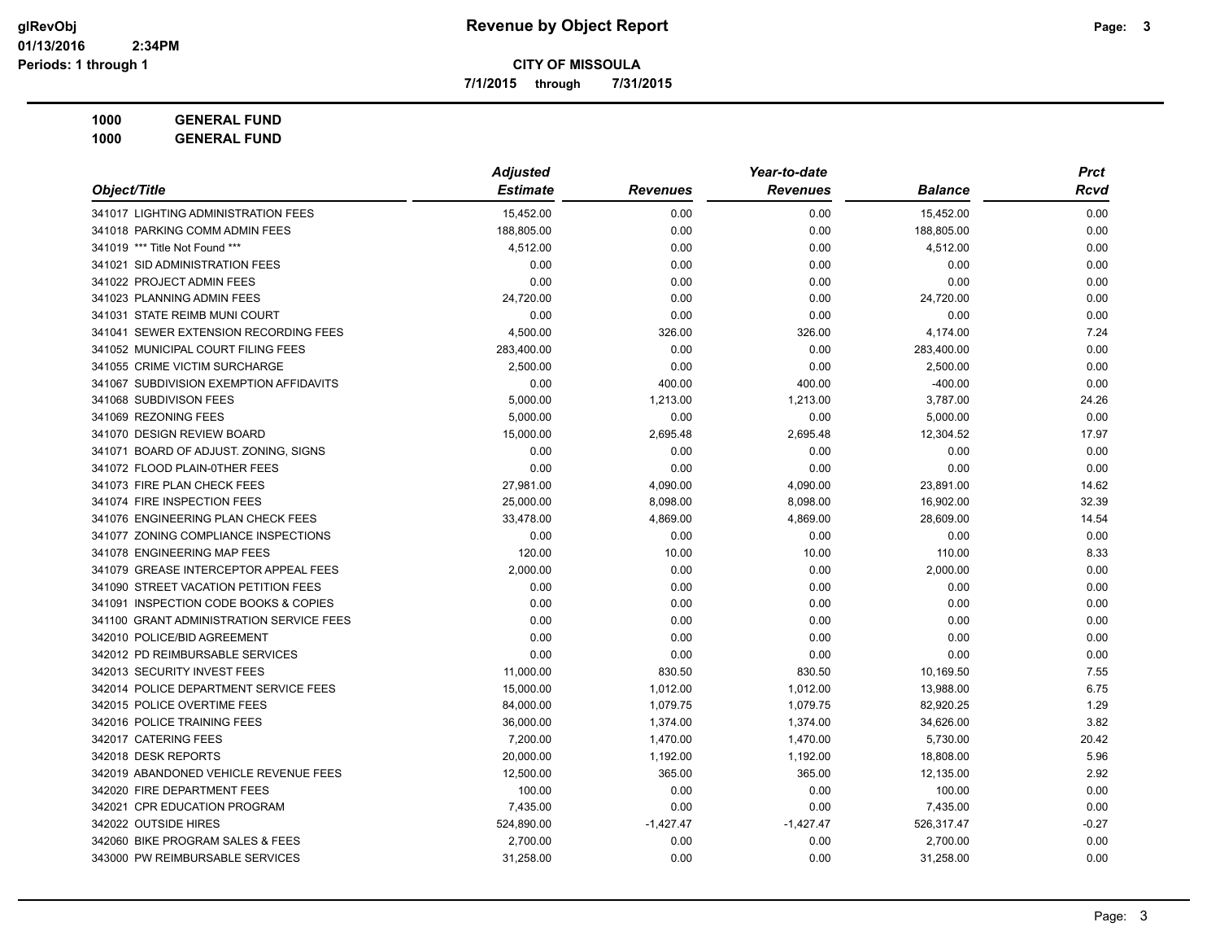**7/1/2015 through 7/31/2015**

**1000 GENERAL FUND 1000 GENERAL FUND**

|                                          | <b>Adjusted</b> |                 | Year-to-date    |                | <b>Prct</b> |
|------------------------------------------|-----------------|-----------------|-----------------|----------------|-------------|
| Object/Title                             | <b>Estimate</b> | <b>Revenues</b> | <b>Revenues</b> | <b>Balance</b> | Rcvd        |
| 341017 LIGHTING ADMINISTRATION FEES      | 15.452.00       | 0.00            | 0.00            | 15,452.00      | 0.00        |
| 341018 PARKING COMM ADMIN FEES           | 188,805.00      | 0.00            | 0.00            | 188,805.00     | 0.00        |
| 341019 *** Title Not Found ***           | 4,512.00        | 0.00            | 0.00            | 4,512.00       | 0.00        |
| 341021 SID ADMINISTRATION FEES           | 0.00            | 0.00            | 0.00            | 0.00           | 0.00        |
| 341022 PROJECT ADMIN FEES                | 0.00            | 0.00            | 0.00            | 0.00           | 0.00        |
| 341023 PLANNING ADMIN FEES               | 24,720.00       | 0.00            | 0.00            | 24,720.00      | 0.00        |
| 341031 STATE REIMB MUNI COURT            | 0.00            | 0.00            | 0.00            | 0.00           | 0.00        |
| 341041 SEWER EXTENSION RECORDING FEES    | 4,500.00        | 326.00          | 326.00          | 4,174.00       | 7.24        |
| 341052 MUNICIPAL COURT FILING FEES       | 283,400.00      | 0.00            | 0.00            | 283,400.00     | 0.00        |
| 341055 CRIME VICTIM SURCHARGE            | 2,500.00        | 0.00            | 0.00            | 2,500.00       | 0.00        |
| 341067 SUBDIVISION EXEMPTION AFFIDAVITS  | 0.00            | 400.00          | 400.00          | $-400.00$      | 0.00        |
| 341068 SUBDIVISON FEES                   | 5,000.00        | 1,213.00        | 1,213.00        | 3,787.00       | 24.26       |
| 341069 REZONING FEES                     | 5,000.00        | 0.00            | 0.00            | 5,000.00       | 0.00        |
| 341070 DESIGN REVIEW BOARD               | 15,000.00       | 2,695.48        | 2,695.48        | 12,304.52      | 17.97       |
| 341071 BOARD OF ADJUST. ZONING, SIGNS    | 0.00            | 0.00            | 0.00            | 0.00           | 0.00        |
| 341072 FLOOD PLAIN-0THER FEES            | 0.00            | 0.00            | 0.00            | 0.00           | 0.00        |
| 341073 FIRE PLAN CHECK FEES              | 27,981.00       | 4,090.00        | 4,090.00        | 23,891.00      | 14.62       |
| 341074 FIRE INSPECTION FEES              | 25,000.00       | 8,098.00        | 8,098.00        | 16,902.00      | 32.39       |
| 341076 ENGINEERING PLAN CHECK FEES       | 33,478.00       | 4,869.00        | 4,869.00        | 28,609.00      | 14.54       |
| 341077 ZONING COMPLIANCE INSPECTIONS     | 0.00            | 0.00            | 0.00            | 0.00           | 0.00        |
| 341078 ENGINEERING MAP FEES              | 120.00          | 10.00           | 10.00           | 110.00         | 8.33        |
| 341079 GREASE INTERCEPTOR APPEAL FEES    | 2,000.00        | 0.00            | 0.00            | 2,000.00       | 0.00        |
| 341090 STREET VACATION PETITION FEES     | 0.00            | 0.00            | 0.00            | 0.00           | 0.00        |
| 341091 INSPECTION CODE BOOKS & COPIES    | 0.00            | 0.00            | 0.00            | 0.00           | 0.00        |
| 341100 GRANT ADMINISTRATION SERVICE FEES | 0.00            | 0.00            | 0.00            | 0.00           | 0.00        |
| 342010 POLICE/BID AGREEMENT              | 0.00            | 0.00            | 0.00            | 0.00           | 0.00        |
| 342012 PD REIMBURSABLE SERVICES          | 0.00            | 0.00            | 0.00            | 0.00           | 0.00        |
| 342013 SECURITY INVEST FEES              | 11,000.00       | 830.50          | 830.50          | 10,169.50      | 7.55        |
| 342014 POLICE DEPARTMENT SERVICE FEES    | 15,000.00       | 1,012.00        | 1,012.00        | 13,988.00      | 6.75        |
| 342015 POLICE OVERTIME FEES              | 84,000.00       | 1,079.75        | 1,079.75        | 82,920.25      | 1.29        |
| 342016 POLICE TRAINING FEES              | 36,000.00       | 1,374.00        | 1,374.00        | 34,626.00      | 3.82        |
| 342017 CATERING FEES                     | 7,200.00        | 1,470.00        | 1,470.00        | 5,730.00       | 20.42       |
| 342018 DESK REPORTS                      | 20,000.00       | 1,192.00        | 1,192.00        | 18,808.00      | 5.96        |
| 342019 ABANDONED VEHICLE REVENUE FEES    | 12,500.00       | 365.00          | 365.00          | 12,135.00      | 2.92        |
| 342020 FIRE DEPARTMENT FEES              | 100.00          | 0.00            | 0.00            | 100.00         | 0.00        |
| 342021 CPR EDUCATION PROGRAM             | 7,435.00        | 0.00            | 0.00            | 7,435.00       | 0.00        |
| 342022 OUTSIDE HIRES                     | 524,890.00      | $-1,427.47$     | $-1,427.47$     | 526,317.47     | $-0.27$     |
| 342060 BIKE PROGRAM SALES & FEES         | 2,700.00        | 0.00            | 0.00            | 2,700.00       | 0.00        |
| 343000 PW REIMBURSABLE SERVICES          | 31,258.00       | 0.00            | 0.00            | 31,258.00      | 0.00        |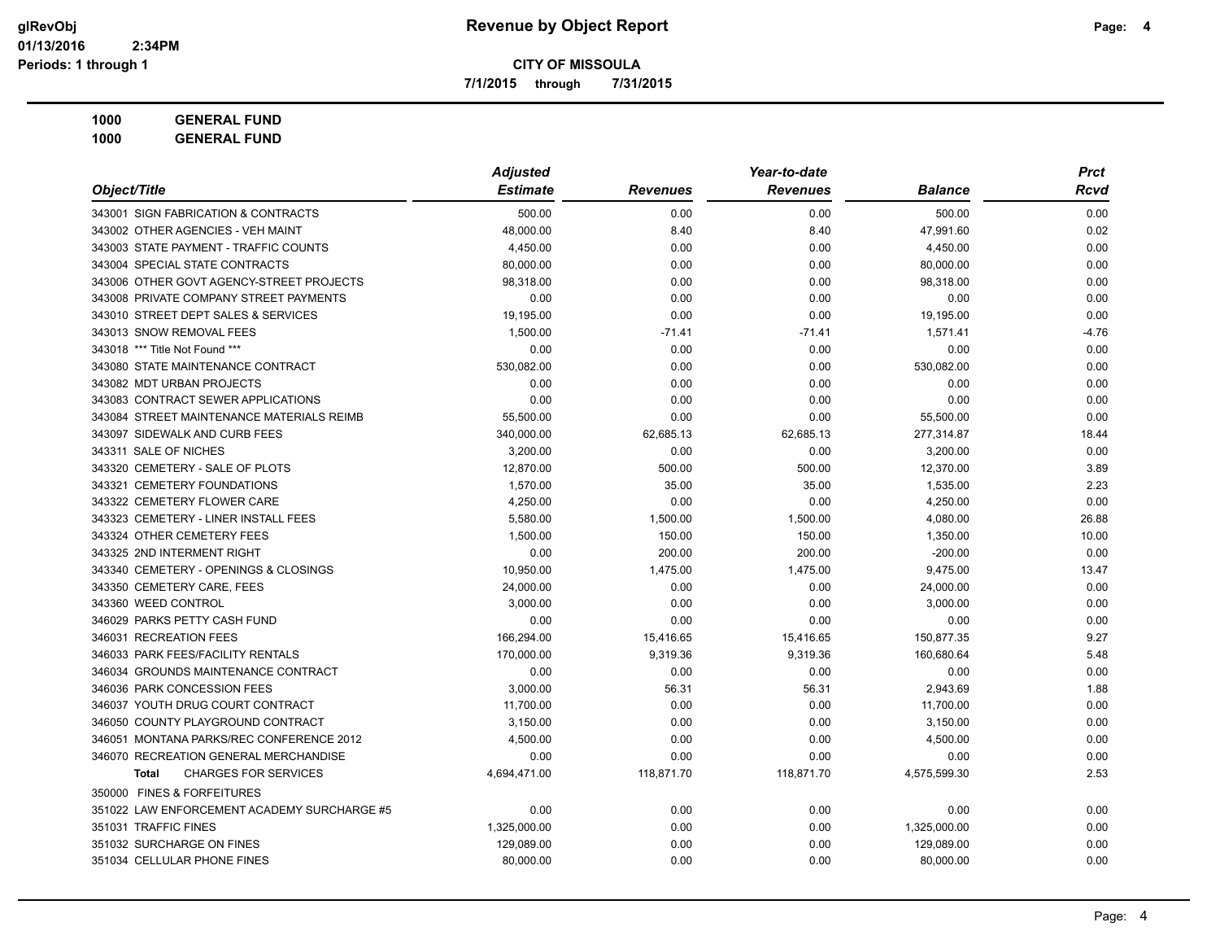*Prct Rcvd*

**CITY OF MISSOULA**

**7/1/2015 through 7/31/2015**

**1000 GENERAL FUND**

350000 FINES & FORFEITURES

| Ίυυυ<br><b>GENERAL FUND</b>               |                 |                 |                 |                |             |
|-------------------------------------------|-----------------|-----------------|-----------------|----------------|-------------|
|                                           | <b>Adjusted</b> |                 | Year-to-date    |                | <b>Prct</b> |
| Object/Title                              | <b>Estimate</b> | <b>Revenues</b> | <b>Revenues</b> | <b>Balance</b> | Rcvd        |
| 343001 SIGN FABRICATION & CONTRACTS       | 500.00          | 0.00            | 0.00            | 500.00         | 0.00        |
| 343002 OTHER AGENCIES - VEH MAINT         | 48,000.00       | 8.40            | 8.40            | 47,991.60      | 0.02        |
| 343003 STATE PAYMENT - TRAFFIC COUNTS     | 4,450.00        | 0.00            | 0.00            | 4,450.00       | 0.00        |
| 343004 SPECIAL STATE CONTRACTS            | 80,000.00       | 0.00            | 0.00            | 80,000.00      | 0.00        |
| 343006 OTHER GOVT AGENCY-STREET PROJECTS  | 98,318.00       | 0.00            | 0.00            | 98,318.00      | 0.00        |
| 343008 PRIVATE COMPANY STREET PAYMENTS    | 0.00            | 0.00            | 0.00            | 0.00           | 0.00        |
| 343010 STREET DEPT SALES & SERVICES       | 19,195.00       | 0.00            | 0.00            | 19,195.00      | 0.00        |
| 343013 SNOW REMOVAL FEES                  | 1,500.00        | $-71.41$        | $-71.41$        | 1,571.41       | $-4.76$     |
| 343018 *** Title Not Found ***            | 0.00            | 0.00            | 0.00            | 0.00           | 0.00        |
| 343080 STATE MAINTENANCE CONTRACT         | 530,082.00      | 0.00            | 0.00            | 530,082.00     | 0.00        |
| 343082 MDT URBAN PROJECTS                 | 0.00            | 0.00            | 0.00            | 0.00           | 0.00        |
| 343083 CONTRACT SEWER APPLICATIONS        | 0.00            | 0.00            | 0.00            | 0.00           | 0.00        |
| 343084 STREET MAINTENANCE MATERIALS REIMB | 55,500.00       | 0.00            | 0.00            | 55,500.00      | 0.00        |
| 343097 SIDEWALK AND CURB FEES             | 340,000.00      | 62,685.13       | 62,685.13       | 277,314.87     | 18.44       |
| 343311 SALE OF NICHES                     | 3,200.00        | 0.00            | 0.00            | 3,200.00       | 0.00        |
| 343320 CEMETERY - SALE OF PLOTS           | 12,870.00       | 500.00          | 500.00          | 12,370.00      | 3.89        |
| 343321 CEMETERY FOUNDATIONS               | 1,570.00        | 35.00           | 35.00           | 1,535.00       | 2.23        |
| 343322 CEMETERY FLOWER CARE               | 4,250.00        | 0.00            | 0.00            | 4,250.00       | 0.00        |
| 343323 CEMETERY - LINER INSTALL FEES      | 5,580.00        | 1,500.00        | 1,500.00        | 4,080.00       | 26.88       |
| 343324 OTHER CEMETERY FEES                | 1,500.00        | 150.00          | 150.00          | 1,350.00       | 10.00       |
| 343325 2ND INTERMENT RIGHT                | 0.00            | 200.00          | 200.00          | $-200.00$      | 0.00        |
| 343340 CEMETERY - OPENINGS & CLOSINGS     | 10,950.00       | 1,475.00        | 1,475.00        | 9,475.00       | 13.47       |
| 343350 CEMETERY CARE, FEES                | 24,000.00       | 0.00            | 0.00            | 24,000.00      | 0.00        |
| 343360 WEED CONTROL                       | 3,000.00        | 0.00            | 0.00            | 3,000.00       | 0.00        |
| 346029 PARKS PETTY CASH FUND              | 0.00            | 0.00            | 0.00            | 0.00           | 0.00        |
| 346031 RECREATION FEES                    | 166,294.00      | 15,416.65       | 15,416.65       | 150,877.35     | 9.27        |
| 346033 PARK FEES/FACILITY RENTALS         | 170.000.00      | 9,319.36        | 9,319.36        | 160,680.64     | 5.48        |
| 346034 GROUNDS MAINTENANCE CONTRACT       | 0.00            | 0.00            | 0.00            | 0.00           | 0.00        |
| 346036 PARK CONCESSION FEES               | 3,000.00        | 56.31           | 56.31           | 2.943.69       | 1.88        |

346037 YOUTH DRUG COURT CONTRACT 11,700.00 0.00 0.00 11,700.00 0.00 346050 COUNTY PLAYGROUND CONTRACT 3,150.00 0.00 0.00 3,150.00 0.00 346051 MONTANA PARKS/REC CONFERENCE 2012 4,500.00 0.00 0.00 4,500.00 0.00 346070 RECREATION GENERAL MERCHANDISE 0.00 0.00 0.00 0.00 0.00 **Total CHARGES FOR SERVICES** 4,694,471.00 118,871.70 118,871.70 4,575,599.30 2.53

351022 LAW ENFORCEMENT ACADEMY SURCHARGE #5 0.00 0.00 0.00 0.00 0.00 351031 TRAFFIC FINES 1,325,000.00 0.00 0.00 1,325,000.00 0.00 351032 SURCHARGE ON FINES 129,089.00 0.00 0.00 129,089.00 0.00 351034 CELLULAR PHONE FINES 80,000.00 0.00 0.00 80,000.00 0.00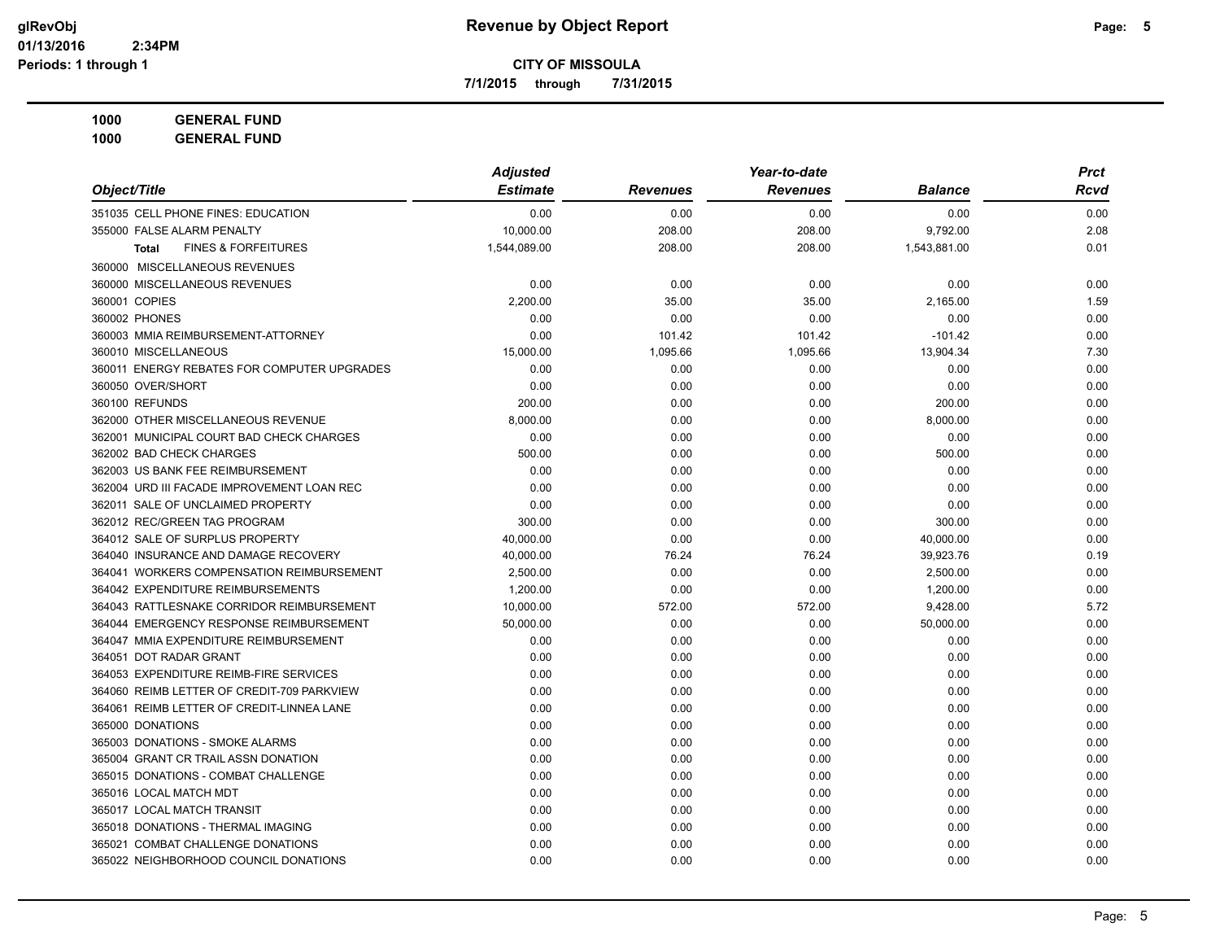**7/1/2015 through 7/31/2015**

| 1000 | <b>GENERAL FUND</b> |  |
|------|---------------------|--|
|      |                     |  |

|                                                | <b>Adjusted</b> |                 | Year-to-date    |                | <b>Prct</b> |
|------------------------------------------------|-----------------|-----------------|-----------------|----------------|-------------|
| Object/Title                                   | <b>Estimate</b> | <b>Revenues</b> | <b>Revenues</b> | <b>Balance</b> | Rcvd        |
| 351035 CELL PHONE FINES: EDUCATION             | 0.00            | 0.00            | 0.00            | 0.00           | 0.00        |
| 355000 FALSE ALARM PENALTY                     | 10.000.00       | 208.00          | 208.00          | 9,792.00       | 2.08        |
| <b>FINES &amp; FORFEITURES</b><br><b>Total</b> | 1,544,089.00    | 208.00          | 208.00          | 1,543,881.00   | 0.01        |
| 360000 MISCELLANEOUS REVENUES                  |                 |                 |                 |                |             |
| 360000 MISCELLANEOUS REVENUES                  | 0.00            | 0.00            | 0.00            | 0.00           | 0.00        |
| 360001 COPIES                                  | 2.200.00        | 35.00           | 35.00           | 2,165.00       | 1.59        |
| 360002 PHONES                                  | 0.00            | 0.00            | 0.00            | 0.00           | 0.00        |
| 360003 MMIA REIMBURSEMENT-ATTORNEY             | 0.00            | 101.42          | 101.42          | $-101.42$      | 0.00        |
| 360010 MISCELLANEOUS                           | 15,000.00       | 1,095.66        | 1,095.66        | 13,904.34      | 7.30        |
| 360011 ENERGY REBATES FOR COMPUTER UPGRADES    | 0.00            | 0.00            | 0.00            | 0.00           | 0.00        |
| 360050 OVER/SHORT                              | 0.00            | 0.00            | 0.00            | 0.00           | 0.00        |
| 360100 REFUNDS                                 | 200.00          | 0.00            | 0.00            | 200.00         | 0.00        |
| 362000 OTHER MISCELLANEOUS REVENUE             | 8,000.00        | 0.00            | 0.00            | 8,000.00       | 0.00        |
| 362001 MUNICIPAL COURT BAD CHECK CHARGES       | 0.00            | 0.00            | 0.00            | 0.00           | 0.00        |
| 362002 BAD CHECK CHARGES                       | 500.00          | 0.00            | 0.00            | 500.00         | 0.00        |
| 362003 US BANK FEE REIMBURSEMENT               | 0.00            | 0.00            | 0.00            | 0.00           | 0.00        |
| 362004 URD III FACADE IMPROVEMENT LOAN REC     | 0.00            | 0.00            | 0.00            | 0.00           | 0.00        |
| 362011 SALE OF UNCLAIMED PROPERTY              | 0.00            | 0.00            | 0.00            | 0.00           | 0.00        |
| 362012 REC/GREEN TAG PROGRAM                   | 300.00          | 0.00            | 0.00            | 300.00         | 0.00        |
| 364012 SALE OF SURPLUS PROPERTY                | 40,000.00       | 0.00            | 0.00            | 40,000.00      | 0.00        |
| 364040 INSURANCE AND DAMAGE RECOVERY           | 40,000.00       | 76.24           | 76.24           | 39,923.76      | 0.19        |
| 364041 WORKERS COMPENSATION REIMBURSEMENT      | 2,500.00        | 0.00            | 0.00            | 2,500.00       | 0.00        |
| 364042 EXPENDITURE REIMBURSEMENTS              | 1,200.00        | 0.00            | 0.00            | 1,200.00       | 0.00        |
| 364043 RATTLESNAKE CORRIDOR REIMBURSEMENT      | 10,000.00       | 572.00          | 572.00          | 9,428.00       | 5.72        |
| 364044 EMERGENCY RESPONSE REIMBURSEMENT        | 50.000.00       | 0.00            | 0.00            | 50.000.00      | 0.00        |
| 364047 MMIA EXPENDITURE REIMBURSEMENT          | 0.00            | 0.00            | 0.00            | 0.00           | 0.00        |
| 364051 DOT RADAR GRANT                         | 0.00            | 0.00            | 0.00            | 0.00           | 0.00        |
| 364053 EXPENDITURE REIMB-FIRE SERVICES         | 0.00            | 0.00            | 0.00            | 0.00           | 0.00        |
| 364060 REIMB LETTER OF CREDIT-709 PARKVIEW     | 0.00            | 0.00            | 0.00            | 0.00           | 0.00        |
| 364061 REIMB LETTER OF CREDIT-LINNEA LANE      | 0.00            | 0.00            | 0.00            | 0.00           | 0.00        |
| 365000 DONATIONS                               | 0.00            | 0.00            | 0.00            | 0.00           | 0.00        |
| 365003 DONATIONS - SMOKE ALARMS                | 0.00            | 0.00            | 0.00            | 0.00           | 0.00        |
| 365004 GRANT CR TRAIL ASSN DONATION            | 0.00            | 0.00            | 0.00            | 0.00           | 0.00        |
| 365015 DONATIONS - COMBAT CHALLENGE            | 0.00            | 0.00            | 0.00            | 0.00           | 0.00        |
| 365016 LOCAL MATCH MDT                         | 0.00            | 0.00            | 0.00            | 0.00           | 0.00        |
| 365017 LOCAL MATCH TRANSIT                     | 0.00            | 0.00            | 0.00            | 0.00           | 0.00        |
| 365018 DONATIONS - THERMAL IMAGING             | 0.00            | 0.00            | 0.00            | 0.00           | 0.00        |
| 365021 COMBAT CHALLENGE DONATIONS              | 0.00            | 0.00            | 0.00            | 0.00           | 0.00        |
| 365022 NEIGHBORHOOD COUNCIL DONATIONS          | 0.00            | 0.00            | 0.00            | 0.00           | 0.00        |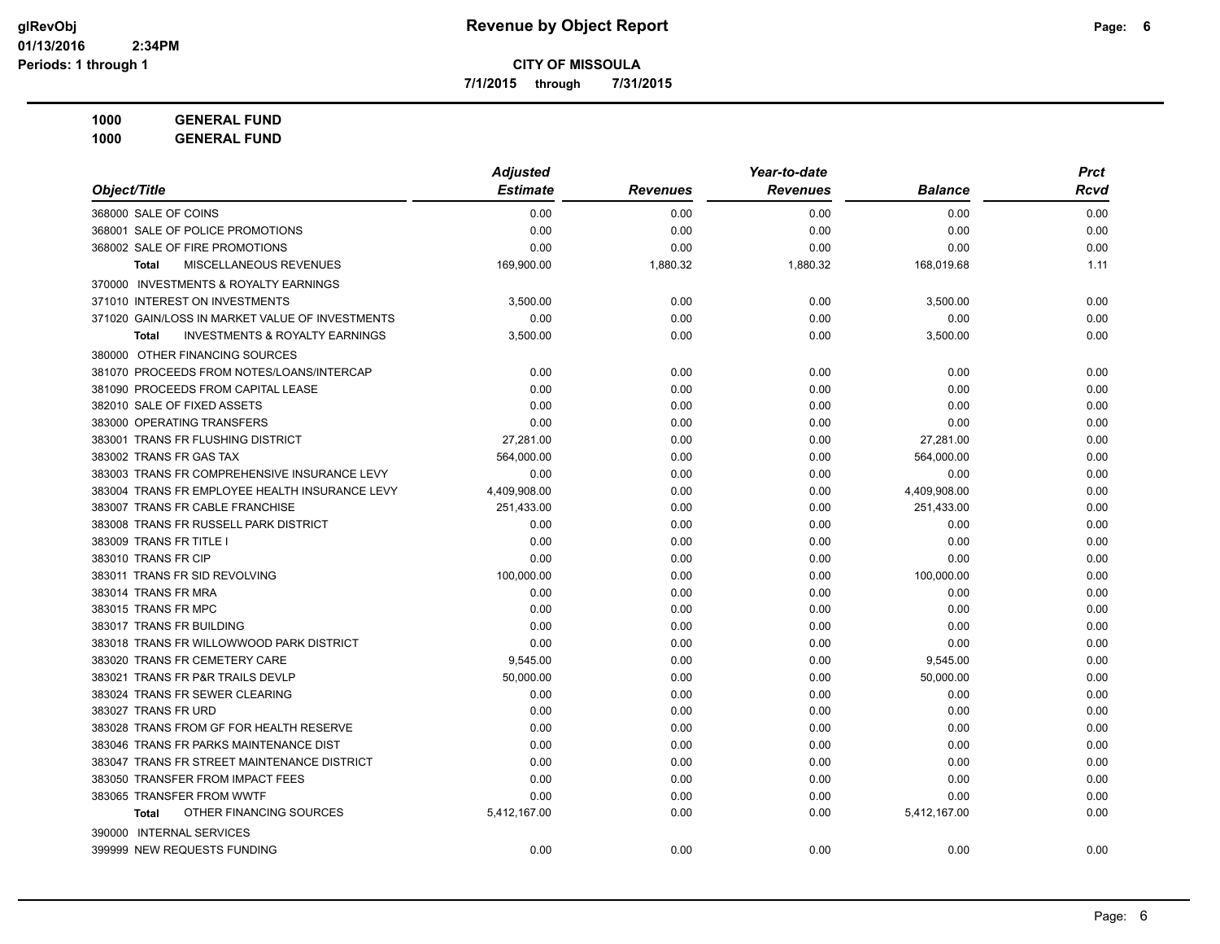**7/1/2015 through 7/31/2015**

**1000 GENERAL FUND 1000 GENERAL FUND**

|                                                    | <b>Adjusted</b> |                 | Year-to-date    |                | <b>Prct</b> |
|----------------------------------------------------|-----------------|-----------------|-----------------|----------------|-------------|
| Object/Title                                       | <b>Estimate</b> | <b>Revenues</b> | <b>Revenues</b> | <b>Balance</b> | <b>Rcvd</b> |
| 368000 SALE OF COINS                               | 0.00            | 0.00            | 0.00            | 0.00           | 0.00        |
| 368001 SALE OF POLICE PROMOTIONS                   | 0.00            | 0.00            | 0.00            | 0.00           | 0.00        |
| 368002 SALE OF FIRE PROMOTIONS                     | 0.00            | 0.00            | 0.00            | 0.00           | 0.00        |
| MISCELLANEOUS REVENUES<br>Total                    | 169.900.00      | 1,880.32        | 1,880.32        | 168.019.68     | 1.11        |
| 370000 INVESTMENTS & ROYALTY EARNINGS              |                 |                 |                 |                |             |
| 371010 INTEREST ON INVESTMENTS                     | 3,500.00        | 0.00            | 0.00            | 3,500.00       | 0.00        |
| 371020 GAIN/LOSS IN MARKET VALUE OF INVESTMENTS    | 0.00            | 0.00            | 0.00            | 0.00           | 0.00        |
| <b>INVESTMENTS &amp; ROYALTY EARNINGS</b><br>Total | 3,500.00        | 0.00            | 0.00            | 3,500.00       | 0.00        |
| 380000 OTHER FINANCING SOURCES                     |                 |                 |                 |                |             |
| 381070 PROCEEDS FROM NOTES/LOANS/INTERCAP          | 0.00            | 0.00            | 0.00            | 0.00           | 0.00        |
| 381090 PROCEEDS FROM CAPITAL LEASE                 | 0.00            | 0.00            | 0.00            | 0.00           | 0.00        |
| 382010 SALE OF FIXED ASSETS                        | 0.00            | 0.00            | 0.00            | 0.00           | 0.00        |
| 383000 OPERATING TRANSFERS                         | 0.00            | 0.00            | 0.00            | 0.00           | 0.00        |
| 383001 TRANS FR FLUSHING DISTRICT                  | 27,281.00       | 0.00            | 0.00            | 27,281.00      | 0.00        |
| 383002 TRANS FR GAS TAX                            | 564,000.00      | 0.00            | 0.00            | 564,000.00     | 0.00        |
| 383003 TRANS FR COMPREHENSIVE INSURANCE LEVY       | 0.00            | 0.00            | 0.00            | 0.00           | 0.00        |
| 383004 TRANS FR EMPLOYEE HEALTH INSURANCE LEVY     | 4,409,908.00    | 0.00            | 0.00            | 4,409,908.00   | 0.00        |
| 383007 TRANS FR CABLE FRANCHISE                    | 251,433.00      | 0.00            | 0.00            | 251,433.00     | 0.00        |
| 383008 TRANS FR RUSSELL PARK DISTRICT              | 0.00            | 0.00            | 0.00            | 0.00           | 0.00        |
| 383009 TRANS FR TITLE I                            | 0.00            | 0.00            | 0.00            | 0.00           | 0.00        |
| 383010 TRANS FR CIP                                | 0.00            | 0.00            | 0.00            | 0.00           | 0.00        |
| 383011 TRANS FR SID REVOLVING                      | 100,000.00      | 0.00            | 0.00            | 100,000.00     | 0.00        |
| 383014 TRANS FR MRA                                | 0.00            | 0.00            | 0.00            | 0.00           | 0.00        |
| 383015 TRANS FR MPC                                | 0.00            | 0.00            | 0.00            | 0.00           | 0.00        |
| 383017 TRANS FR BUILDING                           | 0.00            | 0.00            | 0.00            | 0.00           | 0.00        |
| 383018 TRANS FR WILLOWWOOD PARK DISTRICT           | 0.00            | 0.00            | 0.00            | 0.00           | 0.00        |
| 383020 TRANS FR CEMETERY CARE                      | 9,545.00        | 0.00            | 0.00            | 9,545.00       | 0.00        |
| 383021 TRANS FR P&R TRAILS DEVLP                   | 50,000.00       | 0.00            | 0.00            | 50,000.00      | 0.00        |
| 383024 TRANS FR SEWER CLEARING                     | 0.00            | 0.00            | 0.00            | 0.00           | 0.00        |
| 383027 TRANS FR URD                                | 0.00            | 0.00            | 0.00            | 0.00           | 0.00        |
| 383028 TRANS FROM GF FOR HEALTH RESERVE            | 0.00            | 0.00            | 0.00            | 0.00           | 0.00        |
| 383046 TRANS FR PARKS MAINTENANCE DIST             | 0.00            | 0.00            | 0.00            | 0.00           | 0.00        |
| 383047 TRANS FR STREET MAINTENANCE DISTRICT        | 0.00            | 0.00            | 0.00            | 0.00           | 0.00        |
| 383050 TRANSFER FROM IMPACT FEES                   | 0.00            | 0.00            | 0.00            | 0.00           | 0.00        |
| 383065 TRANSFER FROM WWTF                          | 0.00            | 0.00            | 0.00            | 0.00           | 0.00        |
| OTHER FINANCING SOURCES<br>Total                   | 5,412,167.00    | 0.00            | 0.00            | 5,412,167.00   | 0.00        |
| 390000 INTERNAL SERVICES                           |                 |                 |                 |                |             |
| 399999 NEW REQUESTS FUNDING                        | 0.00            | 0.00            | 0.00            | 0.00           | 0.00        |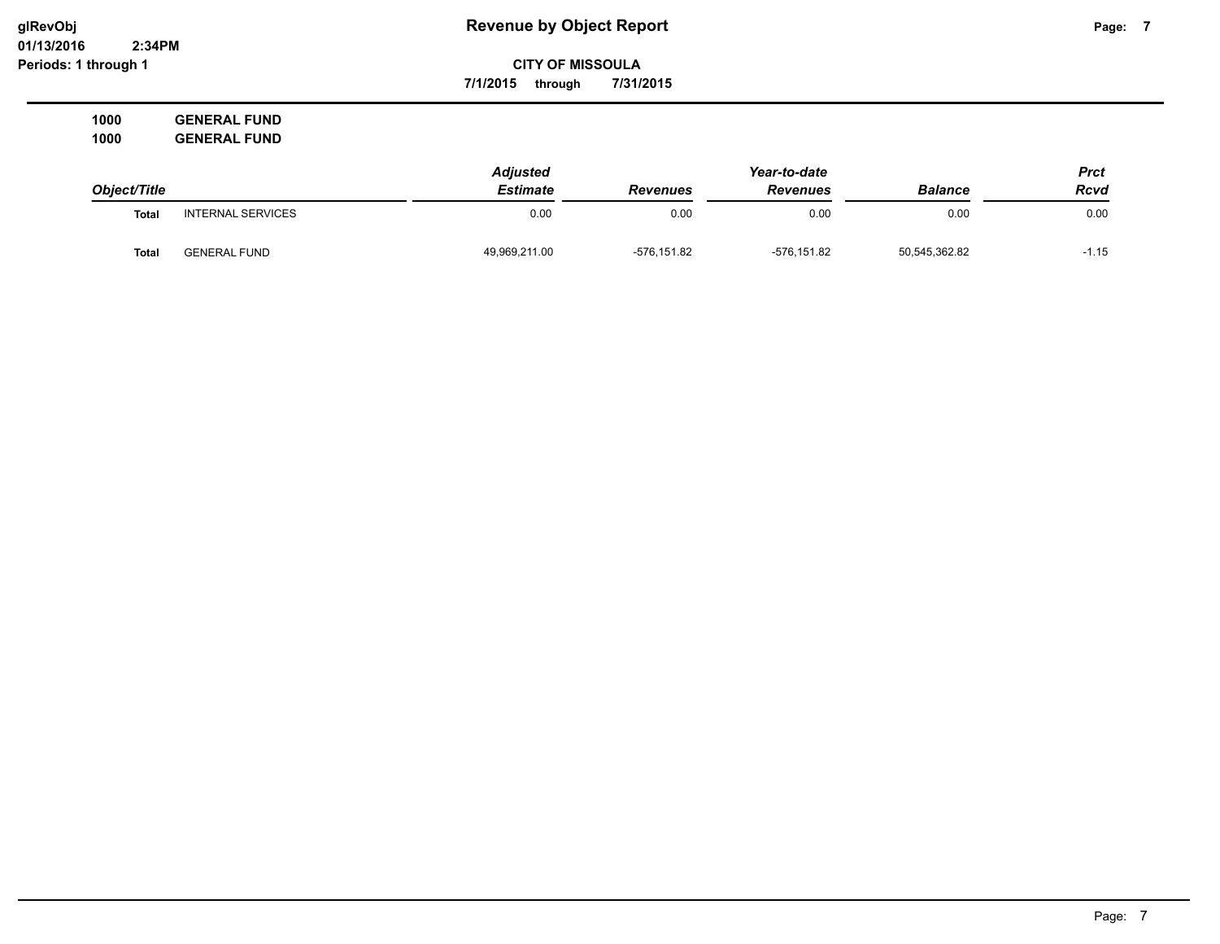**01/13/2016 2:34PM Periods: 1 through 1**

## **glRevObj Revenue by Object Report Page: 7**

**CITY OF MISSOULA**

**7/1/2015 through 7/31/2015**

**1000 GENERAL FUND 1000 GENERAL FUND**

|              |                          | <b>Adjusted</b> |                 | Year-to-date    |                | <b>Prct</b> |  |
|--------------|--------------------------|-----------------|-----------------|-----------------|----------------|-------------|--|
| Object/Title |                          | <b>Estimate</b> | <b>Revenues</b> | <b>Revenues</b> | <b>Balance</b> | <b>Rcvd</b> |  |
| <b>Total</b> | <b>INTERNAL SERVICES</b> | 0.00            | 0.00            | 0.00            | 0.00           | 0.00        |  |
| <b>Total</b> | <b>GENERAL FUND</b>      | 49,969,211.00   | $-576, 151.82$  | $-576, 151.82$  | 50,545,362.82  | $-1.15$     |  |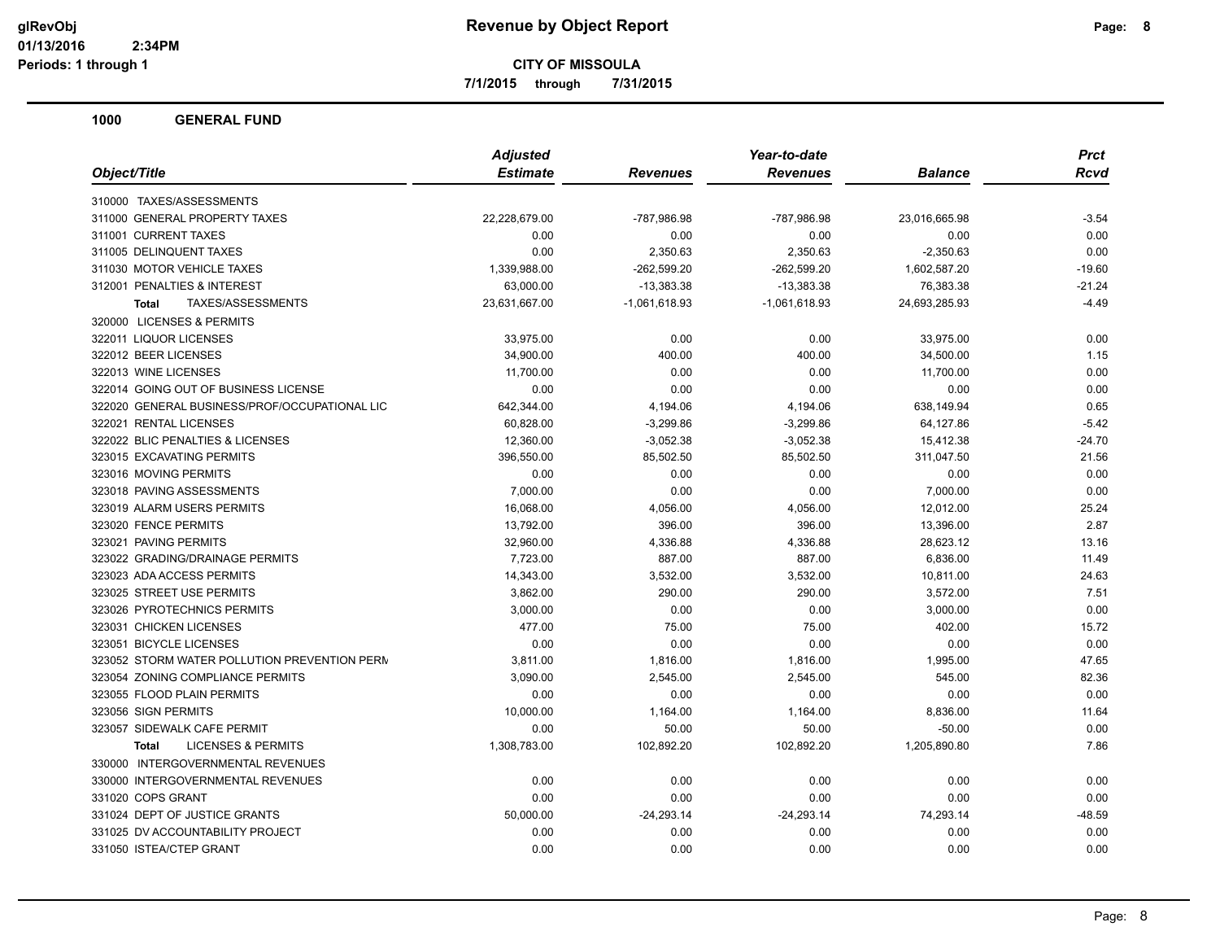**7/1/2015 through 7/31/2015**

|                                               | <b>Adjusted</b> | Year-to-date    |                 |                | <b>Prct</b> |
|-----------------------------------------------|-----------------|-----------------|-----------------|----------------|-------------|
| Object/Title                                  | <b>Estimate</b> | <b>Revenues</b> | <b>Revenues</b> | <b>Balance</b> | Rcvd        |
| 310000 TAXES/ASSESSMENTS                      |                 |                 |                 |                |             |
| 311000 GENERAL PROPERTY TAXES                 | 22,228,679.00   | -787,986.98     | -787,986.98     | 23,016,665.98  | $-3.54$     |
| 311001 CURRENT TAXES                          | 0.00            | 0.00            | 0.00            | 0.00           | 0.00        |
| 311005 DELINQUENT TAXES                       | 0.00            | 2,350.63        | 2,350.63        | $-2,350.63$    | 0.00        |
| 311030 MOTOR VEHICLE TAXES                    | 1,339,988.00    | $-262,599.20$   | $-262,599.20$   | 1,602,587.20   | $-19.60$    |
| 312001 PENALTIES & INTEREST                   | 63,000.00       | $-13,383.38$    | $-13,383.38$    | 76,383.38      | $-21.24$    |
| TAXES/ASSESSMENTS<br><b>Total</b>             | 23,631,667.00   | $-1,061,618.93$ | $-1,061,618.93$ | 24,693,285.93  | $-4.49$     |
| 320000 LICENSES & PERMITS                     |                 |                 |                 |                |             |
| 322011 LIQUOR LICENSES                        | 33,975.00       | 0.00            | 0.00            | 33,975.00      | 0.00        |
| 322012 BEER LICENSES                          | 34,900.00       | 400.00          | 400.00          | 34,500.00      | 1.15        |
| 322013 WINE LICENSES                          | 11,700.00       | 0.00            | 0.00            | 11,700.00      | 0.00        |
| 322014 GOING OUT OF BUSINESS LICENSE          | 0.00            | 0.00            | 0.00            | 0.00           | 0.00        |
| 322020 GENERAL BUSINESS/PROF/OCCUPATIONAL LIC | 642,344.00      | 4,194.06        | 4,194.06        | 638,149.94     | 0.65        |
| 322021 RENTAL LICENSES                        | 60,828.00       | $-3,299.86$     | $-3,299.86$     | 64,127.86      | $-5.42$     |
| 322022 BLIC PENALTIES & LICENSES              | 12,360.00       | $-3,052.38$     | $-3,052.38$     | 15,412.38      | $-24.70$    |
| 323015 EXCAVATING PERMITS                     | 396,550.00      | 85,502.50       | 85,502.50       | 311,047.50     | 21.56       |
| 323016 MOVING PERMITS                         | 0.00            | 0.00            | 0.00            | 0.00           | 0.00        |
| 323018 PAVING ASSESSMENTS                     | 7,000.00        | 0.00            | 0.00            | 7,000.00       | 0.00        |
| 323019 ALARM USERS PERMITS                    | 16,068.00       | 4,056.00        | 4,056.00        | 12,012.00      | 25.24       |
| 323020 FENCE PERMITS                          | 13,792.00       | 396.00          | 396.00          | 13,396.00      | 2.87        |
| 323021 PAVING PERMITS                         | 32,960.00       | 4,336.88        | 4,336.88        | 28,623.12      | 13.16       |
| 323022 GRADING/DRAINAGE PERMITS               | 7,723.00        | 887.00          | 887.00          | 6,836.00       | 11.49       |
| 323023 ADA ACCESS PERMITS                     | 14,343.00       | 3,532.00        | 3,532.00        | 10,811.00      | 24.63       |
| 323025 STREET USE PERMITS                     | 3,862.00        | 290.00          | 290.00          | 3,572.00       | 7.51        |
| 323026 PYROTECHNICS PERMITS                   | 3,000.00        | 0.00            | 0.00            | 3,000.00       | 0.00        |
| 323031 CHICKEN LICENSES                       | 477.00          | 75.00           | 75.00           | 402.00         | 15.72       |
| 323051 BICYCLE LICENSES                       | 0.00            | 0.00            | 0.00            | 0.00           | 0.00        |
| 323052 STORM WATER POLLUTION PREVENTION PERN  | 3,811.00        | 1,816.00        | 1,816.00        | 1,995.00       | 47.65       |
| 323054 ZONING COMPLIANCE PERMITS              | 3,090.00        | 2,545.00        | 2,545.00        | 545.00         | 82.36       |
| 323055 FLOOD PLAIN PERMITS                    | 0.00            | 0.00            | 0.00            | 0.00           | 0.00        |
| 323056 SIGN PERMITS                           | 10,000.00       | 1,164.00        | 1,164.00        | 8,836.00       | 11.64       |
| 323057 SIDEWALK CAFE PERMIT                   | 0.00            | 50.00           | 50.00           | $-50.00$       | 0.00        |
| <b>LICENSES &amp; PERMITS</b><br><b>Total</b> | 1,308,783.00    | 102,892.20      | 102,892.20      | 1,205,890.80   | 7.86        |
| 330000 INTERGOVERNMENTAL REVENUES             |                 |                 |                 |                |             |
| 330000 INTERGOVERNMENTAL REVENUES             | 0.00            | 0.00            | 0.00            | 0.00           | 0.00        |
| 331020 COPS GRANT                             | 0.00            | 0.00            | 0.00            | 0.00           | 0.00        |
| 331024 DEPT OF JUSTICE GRANTS                 | 50,000.00       | $-24,293.14$    | $-24,293.14$    | 74,293.14      | $-48.59$    |
| 331025 DV ACCOUNTABILITY PROJECT              | 0.00            | 0.00            | 0.00            | 0.00           | 0.00        |
| 331050 ISTEA/CTEP GRANT                       | 0.00            | 0.00            | 0.00            | 0.00           | 0.00        |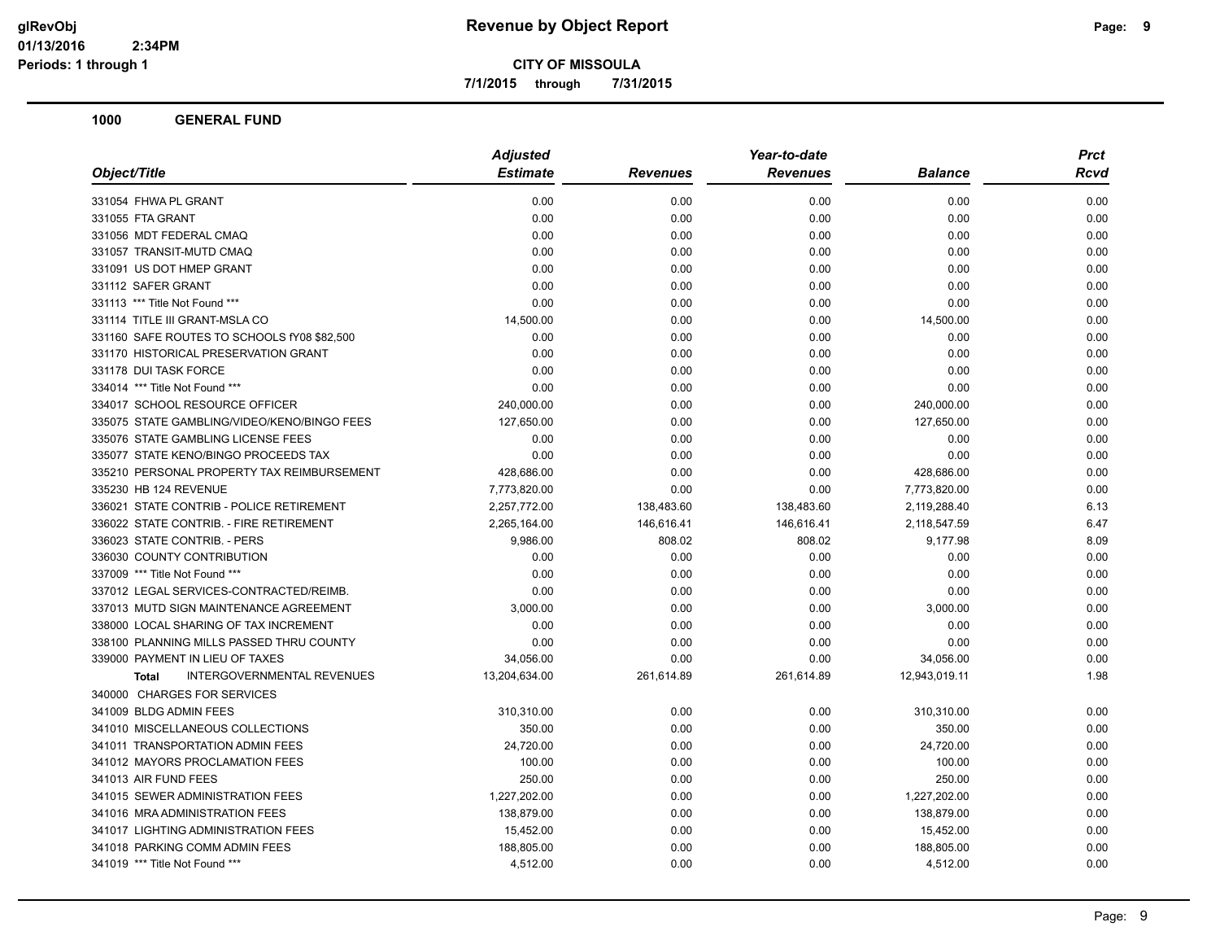**7/1/2015 through 7/31/2015**

| Object/Title                                      | <b>Adjusted</b> |                 | Year-to-date    |                | Prct |
|---------------------------------------------------|-----------------|-----------------|-----------------|----------------|------|
|                                                   | <b>Estimate</b> | <b>Revenues</b> | <b>Revenues</b> | <b>Balance</b> | Rcvd |
| 331054 FHWA PL GRANT                              | 0.00            | 0.00            | 0.00            | 0.00           | 0.00 |
| 331055 FTA GRANT                                  | 0.00            | 0.00            | 0.00            | 0.00           | 0.00 |
| 331056 MDT FEDERAL CMAQ                           | 0.00            | 0.00            | 0.00            | 0.00           | 0.00 |
| 331057 TRANSIT-MUTD CMAQ                          | 0.00            | 0.00            | 0.00            | 0.00           | 0.00 |
| 331091 US DOT HMEP GRANT                          | 0.00            | 0.00            | 0.00            | 0.00           | 0.00 |
| 331112 SAFER GRANT                                | 0.00            | 0.00            | 0.00            | 0.00           | 0.00 |
| 331113 *** Title Not Found ***                    | 0.00            | 0.00            | 0.00            | 0.00           | 0.00 |
| 331114 TITLE III GRANT-MSLA CO                    | 14,500.00       | 0.00            | 0.00            | 14,500.00      | 0.00 |
| 331160 SAFE ROUTES TO SCHOOLS fY08 \$82,500       | 0.00            | 0.00            | 0.00            | 0.00           | 0.00 |
| 331170 HISTORICAL PRESERVATION GRANT              | 0.00            | 0.00            | 0.00            | 0.00           | 0.00 |
| 331178 DUI TASK FORCE                             | 0.00            | 0.00            | 0.00            | 0.00           | 0.00 |
| 334014 *** Title Not Found ***                    | 0.00            | 0.00            | 0.00            | 0.00           | 0.00 |
| 334017 SCHOOL RESOURCE OFFICER                    | 240,000.00      | 0.00            | 0.00            | 240,000.00     | 0.00 |
| 335075 STATE GAMBLING/VIDEO/KENO/BINGO FEES       | 127,650.00      | 0.00            | 0.00            | 127,650.00     | 0.00 |
| 335076 STATE GAMBLING LICENSE FEES                | 0.00            | 0.00            | 0.00            | 0.00           | 0.00 |
| 335077 STATE KENO/BINGO PROCEEDS TAX              | 0.00            | 0.00            | 0.00            | 0.00           | 0.00 |
| 335210 PERSONAL PROPERTY TAX REIMBURSEMENT        | 428,686.00      | 0.00            | 0.00            | 428,686.00     | 0.00 |
| 335230 HB 124 REVENUE                             | 7,773,820.00    | 0.00            | 0.00            | 7,773,820.00   | 0.00 |
| 336021 STATE CONTRIB - POLICE RETIREMENT          | 2,257,772.00    | 138,483.60      | 138,483.60      | 2,119,288.40   | 6.13 |
| 336022 STATE CONTRIB. - FIRE RETIREMENT           | 2,265,164.00    | 146,616.41      | 146,616.41      | 2,118,547.59   | 6.47 |
| 336023 STATE CONTRIB. - PERS                      | 9,986.00        | 808.02          | 808.02          | 9,177.98       | 8.09 |
| 336030 COUNTY CONTRIBUTION                        | 0.00            | 0.00            | 0.00            | 0.00           | 0.00 |
| 337009 *** Title Not Found ***                    | 0.00            | 0.00            | 0.00            | 0.00           | 0.00 |
| 337012 LEGAL SERVICES-CONTRACTED/REIMB.           | 0.00            | 0.00            | 0.00            | 0.00           | 0.00 |
| 337013 MUTD SIGN MAINTENANCE AGREEMENT            | 3,000.00        | 0.00            | 0.00            | 3,000.00       | 0.00 |
| 338000 LOCAL SHARING OF TAX INCREMENT             | 0.00            | 0.00            | 0.00            | 0.00           | 0.00 |
| 338100 PLANNING MILLS PASSED THRU COUNTY          | 0.00            | 0.00            | 0.00            | 0.00           | 0.00 |
| 339000 PAYMENT IN LIEU OF TAXES                   | 34,056.00       | 0.00            | 0.00            | 34,056.00      | 0.00 |
| <b>INTERGOVERNMENTAL REVENUES</b><br><b>Total</b> | 13,204,634.00   | 261,614.89      | 261,614.89      | 12,943,019.11  | 1.98 |
| 340000 CHARGES FOR SERVICES                       |                 |                 |                 |                |      |
| 341009 BLDG ADMIN FEES                            | 310,310.00      | 0.00            | 0.00            | 310,310.00     | 0.00 |
| 341010 MISCELLANEOUS COLLECTIONS                  | 350.00          | 0.00            | 0.00            | 350.00         | 0.00 |
| 341011 TRANSPORTATION ADMIN FEES                  | 24,720.00       | 0.00            | 0.00            | 24,720.00      | 0.00 |
| 341012 MAYORS PROCLAMATION FEES                   | 100.00          | 0.00            | 0.00            | 100.00         | 0.00 |
| 341013 AIR FUND FEES                              | 250.00          | 0.00            | 0.00            | 250.00         | 0.00 |
| 341015 SEWER ADMINISTRATION FEES                  | 1,227,202.00    | 0.00            | 0.00            | 1,227,202.00   | 0.00 |
| 341016 MRA ADMINISTRATION FEES                    | 138,879.00      | 0.00            | 0.00            | 138,879.00     | 0.00 |
| 341017 LIGHTING ADMINISTRATION FEES               | 15,452.00       | 0.00            | 0.00            | 15,452.00      | 0.00 |
| 341018 PARKING COMM ADMIN FEES                    | 188,805.00      | 0.00            | 0.00            | 188,805.00     | 0.00 |
| 341019 *** Title Not Found ***                    | 4,512.00        | 0.00            | 0.00            | 4,512.00       | 0.00 |
|                                                   |                 |                 |                 |                |      |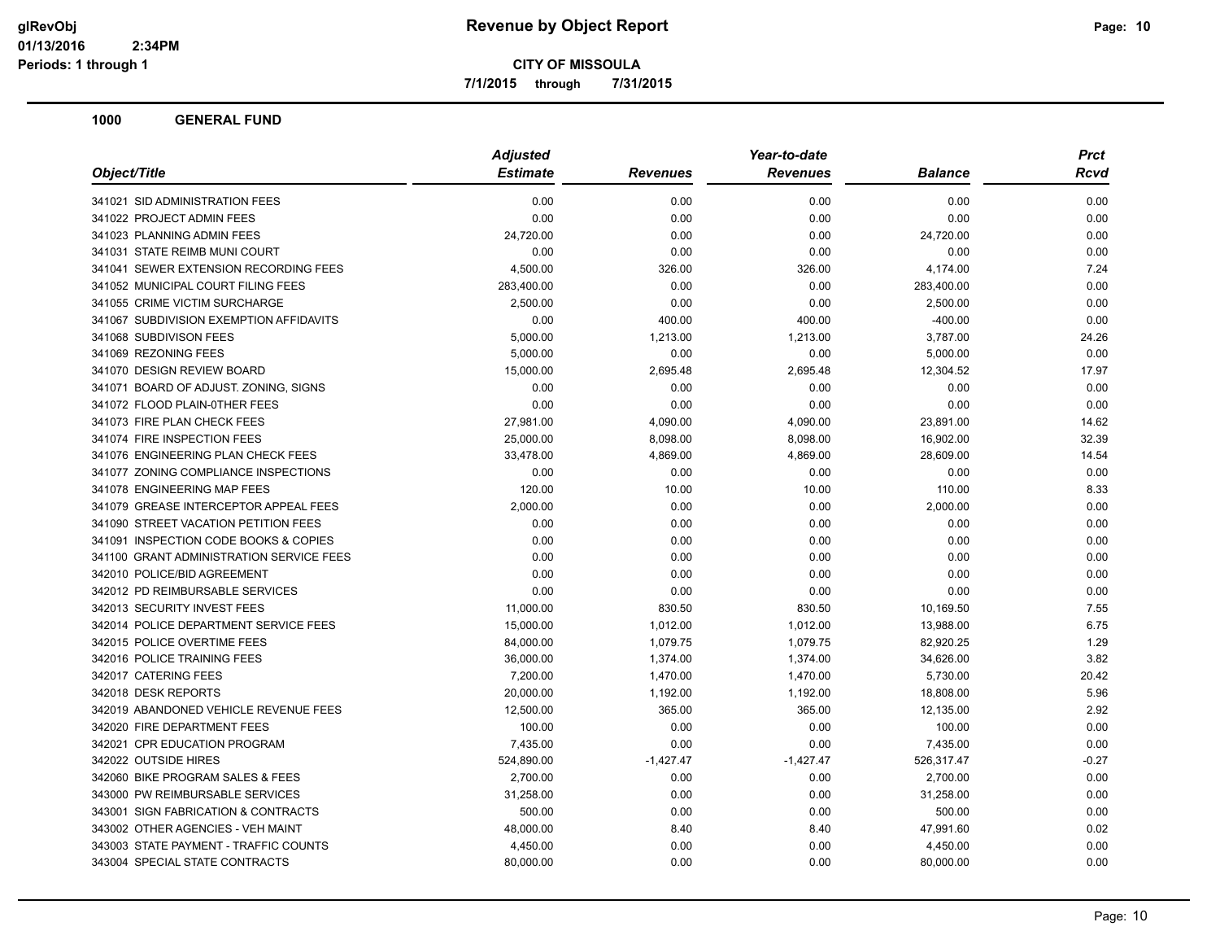**7/1/2015 through 7/31/2015**

| Object/Title                             | <b>Adjusted</b> |                 | Year-to-date    |                | <b>Prct</b> |
|------------------------------------------|-----------------|-----------------|-----------------|----------------|-------------|
|                                          | <b>Estimate</b> | <b>Revenues</b> | <b>Revenues</b> | <b>Balance</b> | Rcvd        |
| 341021 SID ADMINISTRATION FEES           | 0.00            | 0.00            | 0.00            | 0.00           | 0.00        |
| 341022 PROJECT ADMIN FEES                | 0.00            | 0.00            | 0.00            | 0.00           | 0.00        |
| 341023 PLANNING ADMIN FEES               | 24,720.00       | 0.00            | 0.00            | 24,720.00      | 0.00        |
| 341031 STATE REIMB MUNI COURT            | 0.00            | 0.00            | 0.00            | 0.00           | 0.00        |
| 341041 SEWER EXTENSION RECORDING FEES    | 4,500.00        | 326.00          | 326.00          | 4,174.00       | 7.24        |
| 341052 MUNICIPAL COURT FILING FEES       | 283,400.00      | 0.00            | 0.00            | 283,400.00     | 0.00        |
| 341055 CRIME VICTIM SURCHARGE            | 2,500.00        | 0.00            | 0.00            | 2,500.00       | 0.00        |
| 341067 SUBDIVISION EXEMPTION AFFIDAVITS  | 0.00            | 400.00          | 400.00          | $-400.00$      | 0.00        |
| 341068 SUBDIVISON FEES                   | 5,000.00        | 1,213.00        | 1,213.00        | 3,787.00       | 24.26       |
| 341069 REZONING FEES                     | 5,000.00        | 0.00            | 0.00            | 5,000.00       | 0.00        |
| 341070 DESIGN REVIEW BOARD               | 15,000.00       | 2,695.48        | 2,695.48        | 12,304.52      | 17.97       |
| 341071 BOARD OF ADJUST. ZONING, SIGNS    | 0.00            | 0.00            | 0.00            | 0.00           | 0.00        |
| 341072 FLOOD PLAIN-0THER FEES            | 0.00            | 0.00            | 0.00            | 0.00           | 0.00        |
| 341073 FIRE PLAN CHECK FEES              | 27,981.00       | 4,090.00        | 4,090.00        | 23,891.00      | 14.62       |
| 341074 FIRE INSPECTION FEES              | 25,000.00       | 8,098.00        | 8,098.00        | 16,902.00      | 32.39       |
| 341076 ENGINEERING PLAN CHECK FEES       | 33,478.00       | 4,869.00        | 4,869.00        | 28,609.00      | 14.54       |
| 341077 ZONING COMPLIANCE INSPECTIONS     | 0.00            | 0.00            | 0.00            | 0.00           | 0.00        |
| 341078 ENGINEERING MAP FEES              | 120.00          | 10.00           | 10.00           | 110.00         | 8.33        |
| 341079 GREASE INTERCEPTOR APPEAL FEES    | 2,000.00        | 0.00            | 0.00            | 2,000.00       | 0.00        |
| 341090 STREET VACATION PETITION FEES     | 0.00            | 0.00            | 0.00            | 0.00           | 0.00        |
| 341091 INSPECTION CODE BOOKS & COPIES    | 0.00            | 0.00            | 0.00            | 0.00           | 0.00        |
| 341100 GRANT ADMINISTRATION SERVICE FEES | 0.00            | 0.00            | 0.00            | 0.00           | 0.00        |
| 342010 POLICE/BID AGREEMENT              | 0.00            | 0.00            | 0.00            | 0.00           | 0.00        |
| 342012 PD REIMBURSABLE SERVICES          | 0.00            | 0.00            | 0.00            | 0.00           | 0.00        |
| 342013 SECURITY INVEST FEES              | 11,000.00       | 830.50          | 830.50          | 10,169.50      | 7.55        |
| 342014 POLICE DEPARTMENT SERVICE FEES    | 15,000.00       | 1,012.00        | 1,012.00        | 13,988.00      | 6.75        |
| 342015 POLICE OVERTIME FEES              | 84,000.00       | 1,079.75        | 1,079.75        | 82,920.25      | 1.29        |
| 342016 POLICE TRAINING FEES              | 36,000.00       | 1,374.00        | 1,374.00        | 34,626.00      | 3.82        |
| 342017 CATERING FEES                     | 7,200.00        | 1,470.00        | 1,470.00        | 5,730.00       | 20.42       |
| 342018 DESK REPORTS                      | 20,000.00       | 1,192.00        | 1,192.00        | 18,808.00      | 5.96        |
| 342019 ABANDONED VEHICLE REVENUE FEES    | 12,500.00       | 365.00          | 365.00          | 12,135.00      | 2.92        |
| 342020 FIRE DEPARTMENT FEES              | 100.00          | 0.00            | 0.00            | 100.00         | 0.00        |
| 342021 CPR EDUCATION PROGRAM             | 7,435.00        | 0.00            | 0.00            | 7,435.00       | 0.00        |
| 342022 OUTSIDE HIRES                     | 524,890.00      | $-1,427.47$     | $-1,427.47$     | 526,317.47     | $-0.27$     |
| 342060 BIKE PROGRAM SALES & FEES         | 2,700.00        | 0.00            | 0.00            | 2,700.00       | 0.00        |
| 343000 PW REIMBURSABLE SERVICES          | 31,258.00       | 0.00            | 0.00            | 31,258.00      | 0.00        |
| 343001 SIGN FABRICATION & CONTRACTS      | 500.00          | 0.00            | 0.00            | 500.00         | 0.00        |
| 343002 OTHER AGENCIES - VEH MAINT        | 48,000.00       | 8.40            | 8.40            | 47,991.60      | 0.02        |
| 343003 STATE PAYMENT - TRAFFIC COUNTS    | 4,450.00        | 0.00            | 0.00            | 4,450.00       | 0.00        |
| 343004 SPECIAL STATE CONTRACTS           | 80,000.00       | 0.00            | 0.00            | 80,000.00      | 0.00        |
|                                          |                 |                 |                 |                |             |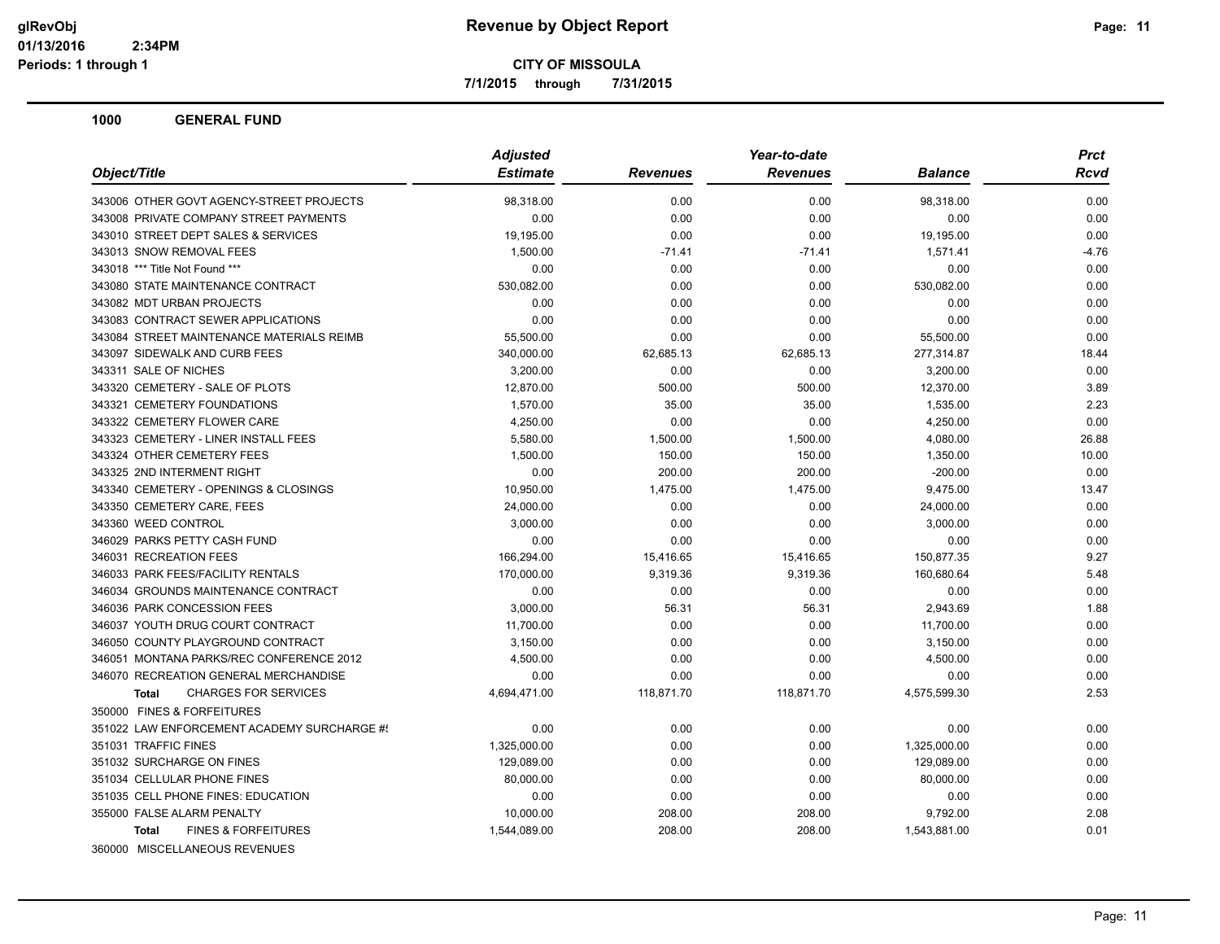**7/1/2015 through 7/31/2015**

| Object/Title                                   | <b>Adjusted</b> | Year-to-date |                 |                | <b>Prct</b> |
|------------------------------------------------|-----------------|--------------|-----------------|----------------|-------------|
|                                                | <b>Estimate</b> | Revenues     | <b>Revenues</b> | <b>Balance</b> | <b>Rcvd</b> |
| 343006 OTHER GOVT AGENCY-STREET PROJECTS       | 98,318.00       | 0.00         | 0.00            | 98,318.00      | 0.00        |
| 343008 PRIVATE COMPANY STREET PAYMENTS         | 0.00            | 0.00         | 0.00            | 0.00           | 0.00        |
| 343010 STREET DEPT SALES & SERVICES            | 19,195.00       | 0.00         | 0.00            | 19,195.00      | 0.00        |
| 343013 SNOW REMOVAL FEES                       | 1,500.00        | $-71.41$     | $-71.41$        | 1,571.41       | $-4.76$     |
| 343018 *** Title Not Found ***                 | 0.00            | 0.00         | 0.00            | 0.00           | 0.00        |
| 343080 STATE MAINTENANCE CONTRACT              | 530,082.00      | 0.00         | 0.00            | 530,082.00     | 0.00        |
| 343082 MDT URBAN PROJECTS                      | 0.00            | 0.00         | 0.00            | 0.00           | 0.00        |
| 343083 CONTRACT SEWER APPLICATIONS             | 0.00            | 0.00         | 0.00            | 0.00           | 0.00        |
| 343084 STREET MAINTENANCE MATERIALS REIMB      | 55,500.00       | 0.00         | 0.00            | 55,500.00      | 0.00        |
| 343097 SIDEWALK AND CURB FEES                  | 340,000.00      | 62,685.13    | 62,685.13       | 277,314.87     | 18.44       |
| 343311 SALE OF NICHES                          | 3,200.00        | 0.00         | 0.00            | 3,200.00       | 0.00        |
| 343320 CEMETERY - SALE OF PLOTS                | 12,870.00       | 500.00       | 500.00          | 12,370.00      | 3.89        |
| 343321 CEMETERY FOUNDATIONS                    | 1,570.00        | 35.00        | 35.00           | 1,535.00       | 2.23        |
| 343322 CEMETERY FLOWER CARE                    | 4,250.00        | 0.00         | 0.00            | 4,250.00       | 0.00        |
| 343323 CEMETERY - LINER INSTALL FEES           | 5,580.00        | 1,500.00     | 1,500.00        | 4,080.00       | 26.88       |
| 343324 OTHER CEMETERY FEES                     | 1,500.00        | 150.00       | 150.00          | 1,350.00       | 10.00       |
| 343325 2ND INTERMENT RIGHT                     | 0.00            | 200.00       | 200.00          | $-200.00$      | 0.00        |
| 343340 CEMETERY - OPENINGS & CLOSINGS          | 10,950.00       | 1,475.00     | 1,475.00        | 9,475.00       | 13.47       |
| 343350 CEMETERY CARE, FEES                     | 24,000.00       | 0.00         | 0.00            | 24,000.00      | 0.00        |
| 343360 WEED CONTROL                            | 3,000.00        | 0.00         | 0.00            | 3,000.00       | 0.00        |
| 346029 PARKS PETTY CASH FUND                   | 0.00            | 0.00         | 0.00            | 0.00           | 0.00        |
| 346031 RECREATION FEES                         | 166,294.00      | 15,416.65    | 15,416.65       | 150,877.35     | 9.27        |
| 346033 PARK FEES/FACILITY RENTALS              | 170,000.00      | 9,319.36     | 9,319.36        | 160,680.64     | 5.48        |
| 346034 GROUNDS MAINTENANCE CONTRACT            | 0.00            | 0.00         | 0.00            | 0.00           | 0.00        |
| 346036 PARK CONCESSION FEES                    | 3,000.00        | 56.31        | 56.31           | 2,943.69       | 1.88        |
| 346037 YOUTH DRUG COURT CONTRACT               | 11,700.00       | 0.00         | 0.00            | 11,700.00      | 0.00        |
| 346050 COUNTY PLAYGROUND CONTRACT              | 3,150.00        | 0.00         | 0.00            | 3,150.00       | 0.00        |
| 346051 MONTANA PARKS/REC CONFERENCE 2012       | 4,500.00        | 0.00         | 0.00            | 4,500.00       | 0.00        |
| 346070 RECREATION GENERAL MERCHANDISE          | 0.00            | 0.00         | 0.00            | 0.00           | 0.00        |
| <b>CHARGES FOR SERVICES</b><br><b>Total</b>    | 4,694,471.00    | 118,871.70   | 118,871.70      | 4,575,599.30   | 2.53        |
| 350000 FINES & FORFEITURES                     |                 |              |                 |                |             |
| 351022 LAW ENFORCEMENT ACADEMY SURCHARGE #!    | 0.00            | 0.00         | 0.00            | 0.00           | 0.00        |
| 351031 TRAFFIC FINES                           | 1,325,000.00    | 0.00         | 0.00            | 1,325,000.00   | 0.00        |
| 351032 SURCHARGE ON FINES                      | 129,089.00      | 0.00         | 0.00            | 129,089.00     | 0.00        |
| 351034 CELLULAR PHONE FINES                    | 80,000.00       | 0.00         | 0.00            | 80,000.00      | 0.00        |
| 351035 CELL PHONE FINES: EDUCATION             | 0.00            | 0.00         | 0.00            | 0.00           | 0.00        |
| 355000 FALSE ALARM PENALTY                     | 10,000.00       | 208.00       | 208.00          | 9,792.00       | 2.08        |
| <b>FINES &amp; FORFEITURES</b><br><b>Total</b> | 1,544,089.00    | 208.00       | 208.00          | 1,543,881.00   | 0.01        |
| 360000 MISCELLANEOUS REVENUES                  |                 |              |                 |                |             |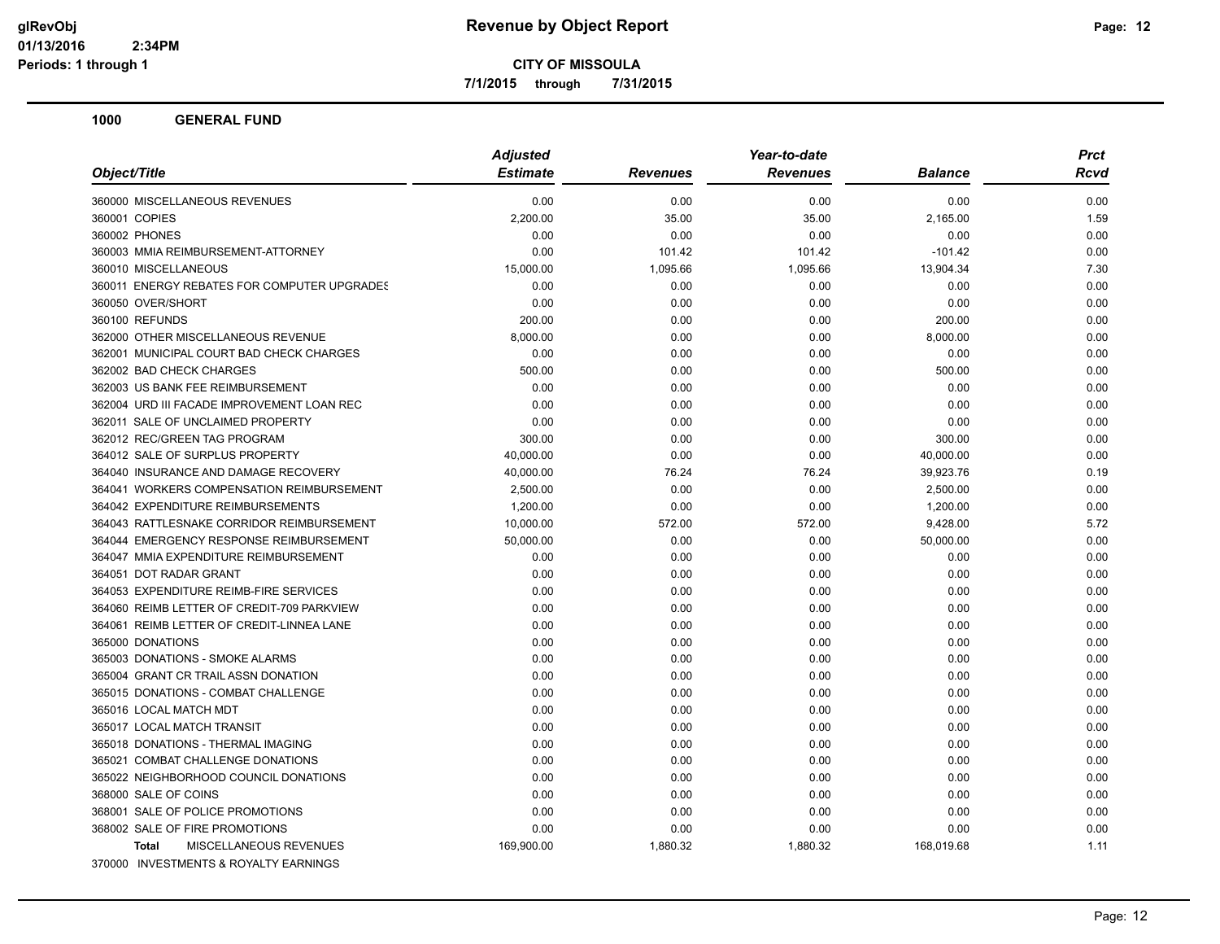**7/1/2015 through 7/31/2015**

| Object/Title                                | <b>Adjusted</b><br><b>Estimate</b> | <b>Revenues</b> | Year-to-date<br><b>Revenues</b> | <b>Balance</b> | <b>Prct</b><br>Rcvd |
|---------------------------------------------|------------------------------------|-----------------|---------------------------------|----------------|---------------------|
|                                             |                                    |                 |                                 |                |                     |
| 360000 MISCELLANEOUS REVENUES               | 0.00                               | 0.00            | 0.00                            | 0.00           | 0.00                |
| 360001 COPIES                               | 2,200.00                           | 35.00           | 35.00                           | 2,165.00       | 1.59                |
| 360002 PHONES                               | 0.00                               | 0.00            | 0.00                            | 0.00           | 0.00                |
| 360003 MMIA REIMBURSEMENT-ATTORNEY          | 0.00                               | 101.42          | 101.42                          | $-101.42$      | 0.00                |
| 360010 MISCELLANEOUS                        | 15,000.00                          | 1,095.66        | 1,095.66                        | 13,904.34      | 7.30                |
| 360011 ENERGY REBATES FOR COMPUTER UPGRADES | 0.00                               | 0.00            | 0.00                            | 0.00           | 0.00                |
| 360050 OVER/SHORT                           | 0.00                               | 0.00            | 0.00                            | 0.00           | 0.00                |
| 360100 REFUNDS                              | 200.00                             | 0.00            | 0.00                            | 200.00         | 0.00                |
| 362000 OTHER MISCELLANEOUS REVENUE          | 8,000.00                           | 0.00            | 0.00                            | 8,000.00       | 0.00                |
| 362001 MUNICIPAL COURT BAD CHECK CHARGES    | 0.00                               | 0.00            | 0.00                            | 0.00           | 0.00                |
| 362002 BAD CHECK CHARGES                    | 500.00                             | 0.00            | 0.00                            | 500.00         | 0.00                |
| 362003 US BANK FEE REIMBURSEMENT            | 0.00                               | 0.00            | 0.00                            | 0.00           | 0.00                |
| 362004 URD III FACADE IMPROVEMENT LOAN REC  | 0.00                               | 0.00            | 0.00                            | 0.00           | 0.00                |
| 362011 SALE OF UNCLAIMED PROPERTY           | 0.00                               | 0.00            | 0.00                            | 0.00           | 0.00                |
| 362012 REC/GREEN TAG PROGRAM                | 300.00                             | 0.00            | 0.00                            | 300.00         | 0.00                |
| 364012 SALE OF SURPLUS PROPERTY             | 40,000.00                          | 0.00            | 0.00                            | 40,000.00      | 0.00                |
| 364040 INSURANCE AND DAMAGE RECOVERY        | 40,000.00                          | 76.24           | 76.24                           | 39,923.76      | 0.19                |
| 364041 WORKERS COMPENSATION REIMBURSEMENT   | 2,500.00                           | 0.00            | 0.00                            | 2,500.00       | 0.00                |
| 364042 EXPENDITURE REIMBURSEMENTS           | 1,200.00                           | 0.00            | 0.00                            | 1,200.00       | 0.00                |
| 364043 RATTLESNAKE CORRIDOR REIMBURSEMENT   | 10,000.00                          | 572.00          | 572.00                          | 9,428.00       | 5.72                |
| 364044 EMERGENCY RESPONSE REIMBURSEMENT     | 50,000.00                          | 0.00            | 0.00                            | 50,000.00      | 0.00                |
| 364047 MMIA EXPENDITURE REIMBURSEMENT       | 0.00                               | 0.00            | 0.00                            | 0.00           | 0.00                |
| 364051 DOT RADAR GRANT                      | 0.00                               | 0.00            | 0.00                            | 0.00           | 0.00                |
| 364053 EXPENDITURE REIMB-FIRE SERVICES      | 0.00                               | 0.00            | 0.00                            | 0.00           | 0.00                |
| 364060 REIMB LETTER OF CREDIT-709 PARKVIEW  | 0.00                               | 0.00            | 0.00                            | 0.00           | 0.00                |
| 364061 REIMB LETTER OF CREDIT-LINNEA LANE   | 0.00                               | 0.00            | 0.00                            | 0.00           | 0.00                |
| 365000 DONATIONS                            | 0.00                               | 0.00            | 0.00                            | 0.00           | 0.00                |
| 365003 DONATIONS - SMOKE ALARMS             | 0.00                               | 0.00            | 0.00                            | 0.00           | 0.00                |
| 365004 GRANT CR TRAIL ASSN DONATION         | 0.00                               | 0.00            | 0.00                            | 0.00           | 0.00                |
| 365015 DONATIONS - COMBAT CHALLENGE         | 0.00                               | 0.00            | 0.00                            | 0.00           | 0.00                |
| 365016 LOCAL MATCH MDT                      | 0.00                               | 0.00            | 0.00                            | 0.00           | 0.00                |
| 365017 LOCAL MATCH TRANSIT                  | 0.00                               | 0.00            | 0.00                            | 0.00           | 0.00                |
| 365018 DONATIONS - THERMAL IMAGING          | 0.00                               | 0.00            | 0.00                            | 0.00           | 0.00                |
| 365021 COMBAT CHALLENGE DONATIONS           | 0.00                               | 0.00            | 0.00                            | 0.00           | 0.00                |
| 365022 NEIGHBORHOOD COUNCIL DONATIONS       | 0.00                               | 0.00            | 0.00                            | 0.00           | 0.00                |
| 368000 SALE OF COINS                        | 0.00                               | 0.00            | 0.00                            | 0.00           | 0.00                |
| 368001 SALE OF POLICE PROMOTIONS            | 0.00                               | 0.00            | 0.00                            | 0.00           | 0.00                |
| 368002 SALE OF FIRE PROMOTIONS              | 0.00                               | 0.00            | 0.00                            | 0.00           | 0.00                |
| MISCELLANEOUS REVENUES<br><b>Total</b>      | 169,900.00                         | 1,880.32        | 1,880.32                        | 168,019.68     | 1.11                |
| 370000 INVESTMENTS & ROYALTY EARNINGS       |                                    |                 |                                 |                |                     |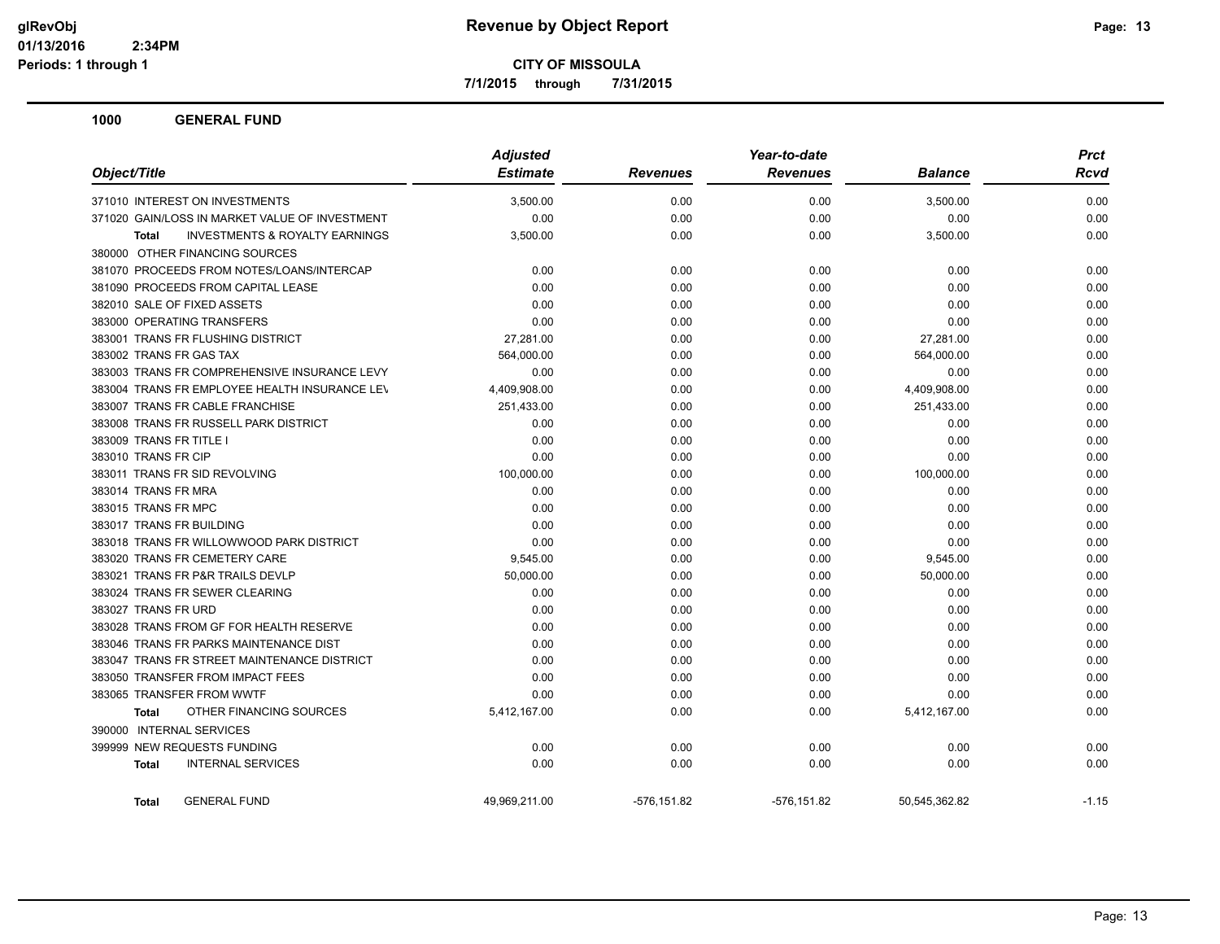**7/1/2015 through 7/31/2015**

| Object/Title                                              | <b>Adjusted</b> |                 | Year-to-date    |                | <b>Prct</b> |
|-----------------------------------------------------------|-----------------|-----------------|-----------------|----------------|-------------|
|                                                           | <b>Estimate</b> | <b>Revenues</b> | <b>Revenues</b> | <b>Balance</b> | <b>Rcvd</b> |
| 371010 INTEREST ON INVESTMENTS                            | 3,500.00        | 0.00            | 0.00            | 3,500.00       | 0.00        |
| 371020 GAIN/LOSS IN MARKET VALUE OF INVESTMENT            | 0.00            | 0.00            | 0.00            | 0.00           | 0.00        |
| <b>INVESTMENTS &amp; ROYALTY EARNINGS</b><br><b>Total</b> | 3,500.00        | 0.00            | 0.00            | 3,500.00       | 0.00        |
| 380000 OTHER FINANCING SOURCES                            |                 |                 |                 |                |             |
| 381070 PROCEEDS FROM NOTES/LOANS/INTERCAP                 | 0.00            | 0.00            | 0.00            | 0.00           | 0.00        |
| 381090 PROCEEDS FROM CAPITAL LEASE                        | 0.00            | 0.00            | 0.00            | 0.00           | 0.00        |
| 382010 SALE OF FIXED ASSETS                               | 0.00            | 0.00            | 0.00            | 0.00           | 0.00        |
| 383000 OPERATING TRANSFERS                                | 0.00            | 0.00            | 0.00            | 0.00           | 0.00        |
| 383001 TRANS FR FLUSHING DISTRICT                         | 27,281.00       | 0.00            | 0.00            | 27,281.00      | 0.00        |
| 383002 TRANS FR GAS TAX                                   | 564,000.00      | 0.00            | 0.00            | 564,000.00     | 0.00        |
| 383003 TRANS FR COMPREHENSIVE INSURANCE LEVY              | 0.00            | 0.00            | 0.00            | 0.00           | 0.00        |
| 383004 TRANS FR EMPLOYEE HEALTH INSURANCE LEV             | 4,409,908.00    | 0.00            | 0.00            | 4,409,908.00   | 0.00        |
| 383007 TRANS FR CABLE FRANCHISE                           | 251,433.00      | 0.00            | 0.00            | 251,433.00     | 0.00        |
| 383008 TRANS FR RUSSELL PARK DISTRICT                     | 0.00            | 0.00            | 0.00            | 0.00           | 0.00        |
| 383009 TRANS FR TITLE I                                   | 0.00            | 0.00            | 0.00            | 0.00           | 0.00        |
| 383010 TRANS FR CIP                                       | 0.00            | 0.00            | 0.00            | 0.00           | 0.00        |
| 383011 TRANS FR SID REVOLVING                             | 100,000.00      | 0.00            | 0.00            | 100,000.00     | 0.00        |
| 383014 TRANS FR MRA                                       | 0.00            | 0.00            | 0.00            | 0.00           | 0.00        |
| 383015 TRANS FR MPC                                       | 0.00            | 0.00            | 0.00            | 0.00           | 0.00        |
| 383017 TRANS FR BUILDING                                  | 0.00            | 0.00            | 0.00            | 0.00           | 0.00        |
| 383018 TRANS FR WILLOWWOOD PARK DISTRICT                  | 0.00            | 0.00            | 0.00            | 0.00           | 0.00        |
| 383020 TRANS FR CEMETERY CARE                             | 9,545.00        | 0.00            | 0.00            | 9,545.00       | 0.00        |
| 383021 TRANS FR P&R TRAILS DEVLP                          | 50,000.00       | 0.00            | 0.00            | 50,000.00      | 0.00        |
| 383024 TRANS FR SEWER CLEARING                            | 0.00            | 0.00            | 0.00            | 0.00           | 0.00        |
| 383027 TRANS FR URD                                       | 0.00            | 0.00            | 0.00            | 0.00           | 0.00        |
| 383028 TRANS FROM GF FOR HEALTH RESERVE                   | 0.00            | 0.00            | 0.00            | 0.00           | 0.00        |
| 383046 TRANS FR PARKS MAINTENANCE DIST                    | 0.00            | 0.00            | 0.00            | 0.00           | 0.00        |
| 383047 TRANS FR STREET MAINTENANCE DISTRICT               | 0.00            | 0.00            | 0.00            | 0.00           | 0.00        |
| 383050 TRANSFER FROM IMPACT FEES                          | 0.00            | 0.00            | 0.00            | 0.00           | 0.00        |
| 383065 TRANSFER FROM WWTF                                 | 0.00            | 0.00            | 0.00            | 0.00           | 0.00        |
| OTHER FINANCING SOURCES<br>Total                          | 5,412,167.00    | 0.00            | 0.00            | 5,412,167.00   | 0.00        |
| 390000 INTERNAL SERVICES                                  |                 |                 |                 |                |             |
| 399999 NEW REQUESTS FUNDING                               | 0.00            | 0.00            | 0.00            | 0.00           | 0.00        |
| <b>INTERNAL SERVICES</b><br><b>Total</b>                  | 0.00            | 0.00            | 0.00            | 0.00           | 0.00        |
| <b>GENERAL FUND</b><br><b>Total</b>                       | 49,969,211.00   | $-576, 151.82$  | $-576, 151.82$  | 50,545,362.82  | $-1.15$     |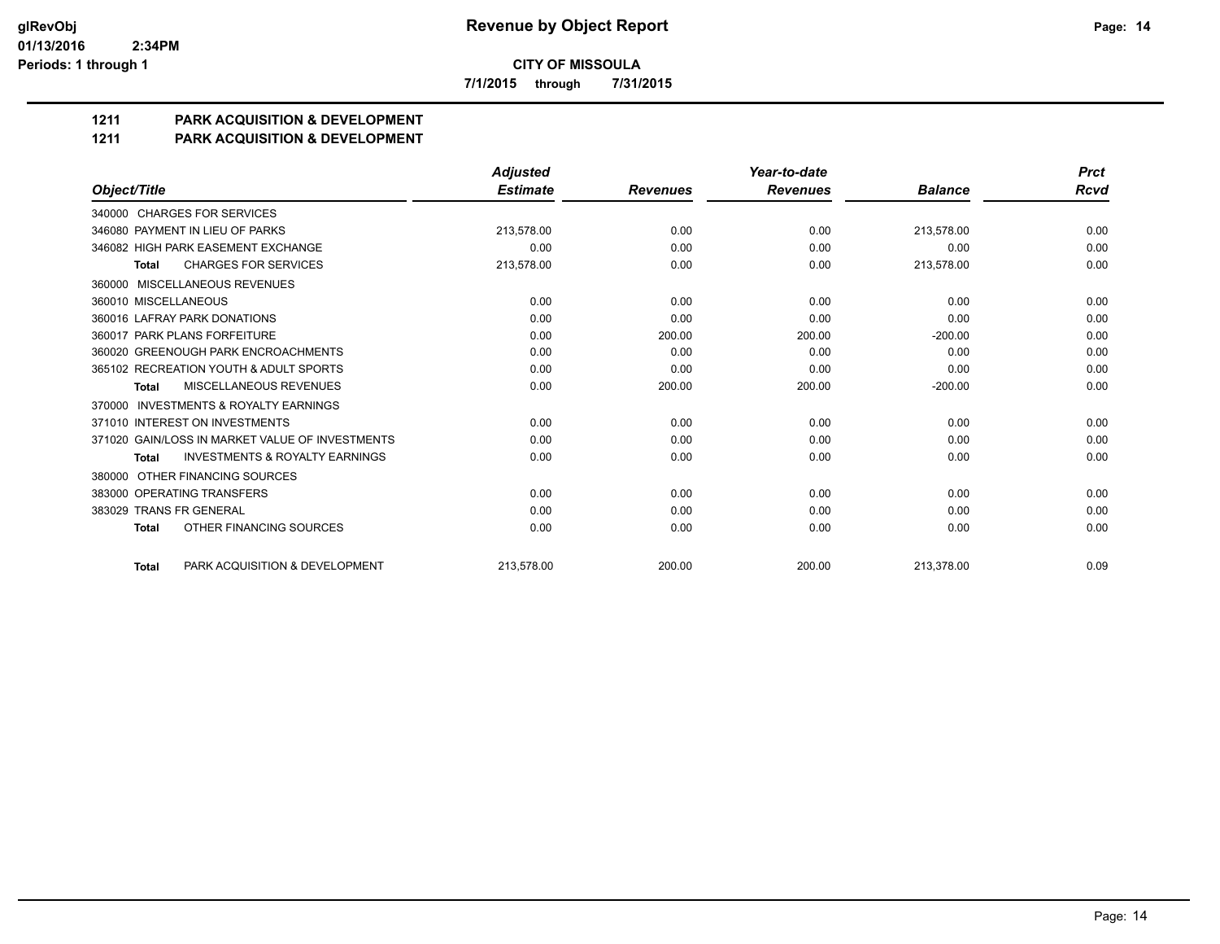**7/1/2015 through 7/31/2015**

# **1211 PARK ACQUISITION & DEVELOPMENT**

#### **1211 PARK ACQUISITION & DEVELOPMENT**

|                                                           | <b>Adjusted</b> |                 | Year-to-date    |                | <b>Prct</b> |
|-----------------------------------------------------------|-----------------|-----------------|-----------------|----------------|-------------|
| Object/Title                                              | <b>Estimate</b> | <b>Revenues</b> | <b>Revenues</b> | <b>Balance</b> | Rcvd        |
| 340000 CHARGES FOR SERVICES                               |                 |                 |                 |                |             |
| 346080 PAYMENT IN LIEU OF PARKS                           | 213.578.00      | 0.00            | 0.00            | 213.578.00     | 0.00        |
| 346082 HIGH PARK EASEMENT EXCHANGE                        | 0.00            | 0.00            | 0.00            | 0.00           | 0.00        |
| <b>CHARGES FOR SERVICES</b><br>Total                      | 213,578.00      | 0.00            | 0.00            | 213,578.00     | 0.00        |
| MISCELLANEOUS REVENUES<br>360000                          |                 |                 |                 |                |             |
| 360010 MISCELLANEOUS                                      | 0.00            | 0.00            | 0.00            | 0.00           | 0.00        |
| 360016 LAFRAY PARK DONATIONS                              | 0.00            | 0.00            | 0.00            | 0.00           | 0.00        |
| 360017 PARK PLANS FORFEITURE                              | 0.00            | 200.00          | 200.00          | $-200.00$      | 0.00        |
| 360020 GREENOUGH PARK ENCROACHMENTS                       | 0.00            | 0.00            | 0.00            | 0.00           | 0.00        |
| 365102 RECREATION YOUTH & ADULT SPORTS                    | 0.00            | 0.00            | 0.00            | 0.00           | 0.00        |
| MISCELLANEOUS REVENUES<br>Total                           | 0.00            | 200.00          | 200.00          | $-200.00$      | 0.00        |
| <b>INVESTMENTS &amp; ROYALTY EARNINGS</b><br>370000       |                 |                 |                 |                |             |
| 371010 INTEREST ON INVESTMENTS                            | 0.00            | 0.00            | 0.00            | 0.00           | 0.00        |
| 371020 GAIN/LOSS IN MARKET VALUE OF INVESTMENTS           | 0.00            | 0.00            | 0.00            | 0.00           | 0.00        |
| <b>INVESTMENTS &amp; ROYALTY EARNINGS</b><br><b>Total</b> | 0.00            | 0.00            | 0.00            | 0.00           | 0.00        |
| OTHER FINANCING SOURCES<br>380000                         |                 |                 |                 |                |             |
| 383000 OPERATING TRANSFERS                                | 0.00            | 0.00            | 0.00            | 0.00           | 0.00        |
| 383029 TRANS FR GENERAL                                   | 0.00            | 0.00            | 0.00            | 0.00           | 0.00        |
| OTHER FINANCING SOURCES<br><b>Total</b>                   | 0.00            | 0.00            | 0.00            | 0.00           | 0.00        |
| PARK ACQUISITION & DEVELOPMENT<br><b>Total</b>            | 213.578.00      | 200.00          | 200.00          | 213.378.00     | 0.09        |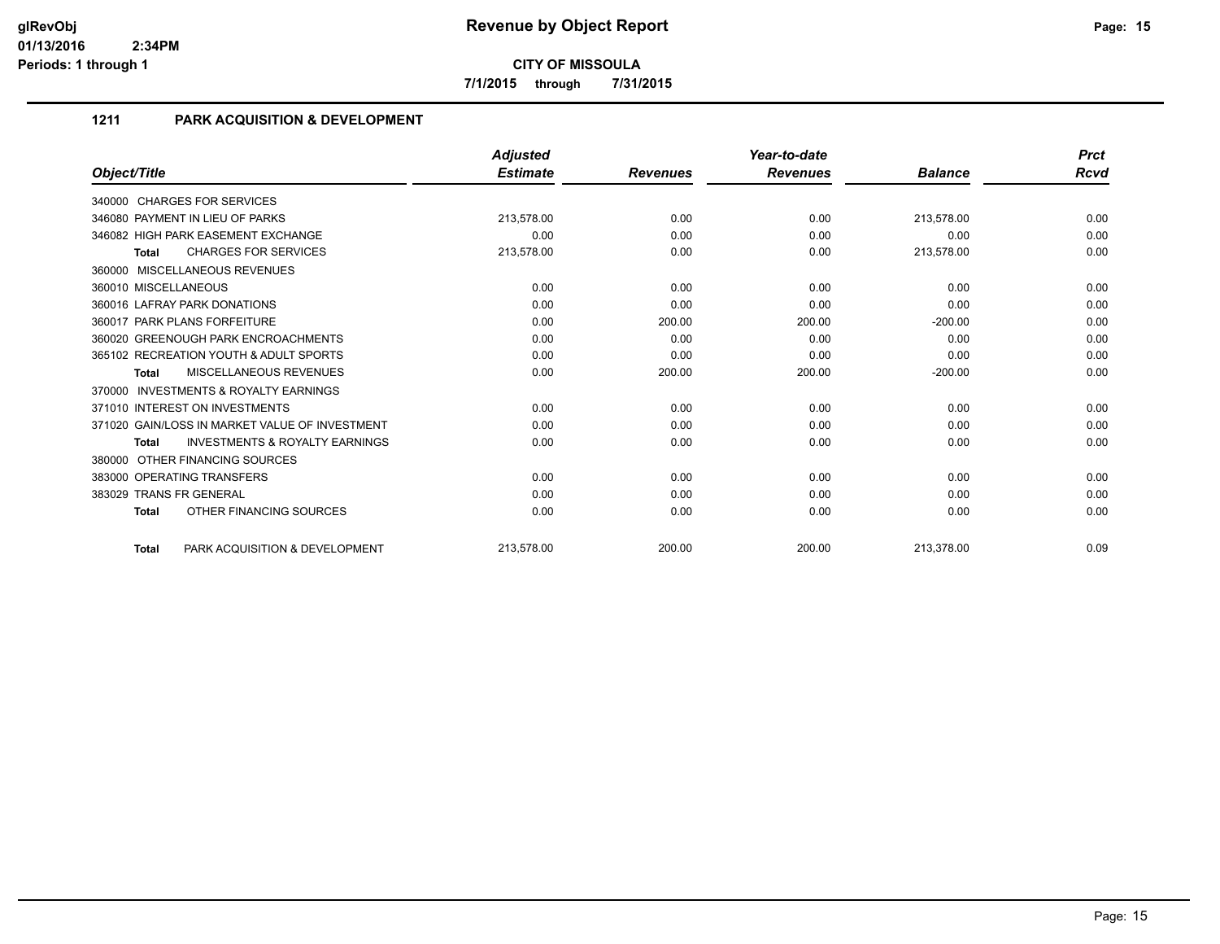**7/1/2015 through 7/31/2015**

## **1211 PARK ACQUISITION & DEVELOPMENT**

|                                                           | <b>Adjusted</b> |                 | Year-to-date    |                | <b>Prct</b> |
|-----------------------------------------------------------|-----------------|-----------------|-----------------|----------------|-------------|
| Object/Title                                              | <b>Estimate</b> | <b>Revenues</b> | <b>Revenues</b> | <b>Balance</b> | Rcvd        |
| 340000 CHARGES FOR SERVICES                               |                 |                 |                 |                |             |
| 346080 PAYMENT IN LIEU OF PARKS                           | 213,578.00      | 0.00            | 0.00            | 213,578.00     | 0.00        |
| 346082 HIGH PARK EASEMENT EXCHANGE                        | 0.00            | 0.00            | 0.00            | 0.00           | 0.00        |
| <b>CHARGES FOR SERVICES</b><br><b>Total</b>               | 213,578.00      | 0.00            | 0.00            | 213,578.00     | 0.00        |
| 360000 MISCELLANEOUS REVENUES                             |                 |                 |                 |                |             |
| 360010 MISCELLANEOUS                                      | 0.00            | 0.00            | 0.00            | 0.00           | 0.00        |
| 360016 LAFRAY PARK DONATIONS                              | 0.00            | 0.00            | 0.00            | 0.00           | 0.00        |
| 360017 PARK PLANS FORFEITURE                              | 0.00            | 200.00          | 200.00          | $-200.00$      | 0.00        |
| 360020 GREENOUGH PARK ENCROACHMENTS                       | 0.00            | 0.00            | 0.00            | 0.00           | 0.00        |
| 365102 RECREATION YOUTH & ADULT SPORTS                    | 0.00            | 0.00            | 0.00            | 0.00           | 0.00        |
| <b>MISCELLANEOUS REVENUES</b><br><b>Total</b>             | 0.00            | 200.00          | 200.00          | $-200.00$      | 0.00        |
| <b>INVESTMENTS &amp; ROYALTY EARNINGS</b><br>370000       |                 |                 |                 |                |             |
| 371010 INTEREST ON INVESTMENTS                            | 0.00            | 0.00            | 0.00            | 0.00           | 0.00        |
| 371020 GAIN/LOSS IN MARKET VALUE OF INVESTMENT            | 0.00            | 0.00            | 0.00            | 0.00           | 0.00        |
| <b>INVESTMENTS &amp; ROYALTY EARNINGS</b><br><b>Total</b> | 0.00            | 0.00            | 0.00            | 0.00           | 0.00        |
| OTHER FINANCING SOURCES<br>380000                         |                 |                 |                 |                |             |
| 383000 OPERATING TRANSFERS                                | 0.00            | 0.00            | 0.00            | 0.00           | 0.00        |
| 383029 TRANS FR GENERAL                                   | 0.00            | 0.00            | 0.00            | 0.00           | 0.00        |
| OTHER FINANCING SOURCES<br><b>Total</b>                   | 0.00            | 0.00            | 0.00            | 0.00           | 0.00        |
| PARK ACQUISITION & DEVELOPMENT<br><b>Total</b>            | 213,578.00      | 200.00          | 200.00          | 213,378.00     | 0.09        |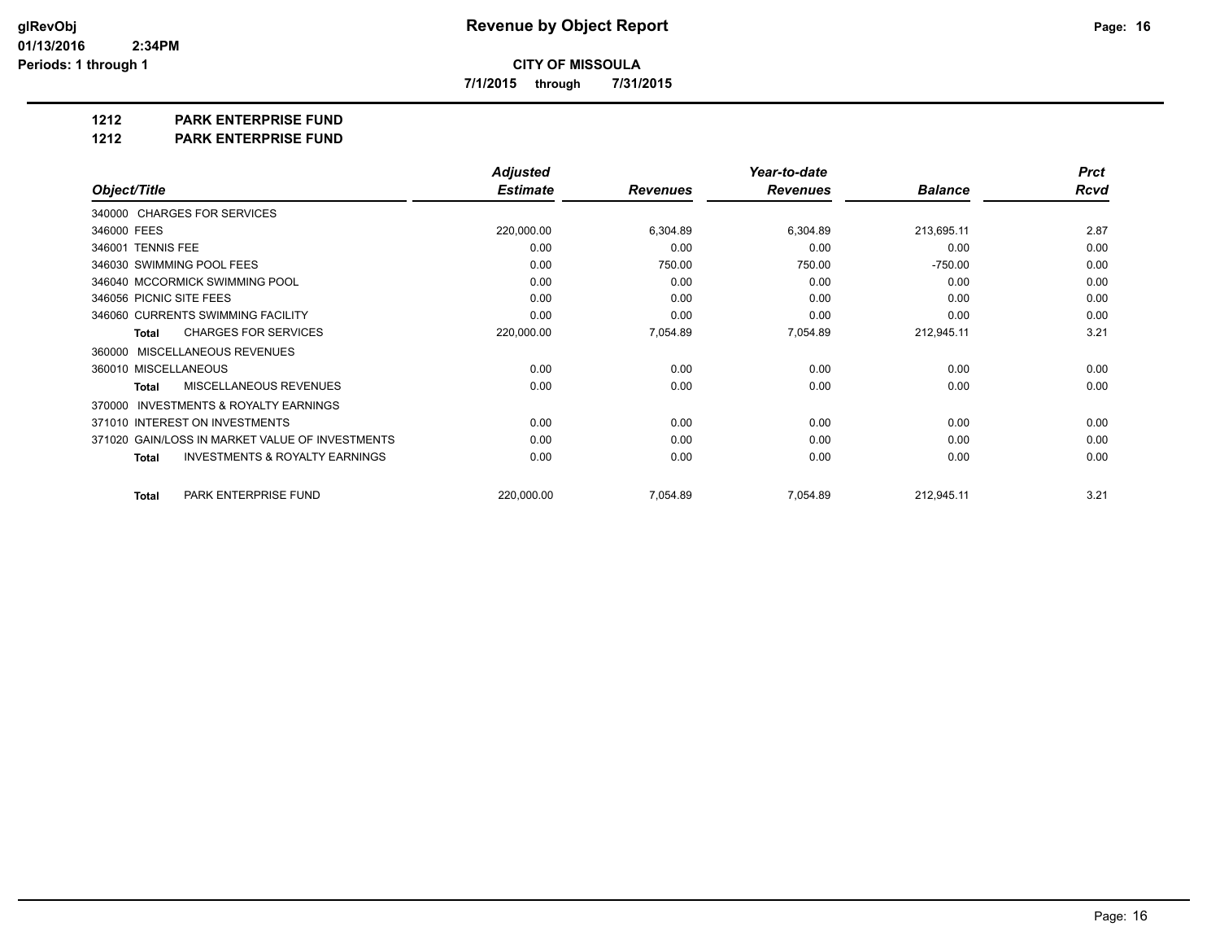**7/1/2015 through 7/31/2015**

**1212 PARK ENTERPRISE FUND**

**1212 PARK ENTERPRISE FUND**

|                                                     | <b>Adjusted</b> |                 | Year-to-date    |                | <b>Prct</b> |
|-----------------------------------------------------|-----------------|-----------------|-----------------|----------------|-------------|
| Object/Title                                        | <b>Estimate</b> | <b>Revenues</b> | <b>Revenues</b> | <b>Balance</b> | <b>Rcvd</b> |
| 340000 CHARGES FOR SERVICES                         |                 |                 |                 |                |             |
| 346000 FEES                                         | 220,000.00      | 6,304.89        | 6,304.89        | 213,695.11     | 2.87        |
| 346001 TENNIS FEE                                   | 0.00            | 0.00            | 0.00            | 0.00           | 0.00        |
| 346030 SWIMMING POOL FEES                           | 0.00            | 750.00          | 750.00          | $-750.00$      | 0.00        |
| 346040 MCCORMICK SWIMMING POOL                      | 0.00            | 0.00            | 0.00            | 0.00           | 0.00        |
| 346056 PICNIC SITE FEES                             | 0.00            | 0.00            | 0.00            | 0.00           | 0.00        |
| 346060 CURRENTS SWIMMING FACILITY                   | 0.00            | 0.00            | 0.00            | 0.00           | 0.00        |
| <b>CHARGES FOR SERVICES</b><br><b>Total</b>         | 220,000.00      | 7,054.89        | 7,054.89        | 212,945.11     | 3.21        |
| MISCELLANEOUS REVENUES<br>360000                    |                 |                 |                 |                |             |
| 360010 MISCELLANEOUS                                | 0.00            | 0.00            | 0.00            | 0.00           | 0.00        |
| MISCELLANEOUS REVENUES<br><b>Total</b>              | 0.00            | 0.00            | 0.00            | 0.00           | 0.00        |
| <b>INVESTMENTS &amp; ROYALTY EARNINGS</b><br>370000 |                 |                 |                 |                |             |
| 371010 INTEREST ON INVESTMENTS                      | 0.00            | 0.00            | 0.00            | 0.00           | 0.00        |
| 371020 GAIN/LOSS IN MARKET VALUE OF INVESTMENTS     | 0.00            | 0.00            | 0.00            | 0.00           | 0.00        |
| <b>INVESTMENTS &amp; ROYALTY EARNINGS</b><br>Total  | 0.00            | 0.00            | 0.00            | 0.00           | 0.00        |
| PARK ENTERPRISE FUND<br><b>Total</b>                | 220,000.00      | 7,054.89        | 7,054.89        | 212,945.11     | 3.21        |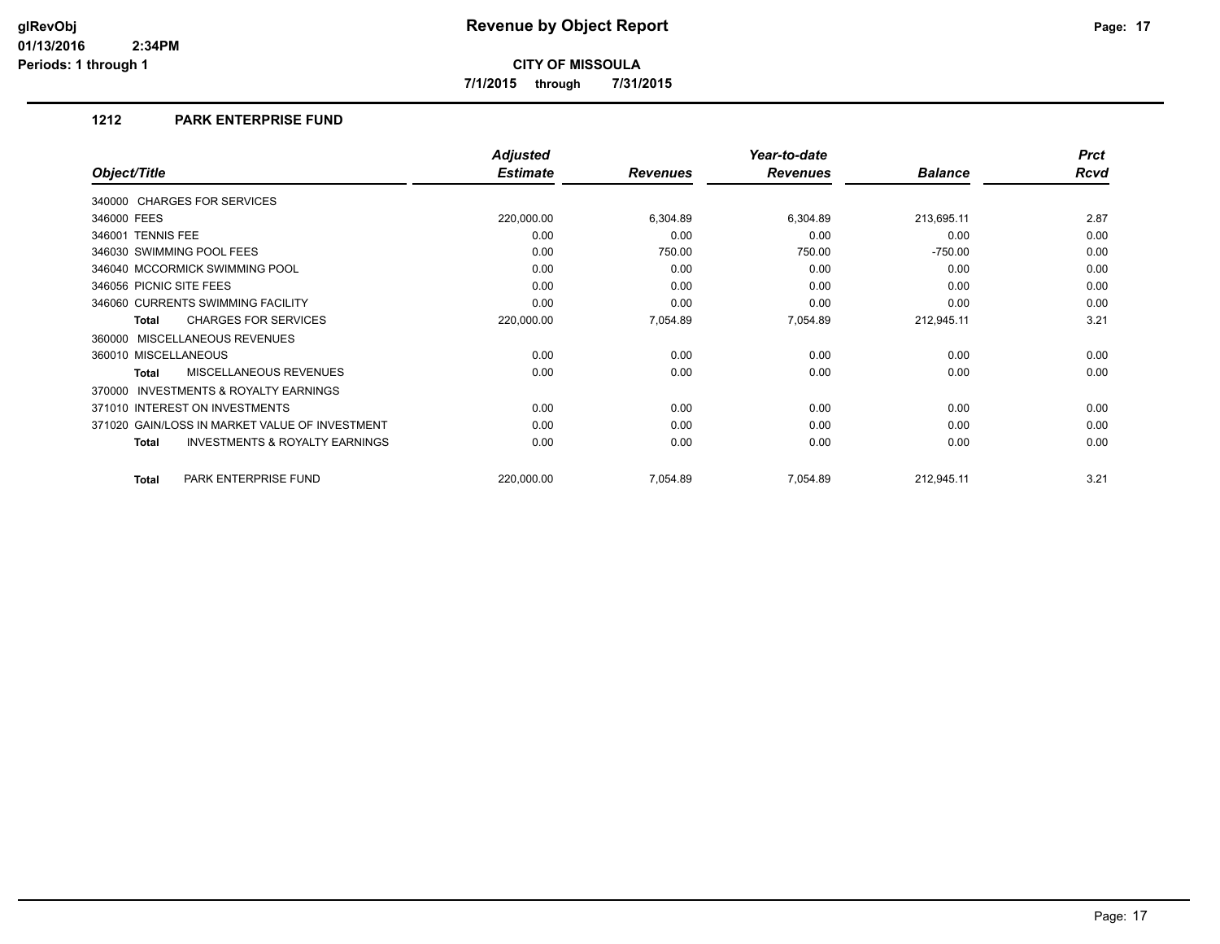**7/1/2015 through 7/31/2015**

## **1212 PARK ENTERPRISE FUND**

|                                                           | <b>Adjusted</b> |                 | Year-to-date    |                | <b>Prct</b> |
|-----------------------------------------------------------|-----------------|-----------------|-----------------|----------------|-------------|
| Object/Title                                              | <b>Estimate</b> | <b>Revenues</b> | <b>Revenues</b> | <b>Balance</b> | <b>Rcvd</b> |
| 340000 CHARGES FOR SERVICES                               |                 |                 |                 |                |             |
| 346000 FEES                                               | 220,000.00      | 6,304.89        | 6,304.89        | 213,695.11     | 2.87        |
| 346001 TENNIS FEE                                         | 0.00            | 0.00            | 0.00            | 0.00           | 0.00        |
| 346030 SWIMMING POOL FEES                                 | 0.00            | 750.00          | 750.00          | $-750.00$      | 0.00        |
| 346040 MCCORMICK SWIMMING POOL                            | 0.00            | 0.00            | 0.00            | 0.00           | 0.00        |
| 346056 PICNIC SITE FEES                                   | 0.00            | 0.00            | 0.00            | 0.00           | 0.00        |
| 346060 CURRENTS SWIMMING FACILITY                         | 0.00            | 0.00            | 0.00            | 0.00           | 0.00        |
| <b>CHARGES FOR SERVICES</b><br><b>Total</b>               | 220,000.00      | 7,054.89        | 7,054.89        | 212,945.11     | 3.21        |
| 360000 MISCELLANEOUS REVENUES                             |                 |                 |                 |                |             |
| 360010 MISCELLANEOUS                                      | 0.00            | 0.00            | 0.00            | 0.00           | 0.00        |
| <b>MISCELLANEOUS REVENUES</b><br>Total                    | 0.00            | 0.00            | 0.00            | 0.00           | 0.00        |
| INVESTMENTS & ROYALTY EARNINGS<br>370000                  |                 |                 |                 |                |             |
| 371010 INTEREST ON INVESTMENTS                            | 0.00            | 0.00            | 0.00            | 0.00           | 0.00        |
| 371020 GAIN/LOSS IN MARKET VALUE OF INVESTMENT            | 0.00            | 0.00            | 0.00            | 0.00           | 0.00        |
| <b>INVESTMENTS &amp; ROYALTY EARNINGS</b><br><b>Total</b> | 0.00            | 0.00            | 0.00            | 0.00           | 0.00        |
| PARK ENTERPRISE FUND<br><b>Total</b>                      | 220,000.00      | 7,054.89        | 7,054.89        | 212,945.11     | 3.21        |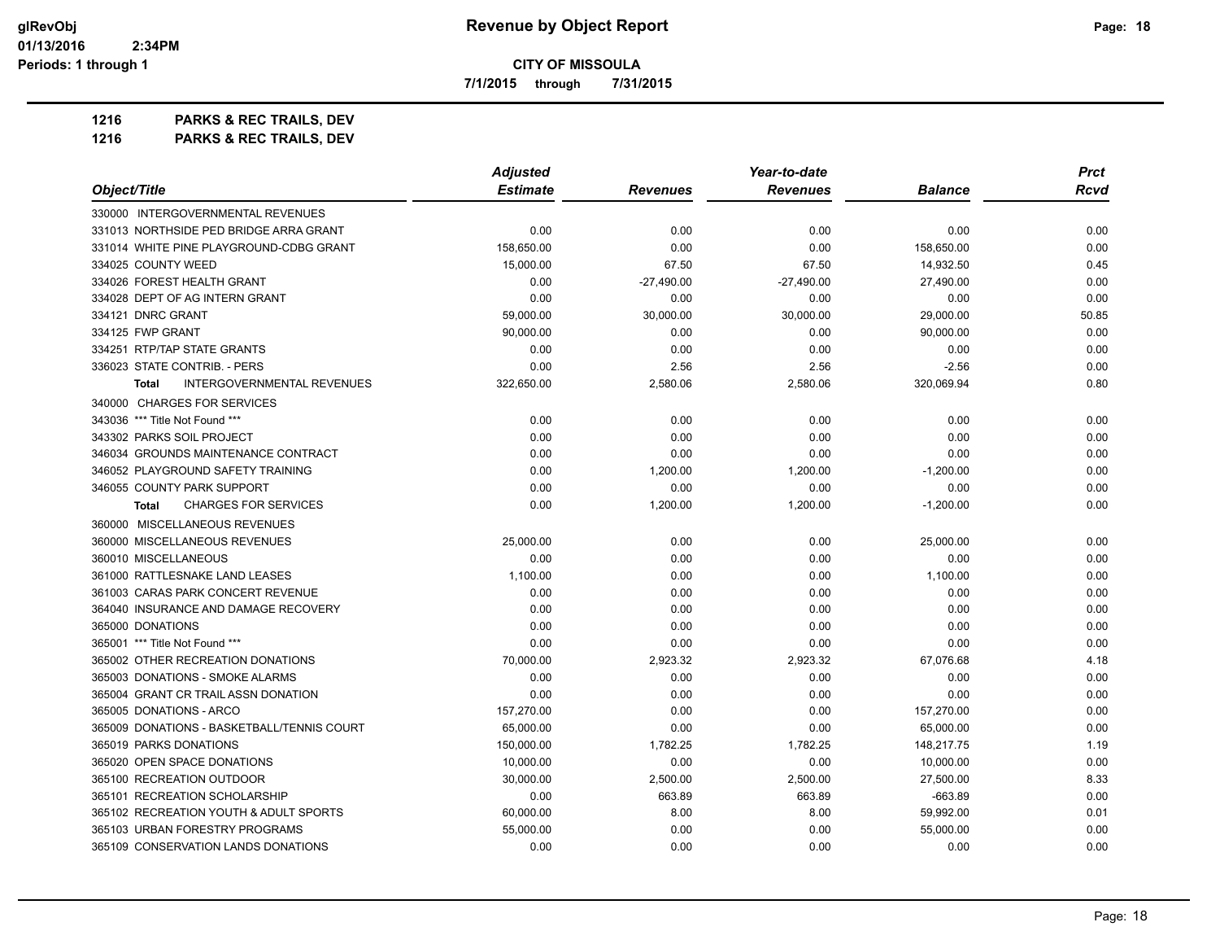**7/1/2015 through 7/31/2015**

**1216 PARKS & REC TRAILS, DEV 1216 PARKS & REC TRAILS, DEV**

|                                                   | <b>Adjusted</b> |                 | Year-to-date    |                | Prct        |
|---------------------------------------------------|-----------------|-----------------|-----------------|----------------|-------------|
| Object/Title                                      | <b>Estimate</b> | <b>Revenues</b> | <b>Revenues</b> | <b>Balance</b> | <b>Rcvd</b> |
| 330000 INTERGOVERNMENTAL REVENUES                 |                 |                 |                 |                |             |
| 331013 NORTHSIDE PED BRIDGE ARRA GRANT            | 0.00            | 0.00            | 0.00            | 0.00           | 0.00        |
| 331014 WHITE PINE PLAYGROUND-CDBG GRANT           | 158,650.00      | 0.00            | 0.00            | 158,650.00     | 0.00        |
| 334025 COUNTY WEED                                | 15,000.00       | 67.50           | 67.50           | 14,932.50      | 0.45        |
| 334026 FOREST HEALTH GRANT                        | 0.00            | $-27,490.00$    | $-27,490.00$    | 27,490.00      | 0.00        |
| 334028 DEPT OF AG INTERN GRANT                    | 0.00            | 0.00            | 0.00            | 0.00           | 0.00        |
| 334121 DNRC GRANT                                 | 59,000.00       | 30,000.00       | 30,000.00       | 29,000.00      | 50.85       |
| 334125 FWP GRANT                                  | 90,000.00       | 0.00            | 0.00            | 90,000.00      | 0.00        |
| 334251 RTP/TAP STATE GRANTS                       | 0.00            | 0.00            | 0.00            | 0.00           | 0.00        |
| 336023 STATE CONTRIB. - PERS                      | 0.00            | 2.56            | 2.56            | $-2.56$        | 0.00        |
| <b>INTERGOVERNMENTAL REVENUES</b><br><b>Total</b> | 322,650.00      | 2,580.06        | 2,580.06        | 320,069.94     | 0.80        |
| 340000 CHARGES FOR SERVICES                       |                 |                 |                 |                |             |
| 343036 *** Title Not Found ***                    | 0.00            | 0.00            | 0.00            | 0.00           | 0.00        |
| 343302 PARKS SOIL PROJECT                         | 0.00            | 0.00            | 0.00            | 0.00           | 0.00        |
| 346034 GROUNDS MAINTENANCE CONTRACT               | 0.00            | 0.00            | 0.00            | 0.00           | 0.00        |
| 346052 PLAYGROUND SAFETY TRAINING                 | 0.00            | 1,200.00        | 1,200.00        | $-1,200.00$    | 0.00        |
| 346055 COUNTY PARK SUPPORT                        | 0.00            | 0.00            | 0.00            | 0.00           | 0.00        |
| <b>CHARGES FOR SERVICES</b><br><b>Total</b>       | 0.00            | 1,200.00        | 1,200.00        | $-1,200.00$    | 0.00        |
| 360000 MISCELLANEOUS REVENUES                     |                 |                 |                 |                |             |
| 360000 MISCELLANEOUS REVENUES                     | 25,000.00       | 0.00            | 0.00            | 25,000.00      | 0.00        |
| 360010 MISCELLANEOUS                              | 0.00            | 0.00            | 0.00            | 0.00           | 0.00        |
| 361000 RATTLESNAKE LAND LEASES                    | 1,100.00        | 0.00            | 0.00            | 1,100.00       | 0.00        |
| 361003 CARAS PARK CONCERT REVENUE                 | 0.00            | 0.00            | 0.00            | 0.00           | 0.00        |
| 364040 INSURANCE AND DAMAGE RECOVERY              | 0.00            | 0.00            | 0.00            | 0.00           | 0.00        |
| 365000 DONATIONS                                  | 0.00            | 0.00            | 0.00            | 0.00           | 0.00        |
| 365001 *** Title Not Found ***                    | 0.00            | 0.00            | 0.00            | 0.00           | 0.00        |
| 365002 OTHER RECREATION DONATIONS                 | 70,000.00       | 2,923.32        | 2,923.32        | 67,076.68      | 4.18        |
| 365003 DONATIONS - SMOKE ALARMS                   | 0.00            | 0.00            | 0.00            | 0.00           | 0.00        |
| 365004 GRANT CR TRAIL ASSN DONATION               | 0.00            | 0.00            | 0.00            | 0.00           | 0.00        |
| 365005 DONATIONS - ARCO                           | 157,270.00      | 0.00            | 0.00            | 157,270.00     | 0.00        |
| 365009 DONATIONS - BASKETBALL/TENNIS COURT        | 65,000.00       | 0.00            | 0.00            | 65,000.00      | 0.00        |
| 365019 PARKS DONATIONS                            | 150,000.00      | 1,782.25        | 1,782.25        | 148,217.75     | 1.19        |
| 365020 OPEN SPACE DONATIONS                       | 10,000.00       | 0.00            | 0.00            | 10,000.00      | 0.00        |
| 365100 RECREATION OUTDOOR                         | 30,000.00       | 2,500.00        | 2,500.00        | 27,500.00      | 8.33        |
| 365101 RECREATION SCHOLARSHIP                     | 0.00            | 663.89          | 663.89          | $-663.89$      | 0.00        |
| 365102 RECREATION YOUTH & ADULT SPORTS            | 60,000.00       | 8.00            | 8.00            | 59,992.00      | 0.01        |
| 365103 URBAN FORESTRY PROGRAMS                    | 55,000.00       | 0.00            | 0.00            | 55,000.00      | 0.00        |
| 365109 CONSERVATION LANDS DONATIONS               | 0.00            | 0.00            | 0.00            | 0.00           | 0.00        |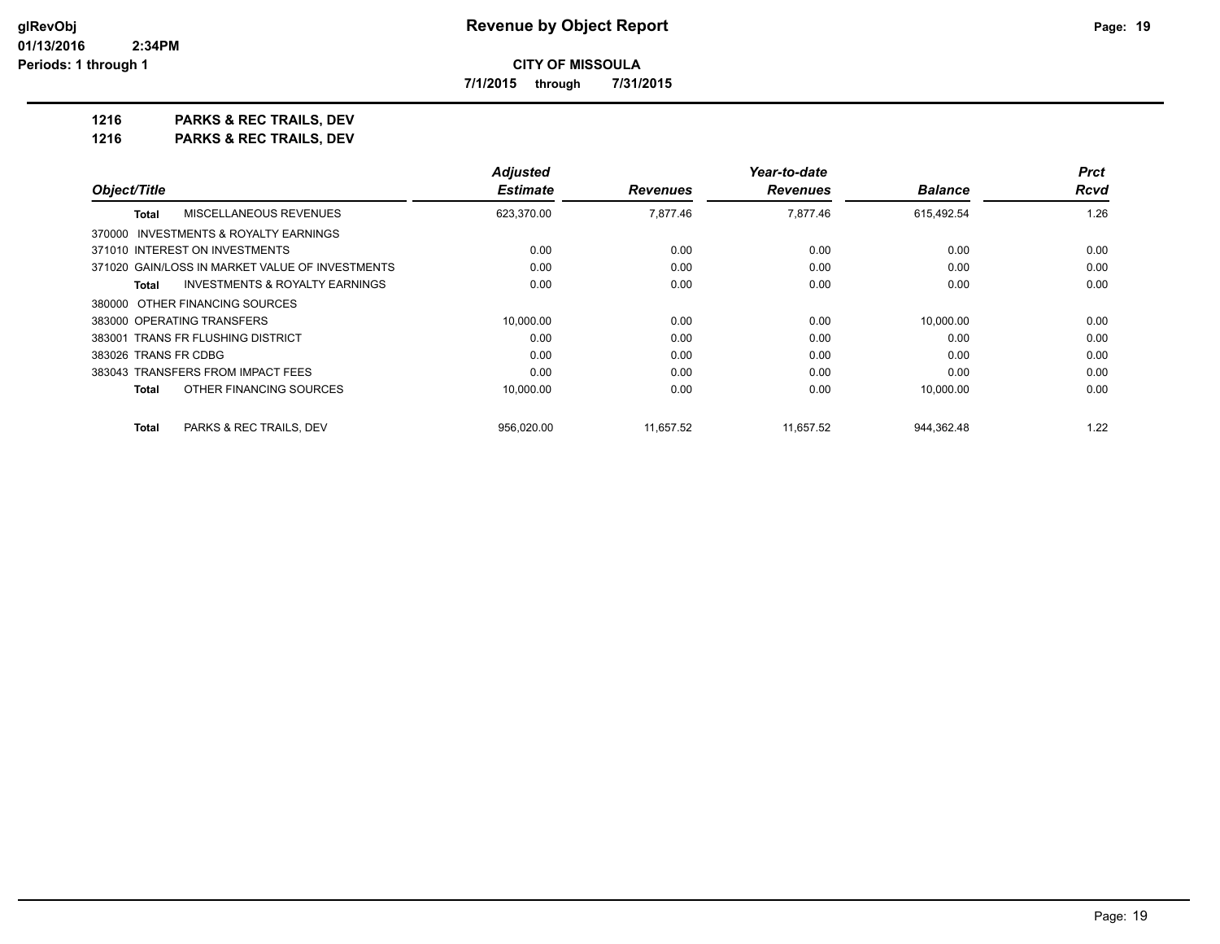**7/1/2015 through 7/31/2015**

**1216 PARKS & REC TRAILS, DEV 1216 PARKS & REC TRAILS, DEV**

|                                                 | <b>Adjusted</b> |                 | Year-to-date    |                | Prct |
|-------------------------------------------------|-----------------|-----------------|-----------------|----------------|------|
| Object/Title                                    | <b>Estimate</b> | <b>Revenues</b> | <b>Revenues</b> | <b>Balance</b> | Rcvd |
| MISCELLANEOUS REVENUES<br>Total                 | 623,370.00      | 7,877.46        | 7,877.46        | 615,492.54     | 1.26 |
| 370000 INVESTMENTS & ROYALTY EARNINGS           |                 |                 |                 |                |      |
| 371010 INTEREST ON INVESTMENTS                  | 0.00            | 0.00            | 0.00            | 0.00           | 0.00 |
| 371020 GAIN/LOSS IN MARKET VALUE OF INVESTMENTS | 0.00            | 0.00            | 0.00            | 0.00           | 0.00 |
| INVESTMENTS & ROYALTY EARNINGS<br>Total         | 0.00            | 0.00            | 0.00            | 0.00           | 0.00 |
| 380000 OTHER FINANCING SOURCES                  |                 |                 |                 |                |      |
| 383000 OPERATING TRANSFERS                      | 10.000.00       | 0.00            | 0.00            | 10.000.00      | 0.00 |
| 383001 TRANS FR FLUSHING DISTRICT               | 0.00            | 0.00            | 0.00            | 0.00           | 0.00 |
| 383026 TRANS FR CDBG                            | 0.00            | 0.00            | 0.00            | 0.00           | 0.00 |
| 383043 TRANSFERS FROM IMPACT FEES               | 0.00            | 0.00            | 0.00            | 0.00           | 0.00 |
| OTHER FINANCING SOURCES<br>Total                | 10,000.00       | 0.00            | 0.00            | 10.000.00      | 0.00 |
| PARKS & REC TRAILS, DEV<br>Total                | 956.020.00      | 11.657.52       | 11.657.52       | 944.362.48     | 1.22 |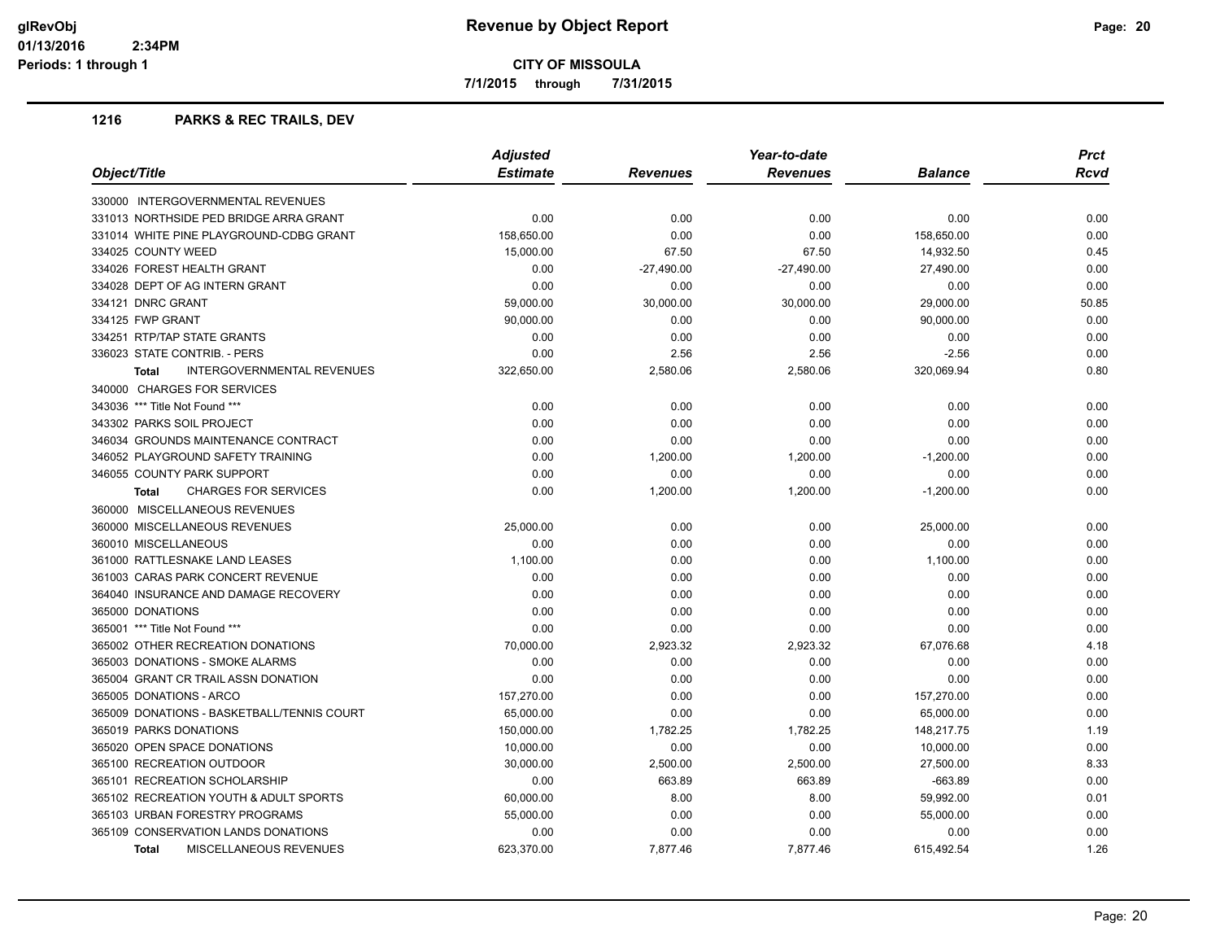**7/1/2015 through 7/31/2015**

## **1216 PARKS & REC TRAILS, DEV**

| Object/Title                                | <b>Adjusted</b><br><b>Estimate</b> |              |                 |                | <b>Prct</b> |
|---------------------------------------------|------------------------------------|--------------|-----------------|----------------|-------------|
|                                             |                                    | Revenues     | <b>Revenues</b> | <b>Balance</b> | <b>Rcvd</b> |
| 330000 INTERGOVERNMENTAL REVENUES           |                                    |              |                 |                |             |
| 331013 NORTHSIDE PED BRIDGE ARRA GRANT      | 0.00                               | 0.00         | 0.00            | 0.00           | 0.00        |
| 331014 WHITE PINE PLAYGROUND-CDBG GRANT     | 158,650.00                         | 0.00         | 0.00            | 158,650.00     | 0.00        |
| 334025 COUNTY WEED                          | 15,000.00                          | 67.50        | 67.50           | 14,932.50      | 0.45        |
| 334026 FOREST HEALTH GRANT                  | 0.00                               | $-27,490.00$ | $-27,490.00$    | 27,490.00      | 0.00        |
| 334028 DEPT OF AG INTERN GRANT              | 0.00                               | 0.00         | 0.00            | 0.00           | 0.00        |
| 334121 DNRC GRANT                           | 59,000.00                          | 30,000.00    | 30,000.00       | 29,000.00      | 50.85       |
| 334125 FWP GRANT                            | 90,000.00                          | 0.00         | 0.00            | 90,000.00      | 0.00        |
| 334251 RTP/TAP STATE GRANTS                 | 0.00                               | 0.00         | 0.00            | 0.00           | 0.00        |
| 336023 STATE CONTRIB. - PERS                | 0.00                               | 2.56         | 2.56            | $-2.56$        | 0.00        |
| INTERGOVERNMENTAL REVENUES<br><b>Total</b>  | 322,650.00                         | 2,580.06     | 2,580.06        | 320,069.94     | 0.80        |
| 340000 CHARGES FOR SERVICES                 |                                    |              |                 |                |             |
| 343036 *** Title Not Found ***              | 0.00                               | 0.00         | 0.00            | 0.00           | 0.00        |
| 343302 PARKS SOIL PROJECT                   | 0.00                               | 0.00         | 0.00            | 0.00           | 0.00        |
| 346034 GROUNDS MAINTENANCE CONTRACT         | 0.00                               | 0.00         | 0.00            | 0.00           | 0.00        |
| 346052 PLAYGROUND SAFETY TRAINING           | 0.00                               | 1,200.00     | 1,200.00        | $-1,200.00$    | 0.00        |
| 346055 COUNTY PARK SUPPORT                  | 0.00                               | 0.00         | 0.00            | 0.00           | 0.00        |
| <b>CHARGES FOR SERVICES</b><br><b>Total</b> | 0.00                               | 1,200.00     | 1,200.00        | $-1,200.00$    | 0.00        |
| 360000 MISCELLANEOUS REVENUES               |                                    |              |                 |                |             |
| 360000 MISCELLANEOUS REVENUES               | 25,000.00                          | 0.00         | 0.00            | 25,000.00      | 0.00        |
| 360010 MISCELLANEOUS                        | 0.00                               | 0.00         | 0.00            | 0.00           | 0.00        |
| 361000 RATTLESNAKE LAND LEASES              | 1,100.00                           | 0.00         | 0.00            | 1,100.00       | 0.00        |
| 361003 CARAS PARK CONCERT REVENUE           | 0.00                               | 0.00         | 0.00            | 0.00           | 0.00        |
| 364040 INSURANCE AND DAMAGE RECOVERY        | 0.00                               | 0.00         | 0.00            | 0.00           | 0.00        |
| 365000 DONATIONS                            | 0.00                               | 0.00         | 0.00            | 0.00           | 0.00        |
| 365001 *** Title Not Found ***              | 0.00                               | 0.00         | 0.00            | 0.00           | 0.00        |
| 365002 OTHER RECREATION DONATIONS           | 70,000.00                          | 2,923.32     | 2,923.32        | 67,076.68      | 4.18        |
| 365003 DONATIONS - SMOKE ALARMS             | 0.00                               | 0.00         | 0.00            | 0.00           | 0.00        |
| 365004 GRANT CR TRAIL ASSN DONATION         | 0.00                               | 0.00         | 0.00            | 0.00           | 0.00        |
| 365005 DONATIONS - ARCO                     | 157,270.00                         | 0.00         | 0.00            | 157,270.00     | 0.00        |
| 365009 DONATIONS - BASKETBALL/TENNIS COURT  | 65,000.00                          | 0.00         | 0.00            | 65,000.00      | 0.00        |
| 365019 PARKS DONATIONS                      | 150,000.00                         | 1,782.25     | 1,782.25        | 148,217.75     | 1.19        |
| 365020 OPEN SPACE DONATIONS                 | 10,000.00                          | 0.00         | 0.00            | 10.000.00      | 0.00        |
| 365100 RECREATION OUTDOOR                   | 30,000.00                          | 2,500.00     | 2,500.00        | 27,500.00      | 8.33        |
| 365101 RECREATION SCHOLARSHIP               | 0.00                               | 663.89       | 663.89          | $-663.89$      | 0.00        |
| 365102 RECREATION YOUTH & ADULT SPORTS      | 60,000.00                          | 8.00         | 8.00            | 59,992.00      | 0.01        |
| 365103 URBAN FORESTRY PROGRAMS              | 55,000.00                          | 0.00         | 0.00            | 55,000.00      | 0.00        |
| 365109 CONSERVATION LANDS DONATIONS         | 0.00                               | 0.00         | 0.00            | 0.00           | 0.00        |
| <b>MISCELLANEOUS REVENUES</b><br>Total      | 623.370.00                         | 7.877.46     | 7.877.46        | 615.492.54     | 1.26        |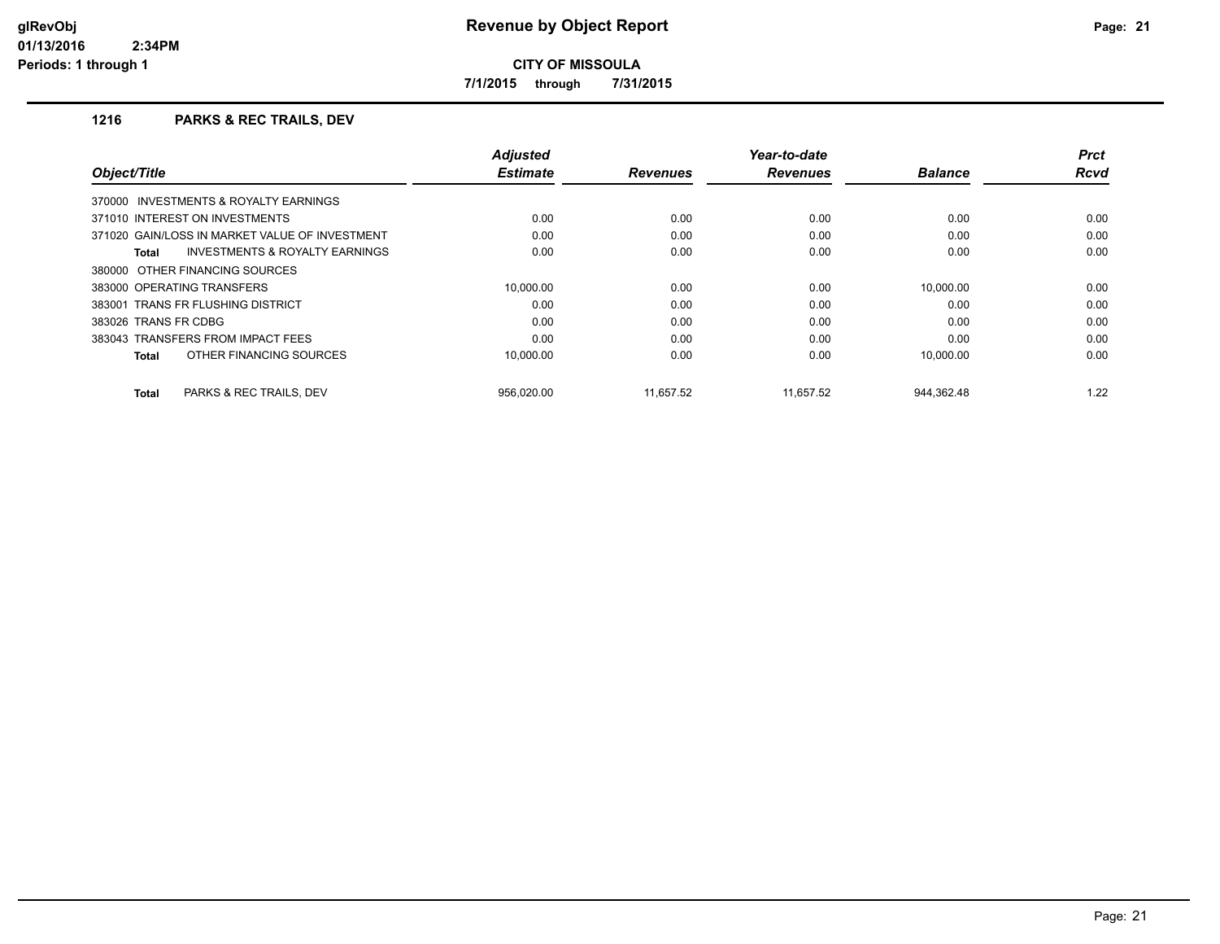**7/1/2015 through 7/31/2015**

## **1216 PARKS & REC TRAILS, DEV**

|                                                    | <b>Adjusted</b> |                 | Year-to-date    |                | <b>Prct</b> |
|----------------------------------------------------|-----------------|-----------------|-----------------|----------------|-------------|
| Object/Title                                       | <b>Estimate</b> | <b>Revenues</b> | <b>Revenues</b> | <b>Balance</b> | <b>Rcvd</b> |
| 370000 INVESTMENTS & ROYALTY EARNINGS              |                 |                 |                 |                |             |
| 371010 INTEREST ON INVESTMENTS                     | 0.00            | 0.00            | 0.00            | 0.00           | 0.00        |
| 371020 GAIN/LOSS IN MARKET VALUE OF INVESTMENT     | 0.00            | 0.00            | 0.00            | 0.00           | 0.00        |
| <b>INVESTMENTS &amp; ROYALTY EARNINGS</b><br>Total | 0.00            | 0.00            | 0.00            | 0.00           | 0.00        |
| 380000 OTHER FINANCING SOURCES                     |                 |                 |                 |                |             |
| 383000 OPERATING TRANSFERS                         | 10.000.00       | 0.00            | 0.00            | 10.000.00      | 0.00        |
| 383001 TRANS FR FLUSHING DISTRICT                  | 0.00            | 0.00            | 0.00            | 0.00           | 0.00        |
| 383026 TRANS FR CDBG                               | 0.00            | 0.00            | 0.00            | 0.00           | 0.00        |
| 383043 TRANSFERS FROM IMPACT FEES                  | 0.00            | 0.00            | 0.00            | 0.00           | 0.00        |
| OTHER FINANCING SOURCES<br>Total                   | 10.000.00       | 0.00            | 0.00            | 10.000.00      | 0.00        |
| PARKS & REC TRAILS, DEV<br>Total                   | 956.020.00      | 11.657.52       | 11.657.52       | 944,362.48     | 1.22        |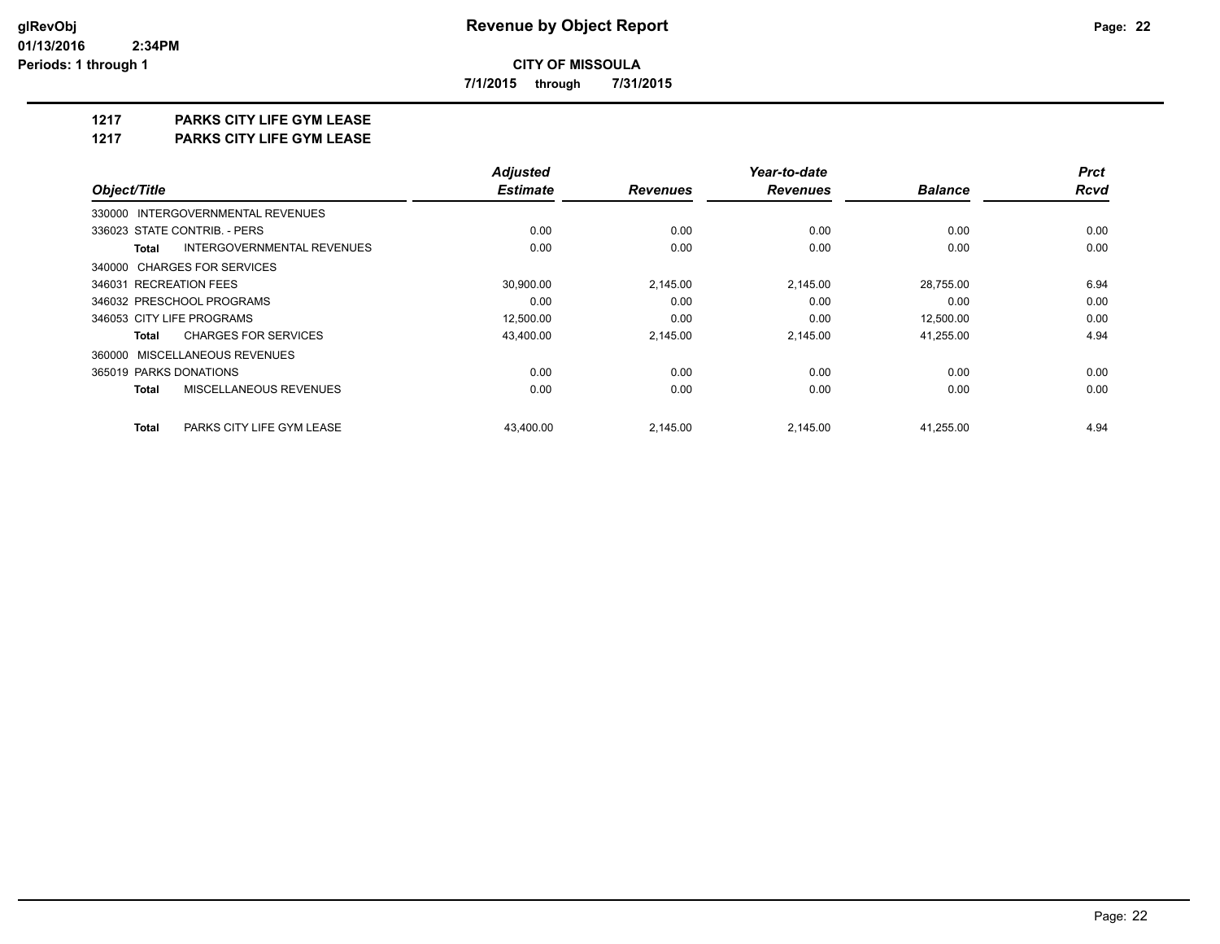**7/1/2015 through 7/31/2015**

## **1217 PARKS CITY LIFE GYM LEASE**

**1217 PARKS CITY LIFE GYM LEASE**

|                                            | <b>Adjusted</b> |                 | Year-to-date    |                |             |  |
|--------------------------------------------|-----------------|-----------------|-----------------|----------------|-------------|--|
| Object/Title                               | <b>Estimate</b> | <b>Revenues</b> | <b>Revenues</b> | <b>Balance</b> | <b>Rcvd</b> |  |
| 330000 INTERGOVERNMENTAL REVENUES          |                 |                 |                 |                |             |  |
| 336023 STATE CONTRIB. - PERS               | 0.00            | 0.00            | 0.00            | 0.00           | 0.00        |  |
| INTERGOVERNMENTAL REVENUES<br><b>Total</b> | 0.00            | 0.00            | 0.00            | 0.00           | 0.00        |  |
| 340000 CHARGES FOR SERVICES                |                 |                 |                 |                |             |  |
| 346031 RECREATION FEES                     | 30,900.00       | 2,145.00        | 2,145.00        | 28,755.00      | 6.94        |  |
| 346032 PRESCHOOL PROGRAMS                  | 0.00            | 0.00            | 0.00            | 0.00           | 0.00        |  |
| 346053 CITY LIFE PROGRAMS                  | 12,500.00       | 0.00            | 0.00            | 12,500.00      | 0.00        |  |
| <b>CHARGES FOR SERVICES</b><br>Total       | 43,400.00       | 2,145.00        | 2,145.00        | 41,255.00      | 4.94        |  |
| 360000 MISCELLANEOUS REVENUES              |                 |                 |                 |                |             |  |
| 365019 PARKS DONATIONS                     | 0.00            | 0.00            | 0.00            | 0.00           | 0.00        |  |
| MISCELLANEOUS REVENUES<br><b>Total</b>     | 0.00            | 0.00            | 0.00            | 0.00           | 0.00        |  |
| <b>Total</b><br>PARKS CITY LIFE GYM LEASE  | 43.400.00       | 2.145.00        | 2.145.00        | 41.255.00      | 4.94        |  |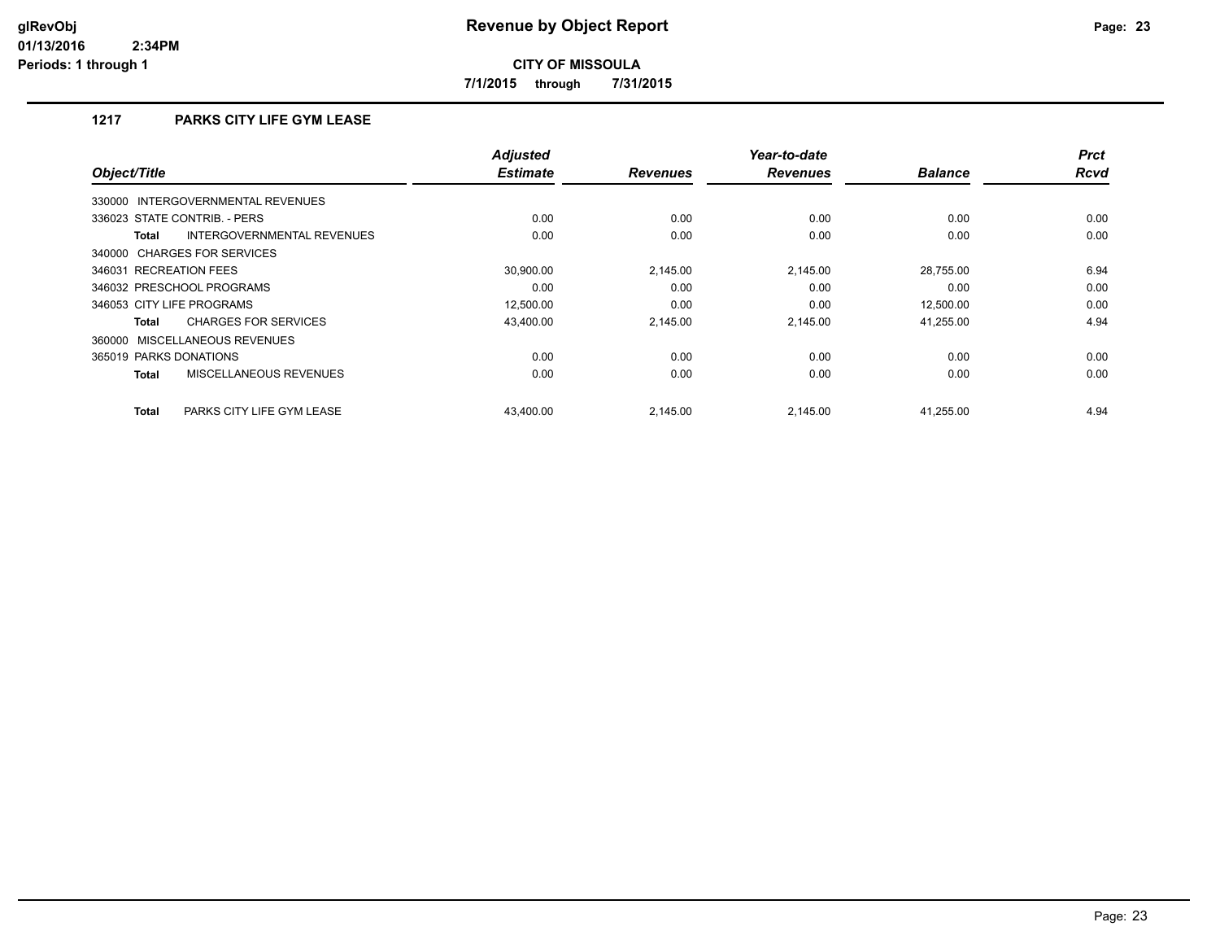**7/1/2015 through 7/31/2015**

## **1217 PARKS CITY LIFE GYM LEASE**

| Object/Title                                | <b>Adjusted</b><br><b>Estimate</b> | <b>Revenues</b> | Year-to-date<br><b>Revenues</b> | <b>Balance</b> | <b>Prct</b><br><b>Rcvd</b> |
|---------------------------------------------|------------------------------------|-----------------|---------------------------------|----------------|----------------------------|
| 330000 INTERGOVERNMENTAL REVENUES           |                                    |                 |                                 |                |                            |
| 336023 STATE CONTRIB. - PERS                | 0.00                               | 0.00            | 0.00                            | 0.00           | 0.00                       |
| INTERGOVERNMENTAL REVENUES<br><b>Total</b>  | 0.00                               | 0.00            | 0.00                            | 0.00           | 0.00                       |
| 340000 CHARGES FOR SERVICES                 |                                    |                 |                                 |                |                            |
| 346031 RECREATION FEES                      | 30.900.00                          | 2,145.00        | 2,145.00                        | 28,755.00      | 6.94                       |
| 346032 PRESCHOOL PROGRAMS                   | 0.00                               | 0.00            | 0.00                            | 0.00           | 0.00                       |
| 346053 CITY LIFE PROGRAMS                   | 12,500.00                          | 0.00            | 0.00                            | 12.500.00      | 0.00                       |
| <b>CHARGES FOR SERVICES</b><br><b>Total</b> | 43,400.00                          | 2.145.00        | 2.145.00                        | 41,255.00      | 4.94                       |
| 360000 MISCELLANEOUS REVENUES               |                                    |                 |                                 |                |                            |
| 365019 PARKS DONATIONS                      | 0.00                               | 0.00            | 0.00                            | 0.00           | 0.00                       |
| MISCELLANEOUS REVENUES<br><b>Total</b>      | 0.00                               | 0.00            | 0.00                            | 0.00           | 0.00                       |
| <b>Total</b><br>PARKS CITY LIFE GYM LEASE   | 43.400.00                          | 2.145.00        | 2.145.00                        | 41.255.00      | 4.94                       |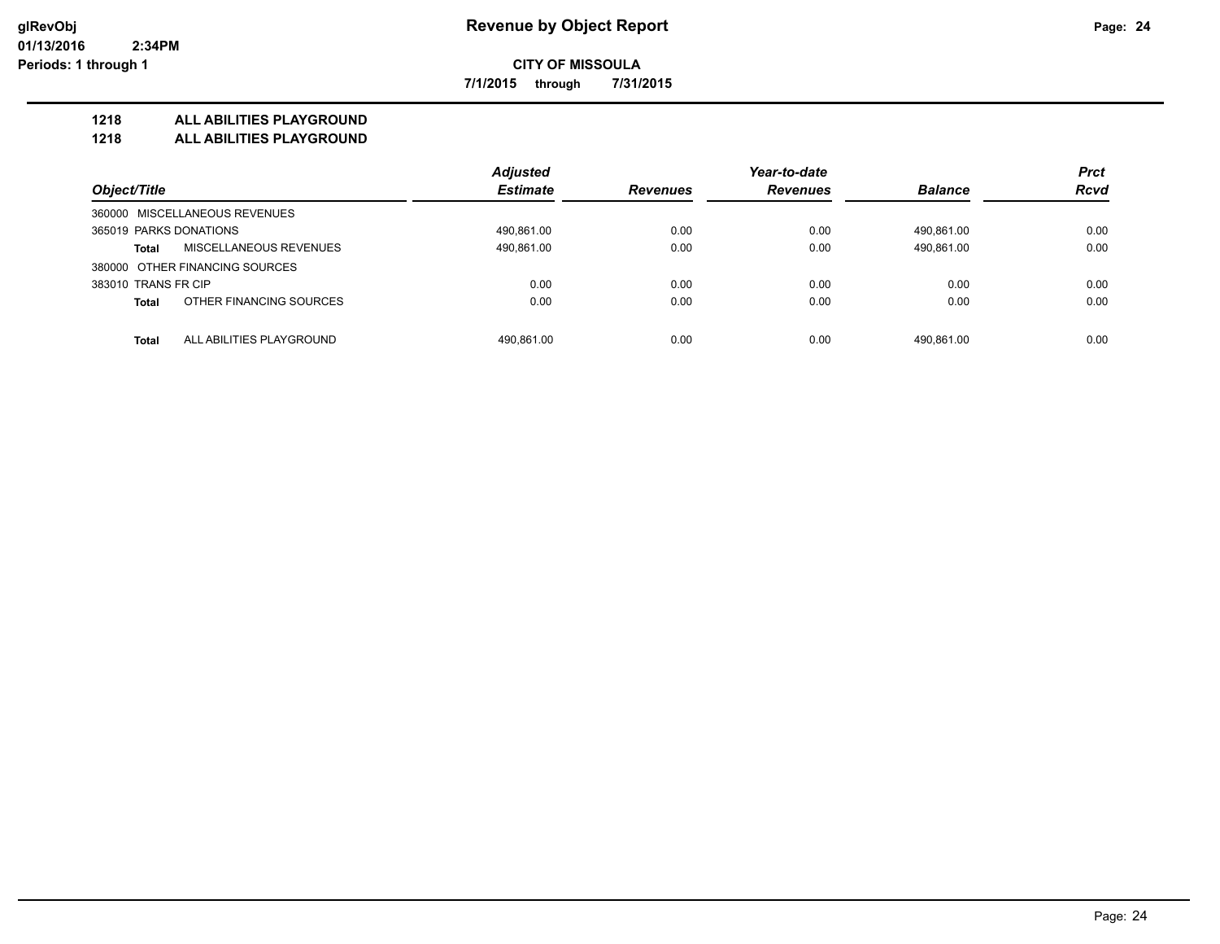**7/1/2015 through 7/31/2015**

#### **1218 ALL ABILITIES PLAYGROUND**

**1218 ALL ABILITIES PLAYGROUND**

|                                   | <b>Adjusted</b> |                 | Year-to-date    |                | <b>Prct</b> |
|-----------------------------------|-----------------|-----------------|-----------------|----------------|-------------|
| Object/Title                      | <b>Estimate</b> | <b>Revenues</b> | <b>Revenues</b> | <b>Balance</b> | <b>Rcvd</b> |
| 360000 MISCELLANEOUS REVENUES     |                 |                 |                 |                |             |
| 365019 PARKS DONATIONS            | 490.861.00      | 0.00            | 0.00            | 490.861.00     | 0.00        |
| MISCELLANEOUS REVENUES<br>Total   | 490,861.00      | 0.00            | 0.00            | 490.861.00     | 0.00        |
| 380000 OTHER FINANCING SOURCES    |                 |                 |                 |                |             |
| 383010 TRANS FR CIP               | 0.00            | 0.00            | 0.00            | 0.00           | 0.00        |
| OTHER FINANCING SOURCES<br>Total  | 0.00            | 0.00            | 0.00            | 0.00           | 0.00        |
|                                   |                 |                 |                 |                |             |
| ALL ABILITIES PLAYGROUND<br>Total | 490.861.00      | 0.00            | 0.00            | 490.861.00     | 0.00        |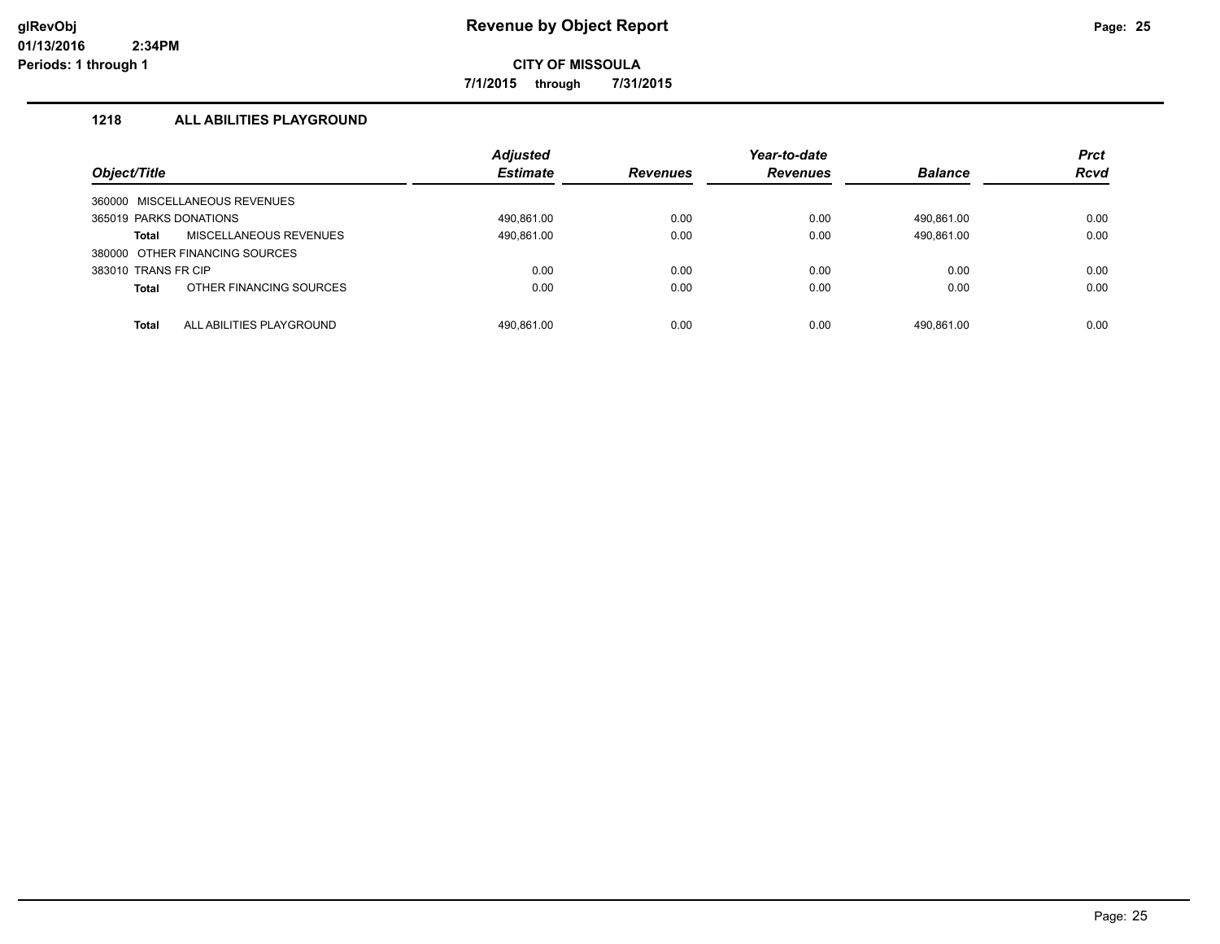**7/1/2015 through 7/31/2015**

## **1218 ALL ABILITIES PLAYGROUND**

| Object/Title                             | <b>Adjusted</b><br><b>Estimate</b> | <b>Revenues</b> | Year-to-date<br><b>Revenues</b> | <b>Balance</b> | <b>Prct</b><br><b>Rcvd</b> |
|------------------------------------------|------------------------------------|-----------------|---------------------------------|----------------|----------------------------|
| 360000 MISCELLANEOUS REVENUES            |                                    |                 |                                 |                |                            |
| 365019 PARKS DONATIONS                   | 490.861.00                         | 0.00            | 0.00                            | 490.861.00     | 0.00                       |
| MISCELLANEOUS REVENUES<br>Total          | 490,861.00                         | 0.00            | 0.00                            | 490,861.00     | 0.00                       |
| 380000 OTHER FINANCING SOURCES           |                                    |                 |                                 |                |                            |
| 383010 TRANS FR CIP                      | 0.00                               | 0.00            | 0.00                            | 0.00           | 0.00                       |
| OTHER FINANCING SOURCES<br>Total         | 0.00                               | 0.00            | 0.00                            | 0.00           | 0.00                       |
|                                          |                                    |                 |                                 |                |                            |
| ALL ABILITIES PLAYGROUND<br><b>Total</b> | 490.861.00                         | 0.00            | 0.00                            | 490.861.00     | 0.00                       |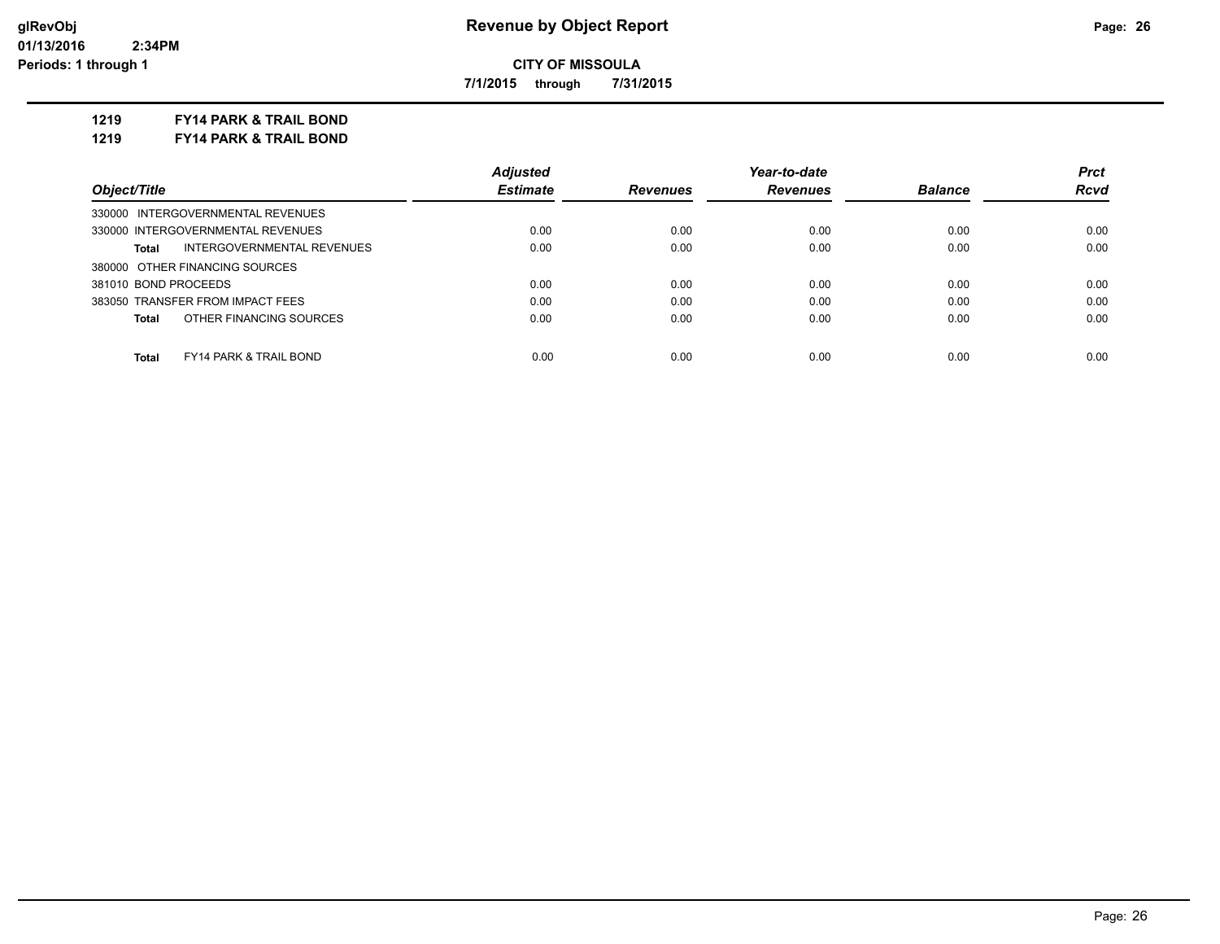**7/1/2015 through 7/31/2015**

**1219 FY14 PARK & TRAIL BOND**

**1219 FY14 PARK & TRAIL BOND**

|                                            | <b>Adjusted</b> |                 | Year-to-date    |                | <b>Prct</b> |
|--------------------------------------------|-----------------|-----------------|-----------------|----------------|-------------|
| Object/Title                               | <b>Estimate</b> | <b>Revenues</b> | <b>Revenues</b> | <b>Balance</b> | Rcvd        |
| 330000 INTERGOVERNMENTAL REVENUES          |                 |                 |                 |                |             |
| 330000 INTERGOVERNMENTAL REVENUES          | 0.00            | 0.00            | 0.00            | 0.00           | 0.00        |
| INTERGOVERNMENTAL REVENUES<br><b>Total</b> | 0.00            | 0.00            | 0.00            | 0.00           | 0.00        |
| 380000 OTHER FINANCING SOURCES             |                 |                 |                 |                |             |
| 381010 BOND PROCEEDS                       | 0.00            | 0.00            | 0.00            | 0.00           | 0.00        |
| 383050 TRANSFER FROM IMPACT FEES           | 0.00            | 0.00            | 0.00            | 0.00           | 0.00        |
| OTHER FINANCING SOURCES<br><b>Total</b>    | 0.00            | 0.00            | 0.00            | 0.00           | 0.00        |
|                                            |                 |                 |                 |                |             |
| <b>FY14 PARK &amp; TRAIL BOND</b><br>Total | 0.00            | 0.00            | 0.00            | 0.00           | 0.00        |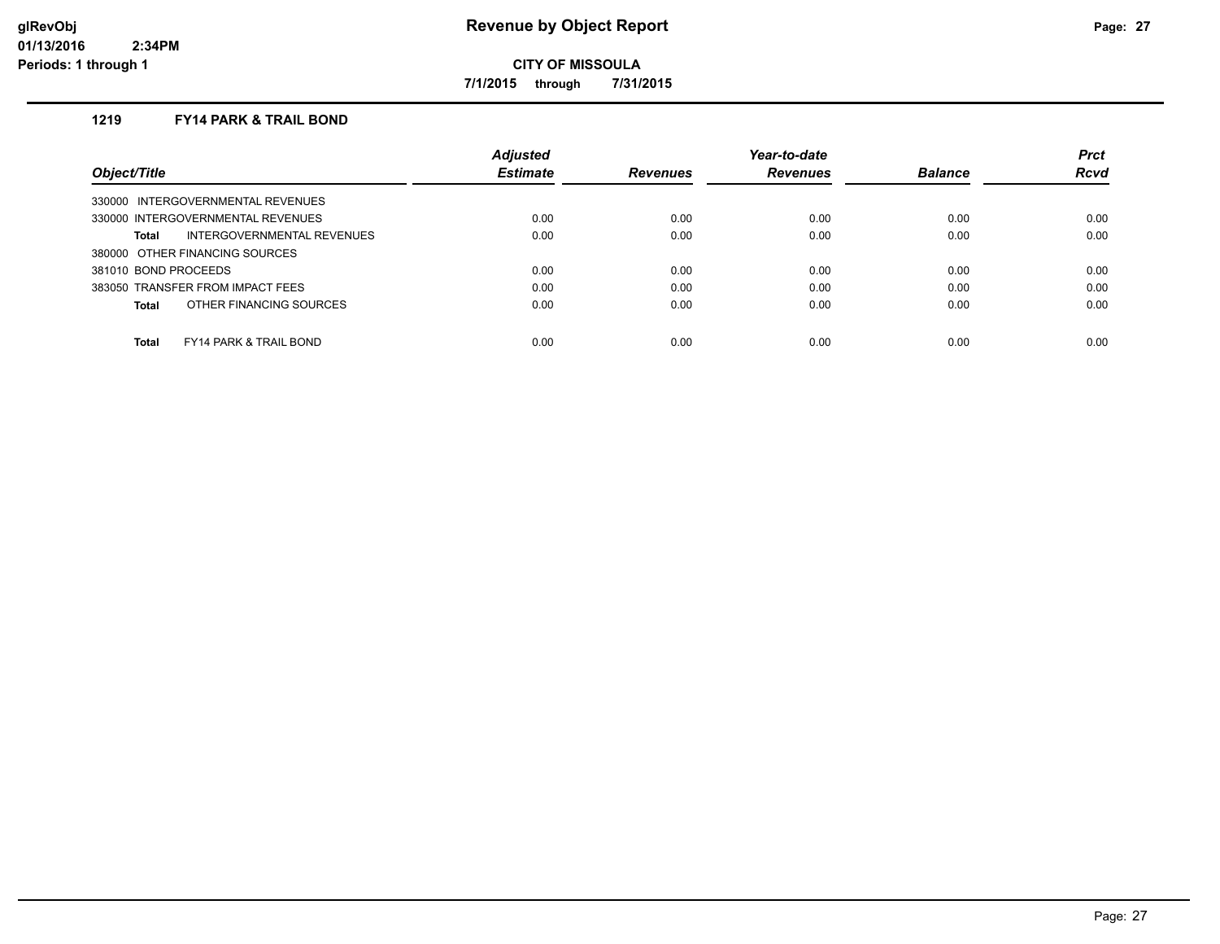**7/1/2015 through 7/31/2015**

## **1219 FY14 PARK & TRAIL BOND**

|                                            | <b>Adjusted</b> |                 | Year-to-date    |                | <b>Prct</b> |
|--------------------------------------------|-----------------|-----------------|-----------------|----------------|-------------|
| Object/Title                               | <b>Estimate</b> | <b>Revenues</b> | <b>Revenues</b> | <b>Balance</b> | <b>Rcvd</b> |
| INTERGOVERNMENTAL REVENUES<br>330000       |                 |                 |                 |                |             |
| 330000 INTERGOVERNMENTAL REVENUES          | 0.00            | 0.00            | 0.00            | 0.00           | 0.00        |
| INTERGOVERNMENTAL REVENUES<br><b>Total</b> | 0.00            | 0.00            | 0.00            | 0.00           | 0.00        |
| 380000 OTHER FINANCING SOURCES             |                 |                 |                 |                |             |
| 381010 BOND PROCEEDS                       | 0.00            | 0.00            | 0.00            | 0.00           | 0.00        |
| 383050 TRANSFER FROM IMPACT FEES           | 0.00            | 0.00            | 0.00            | 0.00           | 0.00        |
| OTHER FINANCING SOURCES<br>Total           | 0.00            | 0.00            | 0.00            | 0.00           | 0.00        |
|                                            |                 |                 |                 |                |             |
| Total<br><b>FY14 PARK &amp; TRAIL BOND</b> | 0.00            | 0.00            | 0.00            | 0.00           | 0.00        |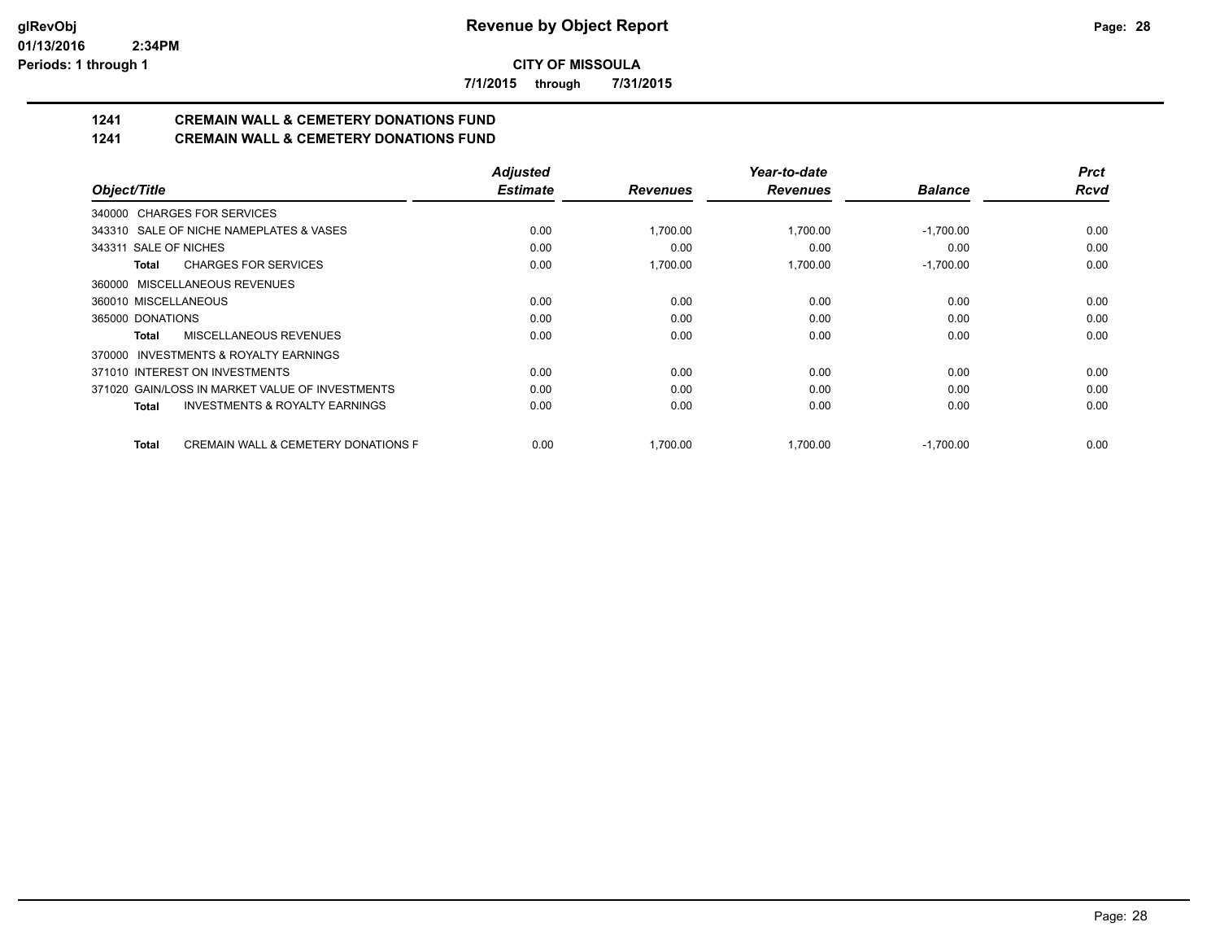**7/1/2015 through 7/31/2015**

# **1241 CREMAIN WALL & CEMETERY DONATIONS FUND**

## **1241 CREMAIN WALL & CEMETERY DONATIONS FUND**

|                                                                | <b>Adjusted</b> |                 | Year-to-date    |                | <b>Prct</b> |
|----------------------------------------------------------------|-----------------|-----------------|-----------------|----------------|-------------|
| Object/Title                                                   | <b>Estimate</b> | <b>Revenues</b> | <b>Revenues</b> | <b>Balance</b> | <b>Rcvd</b> |
| 340000 CHARGES FOR SERVICES                                    |                 |                 |                 |                |             |
| 343310 SALE OF NICHE NAMEPLATES & VASES                        | 0.00            | 1,700.00        | 1.700.00        | $-1,700.00$    | 0.00        |
| 343311 SALE OF NICHES                                          | 0.00            | 0.00            | 0.00            | 0.00           | 0.00        |
| <b>CHARGES FOR SERVICES</b><br>Total                           | 0.00            | 1.700.00        | 1,700.00        | $-1,700.00$    | 0.00        |
| MISCELLANEOUS REVENUES<br>360000                               |                 |                 |                 |                |             |
| 360010 MISCELLANEOUS                                           | 0.00            | 0.00            | 0.00            | 0.00           | 0.00        |
| 365000 DONATIONS                                               | 0.00            | 0.00            | 0.00            | 0.00           | 0.00        |
| MISCELLANEOUS REVENUES<br>Total                                | 0.00            | 0.00            | 0.00            | 0.00           | 0.00        |
| <b>INVESTMENTS &amp; ROYALTY EARNINGS</b><br>370000            |                 |                 |                 |                |             |
| 371010 INTEREST ON INVESTMENTS                                 | 0.00            | 0.00            | 0.00            | 0.00           | 0.00        |
| 371020 GAIN/LOSS IN MARKET VALUE OF INVESTMENTS                | 0.00            | 0.00            | 0.00            | 0.00           | 0.00        |
| <b>INVESTMENTS &amp; ROYALTY EARNINGS</b><br><b>Total</b>      | 0.00            | 0.00            | 0.00            | 0.00           | 0.00        |
| <b>CREMAIN WALL &amp; CEMETERY DONATIONS F</b><br><b>Total</b> | 0.00            | 1.700.00        | 1,700.00        | $-1,700.00$    | 0.00        |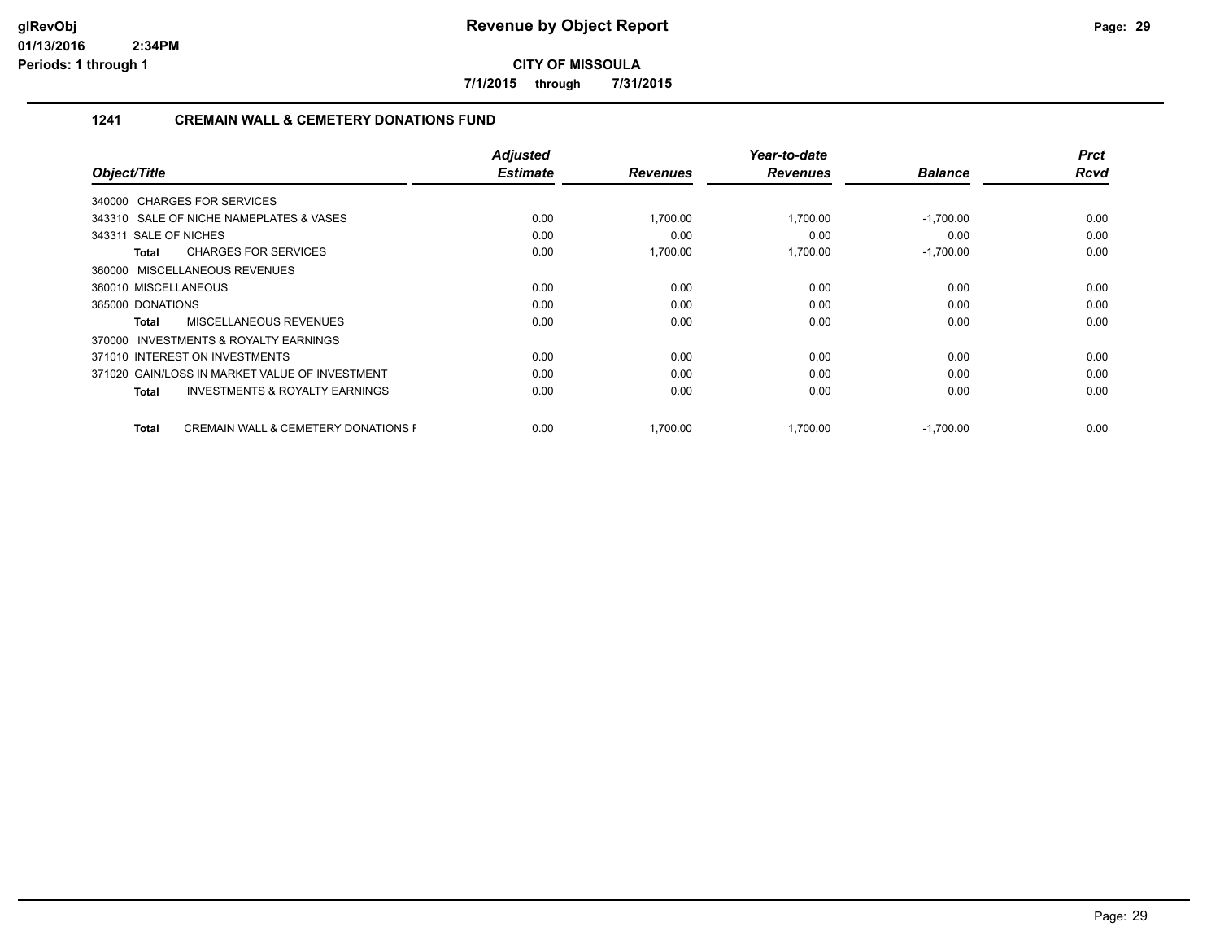**7/1/2015 through 7/31/2015**

#### **1241 CREMAIN WALL & CEMETERY DONATIONS FUND**

| Object/Title                                            | <b>Adjusted</b><br><b>Estimate</b> | <b>Revenues</b> | Year-to-date<br><b>Revenues</b> | <b>Balance</b> | <b>Prct</b><br><b>Rcvd</b> |
|---------------------------------------------------------|------------------------------------|-----------------|---------------------------------|----------------|----------------------------|
|                                                         |                                    |                 |                                 |                |                            |
| 340000 CHARGES FOR SERVICES                             |                                    |                 |                                 |                |                            |
| 343310 SALE OF NICHE NAMEPLATES & VASES                 | 0.00                               | 1,700.00        | 1,700.00                        | $-1,700.00$    | 0.00                       |
| 343311 SALE OF NICHES                                   | 0.00                               | 0.00            | 0.00                            | 0.00           | 0.00                       |
| <b>CHARGES FOR SERVICES</b><br>Total                    | 0.00                               | 1,700.00        | 1,700.00                        | $-1,700.00$    | 0.00                       |
| 360000 MISCELLANEOUS REVENUES                           |                                    |                 |                                 |                |                            |
| 360010 MISCELLANEOUS                                    | 0.00                               | 0.00            | 0.00                            | 0.00           | 0.00                       |
| 365000 DONATIONS                                        | 0.00                               | 0.00            | 0.00                            | 0.00           | 0.00                       |
| MISCELLANEOUS REVENUES<br>Total                         | 0.00                               | 0.00            | 0.00                            | 0.00           | 0.00                       |
| <b>INVESTMENTS &amp; ROYALTY EARNINGS</b><br>370000     |                                    |                 |                                 |                |                            |
| 371010 INTEREST ON INVESTMENTS                          | 0.00                               | 0.00            | 0.00                            | 0.00           | 0.00                       |
| 371020 GAIN/LOSS IN MARKET VALUE OF INVESTMENT          | 0.00                               | 0.00            | 0.00                            | 0.00           | 0.00                       |
| <b>INVESTMENTS &amp; ROYALTY EARNINGS</b><br>Total      | 0.00                               | 0.00            | 0.00                            | 0.00           | 0.00                       |
| <b>CREMAIN WALL &amp; CEMETERY DONATIONS F</b><br>Total | 0.00                               | 1,700.00        | 1,700.00                        | $-1,700.00$    | 0.00                       |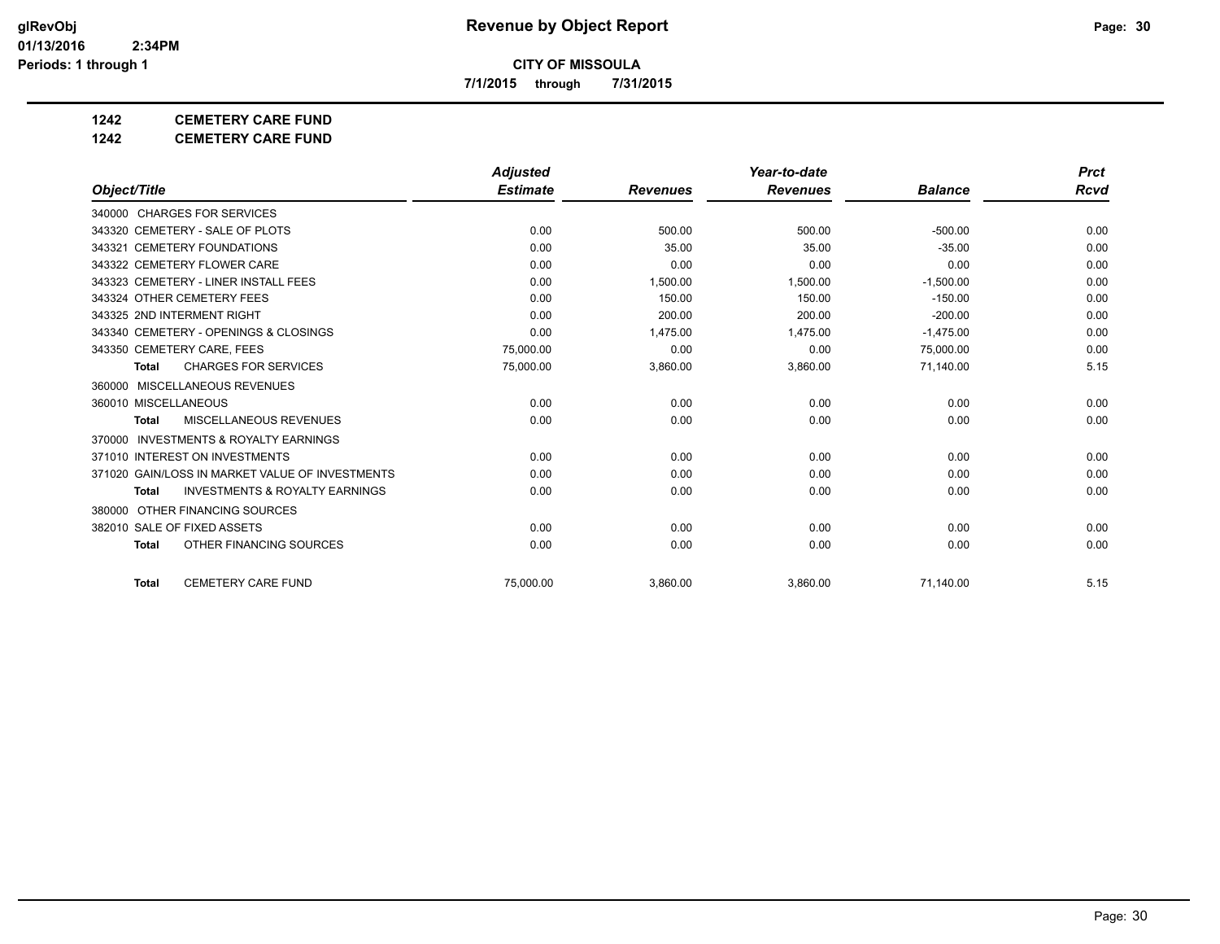**7/1/2015 through 7/31/2015**

## **1242 CEMETERY CARE FUND**

**1242 CEMETERY CARE FUND**

|                                                           | <b>Adjusted</b> |                 | Year-to-date    |                | <b>Prct</b> |
|-----------------------------------------------------------|-----------------|-----------------|-----------------|----------------|-------------|
| Object/Title                                              | <b>Estimate</b> | <b>Revenues</b> | <b>Revenues</b> | <b>Balance</b> | Rcvd        |
| 340000 CHARGES FOR SERVICES                               |                 |                 |                 |                |             |
| 343320 CEMETERY - SALE OF PLOTS                           | 0.00            | 500.00          | 500.00          | $-500.00$      | 0.00        |
| 343321 CEMETERY FOUNDATIONS                               | 0.00            | 35.00           | 35.00           | $-35.00$       | 0.00        |
| 343322 CEMETERY FLOWER CARE                               | 0.00            | 0.00            | 0.00            | 0.00           | 0.00        |
| 343323 CEMETERY - LINER INSTALL FEES                      | 0.00            | 1,500.00        | 1,500.00        | $-1,500.00$    | 0.00        |
| 343324 OTHER CEMETERY FEES                                | 0.00            | 150.00          | 150.00          | $-150.00$      | 0.00        |
| 343325 2ND INTERMENT RIGHT                                | 0.00            | 200.00          | 200.00          | $-200.00$      | 0.00        |
| 343340 CEMETERY - OPENINGS & CLOSINGS                     | 0.00            | 1,475.00        | 1,475.00        | $-1,475.00$    | 0.00        |
| 343350 CEMETERY CARE, FEES                                | 75,000.00       | 0.00            | 0.00            | 75,000.00      | 0.00        |
| <b>CHARGES FOR SERVICES</b><br><b>Total</b>               | 75,000.00       | 3,860.00        | 3,860.00        | 71,140.00      | 5.15        |
| 360000 MISCELLANEOUS REVENUES                             |                 |                 |                 |                |             |
| 360010 MISCELLANEOUS                                      | 0.00            | 0.00            | 0.00            | 0.00           | 0.00        |
| <b>MISCELLANEOUS REVENUES</b><br><b>Total</b>             | 0.00            | 0.00            | 0.00            | 0.00           | 0.00        |
| <b>INVESTMENTS &amp; ROYALTY EARNINGS</b><br>370000       |                 |                 |                 |                |             |
| 371010 INTEREST ON INVESTMENTS                            | 0.00            | 0.00            | 0.00            | 0.00           | 0.00        |
| 371020 GAIN/LOSS IN MARKET VALUE OF INVESTMENTS           | 0.00            | 0.00            | 0.00            | 0.00           | 0.00        |
| <b>INVESTMENTS &amp; ROYALTY EARNINGS</b><br><b>Total</b> | 0.00            | 0.00            | 0.00            | 0.00           | 0.00        |
| 380000 OTHER FINANCING SOURCES                            |                 |                 |                 |                |             |
| 382010 SALE OF FIXED ASSETS                               | 0.00            | 0.00            | 0.00            | 0.00           | 0.00        |
| OTHER FINANCING SOURCES<br><b>Total</b>                   | 0.00            | 0.00            | 0.00            | 0.00           | 0.00        |
| <b>CEMETERY CARE FUND</b><br><b>Total</b>                 | 75.000.00       | 3,860.00        | 3,860.00        | 71,140.00      | 5.15        |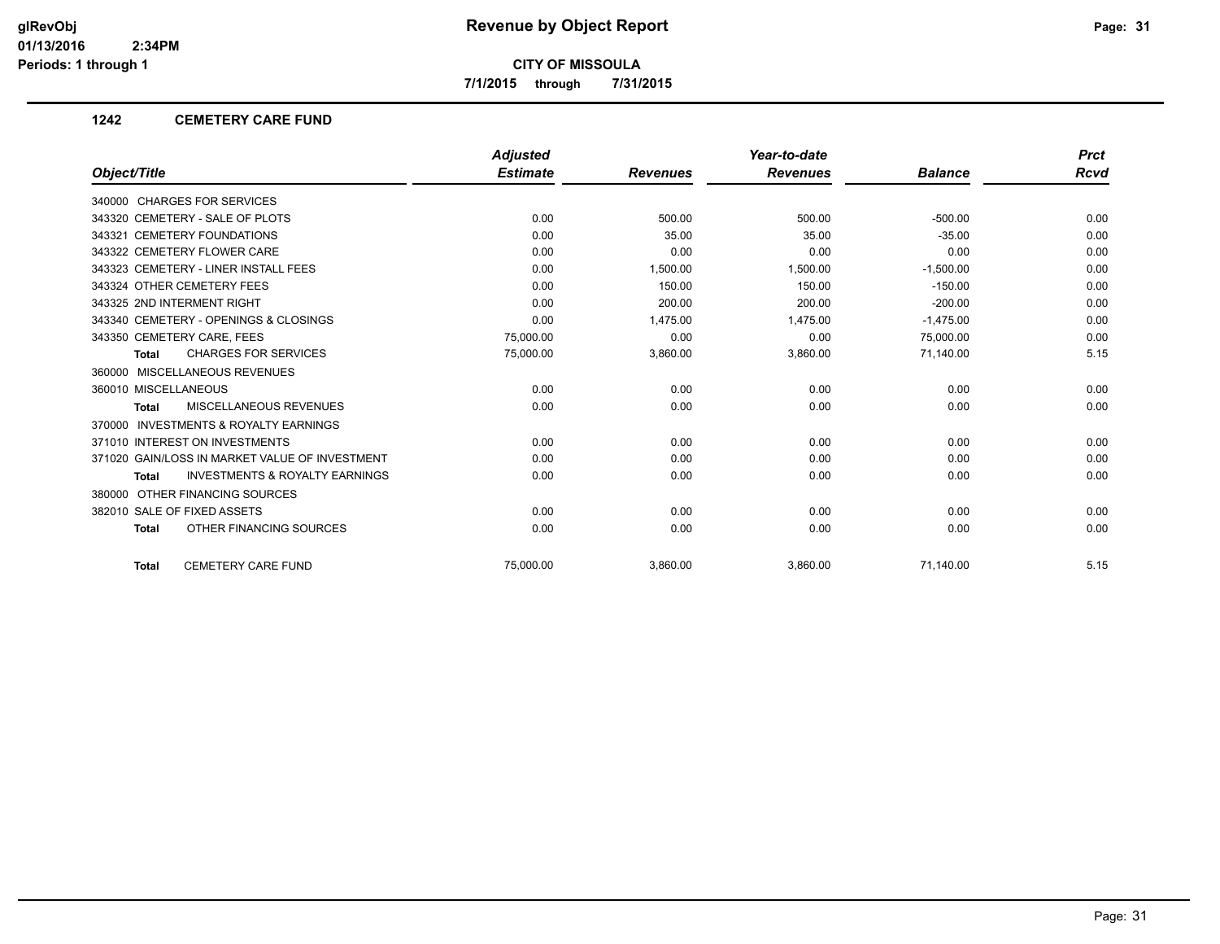**7/1/2015 through 7/31/2015**

#### **1242 CEMETERY CARE FUND**

|                                                           | <b>Adjusted</b> |                 | Year-to-date    |                | <b>Prct</b> |
|-----------------------------------------------------------|-----------------|-----------------|-----------------|----------------|-------------|
| Object/Title                                              | <b>Estimate</b> | <b>Revenues</b> | <b>Revenues</b> | <b>Balance</b> | <b>Rcvd</b> |
| 340000 CHARGES FOR SERVICES                               |                 |                 |                 |                |             |
| 343320 CEMETERY - SALE OF PLOTS                           | 0.00            | 500.00          | 500.00          | $-500.00$      | 0.00        |
| 343321 CEMETERY FOUNDATIONS                               | 0.00            | 35.00           | 35.00           | $-35.00$       | 0.00        |
| 343322 CEMETERY FLOWER CARE                               | 0.00            | 0.00            | 0.00            | 0.00           | 0.00        |
| 343323 CEMETERY - LINER INSTALL FEES                      | 0.00            | 1,500.00        | 1,500.00        | $-1,500.00$    | 0.00        |
| 343324 OTHER CEMETERY FEES                                | 0.00            | 150.00          | 150.00          | $-150.00$      | 0.00        |
| 343325 2ND INTERMENT RIGHT                                | 0.00            | 200.00          | 200.00          | $-200.00$      | 0.00        |
| 343340 CEMETERY - OPENINGS & CLOSINGS                     | 0.00            | 1,475.00        | 1,475.00        | $-1,475.00$    | 0.00        |
| 343350 CEMETERY CARE, FEES                                | 75,000.00       | 0.00            | 0.00            | 75,000.00      | 0.00        |
| <b>CHARGES FOR SERVICES</b><br><b>Total</b>               | 75,000.00       | 3,860.00        | 3,860.00        | 71,140.00      | 5.15        |
| 360000 MISCELLANEOUS REVENUES                             |                 |                 |                 |                |             |
| 360010 MISCELLANEOUS                                      | 0.00            | 0.00            | 0.00            | 0.00           | 0.00        |
| <b>MISCELLANEOUS REVENUES</b><br><b>Total</b>             | 0.00            | 0.00            | 0.00            | 0.00           | 0.00        |
| 370000 INVESTMENTS & ROYALTY EARNINGS                     |                 |                 |                 |                |             |
| 371010 INTEREST ON INVESTMENTS                            | 0.00            | 0.00            | 0.00            | 0.00           | 0.00        |
| 371020 GAIN/LOSS IN MARKET VALUE OF INVESTMENT            | 0.00            | 0.00            | 0.00            | 0.00           | 0.00        |
| <b>INVESTMENTS &amp; ROYALTY EARNINGS</b><br><b>Total</b> | 0.00            | 0.00            | 0.00            | 0.00           | 0.00        |
| 380000 OTHER FINANCING SOURCES                            |                 |                 |                 |                |             |
| 382010 SALE OF FIXED ASSETS                               | 0.00            | 0.00            | 0.00            | 0.00           | 0.00        |
| OTHER FINANCING SOURCES<br><b>Total</b>                   | 0.00            | 0.00            | 0.00            | 0.00           | 0.00        |
| <b>CEMETERY CARE FUND</b><br><b>Total</b>                 | 75,000.00       | 3,860.00        | 3,860.00        | 71.140.00      | 5.15        |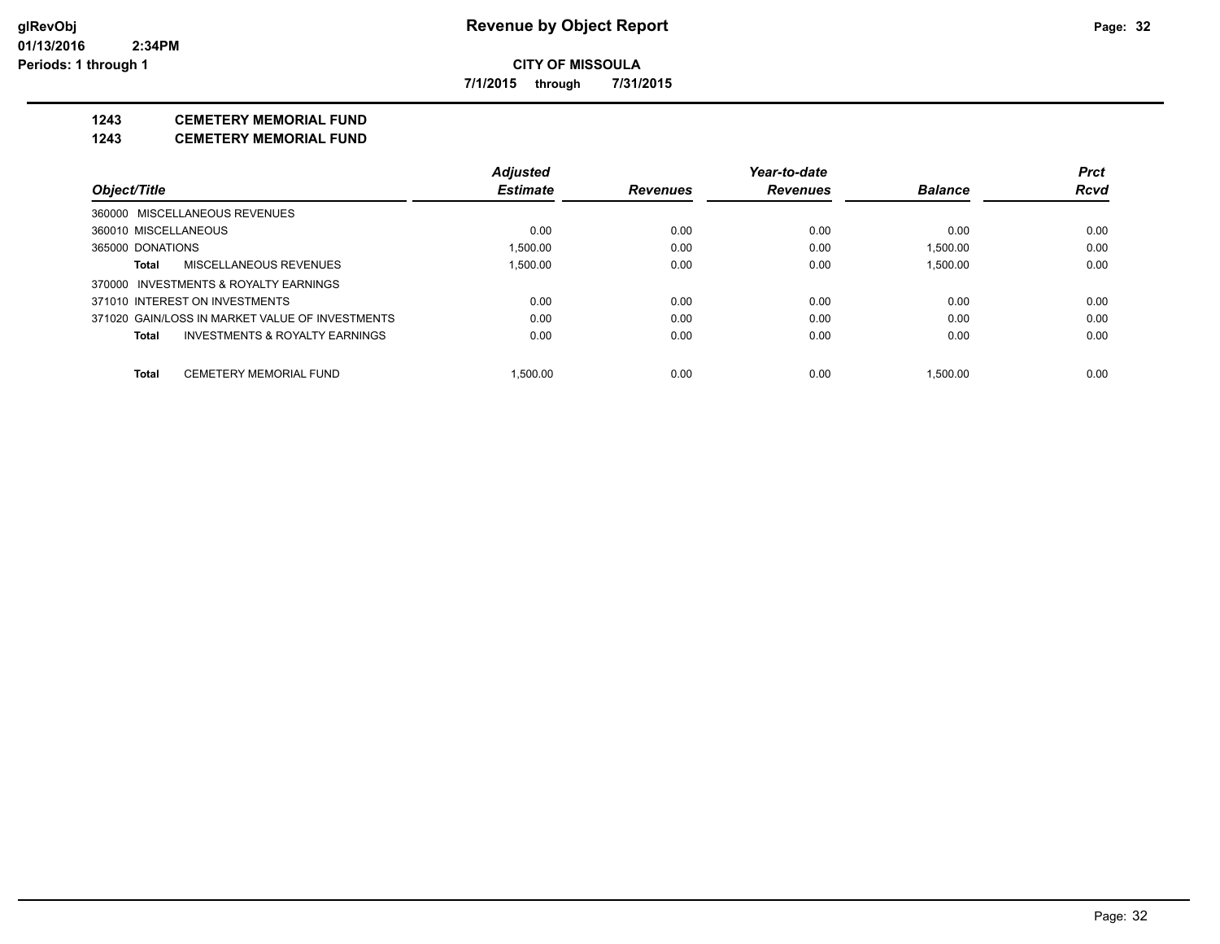**7/1/2015 through 7/31/2015**

## **1243 CEMETERY MEMORIAL FUND**

**1243 CEMETERY MEMORIAL FUND**

|                                                 | <b>Adjusted</b> |                 | Year-to-date    |                | <b>Prct</b> |
|-------------------------------------------------|-----------------|-----------------|-----------------|----------------|-------------|
| Object/Title                                    | <b>Estimate</b> | <b>Revenues</b> | <b>Revenues</b> | <b>Balance</b> | <b>Rcvd</b> |
| 360000 MISCELLANEOUS REVENUES                   |                 |                 |                 |                |             |
| 360010 MISCELLANEOUS                            | 0.00            | 0.00            | 0.00            | 0.00           | 0.00        |
| 365000 DONATIONS                                | 1.500.00        | 0.00            | 0.00            | 1.500.00       | 0.00        |
| MISCELLANEOUS REVENUES<br>Total                 | 1.500.00        | 0.00            | 0.00            | 1.500.00       | 0.00        |
| 370000 INVESTMENTS & ROYALTY EARNINGS           |                 |                 |                 |                |             |
| 371010 INTEREST ON INVESTMENTS                  | 0.00            | 0.00            | 0.00            | 0.00           | 0.00        |
| 371020 GAIN/LOSS IN MARKET VALUE OF INVESTMENTS | 0.00            | 0.00            | 0.00            | 0.00           | 0.00        |
| INVESTMENTS & ROYALTY EARNINGS<br>Total         | 0.00            | 0.00            | 0.00            | 0.00           | 0.00        |
| <b>CEMETERY MEMORIAL FUND</b><br>Total          | 1.500.00        | 0.00            | 0.00            | 1.500.00       | 0.00        |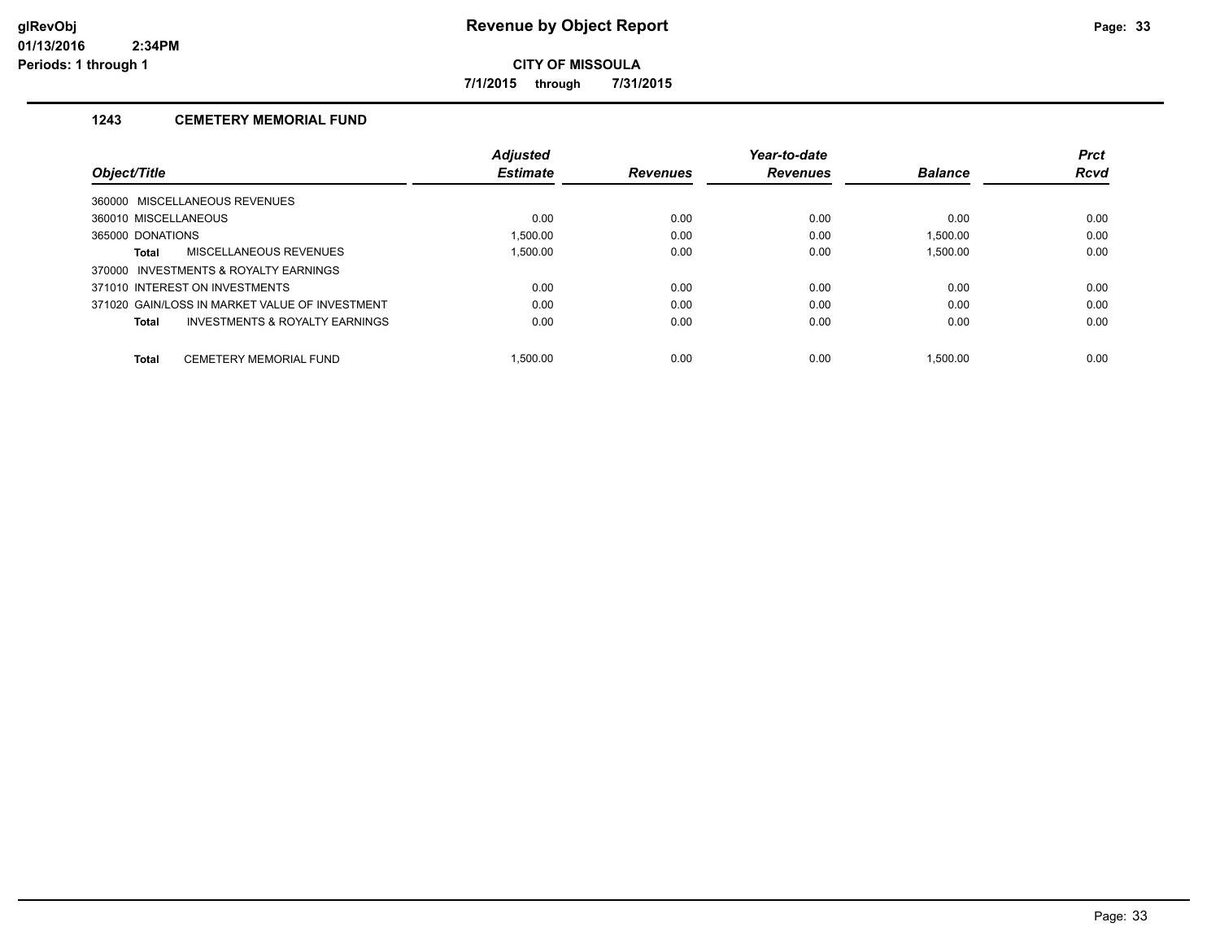**7/1/2015 through 7/31/2015**

## **1243 CEMETERY MEMORIAL FUND**

|                                                    | <b>Adjusted</b> |                 | Year-to-date    |                | <b>Prct</b> |
|----------------------------------------------------|-----------------|-----------------|-----------------|----------------|-------------|
| Object/Title                                       | <b>Estimate</b> | <b>Revenues</b> | <b>Revenues</b> | <b>Balance</b> | <b>Rcvd</b> |
| 360000 MISCELLANEOUS REVENUES                      |                 |                 |                 |                |             |
| 360010 MISCELLANEOUS                               | 0.00            | 0.00            | 0.00            | 0.00           | 0.00        |
| 365000 DONATIONS                                   | 1.500.00        | 0.00            | 0.00            | 1.500.00       | 0.00        |
| MISCELLANEOUS REVENUES<br>Total                    | 1.500.00        | 0.00            | 0.00            | 1.500.00       | 0.00        |
| 370000 INVESTMENTS & ROYALTY EARNINGS              |                 |                 |                 |                |             |
| 371010 INTEREST ON INVESTMENTS                     | 0.00            | 0.00            | 0.00            | 0.00           | 0.00        |
| 371020 GAIN/LOSS IN MARKET VALUE OF INVESTMENT     | 0.00            | 0.00            | 0.00            | 0.00           | 0.00        |
| <b>INVESTMENTS &amp; ROYALTY EARNINGS</b><br>Total | 0.00            | 0.00            | 0.00            | 0.00           | 0.00        |
|                                                    |                 |                 |                 |                |             |
| CEMETERY MEMORIAL FUND<br>Total                    | 1.500.00        | 0.00            | 0.00            | 1.500.00       | 0.00        |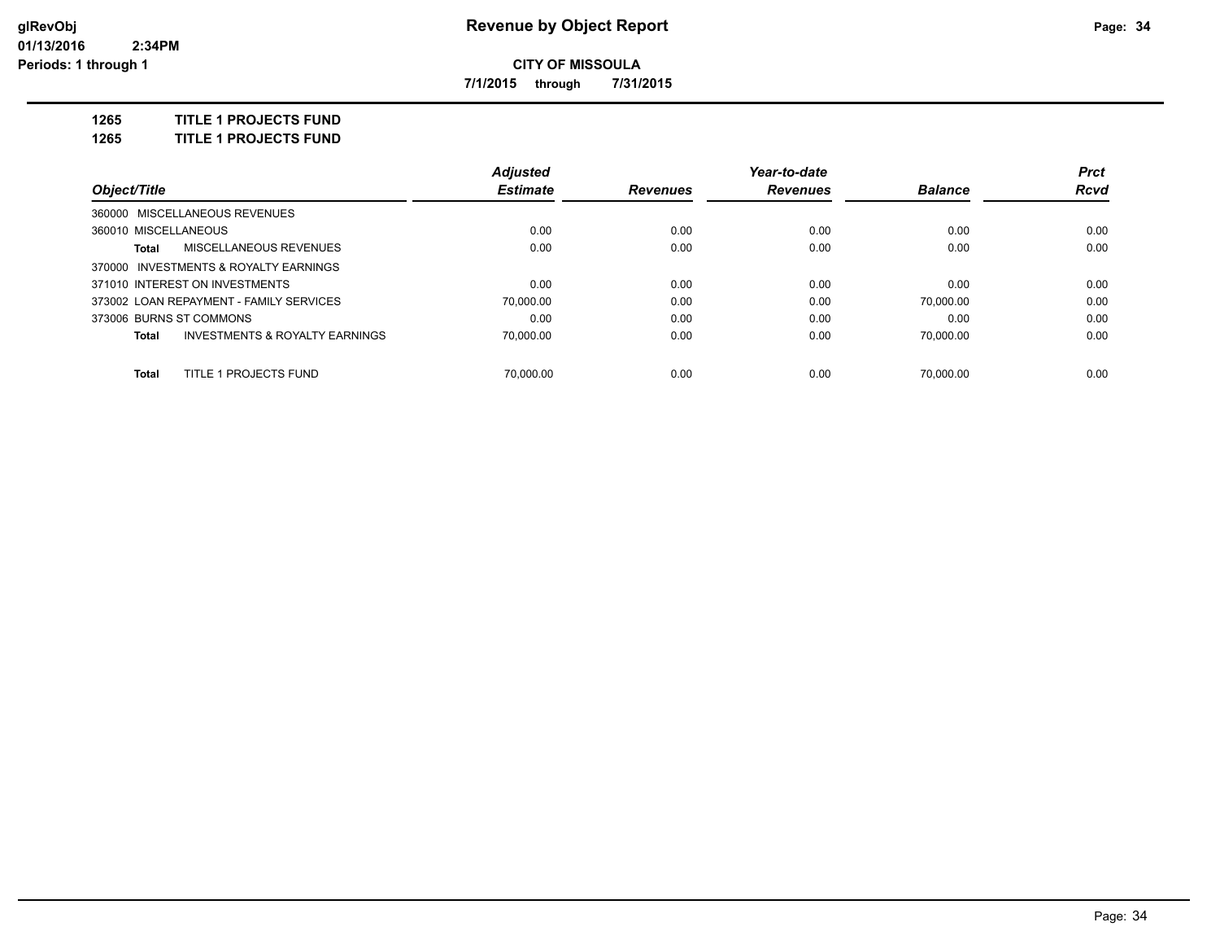**7/1/2015 through 7/31/2015**

**1265 TITLE 1 PROJECTS FUND**

**1265 TITLE 1 PROJECTS FUND**

|                                |                                           | <b>Adjusted</b> |                 | Year-to-date    |                | <b>Prct</b> |
|--------------------------------|-------------------------------------------|-----------------|-----------------|-----------------|----------------|-------------|
| Object/Title                   |                                           | <b>Estimate</b> | <b>Revenues</b> | <b>Revenues</b> | <b>Balance</b> | Rcvd        |
| 360000 MISCELLANEOUS REVENUES  |                                           |                 |                 |                 |                |             |
| 360010 MISCELLANEOUS           |                                           | 0.00            | 0.00            | 0.00            | 0.00           | 0.00        |
| Total                          | MISCELLANEOUS REVENUES                    | 0.00            | 0.00            | 0.00            | 0.00           | 0.00        |
|                                | 370000 INVESTMENTS & ROYALTY EARNINGS     |                 |                 |                 |                |             |
| 371010 INTEREST ON INVESTMENTS |                                           | 0.00            | 0.00            | 0.00            | 0.00           | 0.00        |
|                                | 373002 LOAN REPAYMENT - FAMILY SERVICES   | 70.000.00       | 0.00            | 0.00            | 70.000.00      | 0.00        |
| 373006 BURNS ST COMMONS        |                                           | 0.00            | 0.00            | 0.00            | 0.00           | 0.00        |
| Total                          | <b>INVESTMENTS &amp; ROYALTY EARNINGS</b> | 70.000.00       | 0.00            | 0.00            | 70.000.00      | 0.00        |
| Total                          | TITLE 1 PROJECTS FUND                     | 70.000.00       | 0.00            | 0.00            | 70.000.00      | 0.00        |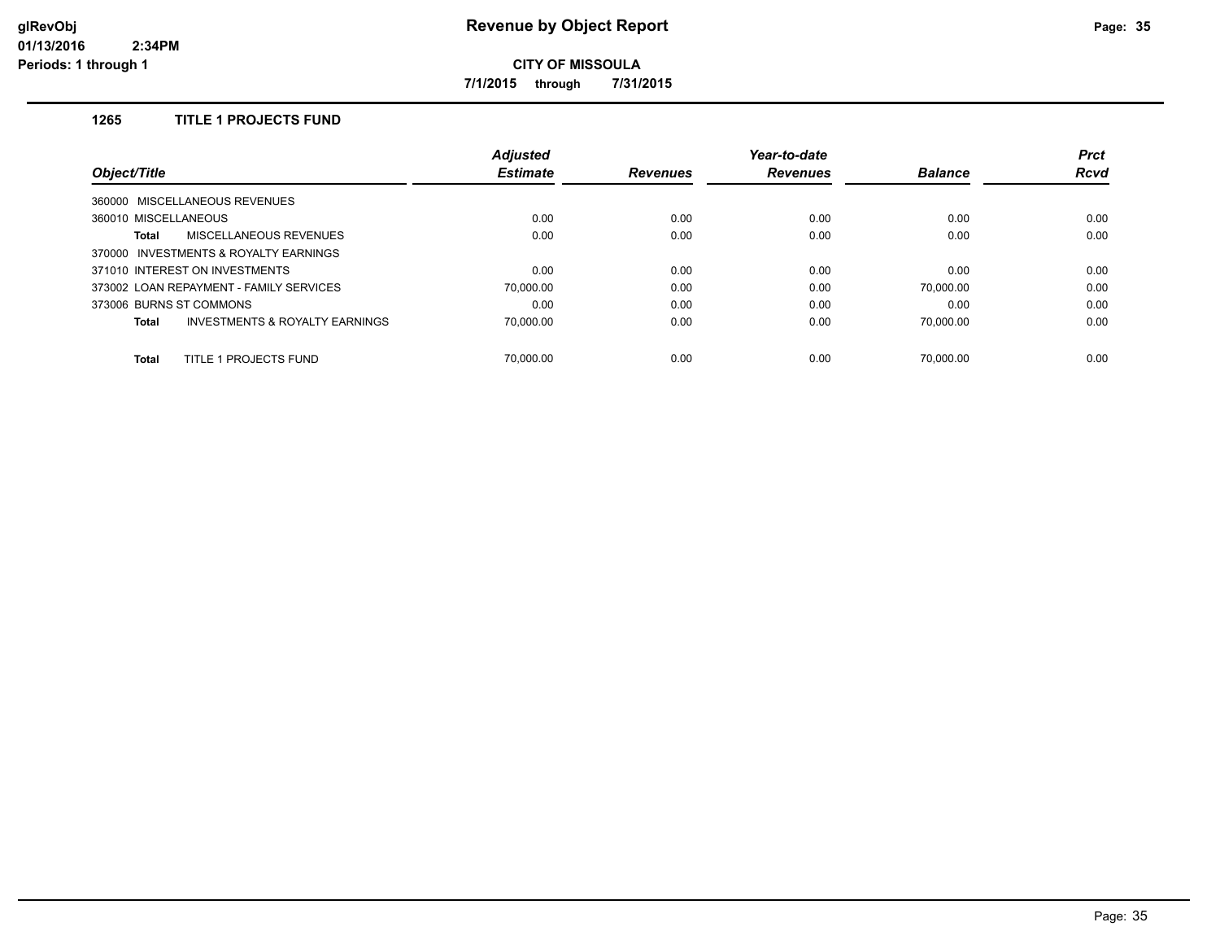**7/1/2015 through 7/31/2015**

## **1265 TITLE 1 PROJECTS FUND**

|                                         | <b>Adjusted</b> |                 | Year-to-date    |                | <b>Prct</b> |
|-----------------------------------------|-----------------|-----------------|-----------------|----------------|-------------|
| Object/Title                            | <b>Estimate</b> | <b>Revenues</b> | <b>Revenues</b> | <b>Balance</b> | <b>Rcvd</b> |
| 360000 MISCELLANEOUS REVENUES           |                 |                 |                 |                |             |
| 360010 MISCELLANEOUS                    | 0.00            | 0.00            | 0.00            | 0.00           | 0.00        |
| MISCELLANEOUS REVENUES<br>Total         | 0.00            | 0.00            | 0.00            | 0.00           | 0.00        |
| 370000 INVESTMENTS & ROYALTY EARNINGS   |                 |                 |                 |                |             |
| 371010 INTEREST ON INVESTMENTS          | 0.00            | 0.00            | 0.00            | 0.00           | 0.00        |
| 373002 LOAN REPAYMENT - FAMILY SERVICES | 70,000.00       | 0.00            | 0.00            | 70,000.00      | 0.00        |
| 373006 BURNS ST COMMONS                 | 0.00            | 0.00            | 0.00            | 0.00           | 0.00        |
| INVESTMENTS & ROYALTY EARNINGS<br>Total | 70,000.00       | 0.00            | 0.00            | 70.000.00      | 0.00        |
| TITLE 1 PROJECTS FUND<br><b>Total</b>   | 70.000.00       | 0.00            | 0.00            | 70.000.00      | 0.00        |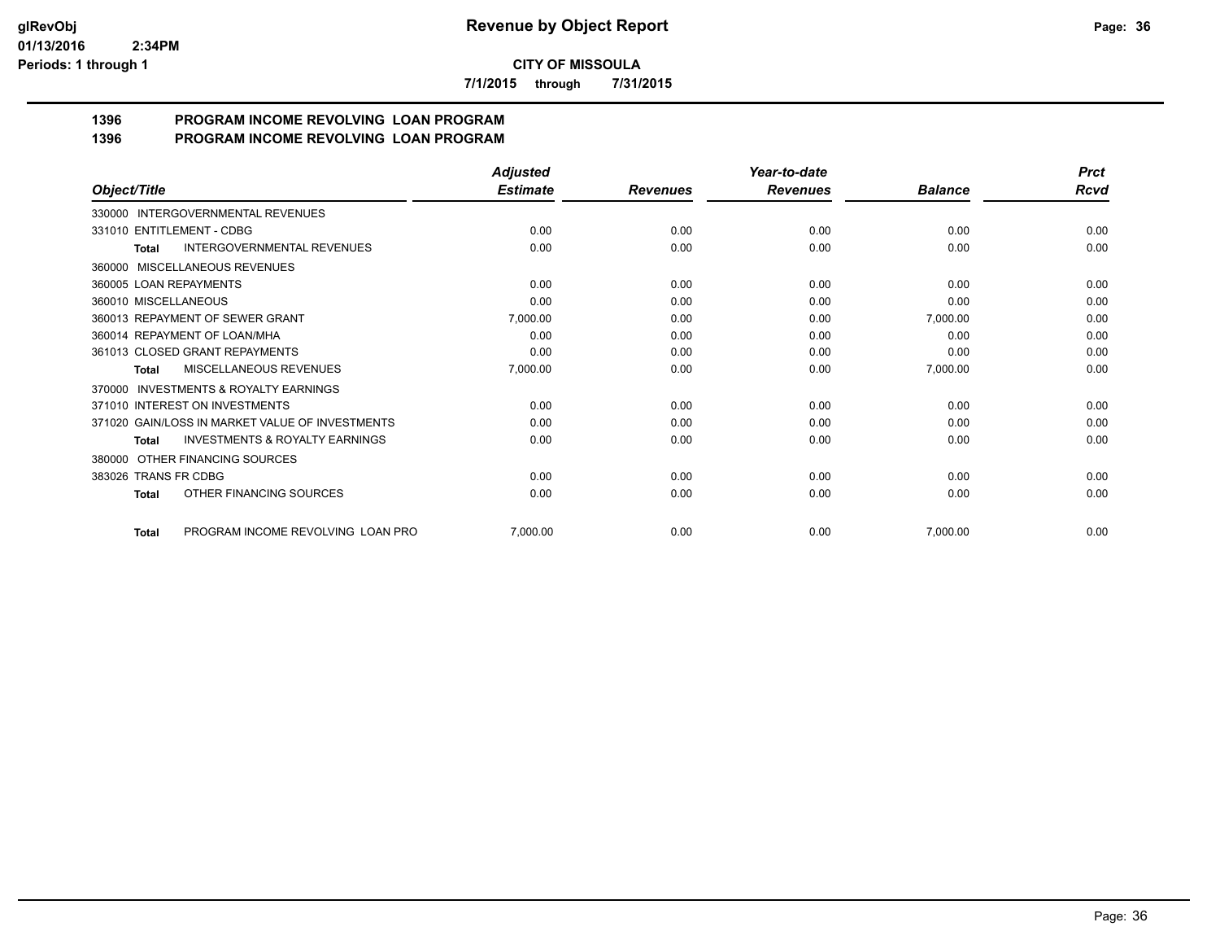**7/1/2015 through 7/31/2015**

#### **1396 PROGRAM INCOME REVOLVING LOAN PROGRAM 1396 PROGRAM INCOME REVOLVING LOAN PROGRAM**

| Object/Title                                       | <b>Adjusted</b><br><b>Estimate</b> |                 | Year-to-date<br><b>Revenues</b> | <b>Balance</b> | <b>Prct</b><br>Rcvd |
|----------------------------------------------------|------------------------------------|-----------------|---------------------------------|----------------|---------------------|
|                                                    |                                    | <b>Revenues</b> |                                 |                |                     |
| 330000 INTERGOVERNMENTAL REVENUES                  |                                    |                 |                                 |                |                     |
| 331010 ENTITLEMENT - CDBG                          | 0.00                               | 0.00            | 0.00                            | 0.00           | 0.00                |
| <b>INTERGOVERNMENTAL REVENUES</b><br><b>Total</b>  | 0.00                               | 0.00            | 0.00                            | 0.00           | 0.00                |
| 360000 MISCELLANEOUS REVENUES                      |                                    |                 |                                 |                |                     |
| 360005 LOAN REPAYMENTS                             | 0.00                               | 0.00            | 0.00                            | 0.00           | 0.00                |
| 360010 MISCELLANEOUS                               | 0.00                               | 0.00            | 0.00                            | 0.00           | 0.00                |
| 360013 REPAYMENT OF SEWER GRANT                    | 7,000.00                           | 0.00            | 0.00                            | 7,000.00       | 0.00                |
| 360014 REPAYMENT OF LOAN/MHA                       | 0.00                               | 0.00            | 0.00                            | 0.00           | 0.00                |
| 361013 CLOSED GRANT REPAYMENTS                     | 0.00                               | 0.00            | 0.00                            | 0.00           | 0.00                |
| MISCELLANEOUS REVENUES<br>Total                    | 7,000.00                           | 0.00            | 0.00                            | 7,000.00       | 0.00                |
| INVESTMENTS & ROYALTY EARNINGS<br>370000           |                                    |                 |                                 |                |                     |
| 371010 INTEREST ON INVESTMENTS                     | 0.00                               | 0.00            | 0.00                            | 0.00           | 0.00                |
| 371020 GAIN/LOSS IN MARKET VALUE OF INVESTMENTS    | 0.00                               | 0.00            | 0.00                            | 0.00           | 0.00                |
| <b>INVESTMENTS &amp; ROYALTY EARNINGS</b><br>Total | 0.00                               | 0.00            | 0.00                            | 0.00           | 0.00                |
| 380000 OTHER FINANCING SOURCES                     |                                    |                 |                                 |                |                     |
| 383026 TRANS FR CDBG                               | 0.00                               | 0.00            | 0.00                            | 0.00           | 0.00                |
| OTHER FINANCING SOURCES<br><b>Total</b>            | 0.00                               | 0.00            | 0.00                            | 0.00           | 0.00                |
| PROGRAM INCOME REVOLVING LOAN PRO<br><b>Total</b>  | 7,000.00                           | 0.00            | 0.00                            | 7,000.00       | 0.00                |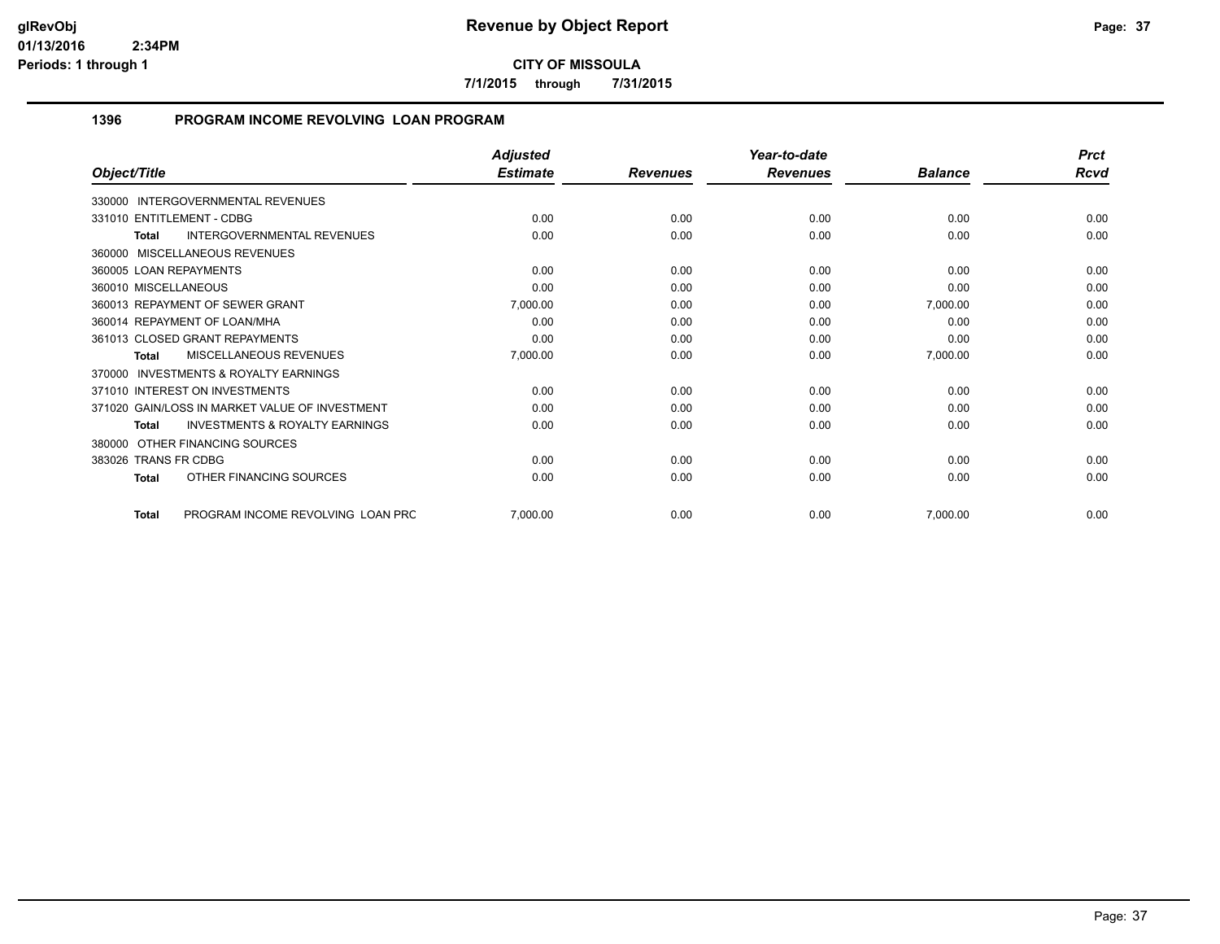**7/1/2015 through 7/31/2015**

## **1396 PROGRAM INCOME REVOLVING LOAN PROGRAM**

|                                                     | <b>Adjusted</b> |                 | Year-to-date    |                | <b>Prct</b> |
|-----------------------------------------------------|-----------------|-----------------|-----------------|----------------|-------------|
| Object/Title                                        | <b>Estimate</b> | <b>Revenues</b> | <b>Revenues</b> | <b>Balance</b> | Rcvd        |
| 330000 INTERGOVERNMENTAL REVENUES                   |                 |                 |                 |                |             |
| 331010 ENTITLEMENT - CDBG                           | 0.00            | 0.00            | 0.00            | 0.00           | 0.00        |
| INTERGOVERNMENTAL REVENUES<br><b>Total</b>          | 0.00            | 0.00            | 0.00            | 0.00           | 0.00        |
| 360000 MISCELLANEOUS REVENUES                       |                 |                 |                 |                |             |
| 360005 LOAN REPAYMENTS                              | 0.00            | 0.00            | 0.00            | 0.00           | 0.00        |
| 360010 MISCELLANEOUS                                | 0.00            | 0.00            | 0.00            | 0.00           | 0.00        |
| 360013 REPAYMENT OF SEWER GRANT                     | 7,000.00        | 0.00            | 0.00            | 7,000.00       | 0.00        |
| 360014 REPAYMENT OF LOAN/MHA                        | 0.00            | 0.00            | 0.00            | 0.00           | 0.00        |
| 361013 CLOSED GRANT REPAYMENTS                      | 0.00            | 0.00            | 0.00            | 0.00           | 0.00        |
| MISCELLANEOUS REVENUES<br><b>Total</b>              | 7,000.00        | 0.00            | 0.00            | 7,000.00       | 0.00        |
| <b>INVESTMENTS &amp; ROYALTY EARNINGS</b><br>370000 |                 |                 |                 |                |             |
| 371010 INTEREST ON INVESTMENTS                      | 0.00            | 0.00            | 0.00            | 0.00           | 0.00        |
| 371020 GAIN/LOSS IN MARKET VALUE OF INVESTMENT      | 0.00            | 0.00            | 0.00            | 0.00           | 0.00        |
| <b>INVESTMENTS &amp; ROYALTY EARNINGS</b><br>Total  | 0.00            | 0.00            | 0.00            | 0.00           | 0.00        |
| OTHER FINANCING SOURCES<br>380000                   |                 |                 |                 |                |             |
| 383026 TRANS FR CDBG                                | 0.00            | 0.00            | 0.00            | 0.00           | 0.00        |
| OTHER FINANCING SOURCES<br><b>Total</b>             | 0.00            | 0.00            | 0.00            | 0.00           | 0.00        |
| PROGRAM INCOME REVOLVING LOAN PRC<br><b>Total</b>   | 7,000.00        | 0.00            | 0.00            | 7,000.00       | 0.00        |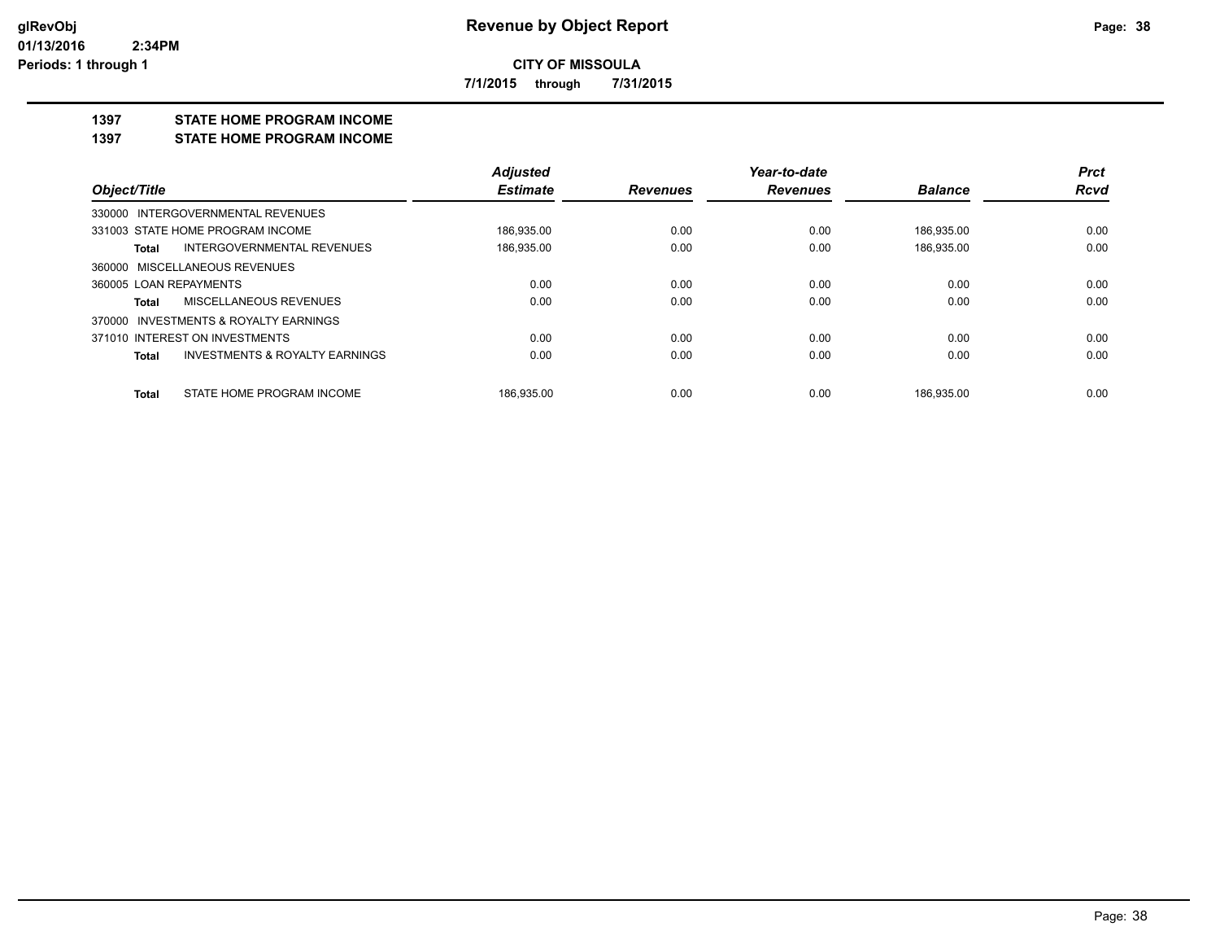**7/1/2015 through 7/31/2015**

#### **1397 STATE HOME PROGRAM INCOME**

**1397 STATE HOME PROGRAM INCOME**

|                                         | <b>Adjusted</b> |                 | Year-to-date    |                | <b>Prct</b> |
|-----------------------------------------|-----------------|-----------------|-----------------|----------------|-------------|
| Object/Title                            | <b>Estimate</b> | <b>Revenues</b> | <b>Revenues</b> | <b>Balance</b> | <b>Rcvd</b> |
| 330000 INTERGOVERNMENTAL REVENUES       |                 |                 |                 |                |             |
| 331003 STATE HOME PROGRAM INCOME        | 186.935.00      | 0.00            | 0.00            | 186.935.00     | 0.00        |
| INTERGOVERNMENTAL REVENUES<br>Total     | 186,935.00      | 0.00            | 0.00            | 186,935.00     | 0.00        |
| 360000 MISCELLANEOUS REVENUES           |                 |                 |                 |                |             |
| 360005 LOAN REPAYMENTS                  | 0.00            | 0.00            | 0.00            | 0.00           | 0.00        |
| MISCELLANEOUS REVENUES<br>Total         | 0.00            | 0.00            | 0.00            | 0.00           | 0.00        |
| 370000 INVESTMENTS & ROYALTY EARNINGS   |                 |                 |                 |                |             |
| 371010 INTEREST ON INVESTMENTS          | 0.00            | 0.00            | 0.00            | 0.00           | 0.00        |
| INVESTMENTS & ROYALTY EARNINGS<br>Total | 0.00            | 0.00            | 0.00            | 0.00           | 0.00        |
| STATE HOME PROGRAM INCOME<br>Total      | 186.935.00      | 0.00            | 0.00            | 186.935.00     | 0.00        |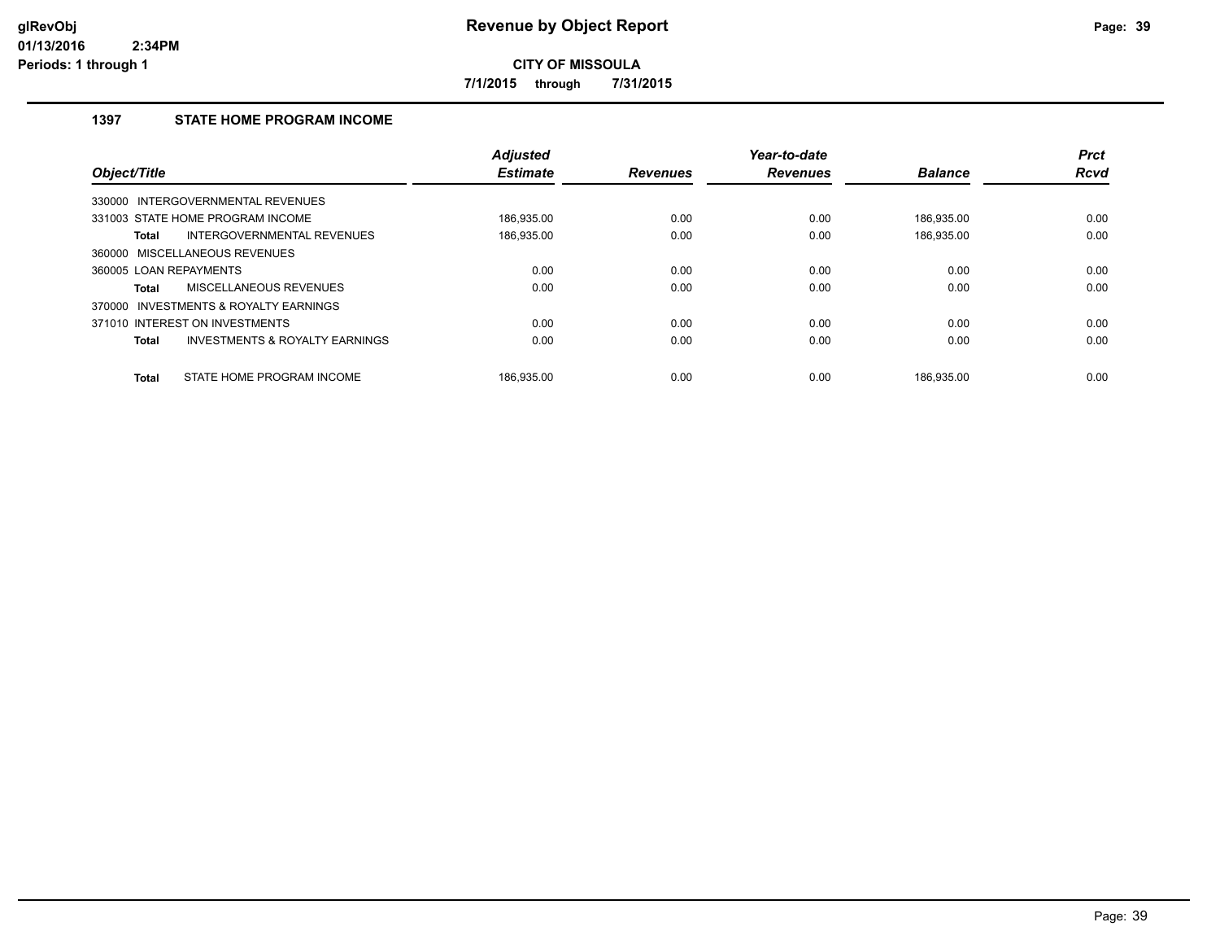**7/1/2015 through 7/31/2015**

## **1397 STATE HOME PROGRAM INCOME**

| Object/Title           |                                           | <b>Adjusted</b><br><b>Estimate</b> | <b>Revenues</b> | Year-to-date<br><b>Revenues</b> | <b>Balance</b> | <b>Prct</b><br><b>Rcvd</b> |
|------------------------|-------------------------------------------|------------------------------------|-----------------|---------------------------------|----------------|----------------------------|
|                        | 330000 INTERGOVERNMENTAL REVENUES         |                                    |                 |                                 |                |                            |
|                        | 331003 STATE HOME PROGRAM INCOME          | 186,935.00                         | 0.00            | 0.00                            | 186.935.00     | 0.00                       |
| Total                  | INTERGOVERNMENTAL REVENUES                | 186.935.00                         | 0.00            | 0.00                            | 186,935.00     | 0.00                       |
|                        | 360000 MISCELLANEOUS REVENUES             |                                    |                 |                                 |                |                            |
| 360005 LOAN REPAYMENTS |                                           | 0.00                               | 0.00            | 0.00                            | 0.00           | 0.00                       |
| Total                  | MISCELLANEOUS REVENUES                    | 0.00                               | 0.00            | 0.00                            | 0.00           | 0.00                       |
|                        | 370000 INVESTMENTS & ROYALTY EARNINGS     |                                    |                 |                                 |                |                            |
|                        | 371010 INTEREST ON INVESTMENTS            | 0.00                               | 0.00            | 0.00                            | 0.00           | 0.00                       |
| Total                  | <b>INVESTMENTS &amp; ROYALTY EARNINGS</b> | 0.00                               | 0.00            | 0.00                            | 0.00           | 0.00                       |
| <b>Total</b>           | STATE HOME PROGRAM INCOME                 | 186.935.00                         | 0.00            | 0.00                            | 186.935.00     | 0.00                       |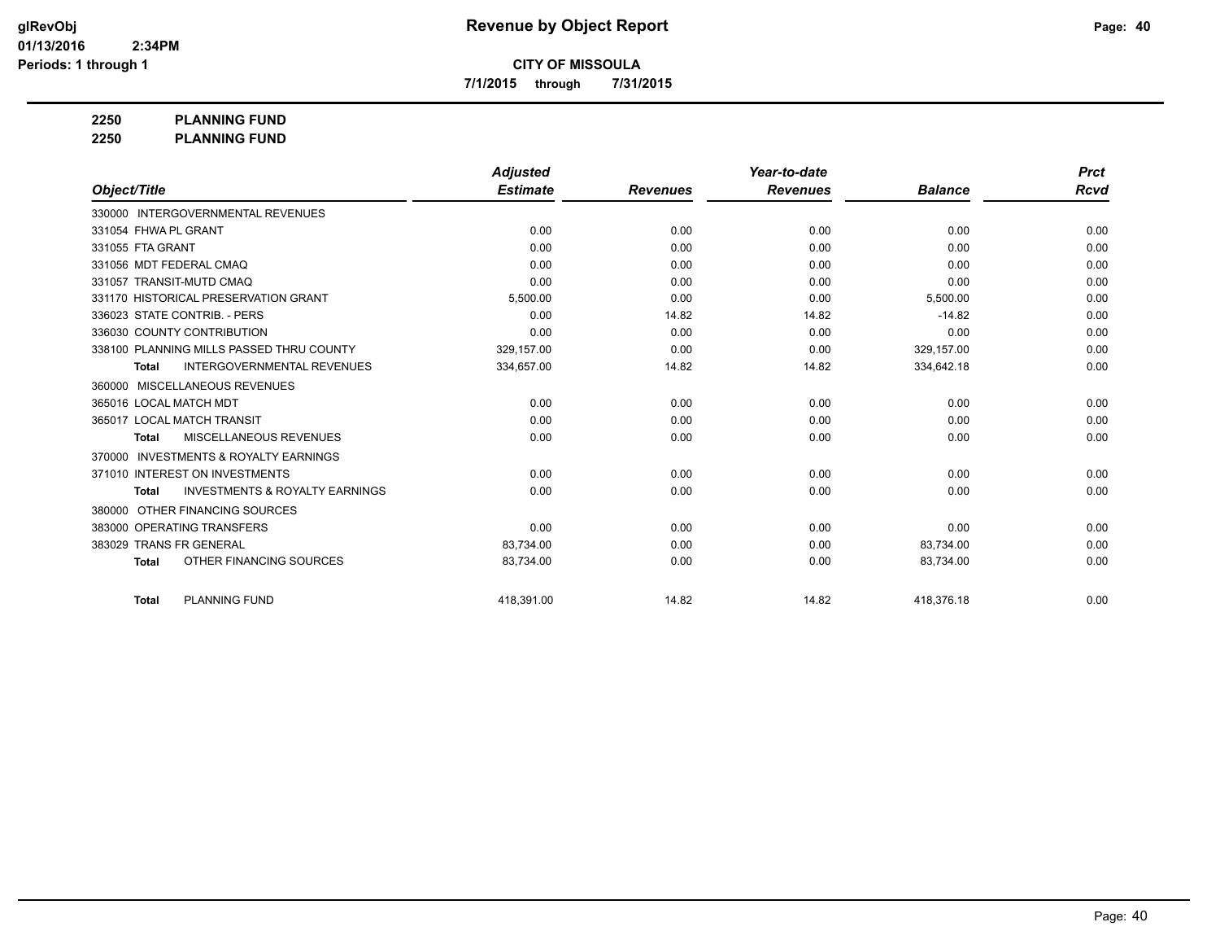**7/1/2015 through 7/31/2015**

**2250 PLANNING FUND**

**2250 PLANNING FUND**

|                                                           | <b>Adjusted</b> |                 | Year-to-date    |                | <b>Prct</b> |
|-----------------------------------------------------------|-----------------|-----------------|-----------------|----------------|-------------|
| Object/Title                                              | <b>Estimate</b> | <b>Revenues</b> | <b>Revenues</b> | <b>Balance</b> | Rcvd        |
| 330000 INTERGOVERNMENTAL REVENUES                         |                 |                 |                 |                |             |
| 331054 FHWA PL GRANT                                      | 0.00            | 0.00            | 0.00            | 0.00           | 0.00        |
| 331055 FTA GRANT                                          | 0.00            | 0.00            | 0.00            | 0.00           | 0.00        |
| 331056 MDT FEDERAL CMAQ                                   | 0.00            | 0.00            | 0.00            | 0.00           | 0.00        |
| 331057 TRANSIT-MUTD CMAQ                                  | 0.00            | 0.00            | 0.00            | 0.00           | 0.00        |
| 331170 HISTORICAL PRESERVATION GRANT                      | 5,500.00        | 0.00            | 0.00            | 5,500.00       | 0.00        |
| 336023 STATE CONTRIB. - PERS                              | 0.00            | 14.82           | 14.82           | $-14.82$       | 0.00        |
| 336030 COUNTY CONTRIBUTION                                | 0.00            | 0.00            | 0.00            | 0.00           | 0.00        |
| 338100 PLANNING MILLS PASSED THRU COUNTY                  | 329,157.00      | 0.00            | 0.00            | 329,157.00     | 0.00        |
| <b>INTERGOVERNMENTAL REVENUES</b><br><b>Total</b>         | 334,657.00      | 14.82           | 14.82           | 334,642.18     | 0.00        |
| <b>MISCELLANEOUS REVENUES</b><br>360000                   |                 |                 |                 |                |             |
| 365016 LOCAL MATCH MDT                                    | 0.00            | 0.00            | 0.00            | 0.00           | 0.00        |
| 365017 LOCAL MATCH TRANSIT                                | 0.00            | 0.00            | 0.00            | 0.00           | 0.00        |
| MISCELLANEOUS REVENUES<br><b>Total</b>                    | 0.00            | 0.00            | 0.00            | 0.00           | 0.00        |
| <b>INVESTMENTS &amp; ROYALTY EARNINGS</b><br>370000       |                 |                 |                 |                |             |
| 371010 INTEREST ON INVESTMENTS                            | 0.00            | 0.00            | 0.00            | 0.00           | 0.00        |
| <b>INVESTMENTS &amp; ROYALTY EARNINGS</b><br><b>Total</b> | 0.00            | 0.00            | 0.00            | 0.00           | 0.00        |
| OTHER FINANCING SOURCES<br>380000                         |                 |                 |                 |                |             |
| 383000 OPERATING TRANSFERS                                | 0.00            | 0.00            | 0.00            | 0.00           | 0.00        |
| 383029 TRANS FR GENERAL                                   | 83,734.00       | 0.00            | 0.00            | 83,734.00      | 0.00        |
| OTHER FINANCING SOURCES<br><b>Total</b>                   | 83,734.00       | 0.00            | 0.00            | 83,734.00      | 0.00        |
| <b>PLANNING FUND</b><br><b>Total</b>                      | 418,391.00      | 14.82           | 14.82           | 418,376.18     | 0.00        |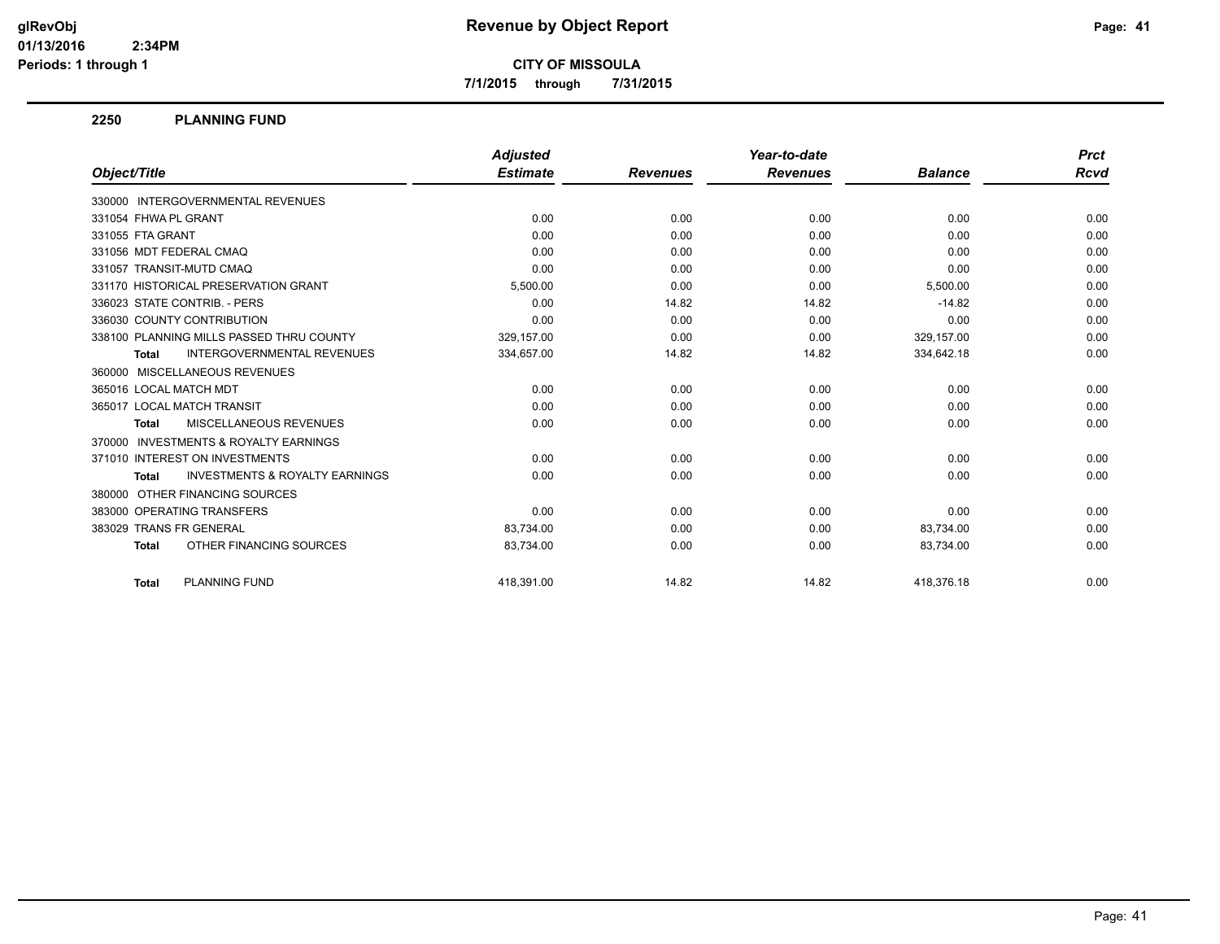**7/1/2015 through 7/31/2015**

#### **2250 PLANNING FUND**

|                                                           | <b>Adjusted</b> |                 | Year-to-date    |                | <b>Prct</b> |
|-----------------------------------------------------------|-----------------|-----------------|-----------------|----------------|-------------|
| Object/Title                                              | <b>Estimate</b> | <b>Revenues</b> | <b>Revenues</b> | <b>Balance</b> | Rcvd        |
| 330000 INTERGOVERNMENTAL REVENUES                         |                 |                 |                 |                |             |
| 331054 FHWA PL GRANT                                      | 0.00            | 0.00            | 0.00            | 0.00           | 0.00        |
| 331055 FTA GRANT                                          | 0.00            | 0.00            | 0.00            | 0.00           | 0.00        |
| 331056 MDT FEDERAL CMAQ                                   | 0.00            | 0.00            | 0.00            | 0.00           | 0.00        |
| 331057 TRANSIT-MUTD CMAO                                  | 0.00            | 0.00            | 0.00            | 0.00           | 0.00        |
| 331170 HISTORICAL PRESERVATION GRANT                      | 5,500.00        | 0.00            | 0.00            | 5,500.00       | 0.00        |
| 336023 STATE CONTRIB. - PERS                              | 0.00            | 14.82           | 14.82           | $-14.82$       | 0.00        |
| 336030 COUNTY CONTRIBUTION                                | 0.00            | 0.00            | 0.00            | 0.00           | 0.00        |
| 338100 PLANNING MILLS PASSED THRU COUNTY                  | 329,157.00      | 0.00            | 0.00            | 329,157.00     | 0.00        |
| <b>INTERGOVERNMENTAL REVENUES</b><br><b>Total</b>         | 334,657.00      | 14.82           | 14.82           | 334,642.18     | 0.00        |
| 360000 MISCELLANEOUS REVENUES                             |                 |                 |                 |                |             |
| 365016 LOCAL MATCH MDT                                    | 0.00            | 0.00            | 0.00            | 0.00           | 0.00        |
| 365017 LOCAL MATCH TRANSIT                                | 0.00            | 0.00            | 0.00            | 0.00           | 0.00        |
| MISCELLANEOUS REVENUES<br><b>Total</b>                    | 0.00            | 0.00            | 0.00            | 0.00           | 0.00        |
| 370000 INVESTMENTS & ROYALTY EARNINGS                     |                 |                 |                 |                |             |
| 371010 INTEREST ON INVESTMENTS                            | 0.00            | 0.00            | 0.00            | 0.00           | 0.00        |
| <b>INVESTMENTS &amp; ROYALTY EARNINGS</b><br><b>Total</b> | 0.00            | 0.00            | 0.00            | 0.00           | 0.00        |
| 380000 OTHER FINANCING SOURCES                            |                 |                 |                 |                |             |
| 383000 OPERATING TRANSFERS                                | 0.00            | 0.00            | 0.00            | 0.00           | 0.00        |
| 383029 TRANS FR GENERAL                                   | 83,734.00       | 0.00            | 0.00            | 83,734.00      | 0.00        |
| OTHER FINANCING SOURCES<br><b>Total</b>                   | 83,734.00       | 0.00            | 0.00            | 83,734.00      | 0.00        |
| <b>PLANNING FUND</b><br><b>Total</b>                      | 418.391.00      | 14.82           | 14.82           | 418.376.18     | 0.00        |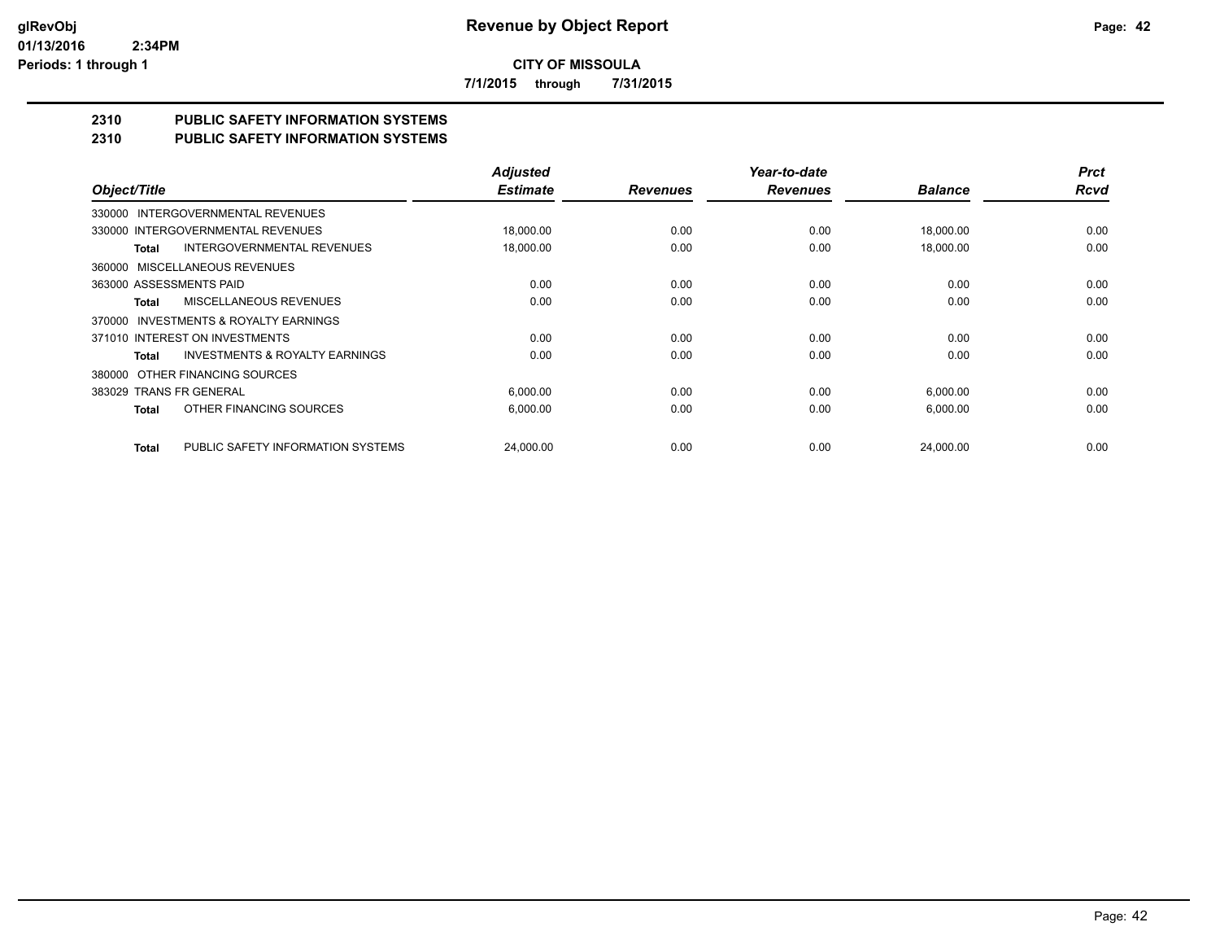**7/1/2015 through 7/31/2015**

# **2310 PUBLIC SAFETY INFORMATION SYSTEMS**

## **2310 PUBLIC SAFETY INFORMATION SYSTEMS**

|                                                    | <b>Adjusted</b> |                 | Year-to-date    |                | <b>Prct</b> |
|----------------------------------------------------|-----------------|-----------------|-----------------|----------------|-------------|
| Object/Title                                       | <b>Estimate</b> | <b>Revenues</b> | <b>Revenues</b> | <b>Balance</b> | <b>Rcvd</b> |
| 330000 INTERGOVERNMENTAL REVENUES                  |                 |                 |                 |                |             |
| 330000 INTERGOVERNMENTAL REVENUES                  | 18,000.00       | 0.00            | 0.00            | 18,000.00      | 0.00        |
| INTERGOVERNMENTAL REVENUES<br>Total                | 18,000.00       | 0.00            | 0.00            | 18,000.00      | 0.00        |
| 360000 MISCELLANEOUS REVENUES                      |                 |                 |                 |                |             |
| 363000 ASSESSMENTS PAID                            | 0.00            | 0.00            | 0.00            | 0.00           | 0.00        |
| MISCELLANEOUS REVENUES<br>Total                    | 0.00            | 0.00            | 0.00            | 0.00           | 0.00        |
| 370000 INVESTMENTS & ROYALTY EARNINGS              |                 |                 |                 |                |             |
| 371010 INTEREST ON INVESTMENTS                     | 0.00            | 0.00            | 0.00            | 0.00           | 0.00        |
| <b>INVESTMENTS &amp; ROYALTY EARNINGS</b><br>Total | 0.00            | 0.00            | 0.00            | 0.00           | 0.00        |
| OTHER FINANCING SOURCES<br>380000                  |                 |                 |                 |                |             |
| 383029 TRANS FR GENERAL                            | 6,000.00        | 0.00            | 0.00            | 6,000.00       | 0.00        |
| OTHER FINANCING SOURCES<br>Total                   | 6,000.00        | 0.00            | 0.00            | 6,000.00       | 0.00        |
|                                                    |                 |                 |                 |                |             |
| PUBLIC SAFETY INFORMATION SYSTEMS<br>Total         | 24.000.00       | 0.00            | 0.00            | 24,000.00      | 0.00        |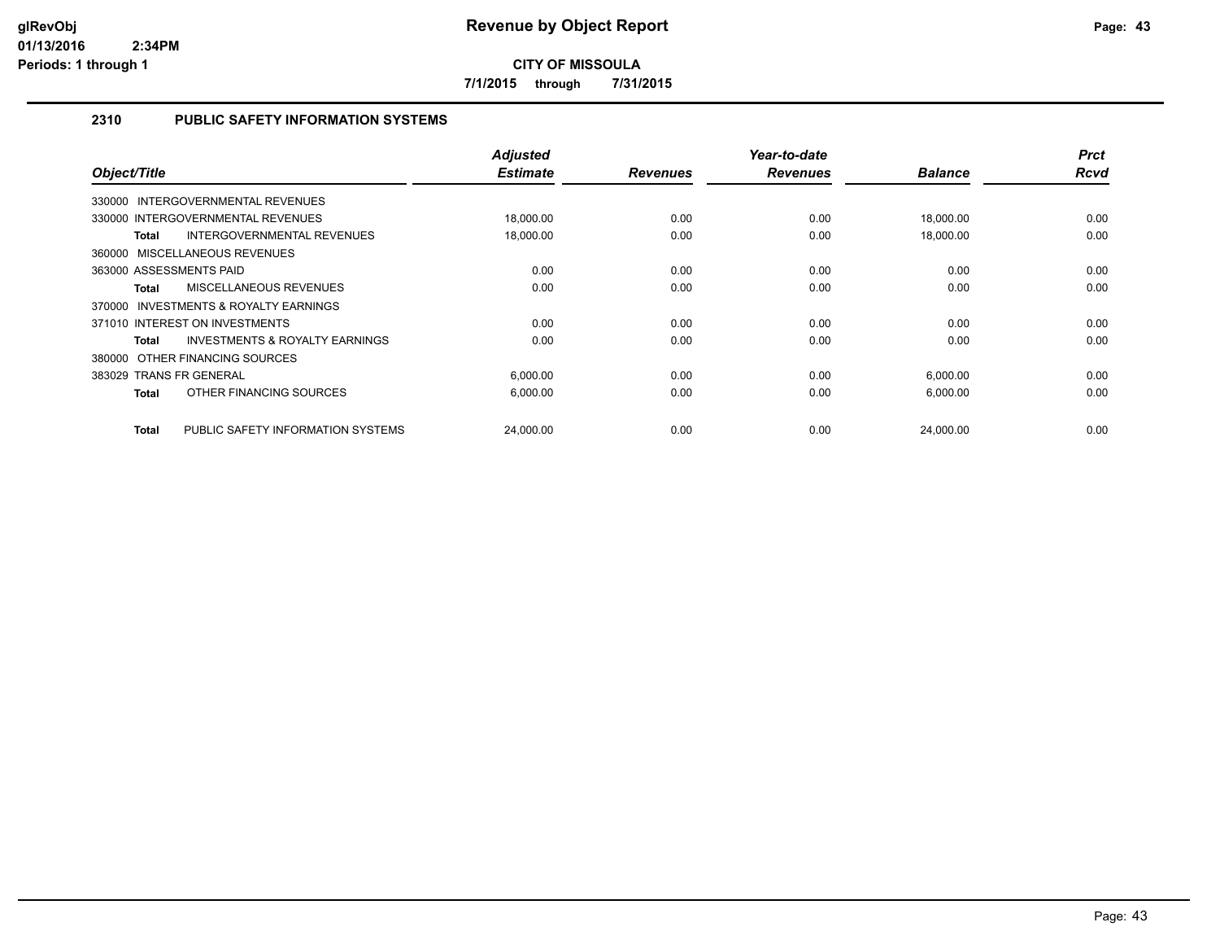**7/1/2015 through 7/31/2015**

## **2310 PUBLIC SAFETY INFORMATION SYSTEMS**

| Object/Title                                       | <b>Adjusted</b><br><b>Estimate</b> | <b>Revenues</b> | Year-to-date<br><b>Revenues</b> | <b>Balance</b> | <b>Prct</b><br><b>Rcvd</b> |
|----------------------------------------------------|------------------------------------|-----------------|---------------------------------|----------------|----------------------------|
| 330000 INTERGOVERNMENTAL REVENUES                  |                                    |                 |                                 |                |                            |
| 330000 INTERGOVERNMENTAL REVENUES                  | 18,000.00                          | 0.00            | 0.00                            | 18,000.00      | 0.00                       |
| INTERGOVERNMENTAL REVENUES<br>Total                | 18,000.00                          | 0.00            | 0.00                            | 18,000.00      | 0.00                       |
| 360000 MISCELLANEOUS REVENUES                      |                                    |                 |                                 |                |                            |
| 363000 ASSESSMENTS PAID                            | 0.00                               | 0.00            | 0.00                            | 0.00           | 0.00                       |
| MISCELLANEOUS REVENUES<br>Total                    | 0.00                               | 0.00            | 0.00                            | 0.00           | 0.00                       |
| INVESTMENTS & ROYALTY EARNINGS<br>370000           |                                    |                 |                                 |                |                            |
| 371010 INTEREST ON INVESTMENTS                     | 0.00                               | 0.00            | 0.00                            | 0.00           | 0.00                       |
| <b>INVESTMENTS &amp; ROYALTY EARNINGS</b><br>Total | 0.00                               | 0.00            | 0.00                            | 0.00           | 0.00                       |
| 380000 OTHER FINANCING SOURCES                     |                                    |                 |                                 |                |                            |
| 383029 TRANS FR GENERAL                            | 6,000.00                           | 0.00            | 0.00                            | 6,000.00       | 0.00                       |
| OTHER FINANCING SOURCES<br>Total                   | 6,000.00                           | 0.00            | 0.00                            | 6,000.00       | 0.00                       |
| PUBLIC SAFETY INFORMATION SYSTEMS<br>Total         | 24,000.00                          | 0.00            | 0.00                            | 24,000.00      | 0.00                       |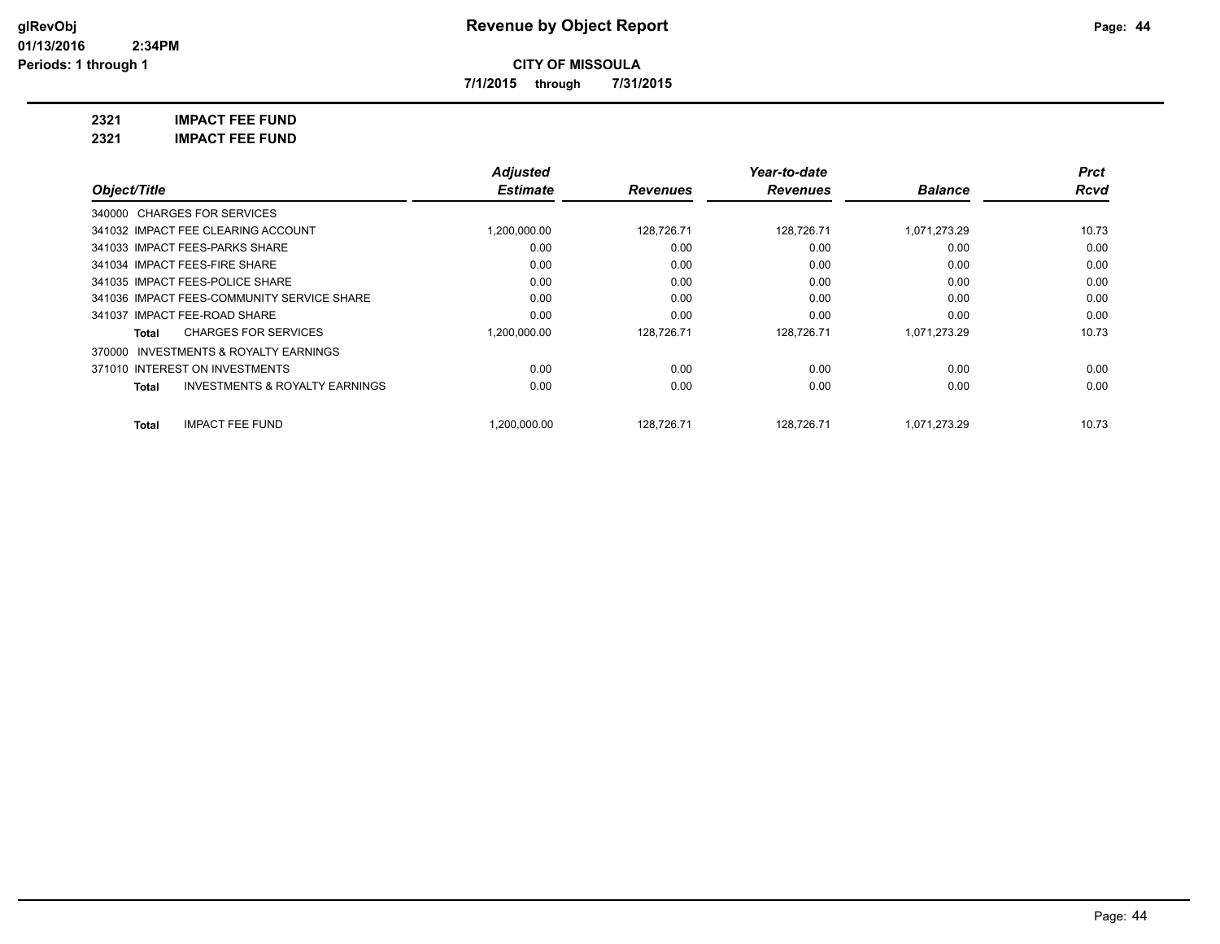**7/1/2015 through 7/31/2015**

**2321 IMPACT FEE FUND**

**2321 IMPACT FEE FUND**

|                                                    | <b>Adjusted</b> |                 | Year-to-date    |                | <b>Prct</b> |
|----------------------------------------------------|-----------------|-----------------|-----------------|----------------|-------------|
| Object/Title                                       | <b>Estimate</b> | <b>Revenues</b> | <b>Revenues</b> | <b>Balance</b> | Rcvd        |
| 340000 CHARGES FOR SERVICES                        |                 |                 |                 |                |             |
| 341032 IMPACT FEE CLEARING ACCOUNT                 | 1,200,000.00    | 128,726.71      | 128,726.71      | 1,071,273.29   | 10.73       |
| 341033 IMPACT FEES-PARKS SHARE                     | 0.00            | 0.00            | 0.00            | 0.00           | 0.00        |
| 341034 IMPACT FEES-FIRE SHARE                      | 0.00            | 0.00            | 0.00            | 0.00           | 0.00        |
| 341035 IMPACT FEES-POLICE SHARE                    | 0.00            | 0.00            | 0.00            | 0.00           | 0.00        |
| 341036 IMPACT FEES-COMMUNITY SERVICE SHARE         | 0.00            | 0.00            | 0.00            | 0.00           | 0.00        |
| 341037 IMPACT FEE-ROAD SHARE                       | 0.00            | 0.00            | 0.00            | 0.00           | 0.00        |
| <b>CHARGES FOR SERVICES</b><br>Total               | 1,200,000.00    | 128,726.71      | 128,726.71      | 1,071,273.29   | 10.73       |
| 370000 INVESTMENTS & ROYALTY EARNINGS              |                 |                 |                 |                |             |
| 371010 INTEREST ON INVESTMENTS                     | 0.00            | 0.00            | 0.00            | 0.00           | 0.00        |
| <b>INVESTMENTS &amp; ROYALTY EARNINGS</b><br>Total | 0.00            | 0.00            | 0.00            | 0.00           | 0.00        |
| <b>IMPACT FEE FUND</b><br>Total                    | .200.000.00     | 128.726.71      | 128.726.71      | 1.071.273.29   | 10.73       |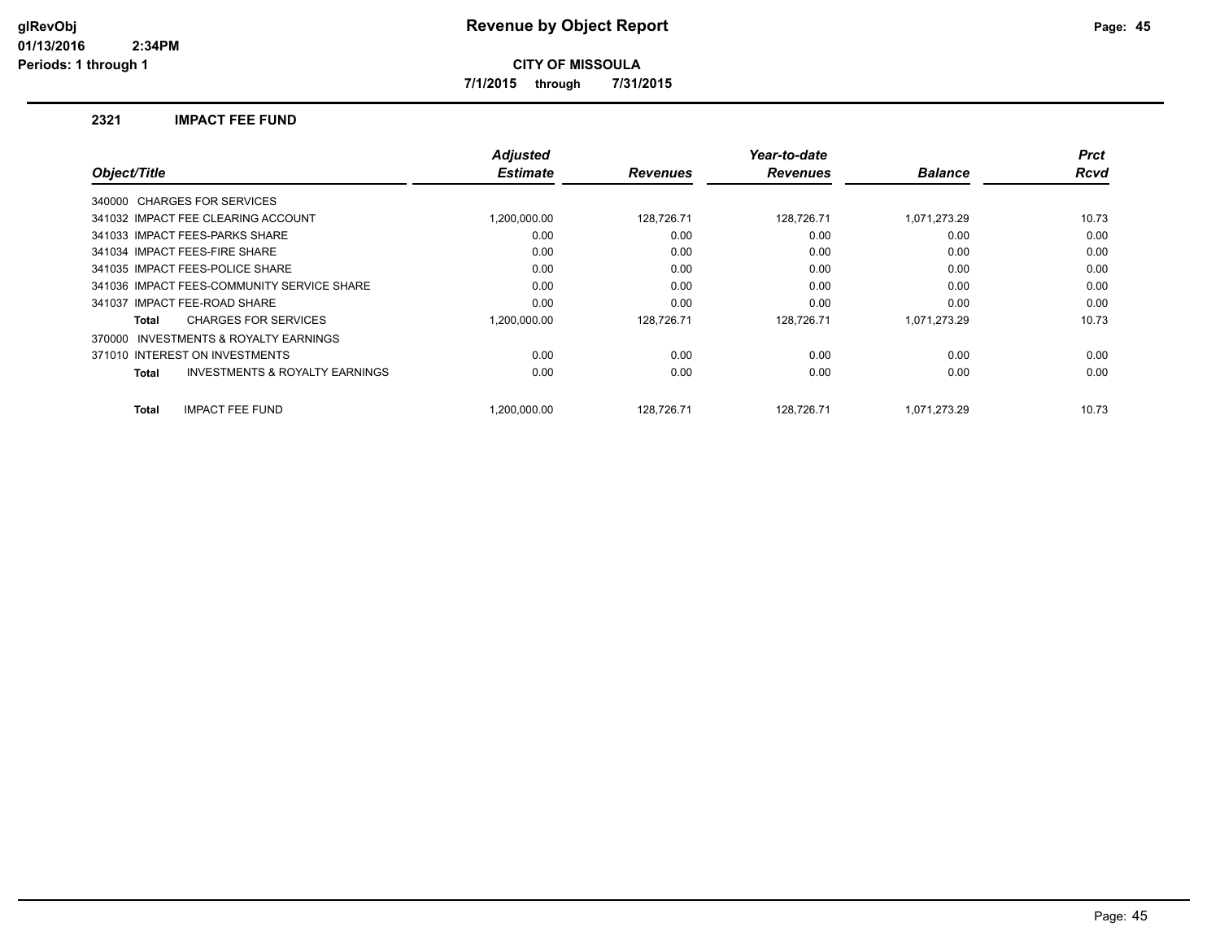**7/1/2015 through 7/31/2015**

#### **2321 IMPACT FEE FUND**

|              |                                            | <b>Adjusted</b> |                 | Year-to-date    |                | <b>Prct</b> |
|--------------|--------------------------------------------|-----------------|-----------------|-----------------|----------------|-------------|
| Object/Title |                                            | <b>Estimate</b> | <b>Revenues</b> | <b>Revenues</b> | <b>Balance</b> | <b>Rcvd</b> |
|              | 340000 CHARGES FOR SERVICES                |                 |                 |                 |                |             |
|              | 341032 IMPACT FEE CLEARING ACCOUNT         | 1.200.000.00    | 128,726.71      | 128,726.71      | 1,071,273.29   | 10.73       |
|              | 341033 IMPACT FEES-PARKS SHARE             | 0.00            | 0.00            | 0.00            | 0.00           | 0.00        |
|              | 341034 IMPACT FEES-FIRE SHARE              | 0.00            | 0.00            | 0.00            | 0.00           | 0.00        |
|              | 341035 IMPACT FEES-POLICE SHARE            | 0.00            | 0.00            | 0.00            | 0.00           | 0.00        |
|              | 341036 IMPACT FEES-COMMUNITY SERVICE SHARE | 0.00            | 0.00            | 0.00            | 0.00           | 0.00        |
|              | 341037 IMPACT FEE-ROAD SHARE               | 0.00            | 0.00            | 0.00            | 0.00           | 0.00        |
| Total        | <b>CHARGES FOR SERVICES</b>                | 1.200.000.00    | 128.726.71      | 128.726.71      | 1,071,273.29   | 10.73       |
| 370000       | <b>INVESTMENTS &amp; ROYALTY EARNINGS</b>  |                 |                 |                 |                |             |
|              | 371010 INTEREST ON INVESTMENTS             | 0.00            | 0.00            | 0.00            | 0.00           | 0.00        |
| Total        | <b>INVESTMENTS &amp; ROYALTY EARNINGS</b>  | 0.00            | 0.00            | 0.00            | 0.00           | 0.00        |
| Total        | <b>IMPACT FEE FUND</b>                     | 1.200.000.00    | 128.726.71      | 128.726.71      | 1.071.273.29   | 10.73       |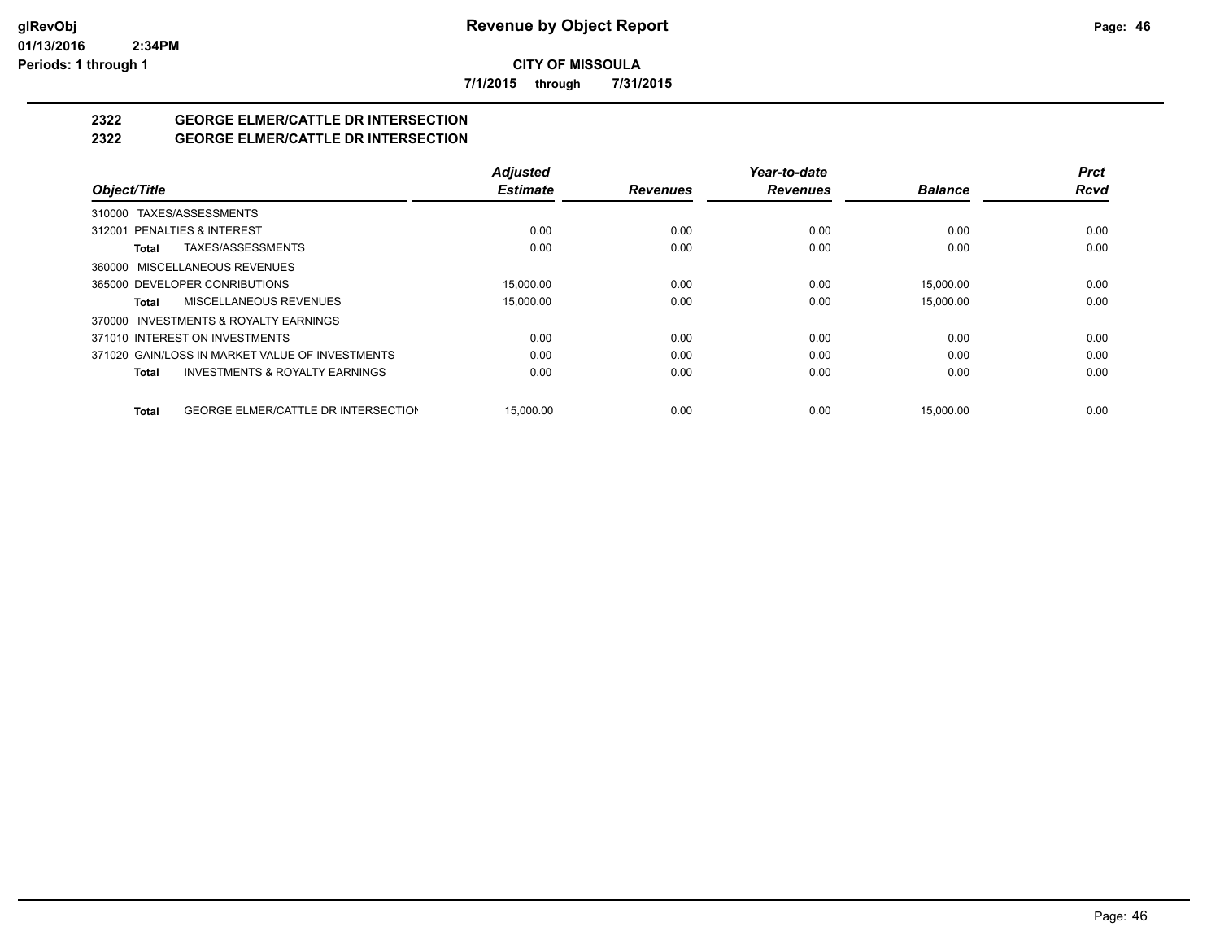**7/1/2015 through 7/31/2015**

# **2322 GEORGE ELMER/CATTLE DR INTERSECTION**

## **2322 GEORGE ELMER/CATTLE DR INTERSECTION**

|                                                     | <b>Adjusted</b> |                 | Year-to-date    |                | <b>Prct</b> |
|-----------------------------------------------------|-----------------|-----------------|-----------------|----------------|-------------|
| Object/Title                                        | <b>Estimate</b> | <b>Revenues</b> | <b>Revenues</b> | <b>Balance</b> | Rcvd        |
| 310000 TAXES/ASSESSMENTS                            |                 |                 |                 |                |             |
| 312001 PENALTIES & INTEREST                         | 0.00            | 0.00            | 0.00            | 0.00           | 0.00        |
| TAXES/ASSESSMENTS<br>Total                          | 0.00            | 0.00            | 0.00            | 0.00           | 0.00        |
| 360000 MISCELLANEOUS REVENUES                       |                 |                 |                 |                |             |
| 365000 DEVELOPER CONRIBUTIONS                       | 15.000.00       | 0.00            | 0.00            | 15.000.00      | 0.00        |
| MISCELLANEOUS REVENUES<br>Total                     | 15.000.00       | 0.00            | 0.00            | 15.000.00      | 0.00        |
| 370000 INVESTMENTS & ROYALTY EARNINGS               |                 |                 |                 |                |             |
| 371010 INTEREST ON INVESTMENTS                      | 0.00            | 0.00            | 0.00            | 0.00           | 0.00        |
| 371020 GAIN/LOSS IN MARKET VALUE OF INVESTMENTS     | 0.00            | 0.00            | 0.00            | 0.00           | 0.00        |
| <b>INVESTMENTS &amp; ROYALTY EARNINGS</b><br>Total  | 0.00            | 0.00            | 0.00            | 0.00           | 0.00        |
| <b>GEORGE ELMER/CATTLE DR INTERSECTION</b><br>Total | 15.000.00       | 0.00            | 0.00            | 15.000.00      | 0.00        |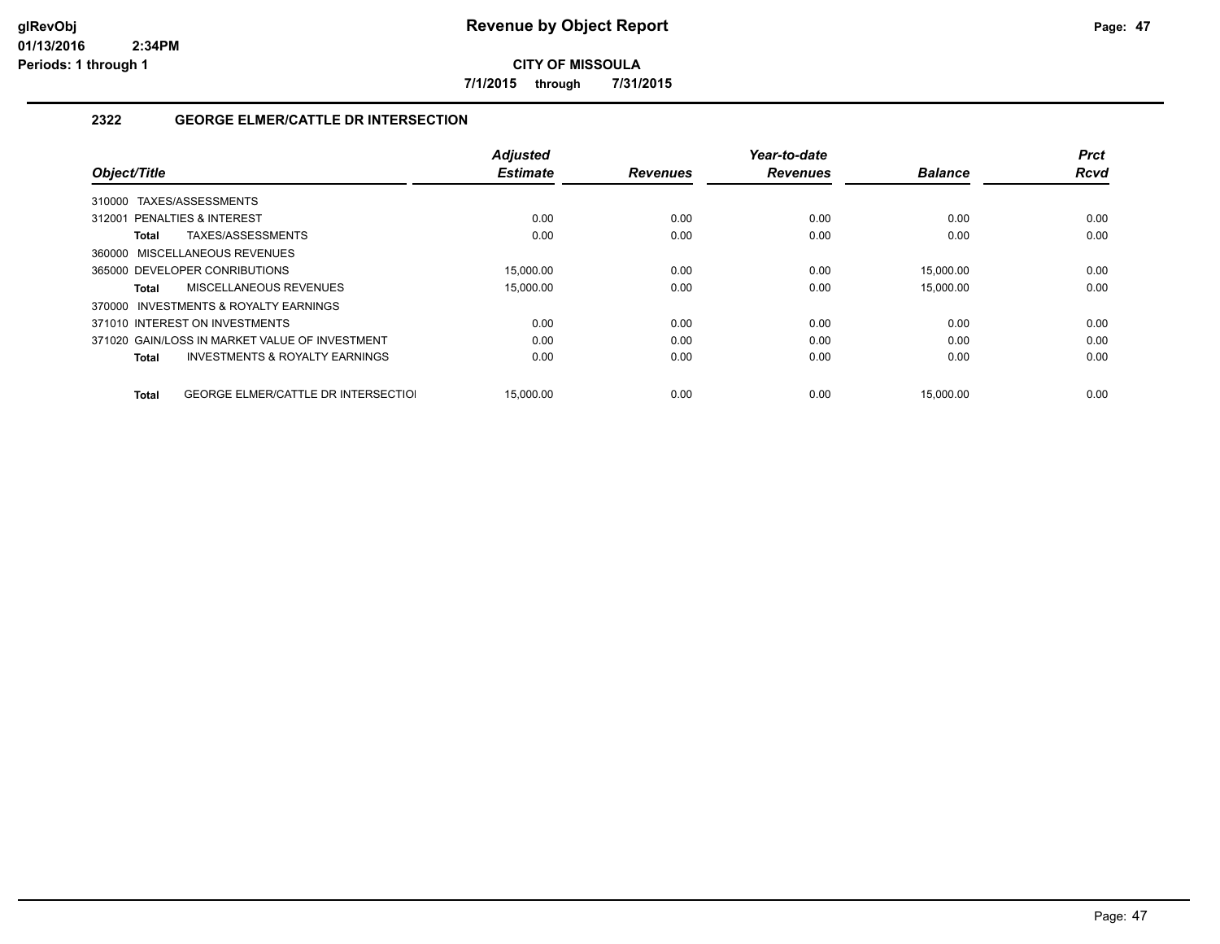**7/1/2015 through 7/31/2015**

## **2322 GEORGE ELMER/CATTLE DR INTERSECTION**

| Object/Title                                        | <b>Adjusted</b><br><b>Estimate</b> | <b>Revenues</b> | Year-to-date<br><b>Revenues</b> | <b>Balance</b> | <b>Prct</b><br><b>Rcvd</b> |
|-----------------------------------------------------|------------------------------------|-----------------|---------------------------------|----------------|----------------------------|
|                                                     |                                    |                 |                                 |                |                            |
| TAXES/ASSESSMENTS<br>310000                         |                                    |                 |                                 |                |                            |
| 312001 PENALTIES & INTEREST                         | 0.00                               | 0.00            | 0.00                            | 0.00           | 0.00                       |
| TAXES/ASSESSMENTS<br>Total                          | 0.00                               | 0.00            | 0.00                            | 0.00           | 0.00                       |
| 360000 MISCELLANEOUS REVENUES                       |                                    |                 |                                 |                |                            |
| 365000 DEVELOPER CONRIBUTIONS                       | 15.000.00                          | 0.00            | 0.00                            | 15.000.00      | 0.00                       |
| MISCELLANEOUS REVENUES<br>Total                     | 15,000.00                          | 0.00            | 0.00                            | 15,000.00      | 0.00                       |
| 370000 INVESTMENTS & ROYALTY EARNINGS               |                                    |                 |                                 |                |                            |
| 371010 INTEREST ON INVESTMENTS                      | 0.00                               | 0.00            | 0.00                            | 0.00           | 0.00                       |
| 371020 GAIN/LOSS IN MARKET VALUE OF INVESTMENT      | 0.00                               | 0.00            | 0.00                            | 0.00           | 0.00                       |
| <b>INVESTMENTS &amp; ROYALTY EARNINGS</b><br>Total  | 0.00                               | 0.00            | 0.00                            | 0.00           | 0.00                       |
|                                                     |                                    |                 |                                 |                |                            |
| <b>GEORGE ELMER/CATTLE DR INTERSECTIOL</b><br>Total | 15.000.00                          | 0.00            | 0.00                            | 15.000.00      | 0.00                       |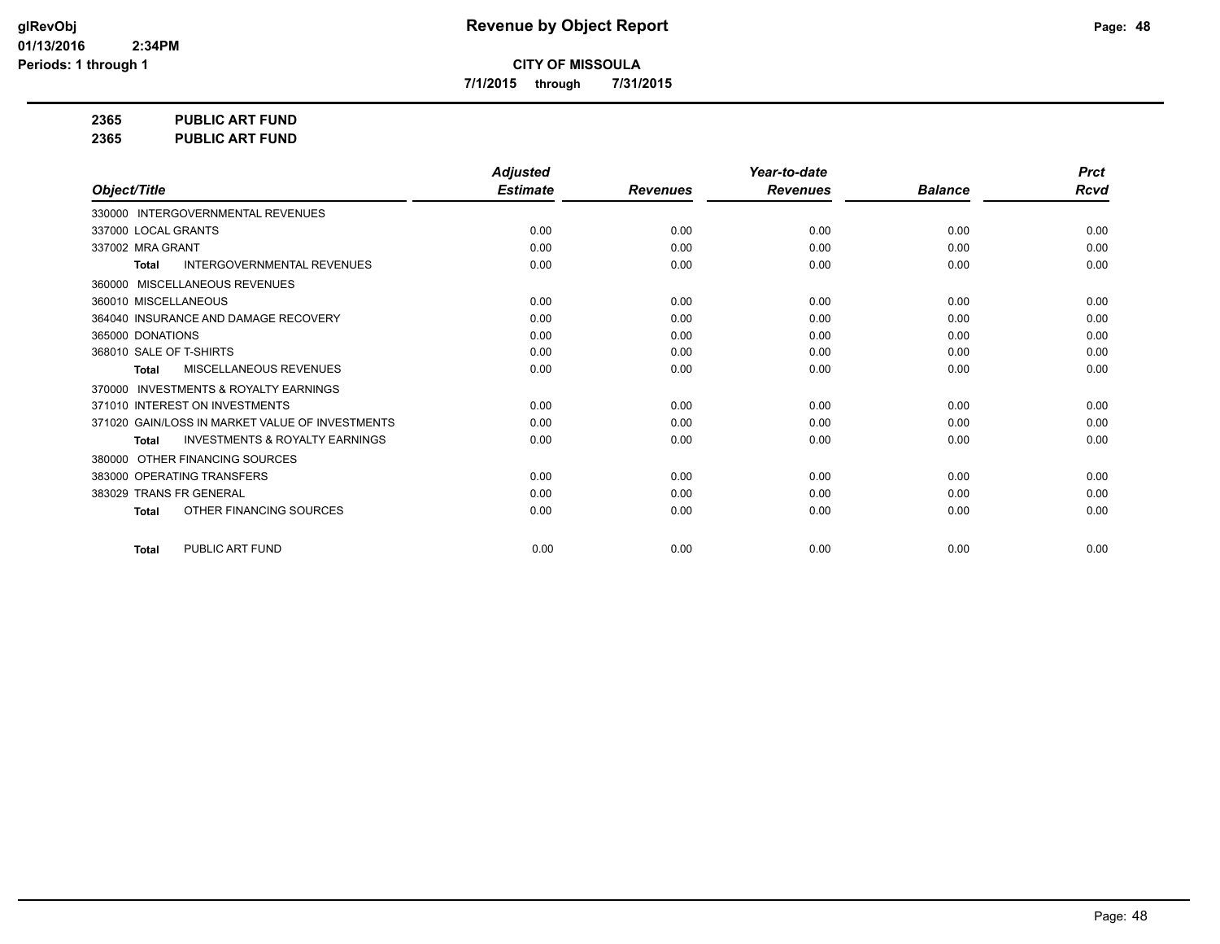**7/1/2015 through 7/31/2015**

**2365 PUBLIC ART FUND**

**2365 PUBLIC ART FUND**

|                                                    | <b>Adjusted</b> |                 | Year-to-date    |                | <b>Prct</b> |
|----------------------------------------------------|-----------------|-----------------|-----------------|----------------|-------------|
| Object/Title                                       | <b>Estimate</b> | <b>Revenues</b> | <b>Revenues</b> | <b>Balance</b> | <b>Rcvd</b> |
| 330000 INTERGOVERNMENTAL REVENUES                  |                 |                 |                 |                |             |
| 337000 LOCAL GRANTS                                | 0.00            | 0.00            | 0.00            | 0.00           | 0.00        |
| 337002 MRA GRANT                                   | 0.00            | 0.00            | 0.00            | 0.00           | 0.00        |
| <b>INTERGOVERNMENTAL REVENUES</b><br><b>Total</b>  | 0.00            | 0.00            | 0.00            | 0.00           | 0.00        |
| 360000 MISCELLANEOUS REVENUES                      |                 |                 |                 |                |             |
| 360010 MISCELLANEOUS                               | 0.00            | 0.00            | 0.00            | 0.00           | 0.00        |
| 364040 INSURANCE AND DAMAGE RECOVERY               | 0.00            | 0.00            | 0.00            | 0.00           | 0.00        |
| 365000 DONATIONS                                   | 0.00            | 0.00            | 0.00            | 0.00           | 0.00        |
| 368010 SALE OF T-SHIRTS                            | 0.00            | 0.00            | 0.00            | 0.00           | 0.00        |
| MISCELLANEOUS REVENUES<br><b>Total</b>             | 0.00            | 0.00            | 0.00            | 0.00           | 0.00        |
| 370000 INVESTMENTS & ROYALTY EARNINGS              |                 |                 |                 |                |             |
| 371010 INTEREST ON INVESTMENTS                     | 0.00            | 0.00            | 0.00            | 0.00           | 0.00        |
| 371020 GAIN/LOSS IN MARKET VALUE OF INVESTMENTS    | 0.00            | 0.00            | 0.00            | 0.00           | 0.00        |
| <b>INVESTMENTS &amp; ROYALTY EARNINGS</b><br>Total | 0.00            | 0.00            | 0.00            | 0.00           | 0.00        |
| OTHER FINANCING SOURCES<br>380000                  |                 |                 |                 |                |             |
| 383000 OPERATING TRANSFERS                         | 0.00            | 0.00            | 0.00            | 0.00           | 0.00        |
| 383029 TRANS FR GENERAL                            | 0.00            | 0.00            | 0.00            | 0.00           | 0.00        |
| OTHER FINANCING SOURCES<br><b>Total</b>            | 0.00            | 0.00            | 0.00            | 0.00           | 0.00        |
| PUBLIC ART FUND<br><b>Total</b>                    | 0.00            | 0.00            | 0.00            | 0.00           | 0.00        |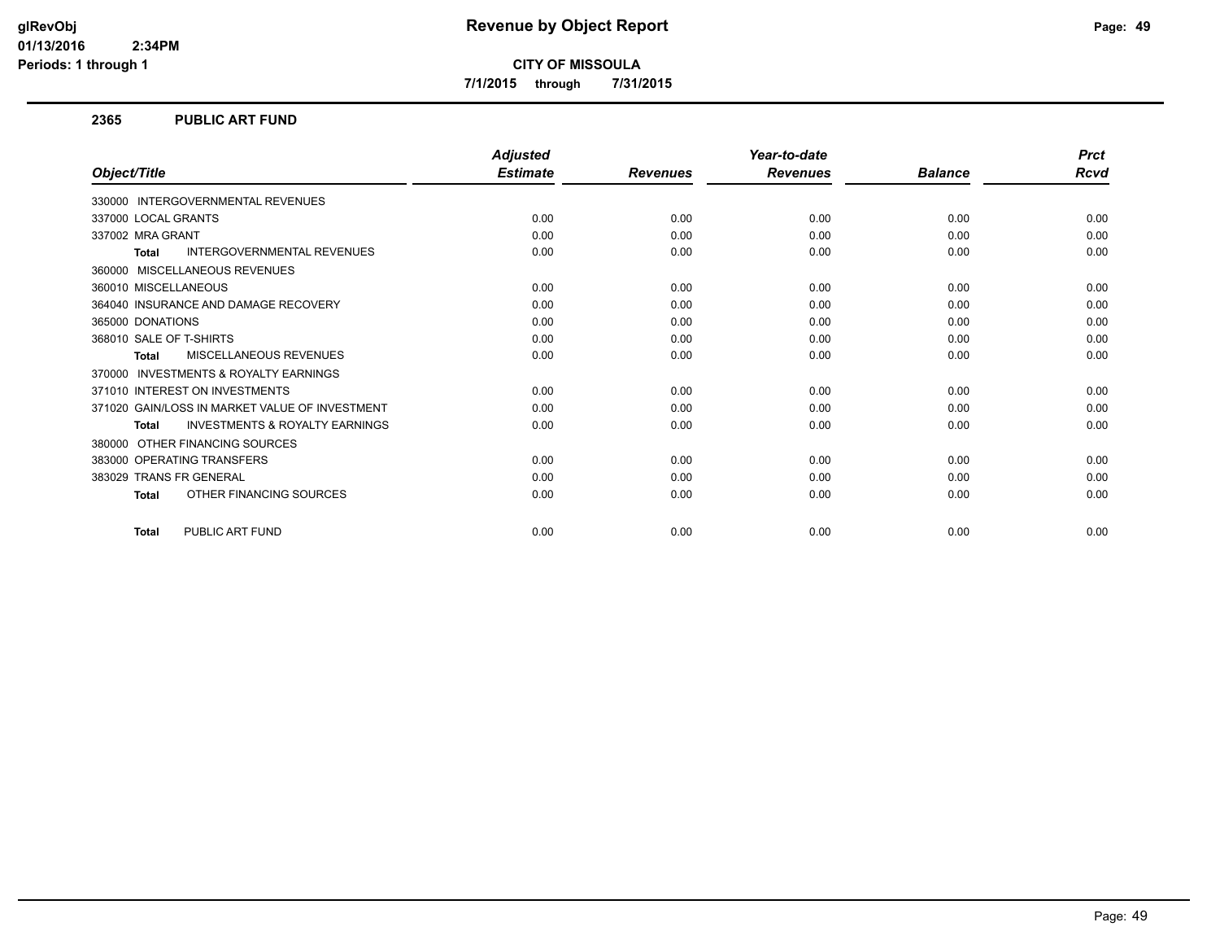**7/1/2015 through 7/31/2015**

#### **2365 PUBLIC ART FUND**

|                                                     | <b>Adjusted</b> |                 | Year-to-date    |                | <b>Prct</b> |
|-----------------------------------------------------|-----------------|-----------------|-----------------|----------------|-------------|
| Object/Title                                        | <b>Estimate</b> | <b>Revenues</b> | <b>Revenues</b> | <b>Balance</b> | Rcvd        |
| INTERGOVERNMENTAL REVENUES<br>330000                |                 |                 |                 |                |             |
| 337000 LOCAL GRANTS                                 | 0.00            | 0.00            | 0.00            | 0.00           | 0.00        |
| 337002 MRA GRANT                                    | 0.00            | 0.00            | 0.00            | 0.00           | 0.00        |
| <b>INTERGOVERNMENTAL REVENUES</b><br><b>Total</b>   | 0.00            | 0.00            | 0.00            | 0.00           | 0.00        |
| MISCELLANEOUS REVENUES<br>360000                    |                 |                 |                 |                |             |
| 360010 MISCELLANEOUS                                | 0.00            | 0.00            | 0.00            | 0.00           | 0.00        |
| 364040 INSURANCE AND DAMAGE RECOVERY                | 0.00            | 0.00            | 0.00            | 0.00           | 0.00        |
| 365000 DONATIONS                                    | 0.00            | 0.00            | 0.00            | 0.00           | 0.00        |
| 368010 SALE OF T-SHIRTS                             | 0.00            | 0.00            | 0.00            | 0.00           | 0.00        |
| MISCELLANEOUS REVENUES<br><b>Total</b>              | 0.00            | 0.00            | 0.00            | 0.00           | 0.00        |
| <b>INVESTMENTS &amp; ROYALTY EARNINGS</b><br>370000 |                 |                 |                 |                |             |
| 371010 INTEREST ON INVESTMENTS                      | 0.00            | 0.00            | 0.00            | 0.00           | 0.00        |
| 371020 GAIN/LOSS IN MARKET VALUE OF INVESTMENT      | 0.00            | 0.00            | 0.00            | 0.00           | 0.00        |
| INVESTMENTS & ROYALTY EARNINGS<br><b>Total</b>      | 0.00            | 0.00            | 0.00            | 0.00           | 0.00        |
| OTHER FINANCING SOURCES<br>380000                   |                 |                 |                 |                |             |
| 383000 OPERATING TRANSFERS                          | 0.00            | 0.00            | 0.00            | 0.00           | 0.00        |
| 383029 TRANS FR GENERAL                             | 0.00            | 0.00            | 0.00            | 0.00           | 0.00        |
| OTHER FINANCING SOURCES<br><b>Total</b>             | 0.00            | 0.00            | 0.00            | 0.00           | 0.00        |
| PUBLIC ART FUND<br><b>Total</b>                     | 0.00            | 0.00            | 0.00            | 0.00           | 0.00        |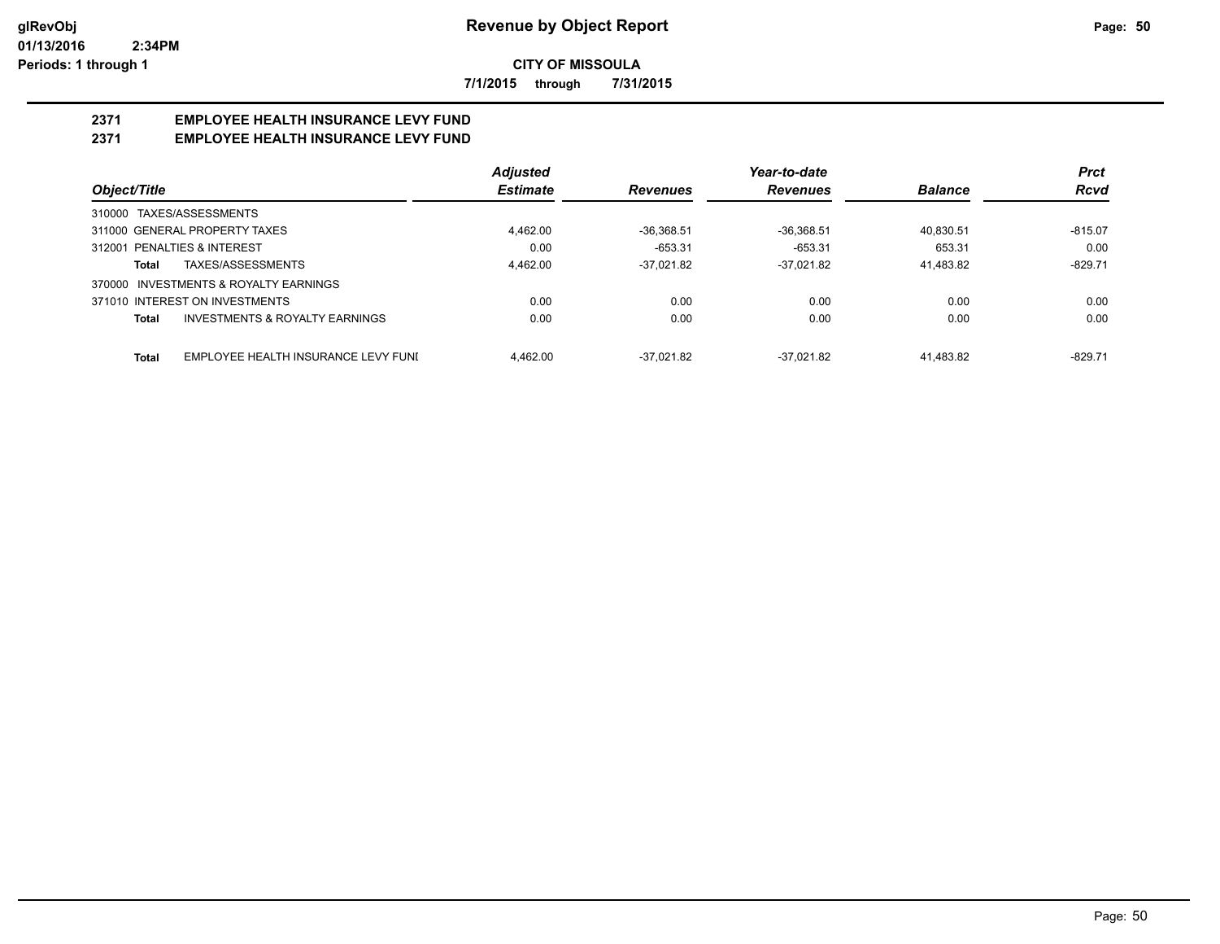**7/1/2015 through 7/31/2015**

## **2371 EMPLOYEE HEALTH INSURANCE LEVY FUND**

## **2371 EMPLOYEE HEALTH INSURANCE LEVY FUND**

|                                                     | <b>Adjusted</b> |                 | Year-to-date    |                | <b>Prct</b> |
|-----------------------------------------------------|-----------------|-----------------|-----------------|----------------|-------------|
| Object/Title                                        | <b>Estimate</b> | <b>Revenues</b> | <b>Revenues</b> | <b>Balance</b> | Rcvd        |
| 310000 TAXES/ASSESSMENTS                            |                 |                 |                 |                |             |
| 311000 GENERAL PROPERTY TAXES                       | 4.462.00        | $-36.368.51$    | $-36.368.51$    | 40.830.51      | $-815.07$   |
| 312001 PENALTIES & INTEREST                         | 0.00            | $-653.31$       | $-653.31$       | 653.31         | 0.00        |
| TAXES/ASSESSMENTS<br>Total                          | 4.462.00        | $-37.021.82$    | $-37.021.82$    | 41.483.82      | $-829.71$   |
| INVESTMENTS & ROYALTY EARNINGS<br>370000            |                 |                 |                 |                |             |
| 371010 INTEREST ON INVESTMENTS                      | 0.00            | 0.00            | 0.00            | 0.00           | 0.00        |
| <b>INVESTMENTS &amp; ROYALTY EARNINGS</b><br>Total  | 0.00            | 0.00            | 0.00            | 0.00           | 0.00        |
| EMPLOYEE HEALTH INSURANCE LEVY FUNI<br><b>Total</b> | 4.462.00        | $-37.021.82$    | $-37.021.82$    | 41.483.82      | $-829.71$   |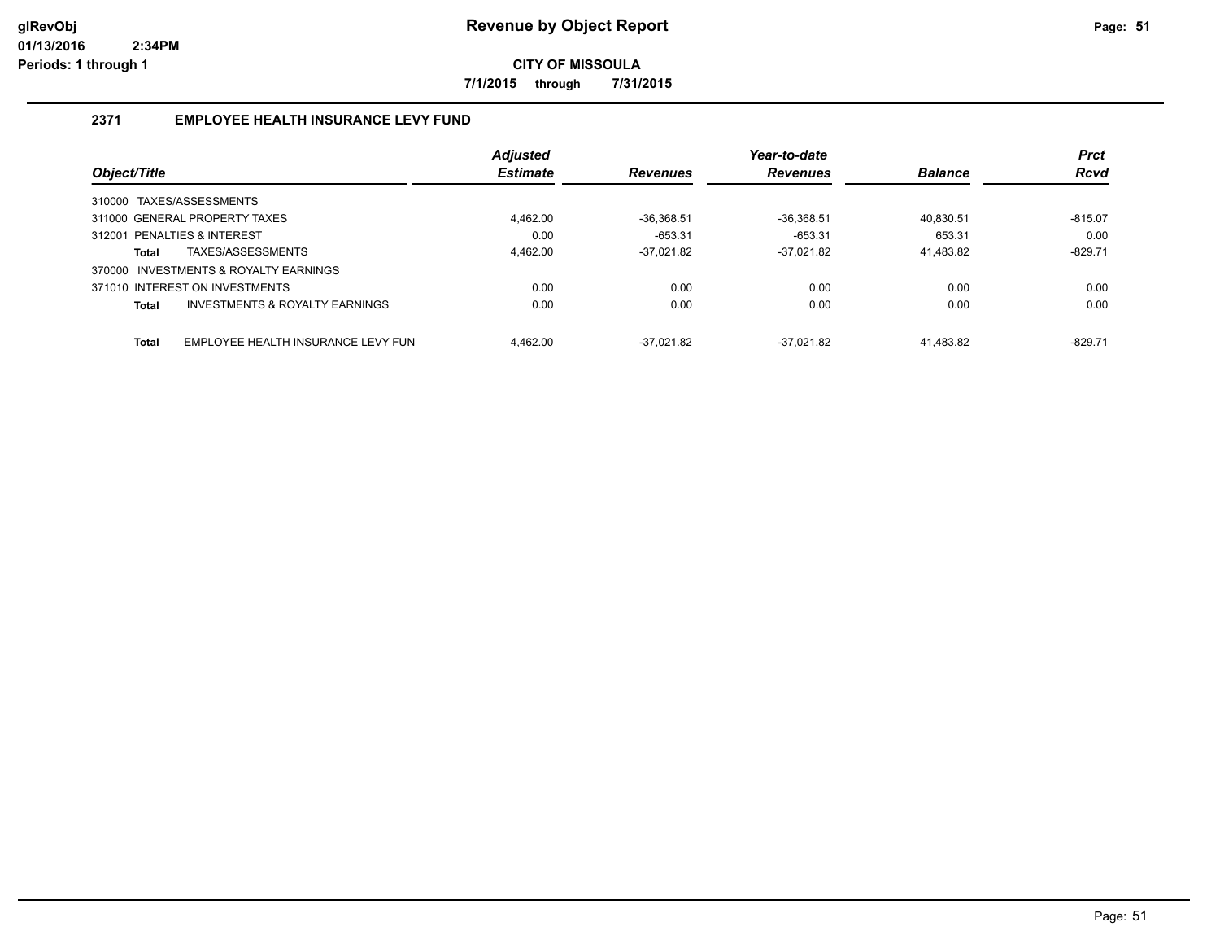**7/1/2015 through 7/31/2015**

## **2371 EMPLOYEE HEALTH INSURANCE LEVY FUND**

|                                                    | <b>Adjusted</b> |                 | Year-to-date    |                | <b>Prct</b> |
|----------------------------------------------------|-----------------|-----------------|-----------------|----------------|-------------|
| Object/Title                                       | <b>Estimate</b> | <b>Revenues</b> | <b>Revenues</b> | <b>Balance</b> | <b>Rcvd</b> |
| 310000 TAXES/ASSESSMENTS                           |                 |                 |                 |                |             |
| 311000 GENERAL PROPERTY TAXES                      | 4.462.00        | $-36,368.51$    | $-36.368.51$    | 40,830.51      | $-815.07$   |
| 312001 PENALTIES & INTEREST                        | 0.00            | $-653.31$       | $-653.31$       | 653.31         | 0.00        |
| TAXES/ASSESSMENTS<br><b>Total</b>                  | 4.462.00        | $-37.021.82$    | $-37.021.82$    | 41.483.82      | $-829.71$   |
| 370000 INVESTMENTS & ROYALTY EARNINGS              |                 |                 |                 |                |             |
| 371010 INTEREST ON INVESTMENTS                     | 0.00            | 0.00            | 0.00            | 0.00           | 0.00        |
| INVESTMENTS & ROYALTY EARNINGS<br><b>Total</b>     | 0.00            | 0.00            | 0.00            | 0.00           | 0.00        |
| <b>Total</b><br>EMPLOYEE HEALTH INSURANCE LEVY FUN | 4.462.00        | $-37.021.82$    | $-37.021.82$    | 41.483.82      | $-829.71$   |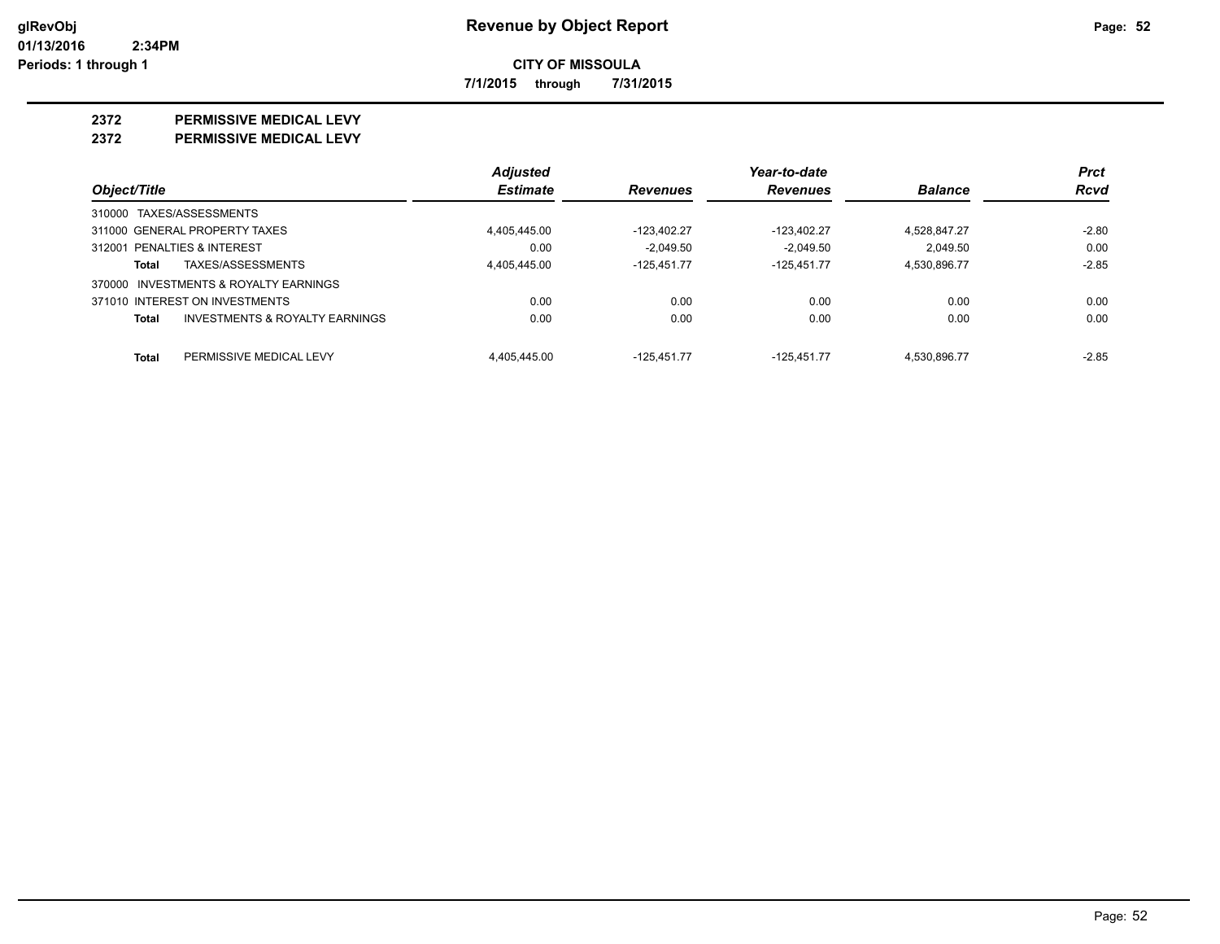**7/1/2015 through 7/31/2015**

#### **2372 PERMISSIVE MEDICAL LEVY**

**2372 PERMISSIVE MEDICAL LEVY**

|                                         | <b>Adjusted</b> |                 | Year-to-date    |                | <b>Prct</b> |
|-----------------------------------------|-----------------|-----------------|-----------------|----------------|-------------|
| Object/Title                            | <b>Estimate</b> | <b>Revenues</b> | <b>Revenues</b> | <b>Balance</b> | <b>Rcvd</b> |
| 310000 TAXES/ASSESSMENTS                |                 |                 |                 |                |             |
| 311000 GENERAL PROPERTY TAXES           | 4.405.445.00    | $-123.402.27$   | $-123.402.27$   | 4,528,847.27   | $-2.80$     |
| 312001 PENALTIES & INTEREST             | 0.00            | $-2.049.50$     | $-2.049.50$     | 2.049.50       | 0.00        |
| TAXES/ASSESSMENTS<br>Total              | 4.405.445.00    | $-125.451.77$   | $-125.451.77$   | 4.530.896.77   | $-2.85$     |
| 370000 INVESTMENTS & ROYALTY EARNINGS   |                 |                 |                 |                |             |
| 371010 INTEREST ON INVESTMENTS          | 0.00            | 0.00            | 0.00            | 0.00           | 0.00        |
| INVESTMENTS & ROYALTY EARNINGS<br>Total | 0.00            | 0.00            | 0.00            | 0.00           | 0.00        |
| Total<br>PERMISSIVE MEDICAL LEVY        | 4.405.445.00    | $-125.451.77$   | $-125.451.77$   | 4.530.896.77   | $-2.85$     |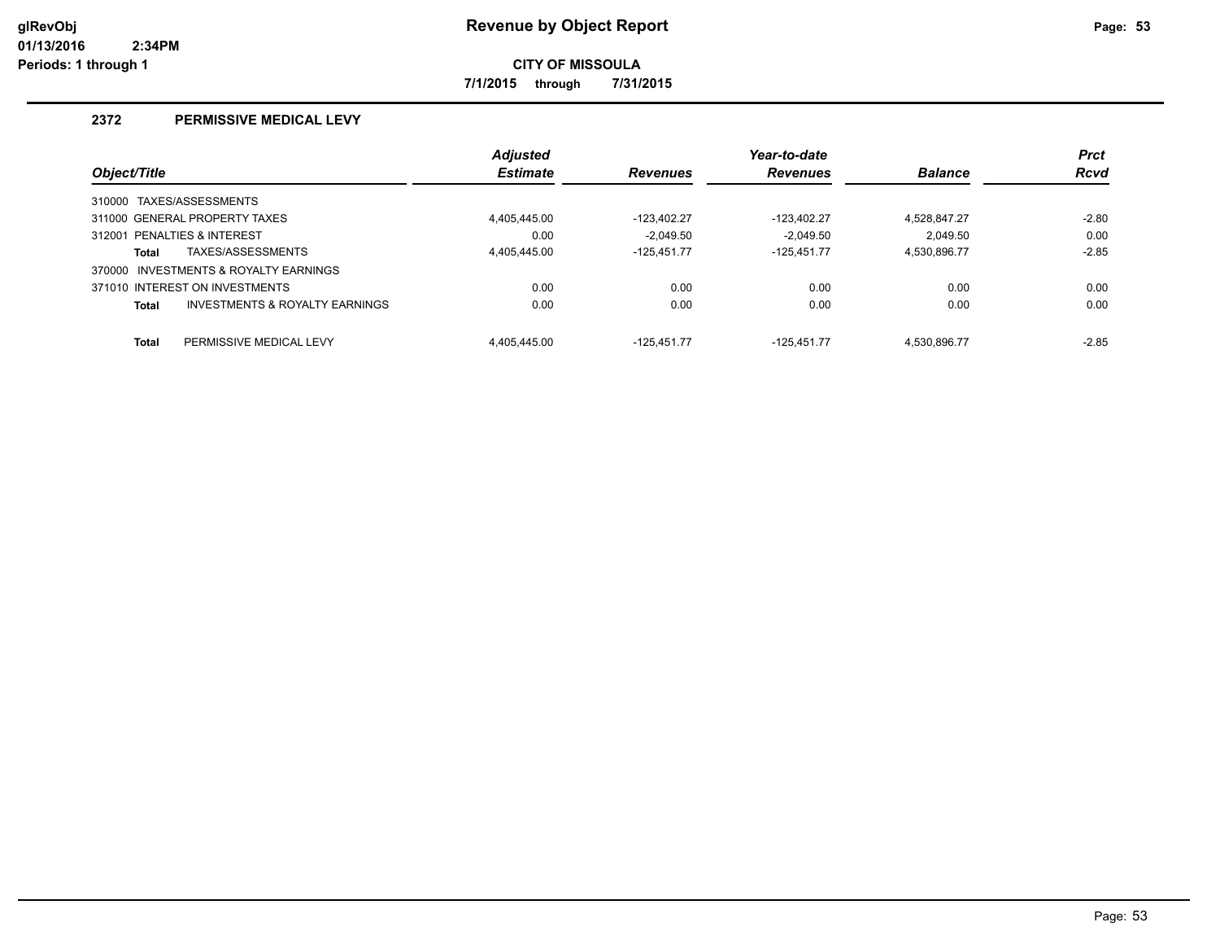**7/1/2015 through 7/31/2015**

### **2372 PERMISSIVE MEDICAL LEVY**

|              |                                       | Adjusted        |                 | Year-to-date    |                | <b>Prct</b> |
|--------------|---------------------------------------|-----------------|-----------------|-----------------|----------------|-------------|
| Object/Title |                                       | <b>Estimate</b> | <b>Revenues</b> | <b>Revenues</b> | <b>Balance</b> | <b>Rcvd</b> |
|              | 310000 TAXES/ASSESSMENTS              |                 |                 |                 |                |             |
|              | 311000 GENERAL PROPERTY TAXES         | 4.405.445.00    | $-123.402.27$   | $-123.402.27$   | 4.528.847.27   | $-2.80$     |
|              | 312001 PENALTIES & INTEREST           | 0.00            | $-2.049.50$     | $-2.049.50$     | 2.049.50       | 0.00        |
| <b>Total</b> | TAXES/ASSESSMENTS                     | 4.405.445.00    | $-125.451.77$   | $-125.451.77$   | 4,530,896.77   | $-2.85$     |
|              | 370000 INVESTMENTS & ROYALTY EARNINGS |                 |                 |                 |                |             |
|              | 371010 INTEREST ON INVESTMENTS        | 0.00            | 0.00            | 0.00            | 0.00           | 0.00        |
| Total        | INVESTMENTS & ROYALTY EARNINGS        | 0.00            | 0.00            | 0.00            | 0.00           | 0.00        |
| <b>Total</b> | PERMISSIVE MEDICAL LEVY               | 4.405.445.00    | $-125.451.77$   | $-125.451.77$   | 4.530.896.77   | $-2.85$     |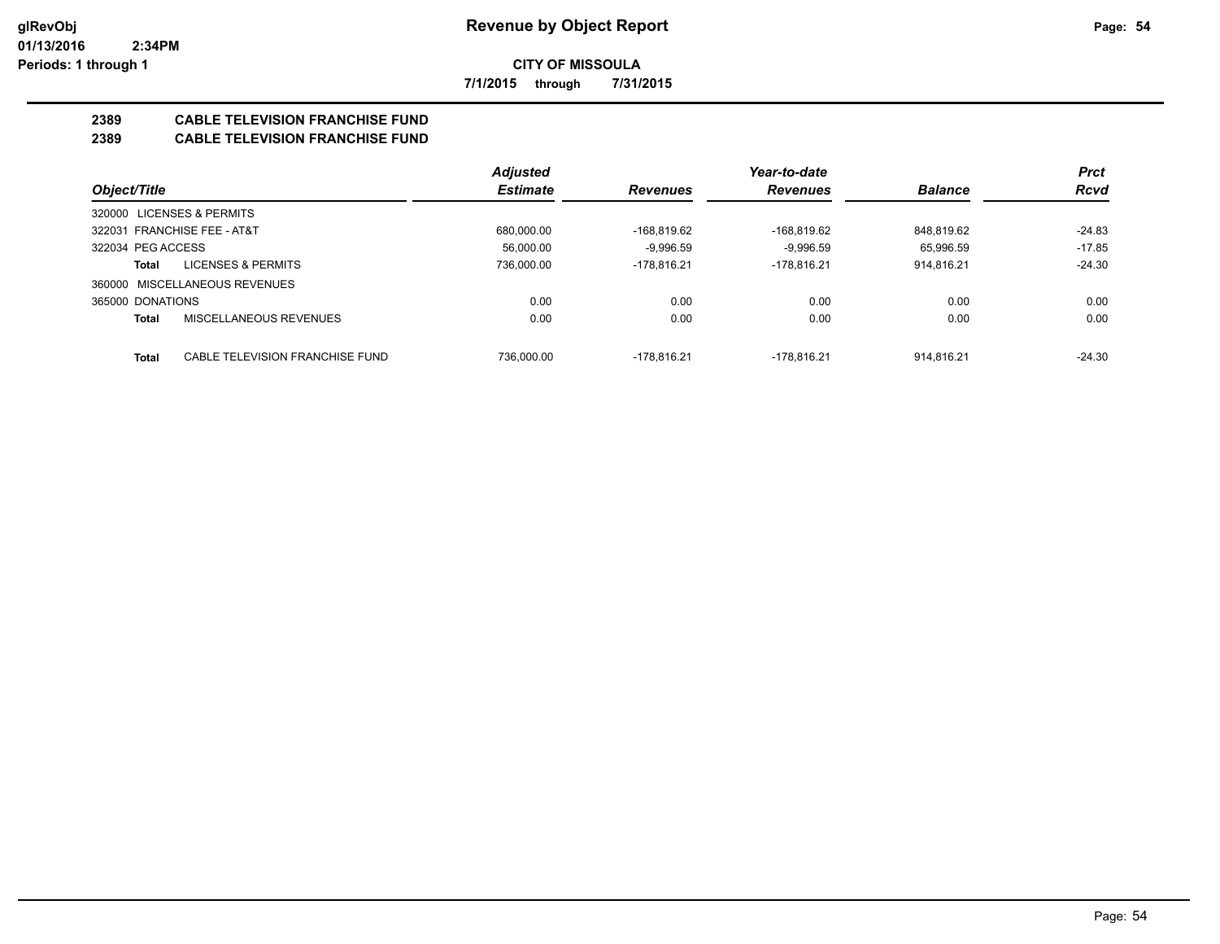**7/1/2015 through 7/31/2015**

## **2389 CABLE TELEVISION FRANCHISE FUND**

## **2389 CABLE TELEVISION FRANCHISE FUND**

|                                          | <b>Adjusted</b> |                 | Year-to-date    |                | <b>Prct</b> |
|------------------------------------------|-----------------|-----------------|-----------------|----------------|-------------|
| Object/Title                             | <b>Estimate</b> | <b>Revenues</b> | <b>Revenues</b> | <b>Balance</b> | <b>Rcvd</b> |
| 320000 LICENSES & PERMITS                |                 |                 |                 |                |             |
| 322031 FRANCHISE FEE - AT&T              | 680.000.00      | -168.819.62     | -168.819.62     | 848.819.62     | $-24.83$    |
| 322034 PEG ACCESS                        | 56,000.00       | $-9.996.59$     | $-9.996.59$     | 65.996.59      | $-17.85$    |
| LICENSES & PERMITS<br>Total              | 736,000.00      | $-178.816.21$   | $-178.816.21$   | 914.816.21     | $-24.30$    |
| 360000 MISCELLANEOUS REVENUES            |                 |                 |                 |                |             |
| 365000 DONATIONS                         | 0.00            | 0.00            | 0.00            | 0.00           | 0.00        |
| MISCELLANEOUS REVENUES<br><b>Total</b>   | 0.00            | 0.00            | 0.00            | 0.00           | 0.00        |
| CABLE TELEVISION FRANCHISE FUND<br>Total | 736.000.00      | $-178.816.21$   | -178.816.21     | 914.816.21     | $-24.30$    |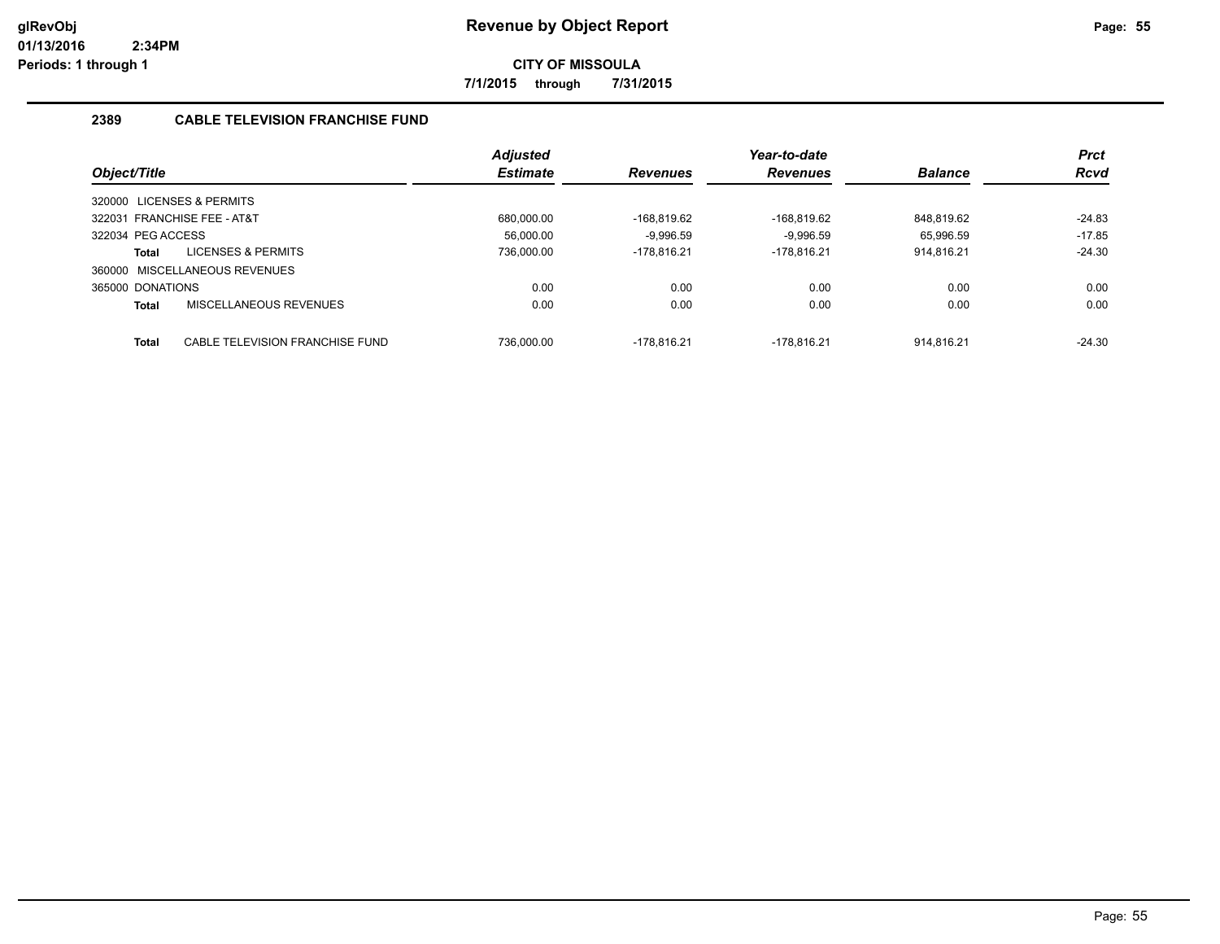**7/1/2015 through 7/31/2015**

## **2389 CABLE TELEVISION FRANCHISE FUND**

|                   |                                 | <b>Adjusted</b> |                 | Year-to-date   |             | <b>Prct</b> |
|-------------------|---------------------------------|-----------------|-----------------|----------------|-------------|-------------|
| Object/Title      | <b>Estimate</b>                 | <b>Revenues</b> | <b>Revenues</b> | <b>Balance</b> | <b>Rcvd</b> |             |
|                   | 320000 LICENSES & PERMITS       |                 |                 |                |             |             |
|                   | 322031 FRANCHISE FEE - AT&T     | 680.000.00      | -168.819.62     | -168.819.62    | 848.819.62  | $-24.83$    |
| 322034 PEG ACCESS |                                 | 56.000.00       | $-9.996.59$     | $-9.996.59$    | 65.996.59   | $-17.85$    |
| Total             | <b>LICENSES &amp; PERMITS</b>   | 736.000.00      | $-178.816.21$   | $-178.816.21$  | 914.816.21  | $-24.30$    |
|                   | 360000 MISCELLANEOUS REVENUES   |                 |                 |                |             |             |
| 365000 DONATIONS  |                                 | 0.00            | 0.00            | 0.00           | 0.00        | 0.00        |
| Total             | MISCELLANEOUS REVENUES          | 0.00            | 0.00            | 0.00           | 0.00        | 0.00        |
|                   |                                 |                 |                 |                |             |             |
| Total             | CABLE TELEVISION FRANCHISE FUND | 736.000.00      | -178.816.21     | -178.816.21    | 914.816.21  | $-24.30$    |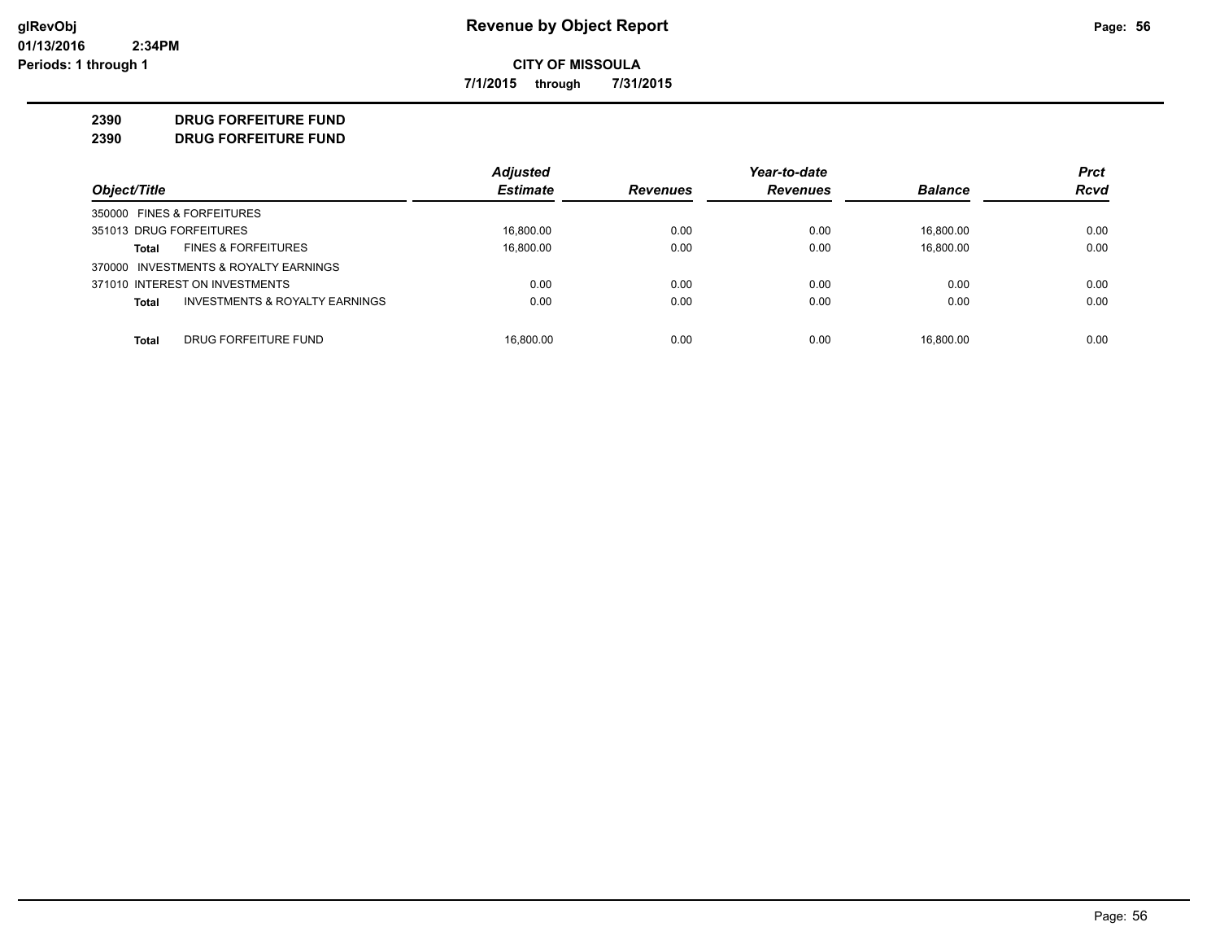**7/1/2015 through 7/31/2015**

## **2390 DRUG FORFEITURE FUND**

**2390 DRUG FORFEITURE FUND**

|                                                | <b>Adjusted</b> |                 | Year-to-date    |                | <b>Prct</b> |
|------------------------------------------------|-----------------|-----------------|-----------------|----------------|-------------|
| Object/Title                                   | <b>Estimate</b> | <b>Revenues</b> | <b>Revenues</b> | <b>Balance</b> | <b>Rcvd</b> |
| 350000 FINES & FORFEITURES                     |                 |                 |                 |                |             |
| 351013 DRUG FORFEITURES                        | 16.800.00       | 0.00            | 0.00            | 16.800.00      | 0.00        |
| <b>FINES &amp; FORFEITURES</b><br>Total        | 16,800.00       | 0.00            | 0.00            | 16.800.00      | 0.00        |
| 370000 INVESTMENTS & ROYALTY EARNINGS          |                 |                 |                 |                |             |
| 371010 INTEREST ON INVESTMENTS                 | 0.00            | 0.00            | 0.00            | 0.00           | 0.00        |
| INVESTMENTS & ROYALTY EARNINGS<br><b>Total</b> | 0.00            | 0.00            | 0.00            | 0.00           | 0.00        |
| DRUG FORFEITURE FUND<br>Total                  | 16.800.00       | 0.00            | 0.00            | 16.800.00      | 0.00        |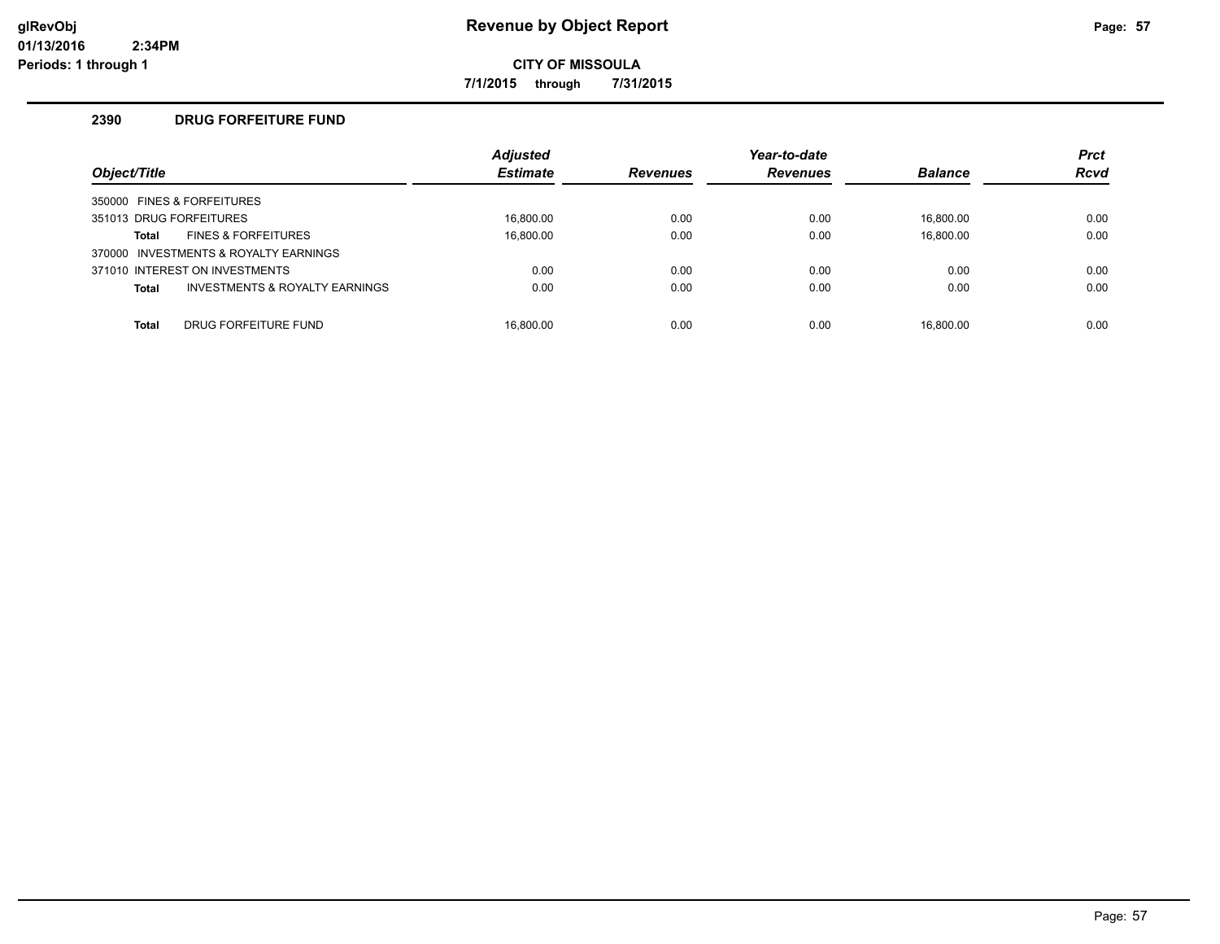**7/1/2015 through 7/31/2015**

### **2390 DRUG FORFEITURE FUND**

| Object/Title                                              | <b>Adjusted</b><br><b>Estimate</b> | <b>Revenues</b> | Year-to-date<br><b>Revenues</b> | <b>Balance</b> | <b>Prct</b><br><b>Rcvd</b> |
|-----------------------------------------------------------|------------------------------------|-----------------|---------------------------------|----------------|----------------------------|
| 350000 FINES & FORFEITURES                                |                                    |                 |                                 |                |                            |
| 351013 DRUG FORFEITURES                                   | 16,800.00                          | 0.00            | 0.00                            | 16.800.00      | 0.00                       |
| <b>FINES &amp; FORFEITURES</b><br>Total                   | 16,800.00                          | 0.00            | 0.00                            | 16.800.00      | 0.00                       |
| 370000 INVESTMENTS & ROYALTY EARNINGS                     |                                    |                 |                                 |                |                            |
| 371010 INTEREST ON INVESTMENTS                            | 0.00                               | 0.00            | 0.00                            | 0.00           | 0.00                       |
| <b>INVESTMENTS &amp; ROYALTY EARNINGS</b><br><b>Total</b> | 0.00                               | 0.00            | 0.00                            | 0.00           | 0.00                       |
|                                                           |                                    |                 |                                 |                |                            |
| DRUG FORFEITURE FUND<br><b>Total</b>                      | 16.800.00                          | 0.00            | 0.00                            | 16.800.00      | 0.00                       |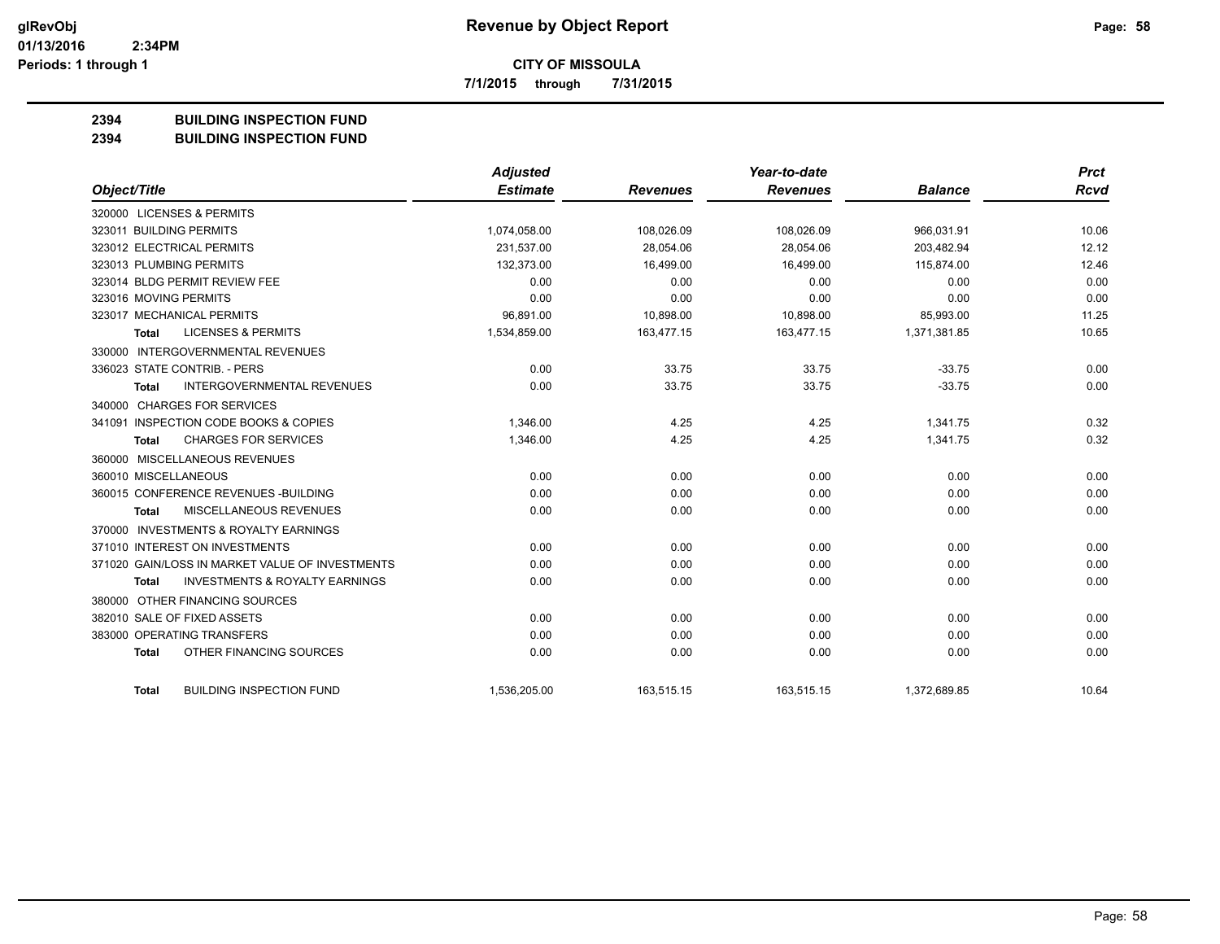**7/1/2015 through 7/31/2015**

## **2394 BUILDING INSPECTION FUND**

#### **2394 BUILDING INSPECTION FUND**

|                                                           | Adjusted        |                 | Year-to-date    |                | <b>Prct</b> |
|-----------------------------------------------------------|-----------------|-----------------|-----------------|----------------|-------------|
| Object/Title                                              | <b>Estimate</b> | <b>Revenues</b> | <b>Revenues</b> | <b>Balance</b> | Rcvd        |
| 320000 LICENSES & PERMITS                                 |                 |                 |                 |                |             |
| 323011 BUILDING PERMITS                                   | 1,074,058.00    | 108,026.09      | 108,026.09      | 966,031.91     | 10.06       |
| 323012 ELECTRICAL PERMITS                                 | 231,537.00      | 28,054.06       | 28.054.06       | 203,482.94     | 12.12       |
| 323013 PLUMBING PERMITS                                   | 132,373.00      | 16,499.00       | 16,499.00       | 115,874.00     | 12.46       |
| 323014 BLDG PERMIT REVIEW FEE                             | 0.00            | 0.00            | 0.00            | 0.00           | 0.00        |
| 323016 MOVING PERMITS                                     | 0.00            | 0.00            | 0.00            | 0.00           | 0.00        |
| 323017 MECHANICAL PERMITS                                 | 96,891.00       | 10,898.00       | 10,898.00       | 85,993.00      | 11.25       |
| <b>LICENSES &amp; PERMITS</b><br>Total                    | 1,534,859.00    | 163,477.15      | 163,477.15      | 1,371,381.85   | 10.65       |
| 330000 INTERGOVERNMENTAL REVENUES                         |                 |                 |                 |                |             |
| 336023 STATE CONTRIB. - PERS                              | 0.00            | 33.75           | 33.75           | $-33.75$       | 0.00        |
| <b>INTERGOVERNMENTAL REVENUES</b><br><b>Total</b>         | 0.00            | 33.75           | 33.75           | $-33.75$       | 0.00        |
| 340000 CHARGES FOR SERVICES                               |                 |                 |                 |                |             |
| 341091 INSPECTION CODE BOOKS & COPIES                     | 1,346.00        | 4.25            | 4.25            | 1,341.75       | 0.32        |
| <b>CHARGES FOR SERVICES</b><br>Total                      | 1,346.00        | 4.25            | 4.25            | 1,341.75       | 0.32        |
| 360000 MISCELLANEOUS REVENUES                             |                 |                 |                 |                |             |
| 360010 MISCELLANEOUS                                      | 0.00            | 0.00            | 0.00            | 0.00           | 0.00        |
| 360015 CONFERENCE REVENUES - BUILDING                     | 0.00            | 0.00            | 0.00            | 0.00           | 0.00        |
| MISCELLANEOUS REVENUES<br><b>Total</b>                    | 0.00            | 0.00            | 0.00            | 0.00           | 0.00        |
| 370000 INVESTMENTS & ROYALTY EARNINGS                     |                 |                 |                 |                |             |
| 371010 INTEREST ON INVESTMENTS                            | 0.00            | 0.00            | 0.00            | 0.00           | 0.00        |
| 371020 GAIN/LOSS IN MARKET VALUE OF INVESTMENTS           | 0.00            | 0.00            | 0.00            | 0.00           | 0.00        |
| <b>INVESTMENTS &amp; ROYALTY EARNINGS</b><br><b>Total</b> | 0.00            | 0.00            | 0.00            | 0.00           | 0.00        |
| 380000 OTHER FINANCING SOURCES                            |                 |                 |                 |                |             |
| 382010 SALE OF FIXED ASSETS                               | 0.00            | 0.00            | 0.00            | 0.00           | 0.00        |
| 383000 OPERATING TRANSFERS                                | 0.00            | 0.00            | 0.00            | 0.00           | 0.00        |
| OTHER FINANCING SOURCES<br><b>Total</b>                   | 0.00            | 0.00            | 0.00            | 0.00           | 0.00        |
| <b>BUILDING INSPECTION FUND</b><br><b>Total</b>           | 1,536,205.00    | 163,515.15      | 163,515.15      | 1,372,689.85   | 10.64       |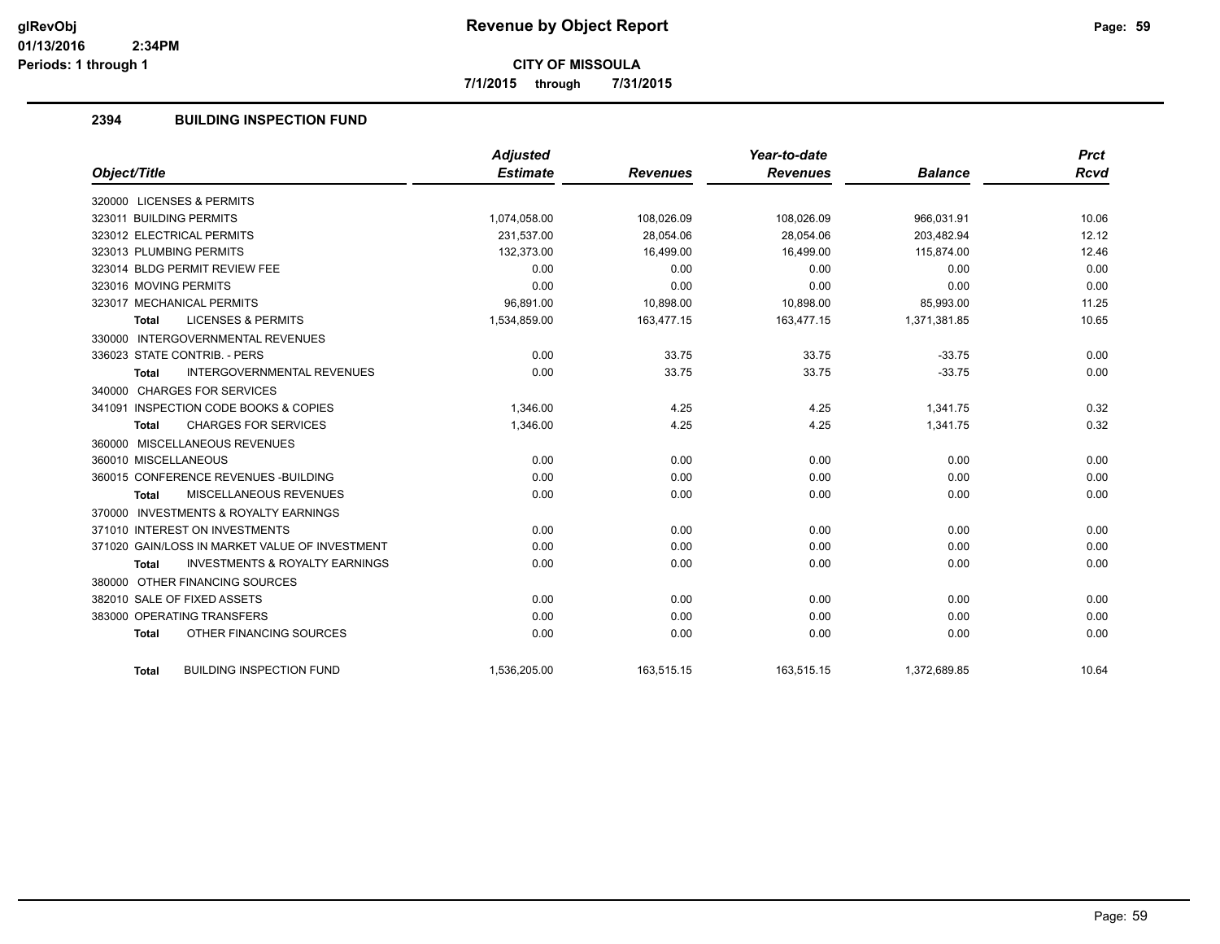**7/1/2015 through 7/31/2015**

## **2394 BUILDING INSPECTION FUND**

|                                                           | <b>Adjusted</b> |                 | Year-to-date    |                | <b>Prct</b> |
|-----------------------------------------------------------|-----------------|-----------------|-----------------|----------------|-------------|
| Object/Title                                              | <b>Estimate</b> | <b>Revenues</b> | <b>Revenues</b> | <b>Balance</b> | Rcvd        |
| 320000 LICENSES & PERMITS                                 |                 |                 |                 |                |             |
| 323011 BUILDING PERMITS                                   | 1,074,058.00    | 108,026.09      | 108,026.09      | 966,031.91     | 10.06       |
| 323012 ELECTRICAL PERMITS                                 | 231.537.00      | 28.054.06       | 28.054.06       | 203.482.94     | 12.12       |
| 323013 PLUMBING PERMITS                                   | 132,373.00      | 16,499.00       | 16,499.00       | 115,874.00     | 12.46       |
| 323014 BLDG PERMIT REVIEW FEE                             | 0.00            | 0.00            | 0.00            | 0.00           | 0.00        |
| 323016 MOVING PERMITS                                     | 0.00            | 0.00            | 0.00            | 0.00           | 0.00        |
| 323017 MECHANICAL PERMITS                                 | 96,891.00       | 10,898.00       | 10,898.00       | 85,993.00      | 11.25       |
| <b>LICENSES &amp; PERMITS</b><br><b>Total</b>             | 1,534,859.00    | 163,477.15      | 163,477.15      | 1,371,381.85   | 10.65       |
| 330000 INTERGOVERNMENTAL REVENUES                         |                 |                 |                 |                |             |
| 336023 STATE CONTRIB. - PERS                              | 0.00            | 33.75           | 33.75           | $-33.75$       | 0.00        |
| <b>INTERGOVERNMENTAL REVENUES</b><br><b>Total</b>         | 0.00            | 33.75           | 33.75           | $-33.75$       | 0.00        |
| 340000 CHARGES FOR SERVICES                               |                 |                 |                 |                |             |
| 341091 INSPECTION CODE BOOKS & COPIES                     | 1,346.00        | 4.25            | 4.25            | 1,341.75       | 0.32        |
| <b>CHARGES FOR SERVICES</b><br><b>Total</b>               | 1,346.00        | 4.25            | 4.25            | 1,341.75       | 0.32        |
| 360000 MISCELLANEOUS REVENUES                             |                 |                 |                 |                |             |
| 360010 MISCELLANEOUS                                      | 0.00            | 0.00            | 0.00            | 0.00           | 0.00        |
| 360015 CONFERENCE REVENUES - BUILDING                     | 0.00            | 0.00            | 0.00            | 0.00           | 0.00        |
| MISCELLANEOUS REVENUES<br><b>Total</b>                    | 0.00            | 0.00            | 0.00            | 0.00           | 0.00        |
| 370000 INVESTMENTS & ROYALTY EARNINGS                     |                 |                 |                 |                |             |
| 371010 INTEREST ON INVESTMENTS                            | 0.00            | 0.00            | 0.00            | 0.00           | 0.00        |
| 371020 GAIN/LOSS IN MARKET VALUE OF INVESTMENT            | 0.00            | 0.00            | 0.00            | 0.00           | 0.00        |
| <b>INVESTMENTS &amp; ROYALTY EARNINGS</b><br><b>Total</b> | 0.00            | 0.00            | 0.00            | 0.00           | 0.00        |
| 380000 OTHER FINANCING SOURCES                            |                 |                 |                 |                |             |
| 382010 SALE OF FIXED ASSETS                               | 0.00            | 0.00            | 0.00            | 0.00           | 0.00        |
| 383000 OPERATING TRANSFERS                                | 0.00            | 0.00            | 0.00            | 0.00           | 0.00        |
| OTHER FINANCING SOURCES<br><b>Total</b>                   | 0.00            | 0.00            | 0.00            | 0.00           | 0.00        |
| <b>BUILDING INSPECTION FUND</b><br><b>Total</b>           | 1,536,205.00    | 163,515.15      | 163,515.15      | 1,372,689.85   | 10.64       |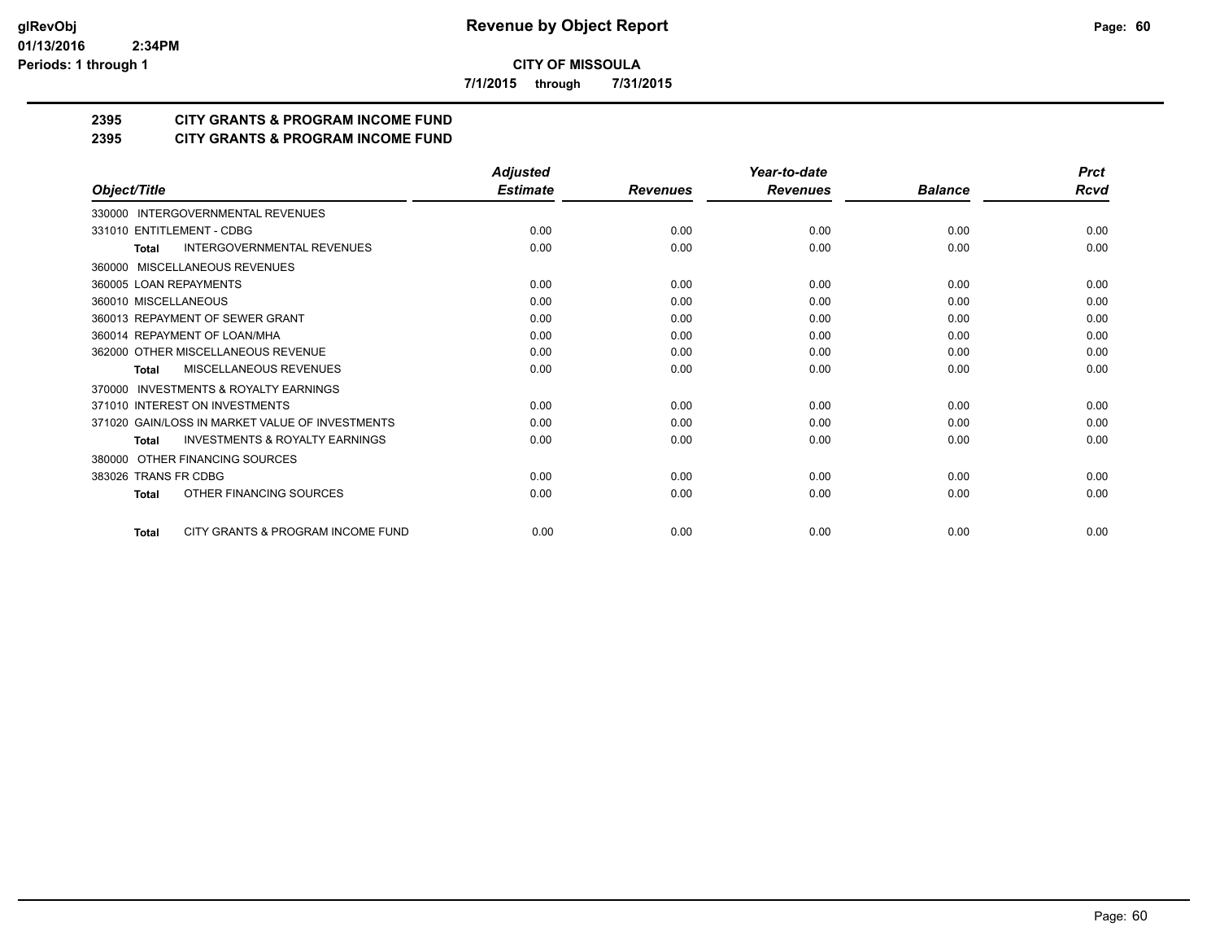**7/1/2015 through 7/31/2015**

## **2395 CITY GRANTS & PROGRAM INCOME FUND**

## **2395 CITY GRANTS & PROGRAM INCOME FUND**

|                                                           | <b>Adjusted</b> |                 | Year-to-date    |                | <b>Prct</b> |
|-----------------------------------------------------------|-----------------|-----------------|-----------------|----------------|-------------|
| Object/Title                                              | <b>Estimate</b> | <b>Revenues</b> | <b>Revenues</b> | <b>Balance</b> | Rcvd        |
| 330000 INTERGOVERNMENTAL REVENUES                         |                 |                 |                 |                |             |
| 331010 ENTITLEMENT - CDBG                                 | 0.00            | 0.00            | 0.00            | 0.00           | 0.00        |
| <b>INTERGOVERNMENTAL REVENUES</b><br><b>Total</b>         | 0.00            | 0.00            | 0.00            | 0.00           | 0.00        |
| 360000 MISCELLANEOUS REVENUES                             |                 |                 |                 |                |             |
| 360005 LOAN REPAYMENTS                                    | 0.00            | 0.00            | 0.00            | 0.00           | 0.00        |
| 360010 MISCELLANEOUS                                      | 0.00            | 0.00            | 0.00            | 0.00           | 0.00        |
| 360013 REPAYMENT OF SEWER GRANT                           | 0.00            | 0.00            | 0.00            | 0.00           | 0.00        |
| 360014 REPAYMENT OF LOAN/MHA                              | 0.00            | 0.00            | 0.00            | 0.00           | 0.00        |
| 362000 OTHER MISCELLANEOUS REVENUE                        | 0.00            | 0.00            | 0.00            | 0.00           | 0.00        |
| MISCELLANEOUS REVENUES<br>Total                           | 0.00            | 0.00            | 0.00            | 0.00           | 0.00        |
| <b>INVESTMENTS &amp; ROYALTY EARNINGS</b><br>370000       |                 |                 |                 |                |             |
| 371010 INTEREST ON INVESTMENTS                            | 0.00            | 0.00            | 0.00            | 0.00           | 0.00        |
| 371020 GAIN/LOSS IN MARKET VALUE OF INVESTMENTS           | 0.00            | 0.00            | 0.00            | 0.00           | 0.00        |
| <b>INVESTMENTS &amp; ROYALTY EARNINGS</b><br><b>Total</b> | 0.00            | 0.00            | 0.00            | 0.00           | 0.00        |
| OTHER FINANCING SOURCES<br>380000                         |                 |                 |                 |                |             |
| 383026 TRANS FR CDBG                                      | 0.00            | 0.00            | 0.00            | 0.00           | 0.00        |
| OTHER FINANCING SOURCES<br><b>Total</b>                   | 0.00            | 0.00            | 0.00            | 0.00           | 0.00        |
| CITY GRANTS & PROGRAM INCOME FUND<br><b>Total</b>         | 0.00            | 0.00            | 0.00            | 0.00           | 0.00        |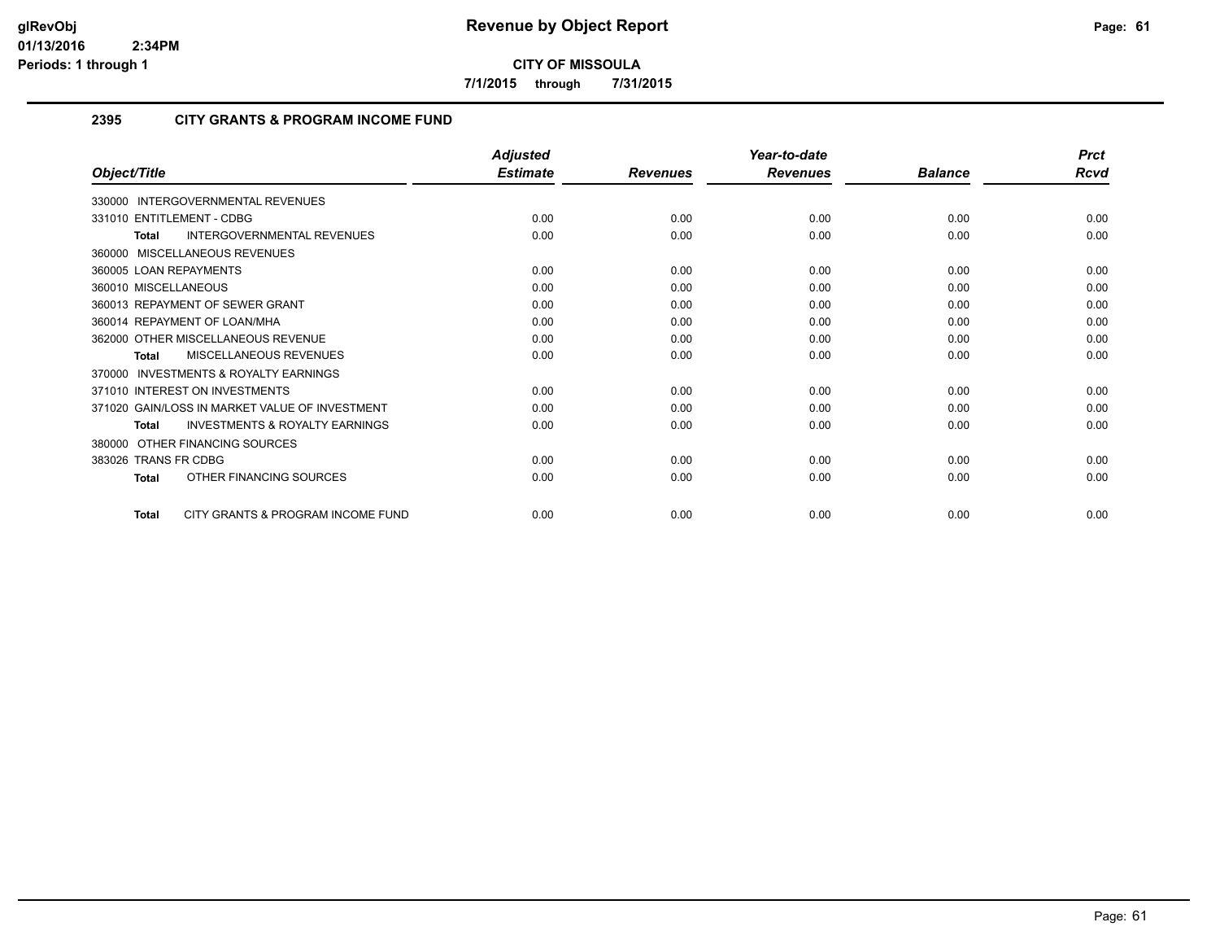**7/1/2015 through 7/31/2015**

## **2395 CITY GRANTS & PROGRAM INCOME FUND**

|                                                    | <b>Adjusted</b> |                 | Year-to-date    |                | <b>Prct</b> |
|----------------------------------------------------|-----------------|-----------------|-----------------|----------------|-------------|
| Object/Title                                       | <b>Estimate</b> | <b>Revenues</b> | <b>Revenues</b> | <b>Balance</b> | Rcvd        |
| 330000 INTERGOVERNMENTAL REVENUES                  |                 |                 |                 |                |             |
| 331010 ENTITLEMENT - CDBG                          | 0.00            | 0.00            | 0.00            | 0.00           | 0.00        |
| <b>INTERGOVERNMENTAL REVENUES</b><br><b>Total</b>  | 0.00            | 0.00            | 0.00            | 0.00           | 0.00        |
| 360000 MISCELLANEOUS REVENUES                      |                 |                 |                 |                |             |
| 360005 LOAN REPAYMENTS                             | 0.00            | 0.00            | 0.00            | 0.00           | 0.00        |
| 360010 MISCELLANEOUS                               | 0.00            | 0.00            | 0.00            | 0.00           | 0.00        |
| 360013 REPAYMENT OF SEWER GRANT                    | 0.00            | 0.00            | 0.00            | 0.00           | 0.00        |
| 360014 REPAYMENT OF LOAN/MHA                       | 0.00            | 0.00            | 0.00            | 0.00           | 0.00        |
| 362000 OTHER MISCELLANEOUS REVENUE                 | 0.00            | 0.00            | 0.00            | 0.00           | 0.00        |
| MISCELLANEOUS REVENUES<br>Total                    | 0.00            | 0.00            | 0.00            | 0.00           | 0.00        |
| 370000 INVESTMENTS & ROYALTY EARNINGS              |                 |                 |                 |                |             |
| 371010 INTEREST ON INVESTMENTS                     | 0.00            | 0.00            | 0.00            | 0.00           | 0.00        |
| 371020 GAIN/LOSS IN MARKET VALUE OF INVESTMENT     | 0.00            | 0.00            | 0.00            | 0.00           | 0.00        |
| <b>INVESTMENTS &amp; ROYALTY EARNINGS</b><br>Total | 0.00            | 0.00            | 0.00            | 0.00           | 0.00        |
| 380000 OTHER FINANCING SOURCES                     |                 |                 |                 |                |             |
| 383026 TRANS FR CDBG                               | 0.00            | 0.00            | 0.00            | 0.00           | 0.00        |
| OTHER FINANCING SOURCES<br>Total                   | 0.00            | 0.00            | 0.00            | 0.00           | 0.00        |
|                                                    |                 |                 |                 |                |             |
| CITY GRANTS & PROGRAM INCOME FUND<br><b>Total</b>  | 0.00            | 0.00            | 0.00            | 0.00           | 0.00        |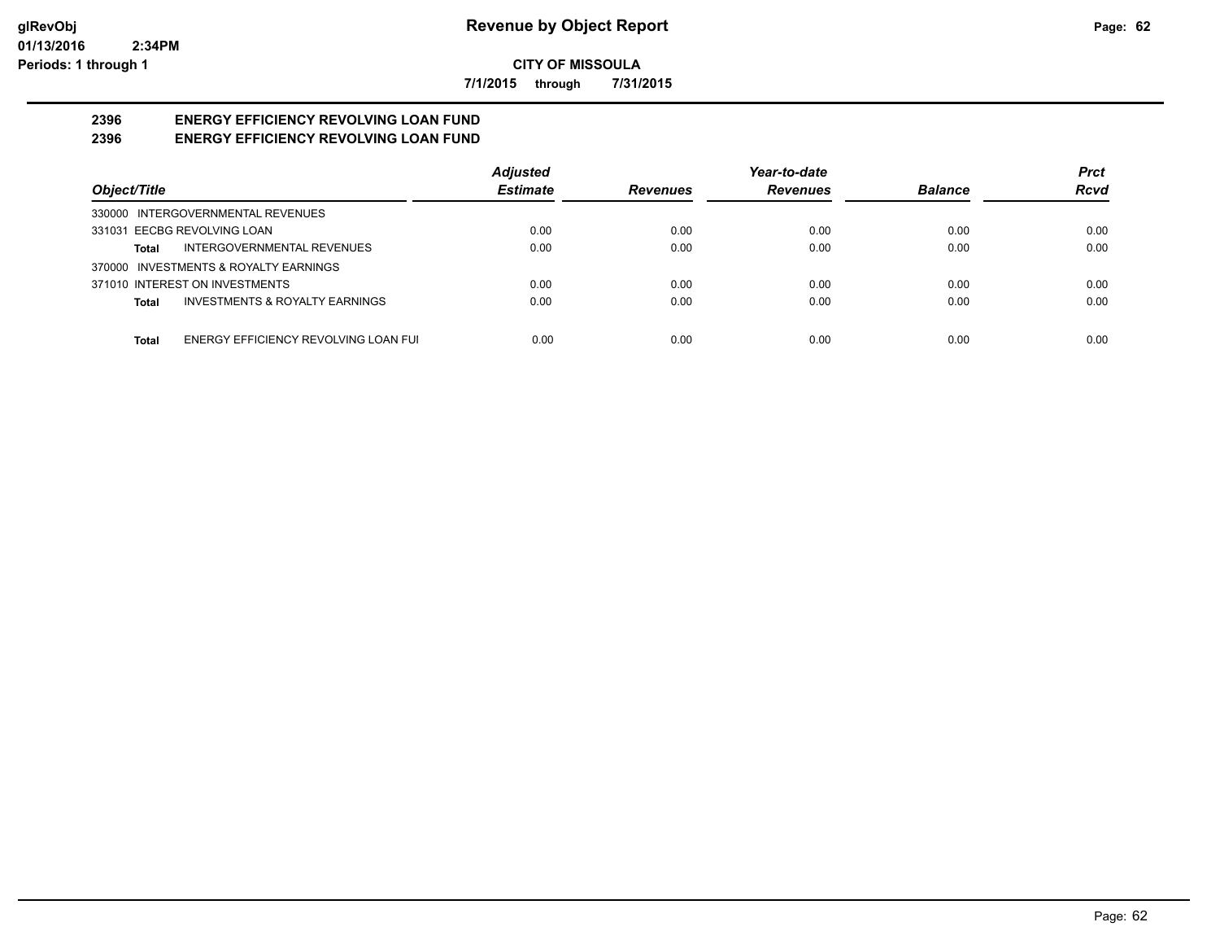**7/1/2015 through 7/31/2015**

#### **2396 ENERGY EFFICIENCY REVOLVING LOAN FUND 2396 ENERGY EFFICIENCY REVOLVING LOAN FUND**

|                                               | <b>Adjusted</b> |                 | Year-to-date    |                | <b>Prct</b> |
|-----------------------------------------------|-----------------|-----------------|-----------------|----------------|-------------|
| Object/Title                                  | <b>Estimate</b> | <b>Revenues</b> | <b>Revenues</b> | <b>Balance</b> | <b>Rcvd</b> |
| 330000 INTERGOVERNMENTAL REVENUES             |                 |                 |                 |                |             |
| 331031 EECBG REVOLVING LOAN                   | 0.00            | 0.00            | 0.00            | 0.00           | 0.00        |
| INTERGOVERNMENTAL REVENUES<br>Total           | 0.00            | 0.00            | 0.00            | 0.00           | 0.00        |
| 370000 INVESTMENTS & ROYALTY EARNINGS         |                 |                 |                 |                |             |
| 371010 INTEREST ON INVESTMENTS                | 0.00            | 0.00            | 0.00            | 0.00           | 0.00        |
| INVESTMENTS & ROYALTY EARNINGS<br>Total       | 0.00            | 0.00            | 0.00            | 0.00           | 0.00        |
|                                               |                 |                 |                 |                |             |
| ENERGY EFFICIENCY REVOLVING LOAN FUI<br>Total | 0.00            | 0.00            | 0.00            | 0.00           | 0.00        |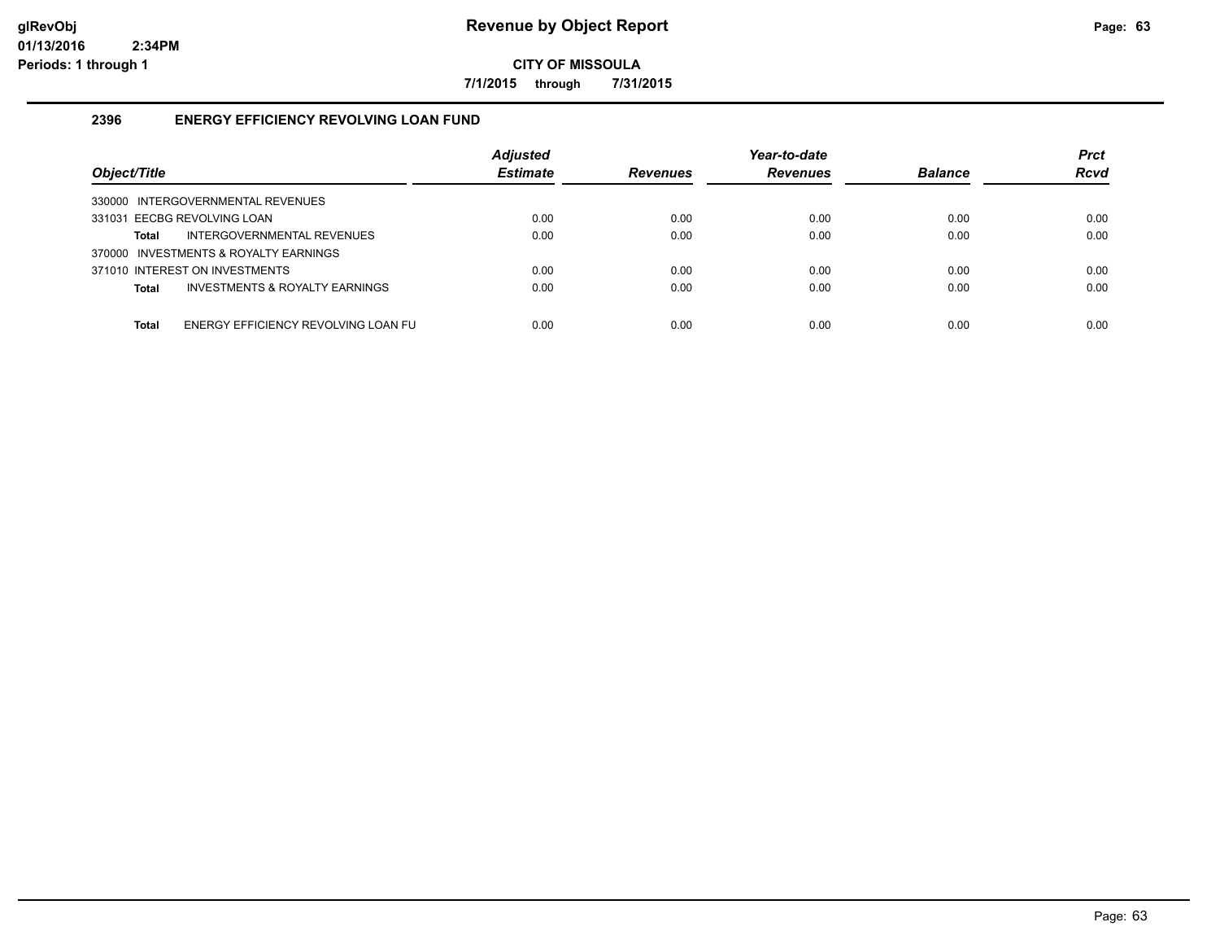**7/1/2015 through 7/31/2015**

## **2396 ENERGY EFFICIENCY REVOLVING LOAN FUND**

| Object/Title                                   | <b>Adjusted</b><br><b>Estimate</b> | <b>Revenues</b> | Year-to-date<br><b>Revenues</b> | <b>Balance</b> | <b>Prct</b><br><b>Rcvd</b> |
|------------------------------------------------|------------------------------------|-----------------|---------------------------------|----------------|----------------------------|
| 330000 INTERGOVERNMENTAL REVENUES              |                                    |                 |                                 |                |                            |
| 331031 EECBG REVOLVING LOAN                    | 0.00                               | 0.00            | 0.00                            | 0.00           | 0.00                       |
| INTERGOVERNMENTAL REVENUES<br>Total            | 0.00                               | 0.00            | 0.00                            | 0.00           | 0.00                       |
| 370000 INVESTMENTS & ROYALTY EARNINGS          |                                    |                 |                                 |                |                            |
| 371010 INTEREST ON INVESTMENTS                 | 0.00                               | 0.00            | 0.00                            | 0.00           | 0.00                       |
| INVESTMENTS & ROYALTY EARNINGS<br><b>Total</b> | 0.00                               | 0.00            | 0.00                            | 0.00           | 0.00                       |
|                                                |                                    |                 |                                 |                |                            |
| ENERGY EFFICIENCY REVOLVING LOAN FU<br>Total   | 0.00                               | 0.00            | 0.00                            | 0.00           | 0.00                       |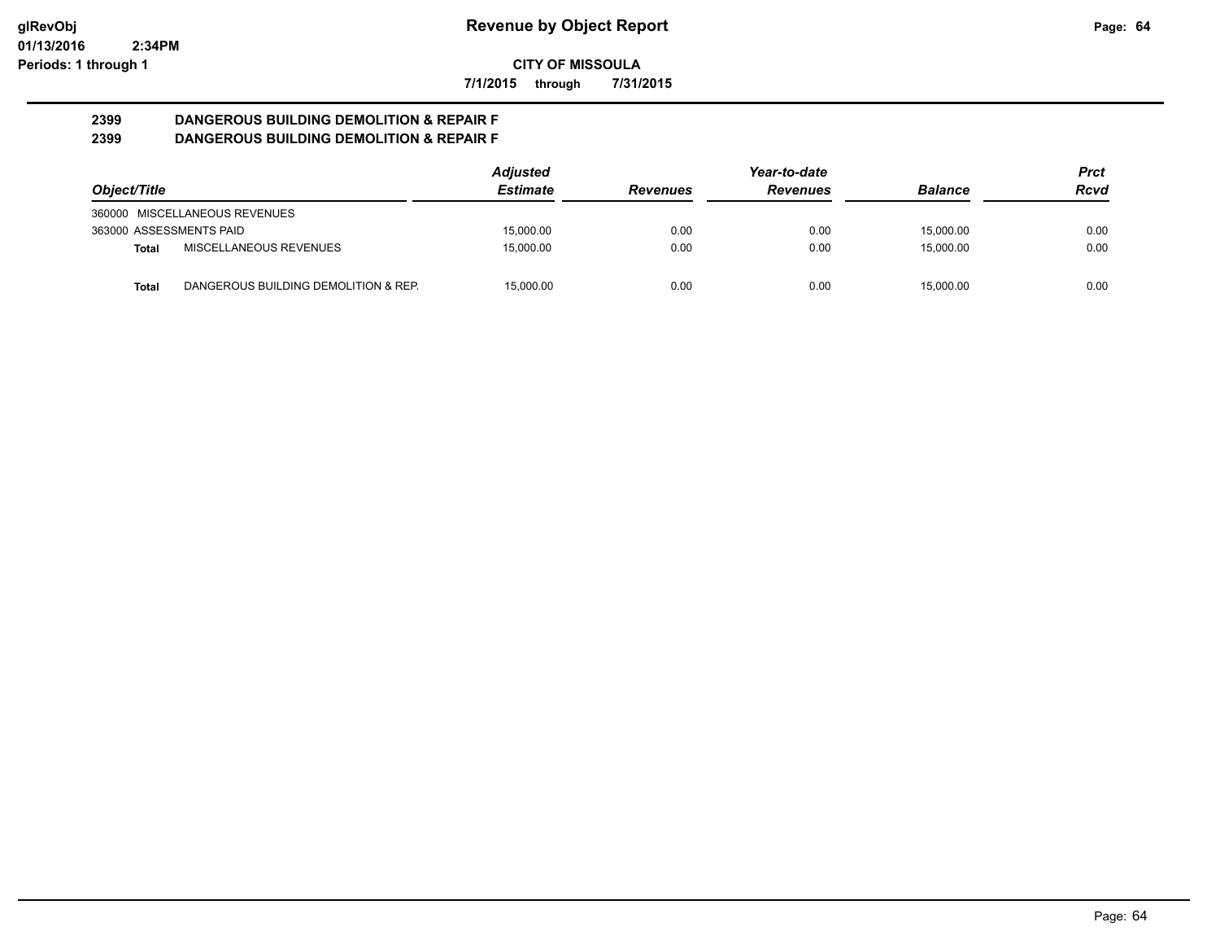**7/1/2015 through 7/31/2015**

#### **2399 DANGEROUS BUILDING DEMOLITION & REPAIR F 2399 DANGEROUS BUILDING DEMOLITION & REPAIR F**

|                         |                                      | <b>Adjusted</b> |                 | Year-to-date    |                | Prct |
|-------------------------|--------------------------------------|-----------------|-----------------|-----------------|----------------|------|
| Object/Title            |                                      | <b>Estimate</b> | <b>Revenues</b> | <b>Revenues</b> | <b>Balance</b> | Rcvd |
|                         | 360000 MISCELLANEOUS REVENUES        |                 |                 |                 |                |      |
| 363000 ASSESSMENTS PAID |                                      | 15.000.00       | 0.00            | 0.00            | 15.000.00      | 0.00 |
| Total                   | MISCELLANEOUS REVENUES               | 15,000.00       | 0.00            | 0.00            | 15.000.00      | 0.00 |
| <b>Total</b>            | DANGEROUS BUILDING DEMOLITION & REP. | 15.000.00       | 0.00            | 0.00            | 15.000.00      | 0.00 |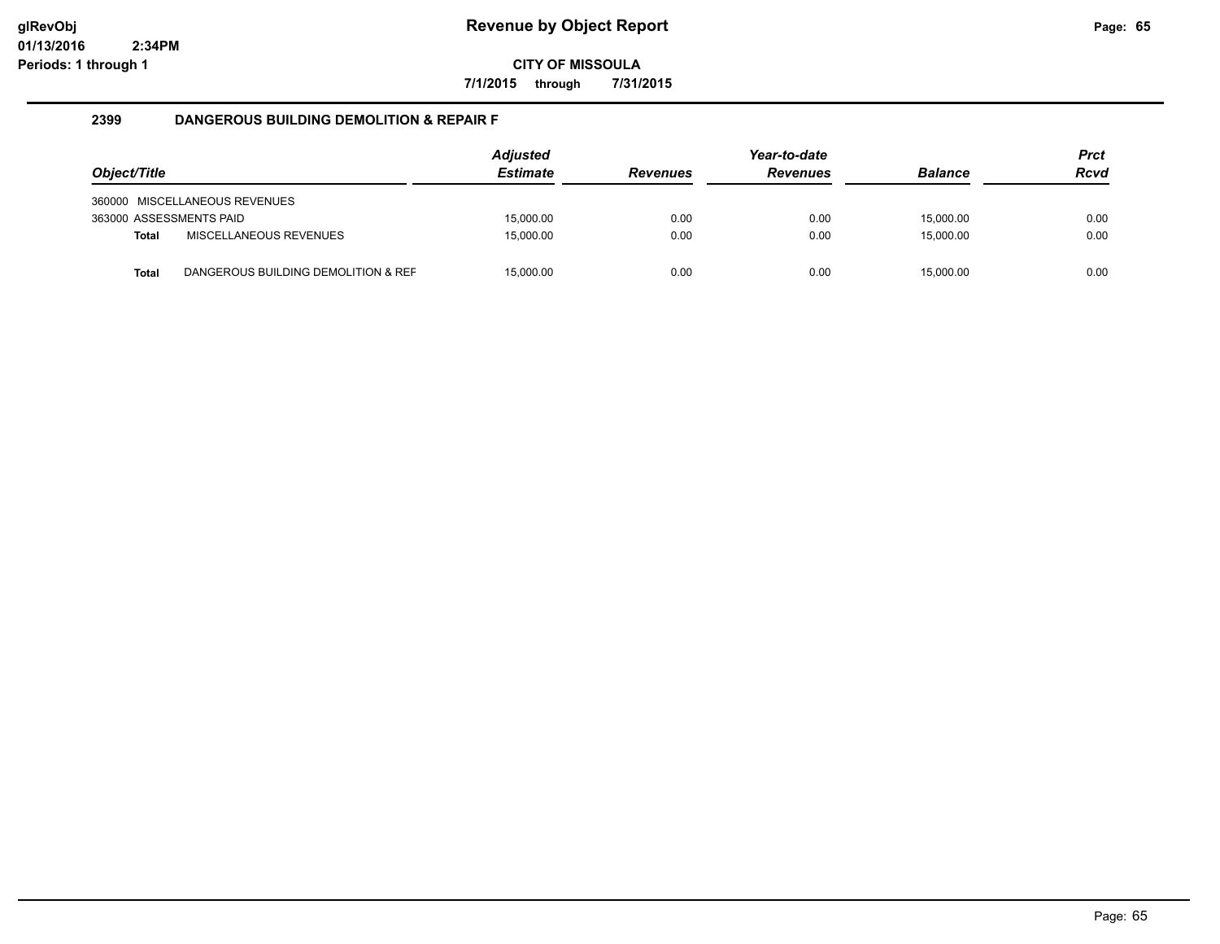**7/1/2015 through 7/31/2015**

#### **2399 DANGEROUS BUILDING DEMOLITION & REPAIR F**

|                         |                                     | <b>Adjusted</b> |                 | Year-to-date    |                | <b>Prct</b> |
|-------------------------|-------------------------------------|-----------------|-----------------|-----------------|----------------|-------------|
| Object/Title            |                                     | <b>Estimate</b> | <b>Revenues</b> | <b>Revenues</b> | <b>Balance</b> | <b>Rcvd</b> |
|                         | 360000 MISCELLANEOUS REVENUES       |                 |                 |                 |                |             |
| 363000 ASSESSMENTS PAID |                                     | 15.000.00       | 0.00            | 0.00            | 15.000.00      | 0.00        |
| <b>Total</b>            | MISCELLANEOUS REVENUES              | 15.000.00       | 0.00            | 0.00            | 15,000.00      | 0.00        |
|                         |                                     |                 |                 |                 |                |             |
| Total                   | DANGEROUS BUILDING DEMOLITION & REF | 15,000.00       | 0.00            | 0.00            | 15,000.00      | 0.00        |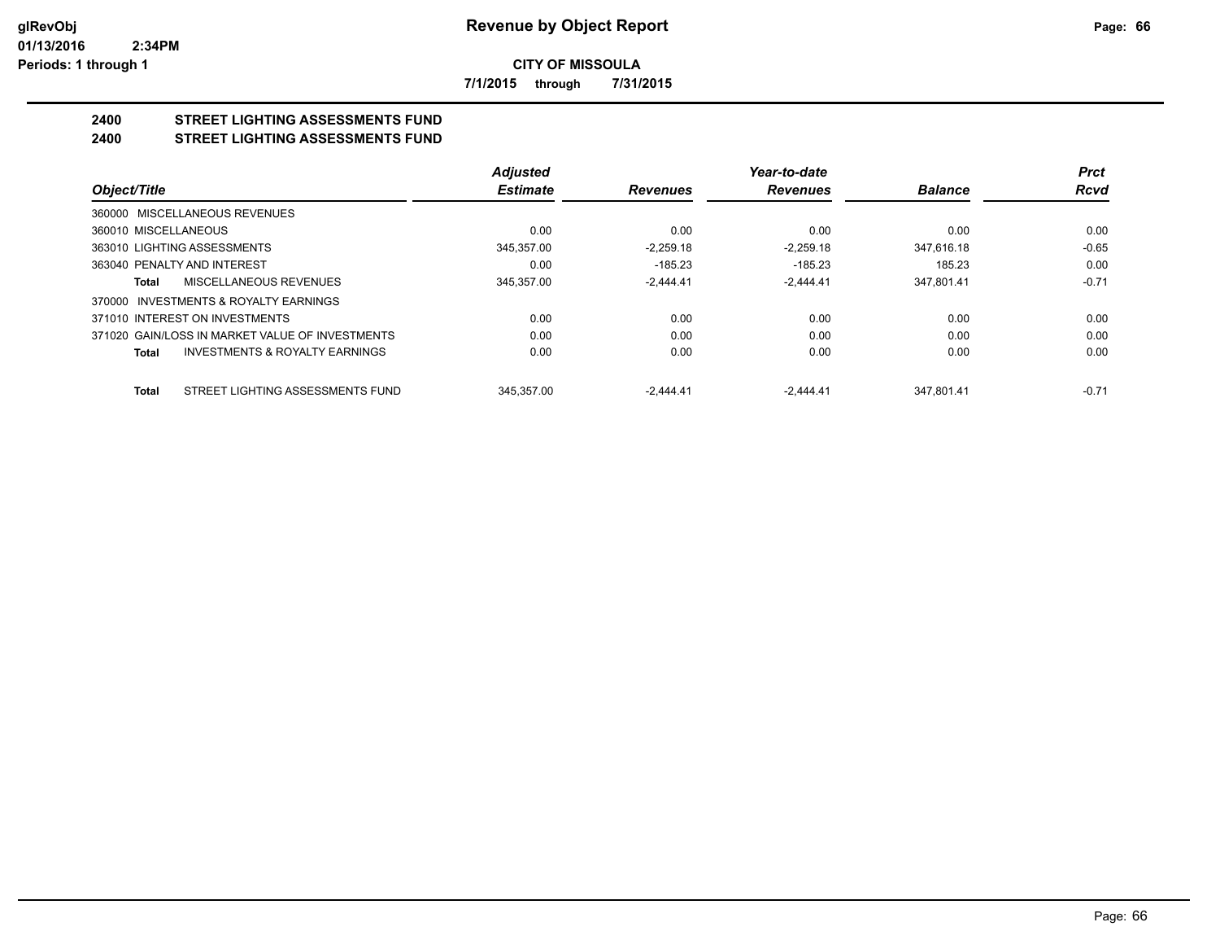**7/1/2015 through 7/31/2015**

#### **2400 STREET LIGHTING ASSESSMENTS FUND 2400 STREET LIGHTING ASSESSMENTS FUND**

|                                                    | <b>Adjusted</b> |                 | Year-to-date    |                | <b>Prct</b> |
|----------------------------------------------------|-----------------|-----------------|-----------------|----------------|-------------|
| Object/Title                                       | <b>Estimate</b> | <b>Revenues</b> | <b>Revenues</b> | <b>Balance</b> | <b>Rcvd</b> |
| 360000 MISCELLANEOUS REVENUES                      |                 |                 |                 |                |             |
| 360010 MISCELLANEOUS                               | 0.00            | 0.00            | 0.00            | 0.00           | 0.00        |
| 363010 LIGHTING ASSESSMENTS                        | 345.357.00      | $-2.259.18$     | $-2.259.18$     | 347.616.18     | $-0.65$     |
| 363040 PENALTY AND INTEREST                        | 0.00            | $-185.23$       | $-185.23$       | 185.23         | 0.00        |
| MISCELLANEOUS REVENUES<br>Total                    | 345.357.00      | $-2.444.41$     | $-2.444.41$     | 347.801.41     | $-0.71$     |
| INVESTMENTS & ROYALTY EARNINGS<br>370000           |                 |                 |                 |                |             |
| 371010 INTEREST ON INVESTMENTS                     | 0.00            | 0.00            | 0.00            | 0.00           | 0.00        |
| 371020 GAIN/LOSS IN MARKET VALUE OF INVESTMENTS    | 0.00            | 0.00            | 0.00            | 0.00           | 0.00        |
| <b>INVESTMENTS &amp; ROYALTY EARNINGS</b><br>Total | 0.00            | 0.00            | 0.00            | 0.00           | 0.00        |
| STREET LIGHTING ASSESSMENTS FUND<br>Total          | 345.357.00      | $-2.444.41$     | $-2.444.41$     | 347.801.41     | $-0.71$     |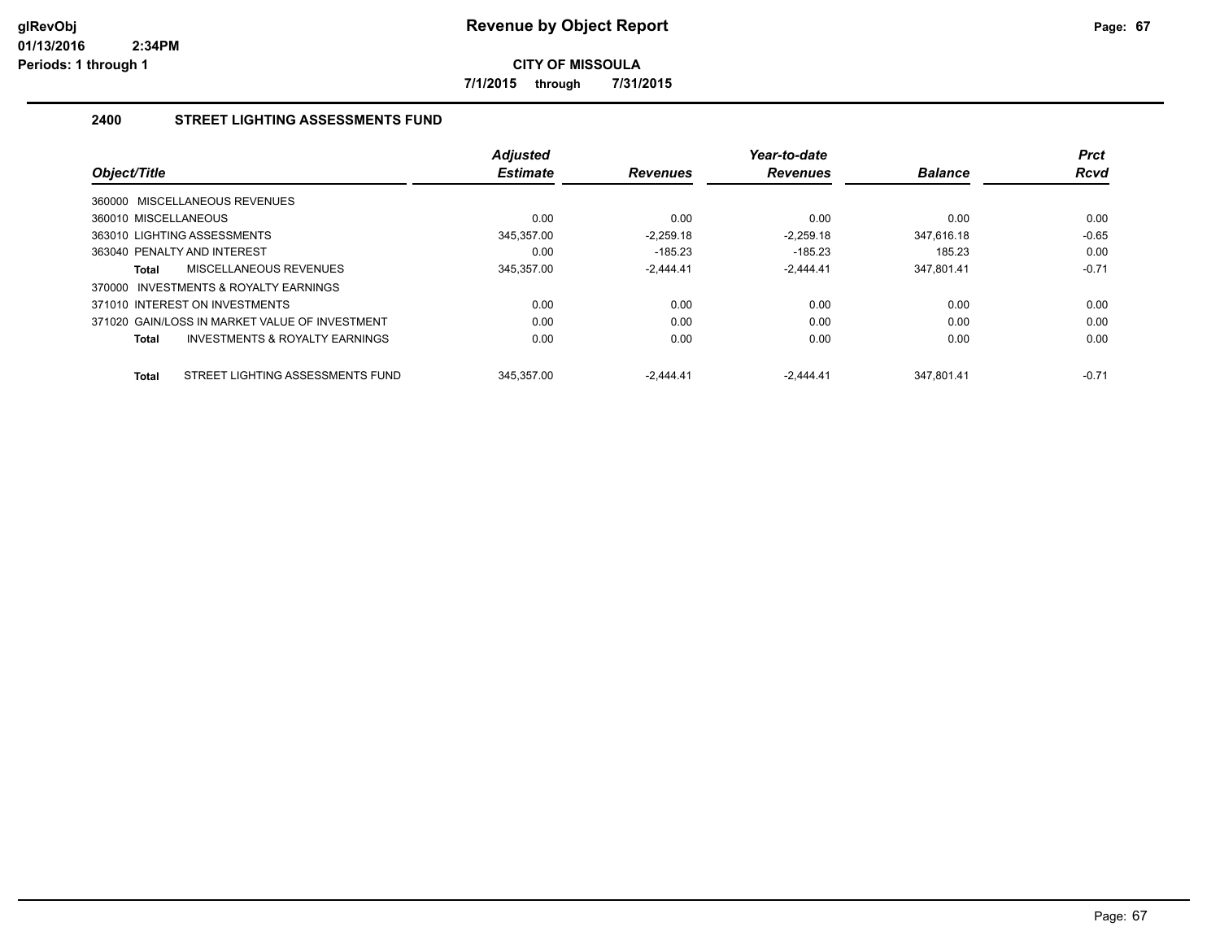**7/1/2015 through 7/31/2015**

## **2400 STREET LIGHTING ASSESSMENTS FUND**

| Object/Title                                       | <b>Adjusted</b><br><b>Estimate</b> | <b>Revenues</b> | Year-to-date<br><b>Revenues</b> | <b>Balance</b> | <b>Prct</b><br><b>Rcvd</b> |
|----------------------------------------------------|------------------------------------|-----------------|---------------------------------|----------------|----------------------------|
| 360000 MISCELLANEOUS REVENUES                      |                                    |                 |                                 |                |                            |
| 360010 MISCELLANEOUS                               | 0.00                               | 0.00            | 0.00                            | 0.00           | 0.00                       |
| 363010 LIGHTING ASSESSMENTS                        | 345.357.00                         | $-2.259.18$     | $-2.259.18$                     | 347.616.18     | $-0.65$                    |
| 363040 PENALTY AND INTEREST                        | 0.00                               | $-185.23$       | $-185.23$                       | 185.23         | 0.00                       |
| MISCELLANEOUS REVENUES<br>Total                    | 345,357.00                         | $-2.444.41$     | $-2.444.41$                     | 347.801.41     | $-0.71$                    |
| INVESTMENTS & ROYALTY EARNINGS<br>370000           |                                    |                 |                                 |                |                            |
| 371010 INTEREST ON INVESTMENTS                     | 0.00                               | 0.00            | 0.00                            | 0.00           | 0.00                       |
| 371020 GAIN/LOSS IN MARKET VALUE OF INVESTMENT     | 0.00                               | 0.00            | 0.00                            | 0.00           | 0.00                       |
| <b>INVESTMENTS &amp; ROYALTY EARNINGS</b><br>Total | 0.00                               | 0.00            | 0.00                            | 0.00           | 0.00                       |
| STREET LIGHTING ASSESSMENTS FUND<br>Total          | 345.357.00                         | $-2.444.41$     | $-2.444.41$                     | 347.801.41     | $-0.71$                    |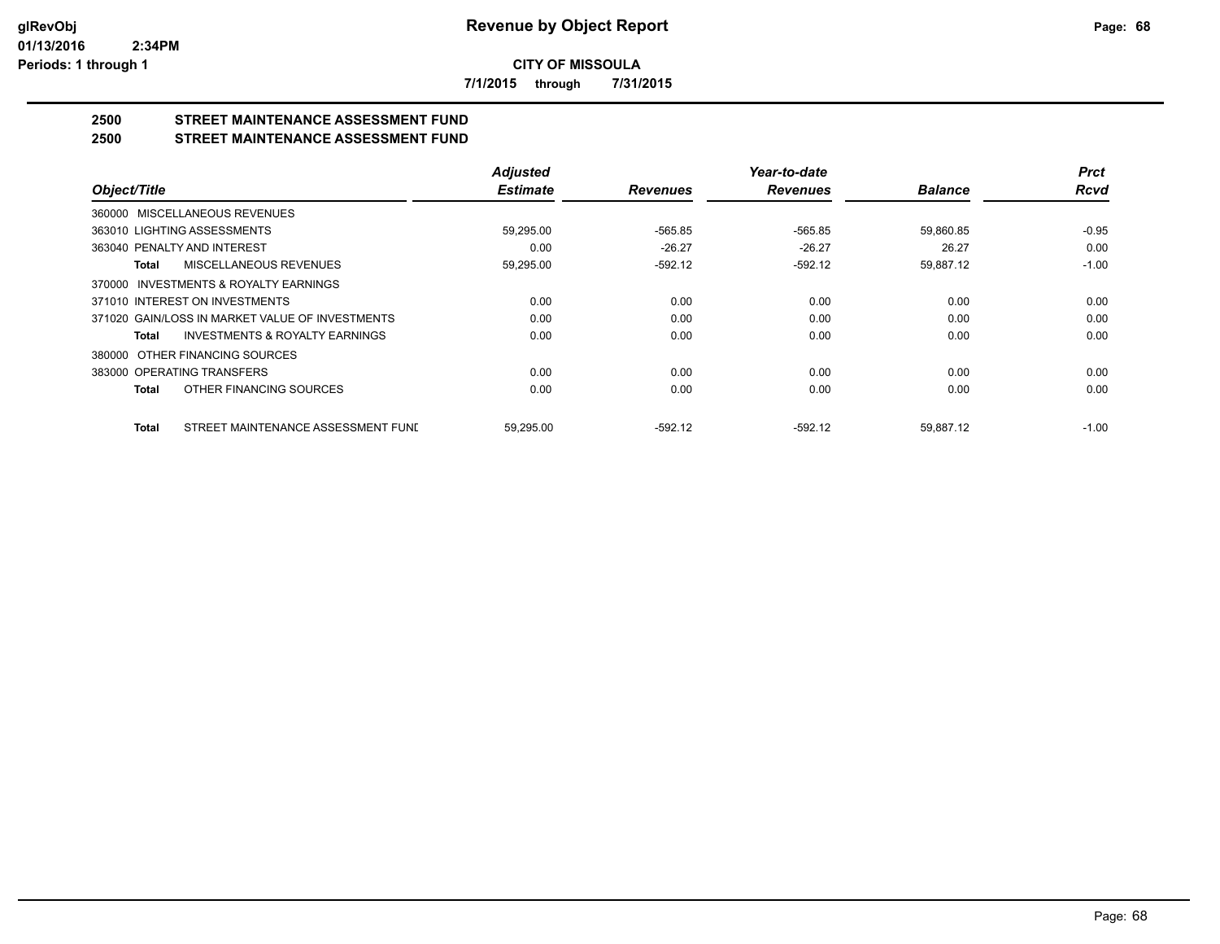**7/1/2015 through 7/31/2015**

## **2500 STREET MAINTENANCE ASSESSMENT FUND**

## **2500 STREET MAINTENANCE ASSESSMENT FUND**

|                                                    | <b>Adjusted</b> |                 | Year-to-date    |                | <b>Prct</b> |
|----------------------------------------------------|-----------------|-----------------|-----------------|----------------|-------------|
| Object/Title                                       | <b>Estimate</b> | <b>Revenues</b> | <b>Revenues</b> | <b>Balance</b> | <b>Rcvd</b> |
| 360000 MISCELLANEOUS REVENUES                      |                 |                 |                 |                |             |
| 363010 LIGHTING ASSESSMENTS                        | 59,295.00       | $-565.85$       | $-565.85$       | 59,860.85      | $-0.95$     |
| 363040 PENALTY AND INTEREST                        | 0.00            | $-26.27$        | $-26.27$        | 26.27          | 0.00        |
| MISCELLANEOUS REVENUES<br>Total                    | 59,295.00       | $-592.12$       | $-592.12$       | 59,887.12      | $-1.00$     |
| 370000 INVESTMENTS & ROYALTY EARNINGS              |                 |                 |                 |                |             |
| 371010 INTEREST ON INVESTMENTS                     | 0.00            | 0.00            | 0.00            | 0.00           | 0.00        |
| 371020 GAIN/LOSS IN MARKET VALUE OF INVESTMENTS    | 0.00            | 0.00            | 0.00            | 0.00           | 0.00        |
| <b>INVESTMENTS &amp; ROYALTY EARNINGS</b><br>Total | 0.00            | 0.00            | 0.00            | 0.00           | 0.00        |
| OTHER FINANCING SOURCES<br>380000                  |                 |                 |                 |                |             |
| 383000 OPERATING TRANSFERS                         | 0.00            | 0.00            | 0.00            | 0.00           | 0.00        |
| OTHER FINANCING SOURCES<br>Total                   | 0.00            | 0.00            | 0.00            | 0.00           | 0.00        |
| STREET MAINTENANCE ASSESSMENT FUNI<br><b>Total</b> | 59.295.00       | $-592.12$       | $-592.12$       | 59.887.12      | $-1.00$     |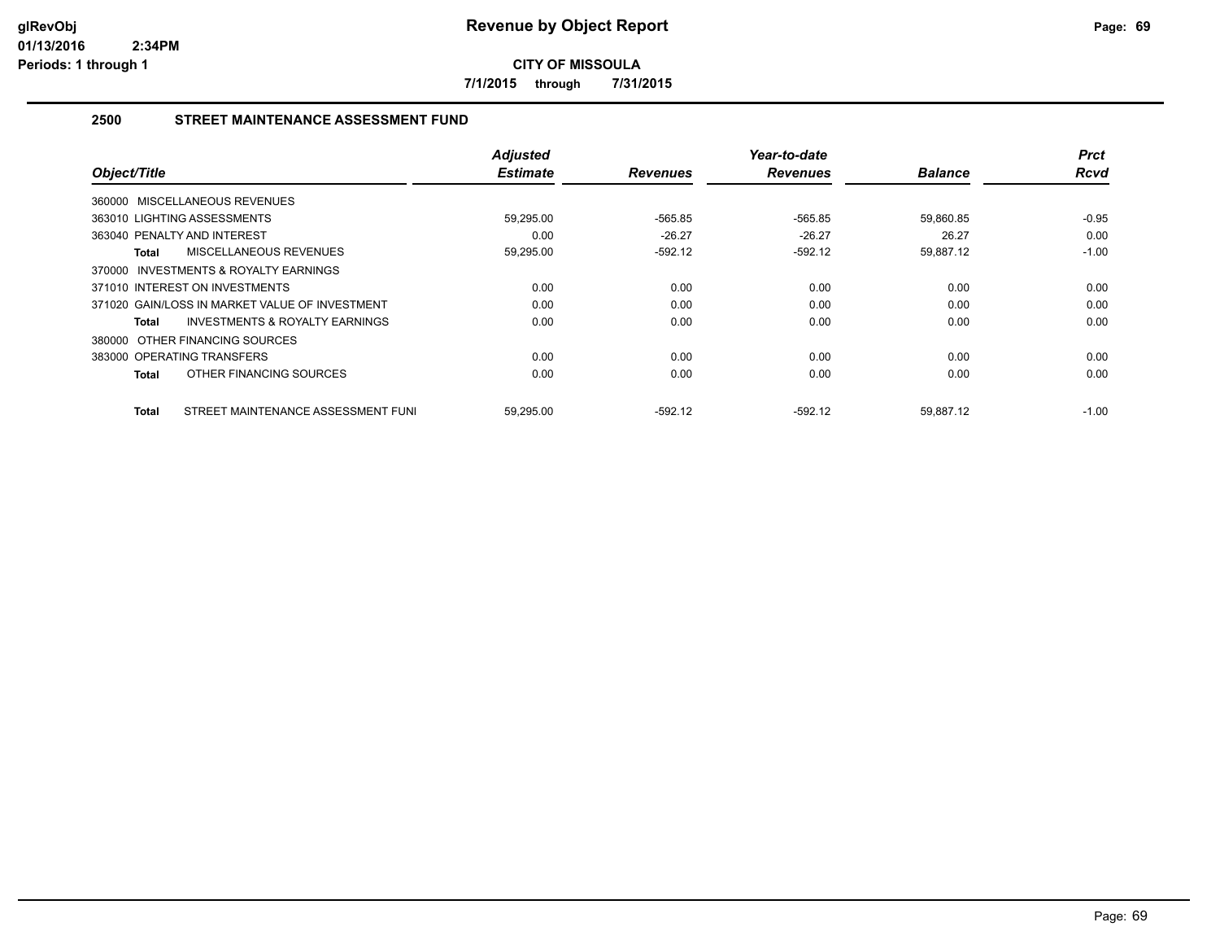**7/1/2015 through 7/31/2015**

#### **2500 STREET MAINTENANCE ASSESSMENT FUND**

| Object/Title                                       | <b>Adjusted</b><br><b>Estimate</b> | <b>Revenues</b> | Year-to-date<br><b>Revenues</b> | <b>Balance</b> | <b>Prct</b><br><b>Rcvd</b> |
|----------------------------------------------------|------------------------------------|-----------------|---------------------------------|----------------|----------------------------|
| 360000 MISCELLANEOUS REVENUES                      |                                    |                 |                                 |                |                            |
| 363010 LIGHTING ASSESSMENTS                        | 59.295.00                          | $-565.85$       | $-565.85$                       | 59,860.85      | $-0.95$                    |
| 363040 PENALTY AND INTEREST                        | 0.00                               | $-26.27$        | $-26.27$                        | 26.27          | 0.00                       |
| MISCELLANEOUS REVENUES<br>Total                    | 59,295.00                          | $-592.12$       | $-592.12$                       | 59,887.12      | $-1.00$                    |
| 370000 INVESTMENTS & ROYALTY EARNINGS              |                                    |                 |                                 |                |                            |
| 371010 INTEREST ON INVESTMENTS                     | 0.00                               | 0.00            | 0.00                            | 0.00           | 0.00                       |
| 371020 GAIN/LOSS IN MARKET VALUE OF INVESTMENT     | 0.00                               | 0.00            | 0.00                            | 0.00           | 0.00                       |
| <b>INVESTMENTS &amp; ROYALTY EARNINGS</b><br>Total | 0.00                               | 0.00            | 0.00                            | 0.00           | 0.00                       |
| 380000 OTHER FINANCING SOURCES                     |                                    |                 |                                 |                |                            |
| 383000 OPERATING TRANSFERS                         | 0.00                               | 0.00            | 0.00                            | 0.00           | 0.00                       |
| OTHER FINANCING SOURCES<br>Total                   | 0.00                               | 0.00            | 0.00                            | 0.00           | 0.00                       |
| STREET MAINTENANCE ASSESSMENT FUNI<br>Total        | 59,295.00                          | $-592.12$       | $-592.12$                       | 59,887.12      | $-1.00$                    |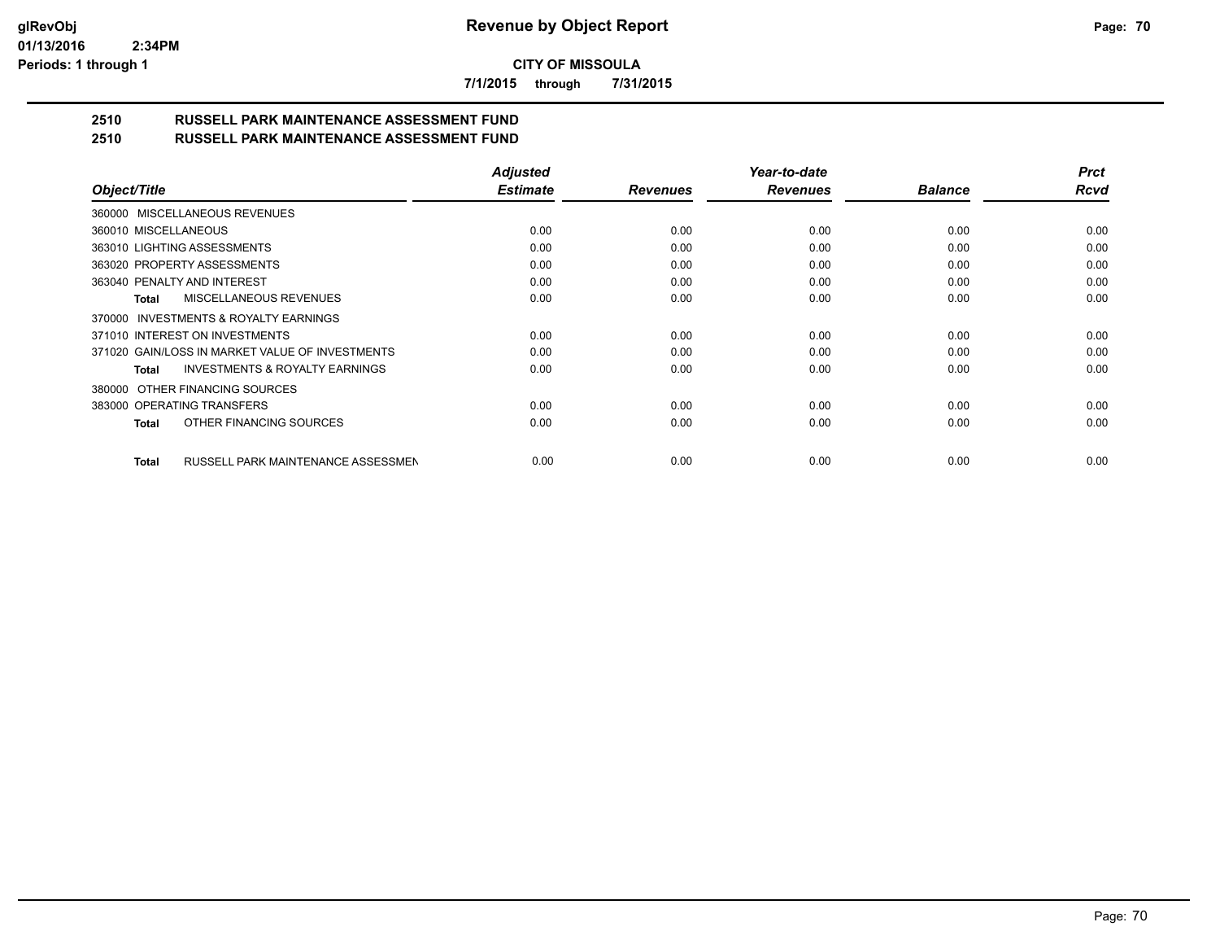*Prct Rcvd*

**CITY OF MISSOULA**

**7/1/2015 through 7/31/2015**

#### **2510 RUSSELL PARK MAINTENANCE ASSESSMENT FUND 2510 RUSSELL PARK MAINTENANCE ASSESSMENT FUND**

|                                                    | <b>Adjusted</b> |                 | Year-to-date    |                | <b>Prct</b> |
|----------------------------------------------------|-----------------|-----------------|-----------------|----------------|-------------|
| Object/Title                                       | <b>Estimate</b> | <b>Revenues</b> | <b>Revenues</b> | <b>Balance</b> | Rcva        |
| 360000 MISCELLANEOUS REVENUES                      |                 |                 |                 |                |             |
| 360010 MISCELLANEOUS                               | 0.00            | 0.00            | 0.00            | 0.00           | 0.00        |
| 363010 LIGHTING ASSESSMENTS                        | 0.00            | 0.00            | 0.00            | 0.00           | 0.00        |
| 363020 PROPERTY ASSESSMENTS                        | 0.00            | 0.00            | 0.00            | 0.00           | 0.00        |
| 363040 PENALTY AND INTEREST                        | 0.00            | 0.00            | 0.00            | 0.00           | 0.00        |
| MISCELLANEOUS REVENUES<br>Total                    | 0.00            | 0.00            | 0.00            | 0.00           | 0.00        |
| 370000 INVESTMENTS & ROYALTY EARNINGS              |                 |                 |                 |                |             |
| 371010 INTEREST ON INVESTMENTS                     | 0.00            | 0.00            | 0.00            | 0.00           | 0.00        |
| 371020 GAIN/LOSS IN MARKET VALUE OF INVESTMENTS    | 0.00            | 0.00            | 0.00            | 0.00           | 0.00        |
| <b>INVESTMENTS &amp; ROYALTY EARNINGS</b><br>Total | 0.00            | 0.00            | 0.00            | 0.00           | 0.00        |
| OTHER FINANCING SOURCES<br>380000                  |                 |                 |                 |                |             |
| 383000 OPERATING TRANSFERS                         | 0.00            | 0.00            | 0.00            | 0.00           | 0.00        |
| OTHER FINANCING SOURCES<br>Total                   | 0.00            | 0.00            | 0.00            | 0.00           | 0.00        |
| RUSSELL PARK MAINTENANCE ASSESSMEN<br>Total        | 0.00            | 0.00            | 0.00            | 0.00           | 0.00        |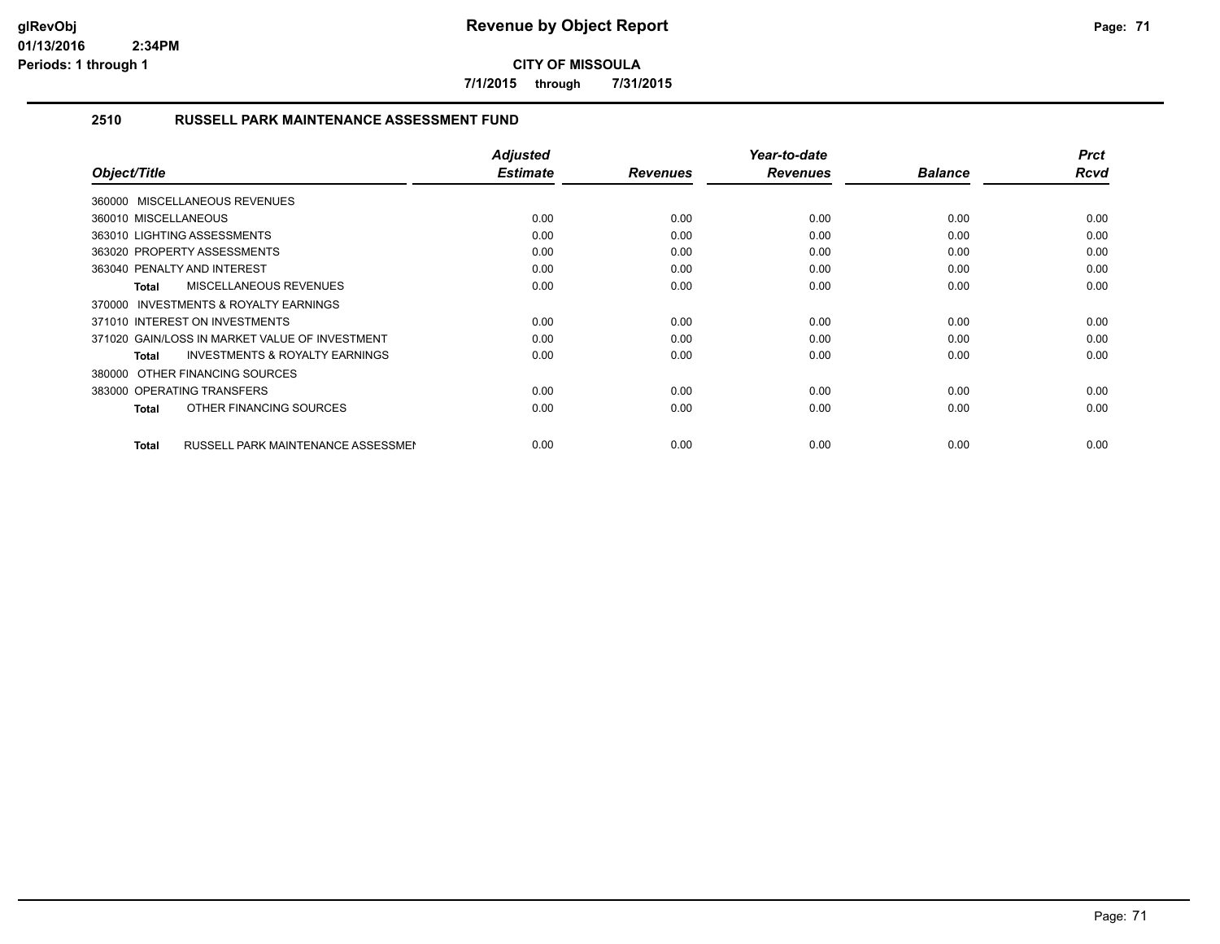**7/1/2015 through 7/31/2015**

## **2510 RUSSELL PARK MAINTENANCE ASSESSMENT FUND**

| Object/Title                                              | <b>Adjusted</b><br><b>Estimate</b> | <b>Revenues</b> | Year-to-date<br><b>Revenues</b> | <b>Balance</b> | <b>Prct</b><br><b>Rcvd</b> |
|-----------------------------------------------------------|------------------------------------|-----------------|---------------------------------|----------------|----------------------------|
| 360000 MISCELLANEOUS REVENUES                             |                                    |                 |                                 |                |                            |
| 360010 MISCELLANEOUS                                      | 0.00                               | 0.00            | 0.00                            | 0.00           | 0.00                       |
| 363010 LIGHTING ASSESSMENTS                               | 0.00                               | 0.00            | 0.00                            | 0.00           | 0.00                       |
| 363020 PROPERTY ASSESSMENTS                               | 0.00                               | 0.00            | 0.00                            | 0.00           | 0.00                       |
| 363040 PENALTY AND INTEREST                               | 0.00                               | 0.00            | 0.00                            | 0.00           | 0.00                       |
| MISCELLANEOUS REVENUES<br><b>Total</b>                    | 0.00                               | 0.00            | 0.00                            | 0.00           | 0.00                       |
| <b>INVESTMENTS &amp; ROYALTY EARNINGS</b><br>370000       |                                    |                 |                                 |                |                            |
| 371010 INTEREST ON INVESTMENTS                            | 0.00                               | 0.00            | 0.00                            | 0.00           | 0.00                       |
| 371020 GAIN/LOSS IN MARKET VALUE OF INVESTMENT            | 0.00                               | 0.00            | 0.00                            | 0.00           | 0.00                       |
| <b>INVESTMENTS &amp; ROYALTY EARNINGS</b><br>Total        | 0.00                               | 0.00            | 0.00                            | 0.00           | 0.00                       |
| 380000 OTHER FINANCING SOURCES                            |                                    |                 |                                 |                |                            |
| 383000 OPERATING TRANSFERS                                | 0.00                               | 0.00            | 0.00                            | 0.00           | 0.00                       |
| OTHER FINANCING SOURCES<br>Total                          | 0.00                               | 0.00            | 0.00                            | 0.00           | 0.00                       |
|                                                           |                                    |                 |                                 |                |                            |
| <b>RUSSELL PARK MAINTENANCE ASSESSMEN</b><br><b>Total</b> | 0.00                               | 0.00            | 0.00                            | 0.00           | 0.00                       |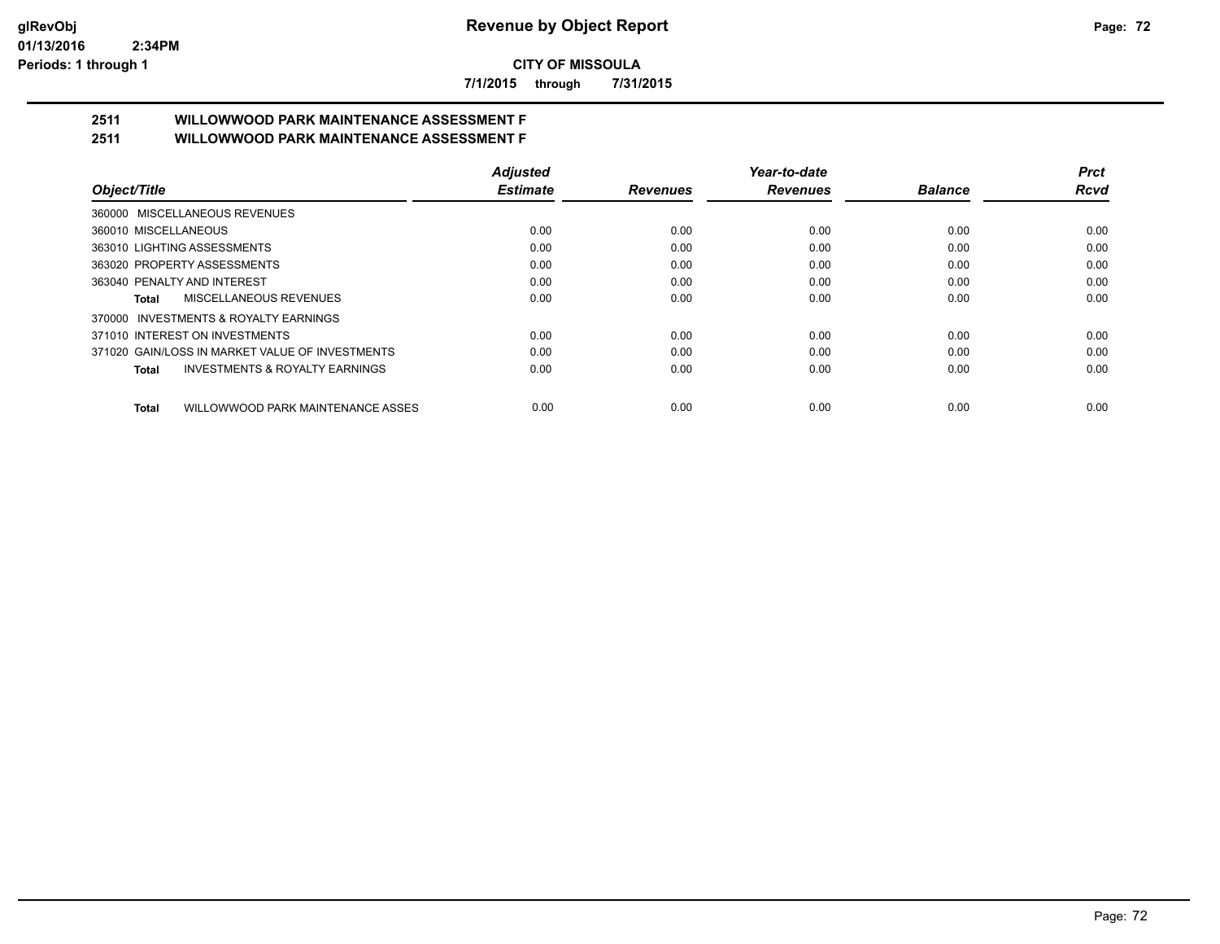**7/1/2015 through 7/31/2015**

# **2511 WILLOWWOOD PARK MAINTENANCE ASSESSMENT F**

| 2511 | <b>WILLOWWOOD PARK MAINTENANCE ASSESSMENT F</b> |  |
|------|-------------------------------------------------|--|
|      |                                                 |  |

|                                                           | <b>Adjusted</b> |                 | Year-to-date    |                | <b>Prct</b> |
|-----------------------------------------------------------|-----------------|-----------------|-----------------|----------------|-------------|
| Object/Title                                              | <b>Estimate</b> | <b>Revenues</b> | <b>Revenues</b> | <b>Balance</b> | <b>Rcvd</b> |
| 360000 MISCELLANEOUS REVENUES                             |                 |                 |                 |                |             |
| 360010 MISCELLANEOUS                                      | 0.00            | 0.00            | 0.00            | 0.00           | 0.00        |
| 363010 LIGHTING ASSESSMENTS                               | 0.00            | 0.00            | 0.00            | 0.00           | 0.00        |
| 363020 PROPERTY ASSESSMENTS                               | 0.00            | 0.00            | 0.00            | 0.00           | 0.00        |
| 363040 PENALTY AND INTEREST                               | 0.00            | 0.00            | 0.00            | 0.00           | 0.00        |
| MISCELLANEOUS REVENUES<br>Total                           | 0.00            | 0.00            | 0.00            | 0.00           | 0.00        |
| 370000 INVESTMENTS & ROYALTY EARNINGS                     |                 |                 |                 |                |             |
| 371010 INTEREST ON INVESTMENTS                            | 0.00            | 0.00            | 0.00            | 0.00           | 0.00        |
| 371020 GAIN/LOSS IN MARKET VALUE OF INVESTMENTS           | 0.00            | 0.00            | 0.00            | 0.00           | 0.00        |
| <b>INVESTMENTS &amp; ROYALTY EARNINGS</b><br><b>Total</b> | 0.00            | 0.00            | 0.00            | 0.00           | 0.00        |
| WILLOWWOOD PARK MAINTENANCE ASSES<br>Total                | 0.00            | 0.00            | 0.00            | 0.00           | 0.00        |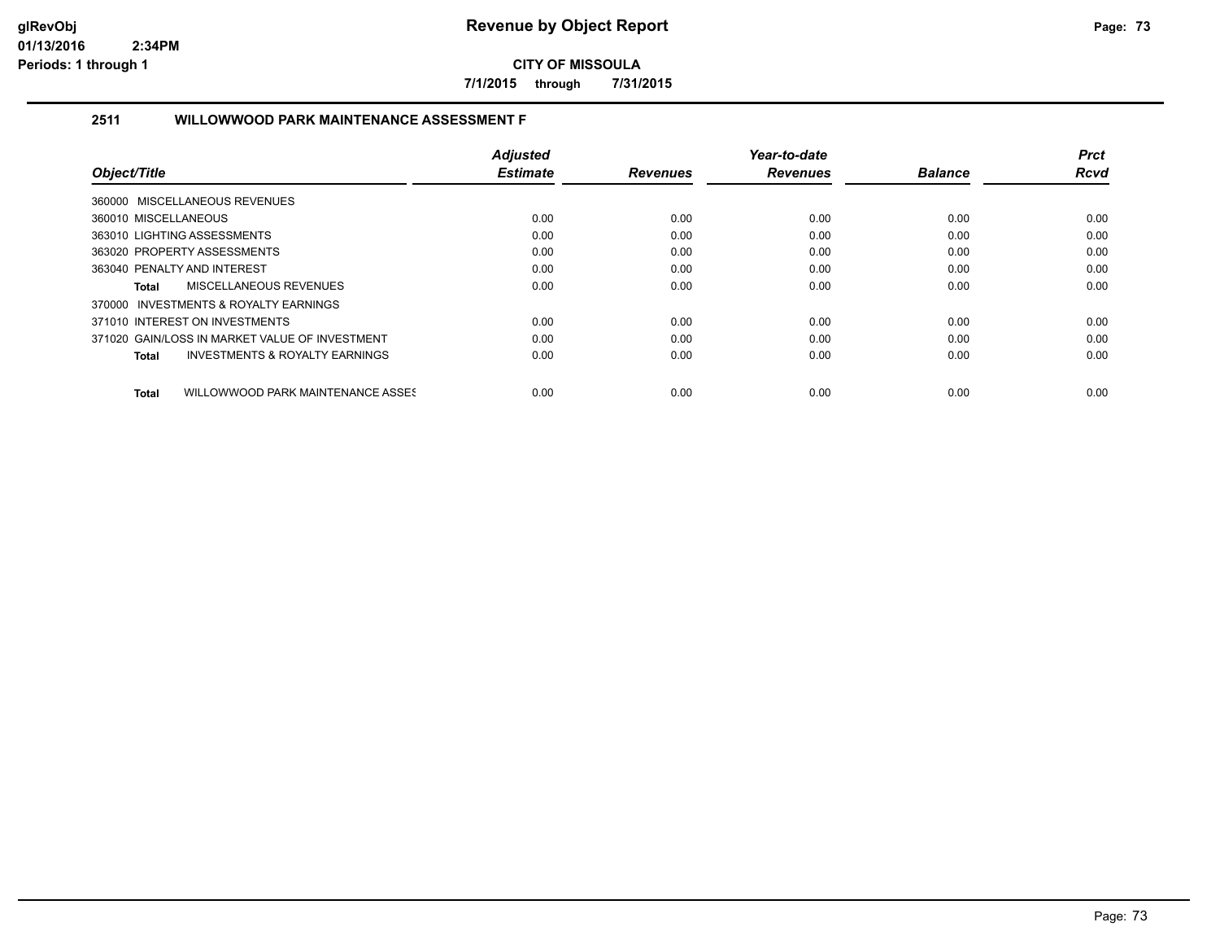**7/1/2015 through 7/31/2015**

## **2511 WILLOWWOOD PARK MAINTENANCE ASSESSMENT F**

|                                                     | <b>Adiusted</b> |                 | Year-to-date    |                | <b>Prct</b> |
|-----------------------------------------------------|-----------------|-----------------|-----------------|----------------|-------------|
| Object/Title                                        | <b>Estimate</b> | <b>Revenues</b> | <b>Revenues</b> | <b>Balance</b> | <b>Rcvd</b> |
| 360000 MISCELLANEOUS REVENUES                       |                 |                 |                 |                |             |
| 360010 MISCELLANEOUS                                | 0.00            | 0.00            | 0.00            | 0.00           | 0.00        |
| 363010 LIGHTING ASSESSMENTS                         | 0.00            | 0.00            | 0.00            | 0.00           | 0.00        |
| 363020 PROPERTY ASSESSMENTS                         | 0.00            | 0.00            | 0.00            | 0.00           | 0.00        |
| 363040 PENALTY AND INTEREST                         | 0.00            | 0.00            | 0.00            | 0.00           | 0.00        |
| MISCELLANEOUS REVENUES<br>Total                     | 0.00            | 0.00            | 0.00            | 0.00           | 0.00        |
| <b>INVESTMENTS &amp; ROYALTY EARNINGS</b><br>370000 |                 |                 |                 |                |             |
| 371010 INTEREST ON INVESTMENTS                      | 0.00            | 0.00            | 0.00            | 0.00           | 0.00        |
| 371020 GAIN/LOSS IN MARKET VALUE OF INVESTMENT      | 0.00            | 0.00            | 0.00            | 0.00           | 0.00        |
| <b>INVESTMENTS &amp; ROYALTY EARNINGS</b><br>Total  | 0.00            | 0.00            | 0.00            | 0.00           | 0.00        |
|                                                     |                 |                 |                 |                |             |
| Total<br>WILLOWWOOD PARK MAINTENANCE ASSES          | 0.00            | 0.00            | 0.00            | 0.00           | 0.00        |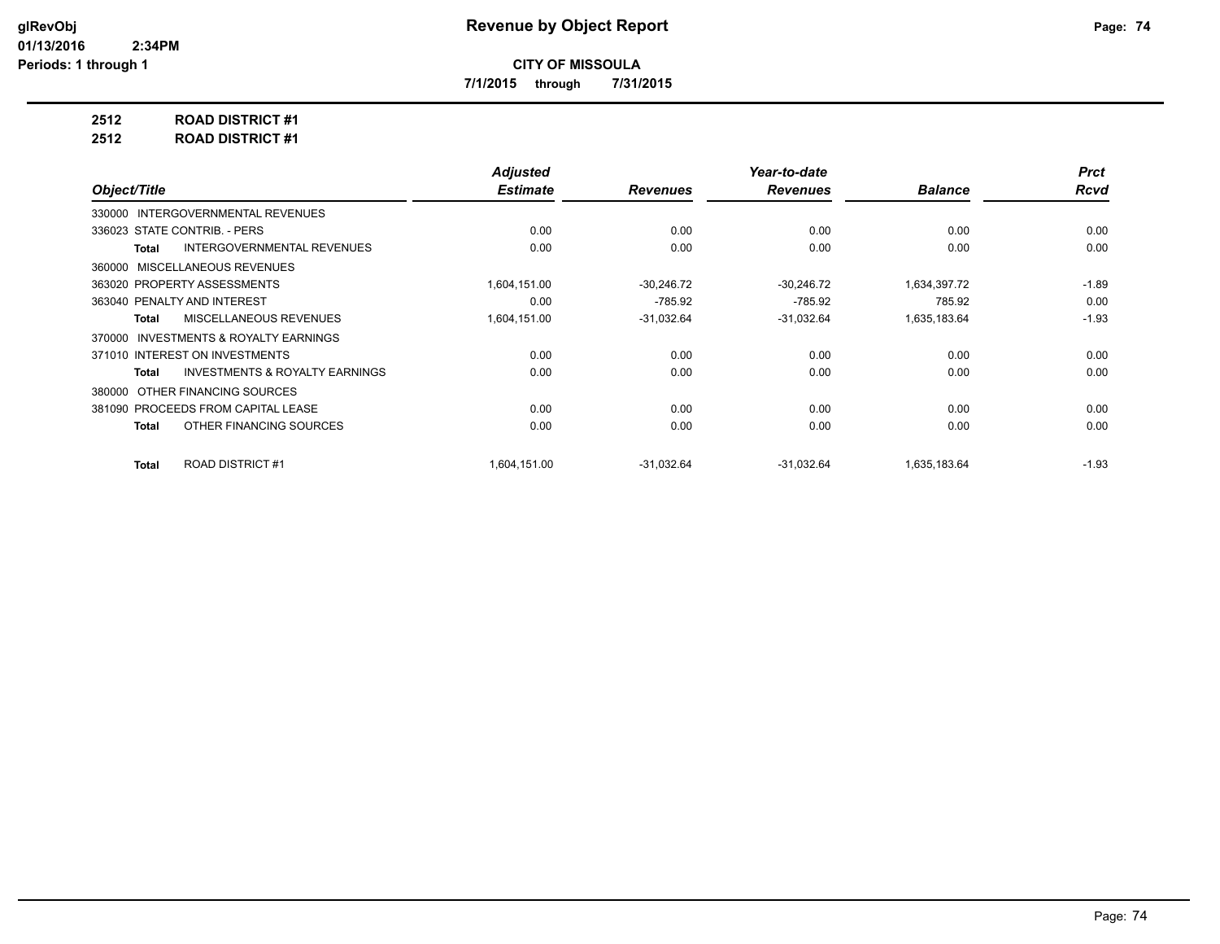**7/1/2015 through 7/31/2015**

**2512 ROAD DISTRICT #1**

**2512 ROAD DISTRICT #1**

|                                                    | <b>Adjusted</b> |                 | Year-to-date    |                | <b>Prct</b> |
|----------------------------------------------------|-----------------|-----------------|-----------------|----------------|-------------|
| Object/Title                                       | <b>Estimate</b> | <b>Revenues</b> | <b>Revenues</b> | <b>Balance</b> | <b>Rcvd</b> |
| 330000 INTERGOVERNMENTAL REVENUES                  |                 |                 |                 |                |             |
| 336023 STATE CONTRIB. - PERS                       | 0.00            | 0.00            | 0.00            | 0.00           | 0.00        |
| <b>INTERGOVERNMENTAL REVENUES</b><br>Total         | 0.00            | 0.00            | 0.00            | 0.00           | 0.00        |
| 360000 MISCELLANEOUS REVENUES                      |                 |                 |                 |                |             |
| 363020 PROPERTY ASSESSMENTS                        | 1,604,151.00    | $-30.246.72$    | $-30,246.72$    | 1,634,397.72   | $-1.89$     |
| 363040 PENALTY AND INTEREST                        | 0.00            | -785.92         | -785.92         | 785.92         | 0.00        |
| <b>MISCELLANEOUS REVENUES</b><br>Total             | 1,604,151.00    | $-31,032.64$    | $-31,032.64$    | 1,635,183.64   | $-1.93$     |
| INVESTMENTS & ROYALTY EARNINGS<br>370000           |                 |                 |                 |                |             |
| 371010 INTEREST ON INVESTMENTS                     | 0.00            | 0.00            | 0.00            | 0.00           | 0.00        |
| <b>INVESTMENTS &amp; ROYALTY EARNINGS</b><br>Total | 0.00            | 0.00            | 0.00            | 0.00           | 0.00        |
| OTHER FINANCING SOURCES<br>380000                  |                 |                 |                 |                |             |
| 381090 PROCEEDS FROM CAPITAL LEASE                 | 0.00            | 0.00            | 0.00            | 0.00           | 0.00        |
| OTHER FINANCING SOURCES<br>Total                   | 0.00            | 0.00            | 0.00            | 0.00           | 0.00        |
| <b>ROAD DISTRICT #1</b><br><b>Total</b>            | 1,604,151.00    | $-31,032.64$    | $-31,032.64$    | 1,635,183.64   | $-1.93$     |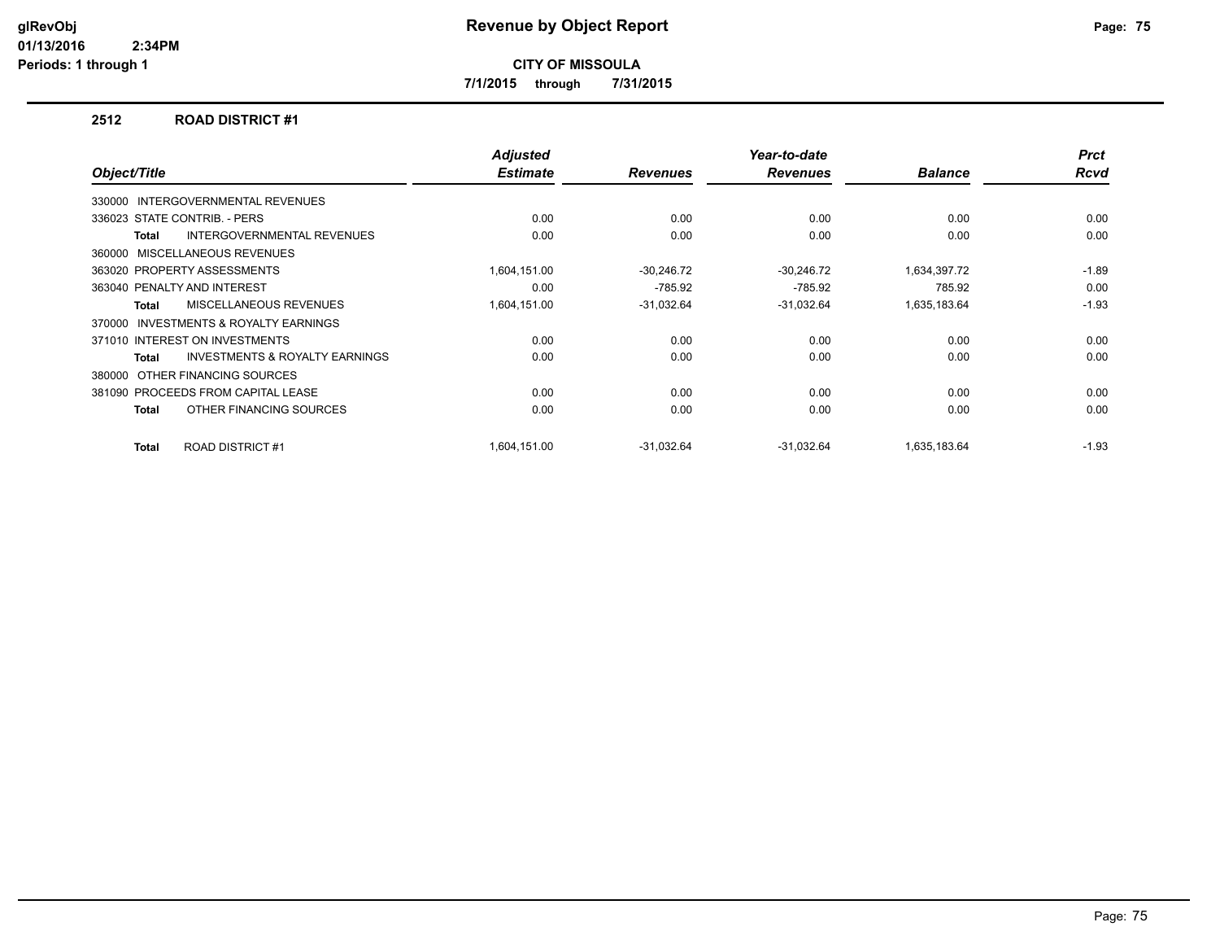**7/1/2015 through 7/31/2015**

#### **2512 ROAD DISTRICT #1**

| Object/Title                 |                                           | <b>Adjusted</b><br><b>Estimate</b> | <b>Revenues</b> | Year-to-date<br><b>Revenues</b> | <b>Balance</b> | <b>Prct</b><br><b>Rcvd</b> |
|------------------------------|-------------------------------------------|------------------------------------|-----------------|---------------------------------|----------------|----------------------------|
| 330000                       | INTERGOVERNMENTAL REVENUES                |                                    |                 |                                 |                |                            |
| 336023 STATE CONTRIB. - PERS |                                           | 0.00                               | 0.00            | 0.00                            | 0.00           | 0.00                       |
| Total                        | <b>INTERGOVERNMENTAL REVENUES</b>         | 0.00                               | 0.00            | 0.00                            | 0.00           | 0.00                       |
|                              | 360000 MISCELLANEOUS REVENUES             |                                    |                 |                                 |                |                            |
| 363020 PROPERTY ASSESSMENTS  |                                           | 1,604,151.00                       | $-30,246.72$    | $-30,246.72$                    | 1,634,397.72   | $-1.89$                    |
| 363040 PENALTY AND INTEREST  |                                           | 0.00                               | $-785.92$       | $-785.92$                       | 785.92         | 0.00                       |
| <b>Total</b>                 | MISCELLANEOUS REVENUES                    | 1,604,151.00                       | $-31,032.64$    | $-31,032.64$                    | 1,635,183.64   | $-1.93$                    |
| 370000                       | <b>INVESTMENTS &amp; ROYALTY EARNINGS</b> |                                    |                 |                                 |                |                            |
|                              | 371010 INTEREST ON INVESTMENTS            | 0.00                               | 0.00            | 0.00                            | 0.00           | 0.00                       |
| <b>Total</b>                 | <b>INVESTMENTS &amp; ROYALTY EARNINGS</b> | 0.00                               | 0.00            | 0.00                            | 0.00           | 0.00                       |
| 380000                       | OTHER FINANCING SOURCES                   |                                    |                 |                                 |                |                            |
|                              | 381090 PROCEEDS FROM CAPITAL LEASE        | 0.00                               | 0.00            | 0.00                            | 0.00           | 0.00                       |
| <b>Total</b>                 | OTHER FINANCING SOURCES                   | 0.00                               | 0.00            | 0.00                            | 0.00           | 0.00                       |
| Total                        | <b>ROAD DISTRICT #1</b>                   | 1.604.151.00                       | $-31.032.64$    | $-31.032.64$                    | 1.635.183.64   | $-1.93$                    |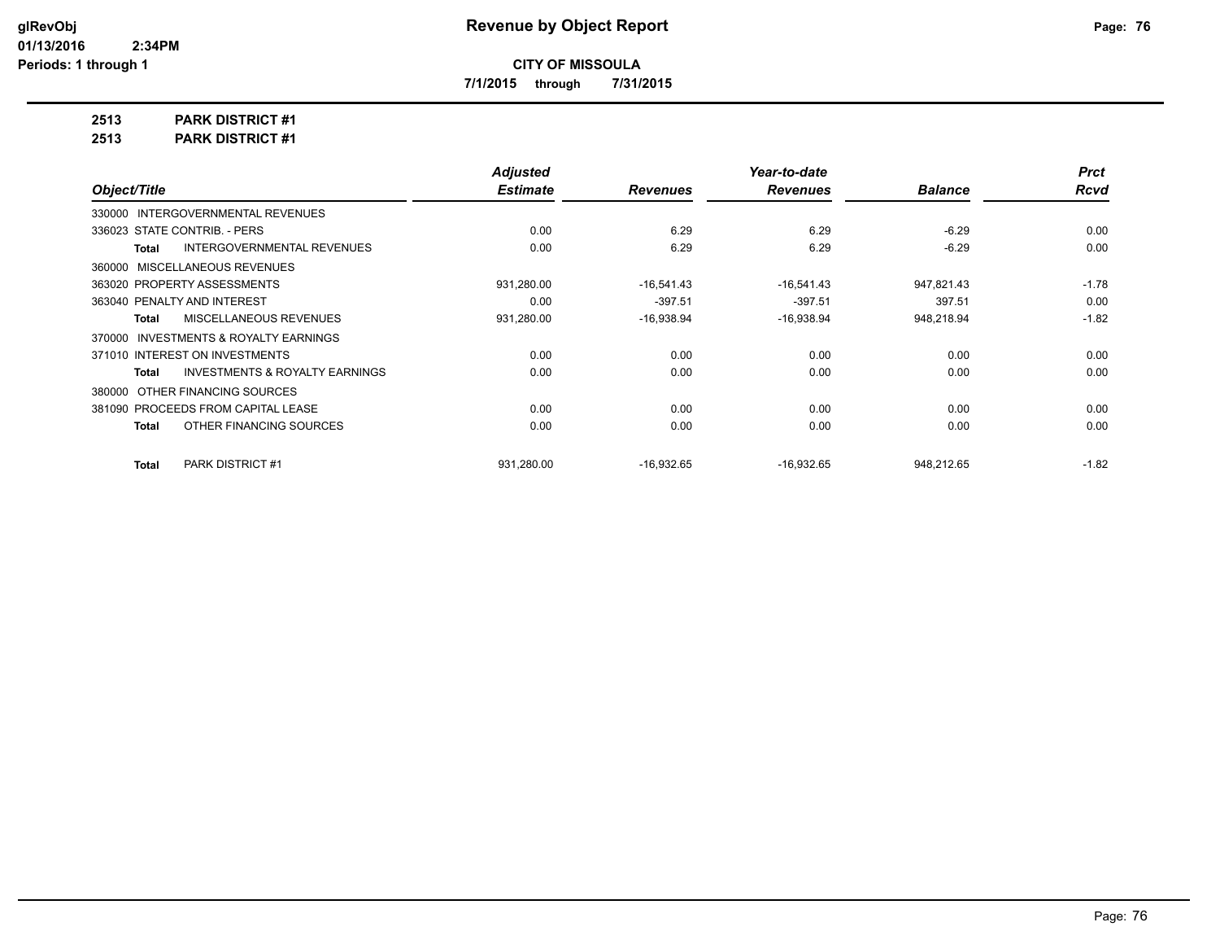**7/1/2015 through 7/31/2015**

**2513 PARK DISTRICT #1**

**2513 PARK DISTRICT #1**

|                                                    | <b>Adjusted</b> |                 | Year-to-date    |                | <b>Prct</b> |
|----------------------------------------------------|-----------------|-----------------|-----------------|----------------|-------------|
| Object/Title                                       | <b>Estimate</b> | <b>Revenues</b> | <b>Revenues</b> | <b>Balance</b> | <b>Rcvd</b> |
| 330000 INTERGOVERNMENTAL REVENUES                  |                 |                 |                 |                |             |
| 336023 STATE CONTRIB. - PERS                       | 0.00            | 6.29            | 6.29            | $-6.29$        | 0.00        |
| <b>INTERGOVERNMENTAL REVENUES</b><br>Total         | 0.00            | 6.29            | 6.29            | $-6.29$        | 0.00        |
| 360000 MISCELLANEOUS REVENUES                      |                 |                 |                 |                |             |
| 363020 PROPERTY ASSESSMENTS                        | 931,280.00      | $-16.541.43$    | $-16.541.43$    | 947,821.43     | $-1.78$     |
| 363040 PENALTY AND INTEREST                        | 0.00            | $-397.51$       | $-397.51$       | 397.51         | 0.00        |
| MISCELLANEOUS REVENUES<br>Total                    | 931,280.00      | $-16,938.94$    | $-16,938.94$    | 948,218.94     | $-1.82$     |
| 370000 INVESTMENTS & ROYALTY EARNINGS              |                 |                 |                 |                |             |
| 371010 INTEREST ON INVESTMENTS                     | 0.00            | 0.00            | 0.00            | 0.00           | 0.00        |
| <b>INVESTMENTS &amp; ROYALTY EARNINGS</b><br>Total | 0.00            | 0.00            | 0.00            | 0.00           | 0.00        |
| 380000 OTHER FINANCING SOURCES                     |                 |                 |                 |                |             |
| 381090 PROCEEDS FROM CAPITAL LEASE                 | 0.00            | 0.00            | 0.00            | 0.00           | 0.00        |
| OTHER FINANCING SOURCES<br>Total                   | 0.00            | 0.00            | 0.00            | 0.00           | 0.00        |
|                                                    |                 |                 |                 |                |             |
| <b>PARK DISTRICT #1</b><br>Total                   | 931,280.00      | $-16,932.65$    | $-16,932.65$    | 948,212.65     | $-1.82$     |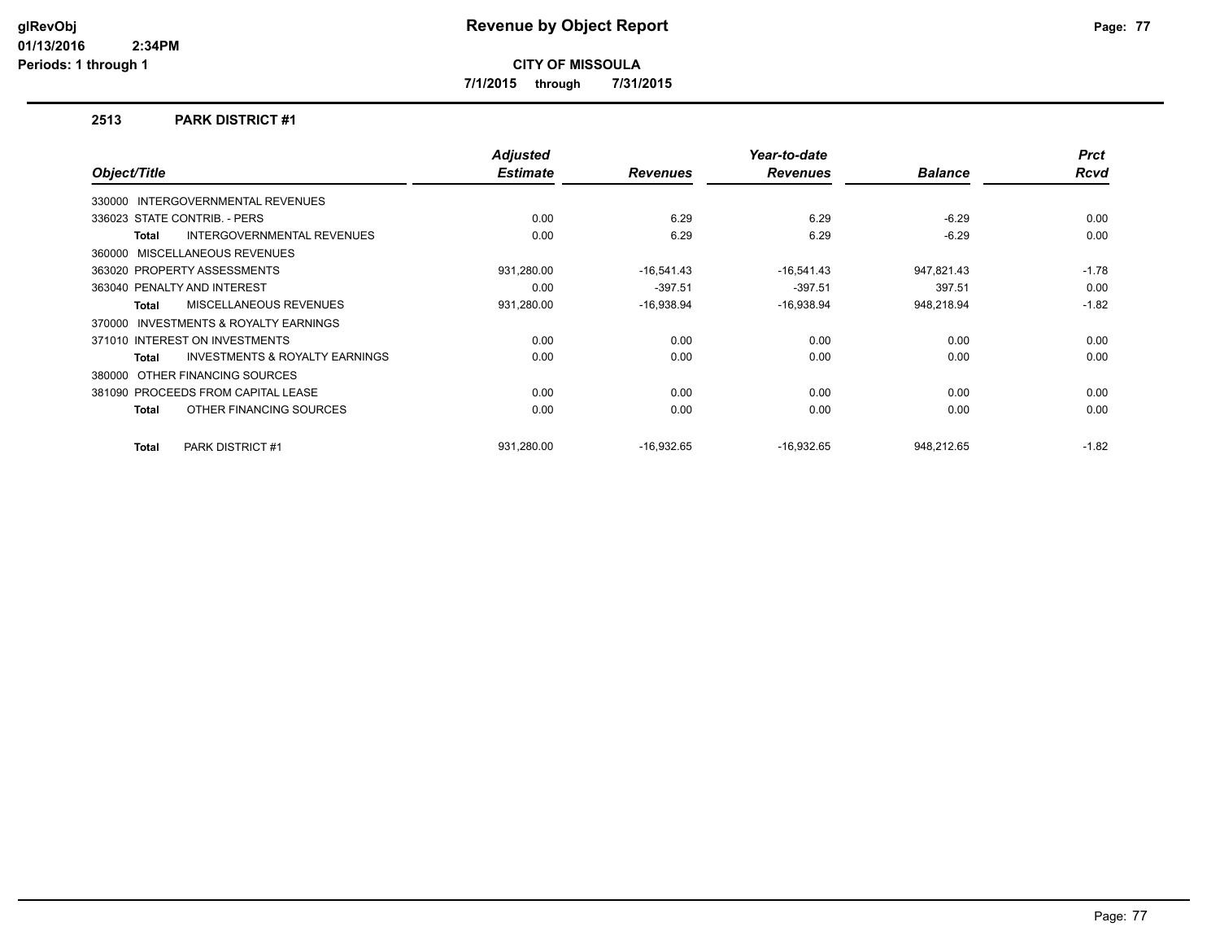**7/1/2015 through 7/31/2015**

#### **2513 PARK DISTRICT #1**

|              |                                           | <b>Adjusted</b> |                 | Year-to-date    |                | <b>Prct</b> |
|--------------|-------------------------------------------|-----------------|-----------------|-----------------|----------------|-------------|
| Object/Title |                                           | <b>Estimate</b> | <b>Revenues</b> | <b>Revenues</b> | <b>Balance</b> | <b>Rcvd</b> |
|              | 330000 INTERGOVERNMENTAL REVENUES         |                 |                 |                 |                |             |
|              | 336023 STATE CONTRIB. - PERS              | 0.00            | 6.29            | 6.29            | $-6.29$        | 0.00        |
| Total        | <b>INTERGOVERNMENTAL REVENUES</b>         | 0.00            | 6.29            | 6.29            | $-6.29$        | 0.00        |
|              | 360000 MISCELLANEOUS REVENUES             |                 |                 |                 |                |             |
|              | 363020 PROPERTY ASSESSMENTS               | 931,280.00      | -16,541.43      | $-16,541.43$    | 947,821.43     | $-1.78$     |
|              | 363040 PENALTY AND INTEREST               | 0.00            | $-397.51$       | $-397.51$       | 397.51         | 0.00        |
| <b>Total</b> | MISCELLANEOUS REVENUES                    | 931,280.00      | $-16,938.94$    | $-16,938.94$    | 948,218.94     | $-1.82$     |
| 370000       | <b>INVESTMENTS &amp; ROYALTY EARNINGS</b> |                 |                 |                 |                |             |
|              | 371010 INTEREST ON INVESTMENTS            | 0.00            | 0.00            | 0.00            | 0.00           | 0.00        |
| Total        | <b>INVESTMENTS &amp; ROYALTY EARNINGS</b> | 0.00            | 0.00            | 0.00            | 0.00           | 0.00        |
|              | 380000 OTHER FINANCING SOURCES            |                 |                 |                 |                |             |
|              | 381090 PROCEEDS FROM CAPITAL LEASE        | 0.00            | 0.00            | 0.00            | 0.00           | 0.00        |
| Total        | OTHER FINANCING SOURCES                   | 0.00            | 0.00            | 0.00            | 0.00           | 0.00        |
| Total        | <b>PARK DISTRICT #1</b>                   | 931.280.00      | $-16.932.65$    | $-16.932.65$    | 948.212.65     | $-1.82$     |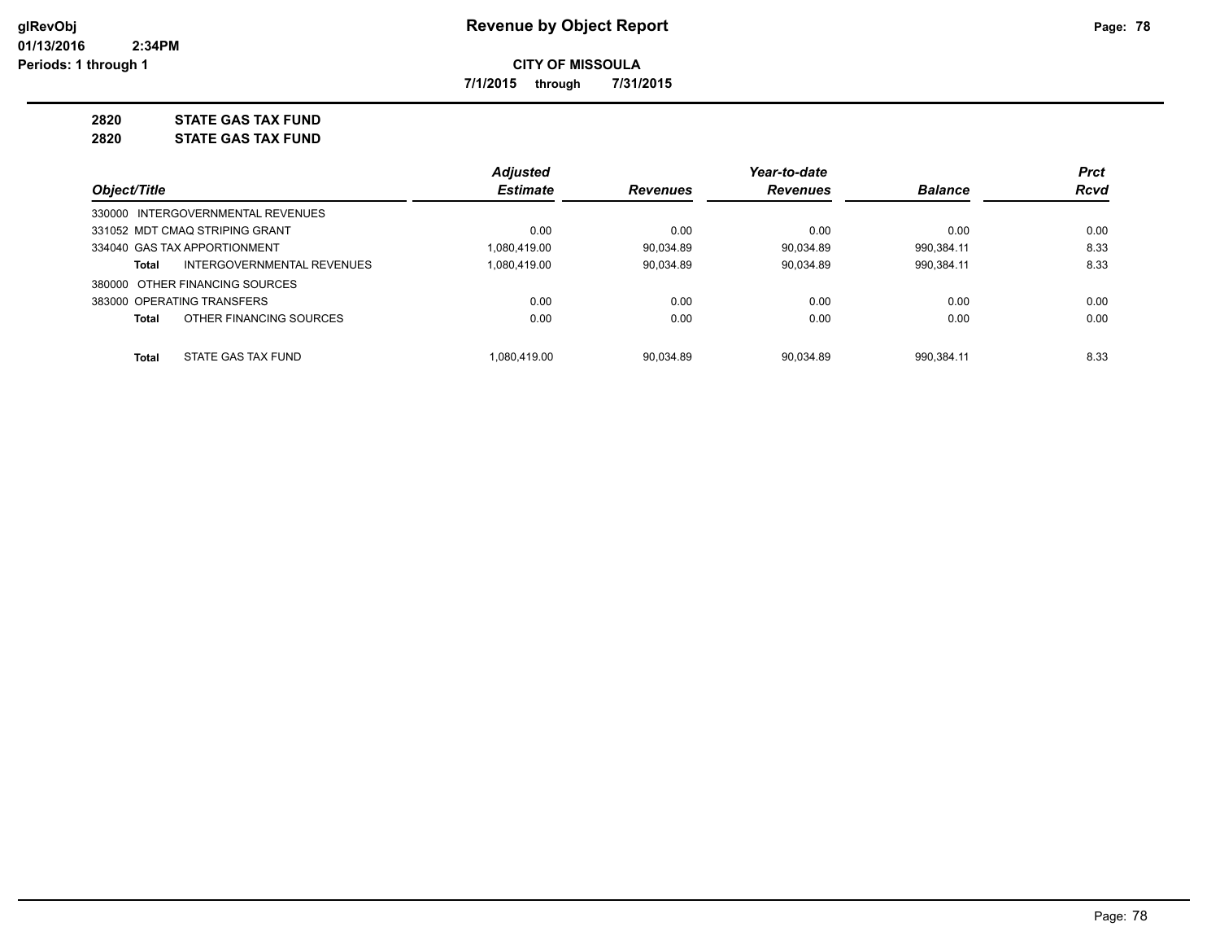**7/1/2015 through 7/31/2015**

# **2820 STATE GAS TAX FUND**

**2820 STATE GAS TAX FUND**

|                                         | <b>Adjusted</b> |                 | Year-to-date    |                | <b>Prct</b> |
|-----------------------------------------|-----------------|-----------------|-----------------|----------------|-------------|
| Object/Title                            | <b>Estimate</b> | <b>Revenues</b> | <b>Revenues</b> | <b>Balance</b> | <b>Rcvd</b> |
| 330000 INTERGOVERNMENTAL REVENUES       |                 |                 |                 |                |             |
| 331052 MDT CMAQ STRIPING GRANT          | 0.00            | 0.00            | 0.00            | 0.00           | 0.00        |
| 334040 GAS TAX APPORTIONMENT            | 1.080.419.00    | 90.034.89       | 90.034.89       | 990.384.11     | 8.33        |
| INTERGOVERNMENTAL REVENUES<br>Total     | 1,080,419.00    | 90,034.89       | 90.034.89       | 990,384.11     | 8.33        |
| 380000 OTHER FINANCING SOURCES          |                 |                 |                 |                |             |
| 383000 OPERATING TRANSFERS              | 0.00            | 0.00            | 0.00            | 0.00           | 0.00        |
| OTHER FINANCING SOURCES<br><b>Total</b> | 0.00            | 0.00            | 0.00            | 0.00           | 0.00        |
| STATE GAS TAX FUND<br>Total             | 1.080.419.00    | 90.034.89       | 90.034.89       | 990.384.11     | 8.33        |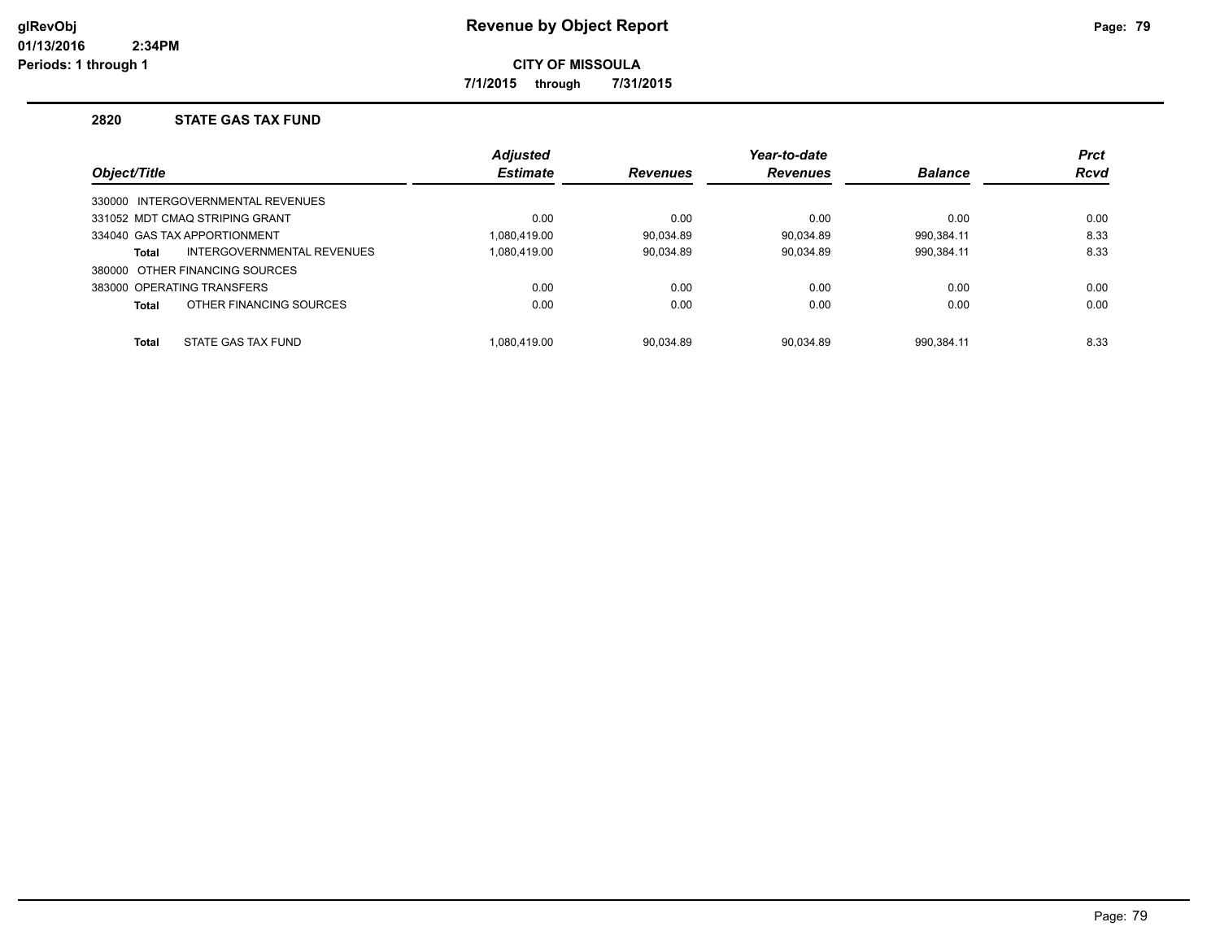**7/1/2015 through 7/31/2015**

## **2820 STATE GAS TAX FUND**

|              |                                   | <b>Adjusted</b> |                 | Year-to-date    |                | <b>Prct</b> |
|--------------|-----------------------------------|-----------------|-----------------|-----------------|----------------|-------------|
| Object/Title |                                   | <b>Estimate</b> | <b>Revenues</b> | <b>Revenues</b> | <b>Balance</b> | <b>Rcvd</b> |
|              | 330000 INTERGOVERNMENTAL REVENUES |                 |                 |                 |                |             |
|              | 331052 MDT CMAQ STRIPING GRANT    | 0.00            | 0.00            | 0.00            | 0.00           | 0.00        |
|              | 334040 GAS TAX APPORTIONMENT      | 1.080.419.00    | 90.034.89       | 90.034.89       | 990.384.11     | 8.33        |
| <b>Total</b> | INTERGOVERNMENTAL REVENUES        | 1,080,419.00    | 90,034.89       | 90,034.89       | 990,384.11     | 8.33        |
|              | 380000 OTHER FINANCING SOURCES    |                 |                 |                 |                |             |
|              | 383000 OPERATING TRANSFERS        | 0.00            | 0.00            | 0.00            | 0.00           | 0.00        |
| <b>Total</b> | OTHER FINANCING SOURCES           | 0.00            | 0.00            | 0.00            | 0.00           | 0.00        |
| <b>Total</b> | STATE GAS TAX FUND                | 1.080.419.00    | 90.034.89       | 90.034.89       | 990.384.11     | 8.33        |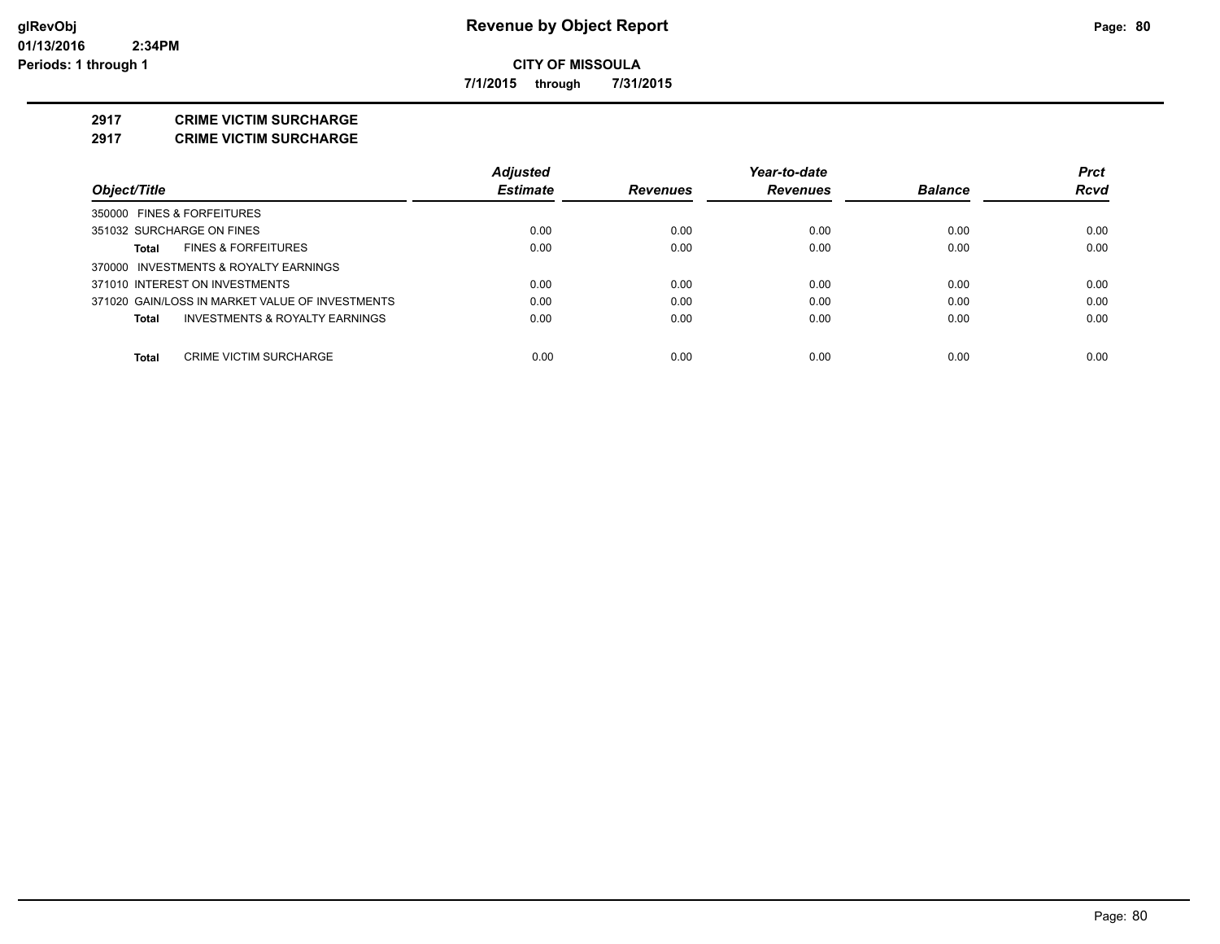**7/1/2015 through 7/31/2015**

#### **2917 CRIME VICTIM SURCHARGE**

**2917 CRIME VICTIM SURCHARGE**

|                                                 | <b>Adjusted</b> |                 | Year-to-date    |                | <b>Prct</b> |
|-------------------------------------------------|-----------------|-----------------|-----------------|----------------|-------------|
| Object/Title                                    | <b>Estimate</b> | <b>Revenues</b> | <b>Revenues</b> | <b>Balance</b> | <b>Rcvd</b> |
| 350000 FINES & FORFEITURES                      |                 |                 |                 |                |             |
| 351032 SURCHARGE ON FINES                       | 0.00            | 0.00            | 0.00            | 0.00           | 0.00        |
| <b>FINES &amp; FORFEITURES</b><br>Total         | 0.00            | 0.00            | 0.00            | 0.00           | 0.00        |
| 370000 INVESTMENTS & ROYALTY EARNINGS           |                 |                 |                 |                |             |
| 371010 INTEREST ON INVESTMENTS                  | 0.00            | 0.00            | 0.00            | 0.00           | 0.00        |
| 371020 GAIN/LOSS IN MARKET VALUE OF INVESTMENTS | 0.00            | 0.00            | 0.00            | 0.00           | 0.00        |
| INVESTMENTS & ROYALTY EARNINGS<br>Total         | 0.00            | 0.00            | 0.00            | 0.00           | 0.00        |
| <b>CRIME VICTIM SURCHARGE</b><br><b>Total</b>   | 0.00            | 0.00            | 0.00            | 0.00           | 0.00        |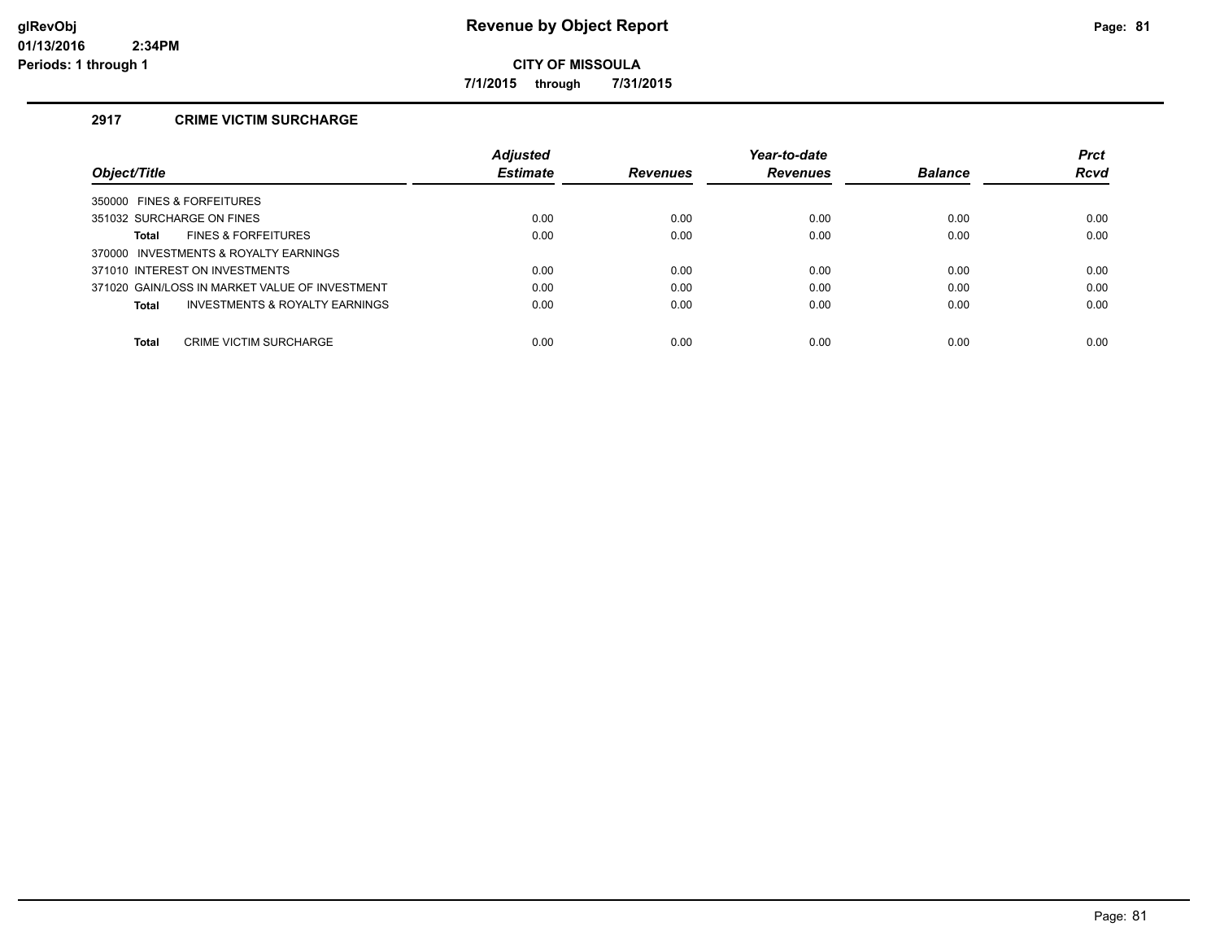**7/1/2015 through 7/31/2015**

## **2917 CRIME VICTIM SURCHARGE**

|                                                | <b>Adjusted</b> |                 | Year-to-date    |                | <b>Prct</b> |
|------------------------------------------------|-----------------|-----------------|-----------------|----------------|-------------|
| Object/Title                                   | <b>Estimate</b> | <b>Revenues</b> | <b>Revenues</b> | <b>Balance</b> | <b>Rcvd</b> |
| 350000 FINES & FORFEITURES                     |                 |                 |                 |                |             |
| 351032 SURCHARGE ON FINES                      | 0.00            | 0.00            | 0.00            | 0.00           | 0.00        |
| <b>FINES &amp; FORFEITURES</b><br>Total        | 0.00            | 0.00            | 0.00            | 0.00           | 0.00        |
| 370000 INVESTMENTS & ROYALTY EARNINGS          |                 |                 |                 |                |             |
| 371010 INTEREST ON INVESTMENTS                 | 0.00            | 0.00            | 0.00            | 0.00           | 0.00        |
| 371020 GAIN/LOSS IN MARKET VALUE OF INVESTMENT | 0.00            | 0.00            | 0.00            | 0.00           | 0.00        |
| INVESTMENTS & ROYALTY EARNINGS<br>Total        | 0.00            | 0.00            | 0.00            | 0.00           | 0.00        |
|                                                |                 |                 |                 |                |             |
| <b>Total</b><br><b>CRIME VICTIM SURCHARGE</b>  | 0.00            | 0.00            | 0.00            | 0.00           | 0.00        |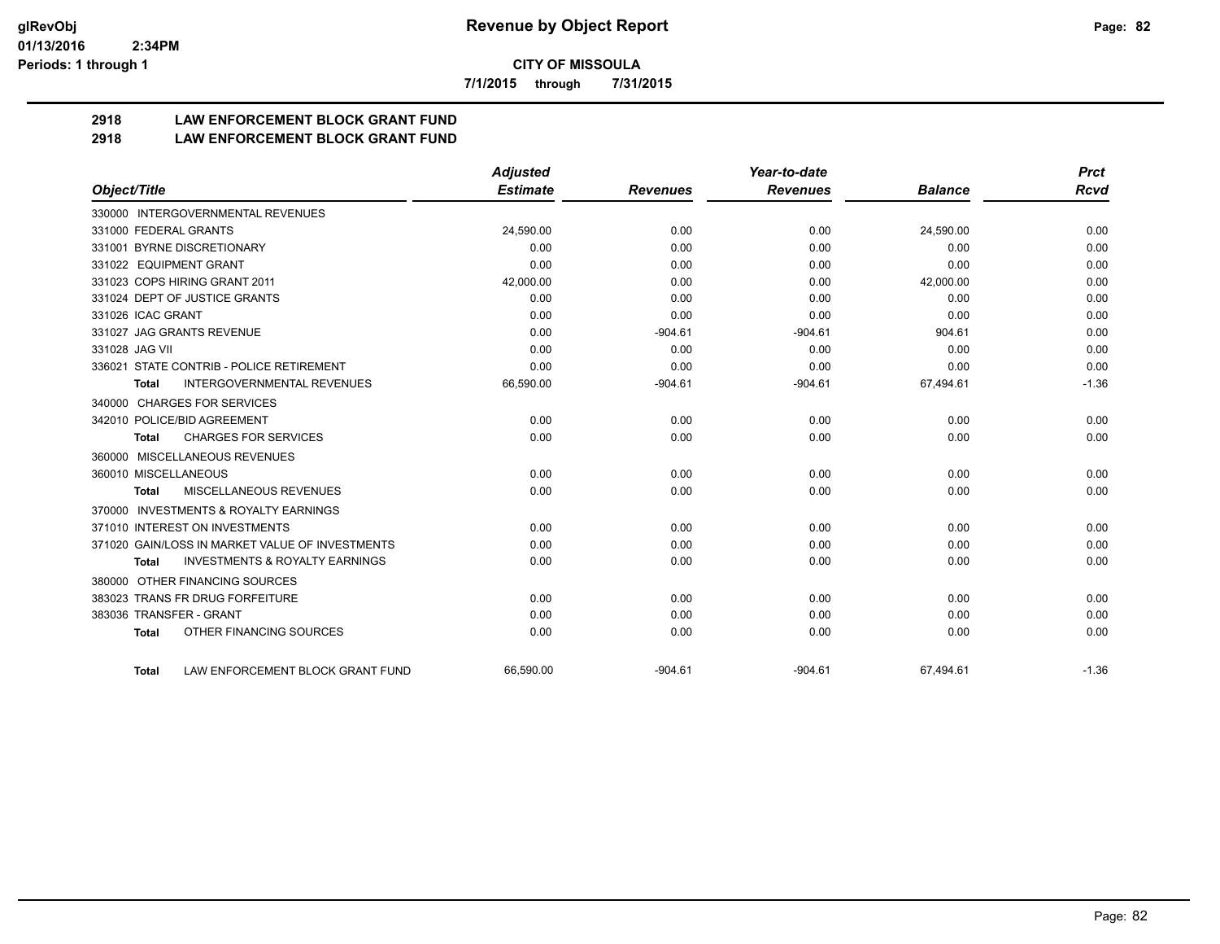**7/1/2015 through 7/31/2015**

# **2918 LAW ENFORCEMENT BLOCK GRANT FUND**

## **2918 LAW ENFORCEMENT BLOCK GRANT FUND**

|                                                           | <b>Adjusted</b> |                 | Year-to-date    |                | <b>Prct</b> |
|-----------------------------------------------------------|-----------------|-----------------|-----------------|----------------|-------------|
| Object/Title                                              | <b>Estimate</b> | <b>Revenues</b> | <b>Revenues</b> | <b>Balance</b> | <b>Rcvd</b> |
| 330000 INTERGOVERNMENTAL REVENUES                         |                 |                 |                 |                |             |
| 331000 FEDERAL GRANTS                                     | 24,590.00       | 0.00            | 0.00            | 24,590.00      | 0.00        |
| 331001 BYRNE DISCRETIONARY                                | 0.00            | 0.00            | 0.00            | 0.00           | 0.00        |
| 331022 EQUIPMENT GRANT                                    | 0.00            | 0.00            | 0.00            | 0.00           | 0.00        |
| 331023 COPS HIRING GRANT 2011                             | 42,000.00       | 0.00            | 0.00            | 42,000.00      | 0.00        |
| 331024 DEPT OF JUSTICE GRANTS                             | 0.00            | 0.00            | 0.00            | 0.00           | 0.00        |
| 331026 ICAC GRANT                                         | 0.00            | 0.00            | 0.00            | 0.00           | 0.00        |
| 331027 JAG GRANTS REVENUE                                 | 0.00            | $-904.61$       | $-904.61$       | 904.61         | 0.00        |
| 331028 JAG VII                                            | 0.00            | 0.00            | 0.00            | 0.00           | 0.00        |
| 336021 STATE CONTRIB - POLICE RETIREMENT                  | 0.00            | 0.00            | 0.00            | 0.00           | 0.00        |
| <b>INTERGOVERNMENTAL REVENUES</b><br><b>Total</b>         | 66,590.00       | $-904.61$       | $-904.61$       | 67,494.61      | $-1.36$     |
| 340000 CHARGES FOR SERVICES                               |                 |                 |                 |                |             |
| 342010 POLICE/BID AGREEMENT                               | 0.00            | 0.00            | 0.00            | 0.00           | 0.00        |
| <b>CHARGES FOR SERVICES</b><br><b>Total</b>               | 0.00            | 0.00            | 0.00            | 0.00           | 0.00        |
| 360000 MISCELLANEOUS REVENUES                             |                 |                 |                 |                |             |
| 360010 MISCELLANEOUS                                      | 0.00            | 0.00            | 0.00            | 0.00           | 0.00        |
| MISCELLANEOUS REVENUES<br><b>Total</b>                    | 0.00            | 0.00            | 0.00            | 0.00           | 0.00        |
| <b>INVESTMENTS &amp; ROYALTY EARNINGS</b><br>370000       |                 |                 |                 |                |             |
| 371010 INTEREST ON INVESTMENTS                            | 0.00            | 0.00            | 0.00            | 0.00           | 0.00        |
| 371020 GAIN/LOSS IN MARKET VALUE OF INVESTMENTS           | 0.00            | 0.00            | 0.00            | 0.00           | 0.00        |
| <b>INVESTMENTS &amp; ROYALTY EARNINGS</b><br><b>Total</b> | 0.00            | 0.00            | 0.00            | 0.00           | 0.00        |
| 380000 OTHER FINANCING SOURCES                            |                 |                 |                 |                |             |
| 383023 TRANS FR DRUG FORFEITURE                           | 0.00            | 0.00            | 0.00            | 0.00           | 0.00        |
| 383036 TRANSFER - GRANT                                   | 0.00            | 0.00            | 0.00            | 0.00           | 0.00        |
| OTHER FINANCING SOURCES<br><b>Total</b>                   | 0.00            | 0.00            | 0.00            | 0.00           | 0.00        |
| LAW ENFORCEMENT BLOCK GRANT FUND<br><b>Total</b>          | 66,590.00       | $-904.61$       | $-904.61$       | 67,494.61      | $-1.36$     |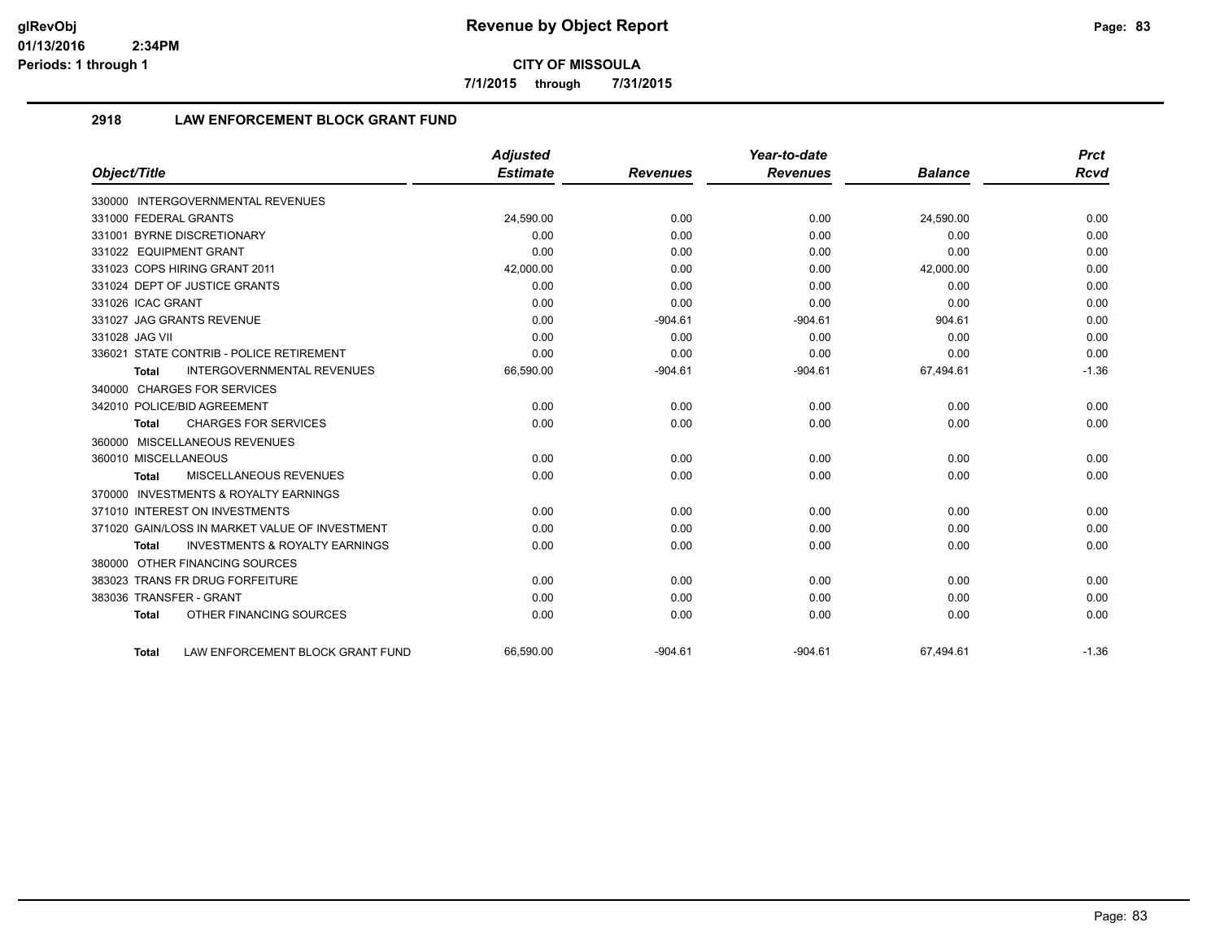**7/1/2015 through 7/31/2015**

## **2918 LAW ENFORCEMENT BLOCK GRANT FUND**

|                                                           | <b>Adjusted</b> |                 | Year-to-date    |                | <b>Prct</b> |
|-----------------------------------------------------------|-----------------|-----------------|-----------------|----------------|-------------|
| Object/Title                                              | <b>Estimate</b> | <b>Revenues</b> | <b>Revenues</b> | <b>Balance</b> | <b>Rcvd</b> |
| 330000 INTERGOVERNMENTAL REVENUES                         |                 |                 |                 |                |             |
| 331000 FEDERAL GRANTS                                     | 24,590.00       | 0.00            | 0.00            | 24,590.00      | 0.00        |
| 331001 BYRNE DISCRETIONARY                                | 0.00            | 0.00            | 0.00            | 0.00           | 0.00        |
| 331022 EQUIPMENT GRANT                                    | 0.00            | 0.00            | 0.00            | 0.00           | 0.00        |
| 331023 COPS HIRING GRANT 2011                             | 42,000.00       | 0.00            | 0.00            | 42,000.00      | 0.00        |
| 331024 DEPT OF JUSTICE GRANTS                             | 0.00            | 0.00            | 0.00            | 0.00           | 0.00        |
| 331026 ICAC GRANT                                         | 0.00            | 0.00            | 0.00            | 0.00           | 0.00        |
| 331027 JAG GRANTS REVENUE                                 | 0.00            | $-904.61$       | $-904.61$       | 904.61         | 0.00        |
| 331028 JAG VII                                            | 0.00            | 0.00            | 0.00            | 0.00           | 0.00        |
| 336021 STATE CONTRIB - POLICE RETIREMENT                  | 0.00            | 0.00            | 0.00            | 0.00           | 0.00        |
| <b>INTERGOVERNMENTAL REVENUES</b><br>Total                | 66,590.00       | $-904.61$       | $-904.61$       | 67,494.61      | $-1.36$     |
| 340000 CHARGES FOR SERVICES                               |                 |                 |                 |                |             |
| 342010 POLICE/BID AGREEMENT                               | 0.00            | 0.00            | 0.00            | 0.00           | 0.00        |
| <b>CHARGES FOR SERVICES</b><br>Total                      | 0.00            | 0.00            | 0.00            | 0.00           | 0.00        |
| 360000 MISCELLANEOUS REVENUES                             |                 |                 |                 |                |             |
| 360010 MISCELLANEOUS                                      | 0.00            | 0.00            | 0.00            | 0.00           | 0.00        |
| MISCELLANEOUS REVENUES<br><b>Total</b>                    | 0.00            | 0.00            | 0.00            | 0.00           | 0.00        |
| 370000 INVESTMENTS & ROYALTY EARNINGS                     |                 |                 |                 |                |             |
| 371010 INTEREST ON INVESTMENTS                            | 0.00            | 0.00            | 0.00            | 0.00           | 0.00        |
| 371020 GAIN/LOSS IN MARKET VALUE OF INVESTMENT            | 0.00            | 0.00            | 0.00            | 0.00           | 0.00        |
| <b>INVESTMENTS &amp; ROYALTY EARNINGS</b><br><b>Total</b> | 0.00            | 0.00            | 0.00            | 0.00           | 0.00        |
| 380000 OTHER FINANCING SOURCES                            |                 |                 |                 |                |             |
| 383023 TRANS FR DRUG FORFEITURE                           | 0.00            | 0.00            | 0.00            | 0.00           | 0.00        |
| 383036 TRANSFER - GRANT                                   | 0.00            | 0.00            | 0.00            | 0.00           | 0.00        |
| OTHER FINANCING SOURCES<br><b>Total</b>                   | 0.00            | 0.00            | 0.00            | 0.00           | 0.00        |
| LAW ENFORCEMENT BLOCK GRANT FUND<br>Total                 | 66.590.00       | $-904.61$       | $-904.61$       | 67.494.61      | $-1.36$     |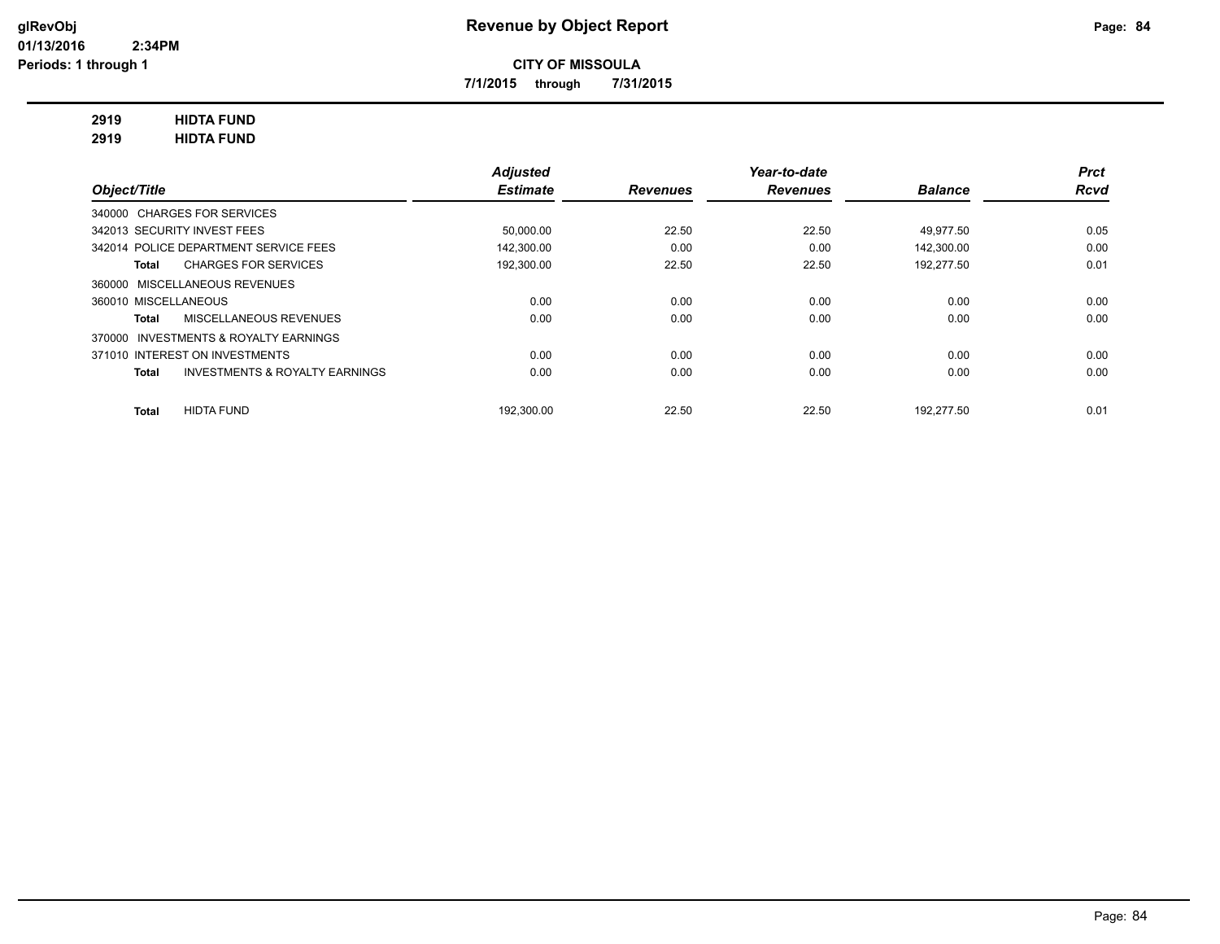**7/1/2015 through 7/31/2015**

## **2919 HIDTA FUND**

**2919 HIDTA FUND**

|                                                    | <b>Adjusted</b> |                 | Year-to-date    |                | <b>Prct</b> |
|----------------------------------------------------|-----------------|-----------------|-----------------|----------------|-------------|
| Object/Title                                       | <b>Estimate</b> | <b>Revenues</b> | <b>Revenues</b> | <b>Balance</b> | <b>Rcvd</b> |
| 340000 CHARGES FOR SERVICES                        |                 |                 |                 |                |             |
| 342013 SECURITY INVEST FEES                        | 50,000.00       | 22.50           | 22.50           | 49.977.50      | 0.05        |
| 342014 POLICE DEPARTMENT SERVICE FEES              | 142,300.00      | 0.00            | 0.00            | 142,300.00     | 0.00        |
| <b>CHARGES FOR SERVICES</b><br>Total               | 192,300.00      | 22.50           | 22.50           | 192,277.50     | 0.01        |
| 360000 MISCELLANEOUS REVENUES                      |                 |                 |                 |                |             |
| 360010 MISCELLANEOUS                               | 0.00            | 0.00            | 0.00            | 0.00           | 0.00        |
| MISCELLANEOUS REVENUES<br>Total                    | 0.00            | 0.00            | 0.00            | 0.00           | 0.00        |
| 370000 INVESTMENTS & ROYALTY EARNINGS              |                 |                 |                 |                |             |
| 371010 INTEREST ON INVESTMENTS                     | 0.00            | 0.00            | 0.00            | 0.00           | 0.00        |
| <b>INVESTMENTS &amp; ROYALTY EARNINGS</b><br>Total | 0.00            | 0.00            | 0.00            | 0.00           | 0.00        |
| <b>HIDTA FUND</b><br><b>Total</b>                  | 192,300.00      | 22.50           | 22.50           | 192,277.50     | 0.01        |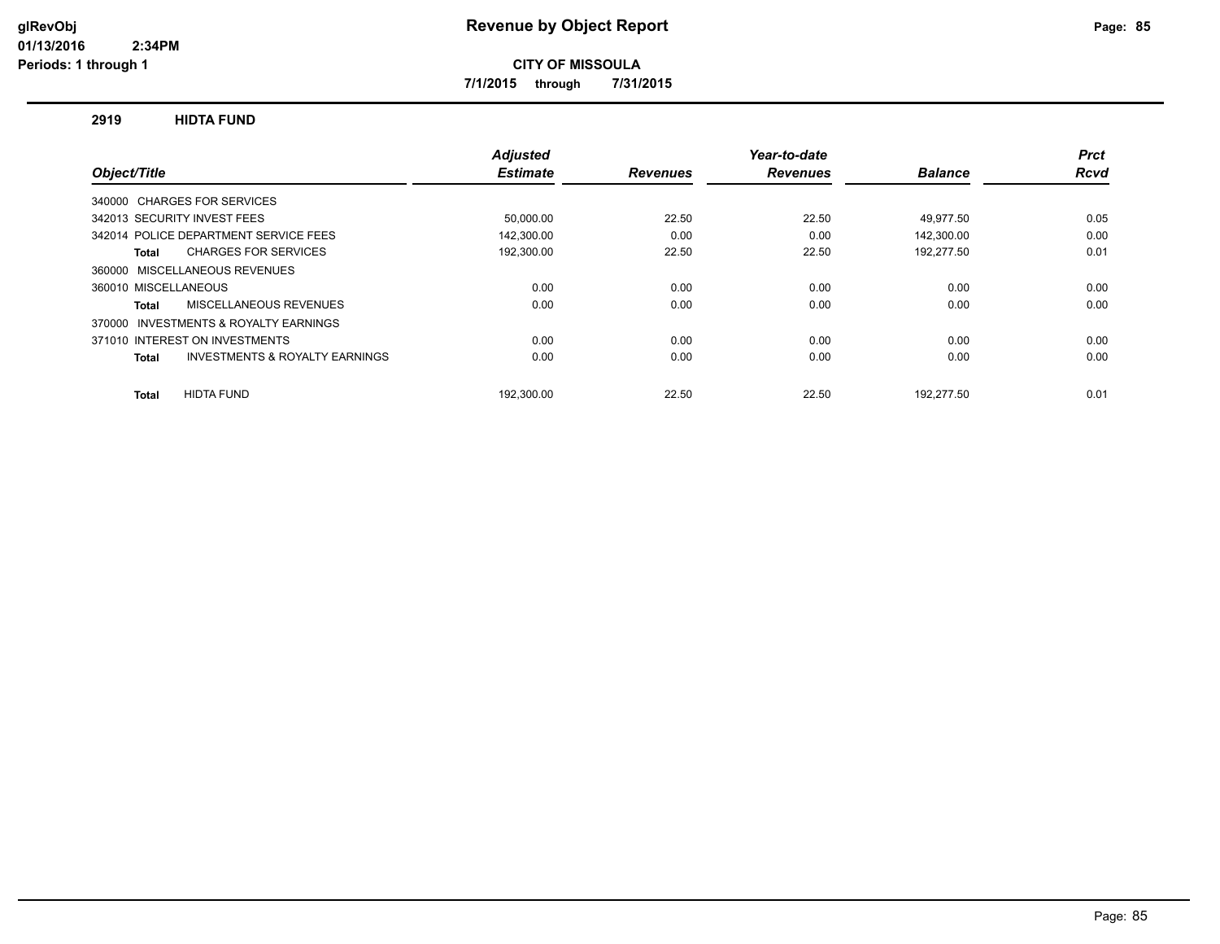**7/1/2015 through 7/31/2015**

#### **2919 HIDTA FUND**

|                                                           | <b>Adjusted</b> |                 | Year-to-date    |                | <b>Prct</b> |
|-----------------------------------------------------------|-----------------|-----------------|-----------------|----------------|-------------|
| Object/Title                                              | <b>Estimate</b> | <b>Revenues</b> | <b>Revenues</b> | <b>Balance</b> | <b>Rcvd</b> |
| 340000 CHARGES FOR SERVICES                               |                 |                 |                 |                |             |
| 342013 SECURITY INVEST FEES                               | 50,000.00       | 22.50           | 22.50           | 49.977.50      | 0.05        |
| 342014 POLICE DEPARTMENT SERVICE FEES                     | 142,300.00      | 0.00            | 0.00            | 142,300.00     | 0.00        |
| <b>CHARGES FOR SERVICES</b><br>Total                      | 192,300.00      | 22.50           | 22.50           | 192,277.50     | 0.01        |
| MISCELLANEOUS REVENUES<br>360000                          |                 |                 |                 |                |             |
| 360010 MISCELLANEOUS                                      | 0.00            | 0.00            | 0.00            | 0.00           | 0.00        |
| MISCELLANEOUS REVENUES<br><b>Total</b>                    | 0.00            | 0.00            | 0.00            | 0.00           | 0.00        |
| 370000 INVESTMENTS & ROYALTY EARNINGS                     |                 |                 |                 |                |             |
| 371010 INTEREST ON INVESTMENTS                            | 0.00            | 0.00            | 0.00            | 0.00           | 0.00        |
| <b>INVESTMENTS &amp; ROYALTY EARNINGS</b><br><b>Total</b> | 0.00            | 0.00            | 0.00            | 0.00           | 0.00        |
| <b>HIDTA FUND</b><br><b>Total</b>                         | 192.300.00      | 22.50           | 22.50           | 192.277.50     | 0.01        |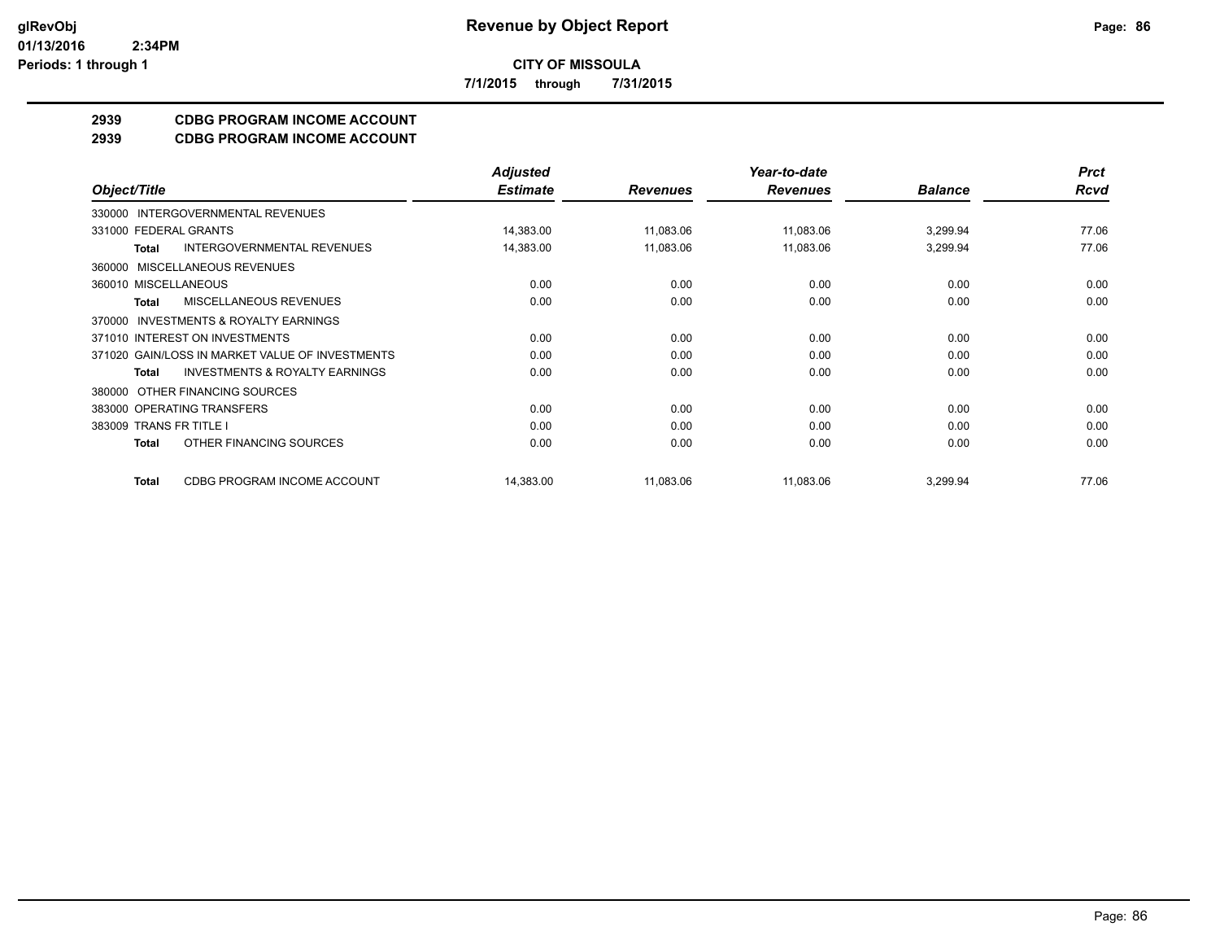**7/1/2015 through 7/31/2015**

## **2939 CDBG PROGRAM INCOME ACCOUNT**

**2939 CDBG PROGRAM INCOME ACCOUNT**

|                                                           | <b>Adjusted</b> |                 | Year-to-date    |                | <b>Prct</b> |
|-----------------------------------------------------------|-----------------|-----------------|-----------------|----------------|-------------|
| Object/Title                                              | <b>Estimate</b> | <b>Revenues</b> | <b>Revenues</b> | <b>Balance</b> | <b>Rcvd</b> |
| INTERGOVERNMENTAL REVENUES<br>330000                      |                 |                 |                 |                |             |
| 331000 FEDERAL GRANTS                                     | 14,383.00       | 11,083.06       | 11,083.06       | 3,299.94       | 77.06       |
| <b>INTERGOVERNMENTAL REVENUES</b><br><b>Total</b>         | 14,383.00       | 11,083.06       | 11,083.06       | 3,299.94       | 77.06       |
| MISCELLANEOUS REVENUES<br>360000                          |                 |                 |                 |                |             |
| 360010 MISCELLANEOUS                                      | 0.00            | 0.00            | 0.00            | 0.00           | 0.00        |
| MISCELLANEOUS REVENUES<br>Total                           | 0.00            | 0.00            | 0.00            | 0.00           | 0.00        |
| <b>INVESTMENTS &amp; ROYALTY EARNINGS</b><br>370000       |                 |                 |                 |                |             |
| 371010 INTEREST ON INVESTMENTS                            | 0.00            | 0.00            | 0.00            | 0.00           | 0.00        |
| 371020 GAIN/LOSS IN MARKET VALUE OF INVESTMENTS           | 0.00            | 0.00            | 0.00            | 0.00           | 0.00        |
| <b>INVESTMENTS &amp; ROYALTY EARNINGS</b><br><b>Total</b> | 0.00            | 0.00            | 0.00            | 0.00           | 0.00        |
| OTHER FINANCING SOURCES<br>380000                         |                 |                 |                 |                |             |
| 383000 OPERATING TRANSFERS                                | 0.00            | 0.00            | 0.00            | 0.00           | 0.00        |
| 383009 TRANS FR TITLE I                                   | 0.00            | 0.00            | 0.00            | 0.00           | 0.00        |
| OTHER FINANCING SOURCES<br><b>Total</b>                   | 0.00            | 0.00            | 0.00            | 0.00           | 0.00        |
| CDBG PROGRAM INCOME ACCOUNT<br><b>Total</b>               | 14,383.00       | 11,083.06       | 11,083.06       | 3,299.94       | 77.06       |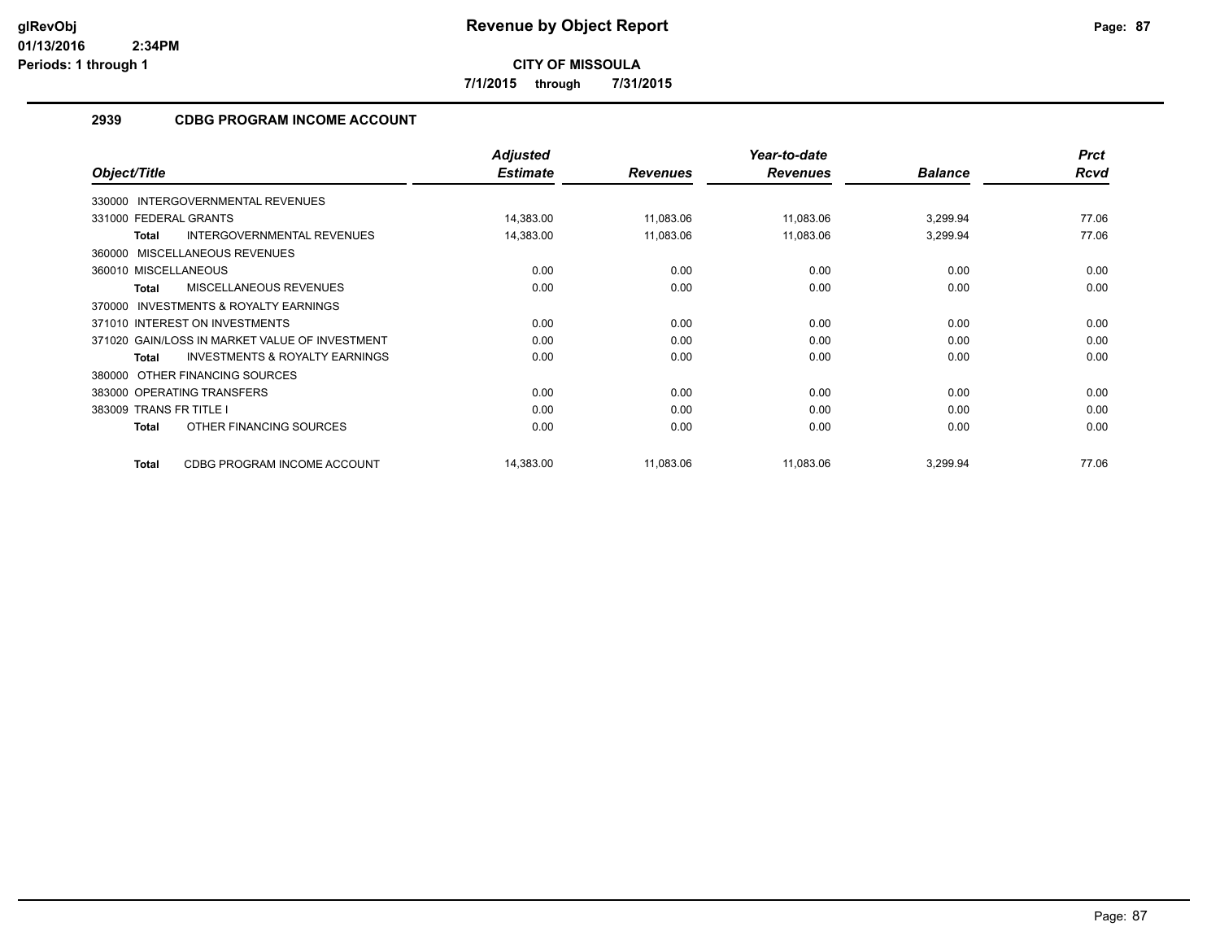**7/1/2015 through 7/31/2015**

## **2939 CDBG PROGRAM INCOME ACCOUNT**

|                                                           | <b>Adjusted</b> |                 | Year-to-date    |                | <b>Prct</b> |
|-----------------------------------------------------------|-----------------|-----------------|-----------------|----------------|-------------|
| Object/Title                                              | <b>Estimate</b> | <b>Revenues</b> | <b>Revenues</b> | <b>Balance</b> | Rcvd        |
| 330000 INTERGOVERNMENTAL REVENUES                         |                 |                 |                 |                |             |
| 331000 FEDERAL GRANTS                                     | 14,383.00       | 11,083.06       | 11,083.06       | 3,299.94       | 77.06       |
| <b>INTERGOVERNMENTAL REVENUES</b><br><b>Total</b>         | 14,383.00       | 11,083.06       | 11,083.06       | 3,299.94       | 77.06       |
| 360000 MISCELLANEOUS REVENUES                             |                 |                 |                 |                |             |
| 360010 MISCELLANEOUS                                      | 0.00            | 0.00            | 0.00            | 0.00           | 0.00        |
| MISCELLANEOUS REVENUES<br><b>Total</b>                    | 0.00            | 0.00            | 0.00            | 0.00           | 0.00        |
| INVESTMENTS & ROYALTY EARNINGS<br>370000                  |                 |                 |                 |                |             |
| 371010 INTEREST ON INVESTMENTS                            | 0.00            | 0.00            | 0.00            | 0.00           | 0.00        |
| 371020 GAIN/LOSS IN MARKET VALUE OF INVESTMENT            | 0.00            | 0.00            | 0.00            | 0.00           | 0.00        |
| <b>INVESTMENTS &amp; ROYALTY EARNINGS</b><br><b>Total</b> | 0.00            | 0.00            | 0.00            | 0.00           | 0.00        |
| OTHER FINANCING SOURCES<br>380000                         |                 |                 |                 |                |             |
| 383000 OPERATING TRANSFERS                                | 0.00            | 0.00            | 0.00            | 0.00           | 0.00        |
| 383009 TRANS FR TITLE I                                   | 0.00            | 0.00            | 0.00            | 0.00           | 0.00        |
| OTHER FINANCING SOURCES<br>Total                          | 0.00            | 0.00            | 0.00            | 0.00           | 0.00        |
| CDBG PROGRAM INCOME ACCOUNT<br><b>Total</b>               | 14,383.00       | 11,083.06       | 11,083.06       | 3,299.94       | 77.06       |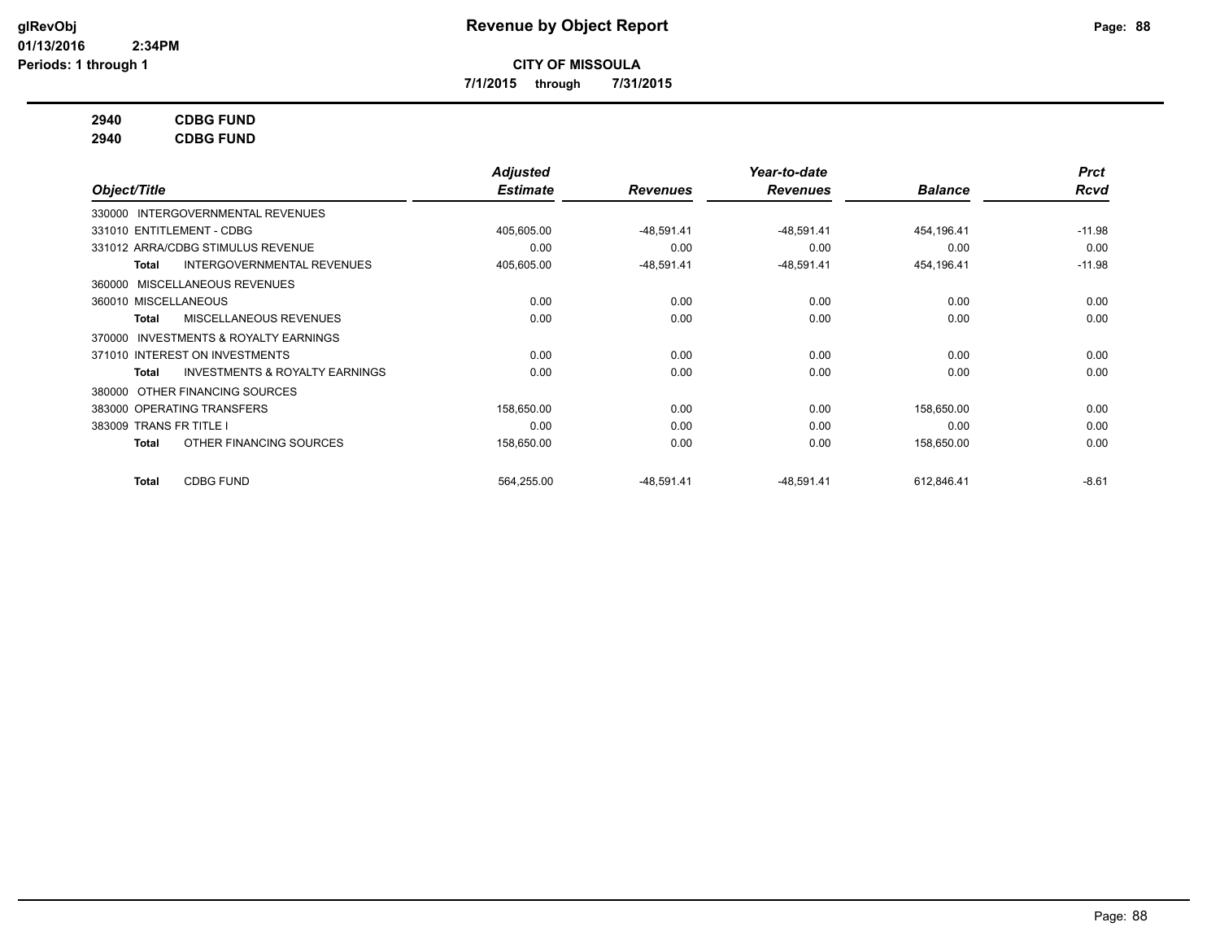**7/1/2015 through 7/31/2015**

## **2940 CDBG FUND**

**2940 CDBG FUND**

|                         |                                           | Adjusted        |                 | Year-to-date    |                | <b>Prct</b> |
|-------------------------|-------------------------------------------|-----------------|-----------------|-----------------|----------------|-------------|
| Object/Title            |                                           | <b>Estimate</b> | <b>Revenues</b> | <b>Revenues</b> | <b>Balance</b> | <b>Rcvd</b> |
|                         | 330000 INTERGOVERNMENTAL REVENUES         |                 |                 |                 |                |             |
|                         | 331010 ENTITLEMENT - CDBG                 | 405,605.00      | $-48,591.41$    | $-48,591.41$    | 454,196.41     | $-11.98$    |
|                         | 331012 ARRA/CDBG STIMULUS REVENUE         | 0.00            | 0.00            | 0.00            | 0.00           | 0.00        |
| Total                   | INTERGOVERNMENTAL REVENUES                | 405,605.00      | $-48,591.41$    | $-48,591.41$    | 454,196.41     | $-11.98$    |
| 360000                  | MISCELLANEOUS REVENUES                    |                 |                 |                 |                |             |
| 360010 MISCELLANEOUS    |                                           | 0.00            | 0.00            | 0.00            | 0.00           | 0.00        |
| Total                   | MISCELLANEOUS REVENUES                    | 0.00            | 0.00            | 0.00            | 0.00           | 0.00        |
| 370000                  | <b>INVESTMENTS &amp; ROYALTY EARNINGS</b> |                 |                 |                 |                |             |
|                         | 371010 INTEREST ON INVESTMENTS            | 0.00            | 0.00            | 0.00            | 0.00           | 0.00        |
| Total                   | <b>INVESTMENTS &amp; ROYALTY EARNINGS</b> | 0.00            | 0.00            | 0.00            | 0.00           | 0.00        |
| 380000                  | OTHER FINANCING SOURCES                   |                 |                 |                 |                |             |
|                         | 383000 OPERATING TRANSFERS                | 158,650.00      | 0.00            | 0.00            | 158,650.00     | 0.00        |
| 383009 TRANS FR TITLE I |                                           | 0.00            | 0.00            | 0.00            | 0.00           | 0.00        |
| <b>Total</b>            | OTHER FINANCING SOURCES                   | 158,650.00      | 0.00            | 0.00            | 158,650.00     | 0.00        |
| <b>Total</b>            | <b>CDBG FUND</b>                          | 564,255.00      | $-48,591.41$    | $-48,591.41$    | 612,846.41     | $-8.61$     |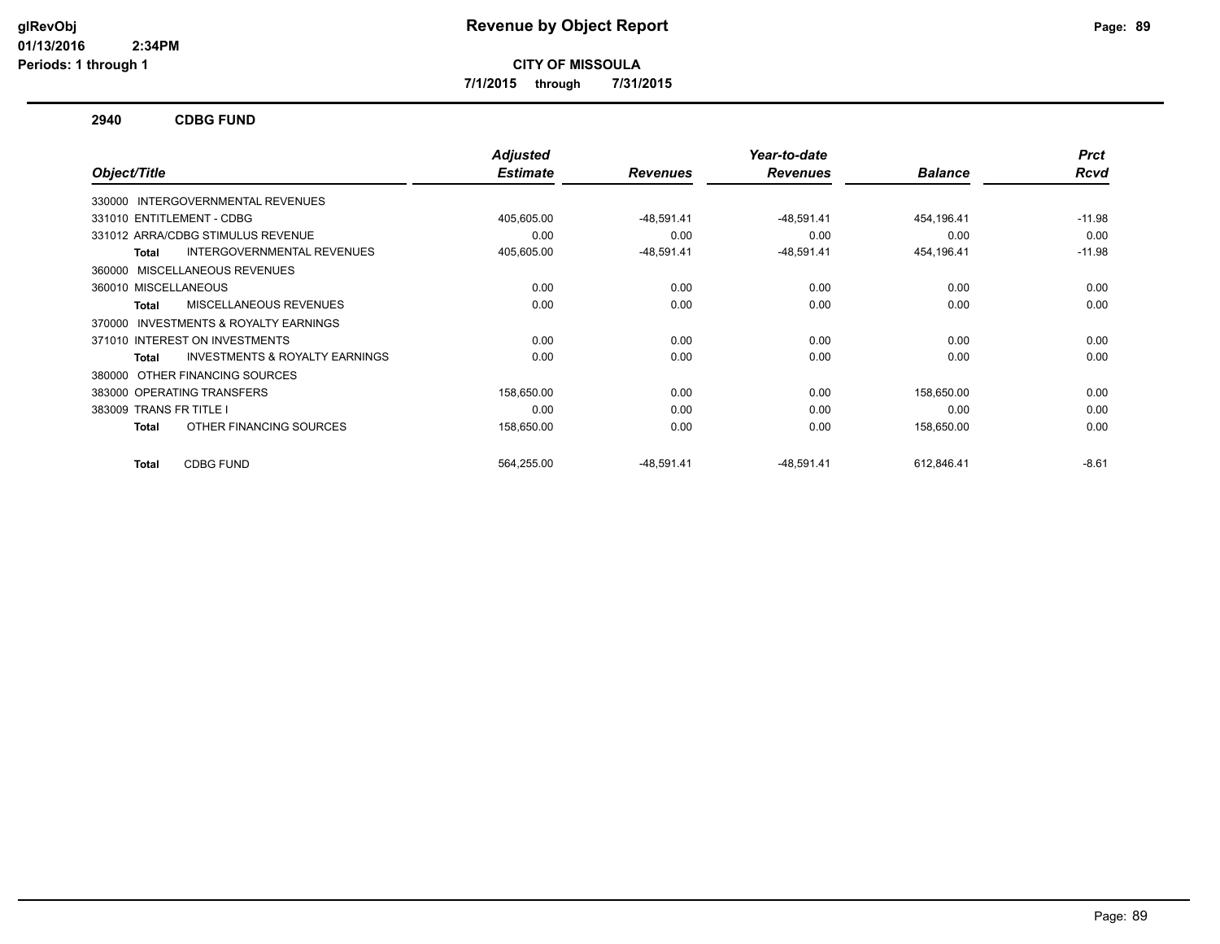**7/1/2015 through 7/31/2015**

#### **2940 CDBG FUND**

|                                                           | <b>Adjusted</b> |                 | Year-to-date    |                | <b>Prct</b> |
|-----------------------------------------------------------|-----------------|-----------------|-----------------|----------------|-------------|
| Object/Title                                              | <b>Estimate</b> | <b>Revenues</b> | <b>Revenues</b> | <b>Balance</b> | <b>Rcvd</b> |
| 330000 INTERGOVERNMENTAL REVENUES                         |                 |                 |                 |                |             |
| 331010 ENTITLEMENT - CDBG                                 | 405,605.00      | $-48,591.41$    | $-48,591.41$    | 454,196.41     | $-11.98$    |
| 331012 ARRA/CDBG STIMULUS REVENUE                         | 0.00            | 0.00            | 0.00            | 0.00           | 0.00        |
| INTERGOVERNMENTAL REVENUES<br><b>Total</b>                | 405,605.00      | $-48,591.41$    | $-48,591.41$    | 454,196.41     | $-11.98$    |
| MISCELLANEOUS REVENUES<br>360000                          |                 |                 |                 |                |             |
| 360010 MISCELLANEOUS                                      | 0.00            | 0.00            | 0.00            | 0.00           | 0.00        |
| <b>MISCELLANEOUS REVENUES</b><br><b>Total</b>             | 0.00            | 0.00            | 0.00            | 0.00           | 0.00        |
| INVESTMENTS & ROYALTY EARNINGS<br>370000                  |                 |                 |                 |                |             |
| 371010 INTEREST ON INVESTMENTS                            | 0.00            | 0.00            | 0.00            | 0.00           | 0.00        |
| <b>INVESTMENTS &amp; ROYALTY EARNINGS</b><br><b>Total</b> | 0.00            | 0.00            | 0.00            | 0.00           | 0.00        |
| OTHER FINANCING SOURCES<br>380000                         |                 |                 |                 |                |             |
| 383000 OPERATING TRANSFERS                                | 158,650.00      | 0.00            | 0.00            | 158,650.00     | 0.00        |
| 383009 TRANS FR TITLE I                                   | 0.00            | 0.00            | 0.00            | 0.00           | 0.00        |
| OTHER FINANCING SOURCES<br><b>Total</b>                   | 158,650.00      | 0.00            | 0.00            | 158,650.00     | 0.00        |
| <b>CDBG FUND</b><br><b>Total</b>                          | 564,255.00      | $-48,591.41$    | $-48,591.41$    | 612.846.41     | $-8.61$     |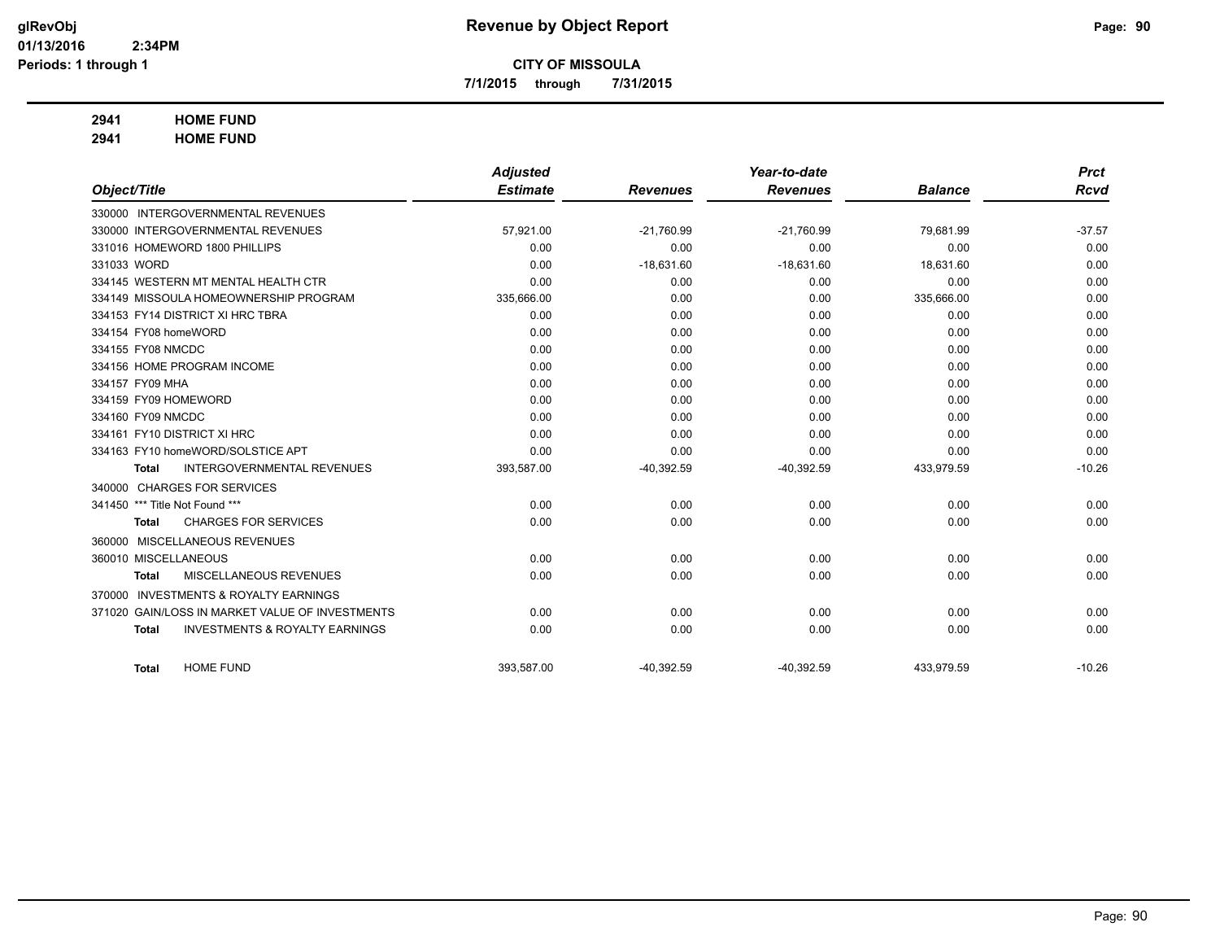**7/1/2015 through 7/31/2015**

## **2941 HOME FUND**

**2941 HOME FUND**

|                             |                                                 | <b>Adjusted</b> |                 | Year-to-date    |                | <b>Prct</b> |
|-----------------------------|-------------------------------------------------|-----------------|-----------------|-----------------|----------------|-------------|
| Object/Title                |                                                 | <b>Estimate</b> | <b>Revenues</b> | <b>Revenues</b> | <b>Balance</b> | <b>Rcvd</b> |
|                             | 330000 INTERGOVERNMENTAL REVENUES               |                 |                 |                 |                |             |
|                             | 330000 INTERGOVERNMENTAL REVENUES               | 57,921.00       | $-21,760.99$    | $-21,760.99$    | 79,681.99      | $-37.57$    |
|                             | 331016 HOMEWORD 1800 PHILLIPS                   | 0.00            | 0.00            | 0.00            | 0.00           | 0.00        |
| 331033 WORD                 |                                                 | 0.00            | $-18,631.60$    | $-18,631.60$    | 18,631.60      | 0.00        |
|                             | 334145 WESTERN MT MENTAL HEALTH CTR             | 0.00            | 0.00            | 0.00            | 0.00           | 0.00        |
|                             | 334149 MISSOULA HOMEOWNERSHIP PROGRAM           | 335,666.00      | 0.00            | 0.00            | 335,666.00     | 0.00        |
|                             | 334153 FY14 DISTRICT XI HRC TBRA                | 0.00            | 0.00            | 0.00            | 0.00           | 0.00        |
| 334154 FY08 homeWORD        |                                                 | 0.00            | 0.00            | 0.00            | 0.00           | 0.00        |
| 334155 FY08 NMCDC           |                                                 | 0.00            | 0.00            | 0.00            | 0.00           | 0.00        |
|                             | 334156 HOME PROGRAM INCOME                      | 0.00            | 0.00            | 0.00            | 0.00           | 0.00        |
| 334157 FY09 MHA             |                                                 | 0.00            | 0.00            | 0.00            | 0.00           | 0.00        |
| 334159 FY09 HOMEWORD        |                                                 | 0.00            | 0.00            | 0.00            | 0.00           | 0.00        |
| 334160 FY09 NMCDC           |                                                 | 0.00            | 0.00            | 0.00            | 0.00           | 0.00        |
| 334161 FY10 DISTRICT XI HRC |                                                 | 0.00            | 0.00            | 0.00            | 0.00           | 0.00        |
|                             | 334163 FY10 homeWORD/SOLSTICE APT               | 0.00            | 0.00            | 0.00            | 0.00           | 0.00        |
| <b>Total</b>                | <b>INTERGOVERNMENTAL REVENUES</b>               | 393,587.00      | $-40,392.59$    | $-40,392.59$    | 433,979.59     | $-10.26$    |
|                             | 340000 CHARGES FOR SERVICES                     |                 |                 |                 |                |             |
| 341450                      | *** Title Not Found ***                         | 0.00            | 0.00            | 0.00            | 0.00           | 0.00        |
| <b>Total</b>                | <b>CHARGES FOR SERVICES</b>                     | 0.00            | 0.00            | 0.00            | 0.00           | 0.00        |
|                             | 360000 MISCELLANEOUS REVENUES                   |                 |                 |                 |                |             |
| 360010 MISCELLANEOUS        |                                                 | 0.00            | 0.00            | 0.00            | 0.00           | 0.00        |
| <b>Total</b>                | MISCELLANEOUS REVENUES                          | 0.00            | 0.00            | 0.00            | 0.00           | 0.00        |
| 370000                      | <b>INVESTMENTS &amp; ROYALTY EARNINGS</b>       |                 |                 |                 |                |             |
|                             | 371020 GAIN/LOSS IN MARKET VALUE OF INVESTMENTS | 0.00            | 0.00            | 0.00            | 0.00           | 0.00        |
| <b>Total</b>                | <b>INVESTMENTS &amp; ROYALTY EARNINGS</b>       | 0.00            | 0.00            | 0.00            | 0.00           | 0.00        |
|                             |                                                 |                 |                 |                 |                |             |
| <b>Total</b>                | <b>HOME FUND</b>                                | 393,587.00      | $-40,392.59$    | $-40,392.59$    | 433,979.59     | $-10.26$    |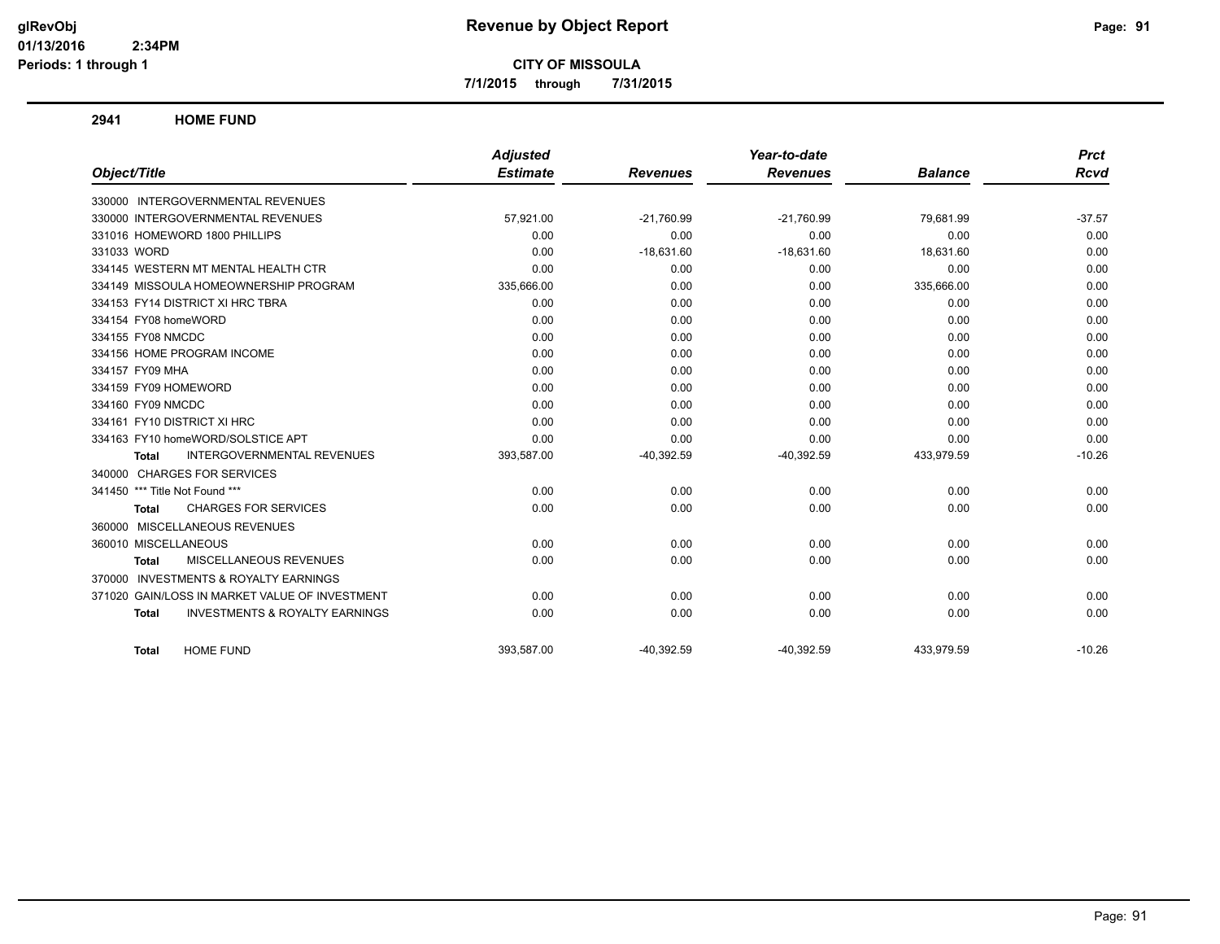**7/1/2015 through 7/31/2015**

**2941 HOME FUND**

|                                                           | <b>Adjusted</b> |                 | Year-to-date    |                | <b>Prct</b> |
|-----------------------------------------------------------|-----------------|-----------------|-----------------|----------------|-------------|
| Object/Title                                              | <b>Estimate</b> | <b>Revenues</b> | <b>Revenues</b> | <b>Balance</b> | Rcvd        |
| 330000 INTERGOVERNMENTAL REVENUES                         |                 |                 |                 |                |             |
| 330000 INTERGOVERNMENTAL REVENUES                         | 57,921.00       | $-21.760.99$    | $-21.760.99$    | 79.681.99      | $-37.57$    |
| 331016 HOMEWORD 1800 PHILLIPS                             | 0.00            | 0.00            | 0.00            | 0.00           | 0.00        |
| 331033 WORD                                               | 0.00            | $-18,631.60$    | $-18,631.60$    | 18,631.60      | 0.00        |
| 334145 WESTERN MT MENTAL HEALTH CTR                       | 0.00            | 0.00            | 0.00            | 0.00           | 0.00        |
| 334149 MISSOULA HOMEOWNERSHIP PROGRAM                     | 335,666.00      | 0.00            | 0.00            | 335,666.00     | 0.00        |
| 334153 FY14 DISTRICT XI HRC TBRA                          | 0.00            | 0.00            | 0.00            | 0.00           | 0.00        |
| 334154 FY08 homeWORD                                      | 0.00            | 0.00            | 0.00            | 0.00           | 0.00        |
| 334155 FY08 NMCDC                                         | 0.00            | 0.00            | 0.00            | 0.00           | 0.00        |
| 334156 HOME PROGRAM INCOME                                | 0.00            | 0.00            | 0.00            | 0.00           | 0.00        |
| 334157 FY09 MHA                                           | 0.00            | 0.00            | 0.00            | 0.00           | 0.00        |
| 334159 FY09 HOMEWORD                                      | 0.00            | 0.00            | 0.00            | 0.00           | 0.00        |
| 334160 FY09 NMCDC                                         | 0.00            | 0.00            | 0.00            | 0.00           | 0.00        |
| 334161 FY10 DISTRICT XI HRC                               | 0.00            | 0.00            | 0.00            | 0.00           | 0.00        |
| 334163 FY10 homeWORD/SOLSTICE APT                         | 0.00            | 0.00            | 0.00            | 0.00           | 0.00        |
| <b>INTERGOVERNMENTAL REVENUES</b><br>Total                | 393,587.00      | $-40,392.59$    | $-40,392.59$    | 433,979.59     | $-10.26$    |
| 340000 CHARGES FOR SERVICES                               |                 |                 |                 |                |             |
| 341450 *** Title Not Found ***                            | 0.00            | 0.00            | 0.00            | 0.00           | 0.00        |
| <b>CHARGES FOR SERVICES</b><br><b>Total</b>               | 0.00            | 0.00            | 0.00            | 0.00           | 0.00        |
| 360000 MISCELLANEOUS REVENUES                             |                 |                 |                 |                |             |
| 360010 MISCELLANEOUS                                      | 0.00            | 0.00            | 0.00            | 0.00           | 0.00        |
| MISCELLANEOUS REVENUES<br><b>Total</b>                    | 0.00            | 0.00            | 0.00            | 0.00           | 0.00        |
| 370000 INVESTMENTS & ROYALTY EARNINGS                     |                 |                 |                 |                |             |
| 371020 GAIN/LOSS IN MARKET VALUE OF INVESTMENT            | 0.00            | 0.00            | 0.00            | 0.00           | 0.00        |
| <b>INVESTMENTS &amp; ROYALTY EARNINGS</b><br><b>Total</b> | 0.00            | 0.00            | 0.00            | 0.00           | 0.00        |
| <b>HOME FUND</b><br>Total                                 | 393.587.00      | $-40,392.59$    | $-40,392.59$    | 433,979.59     | $-10.26$    |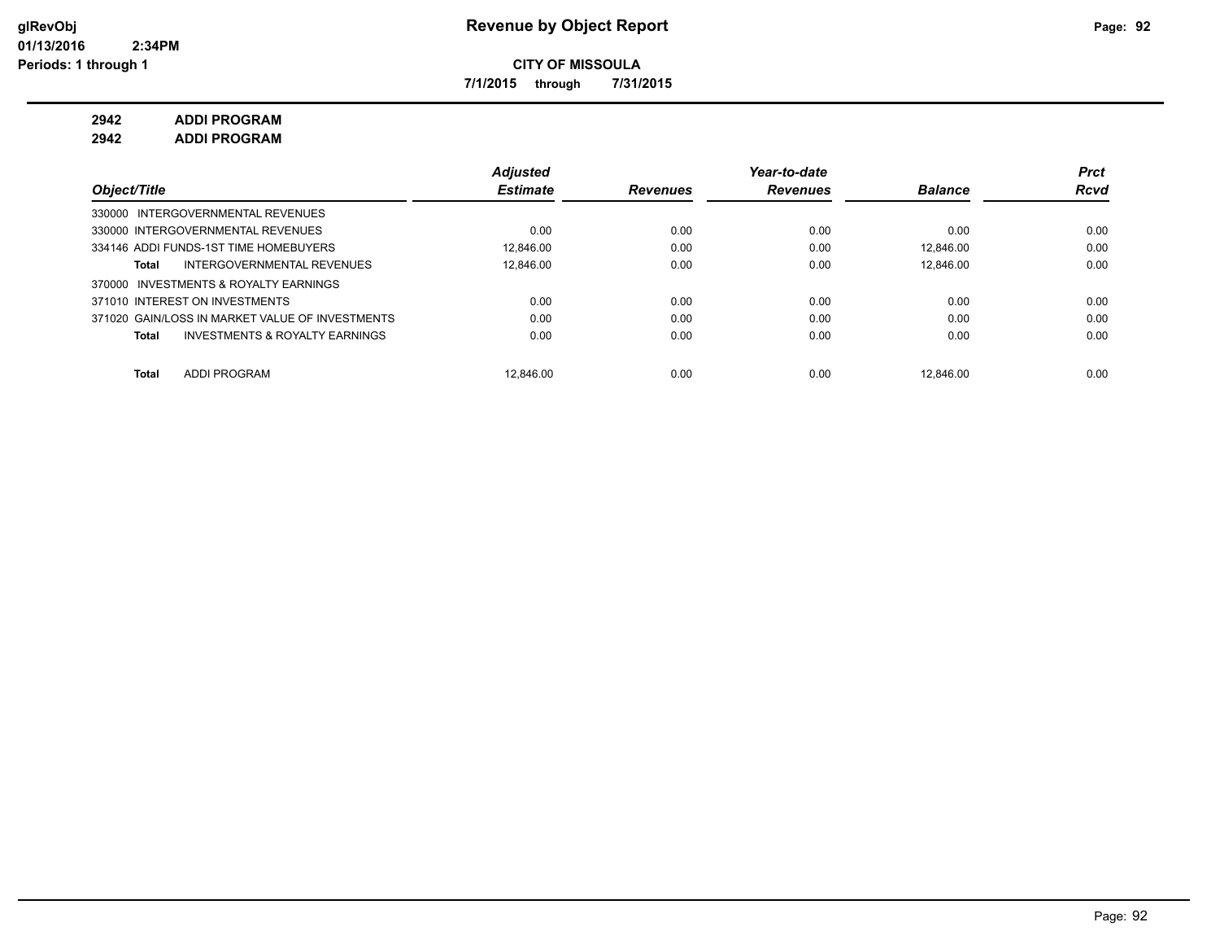**7/1/2015 through 7/31/2015**

**2942 ADDI PROGRAM**

**2942 ADDI PROGRAM**

|                                                    | <b>Adjusted</b> |                 | Year-to-date    |                | <b>Prct</b> |
|----------------------------------------------------|-----------------|-----------------|-----------------|----------------|-------------|
| Object/Title                                       | <b>Estimate</b> | <b>Revenues</b> | <b>Revenues</b> | <b>Balance</b> | <b>Rcvd</b> |
| 330000 INTERGOVERNMENTAL REVENUES                  |                 |                 |                 |                |             |
| 330000 INTERGOVERNMENTAL REVENUES                  | 0.00            | 0.00            | 0.00            | 0.00           | 0.00        |
| 334146 ADDI FUNDS-1ST TIME HOMEBUYERS              | 12.846.00       | 0.00            | 0.00            | 12.846.00      | 0.00        |
| INTERGOVERNMENTAL REVENUES<br>Total                | 12.846.00       | 0.00            | 0.00            | 12.846.00      | 0.00        |
| 370000 INVESTMENTS & ROYALTY EARNINGS              |                 |                 |                 |                |             |
| 371010 INTEREST ON INVESTMENTS                     | 0.00            | 0.00            | 0.00            | 0.00           | 0.00        |
| 371020 GAIN/LOSS IN MARKET VALUE OF INVESTMENTS    | 0.00            | 0.00            | 0.00            | 0.00           | 0.00        |
| <b>INVESTMENTS &amp; ROYALTY EARNINGS</b><br>Total | 0.00            | 0.00            | 0.00            | 0.00           | 0.00        |
|                                                    |                 |                 |                 |                |             |
| <b>ADDI PROGRAM</b><br>Total                       | 12.846.00       | 0.00            | 0.00            | 12.846.00      | 0.00        |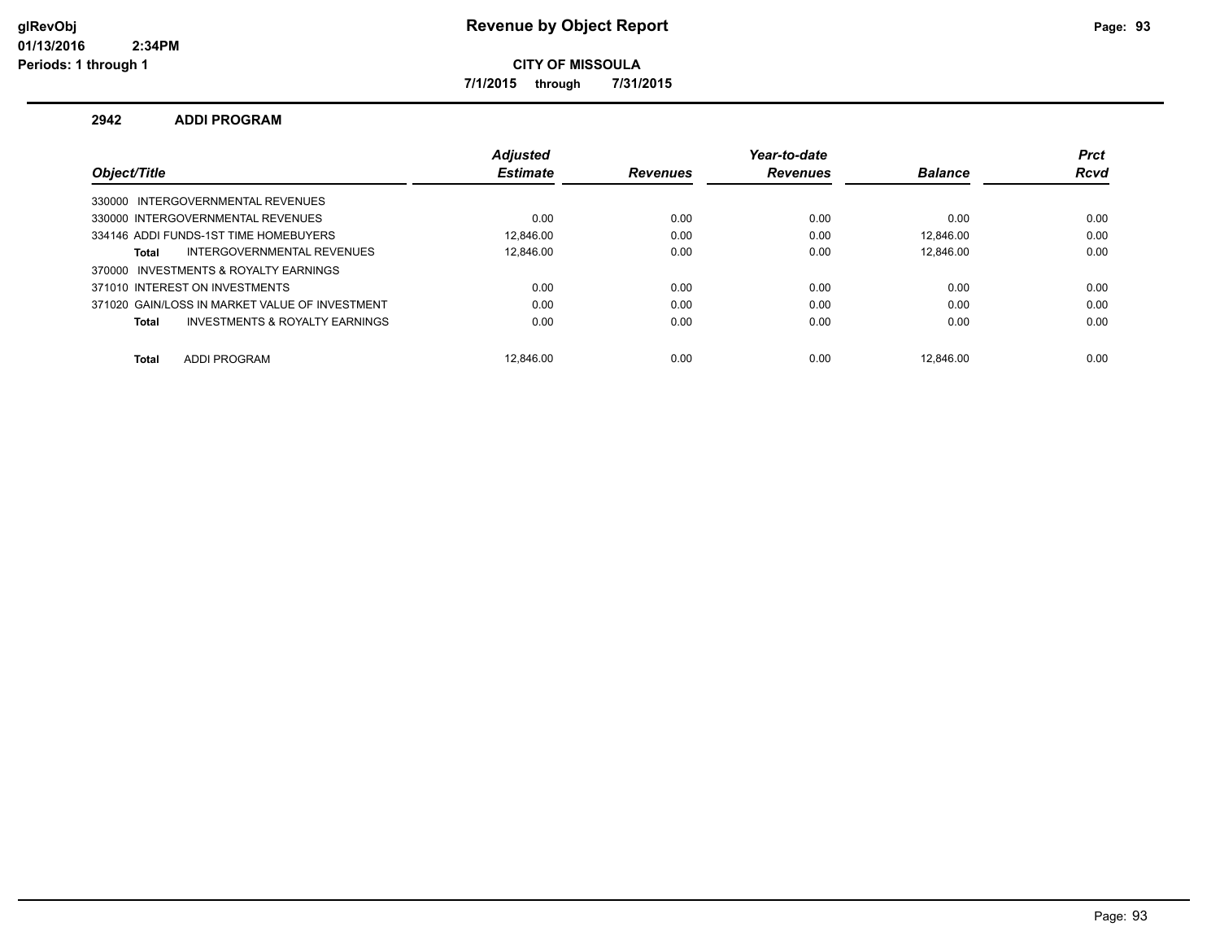**7/1/2015 through 7/31/2015**

#### **2942 ADDI PROGRAM**

|                                                | <b>Adiusted</b> |                 | Year-to-date    |                | <b>Prct</b> |
|------------------------------------------------|-----------------|-----------------|-----------------|----------------|-------------|
| Object/Title                                   | <b>Estimate</b> | <b>Revenues</b> | <b>Revenues</b> | <b>Balance</b> | <b>Rcvd</b> |
| 330000 INTERGOVERNMENTAL REVENUES              |                 |                 |                 |                |             |
| 330000 INTERGOVERNMENTAL REVENUES              | 0.00            | 0.00            | 0.00            | 0.00           | 0.00        |
| 334146 ADDI FUNDS-1ST TIME HOMEBUYERS          | 12.846.00       | 0.00            | 0.00            | 12.846.00      | 0.00        |
| INTERGOVERNMENTAL REVENUES<br>Total            | 12.846.00       | 0.00            | 0.00            | 12.846.00      | 0.00        |
| 370000 INVESTMENTS & ROYALTY EARNINGS          |                 |                 |                 |                |             |
| 371010 INTEREST ON INVESTMENTS                 | 0.00            | 0.00            | 0.00            | 0.00           | 0.00        |
| 371020 GAIN/LOSS IN MARKET VALUE OF INVESTMENT | 0.00            | 0.00            | 0.00            | 0.00           | 0.00        |
| INVESTMENTS & ROYALTY EARNINGS<br>Total        | 0.00            | 0.00            | 0.00            | 0.00           | 0.00        |
| <b>ADDI PROGRAM</b><br><b>Total</b>            | 12.846.00       | 0.00            | 0.00            | 12.846.00      | 0.00        |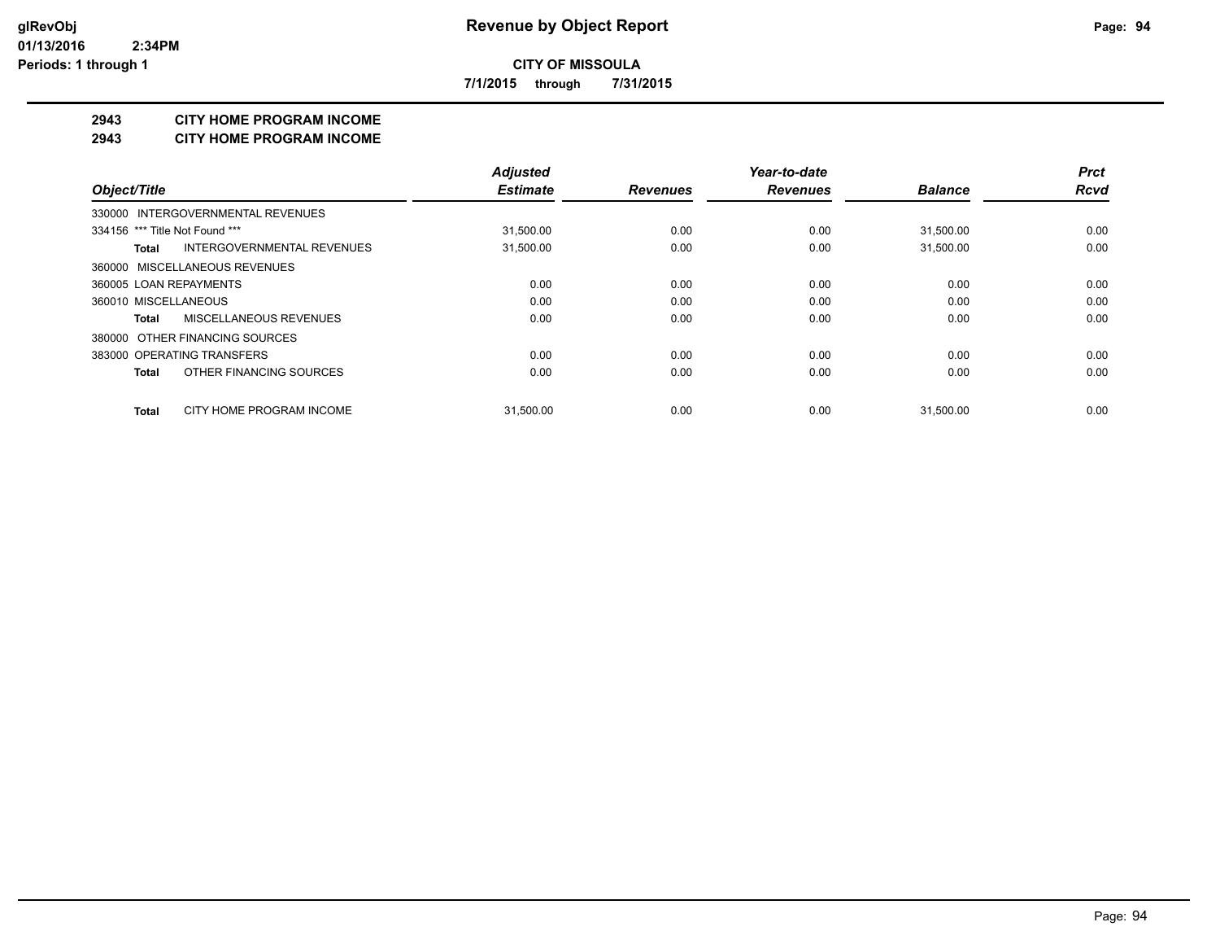**7/1/2015 through 7/31/2015**

#### **2943 CITY HOME PROGRAM INCOME**

#### **2943 CITY HOME PROGRAM INCOME**

|                                            | <b>Adjusted</b> |                 | Year-to-date    |                | <b>Prct</b> |
|--------------------------------------------|-----------------|-----------------|-----------------|----------------|-------------|
| Object/Title                               | <b>Estimate</b> | <b>Revenues</b> | <b>Revenues</b> | <b>Balance</b> | <b>Rcvd</b> |
| 330000 INTERGOVERNMENTAL REVENUES          |                 |                 |                 |                |             |
| 334156 *** Title Not Found ***             | 31,500.00       | 0.00            | 0.00            | 31,500.00      | 0.00        |
| <b>INTERGOVERNMENTAL REVENUES</b><br>Total | 31,500.00       | 0.00            | 0.00            | 31,500.00      | 0.00        |
| 360000 MISCELLANEOUS REVENUES              |                 |                 |                 |                |             |
| 360005 LOAN REPAYMENTS                     | 0.00            | 0.00            | 0.00            | 0.00           | 0.00        |
| 360010 MISCELLANEOUS                       | 0.00            | 0.00            | 0.00            | 0.00           | 0.00        |
| MISCELLANEOUS REVENUES<br>Total            | 0.00            | 0.00            | 0.00            | 0.00           | 0.00        |
| 380000 OTHER FINANCING SOURCES             |                 |                 |                 |                |             |
| 383000 OPERATING TRANSFERS                 | 0.00            | 0.00            | 0.00            | 0.00           | 0.00        |
| OTHER FINANCING SOURCES<br>Total           | 0.00            | 0.00            | 0.00            | 0.00           | 0.00        |
| CITY HOME PROGRAM INCOME<br>Total          | 31.500.00       | 0.00            | 0.00            | 31.500.00      | 0.00        |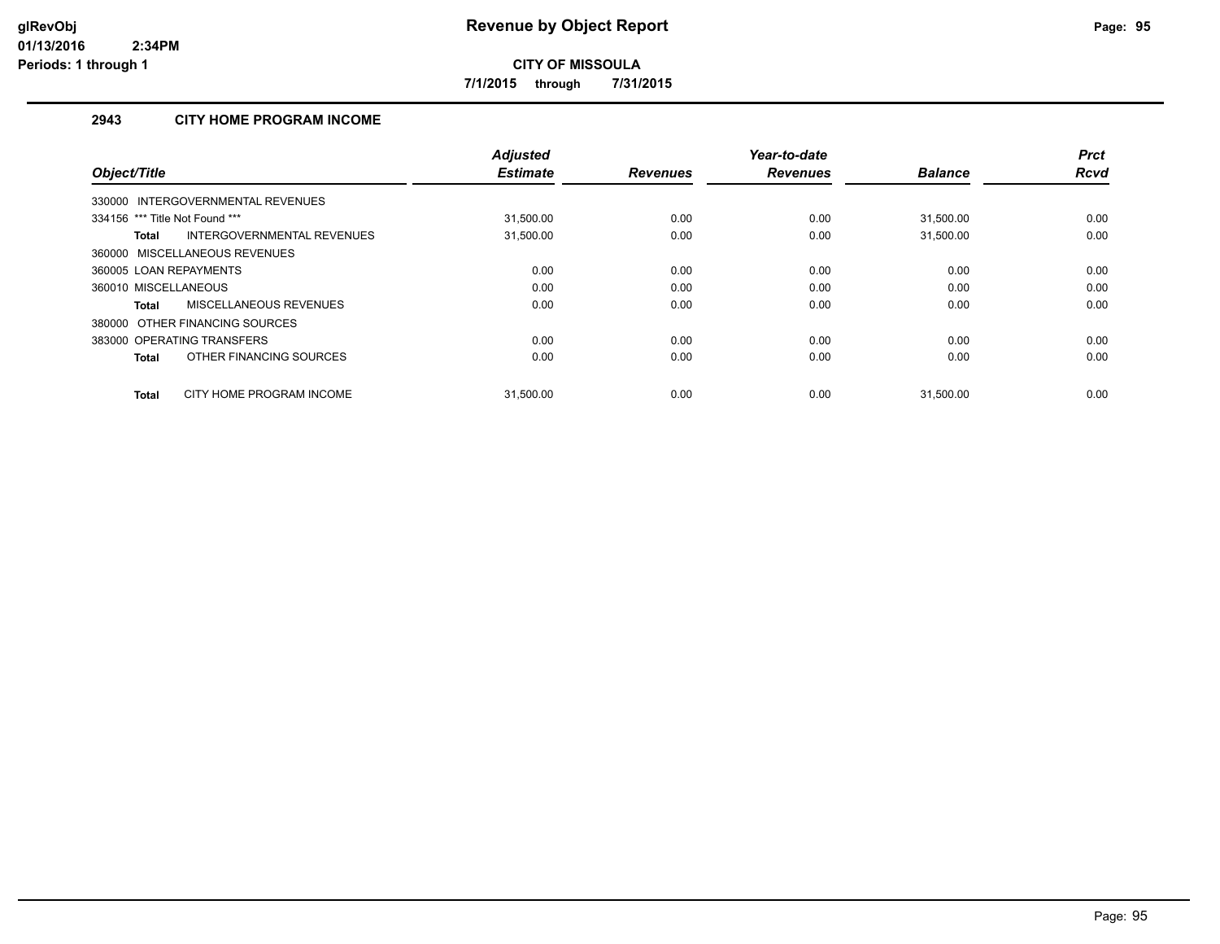**7/1/2015 through 7/31/2015**

## **2943 CITY HOME PROGRAM INCOME**

|                                     | <b>Adjusted</b><br><b>Estimate</b> |                 | Year-to-date    | <b>Balance</b> | <b>Prct</b><br><b>Rcvd</b> |
|-------------------------------------|------------------------------------|-----------------|-----------------|----------------|----------------------------|
| Object/Title                        |                                    | <b>Revenues</b> | <b>Revenues</b> |                |                            |
| 330000 INTERGOVERNMENTAL REVENUES   |                                    |                 |                 |                |                            |
| 334156 *** Title Not Found ***      | 31.500.00                          | 0.00            | 0.00            | 31.500.00      | 0.00                       |
| INTERGOVERNMENTAL REVENUES<br>Total | 31.500.00                          | 0.00            | 0.00            | 31.500.00      | 0.00                       |
| 360000 MISCELLANEOUS REVENUES       |                                    |                 |                 |                |                            |
| 360005 LOAN REPAYMENTS              | 0.00                               | 0.00            | 0.00            | 0.00           | 0.00                       |
| 360010 MISCELLANEOUS                | 0.00                               | 0.00            | 0.00            | 0.00           | 0.00                       |
| MISCELLANEOUS REVENUES<br>Total     | 0.00                               | 0.00            | 0.00            | 0.00           | 0.00                       |
| 380000 OTHER FINANCING SOURCES      |                                    |                 |                 |                |                            |
| 383000 OPERATING TRANSFERS          | 0.00                               | 0.00            | 0.00            | 0.00           | 0.00                       |
| OTHER FINANCING SOURCES<br>Total    | 0.00                               | 0.00            | 0.00            | 0.00           | 0.00                       |
| CITY HOME PROGRAM INCOME<br>Total   | 31.500.00                          | 0.00            | 0.00            | 31.500.00      | 0.00                       |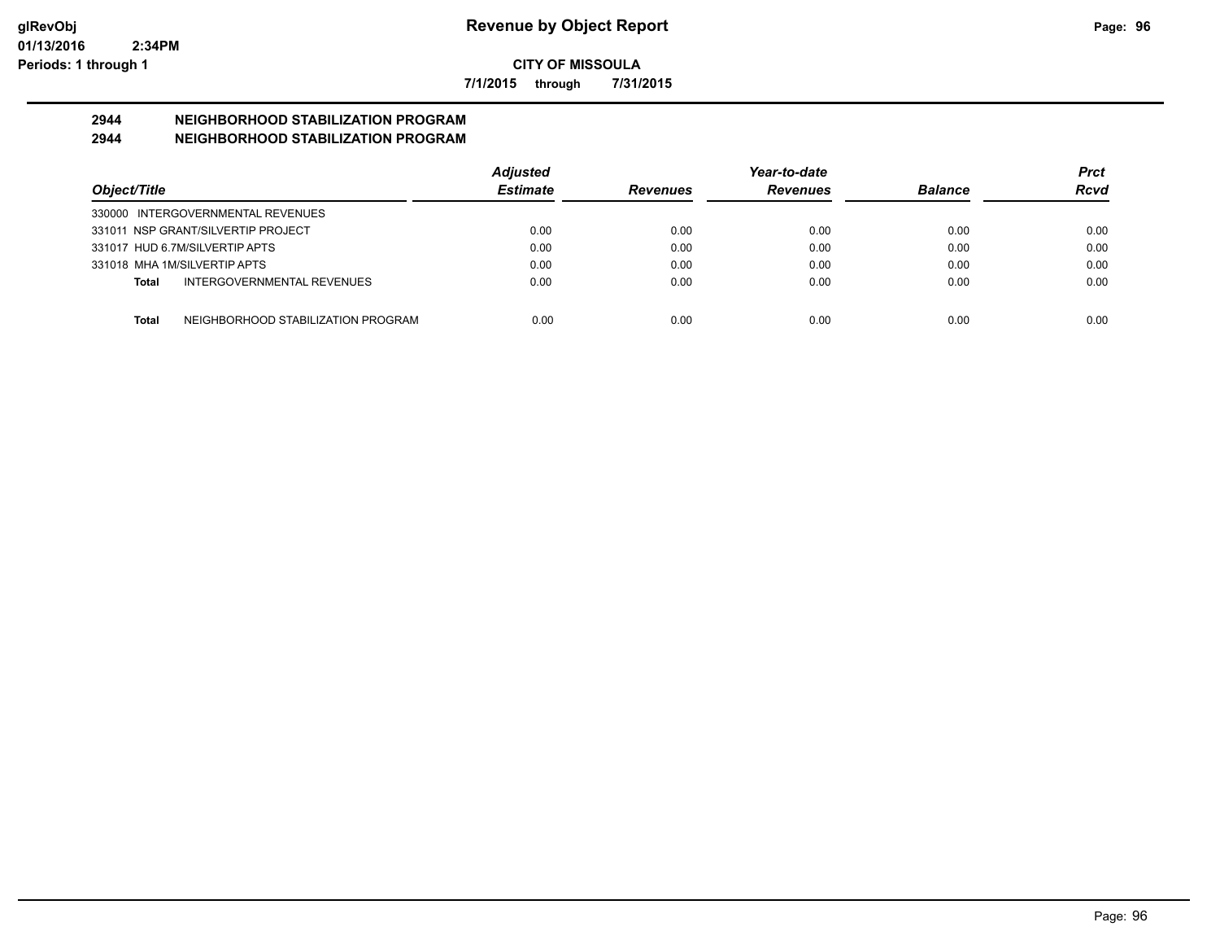**7/1/2015 through 7/31/2015**

# **2944 NEIGHBORHOOD STABILIZATION PROGRAM**

# **2944 NEIGHBORHOOD STABILIZATION PROGRAM**

|                                                    | <b>Adjusted</b> |                 | Year-to-date    |                | Prct |
|----------------------------------------------------|-----------------|-----------------|-----------------|----------------|------|
| Object/Title                                       | <b>Estimate</b> | <b>Revenues</b> | <b>Revenues</b> | <b>Balance</b> | Rcvd |
| 330000 INTERGOVERNMENTAL REVENUES                  |                 |                 |                 |                |      |
| 331011 NSP GRANT/SILVERTIP PROJECT                 | 0.00            | 0.00            | 0.00            | 0.00           | 0.00 |
| 331017 HUD 6.7M/SILVERTIP APTS                     | 0.00            | 0.00            | 0.00            | 0.00           | 0.00 |
| 331018 MHA 1M/SILVERTIP APTS                       | 0.00            | 0.00            | 0.00            | 0.00           | 0.00 |
| INTERGOVERNMENTAL REVENUES<br>Total                | 0.00            | 0.00            | 0.00            | 0.00           | 0.00 |
| NEIGHBORHOOD STABILIZATION PROGRAM<br><b>Total</b> | 0.00            | 0.00            | 0.00            | 0.00           | 0.00 |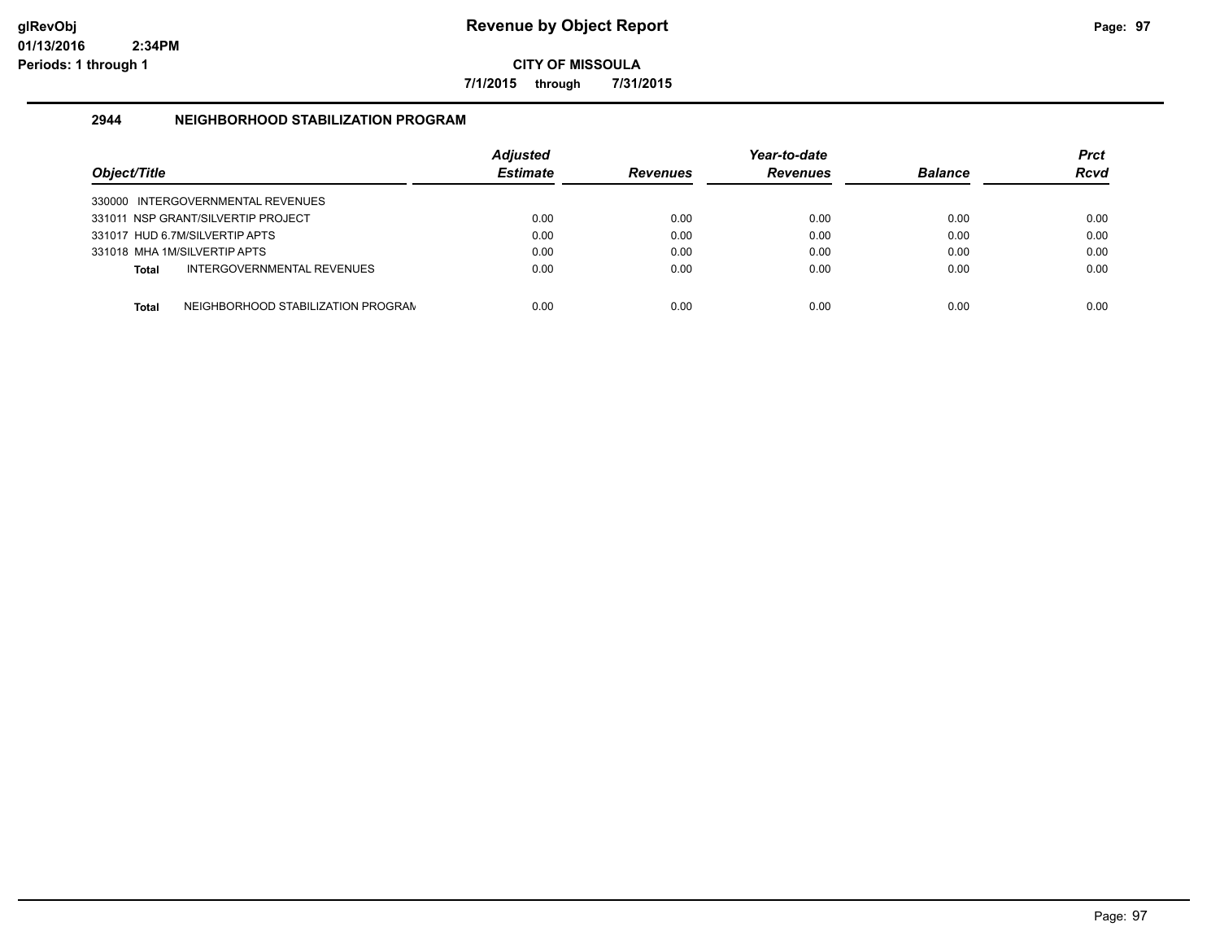**7/1/2015 through 7/31/2015**

## **2944 NEIGHBORHOOD STABILIZATION PROGRAM**

| Object/Title                                | <b>Adiusted</b><br><b>Estimate</b> | <b>Revenues</b> | Year-to-date<br><b>Revenues</b> | <b>Balance</b> | <b>Prct</b><br><b>Rcvd</b> |
|---------------------------------------------|------------------------------------|-----------------|---------------------------------|----------------|----------------------------|
| 330000 INTERGOVERNMENTAL REVENUES           |                                    |                 |                                 |                |                            |
| 331011 NSP GRANT/SILVERTIP PROJECT          | 0.00                               | 0.00            | 0.00                            | 0.00           | 0.00                       |
| 331017 HUD 6.7M/SILVERTIP APTS              | 0.00                               | 0.00            | 0.00                            | 0.00           | 0.00                       |
| 331018 MHA 1M/SILVERTIP APTS                | 0.00                               | 0.00            | 0.00                            | 0.00           | 0.00                       |
| INTERGOVERNMENTAL REVENUES<br>Total         | 0.00                               | 0.00            | 0.00                            | 0.00           | 0.00                       |
|                                             |                                    |                 |                                 |                |                            |
| NEIGHBORHOOD STABILIZATION PROGRAM<br>Total | 0.00                               | 0.00            | 0.00                            | 0.00           | 0.00                       |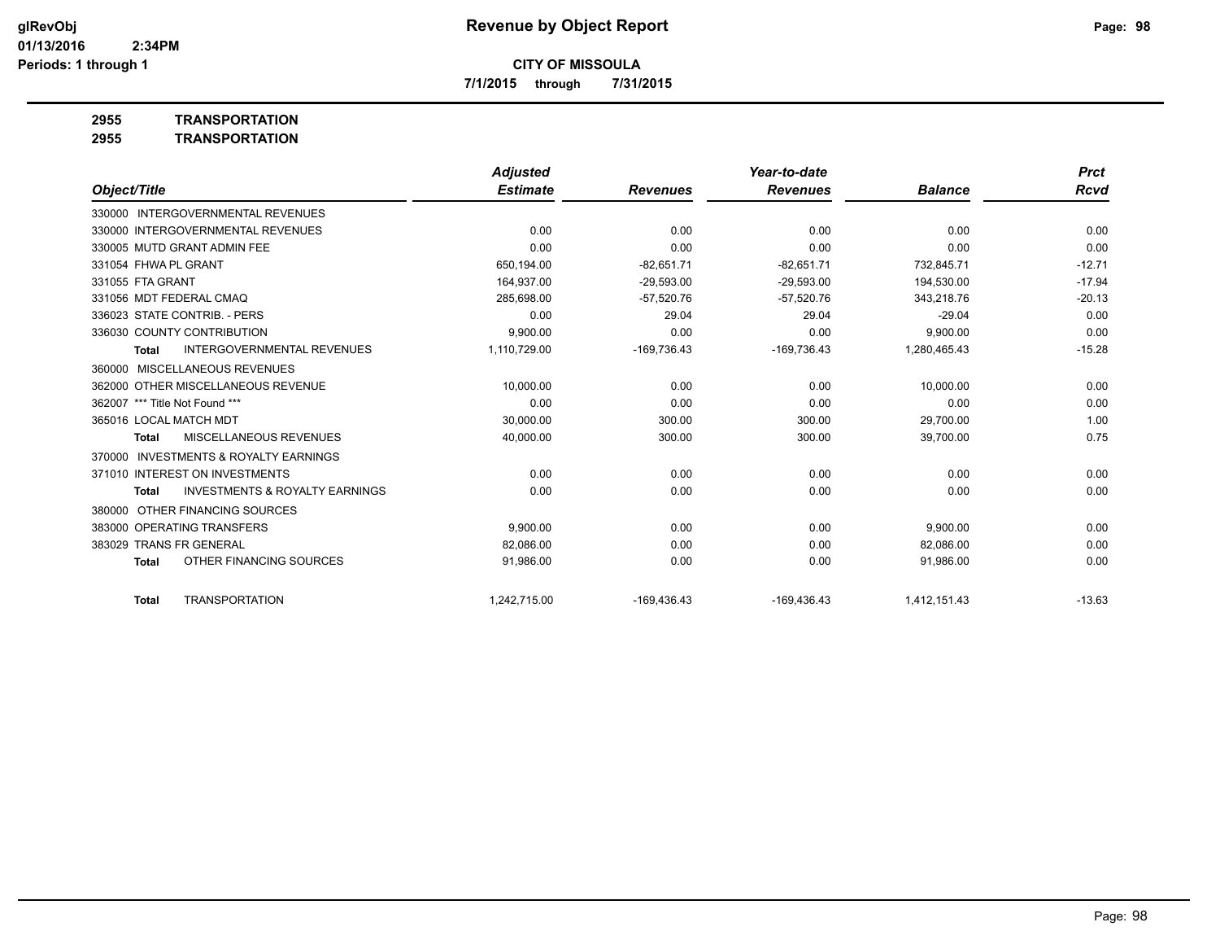**7/1/2015 through 7/31/2015**

**2955 TRANSPORTATION**

| <b>TRANSPORTATION</b><br>2955 |
|-------------------------------|
|-------------------------------|

|                                                           | <b>Adjusted</b> |                 | Year-to-date    |                | <b>Prct</b> |
|-----------------------------------------------------------|-----------------|-----------------|-----------------|----------------|-------------|
| Object/Title                                              | <b>Estimate</b> | <b>Revenues</b> | <b>Revenues</b> | <b>Balance</b> | <b>Rcvd</b> |
| 330000 INTERGOVERNMENTAL REVENUES                         |                 |                 |                 |                |             |
| 330000 INTERGOVERNMENTAL REVENUES                         | 0.00            | 0.00            | 0.00            | 0.00           | 0.00        |
| 330005 MUTD GRANT ADMIN FEE                               | 0.00            | 0.00            | 0.00            | 0.00           | 0.00        |
| 331054 FHWA PL GRANT                                      | 650,194.00      | $-82,651.71$    | $-82,651.71$    | 732,845.71     | $-12.71$    |
| 331055 FTA GRANT                                          | 164,937.00      | $-29,593.00$    | $-29,593.00$    | 194,530.00     | $-17.94$    |
| 331056 MDT FEDERAL CMAO                                   | 285,698.00      | $-57,520.76$    | $-57,520.76$    | 343,218.76     | $-20.13$    |
| 336023 STATE CONTRIB. - PERS                              | 0.00            | 29.04           | 29.04           | $-29.04$       | 0.00        |
| 336030 COUNTY CONTRIBUTION                                | 9,900.00        | 0.00            | 0.00            | 9,900.00       | 0.00        |
| <b>INTERGOVERNMENTAL REVENUES</b><br><b>Total</b>         | 1,110,729.00    | $-169,736.43$   | $-169,736.43$   | 1,280,465.43   | $-15.28$    |
| MISCELLANEOUS REVENUES<br>360000                          |                 |                 |                 |                |             |
| 362000 OTHER MISCELLANEOUS REVENUE                        | 10,000.00       | 0.00            | 0.00            | 10,000.00      | 0.00        |
| 362007 *** Title Not Found ***                            | 0.00            | 0.00            | 0.00            | 0.00           | 0.00        |
| 365016 LOCAL MATCH MDT                                    | 30,000.00       | 300.00          | 300.00          | 29,700.00      | 1.00        |
| MISCELLANEOUS REVENUES<br><b>Total</b>                    | 40,000.00       | 300.00          | 300.00          | 39,700.00      | 0.75        |
| <b>INVESTMENTS &amp; ROYALTY EARNINGS</b><br>370000       |                 |                 |                 |                |             |
| 371010 INTEREST ON INVESTMENTS                            | 0.00            | 0.00            | 0.00            | 0.00           | 0.00        |
| <b>INVESTMENTS &amp; ROYALTY EARNINGS</b><br><b>Total</b> | 0.00            | 0.00            | 0.00            | 0.00           | 0.00        |
| OTHER FINANCING SOURCES<br>380000                         |                 |                 |                 |                |             |
| 383000 OPERATING TRANSFERS                                | 9.900.00        | 0.00            | 0.00            | 9,900.00       | 0.00        |
| 383029 TRANS FR GENERAL                                   | 82,086.00       | 0.00            | 0.00            | 82,086.00      | 0.00        |
| OTHER FINANCING SOURCES<br><b>Total</b>                   | 91,986.00       | 0.00            | 0.00            | 91,986.00      | 0.00        |
| <b>TRANSPORTATION</b><br><b>Total</b>                     | 1,242,715.00    | $-169,436.43$   | $-169.436.43$   | 1,412,151.43   | $-13.63$    |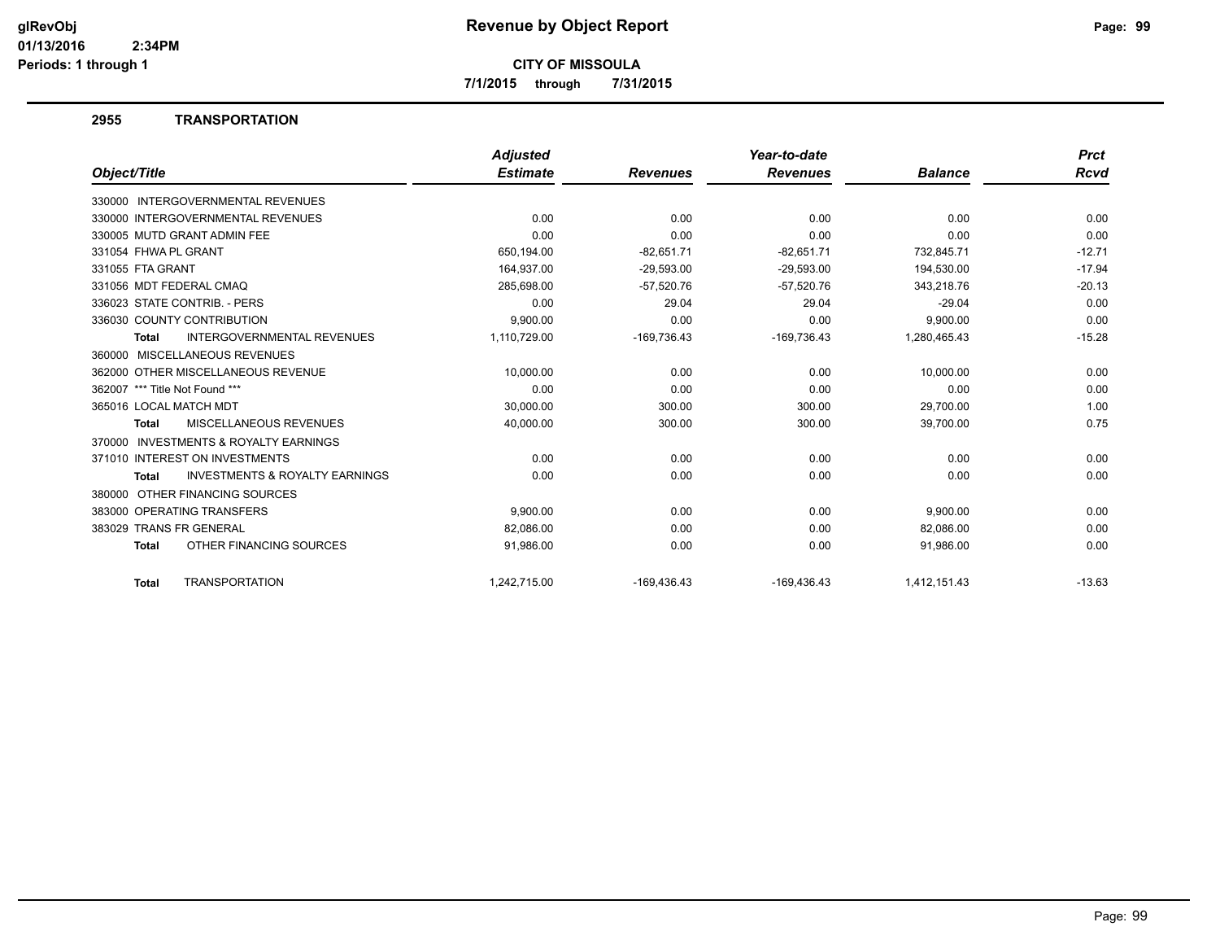**7/1/2015 through 7/31/2015**

#### **2955 TRANSPORTATION**

|                                                           | <b>Adjusted</b> |                 | Year-to-date    |                | <b>Prct</b> |
|-----------------------------------------------------------|-----------------|-----------------|-----------------|----------------|-------------|
| Object/Title                                              | <b>Estimate</b> | <b>Revenues</b> | <b>Revenues</b> | <b>Balance</b> | Rcvd        |
| 330000 INTERGOVERNMENTAL REVENUES                         |                 |                 |                 |                |             |
| 330000 INTERGOVERNMENTAL REVENUES                         | 0.00            | 0.00            | 0.00            | 0.00           | 0.00        |
| 330005 MUTD GRANT ADMIN FEE                               | 0.00            | 0.00            | 0.00            | 0.00           | 0.00        |
| 331054 FHWA PL GRANT                                      | 650,194.00      | $-82,651.71$    | $-82,651.71$    | 732,845.71     | $-12.71$    |
| 331055 FTA GRANT                                          | 164,937.00      | $-29,593.00$    | $-29,593.00$    | 194,530.00     | $-17.94$    |
| 331056 MDT FEDERAL CMAQ                                   | 285,698.00      | $-57,520.76$    | $-57,520.76$    | 343,218.76     | $-20.13$    |
| 336023 STATE CONTRIB. - PERS                              | 0.00            | 29.04           | 29.04           | $-29.04$       | 0.00        |
| 336030 COUNTY CONTRIBUTION                                | 9,900.00        | 0.00            | 0.00            | 9,900.00       | 0.00        |
| <b>INTERGOVERNMENTAL REVENUES</b><br><b>Total</b>         | 1,110,729.00    | $-169,736.43$   | $-169,736.43$   | 1,280,465.43   | $-15.28$    |
| 360000 MISCELLANEOUS REVENUES                             |                 |                 |                 |                |             |
| 362000 OTHER MISCELLANEOUS REVENUE                        | 10.000.00       | 0.00            | 0.00            | 10.000.00      | 0.00        |
| 362007 *** Title Not Found ***                            | 0.00            | 0.00            | 0.00            | 0.00           | 0.00        |
| 365016 LOCAL MATCH MDT                                    | 30,000.00       | 300.00          | 300.00          | 29,700.00      | 1.00        |
| MISCELLANEOUS REVENUES<br><b>Total</b>                    | 40,000.00       | 300.00          | 300.00          | 39,700.00      | 0.75        |
| <b>INVESTMENTS &amp; ROYALTY EARNINGS</b><br>370000       |                 |                 |                 |                |             |
| 371010 INTEREST ON INVESTMENTS                            | 0.00            | 0.00            | 0.00            | 0.00           | 0.00        |
| <b>INVESTMENTS &amp; ROYALTY EARNINGS</b><br><b>Total</b> | 0.00            | 0.00            | 0.00            | 0.00           | 0.00        |
| 380000 OTHER FINANCING SOURCES                            |                 |                 |                 |                |             |
| 383000 OPERATING TRANSFERS                                | 9,900.00        | 0.00            | 0.00            | 9,900.00       | 0.00        |
| 383029 TRANS FR GENERAL                                   | 82,086.00       | 0.00            | 0.00            | 82,086.00      | 0.00        |
| OTHER FINANCING SOURCES<br><b>Total</b>                   | 91,986.00       | 0.00            | 0.00            | 91,986.00      | 0.00        |
| <b>TRANSPORTATION</b><br><b>Total</b>                     | 1.242.715.00    | $-169.436.43$   | $-169.436.43$   | 1.412.151.43   | $-13.63$    |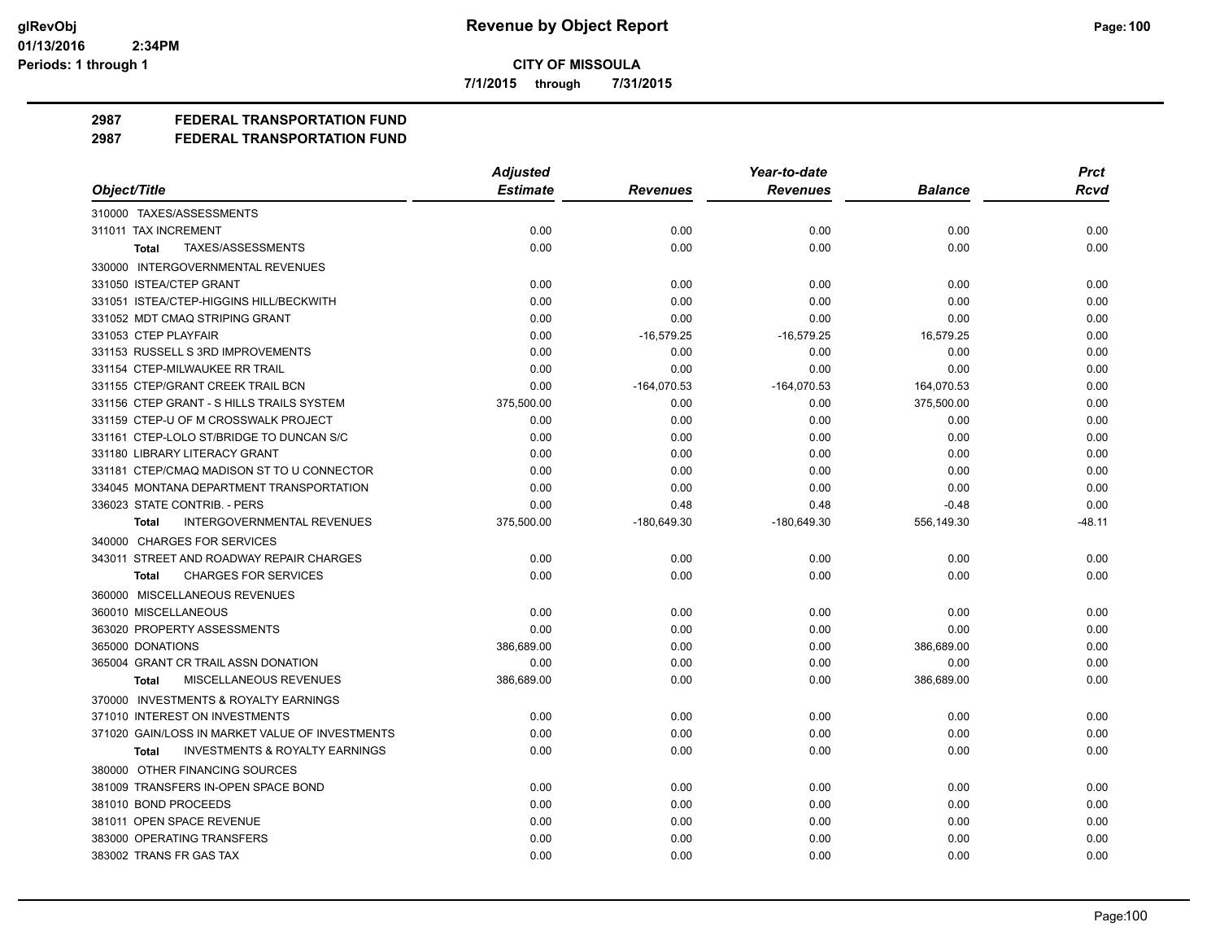**7/1/2015 through 7/31/2015**

## **2987 FEDERAL TRANSPORTATION FUND**

|                                                           | <b>Adjusted</b> |                 | Year-to-date    |                | <b>Prct</b> |
|-----------------------------------------------------------|-----------------|-----------------|-----------------|----------------|-------------|
| Object/Title                                              | <b>Estimate</b> | <b>Revenues</b> | <b>Revenues</b> | <b>Balance</b> | <b>Rcvd</b> |
| 310000 TAXES/ASSESSMENTS                                  |                 |                 |                 |                |             |
| 311011 TAX INCREMENT                                      | 0.00            | 0.00            | 0.00            | 0.00           | 0.00        |
| TAXES/ASSESSMENTS<br>Total                                | 0.00            | 0.00            | 0.00            | 0.00           | 0.00        |
| 330000 INTERGOVERNMENTAL REVENUES                         |                 |                 |                 |                |             |
| 331050 ISTEA/CTEP GRANT                                   | 0.00            | 0.00            | 0.00            | 0.00           | 0.00        |
| 331051 ISTEA/CTEP-HIGGINS HILL/BECKWITH                   | 0.00            | 0.00            | 0.00            | 0.00           | 0.00        |
| 331052 MDT CMAQ STRIPING GRANT                            | 0.00            | 0.00            | 0.00            | 0.00           | 0.00        |
| 331053 CTEP PLAYFAIR                                      | 0.00            | $-16,579.25$    | $-16,579.25$    | 16,579.25      | 0.00        |
| 331153 RUSSELL S 3RD IMPROVEMENTS                         | 0.00            | 0.00            | 0.00            | 0.00           | 0.00        |
| 331154 CTEP-MILWAUKEE RR TRAIL                            | 0.00            | 0.00            | 0.00            | 0.00           | 0.00        |
| 331155 CTEP/GRANT CREEK TRAIL BCN                         | 0.00            | $-164,070.53$   | $-164,070.53$   | 164,070.53     | 0.00        |
| 331156 CTEP GRANT - S HILLS TRAILS SYSTEM                 | 375,500.00      | 0.00            | 0.00            | 375,500.00     | 0.00        |
| 331159 CTEP-U OF M CROSSWALK PROJECT                      | 0.00            | 0.00            | 0.00            | 0.00           | 0.00        |
| 331161 CTEP-LOLO ST/BRIDGE TO DUNCAN S/C                  | 0.00            | 0.00            | 0.00            | 0.00           | 0.00        |
| 331180 LIBRARY LITERACY GRANT                             | 0.00            | 0.00            | 0.00            | 0.00           | 0.00        |
| 331181 CTEP/CMAQ MADISON ST TO U CONNECTOR                | 0.00            | 0.00            | 0.00            | 0.00           | 0.00        |
| 334045 MONTANA DEPARTMENT TRANSPORTATION                  | 0.00            | 0.00            | 0.00            | 0.00           | 0.00        |
| 336023 STATE CONTRIB. - PERS                              | 0.00            | 0.48            | 0.48            | $-0.48$        | 0.00        |
| <b>INTERGOVERNMENTAL REVENUES</b><br>Total                | 375,500.00      | -180,649.30     | -180,649.30     | 556,149.30     | -48.11      |
| 340000 CHARGES FOR SERVICES                               |                 |                 |                 |                |             |
| 343011 STREET AND ROADWAY REPAIR CHARGES                  | 0.00            | 0.00            | 0.00            | 0.00           | 0.00        |
| <b>CHARGES FOR SERVICES</b><br><b>Total</b>               | 0.00            | 0.00            | 0.00            | 0.00           | 0.00        |
| 360000 MISCELLANEOUS REVENUES                             |                 |                 |                 |                |             |
| 360010 MISCELLANEOUS                                      | 0.00            | 0.00            | 0.00            | 0.00           | 0.00        |
| 363020 PROPERTY ASSESSMENTS                               | 0.00            | 0.00            | 0.00            | 0.00           | 0.00        |
| 365000 DONATIONS                                          | 386,689.00      | 0.00            | 0.00            | 386,689.00     | 0.00        |
| 365004 GRANT CR TRAIL ASSN DONATION                       | 0.00            | 0.00            | 0.00            | 0.00           | 0.00        |
| MISCELLANEOUS REVENUES<br>Total                           | 386.689.00      | 0.00            | 0.00            | 386.689.00     | 0.00        |
| 370000 INVESTMENTS & ROYALTY EARNINGS                     |                 |                 |                 |                |             |
| 371010 INTEREST ON INVESTMENTS                            | 0.00            | 0.00            | 0.00            | 0.00           | 0.00        |
| 371020 GAIN/LOSS IN MARKET VALUE OF INVESTMENTS           | 0.00            | 0.00            | 0.00            | 0.00           | 0.00        |
| <b>INVESTMENTS &amp; ROYALTY EARNINGS</b><br><b>Total</b> | 0.00            | 0.00            | 0.00            | 0.00           | 0.00        |
| 380000 OTHER FINANCING SOURCES                            |                 |                 |                 |                |             |
| 381009 TRANSFERS IN-OPEN SPACE BOND                       | 0.00            | 0.00            | 0.00            | 0.00           | 0.00        |
| 381010 BOND PROCEEDS                                      | 0.00            | 0.00            | 0.00            | 0.00           | 0.00        |
| 381011 OPEN SPACE REVENUE                                 | 0.00            | 0.00            | 0.00            | 0.00           | 0.00        |
| 383000 OPERATING TRANSFERS                                | 0.00            | 0.00            | 0.00            | 0.00           | 0.00        |
| 383002 TRANS FR GAS TAX                                   | 0.00            | 0.00            | 0.00            | 0.00           | 0.00        |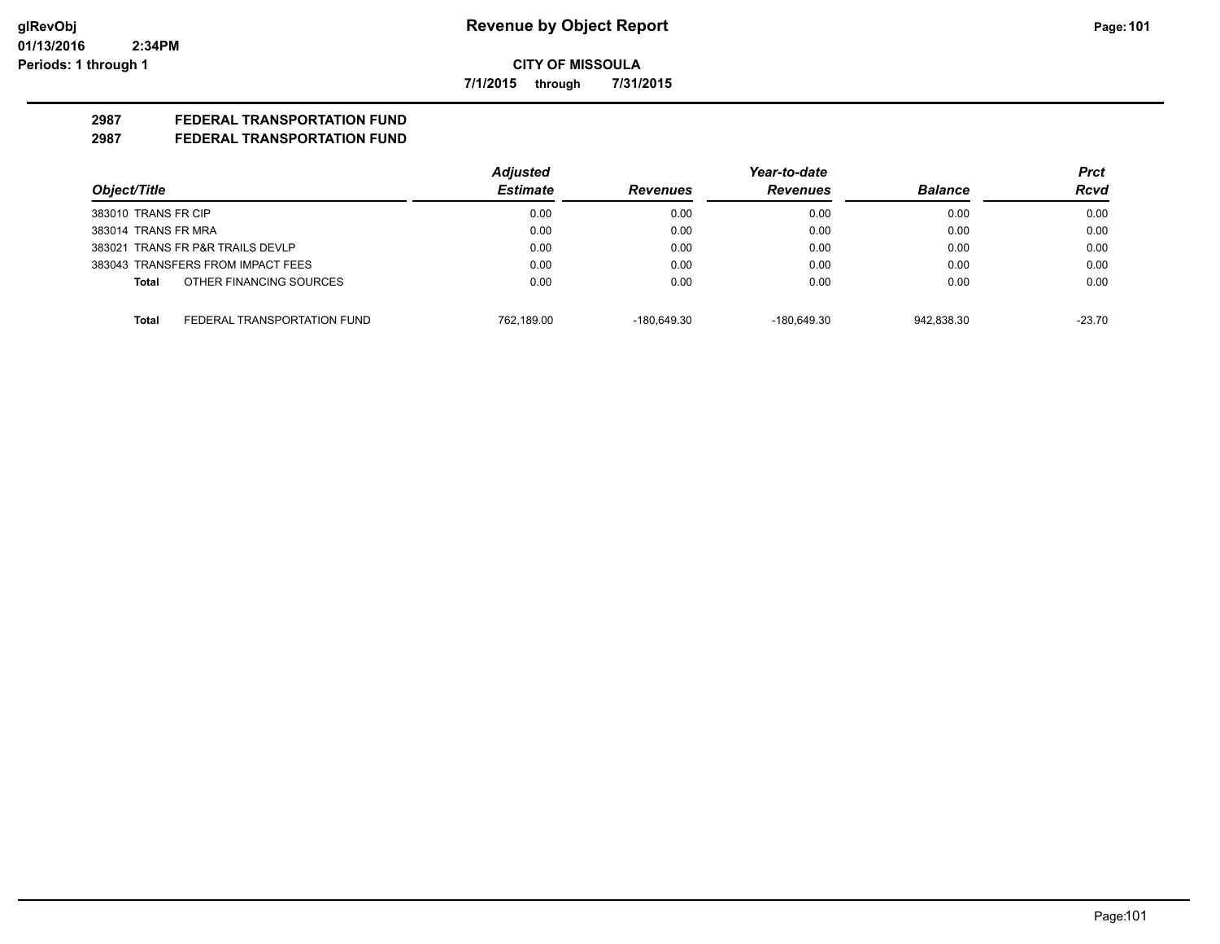**7/1/2015 through 7/31/2015**

# **2987 FEDERAL TRANSPORTATION FUND**

|                                             | <b>Adjusted</b> |                 | Year-to-date    |                | Prct     |
|---------------------------------------------|-----------------|-----------------|-----------------|----------------|----------|
| Object/Title                                | <b>Estimate</b> | <b>Revenues</b> | <b>Revenues</b> | <b>Balance</b> | Rcvd     |
| 383010 TRANS FR CIP                         | 0.00            | 0.00            | 0.00            | 0.00           | 0.00     |
| 383014 TRANS FR MRA                         | 0.00            | 0.00            | 0.00            | 0.00           | 0.00     |
| 383021 TRANS FR P&R TRAILS DEVLP            | 0.00            | 0.00            | 0.00            | 0.00           | 0.00     |
| 383043 TRANSFERS FROM IMPACT FEES           | 0.00            | 0.00            | 0.00            | 0.00           | 0.00     |
| OTHER FINANCING SOURCES<br>Total            | 0.00            | 0.00            | 0.00            | 0.00           | 0.00     |
| FEDERAL TRANSPORTATION FUND<br><b>Total</b> | 762.189.00      | $-180.649.30$   | $-180.649.30$   | 942.838.30     | $-23.70$ |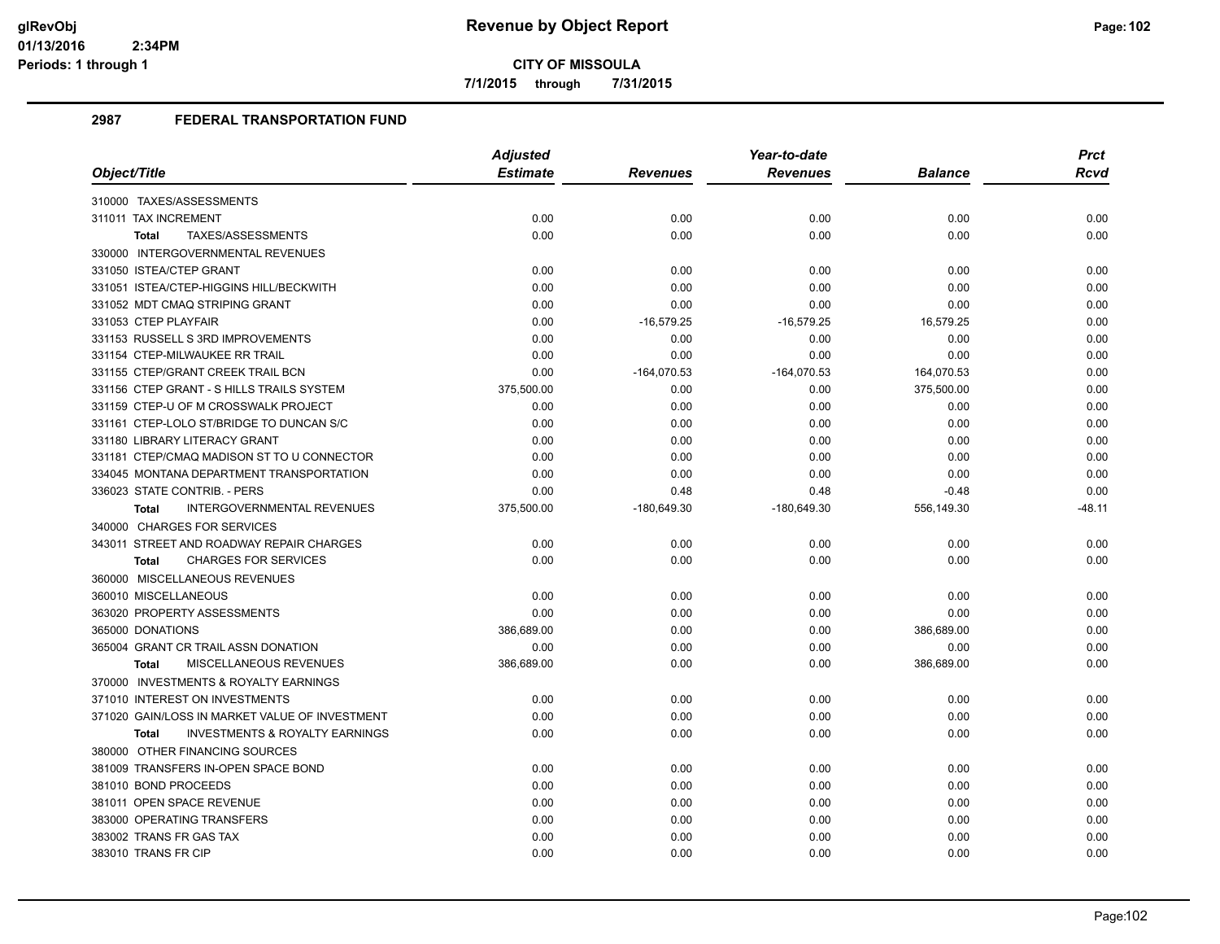**7/1/2015 through 7/31/2015**

|                                                           | <b>Adjusted</b> |                 | Year-to-date    |            | <b>Prct</b> |
|-----------------------------------------------------------|-----------------|-----------------|-----------------|------------|-------------|
| Object/Title                                              | <b>Estimate</b> | <b>Revenues</b> | <b>Revenues</b> | Balance    | Rcvd        |
| 310000 TAXES/ASSESSMENTS                                  |                 |                 |                 |            |             |
| 311011 TAX INCREMENT                                      | 0.00            | 0.00            | 0.00            | 0.00       | 0.00        |
| TAXES/ASSESSMENTS<br><b>Total</b>                         | 0.00            | 0.00            | 0.00            | 0.00       | 0.00        |
| 330000 INTERGOVERNMENTAL REVENUES                         |                 |                 |                 |            |             |
| 331050 ISTEA/CTEP GRANT                                   | 0.00            | 0.00            | 0.00            | 0.00       | 0.00        |
| 331051 ISTEA/CTEP-HIGGINS HILL/BECKWITH                   | 0.00            | 0.00            | 0.00            | 0.00       | 0.00        |
| 331052 MDT CMAQ STRIPING GRANT                            | 0.00            | 0.00            | 0.00            | 0.00       | 0.00        |
| 331053 CTEP PLAYFAIR                                      | 0.00            | $-16,579.25$    | $-16,579.25$    | 16,579.25  | 0.00        |
| 331153 RUSSELL S 3RD IMPROVEMENTS                         | 0.00            | 0.00            | 0.00            | 0.00       | 0.00        |
| 331154 CTEP-MILWAUKEE RR TRAIL                            | 0.00            | 0.00            | 0.00            | 0.00       | 0.00        |
| 331155 CTEP/GRANT CREEK TRAIL BCN                         | 0.00            | $-164,070.53$   | $-164,070.53$   | 164,070.53 | 0.00        |
| 331156 CTEP GRANT - S HILLS TRAILS SYSTEM                 | 375,500.00      | 0.00            | 0.00            | 375,500.00 | 0.00        |
| 331159 CTEP-U OF M CROSSWALK PROJECT                      | 0.00            | 0.00            | 0.00            | 0.00       | 0.00        |
| 331161 CTEP-LOLO ST/BRIDGE TO DUNCAN S/C                  | 0.00            | 0.00            | 0.00            | 0.00       | 0.00        |
| 331180 LIBRARY LITERACY GRANT                             | 0.00            | 0.00            | 0.00            | 0.00       | 0.00        |
| 331181 CTEP/CMAQ MADISON ST TO U CONNECTOR                | 0.00            | 0.00            | 0.00            | 0.00       | 0.00        |
| 334045 MONTANA DEPARTMENT TRANSPORTATION                  | 0.00            | 0.00            | 0.00            | 0.00       | 0.00        |
| 336023 STATE CONTRIB. - PERS                              | 0.00            | 0.48            | 0.48            | $-0.48$    | 0.00        |
| INTERGOVERNMENTAL REVENUES<br>Total                       | 375,500.00      | -180,649.30     | $-180,649.30$   | 556,149.30 | $-48.11$    |
| 340000 CHARGES FOR SERVICES                               |                 |                 |                 |            |             |
| 343011 STREET AND ROADWAY REPAIR CHARGES                  | 0.00            | 0.00            | 0.00            | 0.00       | 0.00        |
| <b>CHARGES FOR SERVICES</b><br><b>Total</b>               | 0.00            | 0.00            | 0.00            | 0.00       | 0.00        |
| 360000 MISCELLANEOUS REVENUES                             |                 |                 |                 |            |             |
| 360010 MISCELLANEOUS                                      | 0.00            | 0.00            | 0.00            | 0.00       | 0.00        |
| 363020 PROPERTY ASSESSMENTS                               | 0.00            | 0.00            | 0.00            | 0.00       | 0.00        |
| 365000 DONATIONS                                          | 386,689.00      | 0.00            | 0.00            | 386,689.00 | 0.00        |
| 365004 GRANT CR TRAIL ASSN DONATION                       | 0.00            | 0.00            | 0.00            | 0.00       | 0.00        |
| <b>MISCELLANEOUS REVENUES</b><br><b>Total</b>             | 386,689.00      | 0.00            | 0.00            | 386,689.00 | 0.00        |
| 370000 INVESTMENTS & ROYALTY EARNINGS                     |                 |                 |                 |            |             |
| 371010 INTEREST ON INVESTMENTS                            | 0.00            | 0.00            | 0.00            | 0.00       | 0.00        |
| 371020 GAIN/LOSS IN MARKET VALUE OF INVESTMENT            | 0.00            | 0.00            | 0.00            | 0.00       | 0.00        |
| <b>INVESTMENTS &amp; ROYALTY EARNINGS</b><br><b>Total</b> | 0.00            | 0.00            | 0.00            | 0.00       | 0.00        |
| 380000 OTHER FINANCING SOURCES                            |                 |                 |                 |            |             |
| 381009 TRANSFERS IN-OPEN SPACE BOND                       | 0.00            | 0.00            | 0.00            | 0.00       | 0.00        |
| 381010 BOND PROCEEDS                                      | 0.00            | 0.00            | 0.00            | 0.00       | 0.00        |
| 381011 OPEN SPACE REVENUE                                 | 0.00            | 0.00            | 0.00            | 0.00       | 0.00        |
| 383000 OPERATING TRANSFERS                                | 0.00            | 0.00            | 0.00            | 0.00       | 0.00        |
| 383002 TRANS FR GAS TAX                                   | 0.00            | 0.00            | 0.00            | 0.00       | 0.00        |
| 383010 TRANS FR CIP                                       | 0.00            | 0.00            | 0.00            | 0.00       | 0.00        |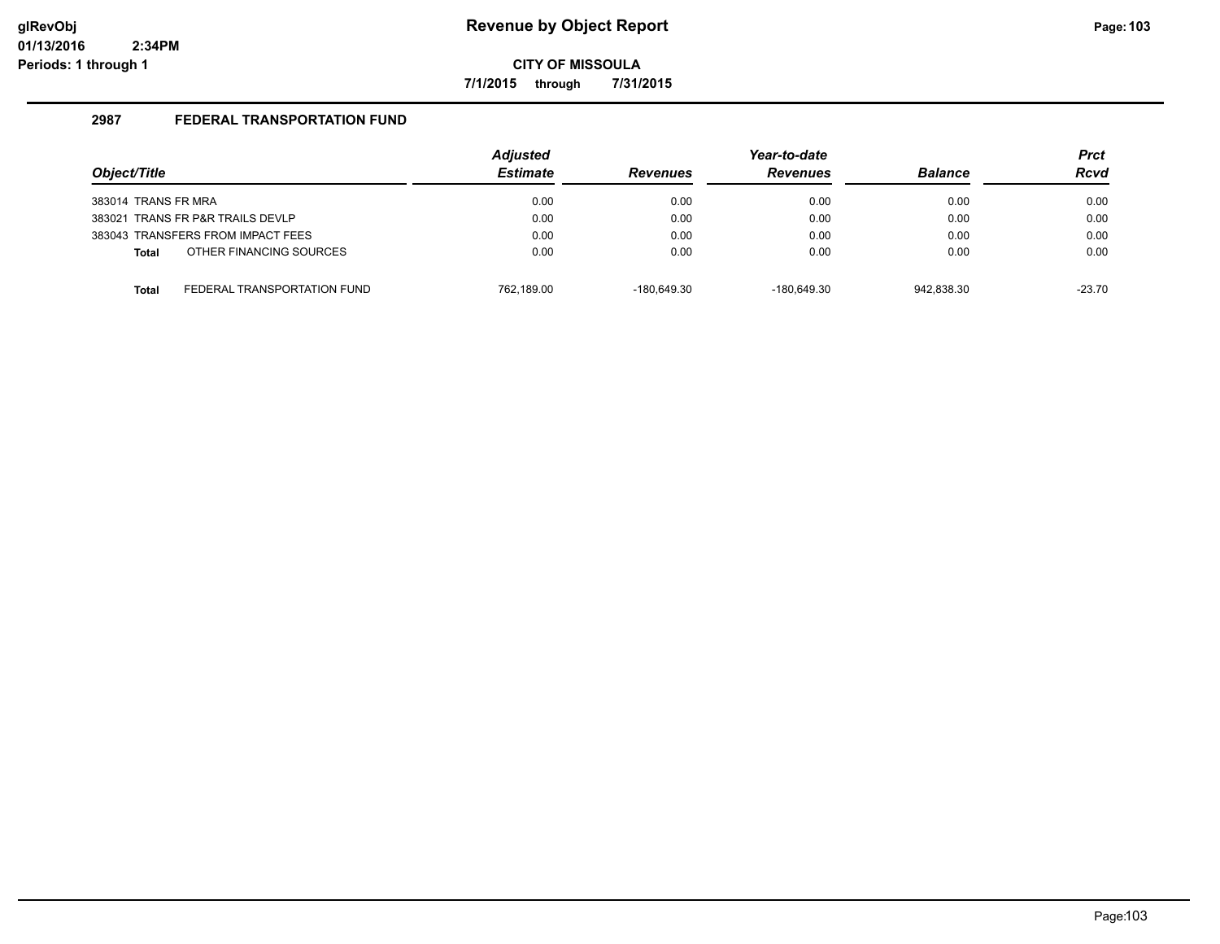**7/1/2015 through 7/31/2015**

|                     |                                   | <b>Adjusted</b> |                 | Year-to-date    |                | <b>Prct</b> |
|---------------------|-----------------------------------|-----------------|-----------------|-----------------|----------------|-------------|
| Object/Title        |                                   | <b>Estimate</b> | <b>Revenues</b> | <b>Revenues</b> | <b>Balance</b> | <b>Rcvd</b> |
| 383014 TRANS FR MRA |                                   | 0.00            | 0.00            | 0.00            | 0.00           | 0.00        |
|                     | 383021 TRANS FR P&R TRAILS DEVLP  | 0.00            | 0.00            | 0.00            | 0.00           | 0.00        |
|                     | 383043 TRANSFERS FROM IMPACT FEES | 0.00            | 0.00            | 0.00            | 0.00           | 0.00        |
| <b>Total</b>        | OTHER FINANCING SOURCES           | 0.00            | 0.00            | 0.00            | 0.00           | 0.00        |
| <b>Total</b>        | FEDERAL TRANSPORTATION FUND       | 762.189.00      | -180.649.30     | -180.649.30     | 942.838.30     | $-23.70$    |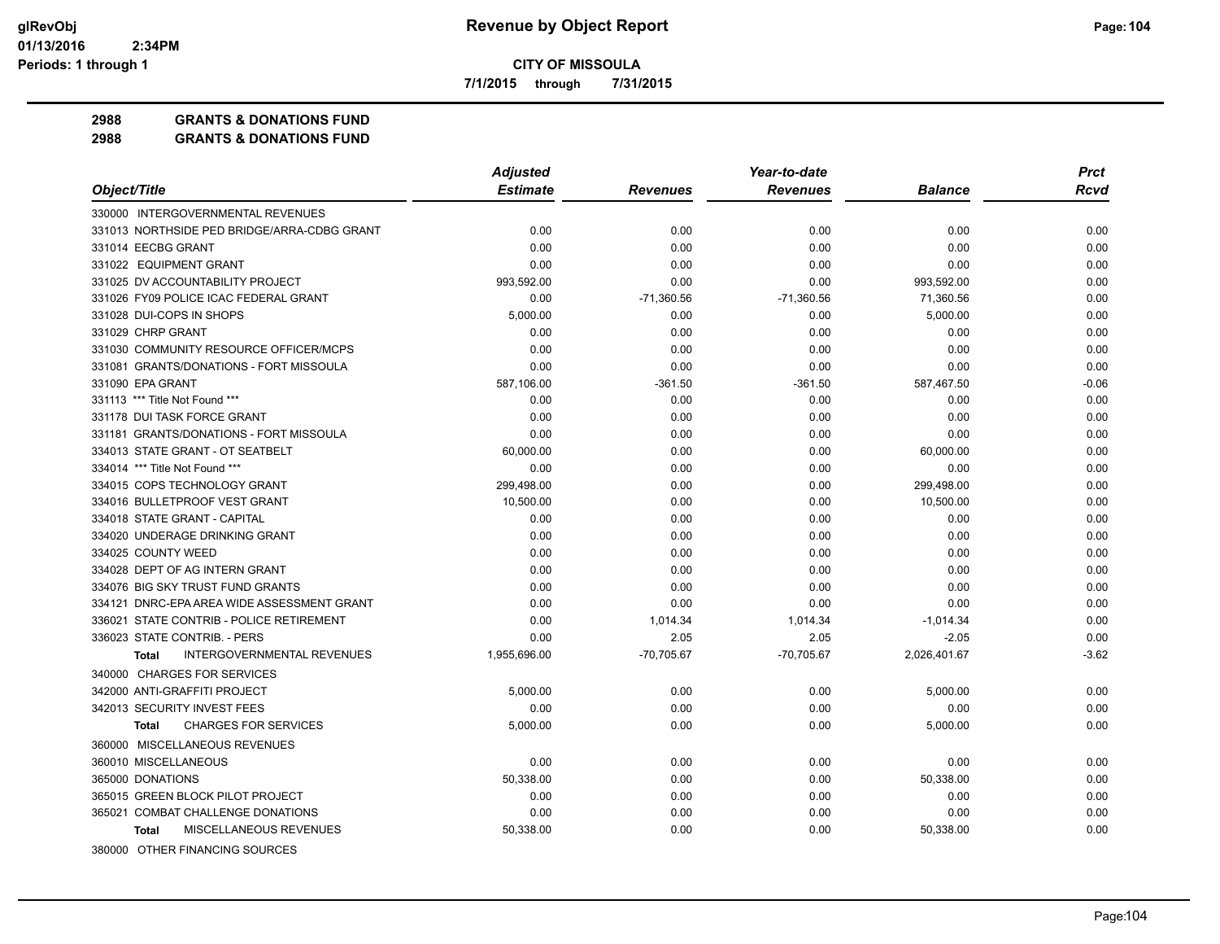**7/1/2015 through 7/31/2015**

## **2988 GRANTS & DONATIONS FUND**

|                                                   | <b>Adjusted</b> | Year-to-date    |                 |                | <b>Prct</b> |
|---------------------------------------------------|-----------------|-----------------|-----------------|----------------|-------------|
| Object/Title                                      | <b>Estimate</b> | <b>Revenues</b> | <b>Revenues</b> | <b>Balance</b> | <b>Rcvd</b> |
| 330000 INTERGOVERNMENTAL REVENUES                 |                 |                 |                 |                |             |
| 331013 NORTHSIDE PED BRIDGE/ARRA-CDBG GRANT       | 0.00            | 0.00            | 0.00            | 0.00           | 0.00        |
| 331014 EECBG GRANT                                | 0.00            | 0.00            | 0.00            | 0.00           | 0.00        |
| 331022 EQUIPMENT GRANT                            | 0.00            | 0.00            | 0.00            | 0.00           | 0.00        |
| 331025 DV ACCOUNTABILITY PROJECT                  | 993,592.00      | 0.00            | 0.00            | 993,592.00     | 0.00        |
| 331026 FY09 POLICE ICAC FEDERAL GRANT             | 0.00            | $-71,360.56$    | $-71,360.56$    | 71,360.56      | 0.00        |
| 331028 DUI-COPS IN SHOPS                          | 5,000.00        | 0.00            | 0.00            | 5,000.00       | 0.00        |
| 331029 CHRP GRANT                                 | 0.00            | 0.00            | 0.00            | 0.00           | 0.00        |
| 331030 COMMUNITY RESOURCE OFFICER/MCPS            | 0.00            | 0.00            | 0.00            | 0.00           | 0.00        |
| 331081 GRANTS/DONATIONS - FORT MISSOULA           | 0.00            | 0.00            | 0.00            | 0.00           | 0.00        |
| 331090 EPA GRANT                                  | 587,106.00      | $-361.50$       | $-361.50$       | 587,467.50     | $-0.06$     |
| 331113 *** Title Not Found ***                    | 0.00            | 0.00            | 0.00            | 0.00           | 0.00        |
| 331178 DUI TASK FORCE GRANT                       | 0.00            | 0.00            | 0.00            | 0.00           | 0.00        |
| 331181 GRANTS/DONATIONS - FORT MISSOULA           | 0.00            | 0.00            | 0.00            | 0.00           | 0.00        |
| 334013 STATE GRANT - OT SEATBELT                  | 60,000.00       | 0.00            | 0.00            | 60,000.00      | 0.00        |
| 334014 *** Title Not Found ***                    | 0.00            | 0.00            | 0.00            | 0.00           | 0.00        |
| 334015 COPS TECHNOLOGY GRANT                      | 299,498.00      | 0.00            | 0.00            | 299,498.00     | 0.00        |
| 334016 BULLETPROOF VEST GRANT                     | 10,500.00       | 0.00            | 0.00            | 10,500.00      | 0.00        |
| 334018 STATE GRANT - CAPITAL                      | 0.00            | 0.00            | 0.00            | 0.00           | 0.00        |
| 334020 UNDERAGE DRINKING GRANT                    | 0.00            | 0.00            | 0.00            | 0.00           | 0.00        |
| 334025 COUNTY WEED                                | 0.00            | 0.00            | 0.00            | 0.00           | 0.00        |
| 334028 DEPT OF AG INTERN GRANT                    | 0.00            | 0.00            | 0.00            | 0.00           | 0.00        |
| 334076 BIG SKY TRUST FUND GRANTS                  | 0.00            | 0.00            | 0.00            | 0.00           | 0.00        |
| 334121 DNRC-EPA AREA WIDE ASSESSMENT GRANT        | 0.00            | 0.00            | 0.00            | 0.00           | 0.00        |
| 336021 STATE CONTRIB - POLICE RETIREMENT          | 0.00            | 1,014.34        | 1,014.34        | $-1,014.34$    | 0.00        |
| 336023 STATE CONTRIB. - PERS                      | 0.00            | 2.05            | 2.05            | $-2.05$        | 0.00        |
| <b>INTERGOVERNMENTAL REVENUES</b><br><b>Total</b> | 1,955,696.00    | $-70,705.67$    | $-70,705.67$    | 2,026,401.67   | $-3.62$     |
| 340000 CHARGES FOR SERVICES                       |                 |                 |                 |                |             |
| 342000 ANTI-GRAFFITI PROJECT                      | 5,000.00        | 0.00            | 0.00            | 5,000.00       | 0.00        |
| 342013 SECURITY INVEST FEES                       | 0.00            | 0.00            | 0.00            | 0.00           | 0.00        |
| <b>CHARGES FOR SERVICES</b><br><b>Total</b>       | 5,000.00        | 0.00            | 0.00            | 5,000.00       | 0.00        |
| 360000 MISCELLANEOUS REVENUES                     |                 |                 |                 |                |             |
| 360010 MISCELLANEOUS                              | 0.00            | 0.00            | 0.00            | 0.00           | 0.00        |
| 365000 DONATIONS                                  | 50,338.00       | 0.00            | 0.00            | 50,338.00      | 0.00        |
| 365015 GREEN BLOCK PILOT PROJECT                  | 0.00            | 0.00            | 0.00            | 0.00           | 0.00        |
| 365021 COMBAT CHALLENGE DONATIONS                 | 0.00            | 0.00            | 0.00            | 0.00           | 0.00        |
| MISCELLANEOUS REVENUES<br><b>Total</b>            | 50,338.00       | 0.00            | 0.00            | 50,338.00      | 0.00        |
| 380000 OTHER FINANCING SOURCES                    |                 |                 |                 |                |             |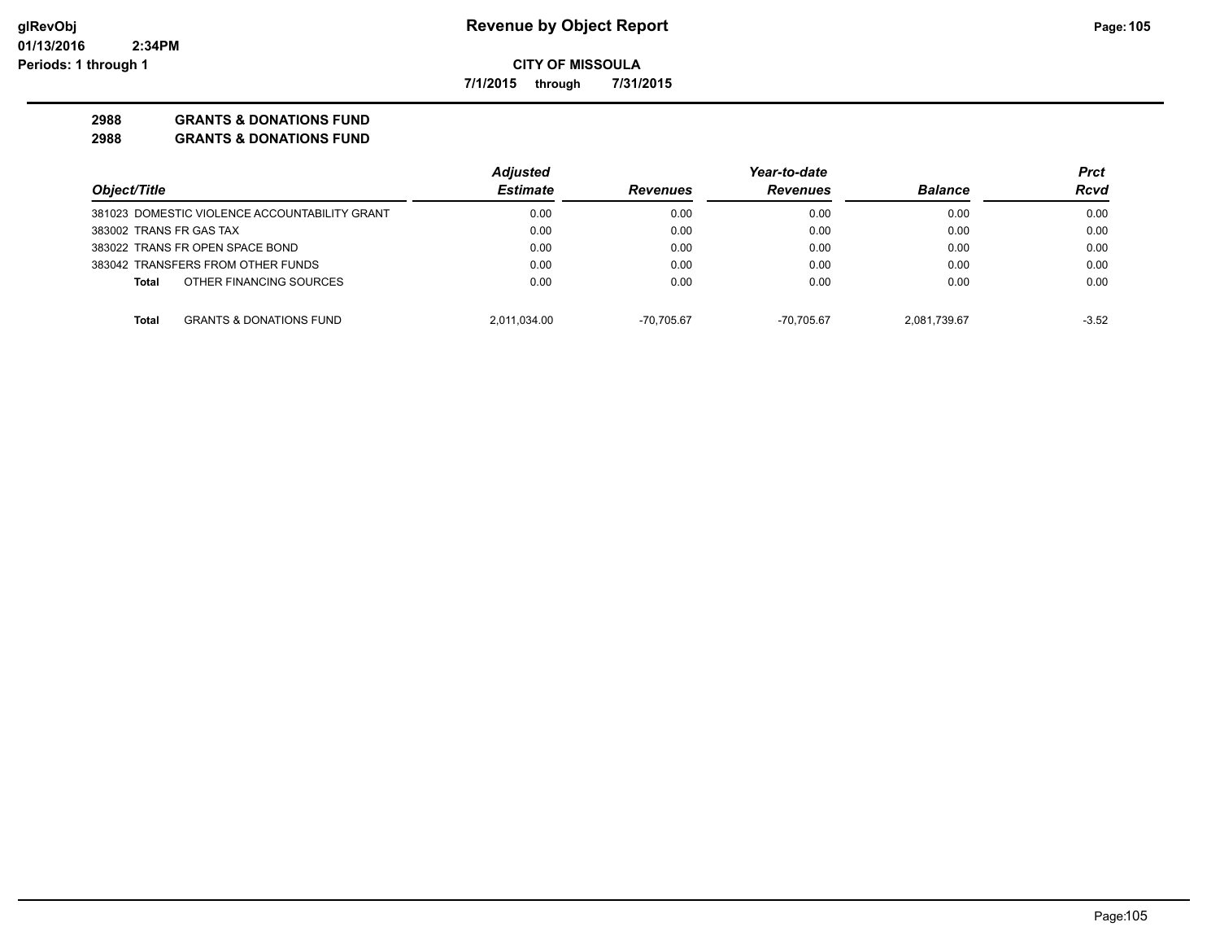**7/1/2015 through 7/31/2015**

## **2988 GRANTS & DONATIONS FUND**

|                                                    | <b>Adjusted</b> |                 | Year-to-date    |                | Prct    |
|----------------------------------------------------|-----------------|-----------------|-----------------|----------------|---------|
| Object/Title                                       | <b>Estimate</b> | <b>Revenues</b> | <b>Revenues</b> | <b>Balance</b> | Rcvd    |
| 381023 DOMESTIC VIOLENCE ACCOUNTABILITY GRANT      | 0.00            | 0.00            | 0.00            | 0.00           | 0.00    |
| 383002 TRANS FR GAS TAX                            | 0.00            | 0.00            | 0.00            | 0.00           | 0.00    |
| 383022 TRANS FR OPEN SPACE BOND                    | 0.00            | 0.00            | 0.00            | 0.00           | 0.00    |
| 383042 TRANSFERS FROM OTHER FUNDS                  | 0.00            | 0.00            | 0.00            | 0.00           | 0.00    |
| OTHER FINANCING SOURCES<br>Total                   | 0.00            | 0.00            | 0.00            | 0.00           | 0.00    |
| <b>GRANTS &amp; DONATIONS FUND</b><br><b>Total</b> | 2.011.034.00    | -70.705.67      | -70.705.67      | 2.081.739.67   | $-3.52$ |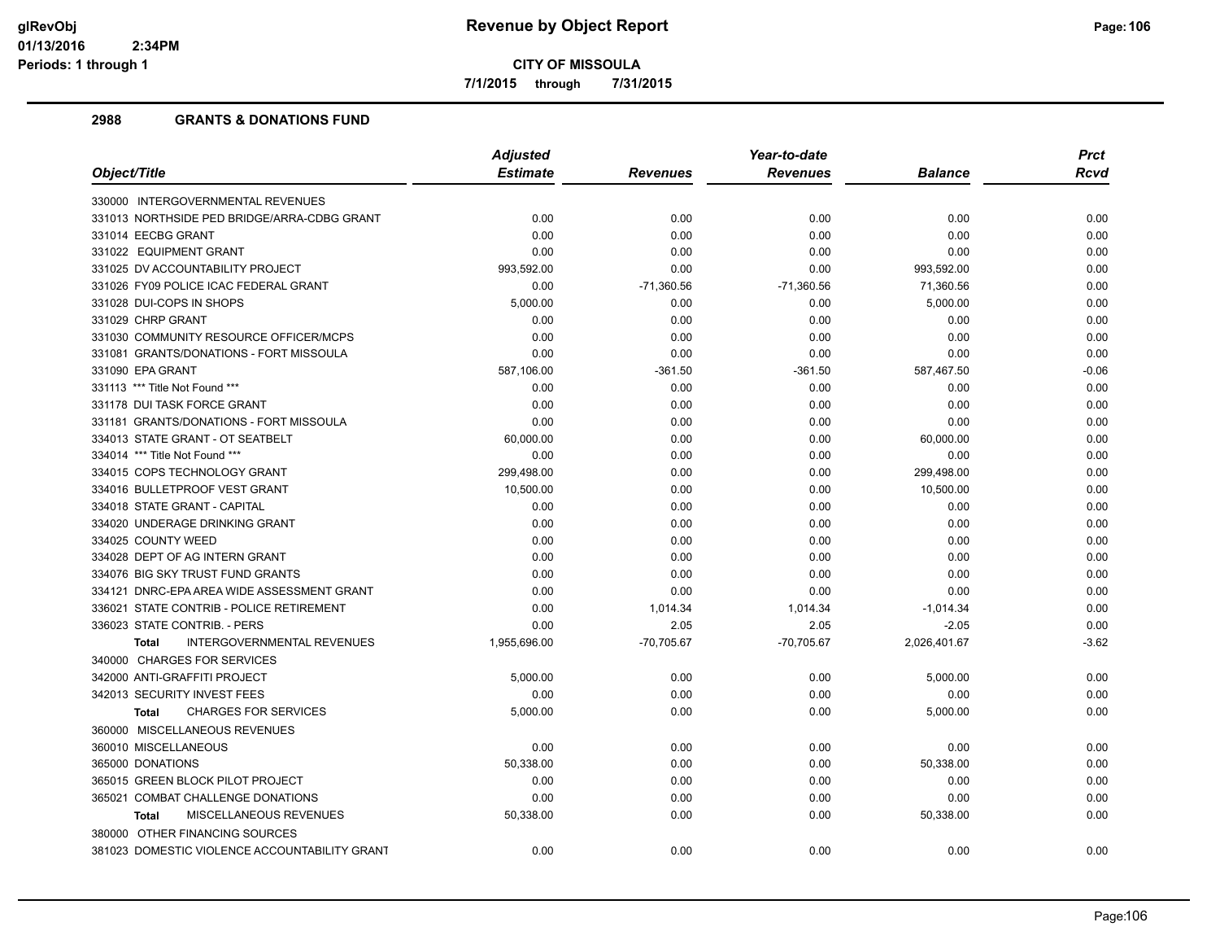**7/1/2015 through 7/31/2015**

|                                                   | <b>Adjusted</b> |              | Year-to-date    | <b>Prct</b>    |             |
|---------------------------------------------------|-----------------|--------------|-----------------|----------------|-------------|
| Object/Title                                      | <b>Estimate</b> | Revenues     | <b>Revenues</b> | <b>Balance</b> | <b>Rcvd</b> |
| 330000 INTERGOVERNMENTAL REVENUES                 |                 |              |                 |                |             |
| 331013 NORTHSIDE PED BRIDGE/ARRA-CDBG GRANT       | 0.00            | 0.00         | 0.00            | 0.00           | 0.00        |
| 331014 EECBG GRANT                                | 0.00            | 0.00         | 0.00            | 0.00           | 0.00        |
| 331022 EQUIPMENT GRANT                            | 0.00            | 0.00         | 0.00            | 0.00           | 0.00        |
| 331025 DV ACCOUNTABILITY PROJECT                  | 993,592.00      | 0.00         | 0.00            | 993,592.00     | 0.00        |
| 331026 FY09 POLICE ICAC FEDERAL GRANT             | 0.00            | $-71,360.56$ | $-71,360.56$    | 71,360.56      | 0.00        |
| 331028 DUI-COPS IN SHOPS                          | 5,000.00        | 0.00         | 0.00            | 5,000.00       | 0.00        |
| 331029 CHRP GRANT                                 | 0.00            | 0.00         | 0.00            | 0.00           | 0.00        |
| 331030 COMMUNITY RESOURCE OFFICER/MCPS            | 0.00            | 0.00         | 0.00            | 0.00           | 0.00        |
| 331081 GRANTS/DONATIONS - FORT MISSOULA           | 0.00            | 0.00         | 0.00            | 0.00           | 0.00        |
| 331090 EPA GRANT                                  | 587,106.00      | $-361.50$    | $-361.50$       | 587,467.50     | $-0.06$     |
| 331113 *** Title Not Found ***                    | 0.00            | 0.00         | 0.00            | 0.00           | 0.00        |
| 331178 DUI TASK FORCE GRANT                       | 0.00            | 0.00         | 0.00            | 0.00           | 0.00        |
| 331181 GRANTS/DONATIONS - FORT MISSOULA           | 0.00            | 0.00         | 0.00            | 0.00           | 0.00        |
| 334013 STATE GRANT - OT SEATBELT                  | 60,000.00       | 0.00         | 0.00            | 60,000.00      | 0.00        |
| 334014 *** Title Not Found ***                    | 0.00            | 0.00         | 0.00            | 0.00           | 0.00        |
| 334015 COPS TECHNOLOGY GRANT                      | 299,498.00      | 0.00         | 0.00            | 299,498.00     | 0.00        |
| 334016 BULLETPROOF VEST GRANT                     | 10,500.00       | 0.00         | 0.00            | 10,500.00      | 0.00        |
| 334018 STATE GRANT - CAPITAL                      | 0.00            | 0.00         | 0.00            | 0.00           | 0.00        |
| 334020 UNDERAGE DRINKING GRANT                    | 0.00            | 0.00         | 0.00            | 0.00           | 0.00        |
| 334025 COUNTY WEED                                | 0.00            | 0.00         | 0.00            | 0.00           | 0.00        |
| 334028 DEPT OF AG INTERN GRANT                    | 0.00            | 0.00         | 0.00            | 0.00           | 0.00        |
| 334076 BIG SKY TRUST FUND GRANTS                  | 0.00            | 0.00         | 0.00            | 0.00           | 0.00        |
| 334121 DNRC-EPA AREA WIDE ASSESSMENT GRANT        | 0.00            | 0.00         | 0.00            | 0.00           | 0.00        |
| 336021 STATE CONTRIB - POLICE RETIREMENT          | 0.00            | 1,014.34     | 1,014.34        | $-1,014.34$    | 0.00        |
| 336023 STATE CONTRIB. - PERS                      | 0.00            | 2.05         | 2.05            | $-2.05$        | 0.00        |
| <b>INTERGOVERNMENTAL REVENUES</b><br><b>Total</b> | 1,955,696.00    | $-70,705.67$ | $-70,705.67$    | 2,026,401.67   | $-3.62$     |
| 340000 CHARGES FOR SERVICES                       |                 |              |                 |                |             |
| 342000 ANTI-GRAFFITI PROJECT                      | 5,000.00        | 0.00         | 0.00            | 5,000.00       | 0.00        |
| 342013 SECURITY INVEST FEES                       | 0.00            | 0.00         | 0.00            | 0.00           | 0.00        |
| <b>CHARGES FOR SERVICES</b><br><b>Total</b>       | 5,000.00        | 0.00         | 0.00            | 5,000.00       | 0.00        |
| 360000 MISCELLANEOUS REVENUES                     |                 |              |                 |                |             |
| 360010 MISCELLANEOUS                              | 0.00            | 0.00         | 0.00            | 0.00           | 0.00        |
| 365000 DONATIONS                                  | 50,338.00       | 0.00         | 0.00            | 50,338.00      | 0.00        |
| 365015 GREEN BLOCK PILOT PROJECT                  | 0.00            | 0.00         | 0.00            | 0.00           | 0.00        |
| 365021 COMBAT CHALLENGE DONATIONS                 | 0.00            | 0.00         | 0.00            | 0.00           | 0.00        |
| MISCELLANEOUS REVENUES<br><b>Total</b>            | 50,338.00       | 0.00         | 0.00            | 50,338.00      | 0.00        |
| 380000 OTHER FINANCING SOURCES                    |                 |              |                 |                |             |
| 381023 DOMESTIC VIOLENCE ACCOUNTABILITY GRANT     | 0.00            | 0.00         | 0.00            | 0.00           | 0.00        |
|                                                   |                 |              |                 |                |             |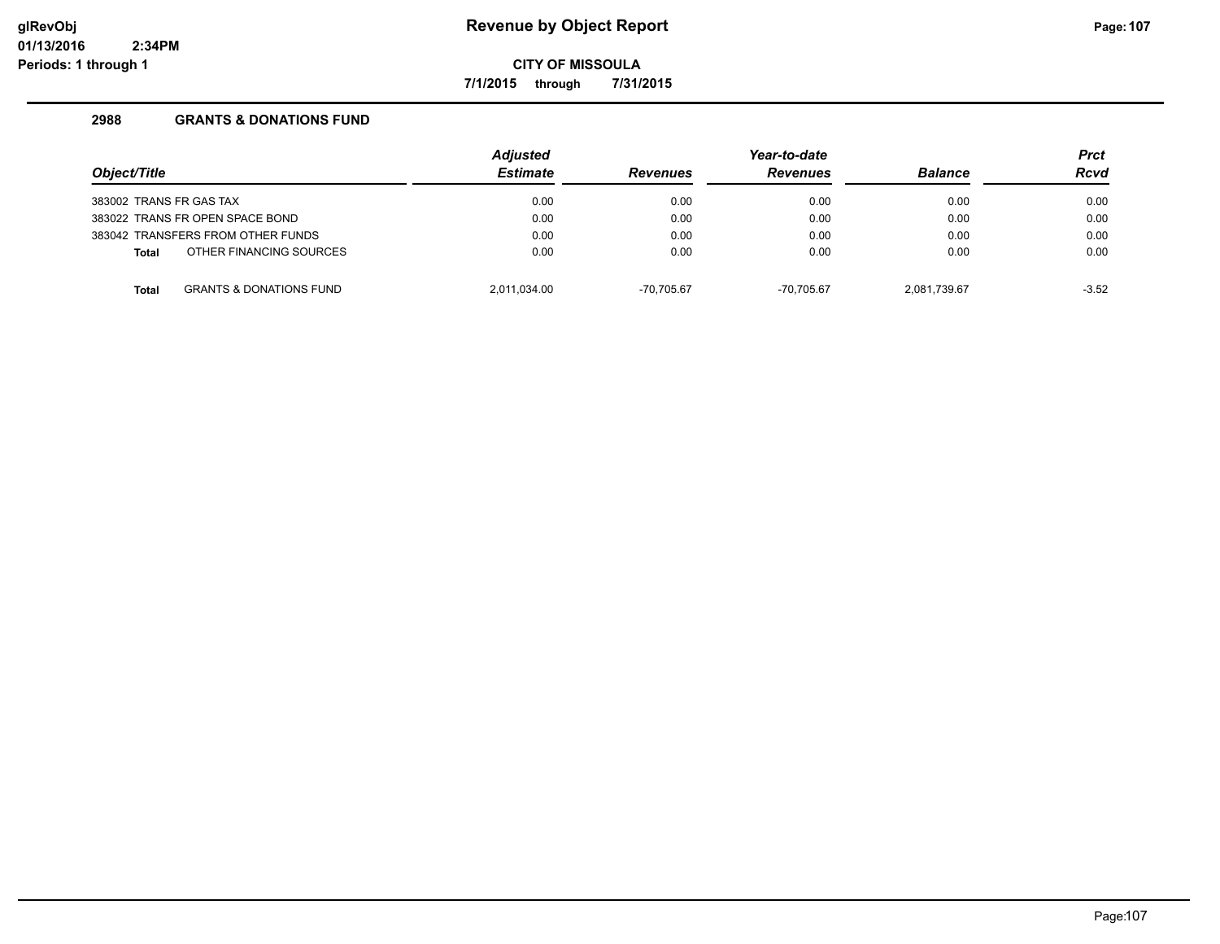**7/1/2015 through 7/31/2015**

|                                                    | <b>Adjusted</b> |                 | Year-to-date    |                | <b>Prct</b> |
|----------------------------------------------------|-----------------|-----------------|-----------------|----------------|-------------|
| Object/Title                                       | <b>Estimate</b> | <b>Revenues</b> | <b>Revenues</b> | <b>Balance</b> | <b>Rcvd</b> |
| 383002 TRANS FR GAS TAX                            | 0.00            | 0.00            | 0.00            | 0.00           | 0.00        |
| 383022 TRANS FR OPEN SPACE BOND                    | 0.00            | 0.00            | 0.00            | 0.00           | 0.00        |
| 383042 TRANSFERS FROM OTHER FUNDS                  | 0.00            | 0.00            | 0.00            | 0.00           | 0.00        |
| OTHER FINANCING SOURCES<br><b>Total</b>            | 0.00            | 0.00            | 0.00            | 0.00           | 0.00        |
| <b>GRANTS &amp; DONATIONS FUND</b><br><b>Total</b> | 2.011.034.00    | $-70.705.67$    | $-70.705.67$    | 2.081.739.67   | $-3.52$     |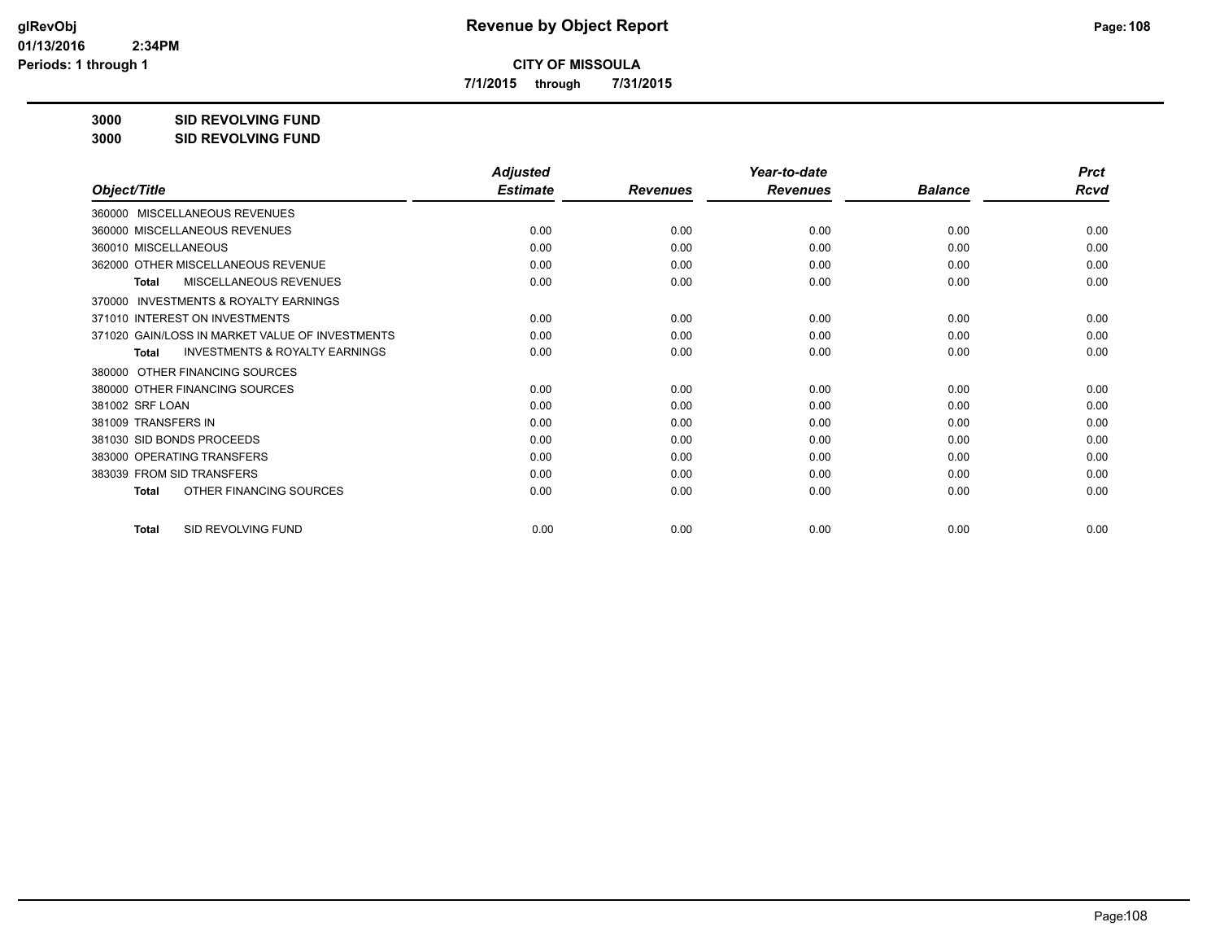**7/1/2015 through 7/31/2015**

**3000 SID REVOLVING FUND**

**3000 SID REVOLVING FUND**

|                                                           | <b>Adjusted</b> |                 | Year-to-date    |                | <b>Prct</b> |
|-----------------------------------------------------------|-----------------|-----------------|-----------------|----------------|-------------|
| Object/Title                                              | <b>Estimate</b> | <b>Revenues</b> | <b>Revenues</b> | <b>Balance</b> | <b>Rcvd</b> |
| 360000 MISCELLANEOUS REVENUES                             |                 |                 |                 |                |             |
| 360000 MISCELLANEOUS REVENUES                             | 0.00            | 0.00            | 0.00            | 0.00           | 0.00        |
| 360010 MISCELLANEOUS                                      | 0.00            | 0.00            | 0.00            | 0.00           | 0.00        |
| 362000 OTHER MISCELLANEOUS REVENUE                        | 0.00            | 0.00            | 0.00            | 0.00           | 0.00        |
| MISCELLANEOUS REVENUES<br>Total                           | 0.00            | 0.00            | 0.00            | 0.00           | 0.00        |
| <b>INVESTMENTS &amp; ROYALTY EARNINGS</b><br>370000       |                 |                 |                 |                |             |
| 371010 INTEREST ON INVESTMENTS                            | 0.00            | 0.00            | 0.00            | 0.00           | 0.00        |
| 371020 GAIN/LOSS IN MARKET VALUE OF INVESTMENTS           | 0.00            | 0.00            | 0.00            | 0.00           | 0.00        |
| <b>INVESTMENTS &amp; ROYALTY EARNINGS</b><br><b>Total</b> | 0.00            | 0.00            | 0.00            | 0.00           | 0.00        |
| OTHER FINANCING SOURCES<br>380000                         |                 |                 |                 |                |             |
| 380000 OTHER FINANCING SOURCES                            | 0.00            | 0.00            | 0.00            | 0.00           | 0.00        |
| 381002 SRF LOAN                                           | 0.00            | 0.00            | 0.00            | 0.00           | 0.00        |
| 381009 TRANSFERS IN                                       | 0.00            | 0.00            | 0.00            | 0.00           | 0.00        |
| 381030 SID BONDS PROCEEDS                                 | 0.00            | 0.00            | 0.00            | 0.00           | 0.00        |
| 383000 OPERATING TRANSFERS                                | 0.00            | 0.00            | 0.00            | 0.00           | 0.00        |
| 383039 FROM SID TRANSFERS                                 | 0.00            | 0.00            | 0.00            | 0.00           | 0.00        |
| OTHER FINANCING SOURCES<br>Total                          | 0.00            | 0.00            | 0.00            | 0.00           | 0.00        |
| SID REVOLVING FUND<br><b>Total</b>                        | 0.00            | 0.00            | 0.00            | 0.00           | 0.00        |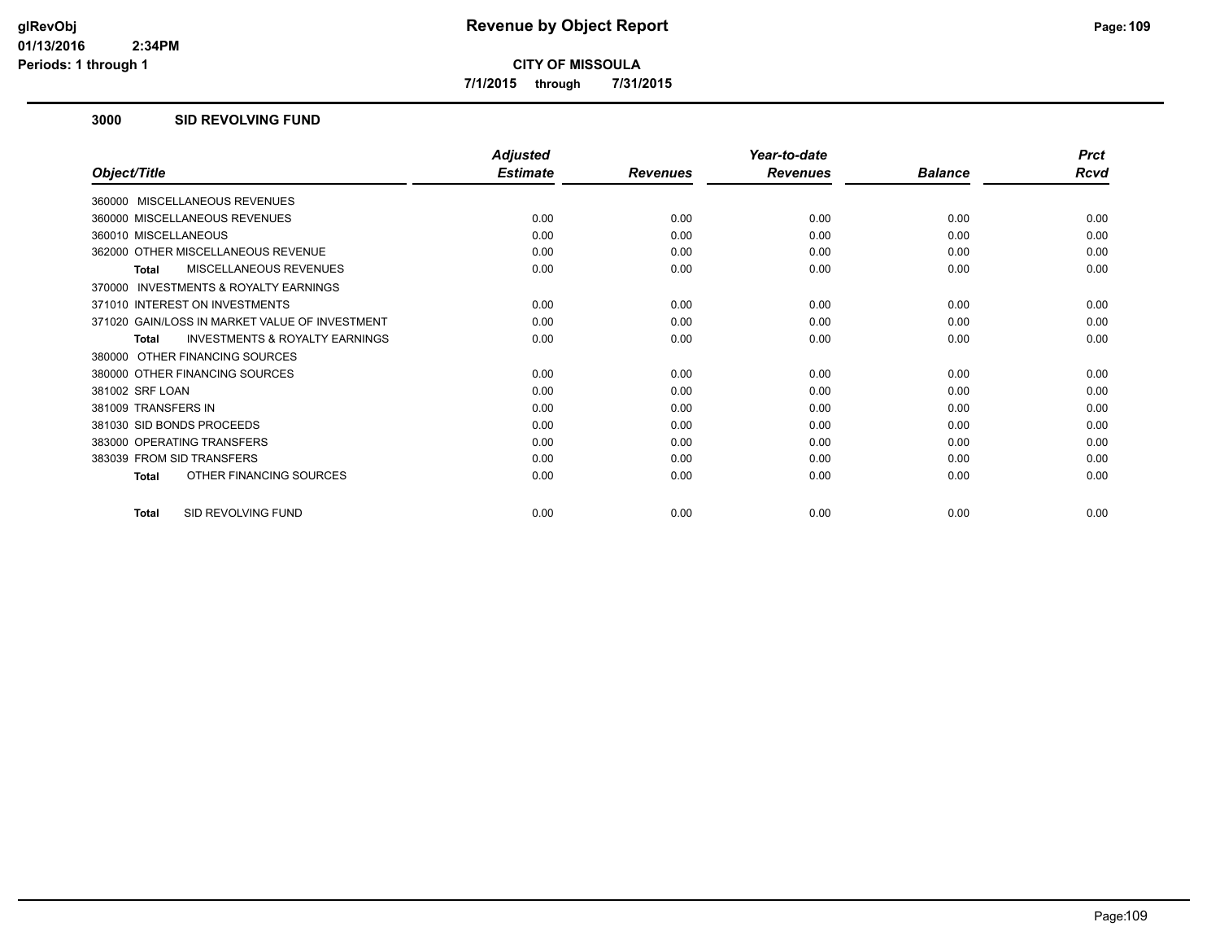**7/1/2015 through 7/31/2015**

### **3000 SID REVOLVING FUND**

|                                                           | <b>Adjusted</b> |                 | Year-to-date    |                | <b>Prct</b> |
|-----------------------------------------------------------|-----------------|-----------------|-----------------|----------------|-------------|
| Object/Title                                              | <b>Estimate</b> | <b>Revenues</b> | <b>Revenues</b> | <b>Balance</b> | Rcvd        |
| 360000 MISCELLANEOUS REVENUES                             |                 |                 |                 |                |             |
| 360000 MISCELLANEOUS REVENUES                             | 0.00            | 0.00            | 0.00            | 0.00           | 0.00        |
| 360010 MISCELLANEOUS                                      | 0.00            | 0.00            | 0.00            | 0.00           | 0.00        |
| 362000 OTHER MISCELLANEOUS REVENUE                        | 0.00            | 0.00            | 0.00            | 0.00           | 0.00        |
| <b>MISCELLANEOUS REVENUES</b><br><b>Total</b>             | 0.00            | 0.00            | 0.00            | 0.00           | 0.00        |
| INVESTMENTS & ROYALTY EARNINGS<br>370000                  |                 |                 |                 |                |             |
| 371010 INTEREST ON INVESTMENTS                            | 0.00            | 0.00            | 0.00            | 0.00           | 0.00        |
| 371020 GAIN/LOSS IN MARKET VALUE OF INVESTMENT            | 0.00            | 0.00            | 0.00            | 0.00           | 0.00        |
| <b>INVESTMENTS &amp; ROYALTY EARNINGS</b><br><b>Total</b> | 0.00            | 0.00            | 0.00            | 0.00           | 0.00        |
| 380000 OTHER FINANCING SOURCES                            |                 |                 |                 |                |             |
| 380000 OTHER FINANCING SOURCES                            | 0.00            | 0.00            | 0.00            | 0.00           | 0.00        |
| 381002 SRF LOAN                                           | 0.00            | 0.00            | 0.00            | 0.00           | 0.00        |
| 381009 TRANSFERS IN                                       | 0.00            | 0.00            | 0.00            | 0.00           | 0.00        |
| 381030 SID BONDS PROCEEDS                                 | 0.00            | 0.00            | 0.00            | 0.00           | 0.00        |
| 383000 OPERATING TRANSFERS                                | 0.00            | 0.00            | 0.00            | 0.00           | 0.00        |
| 383039 FROM SID TRANSFERS                                 | 0.00            | 0.00            | 0.00            | 0.00           | 0.00        |
| OTHER FINANCING SOURCES<br><b>Total</b>                   | 0.00            | 0.00            | 0.00            | 0.00           | 0.00        |
| SID REVOLVING FUND<br><b>Total</b>                        | 0.00            | 0.00            | 0.00            | 0.00           | 0.00        |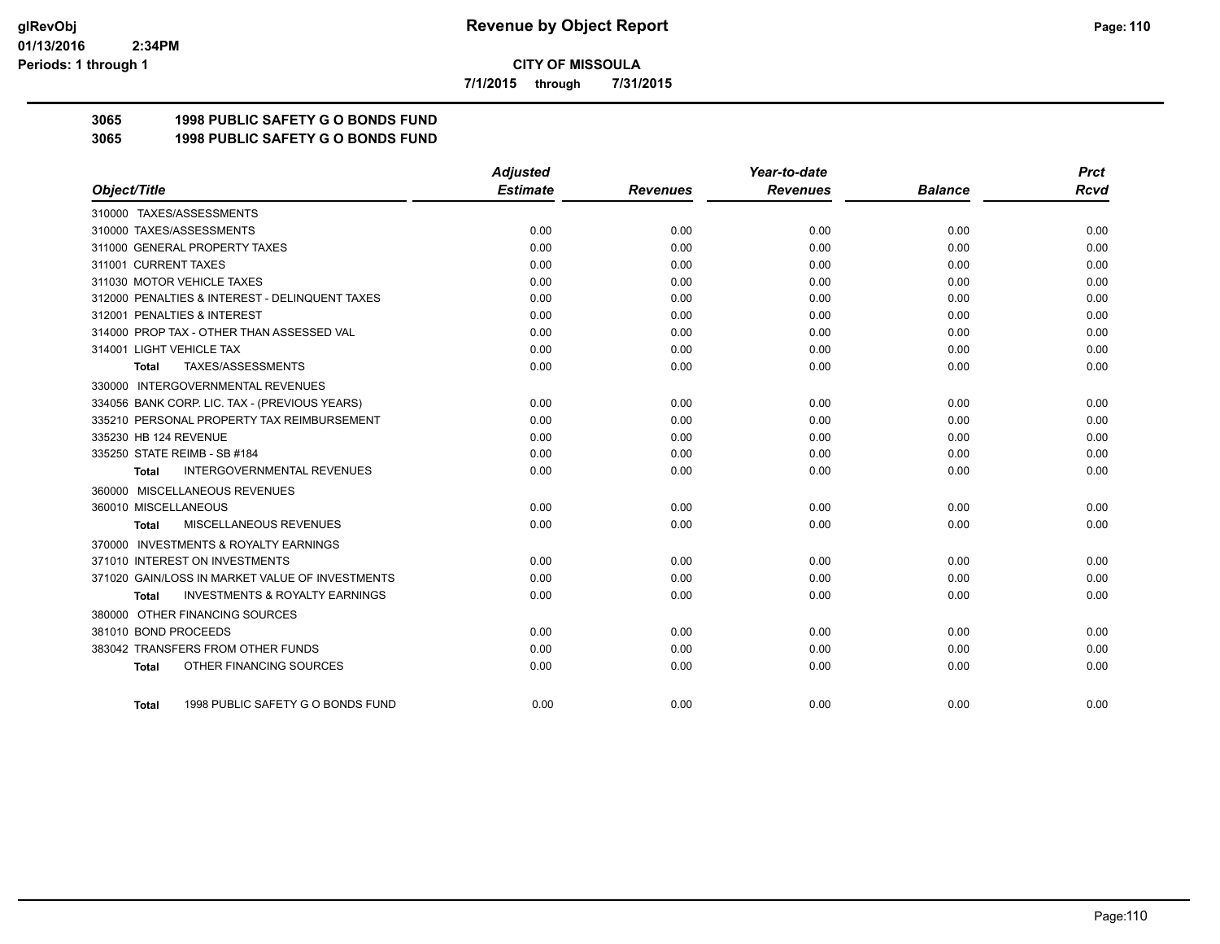**7/1/2015 through 7/31/2015**

## **3065 1998 PUBLIC SAFETY G O BONDS FUND**

**3065 1998 PUBLIC SAFETY G O BONDS FUND**

|                                                    | <b>Adjusted</b> |                 | Year-to-date    |                | <b>Prct</b> |
|----------------------------------------------------|-----------------|-----------------|-----------------|----------------|-------------|
| Object/Title                                       | <b>Estimate</b> | <b>Revenues</b> | <b>Revenues</b> | <b>Balance</b> | Rcvd        |
| 310000 TAXES/ASSESSMENTS                           |                 |                 |                 |                |             |
| 310000 TAXES/ASSESSMENTS                           | 0.00            | 0.00            | 0.00            | 0.00           | 0.00        |
| 311000 GENERAL PROPERTY TAXES                      | 0.00            | 0.00            | 0.00            | 0.00           | 0.00        |
| 311001 CURRENT TAXES                               | 0.00            | 0.00            | 0.00            | 0.00           | 0.00        |
| 311030 MOTOR VEHICLE TAXES                         | 0.00            | 0.00            | 0.00            | 0.00           | 0.00        |
| 312000 PENALTIES & INTEREST - DELINQUENT TAXES     | 0.00            | 0.00            | 0.00            | 0.00           | 0.00        |
| 312001 PENALTIES & INTEREST                        | 0.00            | 0.00            | 0.00            | 0.00           | 0.00        |
| 314000 PROP TAX - OTHER THAN ASSESSED VAL          | 0.00            | 0.00            | 0.00            | 0.00           | 0.00        |
| 314001 LIGHT VEHICLE TAX                           | 0.00            | 0.00            | 0.00            | 0.00           | 0.00        |
| TAXES/ASSESSMENTS<br>Total                         | 0.00            | 0.00            | 0.00            | 0.00           | 0.00        |
| 330000 INTERGOVERNMENTAL REVENUES                  |                 |                 |                 |                |             |
| 334056 BANK CORP. LIC. TAX - (PREVIOUS YEARS)      | 0.00            | 0.00            | 0.00            | 0.00           | 0.00        |
| 335210 PERSONAL PROPERTY TAX REIMBURSEMENT         | 0.00            | 0.00            | 0.00            | 0.00           | 0.00        |
| 335230 HB 124 REVENUE                              | 0.00            | 0.00            | 0.00            | 0.00           | 0.00        |
| 335250 STATE REIMB - SB #184                       | 0.00            | 0.00            | 0.00            | 0.00           | 0.00        |
| <b>INTERGOVERNMENTAL REVENUES</b><br><b>Total</b>  | 0.00            | 0.00            | 0.00            | 0.00           | 0.00        |
| 360000 MISCELLANEOUS REVENUES                      |                 |                 |                 |                |             |
| 360010 MISCELLANEOUS                               | 0.00            | 0.00            | 0.00            | 0.00           | 0.00        |
| MISCELLANEOUS REVENUES<br><b>Total</b>             | 0.00            | 0.00            | 0.00            | 0.00           | 0.00        |
| 370000 INVESTMENTS & ROYALTY EARNINGS              |                 |                 |                 |                |             |
| 371010 INTEREST ON INVESTMENTS                     | 0.00            | 0.00            | 0.00            | 0.00           | 0.00        |
| 371020 GAIN/LOSS IN MARKET VALUE OF INVESTMENTS    | 0.00            | 0.00            | 0.00            | 0.00           | 0.00        |
| <b>INVESTMENTS &amp; ROYALTY EARNINGS</b><br>Total | 0.00            | 0.00            | 0.00            | 0.00           | 0.00        |
| 380000 OTHER FINANCING SOURCES                     |                 |                 |                 |                |             |
| 381010 BOND PROCEEDS                               | 0.00            | 0.00            | 0.00            | 0.00           | 0.00        |
| 383042 TRANSFERS FROM OTHER FUNDS                  | 0.00            | 0.00            | 0.00            | 0.00           | 0.00        |
| OTHER FINANCING SOURCES<br><b>Total</b>            | 0.00            | 0.00            | 0.00            | 0.00           | 0.00        |
| 1998 PUBLIC SAFETY G O BONDS FUND<br>Total         | 0.00            | 0.00            | 0.00            | 0.00           | 0.00        |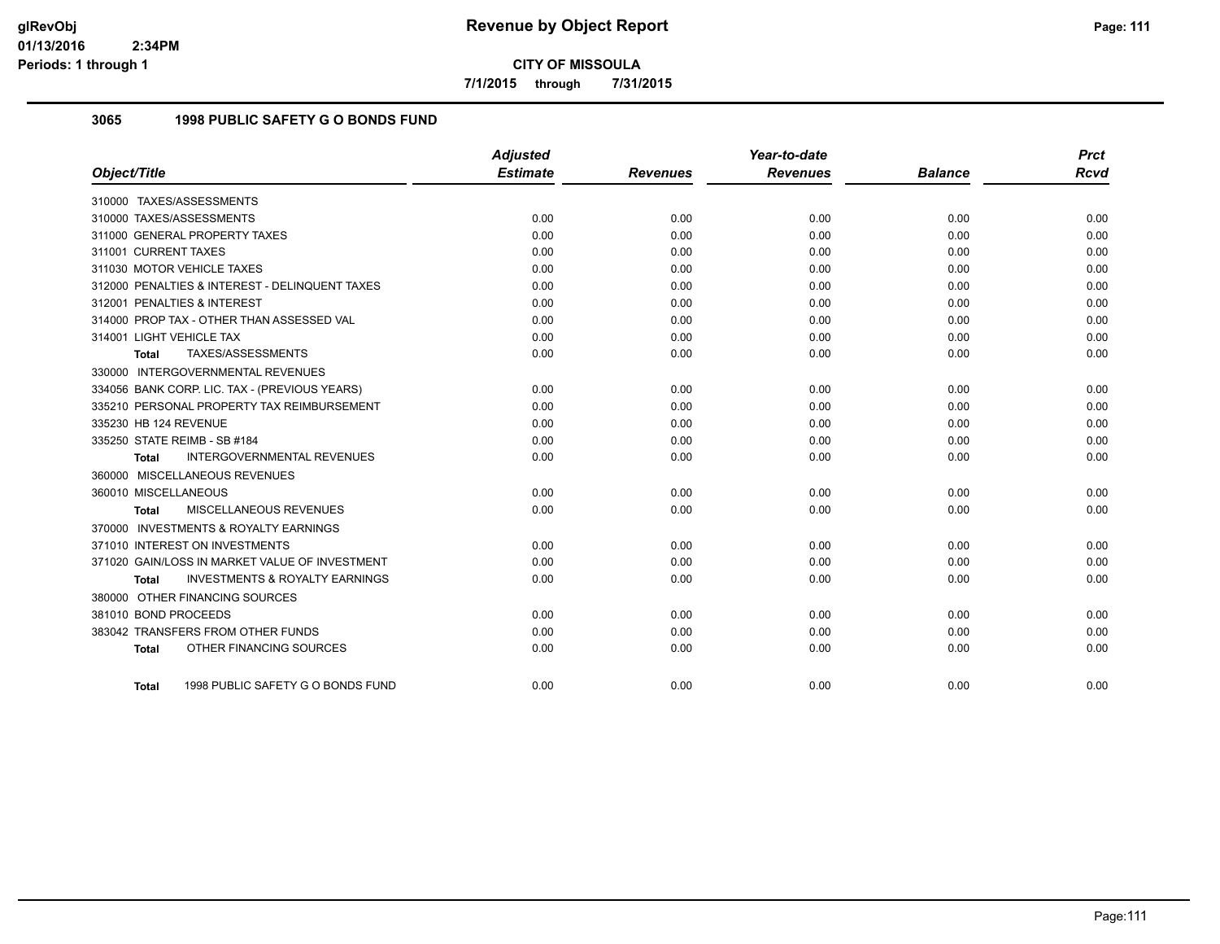**7/1/2015 through 7/31/2015**

## **3065 1998 PUBLIC SAFETY G O BONDS FUND**

|                                                    | <b>Adjusted</b> |                 | Year-to-date    |                | <b>Prct</b> |
|----------------------------------------------------|-----------------|-----------------|-----------------|----------------|-------------|
| Object/Title                                       | <b>Estimate</b> | <b>Revenues</b> | <b>Revenues</b> | <b>Balance</b> | <b>Rcvd</b> |
| 310000 TAXES/ASSESSMENTS                           |                 |                 |                 |                |             |
| 310000 TAXES/ASSESSMENTS                           | 0.00            | 0.00            | 0.00            | 0.00           | 0.00        |
| 311000 GENERAL PROPERTY TAXES                      | 0.00            | 0.00            | 0.00            | 0.00           | 0.00        |
| 311001 CURRENT TAXES                               | 0.00            | 0.00            | 0.00            | 0.00           | 0.00        |
| 311030 MOTOR VEHICLE TAXES                         | 0.00            | 0.00            | 0.00            | 0.00           | 0.00        |
| 312000 PENALTIES & INTEREST - DELINQUENT TAXES     | 0.00            | 0.00            | 0.00            | 0.00           | 0.00        |
| 312001 PENALTIES & INTEREST                        | 0.00            | 0.00            | 0.00            | 0.00           | 0.00        |
| 314000 PROP TAX - OTHER THAN ASSESSED VAL          | 0.00            | 0.00            | 0.00            | 0.00           | 0.00        |
| 314001 LIGHT VEHICLE TAX                           | 0.00            | 0.00            | 0.00            | 0.00           | 0.00        |
| TAXES/ASSESSMENTS<br>Total                         | 0.00            | 0.00            | 0.00            | 0.00           | 0.00        |
| 330000 INTERGOVERNMENTAL REVENUES                  |                 |                 |                 |                |             |
| 334056 BANK CORP. LIC. TAX - (PREVIOUS YEARS)      | 0.00            | 0.00            | 0.00            | 0.00           | 0.00        |
| 335210 PERSONAL PROPERTY TAX REIMBURSEMENT         | 0.00            | 0.00            | 0.00            | 0.00           | 0.00        |
| 335230 HB 124 REVENUE                              | 0.00            | 0.00            | 0.00            | 0.00           | 0.00        |
| 335250 STATE REIMB - SB #184                       | 0.00            | 0.00            | 0.00            | 0.00           | 0.00        |
| INTERGOVERNMENTAL REVENUES<br><b>Total</b>         | 0.00            | 0.00            | 0.00            | 0.00           | 0.00        |
| 360000 MISCELLANEOUS REVENUES                      |                 |                 |                 |                |             |
| 360010 MISCELLANEOUS                               | 0.00            | 0.00            | 0.00            | 0.00           | 0.00        |
| <b>MISCELLANEOUS REVENUES</b><br>Total             | 0.00            | 0.00            | 0.00            | 0.00           | 0.00        |
| 370000 INVESTMENTS & ROYALTY EARNINGS              |                 |                 |                 |                |             |
| 371010 INTEREST ON INVESTMENTS                     | 0.00            | 0.00            | 0.00            | 0.00           | 0.00        |
| 371020 GAIN/LOSS IN MARKET VALUE OF INVESTMENT     | 0.00            | 0.00            | 0.00            | 0.00           | 0.00        |
| <b>INVESTMENTS &amp; ROYALTY EARNINGS</b><br>Total | 0.00            | 0.00            | 0.00            | 0.00           | 0.00        |
| 380000 OTHER FINANCING SOURCES                     |                 |                 |                 |                |             |
| 381010 BOND PROCEEDS                               | 0.00            | 0.00            | 0.00            | 0.00           | 0.00        |
| 383042 TRANSFERS FROM OTHER FUNDS                  | 0.00            | 0.00            | 0.00            | 0.00           | 0.00        |
| OTHER FINANCING SOURCES<br><b>Total</b>            | 0.00            | 0.00            | 0.00            | 0.00           | 0.00        |
| 1998 PUBLIC SAFETY G O BONDS FUND<br>Total         | 0.00            | 0.00            | 0.00            | 0.00           | 0.00        |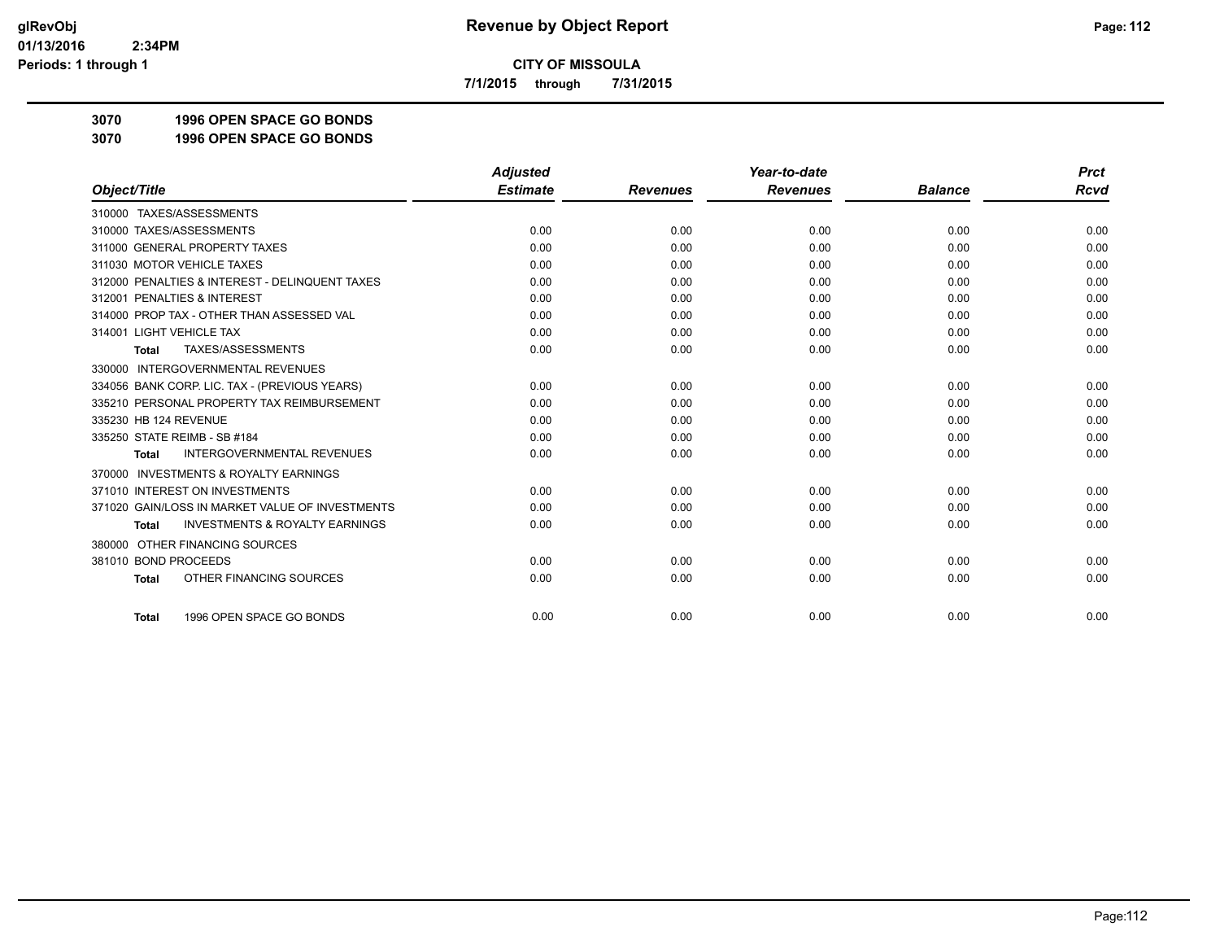**7/1/2015 through 7/31/2015**

**3070 1996 OPEN SPACE GO BONDS**

**3070 1996 OPEN SPACE GO BONDS**

|                                                           | <b>Adjusted</b> |                 | Year-to-date    |                | <b>Prct</b> |
|-----------------------------------------------------------|-----------------|-----------------|-----------------|----------------|-------------|
| Object/Title                                              | <b>Estimate</b> | <b>Revenues</b> | <b>Revenues</b> | <b>Balance</b> | <b>Rcvd</b> |
| 310000 TAXES/ASSESSMENTS                                  |                 |                 |                 |                |             |
| 310000 TAXES/ASSESSMENTS                                  | 0.00            | 0.00            | 0.00            | 0.00           | 0.00        |
| 311000 GENERAL PROPERTY TAXES                             | 0.00            | 0.00            | 0.00            | 0.00           | 0.00        |
| 311030 MOTOR VEHICLE TAXES                                | 0.00            | 0.00            | 0.00            | 0.00           | 0.00        |
| 312000 PENALTIES & INTEREST - DELINQUENT TAXES            | 0.00            | 0.00            | 0.00            | 0.00           | 0.00        |
| 312001 PENALTIES & INTEREST                               | 0.00            | 0.00            | 0.00            | 0.00           | 0.00        |
| 314000 PROP TAX - OTHER THAN ASSESSED VAL                 | 0.00            | 0.00            | 0.00            | 0.00           | 0.00        |
| 314001 LIGHT VEHICLE TAX                                  | 0.00            | 0.00            | 0.00            | 0.00           | 0.00        |
| TAXES/ASSESSMENTS<br><b>Total</b>                         | 0.00            | 0.00            | 0.00            | 0.00           | 0.00        |
| 330000 INTERGOVERNMENTAL REVENUES                         |                 |                 |                 |                |             |
| 334056 BANK CORP. LIC. TAX - (PREVIOUS YEARS)             | 0.00            | 0.00            | 0.00            | 0.00           | 0.00        |
| 335210 PERSONAL PROPERTY TAX REIMBURSEMENT                | 0.00            | 0.00            | 0.00            | 0.00           | 0.00        |
| 335230 HB 124 REVENUE                                     | 0.00            | 0.00            | 0.00            | 0.00           | 0.00        |
| 335250 STATE REIMB - SB #184                              | 0.00            | 0.00            | 0.00            | 0.00           | 0.00        |
| <b>INTERGOVERNMENTAL REVENUES</b><br><b>Total</b>         | 0.00            | 0.00            | 0.00            | 0.00           | 0.00        |
| <b>INVESTMENTS &amp; ROYALTY EARNINGS</b><br>370000       |                 |                 |                 |                |             |
| 371010 INTEREST ON INVESTMENTS                            | 0.00            | 0.00            | 0.00            | 0.00           | 0.00        |
| 371020 GAIN/LOSS IN MARKET VALUE OF INVESTMENTS           | 0.00            | 0.00            | 0.00            | 0.00           | 0.00        |
| <b>INVESTMENTS &amp; ROYALTY EARNINGS</b><br><b>Total</b> | 0.00            | 0.00            | 0.00            | 0.00           | 0.00        |
| OTHER FINANCING SOURCES<br>380000                         |                 |                 |                 |                |             |
| 381010 BOND PROCEEDS                                      | 0.00            | 0.00            | 0.00            | 0.00           | 0.00        |
| OTHER FINANCING SOURCES<br><b>Total</b>                   | 0.00            | 0.00            | 0.00            | 0.00           | 0.00        |
| 1996 OPEN SPACE GO BONDS<br><b>Total</b>                  | 0.00            | 0.00            | 0.00            | 0.00           | 0.00        |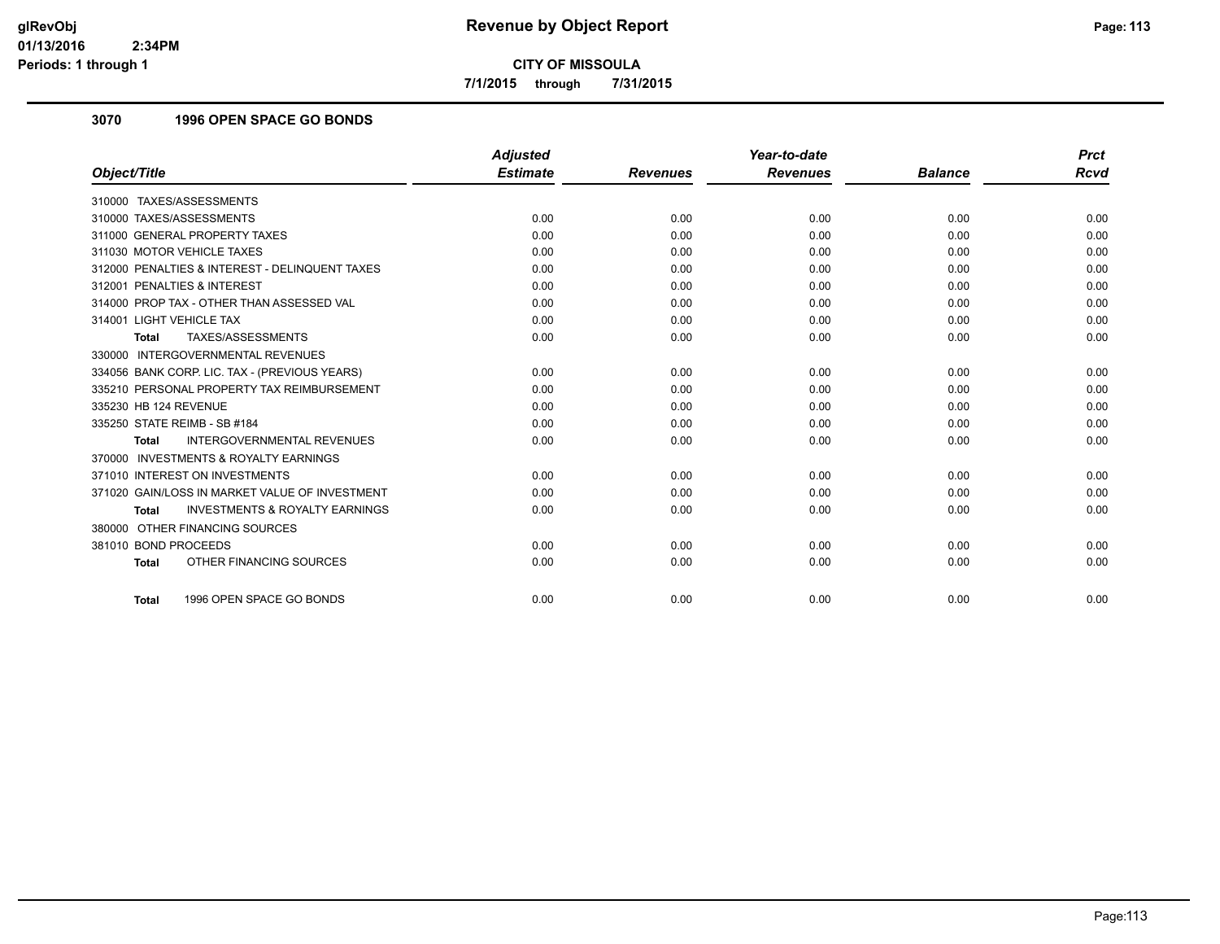**7/1/2015 through 7/31/2015**

## **3070 1996 OPEN SPACE GO BONDS**

|                                                           | <b>Adjusted</b> |                 | Year-to-date    |                | <b>Prct</b> |
|-----------------------------------------------------------|-----------------|-----------------|-----------------|----------------|-------------|
| Object/Title                                              | <b>Estimate</b> | <b>Revenues</b> | <b>Revenues</b> | <b>Balance</b> | <b>Rcvd</b> |
| 310000 TAXES/ASSESSMENTS                                  |                 |                 |                 |                |             |
| 310000 TAXES/ASSESSMENTS                                  | 0.00            | 0.00            | 0.00            | 0.00           | 0.00        |
| 311000 GENERAL PROPERTY TAXES                             | 0.00            | 0.00            | 0.00            | 0.00           | 0.00        |
| 311030 MOTOR VEHICLE TAXES                                | 0.00            | 0.00            | 0.00            | 0.00           | 0.00        |
| 312000 PENALTIES & INTEREST - DELINQUENT TAXES            | 0.00            | 0.00            | 0.00            | 0.00           | 0.00        |
| 312001 PENALTIES & INTEREST                               | 0.00            | 0.00            | 0.00            | 0.00           | 0.00        |
| 314000 PROP TAX - OTHER THAN ASSESSED VAL                 | 0.00            | 0.00            | 0.00            | 0.00           | 0.00        |
| 314001 LIGHT VEHICLE TAX                                  | 0.00            | 0.00            | 0.00            | 0.00           | 0.00        |
| TAXES/ASSESSMENTS<br><b>Total</b>                         | 0.00            | 0.00            | 0.00            | 0.00           | 0.00        |
| 330000 INTERGOVERNMENTAL REVENUES                         |                 |                 |                 |                |             |
| 334056 BANK CORP. LIC. TAX - (PREVIOUS YEARS)             | 0.00            | 0.00            | 0.00            | 0.00           | 0.00        |
| 335210 PERSONAL PROPERTY TAX REIMBURSEMENT                | 0.00            | 0.00            | 0.00            | 0.00           | 0.00        |
| 335230 HB 124 REVENUE                                     | 0.00            | 0.00            | 0.00            | 0.00           | 0.00        |
| 335250 STATE REIMB - SB #184                              | 0.00            | 0.00            | 0.00            | 0.00           | 0.00        |
| <b>INTERGOVERNMENTAL REVENUES</b><br><b>Total</b>         | 0.00            | 0.00            | 0.00            | 0.00           | 0.00        |
| <b>INVESTMENTS &amp; ROYALTY EARNINGS</b><br>370000       |                 |                 |                 |                |             |
| 371010 INTEREST ON INVESTMENTS                            | 0.00            | 0.00            | 0.00            | 0.00           | 0.00        |
| 371020 GAIN/LOSS IN MARKET VALUE OF INVESTMENT            | 0.00            | 0.00            | 0.00            | 0.00           | 0.00        |
| <b>INVESTMENTS &amp; ROYALTY EARNINGS</b><br><b>Total</b> | 0.00            | 0.00            | 0.00            | 0.00           | 0.00        |
| 380000 OTHER FINANCING SOURCES                            |                 |                 |                 |                |             |
| 381010 BOND PROCEEDS                                      | 0.00            | 0.00            | 0.00            | 0.00           | 0.00        |
| OTHER FINANCING SOURCES<br><b>Total</b>                   | 0.00            | 0.00            | 0.00            | 0.00           | 0.00        |
| 1996 OPEN SPACE GO BONDS<br><b>Total</b>                  | 0.00            | 0.00            | 0.00            | 0.00           | 0.00        |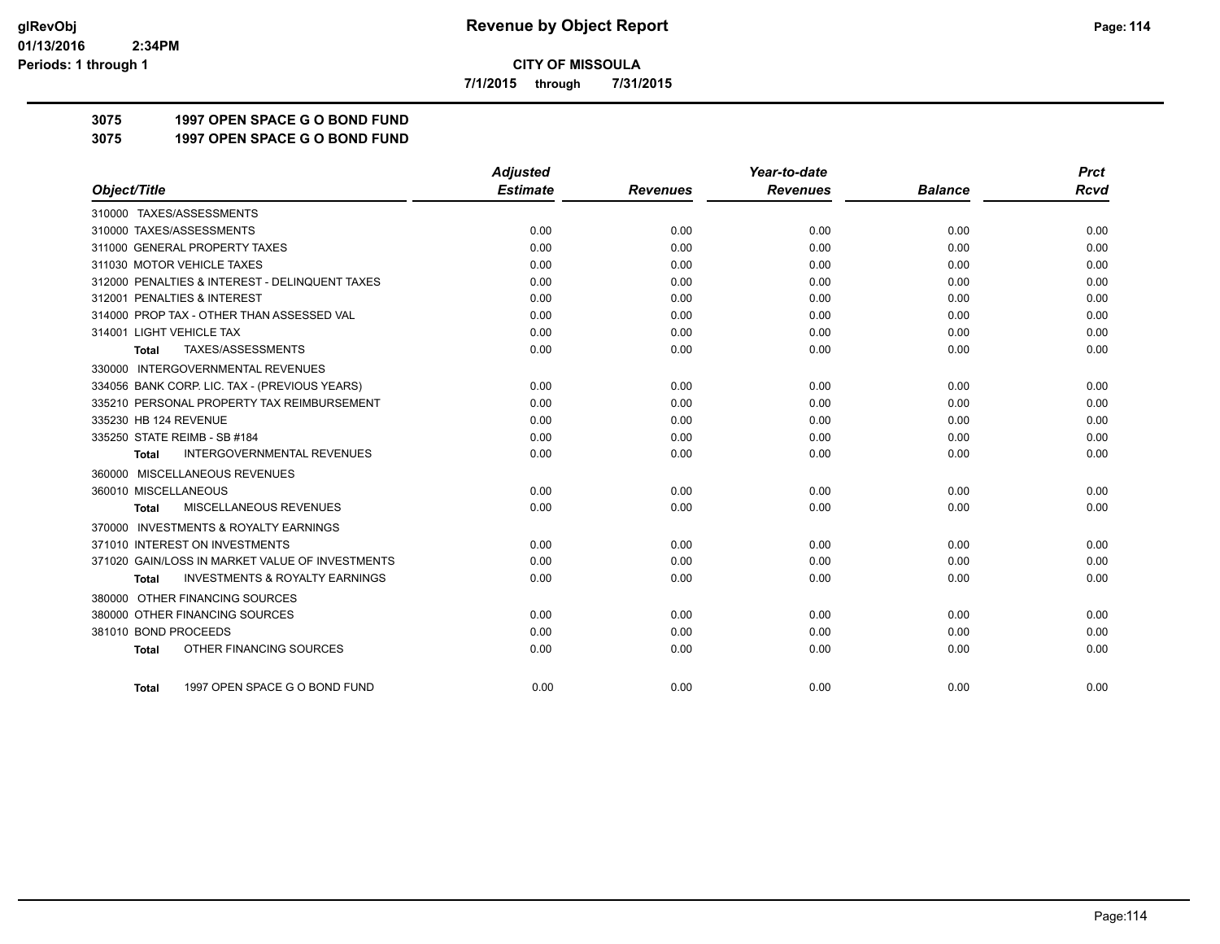**7/1/2015 through 7/31/2015**

## **3075 1997 OPEN SPACE G O BOND FUND**

**3075 1997 OPEN SPACE G O BOND FUND**

|                                                           | <b>Adjusted</b> |                 | Year-to-date    |                | <b>Prct</b> |
|-----------------------------------------------------------|-----------------|-----------------|-----------------|----------------|-------------|
| Object/Title                                              | <b>Estimate</b> | <b>Revenues</b> | <b>Revenues</b> | <b>Balance</b> | <b>Rcvd</b> |
| 310000 TAXES/ASSESSMENTS                                  |                 |                 |                 |                |             |
| 310000 TAXES/ASSESSMENTS                                  | 0.00            | 0.00            | 0.00            | 0.00           | 0.00        |
| 311000 GENERAL PROPERTY TAXES                             | 0.00            | 0.00            | 0.00            | 0.00           | 0.00        |
| 311030 MOTOR VEHICLE TAXES                                | 0.00            | 0.00            | 0.00            | 0.00           | 0.00        |
| 312000 PENALTIES & INTEREST - DELINQUENT TAXES            | 0.00            | 0.00            | 0.00            | 0.00           | 0.00        |
| 312001 PENALTIES & INTEREST                               | 0.00            | 0.00            | 0.00            | 0.00           | 0.00        |
| 314000 PROP TAX - OTHER THAN ASSESSED VAL                 | 0.00            | 0.00            | 0.00            | 0.00           | 0.00        |
| 314001 LIGHT VEHICLE TAX                                  | 0.00            | 0.00            | 0.00            | 0.00           | 0.00        |
| TAXES/ASSESSMENTS<br>Total                                | 0.00            | 0.00            | 0.00            | 0.00           | 0.00        |
| 330000 INTERGOVERNMENTAL REVENUES                         |                 |                 |                 |                |             |
| 334056 BANK CORP. LIC. TAX - (PREVIOUS YEARS)             | 0.00            | 0.00            | 0.00            | 0.00           | 0.00        |
| 335210 PERSONAL PROPERTY TAX REIMBURSEMENT                | 0.00            | 0.00            | 0.00            | 0.00           | 0.00        |
| 335230 HB 124 REVENUE                                     | 0.00            | 0.00            | 0.00            | 0.00           | 0.00        |
| 335250 STATE REIMB - SB #184                              | 0.00            | 0.00            | 0.00            | 0.00           | 0.00        |
| <b>INTERGOVERNMENTAL REVENUES</b><br><b>Total</b>         | 0.00            | 0.00            | 0.00            | 0.00           | 0.00        |
| 360000 MISCELLANEOUS REVENUES                             |                 |                 |                 |                |             |
| 360010 MISCELLANEOUS                                      | 0.00            | 0.00            | 0.00            | 0.00           | 0.00        |
| MISCELLANEOUS REVENUES<br><b>Total</b>                    | 0.00            | 0.00            | 0.00            | 0.00           | 0.00        |
| <b>INVESTMENTS &amp; ROYALTY EARNINGS</b><br>370000       |                 |                 |                 |                |             |
| 371010 INTEREST ON INVESTMENTS                            | 0.00            | 0.00            | 0.00            | 0.00           | 0.00        |
| 371020 GAIN/LOSS IN MARKET VALUE OF INVESTMENTS           | 0.00            | 0.00            | 0.00            | 0.00           | 0.00        |
| <b>INVESTMENTS &amp; ROYALTY EARNINGS</b><br><b>Total</b> | 0.00            | 0.00            | 0.00            | 0.00           | 0.00        |
| 380000 OTHER FINANCING SOURCES                            |                 |                 |                 |                |             |
| 380000 OTHER FINANCING SOURCES                            | 0.00            | 0.00            | 0.00            | 0.00           | 0.00        |
| 381010 BOND PROCEEDS                                      | 0.00            | 0.00            | 0.00            | 0.00           | 0.00        |
| OTHER FINANCING SOURCES<br><b>Total</b>                   | 0.00            | 0.00            | 0.00            | 0.00           | 0.00        |
|                                                           |                 |                 |                 |                |             |
| 1997 OPEN SPACE G O BOND FUND<br>Total                    | 0.00            | 0.00            | 0.00            | 0.00           | 0.00        |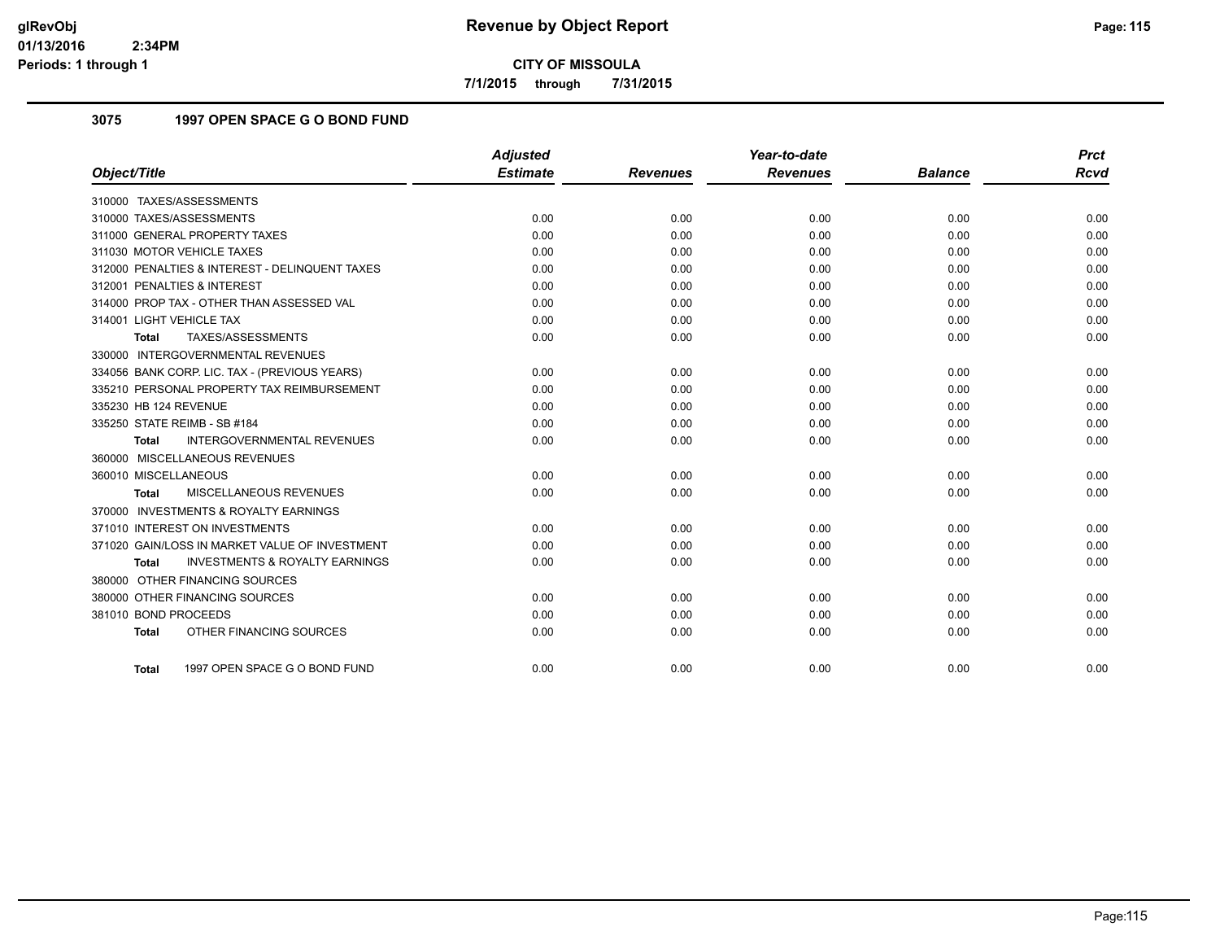**7/1/2015 through 7/31/2015**

## **3075 1997 OPEN SPACE G O BOND FUND**

|                                                           | <b>Adjusted</b> |                 | Year-to-date    |                | <b>Prct</b> |
|-----------------------------------------------------------|-----------------|-----------------|-----------------|----------------|-------------|
| Object/Title                                              | <b>Estimate</b> | <b>Revenues</b> | <b>Revenues</b> | <b>Balance</b> | <b>Rcvd</b> |
| 310000 TAXES/ASSESSMENTS                                  |                 |                 |                 |                |             |
| 310000 TAXES/ASSESSMENTS                                  | 0.00            | 0.00            | 0.00            | 0.00           | 0.00        |
| 311000 GENERAL PROPERTY TAXES                             | 0.00            | 0.00            | 0.00            | 0.00           | 0.00        |
| 311030 MOTOR VEHICLE TAXES                                | 0.00            | 0.00            | 0.00            | 0.00           | 0.00        |
| 312000 PENALTIES & INTEREST - DELINQUENT TAXES            | 0.00            | 0.00            | 0.00            | 0.00           | 0.00        |
| 312001 PENALTIES & INTEREST                               | 0.00            | 0.00            | 0.00            | 0.00           | 0.00        |
| 314000 PROP TAX - OTHER THAN ASSESSED VAL                 | 0.00            | 0.00            | 0.00            | 0.00           | 0.00        |
| 314001 LIGHT VEHICLE TAX                                  | 0.00            | 0.00            | 0.00            | 0.00           | 0.00        |
| TAXES/ASSESSMENTS<br><b>Total</b>                         | 0.00            | 0.00            | 0.00            | 0.00           | 0.00        |
| 330000 INTERGOVERNMENTAL REVENUES                         |                 |                 |                 |                |             |
| 334056 BANK CORP. LIC. TAX - (PREVIOUS YEARS)             | 0.00            | 0.00            | 0.00            | 0.00           | 0.00        |
| 335210 PERSONAL PROPERTY TAX REIMBURSEMENT                | 0.00            | 0.00            | 0.00            | 0.00           | 0.00        |
| 335230 HB 124 REVENUE                                     | 0.00            | 0.00            | 0.00            | 0.00           | 0.00        |
| 335250 STATE REIMB - SB #184                              | 0.00            | 0.00            | 0.00            | 0.00           | 0.00        |
| <b>INTERGOVERNMENTAL REVENUES</b><br><b>Total</b>         | 0.00            | 0.00            | 0.00            | 0.00           | 0.00        |
| 360000 MISCELLANEOUS REVENUES                             |                 |                 |                 |                |             |
| 360010 MISCELLANEOUS                                      | 0.00            | 0.00            | 0.00            | 0.00           | 0.00        |
| <b>MISCELLANEOUS REVENUES</b><br>Total                    | 0.00            | 0.00            | 0.00            | 0.00           | 0.00        |
| 370000 INVESTMENTS & ROYALTY EARNINGS                     |                 |                 |                 |                |             |
| 371010 INTEREST ON INVESTMENTS                            | 0.00            | 0.00            | 0.00            | 0.00           | 0.00        |
| 371020 GAIN/LOSS IN MARKET VALUE OF INVESTMENT            | 0.00            | 0.00            | 0.00            | 0.00           | 0.00        |
| <b>INVESTMENTS &amp; ROYALTY EARNINGS</b><br><b>Total</b> | 0.00            | 0.00            | 0.00            | 0.00           | 0.00        |
| 380000 OTHER FINANCING SOURCES                            |                 |                 |                 |                |             |
| 380000 OTHER FINANCING SOURCES                            | 0.00            | 0.00            | 0.00            | 0.00           | 0.00        |
| 381010 BOND PROCEEDS                                      | 0.00            | 0.00            | 0.00            | 0.00           | 0.00        |
| OTHER FINANCING SOURCES<br><b>Total</b>                   | 0.00            | 0.00            | 0.00            | 0.00           | 0.00        |
|                                                           |                 |                 |                 |                |             |
| 1997 OPEN SPACE G O BOND FUND<br><b>Total</b>             | 0.00            | 0.00            | 0.00            | 0.00           | 0.00        |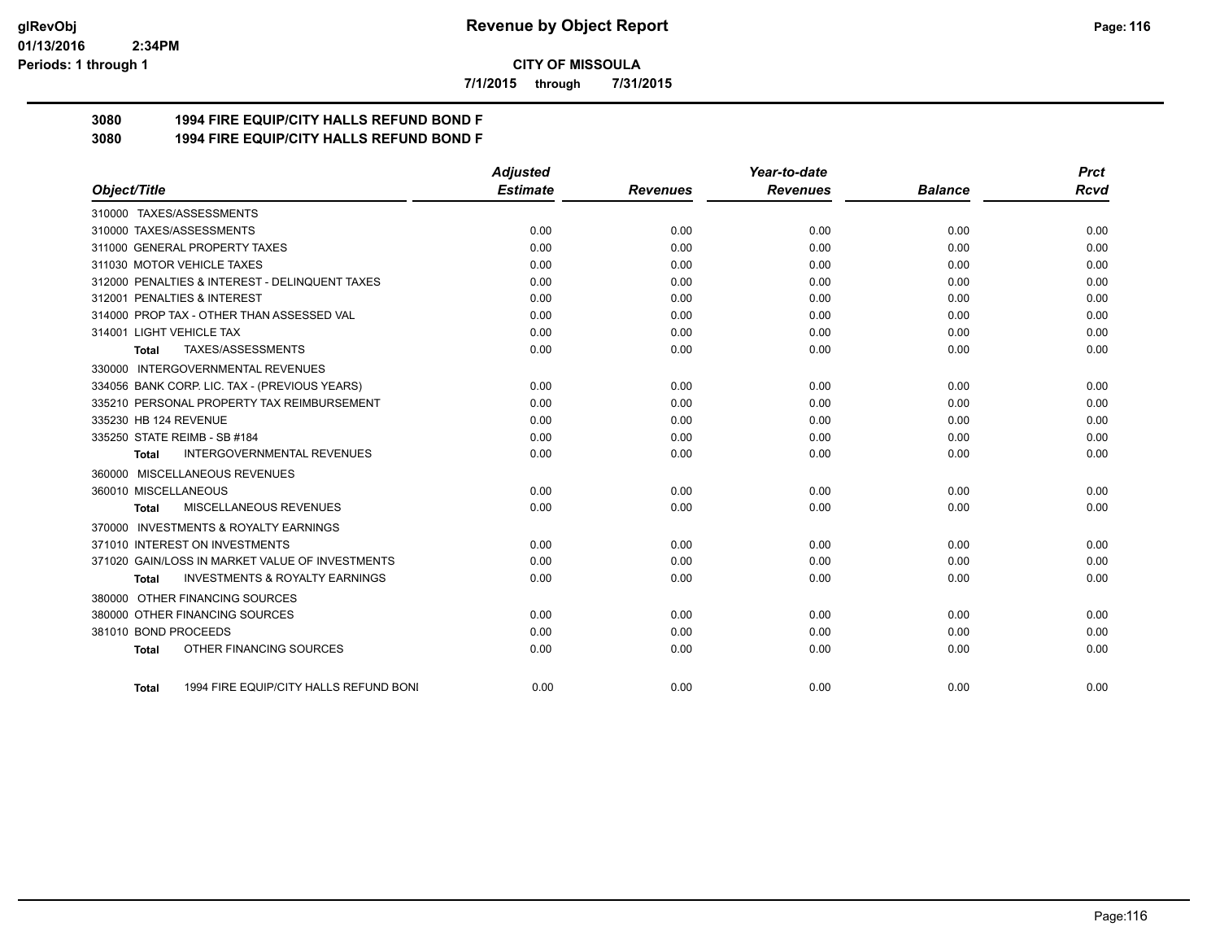#### **01/13/2016 2:34PM Periods: 1 through 1**

**CITY OF MISSOULA**

**7/1/2015 through 7/31/2015**

## **3080 1994 FIRE EQUIP/CITY HALLS REFUND BOND F**

**3080 1994 FIRE EQUIP/CITY HALLS REFUND BOND F**

|                                                           | <b>Adjusted</b> |                 | Year-to-date    |                | <b>Prct</b> |
|-----------------------------------------------------------|-----------------|-----------------|-----------------|----------------|-------------|
| Object/Title                                              | <b>Estimate</b> | <b>Revenues</b> | <b>Revenues</b> | <b>Balance</b> | <b>Rcvd</b> |
| 310000 TAXES/ASSESSMENTS                                  |                 |                 |                 |                |             |
| 310000 TAXES/ASSESSMENTS                                  | 0.00            | 0.00            | 0.00            | 0.00           | 0.00        |
| 311000 GENERAL PROPERTY TAXES                             | 0.00            | 0.00            | 0.00            | 0.00           | 0.00        |
| 311030 MOTOR VEHICLE TAXES                                | 0.00            | 0.00            | 0.00            | 0.00           | 0.00        |
| 312000 PENALTIES & INTEREST - DELINQUENT TAXES            | 0.00            | 0.00            | 0.00            | 0.00           | 0.00        |
| 312001 PENALTIES & INTEREST                               | 0.00            | 0.00            | 0.00            | 0.00           | 0.00        |
| 314000 PROP TAX - OTHER THAN ASSESSED VAL                 | 0.00            | 0.00            | 0.00            | 0.00           | 0.00        |
| 314001 LIGHT VEHICLE TAX                                  | 0.00            | 0.00            | 0.00            | 0.00           | 0.00        |
| TAXES/ASSESSMENTS<br>Total                                | 0.00            | 0.00            | 0.00            | 0.00           | 0.00        |
| 330000 INTERGOVERNMENTAL REVENUES                         |                 |                 |                 |                |             |
| 334056 BANK CORP. LIC. TAX - (PREVIOUS YEARS)             | 0.00            | 0.00            | 0.00            | 0.00           | 0.00        |
| 335210 PERSONAL PROPERTY TAX REIMBURSEMENT                | 0.00            | 0.00            | 0.00            | 0.00           | 0.00        |
| 335230 HB 124 REVENUE                                     | 0.00            | 0.00            | 0.00            | 0.00           | 0.00        |
| 335250 STATE REIMB - SB #184                              | 0.00            | 0.00            | 0.00            | 0.00           | 0.00        |
| <b>INTERGOVERNMENTAL REVENUES</b><br>Total                | 0.00            | 0.00            | 0.00            | 0.00           | 0.00        |
| 360000 MISCELLANEOUS REVENUES                             |                 |                 |                 |                |             |
| 360010 MISCELLANEOUS                                      | 0.00            | 0.00            | 0.00            | 0.00           | 0.00        |
| MISCELLANEOUS REVENUES<br><b>Total</b>                    | 0.00            | 0.00            | 0.00            | 0.00           | 0.00        |
| INVESTMENTS & ROYALTY EARNINGS<br>370000                  |                 |                 |                 |                |             |
| 371010 INTEREST ON INVESTMENTS                            | 0.00            | 0.00            | 0.00            | 0.00           | 0.00        |
| 371020 GAIN/LOSS IN MARKET VALUE OF INVESTMENTS           | 0.00            | 0.00            | 0.00            | 0.00           | 0.00        |
| <b>INVESTMENTS &amp; ROYALTY EARNINGS</b><br><b>Total</b> | 0.00            | 0.00            | 0.00            | 0.00           | 0.00        |
| 380000 OTHER FINANCING SOURCES                            |                 |                 |                 |                |             |
| 380000 OTHER FINANCING SOURCES                            | 0.00            | 0.00            | 0.00            | 0.00           | 0.00        |
| 381010 BOND PROCEEDS                                      | 0.00            | 0.00            | 0.00            | 0.00           | 0.00        |
| OTHER FINANCING SOURCES<br><b>Total</b>                   | 0.00            | 0.00            | 0.00            | 0.00           | 0.00        |
| 1994 FIRE EQUIP/CITY HALLS REFUND BONI<br>Total           | 0.00            | 0.00            | 0.00            | 0.00           | 0.00        |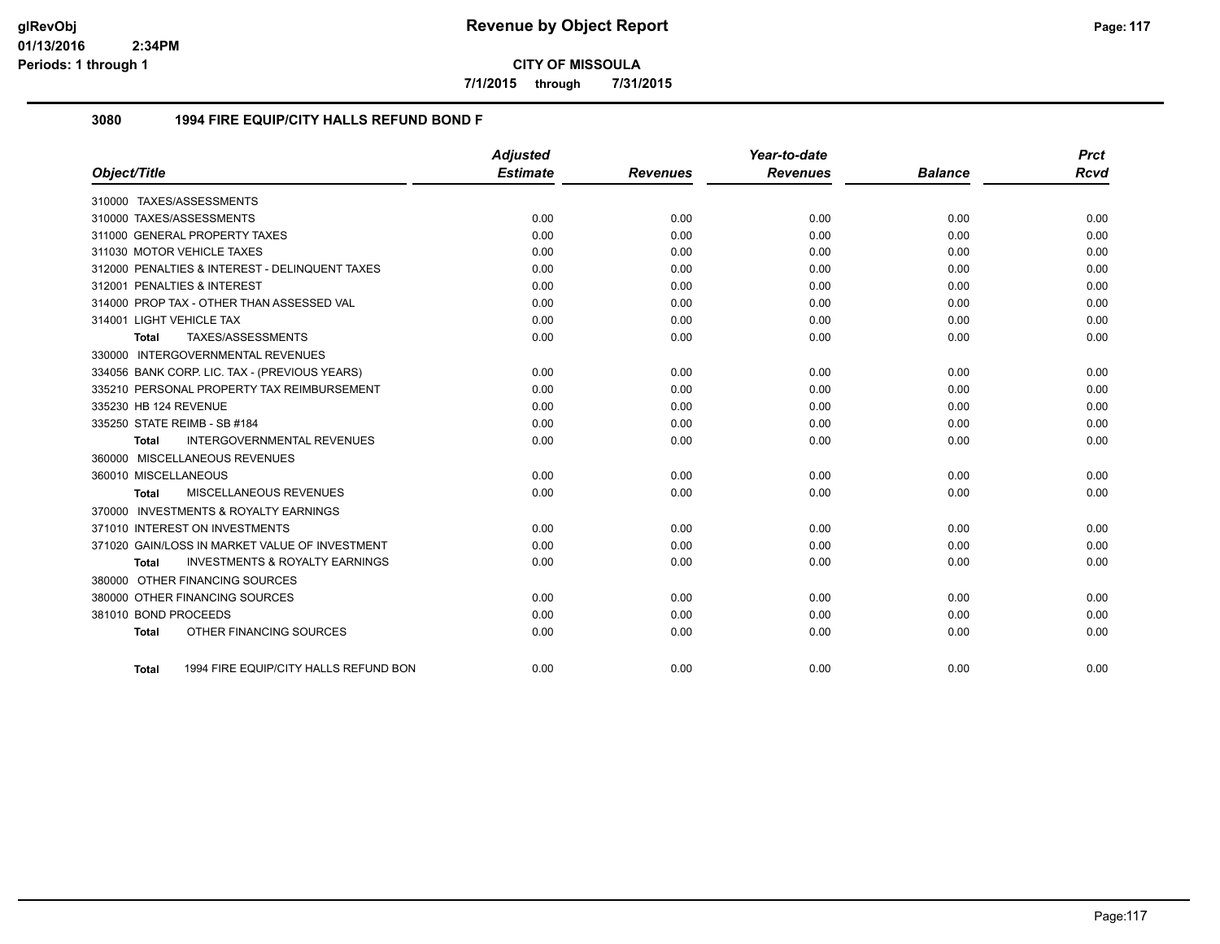**7/1/2015 through 7/31/2015**

### **3080 1994 FIRE EQUIP/CITY HALLS REFUND BOND F**

|                                       |                                                | Adjusted        |                 | Year-to-date    |                | <b>Prct</b> |
|---------------------------------------|------------------------------------------------|-----------------|-----------------|-----------------|----------------|-------------|
| Object/Title                          |                                                | <b>Estimate</b> | <b>Revenues</b> | <b>Revenues</b> | <b>Balance</b> | <b>Rcvd</b> |
| 310000 TAXES/ASSESSMENTS              |                                                |                 |                 |                 |                |             |
| 310000 TAXES/ASSESSMENTS              |                                                | 0.00            | 0.00            | 0.00            | 0.00           | 0.00        |
| 311000 GENERAL PROPERTY TAXES         |                                                | 0.00            | 0.00            | 0.00            | 0.00           | 0.00        |
| 311030 MOTOR VEHICLE TAXES            |                                                | 0.00            | 0.00            | 0.00            | 0.00           | 0.00        |
|                                       | 312000 PENALTIES & INTEREST - DELINQUENT TAXES | 0.00            | 0.00            | 0.00            | 0.00           | 0.00        |
| 312001 PENALTIES & INTEREST           |                                                | 0.00            | 0.00            | 0.00            | 0.00           | 0.00        |
|                                       | 314000 PROP TAX - OTHER THAN ASSESSED VAL      | 0.00            | 0.00            | 0.00            | 0.00           | 0.00        |
| 314001 LIGHT VEHICLE TAX              |                                                | 0.00            | 0.00            | 0.00            | 0.00           | 0.00        |
| <b>Total</b>                          | TAXES/ASSESSMENTS                              | 0.00            | 0.00            | 0.00            | 0.00           | 0.00        |
| 330000 INTERGOVERNMENTAL REVENUES     |                                                |                 |                 |                 |                |             |
|                                       | 334056 BANK CORP. LIC. TAX - (PREVIOUS YEARS)  | 0.00            | 0.00            | 0.00            | 0.00           | 0.00        |
|                                       | 335210 PERSONAL PROPERTY TAX REIMBURSEMENT     | 0.00            | 0.00            | 0.00            | 0.00           | 0.00        |
| 335230 HB 124 REVENUE                 |                                                | 0.00            | 0.00            | 0.00            | 0.00           | 0.00        |
| 335250 STATE REIMB - SB #184          |                                                | 0.00            | 0.00            | 0.00            | 0.00           | 0.00        |
| <b>Total</b>                          | <b>INTERGOVERNMENTAL REVENUES</b>              | 0.00            | 0.00            | 0.00            | 0.00           | 0.00        |
| 360000 MISCELLANEOUS REVENUES         |                                                |                 |                 |                 |                |             |
| 360010 MISCELLANEOUS                  |                                                | 0.00            | 0.00            | 0.00            | 0.00           | 0.00        |
| Total                                 | <b>MISCELLANEOUS REVENUES</b>                  | 0.00            | 0.00            | 0.00            | 0.00           | 0.00        |
| 370000 INVESTMENTS & ROYALTY EARNINGS |                                                |                 |                 |                 |                |             |
| 371010 INTEREST ON INVESTMENTS        |                                                | 0.00            | 0.00            | 0.00            | 0.00           | 0.00        |
|                                       | 371020 GAIN/LOSS IN MARKET VALUE OF INVESTMENT | 0.00            | 0.00            | 0.00            | 0.00           | 0.00        |
| <b>Total</b>                          | <b>INVESTMENTS &amp; ROYALTY EARNINGS</b>      | 0.00            | 0.00            | 0.00            | 0.00           | 0.00        |
| 380000 OTHER FINANCING SOURCES        |                                                |                 |                 |                 |                |             |
| 380000 OTHER FINANCING SOURCES        |                                                | 0.00            | 0.00            | 0.00            | 0.00           | 0.00        |
| 381010 BOND PROCEEDS                  |                                                | 0.00            | 0.00            | 0.00            | 0.00           | 0.00        |
| <b>Total</b>                          | OTHER FINANCING SOURCES                        | 0.00            | 0.00            | 0.00            | 0.00           | 0.00        |
|                                       |                                                |                 |                 |                 |                |             |
| <b>Total</b>                          | 1994 FIRE EQUIP/CITY HALLS REFUND BON          | 0.00            | 0.00            | 0.00            | 0.00           | 0.00        |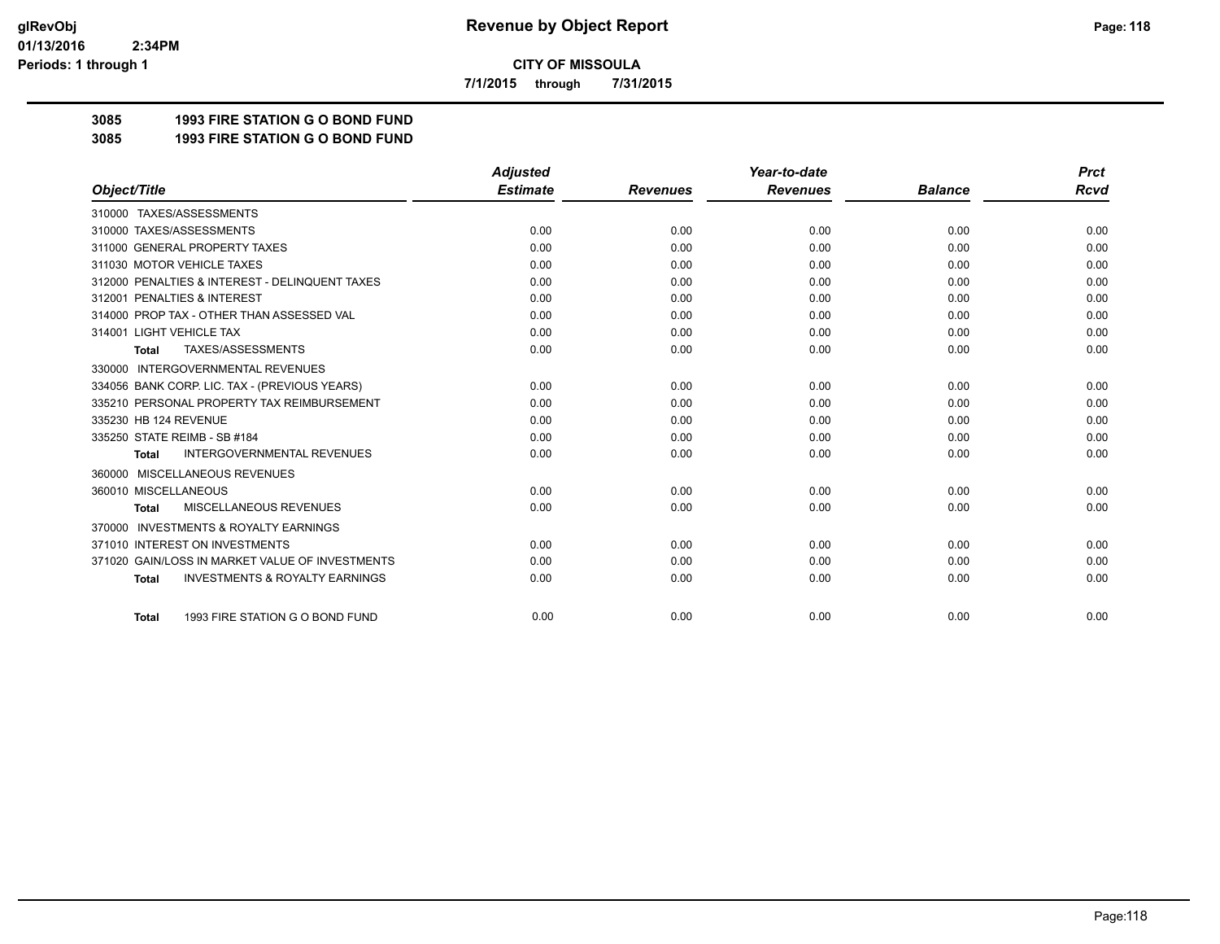**7/1/2015 through 7/31/2015**

## **3085 1993 FIRE STATION G O BOND FUND**

**3085 1993 FIRE STATION G O BOND FUND**

|                                                           | <b>Adjusted</b> |                 | Year-to-date    |                | <b>Prct</b> |
|-----------------------------------------------------------|-----------------|-----------------|-----------------|----------------|-------------|
| Object/Title                                              | <b>Estimate</b> | <b>Revenues</b> | <b>Revenues</b> | <b>Balance</b> | <b>Rcvd</b> |
| 310000 TAXES/ASSESSMENTS                                  |                 |                 |                 |                |             |
| 310000 TAXES/ASSESSMENTS                                  | 0.00            | 0.00            | 0.00            | 0.00           | 0.00        |
| 311000 GENERAL PROPERTY TAXES                             | 0.00            | 0.00            | 0.00            | 0.00           | 0.00        |
| 311030 MOTOR VEHICLE TAXES                                | 0.00            | 0.00            | 0.00            | 0.00           | 0.00        |
| 312000 PENALTIES & INTEREST - DELINQUENT TAXES            | 0.00            | 0.00            | 0.00            | 0.00           | 0.00        |
| 312001 PENALTIES & INTEREST                               | 0.00            | 0.00            | 0.00            | 0.00           | 0.00        |
| 314000 PROP TAX - OTHER THAN ASSESSED VAL                 | 0.00            | 0.00            | 0.00            | 0.00           | 0.00        |
| 314001 LIGHT VEHICLE TAX                                  | 0.00            | 0.00            | 0.00            | 0.00           | 0.00        |
| TAXES/ASSESSMENTS<br><b>Total</b>                         | 0.00            | 0.00            | 0.00            | 0.00           | 0.00        |
| <b>INTERGOVERNMENTAL REVENUES</b><br>330000               |                 |                 |                 |                |             |
| 334056 BANK CORP. LIC. TAX - (PREVIOUS YEARS)             | 0.00            | 0.00            | 0.00            | 0.00           | 0.00        |
| 335210 PERSONAL PROPERTY TAX REIMBURSEMENT                | 0.00            | 0.00            | 0.00            | 0.00           | 0.00        |
| 335230 HB 124 REVENUE                                     | 0.00            | 0.00            | 0.00            | 0.00           | 0.00        |
| 335250 STATE REIMB - SB #184                              | 0.00            | 0.00            | 0.00            | 0.00           | 0.00        |
| <b>INTERGOVERNMENTAL REVENUES</b><br><b>Total</b>         | 0.00            | 0.00            | 0.00            | 0.00           | 0.00        |
| MISCELLANEOUS REVENUES<br>360000                          |                 |                 |                 |                |             |
| 360010 MISCELLANEOUS                                      | 0.00            | 0.00            | 0.00            | 0.00           | 0.00        |
| <b>MISCELLANEOUS REVENUES</b><br><b>Total</b>             | 0.00            | 0.00            | 0.00            | 0.00           | 0.00        |
| <b>INVESTMENTS &amp; ROYALTY EARNINGS</b><br>370000       |                 |                 |                 |                |             |
| 371010 INTEREST ON INVESTMENTS                            | 0.00            | 0.00            | 0.00            | 0.00           | 0.00        |
| 371020 GAIN/LOSS IN MARKET VALUE OF INVESTMENTS           | 0.00            | 0.00            | 0.00            | 0.00           | 0.00        |
| <b>INVESTMENTS &amp; ROYALTY EARNINGS</b><br><b>Total</b> | 0.00            | 0.00            | 0.00            | 0.00           | 0.00        |
|                                                           |                 |                 |                 |                |             |
| 1993 FIRE STATION G O BOND FUND<br><b>Total</b>           | 0.00            | 0.00            | 0.00            | 0.00           | 0.00        |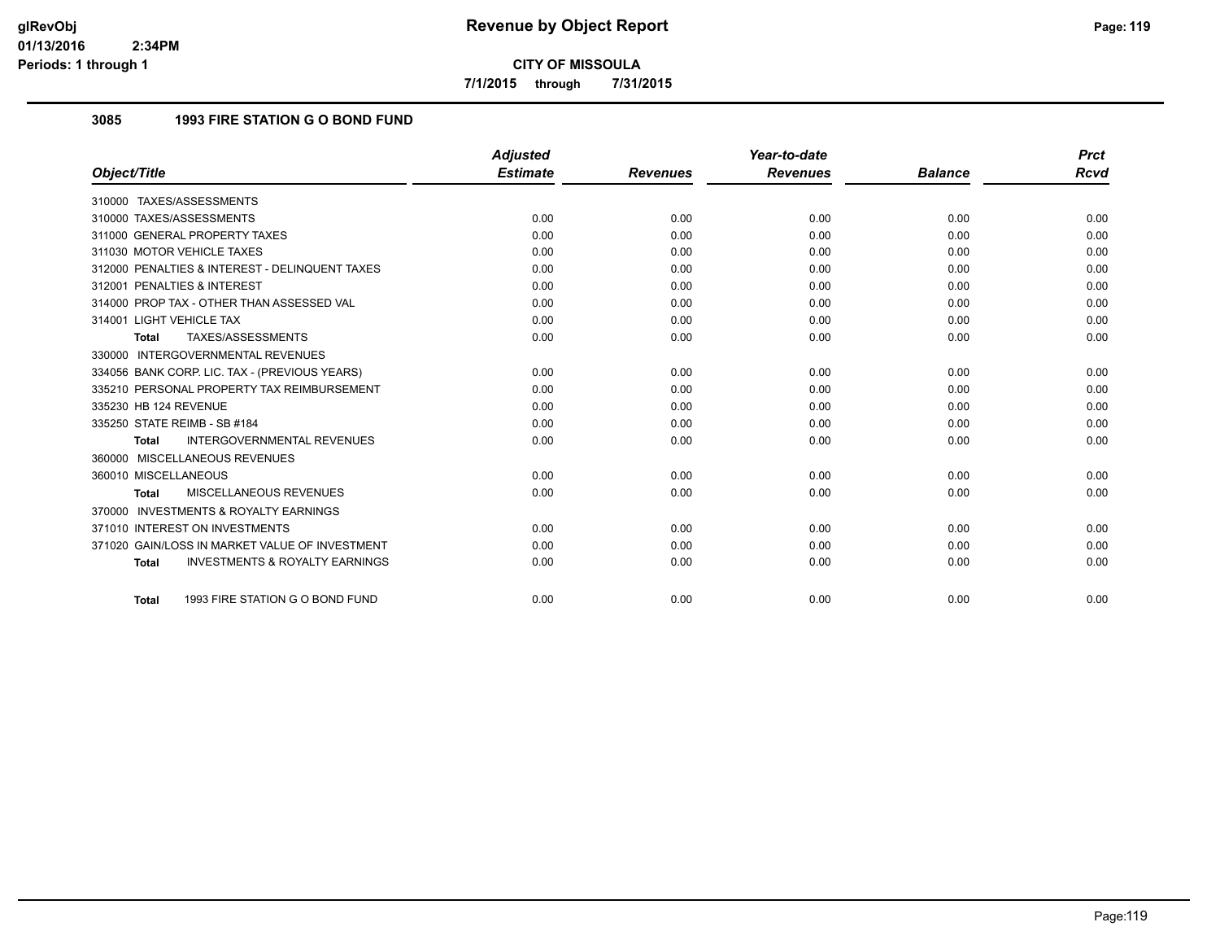**7/1/2015 through 7/31/2015**

## **3085 1993 FIRE STATION G O BOND FUND**

|                                                           | <b>Adjusted</b> |                 | Year-to-date    |                | <b>Prct</b> |
|-----------------------------------------------------------|-----------------|-----------------|-----------------|----------------|-------------|
| Object/Title                                              | <b>Estimate</b> | <b>Revenues</b> | <b>Revenues</b> | <b>Balance</b> | Rcvd        |
| 310000 TAXES/ASSESSMENTS                                  |                 |                 |                 |                |             |
| 310000 TAXES/ASSESSMENTS                                  | 0.00            | 0.00            | 0.00            | 0.00           | 0.00        |
| 311000 GENERAL PROPERTY TAXES                             | 0.00            | 0.00            | 0.00            | 0.00           | 0.00        |
| 311030 MOTOR VEHICLE TAXES                                | 0.00            | 0.00            | 0.00            | 0.00           | 0.00        |
| 312000 PENALTIES & INTEREST - DELINQUENT TAXES            | 0.00            | 0.00            | 0.00            | 0.00           | 0.00        |
| 312001 PENALTIES & INTEREST                               | 0.00            | 0.00            | 0.00            | 0.00           | 0.00        |
| 314000 PROP TAX - OTHER THAN ASSESSED VAL                 | 0.00            | 0.00            | 0.00            | 0.00           | 0.00        |
| 314001 LIGHT VEHICLE TAX                                  | 0.00            | 0.00            | 0.00            | 0.00           | 0.00        |
| TAXES/ASSESSMENTS<br><b>Total</b>                         | 0.00            | 0.00            | 0.00            | 0.00           | 0.00        |
| 330000 INTERGOVERNMENTAL REVENUES                         |                 |                 |                 |                |             |
| 334056 BANK CORP. LIC. TAX - (PREVIOUS YEARS)             | 0.00            | 0.00            | 0.00            | 0.00           | 0.00        |
| 335210 PERSONAL PROPERTY TAX REIMBURSEMENT                | 0.00            | 0.00            | 0.00            | 0.00           | 0.00        |
| 335230 HB 124 REVENUE                                     | 0.00            | 0.00            | 0.00            | 0.00           | 0.00        |
| 335250 STATE REIMB - SB #184                              | 0.00            | 0.00            | 0.00            | 0.00           | 0.00        |
| <b>INTERGOVERNMENTAL REVENUES</b><br><b>Total</b>         | 0.00            | 0.00            | 0.00            | 0.00           | 0.00        |
| 360000 MISCELLANEOUS REVENUES                             |                 |                 |                 |                |             |
| 360010 MISCELLANEOUS                                      | 0.00            | 0.00            | 0.00            | 0.00           | 0.00        |
| MISCELLANEOUS REVENUES<br><b>Total</b>                    | 0.00            | 0.00            | 0.00            | 0.00           | 0.00        |
| 370000 INVESTMENTS & ROYALTY EARNINGS                     |                 |                 |                 |                |             |
| 371010 INTEREST ON INVESTMENTS                            | 0.00            | 0.00            | 0.00            | 0.00           | 0.00        |
| 371020 GAIN/LOSS IN MARKET VALUE OF INVESTMENT            | 0.00            | 0.00            | 0.00            | 0.00           | 0.00        |
| <b>INVESTMENTS &amp; ROYALTY EARNINGS</b><br><b>Total</b> | 0.00            | 0.00            | 0.00            | 0.00           | 0.00        |
| 1993 FIRE STATION G O BOND FUND<br><b>Total</b>           | 0.00            | 0.00            | 0.00            | 0.00           | 0.00        |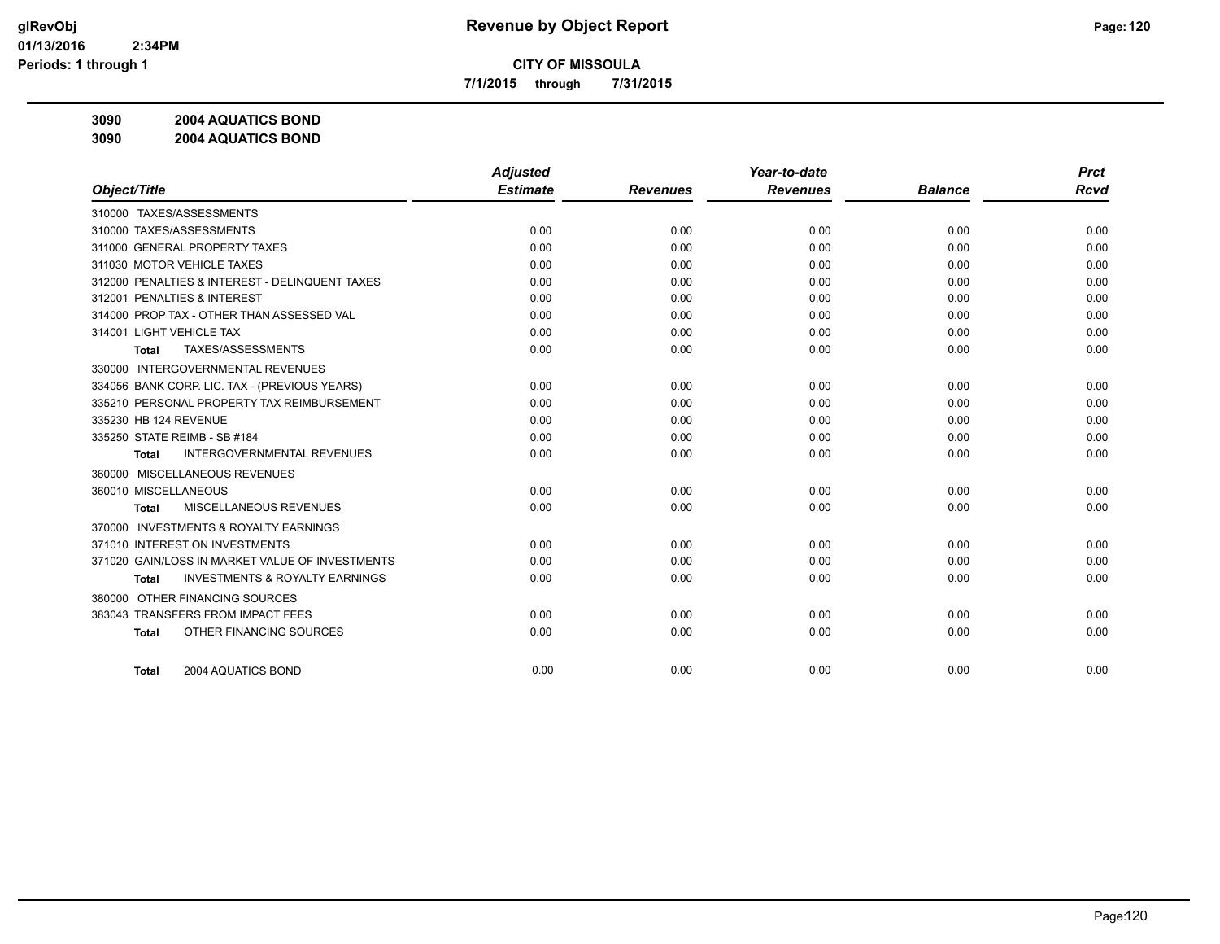**7/1/2015 through 7/31/2015**

**3090 2004 AQUATICS BOND**

**3090 2004 AQUATICS BOND**

|                                                     | <b>Adjusted</b> |                 | Year-to-date    |                | <b>Prct</b> |
|-----------------------------------------------------|-----------------|-----------------|-----------------|----------------|-------------|
| Object/Title                                        | <b>Estimate</b> | <b>Revenues</b> | <b>Revenues</b> | <b>Balance</b> | <b>Rcvd</b> |
| 310000 TAXES/ASSESSMENTS                            |                 |                 |                 |                |             |
| 310000 TAXES/ASSESSMENTS                            | 0.00            | 0.00            | 0.00            | 0.00           | 0.00        |
| 311000 GENERAL PROPERTY TAXES                       | 0.00            | 0.00            | 0.00            | 0.00           | 0.00        |
| 311030 MOTOR VEHICLE TAXES                          | 0.00            | 0.00            | 0.00            | 0.00           | 0.00        |
| 312000 PENALTIES & INTEREST - DELINQUENT TAXES      | 0.00            | 0.00            | 0.00            | 0.00           | 0.00        |
| 312001 PENALTIES & INTEREST                         | 0.00            | 0.00            | 0.00            | 0.00           | 0.00        |
| 314000 PROP TAX - OTHER THAN ASSESSED VAL           | 0.00            | 0.00            | 0.00            | 0.00           | 0.00        |
| 314001 LIGHT VEHICLE TAX                            | 0.00            | 0.00            | 0.00            | 0.00           | 0.00        |
| TAXES/ASSESSMENTS<br>Total                          | 0.00            | 0.00            | 0.00            | 0.00           | 0.00        |
| <b>INTERGOVERNMENTAL REVENUES</b><br>330000         |                 |                 |                 |                |             |
| 334056 BANK CORP. LIC. TAX - (PREVIOUS YEARS)       | 0.00            | 0.00            | 0.00            | 0.00           | 0.00        |
| 335210 PERSONAL PROPERTY TAX REIMBURSEMENT          | 0.00            | 0.00            | 0.00            | 0.00           | 0.00        |
| 335230 HB 124 REVENUE                               | 0.00            | 0.00            | 0.00            | 0.00           | 0.00        |
| 335250 STATE REIMB - SB #184                        | 0.00            | 0.00            | 0.00            | 0.00           | 0.00        |
| <b>INTERGOVERNMENTAL REVENUES</b><br><b>Total</b>   | 0.00            | 0.00            | 0.00            | 0.00           | 0.00        |
| 360000 MISCELLANEOUS REVENUES                       |                 |                 |                 |                |             |
| 360010 MISCELLANEOUS                                | 0.00            | 0.00            | 0.00            | 0.00           | 0.00        |
| MISCELLANEOUS REVENUES<br>Total                     | 0.00            | 0.00            | 0.00            | 0.00           | 0.00        |
| <b>INVESTMENTS &amp; ROYALTY EARNINGS</b><br>370000 |                 |                 |                 |                |             |
| 371010 INTEREST ON INVESTMENTS                      | 0.00            | 0.00            | 0.00            | 0.00           | 0.00        |
| 371020 GAIN/LOSS IN MARKET VALUE OF INVESTMENTS     | 0.00            | 0.00            | 0.00            | 0.00           | 0.00        |
| <b>INVESTMENTS &amp; ROYALTY EARNINGS</b><br>Total  | 0.00            | 0.00            | 0.00            | 0.00           | 0.00        |
| OTHER FINANCING SOURCES<br>380000                   |                 |                 |                 |                |             |
| 383043 TRANSFERS FROM IMPACT FEES                   | 0.00            | 0.00            | 0.00            | 0.00           | 0.00        |
| OTHER FINANCING SOURCES<br>Total                    | 0.00            | 0.00            | 0.00            | 0.00           | 0.00        |
|                                                     |                 |                 |                 |                |             |
| 2004 AQUATICS BOND<br><b>Total</b>                  | 0.00            | 0.00            | 0.00            | 0.00           | 0.00        |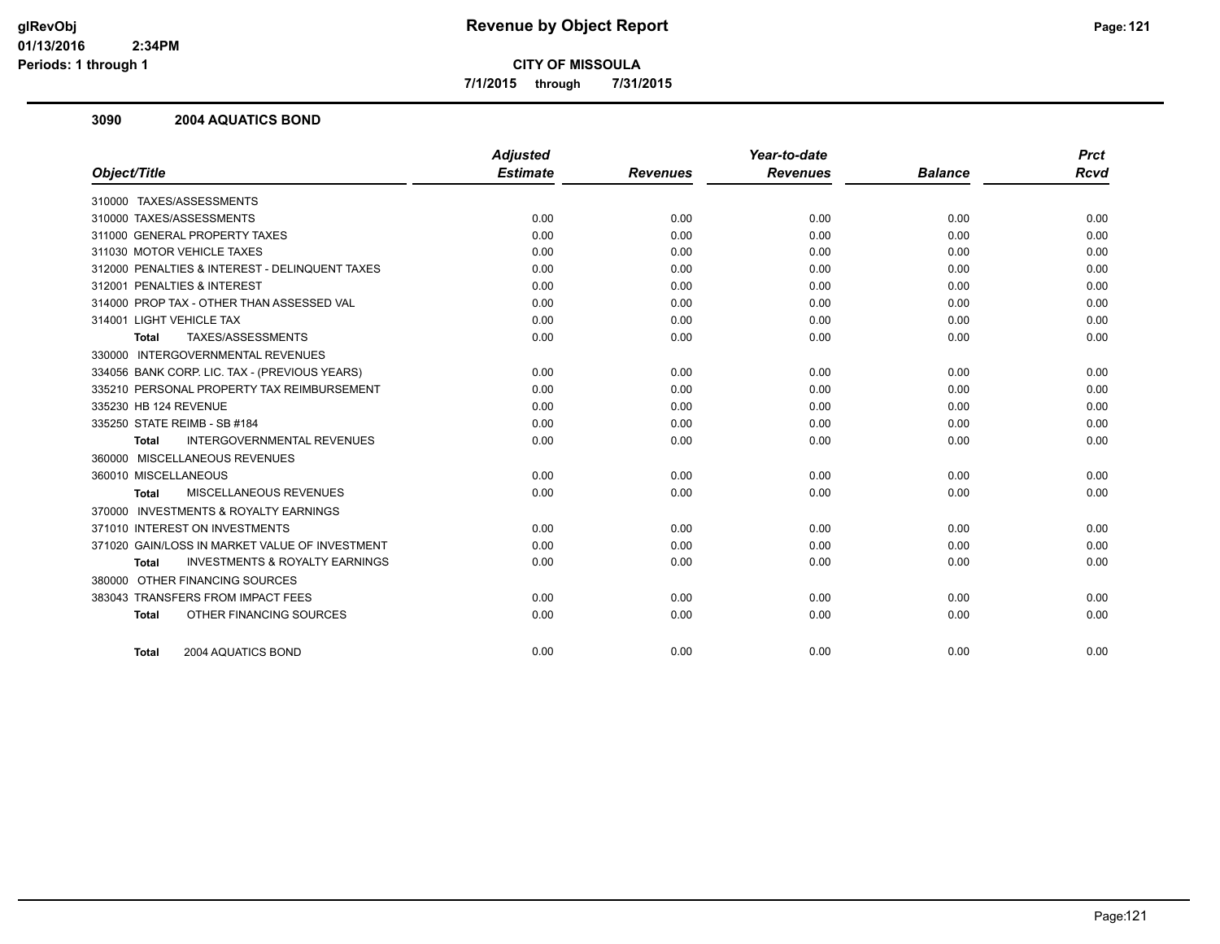**7/1/2015 through 7/31/2015**

### **3090 2004 AQUATICS BOND**

|                                                           | <b>Adjusted</b> |                 | Year-to-date    |                | <b>Prct</b> |
|-----------------------------------------------------------|-----------------|-----------------|-----------------|----------------|-------------|
| Object/Title                                              | <b>Estimate</b> | <b>Revenues</b> | <b>Revenues</b> | <b>Balance</b> | Rcvd        |
| 310000 TAXES/ASSESSMENTS                                  |                 |                 |                 |                |             |
| 310000 TAXES/ASSESSMENTS                                  | 0.00            | 0.00            | 0.00            | 0.00           | 0.00        |
| 311000 GENERAL PROPERTY TAXES                             | 0.00            | 0.00            | 0.00            | 0.00           | 0.00        |
| 311030 MOTOR VEHICLE TAXES                                | 0.00            | 0.00            | 0.00            | 0.00           | 0.00        |
| 312000 PENALTIES & INTEREST - DELINQUENT TAXES            | 0.00            | 0.00            | 0.00            | 0.00           | 0.00        |
| 312001 PENALTIES & INTEREST                               | 0.00            | 0.00            | 0.00            | 0.00           | 0.00        |
| 314000 PROP TAX - OTHER THAN ASSESSED VAL                 | 0.00            | 0.00            | 0.00            | 0.00           | 0.00        |
| 314001 LIGHT VEHICLE TAX                                  | 0.00            | 0.00            | 0.00            | 0.00           | 0.00        |
| TAXES/ASSESSMENTS<br><b>Total</b>                         | 0.00            | 0.00            | 0.00            | 0.00           | 0.00        |
| 330000 INTERGOVERNMENTAL REVENUES                         |                 |                 |                 |                |             |
| 334056 BANK CORP. LIC. TAX - (PREVIOUS YEARS)             | 0.00            | 0.00            | 0.00            | 0.00           | 0.00        |
| 335210 PERSONAL PROPERTY TAX REIMBURSEMENT                | 0.00            | 0.00            | 0.00            | 0.00           | 0.00        |
| 335230 HB 124 REVENUE                                     | 0.00            | 0.00            | 0.00            | 0.00           | 0.00        |
| 335250 STATE REIMB - SB #184                              | 0.00            | 0.00            | 0.00            | 0.00           | 0.00        |
| <b>INTERGOVERNMENTAL REVENUES</b><br><b>Total</b>         | 0.00            | 0.00            | 0.00            | 0.00           | 0.00        |
| 360000 MISCELLANEOUS REVENUES                             |                 |                 |                 |                |             |
| 360010 MISCELLANEOUS                                      | 0.00            | 0.00            | 0.00            | 0.00           | 0.00        |
| MISCELLANEOUS REVENUES<br><b>Total</b>                    | 0.00            | 0.00            | 0.00            | 0.00           | 0.00        |
| 370000 INVESTMENTS & ROYALTY EARNINGS                     |                 |                 |                 |                |             |
| 371010 INTEREST ON INVESTMENTS                            | 0.00            | 0.00            | 0.00            | 0.00           | 0.00        |
| 371020 GAIN/LOSS IN MARKET VALUE OF INVESTMENT            | 0.00            | 0.00            | 0.00            | 0.00           | 0.00        |
| <b>INVESTMENTS &amp; ROYALTY EARNINGS</b><br><b>Total</b> | 0.00            | 0.00            | 0.00            | 0.00           | 0.00        |
| 380000 OTHER FINANCING SOURCES                            |                 |                 |                 |                |             |
| 383043 TRANSFERS FROM IMPACT FEES                         | 0.00            | 0.00            | 0.00            | 0.00           | 0.00        |
| OTHER FINANCING SOURCES<br><b>Total</b>                   | 0.00            | 0.00            | 0.00            | 0.00           | 0.00        |
| 2004 AQUATICS BOND<br>Total                               | 0.00            | 0.00            | 0.00            | 0.00           | 0.00        |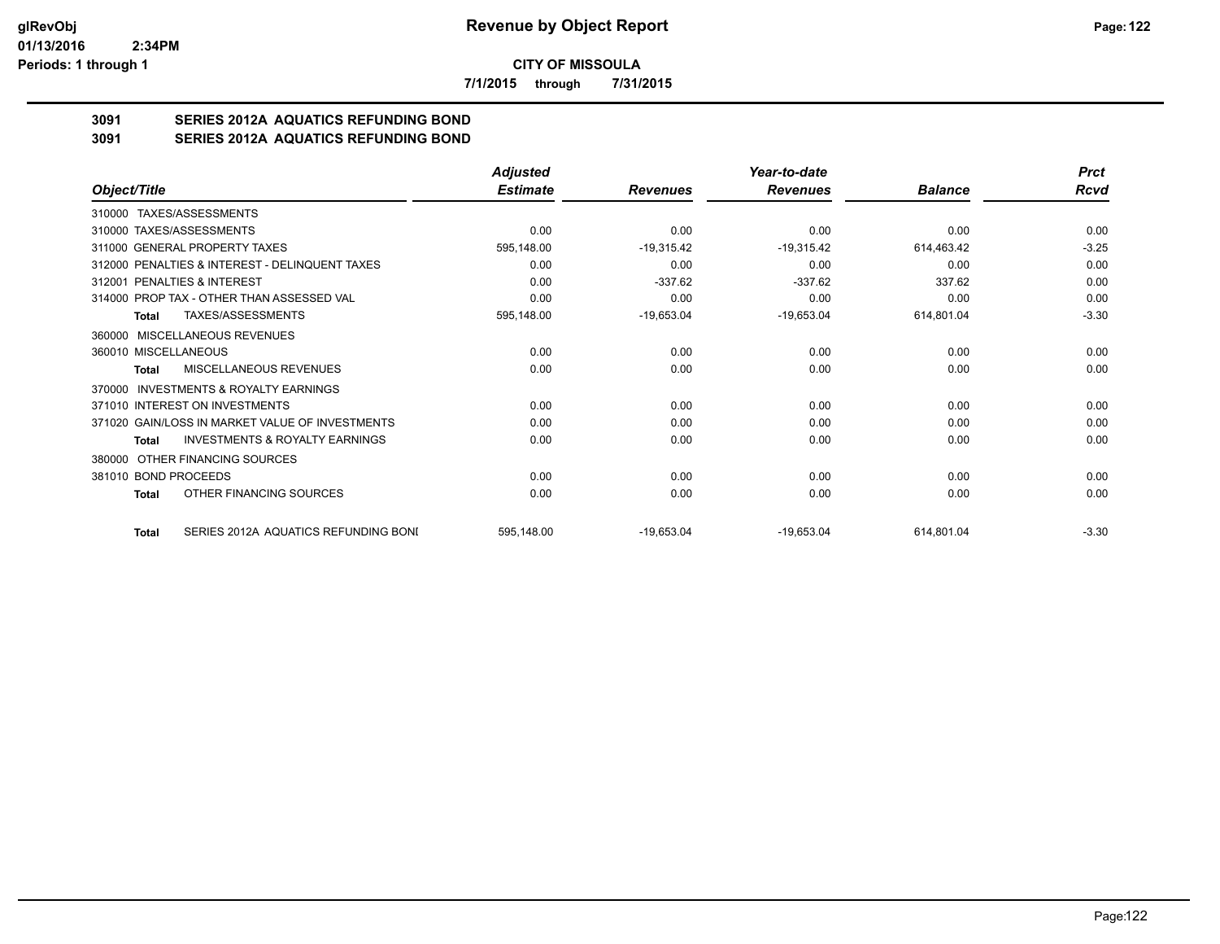**7/1/2015 through 7/31/2015**

# **3091 SERIES 2012A AQUATICS REFUNDING BOND**

**3091 SERIES 2012A AQUATICS REFUNDING BOND**

|                                                           | <b>Adjusted</b> |                 | Year-to-date    |                | <b>Prct</b> |
|-----------------------------------------------------------|-----------------|-----------------|-----------------|----------------|-------------|
| Object/Title                                              | <b>Estimate</b> | <b>Revenues</b> | <b>Revenues</b> | <b>Balance</b> | Rcvd        |
| TAXES/ASSESSMENTS<br>310000                               |                 |                 |                 |                |             |
| 310000 TAXES/ASSESSMENTS                                  | 0.00            | 0.00            | 0.00            | 0.00           | 0.00        |
| 311000 GENERAL PROPERTY TAXES                             | 595,148.00      | $-19,315.42$    | $-19,315.42$    | 614,463.42     | $-3.25$     |
| 312000 PENALTIES & INTEREST - DELINQUENT TAXES            | 0.00            | 0.00            | 0.00            | 0.00           | 0.00        |
| 312001 PENALTIES & INTEREST                               | 0.00            | $-337.62$       | $-337.62$       | 337.62         | 0.00        |
| 314000 PROP TAX - OTHER THAN ASSESSED VAL                 | 0.00            | 0.00            | 0.00            | 0.00           | 0.00        |
| TAXES/ASSESSMENTS<br><b>Total</b>                         | 595,148.00      | $-19,653.04$    | $-19,653.04$    | 614,801.04     | $-3.30$     |
| 360000 MISCELLANEOUS REVENUES                             |                 |                 |                 |                |             |
| 360010 MISCELLANEOUS                                      | 0.00            | 0.00            | 0.00            | 0.00           | 0.00        |
| MISCELLANEOUS REVENUES<br><b>Total</b>                    | 0.00            | 0.00            | 0.00            | 0.00           | 0.00        |
| INVESTMENTS & ROYALTY EARNINGS<br>370000                  |                 |                 |                 |                |             |
| 371010 INTEREST ON INVESTMENTS                            | 0.00            | 0.00            | 0.00            | 0.00           | 0.00        |
| 371020 GAIN/LOSS IN MARKET VALUE OF INVESTMENTS           | 0.00            | 0.00            | 0.00            | 0.00           | 0.00        |
| <b>INVESTMENTS &amp; ROYALTY EARNINGS</b><br><b>Total</b> | 0.00            | 0.00            | 0.00            | 0.00           | 0.00        |
| OTHER FINANCING SOURCES<br>380000                         |                 |                 |                 |                |             |
| 381010 BOND PROCEEDS                                      | 0.00            | 0.00            | 0.00            | 0.00           | 0.00        |
| OTHER FINANCING SOURCES<br><b>Total</b>                   | 0.00            | 0.00            | 0.00            | 0.00           | 0.00        |
| SERIES 2012A AQUATICS REFUNDING BONI<br><b>Total</b>      | 595,148.00      | $-19,653.04$    | $-19,653.04$    | 614,801.04     | $-3.30$     |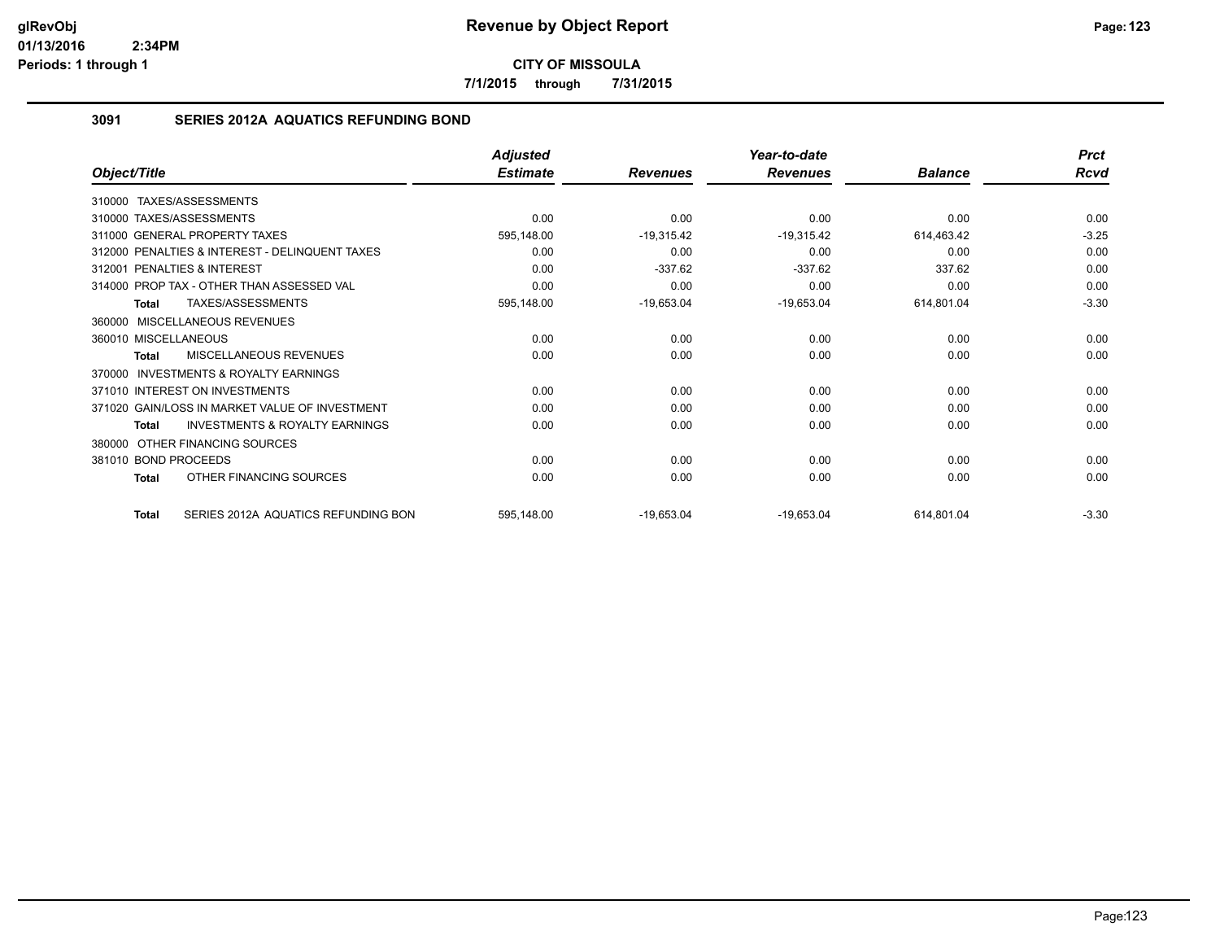**7/1/2015 through 7/31/2015**

## **3091 SERIES 2012A AQUATICS REFUNDING BOND**

|                                                           | <b>Adjusted</b> |                 | Year-to-date    |                | <b>Prct</b> |
|-----------------------------------------------------------|-----------------|-----------------|-----------------|----------------|-------------|
| Object/Title                                              | <b>Estimate</b> | <b>Revenues</b> | <b>Revenues</b> | <b>Balance</b> | Rcvd        |
| TAXES/ASSESSMENTS<br>310000                               |                 |                 |                 |                |             |
| 310000 TAXES/ASSESSMENTS                                  | 0.00            | 0.00            | 0.00            | 0.00           | 0.00        |
| 311000 GENERAL PROPERTY TAXES                             | 595,148.00      | $-19,315.42$    | $-19,315.42$    | 614,463.42     | $-3.25$     |
| 312000 PENALTIES & INTEREST - DELINQUENT TAXES            | 0.00            | 0.00            | 0.00            | 0.00           | 0.00        |
| 312001 PENALTIES & INTEREST                               | 0.00            | $-337.62$       | $-337.62$       | 337.62         | 0.00        |
| 314000 PROP TAX - OTHER THAN ASSESSED VAL                 | 0.00            | 0.00            | 0.00            | 0.00           | 0.00        |
| TAXES/ASSESSMENTS<br><b>Total</b>                         | 595,148.00      | $-19,653.04$    | $-19,653.04$    | 614,801.04     | $-3.30$     |
| MISCELLANEOUS REVENUES<br>360000                          |                 |                 |                 |                |             |
| 360010 MISCELLANEOUS                                      | 0.00            | 0.00            | 0.00            | 0.00           | 0.00        |
| MISCELLANEOUS REVENUES<br><b>Total</b>                    | 0.00            | 0.00            | 0.00            | 0.00           | 0.00        |
| <b>INVESTMENTS &amp; ROYALTY EARNINGS</b><br>370000       |                 |                 |                 |                |             |
| 371010 INTEREST ON INVESTMENTS                            | 0.00            | 0.00            | 0.00            | 0.00           | 0.00        |
| 371020 GAIN/LOSS IN MARKET VALUE OF INVESTMENT            | 0.00            | 0.00            | 0.00            | 0.00           | 0.00        |
| <b>INVESTMENTS &amp; ROYALTY EARNINGS</b><br><b>Total</b> | 0.00            | 0.00            | 0.00            | 0.00           | 0.00        |
| OTHER FINANCING SOURCES<br>380000                         |                 |                 |                 |                |             |
| 381010 BOND PROCEEDS                                      | 0.00            | 0.00            | 0.00            | 0.00           | 0.00        |
| OTHER FINANCING SOURCES<br><b>Total</b>                   | 0.00            | 0.00            | 0.00            | 0.00           | 0.00        |
| SERIES 2012A AQUATICS REFUNDING BON<br><b>Total</b>       | 595,148.00      | $-19,653.04$    | $-19,653.04$    | 614,801.04     | $-3.30$     |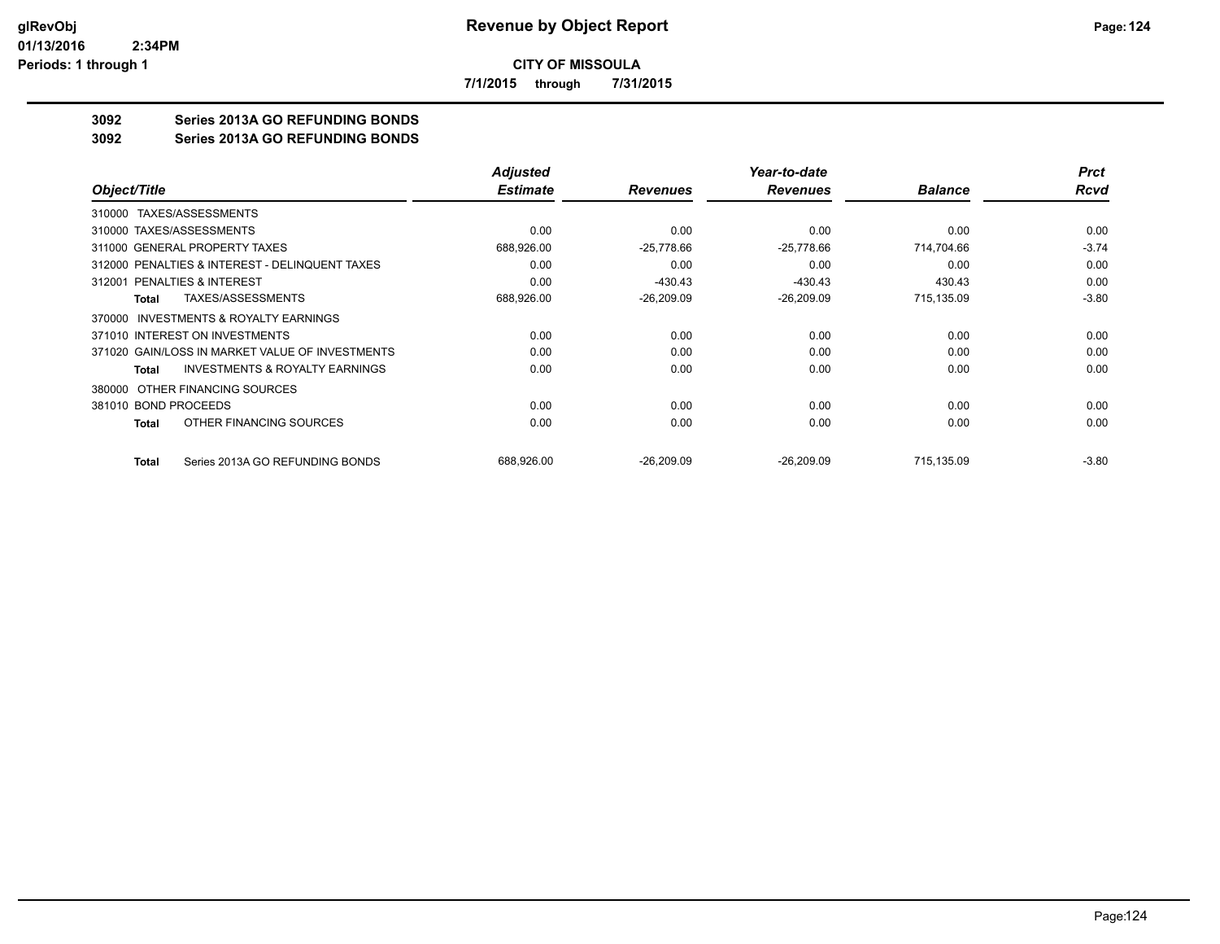**7/1/2015 through 7/31/2015**

## **3092 Series 2013A GO REFUNDING BONDS**

**3092 Series 2013A GO REFUNDING BONDS**

|                                                     | <b>Adjusted</b> |                 | Year-to-date    |                | <b>Prct</b> |
|-----------------------------------------------------|-----------------|-----------------|-----------------|----------------|-------------|
| Object/Title                                        | <b>Estimate</b> | <b>Revenues</b> | <b>Revenues</b> | <b>Balance</b> | <b>Rcvd</b> |
| 310000 TAXES/ASSESSMENTS                            |                 |                 |                 |                |             |
| 310000 TAXES/ASSESSMENTS                            | 0.00            | 0.00            | 0.00            | 0.00           | 0.00        |
| 311000 GENERAL PROPERTY TAXES                       | 688,926.00      | $-25,778.66$    | $-25,778.66$    | 714,704.66     | $-3.74$     |
| 312000 PENALTIES & INTEREST - DELINQUENT TAXES      | 0.00            | 0.00            | 0.00            | 0.00           | 0.00        |
| 312001 PENALTIES & INTEREST                         | 0.00            | $-430.43$       | $-430.43$       | 430.43         | 0.00        |
| TAXES/ASSESSMENTS<br>Total                          | 688,926.00      | $-26,209.09$    | $-26,209.09$    | 715,135.09     | $-3.80$     |
| <b>INVESTMENTS &amp; ROYALTY EARNINGS</b><br>370000 |                 |                 |                 |                |             |
| 371010 INTEREST ON INVESTMENTS                      | 0.00            | 0.00            | 0.00            | 0.00           | 0.00        |
| 371020 GAIN/LOSS IN MARKET VALUE OF INVESTMENTS     | 0.00            | 0.00            | 0.00            | 0.00           | 0.00        |
| <b>INVESTMENTS &amp; ROYALTY EARNINGS</b><br>Total  | 0.00            | 0.00            | 0.00            | 0.00           | 0.00        |
| OTHER FINANCING SOURCES<br>380000                   |                 |                 |                 |                |             |
| 381010 BOND PROCEEDS                                | 0.00            | 0.00            | 0.00            | 0.00           | 0.00        |
| OTHER FINANCING SOURCES<br><b>Total</b>             | 0.00            | 0.00            | 0.00            | 0.00           | 0.00        |
| Series 2013A GO REFUNDING BONDS<br>Total            | 688,926.00      | $-26,209.09$    | $-26,209.09$    | 715,135.09     | $-3.80$     |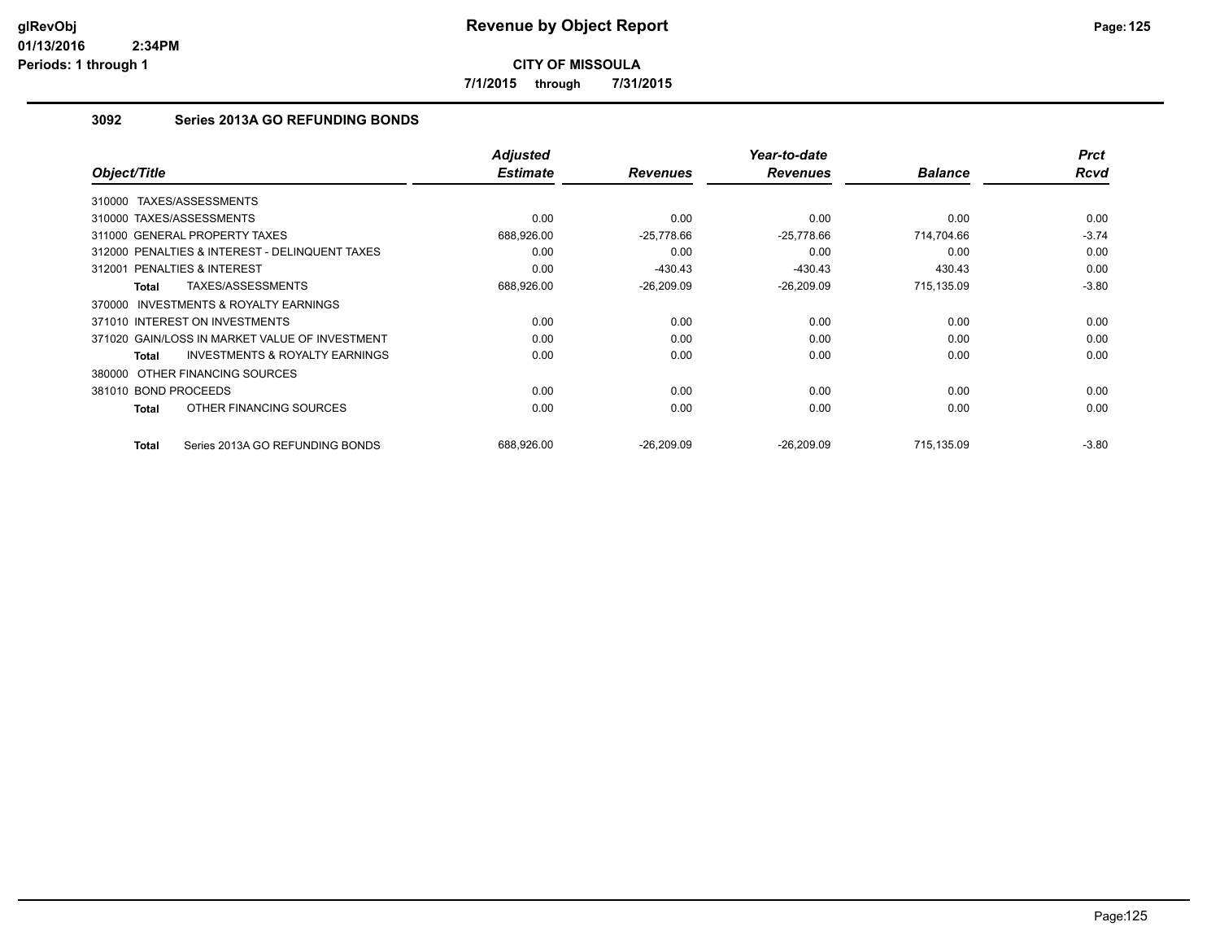**7/1/2015 through 7/31/2015**

## **3092 Series 2013A GO REFUNDING BONDS**

| Object/Title                                              | <b>Adjusted</b><br><b>Estimate</b> | <b>Revenues</b> | Year-to-date<br><b>Revenues</b> | <b>Balance</b> | <b>Prct</b><br><b>Rcvd</b> |
|-----------------------------------------------------------|------------------------------------|-----------------|---------------------------------|----------------|----------------------------|
| TAXES/ASSESSMENTS<br>310000                               |                                    |                 |                                 |                |                            |
| 310000 TAXES/ASSESSMENTS                                  | 0.00                               | 0.00            | 0.00                            | 0.00           | 0.00                       |
| 311000 GENERAL PROPERTY TAXES                             | 688,926.00                         | $-25,778.66$    | $-25,778.66$                    | 714,704.66     | $-3.74$                    |
| 312000 PENALTIES & INTEREST - DELINQUENT TAXES            | 0.00                               | 0.00            | 0.00                            | 0.00           | 0.00                       |
| PENALTIES & INTEREST<br>312001                            | 0.00                               | $-430.43$       | $-430.43$                       | 430.43         | 0.00                       |
| TAXES/ASSESSMENTS<br>Total                                | 688,926.00                         | $-26,209.09$    | $-26,209.09$                    | 715,135.09     | $-3.80$                    |
| <b>INVESTMENTS &amp; ROYALTY EARNINGS</b><br>370000       |                                    |                 |                                 |                |                            |
| 371010 INTEREST ON INVESTMENTS                            | 0.00                               | 0.00            | 0.00                            | 0.00           | 0.00                       |
| 371020 GAIN/LOSS IN MARKET VALUE OF INVESTMENT            | 0.00                               | 0.00            | 0.00                            | 0.00           | 0.00                       |
| <b>INVESTMENTS &amp; ROYALTY EARNINGS</b><br><b>Total</b> | 0.00                               | 0.00            | 0.00                            | 0.00           | 0.00                       |
| 380000 OTHER FINANCING SOURCES                            |                                    |                 |                                 |                |                            |
| 381010 BOND PROCEEDS                                      | 0.00                               | 0.00            | 0.00                            | 0.00           | 0.00                       |
| OTHER FINANCING SOURCES<br>Total                          | 0.00                               | 0.00            | 0.00                            | 0.00           | 0.00                       |
| Series 2013A GO REFUNDING BONDS<br>Total                  | 688.926.00                         | $-26.209.09$    | $-26,209.09$                    | 715,135.09     | $-3.80$                    |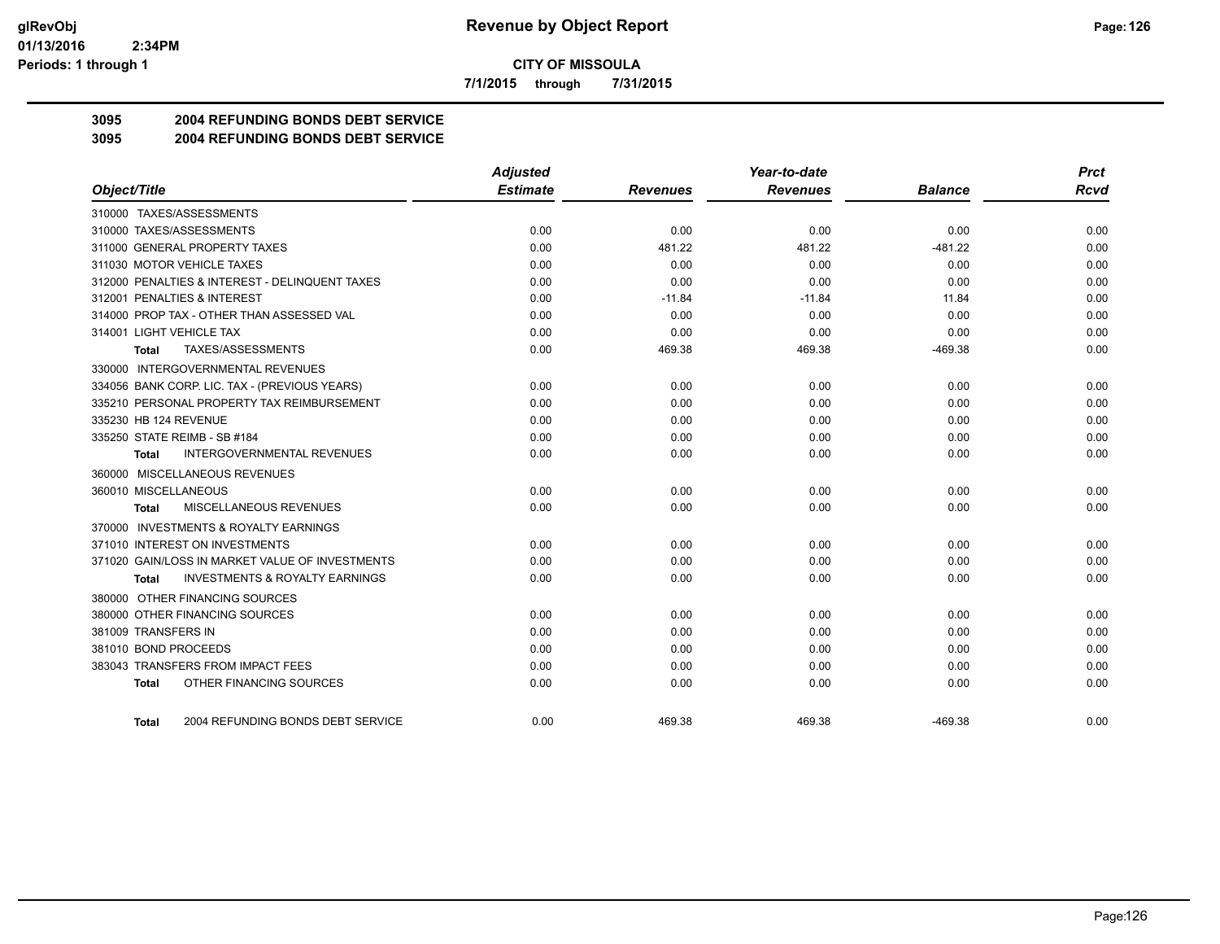**7/1/2015 through 7/31/2015**

# **3095 2004 REFUNDING BONDS DEBT SERVICE**

## **3095 2004 REFUNDING BONDS DEBT SERVICE**

|                                                    | <b>Adjusted</b> |                 | Year-to-date    |                | <b>Prct</b> |
|----------------------------------------------------|-----------------|-----------------|-----------------|----------------|-------------|
| Object/Title                                       | <b>Estimate</b> | <b>Revenues</b> | <b>Revenues</b> | <b>Balance</b> | Rcvd        |
| 310000 TAXES/ASSESSMENTS                           |                 |                 |                 |                |             |
| 310000 TAXES/ASSESSMENTS                           | 0.00            | 0.00            | 0.00            | 0.00           | 0.00        |
| 311000 GENERAL PROPERTY TAXES                      | 0.00            | 481.22          | 481.22          | $-481.22$      | 0.00        |
| 311030 MOTOR VEHICLE TAXES                         | 0.00            | 0.00            | 0.00            | 0.00           | 0.00        |
| 312000 PENALTIES & INTEREST - DELINQUENT TAXES     | 0.00            | 0.00            | 0.00            | 0.00           | 0.00        |
| 312001 PENALTIES & INTEREST                        | 0.00            | $-11.84$        | $-11.84$        | 11.84          | 0.00        |
| 314000 PROP TAX - OTHER THAN ASSESSED VAL          | 0.00            | 0.00            | 0.00            | 0.00           | 0.00        |
| 314001 LIGHT VEHICLE TAX                           | 0.00            | 0.00            | 0.00            | 0.00           | 0.00        |
| TAXES/ASSESSMENTS<br>Total                         | 0.00            | 469.38          | 469.38          | $-469.38$      | 0.00        |
| 330000 INTERGOVERNMENTAL REVENUES                  |                 |                 |                 |                |             |
| 334056 BANK CORP. LIC. TAX - (PREVIOUS YEARS)      | 0.00            | 0.00            | 0.00            | 0.00           | 0.00        |
| 335210 PERSONAL PROPERTY TAX REIMBURSEMENT         | 0.00            | 0.00            | 0.00            | 0.00           | 0.00        |
| 335230 HB 124 REVENUE                              | 0.00            | 0.00            | 0.00            | 0.00           | 0.00        |
| 335250 STATE REIMB - SB #184                       | 0.00            | 0.00            | 0.00            | 0.00           | 0.00        |
| <b>INTERGOVERNMENTAL REVENUES</b><br>Total         | 0.00            | 0.00            | 0.00            | 0.00           | 0.00        |
| 360000 MISCELLANEOUS REVENUES                      |                 |                 |                 |                |             |
| 360010 MISCELLANEOUS                               | 0.00            | 0.00            | 0.00            | 0.00           | 0.00        |
| MISCELLANEOUS REVENUES<br>Total                    | 0.00            | 0.00            | 0.00            | 0.00           | 0.00        |
| 370000 INVESTMENTS & ROYALTY EARNINGS              |                 |                 |                 |                |             |
| 371010 INTEREST ON INVESTMENTS                     | 0.00            | 0.00            | 0.00            | 0.00           | 0.00        |
| 371020 GAIN/LOSS IN MARKET VALUE OF INVESTMENTS    | 0.00            | 0.00            | 0.00            | 0.00           | 0.00        |
| <b>INVESTMENTS &amp; ROYALTY EARNINGS</b><br>Total | 0.00            | 0.00            | 0.00            | 0.00           | 0.00        |
| 380000 OTHER FINANCING SOURCES                     |                 |                 |                 |                |             |
| 380000 OTHER FINANCING SOURCES                     | 0.00            | 0.00            | 0.00            | 0.00           | 0.00        |
| 381009 TRANSFERS IN                                | 0.00            | 0.00            | 0.00            | 0.00           | 0.00        |
| 381010 BOND PROCEEDS                               | 0.00            | 0.00            | 0.00            | 0.00           | 0.00        |
| 383043 TRANSFERS FROM IMPACT FEES                  | 0.00            | 0.00            | 0.00            | 0.00           | 0.00        |
| OTHER FINANCING SOURCES<br><b>Total</b>            | 0.00            | 0.00            | 0.00            | 0.00           | 0.00        |
| 2004 REFUNDING BONDS DEBT SERVICE<br>Total         | 0.00            | 469.38          | 469.38          | $-469.38$      | 0.00        |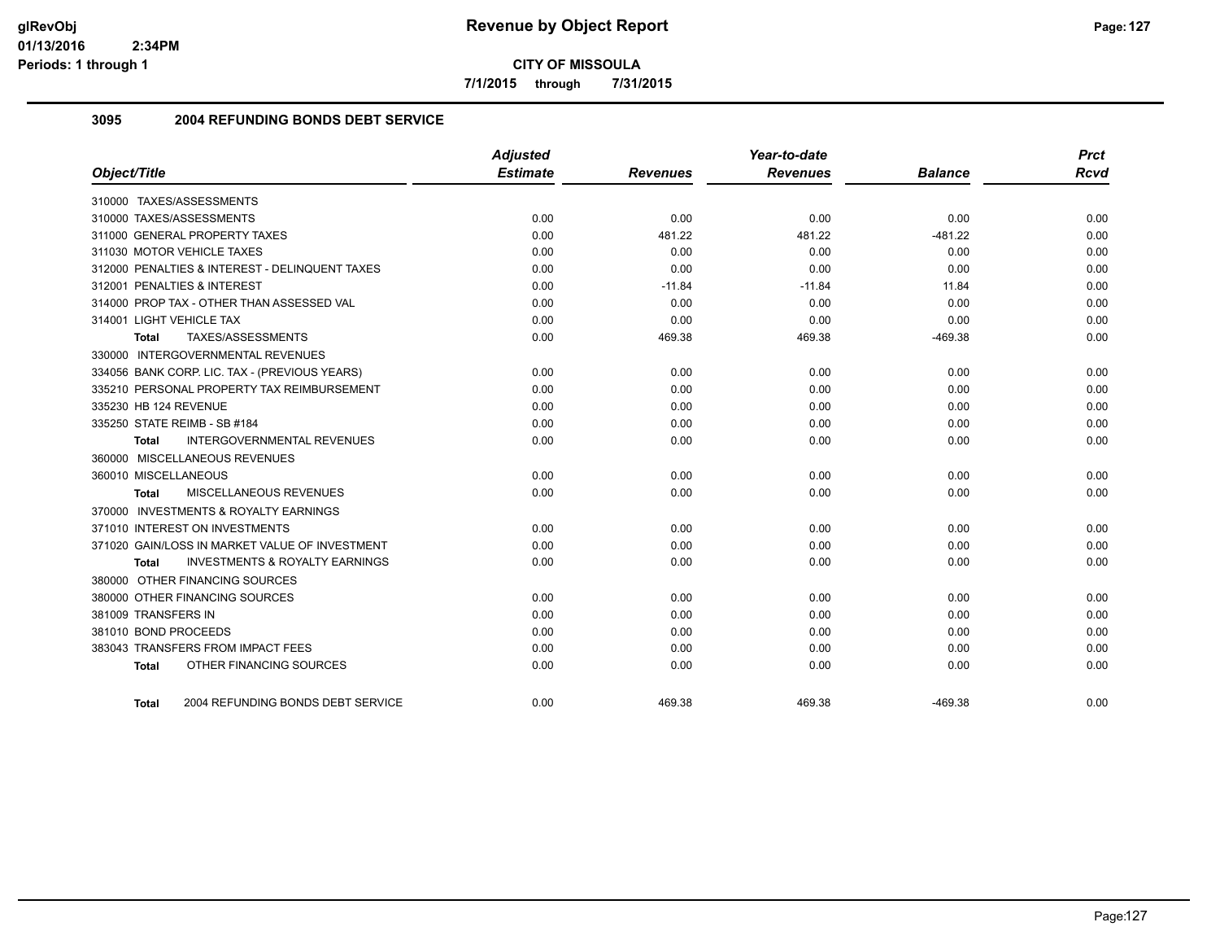**7/1/2015 through 7/31/2015**

## **3095 2004 REFUNDING BONDS DEBT SERVICE**

|                                                    | <b>Adjusted</b> |                 | Year-to-date    |                | <b>Prct</b> |
|----------------------------------------------------|-----------------|-----------------|-----------------|----------------|-------------|
| Object/Title                                       | <b>Estimate</b> | <b>Revenues</b> | <b>Revenues</b> | <b>Balance</b> | <b>Rcvd</b> |
| 310000 TAXES/ASSESSMENTS                           |                 |                 |                 |                |             |
| 310000 TAXES/ASSESSMENTS                           | 0.00            | 0.00            | 0.00            | 0.00           | 0.00        |
| 311000 GENERAL PROPERTY TAXES                      | 0.00            | 481.22          | 481.22          | $-481.22$      | 0.00        |
| 311030 MOTOR VEHICLE TAXES                         | 0.00            | 0.00            | 0.00            | 0.00           | 0.00        |
| 312000 PENALTIES & INTEREST - DELINQUENT TAXES     | 0.00            | 0.00            | 0.00            | 0.00           | 0.00        |
| 312001 PENALTIES & INTEREST                        | 0.00            | $-11.84$        | $-11.84$        | 11.84          | 0.00        |
| 314000 PROP TAX - OTHER THAN ASSESSED VAL          | 0.00            | 0.00            | 0.00            | 0.00           | 0.00        |
| 314001 LIGHT VEHICLE TAX                           | 0.00            | 0.00            | 0.00            | 0.00           | 0.00        |
| TAXES/ASSESSMENTS<br>Total                         | 0.00            | 469.38          | 469.38          | $-469.38$      | 0.00        |
| 330000 INTERGOVERNMENTAL REVENUES                  |                 |                 |                 |                |             |
| 334056 BANK CORP. LIC. TAX - (PREVIOUS YEARS)      | 0.00            | 0.00            | 0.00            | 0.00           | 0.00        |
| 335210 PERSONAL PROPERTY TAX REIMBURSEMENT         | 0.00            | 0.00            | 0.00            | 0.00           | 0.00        |
| 335230 HB 124 REVENUE                              | 0.00            | 0.00            | 0.00            | 0.00           | 0.00        |
| 335250 STATE REIMB - SB #184                       | 0.00            | 0.00            | 0.00            | 0.00           | 0.00        |
| <b>INTERGOVERNMENTAL REVENUES</b><br>Total         | 0.00            | 0.00            | 0.00            | 0.00           | 0.00        |
| 360000 MISCELLANEOUS REVENUES                      |                 |                 |                 |                |             |
| 360010 MISCELLANEOUS                               | 0.00            | 0.00            | 0.00            | 0.00           | 0.00        |
| MISCELLANEOUS REVENUES<br>Total                    | 0.00            | 0.00            | 0.00            | 0.00           | 0.00        |
| 370000 INVESTMENTS & ROYALTY EARNINGS              |                 |                 |                 |                |             |
| 371010 INTEREST ON INVESTMENTS                     | 0.00            | 0.00            | 0.00            | 0.00           | 0.00        |
| 371020 GAIN/LOSS IN MARKET VALUE OF INVESTMENT     | 0.00            | 0.00            | 0.00            | 0.00           | 0.00        |
| <b>INVESTMENTS &amp; ROYALTY EARNINGS</b><br>Total | 0.00            | 0.00            | 0.00            | 0.00           | 0.00        |
| 380000 OTHER FINANCING SOURCES                     |                 |                 |                 |                |             |
| 380000 OTHER FINANCING SOURCES                     | 0.00            | 0.00            | 0.00            | 0.00           | 0.00        |
| 381009 TRANSFERS IN                                | 0.00            | 0.00            | 0.00            | 0.00           | 0.00        |
| 381010 BOND PROCEEDS                               | 0.00            | 0.00            | 0.00            | 0.00           | 0.00        |
| 383043 TRANSFERS FROM IMPACT FEES                  | 0.00            | 0.00            | 0.00            | 0.00           | 0.00        |
| OTHER FINANCING SOURCES<br><b>Total</b>            | 0.00            | 0.00            | 0.00            | 0.00           | 0.00        |
| 2004 REFUNDING BONDS DEBT SERVICE<br>Total         | 0.00            | 469.38          | 469.38          | $-469.38$      | 0.00        |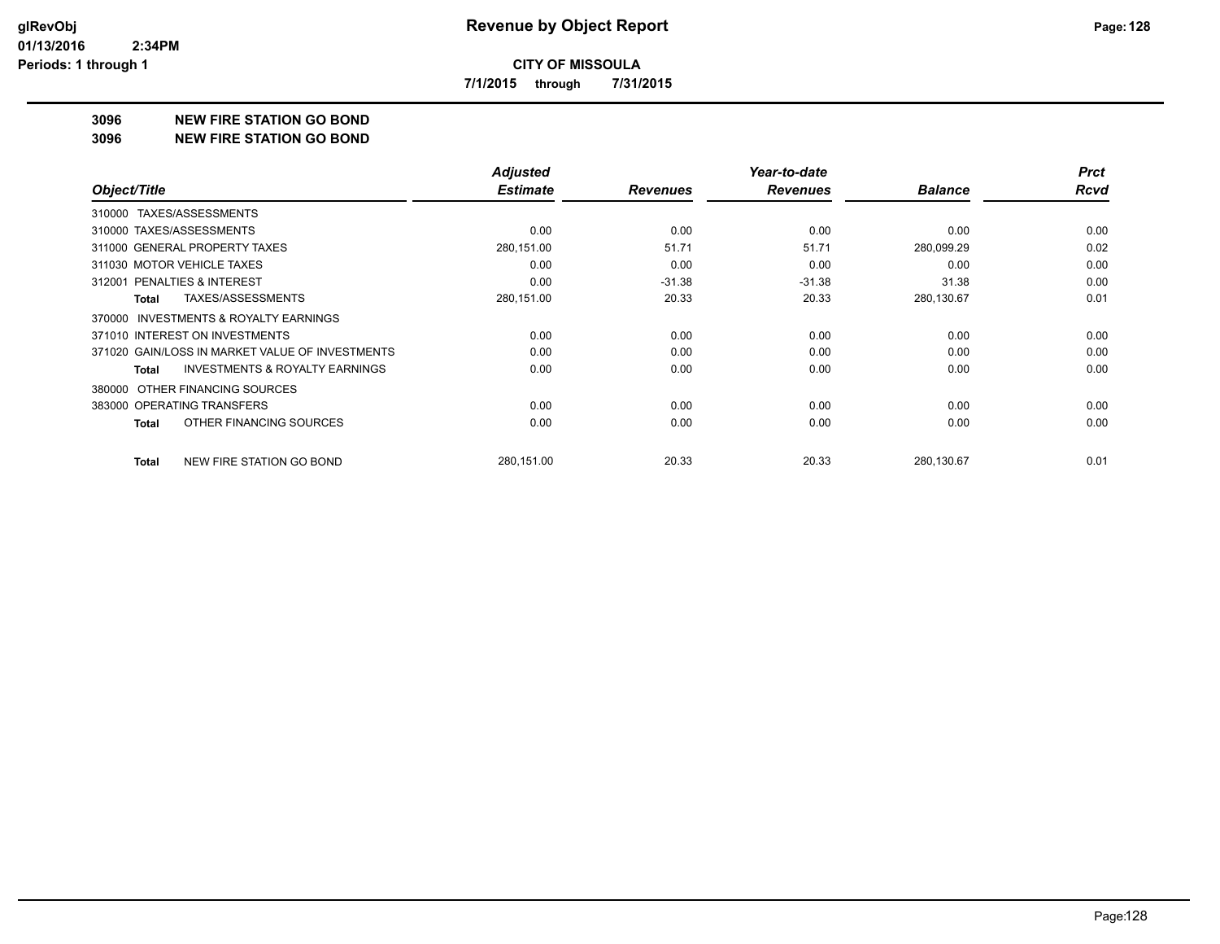**7/1/2015 through 7/31/2015**

#### **3096 NEW FIRE STATION GO BOND**

#### **3096 NEW FIRE STATION GO BOND**

|                                                           | <b>Adjusted</b> |                 | Year-to-date    |                | <b>Prct</b> |
|-----------------------------------------------------------|-----------------|-----------------|-----------------|----------------|-------------|
| Object/Title                                              | <b>Estimate</b> | <b>Revenues</b> | <b>Revenues</b> | <b>Balance</b> | <b>Rcvd</b> |
| TAXES/ASSESSMENTS<br>310000                               |                 |                 |                 |                |             |
| 310000 TAXES/ASSESSMENTS                                  | 0.00            | 0.00            | 0.00            | 0.00           | 0.00        |
| 311000 GENERAL PROPERTY TAXES                             | 280,151.00      | 51.71           | 51.71           | 280,099.29     | 0.02        |
| 311030 MOTOR VEHICLE TAXES                                | 0.00            | 0.00            | 0.00            | 0.00           | 0.00        |
| 312001 PENALTIES & INTEREST                               | 0.00            | $-31.38$        | $-31.38$        | 31.38          | 0.00        |
| <b>TAXES/ASSESSMENTS</b><br>Total                         | 280,151.00      | 20.33           | 20.33           | 280,130.67     | 0.01        |
| <b>INVESTMENTS &amp; ROYALTY EARNINGS</b><br>370000       |                 |                 |                 |                |             |
| 371010 INTEREST ON INVESTMENTS                            | 0.00            | 0.00            | 0.00            | 0.00           | 0.00        |
| 371020 GAIN/LOSS IN MARKET VALUE OF INVESTMENTS           | 0.00            | 0.00            | 0.00            | 0.00           | 0.00        |
| <b>INVESTMENTS &amp; ROYALTY EARNINGS</b><br><b>Total</b> | 0.00            | 0.00            | 0.00            | 0.00           | 0.00        |
| OTHER FINANCING SOURCES<br>380000                         |                 |                 |                 |                |             |
| 383000 OPERATING TRANSFERS                                | 0.00            | 0.00            | 0.00            | 0.00           | 0.00        |
| OTHER FINANCING SOURCES<br><b>Total</b>                   | 0.00            | 0.00            | 0.00            | 0.00           | 0.00        |
| NEW FIRE STATION GO BOND<br><b>Total</b>                  | 280,151.00      | 20.33           | 20.33           | 280,130.67     | 0.01        |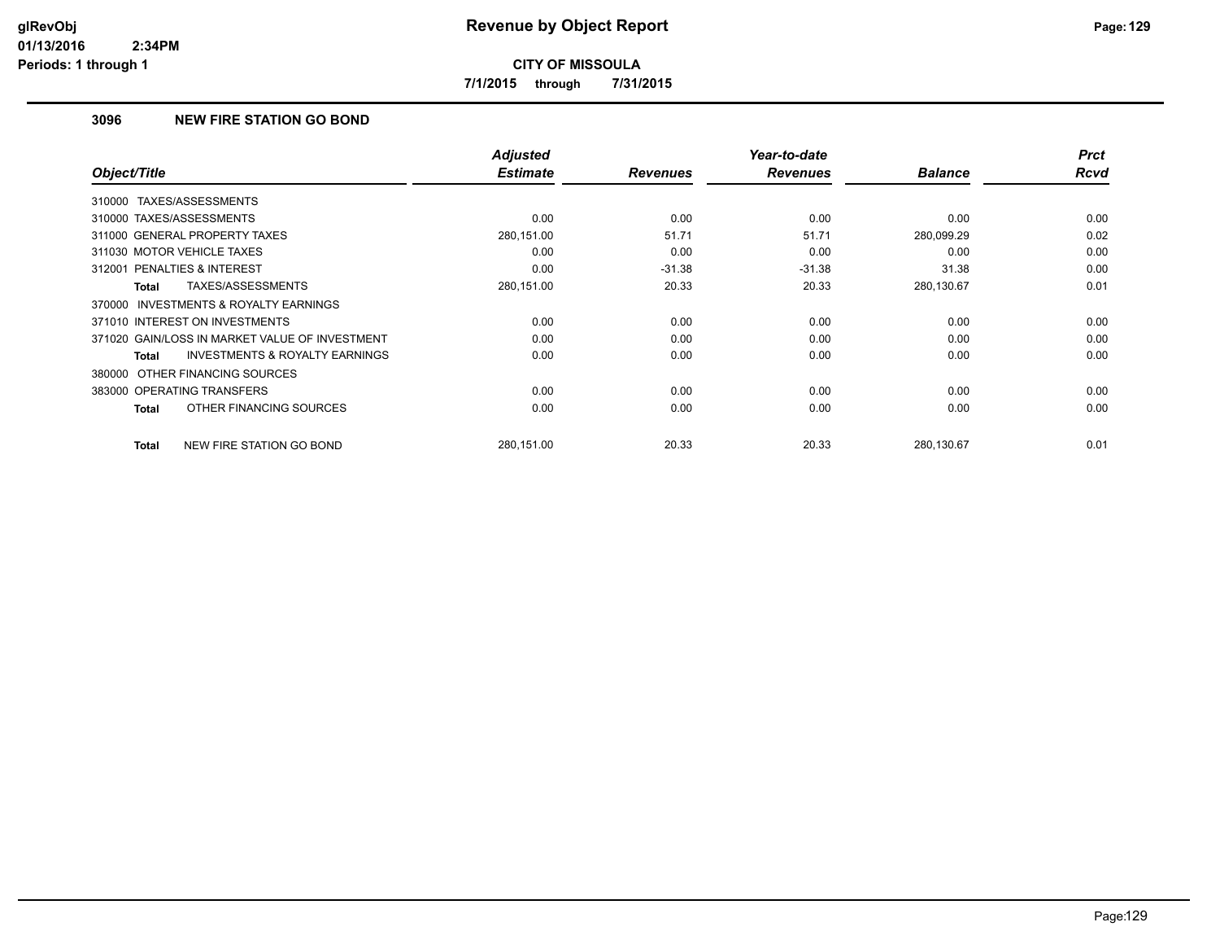**7/1/2015 through 7/31/2015**

## **3096 NEW FIRE STATION GO BOND**

|                                                    | <b>Adjusted</b> |                 | Year-to-date    |                | <b>Prct</b> |
|----------------------------------------------------|-----------------|-----------------|-----------------|----------------|-------------|
| Object/Title                                       | <b>Estimate</b> | <b>Revenues</b> | <b>Revenues</b> | <b>Balance</b> | <b>Rcvd</b> |
| 310000 TAXES/ASSESSMENTS                           |                 |                 |                 |                |             |
| 310000 TAXES/ASSESSMENTS                           | 0.00            | 0.00            | 0.00            | 0.00           | 0.00        |
| 311000 GENERAL PROPERTY TAXES                      | 280,151.00      | 51.71           | 51.71           | 280,099.29     | 0.02        |
| 311030 MOTOR VEHICLE TAXES                         | 0.00            | 0.00            | 0.00            | 0.00           | 0.00        |
| 312001 PENALTIES & INTEREST                        | 0.00            | $-31.38$        | $-31.38$        | 31.38          | 0.00        |
| TAXES/ASSESSMENTS<br>Total                         | 280,151.00      | 20.33           | 20.33           | 280,130.67     | 0.01        |
| 370000 INVESTMENTS & ROYALTY EARNINGS              |                 |                 |                 |                |             |
| 371010 INTEREST ON INVESTMENTS                     | 0.00            | 0.00            | 0.00            | 0.00           | 0.00        |
| 371020 GAIN/LOSS IN MARKET VALUE OF INVESTMENT     | 0.00            | 0.00            | 0.00            | 0.00           | 0.00        |
| <b>INVESTMENTS &amp; ROYALTY EARNINGS</b><br>Total | 0.00            | 0.00            | 0.00            | 0.00           | 0.00        |
| 380000 OTHER FINANCING SOURCES                     |                 |                 |                 |                |             |
| 383000 OPERATING TRANSFERS                         | 0.00            | 0.00            | 0.00            | 0.00           | 0.00        |
| OTHER FINANCING SOURCES<br>Total                   | 0.00            | 0.00            | 0.00            | 0.00           | 0.00        |
| NEW FIRE STATION GO BOND<br>Total                  | 280,151.00      | 20.33           | 20.33           | 280,130.67     | 0.01        |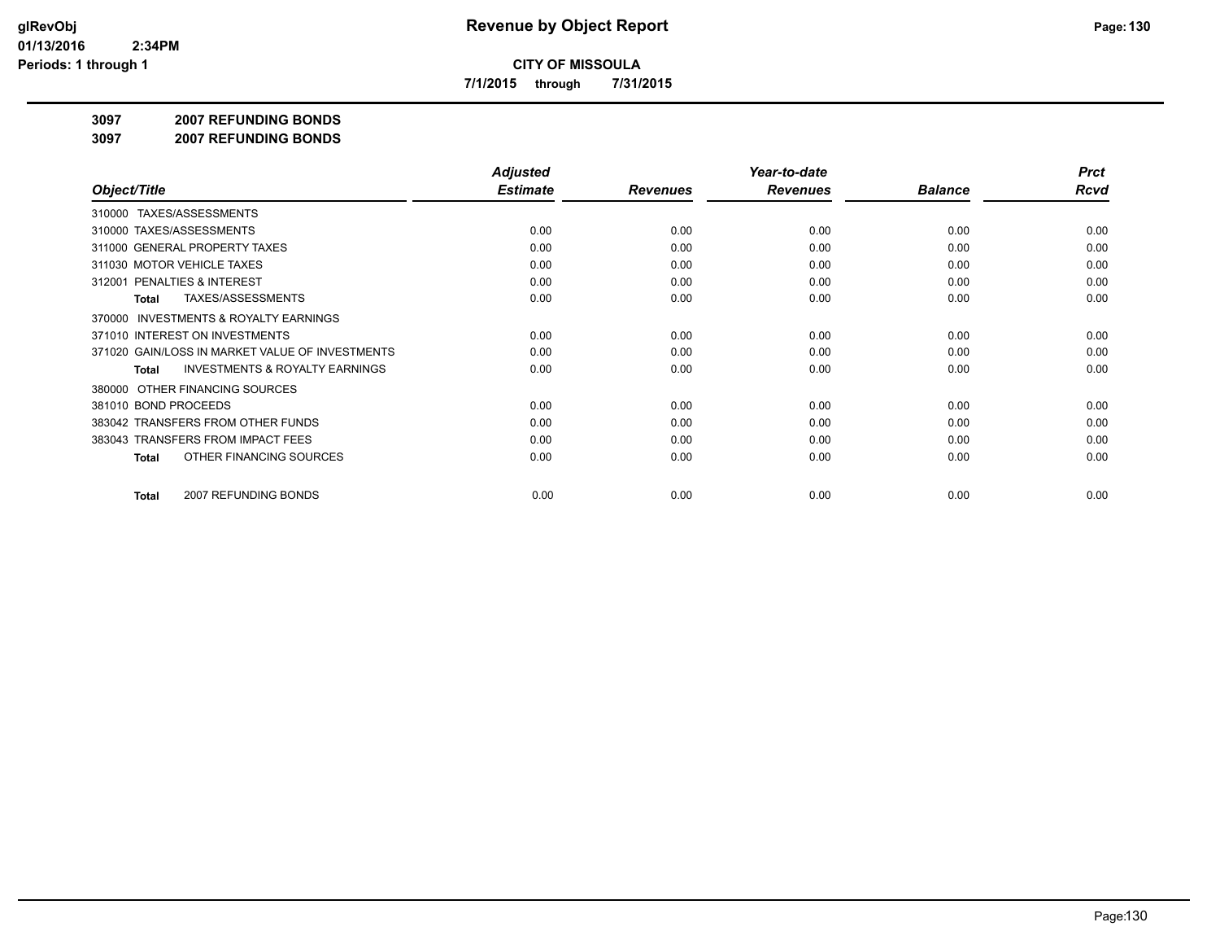**7/1/2015 through 7/31/2015**

#### **3097 2007 REFUNDING BONDS**

**3097 2007 REFUNDING BONDS**

|                                                     | <b>Adjusted</b> |                 | Year-to-date    |                | <b>Prct</b> |
|-----------------------------------------------------|-----------------|-----------------|-----------------|----------------|-------------|
| Object/Title                                        | <b>Estimate</b> | <b>Revenues</b> | <b>Revenues</b> | <b>Balance</b> | Rcvd        |
| TAXES/ASSESSMENTS<br>310000                         |                 |                 |                 |                |             |
| 310000 TAXES/ASSESSMENTS                            | 0.00            | 0.00            | 0.00            | 0.00           | 0.00        |
| 311000 GENERAL PROPERTY TAXES                       | 0.00            | 0.00            | 0.00            | 0.00           | 0.00        |
| 311030 MOTOR VEHICLE TAXES                          | 0.00            | 0.00            | 0.00            | 0.00           | 0.00        |
| 312001 PENALTIES & INTEREST                         | 0.00            | 0.00            | 0.00            | 0.00           | 0.00        |
| <b>TAXES/ASSESSMENTS</b><br><b>Total</b>            | 0.00            | 0.00            | 0.00            | 0.00           | 0.00        |
| <b>INVESTMENTS &amp; ROYALTY EARNINGS</b><br>370000 |                 |                 |                 |                |             |
| 371010 INTEREST ON INVESTMENTS                      | 0.00            | 0.00            | 0.00            | 0.00           | 0.00        |
| 371020 GAIN/LOSS IN MARKET VALUE OF INVESTMENTS     | 0.00            | 0.00            | 0.00            | 0.00           | 0.00        |
| <b>INVESTMENTS &amp; ROYALTY EARNINGS</b><br>Total  | 0.00            | 0.00            | 0.00            | 0.00           | 0.00        |
| OTHER FINANCING SOURCES<br>380000                   |                 |                 |                 |                |             |
| 381010 BOND PROCEEDS                                | 0.00            | 0.00            | 0.00            | 0.00           | 0.00        |
| 383042 TRANSFERS FROM OTHER FUNDS                   | 0.00            | 0.00            | 0.00            | 0.00           | 0.00        |
| 383043 TRANSFERS FROM IMPACT FEES                   | 0.00            | 0.00            | 0.00            | 0.00           | 0.00        |
| OTHER FINANCING SOURCES<br><b>Total</b>             | 0.00            | 0.00            | 0.00            | 0.00           | 0.00        |
| 2007 REFUNDING BONDS<br><b>Total</b>                | 0.00            | 0.00            | 0.00            | 0.00           | 0.00        |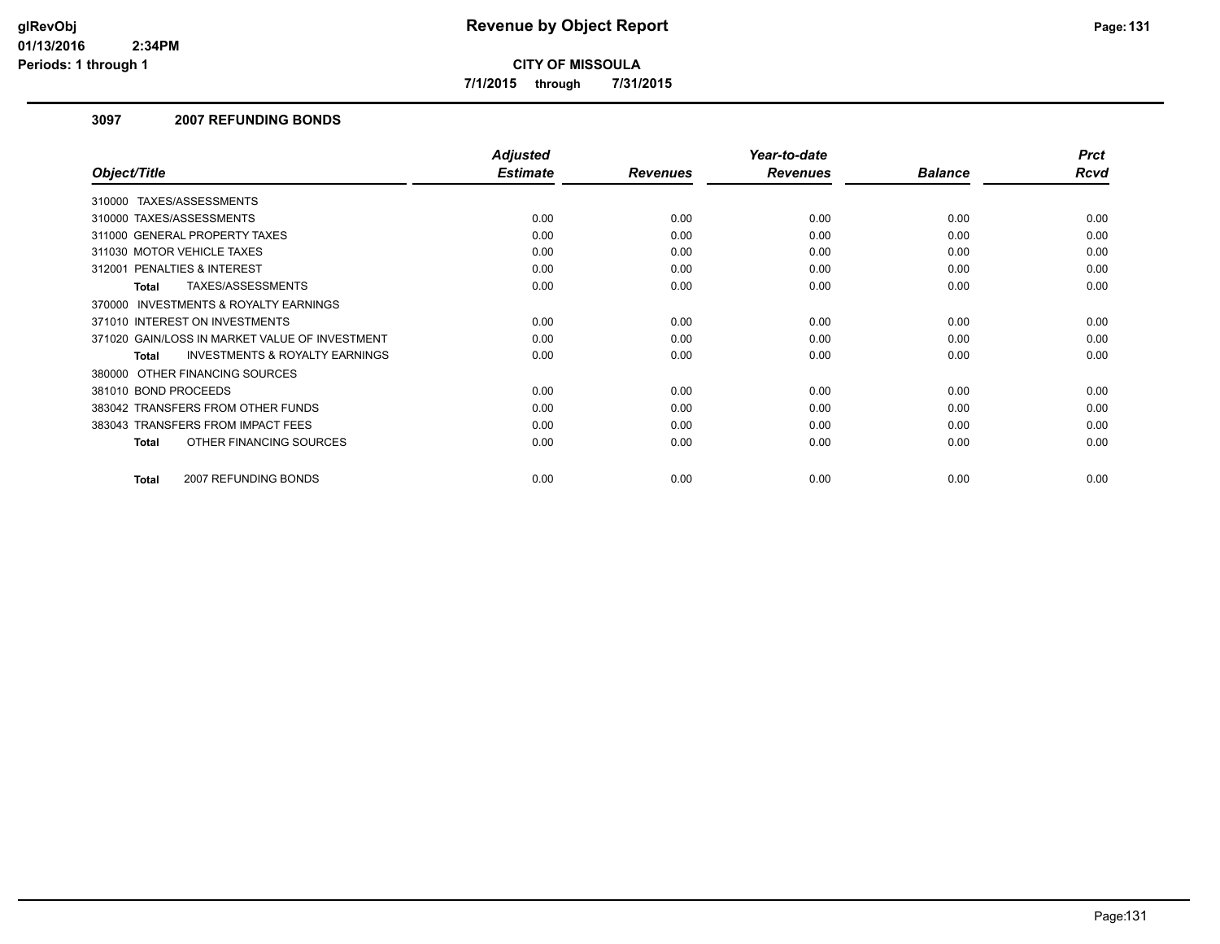**7/1/2015 through 7/31/2015**

## **3097 2007 REFUNDING BONDS**

|                                                           | <b>Adjusted</b> |                 | Year-to-date    |                | <b>Prct</b> |
|-----------------------------------------------------------|-----------------|-----------------|-----------------|----------------|-------------|
| Object/Title                                              | <b>Estimate</b> | <b>Revenues</b> | <b>Revenues</b> | <b>Balance</b> | Rcvd        |
| 310000 TAXES/ASSESSMENTS                                  |                 |                 |                 |                |             |
| 310000 TAXES/ASSESSMENTS                                  | 0.00            | 0.00            | 0.00            | 0.00           | 0.00        |
| 311000 GENERAL PROPERTY TAXES                             | 0.00            | 0.00            | 0.00            | 0.00           | 0.00        |
| 311030 MOTOR VEHICLE TAXES                                | 0.00            | 0.00            | 0.00            | 0.00           | 0.00        |
| 312001 PENALTIES & INTEREST                               | 0.00            | 0.00            | 0.00            | 0.00           | 0.00        |
| TAXES/ASSESSMENTS<br><b>Total</b>                         | 0.00            | 0.00            | 0.00            | 0.00           | 0.00        |
| <b>INVESTMENTS &amp; ROYALTY EARNINGS</b><br>370000       |                 |                 |                 |                |             |
| 371010 INTEREST ON INVESTMENTS                            | 0.00            | 0.00            | 0.00            | 0.00           | 0.00        |
| 371020 GAIN/LOSS IN MARKET VALUE OF INVESTMENT            | 0.00            | 0.00            | 0.00            | 0.00           | 0.00        |
| <b>INVESTMENTS &amp; ROYALTY EARNINGS</b><br><b>Total</b> | 0.00            | 0.00            | 0.00            | 0.00           | 0.00        |
| 380000 OTHER FINANCING SOURCES                            |                 |                 |                 |                |             |
| 381010 BOND PROCEEDS                                      | 0.00            | 0.00            | 0.00            | 0.00           | 0.00        |
| 383042 TRANSFERS FROM OTHER FUNDS                         | 0.00            | 0.00            | 0.00            | 0.00           | 0.00        |
| 383043 TRANSFERS FROM IMPACT FEES                         | 0.00            | 0.00            | 0.00            | 0.00           | 0.00        |
| OTHER FINANCING SOURCES<br><b>Total</b>                   | 0.00            | 0.00            | 0.00            | 0.00           | 0.00        |
| 2007 REFUNDING BONDS<br>Total                             | 0.00            | 0.00            | 0.00            | 0.00           | 0.00        |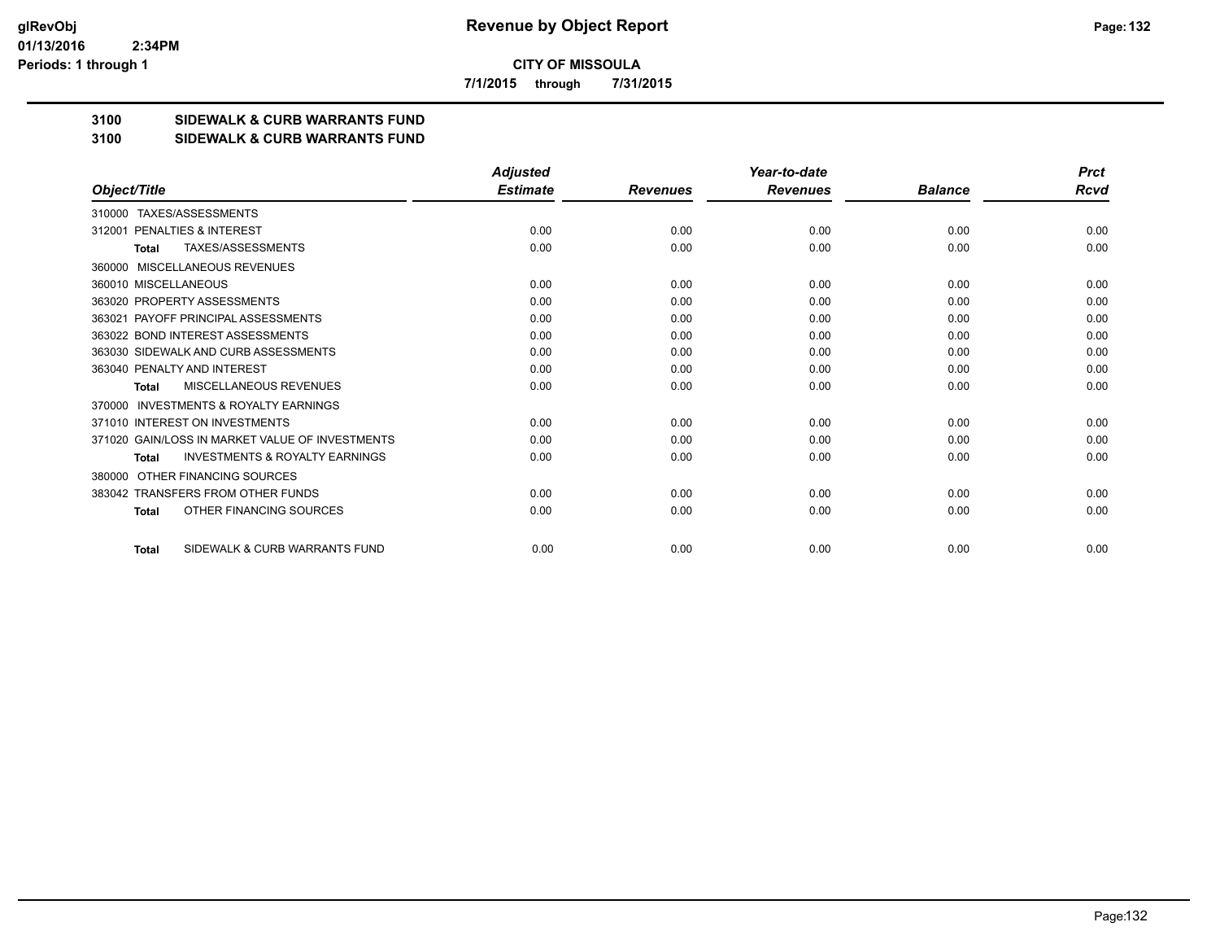**7/1/2015 through 7/31/2015**

## **3100 SIDEWALK & CURB WARRANTS FUND**

#### **3100 SIDEWALK & CURB WARRANTS FUND**

|                                                           | <b>Adjusted</b> |                 | Year-to-date    |                | <b>Prct</b> |
|-----------------------------------------------------------|-----------------|-----------------|-----------------|----------------|-------------|
| Object/Title                                              | <b>Estimate</b> | <b>Revenues</b> | <b>Revenues</b> | <b>Balance</b> | Rcvd        |
| TAXES/ASSESSMENTS<br>310000                               |                 |                 |                 |                |             |
| PENALTIES & INTEREST<br>312001                            | 0.00            | 0.00            | 0.00            | 0.00           | 0.00        |
| TAXES/ASSESSMENTS<br><b>Total</b>                         | 0.00            | 0.00            | 0.00            | 0.00           | 0.00        |
| MISCELLANEOUS REVENUES<br>360000                          |                 |                 |                 |                |             |
| 360010 MISCELLANEOUS                                      | 0.00            | 0.00            | 0.00            | 0.00           | 0.00        |
| 363020 PROPERTY ASSESSMENTS                               | 0.00            | 0.00            | 0.00            | 0.00           | 0.00        |
| 363021 PAYOFF PRINCIPAL ASSESSMENTS                       | 0.00            | 0.00            | 0.00            | 0.00           | 0.00        |
| 363022 BOND INTEREST ASSESSMENTS                          | 0.00            | 0.00            | 0.00            | 0.00           | 0.00        |
| 363030 SIDEWALK AND CURB ASSESSMENTS                      | 0.00            | 0.00            | 0.00            | 0.00           | 0.00        |
| 363040 PENALTY AND INTEREST                               | 0.00            | 0.00            | 0.00            | 0.00           | 0.00        |
| MISCELLANEOUS REVENUES<br><b>Total</b>                    | 0.00            | 0.00            | 0.00            | 0.00           | 0.00        |
| <b>INVESTMENTS &amp; ROYALTY EARNINGS</b><br>370000       |                 |                 |                 |                |             |
| 371010 INTEREST ON INVESTMENTS                            | 0.00            | 0.00            | 0.00            | 0.00           | 0.00        |
| 371020 GAIN/LOSS IN MARKET VALUE OF INVESTMENTS           | 0.00            | 0.00            | 0.00            | 0.00           | 0.00        |
| <b>INVESTMENTS &amp; ROYALTY EARNINGS</b><br><b>Total</b> | 0.00            | 0.00            | 0.00            | 0.00           | 0.00        |
| OTHER FINANCING SOURCES<br>380000                         |                 |                 |                 |                |             |
| 383042 TRANSFERS FROM OTHER FUNDS                         | 0.00            | 0.00            | 0.00            | 0.00           | 0.00        |
| OTHER FINANCING SOURCES<br><b>Total</b>                   | 0.00            | 0.00            | 0.00            | 0.00           | 0.00        |
| SIDEWALK & CURB WARRANTS FUND<br><b>Total</b>             | 0.00            | 0.00            | 0.00            | 0.00           | 0.00        |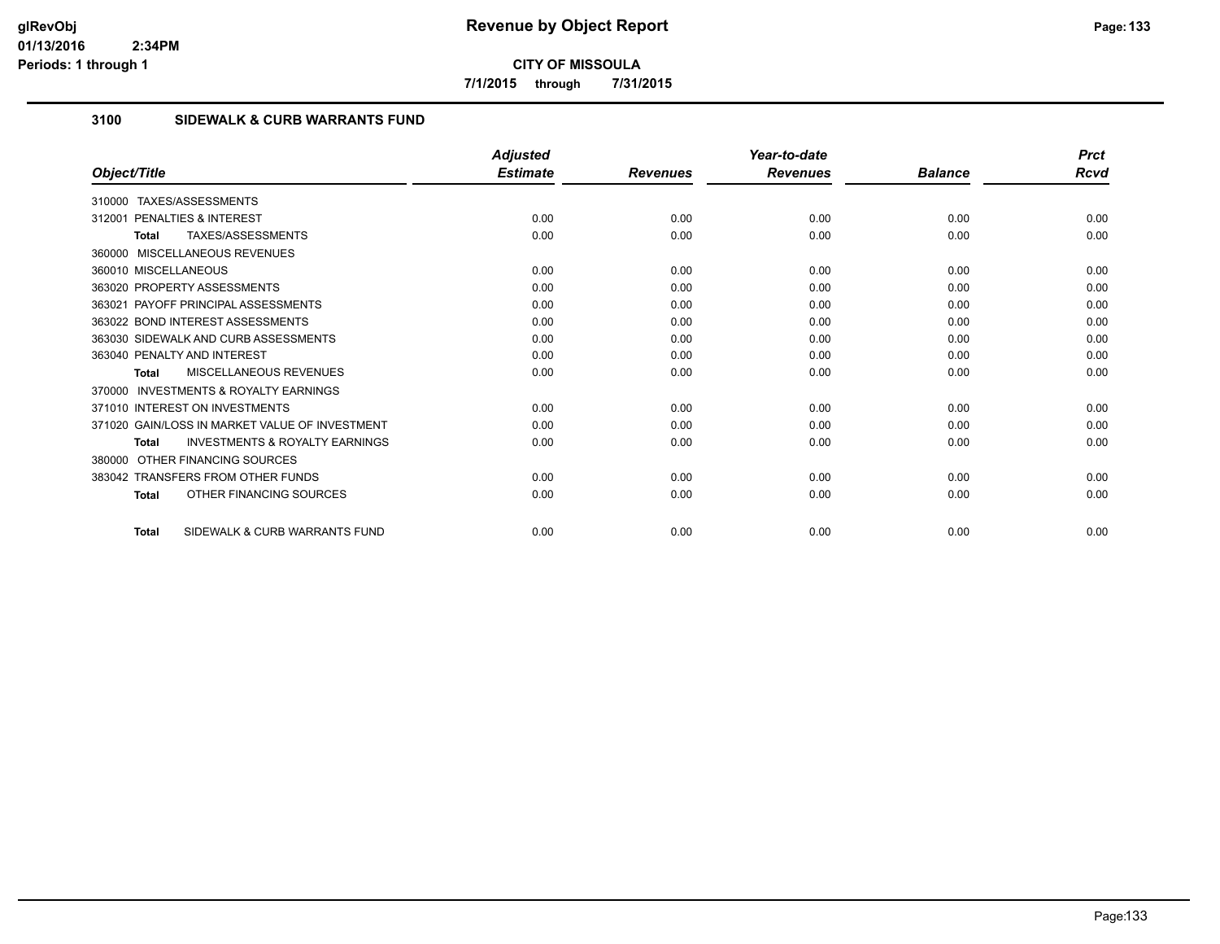**7/1/2015 through 7/31/2015**

## **3100 SIDEWALK & CURB WARRANTS FUND**

|                                                           | <b>Adjusted</b> |                 | Year-to-date    |                | <b>Prct</b> |
|-----------------------------------------------------------|-----------------|-----------------|-----------------|----------------|-------------|
| Object/Title                                              | <b>Estimate</b> | <b>Revenues</b> | <b>Revenues</b> | <b>Balance</b> | Rcvd        |
| TAXES/ASSESSMENTS<br>310000                               |                 |                 |                 |                |             |
| <b>PENALTIES &amp; INTEREST</b><br>312001                 | 0.00            | 0.00            | 0.00            | 0.00           | 0.00        |
| TAXES/ASSESSMENTS<br>Total                                | 0.00            | 0.00            | 0.00            | 0.00           | 0.00        |
| 360000 MISCELLANEOUS REVENUES                             |                 |                 |                 |                |             |
| 360010 MISCELLANEOUS                                      | 0.00            | 0.00            | 0.00            | 0.00           | 0.00        |
| 363020 PROPERTY ASSESSMENTS                               | 0.00            | 0.00            | 0.00            | 0.00           | 0.00        |
| 363021 PAYOFF PRINCIPAL ASSESSMENTS                       | 0.00            | 0.00            | 0.00            | 0.00           | 0.00        |
| 363022 BOND INTEREST ASSESSMENTS                          | 0.00            | 0.00            | 0.00            | 0.00           | 0.00        |
| 363030 SIDEWALK AND CURB ASSESSMENTS                      | 0.00            | 0.00            | 0.00            | 0.00           | 0.00        |
| 363040 PENALTY AND INTEREST                               | 0.00            | 0.00            | 0.00            | 0.00           | 0.00        |
| MISCELLANEOUS REVENUES<br><b>Total</b>                    | 0.00            | 0.00            | 0.00            | 0.00           | 0.00        |
| <b>INVESTMENTS &amp; ROYALTY EARNINGS</b><br>370000       |                 |                 |                 |                |             |
| 371010 INTEREST ON INVESTMENTS                            | 0.00            | 0.00            | 0.00            | 0.00           | 0.00        |
| 371020 GAIN/LOSS IN MARKET VALUE OF INVESTMENT            | 0.00            | 0.00            | 0.00            | 0.00           | 0.00        |
| <b>INVESTMENTS &amp; ROYALTY EARNINGS</b><br><b>Total</b> | 0.00            | 0.00            | 0.00            | 0.00           | 0.00        |
| OTHER FINANCING SOURCES<br>380000                         |                 |                 |                 |                |             |
| 383042 TRANSFERS FROM OTHER FUNDS                         | 0.00            | 0.00            | 0.00            | 0.00           | 0.00        |
| OTHER FINANCING SOURCES<br>Total                          | 0.00            | 0.00            | 0.00            | 0.00           | 0.00        |
| SIDEWALK & CURB WARRANTS FUND<br><b>Total</b>             | 0.00            | 0.00            | 0.00            | 0.00           | 0.00        |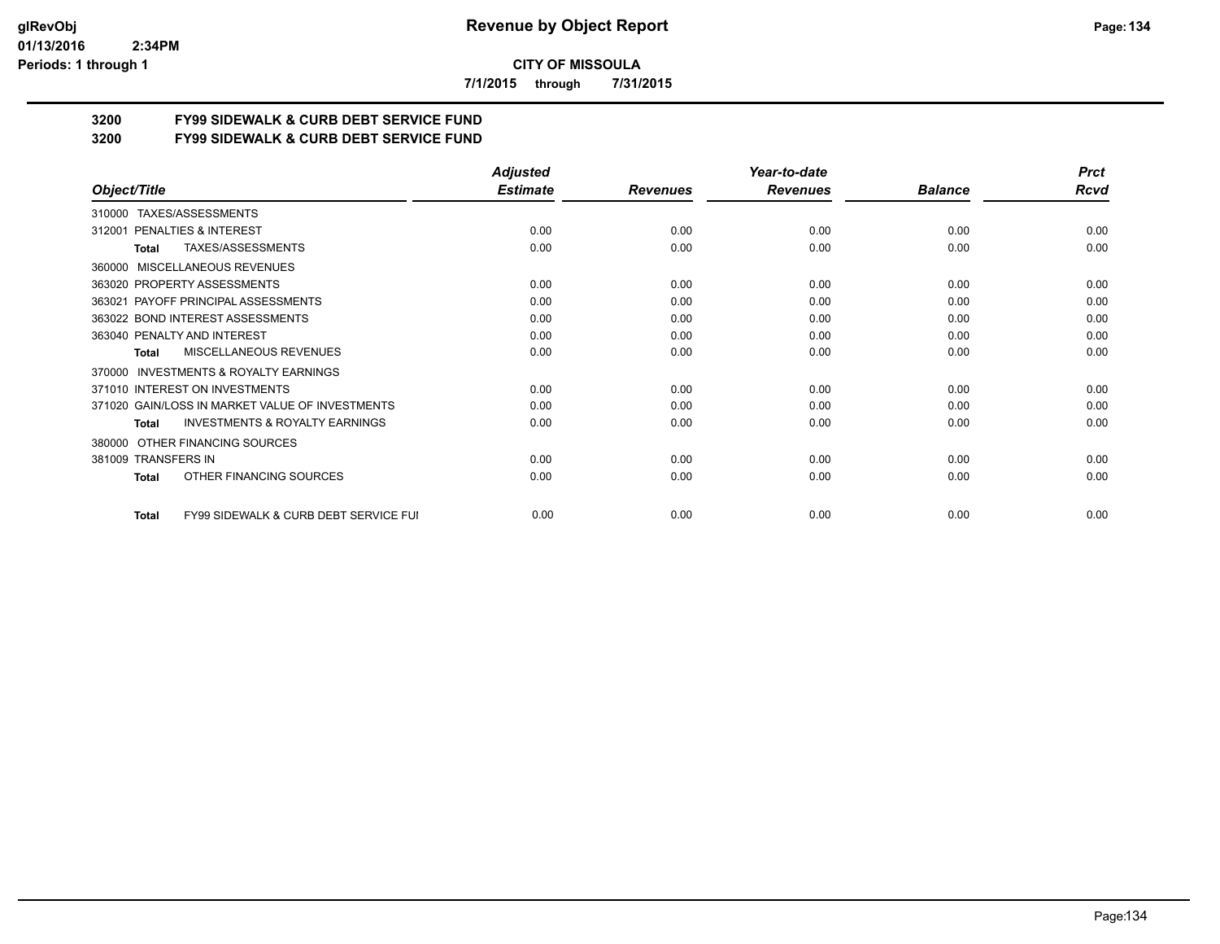#### **01/13/2016 2:34PM Periods: 1 through 1**

**CITY OF MISSOULA**

**7/1/2015 through 7/31/2015**

# **3200 FY99 SIDEWALK & CURB DEBT SERVICE FUND**

**3200 FY99 SIDEWALK & CURB DEBT SERVICE FUND**

|                                                           | <b>Adjusted</b> |                 | Year-to-date    |                | <b>Prct</b> |
|-----------------------------------------------------------|-----------------|-----------------|-----------------|----------------|-------------|
| Object/Title                                              | <b>Estimate</b> | <b>Revenues</b> | <b>Revenues</b> | <b>Balance</b> | Rcvd        |
| TAXES/ASSESSMENTS<br>310000                               |                 |                 |                 |                |             |
| <b>PENALTIES &amp; INTEREST</b><br>312001                 | 0.00            | 0.00            | 0.00            | 0.00           | 0.00        |
| TAXES/ASSESSMENTS<br>Total                                | 0.00            | 0.00            | 0.00            | 0.00           | 0.00        |
| <b>MISCELLANEOUS REVENUES</b><br>360000                   |                 |                 |                 |                |             |
| 363020 PROPERTY ASSESSMENTS                               | 0.00            | 0.00            | 0.00            | 0.00           | 0.00        |
| PAYOFF PRINCIPAL ASSESSMENTS<br>363021                    | 0.00            | 0.00            | 0.00            | 0.00           | 0.00        |
| 363022 BOND INTEREST ASSESSMENTS                          | 0.00            | 0.00            | 0.00            | 0.00           | 0.00        |
| 363040 PENALTY AND INTEREST                               | 0.00            | 0.00            | 0.00            | 0.00           | 0.00        |
| <b>MISCELLANEOUS REVENUES</b><br>Total                    | 0.00            | 0.00            | 0.00            | 0.00           | 0.00        |
| <b>INVESTMENTS &amp; ROYALTY EARNINGS</b><br>370000       |                 |                 |                 |                |             |
| 371010 INTEREST ON INVESTMENTS                            | 0.00            | 0.00            | 0.00            | 0.00           | 0.00        |
| 371020 GAIN/LOSS IN MARKET VALUE OF INVESTMENTS           | 0.00            | 0.00            | 0.00            | 0.00           | 0.00        |
| <b>INVESTMENTS &amp; ROYALTY EARNINGS</b><br><b>Total</b> | 0.00            | 0.00            | 0.00            | 0.00           | 0.00        |
| OTHER FINANCING SOURCES<br>380000                         |                 |                 |                 |                |             |
| 381009 TRANSFERS IN                                       | 0.00            | 0.00            | 0.00            | 0.00           | 0.00        |
| OTHER FINANCING SOURCES<br>Total                          | 0.00            | 0.00            | 0.00            | 0.00           | 0.00        |
| FY99 SIDEWALK & CURB DEBT SERVICE FUI<br><b>Total</b>     | 0.00            | 0.00            | 0.00            | 0.00           | 0.00        |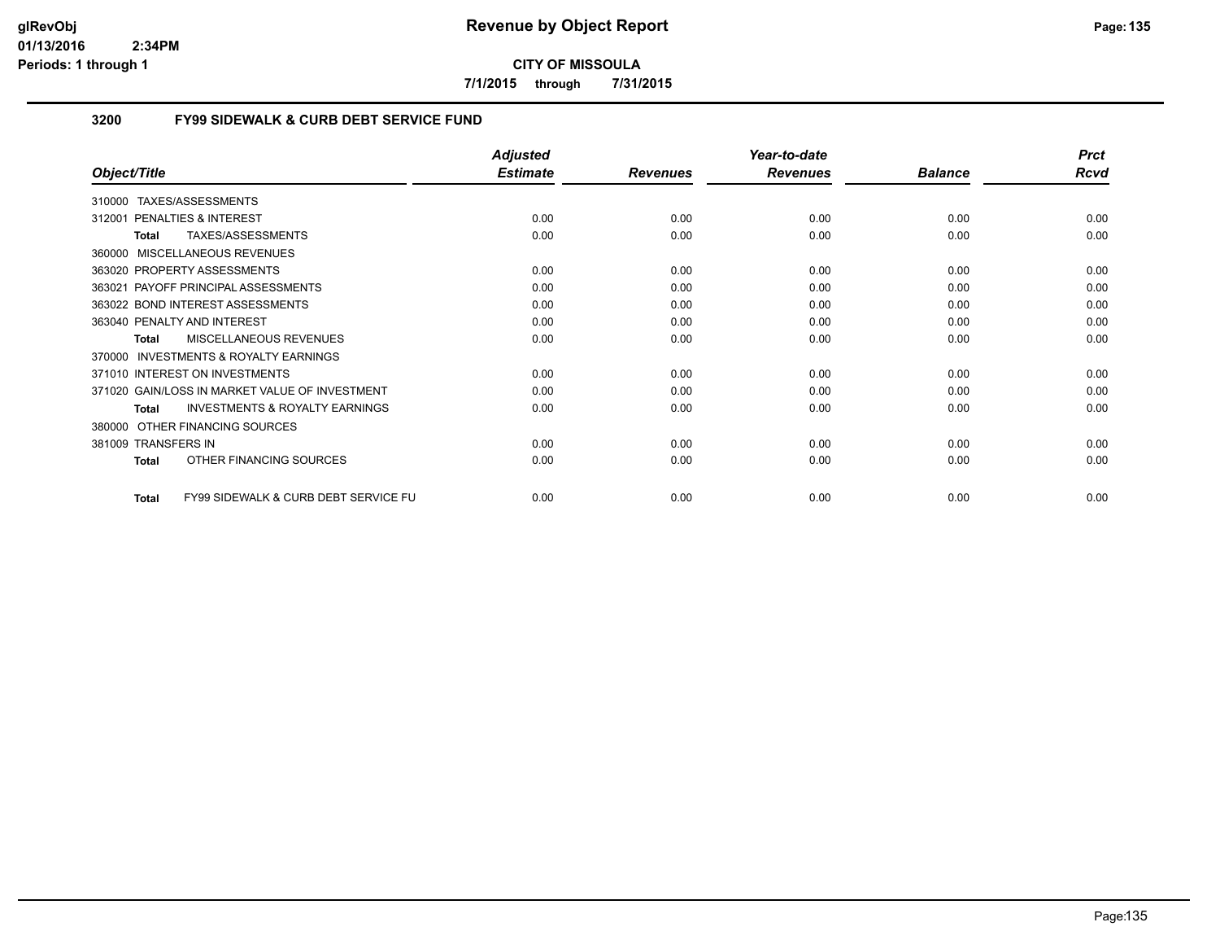**7/1/2015 through 7/31/2015**

## **3200 FY99 SIDEWALK & CURB DEBT SERVICE FUND**

|                                                                 | <b>Adjusted</b> |                 | Year-to-date    |                | <b>Prct</b> |
|-----------------------------------------------------------------|-----------------|-----------------|-----------------|----------------|-------------|
| Object/Title                                                    | <b>Estimate</b> | <b>Revenues</b> | <b>Revenues</b> | <b>Balance</b> | <b>Rcvd</b> |
| TAXES/ASSESSMENTS<br>310000                                     |                 |                 |                 |                |             |
| PENALTIES & INTEREST<br>312001                                  | 0.00            | 0.00            | 0.00            | 0.00           | 0.00        |
| TAXES/ASSESSMENTS<br>Total                                      | 0.00            | 0.00            | 0.00            | 0.00           | 0.00        |
| MISCELLANEOUS REVENUES<br>360000                                |                 |                 |                 |                |             |
| 363020 PROPERTY ASSESSMENTS                                     | 0.00            | 0.00            | 0.00            | 0.00           | 0.00        |
| PAYOFF PRINCIPAL ASSESSMENTS<br>363021                          | 0.00            | 0.00            | 0.00            | 0.00           | 0.00        |
| 363022 BOND INTEREST ASSESSMENTS                                | 0.00            | 0.00            | 0.00            | 0.00           | 0.00        |
| 363040 PENALTY AND INTEREST                                     | 0.00            | 0.00            | 0.00            | 0.00           | 0.00        |
| <b>MISCELLANEOUS REVENUES</b><br>Total                          | 0.00            | 0.00            | 0.00            | 0.00           | 0.00        |
| INVESTMENTS & ROYALTY EARNINGS<br>370000                        |                 |                 |                 |                |             |
| 371010 INTEREST ON INVESTMENTS                                  | 0.00            | 0.00            | 0.00            | 0.00           | 0.00        |
| 371020 GAIN/LOSS IN MARKET VALUE OF INVESTMENT                  | 0.00            | 0.00            | 0.00            | 0.00           | 0.00        |
| <b>INVESTMENTS &amp; ROYALTY EARNINGS</b><br>Total              | 0.00            | 0.00            | 0.00            | 0.00           | 0.00        |
| OTHER FINANCING SOURCES<br>380000                               |                 |                 |                 |                |             |
| 381009 TRANSFERS IN                                             | 0.00            | 0.00            | 0.00            | 0.00           | 0.00        |
| OTHER FINANCING SOURCES<br><b>Total</b>                         | 0.00            | 0.00            | 0.00            | 0.00           | 0.00        |
| <b>FY99 SIDEWALK &amp; CURB DEBT SERVICE FU</b><br><b>Total</b> | 0.00            | 0.00            | 0.00            | 0.00           | 0.00        |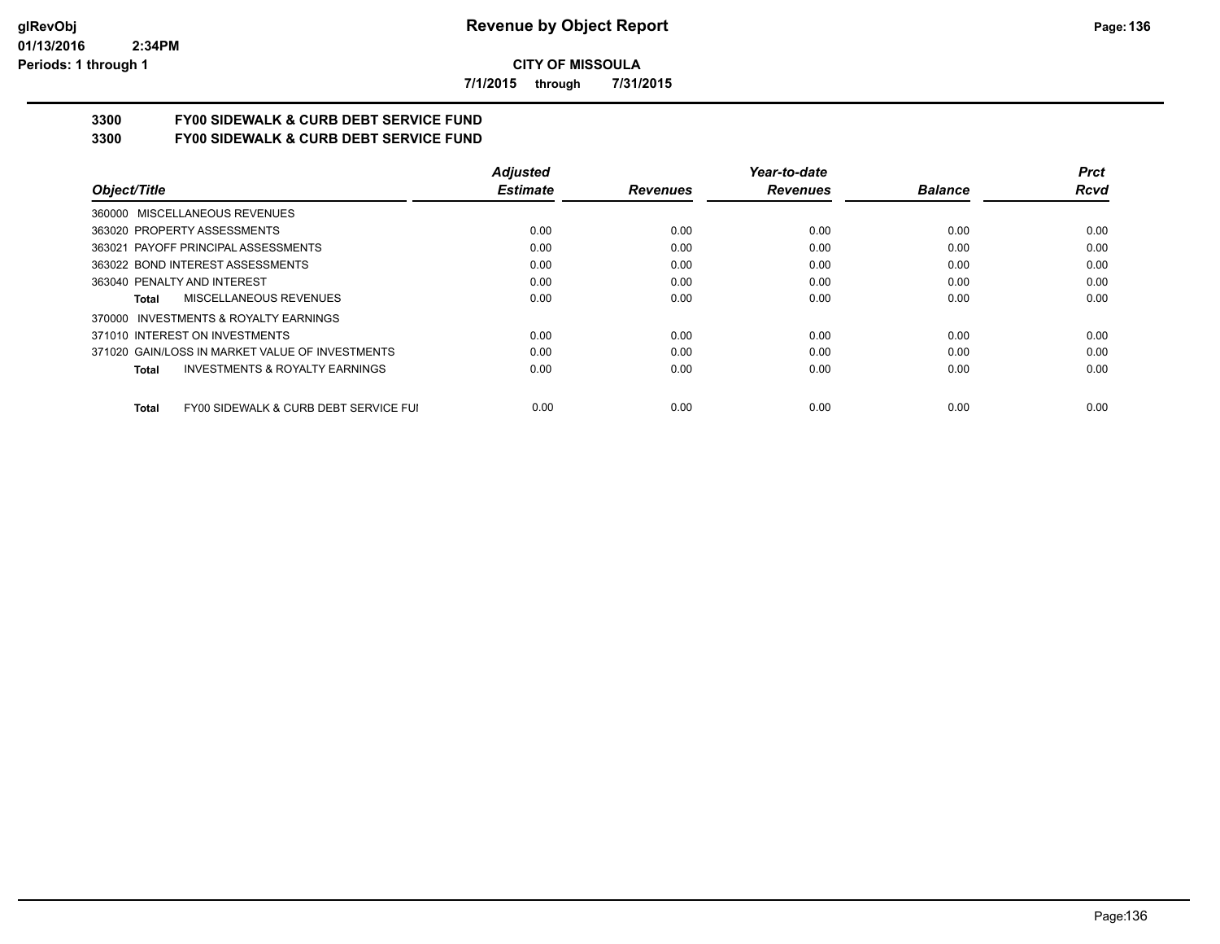**7/1/2015 through 7/31/2015**

# **3300 FY00 SIDEWALK & CURB DEBT SERVICE FUND**

**3300 FY00 SIDEWALK & CURB DEBT SERVICE FUND**

|                                                       | <b>Adjusted</b> |                 | Year-to-date    |                | <b>Prct</b> |
|-------------------------------------------------------|-----------------|-----------------|-----------------|----------------|-------------|
| Object/Title                                          | <b>Estimate</b> | <b>Revenues</b> | <b>Revenues</b> | <b>Balance</b> | <b>Rcvd</b> |
| 360000 MISCELLANEOUS REVENUES                         |                 |                 |                 |                |             |
| 363020 PROPERTY ASSESSMENTS                           | 0.00            | 0.00            | 0.00            | 0.00           | 0.00        |
| 363021 PAYOFF PRINCIPAL ASSESSMENTS                   | 0.00            | 0.00            | 0.00            | 0.00           | 0.00        |
| 363022 BOND INTEREST ASSESSMENTS                      | 0.00            | 0.00            | 0.00            | 0.00           | 0.00        |
| 363040 PENALTY AND INTEREST                           | 0.00            | 0.00            | 0.00            | 0.00           | 0.00        |
| MISCELLANEOUS REVENUES<br>Total                       | 0.00            | 0.00            | 0.00            | 0.00           | 0.00        |
| INVESTMENTS & ROYALTY EARNINGS<br>370000              |                 |                 |                 |                |             |
| 371010 INTEREST ON INVESTMENTS                        | 0.00            | 0.00            | 0.00            | 0.00           | 0.00        |
| 371020 GAIN/LOSS IN MARKET VALUE OF INVESTMENTS       | 0.00            | 0.00            | 0.00            | 0.00           | 0.00        |
| <b>INVESTMENTS &amp; ROYALTY EARNINGS</b><br>Total    | 0.00            | 0.00            | 0.00            | 0.00           | 0.00        |
| FY00 SIDEWALK & CURB DEBT SERVICE FUI<br><b>Total</b> | 0.00            | 0.00            | 0.00            | 0.00           | 0.00        |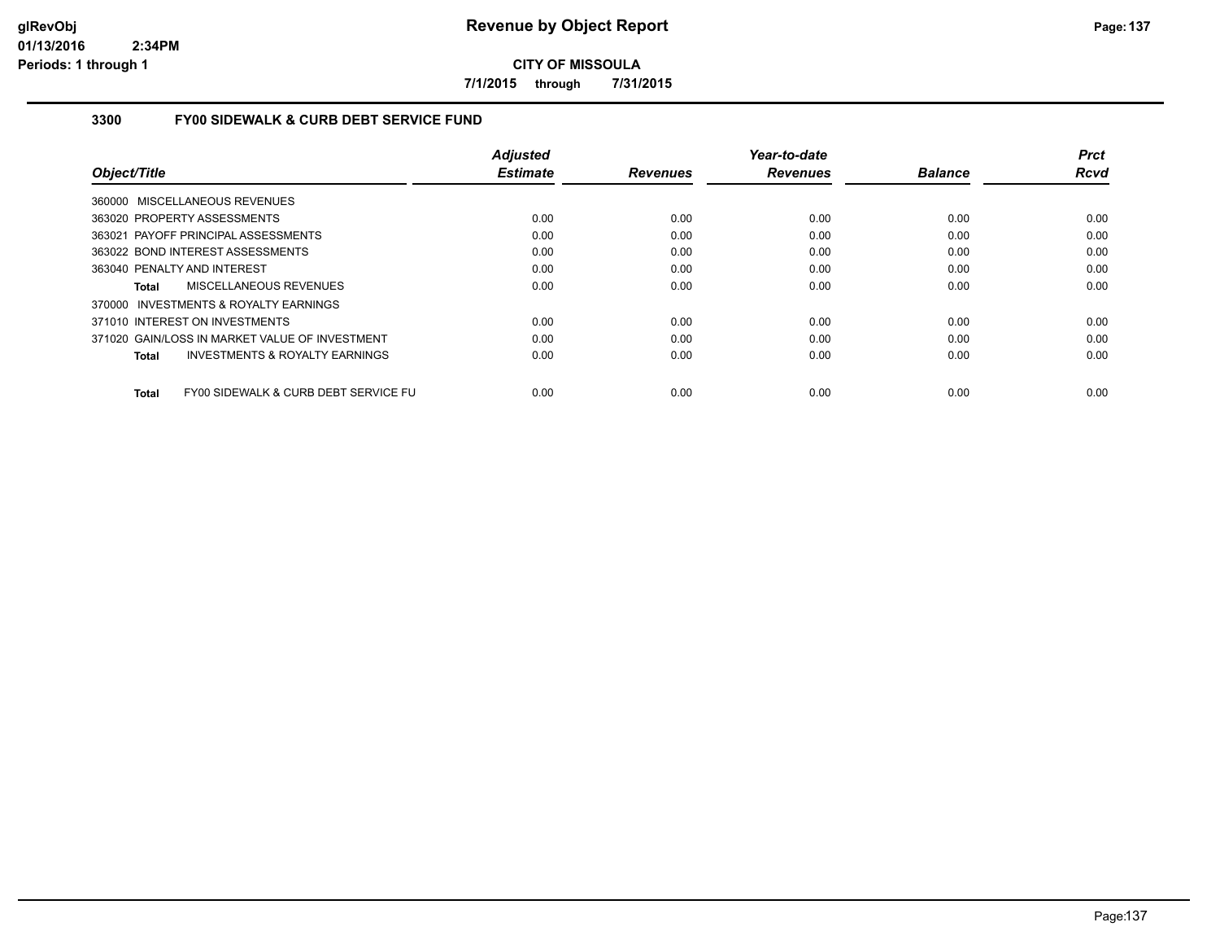**7/1/2015 through 7/31/2015**

## **3300 FY00 SIDEWALK & CURB DEBT SERVICE FUND**

|                                                           | <b>Adjusted</b> |                 | Year-to-date    |                | <b>Prct</b> |
|-----------------------------------------------------------|-----------------|-----------------|-----------------|----------------|-------------|
| Object/Title                                              | <b>Estimate</b> | <b>Revenues</b> | <b>Revenues</b> | <b>Balance</b> | <b>Rcvd</b> |
| 360000 MISCELLANEOUS REVENUES                             |                 |                 |                 |                |             |
| 363020 PROPERTY ASSESSMENTS                               | 0.00            | 0.00            | 0.00            | 0.00           | 0.00        |
| 363021 PAYOFF PRINCIPAL ASSESSMENTS                       | 0.00            | 0.00            | 0.00            | 0.00           | 0.00        |
| 363022 BOND INTEREST ASSESSMENTS                          | 0.00            | 0.00            | 0.00            | 0.00           | 0.00        |
| 363040 PENALTY AND INTEREST                               | 0.00            | 0.00            | 0.00            | 0.00           | 0.00        |
| MISCELLANEOUS REVENUES<br>Total                           | 0.00            | 0.00            | 0.00            | 0.00           | 0.00        |
| 370000 INVESTMENTS & ROYALTY EARNINGS                     |                 |                 |                 |                |             |
| 371010 INTEREST ON INVESTMENTS                            | 0.00            | 0.00            | 0.00            | 0.00           | 0.00        |
| 371020 GAIN/LOSS IN MARKET VALUE OF INVESTMENT            | 0.00            | 0.00            | 0.00            | 0.00           | 0.00        |
| <b>INVESTMENTS &amp; ROYALTY EARNINGS</b><br><b>Total</b> | 0.00            | 0.00            | 0.00            | 0.00           | 0.00        |
| FY00 SIDEWALK & CURB DEBT SERVICE FU<br><b>Total</b>      | 0.00            | 0.00            | 0.00            | 0.00           | 0.00        |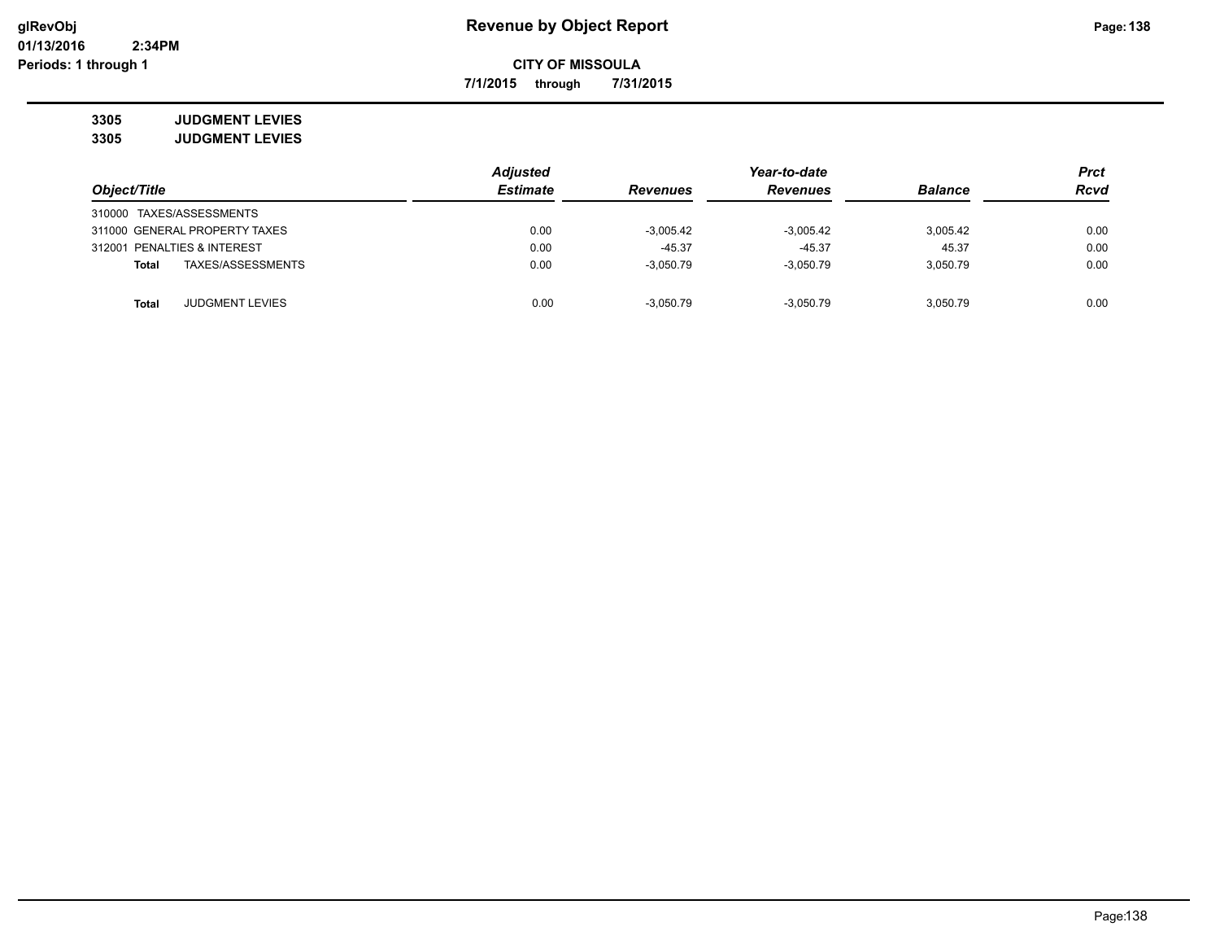**7/1/2015 through 7/31/2015**

**3305 JUDGMENT LEVIES 3305 JUDGMENT LEVIES**

|                               |                        | <b>Adjusted</b> |                 | Year-to-date    |                | <b>Prct</b> |
|-------------------------------|------------------------|-----------------|-----------------|-----------------|----------------|-------------|
| Object/Title                  |                        | <b>Estimate</b> | <b>Revenues</b> | <b>Revenues</b> | <b>Balance</b> | <b>Rcvd</b> |
| 310000 TAXES/ASSESSMENTS      |                        |                 |                 |                 |                |             |
| 311000 GENERAL PROPERTY TAXES |                        | 0.00            | $-3,005.42$     | $-3,005.42$     | 3,005.42       | 0.00        |
| 312001 PENALTIES & INTEREST   |                        | 0.00            | $-45.37$        | $-45.37$        | 45.37          | 0.00        |
| Total                         | TAXES/ASSESSMENTS      | 0.00            | $-3.050.79$     | $-3,050.79$     | 3,050.79       | 0.00        |
|                               |                        |                 |                 |                 |                |             |
| <b>Total</b>                  | <b>JUDGMENT LEVIES</b> | 0.00            | $-3.050.79$     | $-3.050.79$     | 3,050.79       | 0.00        |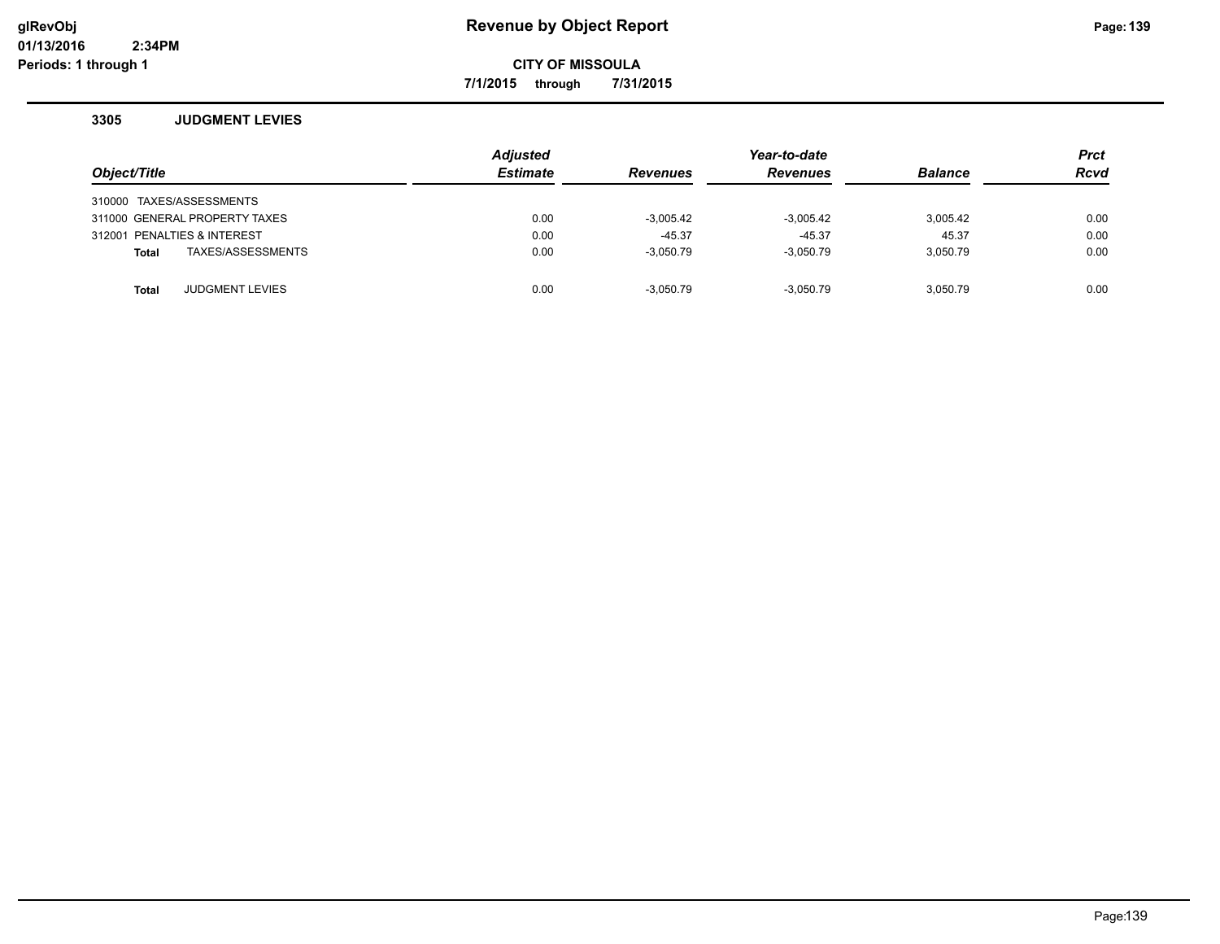**7/1/2015 through 7/31/2015**

#### **3305 JUDGMENT LEVIES**

| Object/Title                           | <b>Adjusted</b><br><b>Estimate</b> | <b>Revenues</b> | Year-to-date<br><b>Revenues</b> | <b>Balance</b> | <b>Prct</b><br><b>Rcvd</b> |
|----------------------------------------|------------------------------------|-----------------|---------------------------------|----------------|----------------------------|
| 310000 TAXES/ASSESSMENTS               |                                    |                 |                                 |                |                            |
| 311000 GENERAL PROPERTY TAXES          | 0.00                               | $-3,005.42$     | $-3,005.42$                     | 3,005.42       | 0.00                       |
| 312001 PENALTIES & INTEREST            | 0.00                               | $-45.37$        | $-45.37$                        | 45.37          | 0.00                       |
| TAXES/ASSESSMENTS<br><b>Total</b>      | 0.00                               | $-3.050.79$     | $-3.050.79$                     | 3.050.79       | 0.00                       |
| <b>JUDGMENT LEVIES</b><br><b>Total</b> | 0.00                               | $-3.050.79$     | $-3.050.79$                     | 3.050.79       | 0.00                       |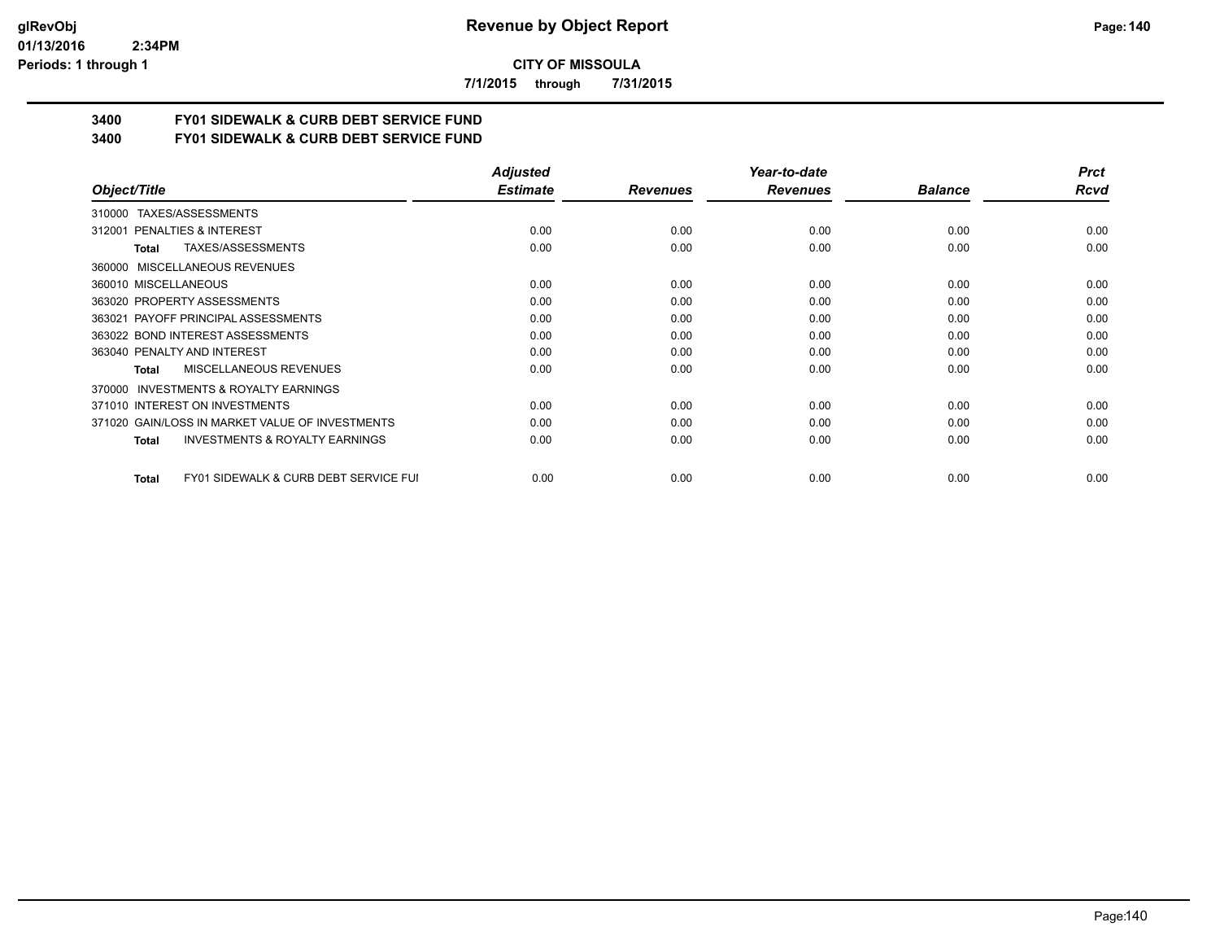#### **01/13/2016 2:34PM Periods: 1 through 1**

**CITY OF MISSOULA**

**7/1/2015 through 7/31/2015**

# **3400 FY01 SIDEWALK & CURB DEBT SERVICE FUND**

**3400 FY01 SIDEWALK & CURB DEBT SERVICE FUND**

|                                                       | <b>Adjusted</b> |                 | Year-to-date    |                | <b>Prct</b> |
|-------------------------------------------------------|-----------------|-----------------|-----------------|----------------|-------------|
| Object/Title                                          | <b>Estimate</b> | <b>Revenues</b> | <b>Revenues</b> | <b>Balance</b> | Rcvd        |
| TAXES/ASSESSMENTS<br>310000                           |                 |                 |                 |                |             |
| <b>PENALTIES &amp; INTEREST</b><br>312001             | 0.00            | 0.00            | 0.00            | 0.00           | 0.00        |
| TAXES/ASSESSMENTS<br><b>Total</b>                     | 0.00            | 0.00            | 0.00            | 0.00           | 0.00        |
| 360000 MISCELLANEOUS REVENUES                         |                 |                 |                 |                |             |
| 360010 MISCELLANEOUS                                  | 0.00            | 0.00            | 0.00            | 0.00           | 0.00        |
| 363020 PROPERTY ASSESSMENTS                           | 0.00            | 0.00            | 0.00            | 0.00           | 0.00        |
| 363021 PAYOFF PRINCIPAL ASSESSMENTS                   | 0.00            | 0.00            | 0.00            | 0.00           | 0.00        |
| 363022 BOND INTEREST ASSESSMENTS                      | 0.00            | 0.00            | 0.00            | 0.00           | 0.00        |
| 363040 PENALTY AND INTEREST                           | 0.00            | 0.00            | 0.00            | 0.00           | 0.00        |
| <b>MISCELLANEOUS REVENUES</b><br><b>Total</b>         | 0.00            | 0.00            | 0.00            | 0.00           | 0.00        |
| <b>INVESTMENTS &amp; ROYALTY EARNINGS</b><br>370000   |                 |                 |                 |                |             |
| 371010 INTEREST ON INVESTMENTS                        | 0.00            | 0.00            | 0.00            | 0.00           | 0.00        |
| 371020 GAIN/LOSS IN MARKET VALUE OF INVESTMENTS       | 0.00            | 0.00            | 0.00            | 0.00           | 0.00        |
| <b>INVESTMENTS &amp; ROYALTY EARNINGS</b><br>Total    | 0.00            | 0.00            | 0.00            | 0.00           | 0.00        |
| FY01 SIDEWALK & CURB DEBT SERVICE FUI<br><b>Total</b> | 0.00            | 0.00            | 0.00            | 0.00           | 0.00        |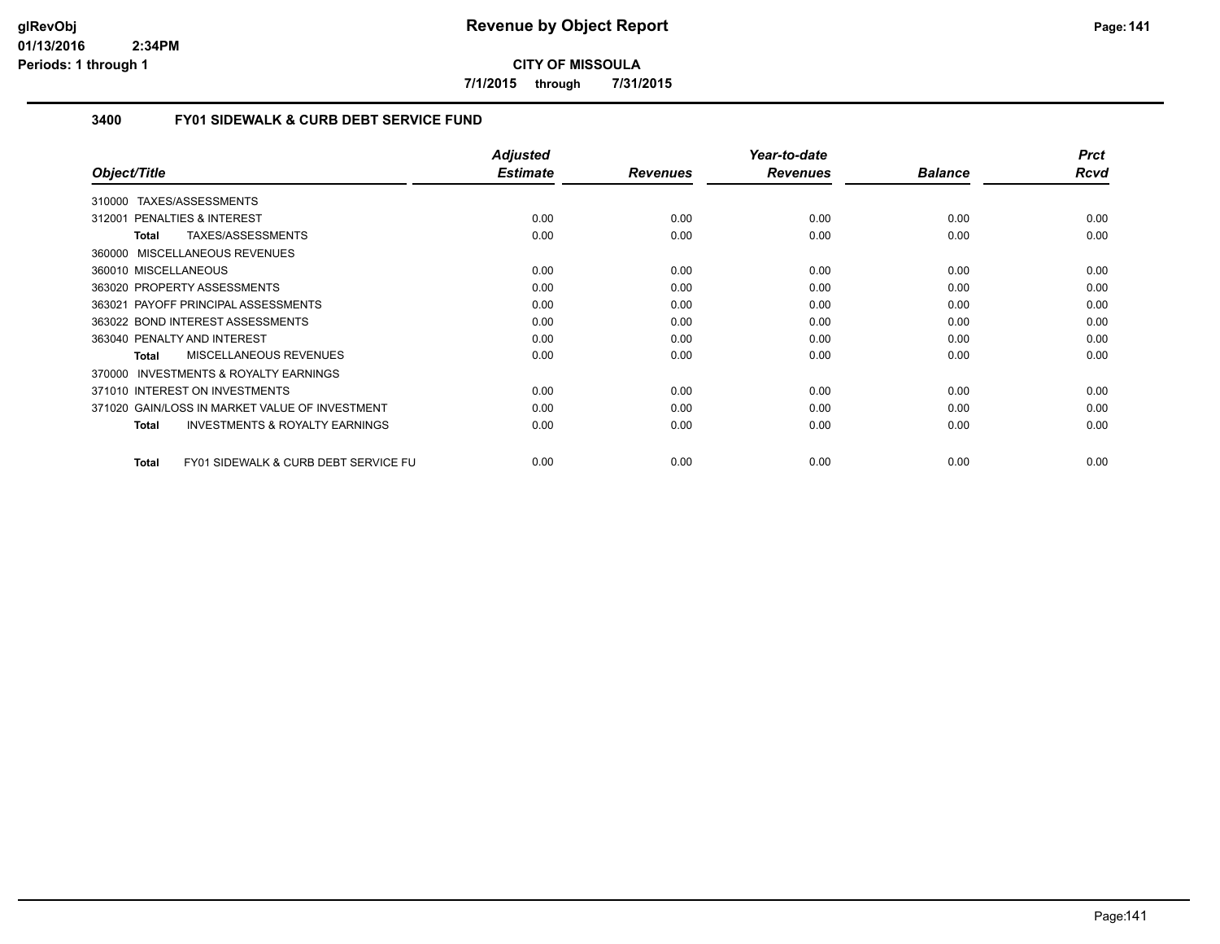**7/1/2015 through 7/31/2015**

## **3400 FY01 SIDEWALK & CURB DEBT SERVICE FUND**

|                                                                 | <b>Adjusted</b> |                 | Year-to-date    |                | <b>Prct</b> |
|-----------------------------------------------------------------|-----------------|-----------------|-----------------|----------------|-------------|
| Object/Title                                                    | <b>Estimate</b> | <b>Revenues</b> | <b>Revenues</b> | <b>Balance</b> | Rcvd        |
| TAXES/ASSESSMENTS<br>310000                                     |                 |                 |                 |                |             |
| 312001 PENALTIES & INTEREST                                     | 0.00            | 0.00            | 0.00            | 0.00           | 0.00        |
| TAXES/ASSESSMENTS<br>Total                                      | 0.00            | 0.00            | 0.00            | 0.00           | 0.00        |
| MISCELLANEOUS REVENUES<br>360000                                |                 |                 |                 |                |             |
| 360010 MISCELLANEOUS                                            | 0.00            | 0.00            | 0.00            | 0.00           | 0.00        |
| 363020 PROPERTY ASSESSMENTS                                     | 0.00            | 0.00            | 0.00            | 0.00           | 0.00        |
| 363021 PAYOFF PRINCIPAL ASSESSMENTS                             | 0.00            | 0.00            | 0.00            | 0.00           | 0.00        |
| 363022 BOND INTEREST ASSESSMENTS                                | 0.00            | 0.00            | 0.00            | 0.00           | 0.00        |
| 363040 PENALTY AND INTEREST                                     | 0.00            | 0.00            | 0.00            | 0.00           | 0.00        |
| MISCELLANEOUS REVENUES<br><b>Total</b>                          | 0.00            | 0.00            | 0.00            | 0.00           | 0.00        |
| INVESTMENTS & ROYALTY EARNINGS<br>370000                        |                 |                 |                 |                |             |
| 371010 INTEREST ON INVESTMENTS                                  | 0.00            | 0.00            | 0.00            | 0.00           | 0.00        |
| 371020 GAIN/LOSS IN MARKET VALUE OF INVESTMENT                  | 0.00            | 0.00            | 0.00            | 0.00           | 0.00        |
| <b>INVESTMENTS &amp; ROYALTY EARNINGS</b><br>Total              | 0.00            | 0.00            | 0.00            | 0.00           | 0.00        |
| <b>FY01 SIDEWALK &amp; CURB DEBT SERVICE FU</b><br><b>Total</b> | 0.00            | 0.00            | 0.00            | 0.00           | 0.00        |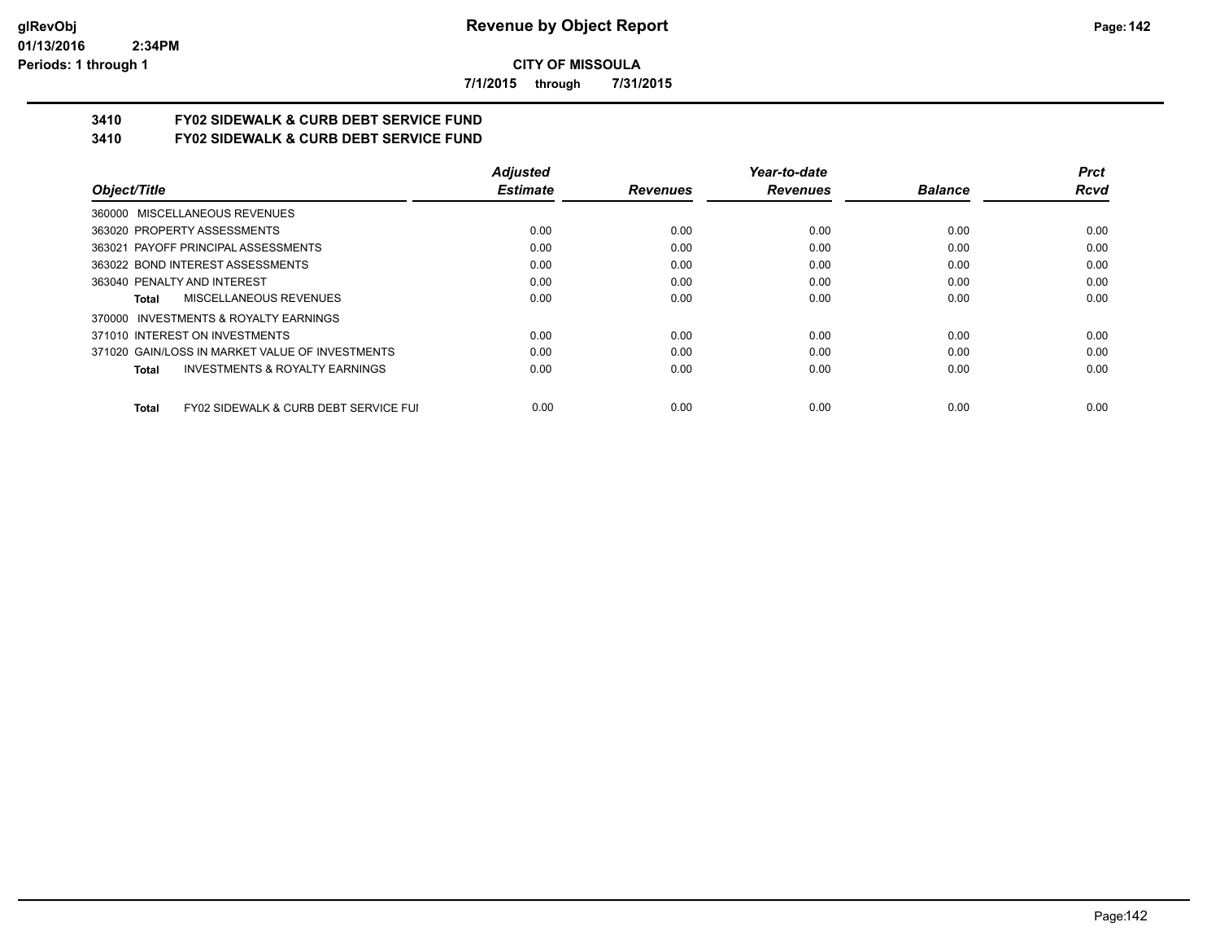**7/1/2015 through 7/31/2015**

# **3410 FY02 SIDEWALK & CURB DEBT SERVICE FUND**

**3410 FY02 SIDEWALK & CURB DEBT SERVICE FUND**

|                                                                  | <b>Adjusted</b> |                 | Year-to-date    |                | <b>Prct</b> |
|------------------------------------------------------------------|-----------------|-----------------|-----------------|----------------|-------------|
| Object/Title                                                     | <b>Estimate</b> | <b>Revenues</b> | <b>Revenues</b> | <b>Balance</b> | Rcvd        |
| 360000 MISCELLANEOUS REVENUES                                    |                 |                 |                 |                |             |
| 363020 PROPERTY ASSESSMENTS                                      | 0.00            | 0.00            | 0.00            | 0.00           | 0.00        |
| 363021 PAYOFF PRINCIPAL ASSESSMENTS                              | 0.00            | 0.00            | 0.00            | 0.00           | 0.00        |
| 363022 BOND INTEREST ASSESSMENTS                                 | 0.00            | 0.00            | 0.00            | 0.00           | 0.00        |
| 363040 PENALTY AND INTEREST                                      | 0.00            | 0.00            | 0.00            | 0.00           | 0.00        |
| MISCELLANEOUS REVENUES<br>Total                                  | 0.00            | 0.00            | 0.00            | 0.00           | 0.00        |
| INVESTMENTS & ROYALTY EARNINGS<br>370000                         |                 |                 |                 |                |             |
| 371010 INTEREST ON INVESTMENTS                                   | 0.00            | 0.00            | 0.00            | 0.00           | 0.00        |
| 371020 GAIN/LOSS IN MARKET VALUE OF INVESTMENTS                  | 0.00            | 0.00            | 0.00            | 0.00           | 0.00        |
| <b>INVESTMENTS &amp; ROYALTY EARNINGS</b><br><b>Total</b>        | 0.00            | 0.00            | 0.00            | 0.00           | 0.00        |
| <b>FY02 SIDEWALK &amp; CURB DEBT SERVICE FUI</b><br><b>Total</b> | 0.00            | 0.00            | 0.00            | 0.00           | 0.00        |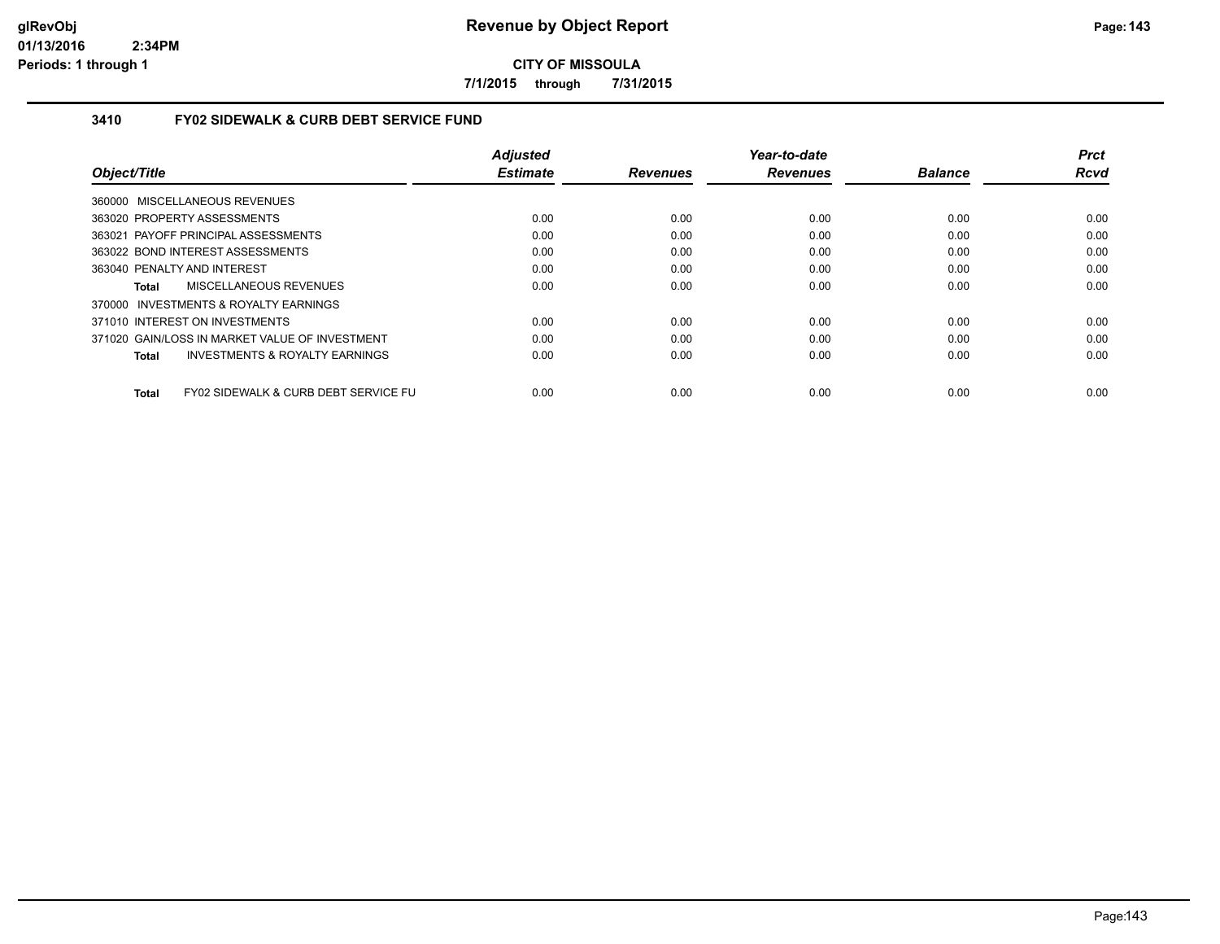**7/1/2015 through 7/31/2015**

## **3410 FY02 SIDEWALK & CURB DEBT SERVICE FUND**

| Object/Title                                         | <b>Adjusted</b><br><b>Estimate</b> | <b>Revenues</b> | Year-to-date<br><b>Revenues</b> | <b>Balance</b> | <b>Prct</b><br><b>Rcvd</b> |
|------------------------------------------------------|------------------------------------|-----------------|---------------------------------|----------------|----------------------------|
|                                                      |                                    |                 |                                 |                |                            |
| 360000 MISCELLANEOUS REVENUES                        |                                    |                 |                                 |                |                            |
| 363020 PROPERTY ASSESSMENTS                          | 0.00                               | 0.00            | 0.00                            | 0.00           | 0.00                       |
| 363021 PAYOFF PRINCIPAL ASSESSMENTS                  | 0.00                               | 0.00            | 0.00                            | 0.00           | 0.00                       |
| 363022 BOND INTEREST ASSESSMENTS                     | 0.00                               | 0.00            | 0.00                            | 0.00           | 0.00                       |
| 363040 PENALTY AND INTEREST                          | 0.00                               | 0.00            | 0.00                            | 0.00           | 0.00                       |
| <b>MISCELLANEOUS REVENUES</b><br>Total               | 0.00                               | 0.00            | 0.00                            | 0.00           | 0.00                       |
| 370000 INVESTMENTS & ROYALTY EARNINGS                |                                    |                 |                                 |                |                            |
| 371010 INTEREST ON INVESTMENTS                       | 0.00                               | 0.00            | 0.00                            | 0.00           | 0.00                       |
| 371020 GAIN/LOSS IN MARKET VALUE OF INVESTMENT       | 0.00                               | 0.00            | 0.00                            | 0.00           | 0.00                       |
| <b>INVESTMENTS &amp; ROYALTY EARNINGS</b><br>Total   | 0.00                               | 0.00            | 0.00                            | 0.00           | 0.00                       |
| FY02 SIDEWALK & CURB DEBT SERVICE FU<br><b>Total</b> | 0.00                               | 0.00            | 0.00                            | 0.00           | 0.00                       |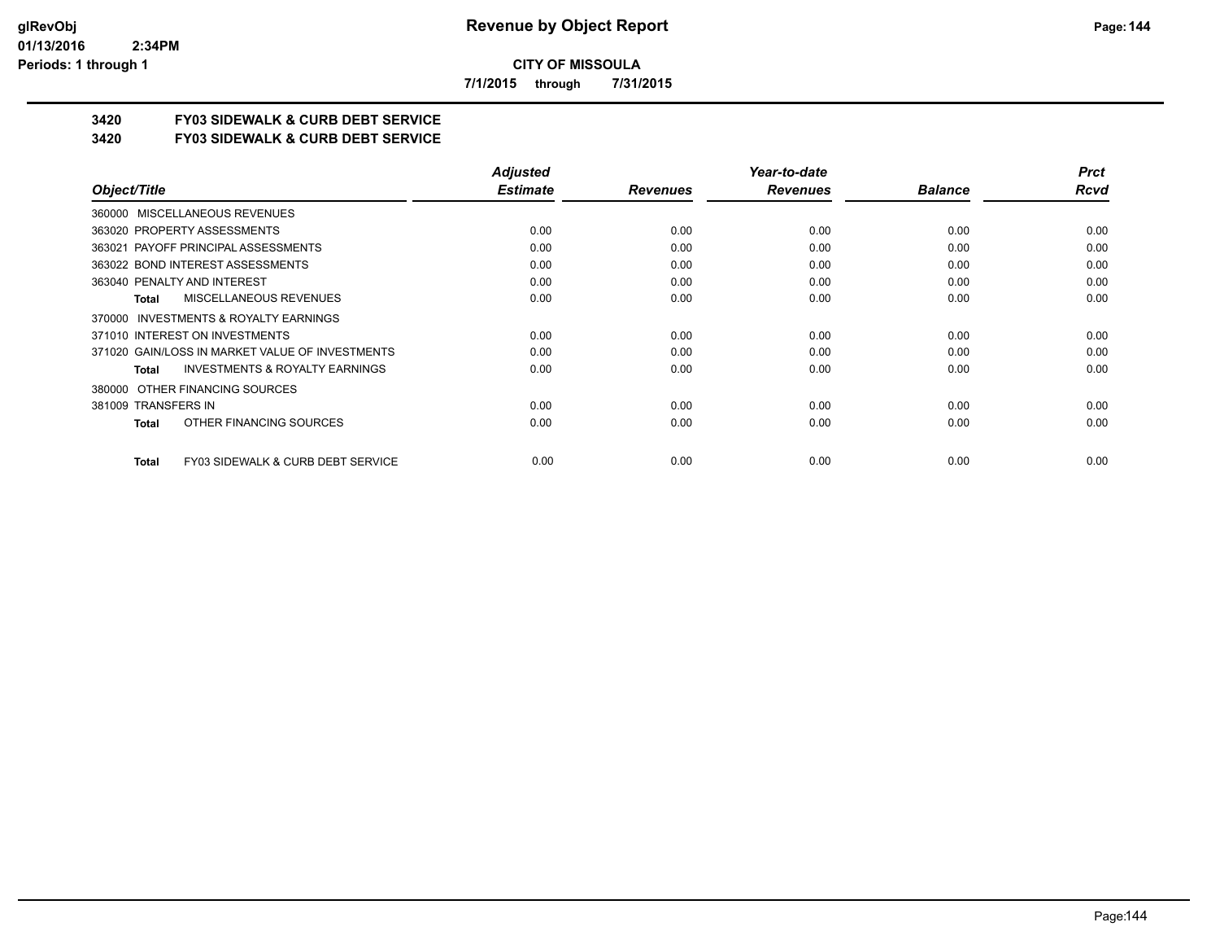**7/1/2015 through 7/31/2015**

# **3420 FY03 SIDEWALK & CURB DEBT SERVICE**

**3420 FY03 SIDEWALK & CURB DEBT SERVICE**

|                                                           | <b>Adjusted</b> |                 | Year-to-date    |                | <b>Prct</b> |
|-----------------------------------------------------------|-----------------|-----------------|-----------------|----------------|-------------|
| Object/Title                                              | <b>Estimate</b> | <b>Revenues</b> | <b>Revenues</b> | <b>Balance</b> | Rcvd        |
| MISCELLANEOUS REVENUES<br>360000                          |                 |                 |                 |                |             |
| 363020 PROPERTY ASSESSMENTS                               | 0.00            | 0.00            | 0.00            | 0.00           | 0.00        |
| 363021 PAYOFF PRINCIPAL ASSESSMENTS                       | 0.00            | 0.00            | 0.00            | 0.00           | 0.00        |
| 363022 BOND INTEREST ASSESSMENTS                          | 0.00            | 0.00            | 0.00            | 0.00           | 0.00        |
| 363040 PENALTY AND INTEREST                               | 0.00            | 0.00            | 0.00            | 0.00           | 0.00        |
| MISCELLANEOUS REVENUES<br><b>Total</b>                    | 0.00            | 0.00            | 0.00            | 0.00           | 0.00        |
| INVESTMENTS & ROYALTY EARNINGS<br>370000                  |                 |                 |                 |                |             |
| 371010 INTEREST ON INVESTMENTS                            | 0.00            | 0.00            | 0.00            | 0.00           | 0.00        |
| 371020 GAIN/LOSS IN MARKET VALUE OF INVESTMENTS           | 0.00            | 0.00            | 0.00            | 0.00           | 0.00        |
| <b>INVESTMENTS &amp; ROYALTY EARNINGS</b><br><b>Total</b> | 0.00            | 0.00            | 0.00            | 0.00           | 0.00        |
| OTHER FINANCING SOURCES<br>380000                         |                 |                 |                 |                |             |
| 381009 TRANSFERS IN                                       | 0.00            | 0.00            | 0.00            | 0.00           | 0.00        |
| OTHER FINANCING SOURCES<br><b>Total</b>                   | 0.00            | 0.00            | 0.00            | 0.00           | 0.00        |
|                                                           |                 |                 |                 |                |             |
| FY03 SIDEWALK & CURB DEBT SERVICE<br><b>Total</b>         | 0.00            | 0.00            | 0.00            | 0.00           | 0.00        |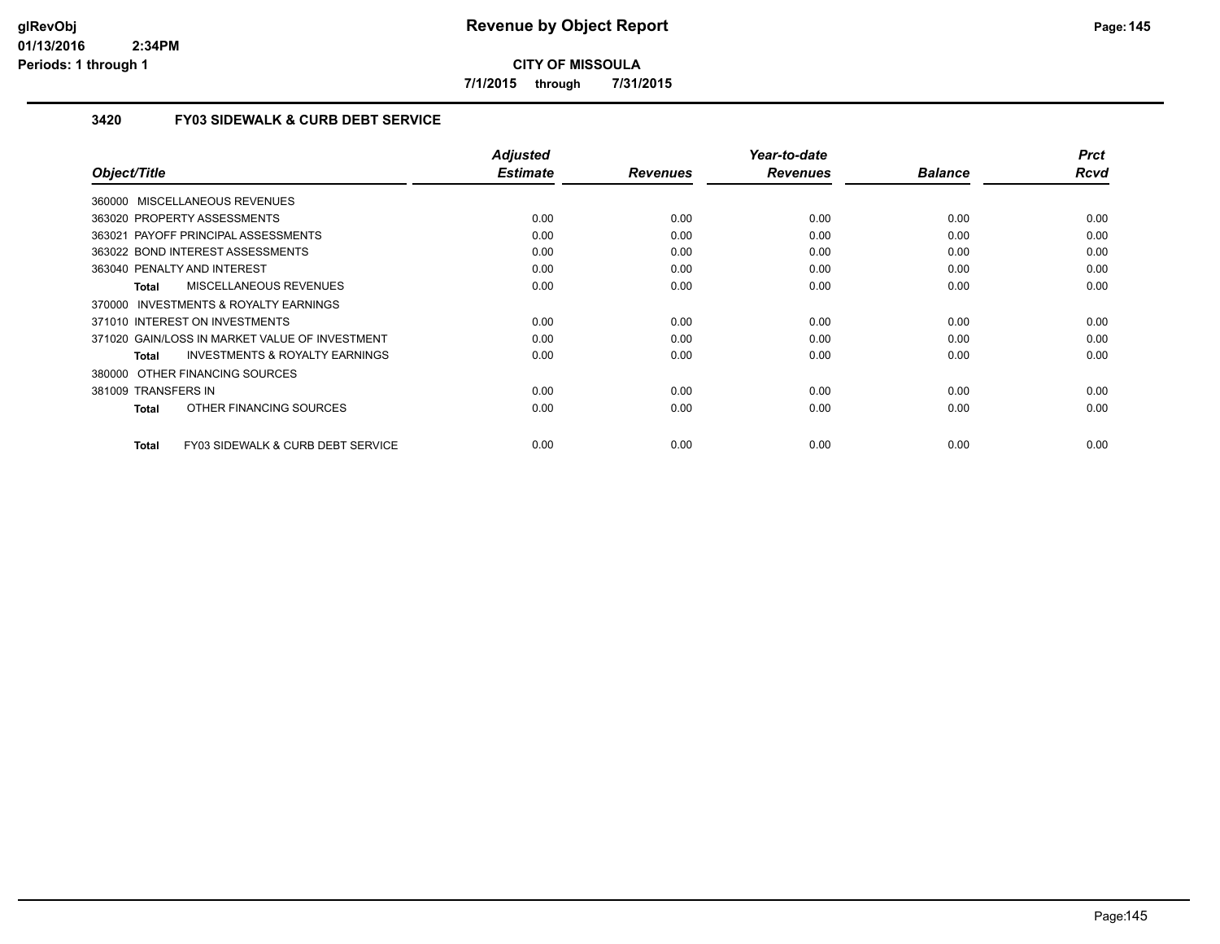**7/1/2015 through 7/31/2015**

## **3420 FY03 SIDEWALK & CURB DEBT SERVICE**

| Object/Title                                       | <b>Adjusted</b><br><b>Estimate</b> | <b>Revenues</b> | Year-to-date<br><b>Revenues</b> | <b>Balance</b> | <b>Prct</b><br>Rcvd |
|----------------------------------------------------|------------------------------------|-----------------|---------------------------------|----------------|---------------------|
| 360000 MISCELLANEOUS REVENUES                      |                                    |                 |                                 |                |                     |
| 363020 PROPERTY ASSESSMENTS                        | 0.00                               | 0.00            | 0.00                            | 0.00           | 0.00                |
| 363021 PAYOFF PRINCIPAL ASSESSMENTS                | 0.00                               | 0.00            | 0.00                            | 0.00           | 0.00                |
| 363022 BOND INTEREST ASSESSMENTS                   | 0.00                               | 0.00            | 0.00                            | 0.00           | 0.00                |
| 363040 PENALTY AND INTEREST                        | 0.00                               | 0.00            | 0.00                            | 0.00           | 0.00                |
| MISCELLANEOUS REVENUES<br>Total                    | 0.00                               | 0.00            | 0.00                            | 0.00           | 0.00                |
| 370000 INVESTMENTS & ROYALTY EARNINGS              |                                    |                 |                                 |                |                     |
| 371010 INTEREST ON INVESTMENTS                     | 0.00                               | 0.00            | 0.00                            | 0.00           | 0.00                |
| 371020 GAIN/LOSS IN MARKET VALUE OF INVESTMENT     | 0.00                               | 0.00            | 0.00                            | 0.00           | 0.00                |
| <b>INVESTMENTS &amp; ROYALTY EARNINGS</b><br>Total | 0.00                               | 0.00            | 0.00                            | 0.00           | 0.00                |
| 380000 OTHER FINANCING SOURCES                     |                                    |                 |                                 |                |                     |
| 381009 TRANSFERS IN                                | 0.00                               | 0.00            | 0.00                            | 0.00           | 0.00                |
| OTHER FINANCING SOURCES<br>Total                   | 0.00                               | 0.00            | 0.00                            | 0.00           | 0.00                |
| FY03 SIDEWALK & CURB DEBT SERVICE<br>Total         | 0.00                               | 0.00            | 0.00                            | 0.00           | 0.00                |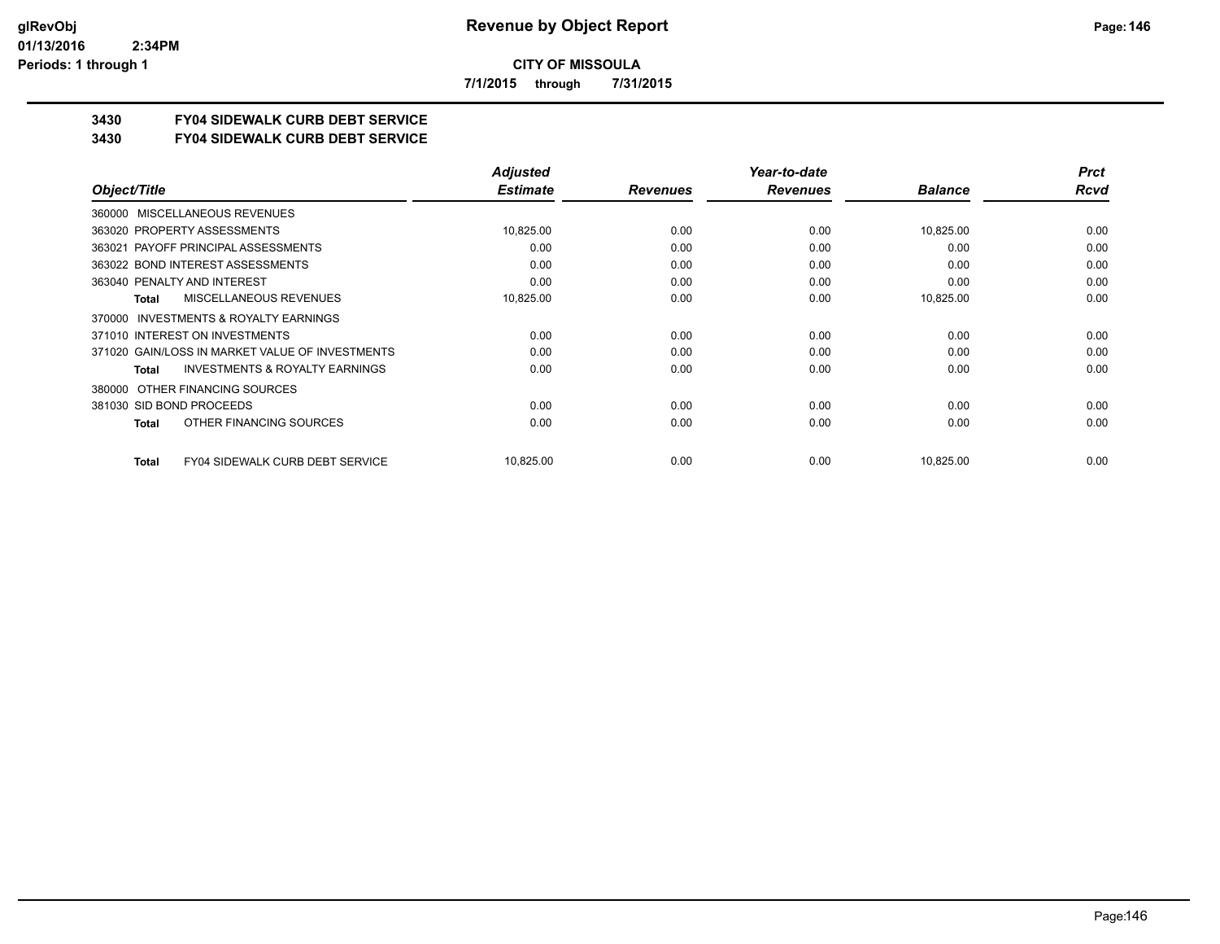**7/1/2015 through 7/31/2015**

## **3430 FY04 SIDEWALK CURB DEBT SERVICE**

#### **3430 FY04 SIDEWALK CURB DEBT SERVICE**

|                                                           | <b>Adjusted</b> |                 | Year-to-date    |                | <b>Prct</b> |
|-----------------------------------------------------------|-----------------|-----------------|-----------------|----------------|-------------|
| Object/Title                                              | <b>Estimate</b> | <b>Revenues</b> | <b>Revenues</b> | <b>Balance</b> | Rcvd        |
| MISCELLANEOUS REVENUES<br>360000                          |                 |                 |                 |                |             |
| 363020 PROPERTY ASSESSMENTS                               | 10,825.00       | 0.00            | 0.00            | 10,825.00      | 0.00        |
| 363021 PAYOFF PRINCIPAL ASSESSMENTS                       | 0.00            | 0.00            | 0.00            | 0.00           | 0.00        |
| 363022 BOND INTEREST ASSESSMENTS                          | 0.00            | 0.00            | 0.00            | 0.00           | 0.00        |
| 363040 PENALTY AND INTEREST                               | 0.00            | 0.00            | 0.00            | 0.00           | 0.00        |
| MISCELLANEOUS REVENUES<br><b>Total</b>                    | 10,825.00       | 0.00            | 0.00            | 10,825.00      | 0.00        |
| INVESTMENTS & ROYALTY EARNINGS<br>370000                  |                 |                 |                 |                |             |
| 371010 INTEREST ON INVESTMENTS                            | 0.00            | 0.00            | 0.00            | 0.00           | 0.00        |
| 371020 GAIN/LOSS IN MARKET VALUE OF INVESTMENTS           | 0.00            | 0.00            | 0.00            | 0.00           | 0.00        |
| <b>INVESTMENTS &amp; ROYALTY EARNINGS</b><br><b>Total</b> | 0.00            | 0.00            | 0.00            | 0.00           | 0.00        |
| OTHER FINANCING SOURCES<br>380000                         |                 |                 |                 |                |             |
| 381030 SID BOND PROCEEDS                                  | 0.00            | 0.00            | 0.00            | 0.00           | 0.00        |
| OTHER FINANCING SOURCES<br><b>Total</b>                   | 0.00            | 0.00            | 0.00            | 0.00           | 0.00        |
| <b>FY04 SIDEWALK CURB DEBT SERVICE</b><br><b>Total</b>    | 10,825.00       | 0.00            | 0.00            | 10,825.00      | 0.00        |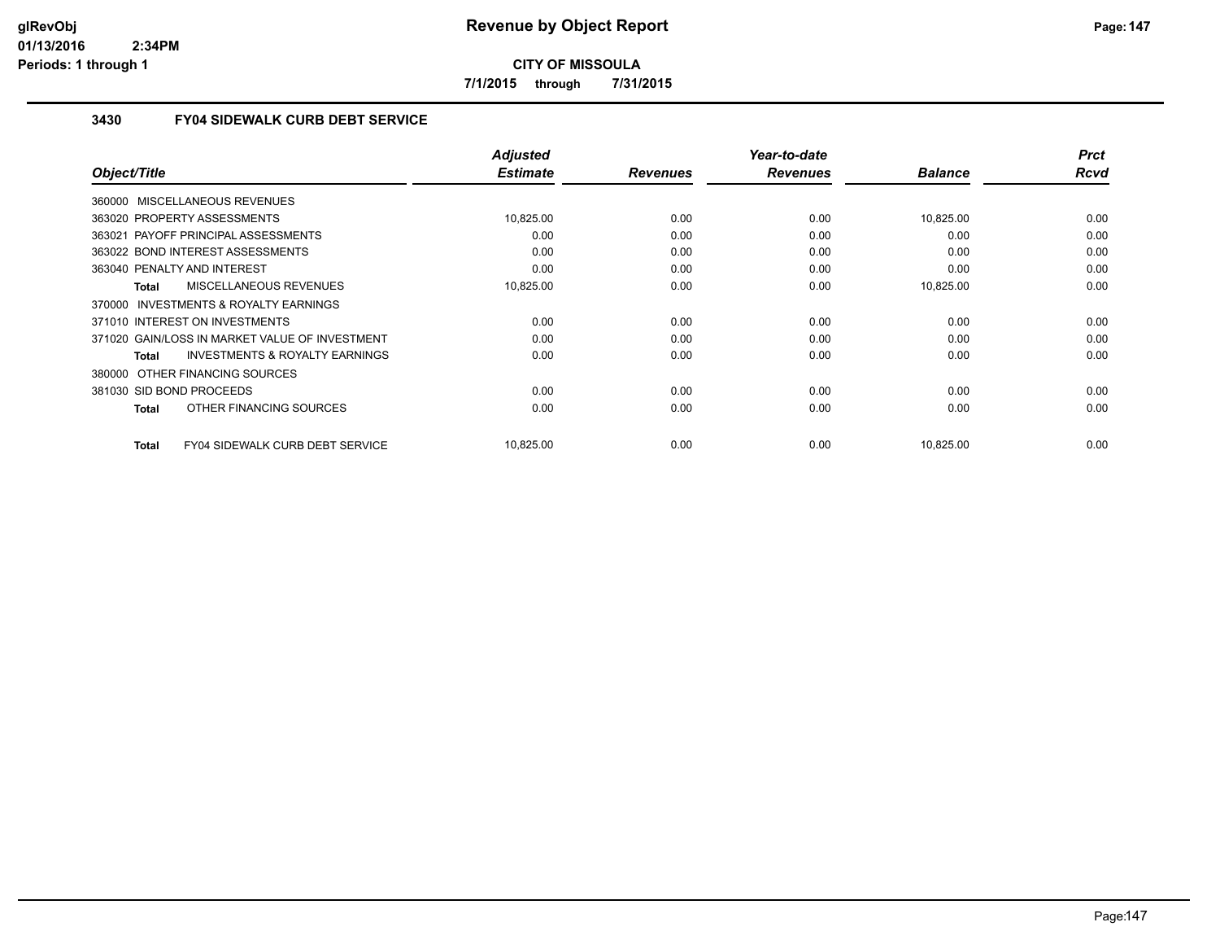**7/1/2015 through 7/31/2015**

## **3430 FY04 SIDEWALK CURB DEBT SERVICE**

|                                                    | <b>Adjusted</b> |                 | Year-to-date    |                | <b>Prct</b> |
|----------------------------------------------------|-----------------|-----------------|-----------------|----------------|-------------|
| Object/Title                                       | <b>Estimate</b> | <b>Revenues</b> | <b>Revenues</b> | <b>Balance</b> | <b>Rcvd</b> |
| 360000 MISCELLANEOUS REVENUES                      |                 |                 |                 |                |             |
| 363020 PROPERTY ASSESSMENTS                        | 10,825.00       | 0.00            | 0.00            | 10,825.00      | 0.00        |
| 363021 PAYOFF PRINCIPAL ASSESSMENTS                | 0.00            | 0.00            | 0.00            | 0.00           | 0.00        |
| 363022 BOND INTEREST ASSESSMENTS                   | 0.00            | 0.00            | 0.00            | 0.00           | 0.00        |
| 363040 PENALTY AND INTEREST                        | 0.00            | 0.00            | 0.00            | 0.00           | 0.00        |
| MISCELLANEOUS REVENUES<br>Total                    | 10,825.00       | 0.00            | 0.00            | 10,825.00      | 0.00        |
| 370000 INVESTMENTS & ROYALTY EARNINGS              |                 |                 |                 |                |             |
| 371010 INTEREST ON INVESTMENTS                     | 0.00            | 0.00            | 0.00            | 0.00           | 0.00        |
| 371020 GAIN/LOSS IN MARKET VALUE OF INVESTMENT     | 0.00            | 0.00            | 0.00            | 0.00           | 0.00        |
| <b>INVESTMENTS &amp; ROYALTY EARNINGS</b><br>Total | 0.00            | 0.00            | 0.00            | 0.00           | 0.00        |
| 380000 OTHER FINANCING SOURCES                     |                 |                 |                 |                |             |
| 381030 SID BOND PROCEEDS                           | 0.00            | 0.00            | 0.00            | 0.00           | 0.00        |
| OTHER FINANCING SOURCES<br>Total                   | 0.00            | 0.00            | 0.00            | 0.00           | 0.00        |
|                                                    |                 |                 |                 |                |             |
| FY04 SIDEWALK CURB DEBT SERVICE<br><b>Total</b>    | 10,825.00       | 0.00            | 0.00            | 10,825.00      | 0.00        |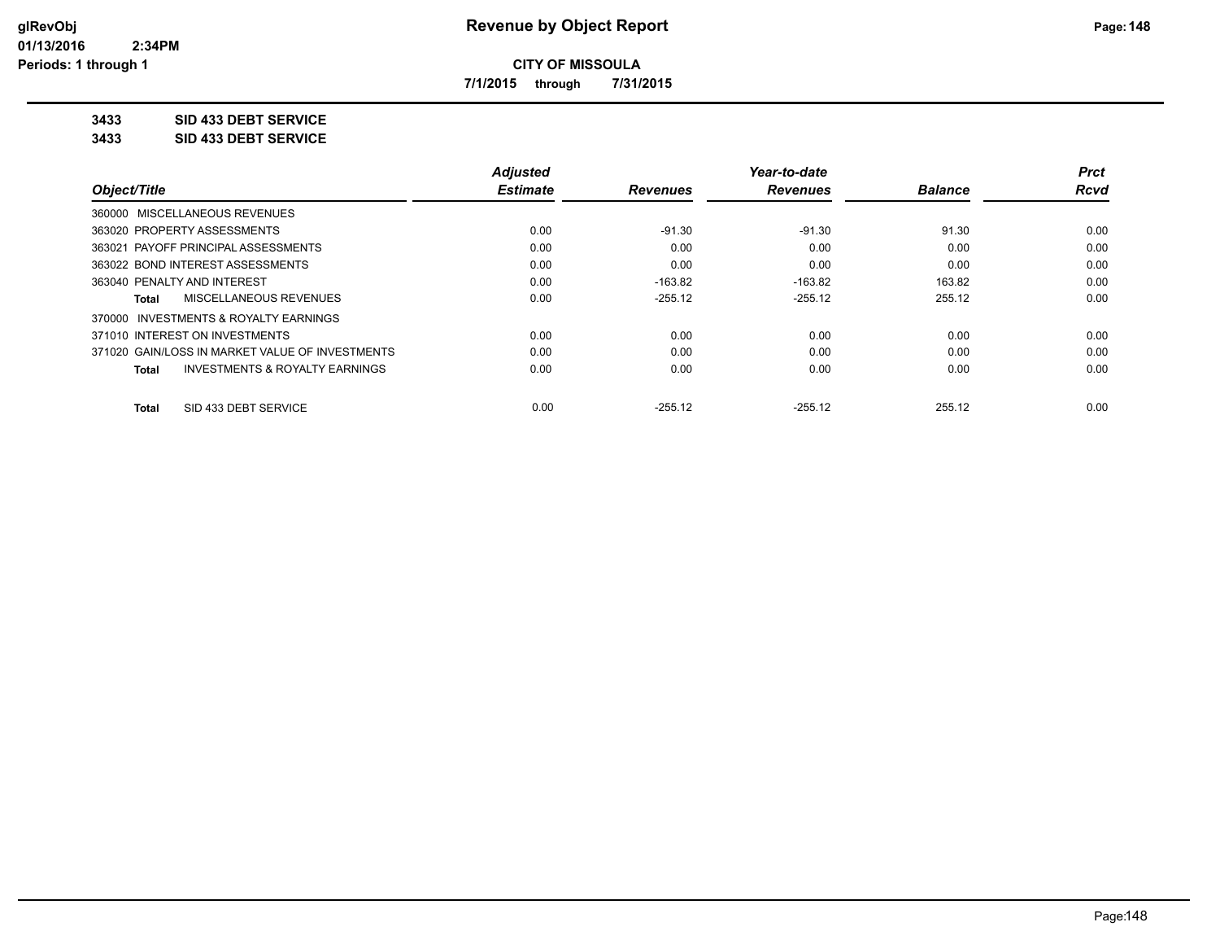**7/1/2015 through 7/31/2015**

**3433 SID 433 DEBT SERVICE**

**3433 SID 433 DEBT SERVICE**

|                                                    | <b>Adjusted</b> |                 | Year-to-date    |                | <b>Prct</b> |
|----------------------------------------------------|-----------------|-----------------|-----------------|----------------|-------------|
| Object/Title                                       | <b>Estimate</b> | <b>Revenues</b> | <b>Revenues</b> | <b>Balance</b> | <b>Rcvd</b> |
| 360000 MISCELLANEOUS REVENUES                      |                 |                 |                 |                |             |
| 363020 PROPERTY ASSESSMENTS                        | 0.00            | $-91.30$        | $-91.30$        | 91.30          | 0.00        |
| 363021 PAYOFF PRINCIPAL ASSESSMENTS                | 0.00            | 0.00            | 0.00            | 0.00           | 0.00        |
| 363022 BOND INTEREST ASSESSMENTS                   | 0.00            | 0.00            | 0.00            | 0.00           | 0.00        |
| 363040 PENALTY AND INTEREST                        | 0.00            | $-163.82$       | $-163.82$       | 163.82         | 0.00        |
| MISCELLANEOUS REVENUES<br>Total                    | 0.00            | $-255.12$       | $-255.12$       | 255.12         | 0.00        |
| INVESTMENTS & ROYALTY EARNINGS<br>370000           |                 |                 |                 |                |             |
| 371010 INTEREST ON INVESTMENTS                     | 0.00            | 0.00            | 0.00            | 0.00           | 0.00        |
| 371020 GAIN/LOSS IN MARKET VALUE OF INVESTMENTS    | 0.00            | 0.00            | 0.00            | 0.00           | 0.00        |
| <b>INVESTMENTS &amp; ROYALTY EARNINGS</b><br>Total | 0.00            | 0.00            | 0.00            | 0.00           | 0.00        |
| SID 433 DEBT SERVICE<br><b>Total</b>               | 0.00            | $-255.12$       | $-255.12$       | 255.12         | 0.00        |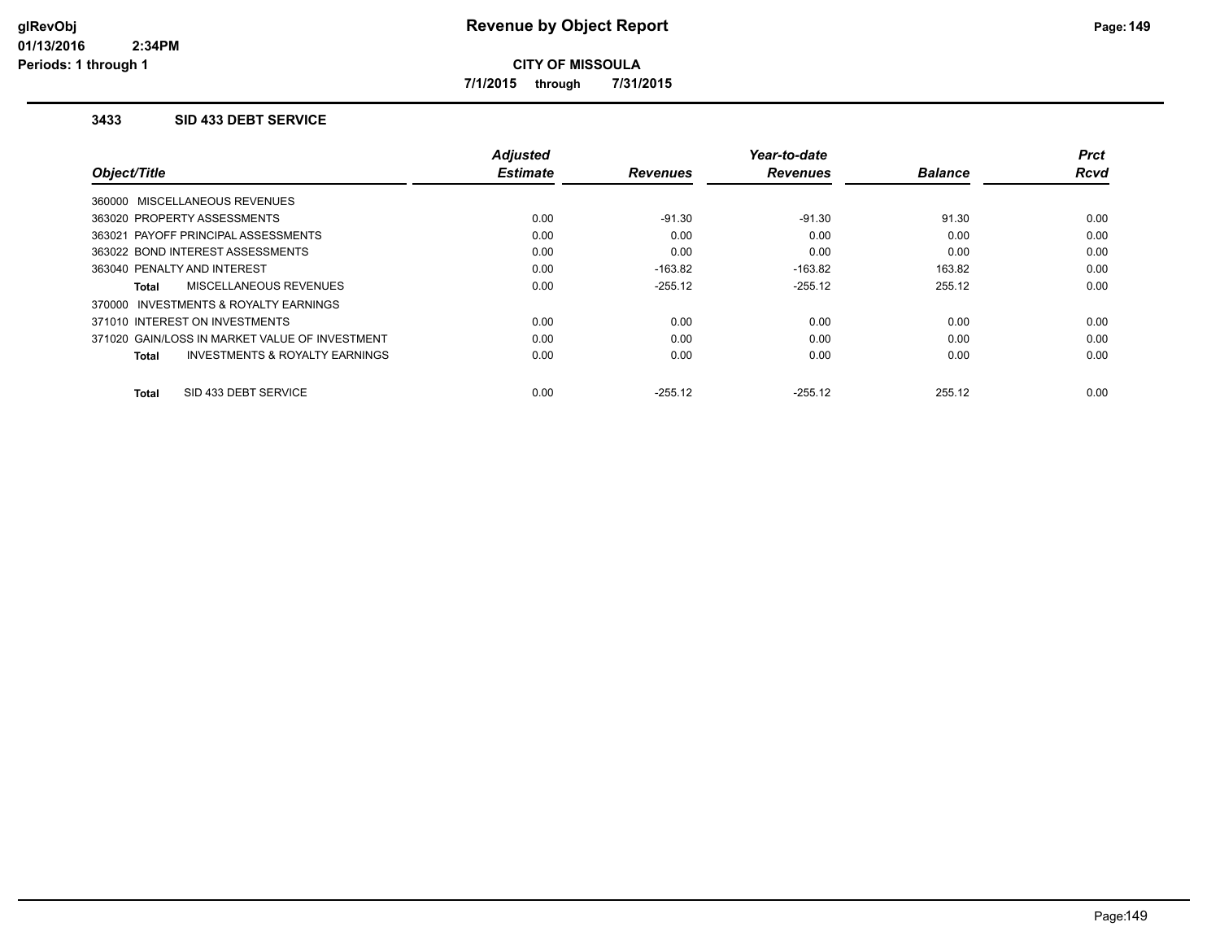**7/1/2015 through 7/31/2015**

#### **3433 SID 433 DEBT SERVICE**

|                                                    | <b>Adjusted</b> |                 | Year-to-date    |                | <b>Prct</b> |
|----------------------------------------------------|-----------------|-----------------|-----------------|----------------|-------------|
| Object/Title                                       | <b>Estimate</b> | <b>Revenues</b> | <b>Revenues</b> | <b>Balance</b> | <b>Rcvd</b> |
| 360000 MISCELLANEOUS REVENUES                      |                 |                 |                 |                |             |
| 363020 PROPERTY ASSESSMENTS                        | 0.00            | $-91.30$        | $-91.30$        | 91.30          | 0.00        |
| 363021 PAYOFF PRINCIPAL ASSESSMENTS                | 0.00            | 0.00            | 0.00            | 0.00           | 0.00        |
| 363022 BOND INTEREST ASSESSMENTS                   | 0.00            | 0.00            | 0.00            | 0.00           | 0.00        |
| 363040 PENALTY AND INTEREST                        | 0.00            | $-163.82$       | $-163.82$       | 163.82         | 0.00        |
| MISCELLANEOUS REVENUES<br>Total                    | 0.00            | $-255.12$       | $-255.12$       | 255.12         | 0.00        |
| 370000 INVESTMENTS & ROYALTY EARNINGS              |                 |                 |                 |                |             |
| 371010 INTEREST ON INVESTMENTS                     | 0.00            | 0.00            | 0.00            | 0.00           | 0.00        |
| 371020 GAIN/LOSS IN MARKET VALUE OF INVESTMENT     | 0.00            | 0.00            | 0.00            | 0.00           | 0.00        |
| <b>INVESTMENTS &amp; ROYALTY EARNINGS</b><br>Total | 0.00            | 0.00            | 0.00            | 0.00           | 0.00        |
| SID 433 DEBT SERVICE<br><b>Total</b>               | 0.00            | $-255.12$       | $-255.12$       | 255.12         | 0.00        |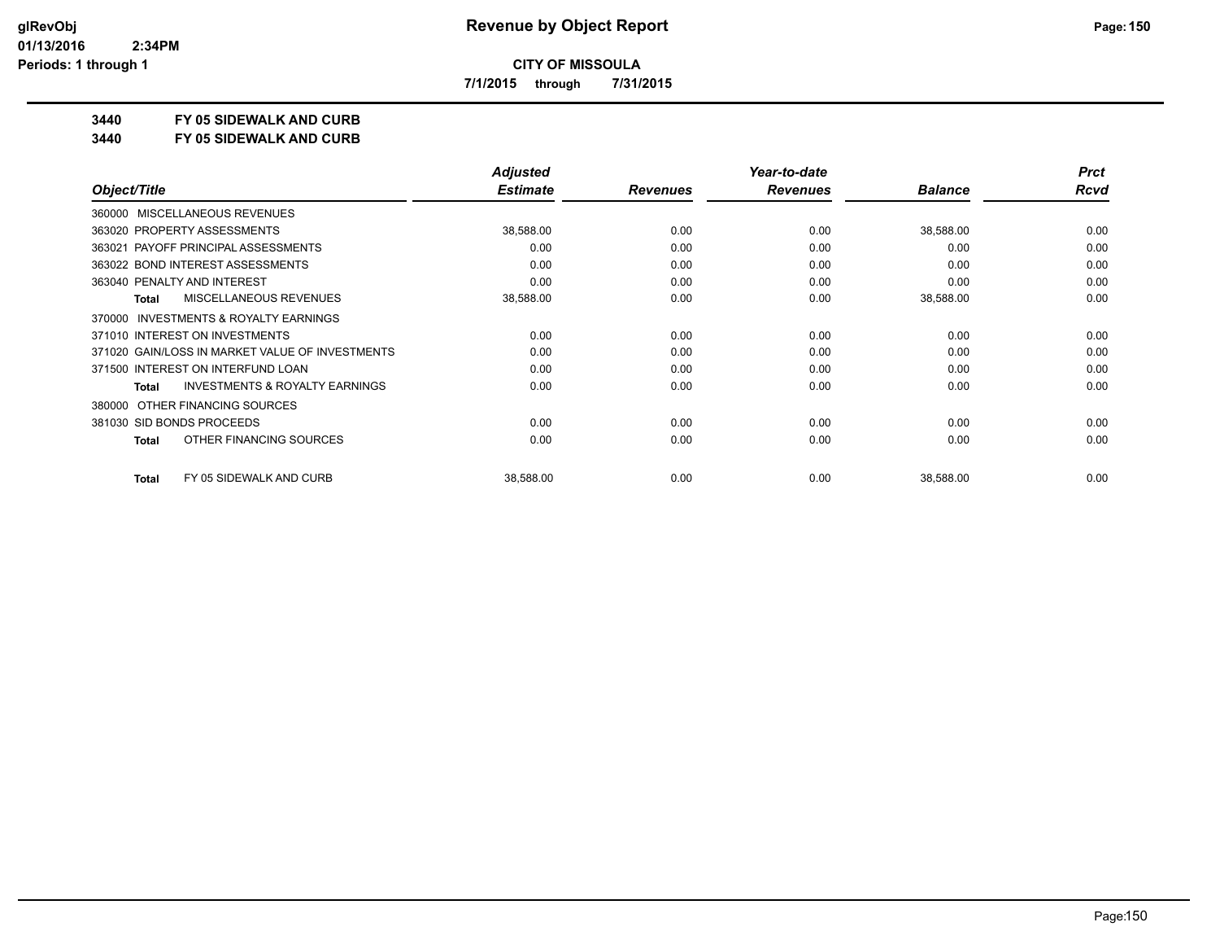**7/1/2015 through 7/31/2015**

## **3440 FY 05 SIDEWALK AND CURB**

**3440 FY 05 SIDEWALK AND CURB**

|                                                     | <b>Adjusted</b> |                 | Year-to-date    |                | <b>Prct</b> |
|-----------------------------------------------------|-----------------|-----------------|-----------------|----------------|-------------|
| Object/Title                                        | <b>Estimate</b> | <b>Revenues</b> | <b>Revenues</b> | <b>Balance</b> | Rcvd        |
| MISCELLANEOUS REVENUES<br>360000                    |                 |                 |                 |                |             |
| 363020 PROPERTY ASSESSMENTS                         | 38,588.00       | 0.00            | 0.00            | 38,588.00      | 0.00        |
| 363021 PAYOFF PRINCIPAL ASSESSMENTS                 | 0.00            | 0.00            | 0.00            | 0.00           | 0.00        |
| 363022 BOND INTEREST ASSESSMENTS                    | 0.00            | 0.00            | 0.00            | 0.00           | 0.00        |
| 363040 PENALTY AND INTEREST                         | 0.00            | 0.00            | 0.00            | 0.00           | 0.00        |
| MISCELLANEOUS REVENUES<br><b>Total</b>              | 38,588.00       | 0.00            | 0.00            | 38,588.00      | 0.00        |
| <b>INVESTMENTS &amp; ROYALTY EARNINGS</b><br>370000 |                 |                 |                 |                |             |
| 371010 INTEREST ON INVESTMENTS                      | 0.00            | 0.00            | 0.00            | 0.00           | 0.00        |
| 371020 GAIN/LOSS IN MARKET VALUE OF INVESTMENTS     | 0.00            | 0.00            | 0.00            | 0.00           | 0.00        |
| 371500 INTEREST ON INTERFUND LOAN                   | 0.00            | 0.00            | 0.00            | 0.00           | 0.00        |
| <b>INVESTMENTS &amp; ROYALTY EARNINGS</b><br>Total  | 0.00            | 0.00            | 0.00            | 0.00           | 0.00        |
| OTHER FINANCING SOURCES<br>380000                   |                 |                 |                 |                |             |
| 381030 SID BONDS PROCEEDS                           | 0.00            | 0.00            | 0.00            | 0.00           | 0.00        |
| OTHER FINANCING SOURCES<br><b>Total</b>             | 0.00            | 0.00            | 0.00            | 0.00           | 0.00        |
| FY 05 SIDEWALK AND CURB<br><b>Total</b>             | 38,588.00       | 0.00            | 0.00            | 38,588.00      | 0.00        |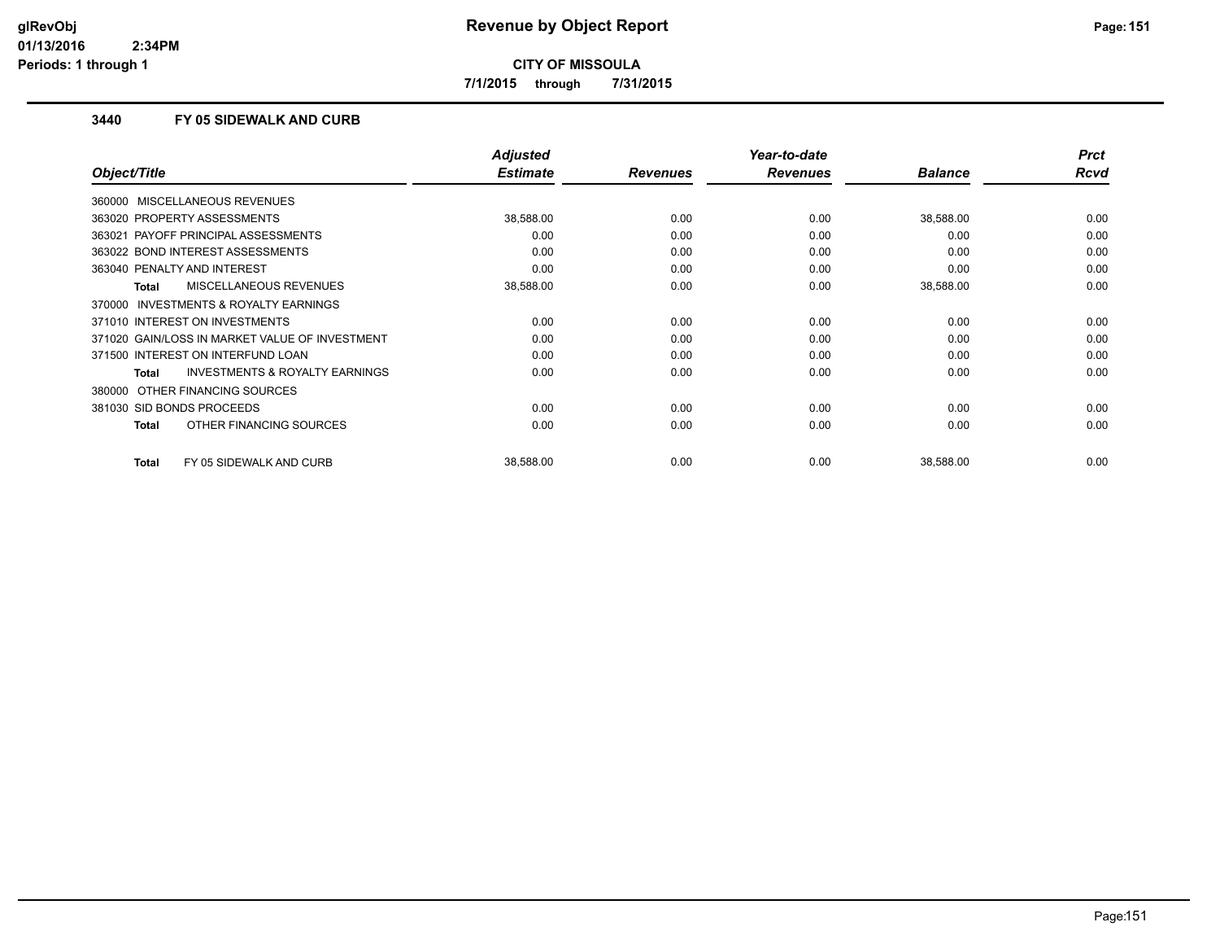**7/1/2015 through 7/31/2015**

## **3440 FY 05 SIDEWALK AND CURB**

|                                                     | <b>Adjusted</b> |                 | Year-to-date    |                | <b>Prct</b> |
|-----------------------------------------------------|-----------------|-----------------|-----------------|----------------|-------------|
| Object/Title                                        | <b>Estimate</b> | <b>Revenues</b> | <b>Revenues</b> | <b>Balance</b> | Rcvd        |
| 360000 MISCELLANEOUS REVENUES                       |                 |                 |                 |                |             |
| 363020 PROPERTY ASSESSMENTS                         | 38,588.00       | 0.00            | 0.00            | 38,588.00      | 0.00        |
| 363021 PAYOFF PRINCIPAL ASSESSMENTS                 | 0.00            | 0.00            | 0.00            | 0.00           | 0.00        |
| 363022 BOND INTEREST ASSESSMENTS                    | 0.00            | 0.00            | 0.00            | 0.00           | 0.00        |
| 363040 PENALTY AND INTEREST                         | 0.00            | 0.00            | 0.00            | 0.00           | 0.00        |
| <b>MISCELLANEOUS REVENUES</b><br>Total              | 38,588.00       | 0.00            | 0.00            | 38,588.00      | 0.00        |
| <b>INVESTMENTS &amp; ROYALTY EARNINGS</b><br>370000 |                 |                 |                 |                |             |
| 371010 INTEREST ON INVESTMENTS                      | 0.00            | 0.00            | 0.00            | 0.00           | 0.00        |
| 371020 GAIN/LOSS IN MARKET VALUE OF INVESTMENT      | 0.00            | 0.00            | 0.00            | 0.00           | 0.00        |
| 371500 INTEREST ON INTERFUND LOAN                   | 0.00            | 0.00            | 0.00            | 0.00           | 0.00        |
| <b>INVESTMENTS &amp; ROYALTY EARNINGS</b><br>Total  | 0.00            | 0.00            | 0.00            | 0.00           | 0.00        |
| 380000 OTHER FINANCING SOURCES                      |                 |                 |                 |                |             |
| 381030 SID BONDS PROCEEDS                           | 0.00            | 0.00            | 0.00            | 0.00           | 0.00        |
| OTHER FINANCING SOURCES<br>Total                    | 0.00            | 0.00            | 0.00            | 0.00           | 0.00        |
|                                                     |                 |                 |                 |                |             |
| FY 05 SIDEWALK AND CURB<br>Total                    | 38,588.00       | 0.00            | 0.00            | 38,588.00      | 0.00        |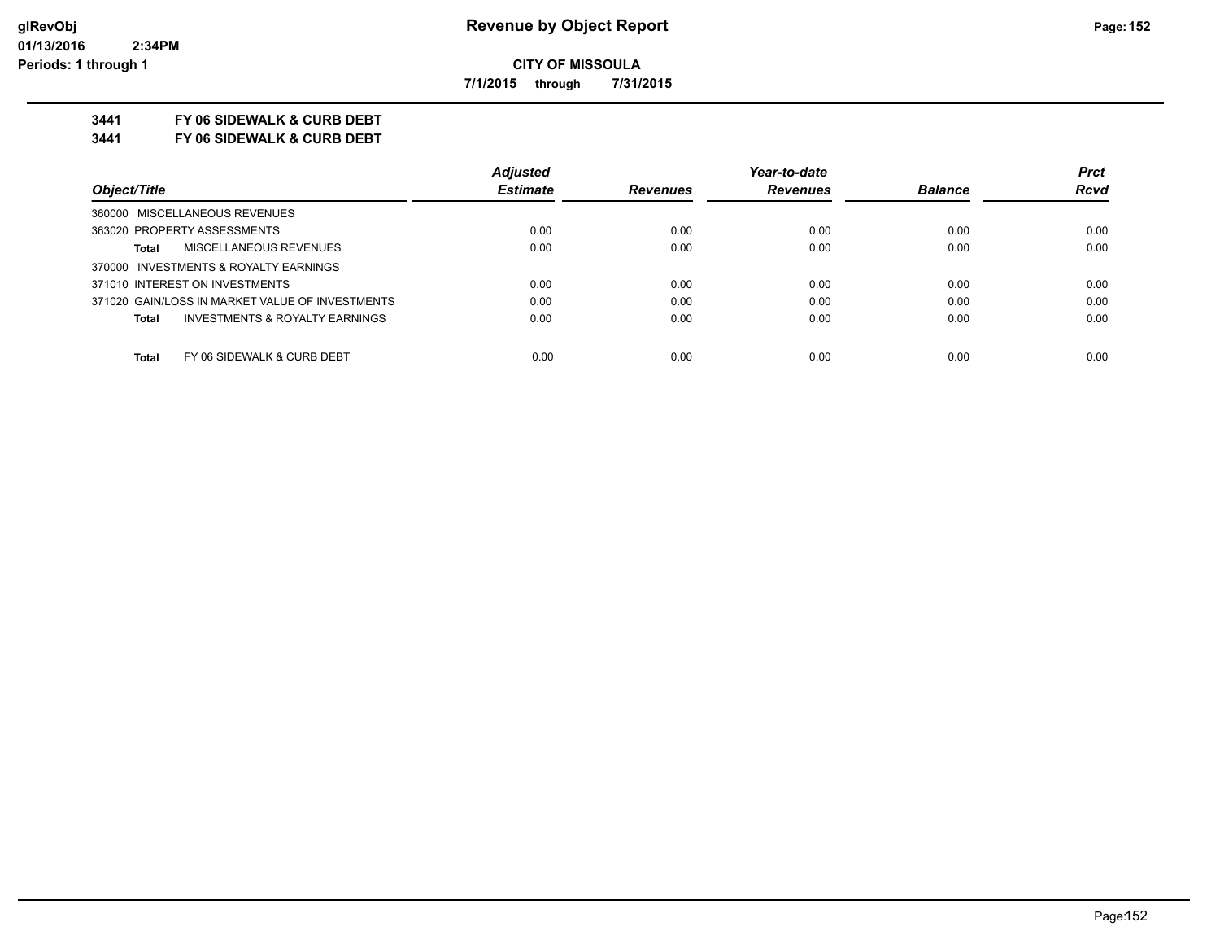**7/1/2015 through 7/31/2015**

## **3441 FY 06 SIDEWALK & CURB DEBT**

**3441 FY 06 SIDEWALK & CURB DEBT**

|                                                    | <b>Adjusted</b> |                 | Year-to-date    |                | <b>Prct</b> |
|----------------------------------------------------|-----------------|-----------------|-----------------|----------------|-------------|
| Object/Title                                       | <b>Estimate</b> | <b>Revenues</b> | <b>Revenues</b> | <b>Balance</b> | <b>Rcvd</b> |
| 360000 MISCELLANEOUS REVENUES                      |                 |                 |                 |                |             |
| 363020 PROPERTY ASSESSMENTS                        | 0.00            | 0.00            | 0.00            | 0.00           | 0.00        |
| MISCELLANEOUS REVENUES<br><b>Total</b>             | 0.00            | 0.00            | 0.00            | 0.00           | 0.00        |
| 370000 INVESTMENTS & ROYALTY EARNINGS              |                 |                 |                 |                |             |
| 371010 INTEREST ON INVESTMENTS                     | 0.00            | 0.00            | 0.00            | 0.00           | 0.00        |
| 371020 GAIN/LOSS IN MARKET VALUE OF INVESTMENTS    | 0.00            | 0.00            | 0.00            | 0.00           | 0.00        |
| <b>INVESTMENTS &amp; ROYALTY EARNINGS</b><br>Total | 0.00            | 0.00            | 0.00            | 0.00           | 0.00        |
| FY 06 SIDEWALK & CURB DEBT<br><b>Total</b>         | 0.00            | 0.00            | 0.00            | 0.00           | 0.00        |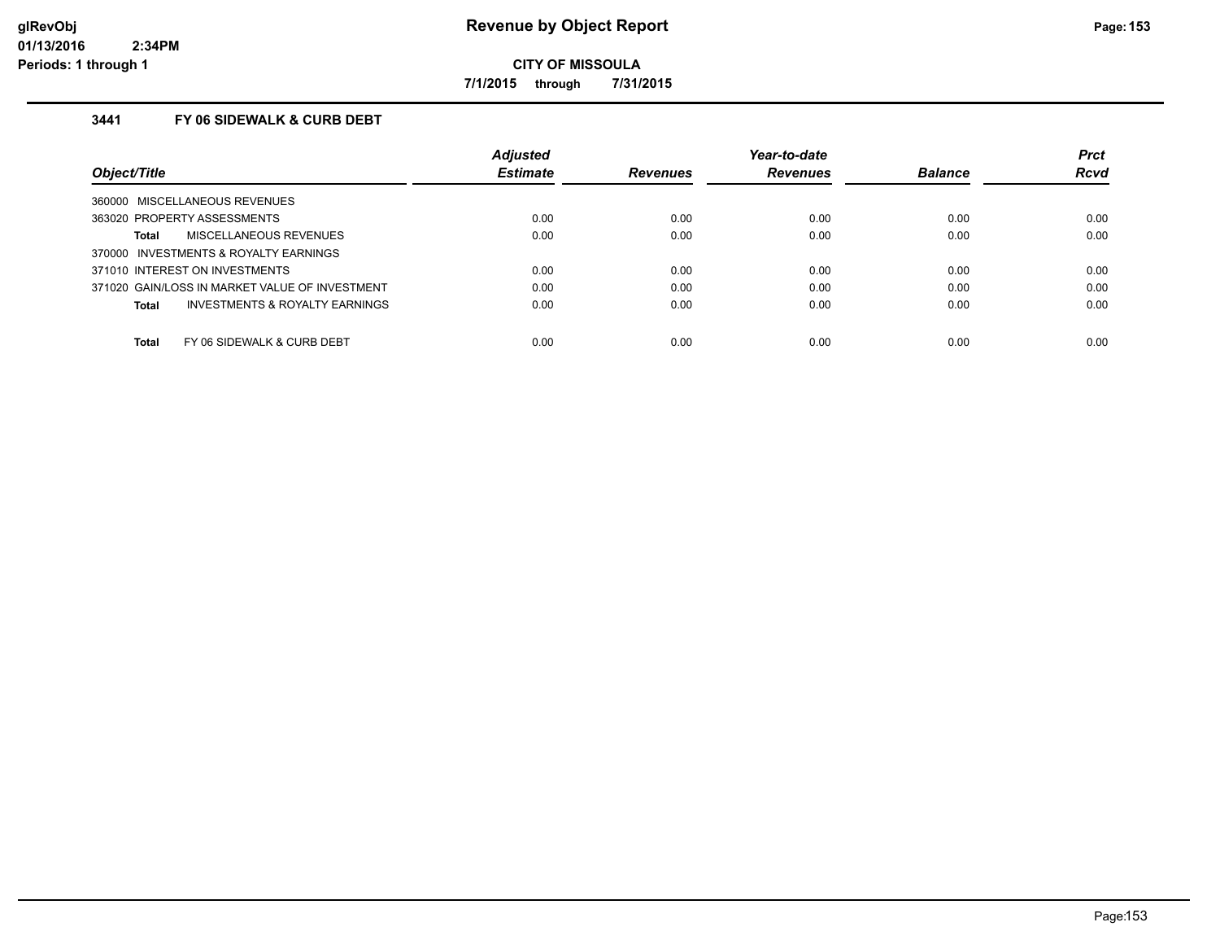**7/1/2015 through 7/31/2015**

## **3441 FY 06 SIDEWALK & CURB DEBT**

|                                                | <b>Adjusted</b> |                 | Year-to-date    |                | <b>Prct</b> |
|------------------------------------------------|-----------------|-----------------|-----------------|----------------|-------------|
| Object/Title                                   | <b>Estimate</b> | <b>Revenues</b> | <b>Revenues</b> | <b>Balance</b> | <b>Rcvd</b> |
| 360000 MISCELLANEOUS REVENUES                  |                 |                 |                 |                |             |
| 363020 PROPERTY ASSESSMENTS                    | 0.00            | 0.00            | 0.00            | 0.00           | 0.00        |
| MISCELLANEOUS REVENUES<br>Total                | 0.00            | 0.00            | 0.00            | 0.00           | 0.00        |
| 370000 INVESTMENTS & ROYALTY EARNINGS          |                 |                 |                 |                |             |
| 371010 INTEREST ON INVESTMENTS                 | 0.00            | 0.00            | 0.00            | 0.00           | 0.00        |
| 371020 GAIN/LOSS IN MARKET VALUE OF INVESTMENT | 0.00            | 0.00            | 0.00            | 0.00           | 0.00        |
| INVESTMENTS & ROYALTY EARNINGS<br>Total        | 0.00            | 0.00            | 0.00            | 0.00           | 0.00        |
| Total<br>FY 06 SIDEWALK & CURB DEBT            | 0.00            | 0.00            | 0.00            | 0.00           | 0.00        |
|                                                |                 |                 |                 |                |             |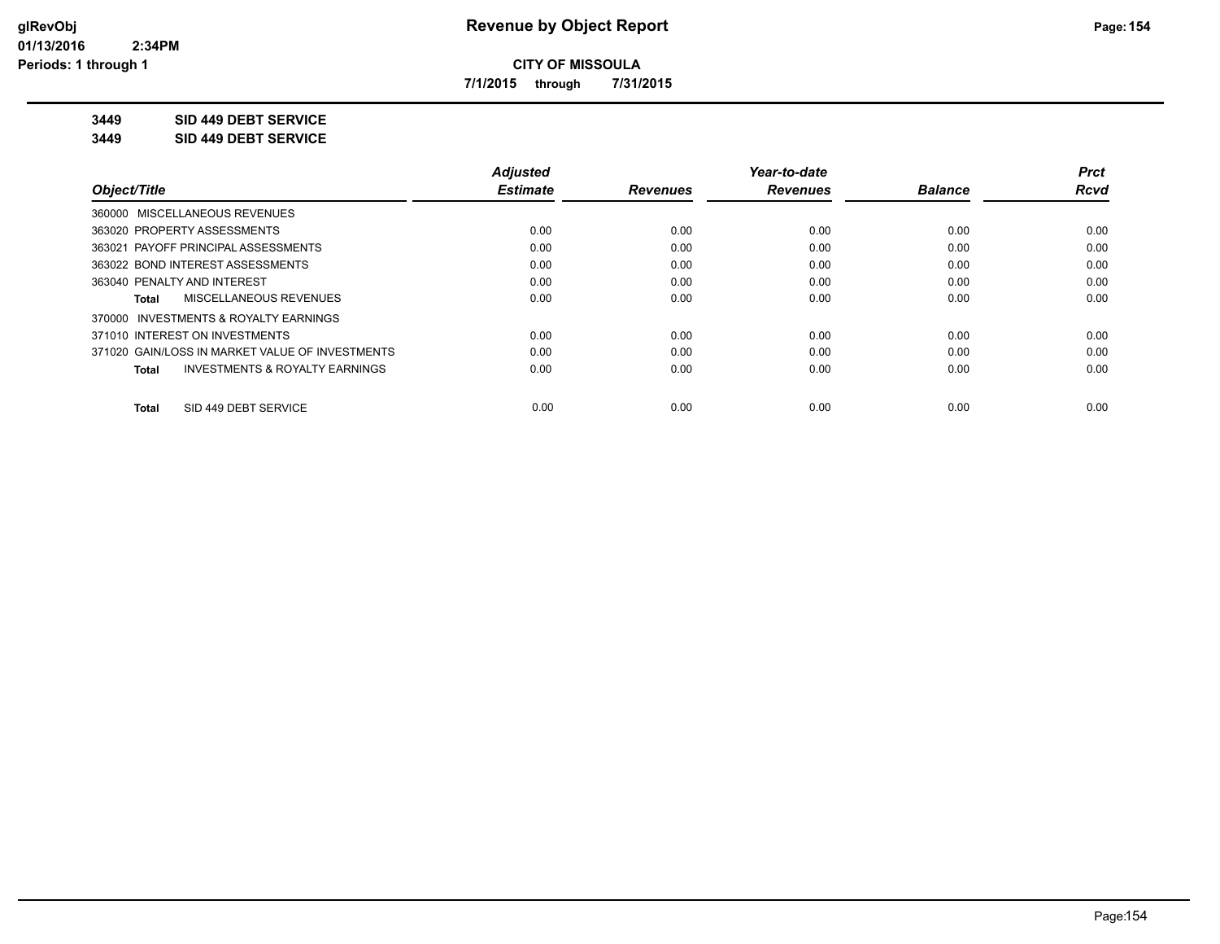**7/1/2015 through 7/31/2015**

**3449 SID 449 DEBT SERVICE**

**3449 SID 449 DEBT SERVICE**

|                                                           | <b>Adjusted</b> |                 | Year-to-date    |                | <b>Prct</b> |
|-----------------------------------------------------------|-----------------|-----------------|-----------------|----------------|-------------|
| Object/Title                                              | <b>Estimate</b> | <b>Revenues</b> | <b>Revenues</b> | <b>Balance</b> | Rcvd        |
| 360000 MISCELLANEOUS REVENUES                             |                 |                 |                 |                |             |
| 363020 PROPERTY ASSESSMENTS                               | 0.00            | 0.00            | 0.00            | 0.00           | 0.00        |
| 363021 PAYOFF PRINCIPAL ASSESSMENTS                       | 0.00            | 0.00            | 0.00            | 0.00           | 0.00        |
| 363022 BOND INTEREST ASSESSMENTS                          | 0.00            | 0.00            | 0.00            | 0.00           | 0.00        |
| 363040 PENALTY AND INTEREST                               | 0.00            | 0.00            | 0.00            | 0.00           | 0.00        |
| MISCELLANEOUS REVENUES<br>Total                           | 0.00            | 0.00            | 0.00            | 0.00           | 0.00        |
| 370000 INVESTMENTS & ROYALTY EARNINGS                     |                 |                 |                 |                |             |
| 371010 INTEREST ON INVESTMENTS                            | 0.00            | 0.00            | 0.00            | 0.00           | 0.00        |
| 371020 GAIN/LOSS IN MARKET VALUE OF INVESTMENTS           | 0.00            | 0.00            | 0.00            | 0.00           | 0.00        |
| <b>INVESTMENTS &amp; ROYALTY EARNINGS</b><br><b>Total</b> | 0.00            | 0.00            | 0.00            | 0.00           | 0.00        |
| SID 449 DEBT SERVICE<br>Total                             | 0.00            | 0.00            | 0.00            | 0.00           | 0.00        |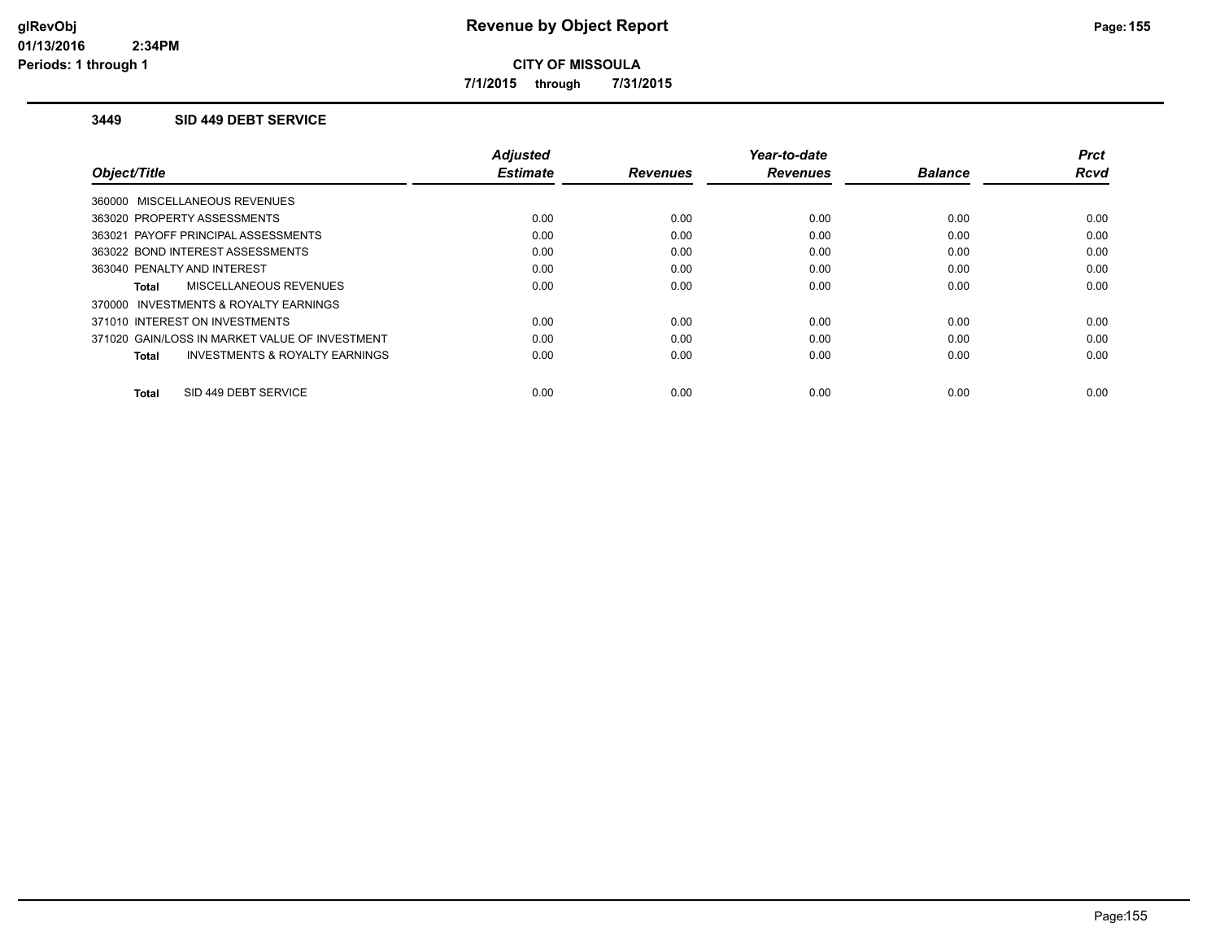**7/1/2015 through 7/31/2015**

### **3449 SID 449 DEBT SERVICE**

|                                                     | <b>Adjusted</b> |                 | Year-to-date    |                | <b>Prct</b> |
|-----------------------------------------------------|-----------------|-----------------|-----------------|----------------|-------------|
| Object/Title                                        | <b>Estimate</b> | <b>Revenues</b> | <b>Revenues</b> | <b>Balance</b> | <b>Rcvd</b> |
| 360000 MISCELLANEOUS REVENUES                       |                 |                 |                 |                |             |
| 363020 PROPERTY ASSESSMENTS                         | 0.00            | 0.00            | 0.00            | 0.00           | 0.00        |
| 363021 PAYOFF PRINCIPAL ASSESSMENTS                 | 0.00            | 0.00            | 0.00            | 0.00           | 0.00        |
| 363022 BOND INTEREST ASSESSMENTS                    | 0.00            | 0.00            | 0.00            | 0.00           | 0.00        |
| 363040 PENALTY AND INTEREST                         | 0.00            | 0.00            | 0.00            | 0.00           | 0.00        |
| <b>MISCELLANEOUS REVENUES</b><br>Total              | 0.00            | 0.00            | 0.00            | 0.00           | 0.00        |
| <b>INVESTMENTS &amp; ROYALTY EARNINGS</b><br>370000 |                 |                 |                 |                |             |
| 371010 INTEREST ON INVESTMENTS                      | 0.00            | 0.00            | 0.00            | 0.00           | 0.00        |
| 371020 GAIN/LOSS IN MARKET VALUE OF INVESTMENT      | 0.00            | 0.00            | 0.00            | 0.00           | 0.00        |
| <b>INVESTMENTS &amp; ROYALTY EARNINGS</b><br>Total  | 0.00            | 0.00            | 0.00            | 0.00           | 0.00        |
|                                                     |                 |                 |                 |                |             |
| SID 449 DEBT SERVICE<br>Total                       | 0.00            | 0.00            | 0.00            | 0.00           | 0.00        |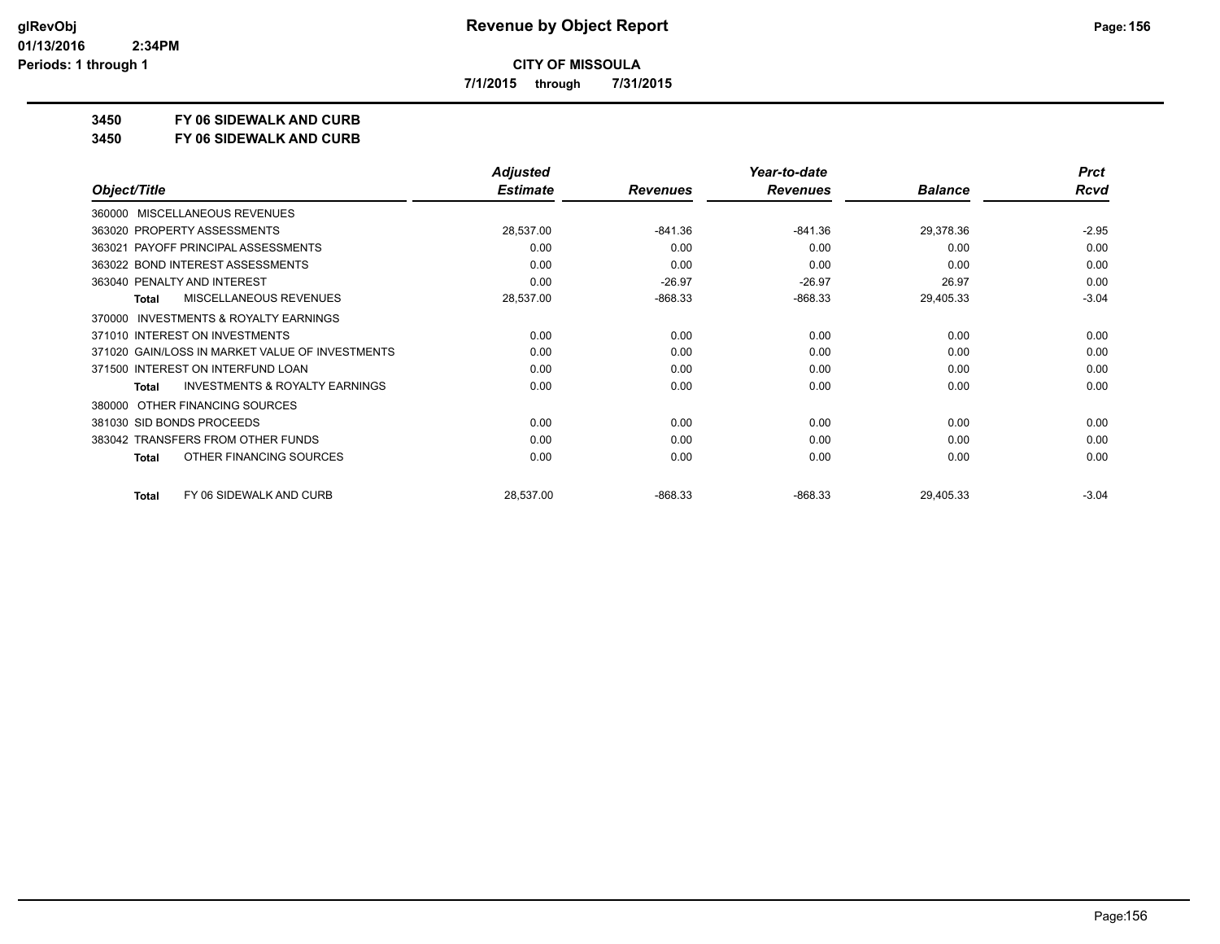**7/1/2015 through 7/31/2015**

## **3450 FY 06 SIDEWALK AND CURB**

**3450 FY 06 SIDEWALK AND CURB**

|                                                     | <b>Adjusted</b> |                 | Year-to-date    |                | <b>Prct</b> |
|-----------------------------------------------------|-----------------|-----------------|-----------------|----------------|-------------|
| Object/Title                                        | <b>Estimate</b> | <b>Revenues</b> | <b>Revenues</b> | <b>Balance</b> | <b>Rcvd</b> |
| MISCELLANEOUS REVENUES<br>360000                    |                 |                 |                 |                |             |
| 363020 PROPERTY ASSESSMENTS                         | 28,537.00       | $-841.36$       | $-841.36$       | 29,378.36      | $-2.95$     |
| 363021 PAYOFF PRINCIPAL ASSESSMENTS                 | 0.00            | 0.00            | 0.00            | 0.00           | 0.00        |
| 363022 BOND INTEREST ASSESSMENTS                    | 0.00            | 0.00            | 0.00            | 0.00           | 0.00        |
| 363040 PENALTY AND INTEREST                         | 0.00            | $-26.97$        | $-26.97$        | 26.97          | 0.00        |
| MISCELLANEOUS REVENUES<br>Total                     | 28,537.00       | $-868.33$       | $-868.33$       | 29,405.33      | $-3.04$     |
| <b>INVESTMENTS &amp; ROYALTY EARNINGS</b><br>370000 |                 |                 |                 |                |             |
| 371010 INTEREST ON INVESTMENTS                      | 0.00            | 0.00            | 0.00            | 0.00           | 0.00        |
| 371020 GAIN/LOSS IN MARKET VALUE OF INVESTMENTS     | 0.00            | 0.00            | 0.00            | 0.00           | 0.00        |
| 371500 INTEREST ON INTERFUND LOAN                   | 0.00            | 0.00            | 0.00            | 0.00           | 0.00        |
| <b>INVESTMENTS &amp; ROYALTY EARNINGS</b><br>Total  | 0.00            | 0.00            | 0.00            | 0.00           | 0.00        |
| OTHER FINANCING SOURCES<br>380000                   |                 |                 |                 |                |             |
| 381030 SID BONDS PROCEEDS                           | 0.00            | 0.00            | 0.00            | 0.00           | 0.00        |
| 383042 TRANSFERS FROM OTHER FUNDS                   | 0.00            | 0.00            | 0.00            | 0.00           | 0.00        |
| OTHER FINANCING SOURCES<br>Total                    | 0.00            | 0.00            | 0.00            | 0.00           | 0.00        |
| FY 06 SIDEWALK AND CURB<br><b>Total</b>             | 28,537.00       | $-868.33$       | $-868.33$       | 29,405.33      | $-3.04$     |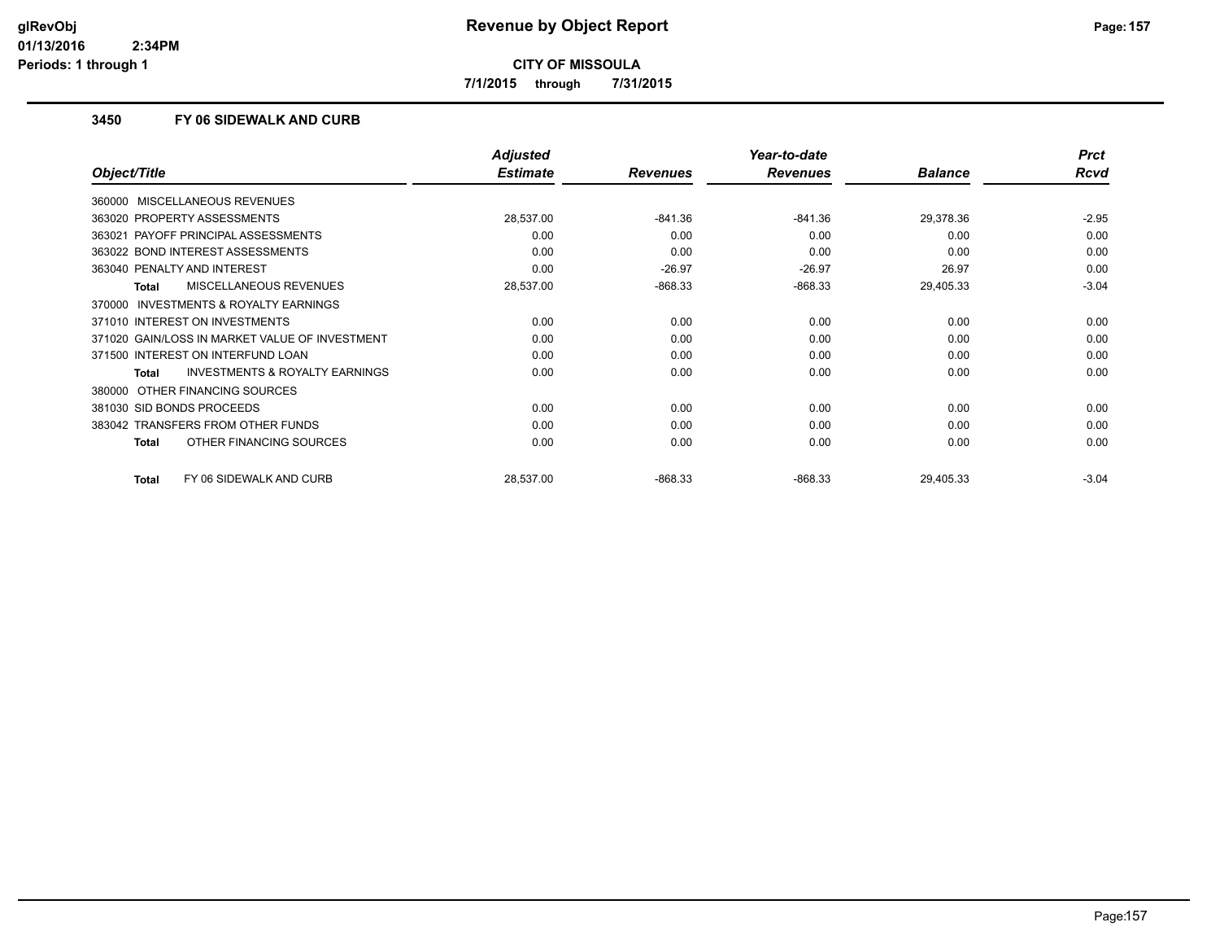**7/1/2015 through 7/31/2015**

### **3450 FY 06 SIDEWALK AND CURB**

|                                                    | <b>Adjusted</b> |                 | Year-to-date    |                | <b>Prct</b> |
|----------------------------------------------------|-----------------|-----------------|-----------------|----------------|-------------|
| Object/Title                                       | <b>Estimate</b> | <b>Revenues</b> | <b>Revenues</b> | <b>Balance</b> | <b>Rcvd</b> |
| 360000 MISCELLANEOUS REVENUES                      |                 |                 |                 |                |             |
| 363020 PROPERTY ASSESSMENTS                        | 28,537.00       | $-841.36$       | $-841.36$       | 29,378.36      | $-2.95$     |
| PAYOFF PRINCIPAL ASSESSMENTS<br>363021             | 0.00            | 0.00            | 0.00            | 0.00           | 0.00        |
| 363022 BOND INTEREST ASSESSMENTS                   | 0.00            | 0.00            | 0.00            | 0.00           | 0.00        |
| 363040 PENALTY AND INTEREST                        | 0.00            | $-26.97$        | $-26.97$        | 26.97          | 0.00        |
| MISCELLANEOUS REVENUES<br>Total                    | 28,537.00       | $-868.33$       | $-868.33$       | 29,405.33      | $-3.04$     |
| 370000 INVESTMENTS & ROYALTY EARNINGS              |                 |                 |                 |                |             |
| 371010 INTEREST ON INVESTMENTS                     | 0.00            | 0.00            | 0.00            | 0.00           | 0.00        |
| 371020 GAIN/LOSS IN MARKET VALUE OF INVESTMENT     | 0.00            | 0.00            | 0.00            | 0.00           | 0.00        |
| 371500 INTEREST ON INTERFUND LOAN                  | 0.00            | 0.00            | 0.00            | 0.00           | 0.00        |
| <b>INVESTMENTS &amp; ROYALTY EARNINGS</b><br>Total | 0.00            | 0.00            | 0.00            | 0.00           | 0.00        |
| OTHER FINANCING SOURCES<br>380000                  |                 |                 |                 |                |             |
| 381030 SID BONDS PROCEEDS                          | 0.00            | 0.00            | 0.00            | 0.00           | 0.00        |
| 383042 TRANSFERS FROM OTHER FUNDS                  | 0.00            | 0.00            | 0.00            | 0.00           | 0.00        |
| OTHER FINANCING SOURCES<br><b>Total</b>            | 0.00            | 0.00            | 0.00            | 0.00           | 0.00        |
| FY 06 SIDEWALK AND CURB<br><b>Total</b>            | 28,537.00       | $-868.33$       | $-868.33$       | 29,405.33      | $-3.04$     |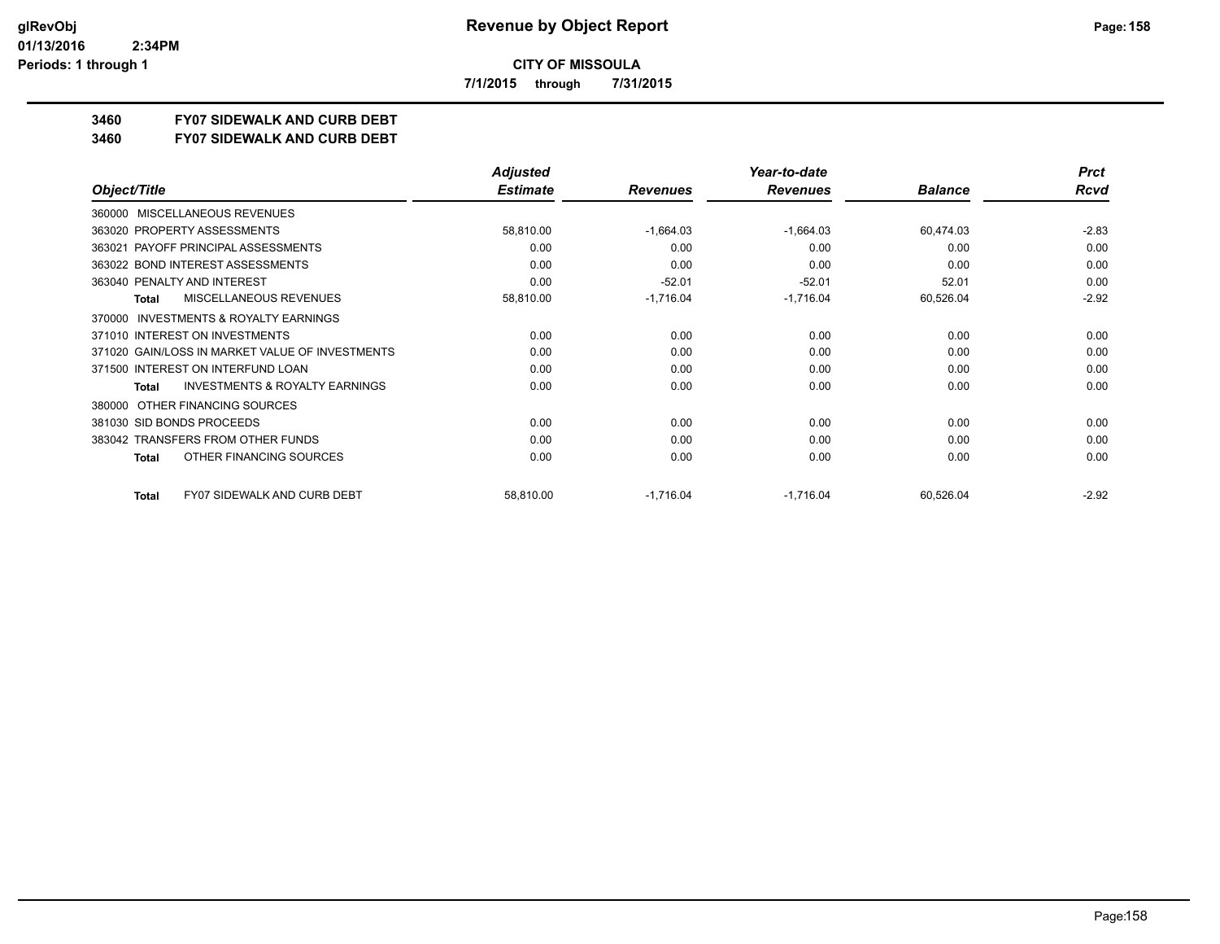**7/1/2015 through 7/31/2015**

# **3460 FY07 SIDEWALK AND CURB DEBT**

#### **3460 FY07 SIDEWALK AND CURB DEBT**

|                                                           | <b>Adjusted</b> |                 | Year-to-date    |                | <b>Prct</b> |
|-----------------------------------------------------------|-----------------|-----------------|-----------------|----------------|-------------|
| Object/Title                                              | <b>Estimate</b> | <b>Revenues</b> | <b>Revenues</b> | <b>Balance</b> | <b>Rcvd</b> |
| <b>MISCELLANEOUS REVENUES</b><br>360000                   |                 |                 |                 |                |             |
| 363020 PROPERTY ASSESSMENTS                               | 58,810.00       | $-1,664.03$     | $-1,664.03$     | 60,474.03      | $-2.83$     |
| 363021 PAYOFF PRINCIPAL ASSESSMENTS                       | 0.00            | 0.00            | 0.00            | 0.00           | 0.00        |
| 363022 BOND INTEREST ASSESSMENTS                          | 0.00            | 0.00            | 0.00            | 0.00           | 0.00        |
| 363040 PENALTY AND INTEREST                               | 0.00            | $-52.01$        | $-52.01$        | 52.01          | 0.00        |
| <b>MISCELLANEOUS REVENUES</b><br><b>Total</b>             | 58,810.00       | $-1,716.04$     | $-1,716.04$     | 60,526.04      | $-2.92$     |
| <b>INVESTMENTS &amp; ROYALTY EARNINGS</b><br>370000       |                 |                 |                 |                |             |
| 371010 INTEREST ON INVESTMENTS                            | 0.00            | 0.00            | 0.00            | 0.00           | 0.00        |
| 371020 GAIN/LOSS IN MARKET VALUE OF INVESTMENTS           | 0.00            | 0.00            | 0.00            | 0.00           | 0.00        |
| 371500 INTEREST ON INTERFUND LOAN                         | 0.00            | 0.00            | 0.00            | 0.00           | 0.00        |
| <b>INVESTMENTS &amp; ROYALTY EARNINGS</b><br><b>Total</b> | 0.00            | 0.00            | 0.00            | 0.00           | 0.00        |
| OTHER FINANCING SOURCES<br>380000                         |                 |                 |                 |                |             |
| 381030 SID BONDS PROCEEDS                                 | 0.00            | 0.00            | 0.00            | 0.00           | 0.00        |
| 383042 TRANSFERS FROM OTHER FUNDS                         | 0.00            | 0.00            | 0.00            | 0.00           | 0.00        |
| OTHER FINANCING SOURCES<br><b>Total</b>                   | 0.00            | 0.00            | 0.00            | 0.00           | 0.00        |
| <b>FY07 SIDEWALK AND CURB DEBT</b><br><b>Total</b>        | 58,810.00       | $-1,716.04$     | $-1,716.04$     | 60,526.04      | $-2.92$     |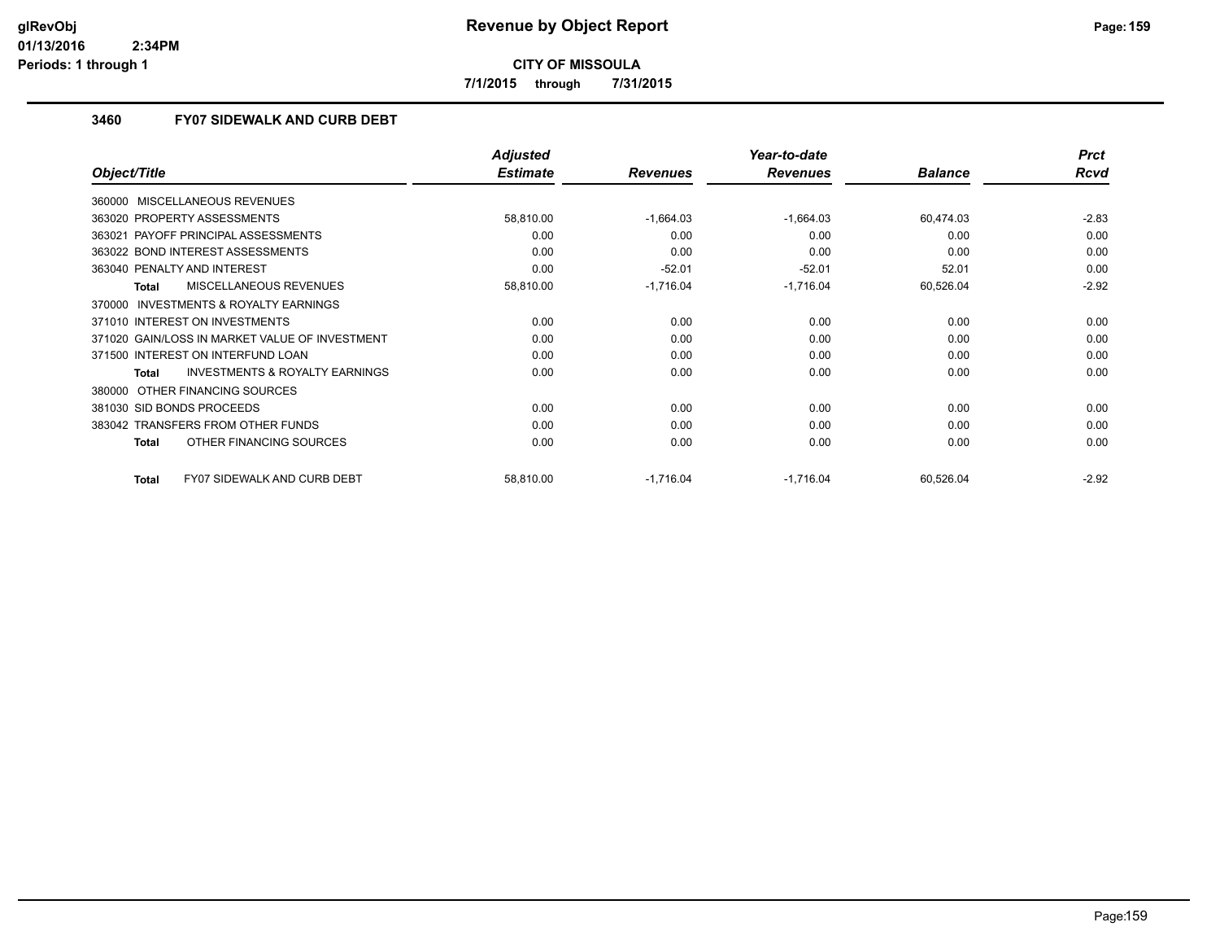**7/1/2015 through 7/31/2015**

## **3460 FY07 SIDEWALK AND CURB DEBT**

|                                                    | <b>Adjusted</b> |                 | Year-to-date    |                | <b>Prct</b> |
|----------------------------------------------------|-----------------|-----------------|-----------------|----------------|-------------|
| Object/Title                                       | <b>Estimate</b> | <b>Revenues</b> | <b>Revenues</b> | <b>Balance</b> | <b>Rcvd</b> |
| 360000 MISCELLANEOUS REVENUES                      |                 |                 |                 |                |             |
| 363020 PROPERTY ASSESSMENTS                        | 58,810.00       | $-1,664.03$     | $-1,664.03$     | 60,474.03      | $-2.83$     |
| PAYOFF PRINCIPAL ASSESSMENTS<br>363021             | 0.00            | 0.00            | 0.00            | 0.00           | 0.00        |
| 363022 BOND INTEREST ASSESSMENTS                   | 0.00            | 0.00            | 0.00            | 0.00           | 0.00        |
| 363040 PENALTY AND INTEREST                        | 0.00            | $-52.01$        | $-52.01$        | 52.01          | 0.00        |
| MISCELLANEOUS REVENUES<br>Total                    | 58,810.00       | $-1,716.04$     | $-1,716.04$     | 60,526.04      | $-2.92$     |
| INVESTMENTS & ROYALTY EARNINGS<br>370000           |                 |                 |                 |                |             |
| 371010 INTEREST ON INVESTMENTS                     | 0.00            | 0.00            | 0.00            | 0.00           | 0.00        |
| 371020 GAIN/LOSS IN MARKET VALUE OF INVESTMENT     | 0.00            | 0.00            | 0.00            | 0.00           | 0.00        |
| 371500 INTEREST ON INTERFUND LOAN                  | 0.00            | 0.00            | 0.00            | 0.00           | 0.00        |
| <b>INVESTMENTS &amp; ROYALTY EARNINGS</b><br>Total | 0.00            | 0.00            | 0.00            | 0.00           | 0.00        |
| OTHER FINANCING SOURCES<br>380000                  |                 |                 |                 |                |             |
| 381030 SID BONDS PROCEEDS                          | 0.00            | 0.00            | 0.00            | 0.00           | 0.00        |
| 383042 TRANSFERS FROM OTHER FUNDS                  | 0.00            | 0.00            | 0.00            | 0.00           | 0.00        |
| OTHER FINANCING SOURCES<br><b>Total</b>            | 0.00            | 0.00            | 0.00            | 0.00           | 0.00        |
| <b>FY07 SIDEWALK AND CURB DEBT</b><br><b>Total</b> | 58,810.00       | $-1,716.04$     | $-1,716.04$     | 60,526.04      | $-2.92$     |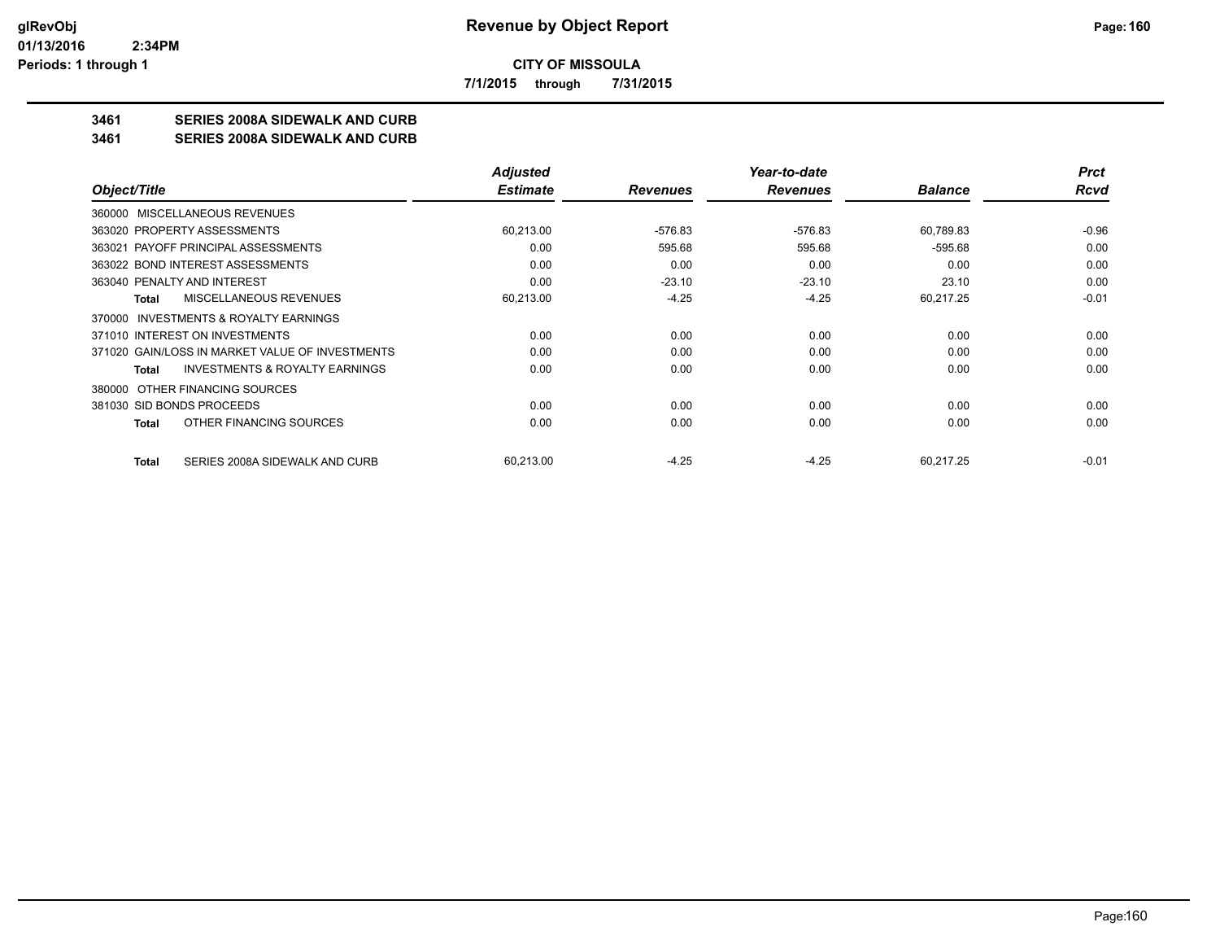**7/1/2015 through 7/31/2015**

## **3461 SERIES 2008A SIDEWALK AND CURB**

#### **3461 SERIES 2008A SIDEWALK AND CURB**

|                                                    | <b>Adjusted</b> |                 | Year-to-date    |                | <b>Prct</b> |
|----------------------------------------------------|-----------------|-----------------|-----------------|----------------|-------------|
| Object/Title                                       | <b>Estimate</b> | <b>Revenues</b> | <b>Revenues</b> | <b>Balance</b> | Rcvd        |
| 360000 MISCELLANEOUS REVENUES                      |                 |                 |                 |                |             |
| 363020 PROPERTY ASSESSMENTS                        | 60,213.00       | $-576.83$       | $-576.83$       | 60,789.83      | $-0.96$     |
| 363021 PAYOFF PRINCIPAL ASSESSMENTS                | 0.00            | 595.68          | 595.68          | $-595.68$      | 0.00        |
| 363022 BOND INTEREST ASSESSMENTS                   | 0.00            | 0.00            | 0.00            | 0.00           | 0.00        |
| 363040 PENALTY AND INTEREST                        | 0.00            | $-23.10$        | $-23.10$        | 23.10          | 0.00        |
| MISCELLANEOUS REVENUES<br>Total                    | 60,213.00       | $-4.25$         | $-4.25$         | 60,217.25      | $-0.01$     |
| INVESTMENTS & ROYALTY EARNINGS<br>370000           |                 |                 |                 |                |             |
| 371010 INTEREST ON INVESTMENTS                     | 0.00            | 0.00            | 0.00            | 0.00           | 0.00        |
| 371020 GAIN/LOSS IN MARKET VALUE OF INVESTMENTS    | 0.00            | 0.00            | 0.00            | 0.00           | 0.00        |
| <b>INVESTMENTS &amp; ROYALTY EARNINGS</b><br>Total | 0.00            | 0.00            | 0.00            | 0.00           | 0.00        |
| OTHER FINANCING SOURCES<br>380000                  |                 |                 |                 |                |             |
| 381030 SID BONDS PROCEEDS                          | 0.00            | 0.00            | 0.00            | 0.00           | 0.00        |
| OTHER FINANCING SOURCES<br>Total                   | 0.00            | 0.00            | 0.00            | 0.00           | 0.00        |
| SERIES 2008A SIDEWALK AND CURB<br>Total            | 60,213.00       | $-4.25$         | $-4.25$         | 60,217.25      | $-0.01$     |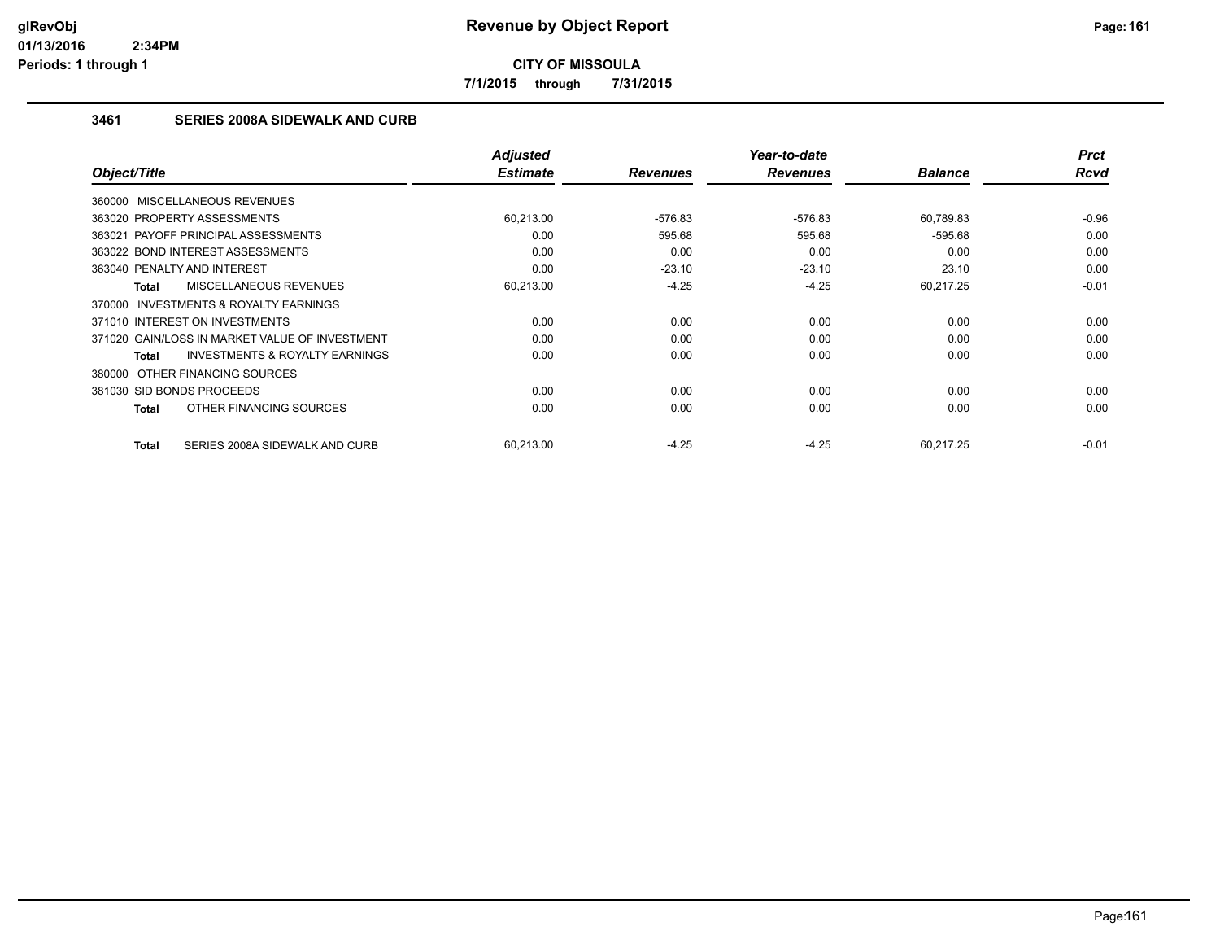**7/1/2015 through 7/31/2015**

## **3461 SERIES 2008A SIDEWALK AND CURB**

|                             |                                                | <b>Adjusted</b> |                 | Year-to-date    |                | <b>Prct</b> |
|-----------------------------|------------------------------------------------|-----------------|-----------------|-----------------|----------------|-------------|
| Object/Title                |                                                | <b>Estimate</b> | <b>Revenues</b> | <b>Revenues</b> | <b>Balance</b> | <b>Rcvd</b> |
|                             | 360000 MISCELLANEOUS REVENUES                  |                 |                 |                 |                |             |
|                             | 363020 PROPERTY ASSESSMENTS                    | 60,213.00       | $-576.83$       | $-576.83$       | 60,789.83      | $-0.96$     |
|                             | 363021 PAYOFF PRINCIPAL ASSESSMENTS            | 0.00            | 595.68          | 595.68          | $-595.68$      | 0.00        |
|                             | 363022 BOND INTEREST ASSESSMENTS               | 0.00            | 0.00            | 0.00            | 0.00           | 0.00        |
| 363040 PENALTY AND INTEREST |                                                | 0.00            | $-23.10$        | $-23.10$        | 23.10          | 0.00        |
| Total                       | <b>MISCELLANEOUS REVENUES</b>                  | 60,213.00       | $-4.25$         | $-4.25$         | 60,217.25      | $-0.01$     |
| 370000                      | <b>INVESTMENTS &amp; ROYALTY EARNINGS</b>      |                 |                 |                 |                |             |
|                             | 371010 INTEREST ON INVESTMENTS                 | 0.00            | 0.00            | 0.00            | 0.00           | 0.00        |
|                             | 371020 GAIN/LOSS IN MARKET VALUE OF INVESTMENT | 0.00            | 0.00            | 0.00            | 0.00           | 0.00        |
| Total                       | <b>INVESTMENTS &amp; ROYALTY EARNINGS</b>      | 0.00            | 0.00            | 0.00            | 0.00           | 0.00        |
|                             | 380000 OTHER FINANCING SOURCES                 |                 |                 |                 |                |             |
| 381030 SID BONDS PROCEEDS   |                                                | 0.00            | 0.00            | 0.00            | 0.00           | 0.00        |
| Total                       | OTHER FINANCING SOURCES                        | 0.00            | 0.00            | 0.00            | 0.00           | 0.00        |
| <b>Total</b>                | SERIES 2008A SIDEWALK AND CURB                 | 60,213.00       | $-4.25$         | $-4.25$         | 60,217.25      | $-0.01$     |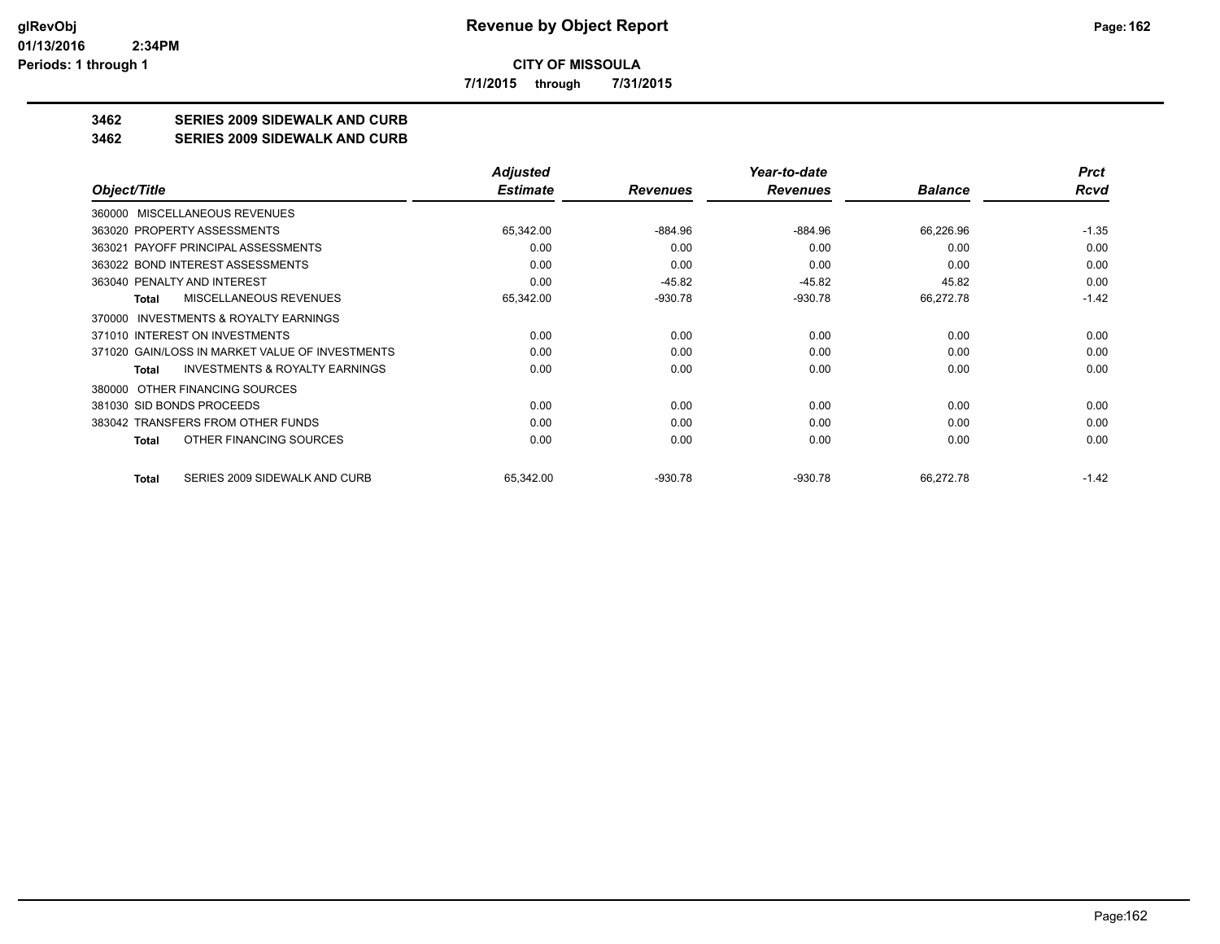**7/1/2015 through 7/31/2015**

## **3462 SERIES 2009 SIDEWALK AND CURB**

#### **3462 SERIES 2009 SIDEWALK AND CURB**

|                                                    | <b>Adjusted</b> |                 | Year-to-date    |                | <b>Prct</b> |
|----------------------------------------------------|-----------------|-----------------|-----------------|----------------|-------------|
| Object/Title                                       | <b>Estimate</b> | <b>Revenues</b> | <b>Revenues</b> | <b>Balance</b> | Rcvd        |
| MISCELLANEOUS REVENUES<br>360000                   |                 |                 |                 |                |             |
| 363020 PROPERTY ASSESSMENTS                        | 65,342.00       | $-884.96$       | $-884.96$       | 66,226.96      | $-1.35$     |
| 363021 PAYOFF PRINCIPAL ASSESSMENTS                | 0.00            | 0.00            | 0.00            | 0.00           | 0.00        |
| 363022 BOND INTEREST ASSESSMENTS                   | 0.00            | 0.00            | 0.00            | 0.00           | 0.00        |
| 363040 PENALTY AND INTEREST                        | 0.00            | $-45.82$        | $-45.82$        | 45.82          | 0.00        |
| MISCELLANEOUS REVENUES<br><b>Total</b>             | 65,342.00       | $-930.78$       | $-930.78$       | 66,272.78      | $-1.42$     |
| INVESTMENTS & ROYALTY EARNINGS<br>370000           |                 |                 |                 |                |             |
| 371010 INTEREST ON INVESTMENTS                     | 0.00            | 0.00            | 0.00            | 0.00           | 0.00        |
| 371020 GAIN/LOSS IN MARKET VALUE OF INVESTMENTS    | 0.00            | 0.00            | 0.00            | 0.00           | 0.00        |
| <b>INVESTMENTS &amp; ROYALTY EARNINGS</b><br>Total | 0.00            | 0.00            | 0.00            | 0.00           | 0.00        |
| OTHER FINANCING SOURCES<br>380000                  |                 |                 |                 |                |             |
| 381030 SID BONDS PROCEEDS                          | 0.00            | 0.00            | 0.00            | 0.00           | 0.00        |
| 383042 TRANSFERS FROM OTHER FUNDS                  | 0.00            | 0.00            | 0.00            | 0.00           | 0.00        |
| OTHER FINANCING SOURCES<br><b>Total</b>            | 0.00            | 0.00            | 0.00            | 0.00           | 0.00        |
| SERIES 2009 SIDEWALK AND CURB<br>Total             | 65,342.00       | $-930.78$       | $-930.78$       | 66,272.78      | $-1.42$     |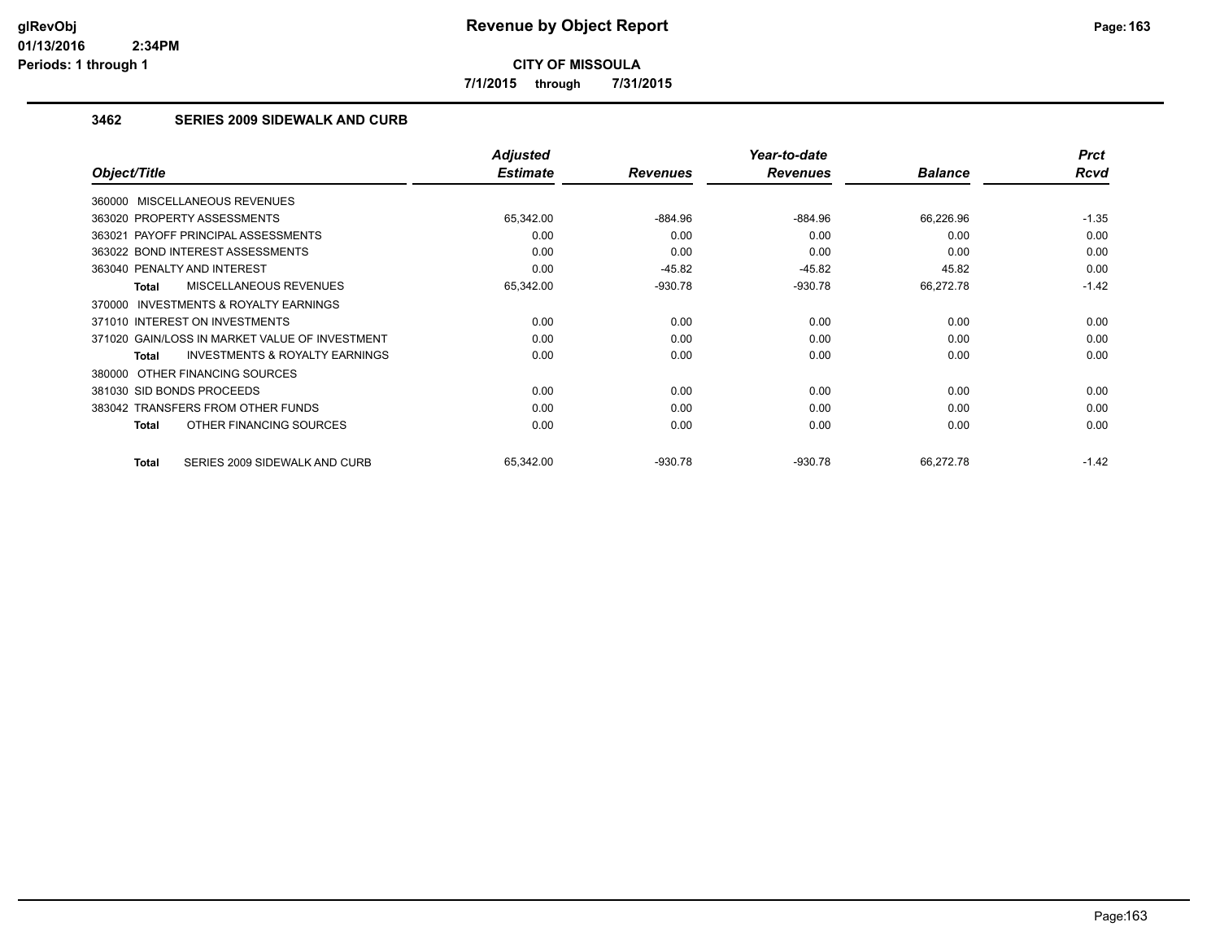**7/1/2015 through 7/31/2015**

## **3462 SERIES 2009 SIDEWALK AND CURB**

|                                                     | <b>Adjusted</b> |                 | Year-to-date    |                | <b>Prct</b> |
|-----------------------------------------------------|-----------------|-----------------|-----------------|----------------|-------------|
| Object/Title                                        | <b>Estimate</b> | <b>Revenues</b> | <b>Revenues</b> | <b>Balance</b> | Rcvd        |
| 360000 MISCELLANEOUS REVENUES                       |                 |                 |                 |                |             |
| 363020 PROPERTY ASSESSMENTS                         | 65,342.00       | $-884.96$       | $-884.96$       | 66,226.96      | $-1.35$     |
| 363021 PAYOFF PRINCIPAL ASSESSMENTS                 | 0.00            | 0.00            | 0.00            | 0.00           | 0.00        |
| 363022 BOND INTEREST ASSESSMENTS                    | 0.00            | 0.00            | 0.00            | 0.00           | 0.00        |
| 363040 PENALTY AND INTEREST                         | 0.00            | $-45.82$        | $-45.82$        | 45.82          | 0.00        |
| MISCELLANEOUS REVENUES<br>Total                     | 65,342.00       | $-930.78$       | $-930.78$       | 66,272.78      | $-1.42$     |
| <b>INVESTMENTS &amp; ROYALTY EARNINGS</b><br>370000 |                 |                 |                 |                |             |
| 371010 INTEREST ON INVESTMENTS                      | 0.00            | 0.00            | 0.00            | 0.00           | 0.00        |
| 371020 GAIN/LOSS IN MARKET VALUE OF INVESTMENT      | 0.00            | 0.00            | 0.00            | 0.00           | 0.00        |
| <b>INVESTMENTS &amp; ROYALTY EARNINGS</b><br>Total  | 0.00            | 0.00            | 0.00            | 0.00           | 0.00        |
| 380000 OTHER FINANCING SOURCES                      |                 |                 |                 |                |             |
| 381030 SID BONDS PROCEEDS                           | 0.00            | 0.00            | 0.00            | 0.00           | 0.00        |
| 383042 TRANSFERS FROM OTHER FUNDS                   | 0.00            | 0.00            | 0.00            | 0.00           | 0.00        |
| OTHER FINANCING SOURCES<br>Total                    | 0.00            | 0.00            | 0.00            | 0.00           | 0.00        |
|                                                     |                 |                 |                 |                |             |
| SERIES 2009 SIDEWALK AND CURB<br>Total              | 65,342.00       | $-930.78$       | $-930.78$       | 66,272.78      | $-1.42$     |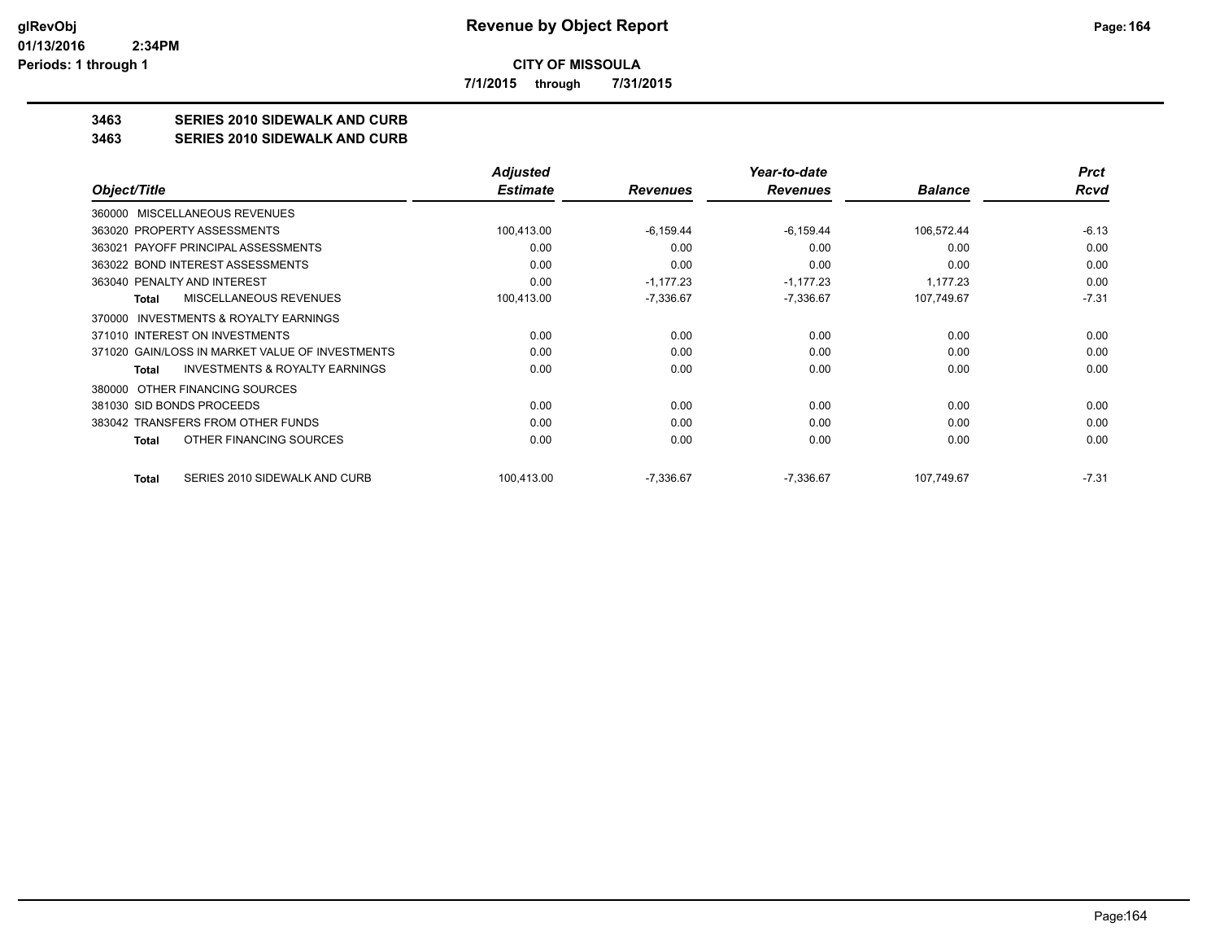**7/1/2015 through 7/31/2015**

# **3463 SERIES 2010 SIDEWALK AND CURB**

#### **3463 SERIES 2010 SIDEWALK AND CURB**

|                                                     | Adjusted        |                 | Year-to-date    |                | <b>Prct</b> |
|-----------------------------------------------------|-----------------|-----------------|-----------------|----------------|-------------|
| Object/Title                                        | <b>Estimate</b> | <b>Revenues</b> | <b>Revenues</b> | <b>Balance</b> | Rcvd        |
| 360000 MISCELLANEOUS REVENUES                       |                 |                 |                 |                |             |
| 363020 PROPERTY ASSESSMENTS                         | 100,413.00      | $-6,159.44$     | $-6,159.44$     | 106,572.44     | $-6.13$     |
| PAYOFF PRINCIPAL ASSESSMENTS<br>363021              | 0.00            | 0.00            | 0.00            | 0.00           | 0.00        |
| 363022 BOND INTEREST ASSESSMENTS                    | 0.00            | 0.00            | 0.00            | 0.00           | 0.00        |
| 363040 PENALTY AND INTEREST                         | 0.00            | $-1,177.23$     | $-1,177.23$     | 1,177.23       | 0.00        |
| MISCELLANEOUS REVENUES<br><b>Total</b>              | 100,413.00      | $-7,336.67$     | $-7,336.67$     | 107,749.67     | $-7.31$     |
| <b>INVESTMENTS &amp; ROYALTY EARNINGS</b><br>370000 |                 |                 |                 |                |             |
| 371010 INTEREST ON INVESTMENTS                      | 0.00            | 0.00            | 0.00            | 0.00           | 0.00        |
| 371020 GAIN/LOSS IN MARKET VALUE OF INVESTMENTS     | 0.00            | 0.00            | 0.00            | 0.00           | 0.00        |
| <b>INVESTMENTS &amp; ROYALTY EARNINGS</b><br>Total  | 0.00            | 0.00            | 0.00            | 0.00           | 0.00        |
| 380000 OTHER FINANCING SOURCES                      |                 |                 |                 |                |             |
| 381030 SID BONDS PROCEEDS                           | 0.00            | 0.00            | 0.00            | 0.00           | 0.00        |
| 383042 TRANSFERS FROM OTHER FUNDS                   | 0.00            | 0.00            | 0.00            | 0.00           | 0.00        |
| OTHER FINANCING SOURCES<br>Total                    | 0.00            | 0.00            | 0.00            | 0.00           | 0.00        |
| SERIES 2010 SIDEWALK AND CURB<br><b>Total</b>       | 100,413.00      | $-7,336.67$     | $-7,336.67$     | 107,749.67     | $-7.31$     |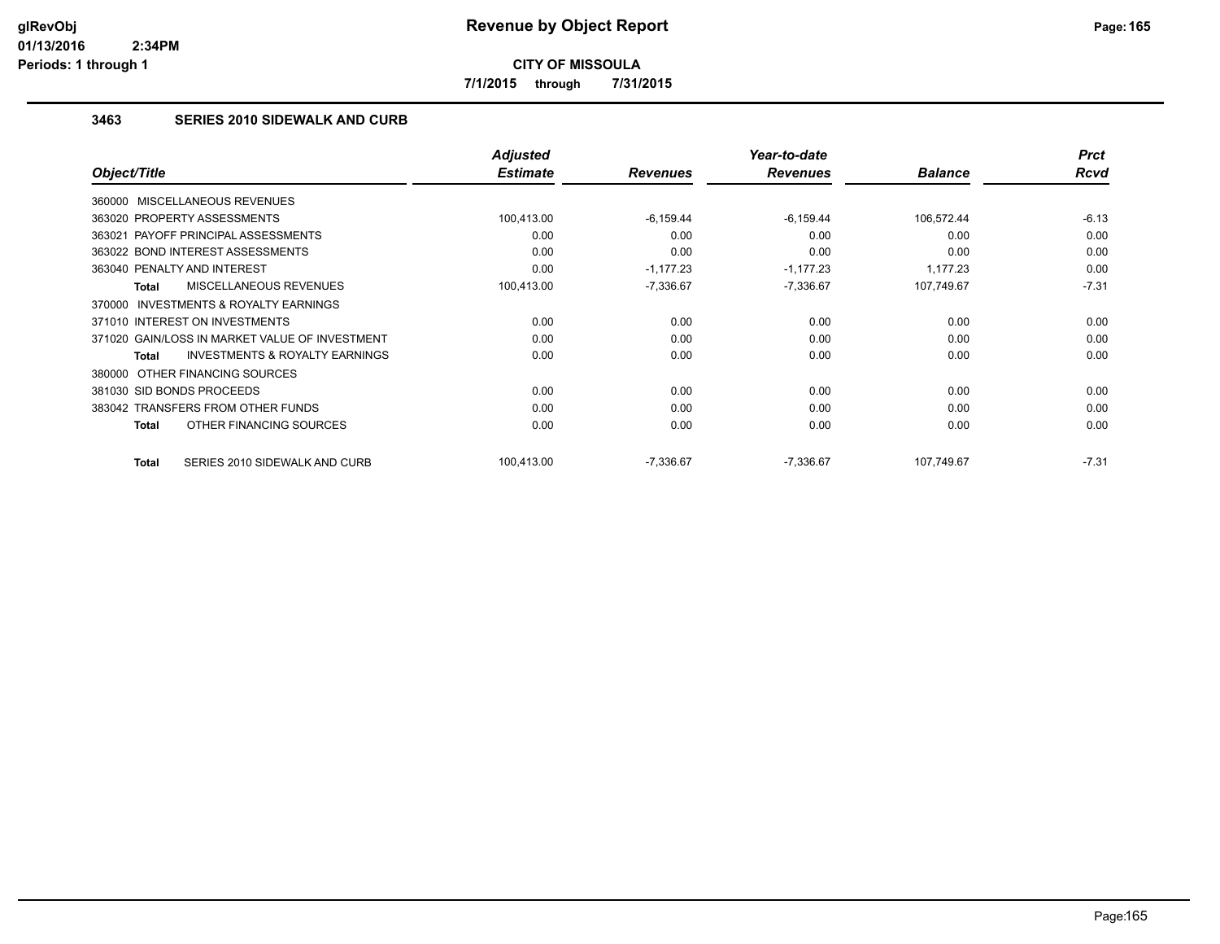**7/1/2015 through 7/31/2015**

## **3463 SERIES 2010 SIDEWALK AND CURB**

|                                                    | <b>Adjusted</b> |                 | Year-to-date    |                | <b>Prct</b> |
|----------------------------------------------------|-----------------|-----------------|-----------------|----------------|-------------|
| Object/Title                                       | <b>Estimate</b> | <b>Revenues</b> | <b>Revenues</b> | <b>Balance</b> | Rcvd        |
| 360000 MISCELLANEOUS REVENUES                      |                 |                 |                 |                |             |
| 363020 PROPERTY ASSESSMENTS                        | 100,413.00      | $-6,159.44$     | $-6,159.44$     | 106,572.44     | $-6.13$     |
| 363021 PAYOFF PRINCIPAL ASSESSMENTS                | 0.00            | 0.00            | 0.00            | 0.00           | 0.00        |
| 363022 BOND INTEREST ASSESSMENTS                   | 0.00            | 0.00            | 0.00            | 0.00           | 0.00        |
| 363040 PENALTY AND INTEREST                        | 0.00            | $-1,177.23$     | $-1,177.23$     | 1.177.23       | 0.00        |
| MISCELLANEOUS REVENUES<br><b>Total</b>             | 100,413.00      | $-7,336.67$     | $-7,336.67$     | 107,749.67     | $-7.31$     |
| INVESTMENTS & ROYALTY EARNINGS<br>370000           |                 |                 |                 |                |             |
| 371010 INTEREST ON INVESTMENTS                     | 0.00            | 0.00            | 0.00            | 0.00           | 0.00        |
| 371020 GAIN/LOSS IN MARKET VALUE OF INVESTMENT     | 0.00            | 0.00            | 0.00            | 0.00           | 0.00        |
| <b>INVESTMENTS &amp; ROYALTY EARNINGS</b><br>Total | 0.00            | 0.00            | 0.00            | 0.00           | 0.00        |
| 380000 OTHER FINANCING SOURCES                     |                 |                 |                 |                |             |
| 381030 SID BONDS PROCEEDS                          | 0.00            | 0.00            | 0.00            | 0.00           | 0.00        |
| 383042 TRANSFERS FROM OTHER FUNDS                  | 0.00            | 0.00            | 0.00            | 0.00           | 0.00        |
| OTHER FINANCING SOURCES<br><b>Total</b>            | 0.00            | 0.00            | 0.00            | 0.00           | 0.00        |
| SERIES 2010 SIDEWALK AND CURB<br><b>Total</b>      | 100,413.00      | $-7,336.67$     | $-7,336.67$     | 107,749.67     | $-7.31$     |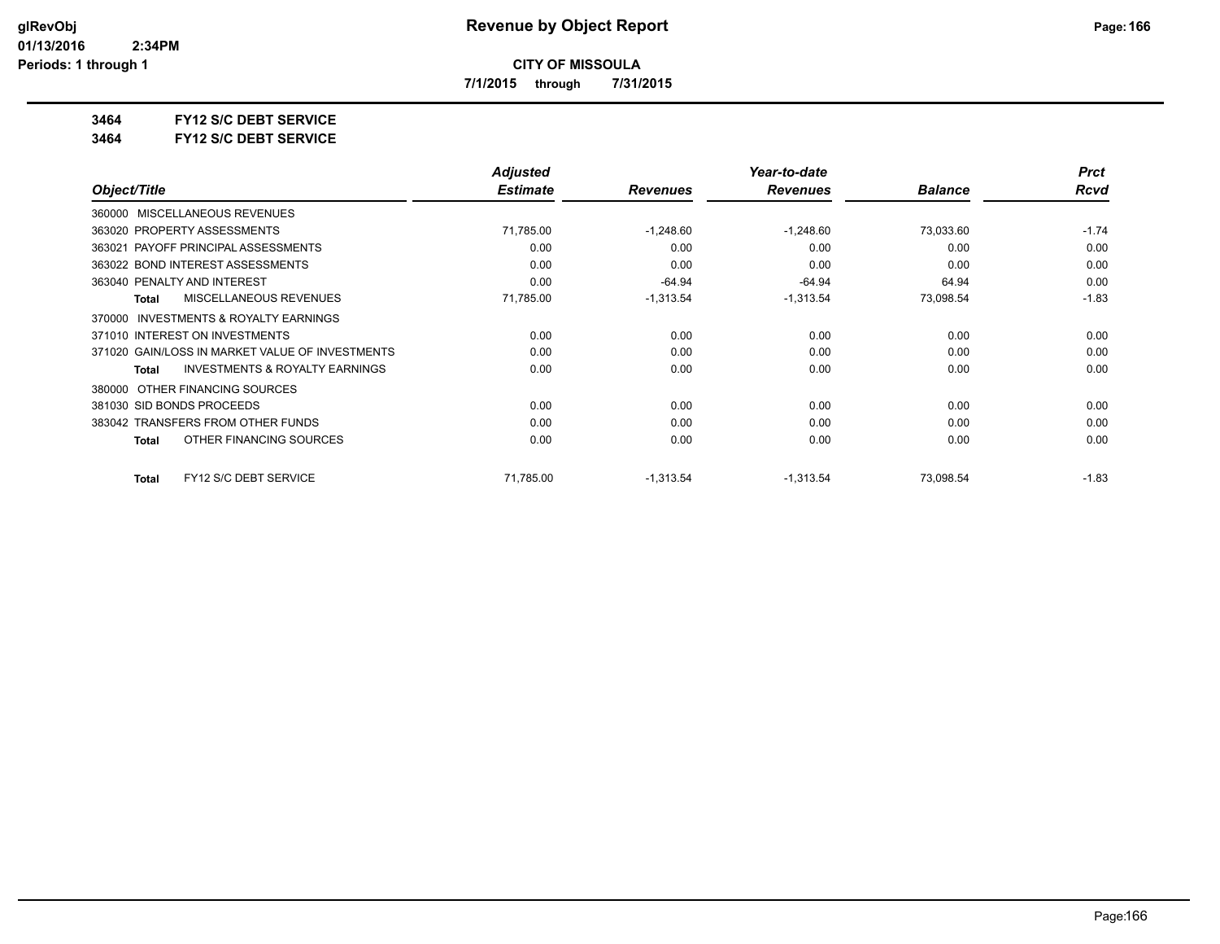**7/1/2015 through 7/31/2015**

**3464 FY12 S/C DEBT SERVICE**

**3464 FY12 S/C DEBT SERVICE**

|                                                     | <b>Adjusted</b> |                 | Year-to-date    |                | <b>Prct</b> |
|-----------------------------------------------------|-----------------|-----------------|-----------------|----------------|-------------|
| Object/Title                                        | <b>Estimate</b> | <b>Revenues</b> | <b>Revenues</b> | <b>Balance</b> | Rcvd        |
| MISCELLANEOUS REVENUES<br>360000                    |                 |                 |                 |                |             |
| 363020 PROPERTY ASSESSMENTS                         | 71,785.00       | $-1,248.60$     | $-1,248.60$     | 73,033.60      | $-1.74$     |
| 363021 PAYOFF PRINCIPAL ASSESSMENTS                 | 0.00            | 0.00            | 0.00            | 0.00           | 0.00        |
| 363022 BOND INTEREST ASSESSMENTS                    | 0.00            | 0.00            | 0.00            | 0.00           | 0.00        |
| 363040 PENALTY AND INTEREST                         | 0.00            | $-64.94$        | $-64.94$        | 64.94          | 0.00        |
| MISCELLANEOUS REVENUES<br>Total                     | 71,785.00       | $-1,313.54$     | $-1,313.54$     | 73,098.54      | $-1.83$     |
| <b>INVESTMENTS &amp; ROYALTY EARNINGS</b><br>370000 |                 |                 |                 |                |             |
| 371010 INTEREST ON INVESTMENTS                      | 0.00            | 0.00            | 0.00            | 0.00           | 0.00        |
| 371020 GAIN/LOSS IN MARKET VALUE OF INVESTMENTS     | 0.00            | 0.00            | 0.00            | 0.00           | 0.00        |
| <b>INVESTMENTS &amp; ROYALTY EARNINGS</b><br>Total  | 0.00            | 0.00            | 0.00            | 0.00           | 0.00        |
| OTHER FINANCING SOURCES<br>380000                   |                 |                 |                 |                |             |
| 381030 SID BONDS PROCEEDS                           | 0.00            | 0.00            | 0.00            | 0.00           | 0.00        |
| 383042 TRANSFERS FROM OTHER FUNDS                   | 0.00            | 0.00            | 0.00            | 0.00           | 0.00        |
| OTHER FINANCING SOURCES<br>Total                    | 0.00            | 0.00            | 0.00            | 0.00           | 0.00        |
| FY12 S/C DEBT SERVICE<br><b>Total</b>               | 71,785.00       | $-1,313.54$     | $-1,313.54$     | 73,098.54      | $-1.83$     |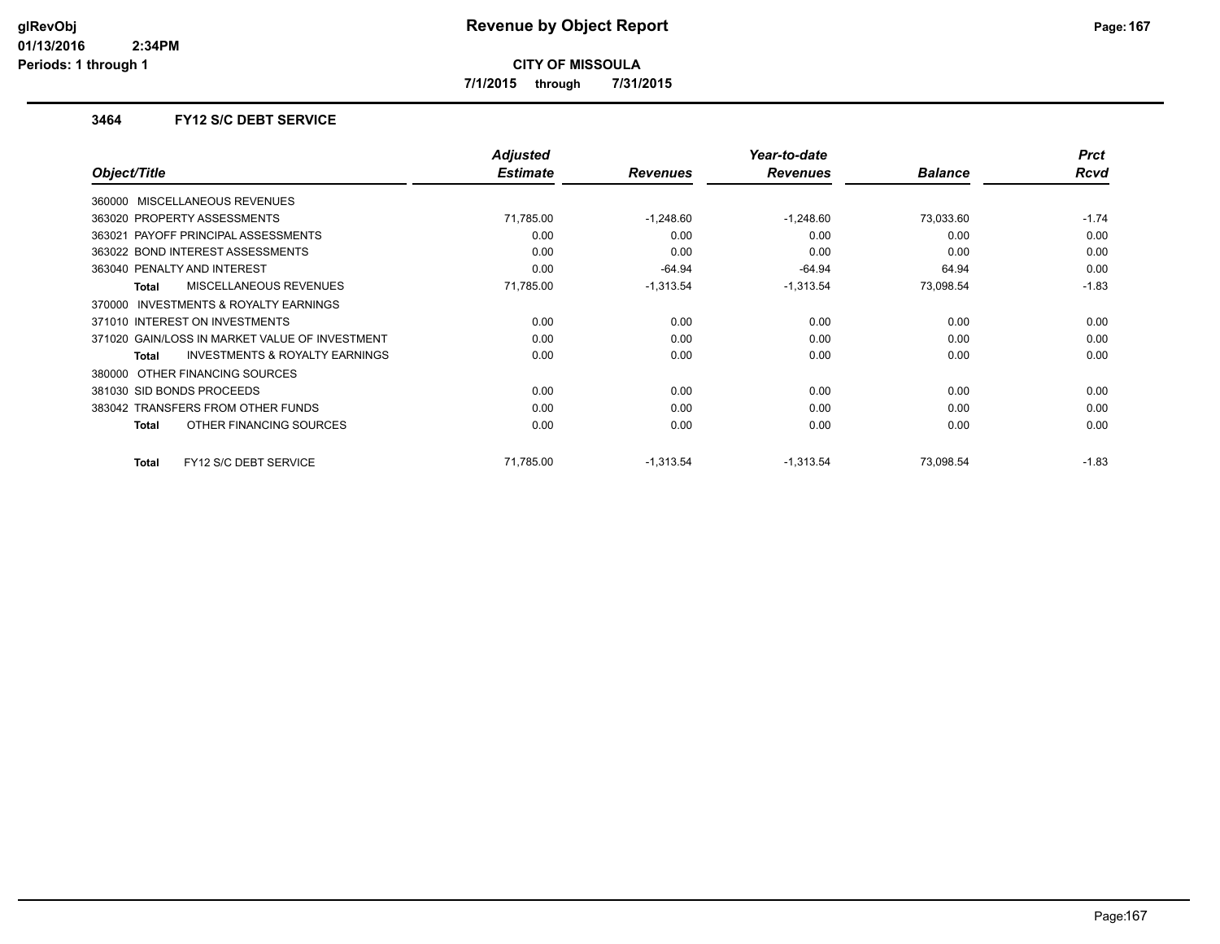**7/1/2015 through 7/31/2015**

### **3464 FY12 S/C DEBT SERVICE**

|                                                           | <b>Adjusted</b> |                 | Year-to-date    |                | <b>Prct</b> |
|-----------------------------------------------------------|-----------------|-----------------|-----------------|----------------|-------------|
| Object/Title                                              | <b>Estimate</b> | <b>Revenues</b> | <b>Revenues</b> | <b>Balance</b> | Rcvd        |
| 360000 MISCELLANEOUS REVENUES                             |                 |                 |                 |                |             |
| 363020 PROPERTY ASSESSMENTS                               | 71,785.00       | $-1,248.60$     | $-1,248.60$     | 73,033.60      | $-1.74$     |
| 363021 PAYOFF PRINCIPAL ASSESSMENTS                       | 0.00            | 0.00            | 0.00            | 0.00           | 0.00        |
| 363022 BOND INTEREST ASSESSMENTS                          | 0.00            | 0.00            | 0.00            | 0.00           | 0.00        |
| 363040 PENALTY AND INTEREST                               | 0.00            | $-64.94$        | $-64.94$        | 64.94          | 0.00        |
| <b>MISCELLANEOUS REVENUES</b><br><b>Total</b>             | 71,785.00       | $-1,313.54$     | $-1,313.54$     | 73,098.54      | $-1.83$     |
| INVESTMENTS & ROYALTY EARNINGS<br>370000                  |                 |                 |                 |                |             |
| 371010 INTEREST ON INVESTMENTS                            | 0.00            | 0.00            | 0.00            | 0.00           | 0.00        |
| 371020 GAIN/LOSS IN MARKET VALUE OF INVESTMENT            | 0.00            | 0.00            | 0.00            | 0.00           | 0.00        |
| <b>INVESTMENTS &amp; ROYALTY EARNINGS</b><br><b>Total</b> | 0.00            | 0.00            | 0.00            | 0.00           | 0.00        |
| OTHER FINANCING SOURCES<br>380000                         |                 |                 |                 |                |             |
| 381030 SID BONDS PROCEEDS                                 | 0.00            | 0.00            | 0.00            | 0.00           | 0.00        |
| 383042 TRANSFERS FROM OTHER FUNDS                         | 0.00            | 0.00            | 0.00            | 0.00           | 0.00        |
| OTHER FINANCING SOURCES<br><b>Total</b>                   | 0.00            | 0.00            | 0.00            | 0.00           | 0.00        |
| FY12 S/C DEBT SERVICE<br><b>Total</b>                     | 71.785.00       | $-1,313.54$     | $-1,313.54$     | 73.098.54      | $-1.83$     |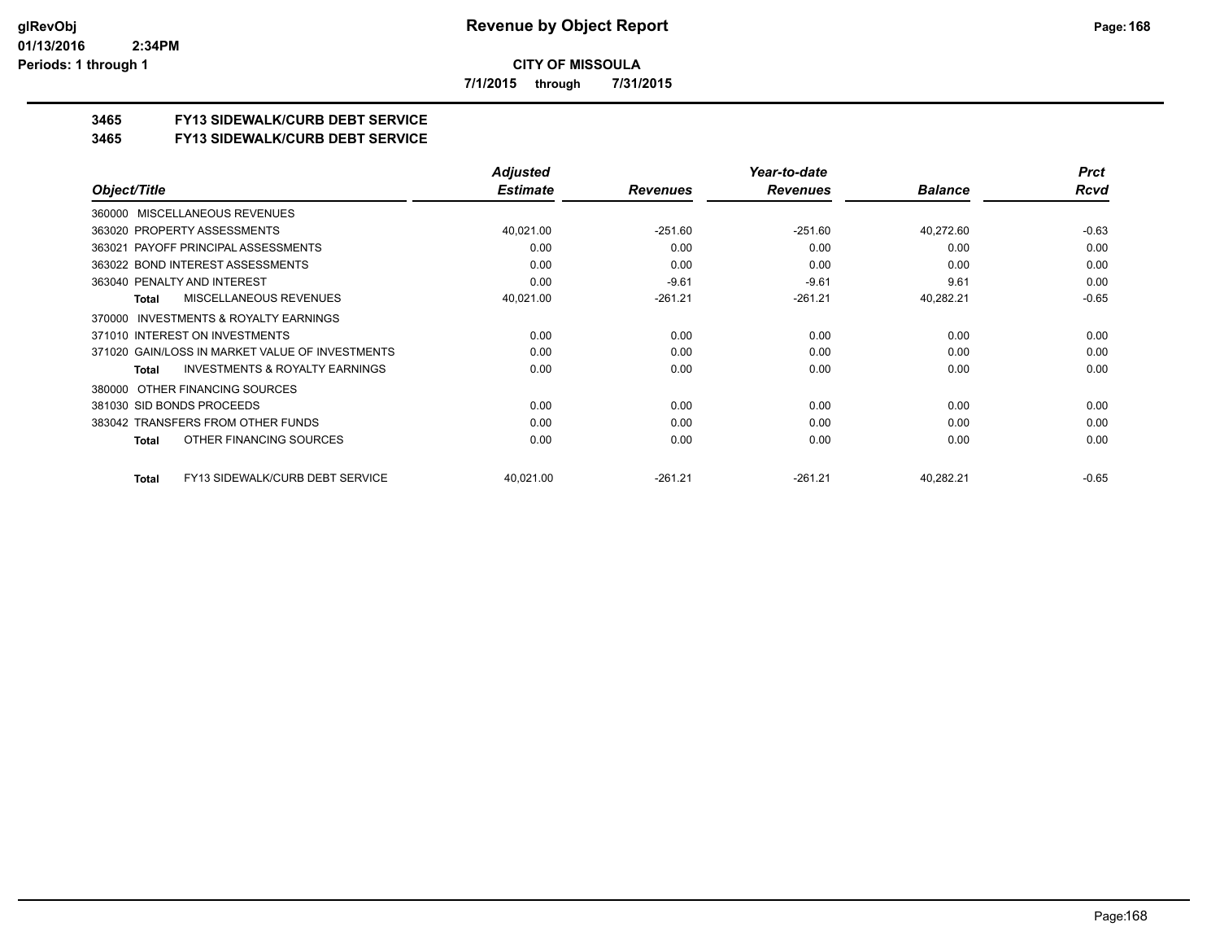**7/1/2015 through 7/31/2015**

## **3465 FY13 SIDEWALK/CURB DEBT SERVICE**

#### **3465 FY13 SIDEWALK/CURB DEBT SERVICE**

|                                                     | <b>Adjusted</b> |                 | Year-to-date    |                | <b>Prct</b> |
|-----------------------------------------------------|-----------------|-----------------|-----------------|----------------|-------------|
| Object/Title                                        | <b>Estimate</b> | <b>Revenues</b> | <b>Revenues</b> | <b>Balance</b> | Rcvd        |
| MISCELLANEOUS REVENUES<br>360000                    |                 |                 |                 |                |             |
| 363020 PROPERTY ASSESSMENTS                         | 40,021.00       | $-251.60$       | $-251.60$       | 40,272.60      | $-0.63$     |
| 363021 PAYOFF PRINCIPAL ASSESSMENTS                 | 0.00            | 0.00            | 0.00            | 0.00           | 0.00        |
| 363022 BOND INTEREST ASSESSMENTS                    | 0.00            | 0.00            | 0.00            | 0.00           | 0.00        |
| 363040 PENALTY AND INTEREST                         | 0.00            | $-9.61$         | $-9.61$         | 9.61           | 0.00        |
| <b>MISCELLANEOUS REVENUES</b><br>Total              | 40,021.00       | $-261.21$       | $-261.21$       | 40,282.21      | $-0.65$     |
| <b>INVESTMENTS &amp; ROYALTY EARNINGS</b><br>370000 |                 |                 |                 |                |             |
| 371010 INTEREST ON INVESTMENTS                      | 0.00            | 0.00            | 0.00            | 0.00           | 0.00        |
| 371020 GAIN/LOSS IN MARKET VALUE OF INVESTMENTS     | 0.00            | 0.00            | 0.00            | 0.00           | 0.00        |
| <b>INVESTMENTS &amp; ROYALTY EARNINGS</b><br>Total  | 0.00            | 0.00            | 0.00            | 0.00           | 0.00        |
| 380000 OTHER FINANCING SOURCES                      |                 |                 |                 |                |             |
| 381030 SID BONDS PROCEEDS                           | 0.00            | 0.00            | 0.00            | 0.00           | 0.00        |
| 383042 TRANSFERS FROM OTHER FUNDS                   | 0.00            | 0.00            | 0.00            | 0.00           | 0.00        |
| OTHER FINANCING SOURCES<br>Total                    | 0.00            | 0.00            | 0.00            | 0.00           | 0.00        |
| FY13 SIDEWALK/CURB DEBT SERVICE<br><b>Total</b>     | 40,021.00       | $-261.21$       | $-261.21$       | 40,282.21      | $-0.65$     |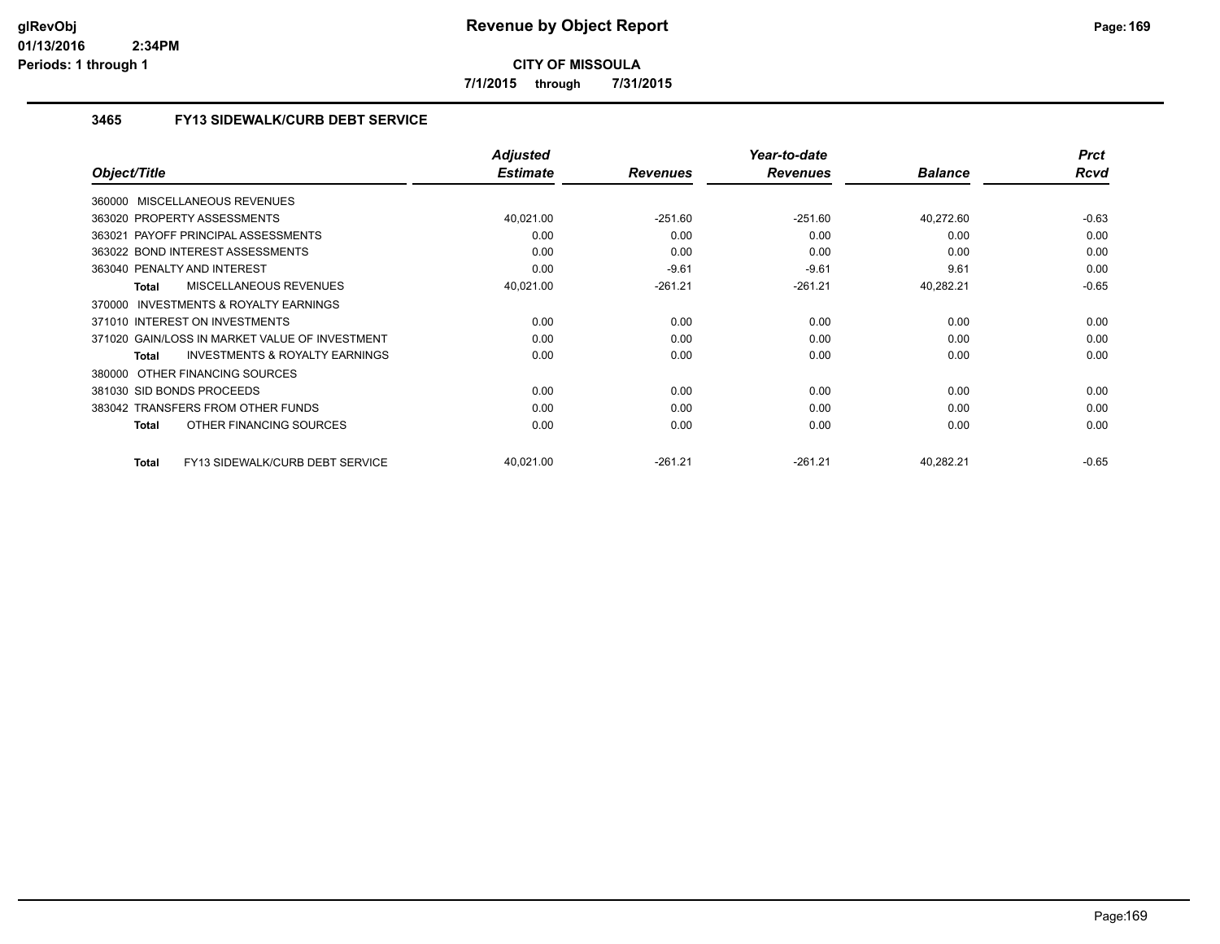**7/1/2015 through 7/31/2015**

## **3465 FY13 SIDEWALK/CURB DEBT SERVICE**

|                                                           | <b>Adjusted</b> |                 | Year-to-date    |                | <b>Prct</b> |
|-----------------------------------------------------------|-----------------|-----------------|-----------------|----------------|-------------|
| Object/Title                                              | <b>Estimate</b> | <b>Revenues</b> | <b>Revenues</b> | <b>Balance</b> | <b>Rcvd</b> |
| 360000 MISCELLANEOUS REVENUES                             |                 |                 |                 |                |             |
| 363020 PROPERTY ASSESSMENTS                               | 40,021.00       | $-251.60$       | $-251.60$       | 40,272.60      | $-0.63$     |
| 363021 PAYOFF PRINCIPAL ASSESSMENTS                       | 0.00            | 0.00            | 0.00            | 0.00           | 0.00        |
| 363022 BOND INTEREST ASSESSMENTS                          | 0.00            | 0.00            | 0.00            | 0.00           | 0.00        |
| 363040 PENALTY AND INTEREST                               | 0.00            | $-9.61$         | $-9.61$         | 9.61           | 0.00        |
| MISCELLANEOUS REVENUES<br><b>Total</b>                    | 40,021.00       | $-261.21$       | $-261.21$       | 40,282.21      | $-0.65$     |
| 370000 INVESTMENTS & ROYALTY EARNINGS                     |                 |                 |                 |                |             |
| 371010 INTEREST ON INVESTMENTS                            | 0.00            | 0.00            | 0.00            | 0.00           | 0.00        |
| 371020 GAIN/LOSS IN MARKET VALUE OF INVESTMENT            | 0.00            | 0.00            | 0.00            | 0.00           | 0.00        |
| <b>INVESTMENTS &amp; ROYALTY EARNINGS</b><br><b>Total</b> | 0.00            | 0.00            | 0.00            | 0.00           | 0.00        |
| OTHER FINANCING SOURCES<br>380000                         |                 |                 |                 |                |             |
| 381030 SID BONDS PROCEEDS                                 | 0.00            | 0.00            | 0.00            | 0.00           | 0.00        |
| 383042 TRANSFERS FROM OTHER FUNDS                         | 0.00            | 0.00            | 0.00            | 0.00           | 0.00        |
| OTHER FINANCING SOURCES<br><b>Total</b>                   | 0.00            | 0.00            | 0.00            | 0.00           | 0.00        |
| FY13 SIDEWALK/CURB DEBT SERVICE<br><b>Total</b>           | 40,021.00       | $-261.21$       | $-261.21$       | 40,282.21      | $-0.65$     |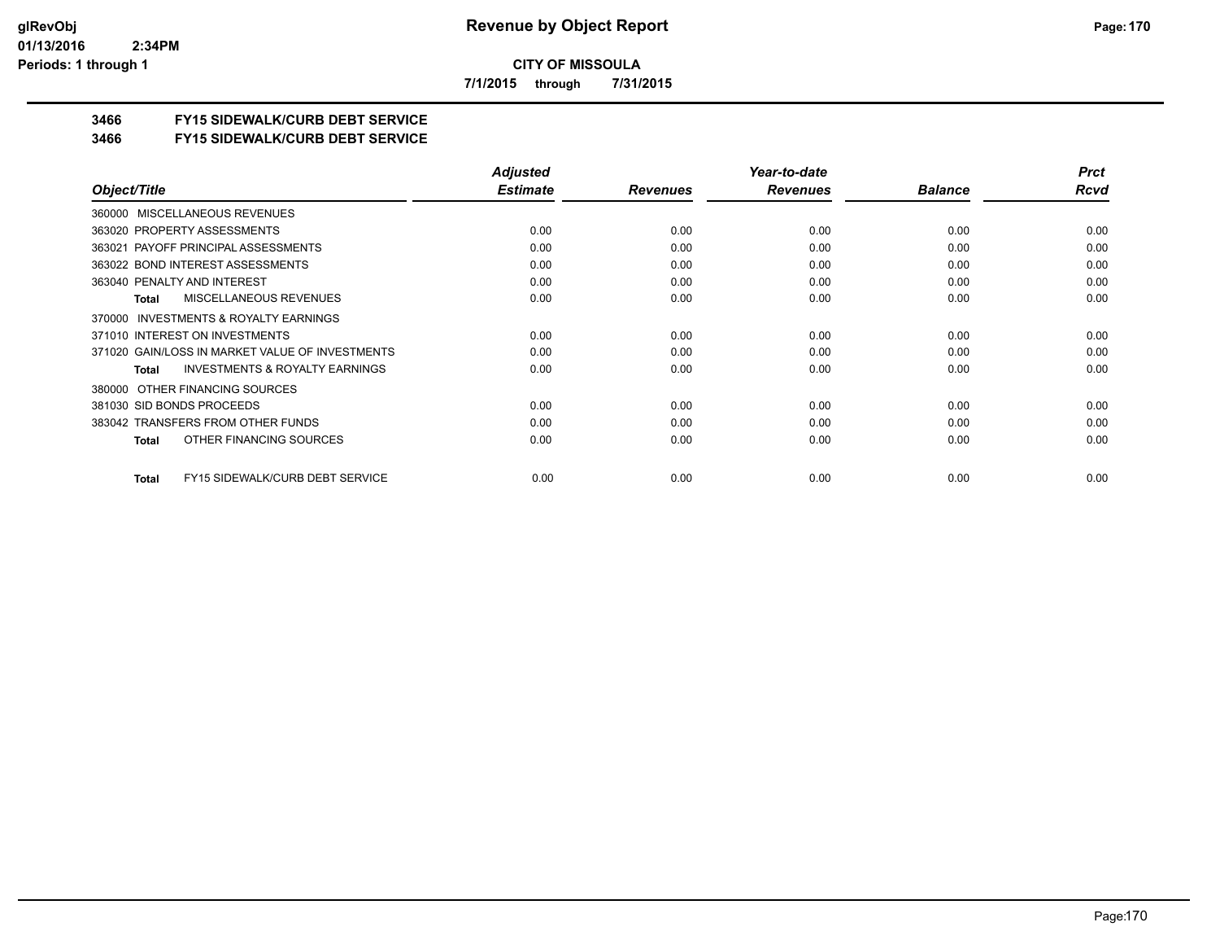**7/1/2015 through 7/31/2015**

## **3466 FY15 SIDEWALK/CURB DEBT SERVICE**

#### **3466 FY15 SIDEWALK/CURB DEBT SERVICE**

|                                                           | <b>Adjusted</b> |                 | Year-to-date    |                | <b>Prct</b> |
|-----------------------------------------------------------|-----------------|-----------------|-----------------|----------------|-------------|
| Object/Title                                              | <b>Estimate</b> | <b>Revenues</b> | <b>Revenues</b> | <b>Balance</b> | Rcvd        |
| MISCELLANEOUS REVENUES<br>360000                          |                 |                 |                 |                |             |
| 363020 PROPERTY ASSESSMENTS                               | 0.00            | 0.00            | 0.00            | 0.00           | 0.00        |
| 363021 PAYOFF PRINCIPAL ASSESSMENTS                       | 0.00            | 0.00            | 0.00            | 0.00           | 0.00        |
| 363022 BOND INTEREST ASSESSMENTS                          | 0.00            | 0.00            | 0.00            | 0.00           | 0.00        |
| 363040 PENALTY AND INTEREST                               | 0.00            | 0.00            | 0.00            | 0.00           | 0.00        |
| MISCELLANEOUS REVENUES<br><b>Total</b>                    | 0.00            | 0.00            | 0.00            | 0.00           | 0.00        |
| <b>INVESTMENTS &amp; ROYALTY EARNINGS</b><br>370000       |                 |                 |                 |                |             |
| 371010 INTEREST ON INVESTMENTS                            | 0.00            | 0.00            | 0.00            | 0.00           | 0.00        |
| 371020 GAIN/LOSS IN MARKET VALUE OF INVESTMENTS           | 0.00            | 0.00            | 0.00            | 0.00           | 0.00        |
| <b>INVESTMENTS &amp; ROYALTY EARNINGS</b><br><b>Total</b> | 0.00            | 0.00            | 0.00            | 0.00           | 0.00        |
| OTHER FINANCING SOURCES<br>380000                         |                 |                 |                 |                |             |
| 381030 SID BONDS PROCEEDS                                 | 0.00            | 0.00            | 0.00            | 0.00           | 0.00        |
| 383042 TRANSFERS FROM OTHER FUNDS                         | 0.00            | 0.00            | 0.00            | 0.00           | 0.00        |
| OTHER FINANCING SOURCES<br><b>Total</b>                   | 0.00            | 0.00            | 0.00            | 0.00           | 0.00        |
| FY15 SIDEWALK/CURB DEBT SERVICE<br><b>Total</b>           | 0.00            | 0.00            | 0.00            | 0.00           | 0.00        |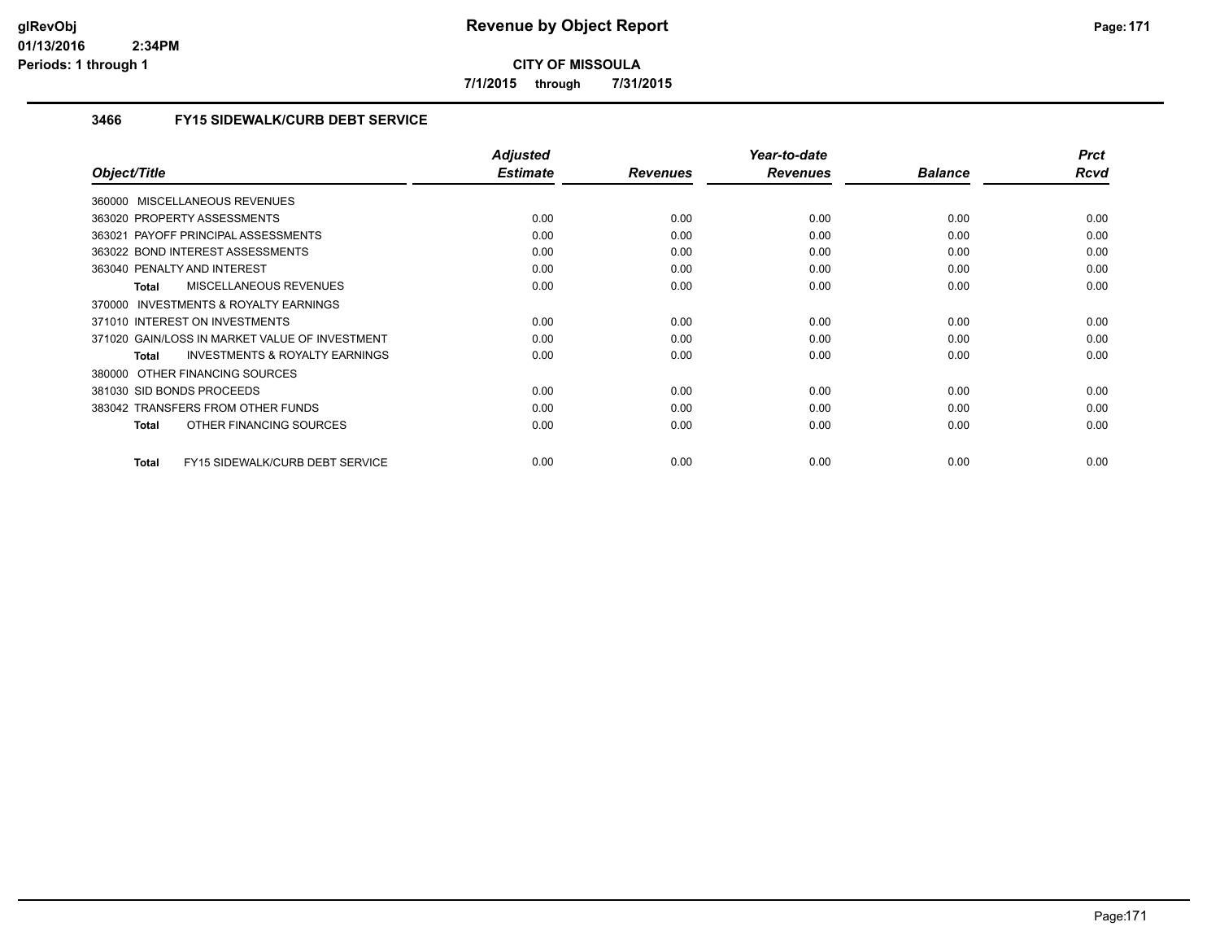**7/1/2015 through 7/31/2015**

## **3466 FY15 SIDEWALK/CURB DEBT SERVICE**

|                                                           | Adjusted<br><b>Estimate</b> | <b>Revenues</b> | Year-to-date<br><b>Revenues</b> | <b>Balance</b> | <b>Prct</b><br>Rcvd |
|-----------------------------------------------------------|-----------------------------|-----------------|---------------------------------|----------------|---------------------|
| Object/Title                                              |                             |                 |                                 |                |                     |
| 360000 MISCELLANEOUS REVENUES                             |                             |                 |                                 |                |                     |
| 363020 PROPERTY ASSESSMENTS                               | 0.00                        | 0.00            | 0.00                            | 0.00           | 0.00                |
| 363021 PAYOFF PRINCIPAL ASSESSMENTS                       | 0.00                        | 0.00            | 0.00                            | 0.00           | 0.00                |
| 363022 BOND INTEREST ASSESSMENTS                          | 0.00                        | 0.00            | 0.00                            | 0.00           | 0.00                |
| 363040 PENALTY AND INTEREST                               | 0.00                        | 0.00            | 0.00                            | 0.00           | 0.00                |
| MISCELLANEOUS REVENUES<br><b>Total</b>                    | 0.00                        | 0.00            | 0.00                            | 0.00           | 0.00                |
| 370000 INVESTMENTS & ROYALTY EARNINGS                     |                             |                 |                                 |                |                     |
| 371010 INTEREST ON INVESTMENTS                            | 0.00                        | 0.00            | 0.00                            | 0.00           | 0.00                |
| 371020 GAIN/LOSS IN MARKET VALUE OF INVESTMENT            | 0.00                        | 0.00            | 0.00                            | 0.00           | 0.00                |
| <b>INVESTMENTS &amp; ROYALTY EARNINGS</b><br><b>Total</b> | 0.00                        | 0.00            | 0.00                            | 0.00           | 0.00                |
| OTHER FINANCING SOURCES<br>380000                         |                             |                 |                                 |                |                     |
| 381030 SID BONDS PROCEEDS                                 | 0.00                        | 0.00            | 0.00                            | 0.00           | 0.00                |
| 383042 TRANSFERS FROM OTHER FUNDS                         | 0.00                        | 0.00            | 0.00                            | 0.00           | 0.00                |
| OTHER FINANCING SOURCES<br><b>Total</b>                   | 0.00                        | 0.00            | 0.00                            | 0.00           | 0.00                |
|                                                           |                             |                 |                                 |                |                     |
| FY15 SIDEWALK/CURB DEBT SERVICE<br><b>Total</b>           | 0.00                        | 0.00            | 0.00                            | 0.00           | 0.00                |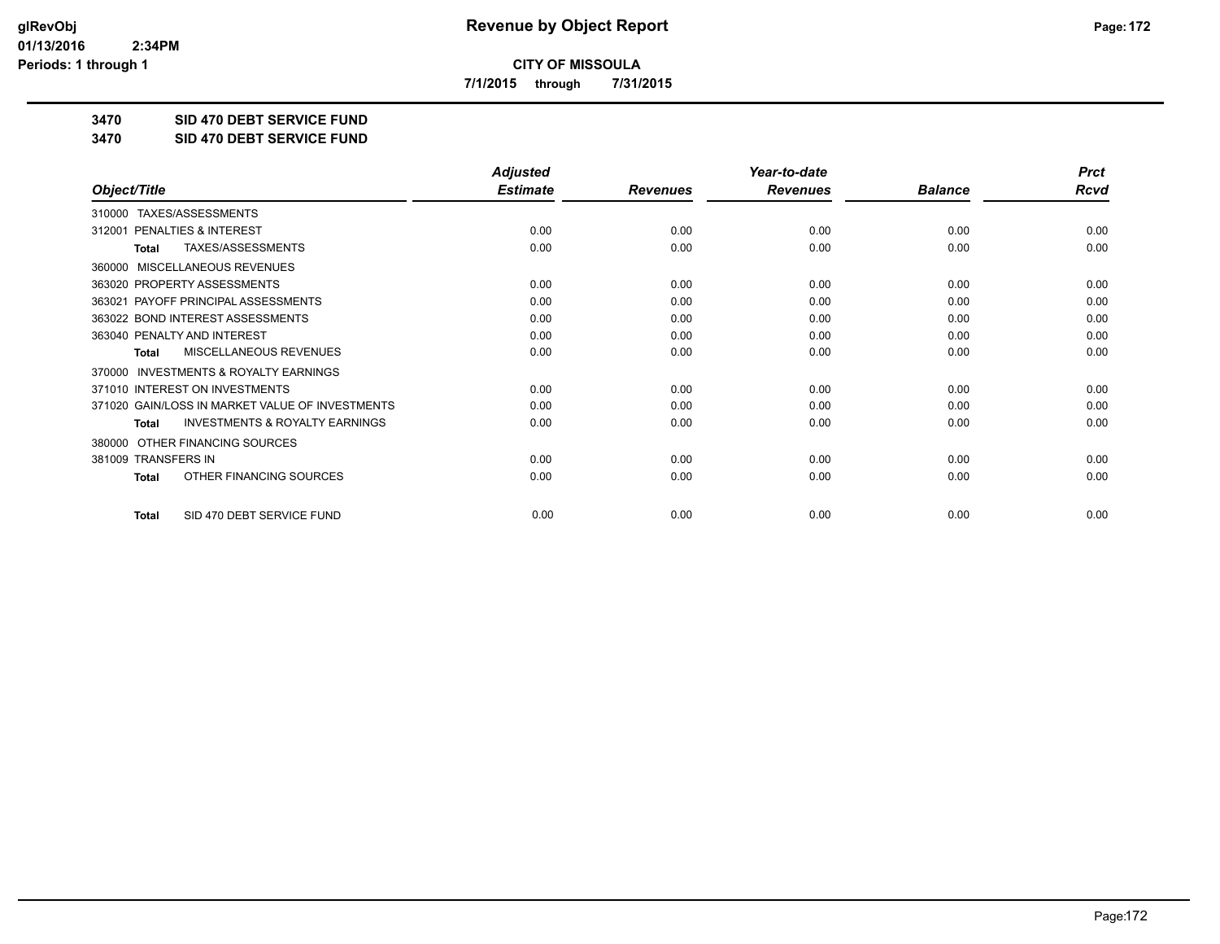**7/1/2015 through 7/31/2015**

**3470 SID 470 DEBT SERVICE FUND**

**3470 SID 470 DEBT SERVICE FUND**

|                                                           | <b>Adjusted</b> |                 | Year-to-date    |                | <b>Prct</b> |
|-----------------------------------------------------------|-----------------|-----------------|-----------------|----------------|-------------|
| Object/Title                                              | <b>Estimate</b> | <b>Revenues</b> | <b>Revenues</b> | <b>Balance</b> | <b>Rcvd</b> |
| TAXES/ASSESSMENTS<br>310000                               |                 |                 |                 |                |             |
| PENALTIES & INTEREST<br>312001                            | 0.00            | 0.00            | 0.00            | 0.00           | 0.00        |
| TAXES/ASSESSMENTS<br><b>Total</b>                         | 0.00            | 0.00            | 0.00            | 0.00           | 0.00        |
| MISCELLANEOUS REVENUES<br>360000                          |                 |                 |                 |                |             |
| 363020 PROPERTY ASSESSMENTS                               | 0.00            | 0.00            | 0.00            | 0.00           | 0.00        |
| 363021 PAYOFF PRINCIPAL ASSESSMENTS                       | 0.00            | 0.00            | 0.00            | 0.00           | 0.00        |
| 363022 BOND INTEREST ASSESSMENTS                          | 0.00            | 0.00            | 0.00            | 0.00           | 0.00        |
| 363040 PENALTY AND INTEREST                               | 0.00            | 0.00            | 0.00            | 0.00           | 0.00        |
| MISCELLANEOUS REVENUES<br><b>Total</b>                    | 0.00            | 0.00            | 0.00            | 0.00           | 0.00        |
| <b>INVESTMENTS &amp; ROYALTY EARNINGS</b><br>370000       |                 |                 |                 |                |             |
| 371010 INTEREST ON INVESTMENTS                            | 0.00            | 0.00            | 0.00            | 0.00           | 0.00        |
| 371020 GAIN/LOSS IN MARKET VALUE OF INVESTMENTS           | 0.00            | 0.00            | 0.00            | 0.00           | 0.00        |
| <b>INVESTMENTS &amp; ROYALTY EARNINGS</b><br><b>Total</b> | 0.00            | 0.00            | 0.00            | 0.00           | 0.00        |
| OTHER FINANCING SOURCES<br>380000                         |                 |                 |                 |                |             |
| 381009 TRANSFERS IN                                       | 0.00            | 0.00            | 0.00            | 0.00           | 0.00        |
| OTHER FINANCING SOURCES<br><b>Total</b>                   | 0.00            | 0.00            | 0.00            | 0.00           | 0.00        |
| SID 470 DEBT SERVICE FUND<br><b>Total</b>                 | 0.00            | 0.00            | 0.00            | 0.00           | 0.00        |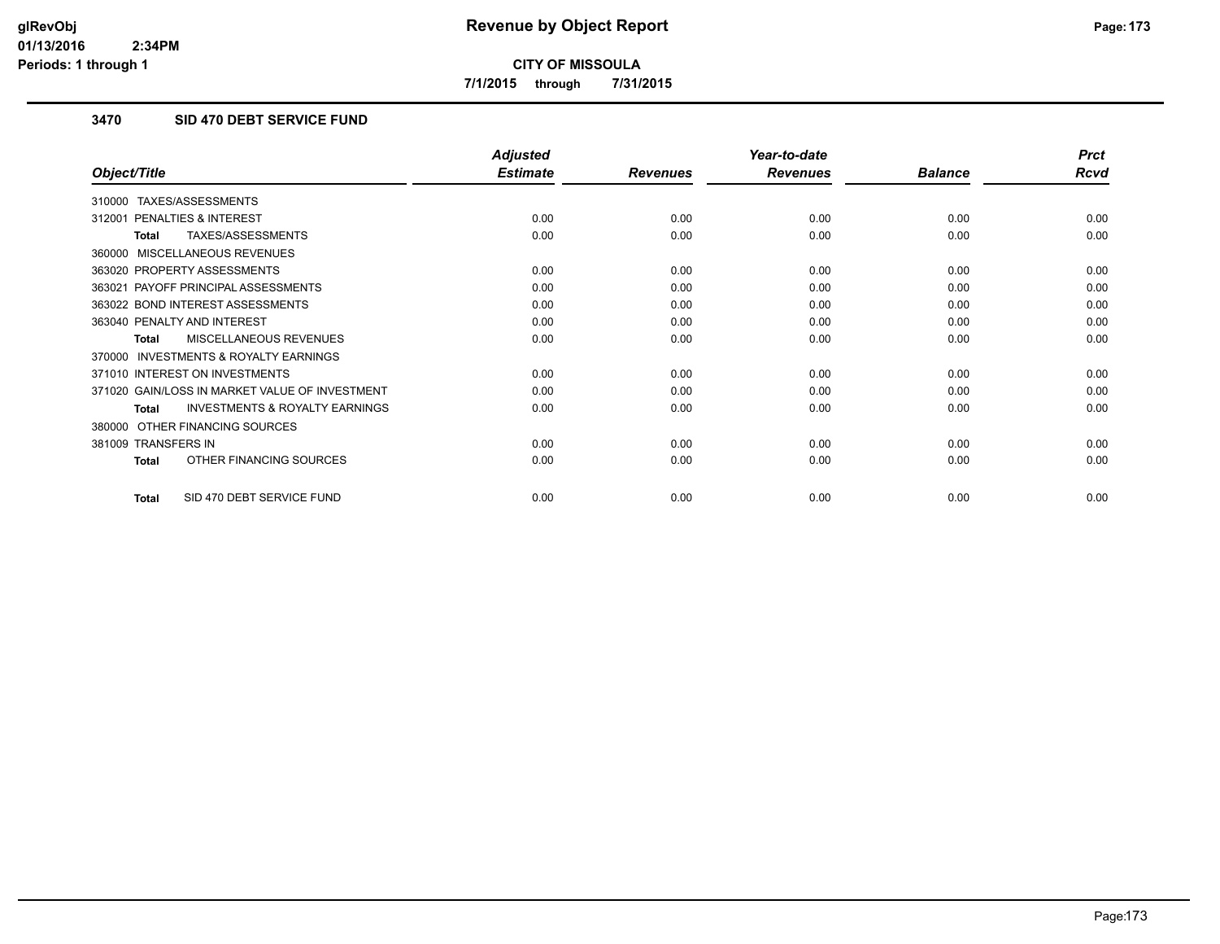**7/1/2015 through 7/31/2015**

## **3470 SID 470 DEBT SERVICE FUND**

|                                                           | <b>Adjusted</b> |                 | Year-to-date    |                | <b>Prct</b> |
|-----------------------------------------------------------|-----------------|-----------------|-----------------|----------------|-------------|
| Object/Title                                              | <b>Estimate</b> | <b>Revenues</b> | <b>Revenues</b> | <b>Balance</b> | <b>Rcvd</b> |
| TAXES/ASSESSMENTS<br>310000                               |                 |                 |                 |                |             |
| PENALTIES & INTEREST<br>312001                            | 0.00            | 0.00            | 0.00            | 0.00           | 0.00        |
| TAXES/ASSESSMENTS<br><b>Total</b>                         | 0.00            | 0.00            | 0.00            | 0.00           | 0.00        |
| MISCELLANEOUS REVENUES<br>360000                          |                 |                 |                 |                |             |
| 363020 PROPERTY ASSESSMENTS                               | 0.00            | 0.00            | 0.00            | 0.00           | 0.00        |
| 363021 PAYOFF PRINCIPAL ASSESSMENTS                       | 0.00            | 0.00            | 0.00            | 0.00           | 0.00        |
| 363022 BOND INTEREST ASSESSMENTS                          | 0.00            | 0.00            | 0.00            | 0.00           | 0.00        |
| 363040 PENALTY AND INTEREST                               | 0.00            | 0.00            | 0.00            | 0.00           | 0.00        |
| <b>MISCELLANEOUS REVENUES</b><br><b>Total</b>             | 0.00            | 0.00            | 0.00            | 0.00           | 0.00        |
| <b>INVESTMENTS &amp; ROYALTY EARNINGS</b><br>370000       |                 |                 |                 |                |             |
| 371010 INTEREST ON INVESTMENTS                            | 0.00            | 0.00            | 0.00            | 0.00           | 0.00        |
| 371020 GAIN/LOSS IN MARKET VALUE OF INVESTMENT            | 0.00            | 0.00            | 0.00            | 0.00           | 0.00        |
| <b>INVESTMENTS &amp; ROYALTY EARNINGS</b><br><b>Total</b> | 0.00            | 0.00            | 0.00            | 0.00           | 0.00        |
| OTHER FINANCING SOURCES<br>380000                         |                 |                 |                 |                |             |
| 381009 TRANSFERS IN                                       | 0.00            | 0.00            | 0.00            | 0.00           | 0.00        |
| OTHER FINANCING SOURCES<br><b>Total</b>                   | 0.00            | 0.00            | 0.00            | 0.00           | 0.00        |
| SID 470 DEBT SERVICE FUND<br><b>Total</b>                 | 0.00            | 0.00            | 0.00            | 0.00           | 0.00        |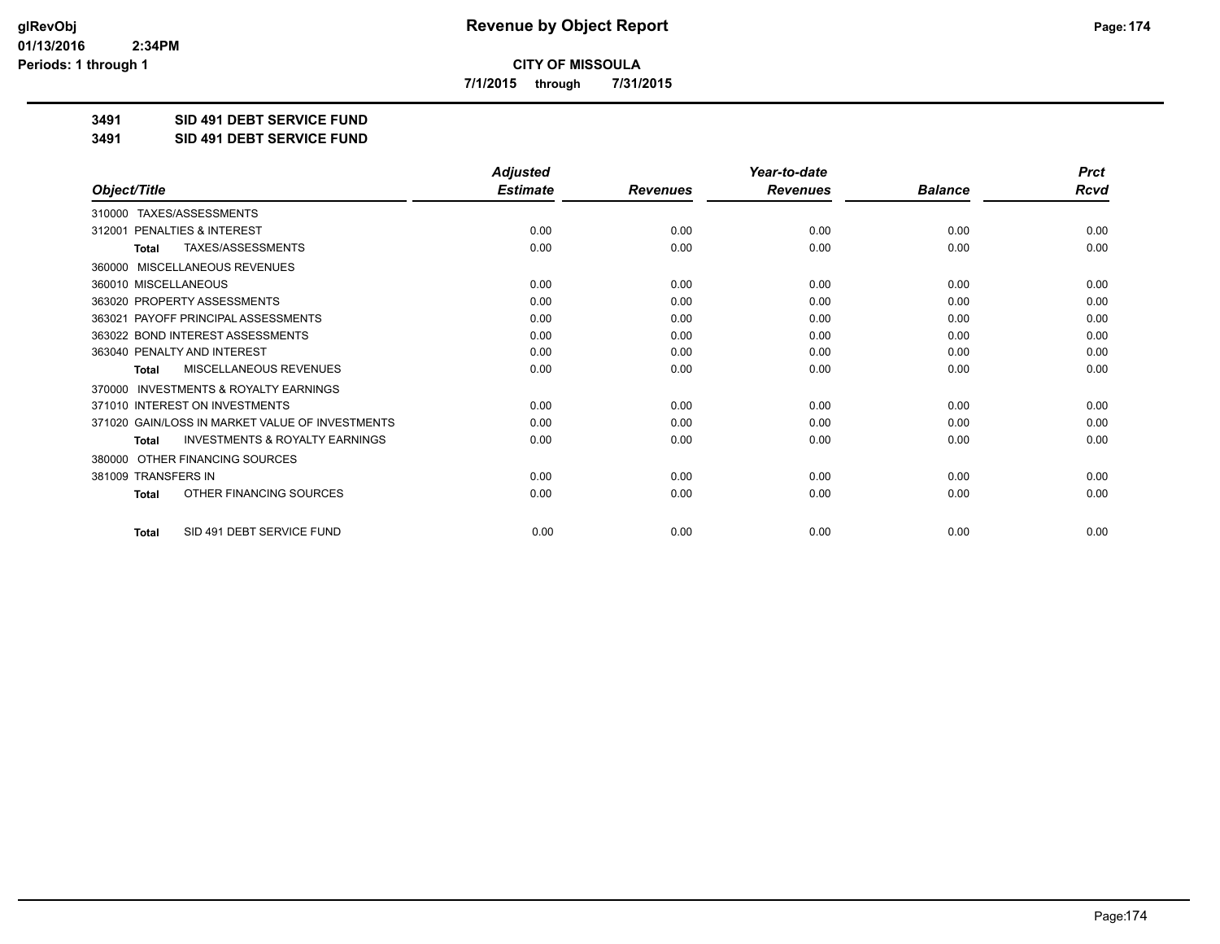**7/1/2015 through 7/31/2015**

**3491 SID 491 DEBT SERVICE FUND**

**3491 SID 491 DEBT SERVICE FUND**

|                                                     | <b>Adjusted</b> |                 | Year-to-date    |                | <b>Prct</b> |
|-----------------------------------------------------|-----------------|-----------------|-----------------|----------------|-------------|
| Object/Title                                        | <b>Estimate</b> | <b>Revenues</b> | <b>Revenues</b> | <b>Balance</b> | <b>Rcvd</b> |
| 310000 TAXES/ASSESSMENTS                            |                 |                 |                 |                |             |
| PENALTIES & INTEREST<br>312001                      | 0.00            | 0.00            | 0.00            | 0.00           | 0.00        |
| TAXES/ASSESSMENTS<br><b>Total</b>                   | 0.00            | 0.00            | 0.00            | 0.00           | 0.00        |
| MISCELLANEOUS REVENUES<br>360000                    |                 |                 |                 |                |             |
| 360010 MISCELLANEOUS                                | 0.00            | 0.00            | 0.00            | 0.00           | 0.00        |
| 363020 PROPERTY ASSESSMENTS                         | 0.00            | 0.00            | 0.00            | 0.00           | 0.00        |
| 363021 PAYOFF PRINCIPAL ASSESSMENTS                 | 0.00            | 0.00            | 0.00            | 0.00           | 0.00        |
| 363022 BOND INTEREST ASSESSMENTS                    | 0.00            | 0.00            | 0.00            | 0.00           | 0.00        |
| 363040 PENALTY AND INTEREST                         | 0.00            | 0.00            | 0.00            | 0.00           | 0.00        |
| MISCELLANEOUS REVENUES<br><b>Total</b>              | 0.00            | 0.00            | 0.00            | 0.00           | 0.00        |
| <b>INVESTMENTS &amp; ROYALTY EARNINGS</b><br>370000 |                 |                 |                 |                |             |
| 371010 INTEREST ON INVESTMENTS                      | 0.00            | 0.00            | 0.00            | 0.00           | 0.00        |
| 371020 GAIN/LOSS IN MARKET VALUE OF INVESTMENTS     | 0.00            | 0.00            | 0.00            | 0.00           | 0.00        |
| <b>INVESTMENTS &amp; ROYALTY EARNINGS</b><br>Total  | 0.00            | 0.00            | 0.00            | 0.00           | 0.00        |
| OTHER FINANCING SOURCES<br>380000                   |                 |                 |                 |                |             |
| 381009 TRANSFERS IN                                 | 0.00            | 0.00            | 0.00            | 0.00           | 0.00        |
| OTHER FINANCING SOURCES<br>Total                    | 0.00            | 0.00            | 0.00            | 0.00           | 0.00        |
| SID 491 DEBT SERVICE FUND<br><b>Total</b>           | 0.00            | 0.00            | 0.00            | 0.00           | 0.00        |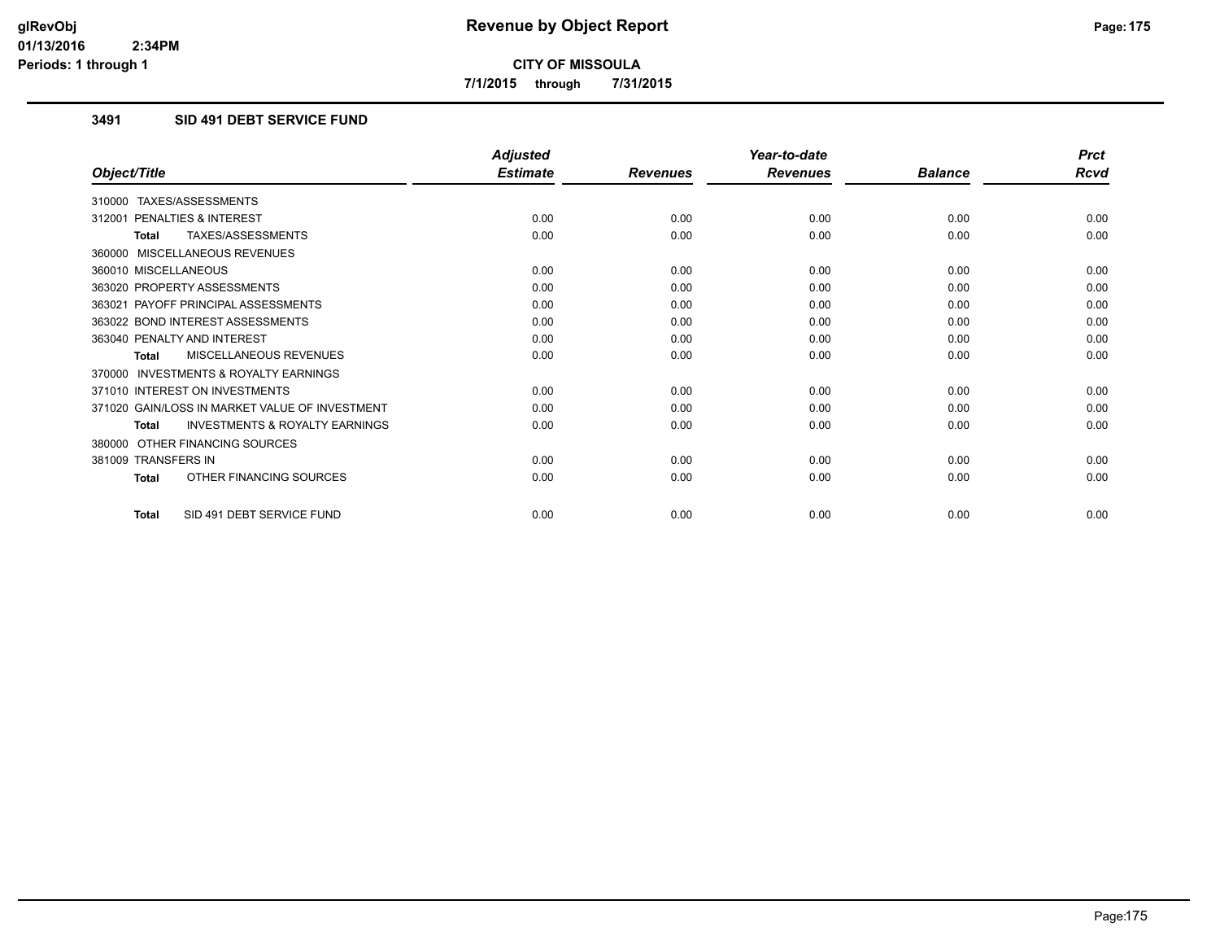**7/1/2015 through 7/31/2015**

## **3491 SID 491 DEBT SERVICE FUND**

|                                                           | <b>Adjusted</b> |                 | Year-to-date    |                | <b>Prct</b> |
|-----------------------------------------------------------|-----------------|-----------------|-----------------|----------------|-------------|
| Object/Title                                              | <b>Estimate</b> | <b>Revenues</b> | <b>Revenues</b> | <b>Balance</b> | <b>Rcvd</b> |
| 310000 TAXES/ASSESSMENTS                                  |                 |                 |                 |                |             |
| PENALTIES & INTEREST<br>312001                            | 0.00            | 0.00            | 0.00            | 0.00           | 0.00        |
| TAXES/ASSESSMENTS<br><b>Total</b>                         | 0.00            | 0.00            | 0.00            | 0.00           | 0.00        |
| 360000 MISCELLANEOUS REVENUES                             |                 |                 |                 |                |             |
| 360010 MISCELLANEOUS                                      | 0.00            | 0.00            | 0.00            | 0.00           | 0.00        |
| 363020 PROPERTY ASSESSMENTS                               | 0.00            | 0.00            | 0.00            | 0.00           | 0.00        |
| 363021 PAYOFF PRINCIPAL ASSESSMENTS                       | 0.00            | 0.00            | 0.00            | 0.00           | 0.00        |
| 363022 BOND INTEREST ASSESSMENTS                          | 0.00            | 0.00            | 0.00            | 0.00           | 0.00        |
| 363040 PENALTY AND INTEREST                               | 0.00            | 0.00            | 0.00            | 0.00           | 0.00        |
| MISCELLANEOUS REVENUES<br><b>Total</b>                    | 0.00            | 0.00            | 0.00            | 0.00           | 0.00        |
| <b>INVESTMENTS &amp; ROYALTY EARNINGS</b><br>370000       |                 |                 |                 |                |             |
| 371010 INTEREST ON INVESTMENTS                            | 0.00            | 0.00            | 0.00            | 0.00           | 0.00        |
| 371020 GAIN/LOSS IN MARKET VALUE OF INVESTMENT            | 0.00            | 0.00            | 0.00            | 0.00           | 0.00        |
| <b>INVESTMENTS &amp; ROYALTY EARNINGS</b><br><b>Total</b> | 0.00            | 0.00            | 0.00            | 0.00           | 0.00        |
| OTHER FINANCING SOURCES<br>380000                         |                 |                 |                 |                |             |
| 381009 TRANSFERS IN                                       | 0.00            | 0.00            | 0.00            | 0.00           | 0.00        |
| OTHER FINANCING SOURCES<br><b>Total</b>                   | 0.00            | 0.00            | 0.00            | 0.00           | 0.00        |
| SID 491 DEBT SERVICE FUND<br><b>Total</b>                 | 0.00            | 0.00            | 0.00            | 0.00           | 0.00        |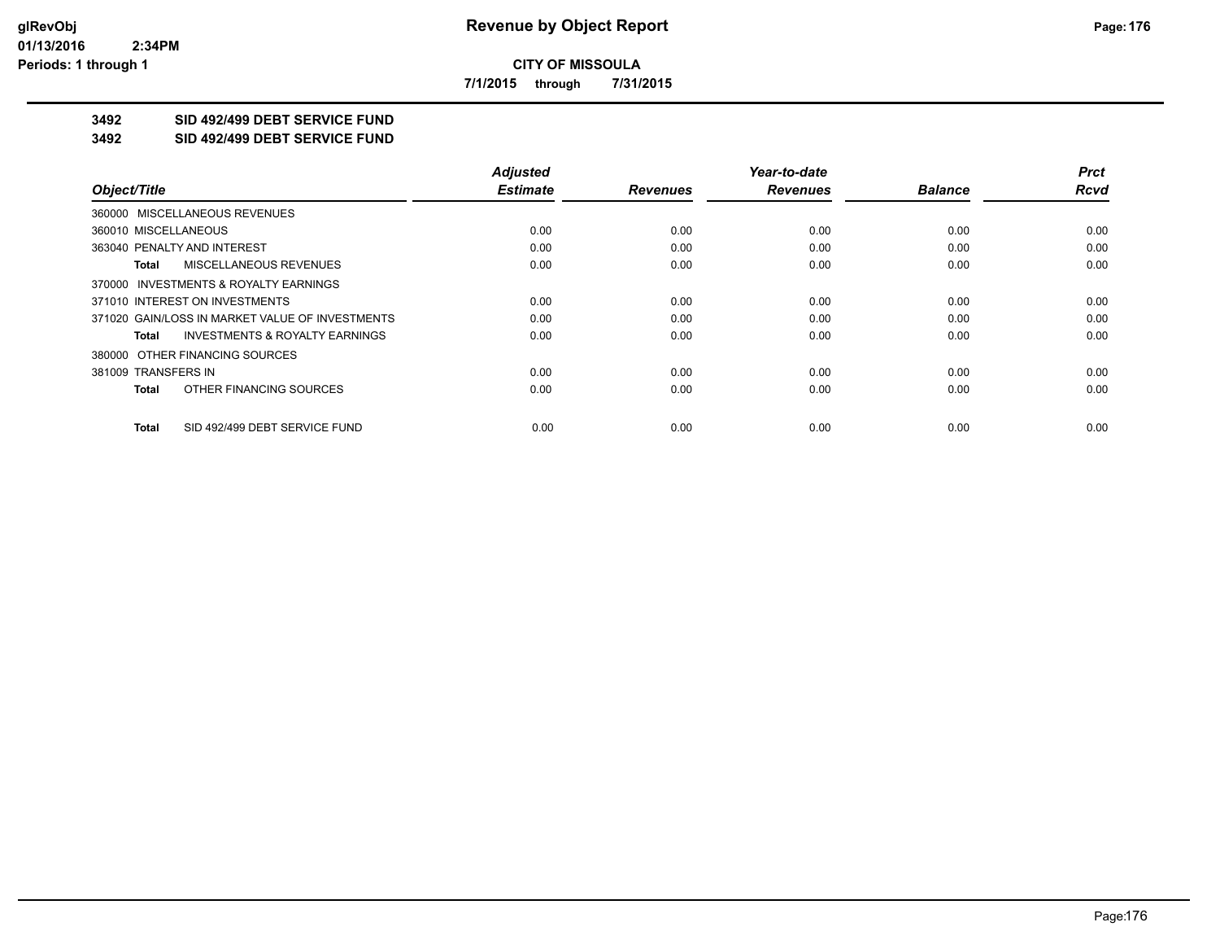**7/1/2015 through 7/31/2015**

## **3492 SID 492/499 DEBT SERVICE FUND**

**3492 SID 492/499 DEBT SERVICE FUND**

|                                                    | <b>Adjusted</b> |                 | Year-to-date    |                | <b>Prct</b> |
|----------------------------------------------------|-----------------|-----------------|-----------------|----------------|-------------|
| Object/Title                                       | <b>Estimate</b> | <b>Revenues</b> | <b>Revenues</b> | <b>Balance</b> | <b>Rcvd</b> |
| 360000 MISCELLANEOUS REVENUES                      |                 |                 |                 |                |             |
| 360010 MISCELLANEOUS                               | 0.00            | 0.00            | 0.00            | 0.00           | 0.00        |
| 363040 PENALTY AND INTEREST                        | 0.00            | 0.00            | 0.00            | 0.00           | 0.00        |
| <b>MISCELLANEOUS REVENUES</b><br>Total             | 0.00            | 0.00            | 0.00            | 0.00           | 0.00        |
| 370000 INVESTMENTS & ROYALTY EARNINGS              |                 |                 |                 |                |             |
| 371010 INTEREST ON INVESTMENTS                     | 0.00            | 0.00            | 0.00            | 0.00           | 0.00        |
| 371020 GAIN/LOSS IN MARKET VALUE OF INVESTMENTS    | 0.00            | 0.00            | 0.00            | 0.00           | 0.00        |
| <b>INVESTMENTS &amp; ROYALTY EARNINGS</b><br>Total | 0.00            | 0.00            | 0.00            | 0.00           | 0.00        |
| 380000 OTHER FINANCING SOURCES                     |                 |                 |                 |                |             |
| 381009 TRANSFERS IN                                | 0.00            | 0.00            | 0.00            | 0.00           | 0.00        |
| OTHER FINANCING SOURCES<br>Total                   | 0.00            | 0.00            | 0.00            | 0.00           | 0.00        |
| SID 492/499 DEBT SERVICE FUND<br>Total             | 0.00            | 0.00            | 0.00            | 0.00           | 0.00        |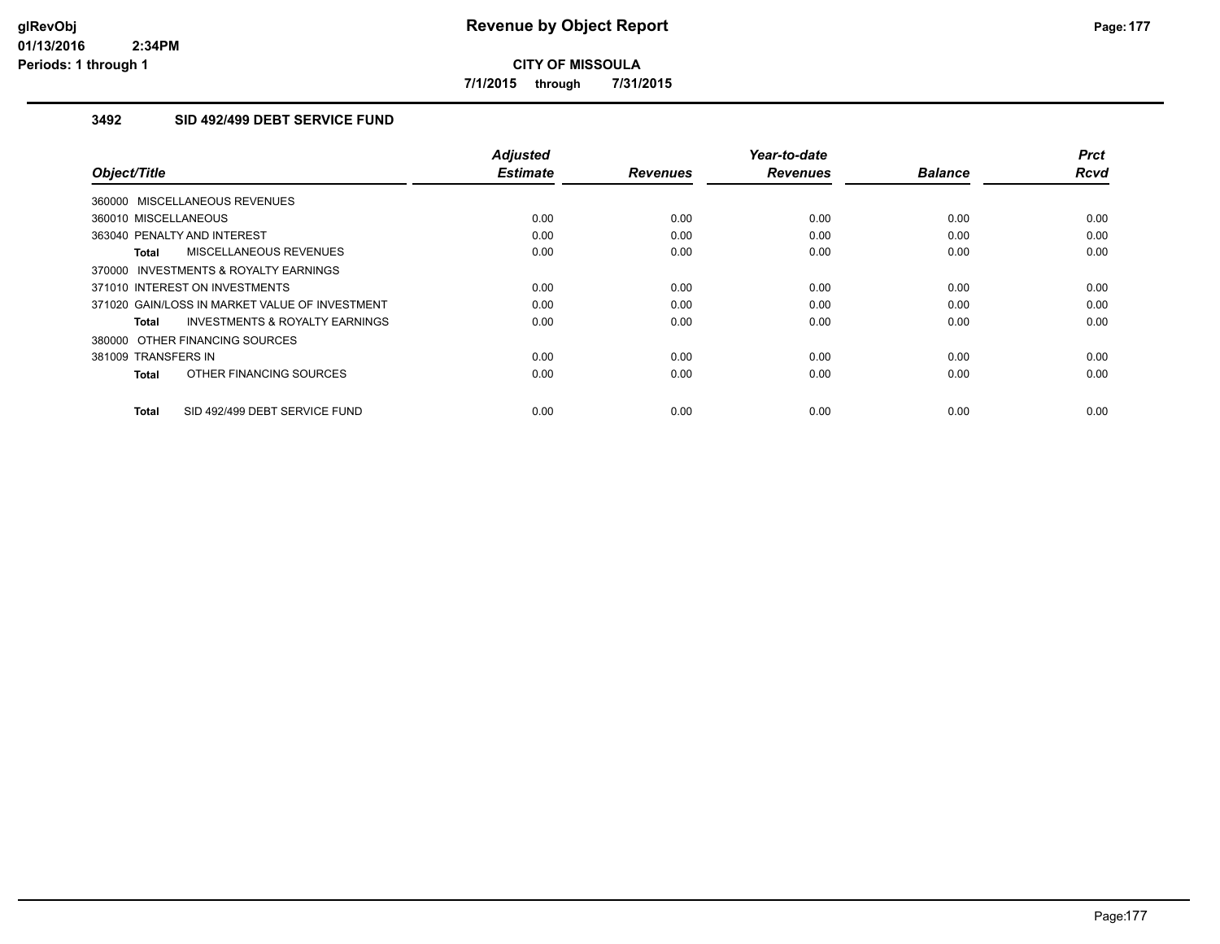**7/1/2015 through 7/31/2015**

## **3492 SID 492/499 DEBT SERVICE FUND**

| Object/Title                                       | <b>Adjusted</b><br><b>Estimate</b> | <b>Revenues</b> | Year-to-date<br><b>Revenues</b> | <b>Balance</b> | <b>Prct</b><br><b>Rcvd</b> |
|----------------------------------------------------|------------------------------------|-----------------|---------------------------------|----------------|----------------------------|
| 360000 MISCELLANEOUS REVENUES                      |                                    |                 |                                 |                |                            |
| 360010 MISCELLANEOUS                               | 0.00                               | 0.00            | 0.00                            | 0.00           | 0.00                       |
| 363040 PENALTY AND INTEREST                        | 0.00                               | 0.00            | 0.00                            | 0.00           | 0.00                       |
| MISCELLANEOUS REVENUES<br>Total                    | 0.00                               | 0.00            | 0.00                            | 0.00           | 0.00                       |
| 370000 INVESTMENTS & ROYALTY EARNINGS              |                                    |                 |                                 |                |                            |
| 371010 INTEREST ON INVESTMENTS                     | 0.00                               | 0.00            | 0.00                            | 0.00           | 0.00                       |
| 371020 GAIN/LOSS IN MARKET VALUE OF INVESTMENT     | 0.00                               | 0.00            | 0.00                            | 0.00           | 0.00                       |
| <b>INVESTMENTS &amp; ROYALTY EARNINGS</b><br>Total | 0.00                               | 0.00            | 0.00                            | 0.00           | 0.00                       |
| 380000 OTHER FINANCING SOURCES                     |                                    |                 |                                 |                |                            |
| 381009 TRANSFERS IN                                | 0.00                               | 0.00            | 0.00                            | 0.00           | 0.00                       |
| OTHER FINANCING SOURCES<br><b>Total</b>            | 0.00                               | 0.00            | 0.00                            | 0.00           | 0.00                       |
| SID 492/499 DEBT SERVICE FUND<br><b>Total</b>      | 0.00                               | 0.00            | 0.00                            | 0.00           | 0.00                       |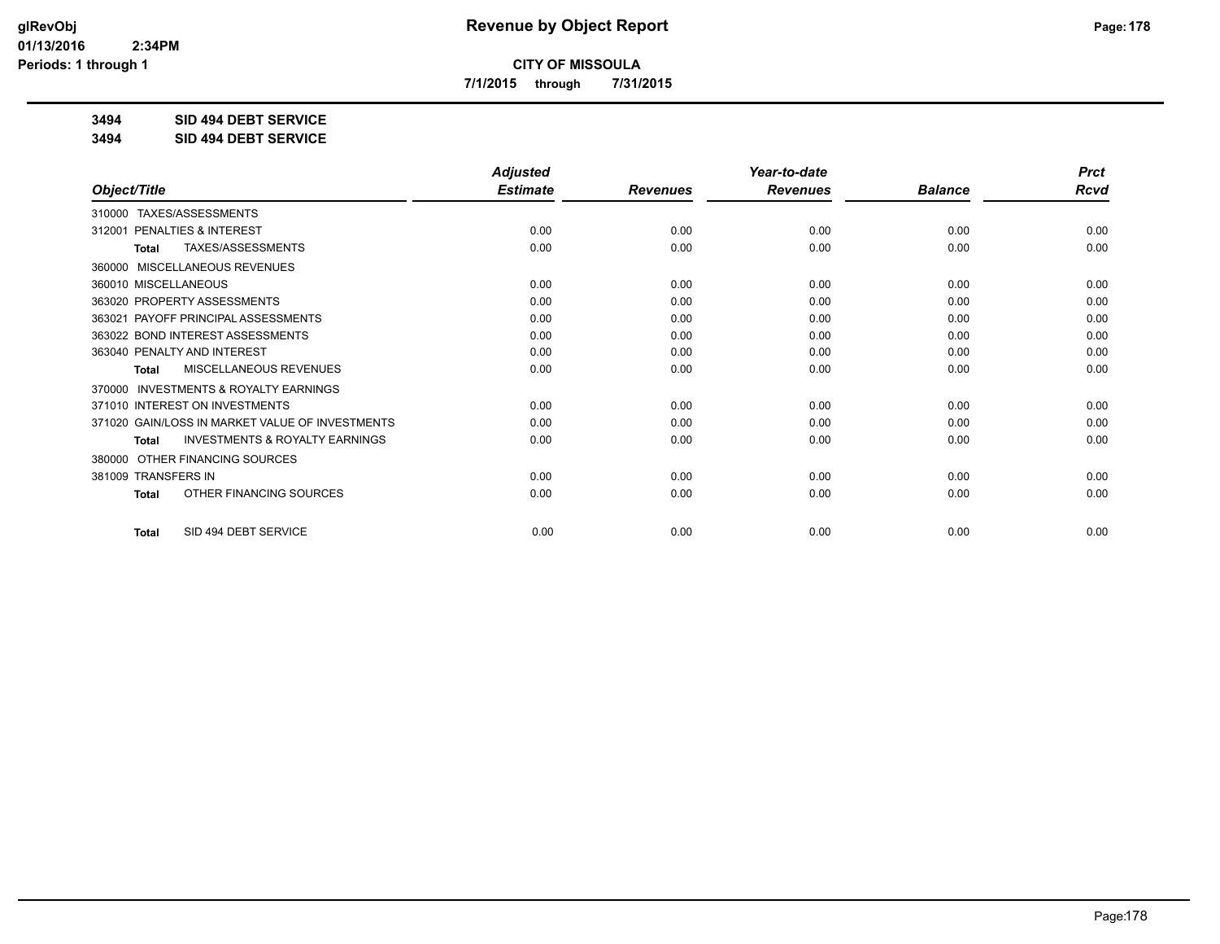**7/1/2015 through 7/31/2015**

**3494 SID 494 DEBT SERVICE**

**3494 SID 494 DEBT SERVICE**

|                                                     | <b>Adjusted</b> |                 | Year-to-date    |                | <b>Prct</b> |
|-----------------------------------------------------|-----------------|-----------------|-----------------|----------------|-------------|
| Object/Title                                        | <b>Estimate</b> | <b>Revenues</b> | <b>Revenues</b> | <b>Balance</b> | <b>Rcvd</b> |
| 310000 TAXES/ASSESSMENTS                            |                 |                 |                 |                |             |
| 312001 PENALTIES & INTEREST                         | 0.00            | 0.00            | 0.00            | 0.00           | 0.00        |
| TAXES/ASSESSMENTS<br><b>Total</b>                   | 0.00            | 0.00            | 0.00            | 0.00           | 0.00        |
| <b>MISCELLANEOUS REVENUES</b><br>360000             |                 |                 |                 |                |             |
| 360010 MISCELLANEOUS                                | 0.00            | 0.00            | 0.00            | 0.00           | 0.00        |
| 363020 PROPERTY ASSESSMENTS                         | 0.00            | 0.00            | 0.00            | 0.00           | 0.00        |
| 363021 PAYOFF PRINCIPAL ASSESSMENTS                 | 0.00            | 0.00            | 0.00            | 0.00           | 0.00        |
| 363022 BOND INTEREST ASSESSMENTS                    | 0.00            | 0.00            | 0.00            | 0.00           | 0.00        |
| 363040 PENALTY AND INTEREST                         | 0.00            | 0.00            | 0.00            | 0.00           | 0.00        |
| MISCELLANEOUS REVENUES<br><b>Total</b>              | 0.00            | 0.00            | 0.00            | 0.00           | 0.00        |
| <b>INVESTMENTS &amp; ROYALTY EARNINGS</b><br>370000 |                 |                 |                 |                |             |
| 371010 INTEREST ON INVESTMENTS                      | 0.00            | 0.00            | 0.00            | 0.00           | 0.00        |
| 371020 GAIN/LOSS IN MARKET VALUE OF INVESTMENTS     | 0.00            | 0.00            | 0.00            | 0.00           | 0.00        |
| <b>INVESTMENTS &amp; ROYALTY EARNINGS</b><br>Total  | 0.00            | 0.00            | 0.00            | 0.00           | 0.00        |
| OTHER FINANCING SOURCES<br>380000                   |                 |                 |                 |                |             |
| 381009 TRANSFERS IN                                 | 0.00            | 0.00            | 0.00            | 0.00           | 0.00        |
| OTHER FINANCING SOURCES<br>Total                    | 0.00            | 0.00            | 0.00            | 0.00           | 0.00        |
| SID 494 DEBT SERVICE<br><b>Total</b>                | 0.00            | 0.00            | 0.00            | 0.00           | 0.00        |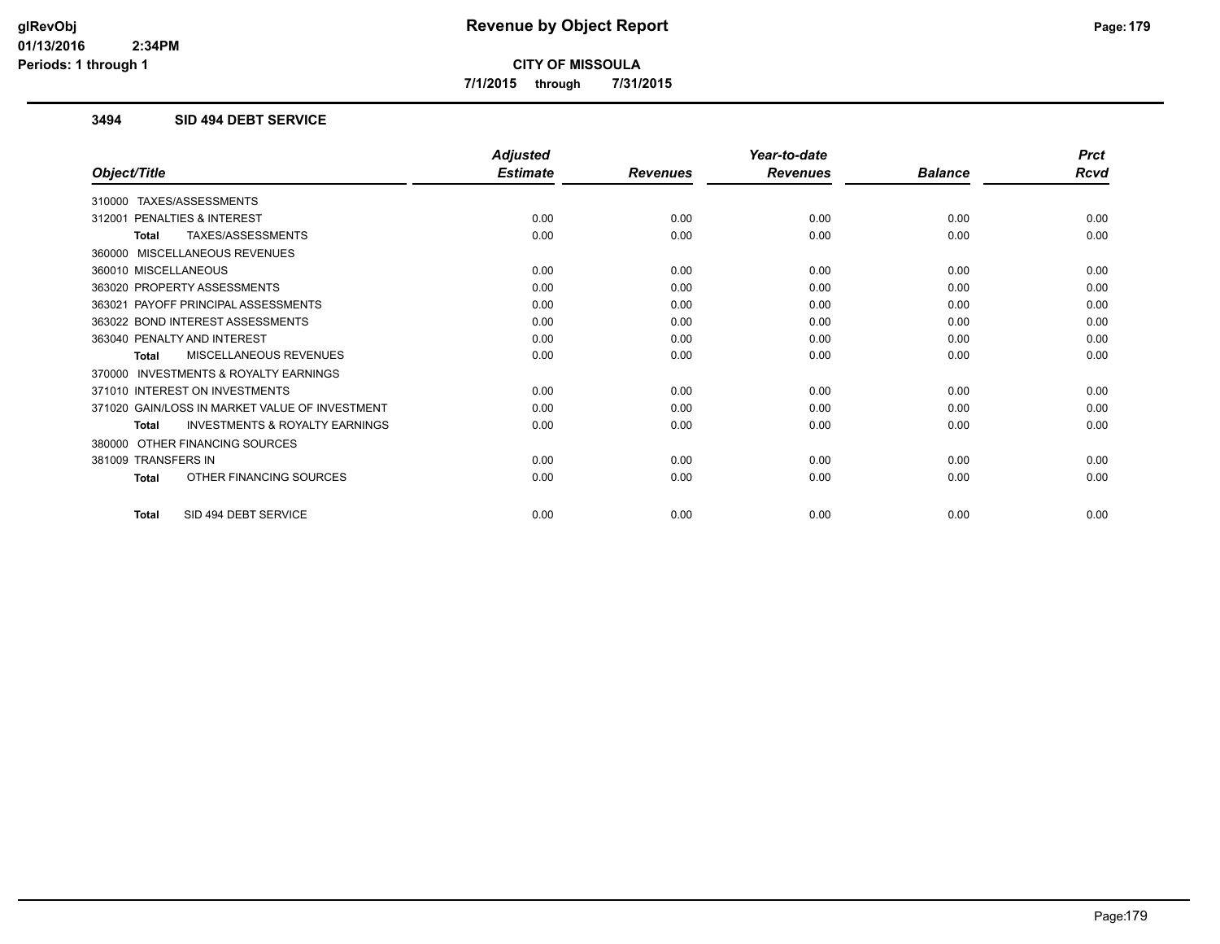**7/1/2015 through 7/31/2015**

### **3494 SID 494 DEBT SERVICE**

|                                                           | <b>Adjusted</b> |                 | Year-to-date    |                | <b>Prct</b> |
|-----------------------------------------------------------|-----------------|-----------------|-----------------|----------------|-------------|
| Object/Title                                              | <b>Estimate</b> | <b>Revenues</b> | <b>Revenues</b> | <b>Balance</b> | <b>Rcvd</b> |
| 310000 TAXES/ASSESSMENTS                                  |                 |                 |                 |                |             |
| PENALTIES & INTEREST<br>312001                            | 0.00            | 0.00            | 0.00            | 0.00           | 0.00        |
| <b>TAXES/ASSESSMENTS</b><br><b>Total</b>                  | 0.00            | 0.00            | 0.00            | 0.00           | 0.00        |
| 360000 MISCELLANEOUS REVENUES                             |                 |                 |                 |                |             |
| 360010 MISCELLANEOUS                                      | 0.00            | 0.00            | 0.00            | 0.00           | 0.00        |
| 363020 PROPERTY ASSESSMENTS                               | 0.00            | 0.00            | 0.00            | 0.00           | 0.00        |
| 363021 PAYOFF PRINCIPAL ASSESSMENTS                       | 0.00            | 0.00            | 0.00            | 0.00           | 0.00        |
| 363022 BOND INTEREST ASSESSMENTS                          | 0.00            | 0.00            | 0.00            | 0.00           | 0.00        |
| 363040 PENALTY AND INTEREST                               | 0.00            | 0.00            | 0.00            | 0.00           | 0.00        |
| MISCELLANEOUS REVENUES<br><b>Total</b>                    | 0.00            | 0.00            | 0.00            | 0.00           | 0.00        |
| 370000 INVESTMENTS & ROYALTY EARNINGS                     |                 |                 |                 |                |             |
| 371010 INTEREST ON INVESTMENTS                            | 0.00            | 0.00            | 0.00            | 0.00           | 0.00        |
| 371020 GAIN/LOSS IN MARKET VALUE OF INVESTMENT            | 0.00            | 0.00            | 0.00            | 0.00           | 0.00        |
| <b>INVESTMENTS &amp; ROYALTY EARNINGS</b><br><b>Total</b> | 0.00            | 0.00            | 0.00            | 0.00           | 0.00        |
| 380000 OTHER FINANCING SOURCES                            |                 |                 |                 |                |             |
| 381009 TRANSFERS IN                                       | 0.00            | 0.00            | 0.00            | 0.00           | 0.00        |
| OTHER FINANCING SOURCES<br><b>Total</b>                   | 0.00            | 0.00            | 0.00            | 0.00           | 0.00        |
| SID 494 DEBT SERVICE<br><b>Total</b>                      | 0.00            | 0.00            | 0.00            | 0.00           | 0.00        |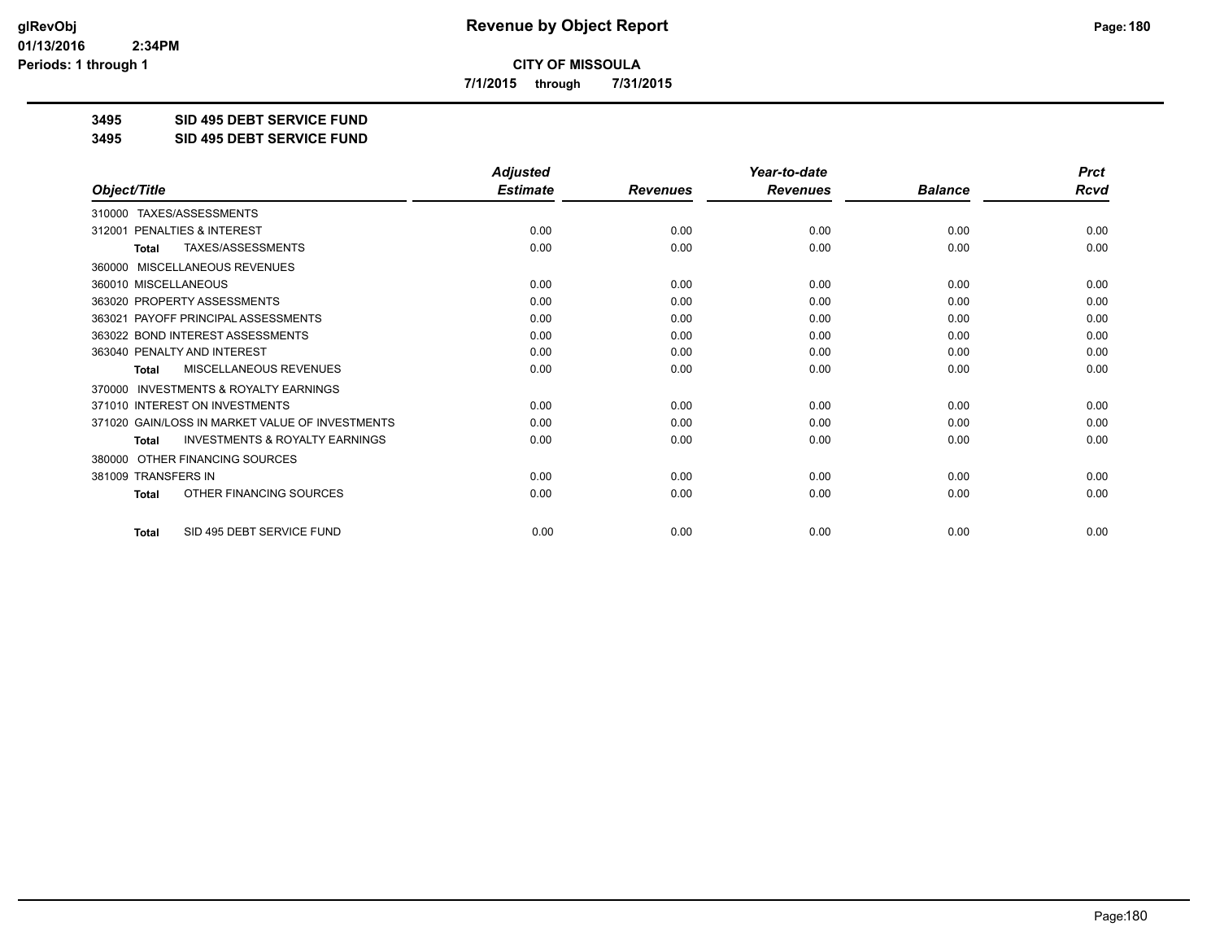**7/1/2015 through 7/31/2015**

**3495 SID 495 DEBT SERVICE FUND**

**3495 SID 495 DEBT SERVICE FUND**

|                                                           | <b>Adjusted</b> |                 | Year-to-date    |                | <b>Prct</b> |
|-----------------------------------------------------------|-----------------|-----------------|-----------------|----------------|-------------|
| Object/Title                                              | <b>Estimate</b> | <b>Revenues</b> | <b>Revenues</b> | <b>Balance</b> | Rcvd        |
| TAXES/ASSESSMENTS<br>310000                               |                 |                 |                 |                |             |
| PENALTIES & INTEREST<br>312001                            | 0.00            | 0.00            | 0.00            | 0.00           | 0.00        |
| <b>TAXES/ASSESSMENTS</b><br>Total                         | 0.00            | 0.00            | 0.00            | 0.00           | 0.00        |
| MISCELLANEOUS REVENUES<br>360000                          |                 |                 |                 |                |             |
| 360010 MISCELLANEOUS                                      | 0.00            | 0.00            | 0.00            | 0.00           | 0.00        |
| 363020 PROPERTY ASSESSMENTS                               | 0.00            | 0.00            | 0.00            | 0.00           | 0.00        |
| 363021 PAYOFF PRINCIPAL ASSESSMENTS                       | 0.00            | 0.00            | 0.00            | 0.00           | 0.00        |
| 363022 BOND INTEREST ASSESSMENTS                          | 0.00            | 0.00            | 0.00            | 0.00           | 0.00        |
| 363040 PENALTY AND INTEREST                               | 0.00            | 0.00            | 0.00            | 0.00           | 0.00        |
| MISCELLANEOUS REVENUES<br>Total                           | 0.00            | 0.00            | 0.00            | 0.00           | 0.00        |
| <b>INVESTMENTS &amp; ROYALTY EARNINGS</b><br>370000       |                 |                 |                 |                |             |
| 371010 INTEREST ON INVESTMENTS                            | 0.00            | 0.00            | 0.00            | 0.00           | 0.00        |
| 371020 GAIN/LOSS IN MARKET VALUE OF INVESTMENTS           | 0.00            | 0.00            | 0.00            | 0.00           | 0.00        |
| <b>INVESTMENTS &amp; ROYALTY EARNINGS</b><br><b>Total</b> | 0.00            | 0.00            | 0.00            | 0.00           | 0.00        |
| OTHER FINANCING SOURCES<br>380000                         |                 |                 |                 |                |             |
| 381009 TRANSFERS IN                                       | 0.00            | 0.00            | 0.00            | 0.00           | 0.00        |
| OTHER FINANCING SOURCES<br><b>Total</b>                   | 0.00            | 0.00            | 0.00            | 0.00           | 0.00        |
| SID 495 DEBT SERVICE FUND<br><b>Total</b>                 | 0.00            | 0.00            | 0.00            | 0.00           | 0.00        |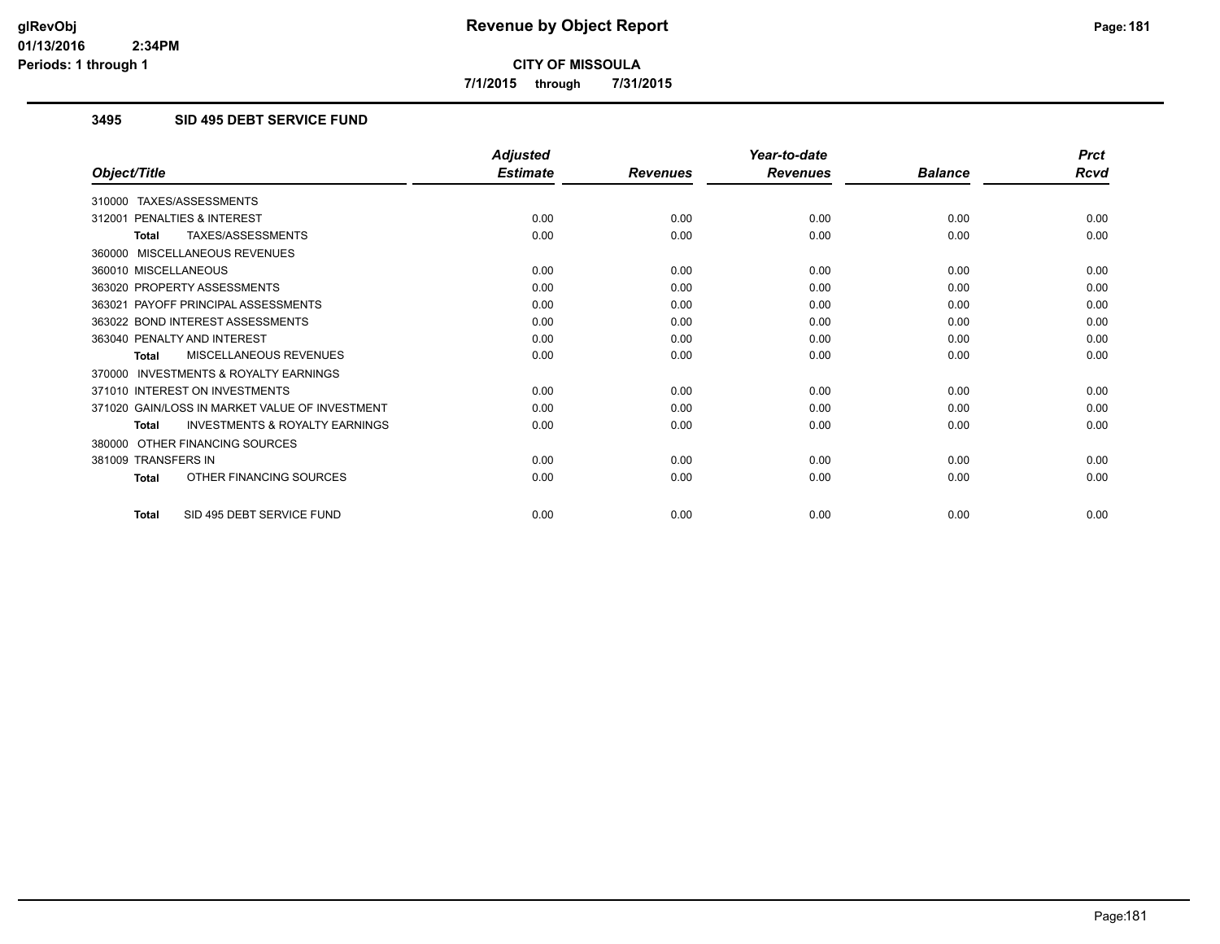**7/1/2015 through 7/31/2015**

# **3495 SID 495 DEBT SERVICE FUND**

|                                                           | <b>Adjusted</b> |                 | Year-to-date    |                | <b>Prct</b> |
|-----------------------------------------------------------|-----------------|-----------------|-----------------|----------------|-------------|
| Object/Title                                              | <b>Estimate</b> | <b>Revenues</b> | <b>Revenues</b> | <b>Balance</b> | <b>Rcvd</b> |
| 310000 TAXES/ASSESSMENTS                                  |                 |                 |                 |                |             |
| 312001 PENALTIES & INTEREST                               | 0.00            | 0.00            | 0.00            | 0.00           | 0.00        |
| TAXES/ASSESSMENTS<br><b>Total</b>                         | 0.00            | 0.00            | 0.00            | 0.00           | 0.00        |
| 360000 MISCELLANEOUS REVENUES                             |                 |                 |                 |                |             |
| 360010 MISCELLANEOUS                                      | 0.00            | 0.00            | 0.00            | 0.00           | 0.00        |
| 363020 PROPERTY ASSESSMENTS                               | 0.00            | 0.00            | 0.00            | 0.00           | 0.00        |
| 363021 PAYOFF PRINCIPAL ASSESSMENTS                       | 0.00            | 0.00            | 0.00            | 0.00           | 0.00        |
| 363022 BOND INTEREST ASSESSMENTS                          | 0.00            | 0.00            | 0.00            | 0.00           | 0.00        |
| 363040 PENALTY AND INTEREST                               | 0.00            | 0.00            | 0.00            | 0.00           | 0.00        |
| MISCELLANEOUS REVENUES<br><b>Total</b>                    | 0.00            | 0.00            | 0.00            | 0.00           | 0.00        |
| <b>INVESTMENTS &amp; ROYALTY EARNINGS</b><br>370000       |                 |                 |                 |                |             |
| 371010 INTEREST ON INVESTMENTS                            | 0.00            | 0.00            | 0.00            | 0.00           | 0.00        |
| 371020 GAIN/LOSS IN MARKET VALUE OF INVESTMENT            | 0.00            | 0.00            | 0.00            | 0.00           | 0.00        |
| <b>INVESTMENTS &amp; ROYALTY EARNINGS</b><br><b>Total</b> | 0.00            | 0.00            | 0.00            | 0.00           | 0.00        |
| 380000 OTHER FINANCING SOURCES                            |                 |                 |                 |                |             |
| 381009 TRANSFERS IN                                       | 0.00            | 0.00            | 0.00            | 0.00           | 0.00        |
| OTHER FINANCING SOURCES<br><b>Total</b>                   | 0.00            | 0.00            | 0.00            | 0.00           | 0.00        |
| SID 495 DEBT SERVICE FUND<br>Total                        | 0.00            | 0.00            | 0.00            | 0.00           | 0.00        |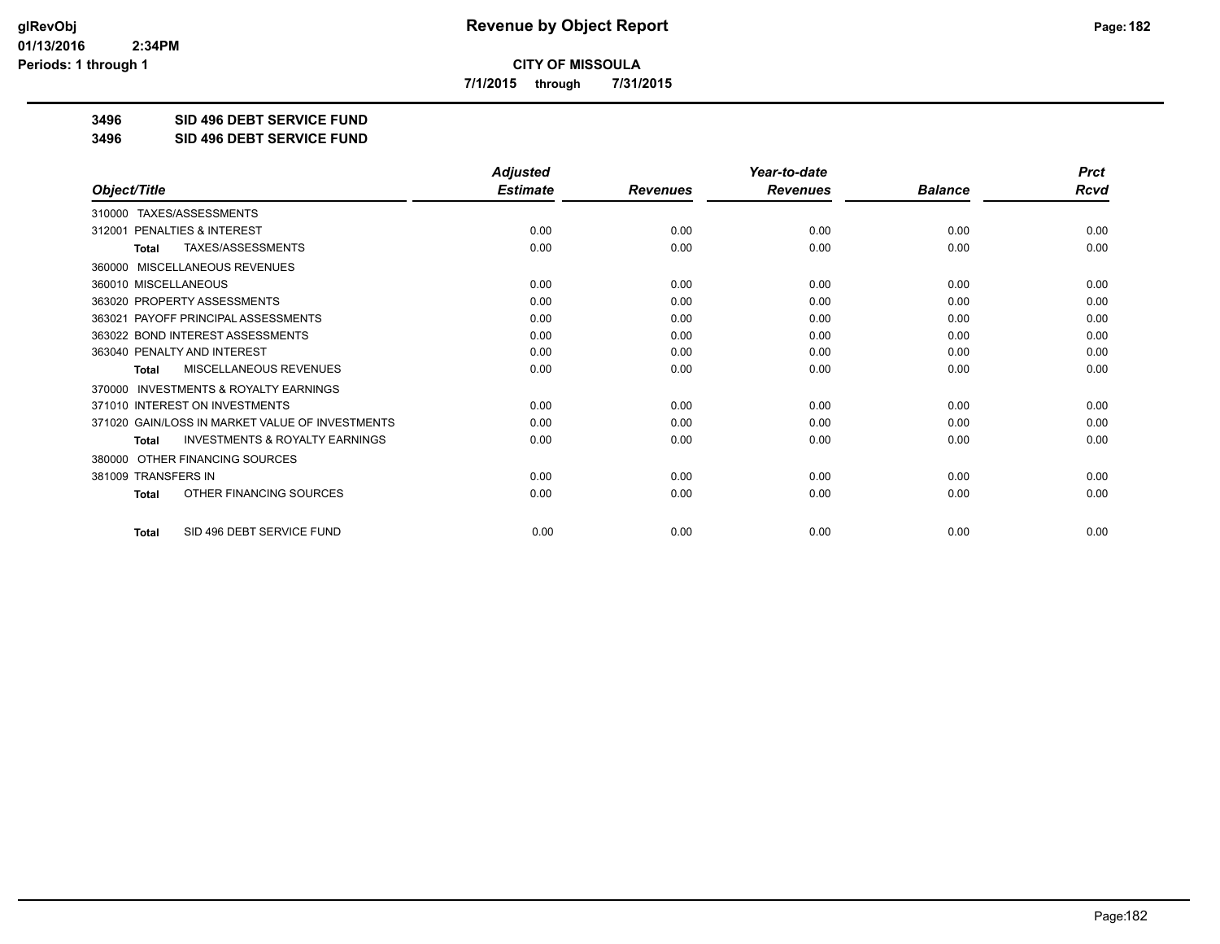**7/1/2015 through 7/31/2015**

**3496 SID 496 DEBT SERVICE FUND**

**3496 SID 496 DEBT SERVICE FUND**

|                                                           | <b>Adjusted</b> |                 | Year-to-date    |                | <b>Prct</b> |
|-----------------------------------------------------------|-----------------|-----------------|-----------------|----------------|-------------|
| Object/Title                                              | <b>Estimate</b> | <b>Revenues</b> | <b>Revenues</b> | <b>Balance</b> | <b>Rcvd</b> |
| TAXES/ASSESSMENTS<br>310000                               |                 |                 |                 |                |             |
| 312001 PENALTIES & INTEREST                               | 0.00            | 0.00            | 0.00            | 0.00           | 0.00        |
| TAXES/ASSESSMENTS<br><b>Total</b>                         | 0.00            | 0.00            | 0.00            | 0.00           | 0.00        |
| MISCELLANEOUS REVENUES<br>360000                          |                 |                 |                 |                |             |
| 360010 MISCELLANEOUS                                      | 0.00            | 0.00            | 0.00            | 0.00           | 0.00        |
| 363020 PROPERTY ASSESSMENTS                               | 0.00            | 0.00            | 0.00            | 0.00           | 0.00        |
| 363021 PAYOFF PRINCIPAL ASSESSMENTS                       | 0.00            | 0.00            | 0.00            | 0.00           | 0.00        |
| 363022 BOND INTEREST ASSESSMENTS                          | 0.00            | 0.00            | 0.00            | 0.00           | 0.00        |
| 363040 PENALTY AND INTEREST                               | 0.00            | 0.00            | 0.00            | 0.00           | 0.00        |
| MISCELLANEOUS REVENUES<br><b>Total</b>                    | 0.00            | 0.00            | 0.00            | 0.00           | 0.00        |
| <b>INVESTMENTS &amp; ROYALTY EARNINGS</b><br>370000       |                 |                 |                 |                |             |
| 371010 INTEREST ON INVESTMENTS                            | 0.00            | 0.00            | 0.00            | 0.00           | 0.00        |
| 371020 GAIN/LOSS IN MARKET VALUE OF INVESTMENTS           | 0.00            | 0.00            | 0.00            | 0.00           | 0.00        |
| <b>INVESTMENTS &amp; ROYALTY EARNINGS</b><br><b>Total</b> | 0.00            | 0.00            | 0.00            | 0.00           | 0.00        |
| OTHER FINANCING SOURCES<br>380000                         |                 |                 |                 |                |             |
| 381009 TRANSFERS IN                                       | 0.00            | 0.00            | 0.00            | 0.00           | 0.00        |
| OTHER FINANCING SOURCES<br><b>Total</b>                   | 0.00            | 0.00            | 0.00            | 0.00           | 0.00        |
| SID 496 DEBT SERVICE FUND<br><b>Total</b>                 | 0.00            | 0.00            | 0.00            | 0.00           | 0.00        |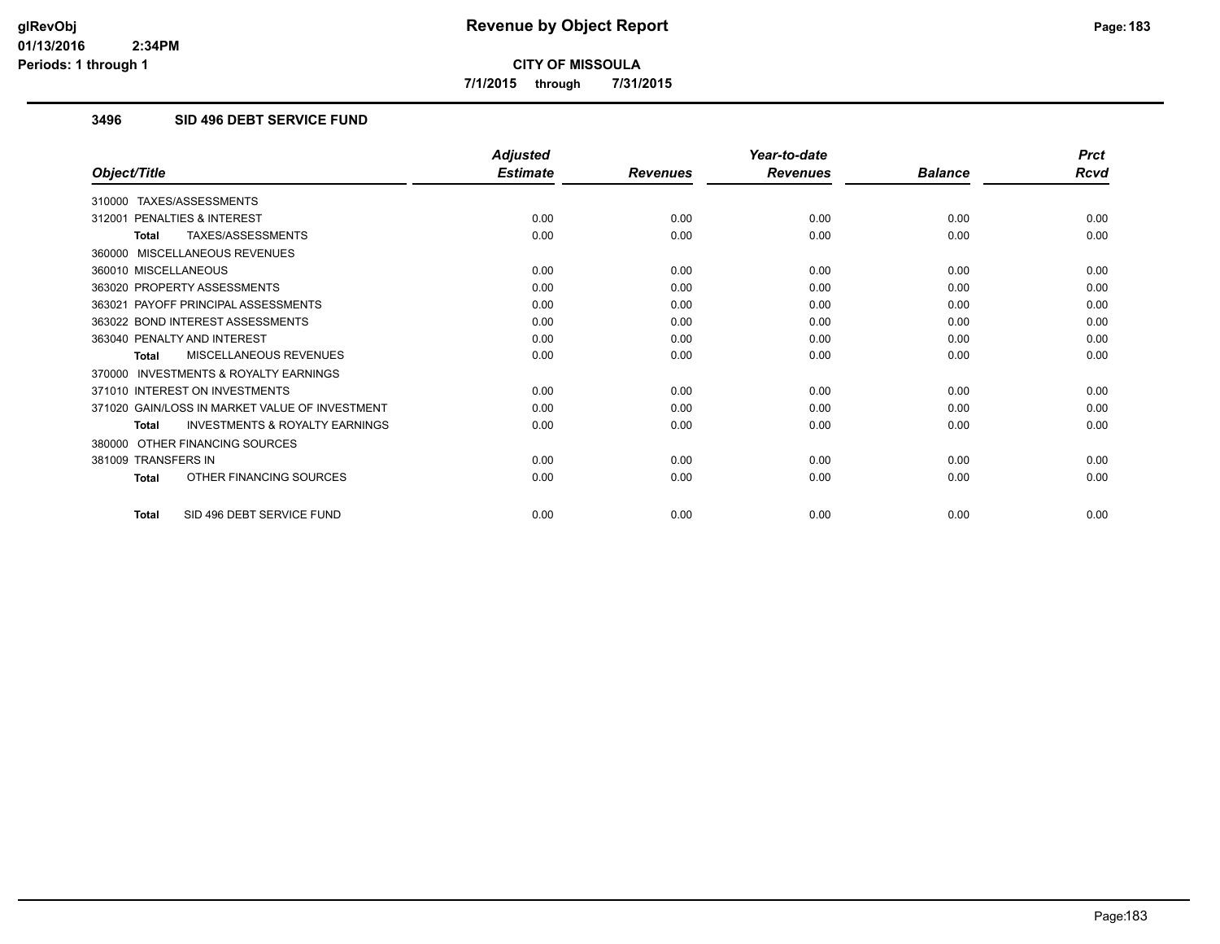**7/1/2015 through 7/31/2015**

# **3496 SID 496 DEBT SERVICE FUND**

|                                                           | <b>Adjusted</b> |                 | Year-to-date    |                | <b>Prct</b> |
|-----------------------------------------------------------|-----------------|-----------------|-----------------|----------------|-------------|
| Object/Title                                              | <b>Estimate</b> | <b>Revenues</b> | <b>Revenues</b> | <b>Balance</b> | <b>Rcvd</b> |
| 310000 TAXES/ASSESSMENTS                                  |                 |                 |                 |                |             |
| PENALTIES & INTEREST<br>312001                            | 0.00            | 0.00            | 0.00            | 0.00           | 0.00        |
| TAXES/ASSESSMENTS<br><b>Total</b>                         | 0.00            | 0.00            | 0.00            | 0.00           | 0.00        |
| 360000 MISCELLANEOUS REVENUES                             |                 |                 |                 |                |             |
| 360010 MISCELLANEOUS                                      | 0.00            | 0.00            | 0.00            | 0.00           | 0.00        |
| 363020 PROPERTY ASSESSMENTS                               | 0.00            | 0.00            | 0.00            | 0.00           | 0.00        |
| 363021 PAYOFF PRINCIPAL ASSESSMENTS                       | 0.00            | 0.00            | 0.00            | 0.00           | 0.00        |
| 363022 BOND INTEREST ASSESSMENTS                          | 0.00            | 0.00            | 0.00            | 0.00           | 0.00        |
| 363040 PENALTY AND INTEREST                               | 0.00            | 0.00            | 0.00            | 0.00           | 0.00        |
| MISCELLANEOUS REVENUES<br><b>Total</b>                    | 0.00            | 0.00            | 0.00            | 0.00           | 0.00        |
| <b>INVESTMENTS &amp; ROYALTY EARNINGS</b><br>370000       |                 |                 |                 |                |             |
| 371010 INTEREST ON INVESTMENTS                            | 0.00            | 0.00            | 0.00            | 0.00           | 0.00        |
| 371020 GAIN/LOSS IN MARKET VALUE OF INVESTMENT            | 0.00            | 0.00            | 0.00            | 0.00           | 0.00        |
| <b>INVESTMENTS &amp; ROYALTY EARNINGS</b><br><b>Total</b> | 0.00            | 0.00            | 0.00            | 0.00           | 0.00        |
| OTHER FINANCING SOURCES<br>380000                         |                 |                 |                 |                |             |
| 381009 TRANSFERS IN                                       | 0.00            | 0.00            | 0.00            | 0.00           | 0.00        |
| OTHER FINANCING SOURCES<br><b>Total</b>                   | 0.00            | 0.00            | 0.00            | 0.00           | 0.00        |
| SID 496 DEBT SERVICE FUND<br><b>Total</b>                 | 0.00            | 0.00            | 0.00            | 0.00           | 0.00        |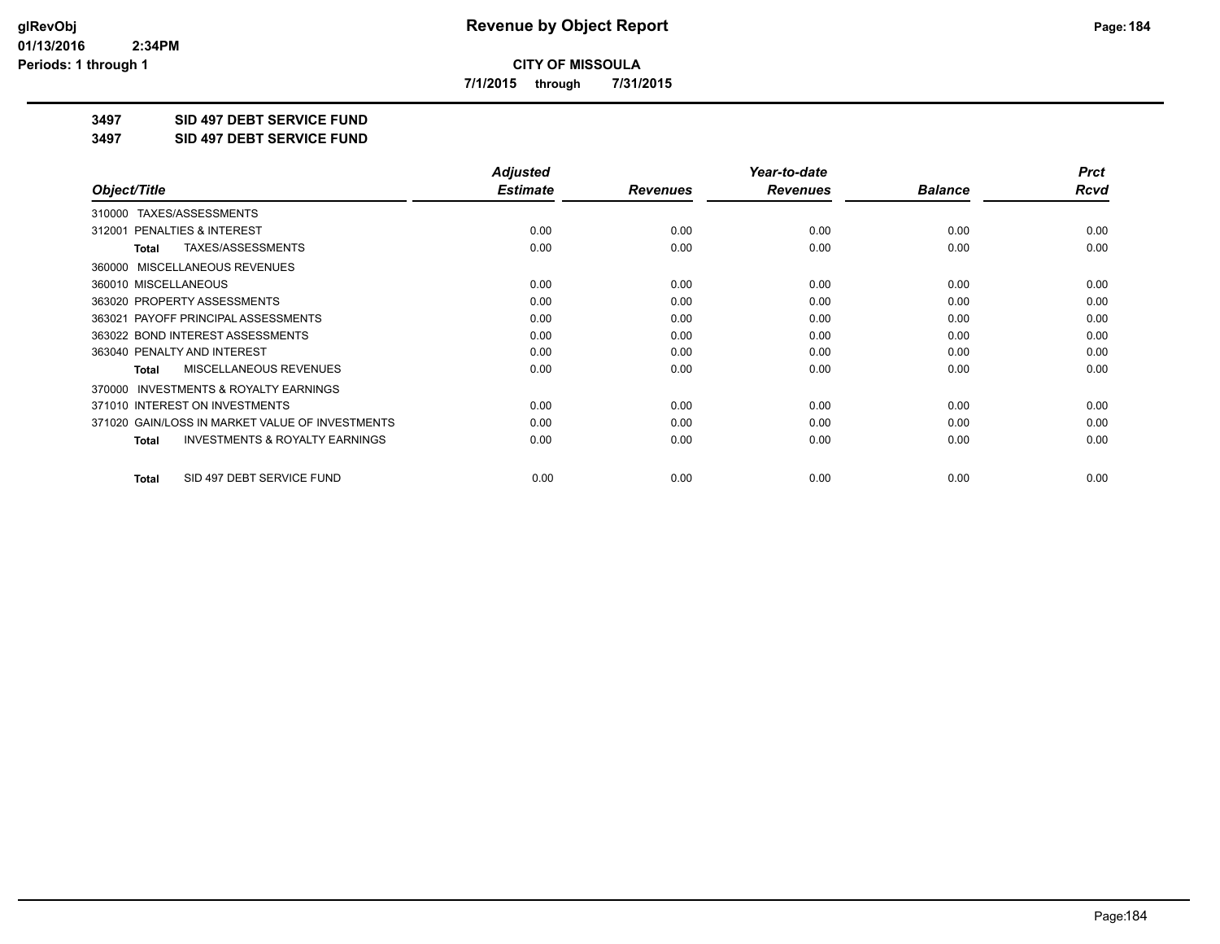**7/1/2015 through 7/31/2015**

**3497 SID 497 DEBT SERVICE FUND**

**3497 SID 497 DEBT SERVICE FUND**

|                                                     | <b>Adjusted</b> |                 | Year-to-date    |                | <b>Prct</b> |
|-----------------------------------------------------|-----------------|-----------------|-----------------|----------------|-------------|
| Object/Title                                        | <b>Estimate</b> | <b>Revenues</b> | <b>Revenues</b> | <b>Balance</b> | Rcvd        |
| 310000 TAXES/ASSESSMENTS                            |                 |                 |                 |                |             |
| <b>PENALTIES &amp; INTEREST</b><br>312001           | 0.00            | 0.00            | 0.00            | 0.00           | 0.00        |
| TAXES/ASSESSMENTS<br>Total                          | 0.00            | 0.00            | 0.00            | 0.00           | 0.00        |
| 360000 MISCELLANEOUS REVENUES                       |                 |                 |                 |                |             |
| 360010 MISCELLANEOUS                                | 0.00            | 0.00            | 0.00            | 0.00           | 0.00        |
| 363020 PROPERTY ASSESSMENTS                         | 0.00            | 0.00            | 0.00            | 0.00           | 0.00        |
| 363021 PAYOFF PRINCIPAL ASSESSMENTS                 | 0.00            | 0.00            | 0.00            | 0.00           | 0.00        |
| 363022 BOND INTEREST ASSESSMENTS                    | 0.00            | 0.00            | 0.00            | 0.00           | 0.00        |
| 363040 PENALTY AND INTEREST                         | 0.00            | 0.00            | 0.00            | 0.00           | 0.00        |
| <b>MISCELLANEOUS REVENUES</b><br>Total              | 0.00            | 0.00            | 0.00            | 0.00           | 0.00        |
| <b>INVESTMENTS &amp; ROYALTY EARNINGS</b><br>370000 |                 |                 |                 |                |             |
| 371010 INTEREST ON INVESTMENTS                      | 0.00            | 0.00            | 0.00            | 0.00           | 0.00        |
| 371020 GAIN/LOSS IN MARKET VALUE OF INVESTMENTS     | 0.00            | 0.00            | 0.00            | 0.00           | 0.00        |
| <b>INVESTMENTS &amp; ROYALTY EARNINGS</b><br>Total  | 0.00            | 0.00            | 0.00            | 0.00           | 0.00        |
| SID 497 DEBT SERVICE FUND<br><b>Total</b>           | 0.00            | 0.00            | 0.00            | 0.00           | 0.00        |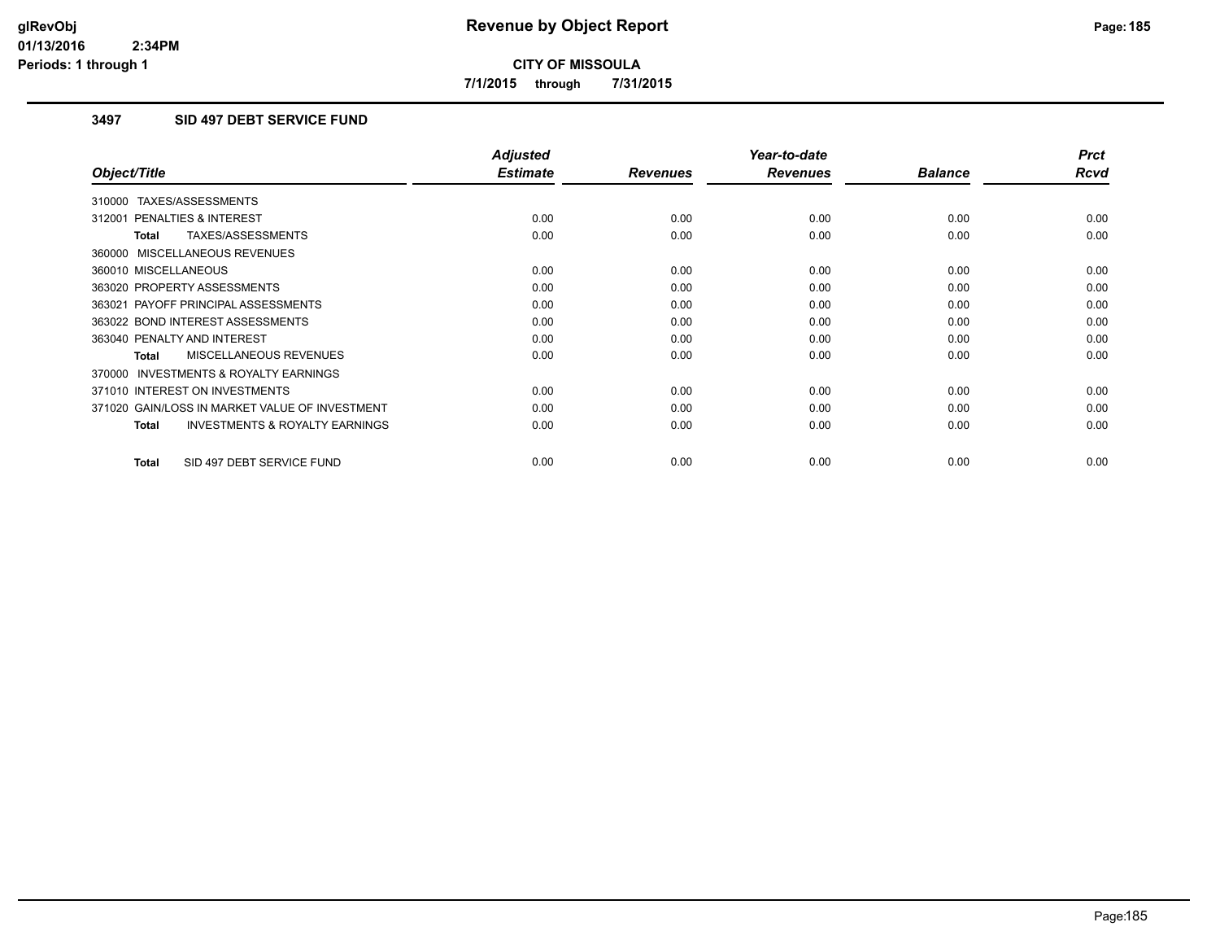**7/1/2015 through 7/31/2015**

# **3497 SID 497 DEBT SERVICE FUND**

|                                                     | <b>Adjusted</b> |                 | Year-to-date    |                | <b>Prct</b> |
|-----------------------------------------------------|-----------------|-----------------|-----------------|----------------|-------------|
| Object/Title                                        | <b>Estimate</b> | <b>Revenues</b> | <b>Revenues</b> | <b>Balance</b> | <b>Rcvd</b> |
| 310000 TAXES/ASSESSMENTS                            |                 |                 |                 |                |             |
| 312001 PENALTIES & INTEREST                         | 0.00            | 0.00            | 0.00            | 0.00           | 0.00        |
| TAXES/ASSESSMENTS<br><b>Total</b>                   | 0.00            | 0.00            | 0.00            | 0.00           | 0.00        |
| 360000 MISCELLANEOUS REVENUES                       |                 |                 |                 |                |             |
| 360010 MISCELLANEOUS                                | 0.00            | 0.00            | 0.00            | 0.00           | 0.00        |
| 363020 PROPERTY ASSESSMENTS                         | 0.00            | 0.00            | 0.00            | 0.00           | 0.00        |
| 363021 PAYOFF PRINCIPAL ASSESSMENTS                 | 0.00            | 0.00            | 0.00            | 0.00           | 0.00        |
| 363022 BOND INTEREST ASSESSMENTS                    | 0.00            | 0.00            | 0.00            | 0.00           | 0.00        |
| 363040 PENALTY AND INTEREST                         | 0.00            | 0.00            | 0.00            | 0.00           | 0.00        |
| <b>MISCELLANEOUS REVENUES</b><br>Total              | 0.00            | 0.00            | 0.00            | 0.00           | 0.00        |
| <b>INVESTMENTS &amp; ROYALTY EARNINGS</b><br>370000 |                 |                 |                 |                |             |
| 371010 INTEREST ON INVESTMENTS                      | 0.00            | 0.00            | 0.00            | 0.00           | 0.00        |
| 371020 GAIN/LOSS IN MARKET VALUE OF INVESTMENT      | 0.00            | 0.00            | 0.00            | 0.00           | 0.00        |
| <b>INVESTMENTS &amp; ROYALTY EARNINGS</b><br>Total  | 0.00            | 0.00            | 0.00            | 0.00           | 0.00        |
| SID 497 DEBT SERVICE FUND<br><b>Total</b>           | 0.00            | 0.00            | 0.00            | 0.00           | 0.00        |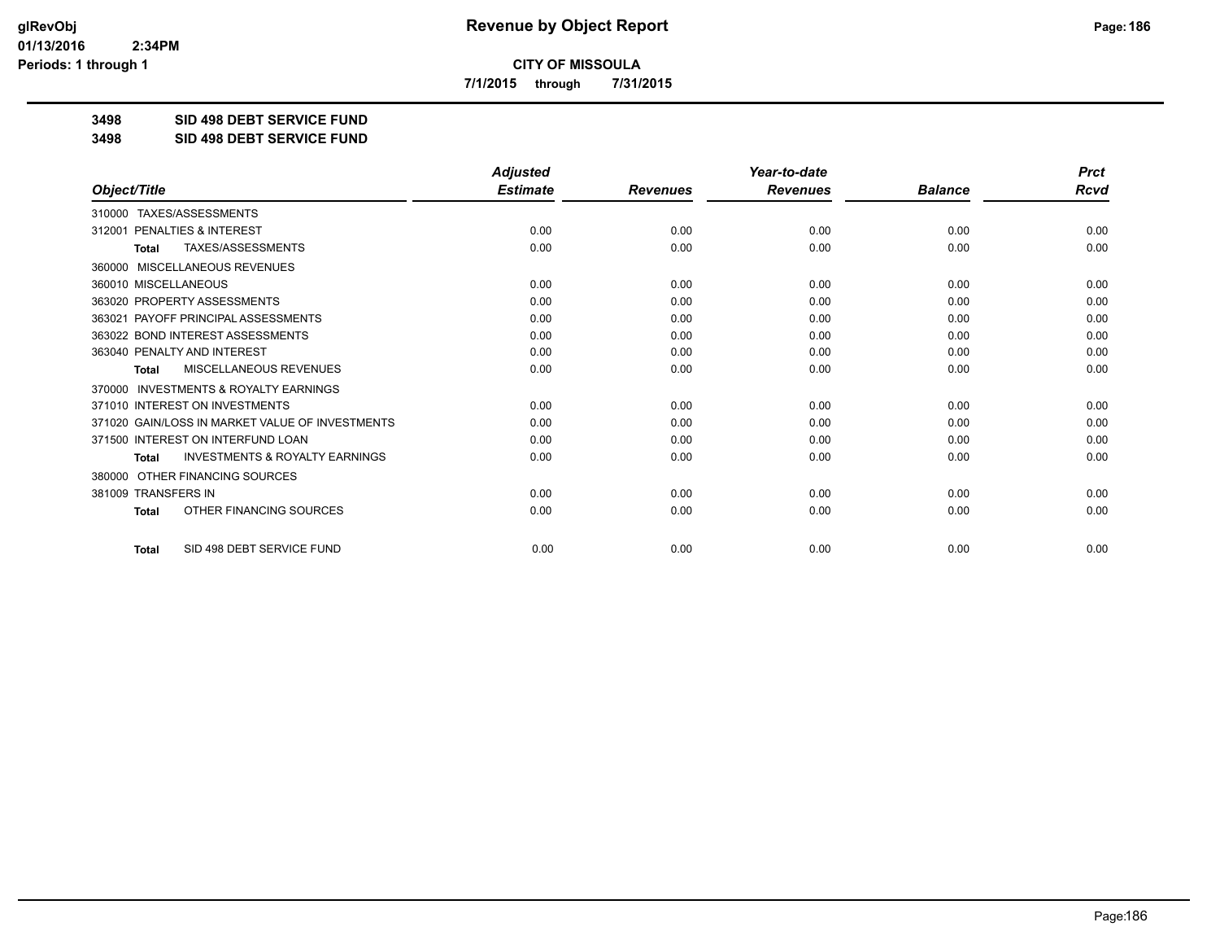**7/1/2015 through 7/31/2015**

**3498 SID 498 DEBT SERVICE FUND**

**3498 SID 498 DEBT SERVICE FUND**

|                                                           | <b>Adjusted</b> |                 | Year-to-date    |                | <b>Prct</b> |
|-----------------------------------------------------------|-----------------|-----------------|-----------------|----------------|-------------|
| Object/Title                                              | <b>Estimate</b> | <b>Revenues</b> | <b>Revenues</b> | <b>Balance</b> | <b>Rcvd</b> |
| 310000 TAXES/ASSESSMENTS                                  |                 |                 |                 |                |             |
| PENALTIES & INTEREST<br>312001                            | 0.00            | 0.00            | 0.00            | 0.00           | 0.00        |
| TAXES/ASSESSMENTS<br><b>Total</b>                         | 0.00            | 0.00            | 0.00            | 0.00           | 0.00        |
| 360000 MISCELLANEOUS REVENUES                             |                 |                 |                 |                |             |
| 360010 MISCELLANEOUS                                      | 0.00            | 0.00            | 0.00            | 0.00           | 0.00        |
| 363020 PROPERTY ASSESSMENTS                               | 0.00            | 0.00            | 0.00            | 0.00           | 0.00        |
| PAYOFF PRINCIPAL ASSESSMENTS<br>363021                    | 0.00            | 0.00            | 0.00            | 0.00           | 0.00        |
| 363022 BOND INTEREST ASSESSMENTS                          | 0.00            | 0.00            | 0.00            | 0.00           | 0.00        |
| 363040 PENALTY AND INTEREST                               | 0.00            | 0.00            | 0.00            | 0.00           | 0.00        |
| <b>MISCELLANEOUS REVENUES</b><br><b>Total</b>             | 0.00            | 0.00            | 0.00            | 0.00           | 0.00        |
| 370000 INVESTMENTS & ROYALTY EARNINGS                     |                 |                 |                 |                |             |
| 371010 INTEREST ON INVESTMENTS                            | 0.00            | 0.00            | 0.00            | 0.00           | 0.00        |
| 371020 GAIN/LOSS IN MARKET VALUE OF INVESTMENTS           | 0.00            | 0.00            | 0.00            | 0.00           | 0.00        |
| 371500 INTEREST ON INTERFUND LOAN                         | 0.00            | 0.00            | 0.00            | 0.00           | 0.00        |
| <b>INVESTMENTS &amp; ROYALTY EARNINGS</b><br><b>Total</b> | 0.00            | 0.00            | 0.00            | 0.00           | 0.00        |
| OTHER FINANCING SOURCES<br>380000                         |                 |                 |                 |                |             |
| 381009 TRANSFERS IN                                       | 0.00            | 0.00            | 0.00            | 0.00           | 0.00        |
| OTHER FINANCING SOURCES<br><b>Total</b>                   | 0.00            | 0.00            | 0.00            | 0.00           | 0.00        |
| SID 498 DEBT SERVICE FUND<br>Total                        | 0.00            | 0.00            | 0.00            | 0.00           | 0.00        |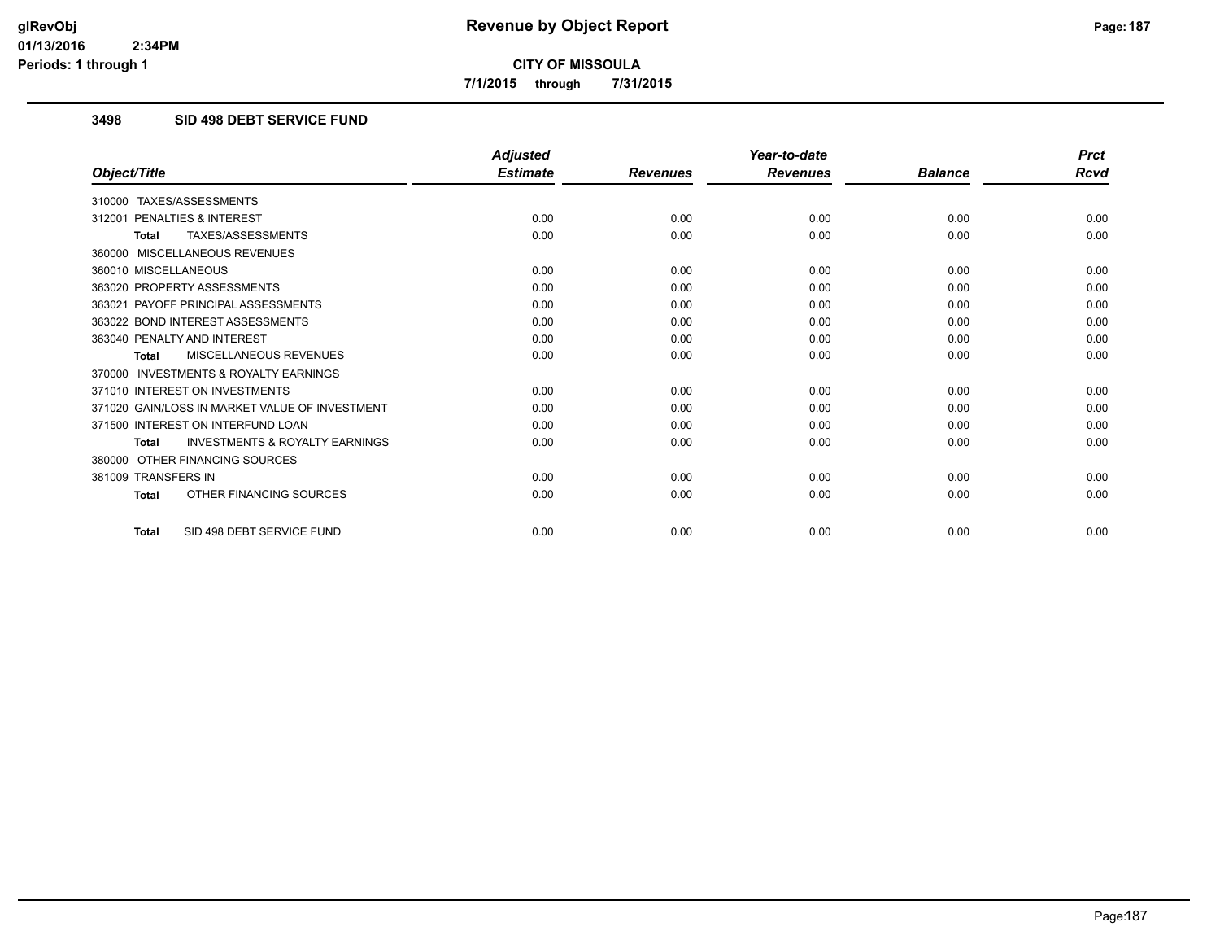**7/1/2015 through 7/31/2015**

# **3498 SID 498 DEBT SERVICE FUND**

|                                                           | <b>Adjusted</b> |                 | Year-to-date    |                | <b>Prct</b> |
|-----------------------------------------------------------|-----------------|-----------------|-----------------|----------------|-------------|
| Object/Title                                              | <b>Estimate</b> | <b>Revenues</b> | <b>Revenues</b> | <b>Balance</b> | <b>Rcvd</b> |
| TAXES/ASSESSMENTS<br>310000                               |                 |                 |                 |                |             |
| 312001 PENALTIES & INTEREST                               | 0.00            | 0.00            | 0.00            | 0.00           | 0.00        |
| TAXES/ASSESSMENTS<br><b>Total</b>                         | 0.00            | 0.00            | 0.00            | 0.00           | 0.00        |
| 360000 MISCELLANEOUS REVENUES                             |                 |                 |                 |                |             |
| 360010 MISCELLANEOUS                                      | 0.00            | 0.00            | 0.00            | 0.00           | 0.00        |
| 363020 PROPERTY ASSESSMENTS                               | 0.00            | 0.00            | 0.00            | 0.00           | 0.00        |
| 363021 PAYOFF PRINCIPAL ASSESSMENTS                       | 0.00            | 0.00            | 0.00            | 0.00           | 0.00        |
| 363022 BOND INTEREST ASSESSMENTS                          | 0.00            | 0.00            | 0.00            | 0.00           | 0.00        |
| 363040 PENALTY AND INTEREST                               | 0.00            | 0.00            | 0.00            | 0.00           | 0.00        |
| MISCELLANEOUS REVENUES<br><b>Total</b>                    | 0.00            | 0.00            | 0.00            | 0.00           | 0.00        |
| 370000 INVESTMENTS & ROYALTY EARNINGS                     |                 |                 |                 |                |             |
| 371010 INTEREST ON INVESTMENTS                            | 0.00            | 0.00            | 0.00            | 0.00           | 0.00        |
| 371020 GAIN/LOSS IN MARKET VALUE OF INVESTMENT            | 0.00            | 0.00            | 0.00            | 0.00           | 0.00        |
| 371500 INTEREST ON INTERFUND LOAN                         | 0.00            | 0.00            | 0.00            | 0.00           | 0.00        |
| <b>INVESTMENTS &amp; ROYALTY EARNINGS</b><br><b>Total</b> | 0.00            | 0.00            | 0.00            | 0.00           | 0.00        |
| OTHER FINANCING SOURCES<br>380000                         |                 |                 |                 |                |             |
| 381009 TRANSFERS IN                                       | 0.00            | 0.00            | 0.00            | 0.00           | 0.00        |
| OTHER FINANCING SOURCES<br><b>Total</b>                   | 0.00            | 0.00            | 0.00            | 0.00           | 0.00        |
| SID 498 DEBT SERVICE FUND<br>Total                        | 0.00            | 0.00            | 0.00            | 0.00           | 0.00        |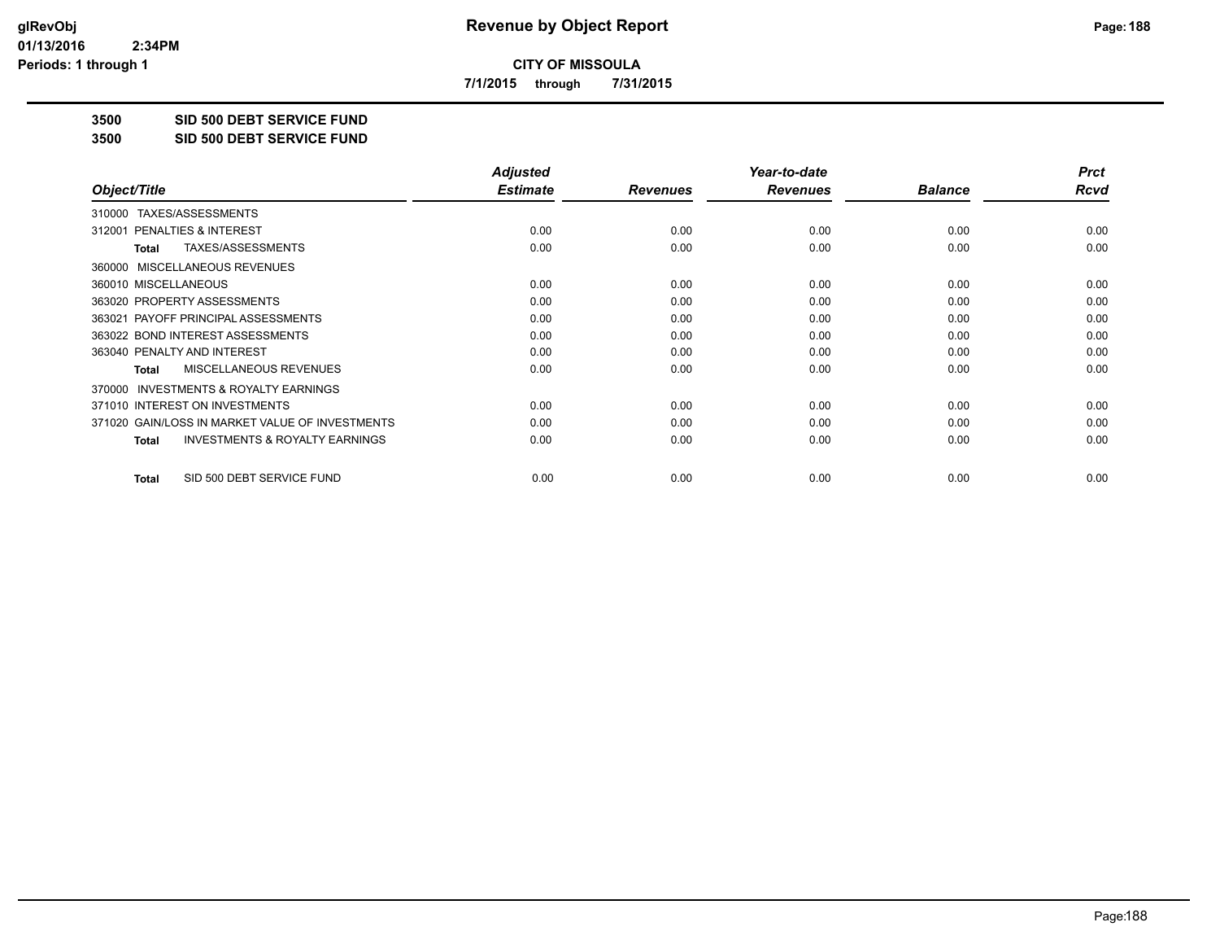**7/1/2015 through 7/31/2015**

**3500 SID 500 DEBT SERVICE FUND**

**3500 SID 500 DEBT SERVICE FUND**

|                                                           | <b>Adjusted</b> |                 | Year-to-date    |                | <b>Prct</b> |
|-----------------------------------------------------------|-----------------|-----------------|-----------------|----------------|-------------|
| Object/Title                                              | <b>Estimate</b> | <b>Revenues</b> | <b>Revenues</b> | <b>Balance</b> | Rcvd        |
| TAXES/ASSESSMENTS<br>310000                               |                 |                 |                 |                |             |
| 312001 PENALTIES & INTEREST                               | 0.00            | 0.00            | 0.00            | 0.00           | 0.00        |
| TAXES/ASSESSMENTS<br>Total                                | 0.00            | 0.00            | 0.00            | 0.00           | 0.00        |
| MISCELLANEOUS REVENUES<br>360000                          |                 |                 |                 |                |             |
| 360010 MISCELLANEOUS                                      | 0.00            | 0.00            | 0.00            | 0.00           | 0.00        |
| 363020 PROPERTY ASSESSMENTS                               | 0.00            | 0.00            | 0.00            | 0.00           | 0.00        |
| 363021 PAYOFF PRINCIPAL ASSESSMENTS                       | 0.00            | 0.00            | 0.00            | 0.00           | 0.00        |
| 363022 BOND INTEREST ASSESSMENTS                          | 0.00            | 0.00            | 0.00            | 0.00           | 0.00        |
| 363040 PENALTY AND INTEREST                               | 0.00            | 0.00            | 0.00            | 0.00           | 0.00        |
| MISCELLANEOUS REVENUES<br><b>Total</b>                    | 0.00            | 0.00            | 0.00            | 0.00           | 0.00        |
| <b>INVESTMENTS &amp; ROYALTY EARNINGS</b><br>370000       |                 |                 |                 |                |             |
| 371010 INTEREST ON INVESTMENTS                            | 0.00            | 0.00            | 0.00            | 0.00           | 0.00        |
| 371020 GAIN/LOSS IN MARKET VALUE OF INVESTMENTS           | 0.00            | 0.00            | 0.00            | 0.00           | 0.00        |
| <b>INVESTMENTS &amp; ROYALTY EARNINGS</b><br><b>Total</b> | 0.00            | 0.00            | 0.00            | 0.00           | 0.00        |
| SID 500 DEBT SERVICE FUND<br><b>Total</b>                 | 0.00            | 0.00            | 0.00            | 0.00           | 0.00        |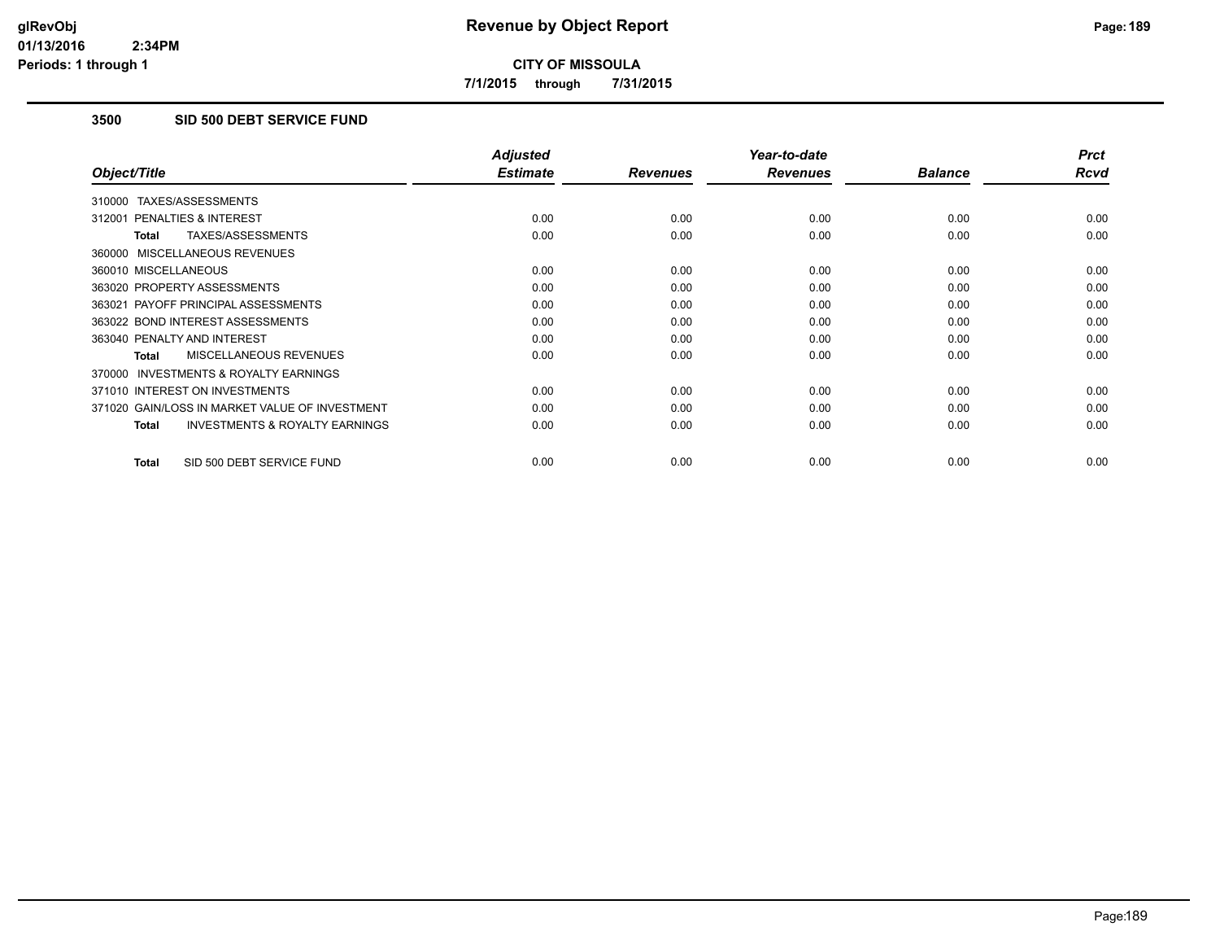**7/1/2015 through 7/31/2015**

# **3500 SID 500 DEBT SERVICE FUND**

|                                                           | <b>Adjusted</b> |                 | Year-to-date    |                | <b>Prct</b> |
|-----------------------------------------------------------|-----------------|-----------------|-----------------|----------------|-------------|
| Object/Title                                              | <b>Estimate</b> | <b>Revenues</b> | <b>Revenues</b> | <b>Balance</b> | <b>Rcvd</b> |
| 310000 TAXES/ASSESSMENTS                                  |                 |                 |                 |                |             |
| 312001 PENALTIES & INTEREST                               | 0.00            | 0.00            | 0.00            | 0.00           | 0.00        |
| TAXES/ASSESSMENTS<br><b>Total</b>                         | 0.00            | 0.00            | 0.00            | 0.00           | 0.00        |
| 360000 MISCELLANEOUS REVENUES                             |                 |                 |                 |                |             |
| 360010 MISCELLANEOUS                                      | 0.00            | 0.00            | 0.00            | 0.00           | 0.00        |
| 363020 PROPERTY ASSESSMENTS                               | 0.00            | 0.00            | 0.00            | 0.00           | 0.00        |
| 363021 PAYOFF PRINCIPAL ASSESSMENTS                       | 0.00            | 0.00            | 0.00            | 0.00           | 0.00        |
| 363022 BOND INTEREST ASSESSMENTS                          | 0.00            | 0.00            | 0.00            | 0.00           | 0.00        |
| 363040 PENALTY AND INTEREST                               | 0.00            | 0.00            | 0.00            | 0.00           | 0.00        |
| <b>MISCELLANEOUS REVENUES</b><br>Total                    | 0.00            | 0.00            | 0.00            | 0.00           | 0.00        |
| <b>INVESTMENTS &amp; ROYALTY EARNINGS</b><br>370000       |                 |                 |                 |                |             |
| 371010 INTEREST ON INVESTMENTS                            | 0.00            | 0.00            | 0.00            | 0.00           | 0.00        |
| 371020 GAIN/LOSS IN MARKET VALUE OF INVESTMENT            | 0.00            | 0.00            | 0.00            | 0.00           | 0.00        |
| <b>INVESTMENTS &amp; ROYALTY EARNINGS</b><br><b>Total</b> | 0.00            | 0.00            | 0.00            | 0.00           | 0.00        |
| SID 500 DEBT SERVICE FUND<br><b>Total</b>                 | 0.00            | 0.00            | 0.00            | 0.00           | 0.00        |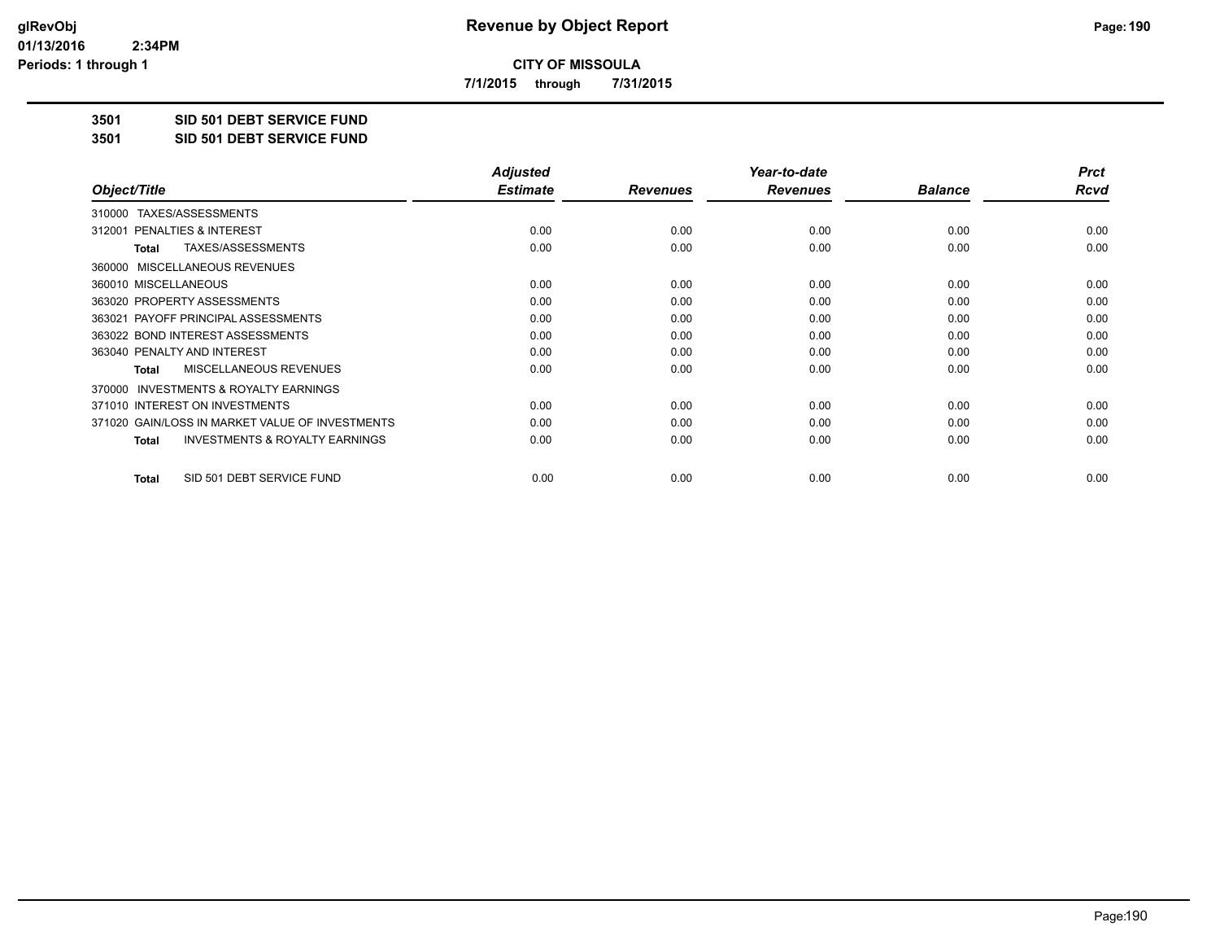**7/1/2015 through 7/31/2015**

**3501 SID 501 DEBT SERVICE FUND**

**3501 SID 501 DEBT SERVICE FUND**

|                                                           | <b>Adjusted</b> |                 | Year-to-date    |                | <b>Prct</b> |
|-----------------------------------------------------------|-----------------|-----------------|-----------------|----------------|-------------|
| Object/Title                                              | <b>Estimate</b> | <b>Revenues</b> | <b>Revenues</b> | <b>Balance</b> | Rcvd        |
| TAXES/ASSESSMENTS<br>310000                               |                 |                 |                 |                |             |
| 312001 PENALTIES & INTEREST                               | 0.00            | 0.00            | 0.00            | 0.00           | 0.00        |
| TAXES/ASSESSMENTS<br>Total                                | 0.00            | 0.00            | 0.00            | 0.00           | 0.00        |
| MISCELLANEOUS REVENUES<br>360000                          |                 |                 |                 |                |             |
| 360010 MISCELLANEOUS                                      | 0.00            | 0.00            | 0.00            | 0.00           | 0.00        |
| 363020 PROPERTY ASSESSMENTS                               | 0.00            | 0.00            | 0.00            | 0.00           | 0.00        |
| 363021 PAYOFF PRINCIPAL ASSESSMENTS                       | 0.00            | 0.00            | 0.00            | 0.00           | 0.00        |
| 363022 BOND INTEREST ASSESSMENTS                          | 0.00            | 0.00            | 0.00            | 0.00           | 0.00        |
| 363040 PENALTY AND INTEREST                               | 0.00            | 0.00            | 0.00            | 0.00           | 0.00        |
| <b>MISCELLANEOUS REVENUES</b><br><b>Total</b>             | 0.00            | 0.00            | 0.00            | 0.00           | 0.00        |
| 370000 INVESTMENTS & ROYALTY EARNINGS                     |                 |                 |                 |                |             |
| 371010 INTEREST ON INVESTMENTS                            | 0.00            | 0.00            | 0.00            | 0.00           | 0.00        |
| 371020 GAIN/LOSS IN MARKET VALUE OF INVESTMENTS           | 0.00            | 0.00            | 0.00            | 0.00           | 0.00        |
| <b>INVESTMENTS &amp; ROYALTY EARNINGS</b><br><b>Total</b> | 0.00            | 0.00            | 0.00            | 0.00           | 0.00        |
| SID 501 DEBT SERVICE FUND<br><b>Total</b>                 | 0.00            | 0.00            | 0.00            | 0.00           | 0.00        |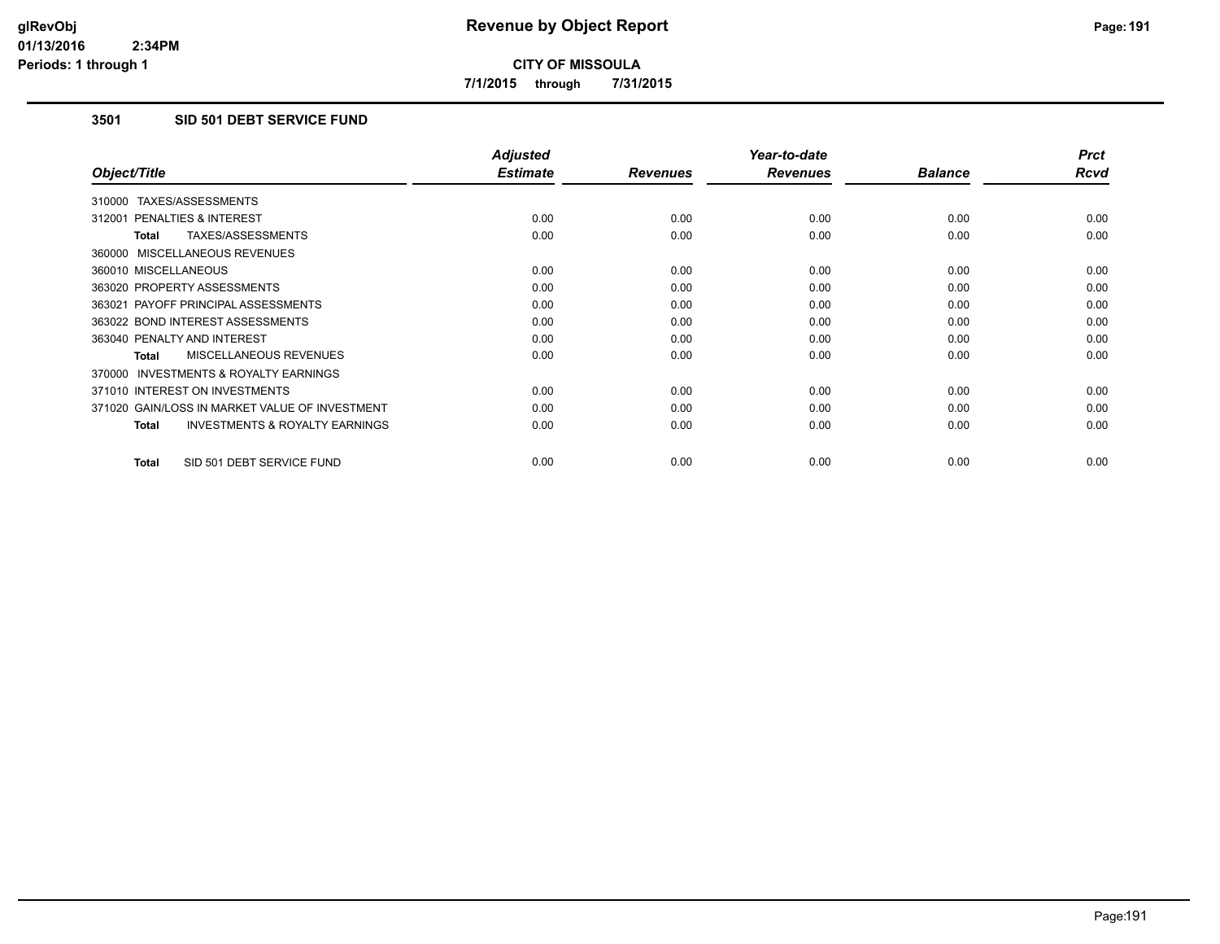**7/1/2015 through 7/31/2015**

# **3501 SID 501 DEBT SERVICE FUND**

|                                                           | <b>Adjusted</b> |                 | Year-to-date    |                | <b>Prct</b> |
|-----------------------------------------------------------|-----------------|-----------------|-----------------|----------------|-------------|
| Object/Title                                              | <b>Estimate</b> | <b>Revenues</b> | <b>Revenues</b> | <b>Balance</b> | <b>Rcvd</b> |
| 310000 TAXES/ASSESSMENTS                                  |                 |                 |                 |                |             |
| 312001 PENALTIES & INTEREST                               | 0.00            | 0.00            | 0.00            | 0.00           | 0.00        |
| <b>TAXES/ASSESSMENTS</b><br><b>Total</b>                  | 0.00            | 0.00            | 0.00            | 0.00           | 0.00        |
| 360000 MISCELLANEOUS REVENUES                             |                 |                 |                 |                |             |
| 360010 MISCELLANEOUS                                      | 0.00            | 0.00            | 0.00            | 0.00           | 0.00        |
| 363020 PROPERTY ASSESSMENTS                               | 0.00            | 0.00            | 0.00            | 0.00           | 0.00        |
| 363021 PAYOFF PRINCIPAL ASSESSMENTS                       | 0.00            | 0.00            | 0.00            | 0.00           | 0.00        |
| 363022 BOND INTEREST ASSESSMENTS                          | 0.00            | 0.00            | 0.00            | 0.00           | 0.00        |
| 363040 PENALTY AND INTEREST                               | 0.00            | 0.00            | 0.00            | 0.00           | 0.00        |
| <b>MISCELLANEOUS REVENUES</b><br><b>Total</b>             | 0.00            | 0.00            | 0.00            | 0.00           | 0.00        |
| <b>INVESTMENTS &amp; ROYALTY EARNINGS</b><br>370000       |                 |                 |                 |                |             |
| 371010 INTEREST ON INVESTMENTS                            | 0.00            | 0.00            | 0.00            | 0.00           | 0.00        |
| 371020 GAIN/LOSS IN MARKET VALUE OF INVESTMENT            | 0.00            | 0.00            | 0.00            | 0.00           | 0.00        |
| <b>INVESTMENTS &amp; ROYALTY EARNINGS</b><br><b>Total</b> | 0.00            | 0.00            | 0.00            | 0.00           | 0.00        |
| SID 501 DEBT SERVICE FUND<br><b>Total</b>                 | 0.00            | 0.00            | 0.00            | 0.00           | 0.00        |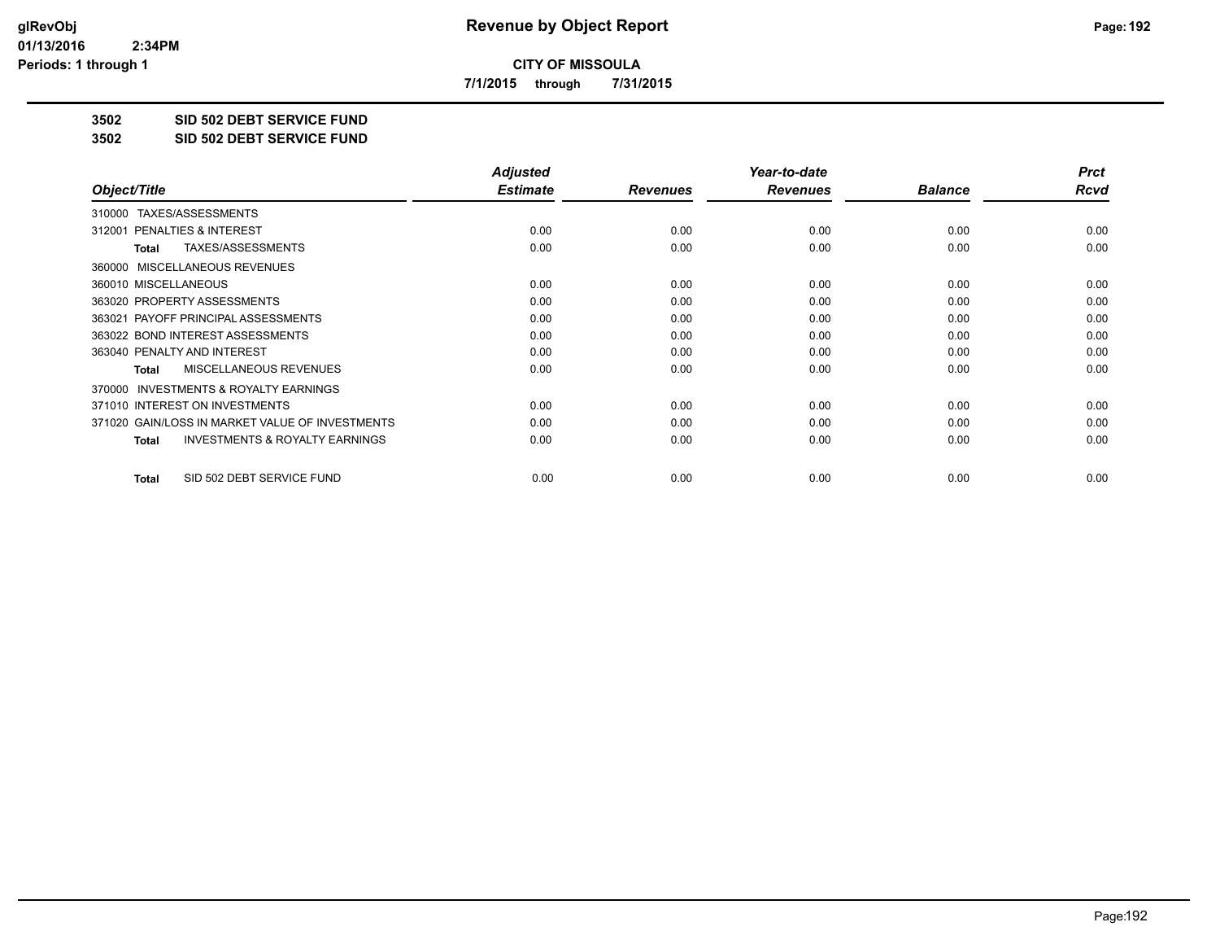**7/1/2015 through 7/31/2015**

**3502 SID 502 DEBT SERVICE FUND**

**3502 SID 502 DEBT SERVICE FUND**

|                                                           | <b>Adjusted</b> |                 | Year-to-date    |                | <b>Prct</b> |
|-----------------------------------------------------------|-----------------|-----------------|-----------------|----------------|-------------|
| Object/Title                                              | <b>Estimate</b> | <b>Revenues</b> | <b>Revenues</b> | <b>Balance</b> | Rcvd        |
| TAXES/ASSESSMENTS<br>310000                               |                 |                 |                 |                |             |
| 312001 PENALTIES & INTEREST                               | 0.00            | 0.00            | 0.00            | 0.00           | 0.00        |
| TAXES/ASSESSMENTS<br>Total                                | 0.00            | 0.00            | 0.00            | 0.00           | 0.00        |
| MISCELLANEOUS REVENUES<br>360000                          |                 |                 |                 |                |             |
| 360010 MISCELLANEOUS                                      | 0.00            | 0.00            | 0.00            | 0.00           | 0.00        |
| 363020 PROPERTY ASSESSMENTS                               | 0.00            | 0.00            | 0.00            | 0.00           | 0.00        |
| 363021 PAYOFF PRINCIPAL ASSESSMENTS                       | 0.00            | 0.00            | 0.00            | 0.00           | 0.00        |
| 363022 BOND INTEREST ASSESSMENTS                          | 0.00            | 0.00            | 0.00            | 0.00           | 0.00        |
| 363040 PENALTY AND INTEREST                               | 0.00            | 0.00            | 0.00            | 0.00           | 0.00        |
| <b>MISCELLANEOUS REVENUES</b><br><b>Total</b>             | 0.00            | 0.00            | 0.00            | 0.00           | 0.00        |
| 370000 INVESTMENTS & ROYALTY EARNINGS                     |                 |                 |                 |                |             |
| 371010 INTEREST ON INVESTMENTS                            | 0.00            | 0.00            | 0.00            | 0.00           | 0.00        |
| 371020 GAIN/LOSS IN MARKET VALUE OF INVESTMENTS           | 0.00            | 0.00            | 0.00            | 0.00           | 0.00        |
| <b>INVESTMENTS &amp; ROYALTY EARNINGS</b><br><b>Total</b> | 0.00            | 0.00            | 0.00            | 0.00           | 0.00        |
| SID 502 DEBT SERVICE FUND<br><b>Total</b>                 | 0.00            | 0.00            | 0.00            | 0.00           | 0.00        |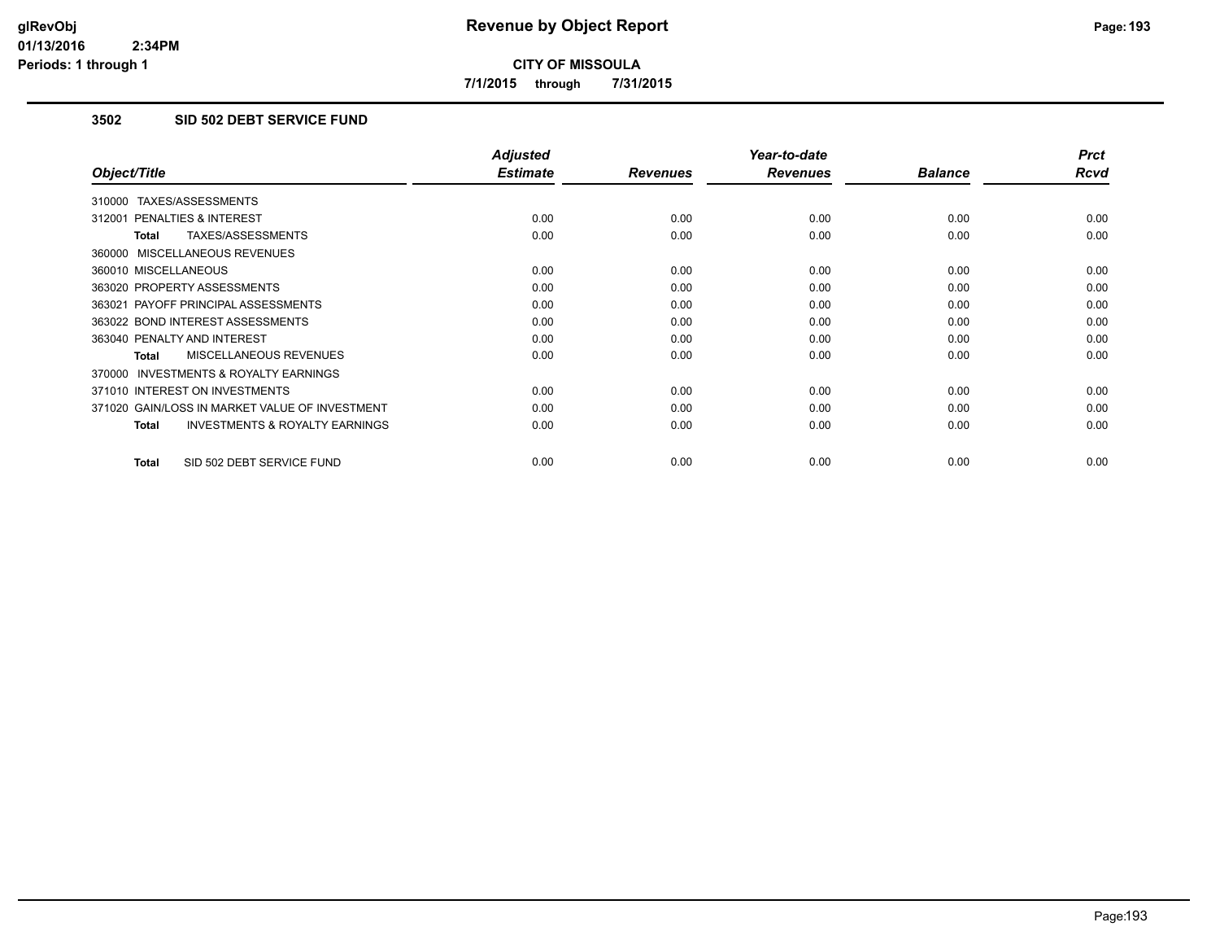**7/1/2015 through 7/31/2015**

# **3502 SID 502 DEBT SERVICE FUND**

|                                                           | <b>Adjusted</b> |                 | Year-to-date    |                | <b>Prct</b> |
|-----------------------------------------------------------|-----------------|-----------------|-----------------|----------------|-------------|
| Object/Title                                              | <b>Estimate</b> | <b>Revenues</b> | <b>Revenues</b> | <b>Balance</b> | <b>Rcvd</b> |
| 310000 TAXES/ASSESSMENTS                                  |                 |                 |                 |                |             |
| 312001 PENALTIES & INTEREST                               | 0.00            | 0.00            | 0.00            | 0.00           | 0.00        |
| TAXES/ASSESSMENTS<br><b>Total</b>                         | 0.00            | 0.00            | 0.00            | 0.00           | 0.00        |
| 360000 MISCELLANEOUS REVENUES                             |                 |                 |                 |                |             |
| 360010 MISCELLANEOUS                                      | 0.00            | 0.00            | 0.00            | 0.00           | 0.00        |
| 363020 PROPERTY ASSESSMENTS                               | 0.00            | 0.00            | 0.00            | 0.00           | 0.00        |
| 363021 PAYOFF PRINCIPAL ASSESSMENTS                       | 0.00            | 0.00            | 0.00            | 0.00           | 0.00        |
| 363022 BOND INTEREST ASSESSMENTS                          | 0.00            | 0.00            | 0.00            | 0.00           | 0.00        |
| 363040 PENALTY AND INTEREST                               | 0.00            | 0.00            | 0.00            | 0.00           | 0.00        |
| MISCELLANEOUS REVENUES<br>Total                           | 0.00            | 0.00            | 0.00            | 0.00           | 0.00        |
| <b>INVESTMENTS &amp; ROYALTY EARNINGS</b><br>370000       |                 |                 |                 |                |             |
| 371010 INTEREST ON INVESTMENTS                            | 0.00            | 0.00            | 0.00            | 0.00           | 0.00        |
| 371020 GAIN/LOSS IN MARKET VALUE OF INVESTMENT            | 0.00            | 0.00            | 0.00            | 0.00           | 0.00        |
| <b>INVESTMENTS &amp; ROYALTY EARNINGS</b><br><b>Total</b> | 0.00            | 0.00            | 0.00            | 0.00           | 0.00        |
|                                                           |                 |                 |                 |                |             |
| SID 502 DEBT SERVICE FUND<br><b>Total</b>                 | 0.00            | 0.00            | 0.00            | 0.00           | 0.00        |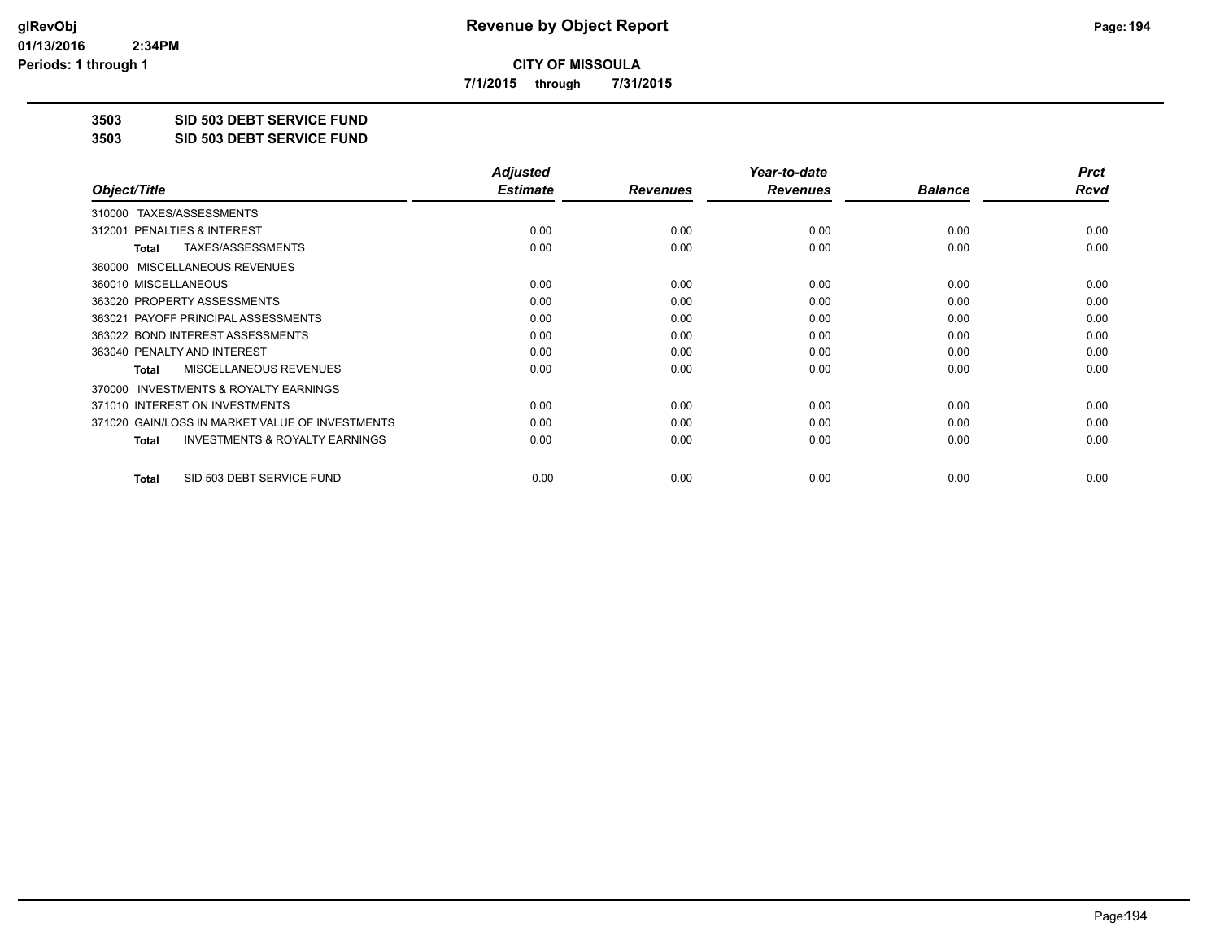**7/1/2015 through 7/31/2015**

**3503 SID 503 DEBT SERVICE FUND**

**3503 SID 503 DEBT SERVICE FUND**

|                                                           | <b>Adjusted</b> |                 | Year-to-date    |                | <b>Prct</b> |
|-----------------------------------------------------------|-----------------|-----------------|-----------------|----------------|-------------|
| Object/Title                                              | <b>Estimate</b> | <b>Revenues</b> | <b>Revenues</b> | <b>Balance</b> | Rcvd        |
| TAXES/ASSESSMENTS<br>310000                               |                 |                 |                 |                |             |
| 312001 PENALTIES & INTEREST                               | 0.00            | 0.00            | 0.00            | 0.00           | 0.00        |
| TAXES/ASSESSMENTS<br>Total                                | 0.00            | 0.00            | 0.00            | 0.00           | 0.00        |
| MISCELLANEOUS REVENUES<br>360000                          |                 |                 |                 |                |             |
| 360010 MISCELLANEOUS                                      | 0.00            | 0.00            | 0.00            | 0.00           | 0.00        |
| 363020 PROPERTY ASSESSMENTS                               | 0.00            | 0.00            | 0.00            | 0.00           | 0.00        |
| 363021 PAYOFF PRINCIPAL ASSESSMENTS                       | 0.00            | 0.00            | 0.00            | 0.00           | 0.00        |
| 363022 BOND INTEREST ASSESSMENTS                          | 0.00            | 0.00            | 0.00            | 0.00           | 0.00        |
| 363040 PENALTY AND INTEREST                               | 0.00            | 0.00            | 0.00            | 0.00           | 0.00        |
| <b>MISCELLANEOUS REVENUES</b><br>Total                    | 0.00            | 0.00            | 0.00            | 0.00           | 0.00        |
| <b>INVESTMENTS &amp; ROYALTY EARNINGS</b><br>370000       |                 |                 |                 |                |             |
| 371010 INTEREST ON INVESTMENTS                            | 0.00            | 0.00            | 0.00            | 0.00           | 0.00        |
| 371020 GAIN/LOSS IN MARKET VALUE OF INVESTMENTS           | 0.00            | 0.00            | 0.00            | 0.00           | 0.00        |
| <b>INVESTMENTS &amp; ROYALTY EARNINGS</b><br><b>Total</b> | 0.00            | 0.00            | 0.00            | 0.00           | 0.00        |
| SID 503 DEBT SERVICE FUND<br>Total                        | 0.00            | 0.00            | 0.00            | 0.00           | 0.00        |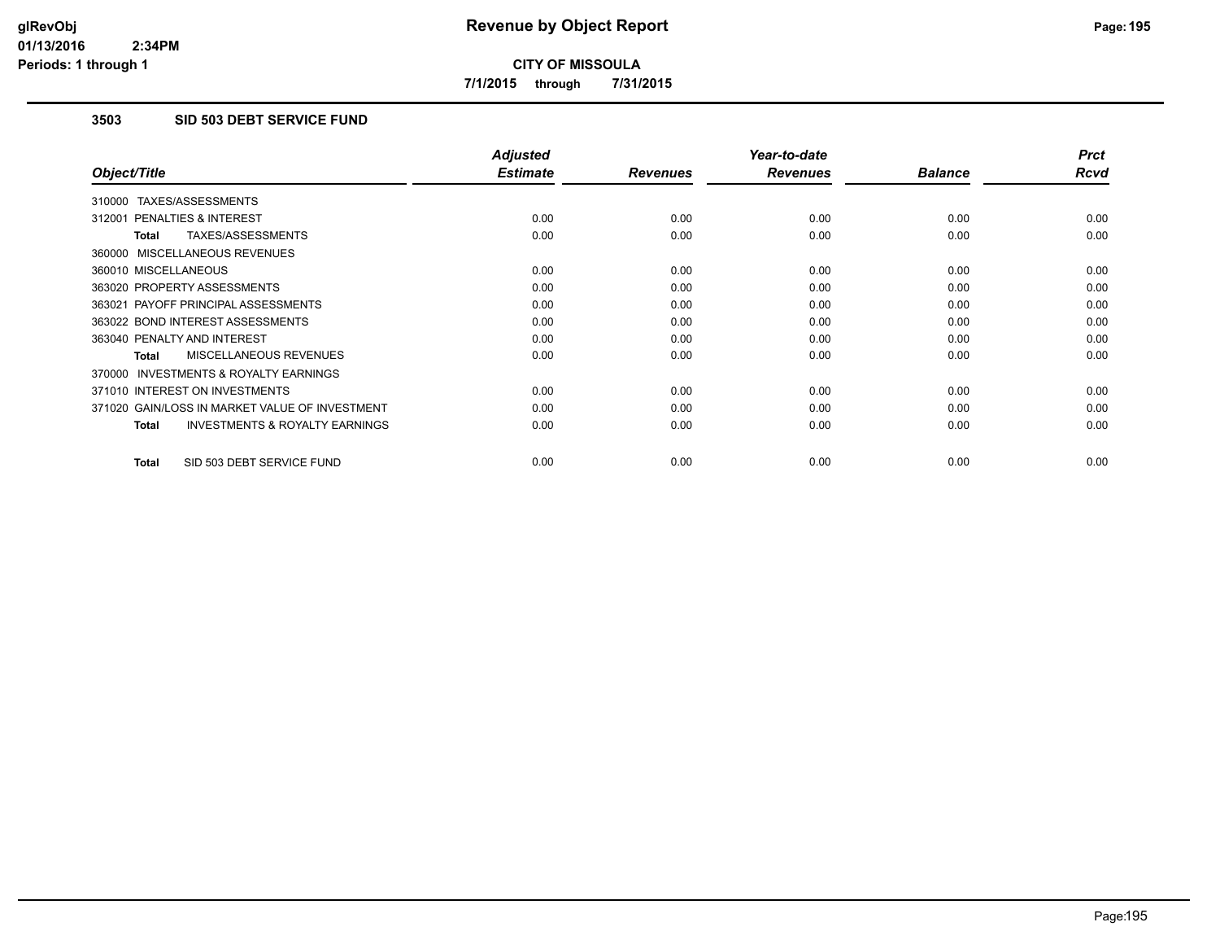**7/1/2015 through 7/31/2015**

# **3503 SID 503 DEBT SERVICE FUND**

|                                                           | <b>Adjusted</b> |                 | Year-to-date    |                | <b>Prct</b> |
|-----------------------------------------------------------|-----------------|-----------------|-----------------|----------------|-------------|
| Object/Title                                              | <b>Estimate</b> | <b>Revenues</b> | <b>Revenues</b> | <b>Balance</b> | <b>Rcvd</b> |
| 310000 TAXES/ASSESSMENTS                                  |                 |                 |                 |                |             |
| 312001 PENALTIES & INTEREST                               | 0.00            | 0.00            | 0.00            | 0.00           | 0.00        |
| <b>TAXES/ASSESSMENTS</b><br><b>Total</b>                  | 0.00            | 0.00            | 0.00            | 0.00           | 0.00        |
| 360000 MISCELLANEOUS REVENUES                             |                 |                 |                 |                |             |
| 360010 MISCELLANEOUS                                      | 0.00            | 0.00            | 0.00            | 0.00           | 0.00        |
| 363020 PROPERTY ASSESSMENTS                               | 0.00            | 0.00            | 0.00            | 0.00           | 0.00        |
| 363021 PAYOFF PRINCIPAL ASSESSMENTS                       | 0.00            | 0.00            | 0.00            | 0.00           | 0.00        |
| 363022 BOND INTEREST ASSESSMENTS                          | 0.00            | 0.00            | 0.00            | 0.00           | 0.00        |
| 363040 PENALTY AND INTEREST                               | 0.00            | 0.00            | 0.00            | 0.00           | 0.00        |
| MISCELLANEOUS REVENUES<br><b>Total</b>                    | 0.00            | 0.00            | 0.00            | 0.00           | 0.00        |
| <b>INVESTMENTS &amp; ROYALTY EARNINGS</b><br>370000       |                 |                 |                 |                |             |
| 371010 INTEREST ON INVESTMENTS                            | 0.00            | 0.00            | 0.00            | 0.00           | 0.00        |
| 371020 GAIN/LOSS IN MARKET VALUE OF INVESTMENT            | 0.00            | 0.00            | 0.00            | 0.00           | 0.00        |
| <b>INVESTMENTS &amp; ROYALTY EARNINGS</b><br><b>Total</b> | 0.00            | 0.00            | 0.00            | 0.00           | 0.00        |
| SID 503 DEBT SERVICE FUND<br><b>Total</b>                 | 0.00            | 0.00            | 0.00            | 0.00           | 0.00        |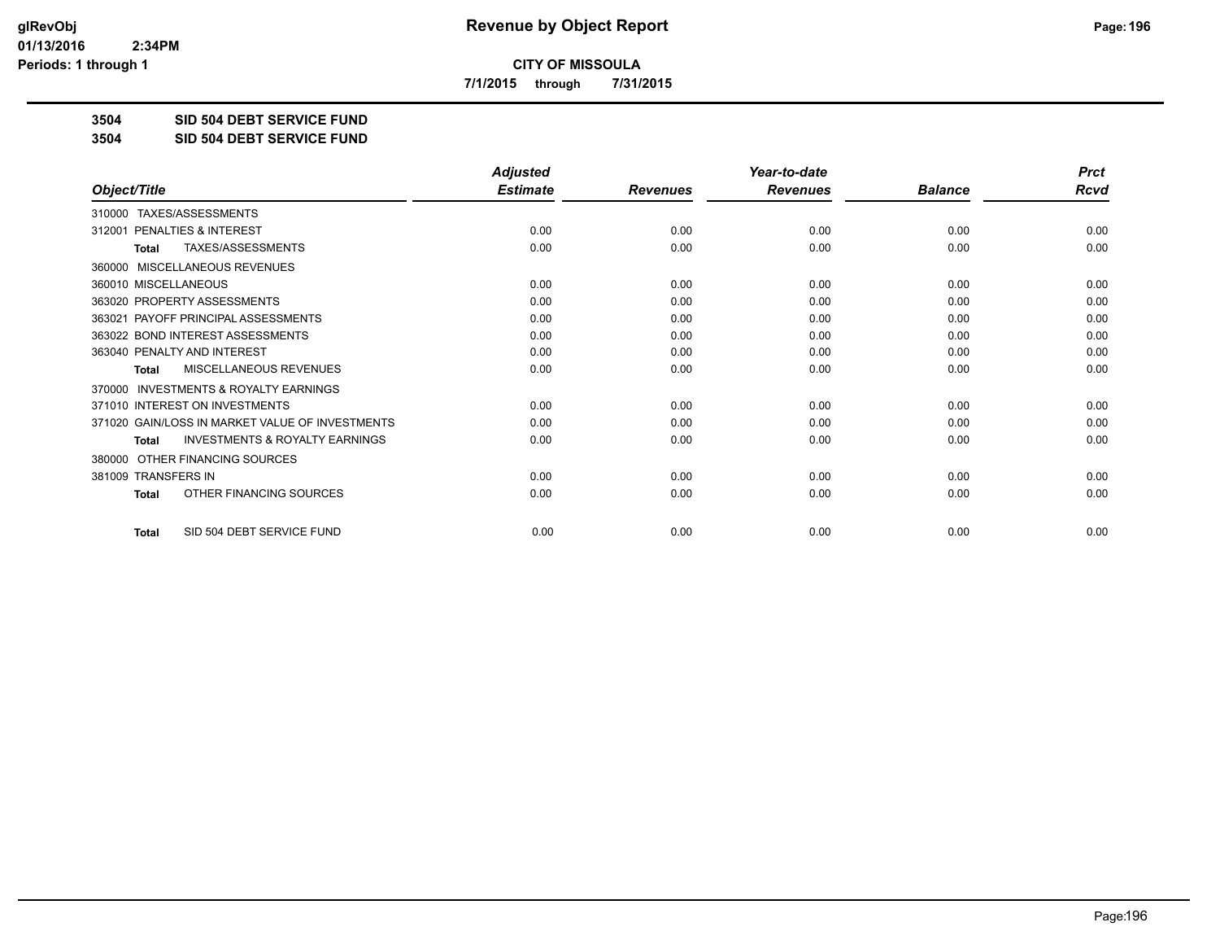**7/1/2015 through 7/31/2015**

**3504 SID 504 DEBT SERVICE FUND**

**3504 SID 504 DEBT SERVICE FUND**

|                                                           | <b>Adjusted</b> |                 | Year-to-date    |                | <b>Prct</b> |
|-----------------------------------------------------------|-----------------|-----------------|-----------------|----------------|-------------|
| Object/Title                                              | <b>Estimate</b> | <b>Revenues</b> | <b>Revenues</b> | <b>Balance</b> | <b>Rcvd</b> |
| TAXES/ASSESSMENTS<br>310000                               |                 |                 |                 |                |             |
| 312001 PENALTIES & INTEREST                               | 0.00            | 0.00            | 0.00            | 0.00           | 0.00        |
| TAXES/ASSESSMENTS<br><b>Total</b>                         | 0.00            | 0.00            | 0.00            | 0.00           | 0.00        |
| MISCELLANEOUS REVENUES<br>360000                          |                 |                 |                 |                |             |
| 360010 MISCELLANEOUS                                      | 0.00            | 0.00            | 0.00            | 0.00           | 0.00        |
| 363020 PROPERTY ASSESSMENTS                               | 0.00            | 0.00            | 0.00            | 0.00           | 0.00        |
| 363021 PAYOFF PRINCIPAL ASSESSMENTS                       | 0.00            | 0.00            | 0.00            | 0.00           | 0.00        |
| 363022 BOND INTEREST ASSESSMENTS                          | 0.00            | 0.00            | 0.00            | 0.00           | 0.00        |
| 363040 PENALTY AND INTEREST                               | 0.00            | 0.00            | 0.00            | 0.00           | 0.00        |
| MISCELLANEOUS REVENUES<br><b>Total</b>                    | 0.00            | 0.00            | 0.00            | 0.00           | 0.00        |
| <b>INVESTMENTS &amp; ROYALTY EARNINGS</b><br>370000       |                 |                 |                 |                |             |
| 371010 INTEREST ON INVESTMENTS                            | 0.00            | 0.00            | 0.00            | 0.00           | 0.00        |
| 371020 GAIN/LOSS IN MARKET VALUE OF INVESTMENTS           | 0.00            | 0.00            | 0.00            | 0.00           | 0.00        |
| <b>INVESTMENTS &amp; ROYALTY EARNINGS</b><br><b>Total</b> | 0.00            | 0.00            | 0.00            | 0.00           | 0.00        |
| OTHER FINANCING SOURCES<br>380000                         |                 |                 |                 |                |             |
| 381009 TRANSFERS IN                                       | 0.00            | 0.00            | 0.00            | 0.00           | 0.00        |
| OTHER FINANCING SOURCES<br><b>Total</b>                   | 0.00            | 0.00            | 0.00            | 0.00           | 0.00        |
| SID 504 DEBT SERVICE FUND<br><b>Total</b>                 | 0.00            | 0.00            | 0.00            | 0.00           | 0.00        |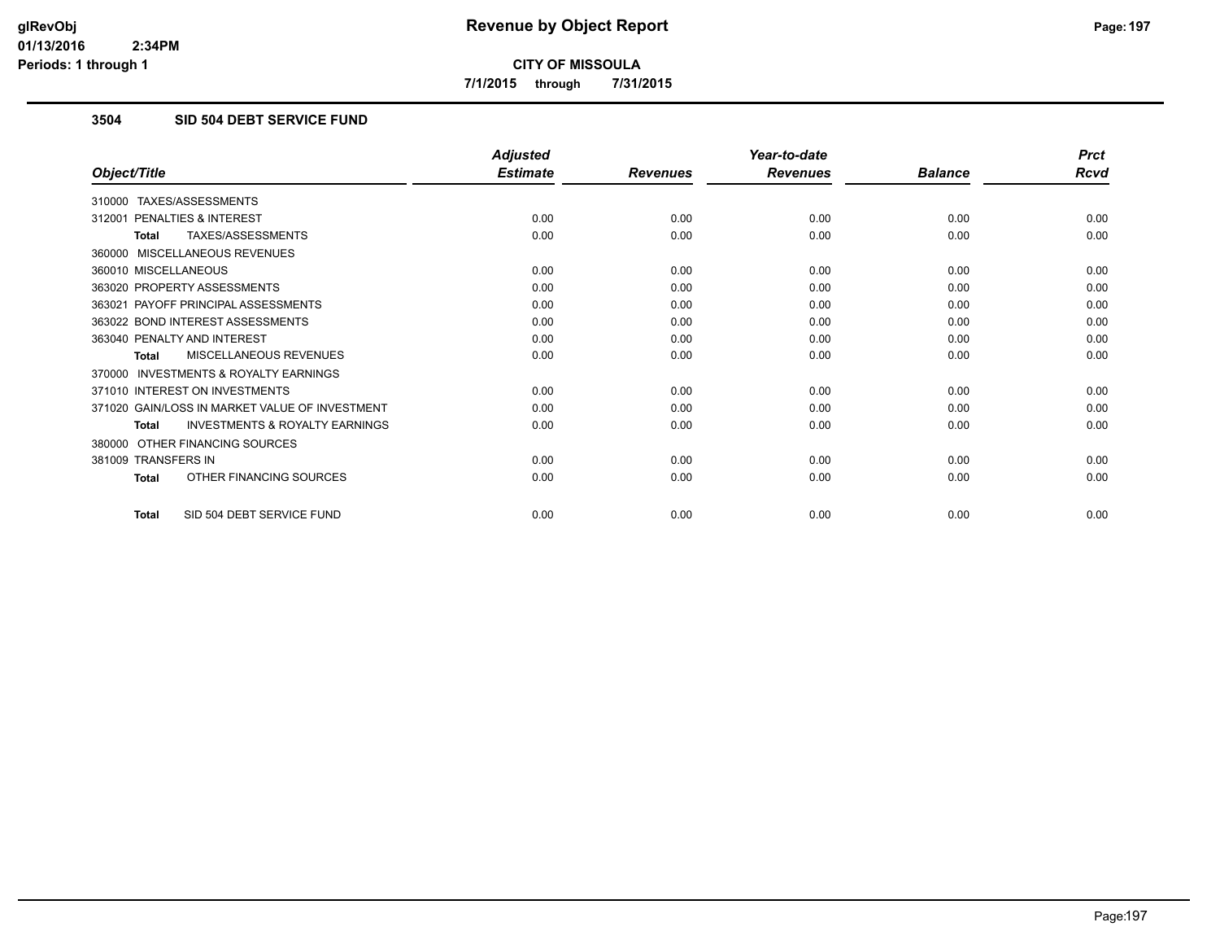**7/1/2015 through 7/31/2015**

# **3504 SID 504 DEBT SERVICE FUND**

|                                                           | <b>Adjusted</b> |                 | Year-to-date    |                | <b>Prct</b> |
|-----------------------------------------------------------|-----------------|-----------------|-----------------|----------------|-------------|
| Object/Title                                              | <b>Estimate</b> | <b>Revenues</b> | <b>Revenues</b> | <b>Balance</b> | <b>Rcvd</b> |
| 310000 TAXES/ASSESSMENTS                                  |                 |                 |                 |                |             |
| 312001 PENALTIES & INTEREST                               | 0.00            | 0.00            | 0.00            | 0.00           | 0.00        |
| TAXES/ASSESSMENTS<br><b>Total</b>                         | 0.00            | 0.00            | 0.00            | 0.00           | 0.00        |
| 360000 MISCELLANEOUS REVENUES                             |                 |                 |                 |                |             |
| 360010 MISCELLANEOUS                                      | 0.00            | 0.00            | 0.00            | 0.00           | 0.00        |
| 363020 PROPERTY ASSESSMENTS                               | 0.00            | 0.00            | 0.00            | 0.00           | 0.00        |
| 363021 PAYOFF PRINCIPAL ASSESSMENTS                       | 0.00            | 0.00            | 0.00            | 0.00           | 0.00        |
| 363022 BOND INTEREST ASSESSMENTS                          | 0.00            | 0.00            | 0.00            | 0.00           | 0.00        |
| 363040 PENALTY AND INTEREST                               | 0.00            | 0.00            | 0.00            | 0.00           | 0.00        |
| MISCELLANEOUS REVENUES<br>Total                           | 0.00            | 0.00            | 0.00            | 0.00           | 0.00        |
| 370000 INVESTMENTS & ROYALTY EARNINGS                     |                 |                 |                 |                |             |
| 371010 INTEREST ON INVESTMENTS                            | 0.00            | 0.00            | 0.00            | 0.00           | 0.00        |
| 371020 GAIN/LOSS IN MARKET VALUE OF INVESTMENT            | 0.00            | 0.00            | 0.00            | 0.00           | 0.00        |
| <b>INVESTMENTS &amp; ROYALTY EARNINGS</b><br><b>Total</b> | 0.00            | 0.00            | 0.00            | 0.00           | 0.00        |
| 380000 OTHER FINANCING SOURCES                            |                 |                 |                 |                |             |
| 381009 TRANSFERS IN                                       | 0.00            | 0.00            | 0.00            | 0.00           | 0.00        |
| OTHER FINANCING SOURCES<br><b>Total</b>                   | 0.00            | 0.00            | 0.00            | 0.00           | 0.00        |
| SID 504 DEBT SERVICE FUND<br><b>Total</b>                 | 0.00            | 0.00            | 0.00            | 0.00           | 0.00        |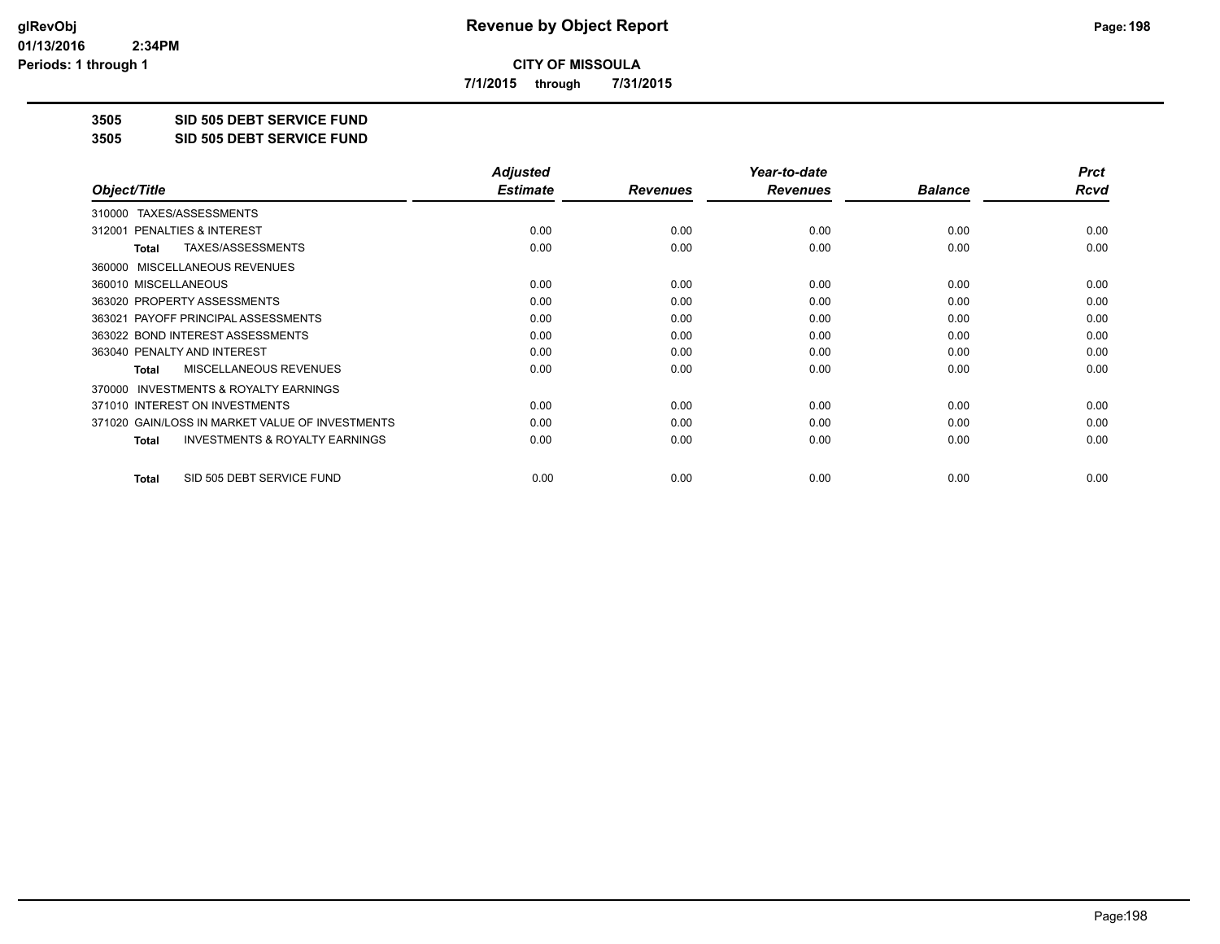**7/1/2015 through 7/31/2015**

**3505 SID 505 DEBT SERVICE FUND**

**3505 SID 505 DEBT SERVICE FUND**

|                                                           | <b>Adjusted</b> |                 | Year-to-date    |                | <b>Prct</b> |
|-----------------------------------------------------------|-----------------|-----------------|-----------------|----------------|-------------|
| Object/Title                                              | <b>Estimate</b> | <b>Revenues</b> | <b>Revenues</b> | <b>Balance</b> | Rcvd        |
| TAXES/ASSESSMENTS<br>310000                               |                 |                 |                 |                |             |
| 312001 PENALTIES & INTEREST                               | 0.00            | 0.00            | 0.00            | 0.00           | 0.00        |
| TAXES/ASSESSMENTS<br>Total                                | 0.00            | 0.00            | 0.00            | 0.00           | 0.00        |
| MISCELLANEOUS REVENUES<br>360000                          |                 |                 |                 |                |             |
| 360010 MISCELLANEOUS                                      | 0.00            | 0.00            | 0.00            | 0.00           | 0.00        |
| 363020 PROPERTY ASSESSMENTS                               | 0.00            | 0.00            | 0.00            | 0.00           | 0.00        |
| 363021 PAYOFF PRINCIPAL ASSESSMENTS                       | 0.00            | 0.00            | 0.00            | 0.00           | 0.00        |
| 363022 BOND INTEREST ASSESSMENTS                          | 0.00            | 0.00            | 0.00            | 0.00           | 0.00        |
| 363040 PENALTY AND INTEREST                               | 0.00            | 0.00            | 0.00            | 0.00           | 0.00        |
| MISCELLANEOUS REVENUES<br><b>Total</b>                    | 0.00            | 0.00            | 0.00            | 0.00           | 0.00        |
| <b>INVESTMENTS &amp; ROYALTY EARNINGS</b><br>370000       |                 |                 |                 |                |             |
| 371010 INTEREST ON INVESTMENTS                            | 0.00            | 0.00            | 0.00            | 0.00           | 0.00        |
| 371020 GAIN/LOSS IN MARKET VALUE OF INVESTMENTS           | 0.00            | 0.00            | 0.00            | 0.00           | 0.00        |
| <b>INVESTMENTS &amp; ROYALTY EARNINGS</b><br><b>Total</b> | 0.00            | 0.00            | 0.00            | 0.00           | 0.00        |
| SID 505 DEBT SERVICE FUND<br>Total                        | 0.00            | 0.00            | 0.00            | 0.00           | 0.00        |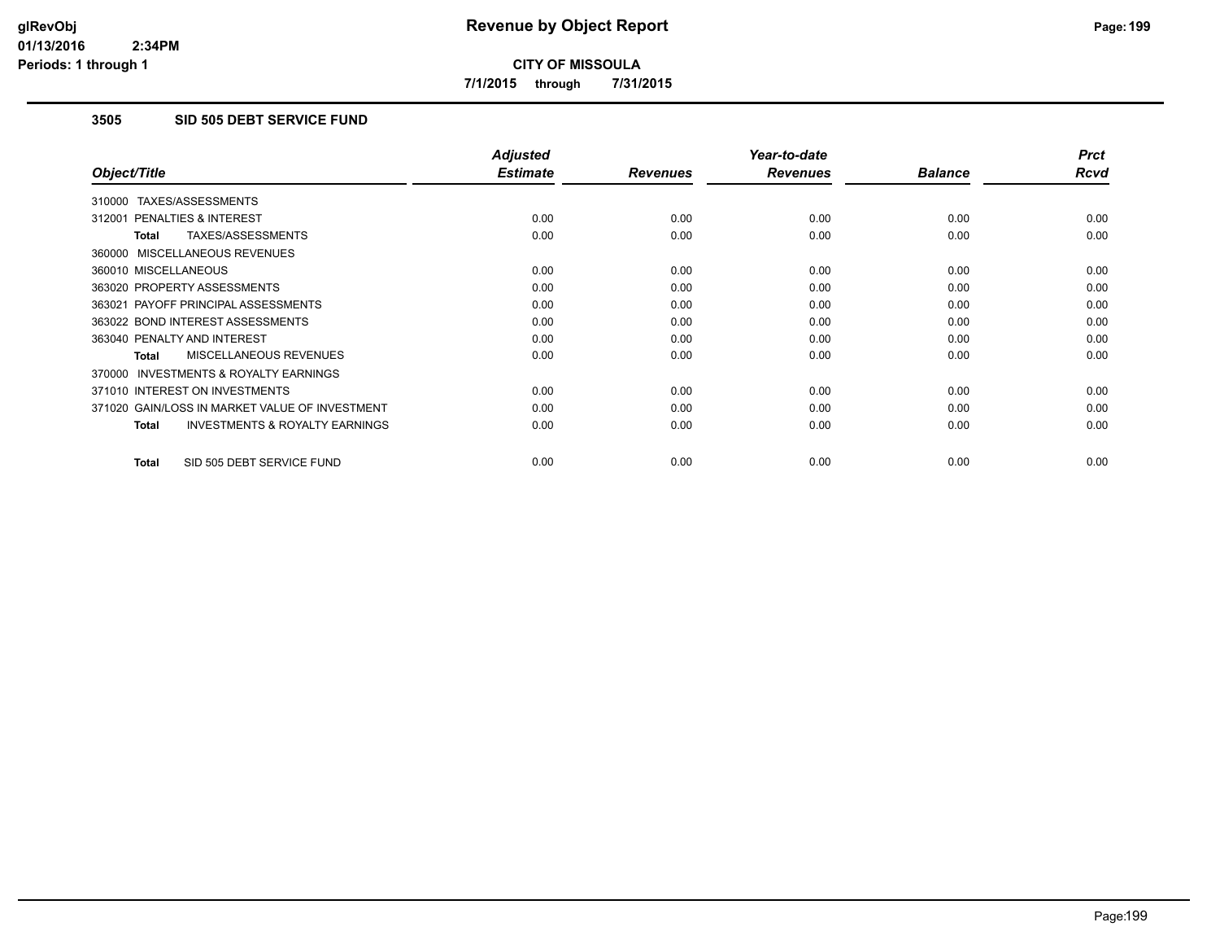**7/1/2015 through 7/31/2015**

# **3505 SID 505 DEBT SERVICE FUND**

|                                                           | <b>Adjusted</b> |                 | Year-to-date    |                | <b>Prct</b> |
|-----------------------------------------------------------|-----------------|-----------------|-----------------|----------------|-------------|
| Object/Title                                              | <b>Estimate</b> | <b>Revenues</b> | <b>Revenues</b> | <b>Balance</b> | <b>Rcvd</b> |
| 310000 TAXES/ASSESSMENTS                                  |                 |                 |                 |                |             |
| 312001 PENALTIES & INTEREST                               | 0.00            | 0.00            | 0.00            | 0.00           | 0.00        |
| <b>TAXES/ASSESSMENTS</b><br><b>Total</b>                  | 0.00            | 0.00            | 0.00            | 0.00           | 0.00        |
| 360000 MISCELLANEOUS REVENUES                             |                 |                 |                 |                |             |
| 360010 MISCELLANEOUS                                      | 0.00            | 0.00            | 0.00            | 0.00           | 0.00        |
| 363020 PROPERTY ASSESSMENTS                               | 0.00            | 0.00            | 0.00            | 0.00           | 0.00        |
| 363021 PAYOFF PRINCIPAL ASSESSMENTS                       | 0.00            | 0.00            | 0.00            | 0.00           | 0.00        |
| 363022 BOND INTEREST ASSESSMENTS                          | 0.00            | 0.00            | 0.00            | 0.00           | 0.00        |
| 363040 PENALTY AND INTEREST                               | 0.00            | 0.00            | 0.00            | 0.00           | 0.00        |
| <b>MISCELLANEOUS REVENUES</b><br><b>Total</b>             | 0.00            | 0.00            | 0.00            | 0.00           | 0.00        |
| <b>INVESTMENTS &amp; ROYALTY EARNINGS</b><br>370000       |                 |                 |                 |                |             |
| 371010 INTEREST ON INVESTMENTS                            | 0.00            | 0.00            | 0.00            | 0.00           | 0.00        |
| 371020 GAIN/LOSS IN MARKET VALUE OF INVESTMENT            | 0.00            | 0.00            | 0.00            | 0.00           | 0.00        |
| <b>INVESTMENTS &amp; ROYALTY EARNINGS</b><br><b>Total</b> | 0.00            | 0.00            | 0.00            | 0.00           | 0.00        |
| SID 505 DEBT SERVICE FUND<br><b>Total</b>                 | 0.00            | 0.00            | 0.00            | 0.00           | 0.00        |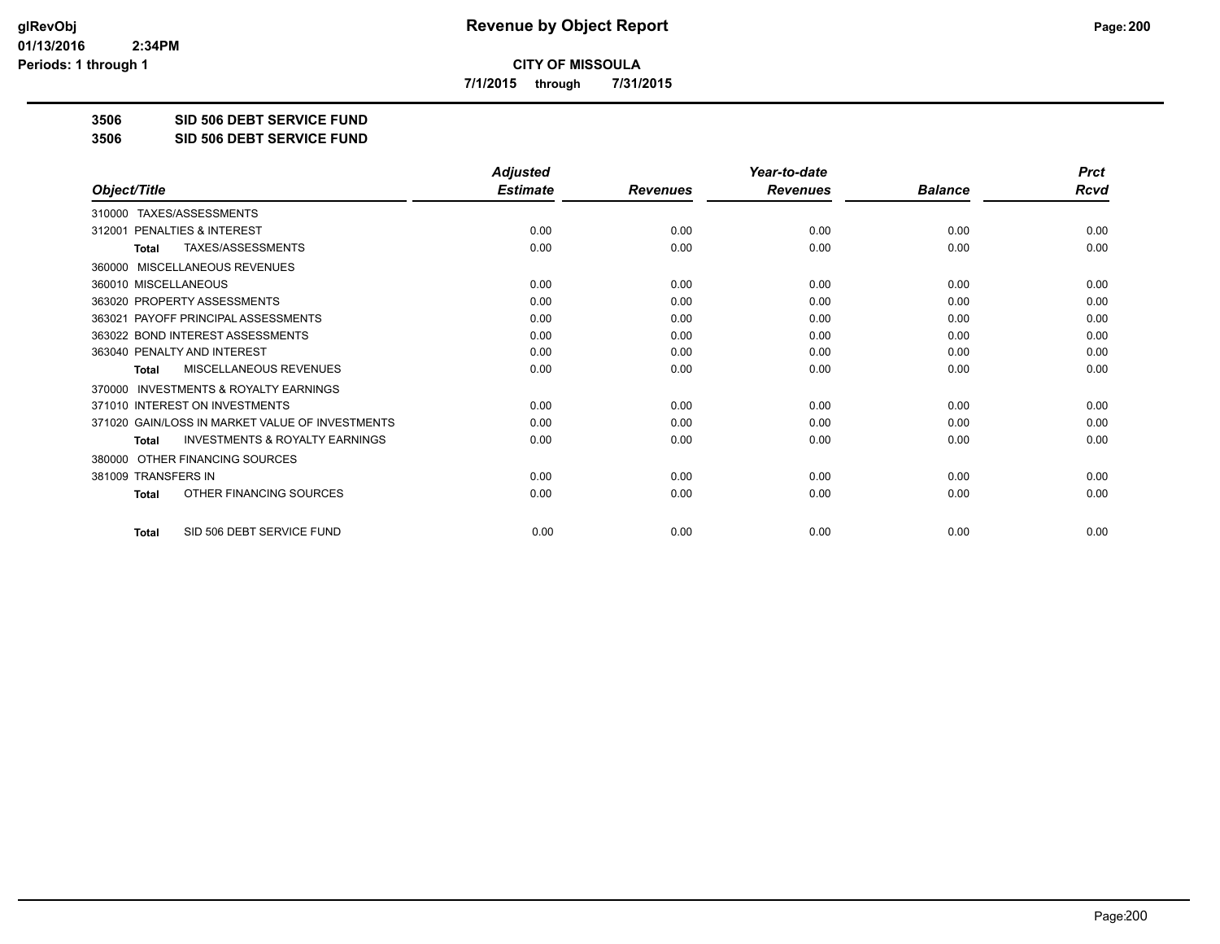**7/1/2015 through 7/31/2015**

**3506 SID 506 DEBT SERVICE FUND**

**3506 SID 506 DEBT SERVICE FUND**

|                                                           | <b>Adjusted</b> |                 | Year-to-date    |                | <b>Prct</b> |
|-----------------------------------------------------------|-----------------|-----------------|-----------------|----------------|-------------|
| Object/Title                                              | <b>Estimate</b> | <b>Revenues</b> | <b>Revenues</b> | <b>Balance</b> | <b>Rcvd</b> |
| TAXES/ASSESSMENTS<br>310000                               |                 |                 |                 |                |             |
| 312001 PENALTIES & INTEREST                               | 0.00            | 0.00            | 0.00            | 0.00           | 0.00        |
| TAXES/ASSESSMENTS<br><b>Total</b>                         | 0.00            | 0.00            | 0.00            | 0.00           | 0.00        |
| MISCELLANEOUS REVENUES<br>360000                          |                 |                 |                 |                |             |
| 360010 MISCELLANEOUS                                      | 0.00            | 0.00            | 0.00            | 0.00           | 0.00        |
| 363020 PROPERTY ASSESSMENTS                               | 0.00            | 0.00            | 0.00            | 0.00           | 0.00        |
| 363021 PAYOFF PRINCIPAL ASSESSMENTS                       | 0.00            | 0.00            | 0.00            | 0.00           | 0.00        |
| 363022 BOND INTEREST ASSESSMENTS                          | 0.00            | 0.00            | 0.00            | 0.00           | 0.00        |
| 363040 PENALTY AND INTEREST                               | 0.00            | 0.00            | 0.00            | 0.00           | 0.00        |
| <b>MISCELLANEOUS REVENUES</b><br><b>Total</b>             | 0.00            | 0.00            | 0.00            | 0.00           | 0.00        |
| <b>INVESTMENTS &amp; ROYALTY EARNINGS</b><br>370000       |                 |                 |                 |                |             |
| 371010 INTEREST ON INVESTMENTS                            | 0.00            | 0.00            | 0.00            | 0.00           | 0.00        |
| 371020 GAIN/LOSS IN MARKET VALUE OF INVESTMENTS           | 0.00            | 0.00            | 0.00            | 0.00           | 0.00        |
| <b>INVESTMENTS &amp; ROYALTY EARNINGS</b><br><b>Total</b> | 0.00            | 0.00            | 0.00            | 0.00           | 0.00        |
| OTHER FINANCING SOURCES<br>380000                         |                 |                 |                 |                |             |
| 381009 TRANSFERS IN                                       | 0.00            | 0.00            | 0.00            | 0.00           | 0.00        |
| OTHER FINANCING SOURCES<br><b>Total</b>                   | 0.00            | 0.00            | 0.00            | 0.00           | 0.00        |
| SID 506 DEBT SERVICE FUND<br><b>Total</b>                 | 0.00            | 0.00            | 0.00            | 0.00           | 0.00        |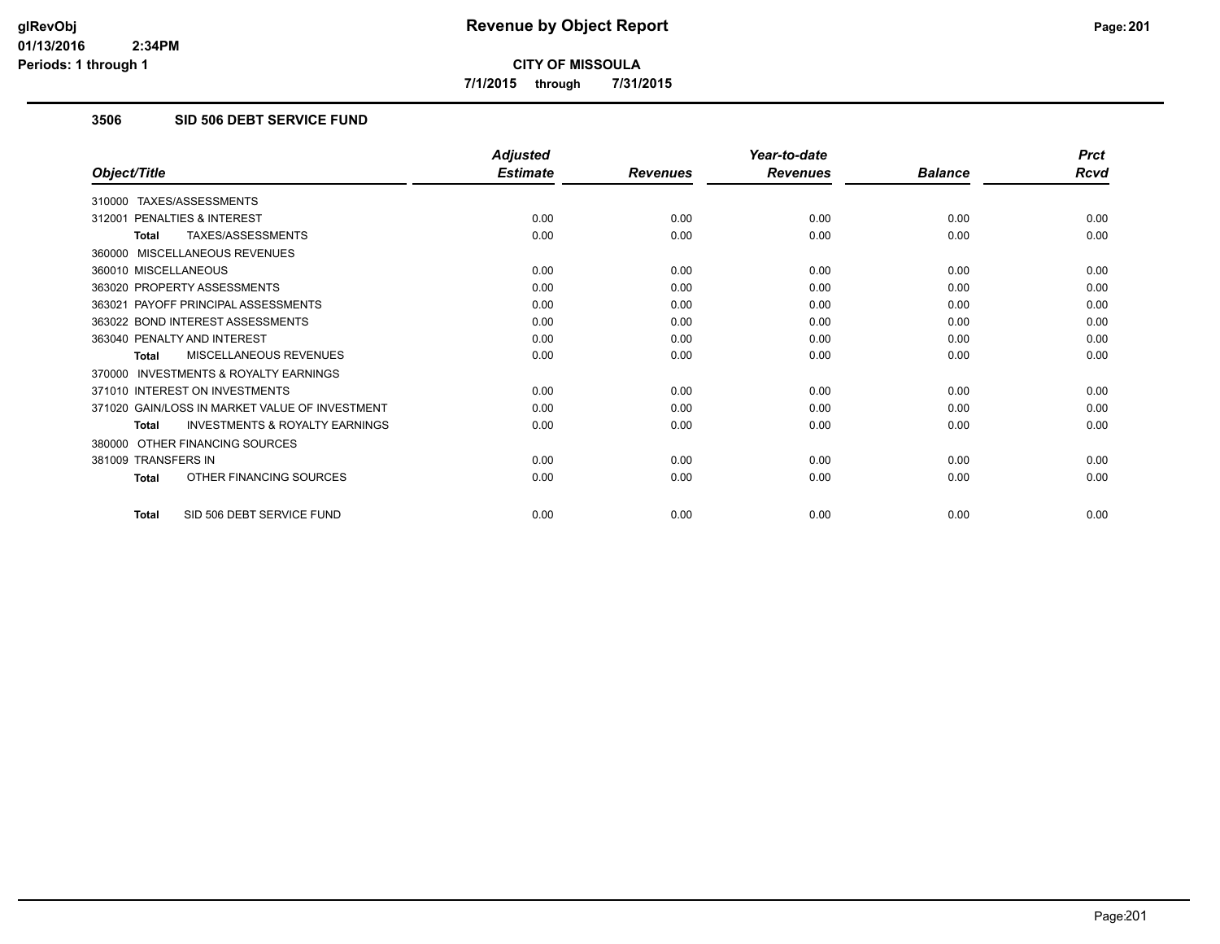**7/1/2015 through 7/31/2015**

# **3506 SID 506 DEBT SERVICE FUND**

|                                                           | <b>Adjusted</b> |                 | Year-to-date    |                | <b>Prct</b> |
|-----------------------------------------------------------|-----------------|-----------------|-----------------|----------------|-------------|
| Object/Title                                              | <b>Estimate</b> | <b>Revenues</b> | <b>Revenues</b> | <b>Balance</b> | <b>Rcvd</b> |
| 310000 TAXES/ASSESSMENTS                                  |                 |                 |                 |                |             |
| 312001 PENALTIES & INTEREST                               | 0.00            | 0.00            | 0.00            | 0.00           | 0.00        |
| TAXES/ASSESSMENTS<br><b>Total</b>                         | 0.00            | 0.00            | 0.00            | 0.00           | 0.00        |
| 360000 MISCELLANEOUS REVENUES                             |                 |                 |                 |                |             |
| 360010 MISCELLANEOUS                                      | 0.00            | 0.00            | 0.00            | 0.00           | 0.00        |
| 363020 PROPERTY ASSESSMENTS                               | 0.00            | 0.00            | 0.00            | 0.00           | 0.00        |
| 363021 PAYOFF PRINCIPAL ASSESSMENTS                       | 0.00            | 0.00            | 0.00            | 0.00           | 0.00        |
| 363022 BOND INTEREST ASSESSMENTS                          | 0.00            | 0.00            | 0.00            | 0.00           | 0.00        |
| 363040 PENALTY AND INTEREST                               | 0.00            | 0.00            | 0.00            | 0.00           | 0.00        |
| MISCELLANEOUS REVENUES<br>Total                           | 0.00            | 0.00            | 0.00            | 0.00           | 0.00        |
| 370000 INVESTMENTS & ROYALTY EARNINGS                     |                 |                 |                 |                |             |
| 371010 INTEREST ON INVESTMENTS                            | 0.00            | 0.00            | 0.00            | 0.00           | 0.00        |
| 371020 GAIN/LOSS IN MARKET VALUE OF INVESTMENT            | 0.00            | 0.00            | 0.00            | 0.00           | 0.00        |
| <b>INVESTMENTS &amp; ROYALTY EARNINGS</b><br><b>Total</b> | 0.00            | 0.00            | 0.00            | 0.00           | 0.00        |
| 380000 OTHER FINANCING SOURCES                            |                 |                 |                 |                |             |
| 381009 TRANSFERS IN                                       | 0.00            | 0.00            | 0.00            | 0.00           | 0.00        |
| OTHER FINANCING SOURCES<br><b>Total</b>                   | 0.00            | 0.00            | 0.00            | 0.00           | 0.00        |
| SID 506 DEBT SERVICE FUND<br><b>Total</b>                 | 0.00            | 0.00            | 0.00            | 0.00           | 0.00        |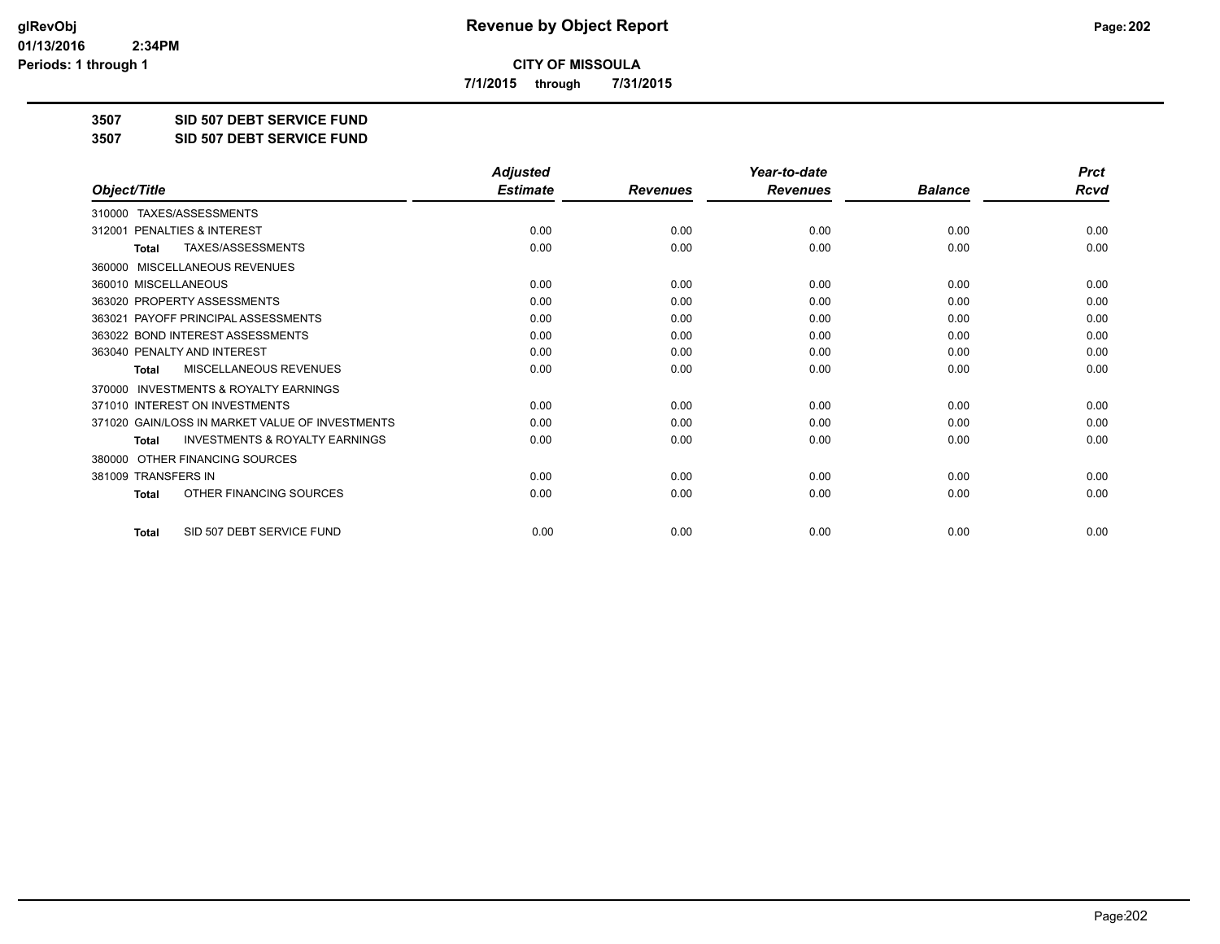**7/1/2015 through 7/31/2015**

**3507 SID 507 DEBT SERVICE FUND**

**3507 SID 507 DEBT SERVICE FUND**

|                                                           | <b>Adjusted</b> |                 | Year-to-date    |                | <b>Prct</b> |
|-----------------------------------------------------------|-----------------|-----------------|-----------------|----------------|-------------|
| Object/Title                                              | <b>Estimate</b> | <b>Revenues</b> | <b>Revenues</b> | <b>Balance</b> | <b>Rcvd</b> |
| TAXES/ASSESSMENTS<br>310000                               |                 |                 |                 |                |             |
| 312001 PENALTIES & INTEREST                               | 0.00            | 0.00            | 0.00            | 0.00           | 0.00        |
| TAXES/ASSESSMENTS<br><b>Total</b>                         | 0.00            | 0.00            | 0.00            | 0.00           | 0.00        |
| MISCELLANEOUS REVENUES<br>360000                          |                 |                 |                 |                |             |
| 360010 MISCELLANEOUS                                      | 0.00            | 0.00            | 0.00            | 0.00           | 0.00        |
| 363020 PROPERTY ASSESSMENTS                               | 0.00            | 0.00            | 0.00            | 0.00           | 0.00        |
| 363021 PAYOFF PRINCIPAL ASSESSMENTS                       | 0.00            | 0.00            | 0.00            | 0.00           | 0.00        |
| 363022 BOND INTEREST ASSESSMENTS                          | 0.00            | 0.00            | 0.00            | 0.00           | 0.00        |
| 363040 PENALTY AND INTEREST                               | 0.00            | 0.00            | 0.00            | 0.00           | 0.00        |
| <b>MISCELLANEOUS REVENUES</b><br><b>Total</b>             | 0.00            | 0.00            | 0.00            | 0.00           | 0.00        |
| <b>INVESTMENTS &amp; ROYALTY EARNINGS</b><br>370000       |                 |                 |                 |                |             |
| 371010 INTEREST ON INVESTMENTS                            | 0.00            | 0.00            | 0.00            | 0.00           | 0.00        |
| 371020 GAIN/LOSS IN MARKET VALUE OF INVESTMENTS           | 0.00            | 0.00            | 0.00            | 0.00           | 0.00        |
| <b>INVESTMENTS &amp; ROYALTY EARNINGS</b><br><b>Total</b> | 0.00            | 0.00            | 0.00            | 0.00           | 0.00        |
| OTHER FINANCING SOURCES<br>380000                         |                 |                 |                 |                |             |
| 381009 TRANSFERS IN                                       | 0.00            | 0.00            | 0.00            | 0.00           | 0.00        |
| OTHER FINANCING SOURCES<br>Total                          | 0.00            | 0.00            | 0.00            | 0.00           | 0.00        |
| SID 507 DEBT SERVICE FUND<br><b>Total</b>                 | 0.00            | 0.00            | 0.00            | 0.00           | 0.00        |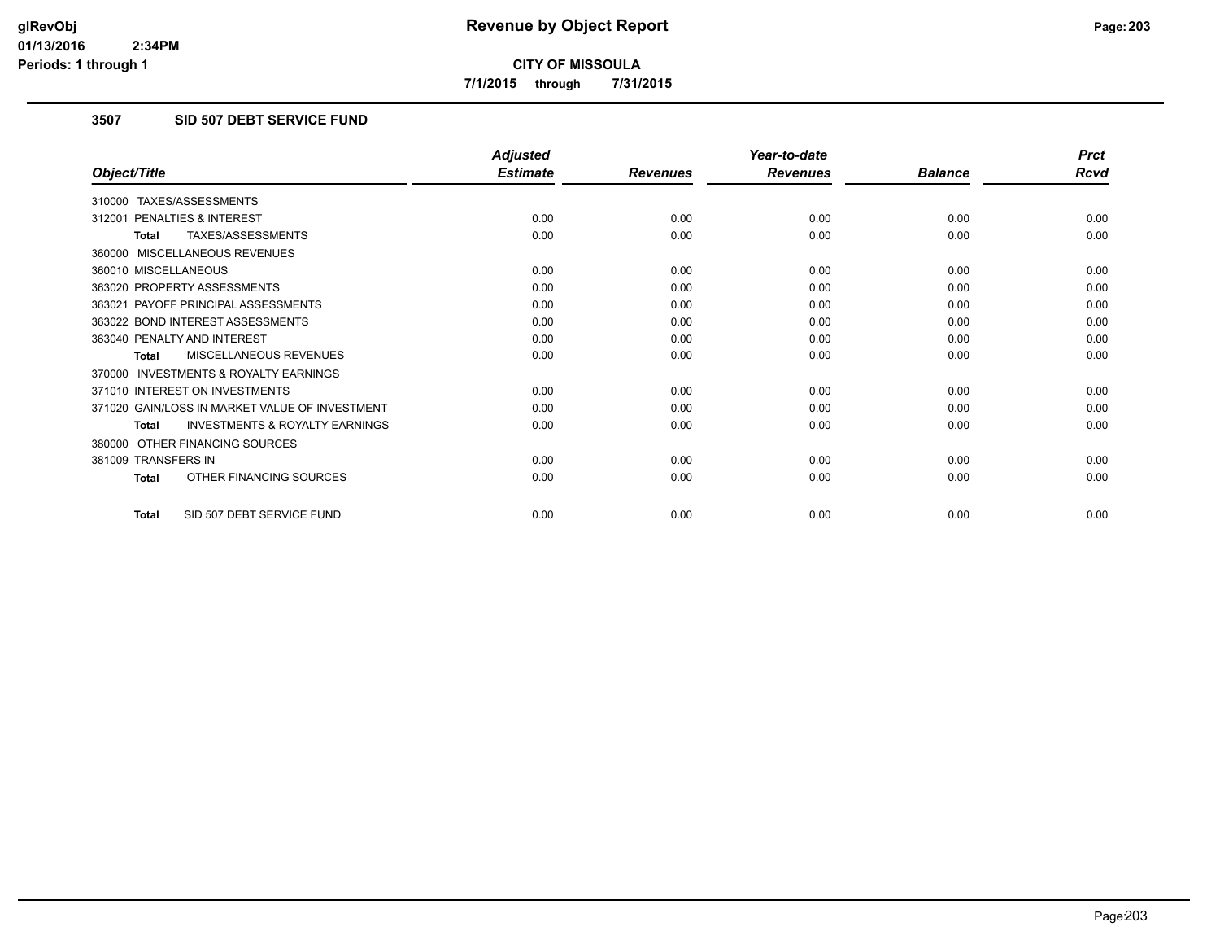**7/1/2015 through 7/31/2015**

# **3507 SID 507 DEBT SERVICE FUND**

|                                                           | <b>Adjusted</b> |                 | Year-to-date    |                | <b>Prct</b> |
|-----------------------------------------------------------|-----------------|-----------------|-----------------|----------------|-------------|
| Object/Title                                              | <b>Estimate</b> | <b>Revenues</b> | <b>Revenues</b> | <b>Balance</b> | <b>Rcvd</b> |
| 310000 TAXES/ASSESSMENTS                                  |                 |                 |                 |                |             |
| 312001 PENALTIES & INTEREST                               | 0.00            | 0.00            | 0.00            | 0.00           | 0.00        |
| TAXES/ASSESSMENTS<br><b>Total</b>                         | 0.00            | 0.00            | 0.00            | 0.00           | 0.00        |
| 360000 MISCELLANEOUS REVENUES                             |                 |                 |                 |                |             |
| 360010 MISCELLANEOUS                                      | 0.00            | 0.00            | 0.00            | 0.00           | 0.00        |
| 363020 PROPERTY ASSESSMENTS                               | 0.00            | 0.00            | 0.00            | 0.00           | 0.00        |
| 363021 PAYOFF PRINCIPAL ASSESSMENTS                       | 0.00            | 0.00            | 0.00            | 0.00           | 0.00        |
| 363022 BOND INTEREST ASSESSMENTS                          | 0.00            | 0.00            | 0.00            | 0.00           | 0.00        |
| 363040 PENALTY AND INTEREST                               | 0.00            | 0.00            | 0.00            | 0.00           | 0.00        |
| MISCELLANEOUS REVENUES<br><b>Total</b>                    | 0.00            | 0.00            | 0.00            | 0.00           | 0.00        |
| <b>INVESTMENTS &amp; ROYALTY EARNINGS</b><br>370000       |                 |                 |                 |                |             |
| 371010 INTEREST ON INVESTMENTS                            | 0.00            | 0.00            | 0.00            | 0.00           | 0.00        |
| 371020 GAIN/LOSS IN MARKET VALUE OF INVESTMENT            | 0.00            | 0.00            | 0.00            | 0.00           | 0.00        |
| <b>INVESTMENTS &amp; ROYALTY EARNINGS</b><br><b>Total</b> | 0.00            | 0.00            | 0.00            | 0.00           | 0.00        |
| OTHER FINANCING SOURCES<br>380000                         |                 |                 |                 |                |             |
| 381009 TRANSFERS IN                                       | 0.00            | 0.00            | 0.00            | 0.00           | 0.00        |
| OTHER FINANCING SOURCES<br><b>Total</b>                   | 0.00            | 0.00            | 0.00            | 0.00           | 0.00        |
| SID 507 DEBT SERVICE FUND<br><b>Total</b>                 | 0.00            | 0.00            | 0.00            | 0.00           | 0.00        |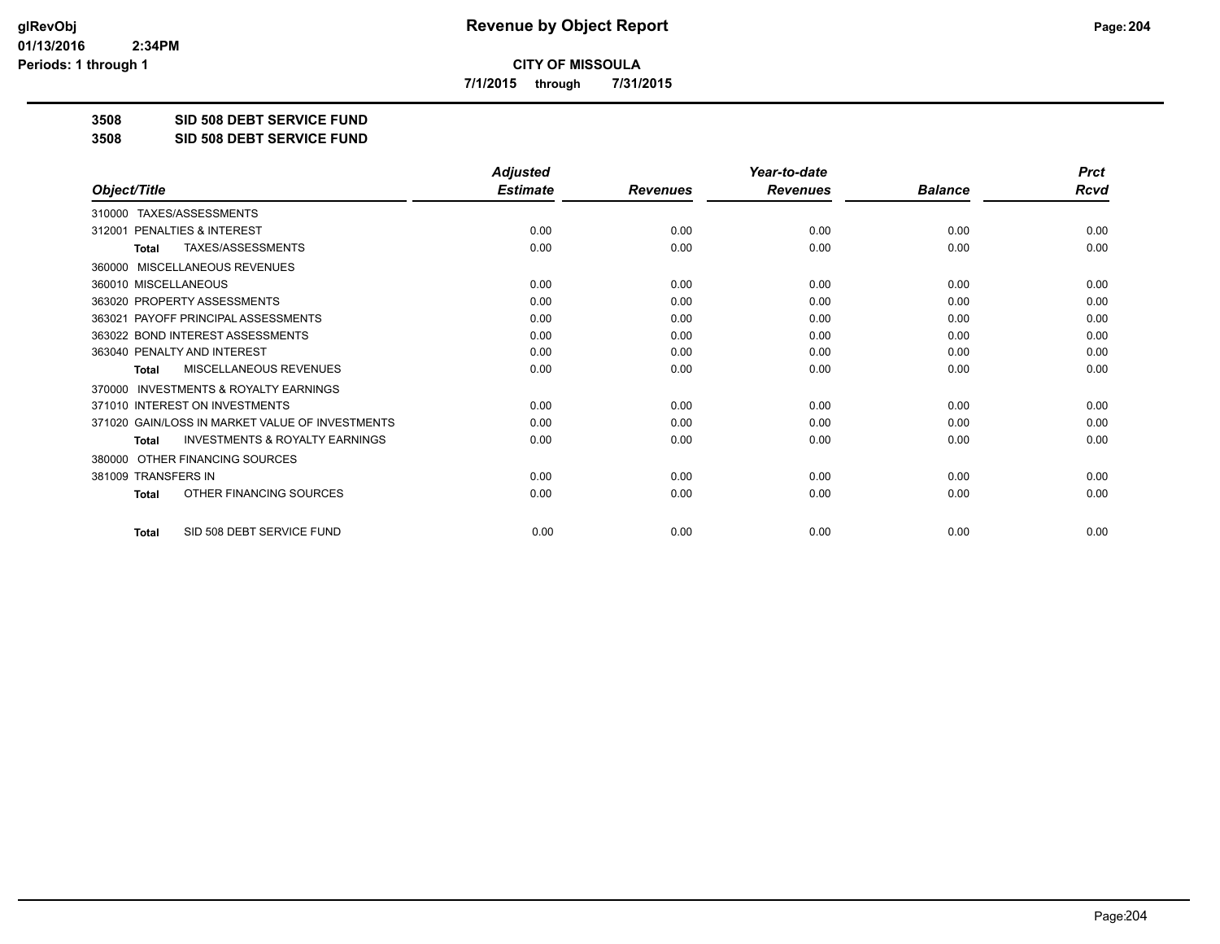**7/1/2015 through 7/31/2015**

**3508 SID 508 DEBT SERVICE FUND**

**3508 SID 508 DEBT SERVICE FUND**

|                                                           | <b>Adjusted</b> |                 | Year-to-date    |                | <b>Prct</b> |
|-----------------------------------------------------------|-----------------|-----------------|-----------------|----------------|-------------|
| Object/Title                                              | <b>Estimate</b> | <b>Revenues</b> | <b>Revenues</b> | <b>Balance</b> | <b>Rcvd</b> |
| TAXES/ASSESSMENTS<br>310000                               |                 |                 |                 |                |             |
| 312001 PENALTIES & INTEREST                               | 0.00            | 0.00            | 0.00            | 0.00           | 0.00        |
| TAXES/ASSESSMENTS<br><b>Total</b>                         | 0.00            | 0.00            | 0.00            | 0.00           | 0.00        |
| MISCELLANEOUS REVENUES<br>360000                          |                 |                 |                 |                |             |
| 360010 MISCELLANEOUS                                      | 0.00            | 0.00            | 0.00            | 0.00           | 0.00        |
| 363020 PROPERTY ASSESSMENTS                               | 0.00            | 0.00            | 0.00            | 0.00           | 0.00        |
| 363021 PAYOFF PRINCIPAL ASSESSMENTS                       | 0.00            | 0.00            | 0.00            | 0.00           | 0.00        |
| 363022 BOND INTEREST ASSESSMENTS                          | 0.00            | 0.00            | 0.00            | 0.00           | 0.00        |
| 363040 PENALTY AND INTEREST                               | 0.00            | 0.00            | 0.00            | 0.00           | 0.00        |
| MISCELLANEOUS REVENUES<br><b>Total</b>                    | 0.00            | 0.00            | 0.00            | 0.00           | 0.00        |
| <b>INVESTMENTS &amp; ROYALTY EARNINGS</b><br>370000       |                 |                 |                 |                |             |
| 371010 INTEREST ON INVESTMENTS                            | 0.00            | 0.00            | 0.00            | 0.00           | 0.00        |
| 371020 GAIN/LOSS IN MARKET VALUE OF INVESTMENTS           | 0.00            | 0.00            | 0.00            | 0.00           | 0.00        |
| <b>INVESTMENTS &amp; ROYALTY EARNINGS</b><br><b>Total</b> | 0.00            | 0.00            | 0.00            | 0.00           | 0.00        |
| OTHER FINANCING SOURCES<br>380000                         |                 |                 |                 |                |             |
| 381009 TRANSFERS IN                                       | 0.00            | 0.00            | 0.00            | 0.00           | 0.00        |
| OTHER FINANCING SOURCES<br><b>Total</b>                   | 0.00            | 0.00            | 0.00            | 0.00           | 0.00        |
| SID 508 DEBT SERVICE FUND<br><b>Total</b>                 | 0.00            | 0.00            | 0.00            | 0.00           | 0.00        |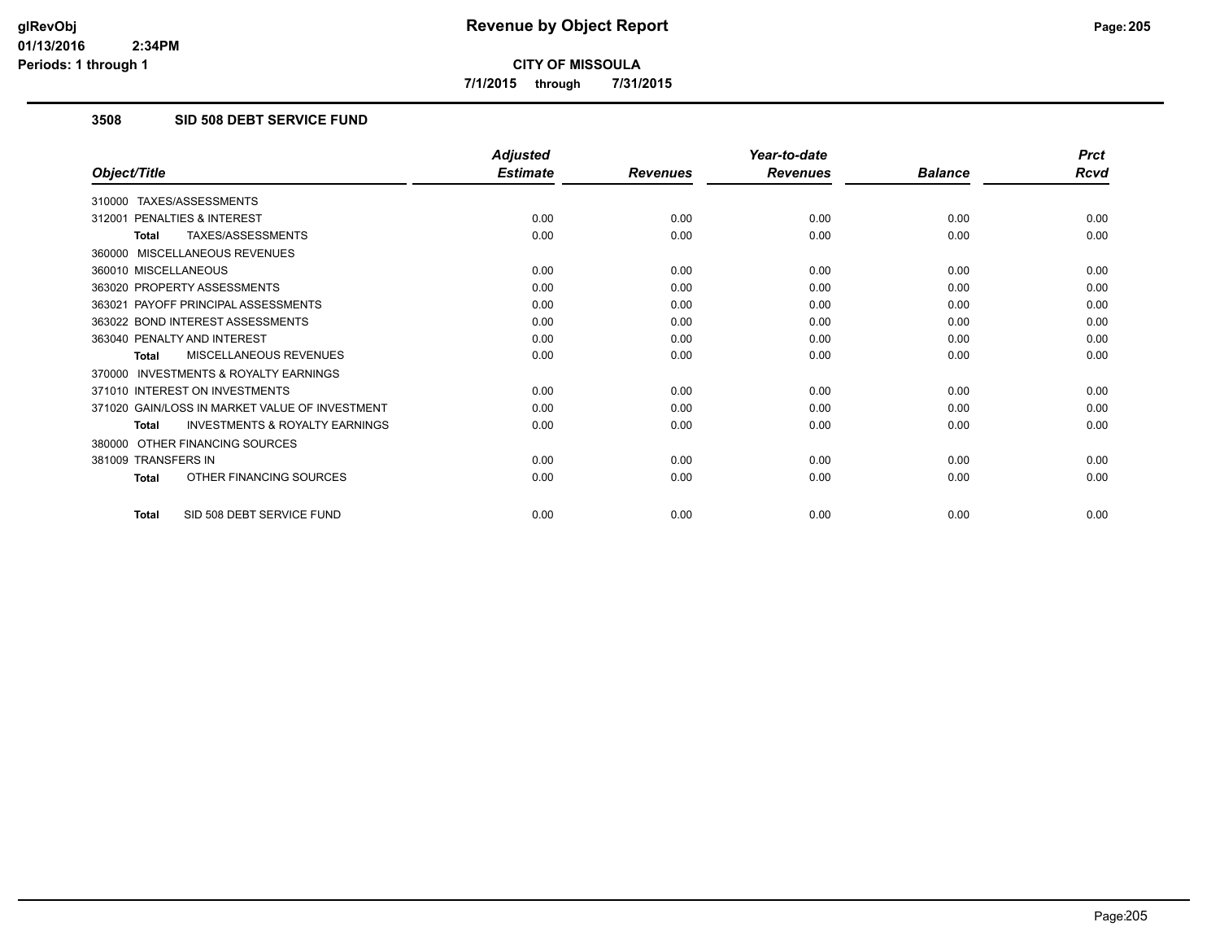**7/1/2015 through 7/31/2015**

# **3508 SID 508 DEBT SERVICE FUND**

|                                                           | <b>Adjusted</b> |                 | Year-to-date    |                | <b>Prct</b> |
|-----------------------------------------------------------|-----------------|-----------------|-----------------|----------------|-------------|
| Object/Title                                              | <b>Estimate</b> | <b>Revenues</b> | <b>Revenues</b> | <b>Balance</b> | <b>Rcvd</b> |
| 310000 TAXES/ASSESSMENTS                                  |                 |                 |                 |                |             |
| 312001 PENALTIES & INTEREST                               | 0.00            | 0.00            | 0.00            | 0.00           | 0.00        |
| TAXES/ASSESSMENTS<br><b>Total</b>                         | 0.00            | 0.00            | 0.00            | 0.00           | 0.00        |
| 360000 MISCELLANEOUS REVENUES                             |                 |                 |                 |                |             |
| 360010 MISCELLANEOUS                                      | 0.00            | 0.00            | 0.00            | 0.00           | 0.00        |
| 363020 PROPERTY ASSESSMENTS                               | 0.00            | 0.00            | 0.00            | 0.00           | 0.00        |
| 363021 PAYOFF PRINCIPAL ASSESSMENTS                       | 0.00            | 0.00            | 0.00            | 0.00           | 0.00        |
| 363022 BOND INTEREST ASSESSMENTS                          | 0.00            | 0.00            | 0.00            | 0.00           | 0.00        |
| 363040 PENALTY AND INTEREST                               | 0.00            | 0.00            | 0.00            | 0.00           | 0.00        |
| MISCELLANEOUS REVENUES<br>Total                           | 0.00            | 0.00            | 0.00            | 0.00           | 0.00        |
| 370000 INVESTMENTS & ROYALTY EARNINGS                     |                 |                 |                 |                |             |
| 371010 INTEREST ON INVESTMENTS                            | 0.00            | 0.00            | 0.00            | 0.00           | 0.00        |
| 371020 GAIN/LOSS IN MARKET VALUE OF INVESTMENT            | 0.00            | 0.00            | 0.00            | 0.00           | 0.00        |
| <b>INVESTMENTS &amp; ROYALTY EARNINGS</b><br><b>Total</b> | 0.00            | 0.00            | 0.00            | 0.00           | 0.00        |
| 380000 OTHER FINANCING SOURCES                            |                 |                 |                 |                |             |
| 381009 TRANSFERS IN                                       | 0.00            | 0.00            | 0.00            | 0.00           | 0.00        |
| OTHER FINANCING SOURCES<br><b>Total</b>                   | 0.00            | 0.00            | 0.00            | 0.00           | 0.00        |
| SID 508 DEBT SERVICE FUND<br><b>Total</b>                 | 0.00            | 0.00            | 0.00            | 0.00           | 0.00        |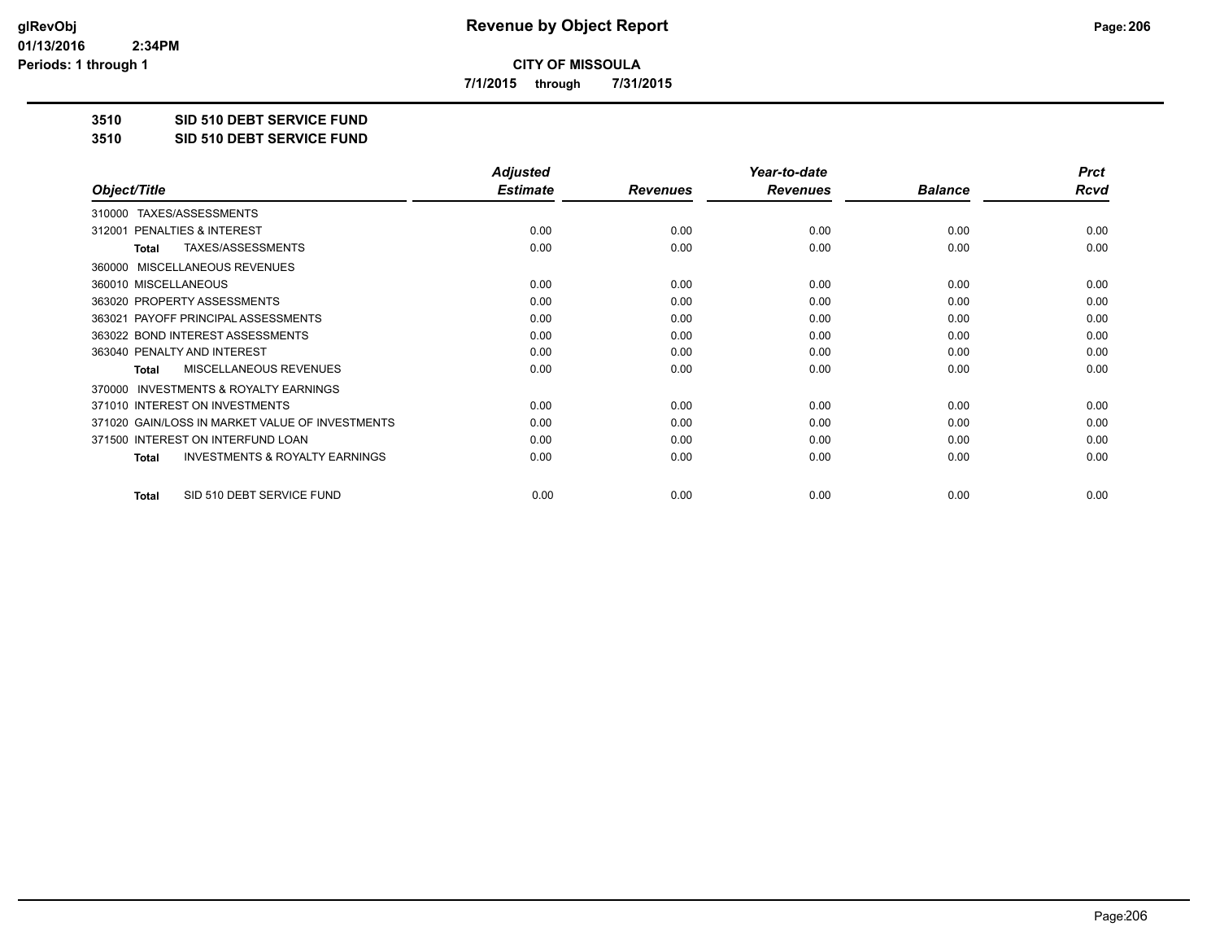**7/1/2015 through 7/31/2015**

**3510 SID 510 DEBT SERVICE FUND**

**3510 SID 510 DEBT SERVICE FUND**

|                                                           | <b>Adjusted</b> |                 | Year-to-date    |                | <b>Prct</b> |
|-----------------------------------------------------------|-----------------|-----------------|-----------------|----------------|-------------|
| Object/Title                                              | <b>Estimate</b> | <b>Revenues</b> | <b>Revenues</b> | <b>Balance</b> | <b>Rcvd</b> |
| TAXES/ASSESSMENTS<br>310000                               |                 |                 |                 |                |             |
| 312001 PENALTIES & INTEREST                               | 0.00            | 0.00            | 0.00            | 0.00           | 0.00        |
| TAXES/ASSESSMENTS<br><b>Total</b>                         | 0.00            | 0.00            | 0.00            | 0.00           | 0.00        |
| <b>MISCELLANEOUS REVENUES</b><br>360000                   |                 |                 |                 |                |             |
| 360010 MISCELLANEOUS                                      | 0.00            | 0.00            | 0.00            | 0.00           | 0.00        |
| 363020 PROPERTY ASSESSMENTS                               | 0.00            | 0.00            | 0.00            | 0.00           | 0.00        |
| 363021 PAYOFF PRINCIPAL ASSESSMENTS                       | 0.00            | 0.00            | 0.00            | 0.00           | 0.00        |
| 363022 BOND INTEREST ASSESSMENTS                          | 0.00            | 0.00            | 0.00            | 0.00           | 0.00        |
| 363040 PENALTY AND INTEREST                               | 0.00            | 0.00            | 0.00            | 0.00           | 0.00        |
| <b>MISCELLANEOUS REVENUES</b><br><b>Total</b>             | 0.00            | 0.00            | 0.00            | 0.00           | 0.00        |
| <b>INVESTMENTS &amp; ROYALTY EARNINGS</b><br>370000       |                 |                 |                 |                |             |
| 371010 INTEREST ON INVESTMENTS                            | 0.00            | 0.00            | 0.00            | 0.00           | 0.00        |
| 371020 GAIN/LOSS IN MARKET VALUE OF INVESTMENTS           | 0.00            | 0.00            | 0.00            | 0.00           | 0.00        |
| 371500 INTEREST ON INTERFUND LOAN                         | 0.00            | 0.00            | 0.00            | 0.00           | 0.00        |
| <b>INVESTMENTS &amp; ROYALTY EARNINGS</b><br><b>Total</b> | 0.00            | 0.00            | 0.00            | 0.00           | 0.00        |
| SID 510 DEBT SERVICE FUND<br>Total                        | 0.00            | 0.00            | 0.00            | 0.00           | 0.00        |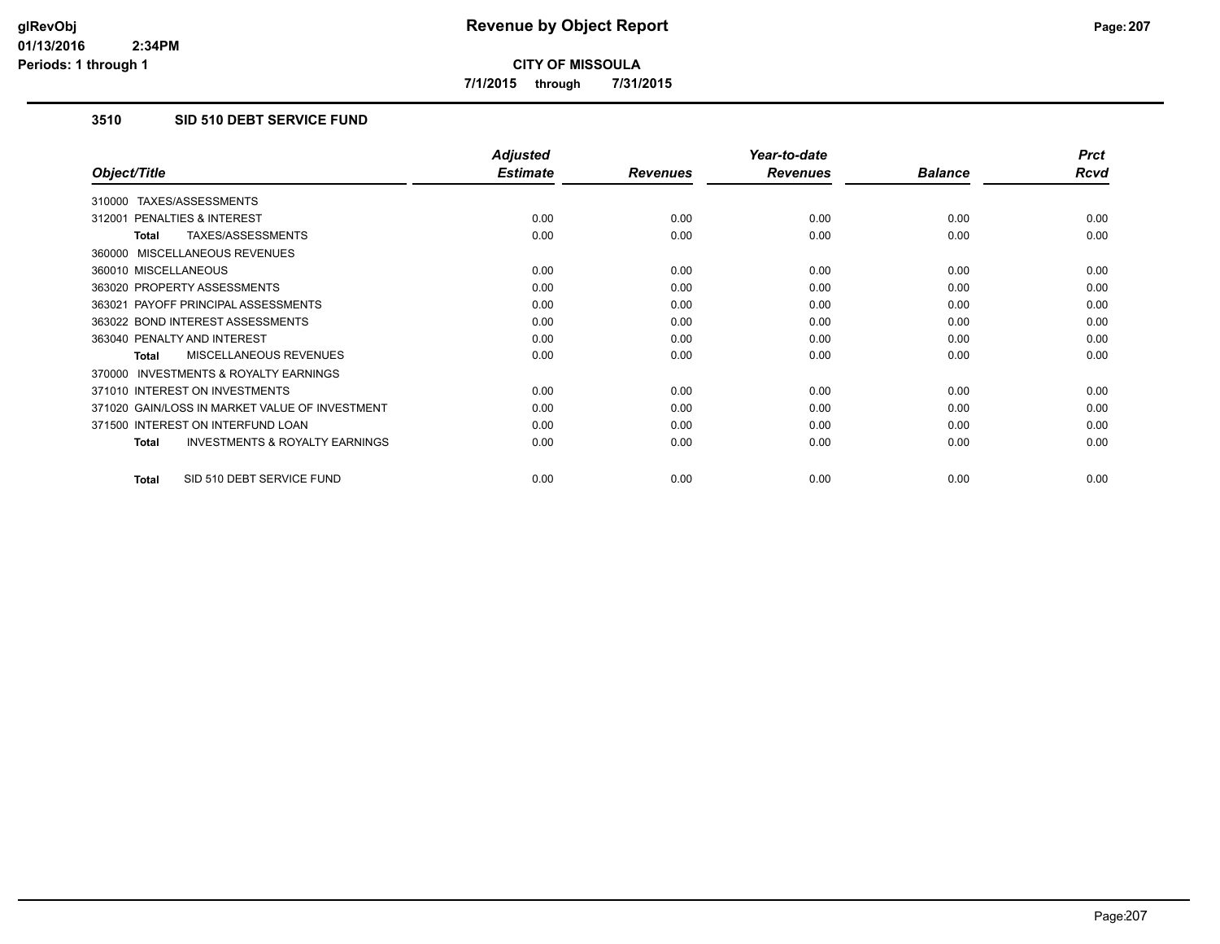**7/1/2015 through 7/31/2015**

# **3510 SID 510 DEBT SERVICE FUND**

|                                                           | <b>Adjusted</b> |                 | Year-to-date    |                | <b>Prct</b> |
|-----------------------------------------------------------|-----------------|-----------------|-----------------|----------------|-------------|
| Object/Title                                              | <b>Estimate</b> | <b>Revenues</b> | <b>Revenues</b> | <b>Balance</b> | <b>Rcvd</b> |
| TAXES/ASSESSMENTS<br>310000                               |                 |                 |                 |                |             |
| PENALTIES & INTEREST<br>312001                            | 0.00            | 0.00            | 0.00            | 0.00           | 0.00        |
| TAXES/ASSESSMENTS<br>Total                                | 0.00            | 0.00            | 0.00            | 0.00           | 0.00        |
| 360000 MISCELLANEOUS REVENUES                             |                 |                 |                 |                |             |
| 360010 MISCELLANEOUS                                      | 0.00            | 0.00            | 0.00            | 0.00           | 0.00        |
| 363020 PROPERTY ASSESSMENTS                               | 0.00            | 0.00            | 0.00            | 0.00           | 0.00        |
| 363021 PAYOFF PRINCIPAL ASSESSMENTS                       | 0.00            | 0.00            | 0.00            | 0.00           | 0.00        |
| 363022 BOND INTEREST ASSESSMENTS                          | 0.00            | 0.00            | 0.00            | 0.00           | 0.00        |
| 363040 PENALTY AND INTEREST                               | 0.00            | 0.00            | 0.00            | 0.00           | 0.00        |
| <b>MISCELLANEOUS REVENUES</b><br><b>Total</b>             | 0.00            | 0.00            | 0.00            | 0.00           | 0.00        |
| <b>INVESTMENTS &amp; ROYALTY EARNINGS</b><br>370000       |                 |                 |                 |                |             |
| 371010 INTEREST ON INVESTMENTS                            | 0.00            | 0.00            | 0.00            | 0.00           | 0.00        |
| 371020 GAIN/LOSS IN MARKET VALUE OF INVESTMENT            | 0.00            | 0.00            | 0.00            | 0.00           | 0.00        |
| 371500 INTEREST ON INTERFUND LOAN                         | 0.00            | 0.00            | 0.00            | 0.00           | 0.00        |
| <b>INVESTMENTS &amp; ROYALTY EARNINGS</b><br><b>Total</b> | 0.00            | 0.00            | 0.00            | 0.00           | 0.00        |
| SID 510 DEBT SERVICE FUND<br><b>Total</b>                 | 0.00            | 0.00            | 0.00            | 0.00           | 0.00        |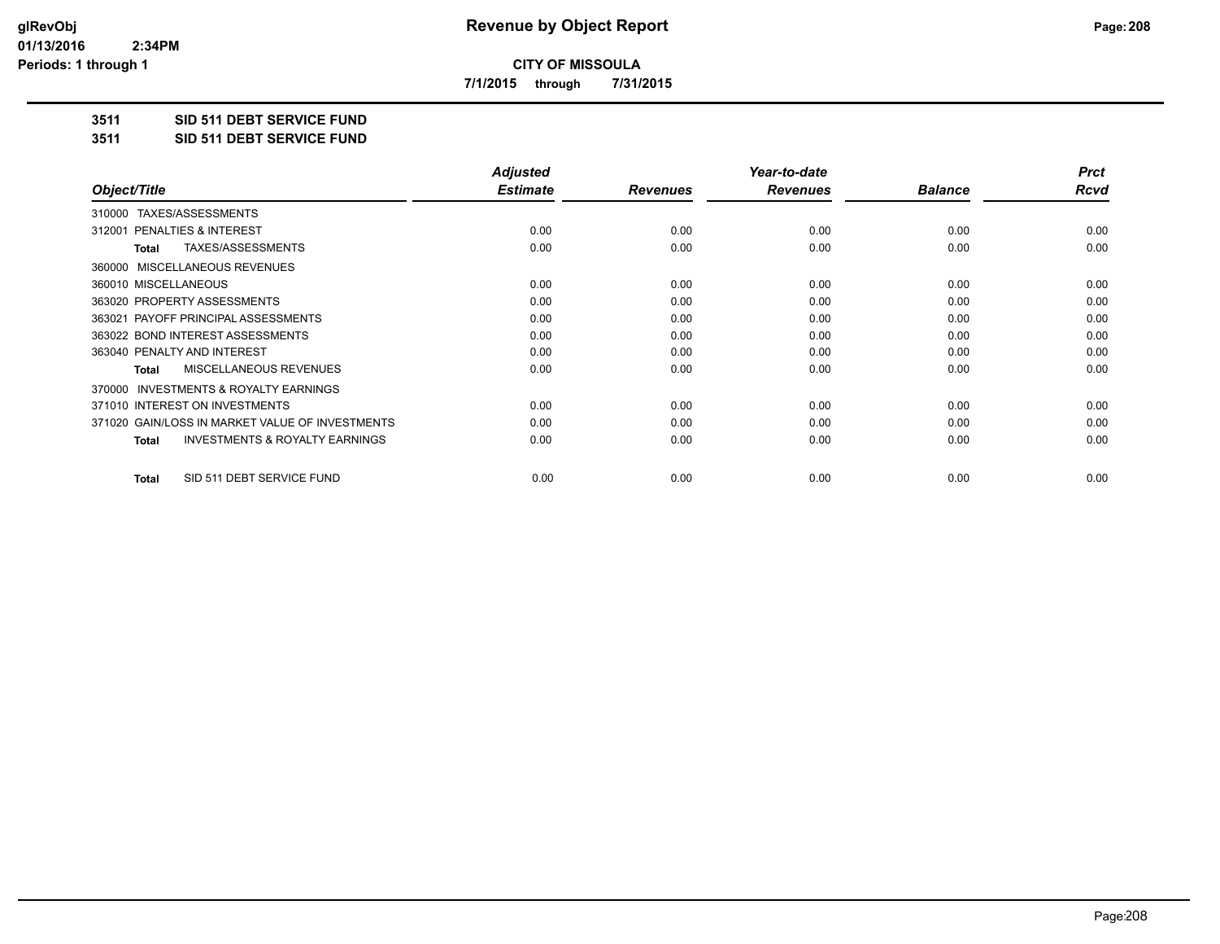**7/1/2015 through 7/31/2015**

**3511 SID 511 DEBT SERVICE FUND**

**3511 SID 511 DEBT SERVICE FUND**

|                                                           | <b>Adjusted</b> |                 | Year-to-date    |                | <b>Prct</b> |
|-----------------------------------------------------------|-----------------|-----------------|-----------------|----------------|-------------|
| Object/Title                                              | <b>Estimate</b> | <b>Revenues</b> | <b>Revenues</b> | <b>Balance</b> | Rcvd        |
| TAXES/ASSESSMENTS<br>310000                               |                 |                 |                 |                |             |
| 312001 PENALTIES & INTEREST                               | 0.00            | 0.00            | 0.00            | 0.00           | 0.00        |
| TAXES/ASSESSMENTS<br>Total                                | 0.00            | 0.00            | 0.00            | 0.00           | 0.00        |
| MISCELLANEOUS REVENUES<br>360000                          |                 |                 |                 |                |             |
| 360010 MISCELLANEOUS                                      | 0.00            | 0.00            | 0.00            | 0.00           | 0.00        |
| 363020 PROPERTY ASSESSMENTS                               | 0.00            | 0.00            | 0.00            | 0.00           | 0.00        |
| 363021 PAYOFF PRINCIPAL ASSESSMENTS                       | 0.00            | 0.00            | 0.00            | 0.00           | 0.00        |
| 363022 BOND INTEREST ASSESSMENTS                          | 0.00            | 0.00            | 0.00            | 0.00           | 0.00        |
| 363040 PENALTY AND INTEREST                               | 0.00            | 0.00            | 0.00            | 0.00           | 0.00        |
| MISCELLANEOUS REVENUES<br><b>Total</b>                    | 0.00            | 0.00            | 0.00            | 0.00           | 0.00        |
| <b>INVESTMENTS &amp; ROYALTY EARNINGS</b><br>370000       |                 |                 |                 |                |             |
| 371010 INTEREST ON INVESTMENTS                            | 0.00            | 0.00            | 0.00            | 0.00           | 0.00        |
| 371020 GAIN/LOSS IN MARKET VALUE OF INVESTMENTS           | 0.00            | 0.00            | 0.00            | 0.00           | 0.00        |
| <b>INVESTMENTS &amp; ROYALTY EARNINGS</b><br><b>Total</b> | 0.00            | 0.00            | 0.00            | 0.00           | 0.00        |
| SID 511 DEBT SERVICE FUND<br>Total                        | 0.00            | 0.00            | 0.00            | 0.00           | 0.00        |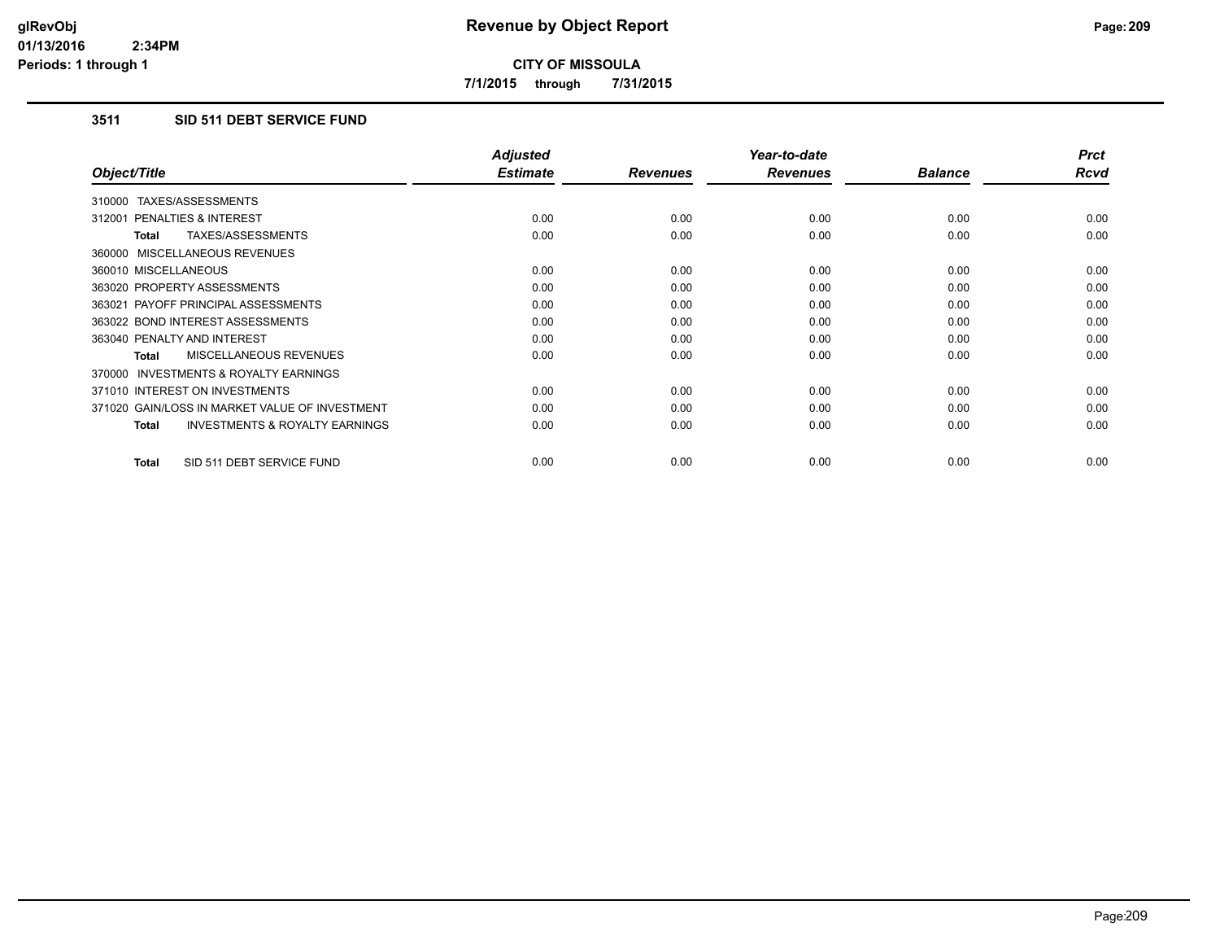**7/1/2015 through 7/31/2015**

# **3511 SID 511 DEBT SERVICE FUND**

|                                                     | <b>Adjusted</b> |                 | Year-to-date    |                | <b>Prct</b> |
|-----------------------------------------------------|-----------------|-----------------|-----------------|----------------|-------------|
| Object/Title                                        | <b>Estimate</b> | <b>Revenues</b> | <b>Revenues</b> | <b>Balance</b> | <b>Rcvd</b> |
| 310000 TAXES/ASSESSMENTS                            |                 |                 |                 |                |             |
| 312001 PENALTIES & INTEREST                         | 0.00            | 0.00            | 0.00            | 0.00           | 0.00        |
| TAXES/ASSESSMENTS<br><b>Total</b>                   | 0.00            | 0.00            | 0.00            | 0.00           | 0.00        |
| 360000 MISCELLANEOUS REVENUES                       |                 |                 |                 |                |             |
| 360010 MISCELLANEOUS                                | 0.00            | 0.00            | 0.00            | 0.00           | 0.00        |
| 363020 PROPERTY ASSESSMENTS                         | 0.00            | 0.00            | 0.00            | 0.00           | 0.00        |
| 363021 PAYOFF PRINCIPAL ASSESSMENTS                 | 0.00            | 0.00            | 0.00            | 0.00           | 0.00        |
| 363022 BOND INTEREST ASSESSMENTS                    | 0.00            | 0.00            | 0.00            | 0.00           | 0.00        |
| 363040 PENALTY AND INTEREST                         | 0.00            | 0.00            | 0.00            | 0.00           | 0.00        |
| <b>MISCELLANEOUS REVENUES</b><br>Total              | 0.00            | 0.00            | 0.00            | 0.00           | 0.00        |
| <b>INVESTMENTS &amp; ROYALTY EARNINGS</b><br>370000 |                 |                 |                 |                |             |
| 371010 INTEREST ON INVESTMENTS                      | 0.00            | 0.00            | 0.00            | 0.00           | 0.00        |
| 371020 GAIN/LOSS IN MARKET VALUE OF INVESTMENT      | 0.00            | 0.00            | 0.00            | 0.00           | 0.00        |
| <b>INVESTMENTS &amp; ROYALTY EARNINGS</b><br>Total  | 0.00            | 0.00            | 0.00            | 0.00           | 0.00        |
| SID 511 DEBT SERVICE FUND<br><b>Total</b>           | 0.00            | 0.00            | 0.00            | 0.00           | 0.00        |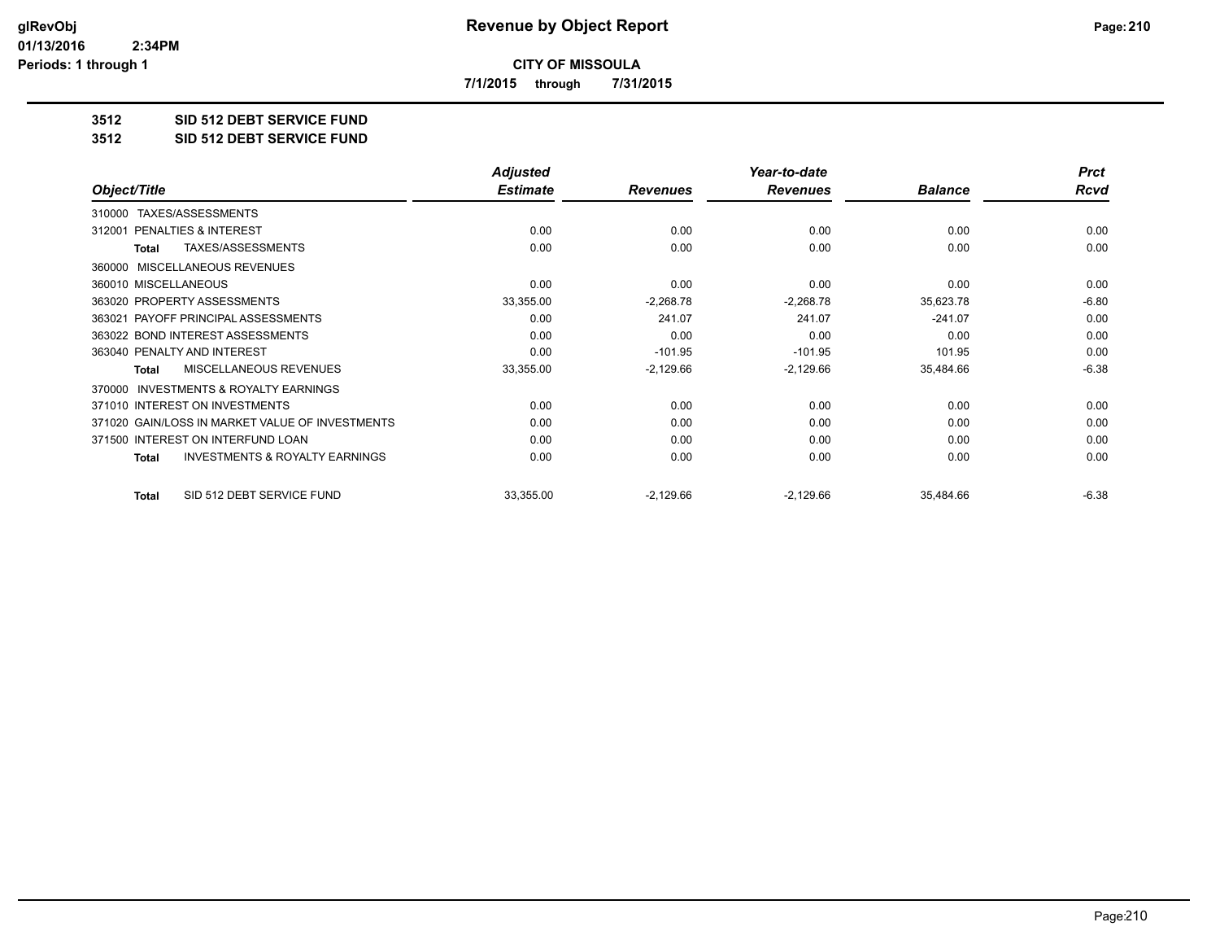**7/1/2015 through 7/31/2015**

**3512 SID 512 DEBT SERVICE FUND**

**3512 SID 512 DEBT SERVICE FUND**

|                                                           | <b>Adjusted</b> |                 | Year-to-date    |                | <b>Prct</b> |
|-----------------------------------------------------------|-----------------|-----------------|-----------------|----------------|-------------|
| Object/Title                                              | <b>Estimate</b> | <b>Revenues</b> | <b>Revenues</b> | <b>Balance</b> | <b>Rcvd</b> |
| TAXES/ASSESSMENTS<br>310000                               |                 |                 |                 |                |             |
| <b>PENALTIES &amp; INTEREST</b><br>312001                 | 0.00            | 0.00            | 0.00            | 0.00           | 0.00        |
| TAXES/ASSESSMENTS<br><b>Total</b>                         | 0.00            | 0.00            | 0.00            | 0.00           | 0.00        |
| MISCELLANEOUS REVENUES<br>360000                          |                 |                 |                 |                |             |
| 360010 MISCELLANEOUS                                      | 0.00            | 0.00            | 0.00            | 0.00           | 0.00        |
| 363020 PROPERTY ASSESSMENTS                               | 33,355.00       | $-2,268.78$     | $-2,268.78$     | 35,623.78      | $-6.80$     |
| 363021 PAYOFF PRINCIPAL ASSESSMENTS                       | 0.00            | 241.07          | 241.07          | $-241.07$      | 0.00        |
| 363022 BOND INTEREST ASSESSMENTS                          | 0.00            | 0.00            | 0.00            | 0.00           | 0.00        |
| 363040 PENALTY AND INTEREST                               | 0.00            | $-101.95$       | $-101.95$       | 101.95         | 0.00        |
| <b>MISCELLANEOUS REVENUES</b><br><b>Total</b>             | 33,355.00       | $-2,129.66$     | $-2,129.66$     | 35,484.66      | $-6.38$     |
| <b>INVESTMENTS &amp; ROYALTY EARNINGS</b><br>370000       |                 |                 |                 |                |             |
| 371010 INTEREST ON INVESTMENTS                            | 0.00            | 0.00            | 0.00            | 0.00           | 0.00        |
| 371020 GAIN/LOSS IN MARKET VALUE OF INVESTMENTS           | 0.00            | 0.00            | 0.00            | 0.00           | 0.00        |
| 371500 INTEREST ON INTERFUND LOAN                         | 0.00            | 0.00            | 0.00            | 0.00           | 0.00        |
| <b>INVESTMENTS &amp; ROYALTY EARNINGS</b><br><b>Total</b> | 0.00            | 0.00            | 0.00            | 0.00           | 0.00        |
| SID 512 DEBT SERVICE FUND<br><b>Total</b>                 | 33,355.00       | $-2,129.66$     | $-2,129.66$     | 35,484.66      | $-6.38$     |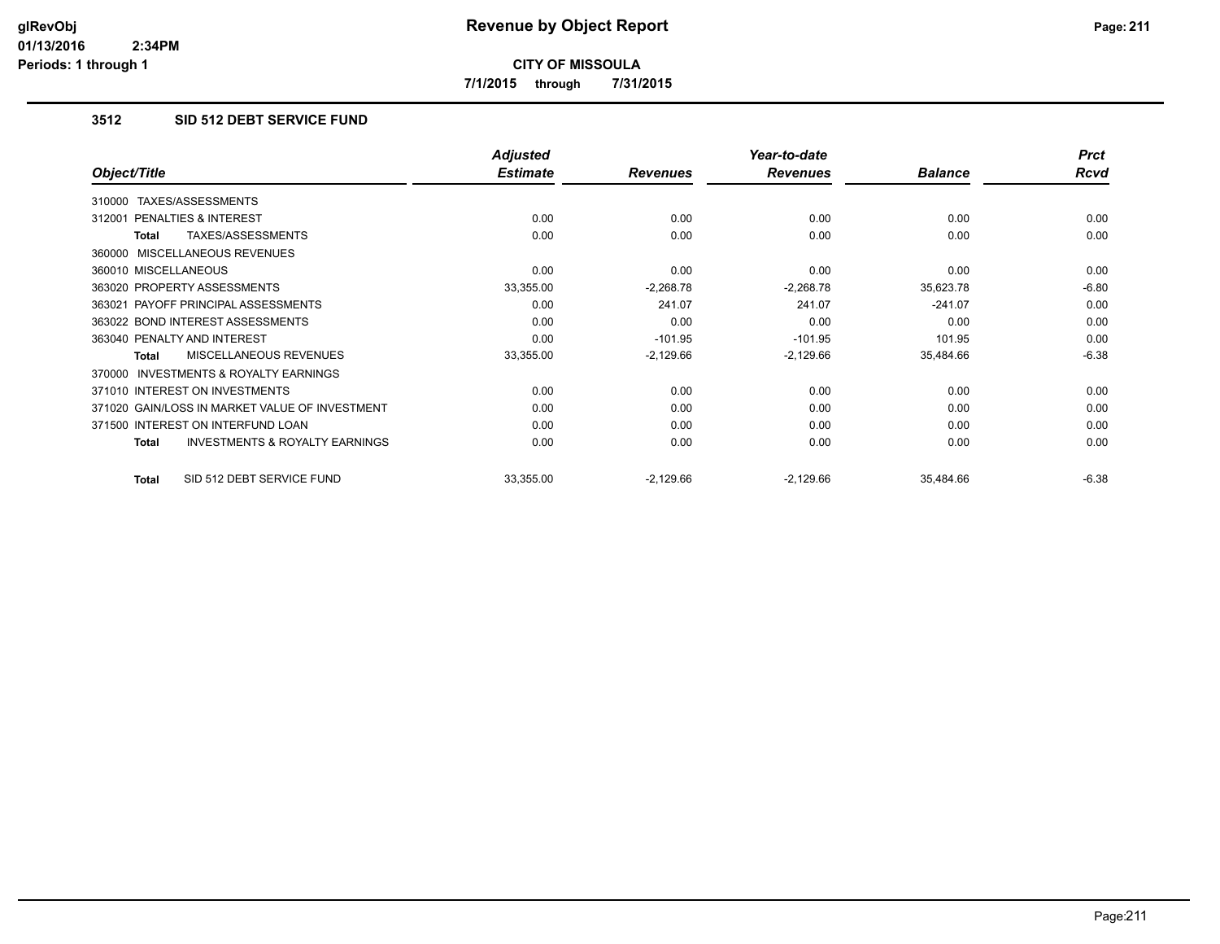**7/1/2015 through 7/31/2015**

# **3512 SID 512 DEBT SERVICE FUND**

|                                                           | <b>Adjusted</b> |                 | Year-to-date    |                | <b>Prct</b> |
|-----------------------------------------------------------|-----------------|-----------------|-----------------|----------------|-------------|
| Object/Title                                              | <b>Estimate</b> | <b>Revenues</b> | <b>Revenues</b> | <b>Balance</b> | <b>Rcvd</b> |
| TAXES/ASSESSMENTS<br>310000                               |                 |                 |                 |                |             |
| PENALTIES & INTEREST<br>312001                            | 0.00            | 0.00            | 0.00            | 0.00           | 0.00        |
| TAXES/ASSESSMENTS<br><b>Total</b>                         | 0.00            | 0.00            | 0.00            | 0.00           | 0.00        |
| 360000 MISCELLANEOUS REVENUES                             |                 |                 |                 |                |             |
| 360010 MISCELLANEOUS                                      | 0.00            | 0.00            | 0.00            | 0.00           | 0.00        |
| 363020 PROPERTY ASSESSMENTS                               | 33,355.00       | $-2,268.78$     | $-2,268.78$     | 35,623.78      | $-6.80$     |
| 363021 PAYOFF PRINCIPAL ASSESSMENTS                       | 0.00            | 241.07          | 241.07          | $-241.07$      | 0.00        |
| 363022 BOND INTEREST ASSESSMENTS                          | 0.00            | 0.00            | 0.00            | 0.00           | 0.00        |
| 363040 PENALTY AND INTEREST                               | 0.00            | $-101.95$       | $-101.95$       | 101.95         | 0.00        |
| <b>MISCELLANEOUS REVENUES</b><br><b>Total</b>             | 33,355.00       | $-2,129.66$     | $-2,129.66$     | 35,484.66      | $-6.38$     |
| INVESTMENTS & ROYALTY EARNINGS<br>370000                  |                 |                 |                 |                |             |
| 371010 INTEREST ON INVESTMENTS                            | 0.00            | 0.00            | 0.00            | 0.00           | 0.00        |
| 371020 GAIN/LOSS IN MARKET VALUE OF INVESTMENT            | 0.00            | 0.00            | 0.00            | 0.00           | 0.00        |
| 371500 INTEREST ON INTERFUND LOAN                         | 0.00            | 0.00            | 0.00            | 0.00           | 0.00        |
| <b>INVESTMENTS &amp; ROYALTY EARNINGS</b><br><b>Total</b> | 0.00            | 0.00            | 0.00            | 0.00           | 0.00        |
| SID 512 DEBT SERVICE FUND<br><b>Total</b>                 | 33,355.00       | $-2,129.66$     | $-2,129.66$     | 35,484.66      | $-6.38$     |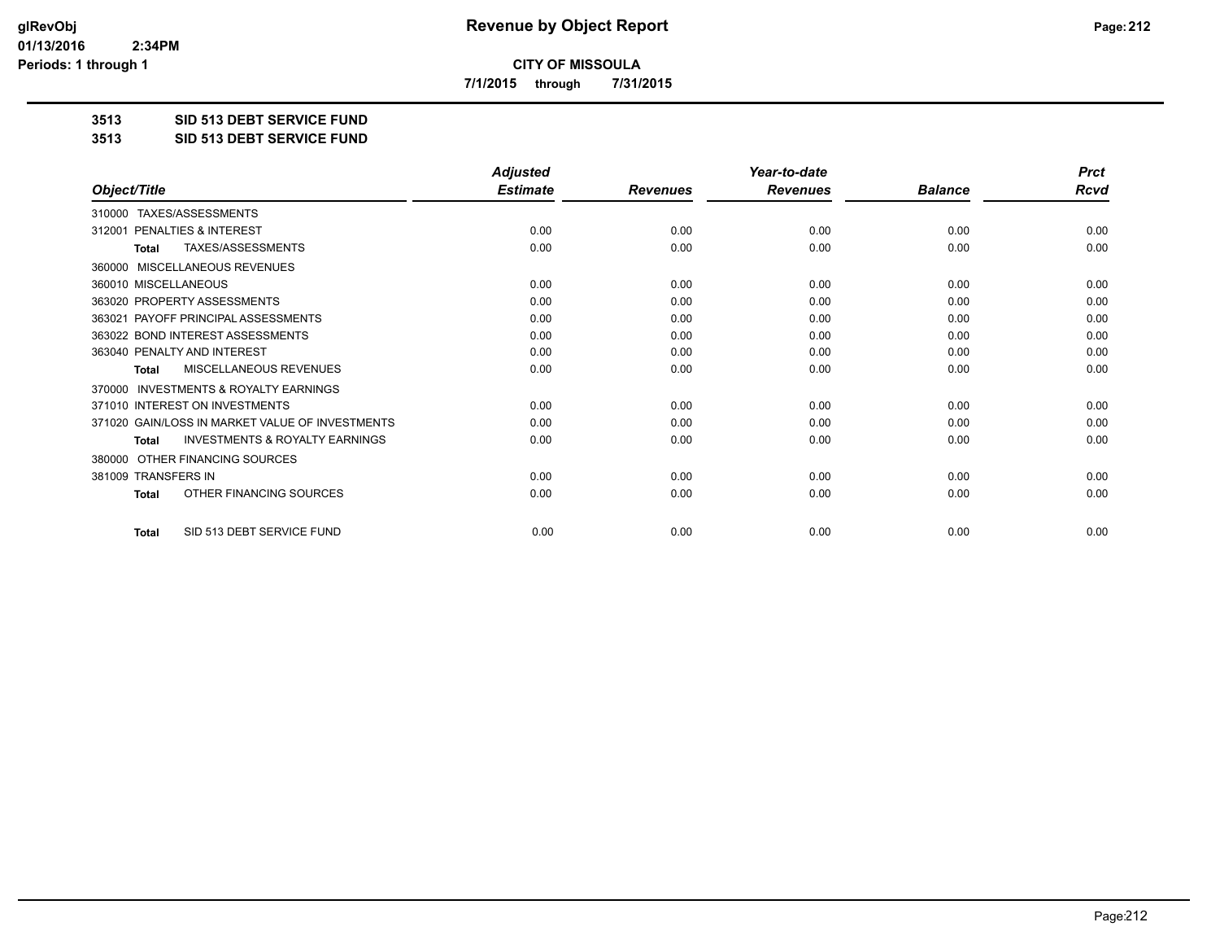**7/1/2015 through 7/31/2015**

**3513 SID 513 DEBT SERVICE FUND**

**3513 SID 513 DEBT SERVICE FUND**

|                                                           | <b>Adjusted</b> |                 | Year-to-date    |                | <b>Prct</b> |
|-----------------------------------------------------------|-----------------|-----------------|-----------------|----------------|-------------|
| Object/Title                                              | <b>Estimate</b> | <b>Revenues</b> | <b>Revenues</b> | <b>Balance</b> | <b>Rcvd</b> |
| TAXES/ASSESSMENTS<br>310000                               |                 |                 |                 |                |             |
| 312001 PENALTIES & INTEREST                               | 0.00            | 0.00            | 0.00            | 0.00           | 0.00        |
| TAXES/ASSESSMENTS<br><b>Total</b>                         | 0.00            | 0.00            | 0.00            | 0.00           | 0.00        |
| MISCELLANEOUS REVENUES<br>360000                          |                 |                 |                 |                |             |
| 360010 MISCELLANEOUS                                      | 0.00            | 0.00            | 0.00            | 0.00           | 0.00        |
| 363020 PROPERTY ASSESSMENTS                               | 0.00            | 0.00            | 0.00            | 0.00           | 0.00        |
| 363021 PAYOFF PRINCIPAL ASSESSMENTS                       | 0.00            | 0.00            | 0.00            | 0.00           | 0.00        |
| 363022 BOND INTEREST ASSESSMENTS                          | 0.00            | 0.00            | 0.00            | 0.00           | 0.00        |
| 363040 PENALTY AND INTEREST                               | 0.00            | 0.00            | 0.00            | 0.00           | 0.00        |
| <b>MISCELLANEOUS REVENUES</b><br><b>Total</b>             | 0.00            | 0.00            | 0.00            | 0.00           | 0.00        |
| <b>INVESTMENTS &amp; ROYALTY EARNINGS</b><br>370000       |                 |                 |                 |                |             |
| 371010 INTEREST ON INVESTMENTS                            | 0.00            | 0.00            | 0.00            | 0.00           | 0.00        |
| 371020 GAIN/LOSS IN MARKET VALUE OF INVESTMENTS           | 0.00            | 0.00            | 0.00            | 0.00           | 0.00        |
| <b>INVESTMENTS &amp; ROYALTY EARNINGS</b><br><b>Total</b> | 0.00            | 0.00            | 0.00            | 0.00           | 0.00        |
| OTHER FINANCING SOURCES<br>380000                         |                 |                 |                 |                |             |
| 381009 TRANSFERS IN                                       | 0.00            | 0.00            | 0.00            | 0.00           | 0.00        |
| OTHER FINANCING SOURCES<br>Total                          | 0.00            | 0.00            | 0.00            | 0.00           | 0.00        |
| SID 513 DEBT SERVICE FUND<br><b>Total</b>                 | 0.00            | 0.00            | 0.00            | 0.00           | 0.00        |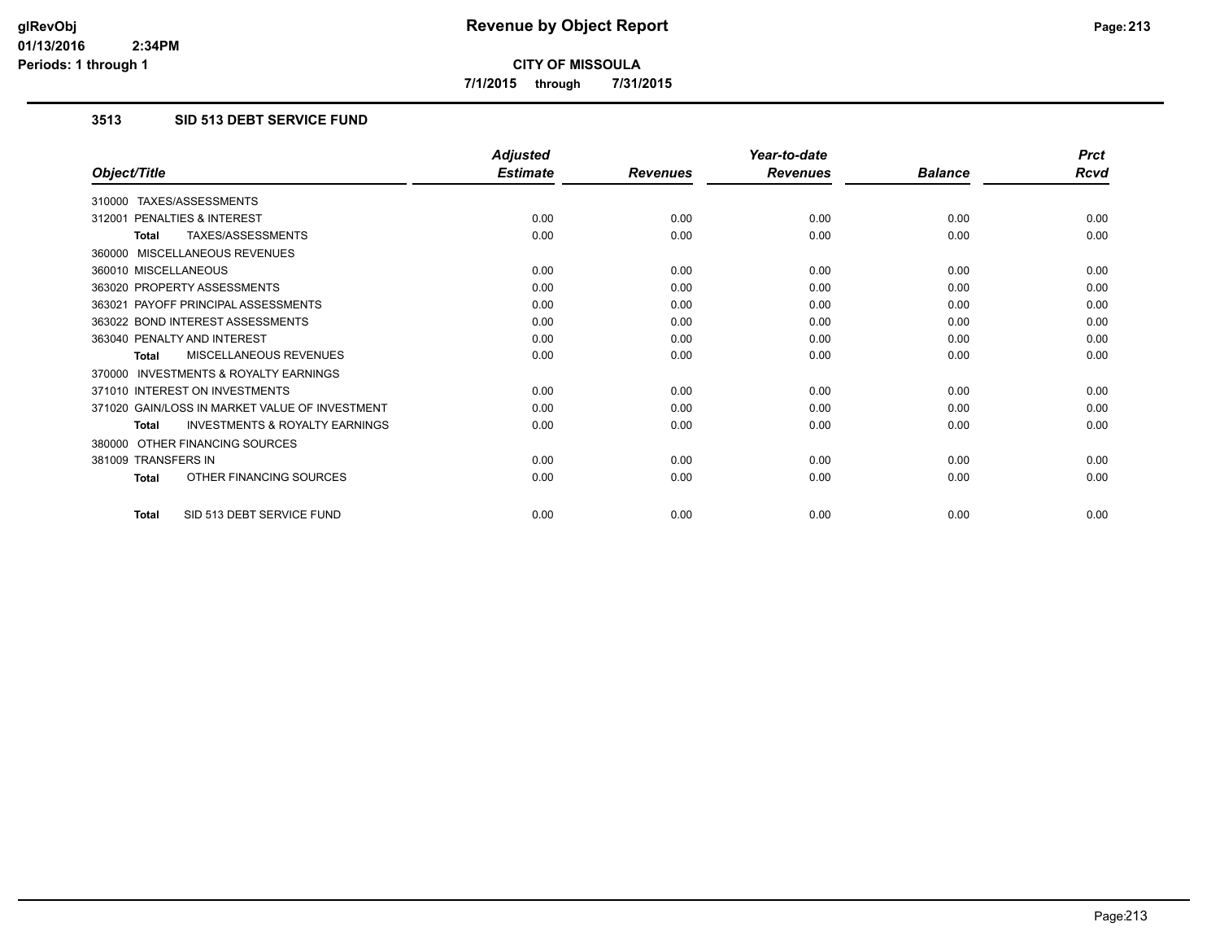**7/1/2015 through 7/31/2015**

# **3513 SID 513 DEBT SERVICE FUND**

|                                                           | <b>Adjusted</b> |                 | Year-to-date    |                | <b>Prct</b> |
|-----------------------------------------------------------|-----------------|-----------------|-----------------|----------------|-------------|
| Object/Title                                              | <b>Estimate</b> | <b>Revenues</b> | <b>Revenues</b> | <b>Balance</b> | <b>Rcvd</b> |
| 310000 TAXES/ASSESSMENTS                                  |                 |                 |                 |                |             |
| 312001 PENALTIES & INTEREST                               | 0.00            | 0.00            | 0.00            | 0.00           | 0.00        |
| TAXES/ASSESSMENTS<br><b>Total</b>                         | 0.00            | 0.00            | 0.00            | 0.00           | 0.00        |
| 360000 MISCELLANEOUS REVENUES                             |                 |                 |                 |                |             |
| 360010 MISCELLANEOUS                                      | 0.00            | 0.00            | 0.00            | 0.00           | 0.00        |
| 363020 PROPERTY ASSESSMENTS                               | 0.00            | 0.00            | 0.00            | 0.00           | 0.00        |
| 363021 PAYOFF PRINCIPAL ASSESSMENTS                       | 0.00            | 0.00            | 0.00            | 0.00           | 0.00        |
| 363022 BOND INTEREST ASSESSMENTS                          | 0.00            | 0.00            | 0.00            | 0.00           | 0.00        |
| 363040 PENALTY AND INTEREST                               | 0.00            | 0.00            | 0.00            | 0.00           | 0.00        |
| MISCELLANEOUS REVENUES<br><b>Total</b>                    | 0.00            | 0.00            | 0.00            | 0.00           | 0.00        |
| <b>INVESTMENTS &amp; ROYALTY EARNINGS</b><br>370000       |                 |                 |                 |                |             |
| 371010 INTEREST ON INVESTMENTS                            | 0.00            | 0.00            | 0.00            | 0.00           | 0.00        |
| 371020 GAIN/LOSS IN MARKET VALUE OF INVESTMENT            | 0.00            | 0.00            | 0.00            | 0.00           | 0.00        |
| <b>INVESTMENTS &amp; ROYALTY EARNINGS</b><br><b>Total</b> | 0.00            | 0.00            | 0.00            | 0.00           | 0.00        |
| 380000 OTHER FINANCING SOURCES                            |                 |                 |                 |                |             |
| 381009 TRANSFERS IN                                       | 0.00            | 0.00            | 0.00            | 0.00           | 0.00        |
| OTHER FINANCING SOURCES<br>Total                          | 0.00            | 0.00            | 0.00            | 0.00           | 0.00        |
| SID 513 DEBT SERVICE FUND<br><b>Total</b>                 | 0.00            | 0.00            | 0.00            | 0.00           | 0.00        |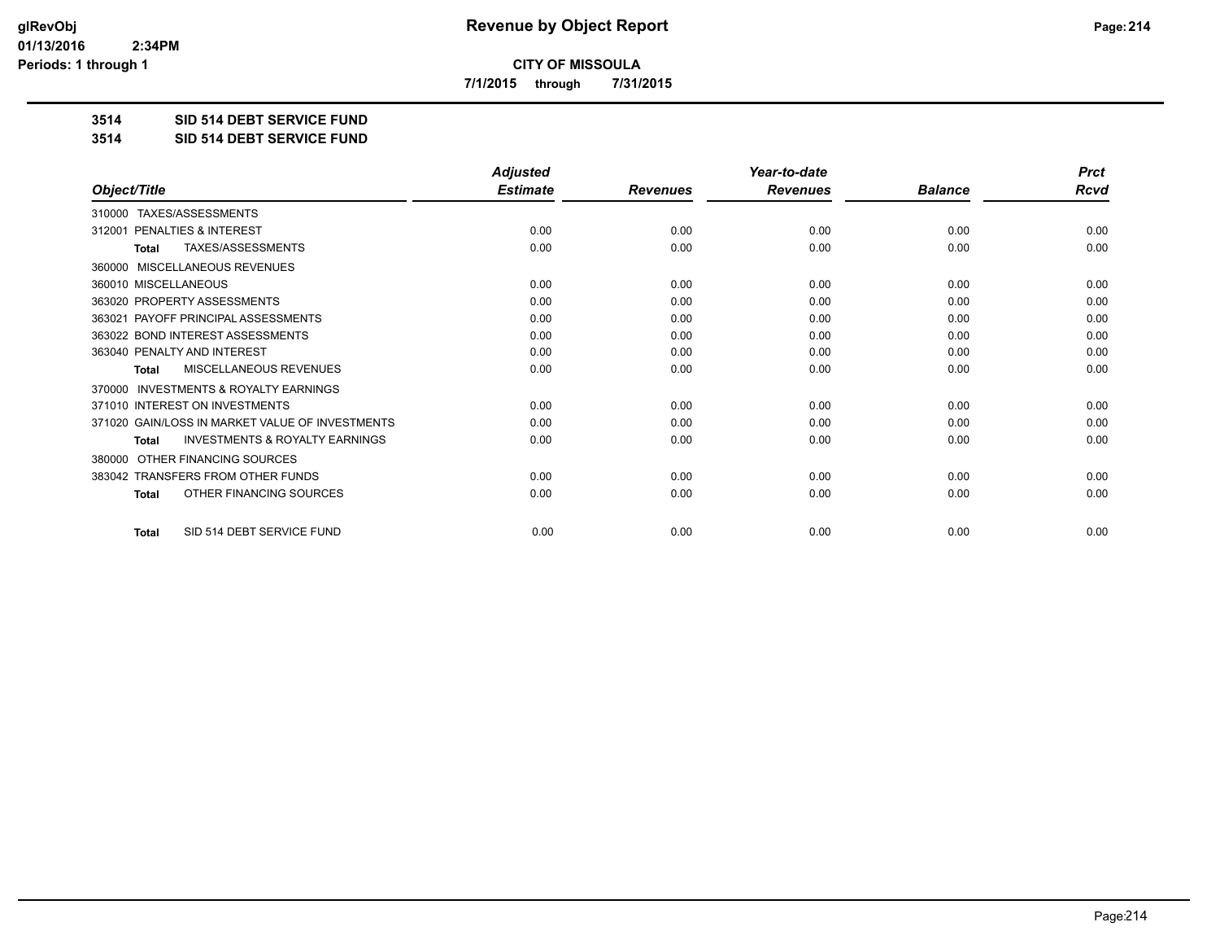**7/1/2015 through 7/31/2015**

**3514 SID 514 DEBT SERVICE FUND**

**3514 SID 514 DEBT SERVICE FUND**

|                                                     | <b>Adjusted</b> |                 | Year-to-date    |                | <b>Prct</b> |
|-----------------------------------------------------|-----------------|-----------------|-----------------|----------------|-------------|
| Object/Title                                        | <b>Estimate</b> | <b>Revenues</b> | <b>Revenues</b> | <b>Balance</b> | Rcvd        |
| TAXES/ASSESSMENTS<br>310000                         |                 |                 |                 |                |             |
| PENALTIES & INTEREST<br>312001                      | 0.00            | 0.00            | 0.00            | 0.00           | 0.00        |
| TAXES/ASSESSMENTS<br><b>Total</b>                   | 0.00            | 0.00            | 0.00            | 0.00           | 0.00        |
| MISCELLANEOUS REVENUES<br>360000                    |                 |                 |                 |                |             |
| 360010 MISCELLANEOUS                                | 0.00            | 0.00            | 0.00            | 0.00           | 0.00        |
| 363020 PROPERTY ASSESSMENTS                         | 0.00            | 0.00            | 0.00            | 0.00           | 0.00        |
| 363021 PAYOFF PRINCIPAL ASSESSMENTS                 | 0.00            | 0.00            | 0.00            | 0.00           | 0.00        |
| 363022 BOND INTEREST ASSESSMENTS                    | 0.00            | 0.00            | 0.00            | 0.00           | 0.00        |
| 363040 PENALTY AND INTEREST                         | 0.00            | 0.00            | 0.00            | 0.00           | 0.00        |
| MISCELLANEOUS REVENUES<br>Total                     | 0.00            | 0.00            | 0.00            | 0.00           | 0.00        |
| <b>INVESTMENTS &amp; ROYALTY EARNINGS</b><br>370000 |                 |                 |                 |                |             |
| 371010 INTEREST ON INVESTMENTS                      | 0.00            | 0.00            | 0.00            | 0.00           | 0.00        |
| 371020 GAIN/LOSS IN MARKET VALUE OF INVESTMENTS     | 0.00            | 0.00            | 0.00            | 0.00           | 0.00        |
| <b>INVESTMENTS &amp; ROYALTY EARNINGS</b><br>Total  | 0.00            | 0.00            | 0.00            | 0.00           | 0.00        |
| OTHER FINANCING SOURCES<br>380000                   |                 |                 |                 |                |             |
| 383042 TRANSFERS FROM OTHER FUNDS                   | 0.00            | 0.00            | 0.00            | 0.00           | 0.00        |
| OTHER FINANCING SOURCES<br><b>Total</b>             | 0.00            | 0.00            | 0.00            | 0.00           | 0.00        |
| SID 514 DEBT SERVICE FUND<br><b>Total</b>           | 0.00            | 0.00            | 0.00            | 0.00           | 0.00        |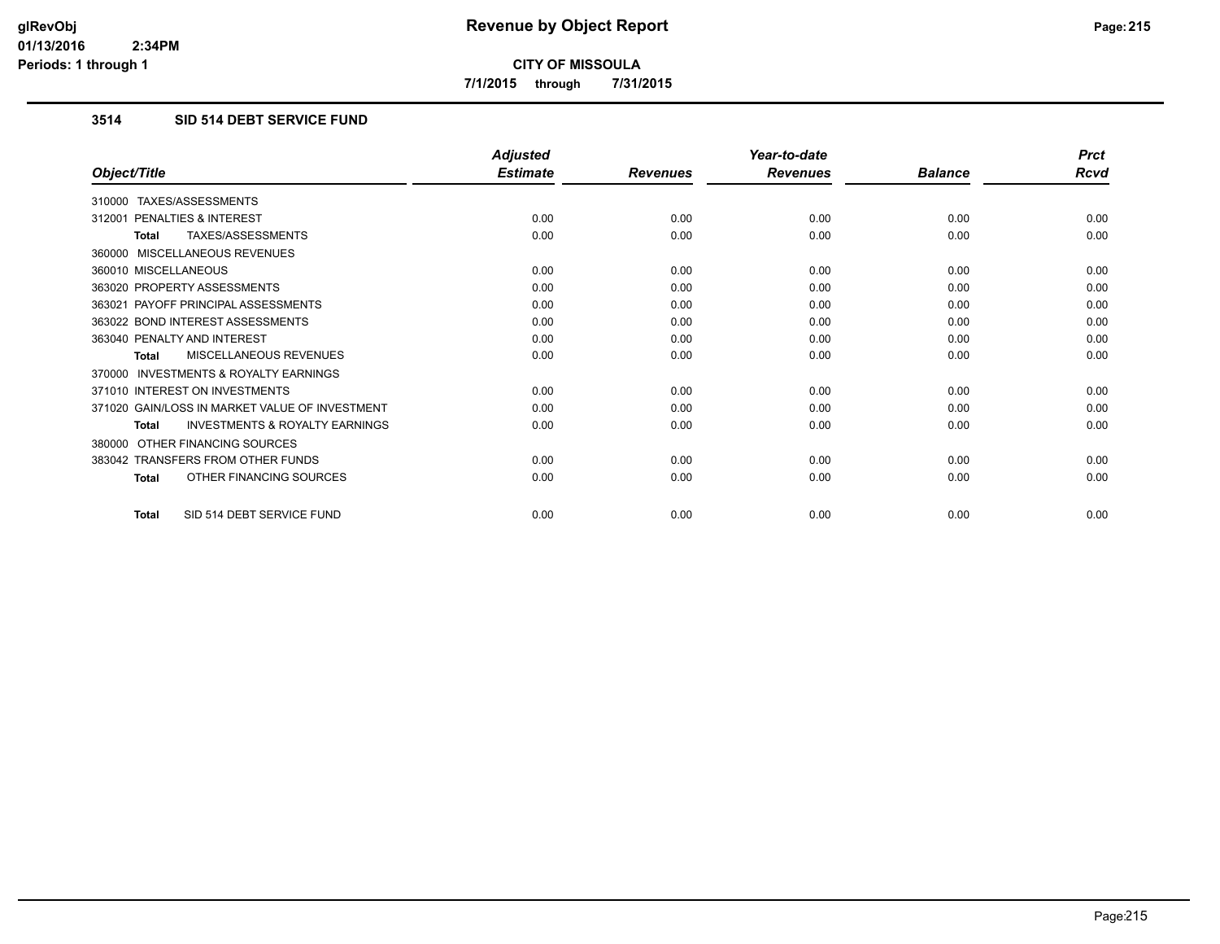**7/1/2015 through 7/31/2015**

# **3514 SID 514 DEBT SERVICE FUND**

|                                                           | <b>Adjusted</b> |                 | Year-to-date    |                | <b>Prct</b> |
|-----------------------------------------------------------|-----------------|-----------------|-----------------|----------------|-------------|
| Object/Title                                              | <b>Estimate</b> | <b>Revenues</b> | <b>Revenues</b> | <b>Balance</b> | <b>Rcvd</b> |
| 310000 TAXES/ASSESSMENTS                                  |                 |                 |                 |                |             |
| 312001 PENALTIES & INTEREST                               | 0.00            | 0.00            | 0.00            | 0.00           | 0.00        |
| <b>TAXES/ASSESSMENTS</b><br><b>Total</b>                  | 0.00            | 0.00            | 0.00            | 0.00           | 0.00        |
| 360000 MISCELLANEOUS REVENUES                             |                 |                 |                 |                |             |
| 360010 MISCELLANEOUS                                      | 0.00            | 0.00            | 0.00            | 0.00           | 0.00        |
| 363020 PROPERTY ASSESSMENTS                               | 0.00            | 0.00            | 0.00            | 0.00           | 0.00        |
| 363021 PAYOFF PRINCIPAL ASSESSMENTS                       | 0.00            | 0.00            | 0.00            | 0.00           | 0.00        |
| 363022 BOND INTEREST ASSESSMENTS                          | 0.00            | 0.00            | 0.00            | 0.00           | 0.00        |
| 363040 PENALTY AND INTEREST                               | 0.00            | 0.00            | 0.00            | 0.00           | 0.00        |
| MISCELLANEOUS REVENUES<br><b>Total</b>                    | 0.00            | 0.00            | 0.00            | 0.00           | 0.00        |
| <b>INVESTMENTS &amp; ROYALTY EARNINGS</b><br>370000       |                 |                 |                 |                |             |
| 371010 INTEREST ON INVESTMENTS                            | 0.00            | 0.00            | 0.00            | 0.00           | 0.00        |
| 371020 GAIN/LOSS IN MARKET VALUE OF INVESTMENT            | 0.00            | 0.00            | 0.00            | 0.00           | 0.00        |
| <b>INVESTMENTS &amp; ROYALTY EARNINGS</b><br><b>Total</b> | 0.00            | 0.00            | 0.00            | 0.00           | 0.00        |
| OTHER FINANCING SOURCES<br>380000                         |                 |                 |                 |                |             |
| 383042 TRANSFERS FROM OTHER FUNDS                         | 0.00            | 0.00            | 0.00            | 0.00           | 0.00        |
| OTHER FINANCING SOURCES<br><b>Total</b>                   | 0.00            | 0.00            | 0.00            | 0.00           | 0.00        |
| SID 514 DEBT SERVICE FUND<br><b>Total</b>                 | 0.00            | 0.00            | 0.00            | 0.00           | 0.00        |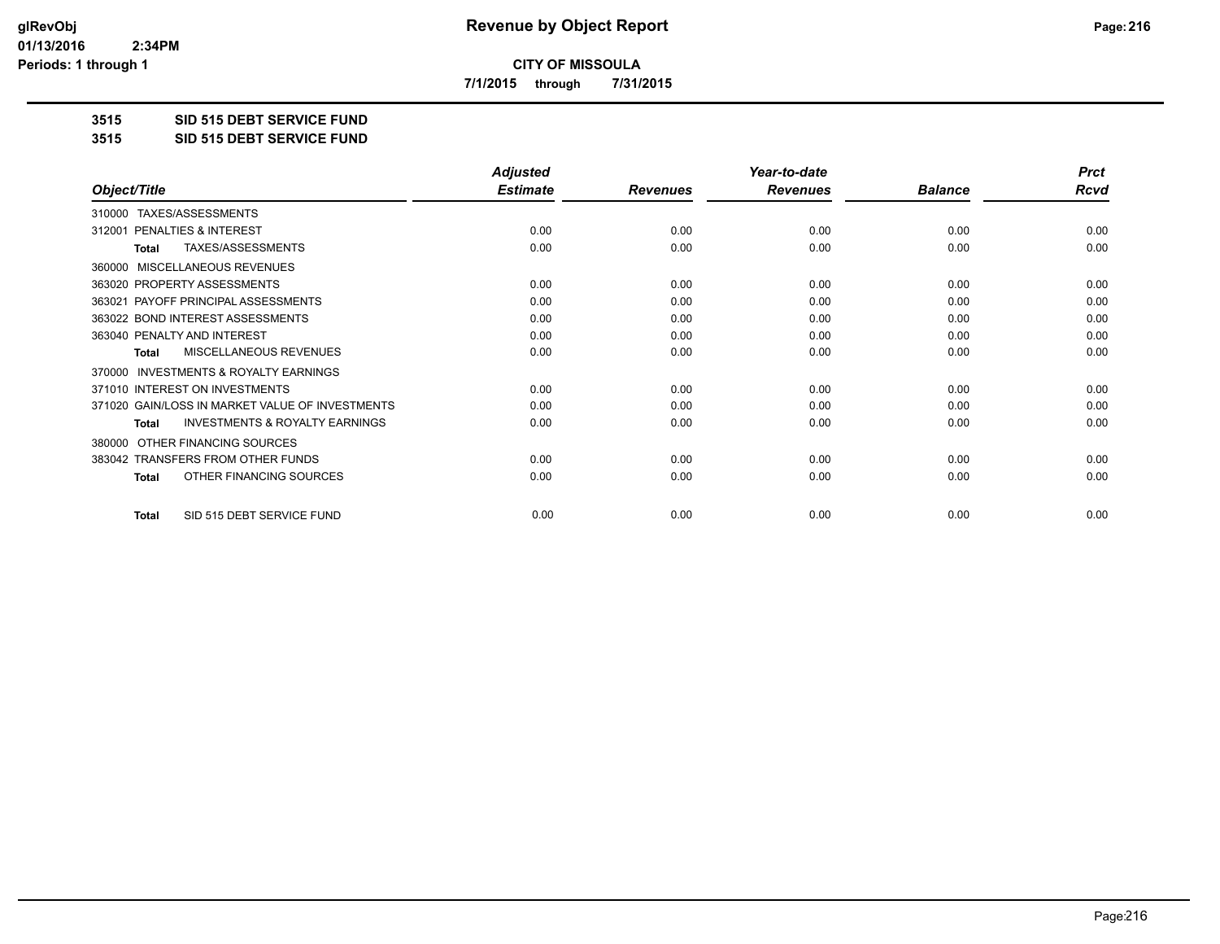**7/1/2015 through 7/31/2015**

**3515 SID 515 DEBT SERVICE FUND**

**3515 SID 515 DEBT SERVICE FUND**

|                                                           | <b>Adjusted</b> |                 | Year-to-date    |                | <b>Prct</b> |
|-----------------------------------------------------------|-----------------|-----------------|-----------------|----------------|-------------|
| Object/Title                                              | <b>Estimate</b> | <b>Revenues</b> | <b>Revenues</b> | <b>Balance</b> | <b>Rcvd</b> |
| TAXES/ASSESSMENTS<br>310000                               |                 |                 |                 |                |             |
| PENALTIES & INTEREST<br>312001                            | 0.00            | 0.00            | 0.00            | 0.00           | 0.00        |
| TAXES/ASSESSMENTS<br>Total                                | 0.00            | 0.00            | 0.00            | 0.00           | 0.00        |
| MISCELLANEOUS REVENUES<br>360000                          |                 |                 |                 |                |             |
| 363020 PROPERTY ASSESSMENTS                               | 0.00            | 0.00            | 0.00            | 0.00           | 0.00        |
| PAYOFF PRINCIPAL ASSESSMENTS<br>363021                    | 0.00            | 0.00            | 0.00            | 0.00           | 0.00        |
| 363022 BOND INTEREST ASSESSMENTS                          | 0.00            | 0.00            | 0.00            | 0.00           | 0.00        |
| 363040 PENALTY AND INTEREST                               | 0.00            | 0.00            | 0.00            | 0.00           | 0.00        |
| <b>MISCELLANEOUS REVENUES</b><br>Total                    | 0.00            | 0.00            | 0.00            | 0.00           | 0.00        |
| INVESTMENTS & ROYALTY EARNINGS<br>370000                  |                 |                 |                 |                |             |
| 371010 INTEREST ON INVESTMENTS                            | 0.00            | 0.00            | 0.00            | 0.00           | 0.00        |
| 371020 GAIN/LOSS IN MARKET VALUE OF INVESTMENTS           | 0.00            | 0.00            | 0.00            | 0.00           | 0.00        |
| <b>INVESTMENTS &amp; ROYALTY EARNINGS</b><br><b>Total</b> | 0.00            | 0.00            | 0.00            | 0.00           | 0.00        |
| OTHER FINANCING SOURCES<br>380000                         |                 |                 |                 |                |             |
| 383042 TRANSFERS FROM OTHER FUNDS                         | 0.00            | 0.00            | 0.00            | 0.00           | 0.00        |
| OTHER FINANCING SOURCES<br><b>Total</b>                   | 0.00            | 0.00            | 0.00            | 0.00           | 0.00        |
| SID 515 DEBT SERVICE FUND<br><b>Total</b>                 | 0.00            | 0.00            | 0.00            | 0.00           | 0.00        |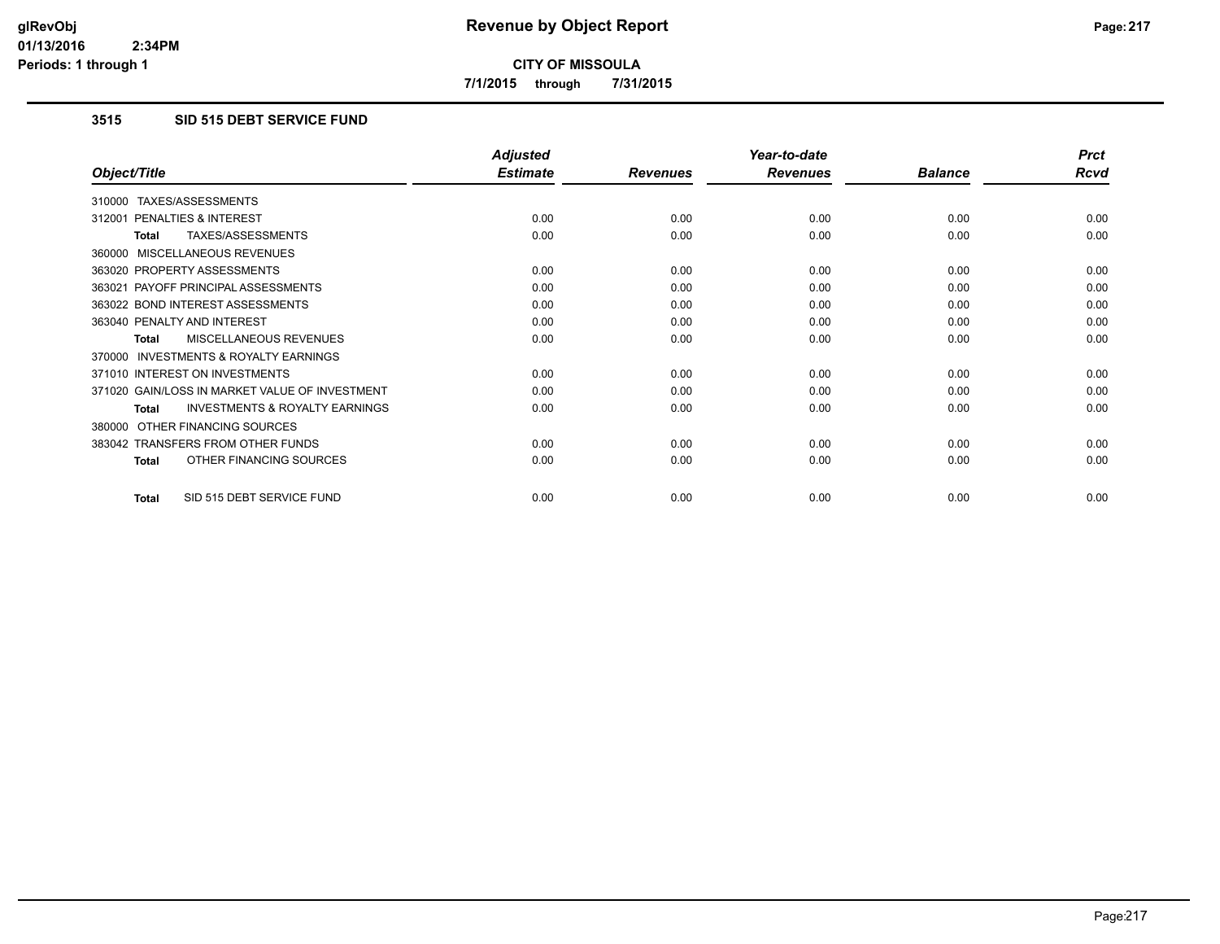**7/1/2015 through 7/31/2015**

## **3515 SID 515 DEBT SERVICE FUND**

|                                                           | <b>Adjusted</b> |                 | Year-to-date    |                | <b>Prct</b> |
|-----------------------------------------------------------|-----------------|-----------------|-----------------|----------------|-------------|
| Object/Title                                              | <b>Estimate</b> | <b>Revenues</b> | <b>Revenues</b> | <b>Balance</b> | <b>Rcvd</b> |
| TAXES/ASSESSMENTS<br>310000                               |                 |                 |                 |                |             |
| PENALTIES & INTEREST<br>312001                            | 0.00            | 0.00            | 0.00            | 0.00           | 0.00        |
| TAXES/ASSESSMENTS<br>Total                                | 0.00            | 0.00            | 0.00            | 0.00           | 0.00        |
| MISCELLANEOUS REVENUES<br>360000                          |                 |                 |                 |                |             |
| 363020 PROPERTY ASSESSMENTS                               | 0.00            | 0.00            | 0.00            | 0.00           | 0.00        |
| 363021 PAYOFF PRINCIPAL ASSESSMENTS                       | 0.00            | 0.00            | 0.00            | 0.00           | 0.00        |
| 363022 BOND INTEREST ASSESSMENTS                          | 0.00            | 0.00            | 0.00            | 0.00           | 0.00        |
| 363040 PENALTY AND INTEREST                               | 0.00            | 0.00            | 0.00            | 0.00           | 0.00        |
| <b>MISCELLANEOUS REVENUES</b><br><b>Total</b>             | 0.00            | 0.00            | 0.00            | 0.00           | 0.00        |
| <b>INVESTMENTS &amp; ROYALTY EARNINGS</b><br>370000       |                 |                 |                 |                |             |
| 371010 INTEREST ON INVESTMENTS                            | 0.00            | 0.00            | 0.00            | 0.00           | 0.00        |
| 371020 GAIN/LOSS IN MARKET VALUE OF INVESTMENT            | 0.00            | 0.00            | 0.00            | 0.00           | 0.00        |
| <b>INVESTMENTS &amp; ROYALTY EARNINGS</b><br><b>Total</b> | 0.00            | 0.00            | 0.00            | 0.00           | 0.00        |
| OTHER FINANCING SOURCES<br>380000                         |                 |                 |                 |                |             |
| 383042 TRANSFERS FROM OTHER FUNDS                         | 0.00            | 0.00            | 0.00            | 0.00           | 0.00        |
| OTHER FINANCING SOURCES<br><b>Total</b>                   | 0.00            | 0.00            | 0.00            | 0.00           | 0.00        |
| SID 515 DEBT SERVICE FUND<br><b>Total</b>                 | 0.00            | 0.00            | 0.00            | 0.00           | 0.00        |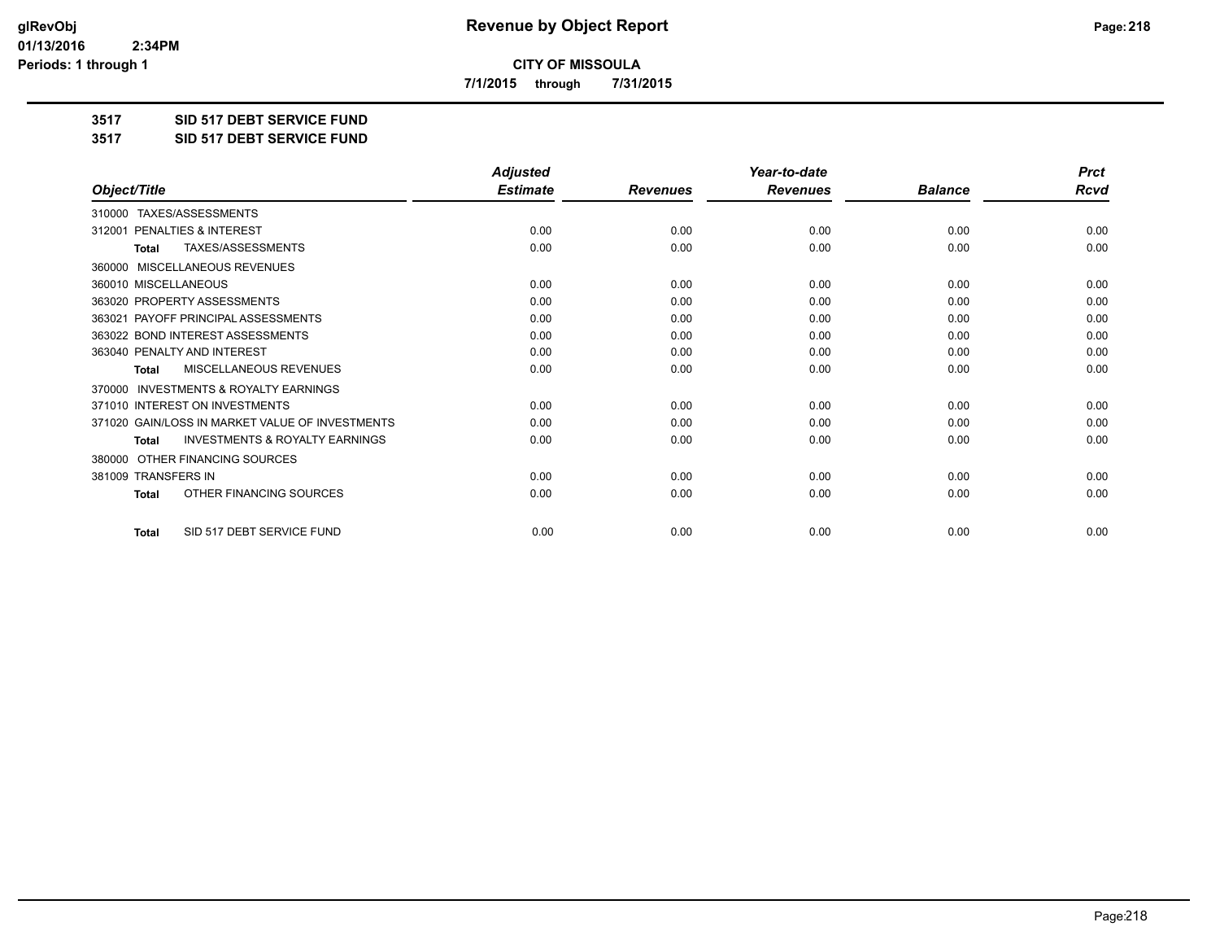**7/1/2015 through 7/31/2015**

**3517 SID 517 DEBT SERVICE FUND**

**3517 SID 517 DEBT SERVICE FUND**

|                                                           | <b>Adjusted</b> |                 | Year-to-date    |                | <b>Prct</b> |
|-----------------------------------------------------------|-----------------|-----------------|-----------------|----------------|-------------|
| Object/Title                                              | <b>Estimate</b> | <b>Revenues</b> | <b>Revenues</b> | <b>Balance</b> | <b>Rcvd</b> |
| TAXES/ASSESSMENTS<br>310000                               |                 |                 |                 |                |             |
| 312001 PENALTIES & INTEREST                               | 0.00            | 0.00            | 0.00            | 0.00           | 0.00        |
| TAXES/ASSESSMENTS<br><b>Total</b>                         | 0.00            | 0.00            | 0.00            | 0.00           | 0.00        |
| <b>MISCELLANEOUS REVENUES</b><br>360000                   |                 |                 |                 |                |             |
| 360010 MISCELLANEOUS                                      | 0.00            | 0.00            | 0.00            | 0.00           | 0.00        |
| 363020 PROPERTY ASSESSMENTS                               | 0.00            | 0.00            | 0.00            | 0.00           | 0.00        |
| 363021 PAYOFF PRINCIPAL ASSESSMENTS                       | 0.00            | 0.00            | 0.00            | 0.00           | 0.00        |
| 363022 BOND INTEREST ASSESSMENTS                          | 0.00            | 0.00            | 0.00            | 0.00           | 0.00        |
| 363040 PENALTY AND INTEREST                               | 0.00            | 0.00            | 0.00            | 0.00           | 0.00        |
| MISCELLANEOUS REVENUES<br><b>Total</b>                    | 0.00            | 0.00            | 0.00            | 0.00           | 0.00        |
| <b>INVESTMENTS &amp; ROYALTY EARNINGS</b><br>370000       |                 |                 |                 |                |             |
| 371010 INTEREST ON INVESTMENTS                            | 0.00            | 0.00            | 0.00            | 0.00           | 0.00        |
| 371020 GAIN/LOSS IN MARKET VALUE OF INVESTMENTS           | 0.00            | 0.00            | 0.00            | 0.00           | 0.00        |
| <b>INVESTMENTS &amp; ROYALTY EARNINGS</b><br><b>Total</b> | 0.00            | 0.00            | 0.00            | 0.00           | 0.00        |
| OTHER FINANCING SOURCES<br>380000                         |                 |                 |                 |                |             |
| 381009 TRANSFERS IN                                       | 0.00            | 0.00            | 0.00            | 0.00           | 0.00        |
| OTHER FINANCING SOURCES<br><b>Total</b>                   | 0.00            | 0.00            | 0.00            | 0.00           | 0.00        |
| SID 517 DEBT SERVICE FUND<br><b>Total</b>                 | 0.00            | 0.00            | 0.00            | 0.00           | 0.00        |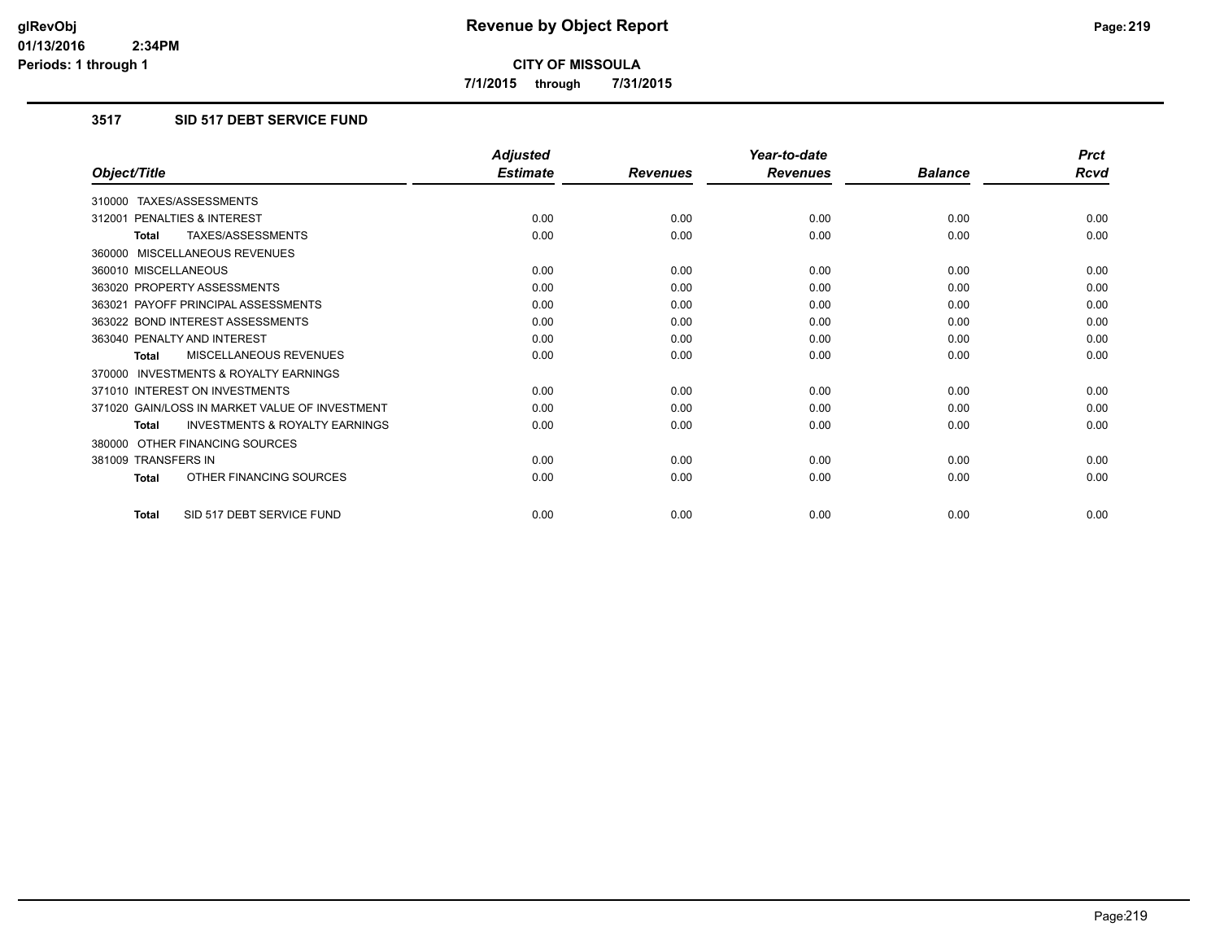**7/1/2015 through 7/31/2015**

## **3517 SID 517 DEBT SERVICE FUND**

|                                                           | <b>Adjusted</b> |                 | Year-to-date    |                | <b>Prct</b> |
|-----------------------------------------------------------|-----------------|-----------------|-----------------|----------------|-------------|
| Object/Title                                              | <b>Estimate</b> | <b>Revenues</b> | <b>Revenues</b> | <b>Balance</b> | <b>Rcvd</b> |
| 310000 TAXES/ASSESSMENTS                                  |                 |                 |                 |                |             |
| 312001 PENALTIES & INTEREST                               | 0.00            | 0.00            | 0.00            | 0.00           | 0.00        |
| TAXES/ASSESSMENTS<br><b>Total</b>                         | 0.00            | 0.00            | 0.00            | 0.00           | 0.00        |
| 360000 MISCELLANEOUS REVENUES                             |                 |                 |                 |                |             |
| 360010 MISCELLANEOUS                                      | 0.00            | 0.00            | 0.00            | 0.00           | 0.00        |
| 363020 PROPERTY ASSESSMENTS                               | 0.00            | 0.00            | 0.00            | 0.00           | 0.00        |
| 363021 PAYOFF PRINCIPAL ASSESSMENTS                       | 0.00            | 0.00            | 0.00            | 0.00           | 0.00        |
| 363022 BOND INTEREST ASSESSMENTS                          | 0.00            | 0.00            | 0.00            | 0.00           | 0.00        |
| 363040 PENALTY AND INTEREST                               | 0.00            | 0.00            | 0.00            | 0.00           | 0.00        |
| MISCELLANEOUS REVENUES<br><b>Total</b>                    | 0.00            | 0.00            | 0.00            | 0.00           | 0.00        |
| <b>INVESTMENTS &amp; ROYALTY EARNINGS</b><br>370000       |                 |                 |                 |                |             |
| 371010 INTEREST ON INVESTMENTS                            | 0.00            | 0.00            | 0.00            | 0.00           | 0.00        |
| 371020 GAIN/LOSS IN MARKET VALUE OF INVESTMENT            | 0.00            | 0.00            | 0.00            | 0.00           | 0.00        |
| <b>INVESTMENTS &amp; ROYALTY EARNINGS</b><br><b>Total</b> | 0.00            | 0.00            | 0.00            | 0.00           | 0.00        |
| 380000 OTHER FINANCING SOURCES                            |                 |                 |                 |                |             |
| 381009 TRANSFERS IN                                       | 0.00            | 0.00            | 0.00            | 0.00           | 0.00        |
| OTHER FINANCING SOURCES<br>Total                          | 0.00            | 0.00            | 0.00            | 0.00           | 0.00        |
| SID 517 DEBT SERVICE FUND<br>Total                        | 0.00            | 0.00            | 0.00            | 0.00           | 0.00        |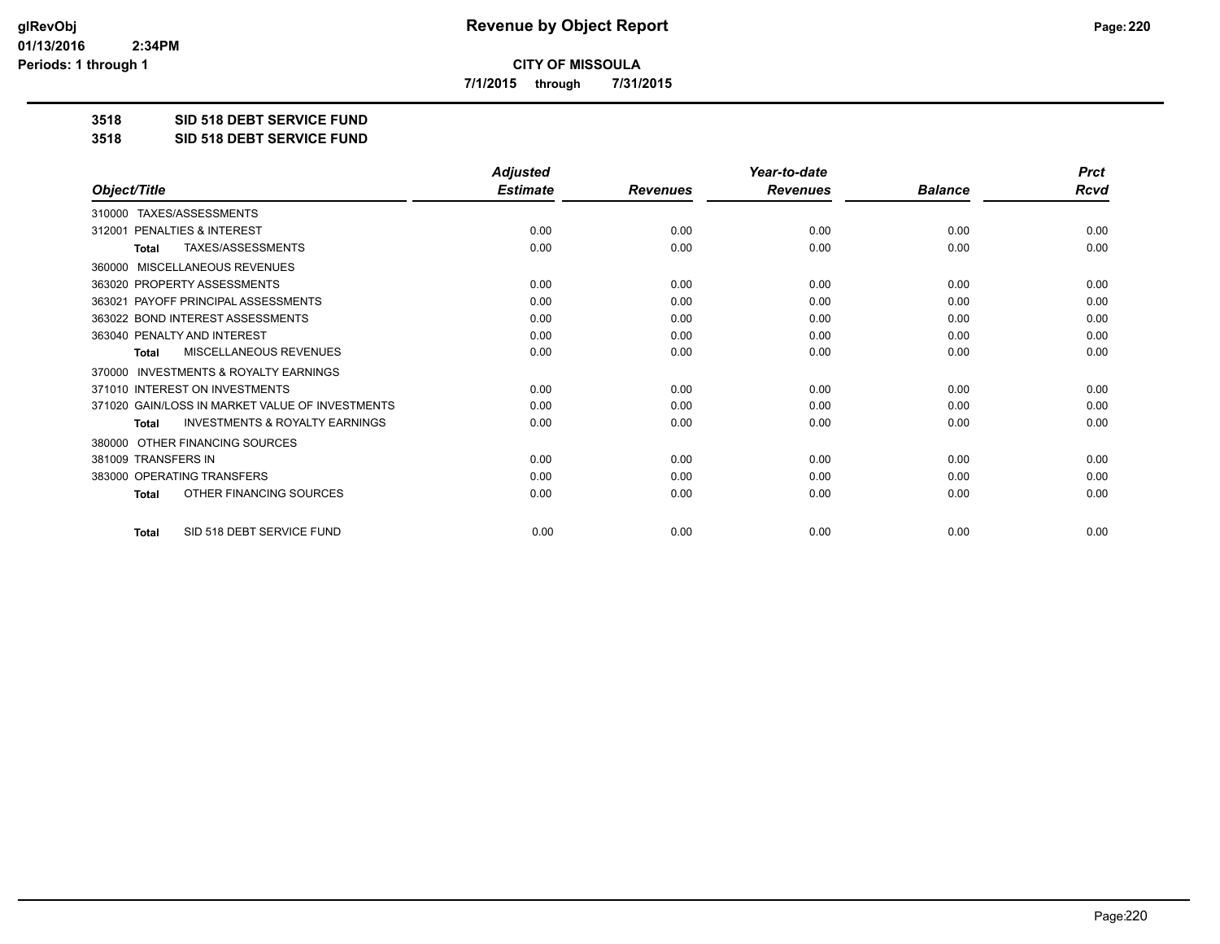**7/1/2015 through 7/31/2015**

**3518 SID 518 DEBT SERVICE FUND**

**3518 SID 518 DEBT SERVICE FUND**

|                                                           | <b>Adjusted</b> |                 | Year-to-date    |                | <b>Prct</b> |
|-----------------------------------------------------------|-----------------|-----------------|-----------------|----------------|-------------|
| Object/Title                                              | <b>Estimate</b> | <b>Revenues</b> | <b>Revenues</b> | <b>Balance</b> | <b>Rcvd</b> |
| 310000 TAXES/ASSESSMENTS                                  |                 |                 |                 |                |             |
| PENALTIES & INTEREST<br>312001                            | 0.00            | 0.00            | 0.00            | 0.00           | 0.00        |
| TAXES/ASSESSMENTS<br><b>Total</b>                         | 0.00            | 0.00            | 0.00            | 0.00           | 0.00        |
| MISCELLANEOUS REVENUES<br>360000                          |                 |                 |                 |                |             |
| 363020 PROPERTY ASSESSMENTS                               | 0.00            | 0.00            | 0.00            | 0.00           | 0.00        |
| 363021 PAYOFF PRINCIPAL ASSESSMENTS                       | 0.00            | 0.00            | 0.00            | 0.00           | 0.00        |
| 363022 BOND INTEREST ASSESSMENTS                          | 0.00            | 0.00            | 0.00            | 0.00           | 0.00        |
| 363040 PENALTY AND INTEREST                               | 0.00            | 0.00            | 0.00            | 0.00           | 0.00        |
| MISCELLANEOUS REVENUES<br><b>Total</b>                    | 0.00            | 0.00            | 0.00            | 0.00           | 0.00        |
| <b>INVESTMENTS &amp; ROYALTY EARNINGS</b><br>370000       |                 |                 |                 |                |             |
| 371010 INTEREST ON INVESTMENTS                            | 0.00            | 0.00            | 0.00            | 0.00           | 0.00        |
| 371020 GAIN/LOSS IN MARKET VALUE OF INVESTMENTS           | 0.00            | 0.00            | 0.00            | 0.00           | 0.00        |
| <b>INVESTMENTS &amp; ROYALTY EARNINGS</b><br><b>Total</b> | 0.00            | 0.00            | 0.00            | 0.00           | 0.00        |
| OTHER FINANCING SOURCES<br>380000                         |                 |                 |                 |                |             |
| 381009 TRANSFERS IN                                       | 0.00            | 0.00            | 0.00            | 0.00           | 0.00        |
| 383000 OPERATING TRANSFERS                                | 0.00            | 0.00            | 0.00            | 0.00           | 0.00        |
| OTHER FINANCING SOURCES<br><b>Total</b>                   | 0.00            | 0.00            | 0.00            | 0.00           | 0.00        |
| SID 518 DEBT SERVICE FUND<br><b>Total</b>                 | 0.00            | 0.00            | 0.00            | 0.00           | 0.00        |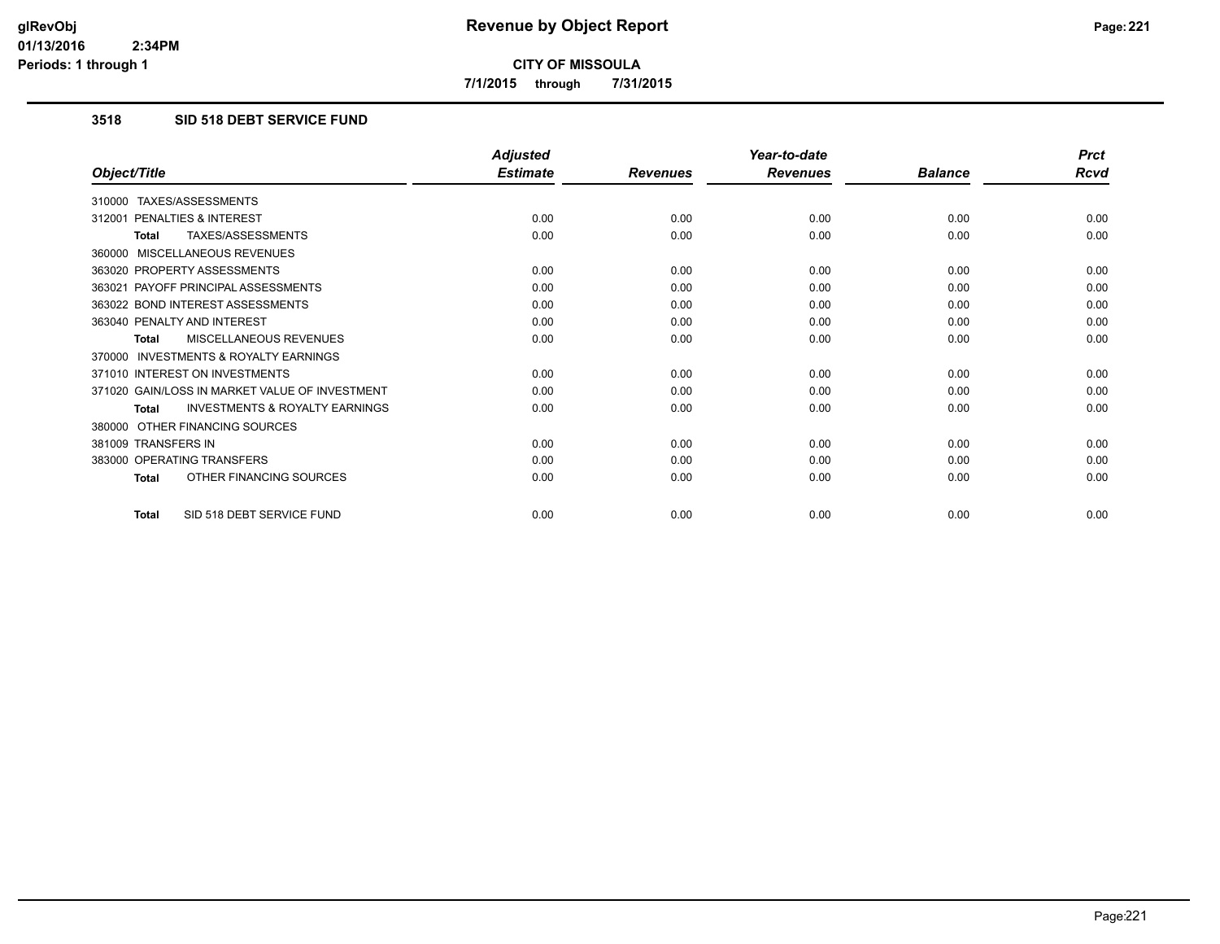**7/1/2015 through 7/31/2015**

## **3518 SID 518 DEBT SERVICE FUND**

|                                                           | <b>Adjusted</b> |                 | Year-to-date    |                | <b>Prct</b> |
|-----------------------------------------------------------|-----------------|-----------------|-----------------|----------------|-------------|
| Object/Title                                              | <b>Estimate</b> | <b>Revenues</b> | <b>Revenues</b> | <b>Balance</b> | <b>Rcvd</b> |
| 310000 TAXES/ASSESSMENTS                                  |                 |                 |                 |                |             |
| 312001 PENALTIES & INTEREST                               | 0.00            | 0.00            | 0.00            | 0.00           | 0.00        |
| <b>TAXES/ASSESSMENTS</b><br><b>Total</b>                  | 0.00            | 0.00            | 0.00            | 0.00           | 0.00        |
| 360000 MISCELLANEOUS REVENUES                             |                 |                 |                 |                |             |
| 363020 PROPERTY ASSESSMENTS                               | 0.00            | 0.00            | 0.00            | 0.00           | 0.00        |
| 363021 PAYOFF PRINCIPAL ASSESSMENTS                       | 0.00            | 0.00            | 0.00            | 0.00           | 0.00        |
| 363022 BOND INTEREST ASSESSMENTS                          | 0.00            | 0.00            | 0.00            | 0.00           | 0.00        |
| 363040 PENALTY AND INTEREST                               | 0.00            | 0.00            | 0.00            | 0.00           | 0.00        |
| MISCELLANEOUS REVENUES<br><b>Total</b>                    | 0.00            | 0.00            | 0.00            | 0.00           | 0.00        |
| <b>INVESTMENTS &amp; ROYALTY EARNINGS</b><br>370000       |                 |                 |                 |                |             |
| 371010 INTEREST ON INVESTMENTS                            | 0.00            | 0.00            | 0.00            | 0.00           | 0.00        |
| 371020 GAIN/LOSS IN MARKET VALUE OF INVESTMENT            | 0.00            | 0.00            | 0.00            | 0.00           | 0.00        |
| <b>INVESTMENTS &amp; ROYALTY EARNINGS</b><br><b>Total</b> | 0.00            | 0.00            | 0.00            | 0.00           | 0.00        |
| 380000 OTHER FINANCING SOURCES                            |                 |                 |                 |                |             |
| 381009 TRANSFERS IN                                       | 0.00            | 0.00            | 0.00            | 0.00           | 0.00        |
| 383000 OPERATING TRANSFERS                                | 0.00            | 0.00            | 0.00            | 0.00           | 0.00        |
| OTHER FINANCING SOURCES<br><b>Total</b>                   | 0.00            | 0.00            | 0.00            | 0.00           | 0.00        |
| SID 518 DEBT SERVICE FUND<br><b>Total</b>                 | 0.00            | 0.00            | 0.00            | 0.00           | 0.00        |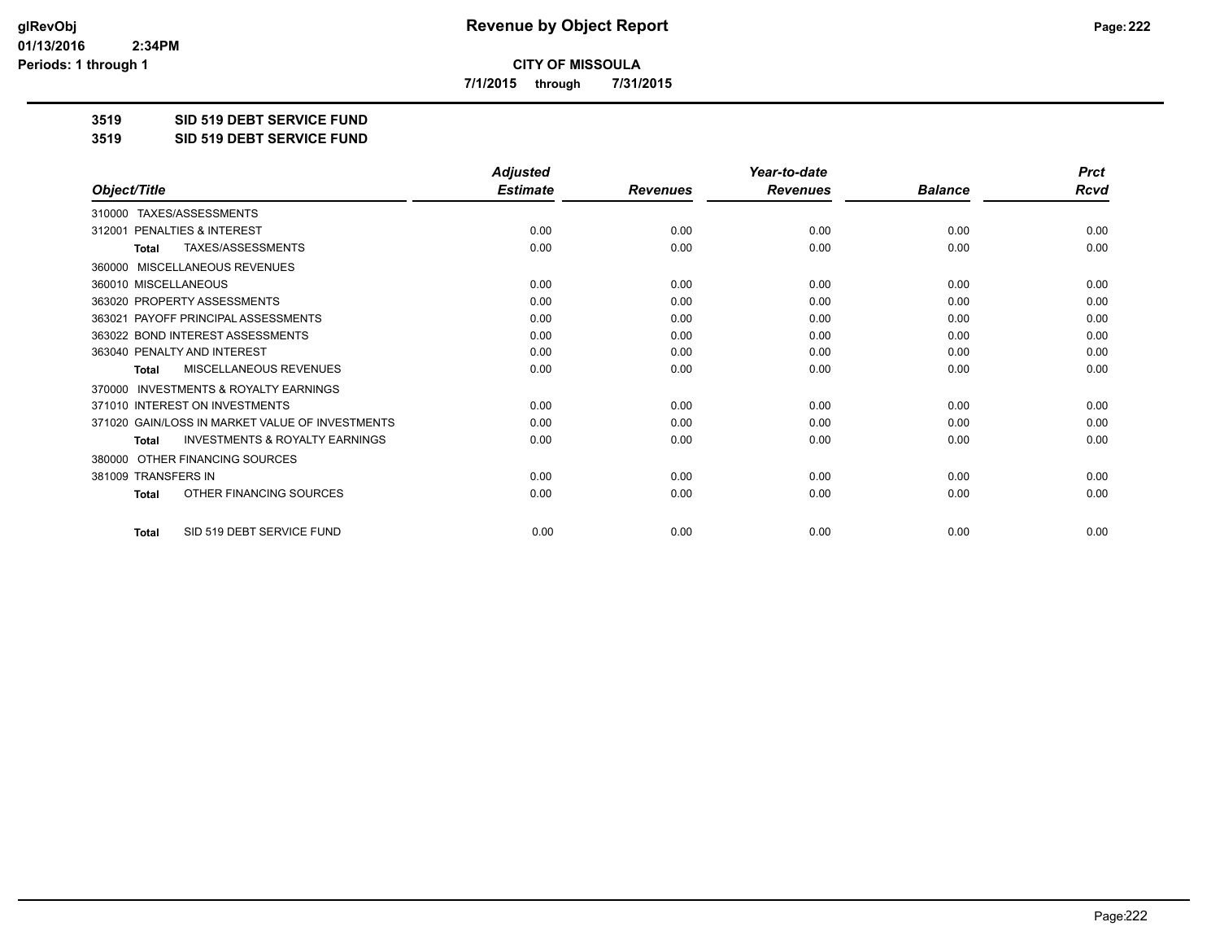**7/1/2015 through 7/31/2015**

**3519 SID 519 DEBT SERVICE FUND**

**3519 SID 519 DEBT SERVICE FUND**

|                                                           | <b>Adjusted</b> |                 | Year-to-date    |                | <b>Prct</b> |
|-----------------------------------------------------------|-----------------|-----------------|-----------------|----------------|-------------|
| Object/Title                                              | <b>Estimate</b> | <b>Revenues</b> | <b>Revenues</b> | <b>Balance</b> | <b>Rcvd</b> |
| 310000 TAXES/ASSESSMENTS                                  |                 |                 |                 |                |             |
| 312001 PENALTIES & INTEREST                               | 0.00            | 0.00            | 0.00            | 0.00           | 0.00        |
| <b>TAXES/ASSESSMENTS</b><br><b>Total</b>                  | 0.00            | 0.00            | 0.00            | 0.00           | 0.00        |
| MISCELLANEOUS REVENUES<br>360000                          |                 |                 |                 |                |             |
| 360010 MISCELLANEOUS                                      | 0.00            | 0.00            | 0.00            | 0.00           | 0.00        |
| 363020 PROPERTY ASSESSMENTS                               | 0.00            | 0.00            | 0.00            | 0.00           | 0.00        |
| 363021 PAYOFF PRINCIPAL ASSESSMENTS                       | 0.00            | 0.00            | 0.00            | 0.00           | 0.00        |
| 363022 BOND INTEREST ASSESSMENTS                          | 0.00            | 0.00            | 0.00            | 0.00           | 0.00        |
| 363040 PENALTY AND INTEREST                               | 0.00            | 0.00            | 0.00            | 0.00           | 0.00        |
| MISCELLANEOUS REVENUES<br><b>Total</b>                    | 0.00            | 0.00            | 0.00            | 0.00           | 0.00        |
| <b>INVESTMENTS &amp; ROYALTY EARNINGS</b><br>370000       |                 |                 |                 |                |             |
| 371010 INTEREST ON INVESTMENTS                            | 0.00            | 0.00            | 0.00            | 0.00           | 0.00        |
| 371020 GAIN/LOSS IN MARKET VALUE OF INVESTMENTS           | 0.00            | 0.00            | 0.00            | 0.00           | 0.00        |
| <b>INVESTMENTS &amp; ROYALTY EARNINGS</b><br><b>Total</b> | 0.00            | 0.00            | 0.00            | 0.00           | 0.00        |
| OTHER FINANCING SOURCES<br>380000                         |                 |                 |                 |                |             |
| 381009 TRANSFERS IN                                       | 0.00            | 0.00            | 0.00            | 0.00           | 0.00        |
| OTHER FINANCING SOURCES<br><b>Total</b>                   | 0.00            | 0.00            | 0.00            | 0.00           | 0.00        |
| SID 519 DEBT SERVICE FUND<br><b>Total</b>                 | 0.00            | 0.00            | 0.00            | 0.00           | 0.00        |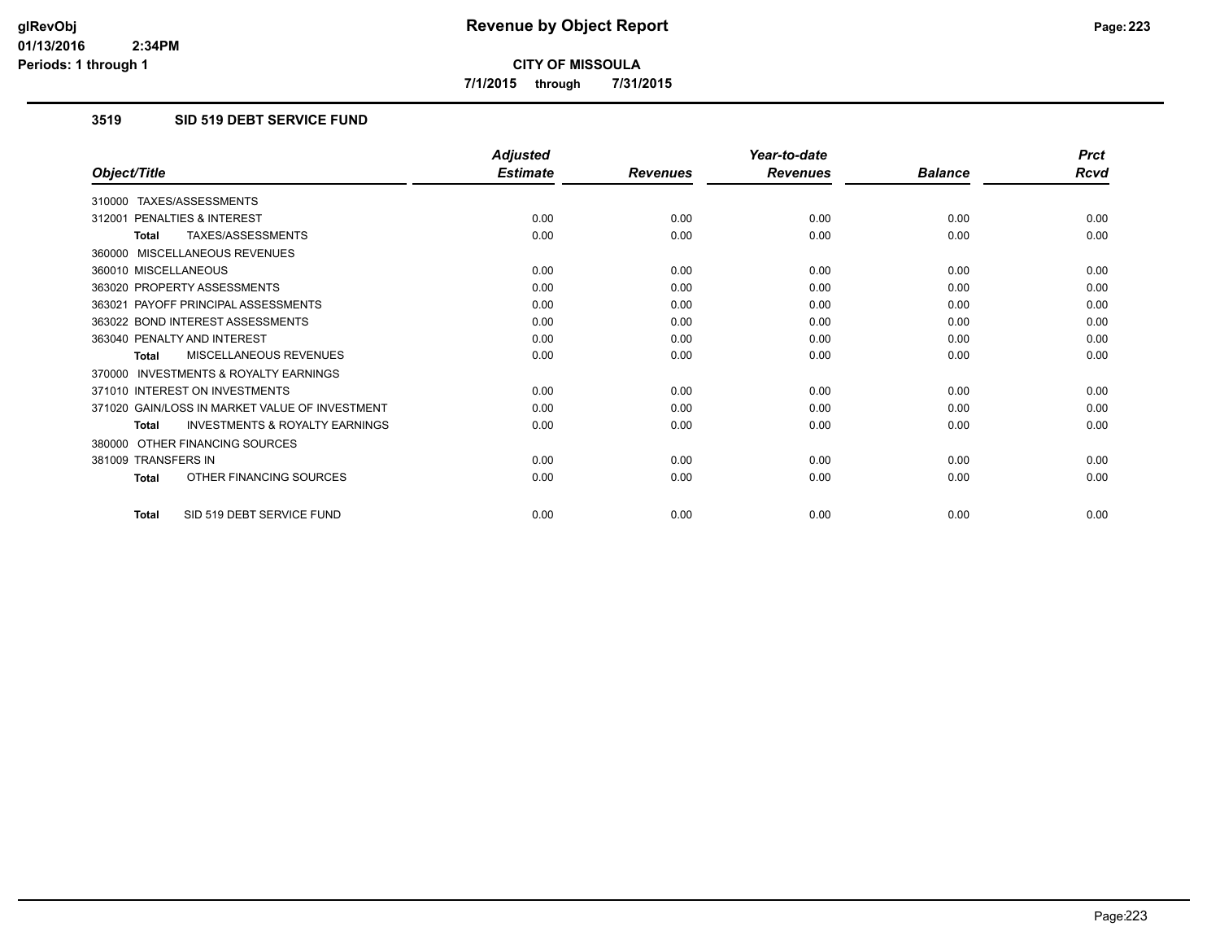**7/1/2015 through 7/31/2015**

## **3519 SID 519 DEBT SERVICE FUND**

|                                                           | <b>Adjusted</b> |                 | Year-to-date    |                | <b>Prct</b> |
|-----------------------------------------------------------|-----------------|-----------------|-----------------|----------------|-------------|
| Object/Title                                              | <b>Estimate</b> | <b>Revenues</b> | <b>Revenues</b> | <b>Balance</b> | <b>Rcvd</b> |
| 310000 TAXES/ASSESSMENTS                                  |                 |                 |                 |                |             |
| 312001 PENALTIES & INTEREST                               | 0.00            | 0.00            | 0.00            | 0.00           | 0.00        |
| TAXES/ASSESSMENTS<br><b>Total</b>                         | 0.00            | 0.00            | 0.00            | 0.00           | 0.00        |
| 360000 MISCELLANEOUS REVENUES                             |                 |                 |                 |                |             |
| 360010 MISCELLANEOUS                                      | 0.00            | 0.00            | 0.00            | 0.00           | 0.00        |
| 363020 PROPERTY ASSESSMENTS                               | 0.00            | 0.00            | 0.00            | 0.00           | 0.00        |
| 363021 PAYOFF PRINCIPAL ASSESSMENTS                       | 0.00            | 0.00            | 0.00            | 0.00           | 0.00        |
| 363022 BOND INTEREST ASSESSMENTS                          | 0.00            | 0.00            | 0.00            | 0.00           | 0.00        |
| 363040 PENALTY AND INTEREST                               | 0.00            | 0.00            | 0.00            | 0.00           | 0.00        |
| MISCELLANEOUS REVENUES<br><b>Total</b>                    | 0.00            | 0.00            | 0.00            | 0.00           | 0.00        |
| <b>INVESTMENTS &amp; ROYALTY EARNINGS</b><br>370000       |                 |                 |                 |                |             |
| 371010 INTEREST ON INVESTMENTS                            | 0.00            | 0.00            | 0.00            | 0.00           | 0.00        |
| 371020 GAIN/LOSS IN MARKET VALUE OF INVESTMENT            | 0.00            | 0.00            | 0.00            | 0.00           | 0.00        |
| <b>INVESTMENTS &amp; ROYALTY EARNINGS</b><br><b>Total</b> | 0.00            | 0.00            | 0.00            | 0.00           | 0.00        |
| 380000 OTHER FINANCING SOURCES                            |                 |                 |                 |                |             |
| 381009 TRANSFERS IN                                       | 0.00            | 0.00            | 0.00            | 0.00           | 0.00        |
| OTHER FINANCING SOURCES<br><b>Total</b>                   | 0.00            | 0.00            | 0.00            | 0.00           | 0.00        |
| SID 519 DEBT SERVICE FUND<br>Total                        | 0.00            | 0.00            | 0.00            | 0.00           | 0.00        |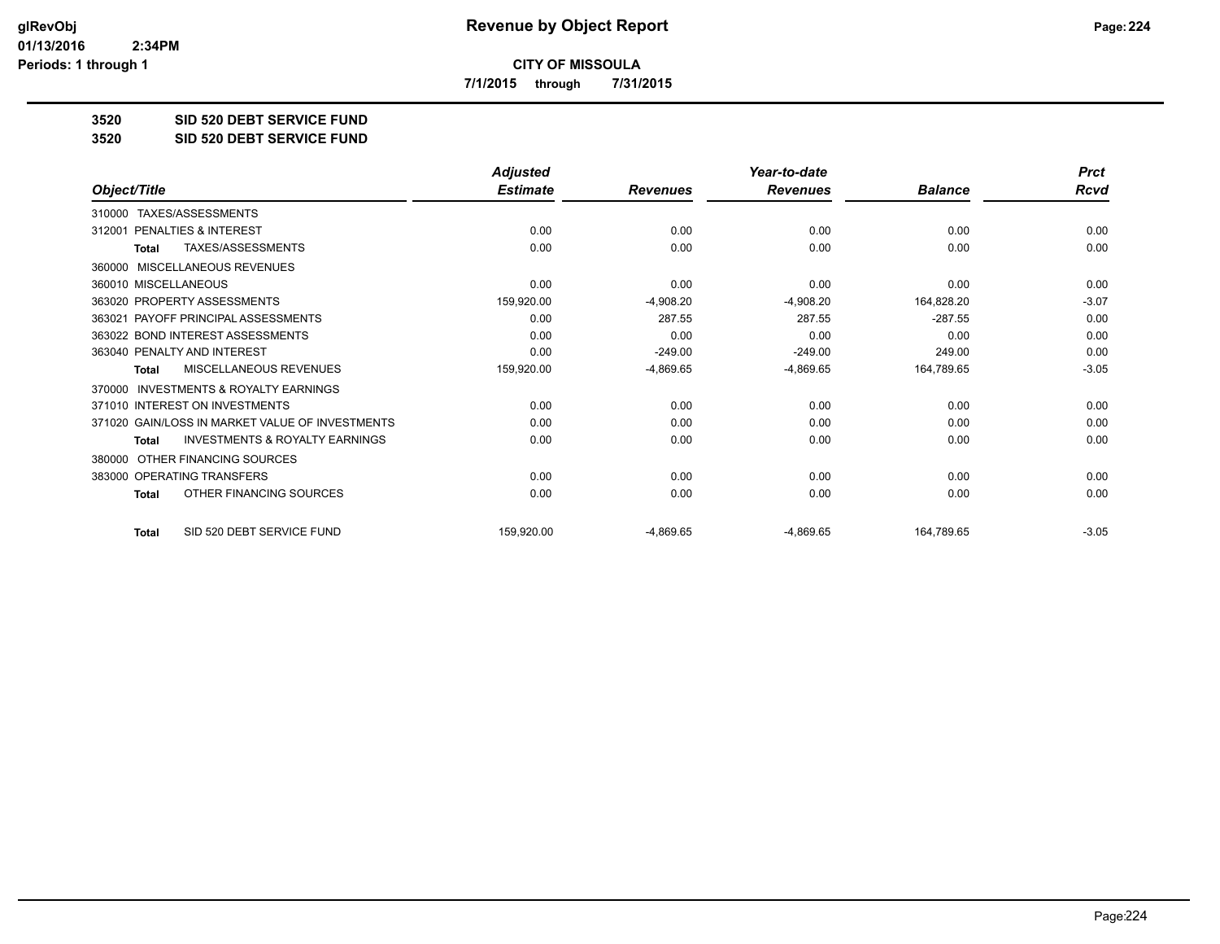**7/1/2015 through 7/31/2015**

**3520 SID 520 DEBT SERVICE FUND**

**3520 SID 520 DEBT SERVICE FUND**

|                                                     | <b>Adjusted</b> |                 | Year-to-date    |                | <b>Prct</b> |
|-----------------------------------------------------|-----------------|-----------------|-----------------|----------------|-------------|
| Object/Title                                        | <b>Estimate</b> | <b>Revenues</b> | <b>Revenues</b> | <b>Balance</b> | <b>Rcvd</b> |
| TAXES/ASSESSMENTS<br>310000                         |                 |                 |                 |                |             |
| PENALTIES & INTEREST<br>312001                      | 0.00            | 0.00            | 0.00            | 0.00           | 0.00        |
| TAXES/ASSESSMENTS<br><b>Total</b>                   | 0.00            | 0.00            | 0.00            | 0.00           | 0.00        |
| MISCELLANEOUS REVENUES<br>360000                    |                 |                 |                 |                |             |
| 360010 MISCELLANEOUS                                | 0.00            | 0.00            | 0.00            | 0.00           | 0.00        |
| 363020 PROPERTY ASSESSMENTS                         | 159,920.00      | $-4,908.20$     | $-4,908.20$     | 164,828.20     | $-3.07$     |
| 363021 PAYOFF PRINCIPAL ASSESSMENTS                 | 0.00            | 287.55          | 287.55          | $-287.55$      | 0.00        |
| 363022 BOND INTEREST ASSESSMENTS                    | 0.00            | 0.00            | 0.00            | 0.00           | 0.00        |
| 363040 PENALTY AND INTEREST                         | 0.00            | $-249.00$       | $-249.00$       | 249.00         | 0.00        |
| MISCELLANEOUS REVENUES<br>Total                     | 159,920.00      | $-4,869.65$     | $-4,869.65$     | 164,789.65     | $-3.05$     |
| <b>INVESTMENTS &amp; ROYALTY EARNINGS</b><br>370000 |                 |                 |                 |                |             |
| 371010 INTEREST ON INVESTMENTS                      | 0.00            | 0.00            | 0.00            | 0.00           | 0.00        |
| 371020 GAIN/LOSS IN MARKET VALUE OF INVESTMENTS     | 0.00            | 0.00            | 0.00            | 0.00           | 0.00        |
| <b>INVESTMENTS &amp; ROYALTY EARNINGS</b><br>Total  | 0.00            | 0.00            | 0.00            | 0.00           | 0.00        |
| OTHER FINANCING SOURCES<br>380000                   |                 |                 |                 |                |             |
| 383000 OPERATING TRANSFERS                          | 0.00            | 0.00            | 0.00            | 0.00           | 0.00        |
| OTHER FINANCING SOURCES<br><b>Total</b>             | 0.00            | 0.00            | 0.00            | 0.00           | 0.00        |
| SID 520 DEBT SERVICE FUND<br><b>Total</b>           | 159,920.00      | $-4,869.65$     | $-4,869.65$     | 164,789.65     | $-3.05$     |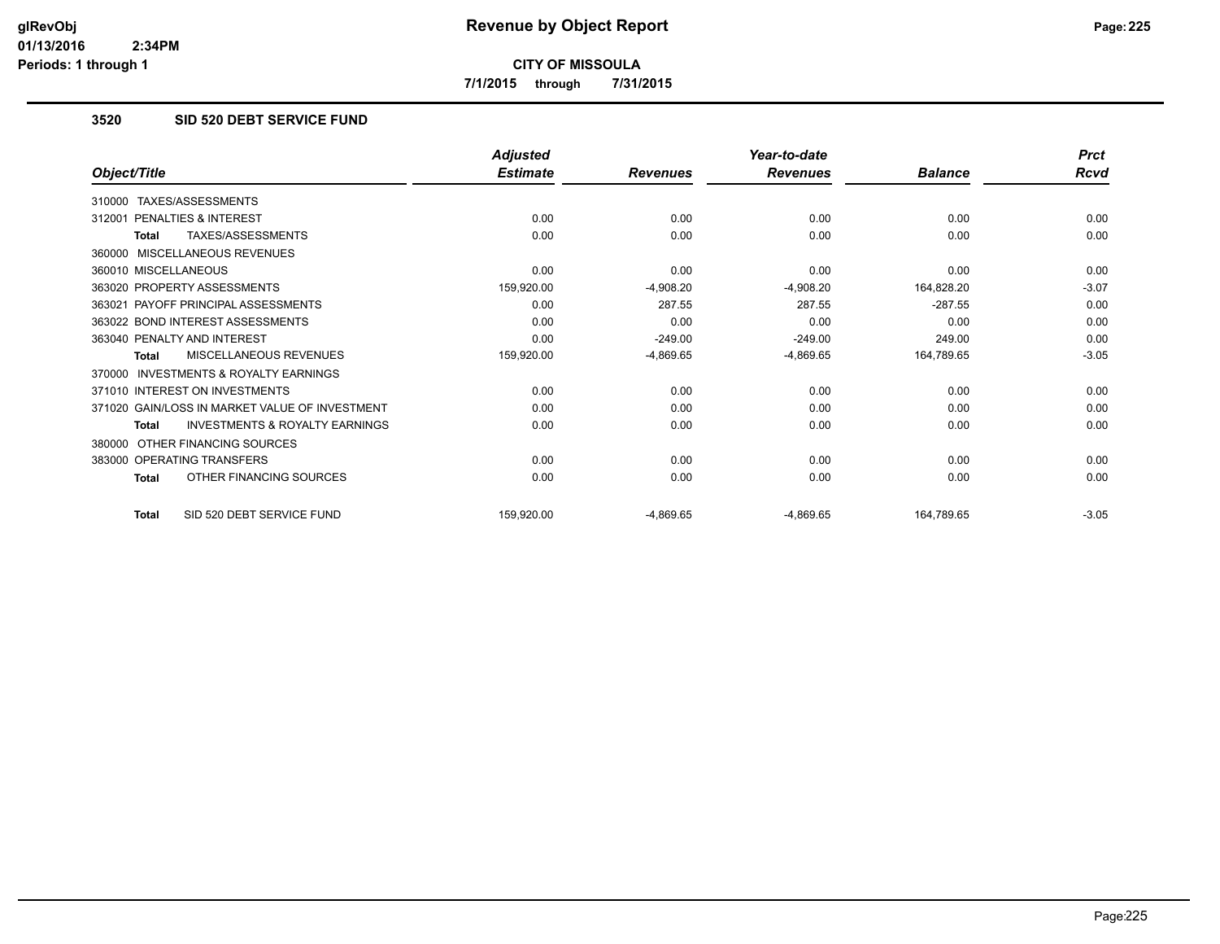**7/1/2015 through 7/31/2015**

## **3520 SID 520 DEBT SERVICE FUND**

|                                                    | <b>Adjusted</b> |                 | Year-to-date    |                | <b>Prct</b> |
|----------------------------------------------------|-----------------|-----------------|-----------------|----------------|-------------|
| Object/Title                                       | <b>Estimate</b> | <b>Revenues</b> | <b>Revenues</b> | <b>Balance</b> | <b>Rcvd</b> |
| 310000 TAXES/ASSESSMENTS                           |                 |                 |                 |                |             |
| PENALTIES & INTEREST<br>312001                     | 0.00            | 0.00            | 0.00            | 0.00           | 0.00        |
| TAXES/ASSESSMENTS<br>Total                         | 0.00            | 0.00            | 0.00            | 0.00           | 0.00        |
| 360000 MISCELLANEOUS REVENUES                      |                 |                 |                 |                |             |
| 360010 MISCELLANEOUS                               | 0.00            | 0.00            | 0.00            | 0.00           | 0.00        |
| 363020 PROPERTY ASSESSMENTS                        | 159,920.00      | $-4,908.20$     | $-4,908.20$     | 164,828.20     | $-3.07$     |
| 363021 PAYOFF PRINCIPAL ASSESSMENTS                | 0.00            | 287.55          | 287.55          | $-287.55$      | 0.00        |
| 363022 BOND INTEREST ASSESSMENTS                   | 0.00            | 0.00            | 0.00            | 0.00           | 0.00        |
| 363040 PENALTY AND INTEREST                        | 0.00            | $-249.00$       | $-249.00$       | 249.00         | 0.00        |
| MISCELLANEOUS REVENUES<br>Total                    | 159,920.00      | $-4,869.65$     | $-4,869.65$     | 164,789.65     | $-3.05$     |
| 370000 INVESTMENTS & ROYALTY EARNINGS              |                 |                 |                 |                |             |
| 371010 INTEREST ON INVESTMENTS                     | 0.00            | 0.00            | 0.00            | 0.00           | 0.00        |
| 371020 GAIN/LOSS IN MARKET VALUE OF INVESTMENT     | 0.00            | 0.00            | 0.00            | 0.00           | 0.00        |
| <b>INVESTMENTS &amp; ROYALTY EARNINGS</b><br>Total | 0.00            | 0.00            | 0.00            | 0.00           | 0.00        |
| OTHER FINANCING SOURCES<br>380000                  |                 |                 |                 |                |             |
| 383000 OPERATING TRANSFERS                         | 0.00            | 0.00            | 0.00            | 0.00           | 0.00        |
| OTHER FINANCING SOURCES<br>Total                   | 0.00            | 0.00            | 0.00            | 0.00           | 0.00        |
| SID 520 DEBT SERVICE FUND<br><b>Total</b>          | 159,920.00      | $-4,869.65$     | $-4,869.65$     | 164,789.65     | $-3.05$     |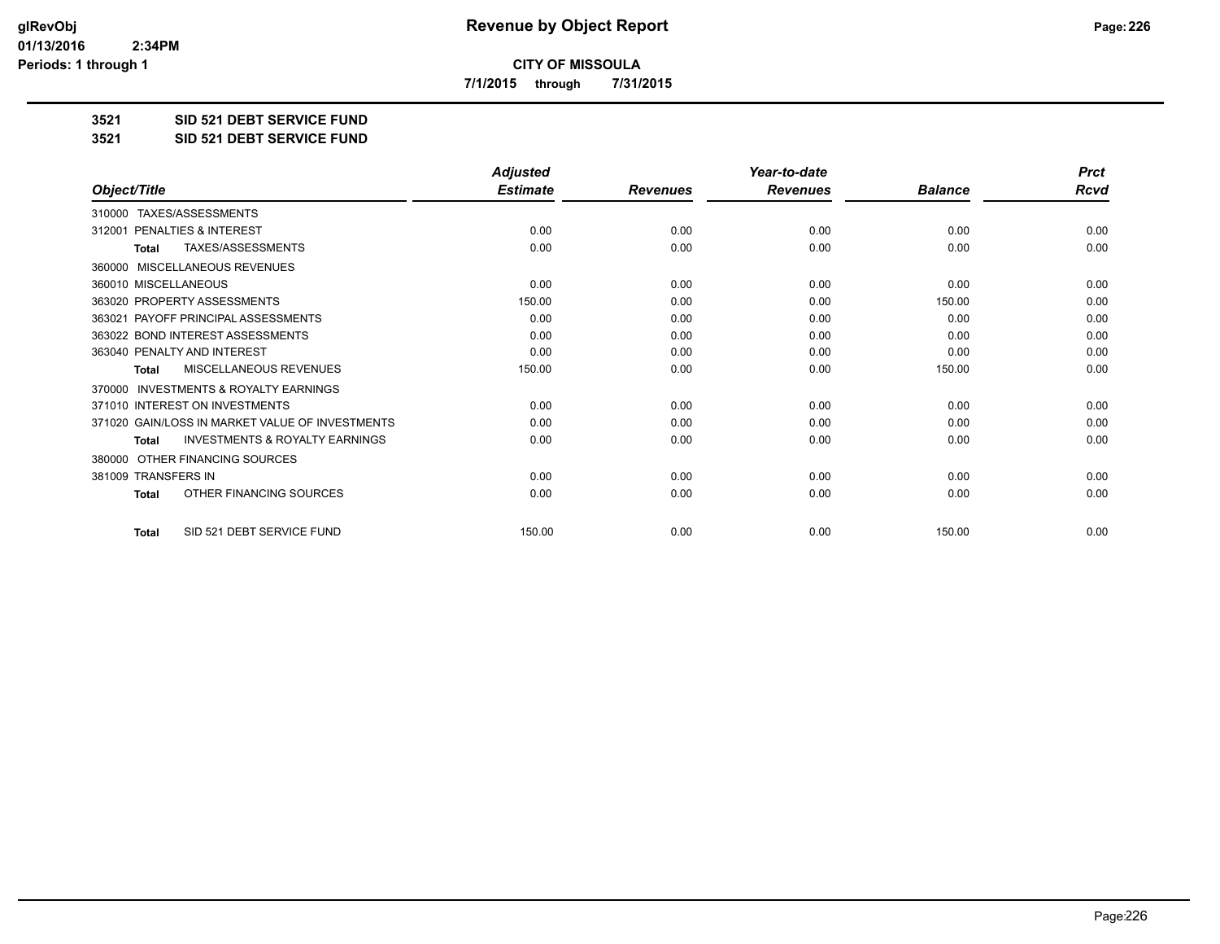**7/1/2015 through 7/31/2015**

**3521 SID 521 DEBT SERVICE FUND**

**3521 SID 521 DEBT SERVICE FUND**

|                                                           | <b>Adjusted</b> |                 | Year-to-date    |                | <b>Prct</b> |
|-----------------------------------------------------------|-----------------|-----------------|-----------------|----------------|-------------|
| Object/Title                                              | <b>Estimate</b> | <b>Revenues</b> | <b>Revenues</b> | <b>Balance</b> | <b>Rcvd</b> |
| TAXES/ASSESSMENTS<br>310000                               |                 |                 |                 |                |             |
| 312001 PENALTIES & INTEREST                               | 0.00            | 0.00            | 0.00            | 0.00           | 0.00        |
| TAXES/ASSESSMENTS<br><b>Total</b>                         | 0.00            | 0.00            | 0.00            | 0.00           | 0.00        |
| MISCELLANEOUS REVENUES<br>360000                          |                 |                 |                 |                |             |
| 360010 MISCELLANEOUS                                      | 0.00            | 0.00            | 0.00            | 0.00           | 0.00        |
| 363020 PROPERTY ASSESSMENTS                               | 150.00          | 0.00            | 0.00            | 150.00         | 0.00        |
| 363021 PAYOFF PRINCIPAL ASSESSMENTS                       | 0.00            | 0.00            | 0.00            | 0.00           | 0.00        |
| 363022 BOND INTEREST ASSESSMENTS                          | 0.00            | 0.00            | 0.00            | 0.00           | 0.00        |
| 363040 PENALTY AND INTEREST                               | 0.00            | 0.00            | 0.00            | 0.00           | 0.00        |
| <b>MISCELLANEOUS REVENUES</b><br><b>Total</b>             | 150.00          | 0.00            | 0.00            | 150.00         | 0.00        |
| <b>INVESTMENTS &amp; ROYALTY EARNINGS</b><br>370000       |                 |                 |                 |                |             |
| 371010 INTEREST ON INVESTMENTS                            | 0.00            | 0.00            | 0.00            | 0.00           | 0.00        |
| 371020 GAIN/LOSS IN MARKET VALUE OF INVESTMENTS           | 0.00            | 0.00            | 0.00            | 0.00           | 0.00        |
| <b>INVESTMENTS &amp; ROYALTY EARNINGS</b><br><b>Total</b> | 0.00            | 0.00            | 0.00            | 0.00           | 0.00        |
| OTHER FINANCING SOURCES<br>380000                         |                 |                 |                 |                |             |
| 381009 TRANSFERS IN                                       | 0.00            | 0.00            | 0.00            | 0.00           | 0.00        |
| OTHER FINANCING SOURCES<br><b>Total</b>                   | 0.00            | 0.00            | 0.00            | 0.00           | 0.00        |
| SID 521 DEBT SERVICE FUND<br><b>Total</b>                 | 150.00          | 0.00            | 0.00            | 150.00         | 0.00        |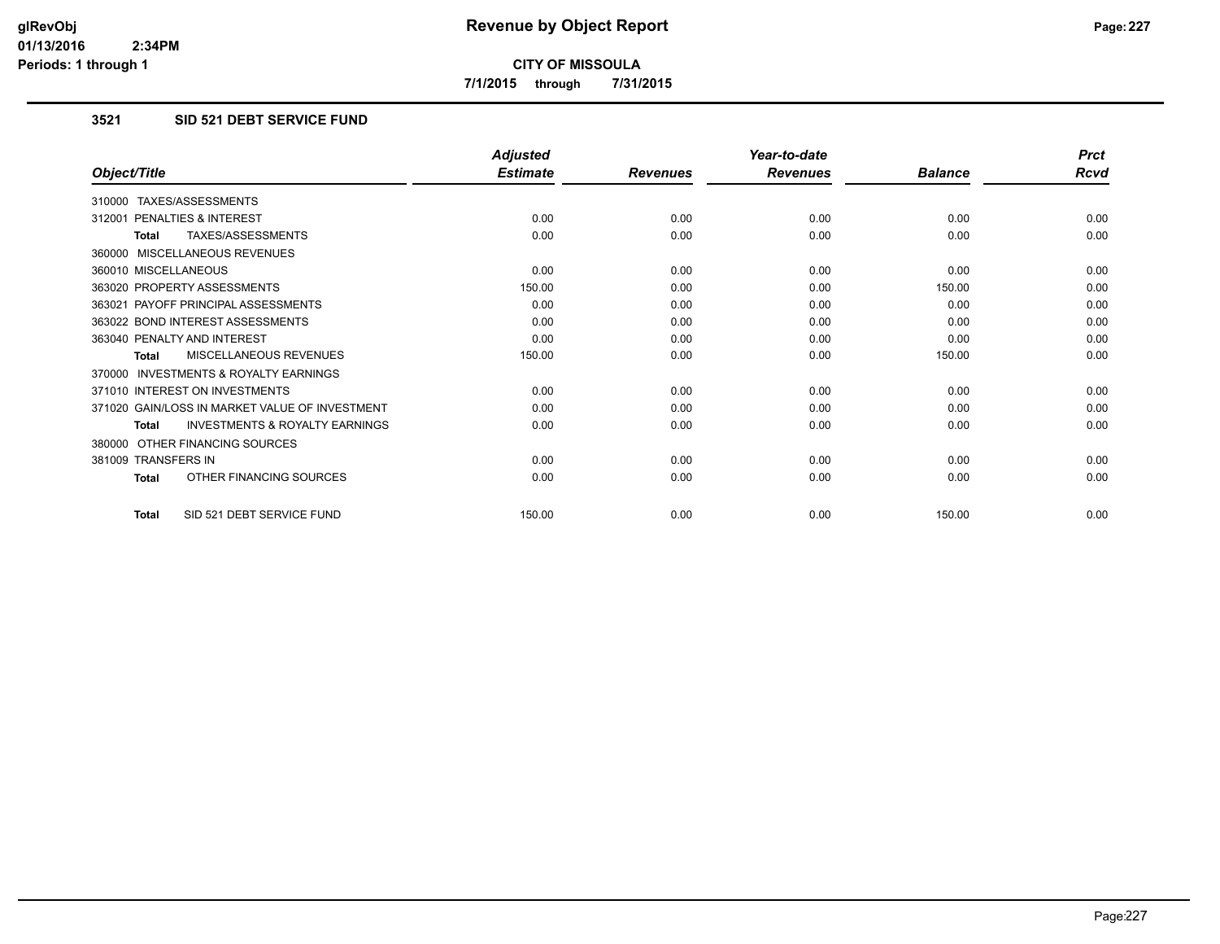**7/1/2015 through 7/31/2015**

## **3521 SID 521 DEBT SERVICE FUND**

|                                                           | <b>Adjusted</b> |                 | Year-to-date    |                | <b>Prct</b> |
|-----------------------------------------------------------|-----------------|-----------------|-----------------|----------------|-------------|
| Object/Title                                              | <b>Estimate</b> | <b>Revenues</b> | <b>Revenues</b> | <b>Balance</b> | Rcvd        |
| 310000 TAXES/ASSESSMENTS                                  |                 |                 |                 |                |             |
| 312001 PENALTIES & INTEREST                               | 0.00            | 0.00            | 0.00            | 0.00           | 0.00        |
| <b>TAXES/ASSESSMENTS</b><br><b>Total</b>                  | 0.00            | 0.00            | 0.00            | 0.00           | 0.00        |
| 360000 MISCELLANEOUS REVENUES                             |                 |                 |                 |                |             |
| 360010 MISCELLANEOUS                                      | 0.00            | 0.00            | 0.00            | 0.00           | 0.00        |
| 363020 PROPERTY ASSESSMENTS                               | 150.00          | 0.00            | 0.00            | 150.00         | 0.00        |
| 363021 PAYOFF PRINCIPAL ASSESSMENTS                       | 0.00            | 0.00            | 0.00            | 0.00           | 0.00        |
| 363022 BOND INTEREST ASSESSMENTS                          | 0.00            | 0.00            | 0.00            | 0.00           | 0.00        |
| 363040 PENALTY AND INTEREST                               | 0.00            | 0.00            | 0.00            | 0.00           | 0.00        |
| <b>MISCELLANEOUS REVENUES</b><br><b>Total</b>             | 150.00          | 0.00            | 0.00            | 150.00         | 0.00        |
| <b>INVESTMENTS &amp; ROYALTY EARNINGS</b><br>370000       |                 |                 |                 |                |             |
| 371010 INTEREST ON INVESTMENTS                            | 0.00            | 0.00            | 0.00            | 0.00           | 0.00        |
| 371020 GAIN/LOSS IN MARKET VALUE OF INVESTMENT            | 0.00            | 0.00            | 0.00            | 0.00           | 0.00        |
| <b>INVESTMENTS &amp; ROYALTY EARNINGS</b><br><b>Total</b> | 0.00            | 0.00            | 0.00            | 0.00           | 0.00        |
| 380000 OTHER FINANCING SOURCES                            |                 |                 |                 |                |             |
| 381009 TRANSFERS IN                                       | 0.00            | 0.00            | 0.00            | 0.00           | 0.00        |
| OTHER FINANCING SOURCES<br><b>Total</b>                   | 0.00            | 0.00            | 0.00            | 0.00           | 0.00        |
| SID 521 DEBT SERVICE FUND<br>Total                        | 150.00          | 0.00            | 0.00            | 150.00         | 0.00        |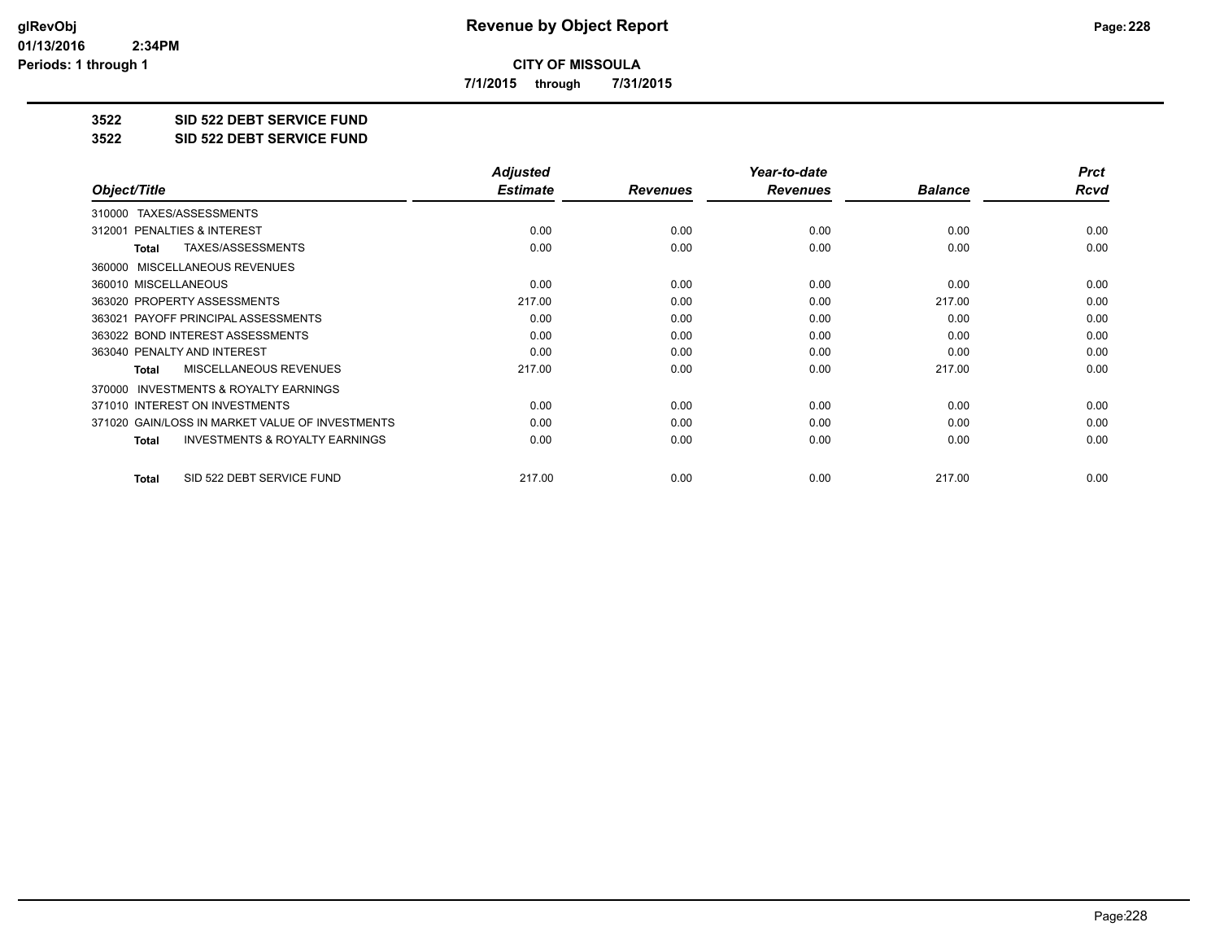**7/1/2015 through 7/31/2015**

**3522 SID 522 DEBT SERVICE FUND**

**3522 SID 522 DEBT SERVICE FUND**

|                                                           | <b>Adjusted</b> |                 | Year-to-date    |                | <b>Prct</b> |
|-----------------------------------------------------------|-----------------|-----------------|-----------------|----------------|-------------|
| Object/Title                                              | <b>Estimate</b> | <b>Revenues</b> | <b>Revenues</b> | <b>Balance</b> | Rcvd        |
| TAXES/ASSESSMENTS<br>310000                               |                 |                 |                 |                |             |
| PENALTIES & INTEREST<br>312001                            | 0.00            | 0.00            | 0.00            | 0.00           | 0.00        |
| TAXES/ASSESSMENTS<br><b>Total</b>                         | 0.00            | 0.00            | 0.00            | 0.00           | 0.00        |
| 360000 MISCELLANEOUS REVENUES                             |                 |                 |                 |                |             |
| 360010 MISCELLANEOUS                                      | 0.00            | 0.00            | 0.00            | 0.00           | 0.00        |
| 363020 PROPERTY ASSESSMENTS                               | 217.00          | 0.00            | 0.00            | 217.00         | 0.00        |
| 363021 PAYOFF PRINCIPAL ASSESSMENTS                       | 0.00            | 0.00            | 0.00            | 0.00           | 0.00        |
| 363022 BOND INTEREST ASSESSMENTS                          | 0.00            | 0.00            | 0.00            | 0.00           | 0.00        |
| 363040 PENALTY AND INTEREST                               | 0.00            | 0.00            | 0.00            | 0.00           | 0.00        |
| MISCELLANEOUS REVENUES<br>Total                           | 217.00          | 0.00            | 0.00            | 217.00         | 0.00        |
| 370000 INVESTMENTS & ROYALTY EARNINGS                     |                 |                 |                 |                |             |
| 371010 INTEREST ON INVESTMENTS                            | 0.00            | 0.00            | 0.00            | 0.00           | 0.00        |
| 371020 GAIN/LOSS IN MARKET VALUE OF INVESTMENTS           | 0.00            | 0.00            | 0.00            | 0.00           | 0.00        |
| <b>INVESTMENTS &amp; ROYALTY EARNINGS</b><br><b>Total</b> | 0.00            | 0.00            | 0.00            | 0.00           | 0.00        |
| SID 522 DEBT SERVICE FUND<br><b>Total</b>                 | 217.00          | 0.00            | 0.00            | 217.00         | 0.00        |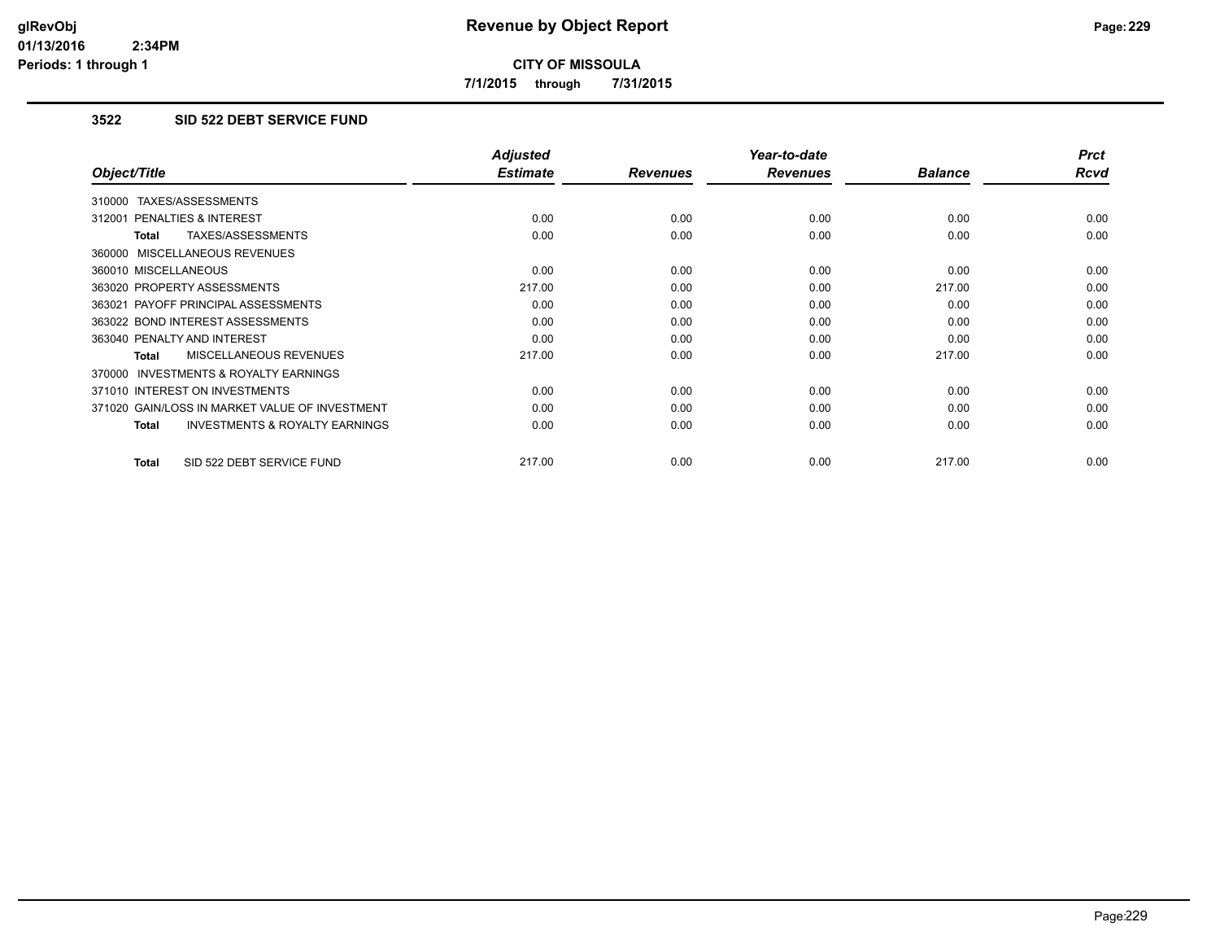**7/1/2015 through 7/31/2015**

### **3522 SID 522 DEBT SERVICE FUND**

|                                                           | <b>Adjusted</b> |                 | Year-to-date    |                | <b>Prct</b> |
|-----------------------------------------------------------|-----------------|-----------------|-----------------|----------------|-------------|
| Object/Title                                              | <b>Estimate</b> | <b>Revenues</b> | <b>Revenues</b> | <b>Balance</b> | <b>Rcvd</b> |
| 310000 TAXES/ASSESSMENTS                                  |                 |                 |                 |                |             |
| 312001 PENALTIES & INTEREST                               | 0.00            | 0.00            | 0.00            | 0.00           | 0.00        |
| TAXES/ASSESSMENTS<br><b>Total</b>                         | 0.00            | 0.00            | 0.00            | 0.00           | 0.00        |
| 360000 MISCELLANEOUS REVENUES                             |                 |                 |                 |                |             |
| 360010 MISCELLANEOUS                                      | 0.00            | 0.00            | 0.00            | 0.00           | 0.00        |
| 363020 PROPERTY ASSESSMENTS                               | 217.00          | 0.00            | 0.00            | 217.00         | 0.00        |
| 363021 PAYOFF PRINCIPAL ASSESSMENTS                       | 0.00            | 0.00            | 0.00            | 0.00           | 0.00        |
| 363022 BOND INTEREST ASSESSMENTS                          | 0.00            | 0.00            | 0.00            | 0.00           | 0.00        |
| 363040 PENALTY AND INTEREST                               | 0.00            | 0.00            | 0.00            | 0.00           | 0.00        |
| <b>MISCELLANEOUS REVENUES</b><br><b>Total</b>             | 217.00          | 0.00            | 0.00            | 217.00         | 0.00        |
| <b>INVESTMENTS &amp; ROYALTY EARNINGS</b><br>370000       |                 |                 |                 |                |             |
| 371010 INTEREST ON INVESTMENTS                            | 0.00            | 0.00            | 0.00            | 0.00           | 0.00        |
| 371020 GAIN/LOSS IN MARKET VALUE OF INVESTMENT            | 0.00            | 0.00            | 0.00            | 0.00           | 0.00        |
| <b>INVESTMENTS &amp; ROYALTY EARNINGS</b><br><b>Total</b> | 0.00            | 0.00            | 0.00            | 0.00           | 0.00        |
| SID 522 DEBT SERVICE FUND<br><b>Total</b>                 | 217.00          | 0.00            | 0.00            | 217.00         | 0.00        |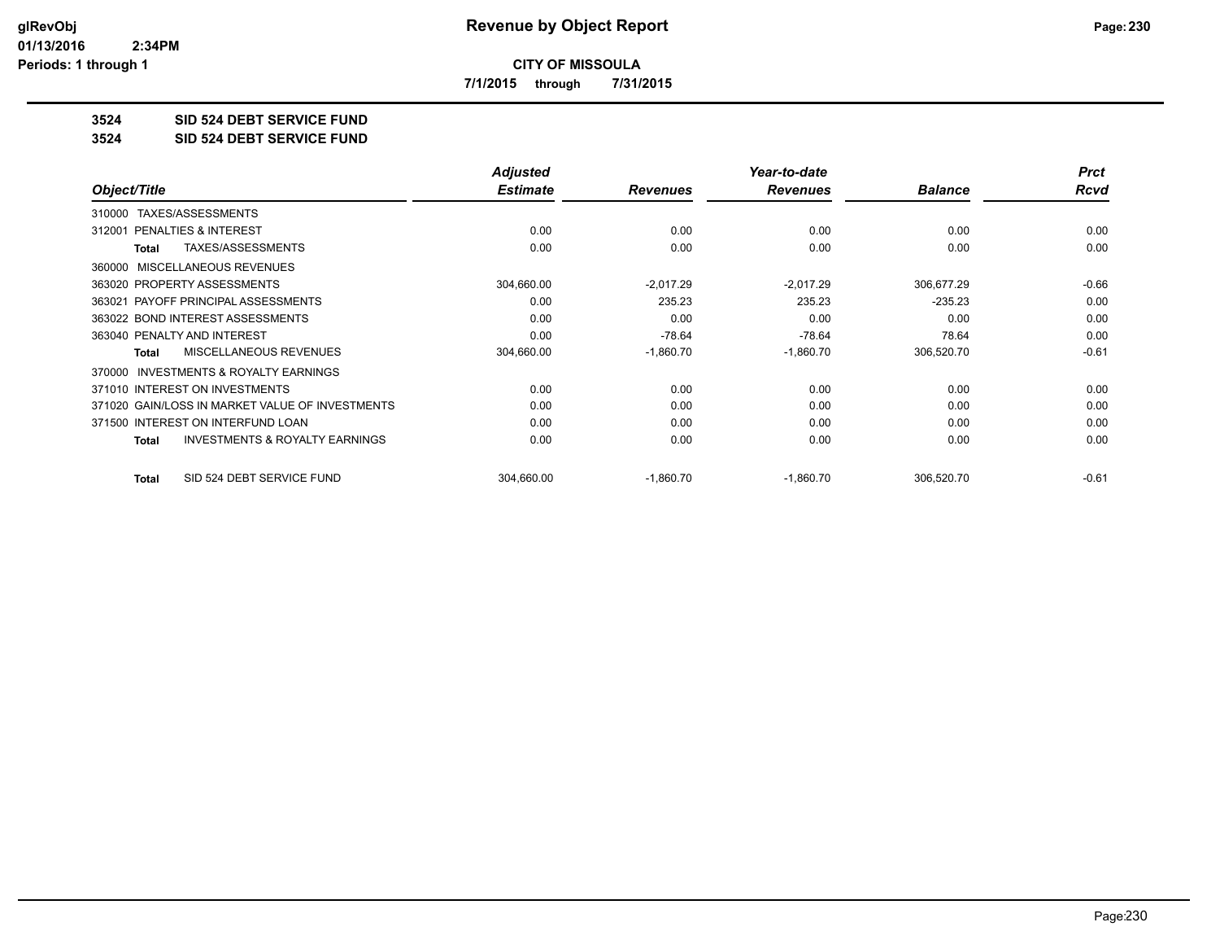**7/1/2015 through 7/31/2015**

**3524 SID 524 DEBT SERVICE FUND**

**3524 SID 524 DEBT SERVICE FUND**

|                                                           | <b>Adjusted</b> |                 | Year-to-date    |                | <b>Prct</b> |
|-----------------------------------------------------------|-----------------|-----------------|-----------------|----------------|-------------|
| Object/Title                                              | <b>Estimate</b> | <b>Revenues</b> | <b>Revenues</b> | <b>Balance</b> | Rcvd        |
| TAXES/ASSESSMENTS<br>310000                               |                 |                 |                 |                |             |
| 312001 PENALTIES & INTEREST                               | 0.00            | 0.00            | 0.00            | 0.00           | 0.00        |
| TAXES/ASSESSMENTS<br>Total                                | 0.00            | 0.00            | 0.00            | 0.00           | 0.00        |
| MISCELLANEOUS REVENUES<br>360000                          |                 |                 |                 |                |             |
| 363020 PROPERTY ASSESSMENTS                               | 304,660.00      | $-2,017.29$     | $-2,017.29$     | 306,677.29     | $-0.66$     |
| 363021 PAYOFF PRINCIPAL ASSESSMENTS                       | 0.00            | 235.23          | 235.23          | $-235.23$      | 0.00        |
| 363022 BOND INTEREST ASSESSMENTS                          | 0.00            | 0.00            | 0.00            | 0.00           | 0.00        |
| 363040 PENALTY AND INTEREST                               | 0.00            | $-78.64$        | $-78.64$        | 78.64          | 0.00        |
| MISCELLANEOUS REVENUES<br>Total                           | 304,660.00      | $-1,860.70$     | $-1,860.70$     | 306,520.70     | $-0.61$     |
| <b>INVESTMENTS &amp; ROYALTY EARNINGS</b><br>370000       |                 |                 |                 |                |             |
| 371010 INTEREST ON INVESTMENTS                            | 0.00            | 0.00            | 0.00            | 0.00           | 0.00        |
| 371020 GAIN/LOSS IN MARKET VALUE OF INVESTMENTS           | 0.00            | 0.00            | 0.00            | 0.00           | 0.00        |
| 371500 INTEREST ON INTERFUND LOAN                         | 0.00            | 0.00            | 0.00            | 0.00           | 0.00        |
| <b>INVESTMENTS &amp; ROYALTY EARNINGS</b><br><b>Total</b> | 0.00            | 0.00            | 0.00            | 0.00           | 0.00        |
| SID 524 DEBT SERVICE FUND<br><b>Total</b>                 | 304,660.00      | $-1,860.70$     | $-1,860.70$     | 306,520.70     | $-0.61$     |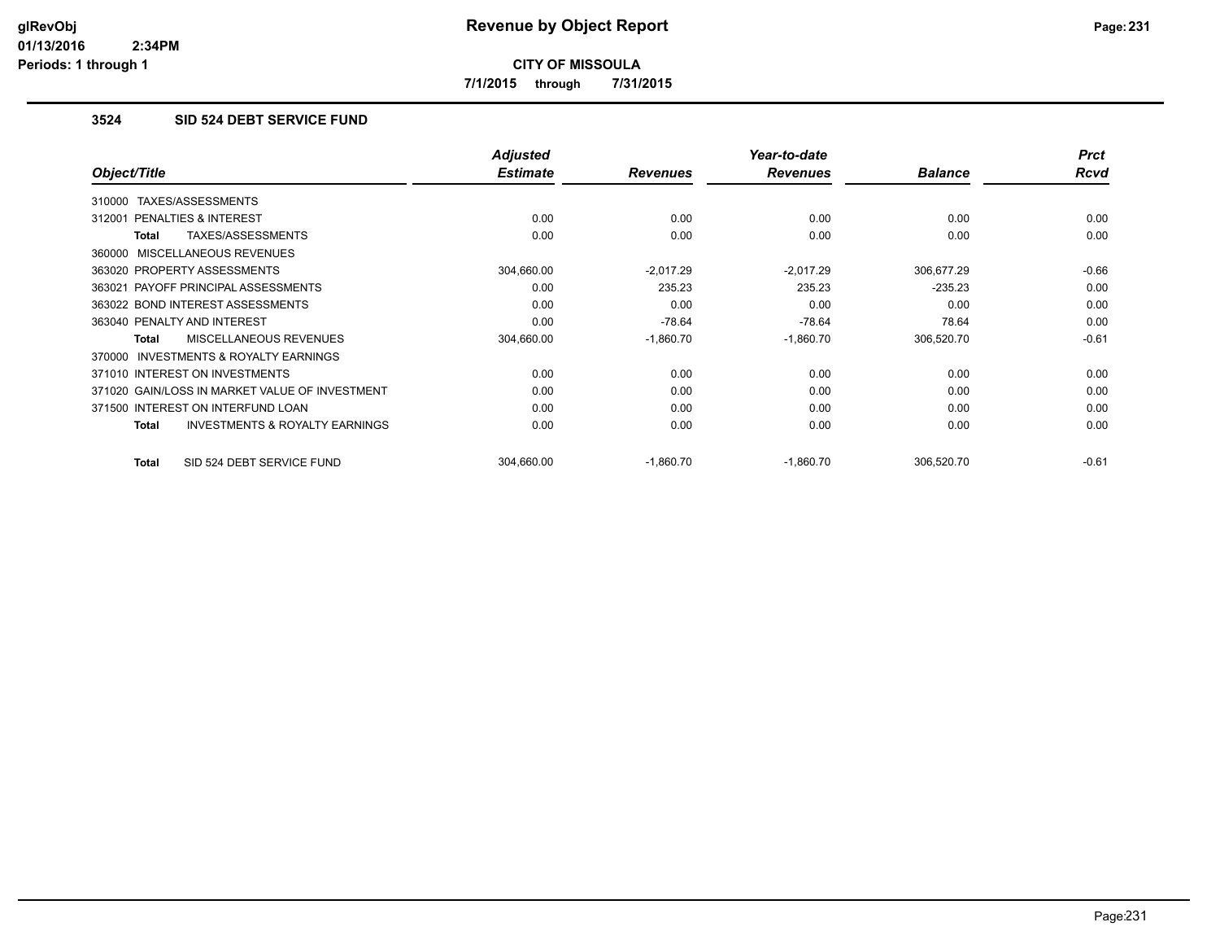**7/1/2015 through 7/31/2015**

## **3524 SID 524 DEBT SERVICE FUND**

|                                                     | <b>Adjusted</b> |                 | Year-to-date    |                | <b>Prct</b> |
|-----------------------------------------------------|-----------------|-----------------|-----------------|----------------|-------------|
| Object/Title                                        | <b>Estimate</b> | <b>Revenues</b> | <b>Revenues</b> | <b>Balance</b> | <b>Rcvd</b> |
| 310000 TAXES/ASSESSMENTS                            |                 |                 |                 |                |             |
| 312001 PENALTIES & INTEREST                         | 0.00            | 0.00            | 0.00            | 0.00           | 0.00        |
| TAXES/ASSESSMENTS<br>Total                          | 0.00            | 0.00            | 0.00            | 0.00           | 0.00        |
| 360000 MISCELLANEOUS REVENUES                       |                 |                 |                 |                |             |
| 363020 PROPERTY ASSESSMENTS                         | 304,660.00      | $-2.017.29$     | $-2.017.29$     | 306,677.29     | $-0.66$     |
| 363021 PAYOFF PRINCIPAL ASSESSMENTS                 | 0.00            | 235.23          | 235.23          | $-235.23$      | 0.00        |
| 363022 BOND INTEREST ASSESSMENTS                    | 0.00            | 0.00            | 0.00            | 0.00           | 0.00        |
| 363040 PENALTY AND INTEREST                         | 0.00            | $-78.64$        | $-78.64$        | 78.64          | 0.00        |
| MISCELLANEOUS REVENUES<br><b>Total</b>              | 304,660.00      | $-1,860.70$     | $-1,860.70$     | 306,520.70     | $-0.61$     |
| <b>INVESTMENTS &amp; ROYALTY EARNINGS</b><br>370000 |                 |                 |                 |                |             |
| 371010 INTEREST ON INVESTMENTS                      | 0.00            | 0.00            | 0.00            | 0.00           | 0.00        |
| 371020 GAIN/LOSS IN MARKET VALUE OF INVESTMENT      | 0.00            | 0.00            | 0.00            | 0.00           | 0.00        |
| 371500 INTEREST ON INTERFUND LOAN                   | 0.00            | 0.00            | 0.00            | 0.00           | 0.00        |
| <b>INVESTMENTS &amp; ROYALTY EARNINGS</b><br>Total  | 0.00            | 0.00            | 0.00            | 0.00           | 0.00        |
| SID 524 DEBT SERVICE FUND<br>Total                  | 304.660.00      | $-1,860.70$     | $-1,860.70$     | 306,520.70     | $-0.61$     |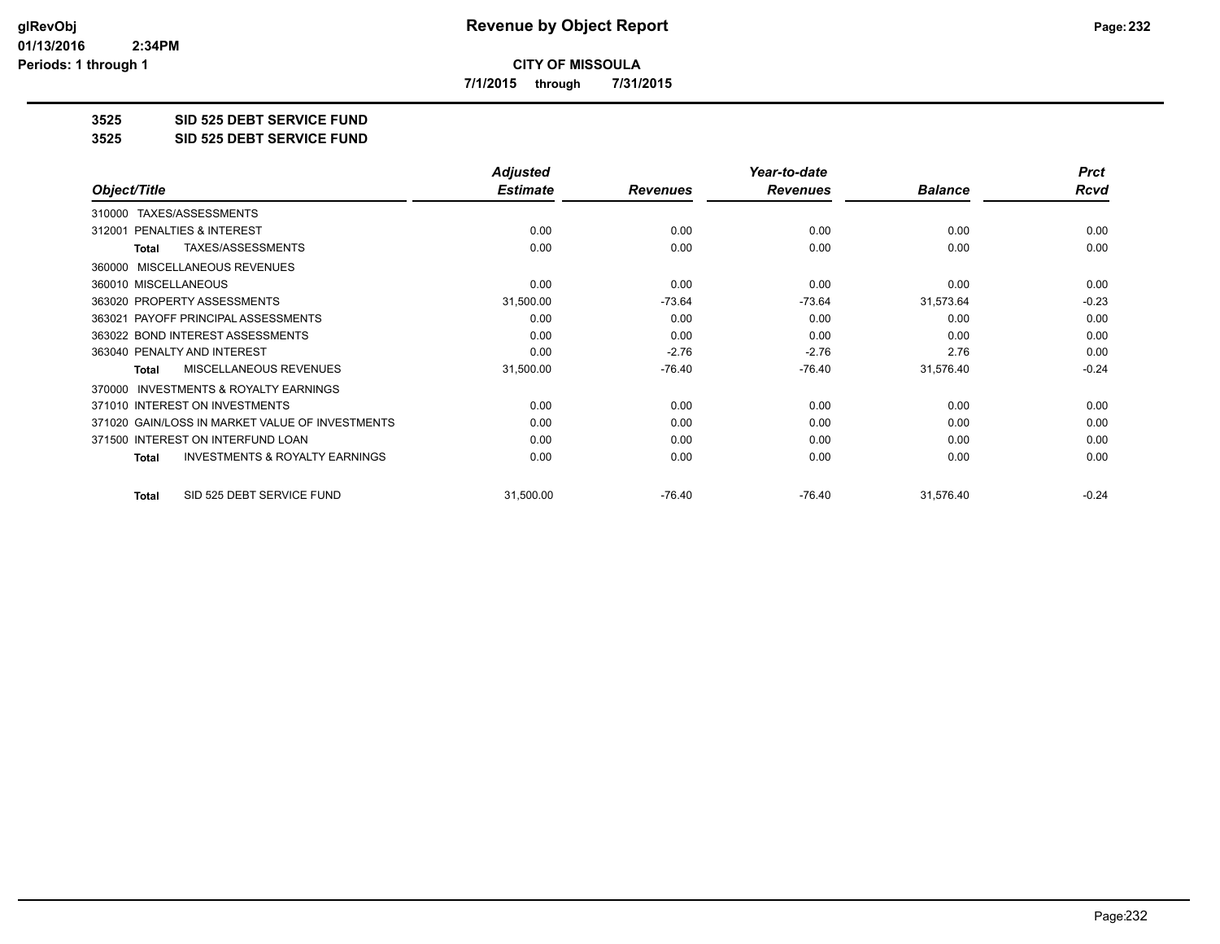**7/1/2015 through 7/31/2015**

**3525 SID 525 DEBT SERVICE FUND**

**3525 SID 525 DEBT SERVICE FUND**

|                                                           | <b>Adjusted</b> |                 | Year-to-date    |                | <b>Prct</b> |
|-----------------------------------------------------------|-----------------|-----------------|-----------------|----------------|-------------|
| Object/Title                                              | <b>Estimate</b> | <b>Revenues</b> | <b>Revenues</b> | <b>Balance</b> | Rcvd        |
| TAXES/ASSESSMENTS<br>310000                               |                 |                 |                 |                |             |
| PENALTIES & INTEREST<br>312001                            | 0.00            | 0.00            | 0.00            | 0.00           | 0.00        |
| TAXES/ASSESSMENTS<br><b>Total</b>                         | 0.00            | 0.00            | 0.00            | 0.00           | 0.00        |
| MISCELLANEOUS REVENUES<br>360000                          |                 |                 |                 |                |             |
| 360010 MISCELLANEOUS                                      | 0.00            | 0.00            | 0.00            | 0.00           | 0.00        |
| 363020 PROPERTY ASSESSMENTS                               | 31,500.00       | $-73.64$        | $-73.64$        | 31,573.64      | $-0.23$     |
| 363021 PAYOFF PRINCIPAL ASSESSMENTS                       | 0.00            | 0.00            | 0.00            | 0.00           | 0.00        |
| 363022 BOND INTEREST ASSESSMENTS                          | 0.00            | 0.00            | 0.00            | 0.00           | 0.00        |
| 363040 PENALTY AND INTEREST                               | 0.00            | $-2.76$         | $-2.76$         | 2.76           | 0.00        |
| <b>MISCELLANEOUS REVENUES</b><br><b>Total</b>             | 31,500.00       | $-76.40$        | $-76.40$        | 31,576.40      | $-0.24$     |
| <b>INVESTMENTS &amp; ROYALTY EARNINGS</b><br>370000       |                 |                 |                 |                |             |
| 371010 INTEREST ON INVESTMENTS                            | 0.00            | 0.00            | 0.00            | 0.00           | 0.00        |
| 371020 GAIN/LOSS IN MARKET VALUE OF INVESTMENTS           | 0.00            | 0.00            | 0.00            | 0.00           | 0.00        |
| 371500 INTEREST ON INTERFUND LOAN                         | 0.00            | 0.00            | 0.00            | 0.00           | 0.00        |
| <b>INVESTMENTS &amp; ROYALTY EARNINGS</b><br><b>Total</b> | 0.00            | 0.00            | 0.00            | 0.00           | 0.00        |
| SID 525 DEBT SERVICE FUND<br><b>Total</b>                 | 31,500.00       | $-76.40$        | $-76.40$        | 31,576.40      | $-0.24$     |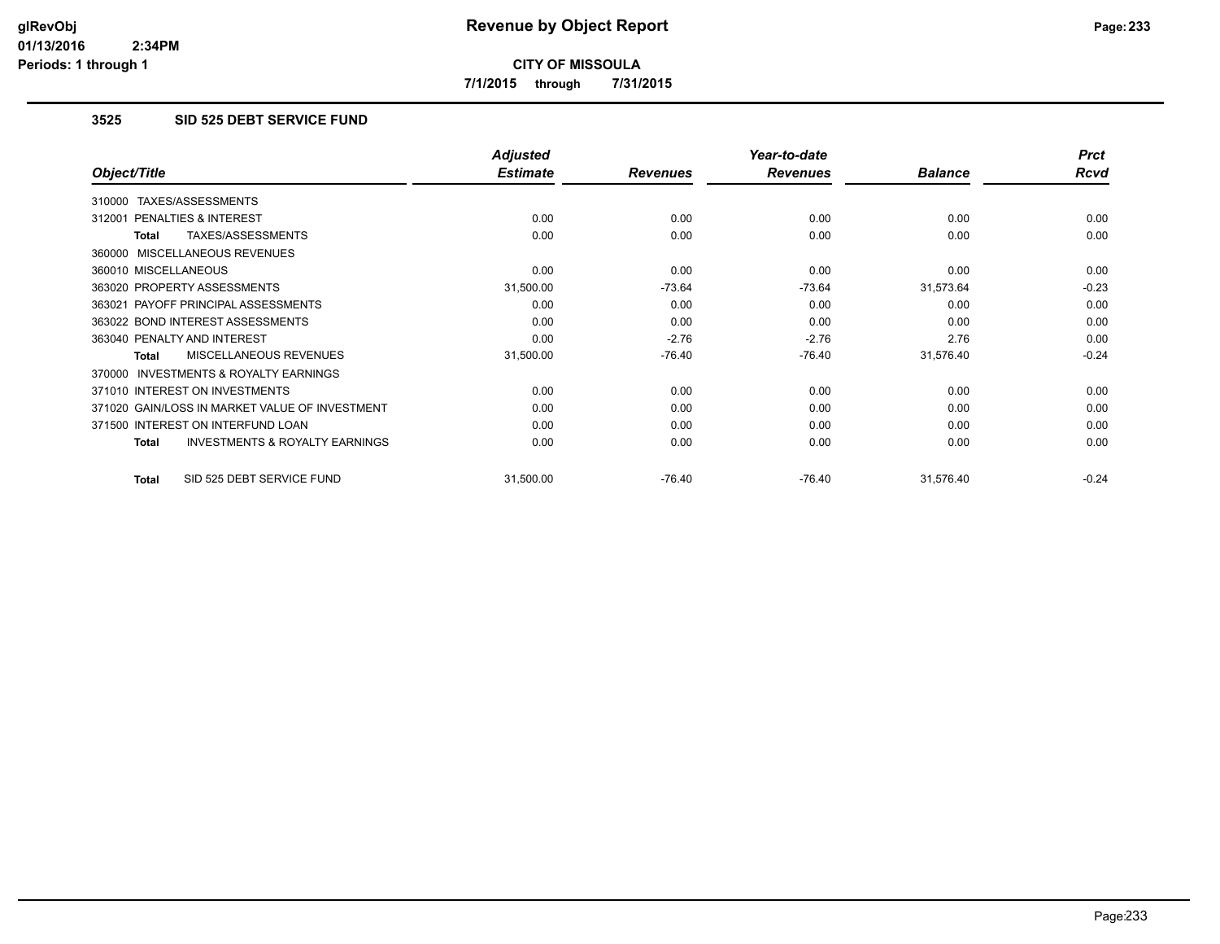**7/1/2015 through 7/31/2015**

## **3525 SID 525 DEBT SERVICE FUND**

|                                                    | <b>Adjusted</b> |                 | Year-to-date    |                | <b>Prct</b> |
|----------------------------------------------------|-----------------|-----------------|-----------------|----------------|-------------|
| Object/Title                                       | <b>Estimate</b> | <b>Revenues</b> | <b>Revenues</b> | <b>Balance</b> | Rcvd        |
| TAXES/ASSESSMENTS<br>310000                        |                 |                 |                 |                |             |
| 312001 PENALTIES & INTEREST                        | 0.00            | 0.00            | 0.00            | 0.00           | 0.00        |
| TAXES/ASSESSMENTS<br>Total                         | 0.00            | 0.00            | 0.00            | 0.00           | 0.00        |
| 360000 MISCELLANEOUS REVENUES                      |                 |                 |                 |                |             |
| 360010 MISCELLANEOUS                               | 0.00            | 0.00            | 0.00            | 0.00           | 0.00        |
| 363020 PROPERTY ASSESSMENTS                        | 31,500.00       | $-73.64$        | $-73.64$        | 31,573.64      | $-0.23$     |
| 363021 PAYOFF PRINCIPAL ASSESSMENTS                | 0.00            | 0.00            | 0.00            | 0.00           | 0.00        |
| 363022 BOND INTEREST ASSESSMENTS                   | 0.00            | 0.00            | 0.00            | 0.00           | 0.00        |
| 363040 PENALTY AND INTEREST                        | 0.00            | $-2.76$         | $-2.76$         | 2.76           | 0.00        |
| MISCELLANEOUS REVENUES<br>Total                    | 31,500.00       | $-76.40$        | $-76.40$        | 31,576.40      | $-0.24$     |
| 370000 INVESTMENTS & ROYALTY EARNINGS              |                 |                 |                 |                |             |
| 371010 INTEREST ON INVESTMENTS                     | 0.00            | 0.00            | 0.00            | 0.00           | 0.00        |
| 371020 GAIN/LOSS IN MARKET VALUE OF INVESTMENT     | 0.00            | 0.00            | 0.00            | 0.00           | 0.00        |
| 371500 INTEREST ON INTERFUND LOAN                  | 0.00            | 0.00            | 0.00            | 0.00           | 0.00        |
| <b>INVESTMENTS &amp; ROYALTY EARNINGS</b><br>Total | 0.00            | 0.00            | 0.00            | 0.00           | 0.00        |
| SID 525 DEBT SERVICE FUND<br>Total                 | 31,500.00       | $-76.40$        | $-76.40$        | 31,576.40      | $-0.24$     |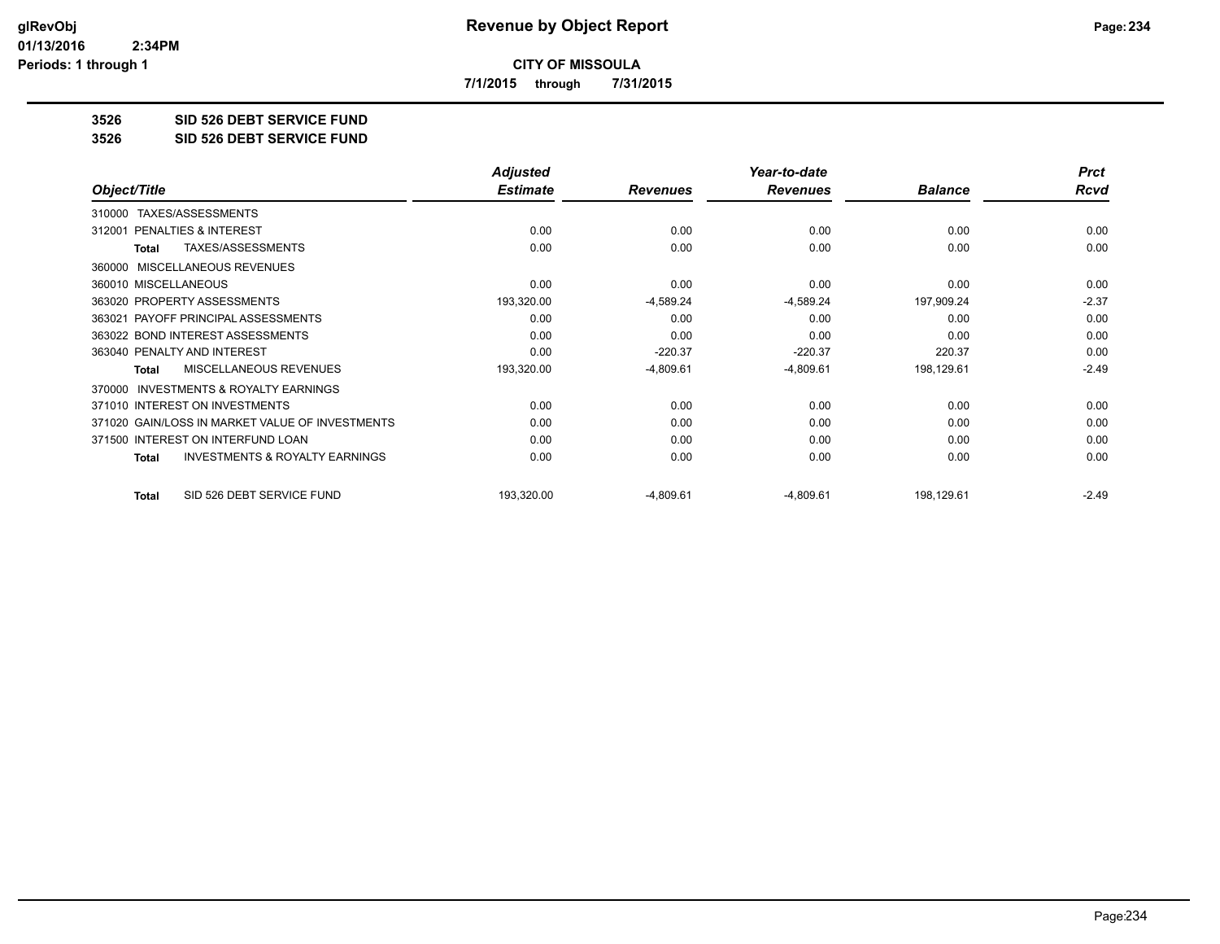**7/1/2015 through 7/31/2015**

**3526 SID 526 DEBT SERVICE FUND**

**3526 SID 526 DEBT SERVICE FUND**

|                                                           | <b>Adjusted</b> |                 | Year-to-date    |                | <b>Prct</b> |
|-----------------------------------------------------------|-----------------|-----------------|-----------------|----------------|-------------|
| Object/Title                                              | <b>Estimate</b> | <b>Revenues</b> | <b>Revenues</b> | <b>Balance</b> | <b>Rcvd</b> |
| TAXES/ASSESSMENTS<br>310000                               |                 |                 |                 |                |             |
| PENALTIES & INTEREST<br>312001                            | 0.00            | 0.00            | 0.00            | 0.00           | 0.00        |
| TAXES/ASSESSMENTS<br>Total                                | 0.00            | 0.00            | 0.00            | 0.00           | 0.00        |
| MISCELLANEOUS REVENUES<br>360000                          |                 |                 |                 |                |             |
| 360010 MISCELLANEOUS                                      | 0.00            | 0.00            | 0.00            | 0.00           | 0.00        |
| 363020 PROPERTY ASSESSMENTS                               | 193,320.00      | $-4,589.24$     | $-4,589.24$     | 197,909.24     | $-2.37$     |
| 363021 PAYOFF PRINCIPAL ASSESSMENTS                       | 0.00            | 0.00            | 0.00            | 0.00           | 0.00        |
| 363022 BOND INTEREST ASSESSMENTS                          | 0.00            | 0.00            | 0.00            | 0.00           | 0.00        |
| 363040 PENALTY AND INTEREST                               | 0.00            | $-220.37$       | $-220.37$       | 220.37         | 0.00        |
| MISCELLANEOUS REVENUES<br>Total                           | 193,320.00      | $-4,809.61$     | $-4,809.61$     | 198,129.61     | $-2.49$     |
| <b>INVESTMENTS &amp; ROYALTY EARNINGS</b><br>370000       |                 |                 |                 |                |             |
| 371010 INTEREST ON INVESTMENTS                            | 0.00            | 0.00            | 0.00            | 0.00           | 0.00        |
| 371020 GAIN/LOSS IN MARKET VALUE OF INVESTMENTS           | 0.00            | 0.00            | 0.00            | 0.00           | 0.00        |
| 371500 INTEREST ON INTERFUND LOAN                         | 0.00            | 0.00            | 0.00            | 0.00           | 0.00        |
| <b>INVESTMENTS &amp; ROYALTY EARNINGS</b><br><b>Total</b> | 0.00            | 0.00            | 0.00            | 0.00           | 0.00        |
| SID 526 DEBT SERVICE FUND<br><b>Total</b>                 | 193,320.00      | $-4,809.61$     | $-4,809.61$     | 198,129.61     | $-2.49$     |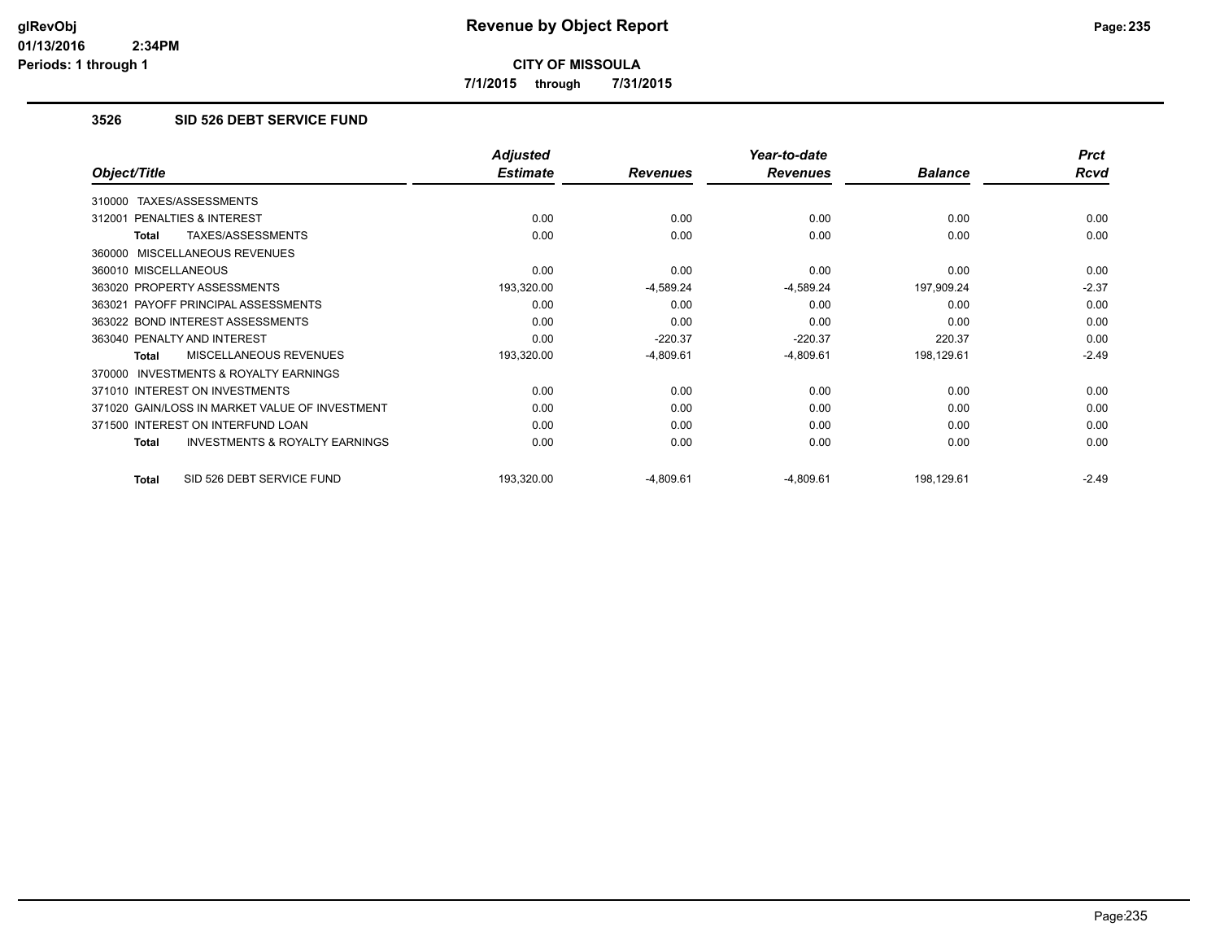**7/1/2015 through 7/31/2015**

## **3526 SID 526 DEBT SERVICE FUND**

|                                                           | <b>Adjusted</b> |                 | Year-to-date    |                | <b>Prct</b> |
|-----------------------------------------------------------|-----------------|-----------------|-----------------|----------------|-------------|
| Object/Title                                              | <b>Estimate</b> | <b>Revenues</b> | <b>Revenues</b> | <b>Balance</b> | Rcvd        |
| TAXES/ASSESSMENTS<br>310000                               |                 |                 |                 |                |             |
| PENALTIES & INTEREST<br>312001                            | 0.00            | 0.00            | 0.00            | 0.00           | 0.00        |
| TAXES/ASSESSMENTS<br>Total                                | 0.00            | 0.00            | 0.00            | 0.00           | 0.00        |
| 360000 MISCELLANEOUS REVENUES                             |                 |                 |                 |                |             |
| 360010 MISCELLANEOUS                                      | 0.00            | 0.00            | 0.00            | 0.00           | 0.00        |
| 363020 PROPERTY ASSESSMENTS                               | 193,320.00      | $-4,589.24$     | $-4,589.24$     | 197,909.24     | $-2.37$     |
| 363021 PAYOFF PRINCIPAL ASSESSMENTS                       | 0.00            | 0.00            | 0.00            | 0.00           | 0.00        |
| 363022 BOND INTEREST ASSESSMENTS                          | 0.00            | 0.00            | 0.00            | 0.00           | 0.00        |
| 363040 PENALTY AND INTEREST                               | 0.00            | $-220.37$       | $-220.37$       | 220.37         | 0.00        |
| MISCELLANEOUS REVENUES<br><b>Total</b>                    | 193,320.00      | $-4,809.61$     | $-4,809.61$     | 198,129.61     | $-2.49$     |
| 370000 INVESTMENTS & ROYALTY EARNINGS                     |                 |                 |                 |                |             |
| 371010 INTEREST ON INVESTMENTS                            | 0.00            | 0.00            | 0.00            | 0.00           | 0.00        |
| 371020 GAIN/LOSS IN MARKET VALUE OF INVESTMENT            | 0.00            | 0.00            | 0.00            | 0.00           | 0.00        |
| 371500 INTEREST ON INTERFUND LOAN                         | 0.00            | 0.00            | 0.00            | 0.00           | 0.00        |
| <b>INVESTMENTS &amp; ROYALTY EARNINGS</b><br><b>Total</b> | 0.00            | 0.00            | 0.00            | 0.00           | 0.00        |
| SID 526 DEBT SERVICE FUND<br><b>Total</b>                 | 193,320.00      | $-4,809.61$     | $-4,809.61$     | 198,129.61     | $-2.49$     |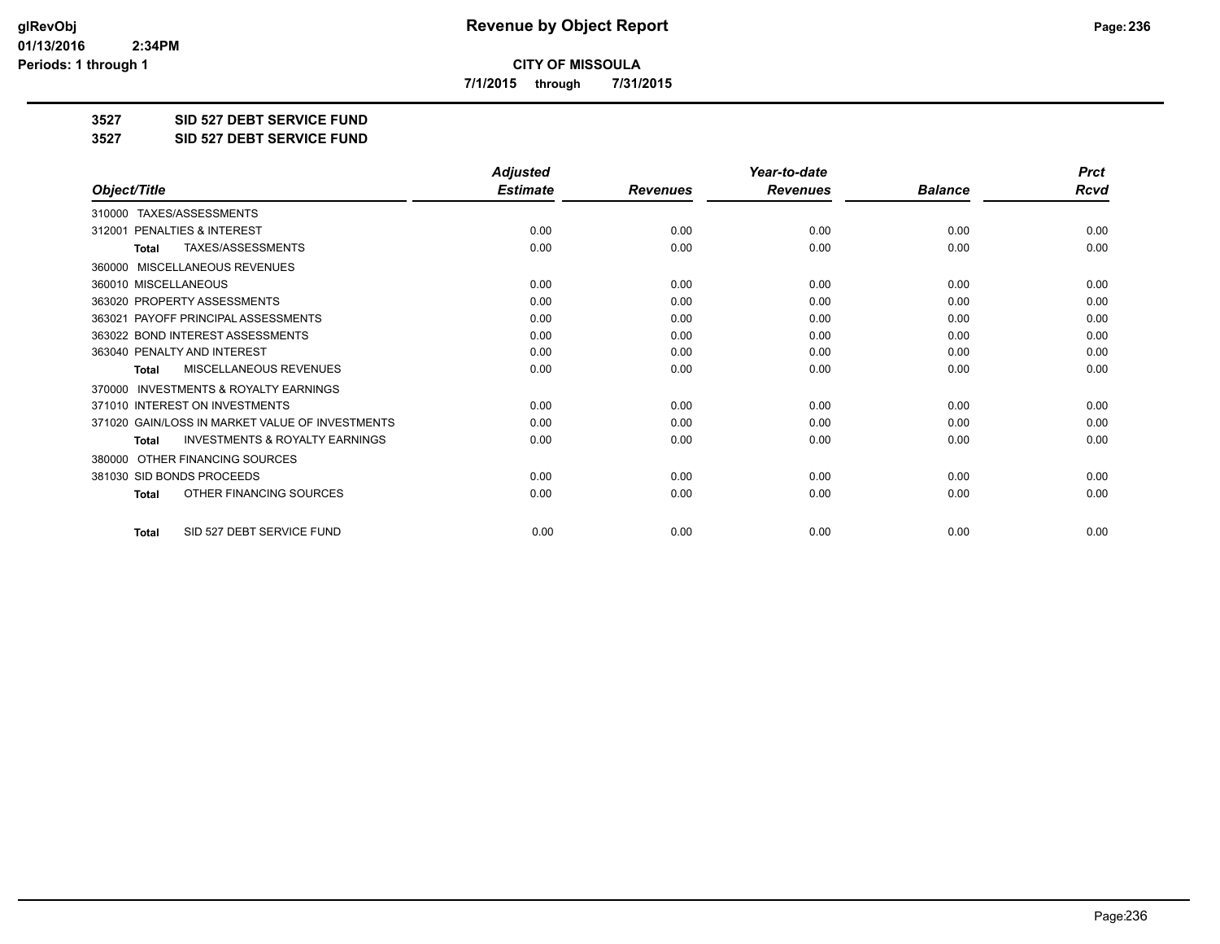**7/1/2015 through 7/31/2015**

**3527 SID 527 DEBT SERVICE FUND**

**3527 SID 527 DEBT SERVICE FUND**

|                                                           | <b>Adjusted</b> |                 | Year-to-date    |                | <b>Prct</b> |
|-----------------------------------------------------------|-----------------|-----------------|-----------------|----------------|-------------|
| Object/Title                                              | <b>Estimate</b> | <b>Revenues</b> | <b>Revenues</b> | <b>Balance</b> | <b>Rcvd</b> |
| TAXES/ASSESSMENTS<br>310000                               |                 |                 |                 |                |             |
| 312001 PENALTIES & INTEREST                               | 0.00            | 0.00            | 0.00            | 0.00           | 0.00        |
| TAXES/ASSESSMENTS<br><b>Total</b>                         | 0.00            | 0.00            | 0.00            | 0.00           | 0.00        |
| MISCELLANEOUS REVENUES<br>360000                          |                 |                 |                 |                |             |
| 360010 MISCELLANEOUS                                      | 0.00            | 0.00            | 0.00            | 0.00           | 0.00        |
| 363020 PROPERTY ASSESSMENTS                               | 0.00            | 0.00            | 0.00            | 0.00           | 0.00        |
| 363021 PAYOFF PRINCIPAL ASSESSMENTS                       | 0.00            | 0.00            | 0.00            | 0.00           | 0.00        |
| 363022 BOND INTEREST ASSESSMENTS                          | 0.00            | 0.00            | 0.00            | 0.00           | 0.00        |
| 363040 PENALTY AND INTEREST                               | 0.00            | 0.00            | 0.00            | 0.00           | 0.00        |
| <b>MISCELLANEOUS REVENUES</b><br><b>Total</b>             | 0.00            | 0.00            | 0.00            | 0.00           | 0.00        |
| <b>INVESTMENTS &amp; ROYALTY EARNINGS</b><br>370000       |                 |                 |                 |                |             |
| 371010 INTEREST ON INVESTMENTS                            | 0.00            | 0.00            | 0.00            | 0.00           | 0.00        |
| 371020 GAIN/LOSS IN MARKET VALUE OF INVESTMENTS           | 0.00            | 0.00            | 0.00            | 0.00           | 0.00        |
| <b>INVESTMENTS &amp; ROYALTY EARNINGS</b><br><b>Total</b> | 0.00            | 0.00            | 0.00            | 0.00           | 0.00        |
| OTHER FINANCING SOURCES<br>380000                         |                 |                 |                 |                |             |
| 381030 SID BONDS PROCEEDS                                 | 0.00            | 0.00            | 0.00            | 0.00           | 0.00        |
| OTHER FINANCING SOURCES<br><b>Total</b>                   | 0.00            | 0.00            | 0.00            | 0.00           | 0.00        |
| SID 527 DEBT SERVICE FUND<br><b>Total</b>                 | 0.00            | 0.00            | 0.00            | 0.00           | 0.00        |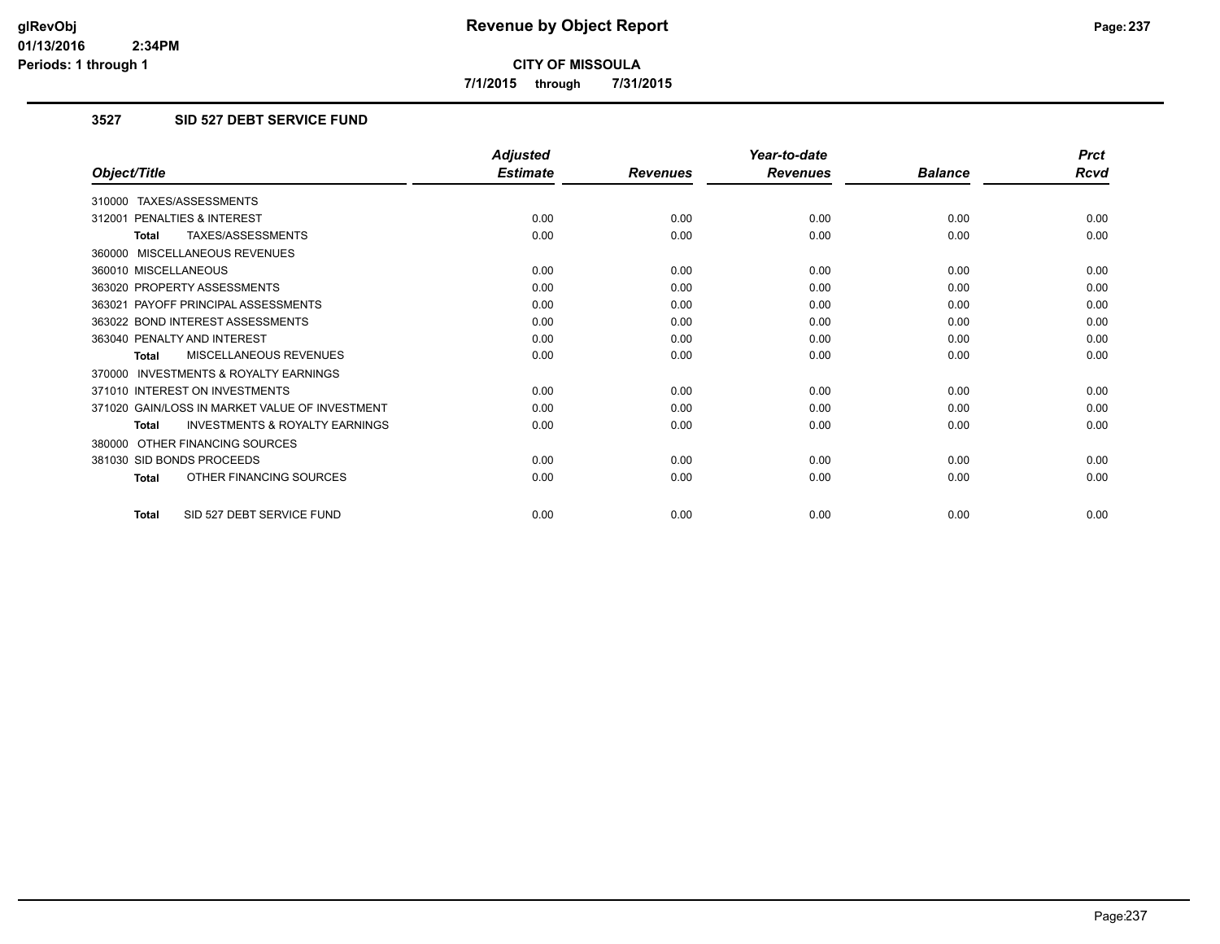**7/1/2015 through 7/31/2015**

## **3527 SID 527 DEBT SERVICE FUND**

|                                                           | <b>Adjusted</b> |                 | Year-to-date    |                | <b>Prct</b> |
|-----------------------------------------------------------|-----------------|-----------------|-----------------|----------------|-------------|
| Object/Title                                              | <b>Estimate</b> | <b>Revenues</b> | <b>Revenues</b> | <b>Balance</b> | Rcvd        |
| 310000 TAXES/ASSESSMENTS                                  |                 |                 |                 |                |             |
| 312001 PENALTIES & INTEREST                               | 0.00            | 0.00            | 0.00            | 0.00           | 0.00        |
| TAXES/ASSESSMENTS<br><b>Total</b>                         | 0.00            | 0.00            | 0.00            | 0.00           | 0.00        |
| 360000 MISCELLANEOUS REVENUES                             |                 |                 |                 |                |             |
| 360010 MISCELLANEOUS                                      | 0.00            | 0.00            | 0.00            | 0.00           | 0.00        |
| 363020 PROPERTY ASSESSMENTS                               | 0.00            | 0.00            | 0.00            | 0.00           | 0.00        |
| 363021 PAYOFF PRINCIPAL ASSESSMENTS                       | 0.00            | 0.00            | 0.00            | 0.00           | 0.00        |
| 363022 BOND INTEREST ASSESSMENTS                          | 0.00            | 0.00            | 0.00            | 0.00           | 0.00        |
| 363040 PENALTY AND INTEREST                               | 0.00            | 0.00            | 0.00            | 0.00           | 0.00        |
| MISCELLANEOUS REVENUES<br><b>Total</b>                    | 0.00            | 0.00            | 0.00            | 0.00           | 0.00        |
| <b>INVESTMENTS &amp; ROYALTY EARNINGS</b><br>370000       |                 |                 |                 |                |             |
| 371010 INTEREST ON INVESTMENTS                            | 0.00            | 0.00            | 0.00            | 0.00           | 0.00        |
| 371020 GAIN/LOSS IN MARKET VALUE OF INVESTMENT            | 0.00            | 0.00            | 0.00            | 0.00           | 0.00        |
| <b>INVESTMENTS &amp; ROYALTY EARNINGS</b><br><b>Total</b> | 0.00            | 0.00            | 0.00            | 0.00           | 0.00        |
| 380000 OTHER FINANCING SOURCES                            |                 |                 |                 |                |             |
| 381030 SID BONDS PROCEEDS                                 | 0.00            | 0.00            | 0.00            | 0.00           | 0.00        |
| OTHER FINANCING SOURCES<br><b>Total</b>                   | 0.00            | 0.00            | 0.00            | 0.00           | 0.00        |
| SID 527 DEBT SERVICE FUND<br>Total                        | 0.00            | 0.00            | 0.00            | 0.00           | 0.00        |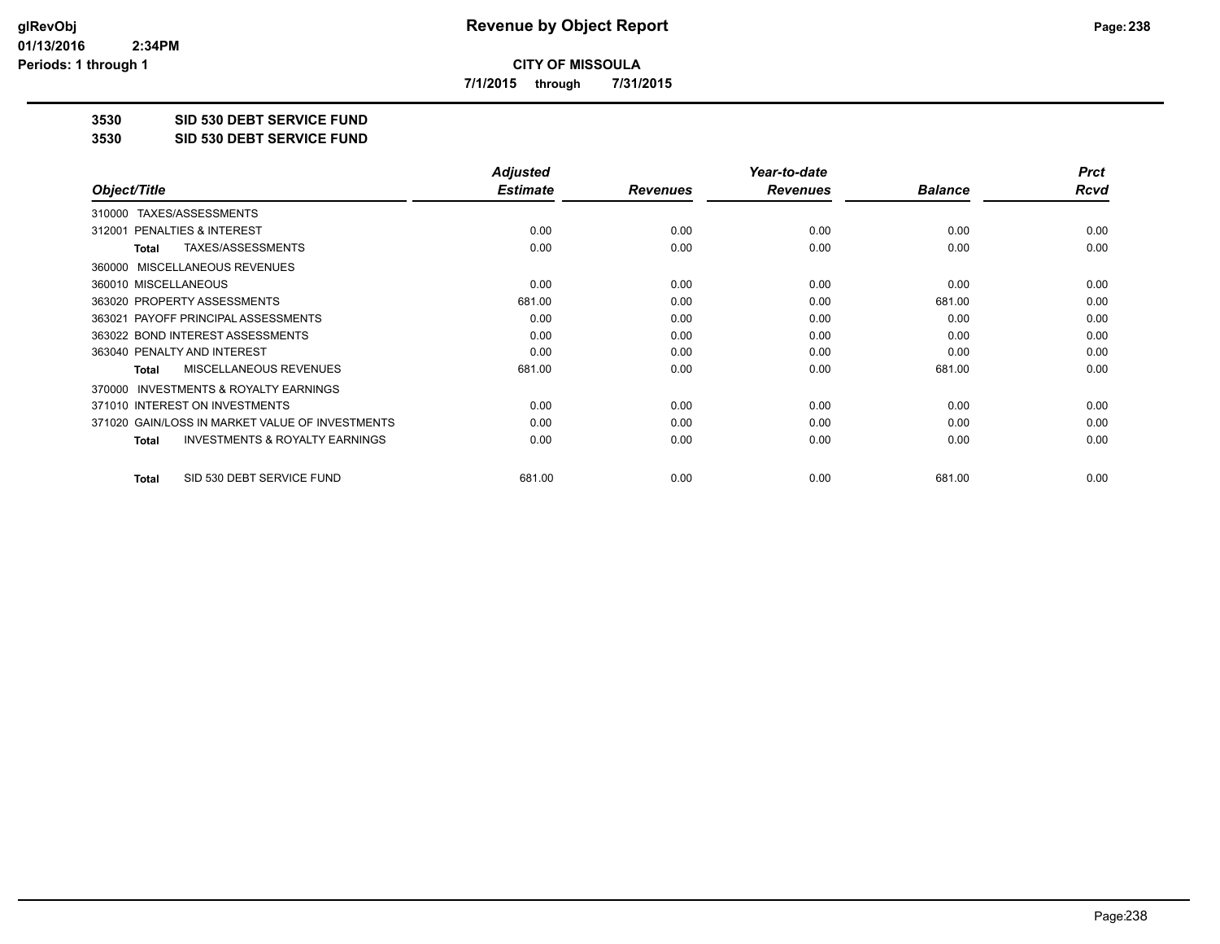**7/1/2015 through 7/31/2015**

**3530 SID 530 DEBT SERVICE FUND**

**3530 SID 530 DEBT SERVICE FUND**

|                                                           | <b>Adjusted</b> |                 | Year-to-date    |                | <b>Prct</b> |
|-----------------------------------------------------------|-----------------|-----------------|-----------------|----------------|-------------|
| Object/Title                                              | <b>Estimate</b> | <b>Revenues</b> | <b>Revenues</b> | <b>Balance</b> | Rcvd        |
| TAXES/ASSESSMENTS<br>310000                               |                 |                 |                 |                |             |
| 312001 PENALTIES & INTEREST                               | 0.00            | 0.00            | 0.00            | 0.00           | 0.00        |
| TAXES/ASSESSMENTS<br>Total                                | 0.00            | 0.00            | 0.00            | 0.00           | 0.00        |
| MISCELLANEOUS REVENUES<br>360000                          |                 |                 |                 |                |             |
| 360010 MISCELLANEOUS                                      | 0.00            | 0.00            | 0.00            | 0.00           | 0.00        |
| 363020 PROPERTY ASSESSMENTS                               | 681.00          | 0.00            | 0.00            | 681.00         | 0.00        |
| 363021 PAYOFF PRINCIPAL ASSESSMENTS                       | 0.00            | 0.00            | 0.00            | 0.00           | 0.00        |
| 363022 BOND INTEREST ASSESSMENTS                          | 0.00            | 0.00            | 0.00            | 0.00           | 0.00        |
| 363040 PENALTY AND INTEREST                               | 0.00            | 0.00            | 0.00            | 0.00           | 0.00        |
| <b>MISCELLANEOUS REVENUES</b><br>Total                    | 681.00          | 0.00            | 0.00            | 681.00         | 0.00        |
| <b>INVESTMENTS &amp; ROYALTY EARNINGS</b><br>370000       |                 |                 |                 |                |             |
| 371010 INTEREST ON INVESTMENTS                            | 0.00            | 0.00            | 0.00            | 0.00           | 0.00        |
| 371020 GAIN/LOSS IN MARKET VALUE OF INVESTMENTS           | 0.00            | 0.00            | 0.00            | 0.00           | 0.00        |
| <b>INVESTMENTS &amp; ROYALTY EARNINGS</b><br><b>Total</b> | 0.00            | 0.00            | 0.00            | 0.00           | 0.00        |
| SID 530 DEBT SERVICE FUND<br>Total                        | 681.00          | 0.00            | 0.00            | 681.00         | 0.00        |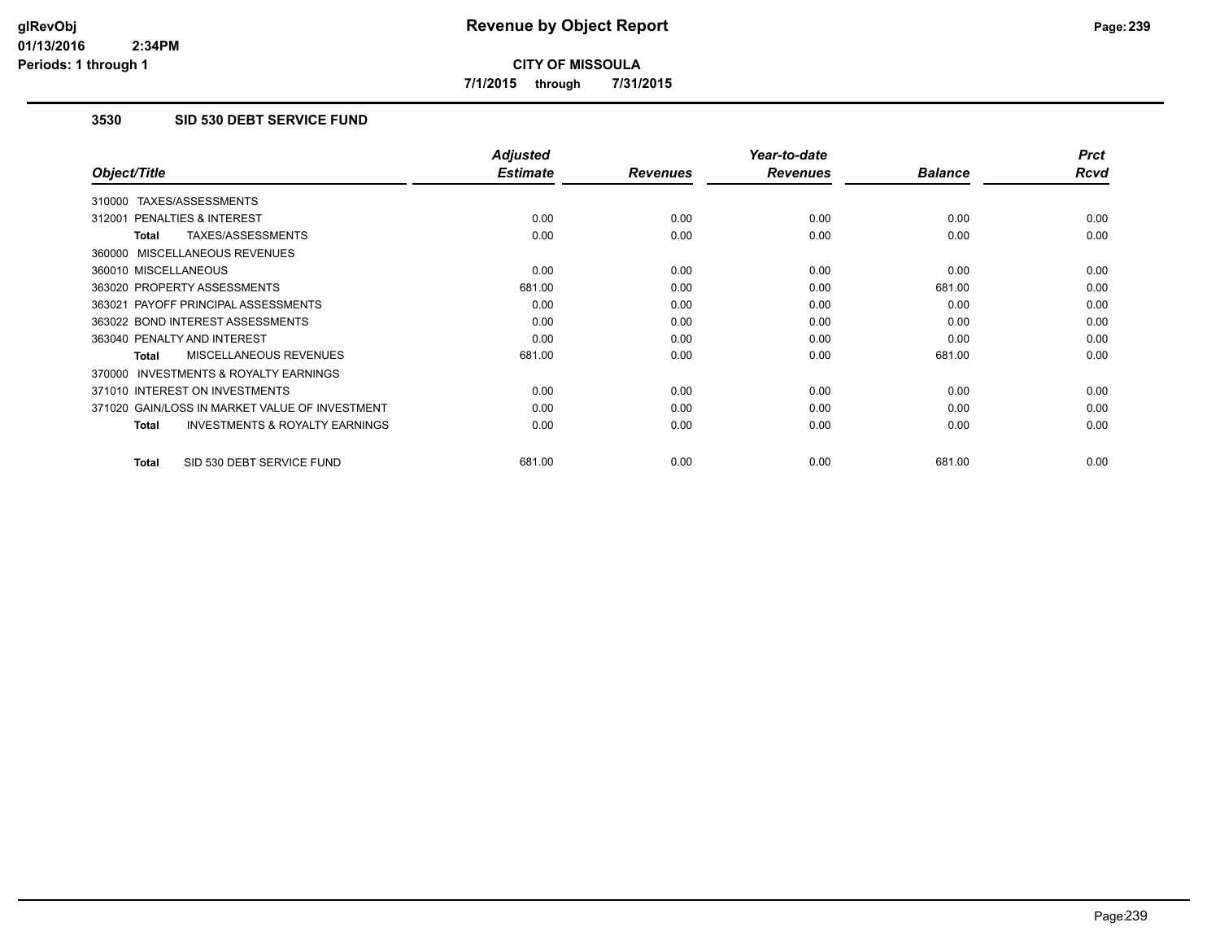**7/1/2015 through 7/31/2015**

## **3530 SID 530 DEBT SERVICE FUND**

|                                                           | <b>Adjusted</b> |                 | Year-to-date    |                | <b>Prct</b> |
|-----------------------------------------------------------|-----------------|-----------------|-----------------|----------------|-------------|
| Object/Title                                              | <b>Estimate</b> | <b>Revenues</b> | <b>Revenues</b> | <b>Balance</b> | <b>Rcvd</b> |
| 310000 TAXES/ASSESSMENTS                                  |                 |                 |                 |                |             |
| 312001 PENALTIES & INTEREST                               | 0.00            | 0.00            | 0.00            | 0.00           | 0.00        |
| <b>TAXES/ASSESSMENTS</b><br><b>Total</b>                  | 0.00            | 0.00            | 0.00            | 0.00           | 0.00        |
| 360000 MISCELLANEOUS REVENUES                             |                 |                 |                 |                |             |
| 360010 MISCELLANEOUS                                      | 0.00            | 0.00            | 0.00            | 0.00           | 0.00        |
| 363020 PROPERTY ASSESSMENTS                               | 681.00          | 0.00            | 0.00            | 681.00         | 0.00        |
| 363021 PAYOFF PRINCIPAL ASSESSMENTS                       | 0.00            | 0.00            | 0.00            | 0.00           | 0.00        |
| 363022 BOND INTEREST ASSESSMENTS                          | 0.00            | 0.00            | 0.00            | 0.00           | 0.00        |
| 363040 PENALTY AND INTEREST                               | 0.00            | 0.00            | 0.00            | 0.00           | 0.00        |
| MISCELLANEOUS REVENUES<br><b>Total</b>                    | 681.00          | 0.00            | 0.00            | 681.00         | 0.00        |
| <b>INVESTMENTS &amp; ROYALTY EARNINGS</b><br>370000       |                 |                 |                 |                |             |
| 371010 INTEREST ON INVESTMENTS                            | 0.00            | 0.00            | 0.00            | 0.00           | 0.00        |
| 371020 GAIN/LOSS IN MARKET VALUE OF INVESTMENT            | 0.00            | 0.00            | 0.00            | 0.00           | 0.00        |
| <b>INVESTMENTS &amp; ROYALTY EARNINGS</b><br><b>Total</b> | 0.00            | 0.00            | 0.00            | 0.00           | 0.00        |
| SID 530 DEBT SERVICE FUND<br><b>Total</b>                 | 681.00          | 0.00            | 0.00            | 681.00         | 0.00        |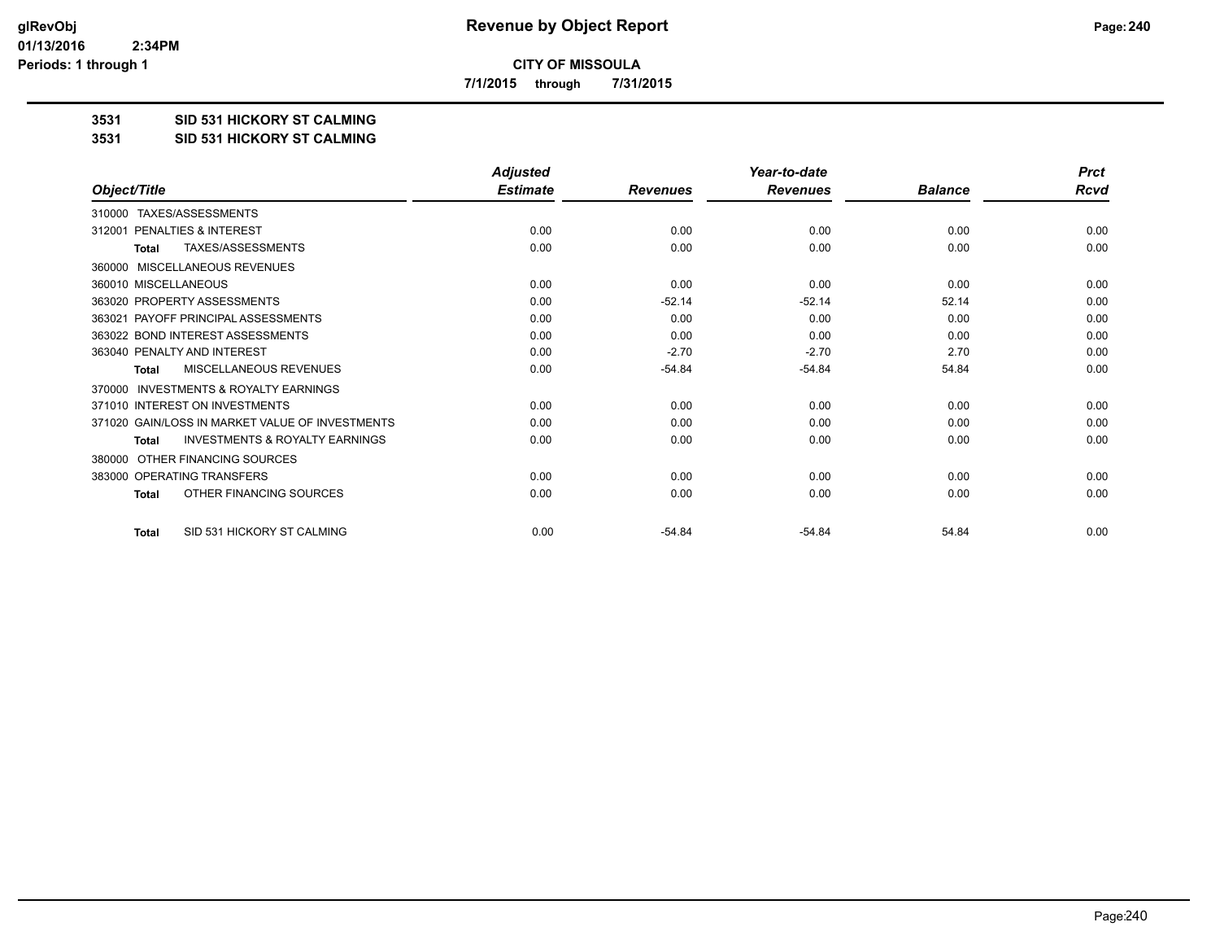**7/1/2015 through 7/31/2015**

### **3531 SID 531 HICKORY ST CALMING**

#### **3531 SID 531 HICKORY ST CALMING**

|                                                           | <b>Adjusted</b> |                 | Year-to-date    |                | <b>Prct</b> |
|-----------------------------------------------------------|-----------------|-----------------|-----------------|----------------|-------------|
| Object/Title                                              | <b>Estimate</b> | <b>Revenues</b> | <b>Revenues</b> | <b>Balance</b> | Rcvd        |
| TAXES/ASSESSMENTS<br>310000                               |                 |                 |                 |                |             |
| PENALTIES & INTEREST<br>312001                            | 0.00            | 0.00            | 0.00            | 0.00           | 0.00        |
| <b>TAXES/ASSESSMENTS</b><br><b>Total</b>                  | 0.00            | 0.00            | 0.00            | 0.00           | 0.00        |
| <b>MISCELLANEOUS REVENUES</b><br>360000                   |                 |                 |                 |                |             |
| 360010 MISCELLANEOUS                                      | 0.00            | 0.00            | 0.00            | 0.00           | 0.00        |
| 363020 PROPERTY ASSESSMENTS                               | 0.00            | $-52.14$        | $-52.14$        | 52.14          | 0.00        |
| PAYOFF PRINCIPAL ASSESSMENTS<br>363021                    | 0.00            | 0.00            | 0.00            | 0.00           | 0.00        |
| 363022 BOND INTEREST ASSESSMENTS                          | 0.00            | 0.00            | 0.00            | 0.00           | 0.00        |
| 363040 PENALTY AND INTEREST                               | 0.00            | $-2.70$         | $-2.70$         | 2.70           | 0.00        |
| MISCELLANEOUS REVENUES<br>Total                           | 0.00            | $-54.84$        | $-54.84$        | 54.84          | 0.00        |
| <b>INVESTMENTS &amp; ROYALTY EARNINGS</b><br>370000       |                 |                 |                 |                |             |
| 371010 INTEREST ON INVESTMENTS                            | 0.00            | 0.00            | 0.00            | 0.00           | 0.00        |
| 371020 GAIN/LOSS IN MARKET VALUE OF INVESTMENTS           | 0.00            | 0.00            | 0.00            | 0.00           | 0.00        |
| <b>INVESTMENTS &amp; ROYALTY EARNINGS</b><br><b>Total</b> | 0.00            | 0.00            | 0.00            | 0.00           | 0.00        |
| OTHER FINANCING SOURCES<br>380000                         |                 |                 |                 |                |             |
| 383000 OPERATING TRANSFERS                                | 0.00            | 0.00            | 0.00            | 0.00           | 0.00        |
| OTHER FINANCING SOURCES<br><b>Total</b>                   | 0.00            | 0.00            | 0.00            | 0.00           | 0.00        |
| SID 531 HICKORY ST CALMING<br><b>Total</b>                | 0.00            | $-54.84$        | $-54.84$        | 54.84          | 0.00        |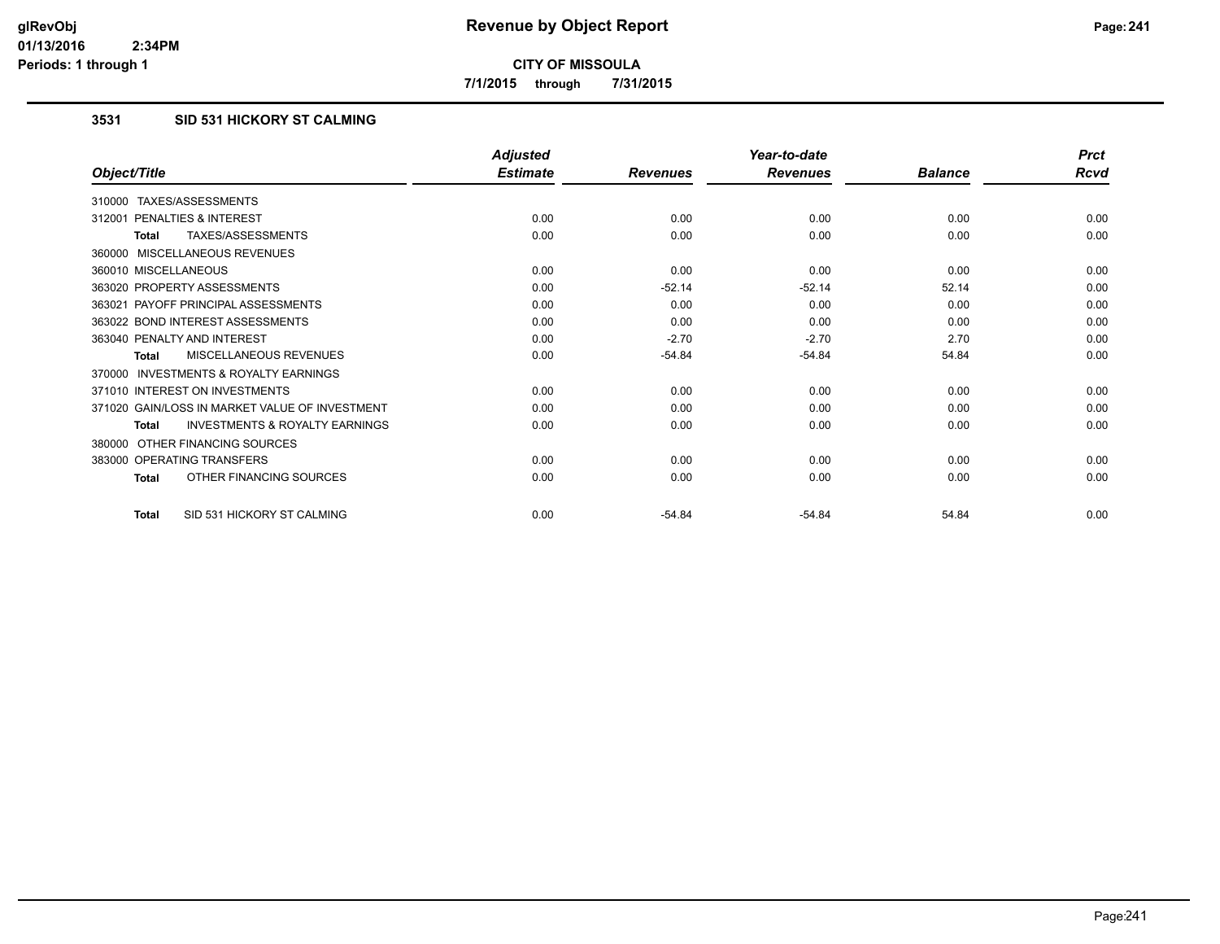**7/1/2015 through 7/31/2015**

## **3531 SID 531 HICKORY ST CALMING**

|                                                           | <b>Adjusted</b> |                 | Year-to-date    |                | <b>Prct</b> |
|-----------------------------------------------------------|-----------------|-----------------|-----------------|----------------|-------------|
| Object/Title                                              | <b>Estimate</b> | <b>Revenues</b> | <b>Revenues</b> | <b>Balance</b> | <b>Rcvd</b> |
| 310000 TAXES/ASSESSMENTS                                  |                 |                 |                 |                |             |
| PENALTIES & INTEREST<br>312001                            | 0.00            | 0.00            | 0.00            | 0.00           | 0.00        |
| TAXES/ASSESSMENTS<br><b>Total</b>                         | 0.00            | 0.00            | 0.00            | 0.00           | 0.00        |
| 360000 MISCELLANEOUS REVENUES                             |                 |                 |                 |                |             |
| 360010 MISCELLANEOUS                                      | 0.00            | 0.00            | 0.00            | 0.00           | 0.00        |
| 363020 PROPERTY ASSESSMENTS                               | 0.00            | $-52.14$        | $-52.14$        | 52.14          | 0.00        |
| 363021 PAYOFF PRINCIPAL ASSESSMENTS                       | 0.00            | 0.00            | 0.00            | 0.00           | 0.00        |
| 363022 BOND INTEREST ASSESSMENTS                          | 0.00            | 0.00            | 0.00            | 0.00           | 0.00        |
| 363040 PENALTY AND INTEREST                               | 0.00            | $-2.70$         | $-2.70$         | 2.70           | 0.00        |
| MISCELLANEOUS REVENUES<br><b>Total</b>                    | 0.00            | $-54.84$        | $-54.84$        | 54.84          | 0.00        |
| <b>INVESTMENTS &amp; ROYALTY EARNINGS</b><br>370000       |                 |                 |                 |                |             |
| 371010 INTEREST ON INVESTMENTS                            | 0.00            | 0.00            | 0.00            | 0.00           | 0.00        |
| 371020 GAIN/LOSS IN MARKET VALUE OF INVESTMENT            | 0.00            | 0.00            | 0.00            | 0.00           | 0.00        |
| <b>INVESTMENTS &amp; ROYALTY EARNINGS</b><br><b>Total</b> | 0.00            | 0.00            | 0.00            | 0.00           | 0.00        |
| OTHER FINANCING SOURCES<br>380000                         |                 |                 |                 |                |             |
| 383000 OPERATING TRANSFERS                                | 0.00            | 0.00            | 0.00            | 0.00           | 0.00        |
| OTHER FINANCING SOURCES<br><b>Total</b>                   | 0.00            | 0.00            | 0.00            | 0.00           | 0.00        |
| SID 531 HICKORY ST CALMING<br><b>Total</b>                | 0.00            | $-54.84$        | $-54.84$        | 54.84          | 0.00        |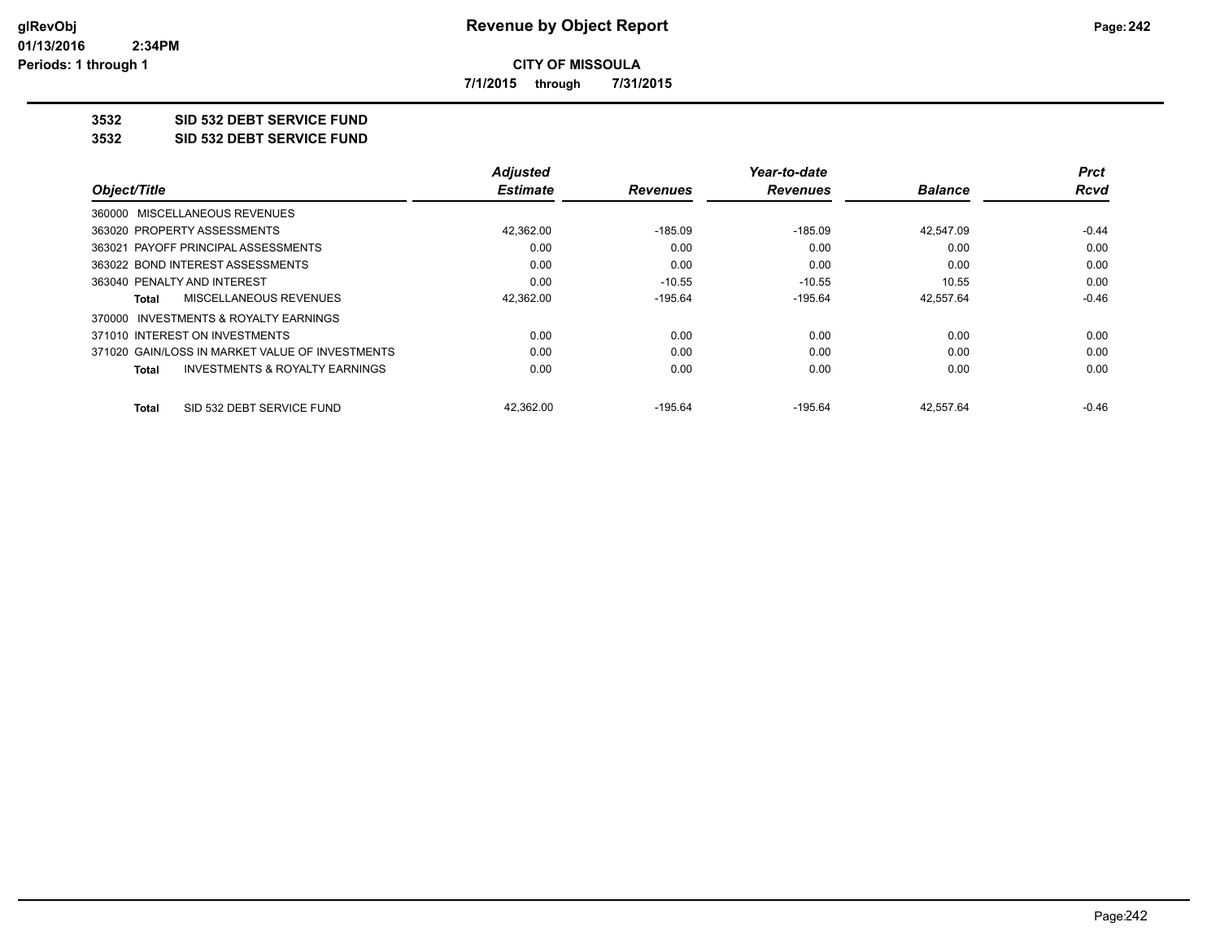**7/1/2015 through 7/31/2015**

# **3532 SID 532 DEBT SERVICE FUND**

**3532 SID 532 DEBT SERVICE FUND**

|                                                 | <b>Adjusted</b> |                 | Year-to-date    |                | <b>Prct</b> |
|-------------------------------------------------|-----------------|-----------------|-----------------|----------------|-------------|
| Object/Title                                    | <b>Estimate</b> | <b>Revenues</b> | <b>Revenues</b> | <b>Balance</b> | Rcvd        |
| 360000 MISCELLANEOUS REVENUES                   |                 |                 |                 |                |             |
| 363020 PROPERTY ASSESSMENTS                     | 42,362.00       | $-185.09$       | $-185.09$       | 42.547.09      | $-0.44$     |
| 363021 PAYOFF PRINCIPAL ASSESSMENTS             | 0.00            | 0.00            | 0.00            | 0.00           | 0.00        |
| 363022 BOND INTEREST ASSESSMENTS                | 0.00            | 0.00            | 0.00            | 0.00           | 0.00        |
| 363040 PENALTY AND INTEREST                     | 0.00            | $-10.55$        | $-10.55$        | 10.55          | 0.00        |
| MISCELLANEOUS REVENUES<br>Total                 | 42,362.00       | $-195.64$       | $-195.64$       | 42.557.64      | $-0.46$     |
| 370000 INVESTMENTS & ROYALTY EARNINGS           |                 |                 |                 |                |             |
| 371010 INTEREST ON INVESTMENTS                  | 0.00            | 0.00            | 0.00            | 0.00           | 0.00        |
| 371020 GAIN/LOSS IN MARKET VALUE OF INVESTMENTS | 0.00            | 0.00            | 0.00            | 0.00           | 0.00        |
| INVESTMENTS & ROYALTY EARNINGS<br><b>Total</b>  | 0.00            | 0.00            | 0.00            | 0.00           | 0.00        |
| SID 532 DEBT SERVICE FUND<br>Total              | 42.362.00       | $-195.64$       | $-195.64$       | 42.557.64      | $-0.46$     |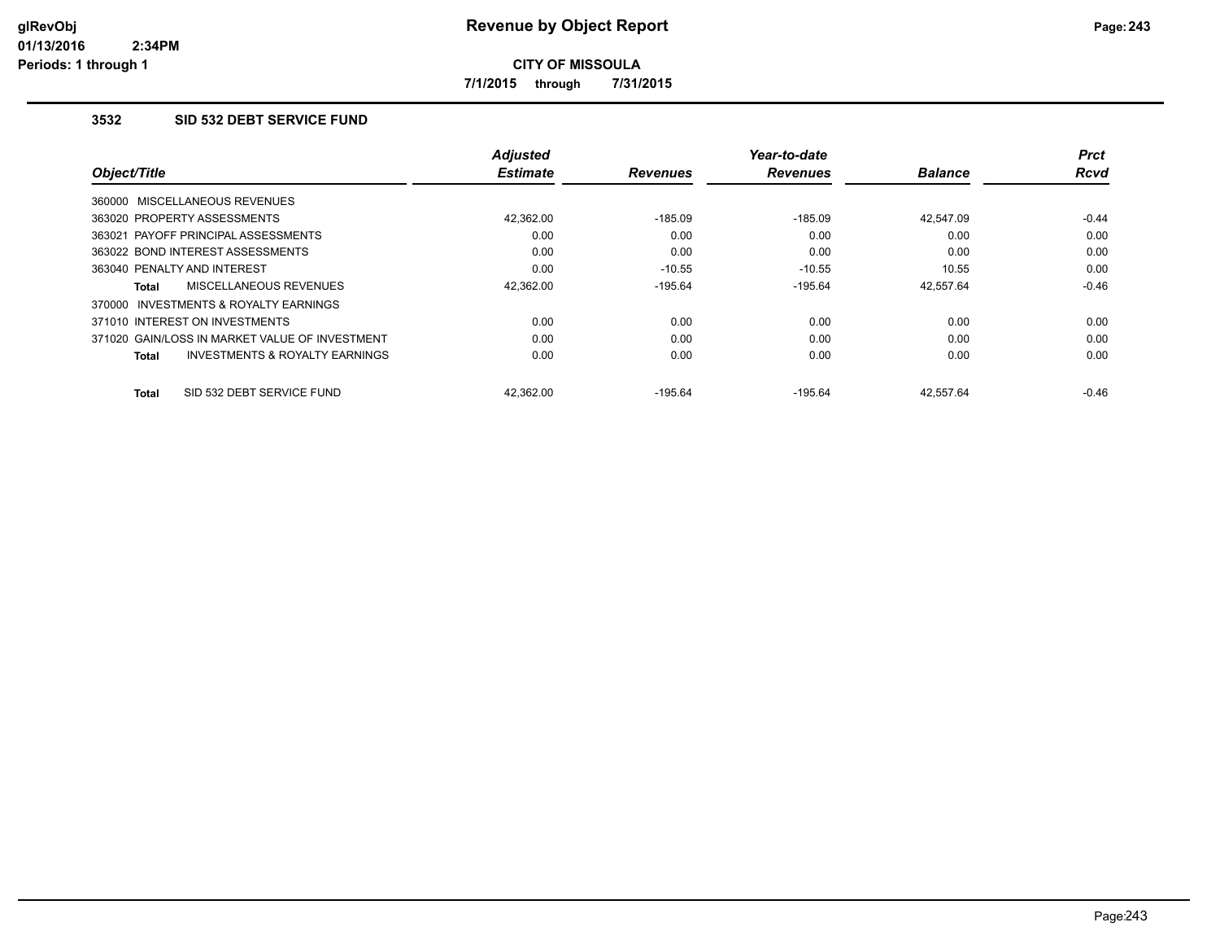**7/1/2015 through 7/31/2015**

### **3532 SID 532 DEBT SERVICE FUND**

|                                                    | <b>Adjusted</b> |                 | Year-to-date    |                | Prct        |
|----------------------------------------------------|-----------------|-----------------|-----------------|----------------|-------------|
| Object/Title                                       | <b>Estimate</b> | <b>Revenues</b> | <b>Revenues</b> | <b>Balance</b> | <b>Rcvd</b> |
| 360000 MISCELLANEOUS REVENUES                      |                 |                 |                 |                |             |
| 363020 PROPERTY ASSESSMENTS                        | 42.362.00       | $-185.09$       | $-185.09$       | 42.547.09      | $-0.44$     |
| 363021 PAYOFF PRINCIPAL ASSESSMENTS                | 0.00            | 0.00            | 0.00            | 0.00           | 0.00        |
| 363022 BOND INTEREST ASSESSMENTS                   | 0.00            | 0.00            | 0.00            | 0.00           | 0.00        |
| 363040 PENALTY AND INTEREST                        | 0.00            | $-10.55$        | $-10.55$        | 10.55          | 0.00        |
| MISCELLANEOUS REVENUES<br>Total                    | 42.362.00       | $-195.64$       | -195.64         | 42,557.64      | $-0.46$     |
| INVESTMENTS & ROYALTY EARNINGS<br>370000           |                 |                 |                 |                |             |
| 371010 INTEREST ON INVESTMENTS                     | 0.00            | 0.00            | 0.00            | 0.00           | 0.00        |
| 371020 GAIN/LOSS IN MARKET VALUE OF INVESTMENT     | 0.00            | 0.00            | 0.00            | 0.00           | 0.00        |
| <b>INVESTMENTS &amp; ROYALTY EARNINGS</b><br>Total | 0.00            | 0.00            | 0.00            | 0.00           | 0.00        |
| SID 532 DEBT SERVICE FUND<br><b>Total</b>          | 42.362.00       | $-195.64$       | $-195.64$       | 42.557.64      | $-0.46$     |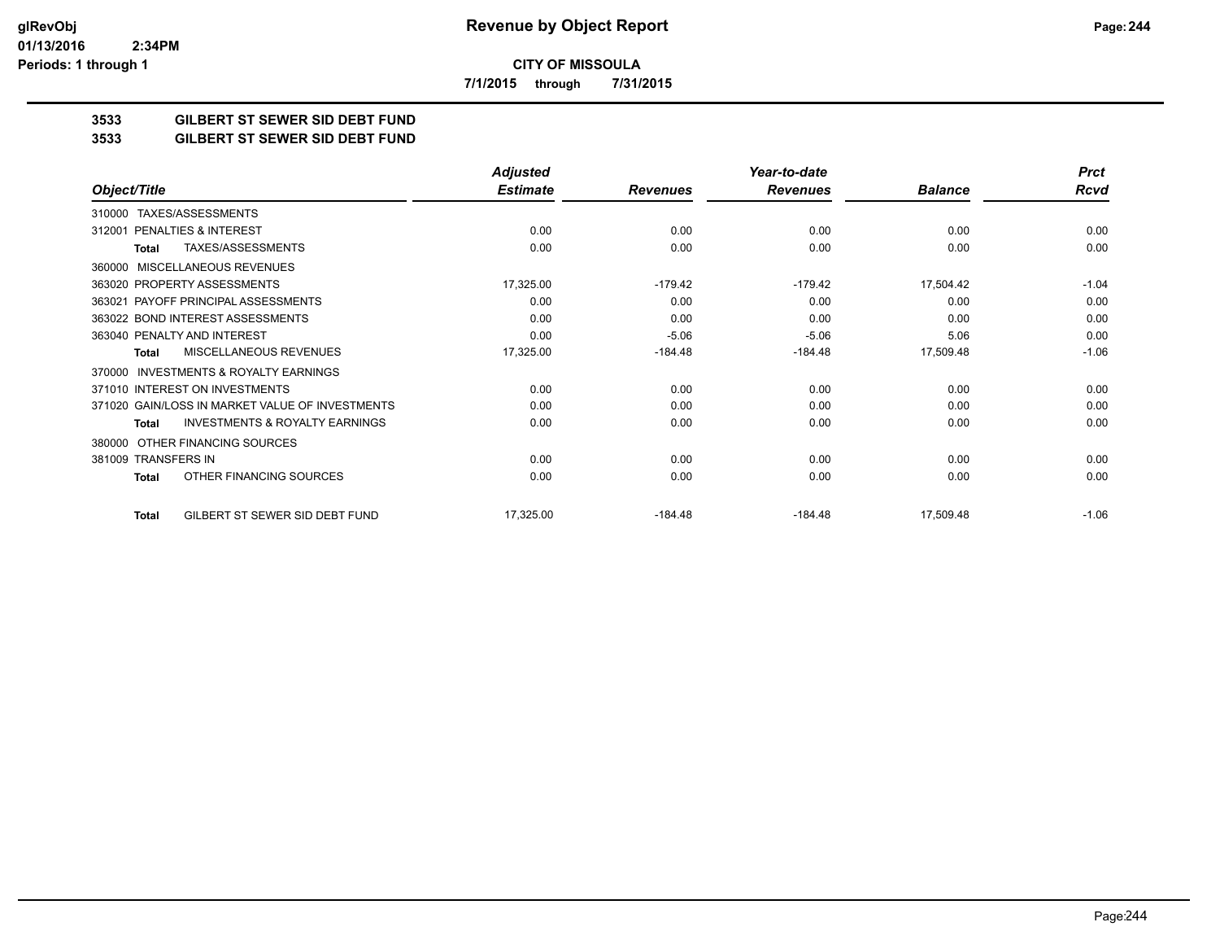**7/1/2015 through 7/31/2015**

# **3533 GILBERT ST SEWER SID DEBT FUND**

#### **3533 GILBERT ST SEWER SID DEBT FUND**

|                                                           | <b>Adjusted</b> |                 | Year-to-date    |                | <b>Prct</b> |
|-----------------------------------------------------------|-----------------|-----------------|-----------------|----------------|-------------|
| Object/Title                                              | <b>Estimate</b> | <b>Revenues</b> | <b>Revenues</b> | <b>Balance</b> | <b>Rcvd</b> |
| TAXES/ASSESSMENTS<br>310000                               |                 |                 |                 |                |             |
| PENALTIES & INTEREST<br>312001                            | 0.00            | 0.00            | 0.00            | 0.00           | 0.00        |
| TAXES/ASSESSMENTS<br>Total                                | 0.00            | 0.00            | 0.00            | 0.00           | 0.00        |
| <b>MISCELLANEOUS REVENUES</b><br>360000                   |                 |                 |                 |                |             |
| 363020 PROPERTY ASSESSMENTS                               | 17,325.00       | $-179.42$       | $-179.42$       | 17,504.42      | $-1.04$     |
| 363021 PAYOFF PRINCIPAL ASSESSMENTS                       | 0.00            | 0.00            | 0.00            | 0.00           | 0.00        |
| 363022 BOND INTEREST ASSESSMENTS                          | 0.00            | 0.00            | 0.00            | 0.00           | 0.00        |
| 363040 PENALTY AND INTEREST                               | 0.00            | $-5.06$         | $-5.06$         | 5.06           | 0.00        |
| MISCELLANEOUS REVENUES<br>Total                           | 17,325.00       | $-184.48$       | $-184.48$       | 17,509.48      | $-1.06$     |
| <b>INVESTMENTS &amp; ROYALTY EARNINGS</b><br>370000       |                 |                 |                 |                |             |
| 371010 INTEREST ON INVESTMENTS                            | 0.00            | 0.00            | 0.00            | 0.00           | 0.00        |
| 371020 GAIN/LOSS IN MARKET VALUE OF INVESTMENTS           | 0.00            | 0.00            | 0.00            | 0.00           | 0.00        |
| <b>INVESTMENTS &amp; ROYALTY EARNINGS</b><br><b>Total</b> | 0.00            | 0.00            | 0.00            | 0.00           | 0.00        |
| OTHER FINANCING SOURCES<br>380000                         |                 |                 |                 |                |             |
| 381009 TRANSFERS IN                                       | 0.00            | 0.00            | 0.00            | 0.00           | 0.00        |
| OTHER FINANCING SOURCES<br><b>Total</b>                   | 0.00            | 0.00            | 0.00            | 0.00           | 0.00        |
| GILBERT ST SEWER SID DEBT FUND<br><b>Total</b>            | 17,325.00       | $-184.48$       | $-184.48$       | 17,509.48      | $-1.06$     |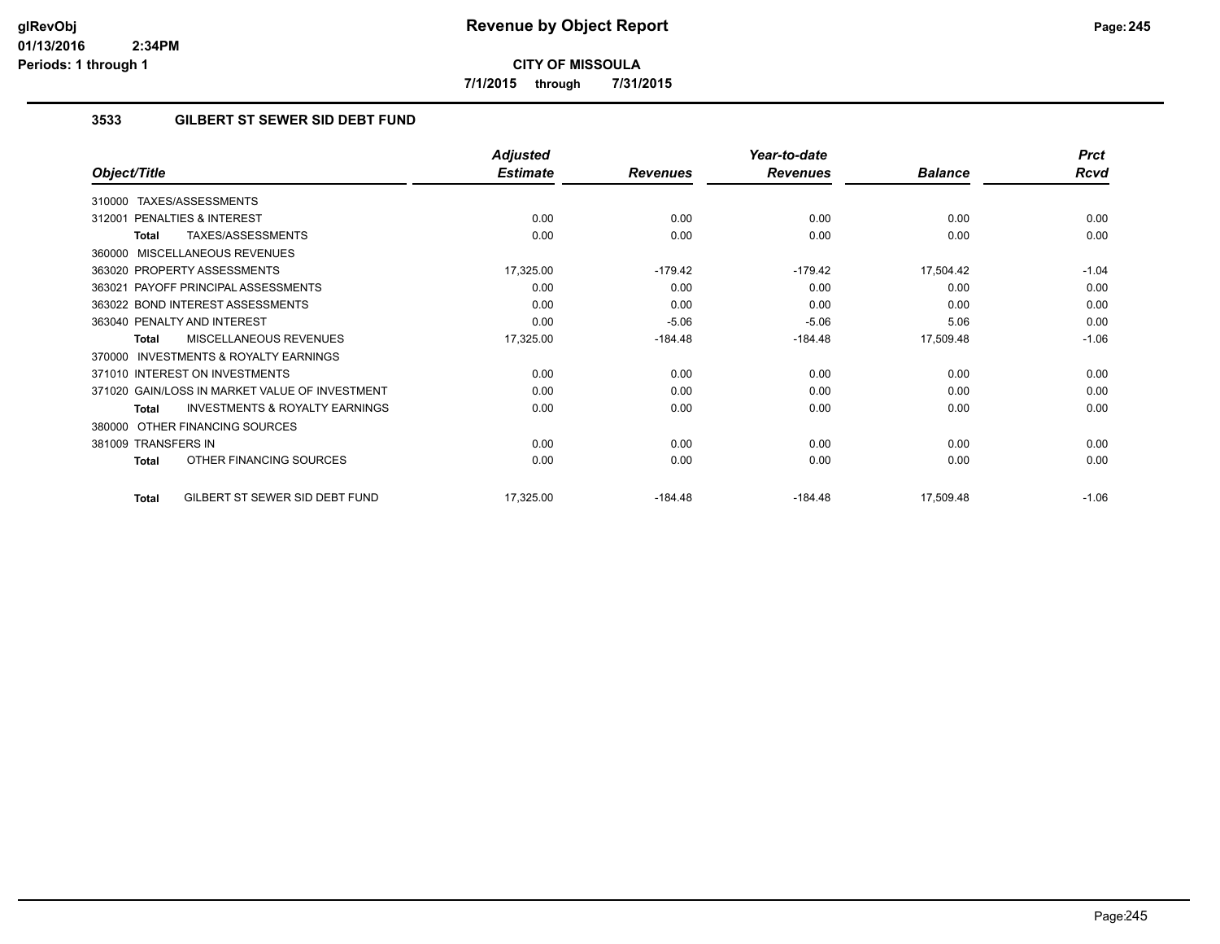**7/1/2015 through 7/31/2015**

## **3533 GILBERT ST SEWER SID DEBT FUND**

|                                                           | <b>Adjusted</b> |                 | Year-to-date    |                | <b>Prct</b> |
|-----------------------------------------------------------|-----------------|-----------------|-----------------|----------------|-------------|
| Object/Title                                              | <b>Estimate</b> | <b>Revenues</b> | <b>Revenues</b> | <b>Balance</b> | <b>Rcvd</b> |
| TAXES/ASSESSMENTS<br>310000                               |                 |                 |                 |                |             |
| <b>PENALTIES &amp; INTEREST</b><br>312001                 | 0.00            | 0.00            | 0.00            | 0.00           | 0.00        |
| TAXES/ASSESSMENTS<br>Total                                | 0.00            | 0.00            | 0.00            | 0.00           | 0.00        |
| MISCELLANEOUS REVENUES<br>360000                          |                 |                 |                 |                |             |
| 363020 PROPERTY ASSESSMENTS                               | 17,325.00       | $-179.42$       | $-179.42$       | 17,504.42      | $-1.04$     |
| PAYOFF PRINCIPAL ASSESSMENTS<br>363021                    | 0.00            | 0.00            | 0.00            | 0.00           | 0.00        |
| 363022 BOND INTEREST ASSESSMENTS                          | 0.00            | 0.00            | 0.00            | 0.00           | 0.00        |
| 363040 PENALTY AND INTEREST                               | 0.00            | $-5.06$         | $-5.06$         | 5.06           | 0.00        |
| <b>MISCELLANEOUS REVENUES</b><br>Total                    | 17,325.00       | $-184.48$       | $-184.48$       | 17,509.48      | $-1.06$     |
| INVESTMENTS & ROYALTY EARNINGS<br>370000                  |                 |                 |                 |                |             |
| 371010 INTEREST ON INVESTMENTS                            | 0.00            | 0.00            | 0.00            | 0.00           | 0.00        |
| 371020 GAIN/LOSS IN MARKET VALUE OF INVESTMENT            | 0.00            | 0.00            | 0.00            | 0.00           | 0.00        |
| <b>INVESTMENTS &amp; ROYALTY EARNINGS</b><br><b>Total</b> | 0.00            | 0.00            | 0.00            | 0.00           | 0.00        |
| OTHER FINANCING SOURCES<br>380000                         |                 |                 |                 |                |             |
| 381009 TRANSFERS IN                                       | 0.00            | 0.00            | 0.00            | 0.00           | 0.00        |
| OTHER FINANCING SOURCES<br><b>Total</b>                   | 0.00            | 0.00            | 0.00            | 0.00           | 0.00        |
| GILBERT ST SEWER SID DEBT FUND<br><b>Total</b>            | 17,325.00       | $-184.48$       | $-184.48$       | 17,509.48      | $-1.06$     |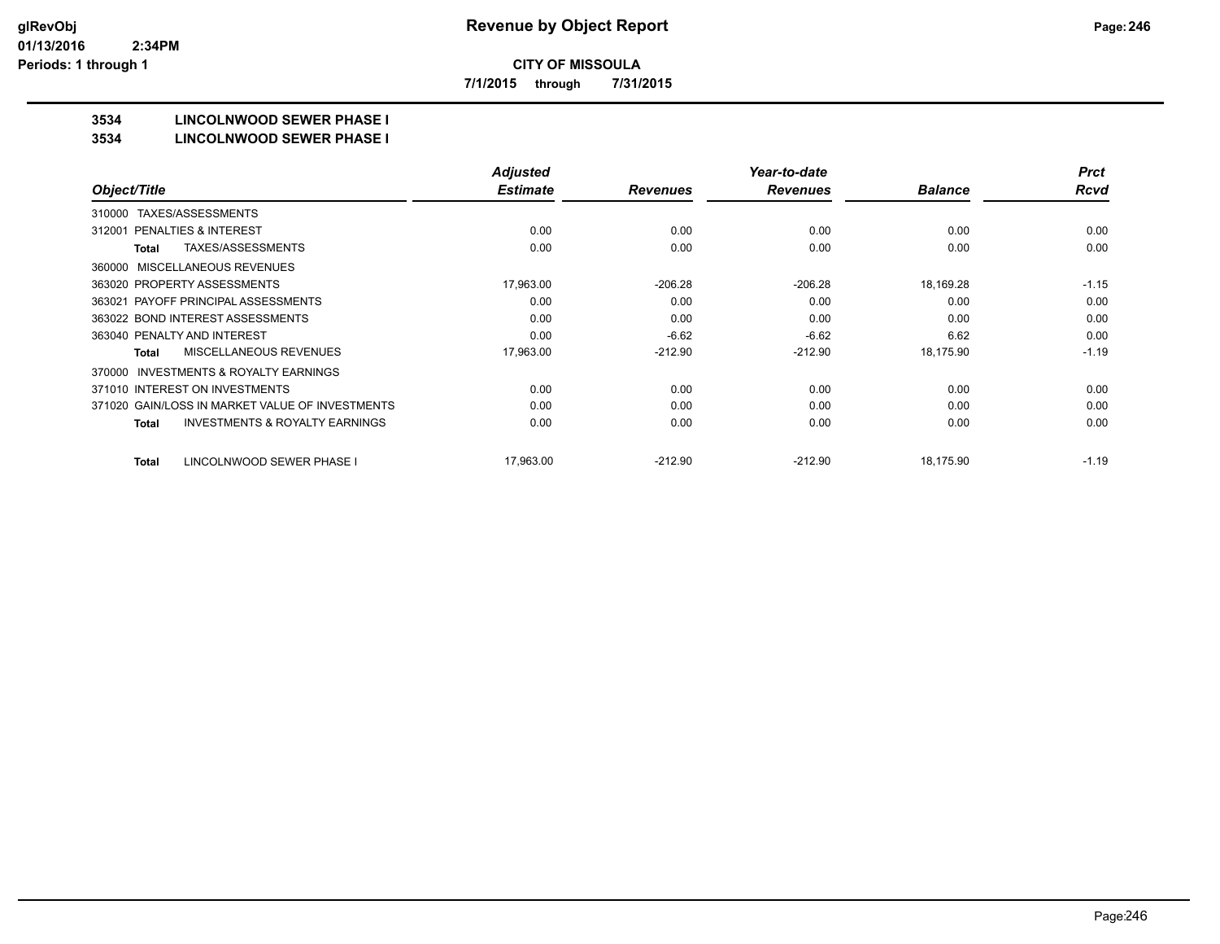**7/1/2015 through 7/31/2015**

# **3534 LINCOLNWOOD SEWER PHASE I**

#### **3534 LINCOLNWOOD SEWER PHASE I**

|                                                    | <b>Adjusted</b> |                 | Year-to-date    |                | <b>Prct</b> |
|----------------------------------------------------|-----------------|-----------------|-----------------|----------------|-------------|
| Object/Title                                       | <b>Estimate</b> | <b>Revenues</b> | <b>Revenues</b> | <b>Balance</b> | <b>Rcvd</b> |
| TAXES/ASSESSMENTS<br>310000                        |                 |                 |                 |                |             |
| <b>PENALTIES &amp; INTEREST</b><br>312001          | 0.00            | 0.00            | 0.00            | 0.00           | 0.00        |
| TAXES/ASSESSMENTS<br><b>Total</b>                  | 0.00            | 0.00            | 0.00            | 0.00           | 0.00        |
| MISCELLANEOUS REVENUES<br>360000                   |                 |                 |                 |                |             |
| 363020 PROPERTY ASSESSMENTS                        | 17,963.00       | $-206.28$       | $-206.28$       | 18,169.28      | $-1.15$     |
| 363021 PAYOFF PRINCIPAL ASSESSMENTS                | 0.00            | 0.00            | 0.00            | 0.00           | 0.00        |
| 363022 BOND INTEREST ASSESSMENTS                   | 0.00            | 0.00            | 0.00            | 0.00           | 0.00        |
| 363040 PENALTY AND INTEREST                        | 0.00            | $-6.62$         | $-6.62$         | 6.62           | 0.00        |
| MISCELLANEOUS REVENUES<br>Total                    | 17,963.00       | $-212.90$       | $-212.90$       | 18,175.90      | $-1.19$     |
| INVESTMENTS & ROYALTY EARNINGS<br>370000           |                 |                 |                 |                |             |
| 371010 INTEREST ON INVESTMENTS                     | 0.00            | 0.00            | 0.00            | 0.00           | 0.00        |
| 371020 GAIN/LOSS IN MARKET VALUE OF INVESTMENTS    | 0.00            | 0.00            | 0.00            | 0.00           | 0.00        |
| <b>INVESTMENTS &amp; ROYALTY EARNINGS</b><br>Total | 0.00            | 0.00            | 0.00            | 0.00           | 0.00        |
| LINCOLNWOOD SEWER PHASE I<br><b>Total</b>          | 17.963.00       | $-212.90$       | $-212.90$       | 18.175.90      | $-1.19$     |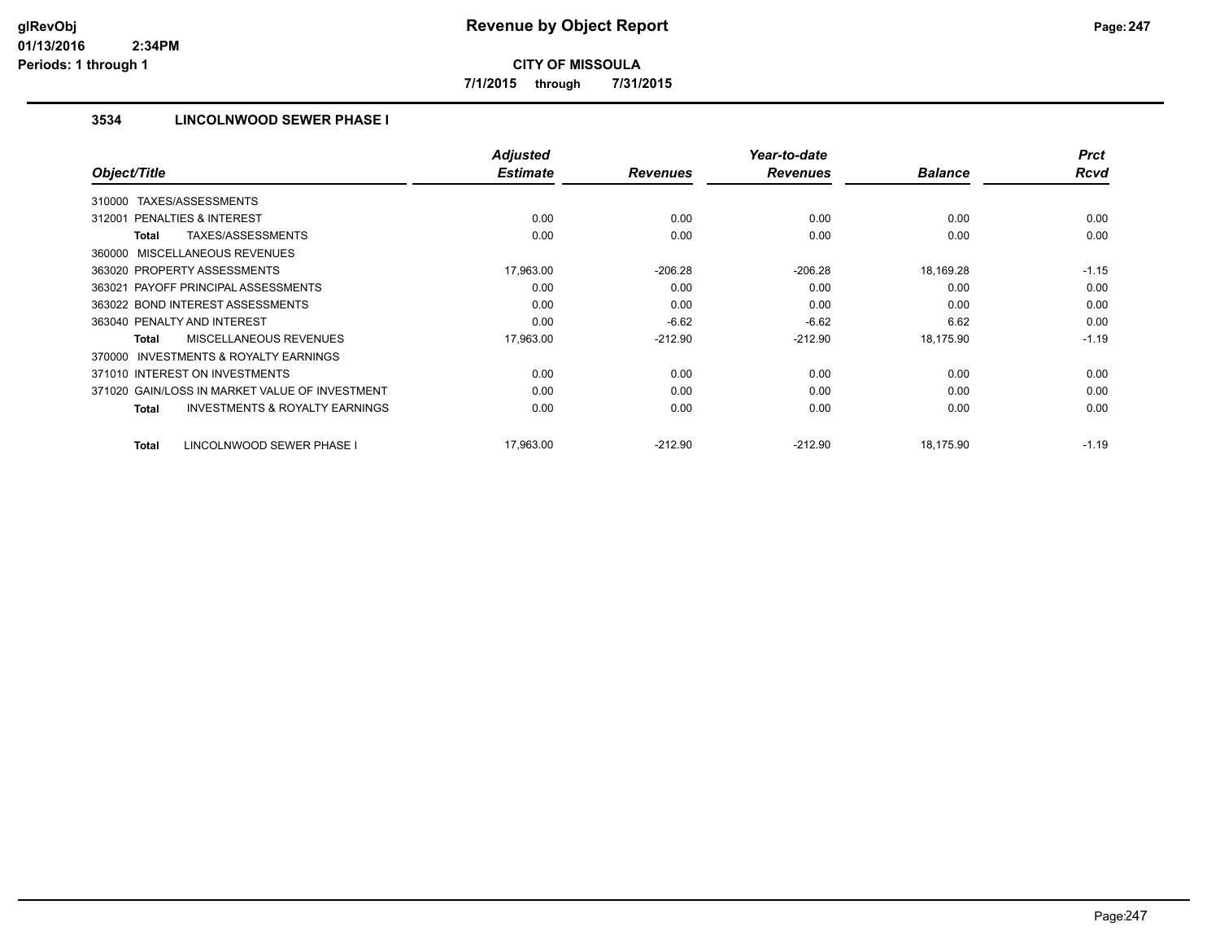**7/1/2015 through 7/31/2015**

## **3534 LINCOLNWOOD SEWER PHASE I**

|                                                           | <b>Adjusted</b> |                 | Year-to-date    |                | <b>Prct</b> |
|-----------------------------------------------------------|-----------------|-----------------|-----------------|----------------|-------------|
| Object/Title                                              | <b>Estimate</b> | <b>Revenues</b> | <b>Revenues</b> | <b>Balance</b> | <b>Rcvd</b> |
| TAXES/ASSESSMENTS<br>310000                               |                 |                 |                 |                |             |
| <b>PENALTIES &amp; INTEREST</b><br>312001                 | 0.00            | 0.00            | 0.00            | 0.00           | 0.00        |
| TAXES/ASSESSMENTS<br>Total                                | 0.00            | 0.00            | 0.00            | 0.00           | 0.00        |
| 360000 MISCELLANEOUS REVENUES                             |                 |                 |                 |                |             |
| 363020 PROPERTY ASSESSMENTS                               | 17,963.00       | $-206.28$       | $-206.28$       | 18,169.28      | $-1.15$     |
| 363021 PAYOFF PRINCIPAL ASSESSMENTS                       | 0.00            | 0.00            | 0.00            | 0.00           | 0.00        |
| 363022 BOND INTEREST ASSESSMENTS                          | 0.00            | 0.00            | 0.00            | 0.00           | 0.00        |
| 363040 PENALTY AND INTEREST                               | 0.00            | $-6.62$         | $-6.62$         | 6.62           | 0.00        |
| <b>MISCELLANEOUS REVENUES</b><br>Total                    | 17,963.00       | $-212.90$       | $-212.90$       | 18,175.90      | $-1.19$     |
| <b>INVESTMENTS &amp; ROYALTY EARNINGS</b><br>370000       |                 |                 |                 |                |             |
| 371010 INTEREST ON INVESTMENTS                            | 0.00            | 0.00            | 0.00            | 0.00           | 0.00        |
| 371020 GAIN/LOSS IN MARKET VALUE OF INVESTMENT            | 0.00            | 0.00            | 0.00            | 0.00           | 0.00        |
| <b>INVESTMENTS &amp; ROYALTY EARNINGS</b><br><b>Total</b> | 0.00            | 0.00            | 0.00            | 0.00           | 0.00        |
| LINCOLNWOOD SEWER PHASE I<br><b>Total</b>                 | 17,963.00       | $-212.90$       | $-212.90$       | 18,175.90      | $-1.19$     |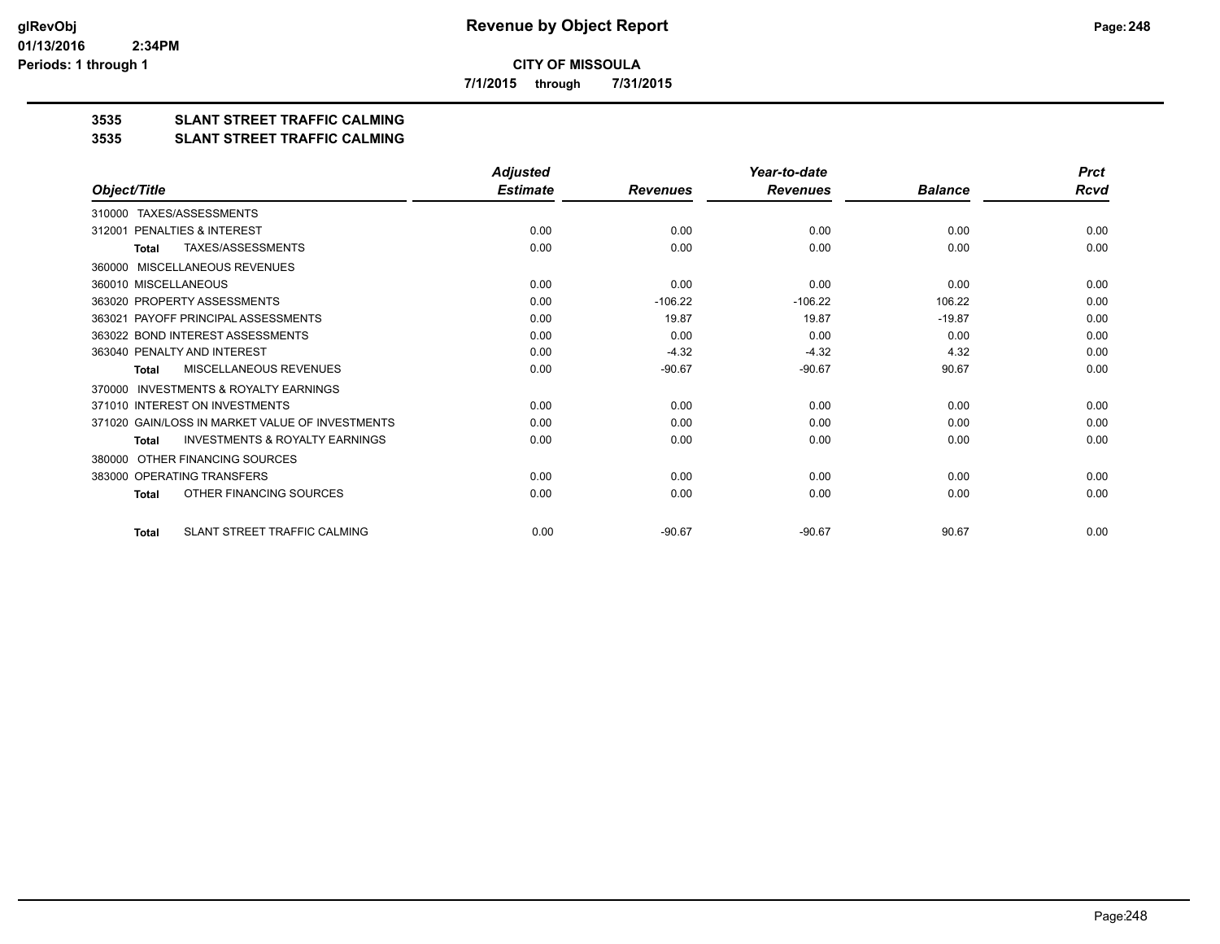**7/1/2015 through 7/31/2015**

# **3535 SLANT STREET TRAFFIC CALMING**

#### **3535 SLANT STREET TRAFFIC CALMING**

|                                                           | <b>Adjusted</b> |                 | Year-to-date    |                | <b>Prct</b> |
|-----------------------------------------------------------|-----------------|-----------------|-----------------|----------------|-------------|
| Object/Title                                              | <b>Estimate</b> | <b>Revenues</b> | <b>Revenues</b> | <b>Balance</b> | <b>Rcvd</b> |
| TAXES/ASSESSMENTS<br>310000                               |                 |                 |                 |                |             |
| PENALTIES & INTEREST<br>312001                            | 0.00            | 0.00            | 0.00            | 0.00           | 0.00        |
| <b>TAXES/ASSESSMENTS</b><br><b>Total</b>                  | 0.00            | 0.00            | 0.00            | 0.00           | 0.00        |
| MISCELLANEOUS REVENUES<br>360000                          |                 |                 |                 |                |             |
| 360010 MISCELLANEOUS                                      | 0.00            | 0.00            | 0.00            | 0.00           | 0.00        |
| 363020 PROPERTY ASSESSMENTS                               | 0.00            | $-106.22$       | $-106.22$       | 106.22         | 0.00        |
| 363021 PAYOFF PRINCIPAL ASSESSMENTS                       | 0.00            | 19.87           | 19.87           | $-19.87$       | 0.00        |
| 363022 BOND INTEREST ASSESSMENTS                          | 0.00            | 0.00            | 0.00            | 0.00           | 0.00        |
| 363040 PENALTY AND INTEREST                               | 0.00            | $-4.32$         | $-4.32$         | 4.32           | 0.00        |
| MISCELLANEOUS REVENUES<br><b>Total</b>                    | 0.00            | $-90.67$        | $-90.67$        | 90.67          | 0.00        |
| INVESTMENTS & ROYALTY EARNINGS<br>370000                  |                 |                 |                 |                |             |
| 371010 INTEREST ON INVESTMENTS                            | 0.00            | 0.00            | 0.00            | 0.00           | 0.00        |
| 371020 GAIN/LOSS IN MARKET VALUE OF INVESTMENTS           | 0.00            | 0.00            | 0.00            | 0.00           | 0.00        |
| <b>INVESTMENTS &amp; ROYALTY EARNINGS</b><br><b>Total</b> | 0.00            | 0.00            | 0.00            | 0.00           | 0.00        |
| OTHER FINANCING SOURCES<br>380000                         |                 |                 |                 |                |             |
| 383000 OPERATING TRANSFERS                                | 0.00            | 0.00            | 0.00            | 0.00           | 0.00        |
| OTHER FINANCING SOURCES<br>Total                          | 0.00            | 0.00            | 0.00            | 0.00           | 0.00        |
| SLANT STREET TRAFFIC CALMING<br><b>Total</b>              | 0.00            | $-90.67$        | $-90.67$        | 90.67          | 0.00        |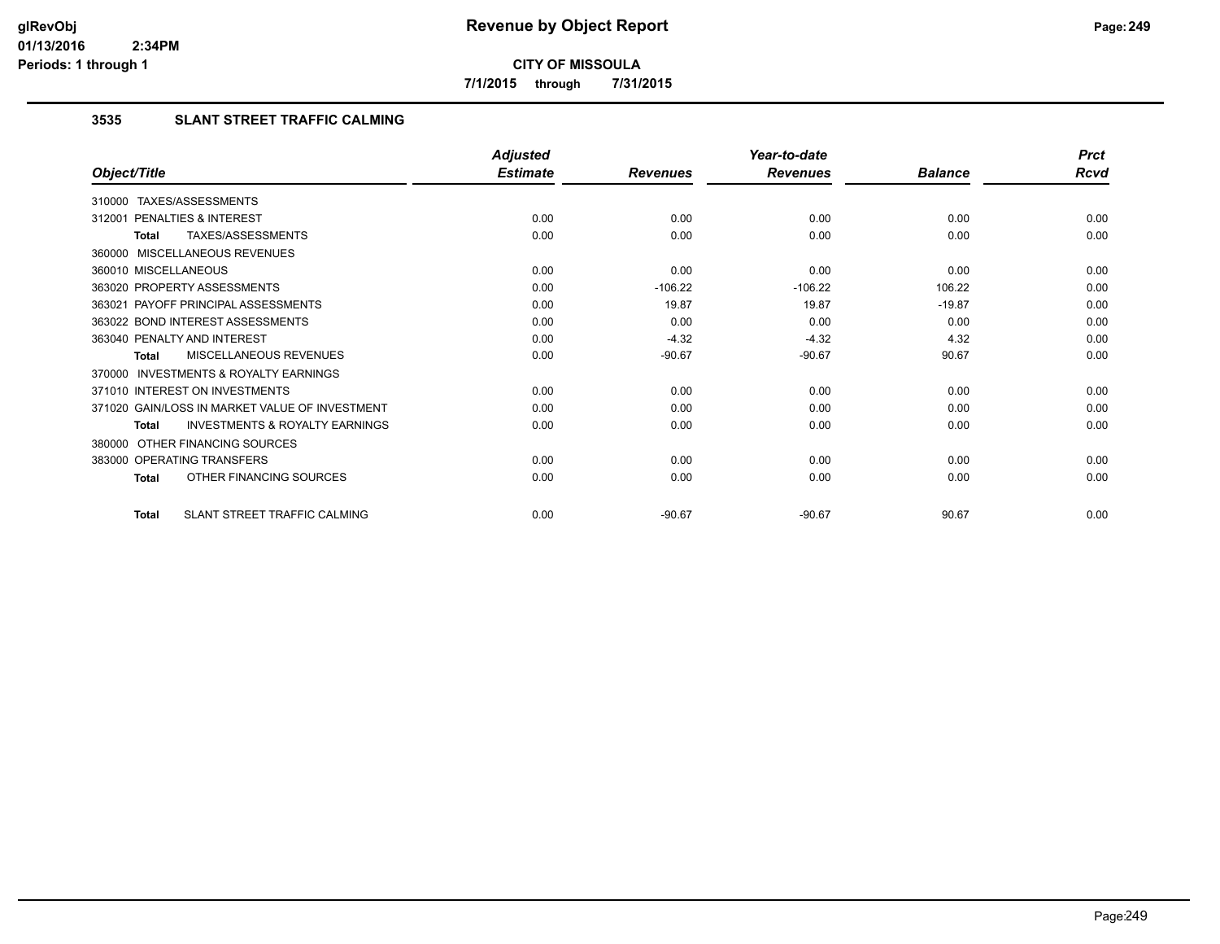**7/1/2015 through 7/31/2015**

## **3535 SLANT STREET TRAFFIC CALMING**

|                                                           | <b>Adjusted</b> |                 | Year-to-date    |                | <b>Prct</b> |
|-----------------------------------------------------------|-----------------|-----------------|-----------------|----------------|-------------|
| Object/Title                                              | <b>Estimate</b> | <b>Revenues</b> | <b>Revenues</b> | <b>Balance</b> | <b>Rcvd</b> |
| 310000 TAXES/ASSESSMENTS                                  |                 |                 |                 |                |             |
| PENALTIES & INTEREST<br>312001                            | 0.00            | 0.00            | 0.00            | 0.00           | 0.00        |
| TAXES/ASSESSMENTS<br><b>Total</b>                         | 0.00            | 0.00            | 0.00            | 0.00           | 0.00        |
| 360000 MISCELLANEOUS REVENUES                             |                 |                 |                 |                |             |
| 360010 MISCELLANEOUS                                      | 0.00            | 0.00            | 0.00            | 0.00           | 0.00        |
| 363020 PROPERTY ASSESSMENTS                               | 0.00            | $-106.22$       | $-106.22$       | 106.22         | 0.00        |
| 363021 PAYOFF PRINCIPAL ASSESSMENTS                       | 0.00            | 19.87           | 19.87           | $-19.87$       | 0.00        |
| 363022 BOND INTEREST ASSESSMENTS                          | 0.00            | 0.00            | 0.00            | 0.00           | 0.00        |
| 363040 PENALTY AND INTEREST                               | 0.00            | $-4.32$         | $-4.32$         | 4.32           | 0.00        |
| MISCELLANEOUS REVENUES<br><b>Total</b>                    | 0.00            | $-90.67$        | $-90.67$        | 90.67          | 0.00        |
| INVESTMENTS & ROYALTY EARNINGS<br>370000                  |                 |                 |                 |                |             |
| 371010 INTEREST ON INVESTMENTS                            | 0.00            | 0.00            | 0.00            | 0.00           | 0.00        |
| 371020 GAIN/LOSS IN MARKET VALUE OF INVESTMENT            | 0.00            | 0.00            | 0.00            | 0.00           | 0.00        |
| <b>INVESTMENTS &amp; ROYALTY EARNINGS</b><br><b>Total</b> | 0.00            | 0.00            | 0.00            | 0.00           | 0.00        |
| 380000 OTHER FINANCING SOURCES                            |                 |                 |                 |                |             |
| 383000 OPERATING TRANSFERS                                | 0.00            | 0.00            | 0.00            | 0.00           | 0.00        |
| OTHER FINANCING SOURCES<br><b>Total</b>                   | 0.00            | 0.00            | 0.00            | 0.00           | 0.00        |
| SLANT STREET TRAFFIC CALMING<br><b>Total</b>              | 0.00            | $-90.67$        | $-90.67$        | 90.67          | 0.00        |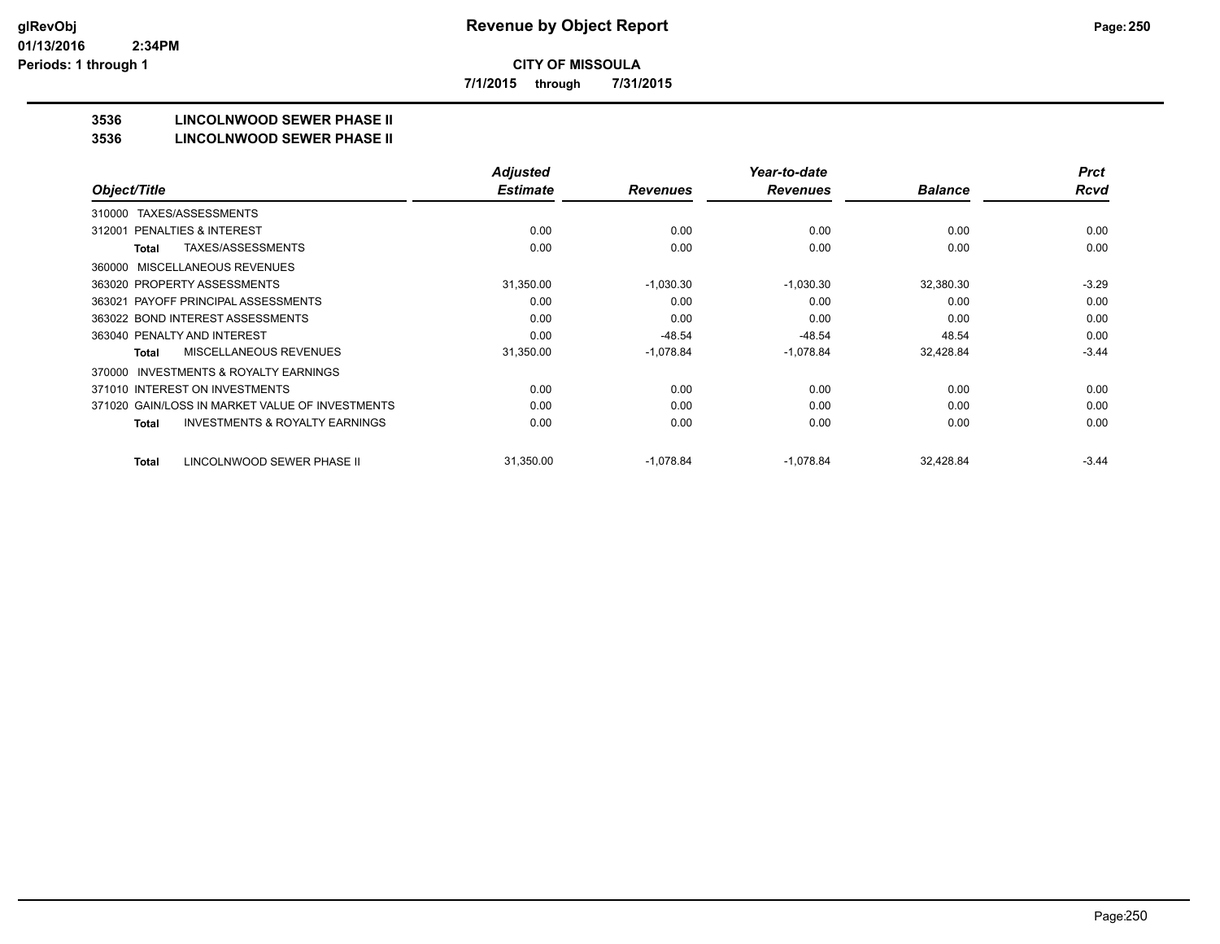**7/1/2015 through 7/31/2015**

# **3536 LINCOLNWOOD SEWER PHASE II**

### **3536 LINCOLNWOOD SEWER PHASE II**

|                                                           | <b>Adjusted</b> |                 | Year-to-date    |                | <b>Prct</b> |
|-----------------------------------------------------------|-----------------|-----------------|-----------------|----------------|-------------|
| Object/Title                                              | <b>Estimate</b> | <b>Revenues</b> | <b>Revenues</b> | <b>Balance</b> | <b>Rcvd</b> |
| TAXES/ASSESSMENTS<br>310000                               |                 |                 |                 |                |             |
| PENALTIES & INTEREST<br>312001                            | 0.00            | 0.00            | 0.00            | 0.00           | 0.00        |
| TAXES/ASSESSMENTS<br>Total                                | 0.00            | 0.00            | 0.00            | 0.00           | 0.00        |
| MISCELLANEOUS REVENUES<br>360000                          |                 |                 |                 |                |             |
| 363020 PROPERTY ASSESSMENTS                               | 31,350.00       | $-1,030.30$     | $-1,030.30$     | 32,380.30      | $-3.29$     |
| 363021 PAYOFF PRINCIPAL ASSESSMENTS                       | 0.00            | 0.00            | 0.00            | 0.00           | 0.00        |
| 363022 BOND INTEREST ASSESSMENTS                          | 0.00            | 0.00            | 0.00            | 0.00           | 0.00        |
| 363040 PENALTY AND INTEREST                               | 0.00            | $-48.54$        | $-48.54$        | 48.54          | 0.00        |
| MISCELLANEOUS REVENUES<br>Total                           | 31,350.00       | $-1,078.84$     | $-1,078.84$     | 32,428.84      | $-3.44$     |
| <b>INVESTMENTS &amp; ROYALTY EARNINGS</b><br>370000       |                 |                 |                 |                |             |
| 371010 INTEREST ON INVESTMENTS                            | 0.00            | 0.00            | 0.00            | 0.00           | 0.00        |
| 371020 GAIN/LOSS IN MARKET VALUE OF INVESTMENTS           | 0.00            | 0.00            | 0.00            | 0.00           | 0.00        |
| <b>INVESTMENTS &amp; ROYALTY EARNINGS</b><br><b>Total</b> | 0.00            | 0.00            | 0.00            | 0.00           | 0.00        |
|                                                           |                 |                 |                 |                |             |
| LINCOLNWOOD SEWER PHASE II<br>Total                       | 31,350.00       | $-1.078.84$     | $-1.078.84$     | 32.428.84      | $-3.44$     |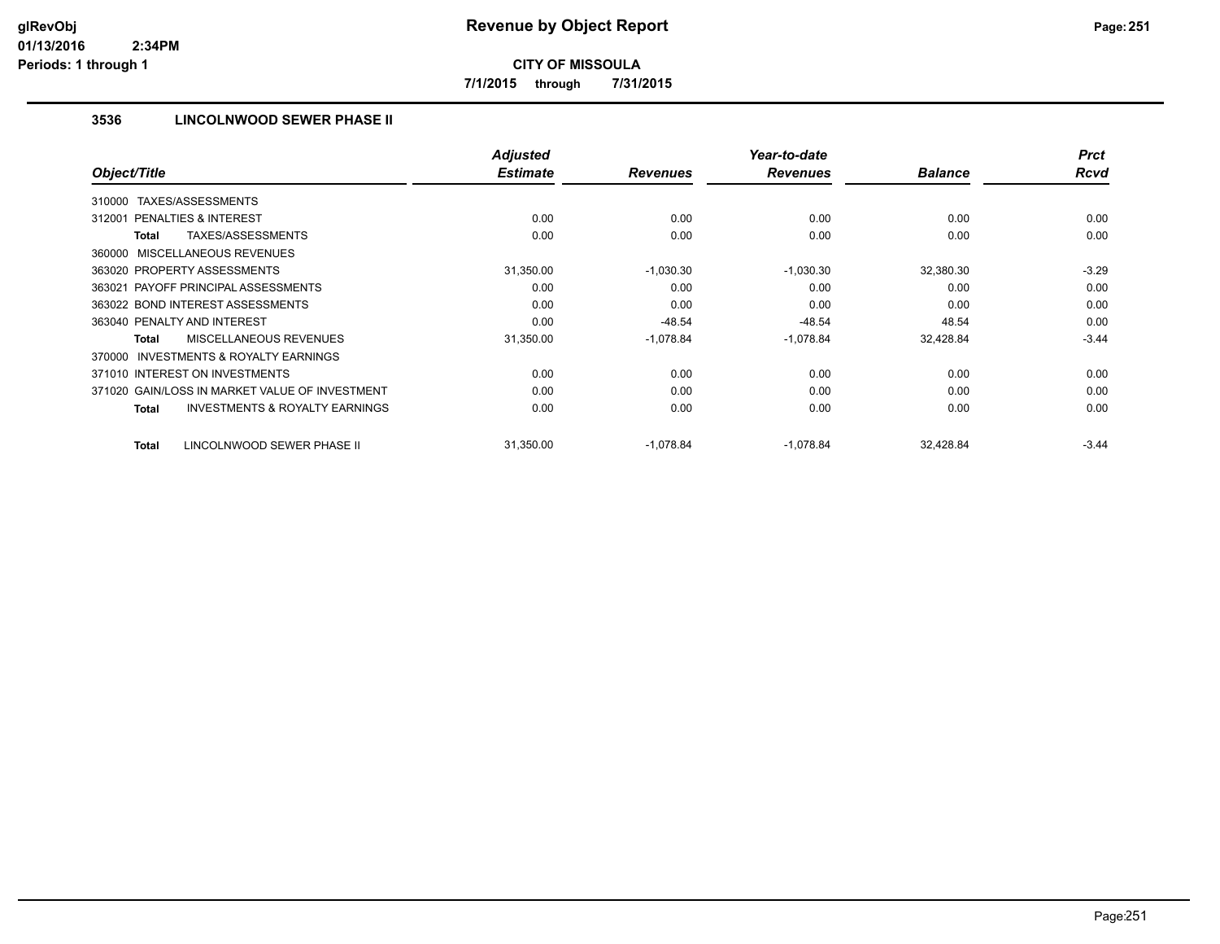**7/1/2015 through 7/31/2015**

## **3536 LINCOLNWOOD SEWER PHASE II**

|                                                     | <b>Adjusted</b> |                 | Year-to-date    |                | <b>Prct</b> |
|-----------------------------------------------------|-----------------|-----------------|-----------------|----------------|-------------|
| Object/Title                                        | <b>Estimate</b> | <b>Revenues</b> | <b>Revenues</b> | <b>Balance</b> | <b>Rcvd</b> |
| TAXES/ASSESSMENTS<br>310000                         |                 |                 |                 |                |             |
| PENALTIES & INTEREST<br>312001                      | 0.00            | 0.00            | 0.00            | 0.00           | 0.00        |
| TAXES/ASSESSMENTS<br>Total                          | 0.00            | 0.00            | 0.00            | 0.00           | 0.00        |
| 360000 MISCELLANEOUS REVENUES                       |                 |                 |                 |                |             |
| 363020 PROPERTY ASSESSMENTS                         | 31,350.00       | $-1,030.30$     | $-1,030.30$     | 32,380.30      | $-3.29$     |
| 363021 PAYOFF PRINCIPAL ASSESSMENTS                 | 0.00            | 0.00            | 0.00            | 0.00           | 0.00        |
| 363022 BOND INTEREST ASSESSMENTS                    | 0.00            | 0.00            | 0.00            | 0.00           | 0.00        |
| 363040 PENALTY AND INTEREST                         | 0.00            | $-48.54$        | $-48.54$        | 48.54          | 0.00        |
| MISCELLANEOUS REVENUES<br>Total                     | 31,350.00       | $-1,078.84$     | $-1,078.84$     | 32,428.84      | $-3.44$     |
| <b>INVESTMENTS &amp; ROYALTY EARNINGS</b><br>370000 |                 |                 |                 |                |             |
| 371010 INTEREST ON INVESTMENTS                      | 0.00            | 0.00            | 0.00            | 0.00           | 0.00        |
| 371020 GAIN/LOSS IN MARKET VALUE OF INVESTMENT      | 0.00            | 0.00            | 0.00            | 0.00           | 0.00        |
| <b>INVESTMENTS &amp; ROYALTY EARNINGS</b><br>Total  | 0.00            | 0.00            | 0.00            | 0.00           | 0.00        |
| LINCOLNWOOD SEWER PHASE II<br>Total                 | 31,350.00       | $-1,078.84$     | $-1,078.84$     | 32,428.84      | $-3.44$     |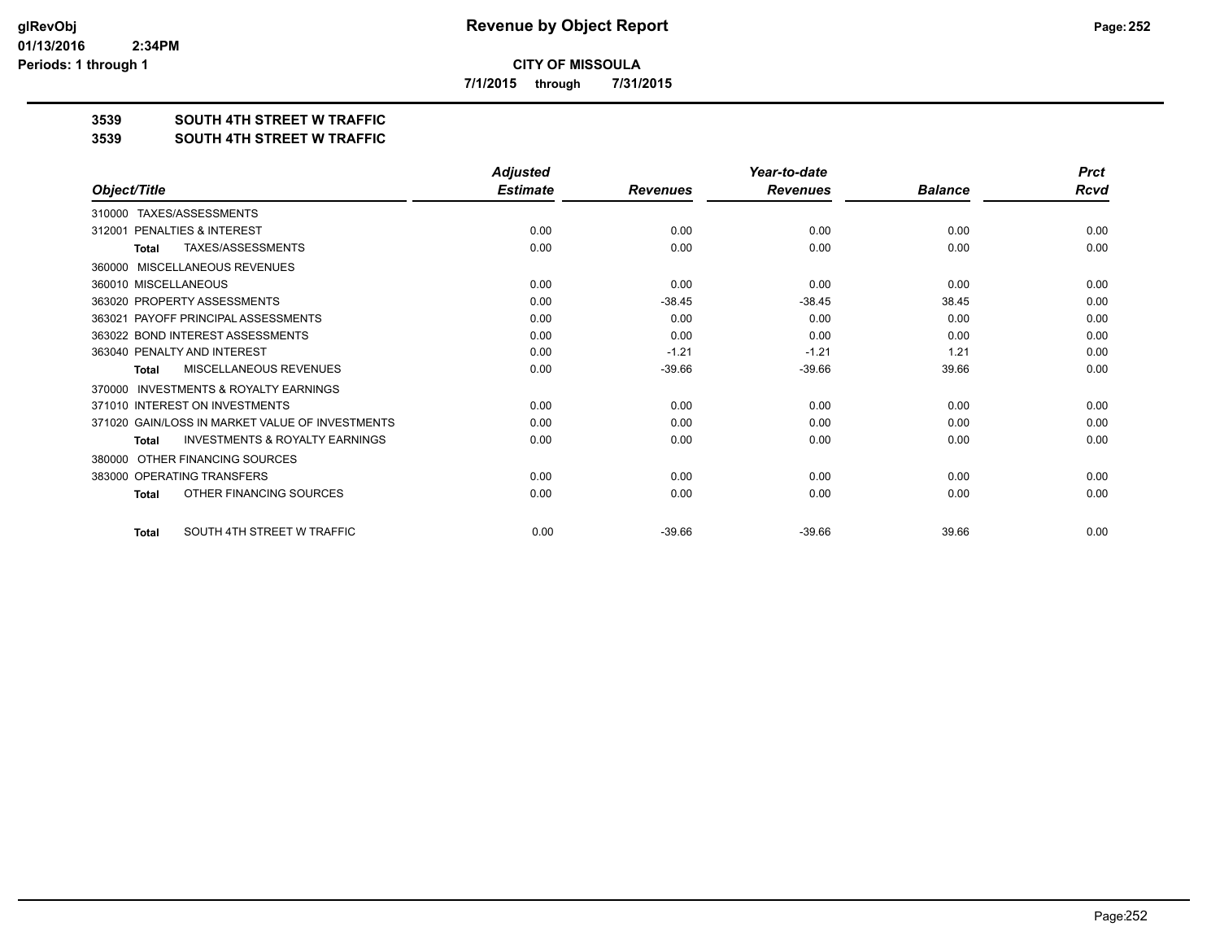**7/1/2015 through 7/31/2015**

### **3539 SOUTH 4TH STREET W TRAFFIC**

#### **3539 SOUTH 4TH STREET W TRAFFIC**

|                                                           | <b>Adjusted</b> |                 | Year-to-date    |                | <b>Prct</b> |
|-----------------------------------------------------------|-----------------|-----------------|-----------------|----------------|-------------|
| Object/Title                                              | <b>Estimate</b> | <b>Revenues</b> | <b>Revenues</b> | <b>Balance</b> | <b>Rcvd</b> |
| TAXES/ASSESSMENTS<br>310000                               |                 |                 |                 |                |             |
| <b>PENALTIES &amp; INTEREST</b><br>312001                 | 0.00            | 0.00            | 0.00            | 0.00           | 0.00        |
| <b>TAXES/ASSESSMENTS</b><br><b>Total</b>                  | 0.00            | 0.00            | 0.00            | 0.00           | 0.00        |
| MISCELLANEOUS REVENUES<br>360000                          |                 |                 |                 |                |             |
| 360010 MISCELLANEOUS                                      | 0.00            | 0.00            | 0.00            | 0.00           | 0.00        |
| 363020 PROPERTY ASSESSMENTS                               | 0.00            | $-38.45$        | $-38.45$        | 38.45          | 0.00        |
| 363021 PAYOFF PRINCIPAL ASSESSMENTS                       | 0.00            | 0.00            | 0.00            | 0.00           | 0.00        |
| 363022 BOND INTEREST ASSESSMENTS                          | 0.00            | 0.00            | 0.00            | 0.00           | 0.00        |
| 363040 PENALTY AND INTEREST                               | 0.00            | $-1.21$         | $-1.21$         | 1.21           | 0.00        |
| MISCELLANEOUS REVENUES<br><b>Total</b>                    | 0.00            | $-39.66$        | $-39.66$        | 39.66          | 0.00        |
| INVESTMENTS & ROYALTY EARNINGS<br>370000                  |                 |                 |                 |                |             |
| 371010 INTEREST ON INVESTMENTS                            | 0.00            | 0.00            | 0.00            | 0.00           | 0.00        |
| 371020 GAIN/LOSS IN MARKET VALUE OF INVESTMENTS           | 0.00            | 0.00            | 0.00            | 0.00           | 0.00        |
| <b>INVESTMENTS &amp; ROYALTY EARNINGS</b><br><b>Total</b> | 0.00            | 0.00            | 0.00            | 0.00           | 0.00        |
| OTHER FINANCING SOURCES<br>380000                         |                 |                 |                 |                |             |
| 383000 OPERATING TRANSFERS                                | 0.00            | 0.00            | 0.00            | 0.00           | 0.00        |
| OTHER FINANCING SOURCES<br><b>Total</b>                   | 0.00            | 0.00            | 0.00            | 0.00           | 0.00        |
| SOUTH 4TH STREET W TRAFFIC<br><b>Total</b>                | 0.00            | $-39.66$        | $-39.66$        | 39.66          | 0.00        |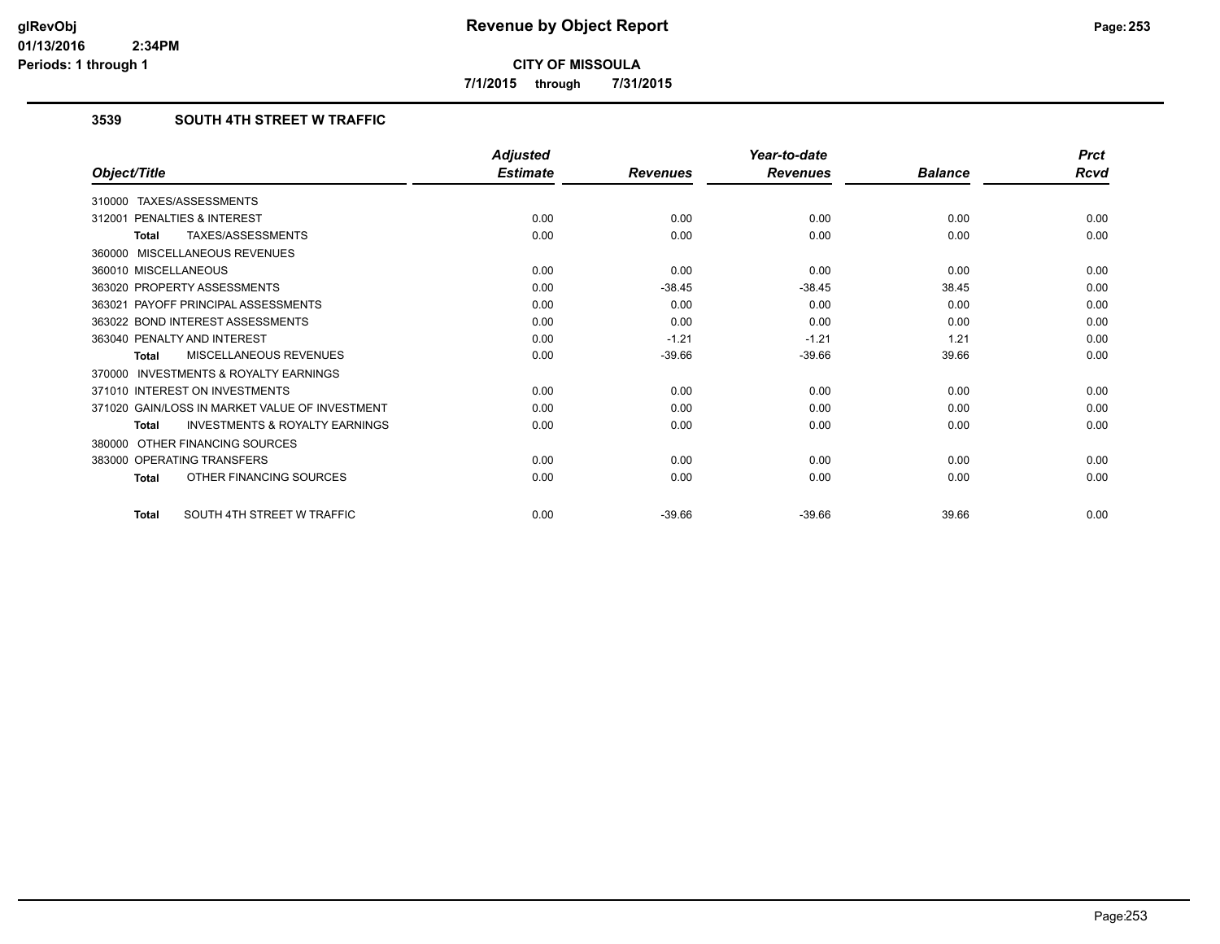**7/1/2015 through 7/31/2015**

## **3539 SOUTH 4TH STREET W TRAFFIC**

|                                                    | <b>Adjusted</b> |                 | Year-to-date    |                | <b>Prct</b> |
|----------------------------------------------------|-----------------|-----------------|-----------------|----------------|-------------|
| Object/Title                                       | <b>Estimate</b> | <b>Revenues</b> | <b>Revenues</b> | <b>Balance</b> | <b>Rcvd</b> |
| 310000 TAXES/ASSESSMENTS                           |                 |                 |                 |                |             |
| PENALTIES & INTEREST<br>312001                     | 0.00            | 0.00            | 0.00            | 0.00           | 0.00        |
| TAXES/ASSESSMENTS<br>Total                         | 0.00            | 0.00            | 0.00            | 0.00           | 0.00        |
| 360000 MISCELLANEOUS REVENUES                      |                 |                 |                 |                |             |
| 360010 MISCELLANEOUS                               | 0.00            | 0.00            | 0.00            | 0.00           | 0.00        |
| 363020 PROPERTY ASSESSMENTS                        | 0.00            | $-38.45$        | $-38.45$        | 38.45          | 0.00        |
| 363021 PAYOFF PRINCIPAL ASSESSMENTS                | 0.00            | 0.00            | 0.00            | 0.00           | 0.00        |
| 363022 BOND INTEREST ASSESSMENTS                   | 0.00            | 0.00            | 0.00            | 0.00           | 0.00        |
| 363040 PENALTY AND INTEREST                        | 0.00            | $-1.21$         | $-1.21$         | 1.21           | 0.00        |
| MISCELLANEOUS REVENUES<br><b>Total</b>             | 0.00            | $-39.66$        | $-39.66$        | 39.66          | 0.00        |
| 370000 INVESTMENTS & ROYALTY EARNINGS              |                 |                 |                 |                |             |
| 371010 INTEREST ON INVESTMENTS                     | 0.00            | 0.00            | 0.00            | 0.00           | 0.00        |
| 371020 GAIN/LOSS IN MARKET VALUE OF INVESTMENT     | 0.00            | 0.00            | 0.00            | 0.00           | 0.00        |
| <b>INVESTMENTS &amp; ROYALTY EARNINGS</b><br>Total | 0.00            | 0.00            | 0.00            | 0.00           | 0.00        |
| 380000 OTHER FINANCING SOURCES                     |                 |                 |                 |                |             |
| 383000 OPERATING TRANSFERS                         | 0.00            | 0.00            | 0.00            | 0.00           | 0.00        |
| OTHER FINANCING SOURCES<br>Total                   | 0.00            | 0.00            | 0.00            | 0.00           | 0.00        |
|                                                    |                 |                 |                 |                |             |
| SOUTH 4TH STREET W TRAFFIC<br><b>Total</b>         | 0.00            | $-39.66$        | $-39.66$        | 39.66          | 0.00        |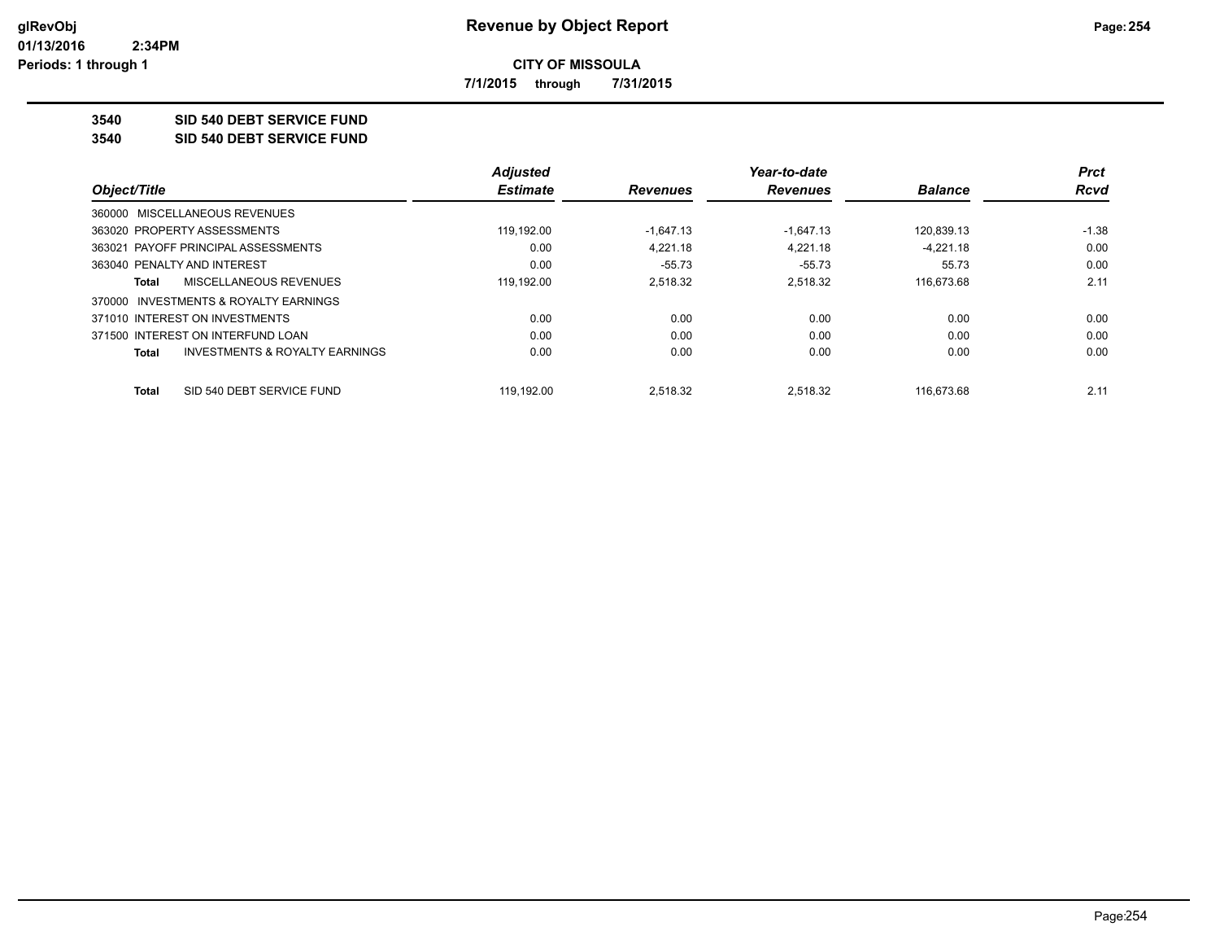**7/1/2015 through 7/31/2015**

**3540 SID 540 DEBT SERVICE FUND**

**3540 SID 540 DEBT SERVICE FUND**

|                                                    | <b>Adjusted</b> |                 | Year-to-date    |                | <b>Prct</b> |
|----------------------------------------------------|-----------------|-----------------|-----------------|----------------|-------------|
| Object/Title                                       | <b>Estimate</b> | <b>Revenues</b> | <b>Revenues</b> | <b>Balance</b> | Rcvd        |
| 360000 MISCELLANEOUS REVENUES                      |                 |                 |                 |                |             |
| 363020 PROPERTY ASSESSMENTS                        | 119.192.00      | $-1.647.13$     | $-1.647.13$     | 120.839.13     | $-1.38$     |
| 363021 PAYOFF PRINCIPAL ASSESSMENTS                | 0.00            | 4.221.18        | 4.221.18        | $-4.221.18$    | 0.00        |
| 363040 PENALTY AND INTEREST                        | 0.00            | $-55.73$        | $-55.73$        | 55.73          | 0.00        |
| MISCELLANEOUS REVENUES<br>Total                    | 119.192.00      | 2.518.32        | 2,518.32        | 116.673.68     | 2.11        |
| 370000 INVESTMENTS & ROYALTY EARNINGS              |                 |                 |                 |                |             |
| 371010 INTEREST ON INVESTMENTS                     | 0.00            | 0.00            | 0.00            | 0.00           | 0.00        |
| 371500 INTEREST ON INTERFUND LOAN                  | 0.00            | 0.00            | 0.00            | 0.00           | 0.00        |
| <b>INVESTMENTS &amp; ROYALTY EARNINGS</b><br>Total | 0.00            | 0.00            | 0.00            | 0.00           | 0.00        |
| SID 540 DEBT SERVICE FUND<br>Total                 | 119.192.00      | 2.518.32        | 2.518.32        | 116.673.68     | 2.11        |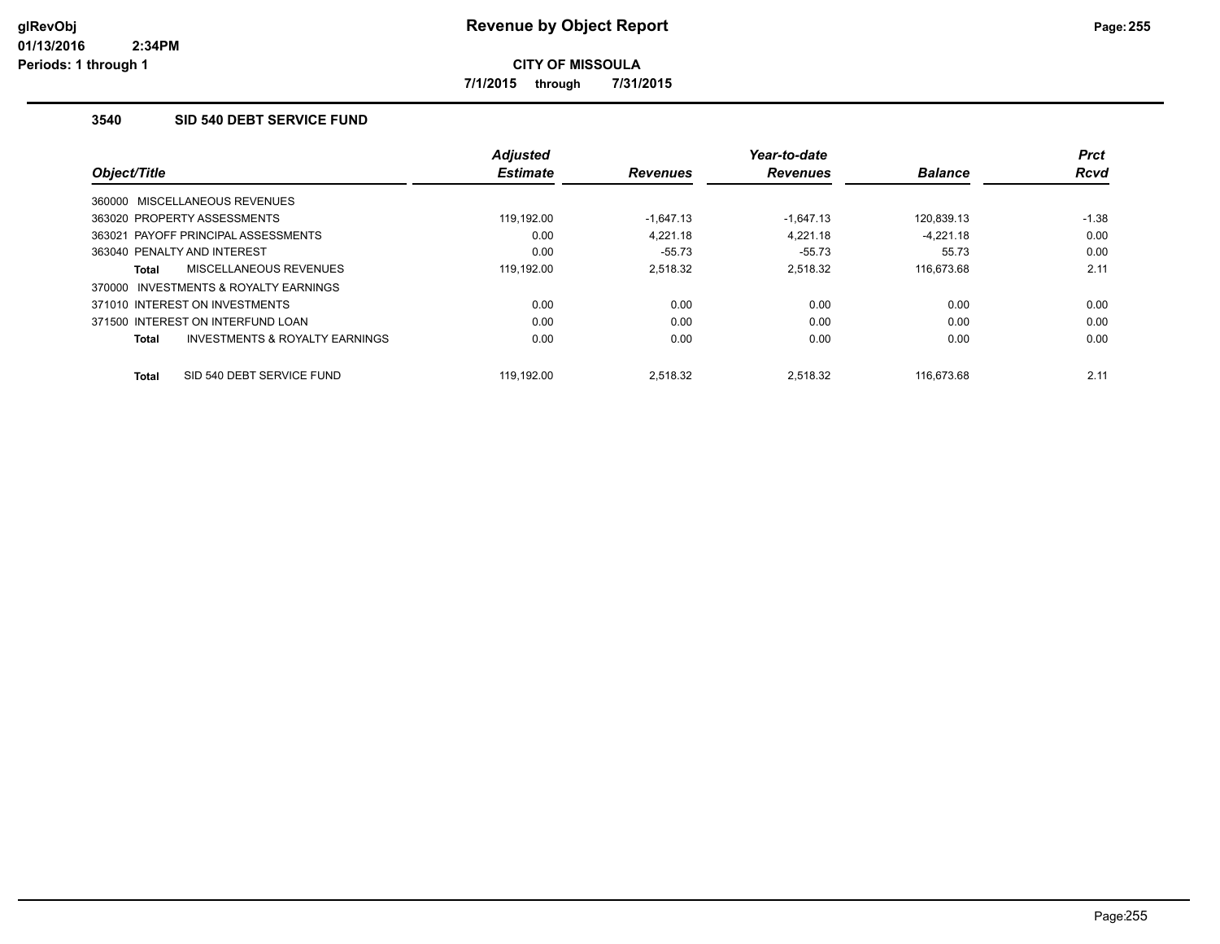**7/1/2015 through 7/31/2015**

## **3540 SID 540 DEBT SERVICE FUND**

|                                                     | <b>Adjusted</b> |                 | Year-to-date    |                | <b>Prct</b> |
|-----------------------------------------------------|-----------------|-----------------|-----------------|----------------|-------------|
| Object/Title                                        | <b>Estimate</b> | <b>Revenues</b> | <b>Revenues</b> | <b>Balance</b> | <b>Rcvd</b> |
| 360000 MISCELLANEOUS REVENUES                       |                 |                 |                 |                |             |
| 363020 PROPERTY ASSESSMENTS                         | 119.192.00      | $-1.647.13$     | $-1.647.13$     | 120.839.13     | $-1.38$     |
| 363021 PAYOFF PRINCIPAL ASSESSMENTS                 | 0.00            | 4.221.18        | 4.221.18        | $-4,221.18$    | 0.00        |
| 363040 PENALTY AND INTEREST                         | 0.00            | $-55.73$        | $-55.73$        | 55.73          | 0.00        |
| MISCELLANEOUS REVENUES<br>Total                     | 119.192.00      | 2.518.32        | 2.518.32        | 116.673.68     | 2.11        |
| <b>INVESTMENTS &amp; ROYALTY EARNINGS</b><br>370000 |                 |                 |                 |                |             |
| 371010 INTEREST ON INVESTMENTS                      | 0.00            | 0.00            | 0.00            | 0.00           | 0.00        |
| 371500 INTEREST ON INTERFUND LOAN                   | 0.00            | 0.00            | 0.00            | 0.00           | 0.00        |
| INVESTMENTS & ROYALTY EARNINGS<br>Total             | 0.00            | 0.00            | 0.00            | 0.00           | 0.00        |
|                                                     |                 |                 |                 |                |             |
| SID 540 DEBT SERVICE FUND<br><b>Total</b>           | 119.192.00      | 2.518.32        | 2.518.32        | 116.673.68     | 2.11        |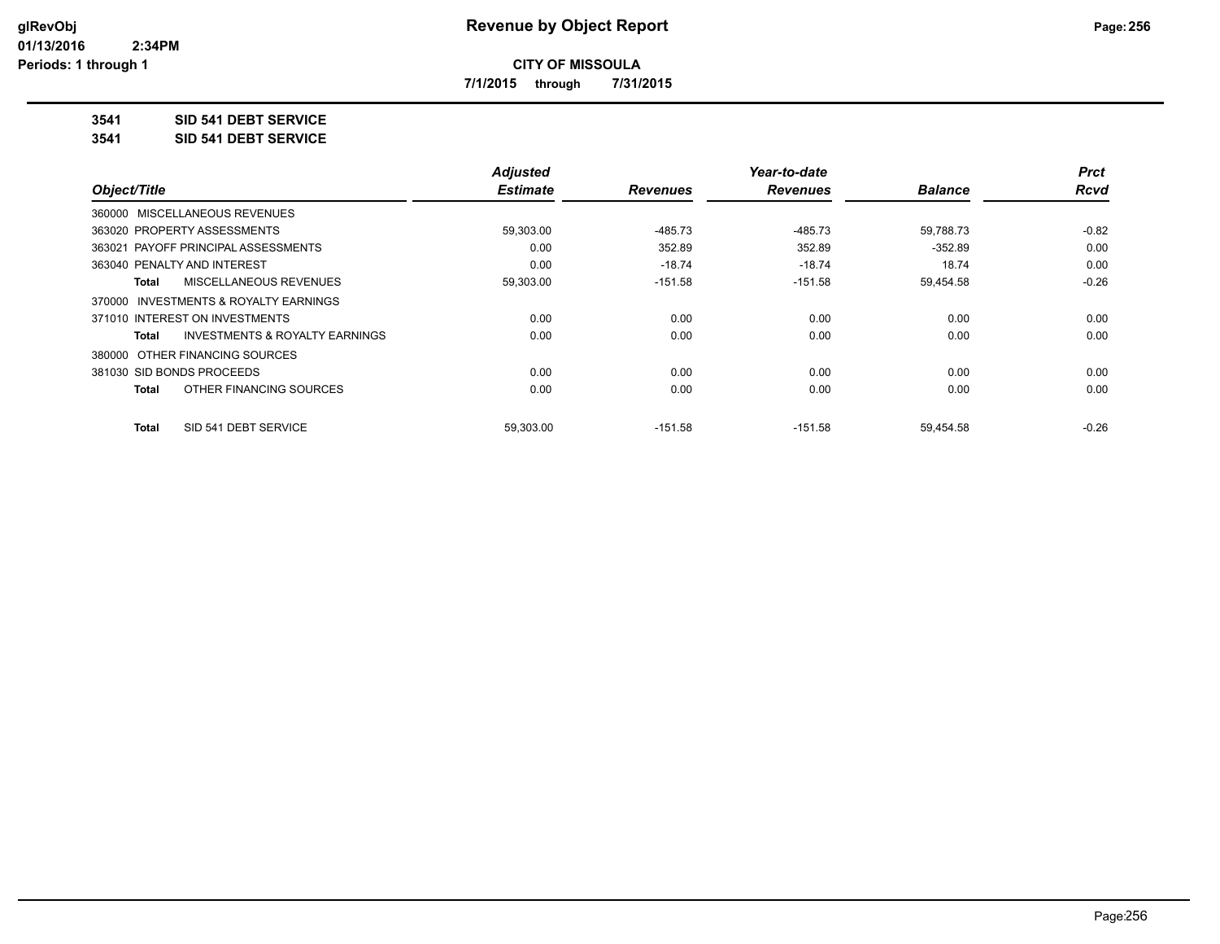**7/1/2015 through 7/31/2015**

## **3541 SID 541 DEBT SERVICE**

**3541 SID 541 DEBT SERVICE**

|                                                    | <b>Adjusted</b> |                 | Year-to-date    |                | <b>Prct</b> |
|----------------------------------------------------|-----------------|-----------------|-----------------|----------------|-------------|
| Object/Title                                       | <b>Estimate</b> | <b>Revenues</b> | <b>Revenues</b> | <b>Balance</b> | <b>Rcvd</b> |
| 360000 MISCELLANEOUS REVENUES                      |                 |                 |                 |                |             |
| 363020 PROPERTY ASSESSMENTS                        | 59,303.00       | $-485.73$       | $-485.73$       | 59,788.73      | $-0.82$     |
| 363021 PAYOFF PRINCIPAL ASSESSMENTS                | 0.00            | 352.89          | 352.89          | $-352.89$      | 0.00        |
| 363040 PENALTY AND INTEREST                        | 0.00            | $-18.74$        | $-18.74$        | 18.74          | 0.00        |
| MISCELLANEOUS REVENUES<br>Total                    | 59,303.00       | $-151.58$       | $-151.58$       | 59,454.58      | $-0.26$     |
| 370000 INVESTMENTS & ROYALTY EARNINGS              |                 |                 |                 |                |             |
| 371010 INTEREST ON INVESTMENTS                     | 0.00            | 0.00            | 0.00            | 0.00           | 0.00        |
| <b>INVESTMENTS &amp; ROYALTY EARNINGS</b><br>Total | 0.00            | 0.00            | 0.00            | 0.00           | 0.00        |
| 380000 OTHER FINANCING SOURCES                     |                 |                 |                 |                |             |
| 381030 SID BONDS PROCEEDS                          | 0.00            | 0.00            | 0.00            | 0.00           | 0.00        |
| OTHER FINANCING SOURCES<br>Total                   | 0.00            | 0.00            | 0.00            | 0.00           | 0.00        |
| SID 541 DEBT SERVICE<br>Total                      | 59.303.00       | $-151.58$       | $-151.58$       | 59.454.58      | $-0.26$     |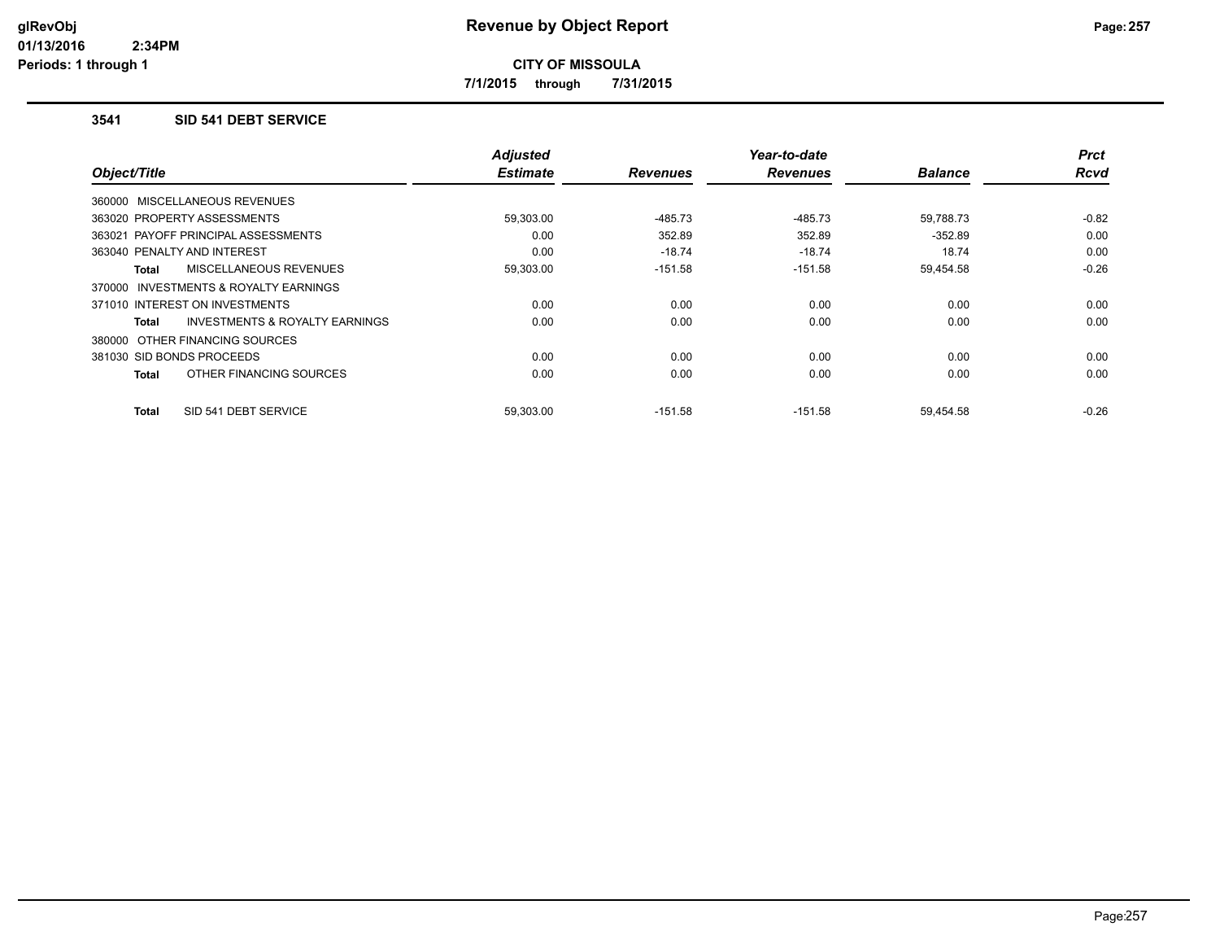**7/1/2015 through 7/31/2015**

### **3541 SID 541 DEBT SERVICE**

| Object/Title                                   | <b>Adjusted</b><br><b>Estimate</b> | <b>Revenues</b> | Year-to-date<br><b>Revenues</b> | <b>Balance</b> | <b>Prct</b><br><b>Rcvd</b> |
|------------------------------------------------|------------------------------------|-----------------|---------------------------------|----------------|----------------------------|
| 360000 MISCELLANEOUS REVENUES                  |                                    |                 |                                 |                |                            |
| 363020 PROPERTY ASSESSMENTS                    | 59,303.00                          | -485.73         | -485.73                         | 59,788.73      | $-0.82$                    |
| 363021 PAYOFF PRINCIPAL ASSESSMENTS            | 0.00                               | 352.89          | 352.89                          | $-352.89$      | 0.00                       |
| 363040 PENALTY AND INTEREST                    | 0.00                               | $-18.74$        | $-18.74$                        | 18.74          | 0.00                       |
| MISCELLANEOUS REVENUES<br>Total                | 59,303.00                          | $-151.58$       | $-151.58$                       | 59.454.58      | $-0.26$                    |
| 370000 INVESTMENTS & ROYALTY EARNINGS          |                                    |                 |                                 |                |                            |
| 371010 INTEREST ON INVESTMENTS                 | 0.00                               | 0.00            | 0.00                            | 0.00           | 0.00                       |
| INVESTMENTS & ROYALTY EARNINGS<br><b>Total</b> | 0.00                               | 0.00            | 0.00                            | 0.00           | 0.00                       |
| 380000 OTHER FINANCING SOURCES                 |                                    |                 |                                 |                |                            |
| 381030 SID BONDS PROCEEDS                      | 0.00                               | 0.00            | 0.00                            | 0.00           | 0.00                       |
| OTHER FINANCING SOURCES<br><b>Total</b>        | 0.00                               | 0.00            | 0.00                            | 0.00           | 0.00                       |
| SID 541 DEBT SERVICE<br><b>Total</b>           | 59,303.00                          | $-151.58$       | $-151.58$                       | 59,454.58      | $-0.26$                    |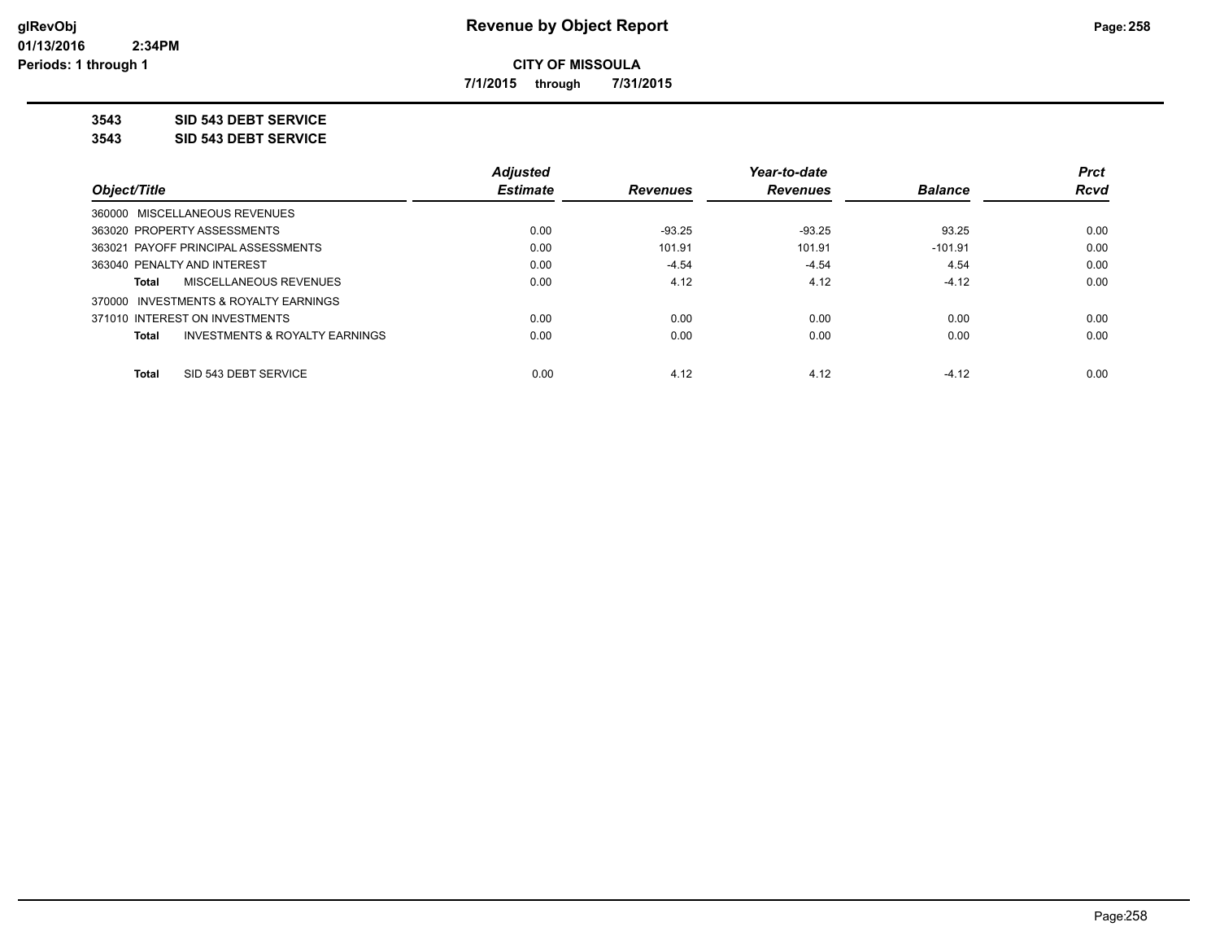**7/1/2015 through 7/31/2015**

**3543 SID 543 DEBT SERVICE**

**3543 SID 543 DEBT SERVICE**

|                                                           | <b>Adjusted</b> |                 | Year-to-date    |                | <b>Prct</b> |
|-----------------------------------------------------------|-----------------|-----------------|-----------------|----------------|-------------|
| Object/Title                                              | <b>Estimate</b> | <b>Revenues</b> | <b>Revenues</b> | <b>Balance</b> | <b>Rcvd</b> |
| 360000 MISCELLANEOUS REVENUES                             |                 |                 |                 |                |             |
| 363020 PROPERTY ASSESSMENTS                               | 0.00            | $-93.25$        | $-93.25$        | 93.25          | 0.00        |
| 363021 PAYOFF PRINCIPAL ASSESSMENTS                       | 0.00            | 101.91          | 101.91          | $-101.91$      | 0.00        |
| 363040 PENALTY AND INTEREST                               | 0.00            | $-4.54$         | $-4.54$         | 4.54           | 0.00        |
| MISCELLANEOUS REVENUES<br>Total                           | 0.00            | 4.12            | 4.12            | $-4.12$        | 0.00        |
| 370000 INVESTMENTS & ROYALTY EARNINGS                     |                 |                 |                 |                |             |
| 371010 INTEREST ON INVESTMENTS                            | 0.00            | 0.00            | 0.00            | 0.00           | 0.00        |
| <b>INVESTMENTS &amp; ROYALTY EARNINGS</b><br><b>Total</b> | 0.00            | 0.00            | 0.00            | 0.00           | 0.00        |
|                                                           |                 |                 |                 |                |             |
| SID 543 DEBT SERVICE<br><b>Total</b>                      | 0.00            | 4.12            | 4.12            | $-4.12$        | 0.00        |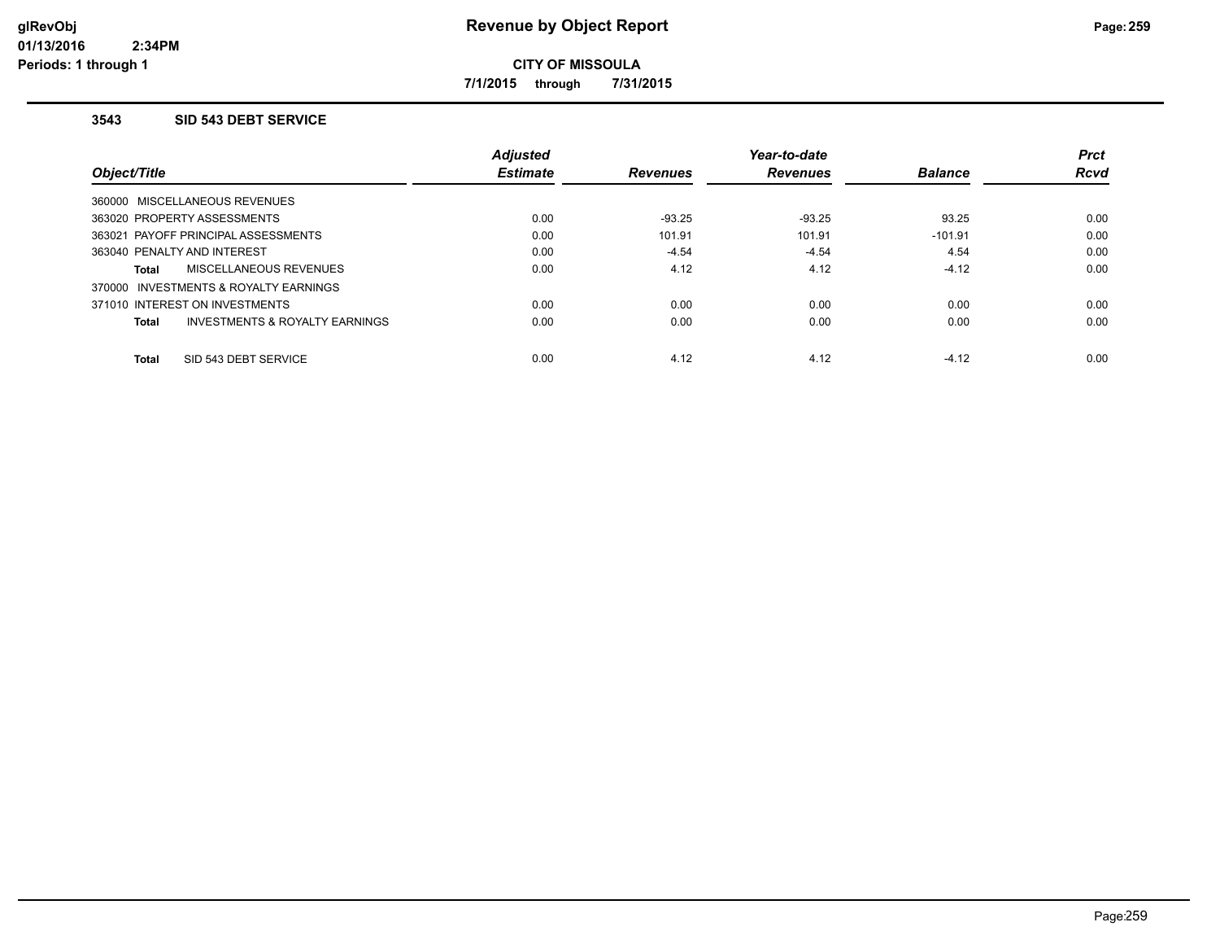**7/1/2015 through 7/31/2015**

### **3543 SID 543 DEBT SERVICE**

|                                                    | <b>Adjusted</b> |                 | Year-to-date    |                | <b>Prct</b> |
|----------------------------------------------------|-----------------|-----------------|-----------------|----------------|-------------|
| Object/Title                                       | <b>Estimate</b> | <b>Revenues</b> | <b>Revenues</b> | <b>Balance</b> | Rcvd        |
| 360000 MISCELLANEOUS REVENUES                      |                 |                 |                 |                |             |
| 363020 PROPERTY ASSESSMENTS                        | 0.00            | $-93.25$        | $-93.25$        | 93.25          | 0.00        |
| 363021 PAYOFF PRINCIPAL ASSESSMENTS                | 0.00            | 101.91          | 101.91          | $-101.91$      | 0.00        |
| 363040 PENALTY AND INTEREST                        | 0.00            | $-4.54$         | $-4.54$         | 4.54           | 0.00        |
| MISCELLANEOUS REVENUES<br>Total                    | 0.00            | 4.12            | 4.12            | $-4.12$        | 0.00        |
| 370000 INVESTMENTS & ROYALTY EARNINGS              |                 |                 |                 |                |             |
| 371010 INTEREST ON INVESTMENTS                     | 0.00            | 0.00            | 0.00            | 0.00           | 0.00        |
| <b>INVESTMENTS &amp; ROYALTY EARNINGS</b><br>Total | 0.00            | 0.00            | 0.00            | 0.00           | 0.00        |
| SID 543 DEBT SERVICE<br><b>Total</b>               | 0.00            | 4.12            | 4.12            | $-4.12$        | 0.00        |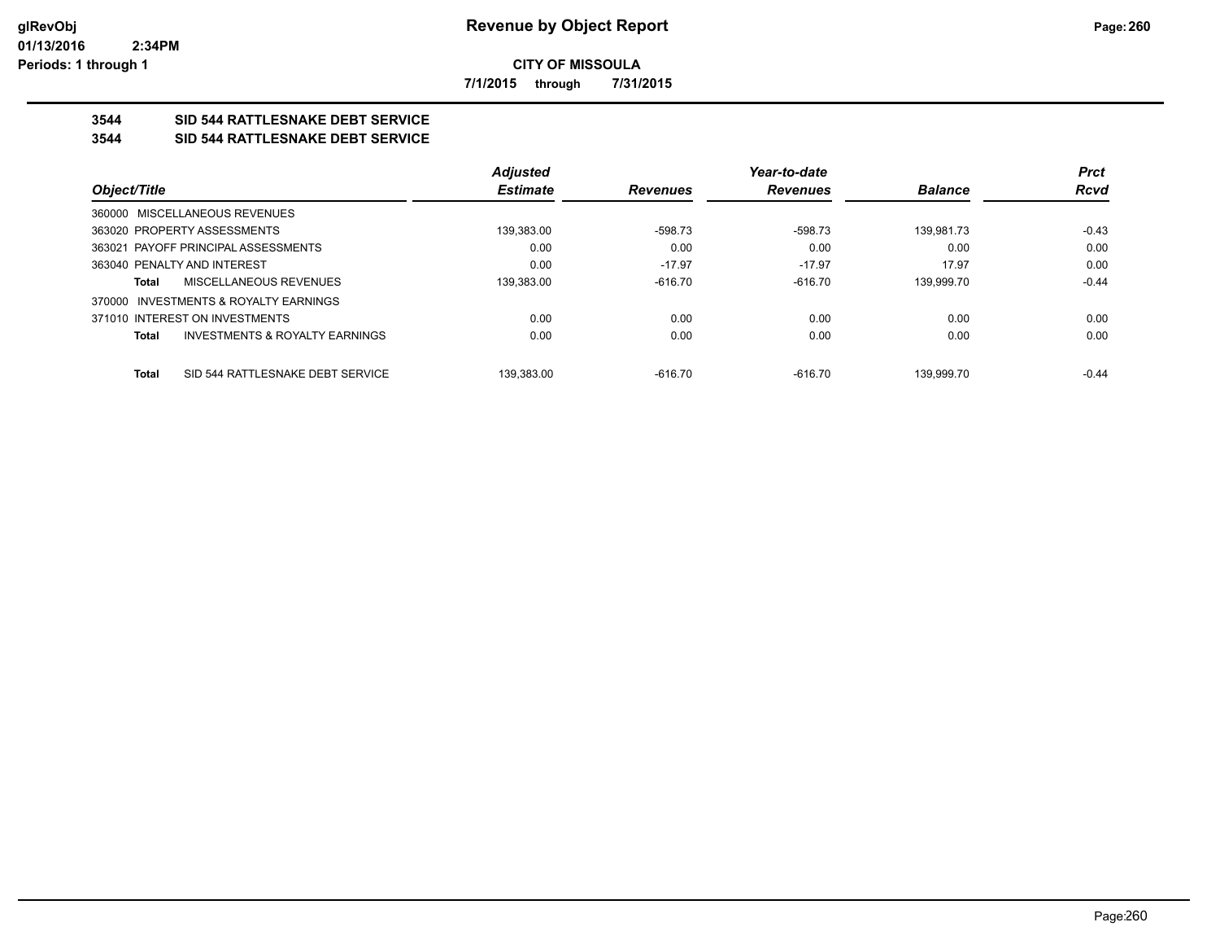**7/1/2015 through 7/31/2015**

# **3544 SID 544 RATTLESNAKE DEBT SERVICE**

## **3544 SID 544 RATTLESNAKE DEBT SERVICE**

|                                                           | <b>Adjusted</b> |                 | Year-to-date    |                | <b>Prct</b> |
|-----------------------------------------------------------|-----------------|-----------------|-----------------|----------------|-------------|
| Object/Title                                              | <b>Estimate</b> | <b>Revenues</b> | <b>Revenues</b> | <b>Balance</b> | Rcvd        |
| 360000 MISCELLANEOUS REVENUES                             |                 |                 |                 |                |             |
| 363020 PROPERTY ASSESSMENTS                               | 139,383.00      | -598.73         | $-598.73$       | 139.981.73     | $-0.43$     |
| 363021 PAYOFF PRINCIPAL ASSESSMENTS                       | 0.00            | 0.00            | 0.00            | 0.00           | 0.00        |
| 363040 PENALTY AND INTEREST                               | 0.00            | $-17.97$        | $-17.97$        | 17.97          | 0.00        |
| MISCELLANEOUS REVENUES<br><b>Total</b>                    | 139,383.00      | $-616.70$       | $-616.70$       | 139.999.70     | $-0.44$     |
| 370000 INVESTMENTS & ROYALTY EARNINGS                     |                 |                 |                 |                |             |
| 371010 INTEREST ON INVESTMENTS                            | 0.00            | 0.00            | 0.00            | 0.00           | 0.00        |
| <b>INVESTMENTS &amp; ROYALTY EARNINGS</b><br><b>Total</b> | 0.00            | 0.00            | 0.00            | 0.00           | 0.00        |
| SID 544 RATTLESNAKE DEBT SERVICE<br><b>Total</b>          | 139.383.00      | $-616.70$       | $-616.70$       | 139.999.70     | $-0.44$     |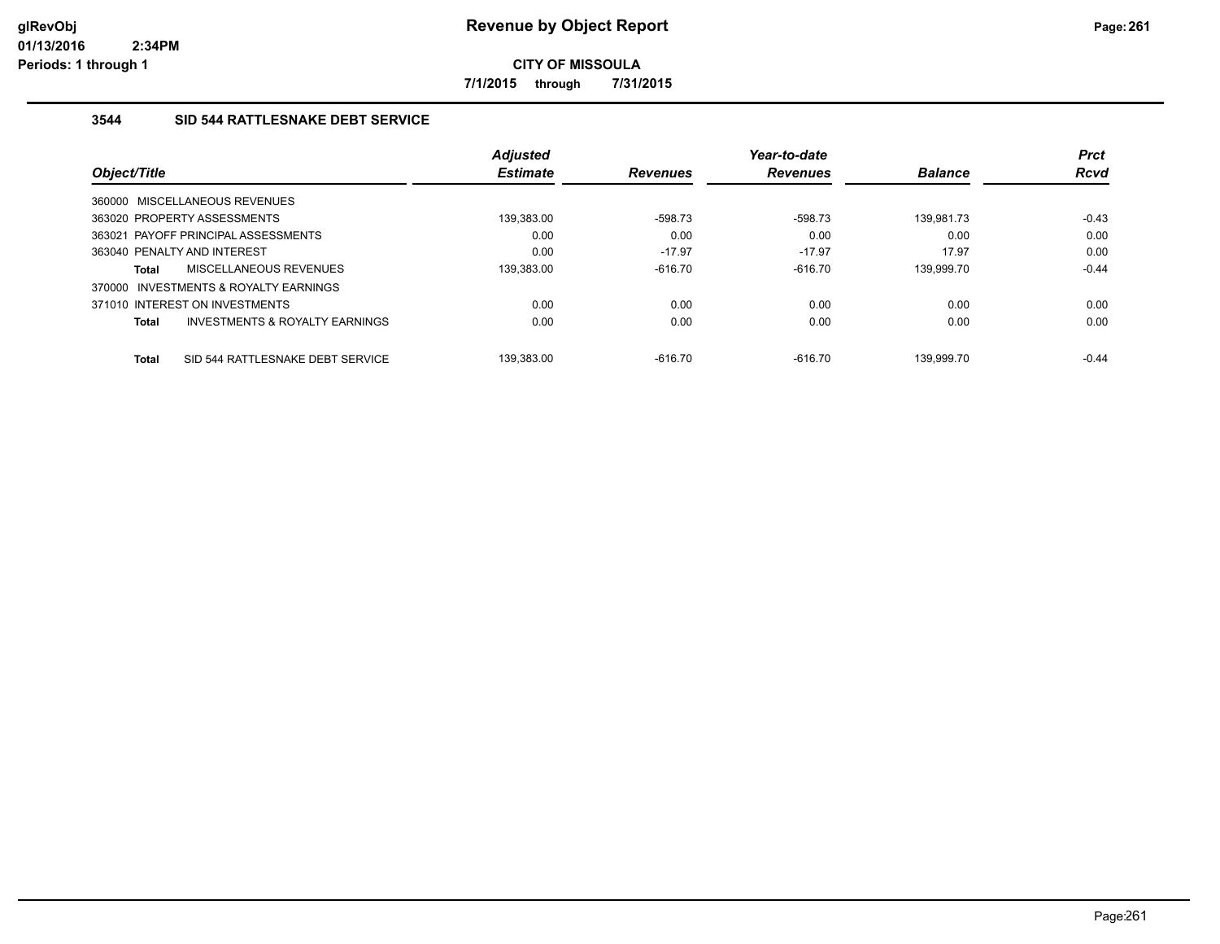**7/1/2015 through 7/31/2015**

## **3544 SID 544 RATTLESNAKE DEBT SERVICE**

|                                     |                                           | <b>Adjusted</b> |                 | Year-to-date    |                | <b>Prct</b> |
|-------------------------------------|-------------------------------------------|-----------------|-----------------|-----------------|----------------|-------------|
| Object/Title                        |                                           | <b>Estimate</b> | <b>Revenues</b> | <b>Revenues</b> | <b>Balance</b> | <b>Rcvd</b> |
| 360000 MISCELLANEOUS REVENUES       |                                           |                 |                 |                 |                |             |
| 363020 PROPERTY ASSESSMENTS         |                                           | 139,383.00      | $-598.73$       | $-598.73$       | 139.981.73     | $-0.43$     |
| 363021 PAYOFF PRINCIPAL ASSESSMENTS |                                           | 0.00            | 0.00            | 0.00            | 0.00           | 0.00        |
| 363040 PENALTY AND INTEREST         |                                           | 0.00            | $-17.97$        | $-17.97$        | 17.97          | 0.00        |
| <b>Total</b>                        | <b>MISCELLANEOUS REVENUES</b>             | 139,383.00      | $-616.70$       | $-616.70$       | 139.999.70     | $-0.44$     |
|                                     | 370000 INVESTMENTS & ROYALTY EARNINGS     |                 |                 |                 |                |             |
| 371010 INTEREST ON INVESTMENTS      |                                           | 0.00            | 0.00            | 0.00            | 0.00           | 0.00        |
| <b>Total</b>                        | <b>INVESTMENTS &amp; ROYALTY EARNINGS</b> | 0.00            | 0.00            | 0.00            | 0.00           | 0.00        |
| <b>Total</b>                        | SID 544 RATTLESNAKE DEBT SERVICE          | 139.383.00      | $-616.70$       | $-616.70$       | 139.999.70     | $-0.44$     |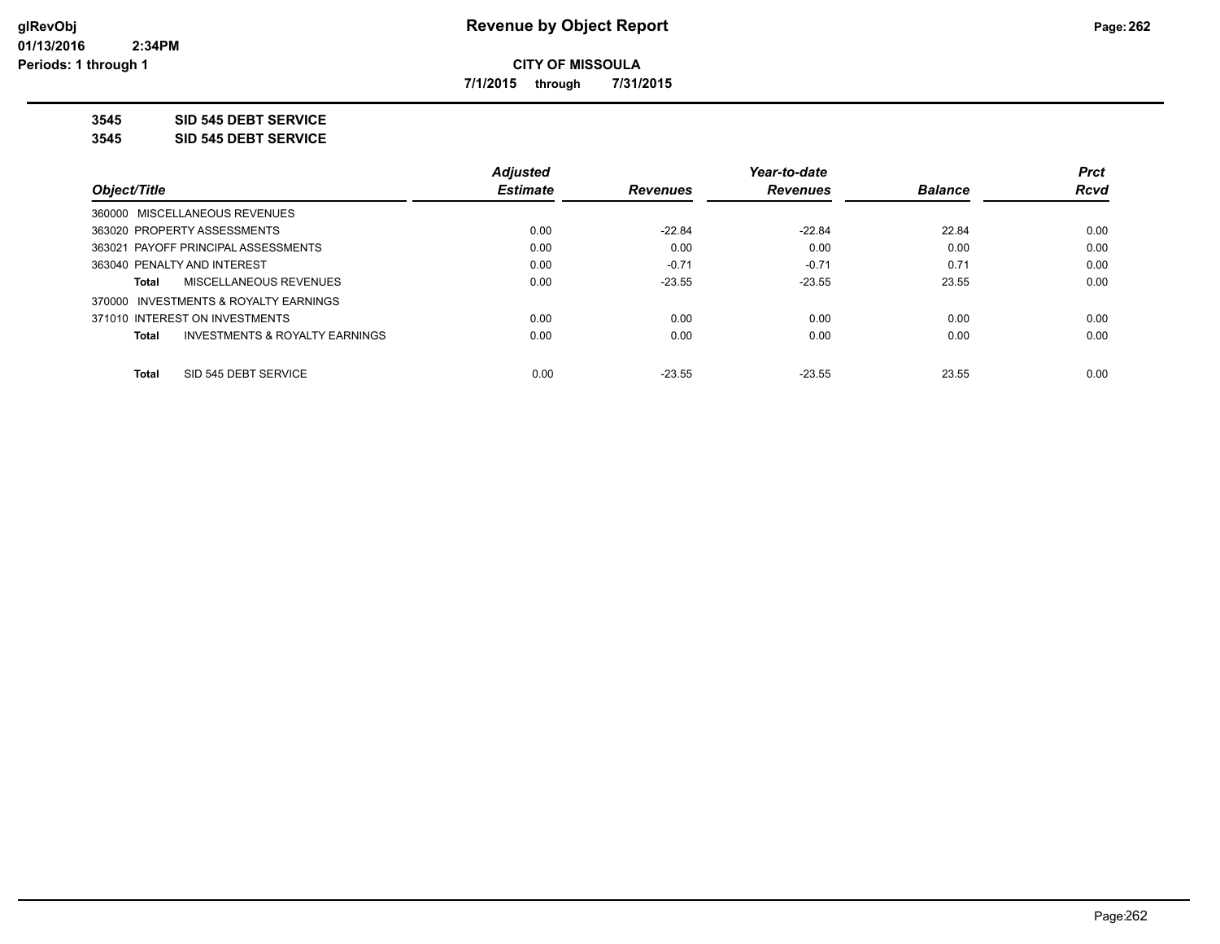**7/1/2015 through 7/31/2015**

**3545 SID 545 DEBT SERVICE**

**3545 SID 545 DEBT SERVICE**

|                                                    | <b>Adjusted</b> |                 | Year-to-date    |                | <b>Prct</b> |
|----------------------------------------------------|-----------------|-----------------|-----------------|----------------|-------------|
| Object/Title                                       | <b>Estimate</b> | <b>Revenues</b> | <b>Revenues</b> | <b>Balance</b> | <b>Rcvd</b> |
| 360000 MISCELLANEOUS REVENUES                      |                 |                 |                 |                |             |
| 363020 PROPERTY ASSESSMENTS                        | 0.00            | $-22.84$        | $-22.84$        | 22.84          | 0.00        |
| 363021 PAYOFF PRINCIPAL ASSESSMENTS                | 0.00            | 0.00            | 0.00            | 0.00           | 0.00        |
| 363040 PENALTY AND INTEREST                        | 0.00            | $-0.71$         | $-0.71$         | 0.71           | 0.00        |
| MISCELLANEOUS REVENUES<br>Total                    | 0.00            | $-23.55$        | $-23.55$        | 23.55          | 0.00        |
| 370000 INVESTMENTS & ROYALTY EARNINGS              |                 |                 |                 |                |             |
| 371010 INTEREST ON INVESTMENTS                     | 0.00            | 0.00            | 0.00            | 0.00           | 0.00        |
| <b>INVESTMENTS &amp; ROYALTY EARNINGS</b><br>Total | 0.00            | 0.00            | 0.00            | 0.00           | 0.00        |
| SID 545 DEBT SERVICE<br>Total                      | 0.00            | $-23.55$        | $-23.55$        | 23.55          | 0.00        |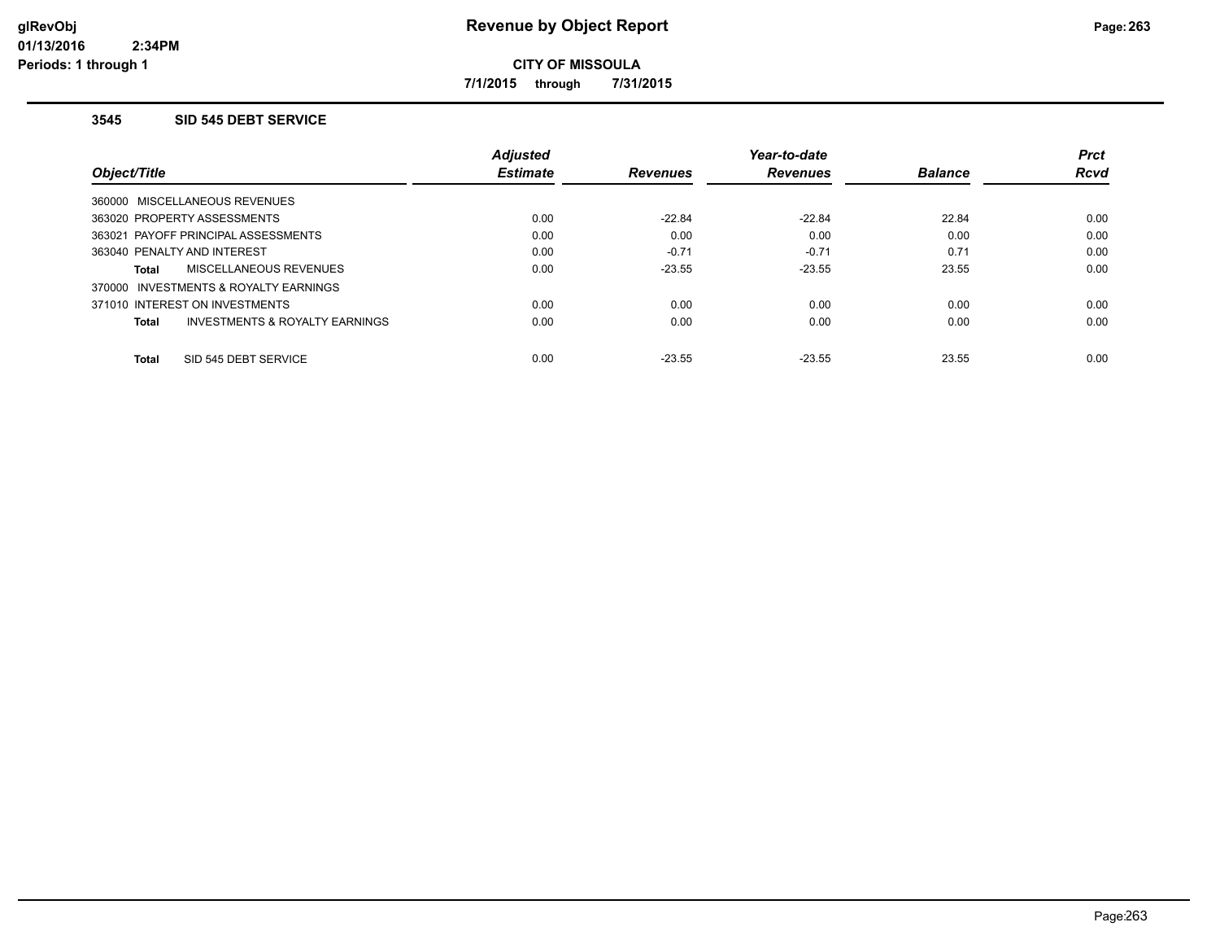**7/1/2015 through 7/31/2015**

## **3545 SID 545 DEBT SERVICE**

|                                         | <b>Adjusted</b> |                 | Year-to-date    |                | <b>Prct</b> |
|-----------------------------------------|-----------------|-----------------|-----------------|----------------|-------------|
| Object/Title                            | <b>Estimate</b> | <b>Revenues</b> | <b>Revenues</b> | <b>Balance</b> | <b>Rcvd</b> |
| 360000 MISCELLANEOUS REVENUES           |                 |                 |                 |                |             |
| 363020 PROPERTY ASSESSMENTS             | 0.00            | $-22.84$        | $-22.84$        | 22.84          | 0.00        |
| 363021 PAYOFF PRINCIPAL ASSESSMENTS     | 0.00            | 0.00            | 0.00            | 0.00           | 0.00        |
| 363040 PENALTY AND INTEREST             | 0.00            | $-0.71$         | $-0.71$         | 0.71           | 0.00        |
| MISCELLANEOUS REVENUES<br>Total         | 0.00            | $-23.55$        | $-23.55$        | 23.55          | 0.00        |
| 370000 INVESTMENTS & ROYALTY EARNINGS   |                 |                 |                 |                |             |
| 371010 INTEREST ON INVESTMENTS          | 0.00            | 0.00            | 0.00            | 0.00           | 0.00        |
| INVESTMENTS & ROYALTY EARNINGS<br>Total | 0.00            | 0.00            | 0.00            | 0.00           | 0.00        |
|                                         |                 |                 |                 |                |             |
| SID 545 DEBT SERVICE<br>Total           | 0.00            | $-23.55$        | $-23.55$        | 23.55          | 0.00        |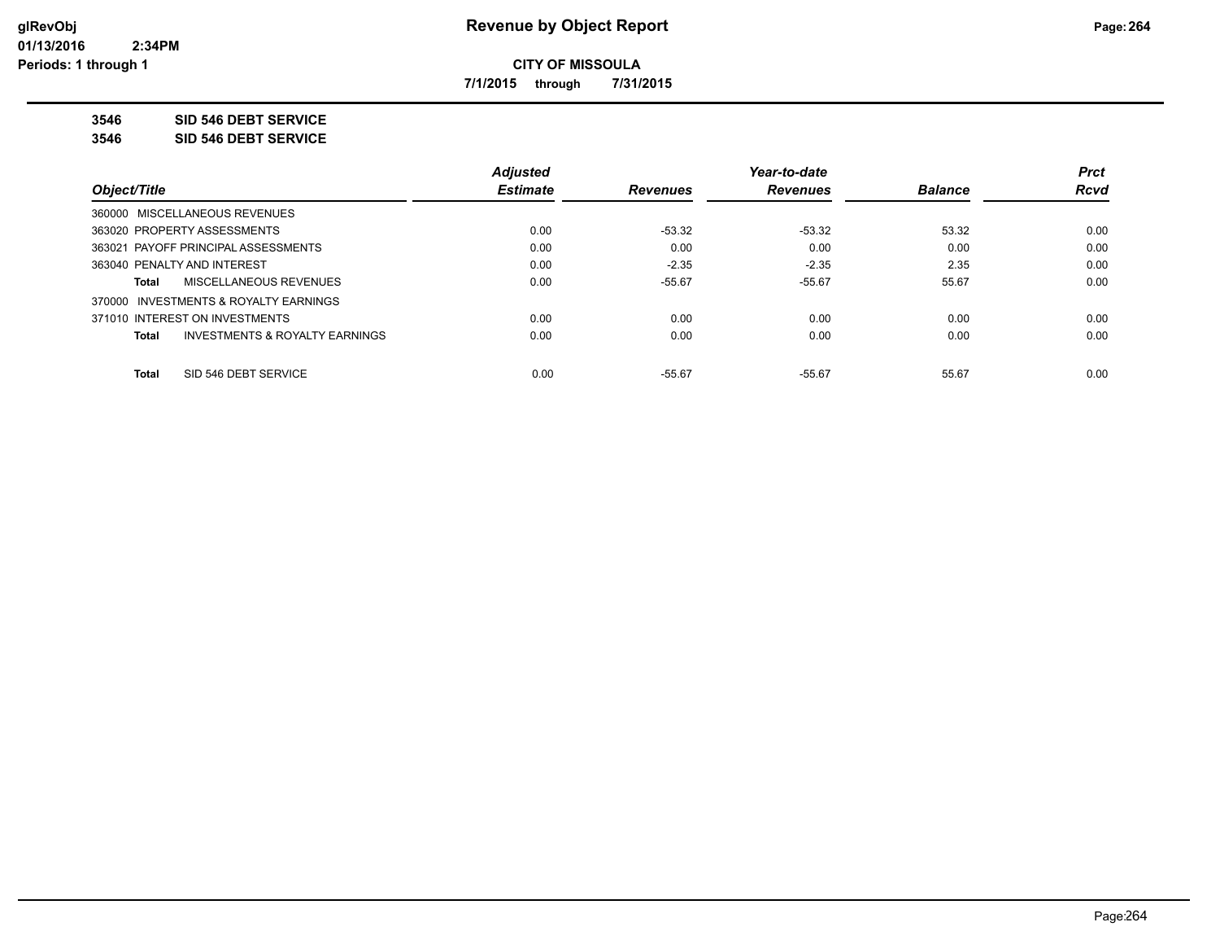**7/1/2015 through 7/31/2015**

**3546 SID 546 DEBT SERVICE**

**3546 SID 546 DEBT SERVICE**

|                                                    | <b>Adjusted</b> |                 | Year-to-date    |                | <b>Prct</b> |
|----------------------------------------------------|-----------------|-----------------|-----------------|----------------|-------------|
| Obiect/Title                                       | <b>Estimate</b> | <b>Revenues</b> | <b>Revenues</b> | <b>Balance</b> | <b>Rcvd</b> |
| 360000 MISCELLANEOUS REVENUES                      |                 |                 |                 |                |             |
| 363020 PROPERTY ASSESSMENTS                        | 0.00            | $-53.32$        | $-53.32$        | 53.32          | 0.00        |
| 363021 PAYOFF PRINCIPAL ASSESSMENTS                | 0.00            | 0.00            | 0.00            | 0.00           | 0.00        |
| 363040 PENALTY AND INTEREST                        | 0.00            | $-2.35$         | $-2.35$         | 2.35           | 0.00        |
| <b>MISCELLANEOUS REVENUES</b><br>Total             | 0.00            | $-55.67$        | $-55.67$        | 55.67          | 0.00        |
| 370000 INVESTMENTS & ROYALTY EARNINGS              |                 |                 |                 |                |             |
| 371010 INTEREST ON INVESTMENTS                     | 0.00            | 0.00            | 0.00            | 0.00           | 0.00        |
| <b>INVESTMENTS &amp; ROYALTY EARNINGS</b><br>Total | 0.00            | 0.00            | 0.00            | 0.00           | 0.00        |
| SID 546 DEBT SERVICE<br>Total                      | 0.00            | $-55.67$        | $-55.67$        | 55.67          | 0.00        |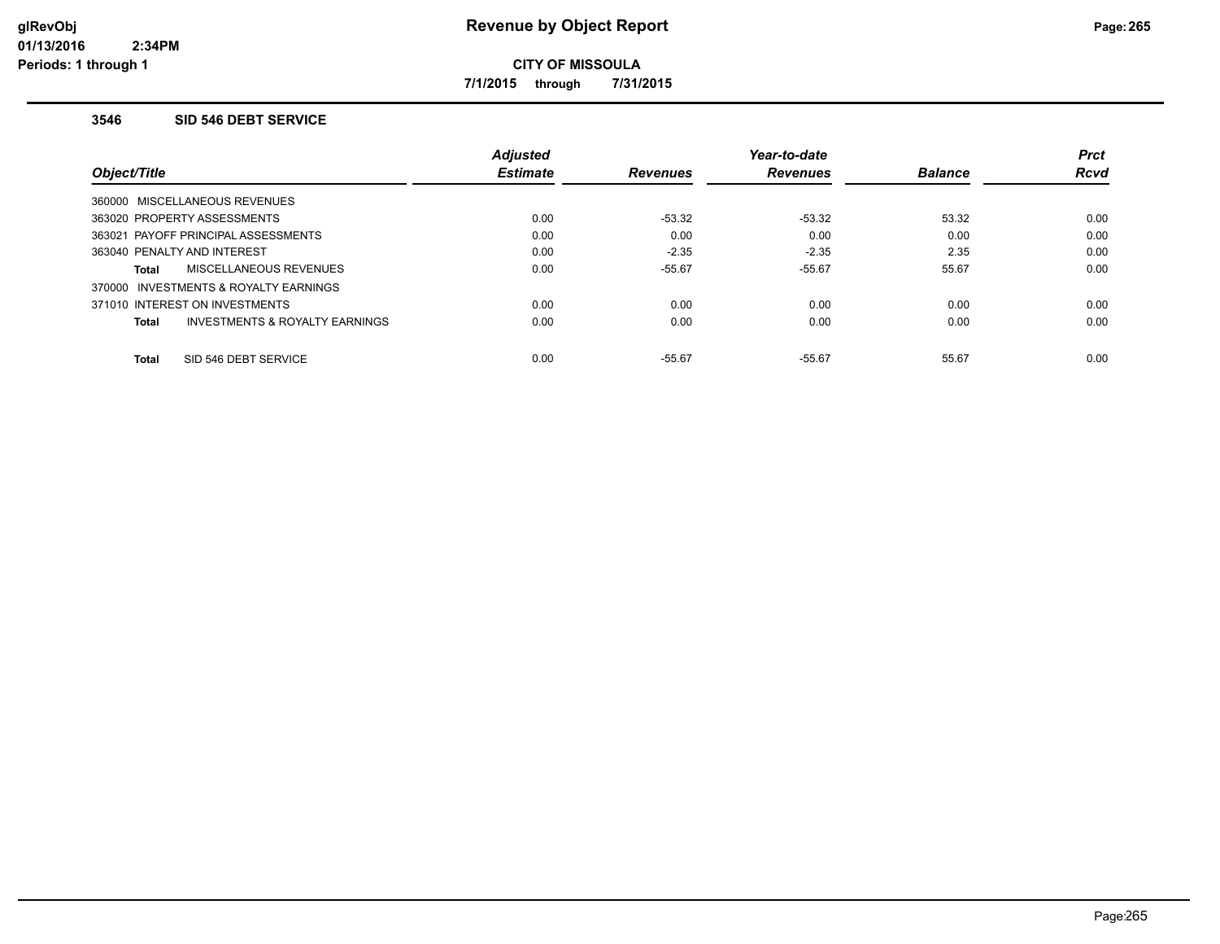**7/1/2015 through 7/31/2015**

### **3546 SID 546 DEBT SERVICE**

|                                                    | <b>Adjusted</b> |                 | Year-to-date    |                | <b>Prct</b> |
|----------------------------------------------------|-----------------|-----------------|-----------------|----------------|-------------|
| Object/Title                                       | <b>Estimate</b> | <b>Revenues</b> | <b>Revenues</b> | <b>Balance</b> | <b>Rcvd</b> |
| 360000 MISCELLANEOUS REVENUES                      |                 |                 |                 |                |             |
| 363020 PROPERTY ASSESSMENTS                        | 0.00            | $-53.32$        | $-53.32$        | 53.32          | 0.00        |
| 363021 PAYOFF PRINCIPAL ASSESSMENTS                | 0.00            | 0.00            | 0.00            | 0.00           | 0.00        |
| 363040 PENALTY AND INTEREST                        | 0.00            | $-2.35$         | $-2.35$         | 2.35           | 0.00        |
| <b>MISCELLANEOUS REVENUES</b><br>Total             | 0.00            | $-55.67$        | $-55.67$        | 55.67          | 0.00        |
| 370000 INVESTMENTS & ROYALTY EARNINGS              |                 |                 |                 |                |             |
| 371010 INTEREST ON INVESTMENTS                     | 0.00            | 0.00            | 0.00            | 0.00           | 0.00        |
| <b>INVESTMENTS &amp; ROYALTY EARNINGS</b><br>Total | 0.00            | 0.00            | 0.00            | 0.00           | 0.00        |
| SID 546 DEBT SERVICE<br><b>Total</b>               | 0.00            | $-55.67$        | $-55.67$        | 55.67          | 0.00        |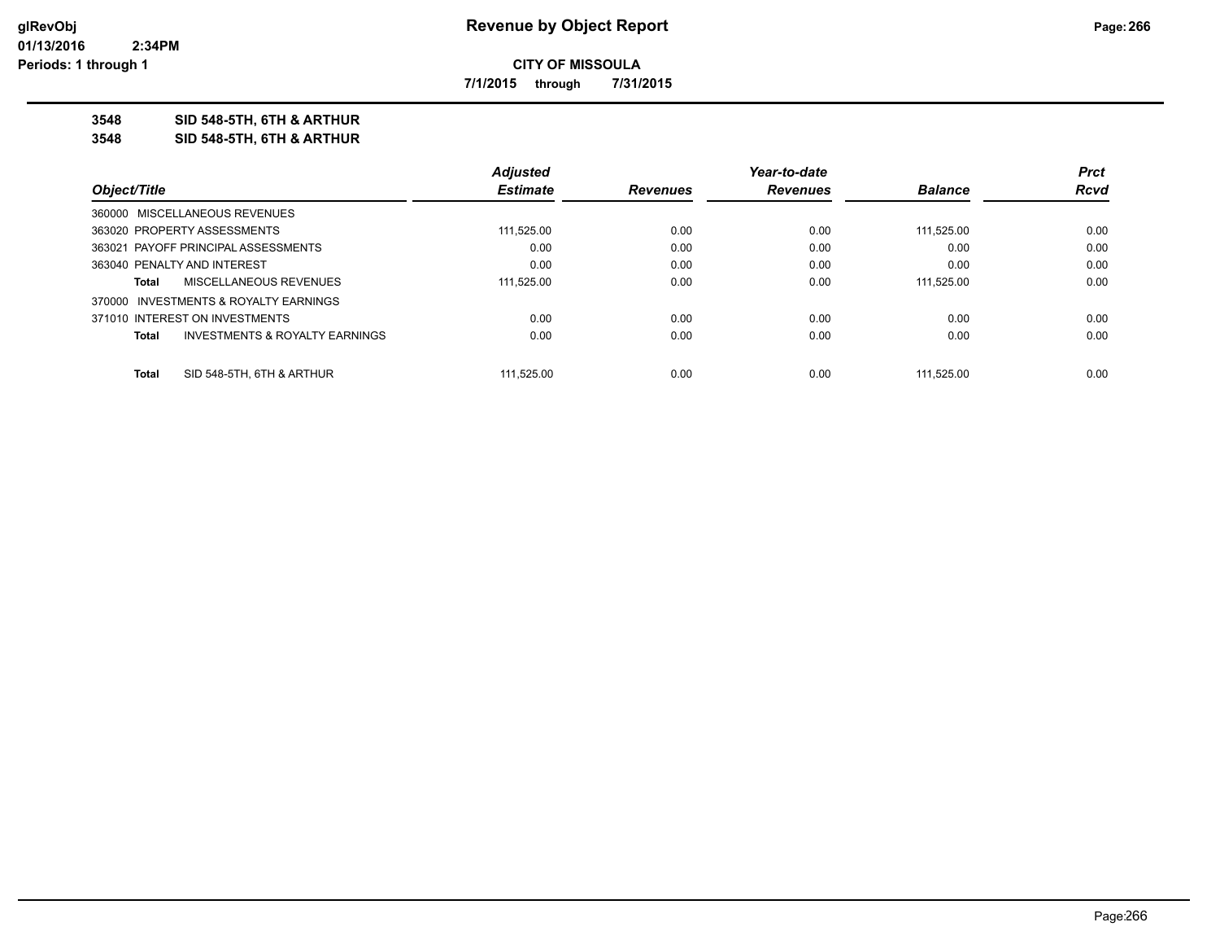**7/1/2015 through 7/31/2015**

**3548 SID 548-5TH, 6TH & ARTHUR**

**3548 SID 548-5TH, 6TH & ARTHUR**

|                             |                                           | <b>Adjusted</b> |                 | Year-to-date    |                | <b>Prct</b> |
|-----------------------------|-------------------------------------------|-----------------|-----------------|-----------------|----------------|-------------|
| Object/Title                |                                           | <b>Estimate</b> | <b>Revenues</b> | <b>Revenues</b> | <b>Balance</b> | Rcvd        |
|                             | 360000 MISCELLANEOUS REVENUES             |                 |                 |                 |                |             |
|                             | 363020 PROPERTY ASSESSMENTS               | 111,525.00      | 0.00            | 0.00            | 111.525.00     | 0.00        |
|                             | 363021 PAYOFF PRINCIPAL ASSESSMENTS       | 0.00            | 0.00            | 0.00            | 0.00           | 0.00        |
| 363040 PENALTY AND INTEREST |                                           | 0.00            | 0.00            | 0.00            | 0.00           | 0.00        |
| Total                       | MISCELLANEOUS REVENUES                    | 111,525.00      | 0.00            | 0.00            | 111.525.00     | 0.00        |
|                             | 370000 INVESTMENTS & ROYALTY EARNINGS     |                 |                 |                 |                |             |
|                             | 371010 INTEREST ON INVESTMENTS            | 0.00            | 0.00            | 0.00            | 0.00           | 0.00        |
| Total                       | <b>INVESTMENTS &amp; ROYALTY EARNINGS</b> | 0.00            | 0.00            | 0.00            | 0.00           | 0.00        |
| Total                       | SID 548-5TH, 6TH & ARTHUR                 | 111.525.00      | 0.00            | 0.00            | 111.525.00     | 0.00        |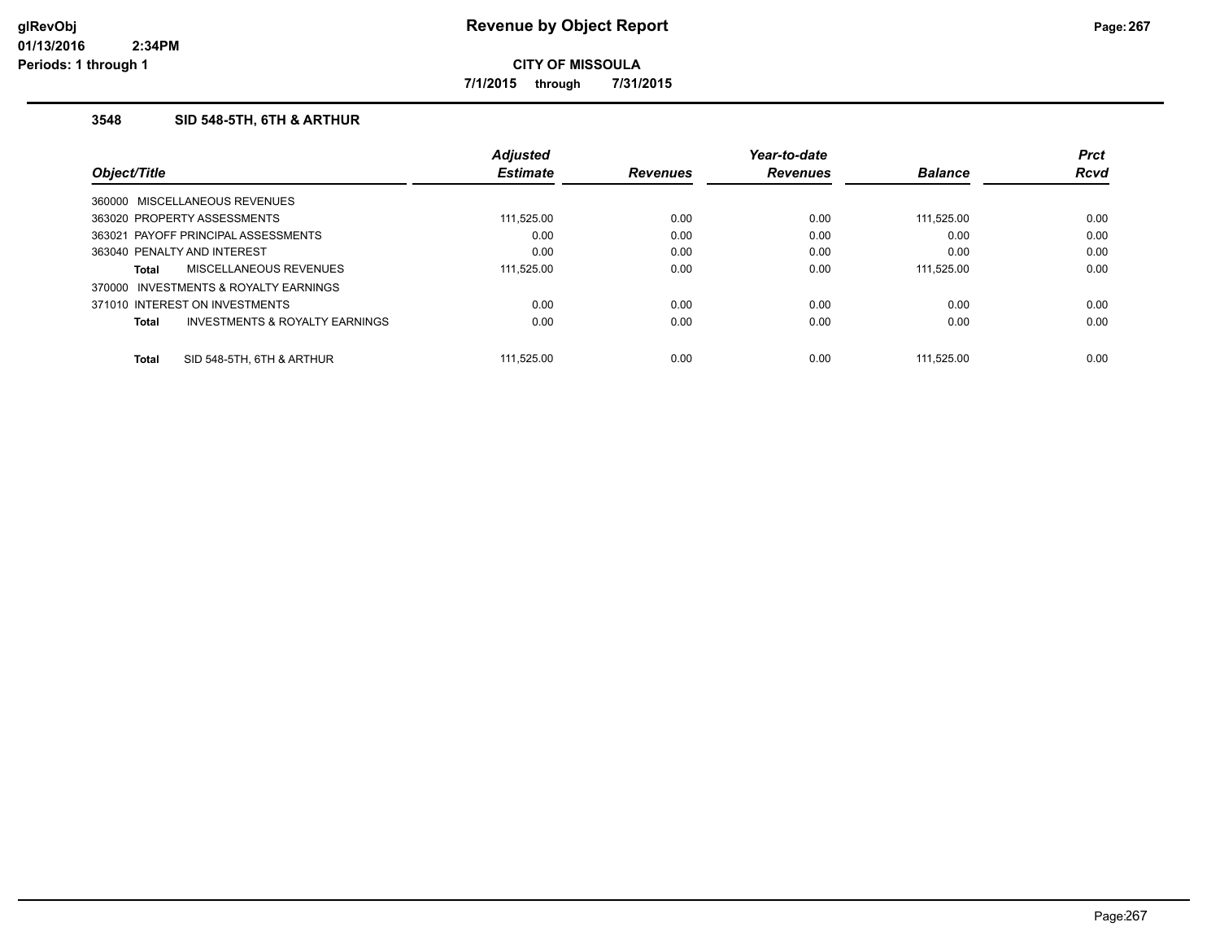**7/1/2015 through 7/31/2015**

## **3548 SID 548-5TH, 6TH & ARTHUR**

|              |                                       | <b>Adjusted</b> |                 | Year-to-date   |             | <b>Prct</b> |
|--------------|---------------------------------------|-----------------|-----------------|----------------|-------------|-------------|
| Object/Title | <b>Estimate</b>                       | <b>Revenues</b> | <b>Revenues</b> | <b>Balance</b> | <b>Rcvd</b> |             |
|              | 360000 MISCELLANEOUS REVENUES         |                 |                 |                |             |             |
|              | 363020 PROPERTY ASSESSMENTS           | 111,525.00      | 0.00            | 0.00           | 111.525.00  | 0.00        |
|              | 363021 PAYOFF PRINCIPAL ASSESSMENTS   | 0.00            | 0.00            | 0.00           | 0.00        | 0.00        |
|              | 363040 PENALTY AND INTEREST           | 0.00            | 0.00            | 0.00           | 0.00        | 0.00        |
| Total        | MISCELLANEOUS REVENUES                | 111,525.00      | 0.00            | 0.00           | 111.525.00  | 0.00        |
|              | 370000 INVESTMENTS & ROYALTY EARNINGS |                 |                 |                |             |             |
|              | 371010 INTEREST ON INVESTMENTS        | 0.00            | 0.00            | 0.00           | 0.00        | 0.00        |
| Total        | INVESTMENTS & ROYALTY EARNINGS        | 0.00            | 0.00            | 0.00           | 0.00        | 0.00        |
| <b>Total</b> | SID 548-5TH, 6TH & ARTHUR             | 111.525.00      | 0.00            | 0.00           | 111.525.00  | 0.00        |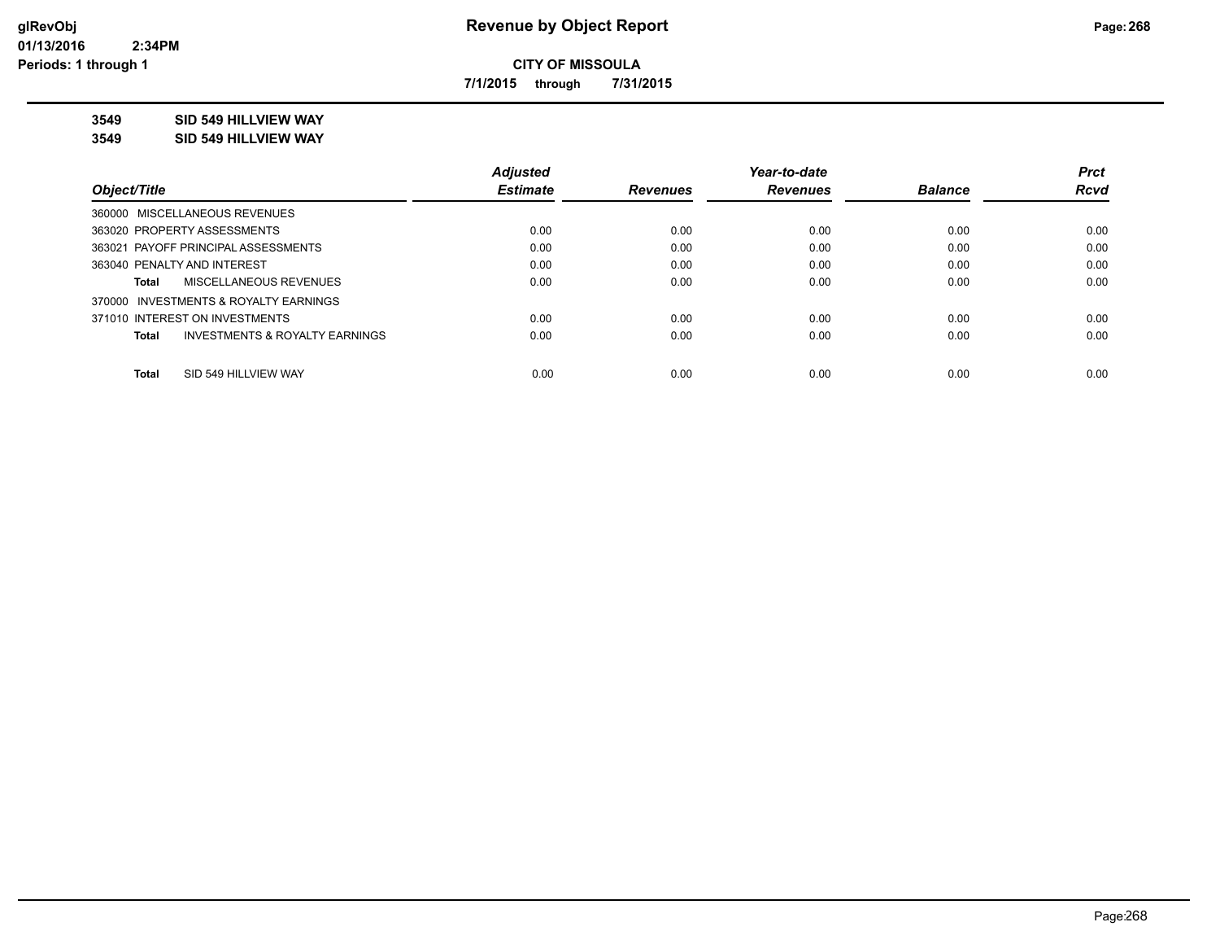**7/1/2015 through 7/31/2015**

**3549 SID 549 HILLVIEW WAY**

**3549 SID 549 HILLVIEW WAY**

|                                         | <b>Adjusted</b> |                 | Year-to-date    |                | <b>Prct</b> |
|-----------------------------------------|-----------------|-----------------|-----------------|----------------|-------------|
| Object/Title                            | <b>Estimate</b> | <b>Revenues</b> | <b>Revenues</b> | <b>Balance</b> | <b>Rcvd</b> |
| 360000 MISCELLANEOUS REVENUES           |                 |                 |                 |                |             |
| 363020 PROPERTY ASSESSMENTS             | 0.00            | 0.00            | 0.00            | 0.00           | 0.00        |
| 363021 PAYOFF PRINCIPAL ASSESSMENTS     | 0.00            | 0.00            | 0.00            | 0.00           | 0.00        |
| 363040 PENALTY AND INTEREST             | 0.00            | 0.00            | 0.00            | 0.00           | 0.00        |
| MISCELLANEOUS REVENUES<br>Total         | 0.00            | 0.00            | 0.00            | 0.00           | 0.00        |
| 370000 INVESTMENTS & ROYALTY EARNINGS   |                 |                 |                 |                |             |
| 371010 INTEREST ON INVESTMENTS          | 0.00            | 0.00            | 0.00            | 0.00           | 0.00        |
| INVESTMENTS & ROYALTY EARNINGS<br>Total | 0.00            | 0.00            | 0.00            | 0.00           | 0.00        |
| SID 549 HILLVIEW WAY<br><b>Total</b>    | 0.00            | 0.00            | 0.00            | 0.00           | 0.00        |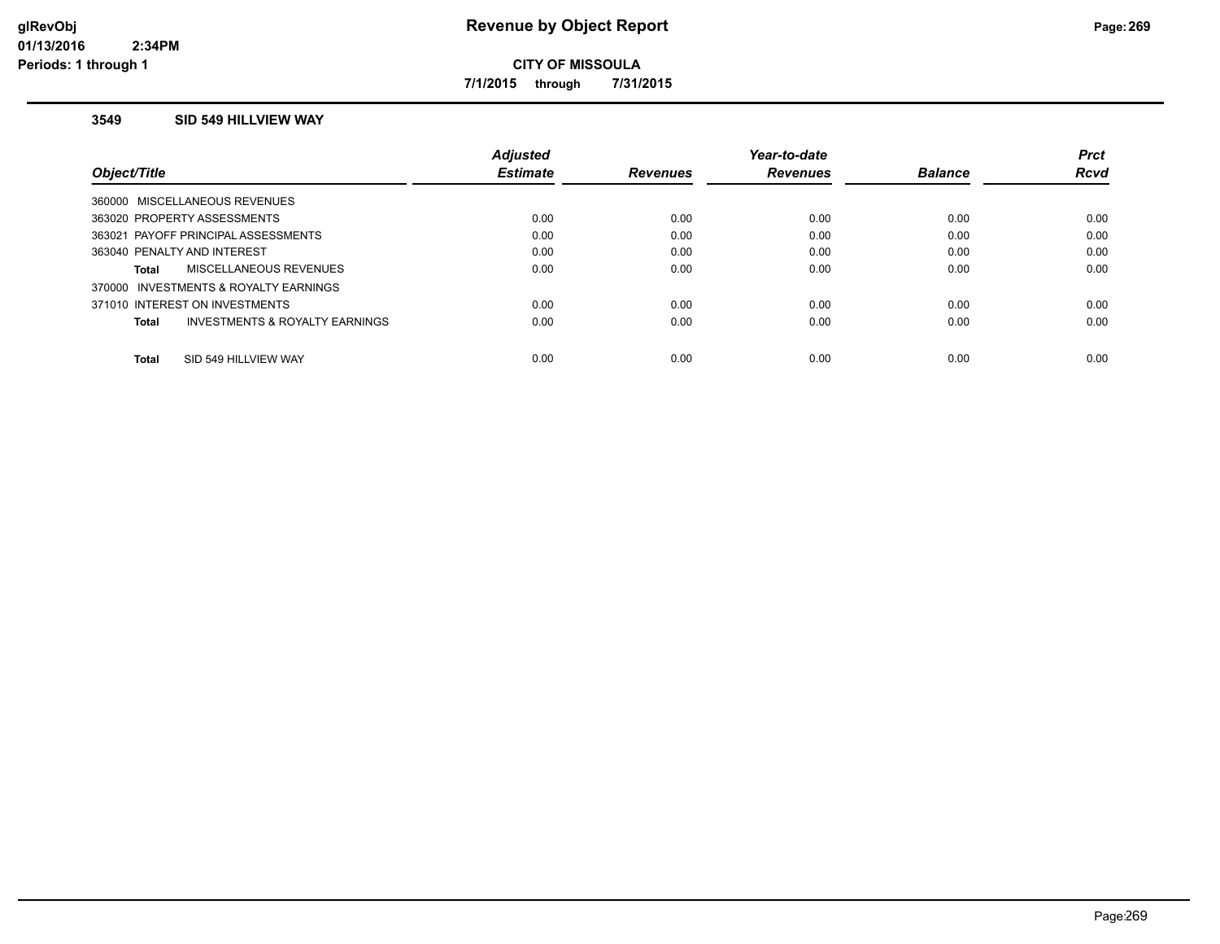**7/1/2015 through 7/31/2015**

### **3549 SID 549 HILLVIEW WAY**

|                                         | <b>Adiusted</b> |                 | Year-to-date    |                | <b>Prct</b> |
|-----------------------------------------|-----------------|-----------------|-----------------|----------------|-------------|
| Obiect/Title                            | <b>Estimate</b> | <b>Revenues</b> | <b>Revenues</b> | <b>Balance</b> | <b>Rcvd</b> |
| 360000 MISCELLANEOUS REVENUES           |                 |                 |                 |                |             |
| 363020 PROPERTY ASSESSMENTS             | 0.00            | 0.00            | 0.00            | 0.00           | 0.00        |
| 363021 PAYOFF PRINCIPAL ASSESSMENTS     | 0.00            | 0.00            | 0.00            | 0.00           | 0.00        |
| 363040 PENALTY AND INTEREST             | 0.00            | 0.00            | 0.00            | 0.00           | 0.00        |
| MISCELLANEOUS REVENUES<br>Total         | 0.00            | 0.00            | 0.00            | 0.00           | 0.00        |
| 370000 INVESTMENTS & ROYALTY EARNINGS   |                 |                 |                 |                |             |
| 371010 INTEREST ON INVESTMENTS          | 0.00            | 0.00            | 0.00            | 0.00           | 0.00        |
| INVESTMENTS & ROYALTY EARNINGS<br>Total | 0.00            | 0.00            | 0.00            | 0.00           | 0.00        |
| SID 549 HILLVIEW WAY<br><b>Total</b>    | 0.00            | 0.00            | 0.00            | 0.00           | 0.00        |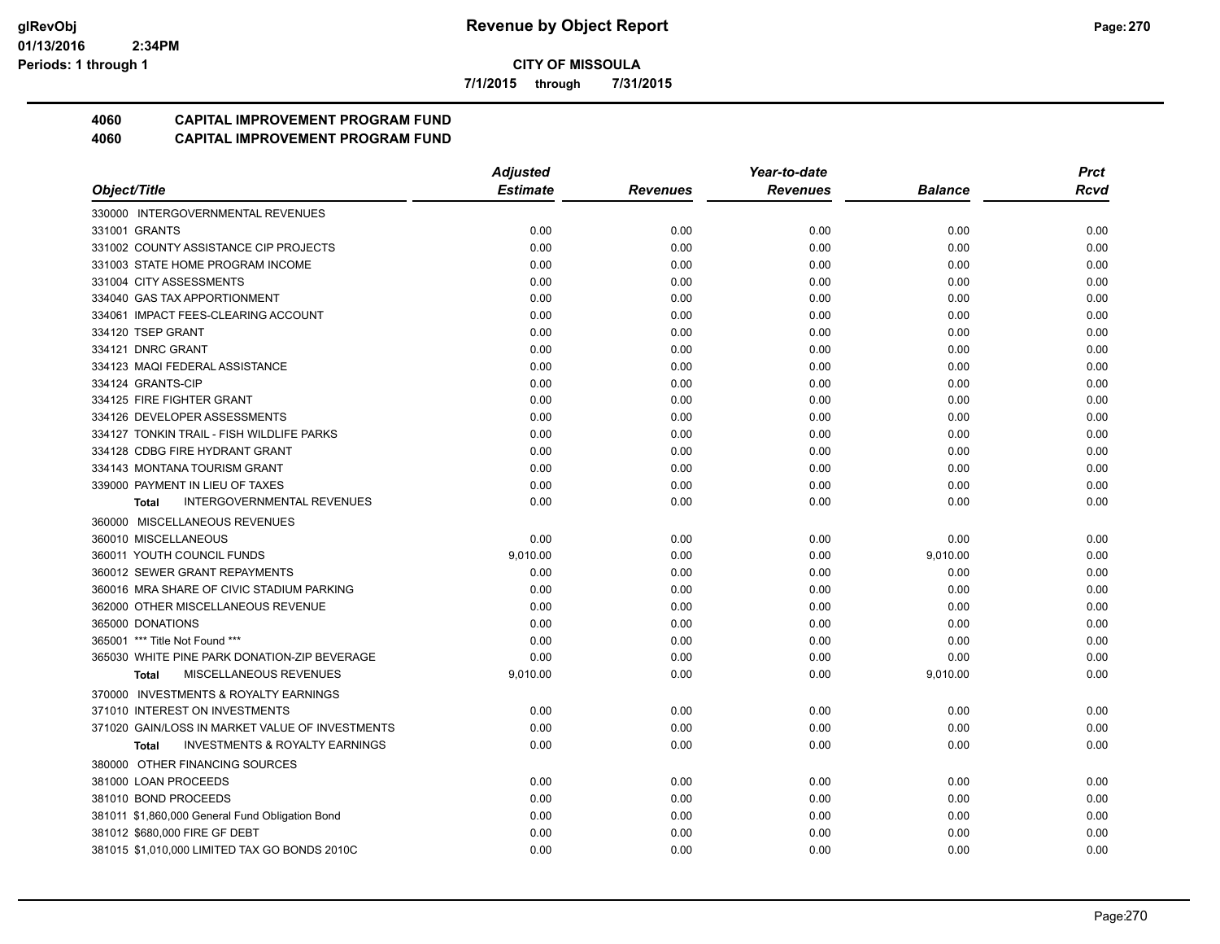**7/1/2015 through 7/31/2015**

# **4060 CAPITAL IMPROVEMENT PROGRAM FUND**

|                                                           | <b>Adjusted</b> |                 | Year-to-date    |                | <b>Prct</b> |
|-----------------------------------------------------------|-----------------|-----------------|-----------------|----------------|-------------|
| Object/Title                                              | <b>Estimate</b> | <b>Revenues</b> | <b>Revenues</b> | <b>Balance</b> | Rcvd        |
| 330000 INTERGOVERNMENTAL REVENUES                         |                 |                 |                 |                |             |
| 331001 GRANTS                                             | 0.00            | 0.00            | 0.00            | 0.00           | 0.00        |
| 331002 COUNTY ASSISTANCE CIP PROJECTS                     | 0.00            | 0.00            | 0.00            | 0.00           | 0.00        |
| 331003 STATE HOME PROGRAM INCOME                          | 0.00            | 0.00            | 0.00            | 0.00           | 0.00        |
| 331004 CITY ASSESSMENTS                                   | 0.00            | 0.00            | 0.00            | 0.00           | 0.00        |
| 334040 GAS TAX APPORTIONMENT                              | 0.00            | 0.00            | 0.00            | 0.00           | 0.00        |
| 334061 IMPACT FEES-CLEARING ACCOUNT                       | 0.00            | 0.00            | 0.00            | 0.00           | 0.00        |
| 334120 TSEP GRANT                                         | 0.00            | 0.00            | 0.00            | 0.00           | 0.00        |
| 334121 DNRC GRANT                                         | 0.00            | 0.00            | 0.00            | 0.00           | 0.00        |
| 334123 MAQI FEDERAL ASSISTANCE                            | 0.00            | 0.00            | 0.00            | 0.00           | 0.00        |
| 334124 GRANTS-CIP                                         | 0.00            | 0.00            | 0.00            | 0.00           | 0.00        |
| 334125 FIRE FIGHTER GRANT                                 | 0.00            | 0.00            | 0.00            | 0.00           | 0.00        |
| 334126 DEVELOPER ASSESSMENTS                              | 0.00            | 0.00            | 0.00            | 0.00           | 0.00        |
| 334127 TONKIN TRAIL - FISH WILDLIFE PARKS                 | 0.00            | 0.00            | 0.00            | 0.00           | 0.00        |
| 334128 CDBG FIRE HYDRANT GRANT                            | 0.00            | 0.00            | 0.00            | 0.00           | 0.00        |
| 334143 MONTANA TOURISM GRANT                              | 0.00            | 0.00            | 0.00            | 0.00           | 0.00        |
| 339000 PAYMENT IN LIEU OF TAXES                           | 0.00            | 0.00            | 0.00            | 0.00           | 0.00        |
| <b>INTERGOVERNMENTAL REVENUES</b><br><b>Total</b>         | 0.00            | 0.00            | 0.00            | 0.00           | 0.00        |
| 360000 MISCELLANEOUS REVENUES                             |                 |                 |                 |                |             |
| 360010 MISCELLANEOUS                                      | 0.00            | 0.00            | 0.00            | 0.00           | 0.00        |
| 360011 YOUTH COUNCIL FUNDS                                | 9,010.00        | 0.00            | 0.00            | 9,010.00       | 0.00        |
| 360012 SEWER GRANT REPAYMENTS                             | 0.00            | 0.00            | 0.00            | 0.00           | 0.00        |
| 360016 MRA SHARE OF CIVIC STADIUM PARKING                 | 0.00            | 0.00            | 0.00            | 0.00           | 0.00        |
| 362000 OTHER MISCELLANEOUS REVENUE                        | 0.00            | 0.00            | 0.00            | 0.00           | 0.00        |
| 365000 DONATIONS                                          | 0.00            | 0.00            | 0.00            | 0.00           | 0.00        |
| 365001 *** Title Not Found ***                            | 0.00            | 0.00            | 0.00            | 0.00           | 0.00        |
| 365030 WHITE PINE PARK DONATION-ZIP BEVERAGE              | 0.00            | 0.00            | 0.00            | 0.00           | 0.00        |
| MISCELLANEOUS REVENUES<br><b>Total</b>                    | 9,010.00        | 0.00            | 0.00            | 9,010.00       | 0.00        |
| 370000 INVESTMENTS & ROYALTY EARNINGS                     |                 |                 |                 |                |             |
| 371010 INTEREST ON INVESTMENTS                            | 0.00            | 0.00            | 0.00            | 0.00           | 0.00        |
| 371020 GAIN/LOSS IN MARKET VALUE OF INVESTMENTS           | 0.00            | 0.00            | 0.00            | 0.00           | 0.00        |
| <b>INVESTMENTS &amp; ROYALTY EARNINGS</b><br><b>Total</b> | 0.00            | 0.00            | 0.00            | 0.00           | 0.00        |
| 380000 OTHER FINANCING SOURCES                            |                 |                 |                 |                |             |
| 381000 LOAN PROCEEDS                                      | 0.00            | 0.00            | 0.00            | 0.00           | 0.00        |
| 381010 BOND PROCEEDS                                      | 0.00            | 0.00            | 0.00            | 0.00           | 0.00        |
| 381011 \$1,860,000 General Fund Obligation Bond           | 0.00            | 0.00            | 0.00            | 0.00           | 0.00        |
| 381012 \$680,000 FIRE GF DEBT                             | 0.00            | 0.00            | 0.00            | 0.00           | 0.00        |
| 381015 \$1,010,000 LIMITED TAX GO BONDS 2010C             | 0.00            | 0.00            | 0.00            | 0.00           | 0.00        |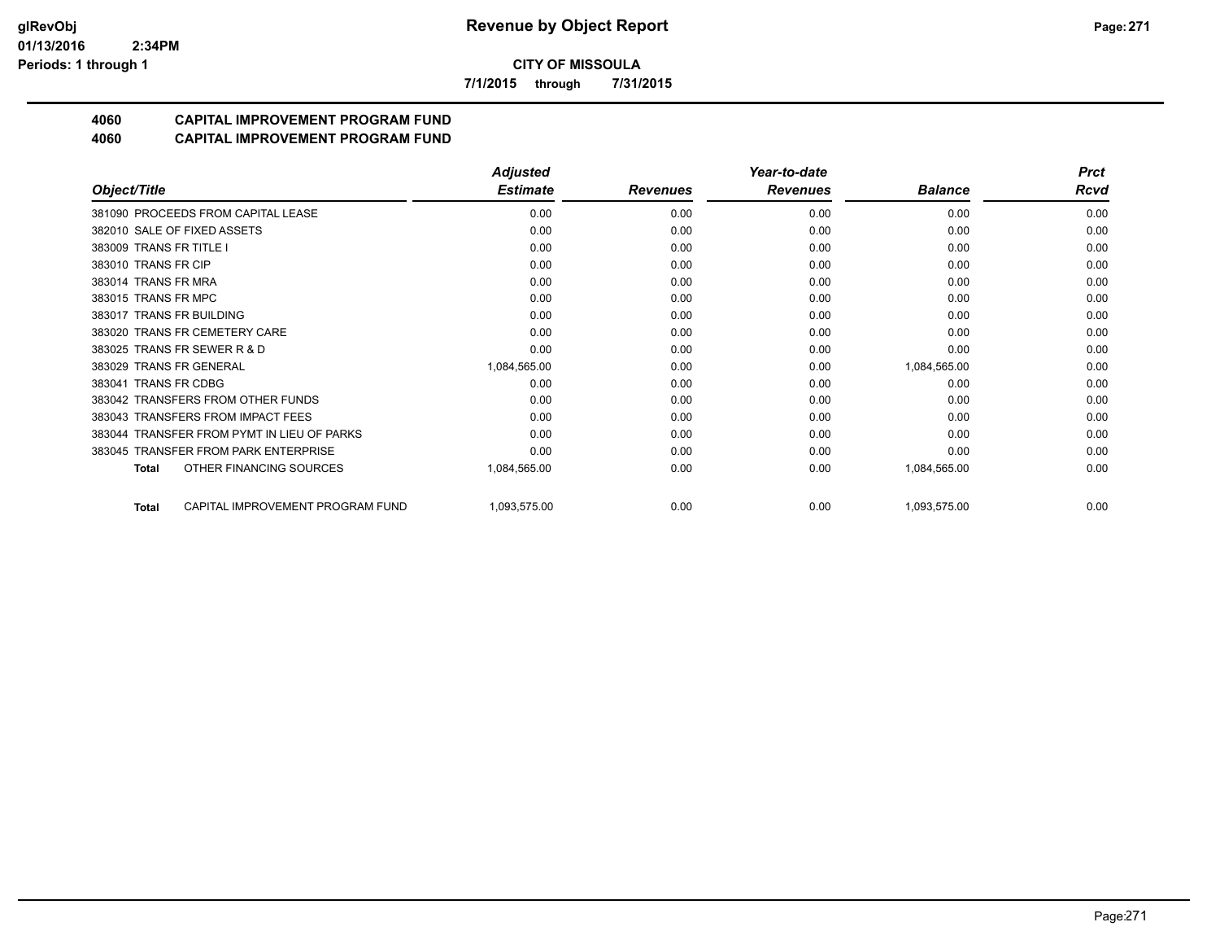**7/1/2015 through 7/31/2015**

# **4060 CAPITAL IMPROVEMENT PROGRAM FUND**

|                                                  | <b>Adjusted</b> |                 | Year-to-date    |                |      |
|--------------------------------------------------|-----------------|-----------------|-----------------|----------------|------|
| Object/Title                                     | <b>Estimate</b> | <b>Revenues</b> | <b>Revenues</b> | <b>Balance</b> | Rcvd |
| 381090 PROCEEDS FROM CAPITAL LEASE               | 0.00            | 0.00            | 0.00            | 0.00           | 0.00 |
| 382010 SALE OF FIXED ASSETS                      | 0.00            | 0.00            | 0.00            | 0.00           | 0.00 |
| 383009 TRANS FR TITLE I                          | 0.00            | 0.00            | 0.00            | 0.00           | 0.00 |
| 383010 TRANS FR CIP                              | 0.00            | 0.00            | 0.00            | 0.00           | 0.00 |
| 383014 TRANS FR MRA                              | 0.00            | 0.00            | 0.00            | 0.00           | 0.00 |
| 383015 TRANS FR MPC                              | 0.00            | 0.00            | 0.00            | 0.00           | 0.00 |
| 383017 TRANS FR BUILDING                         | 0.00            | 0.00            | 0.00            | 0.00           | 0.00 |
| 383020 TRANS FR CEMETERY CARE                    | 0.00            | 0.00            | 0.00            | 0.00           | 0.00 |
| 383025 TRANS FR SEWER R & D                      | 0.00            | 0.00            | 0.00            | 0.00           | 0.00 |
| 383029 TRANS FR GENERAL                          | 1,084,565.00    | 0.00            | 0.00            | 1,084,565.00   | 0.00 |
| 383041 TRANS FR CDBG                             | 0.00            | 0.00            | 0.00            | 0.00           | 0.00 |
| 383042 TRANSFERS FROM OTHER FUNDS                | 0.00            | 0.00            | 0.00            | 0.00           | 0.00 |
| 383043 TRANSFERS FROM IMPACT FEES                | 0.00            | 0.00            | 0.00            | 0.00           | 0.00 |
| 383044 TRANSFER FROM PYMT IN LIEU OF PARKS       | 0.00            | 0.00            | 0.00            | 0.00           | 0.00 |
| 383045 TRANSFER FROM PARK ENTERPRISE             | 0.00            | 0.00            | 0.00            | 0.00           | 0.00 |
| OTHER FINANCING SOURCES<br>Total                 | 1,084,565.00    | 0.00            | 0.00            | 1,084,565.00   | 0.00 |
| CAPITAL IMPROVEMENT PROGRAM FUND<br><b>Total</b> | 1,093,575.00    | 0.00            | 0.00            | 1,093,575.00   | 0.00 |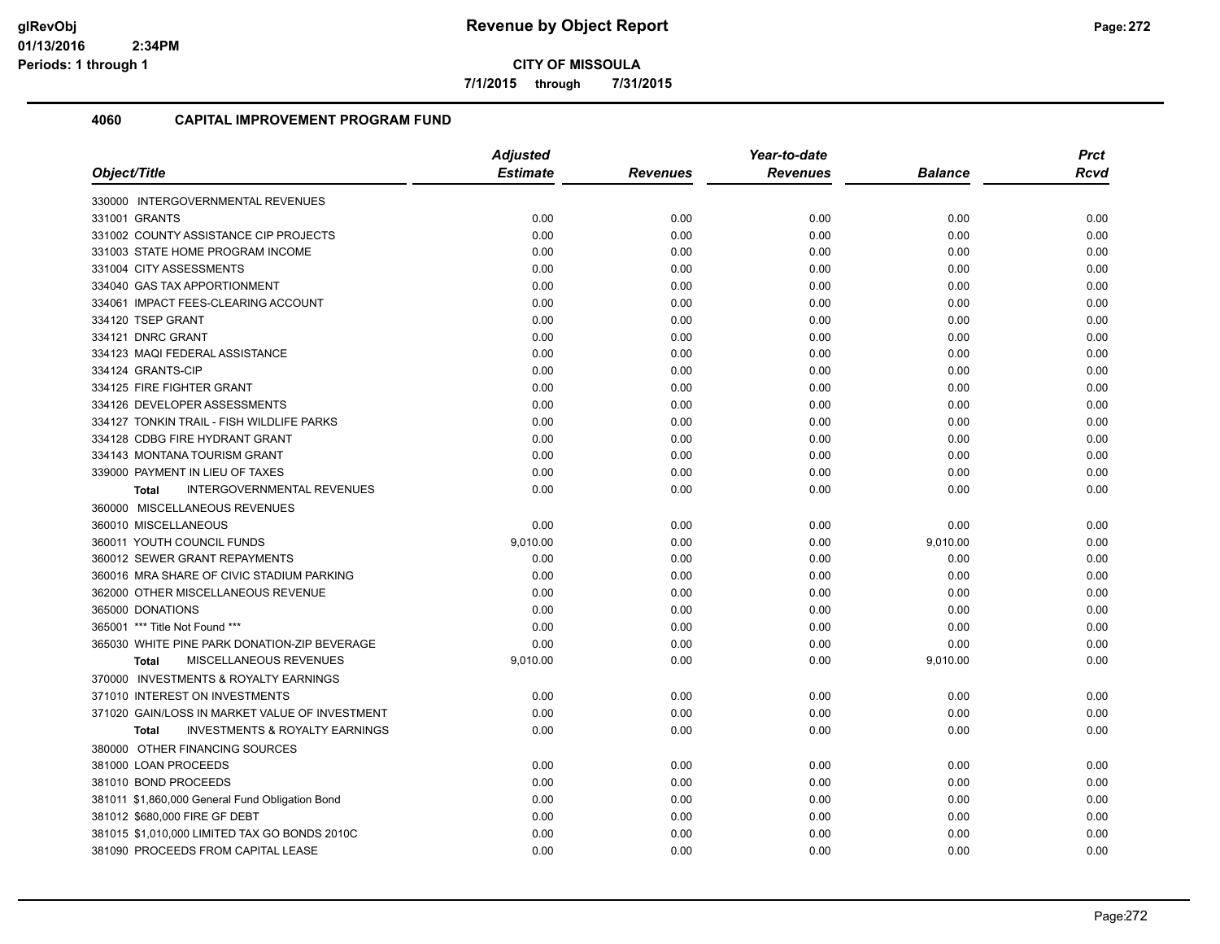**7/1/2015 through 7/31/2015**

|                                                           | <b>Adjusted</b> |                 | Year-to-date    |                | <b>Prct</b> |
|-----------------------------------------------------------|-----------------|-----------------|-----------------|----------------|-------------|
| Object/Title                                              | <b>Estimate</b> | <b>Revenues</b> | <b>Revenues</b> | <b>Balance</b> | <b>Rcvd</b> |
| 330000 INTERGOVERNMENTAL REVENUES                         |                 |                 |                 |                |             |
| 331001 GRANTS                                             | 0.00            | 0.00            | 0.00            | 0.00           | 0.00        |
| 331002 COUNTY ASSISTANCE CIP PROJECTS                     | 0.00            | 0.00            | 0.00            | 0.00           | 0.00        |
| 331003 STATE HOME PROGRAM INCOME                          | 0.00            | 0.00            | 0.00            | 0.00           | 0.00        |
| 331004 CITY ASSESSMENTS                                   | 0.00            | 0.00            | 0.00            | 0.00           | 0.00        |
| 334040 GAS TAX APPORTIONMENT                              | 0.00            | 0.00            | 0.00            | 0.00           | 0.00        |
| 334061 IMPACT FEES-CLEARING ACCOUNT                       | 0.00            | 0.00            | 0.00            | 0.00           | 0.00        |
| 334120 TSEP GRANT                                         | 0.00            | 0.00            | 0.00            | 0.00           | 0.00        |
| 334121 DNRC GRANT                                         | 0.00            | 0.00            | 0.00            | 0.00           | 0.00        |
| 334123 MAQI FEDERAL ASSISTANCE                            | 0.00            | 0.00            | 0.00            | 0.00           | 0.00        |
| 334124 GRANTS-CIP                                         | 0.00            | 0.00            | 0.00            | 0.00           | 0.00        |
| 334125 FIRE FIGHTER GRANT                                 | 0.00            | 0.00            | 0.00            | 0.00           | 0.00        |
| 334126 DEVELOPER ASSESSMENTS                              | 0.00            | 0.00            | 0.00            | 0.00           | 0.00        |
| 334127 TONKIN TRAIL - FISH WILDLIFE PARKS                 | 0.00            | 0.00            | 0.00            | 0.00           | 0.00        |
| 334128 CDBG FIRE HYDRANT GRANT                            | 0.00            | 0.00            | 0.00            | 0.00           | 0.00        |
| 334143 MONTANA TOURISM GRANT                              | 0.00            | 0.00            | 0.00            | 0.00           | 0.00        |
| 339000 PAYMENT IN LIEU OF TAXES                           | 0.00            | 0.00            | 0.00            | 0.00           | 0.00        |
| INTERGOVERNMENTAL REVENUES<br><b>Total</b>                | 0.00            | 0.00            | 0.00            | 0.00           | 0.00        |
| 360000 MISCELLANEOUS REVENUES                             |                 |                 |                 |                |             |
| 360010 MISCELLANEOUS                                      | 0.00            | 0.00            | 0.00            | 0.00           | 0.00        |
| 360011 YOUTH COUNCIL FUNDS                                | 9,010.00        | 0.00            | 0.00            | 9,010.00       | 0.00        |
| 360012 SEWER GRANT REPAYMENTS                             | 0.00            | 0.00            | 0.00            | 0.00           | 0.00        |
| 360016 MRA SHARE OF CIVIC STADIUM PARKING                 | 0.00            | 0.00            | 0.00            | 0.00           | 0.00        |
| 362000 OTHER MISCELLANEOUS REVENUE                        | 0.00            | 0.00            | 0.00            | 0.00           | 0.00        |
| 365000 DONATIONS                                          | 0.00            | 0.00            | 0.00            | 0.00           | 0.00        |
| 365001 *** Title Not Found ***                            | 0.00            | 0.00            | 0.00            | 0.00           | 0.00        |
| 365030 WHITE PINE PARK DONATION-ZIP BEVERAGE              | 0.00            | 0.00            | 0.00            | 0.00           | 0.00        |
| MISCELLANEOUS REVENUES<br><b>Total</b>                    | 9,010.00        | 0.00            | 0.00            | 9,010.00       | 0.00        |
| 370000 INVESTMENTS & ROYALTY EARNINGS                     |                 |                 |                 |                |             |
| 371010 INTEREST ON INVESTMENTS                            | 0.00            | 0.00            | 0.00            | 0.00           | 0.00        |
| 371020 GAIN/LOSS IN MARKET VALUE OF INVESTMENT            | 0.00            | 0.00            | 0.00            | 0.00           | 0.00        |
| <b>INVESTMENTS &amp; ROYALTY EARNINGS</b><br><b>Total</b> | 0.00            | 0.00            | 0.00            | 0.00           | 0.00        |
| 380000 OTHER FINANCING SOURCES                            |                 |                 |                 |                |             |
| 381000 LOAN PROCEEDS                                      | 0.00            | 0.00            | 0.00            | 0.00           | 0.00        |
| 381010 BOND PROCEEDS                                      | 0.00            | 0.00            | 0.00            | 0.00           | 0.00        |
| 381011 \$1,860,000 General Fund Obligation Bond           | 0.00            | 0.00            | 0.00            | 0.00           | 0.00        |
| 381012 \$680,000 FIRE GF DEBT                             | 0.00            | 0.00            | 0.00            | 0.00           | 0.00        |
| 381015 \$1,010,000 LIMITED TAX GO BONDS 2010C             | 0.00            | 0.00            | 0.00            | 0.00           | 0.00        |
| 381090 PROCEEDS FROM CAPITAL LEASE                        | 0.00            | 0.00            | 0.00            | 0.00           | 0.00        |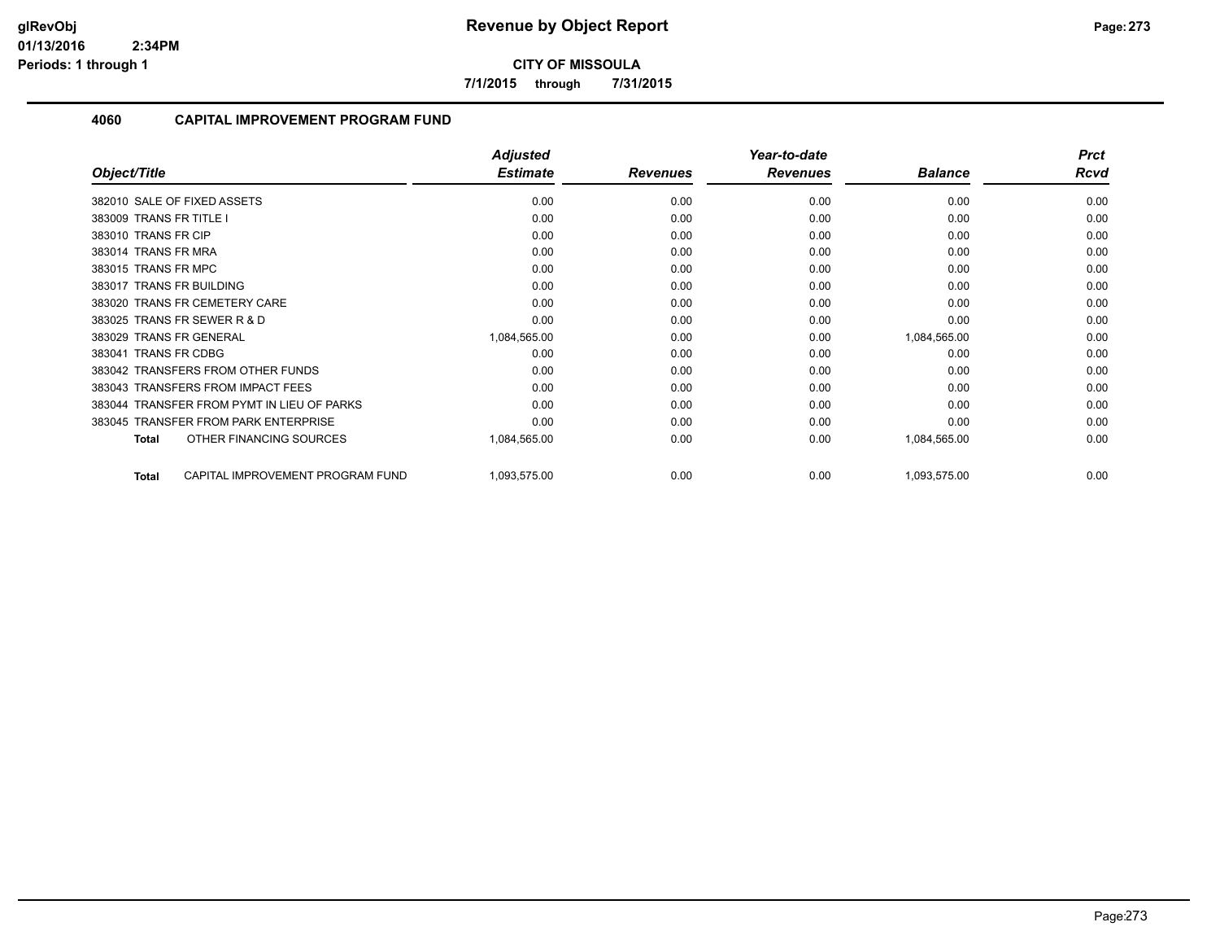**7/1/2015 through 7/31/2015**

|                                            | <b>Adjusted</b> |                 | Year-to-date    |                | <b>Prct</b> |
|--------------------------------------------|-----------------|-----------------|-----------------|----------------|-------------|
| Object/Title                               | <b>Estimate</b> | <b>Revenues</b> | <b>Revenues</b> | <b>Balance</b> | Rcvd        |
| 382010 SALE OF FIXED ASSETS                | 0.00            | 0.00            | 0.00            | 0.00           | 0.00        |
| 383009 TRANS FR TITLE I                    | 0.00            | 0.00            | 0.00            | 0.00           | 0.00        |
| 383010 TRANS FR CIP                        | 0.00            | 0.00            | 0.00            | 0.00           | 0.00        |
| 383014 TRANS FR MRA                        | 0.00            | 0.00            | 0.00            | 0.00           | 0.00        |
| 383015 TRANS FR MPC                        | 0.00            | 0.00            | 0.00            | 0.00           | 0.00        |
| 383017 TRANS FR BUILDING                   | 0.00            | 0.00            | 0.00            | 0.00           | 0.00        |
| 383020 TRANS FR CEMETERY CARE              | 0.00            | 0.00            | 0.00            | 0.00           | 0.00        |
| 383025 TRANS FR SEWER R & D                | 0.00            | 0.00            | 0.00            | 0.00           | 0.00        |
| 383029 TRANS FR GENERAL                    | 1,084,565.00    | 0.00            | 0.00            | 1,084,565.00   | 0.00        |
| 383041 TRANS FR CDBG                       | 0.00            | 0.00            | 0.00            | 0.00           | 0.00        |
| 383042 TRANSFERS FROM OTHER FUNDS          | 0.00            | 0.00            | 0.00            | 0.00           | 0.00        |
| 383043 TRANSFERS FROM IMPACT FEES          | 0.00            | 0.00            | 0.00            | 0.00           | 0.00        |
| 383044 TRANSFER FROM PYMT IN LIEU OF PARKS | 0.00            | 0.00            | 0.00            | 0.00           | 0.00        |
| 383045 TRANSFER FROM PARK ENTERPRISE       | 0.00            | 0.00            | 0.00            | 0.00           | 0.00        |
| OTHER FINANCING SOURCES<br><b>Total</b>    | 1,084,565.00    | 0.00            | 0.00            | 1,084,565.00   | 0.00        |
| CAPITAL IMPROVEMENT PROGRAM FUND<br>Total  | 1,093,575.00    | 0.00            | 0.00            | 1,093,575.00   | 0.00        |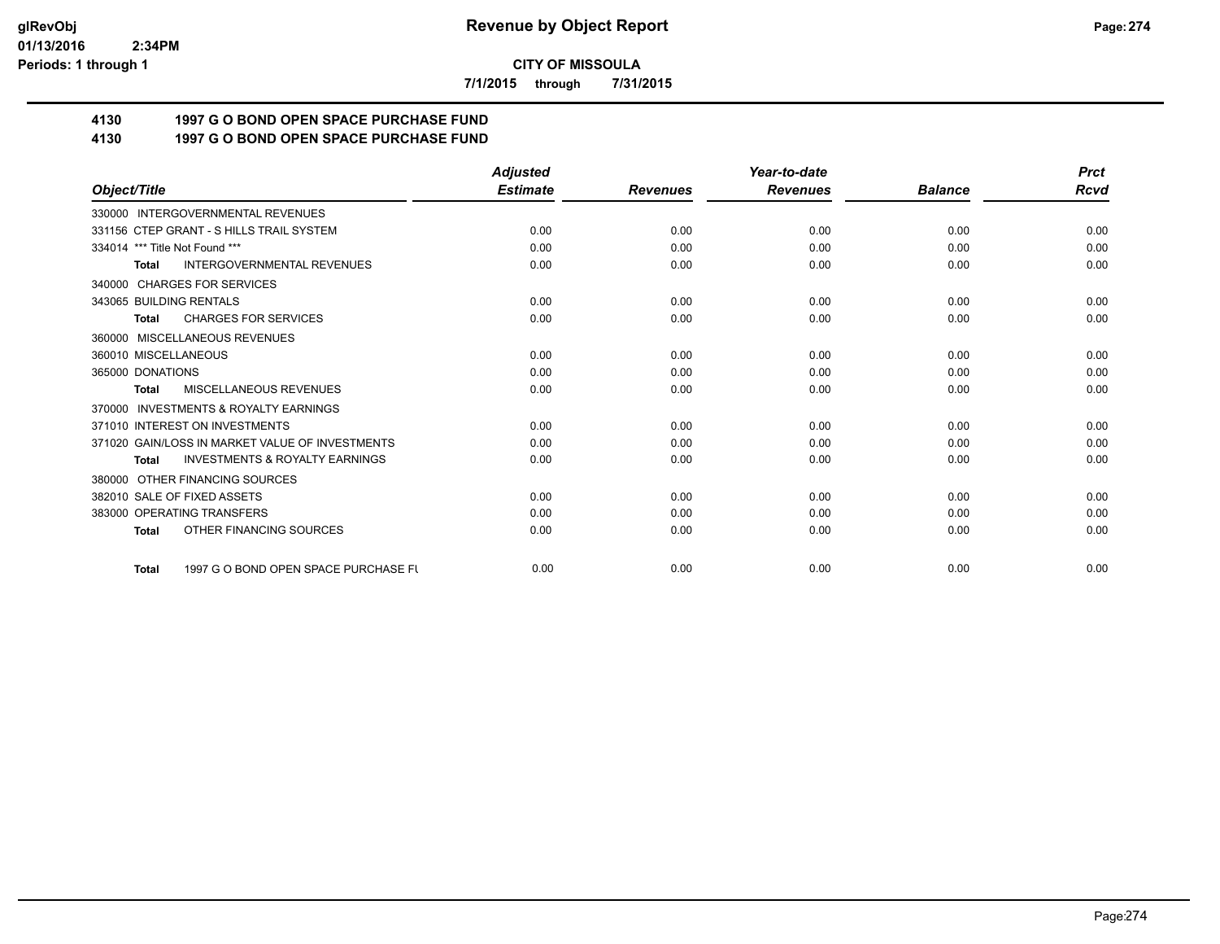**7/1/2015 through 7/31/2015**

# **4130 1997 G O BOND OPEN SPACE PURCHASE FUND**

## **4130 1997 G O BOND OPEN SPACE PURCHASE FUND**

|                                                           | <b>Adjusted</b> |                 | Year-to-date    |                | <b>Prct</b> |
|-----------------------------------------------------------|-----------------|-----------------|-----------------|----------------|-------------|
| Object/Title                                              | <b>Estimate</b> | <b>Revenues</b> | <b>Revenues</b> | <b>Balance</b> | <b>Rcvd</b> |
| 330000 INTERGOVERNMENTAL REVENUES                         |                 |                 |                 |                |             |
| 331156 CTEP GRANT - S HILLS TRAIL SYSTEM                  | 0.00            | 0.00            | 0.00            | 0.00           | 0.00        |
| 334014 *** Title Not Found ***                            | 0.00            | 0.00            | 0.00            | 0.00           | 0.00        |
| <b>INTERGOVERNMENTAL REVENUES</b><br><b>Total</b>         | 0.00            | 0.00            | 0.00            | 0.00           | 0.00        |
| 340000 CHARGES FOR SERVICES                               |                 |                 |                 |                |             |
| 343065 BUILDING RENTALS                                   | 0.00            | 0.00            | 0.00            | 0.00           | 0.00        |
| <b>CHARGES FOR SERVICES</b><br>Total                      | 0.00            | 0.00            | 0.00            | 0.00           | 0.00        |
| 360000 MISCELLANEOUS REVENUES                             |                 |                 |                 |                |             |
| 360010 MISCELLANEOUS                                      | 0.00            | 0.00            | 0.00            | 0.00           | 0.00        |
| 365000 DONATIONS                                          | 0.00            | 0.00            | 0.00            | 0.00           | 0.00        |
| MISCELLANEOUS REVENUES<br><b>Total</b>                    | 0.00            | 0.00            | 0.00            | 0.00           | 0.00        |
| 370000 INVESTMENTS & ROYALTY EARNINGS                     |                 |                 |                 |                |             |
| 371010 INTEREST ON INVESTMENTS                            | 0.00            | 0.00            | 0.00            | 0.00           | 0.00        |
| 371020 GAIN/LOSS IN MARKET VALUE OF INVESTMENTS           | 0.00            | 0.00            | 0.00            | 0.00           | 0.00        |
| <b>INVESTMENTS &amp; ROYALTY EARNINGS</b><br><b>Total</b> | 0.00            | 0.00            | 0.00            | 0.00           | 0.00        |
| 380000 OTHER FINANCING SOURCES                            |                 |                 |                 |                |             |
| 382010 SALE OF FIXED ASSETS                               | 0.00            | 0.00            | 0.00            | 0.00           | 0.00        |
| 383000 OPERATING TRANSFERS                                | 0.00            | 0.00            | 0.00            | 0.00           | 0.00        |
| OTHER FINANCING SOURCES<br><b>Total</b>                   | 0.00            | 0.00            | 0.00            | 0.00           | 0.00        |
| 1997 G O BOND OPEN SPACE PURCHASE FU<br>Total             | 0.00            | 0.00            | 0.00            | 0.00           | 0.00        |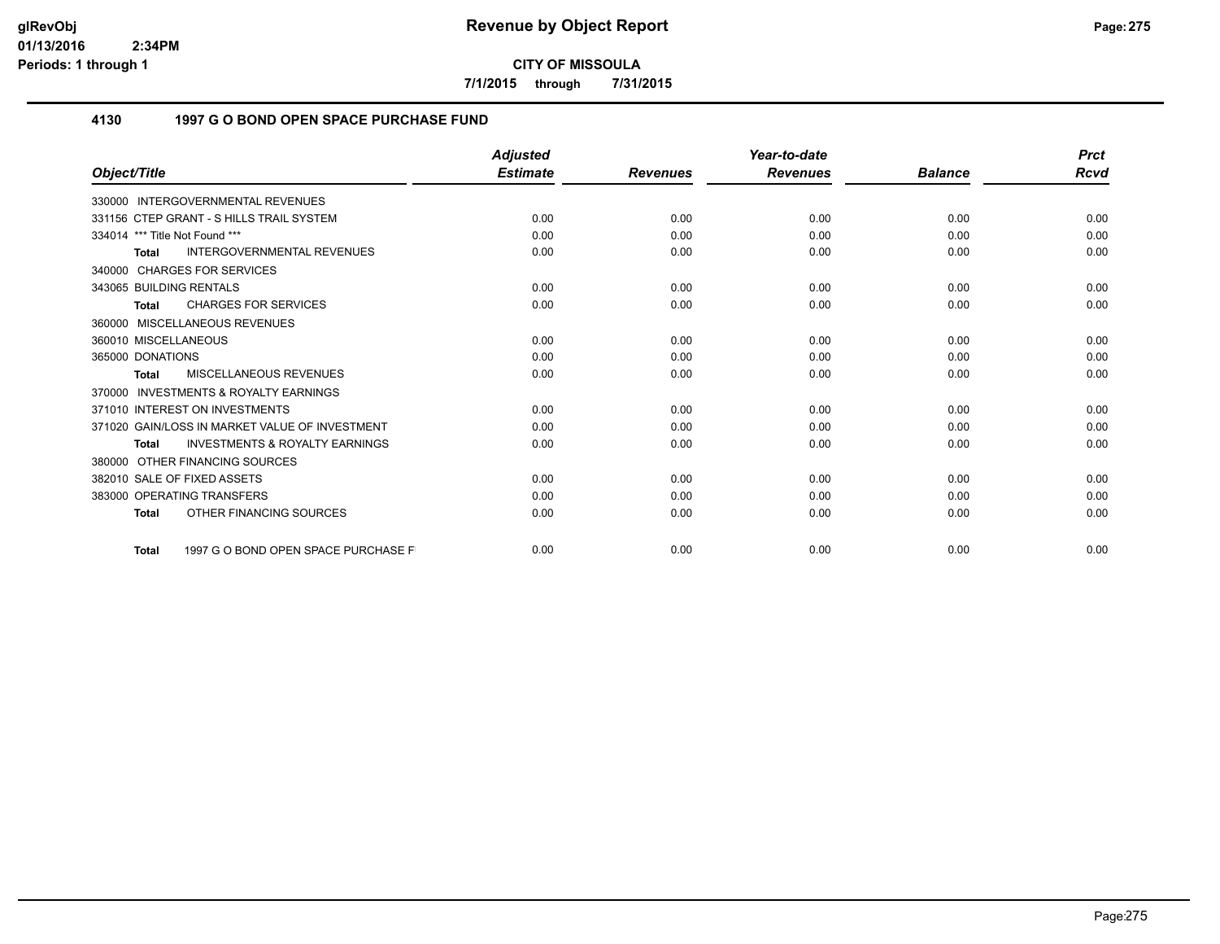**7/1/2015 through 7/31/2015**

## **4130 1997 G O BOND OPEN SPACE PURCHASE FUND**

|                                                           | <b>Adjusted</b> |                 | Year-to-date    |                | <b>Prct</b> |
|-----------------------------------------------------------|-----------------|-----------------|-----------------|----------------|-------------|
| Object/Title                                              | <b>Estimate</b> | <b>Revenues</b> | <b>Revenues</b> | <b>Balance</b> | Rcvd        |
| 330000 INTERGOVERNMENTAL REVENUES                         |                 |                 |                 |                |             |
| 331156 CTEP GRANT - S HILLS TRAIL SYSTEM                  | 0.00            | 0.00            | 0.00            | 0.00           | 0.00        |
| 334014 *** Title Not Found ***                            | 0.00            | 0.00            | 0.00            | 0.00           | 0.00        |
| <b>INTERGOVERNMENTAL REVENUES</b><br>Total                | 0.00            | 0.00            | 0.00            | 0.00           | 0.00        |
| 340000 CHARGES FOR SERVICES                               |                 |                 |                 |                |             |
| 343065 BUILDING RENTALS                                   | 0.00            | 0.00            | 0.00            | 0.00           | 0.00        |
| <b>CHARGES FOR SERVICES</b><br><b>Total</b>               | 0.00            | 0.00            | 0.00            | 0.00           | 0.00        |
| 360000 MISCELLANEOUS REVENUES                             |                 |                 |                 |                |             |
| 360010 MISCELLANEOUS                                      | 0.00            | 0.00            | 0.00            | 0.00           | 0.00        |
| 365000 DONATIONS                                          | 0.00            | 0.00            | 0.00            | 0.00           | 0.00        |
| MISCELLANEOUS REVENUES<br><b>Total</b>                    | 0.00            | 0.00            | 0.00            | 0.00           | 0.00        |
| 370000 INVESTMENTS & ROYALTY EARNINGS                     |                 |                 |                 |                |             |
| 371010 INTEREST ON INVESTMENTS                            | 0.00            | 0.00            | 0.00            | 0.00           | 0.00        |
| 371020 GAIN/LOSS IN MARKET VALUE OF INVESTMENT            | 0.00            | 0.00            | 0.00            | 0.00           | 0.00        |
| <b>INVESTMENTS &amp; ROYALTY EARNINGS</b><br><b>Total</b> | 0.00            | 0.00            | 0.00            | 0.00           | 0.00        |
| 380000 OTHER FINANCING SOURCES                            |                 |                 |                 |                |             |
| 382010 SALE OF FIXED ASSETS                               | 0.00            | 0.00            | 0.00            | 0.00           | 0.00        |
| 383000 OPERATING TRANSFERS                                | 0.00            | 0.00            | 0.00            | 0.00           | 0.00        |
| OTHER FINANCING SOURCES<br><b>Total</b>                   | 0.00            | 0.00            | 0.00            | 0.00           | 0.00        |
| 1997 G O BOND OPEN SPACE PURCHASE F<br><b>Total</b>       | 0.00            | 0.00            | 0.00            | 0.00           | 0.00        |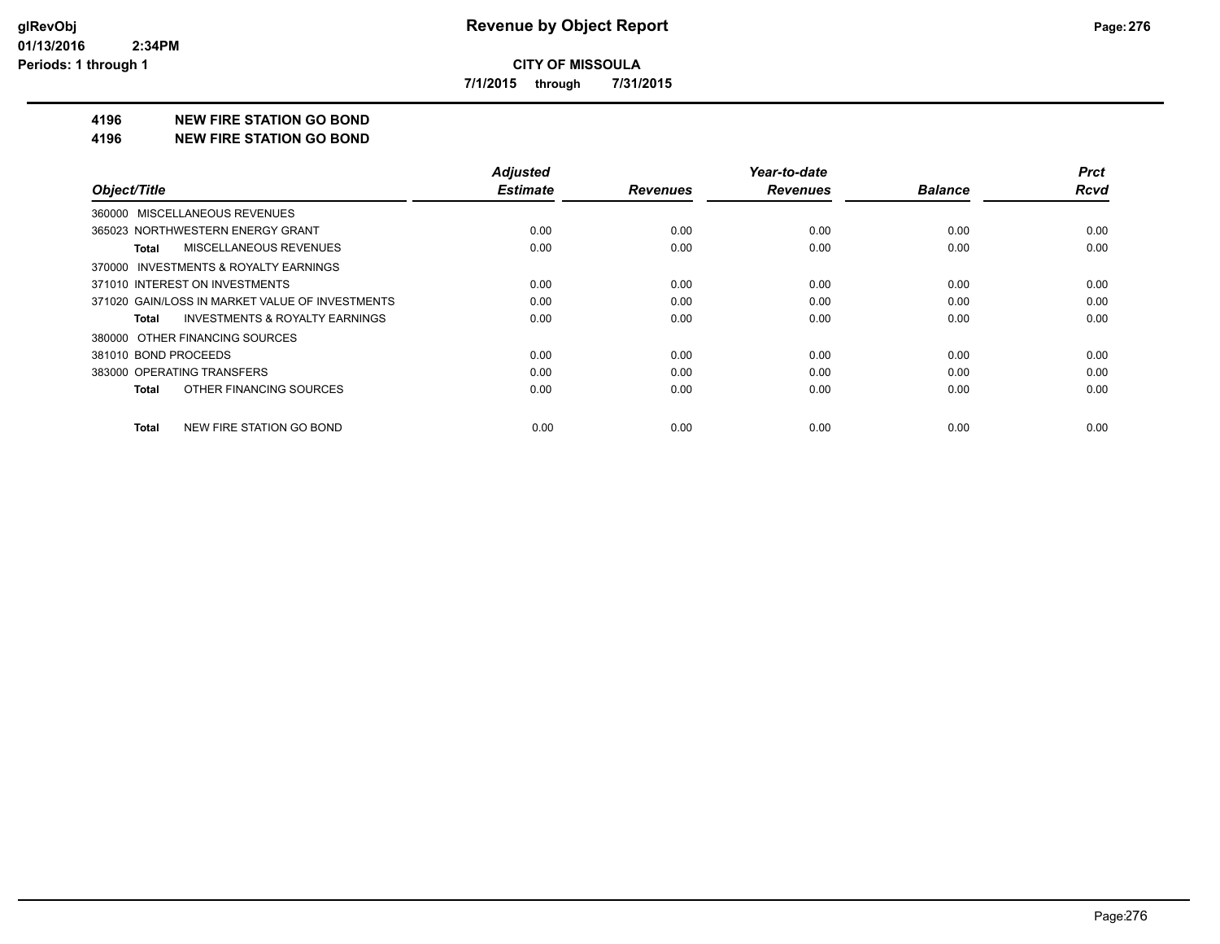**7/1/2015 through 7/31/2015**

### **4196 NEW FIRE STATION GO BOND**

#### **4196 NEW FIRE STATION GO BOND**

|                                                    | <b>Adjusted</b> |                 | Year-to-date    |                | <b>Prct</b> |
|----------------------------------------------------|-----------------|-----------------|-----------------|----------------|-------------|
| Object/Title                                       | <b>Estimate</b> | <b>Revenues</b> | <b>Revenues</b> | <b>Balance</b> | <b>Rcvd</b> |
| 360000 MISCELLANEOUS REVENUES                      |                 |                 |                 |                |             |
| 365023 NORTHWESTERN ENERGY GRANT                   | 0.00            | 0.00            | 0.00            | 0.00           | 0.00        |
| MISCELLANEOUS REVENUES<br>Total                    | 0.00            | 0.00            | 0.00            | 0.00           | 0.00        |
| 370000 INVESTMENTS & ROYALTY EARNINGS              |                 |                 |                 |                |             |
| 371010 INTEREST ON INVESTMENTS                     | 0.00            | 0.00            | 0.00            | 0.00           | 0.00        |
| 371020 GAIN/LOSS IN MARKET VALUE OF INVESTMENTS    | 0.00            | 0.00            | 0.00            | 0.00           | 0.00        |
| <b>INVESTMENTS &amp; ROYALTY EARNINGS</b><br>Total | 0.00            | 0.00            | 0.00            | 0.00           | 0.00        |
| 380000 OTHER FINANCING SOURCES                     |                 |                 |                 |                |             |
| 381010 BOND PROCEEDS                               | 0.00            | 0.00            | 0.00            | 0.00           | 0.00        |
| 383000 OPERATING TRANSFERS                         | 0.00            | 0.00            | 0.00            | 0.00           | 0.00        |
| OTHER FINANCING SOURCES<br>Total                   | 0.00            | 0.00            | 0.00            | 0.00           | 0.00        |
| NEW FIRE STATION GO BOND<br><b>Total</b>           | 0.00            | 0.00            | 0.00            | 0.00           | 0.00        |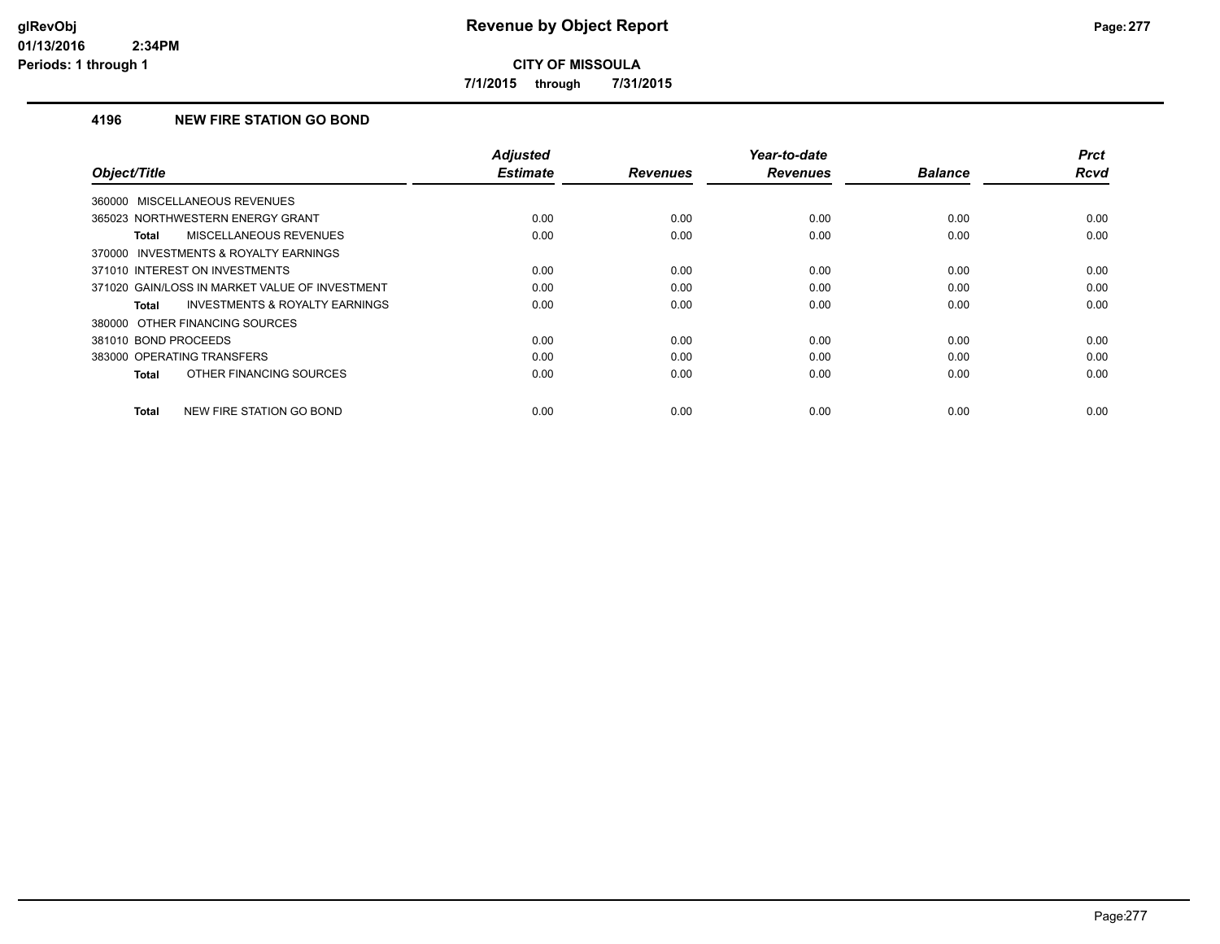**7/1/2015 through 7/31/2015**

## **4196 NEW FIRE STATION GO BOND**

| Object/Title                                       | <b>Adjusted</b><br><b>Estimate</b> | <b>Revenues</b> | Year-to-date<br><b>Revenues</b> | <b>Balance</b> | <b>Prct</b><br>Rcvd |
|----------------------------------------------------|------------------------------------|-----------------|---------------------------------|----------------|---------------------|
| 360000 MISCELLANEOUS REVENUES                      |                                    |                 |                                 |                |                     |
| 365023 NORTHWESTERN ENERGY GRANT                   | 0.00                               | 0.00            | 0.00                            | 0.00           | 0.00                |
| MISCELLANEOUS REVENUES<br><b>Total</b>             | 0.00                               | 0.00            | 0.00                            | 0.00           | 0.00                |
| 370000 INVESTMENTS & ROYALTY EARNINGS              |                                    |                 |                                 |                |                     |
| 371010 INTEREST ON INVESTMENTS                     | 0.00                               | 0.00            | 0.00                            | 0.00           | 0.00                |
| 371020 GAIN/LOSS IN MARKET VALUE OF INVESTMENT     | 0.00                               | 0.00            | 0.00                            | 0.00           | 0.00                |
| <b>INVESTMENTS &amp; ROYALTY EARNINGS</b><br>Total | 0.00                               | 0.00            | 0.00                            | 0.00           | 0.00                |
| 380000 OTHER FINANCING SOURCES                     |                                    |                 |                                 |                |                     |
| 381010 BOND PROCEEDS                               | 0.00                               | 0.00            | 0.00                            | 0.00           | 0.00                |
| 383000 OPERATING TRANSFERS                         | 0.00                               | 0.00            | 0.00                            | 0.00           | 0.00                |
| OTHER FINANCING SOURCES<br>Total                   | 0.00                               | 0.00            | 0.00                            | 0.00           | 0.00                |
| <b>NEW FIRE STATION GO BOND</b><br><b>Total</b>    | 0.00                               | 0.00            | 0.00                            | 0.00           | 0.00                |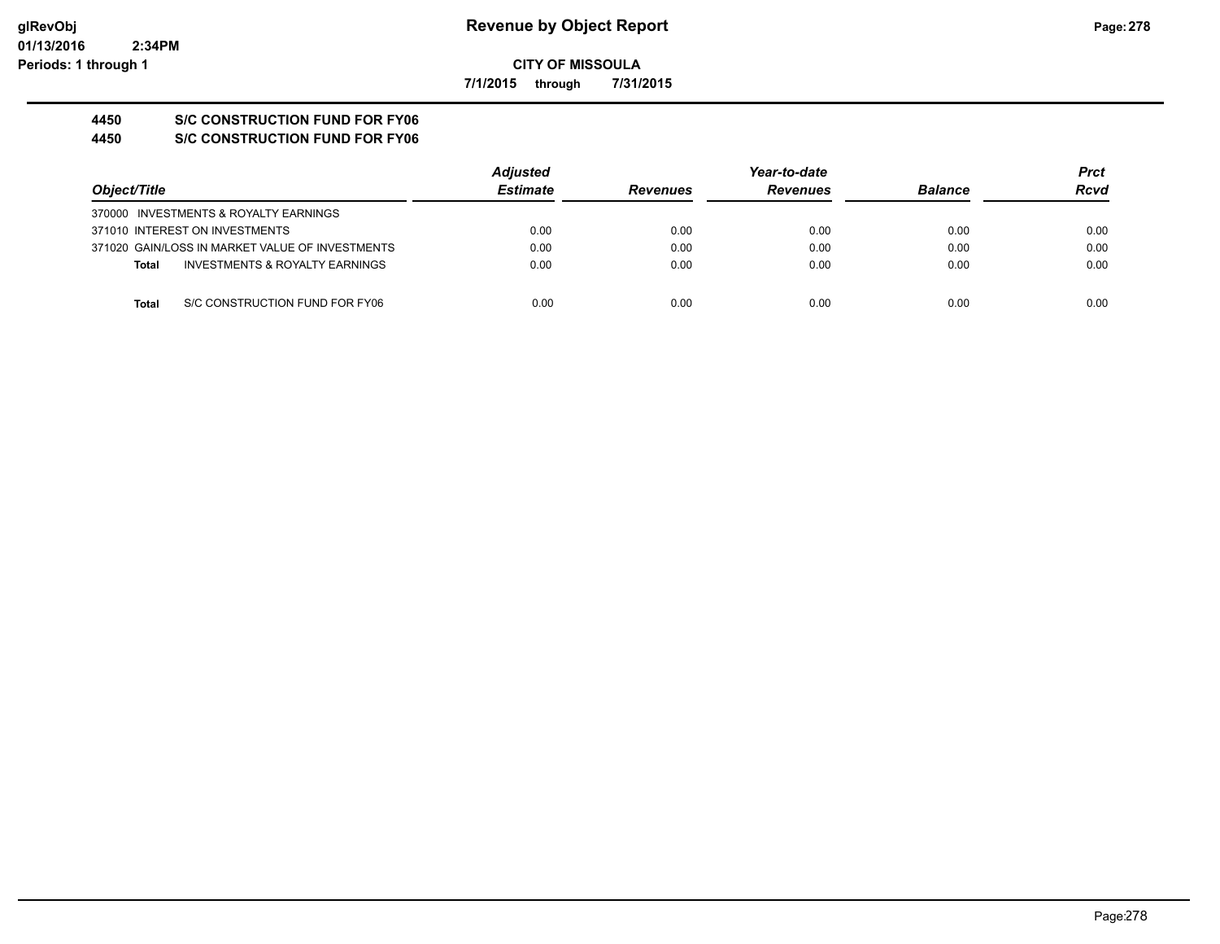**7/1/2015 through 7/31/2015**

# **4450 S/C CONSTRUCTION FUND FOR FY06**

**4450 S/C CONSTRUCTION FUND FOR FY06**

|                                                           | <b>Adjusted</b> |                 | Year-to-date    |                | Prct |
|-----------------------------------------------------------|-----------------|-----------------|-----------------|----------------|------|
| Object/Title                                              | <b>Estimate</b> | <b>Revenues</b> | <b>Revenues</b> | <b>Balance</b> | Rcvd |
| 370000 INVESTMENTS & ROYALTY EARNINGS                     |                 |                 |                 |                |      |
| 371010 INTEREST ON INVESTMENTS                            | 0.00            | 0.00            | 0.00            | 0.00           | 0.00 |
| 371020 GAIN/LOSS IN MARKET VALUE OF INVESTMENTS           | 0.00            | 0.00            | 0.00            | 0.00           | 0.00 |
| <b>INVESTMENTS &amp; ROYALTY EARNINGS</b><br><b>Total</b> | 0.00            | 0.00            | 0.00            | 0.00           | 0.00 |
| <b>Total</b><br>S/C CONSTRUCTION FUND FOR FY06            | 0.00            | 0.00            | 0.00            | 0.00           | 0.00 |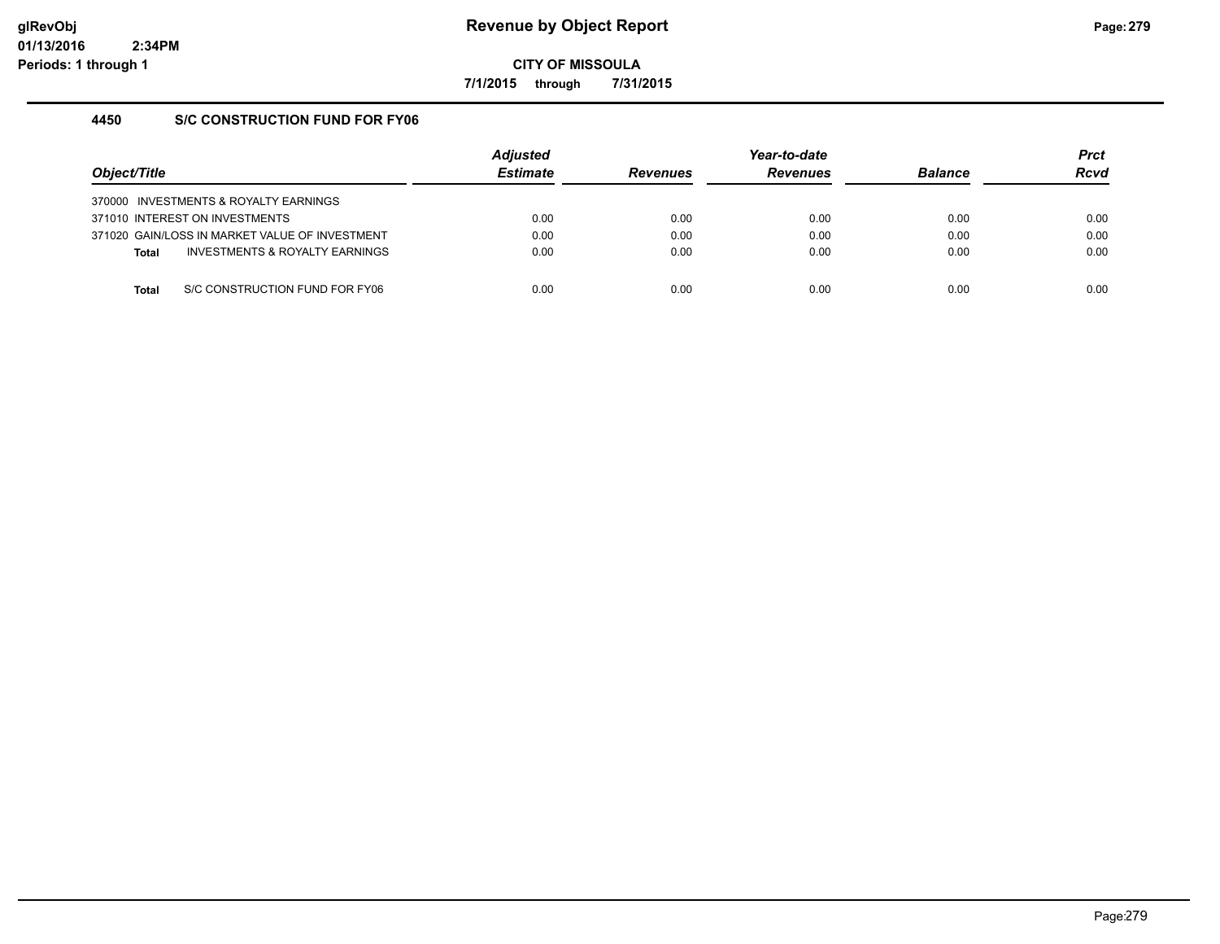**7/1/2015 through 7/31/2015**

## **4450 S/C CONSTRUCTION FUND FOR FY06**

| Object/Title |                                                | <b>Adiusted</b><br><b>Estimate</b> | <b>Revenues</b> | Year-to-date<br><b>Revenues</b> | <b>Balance</b> | <b>Prct</b><br><b>Rcvd</b> |
|--------------|------------------------------------------------|------------------------------------|-----------------|---------------------------------|----------------|----------------------------|
|              | 370000 INVESTMENTS & ROYALTY EARNINGS          |                                    |                 |                                 |                |                            |
|              | 371010 INTEREST ON INVESTMENTS                 | 0.00                               | 0.00            | 0.00                            | 0.00           | 0.00                       |
|              | 371020 GAIN/LOSS IN MARKET VALUE OF INVESTMENT | 0.00                               | 0.00            | 0.00                            | 0.00           | 0.00                       |
| <b>Total</b> | INVESTMENTS & ROYALTY EARNINGS                 | 0.00                               | 0.00            | 0.00                            | 0.00           | 0.00                       |
|              |                                                |                                    |                 |                                 |                |                            |
| Total        | S/C CONSTRUCTION FUND FOR FY06                 | 0.00                               | 0.00            | 0.00                            | 0.00           | 0.00                       |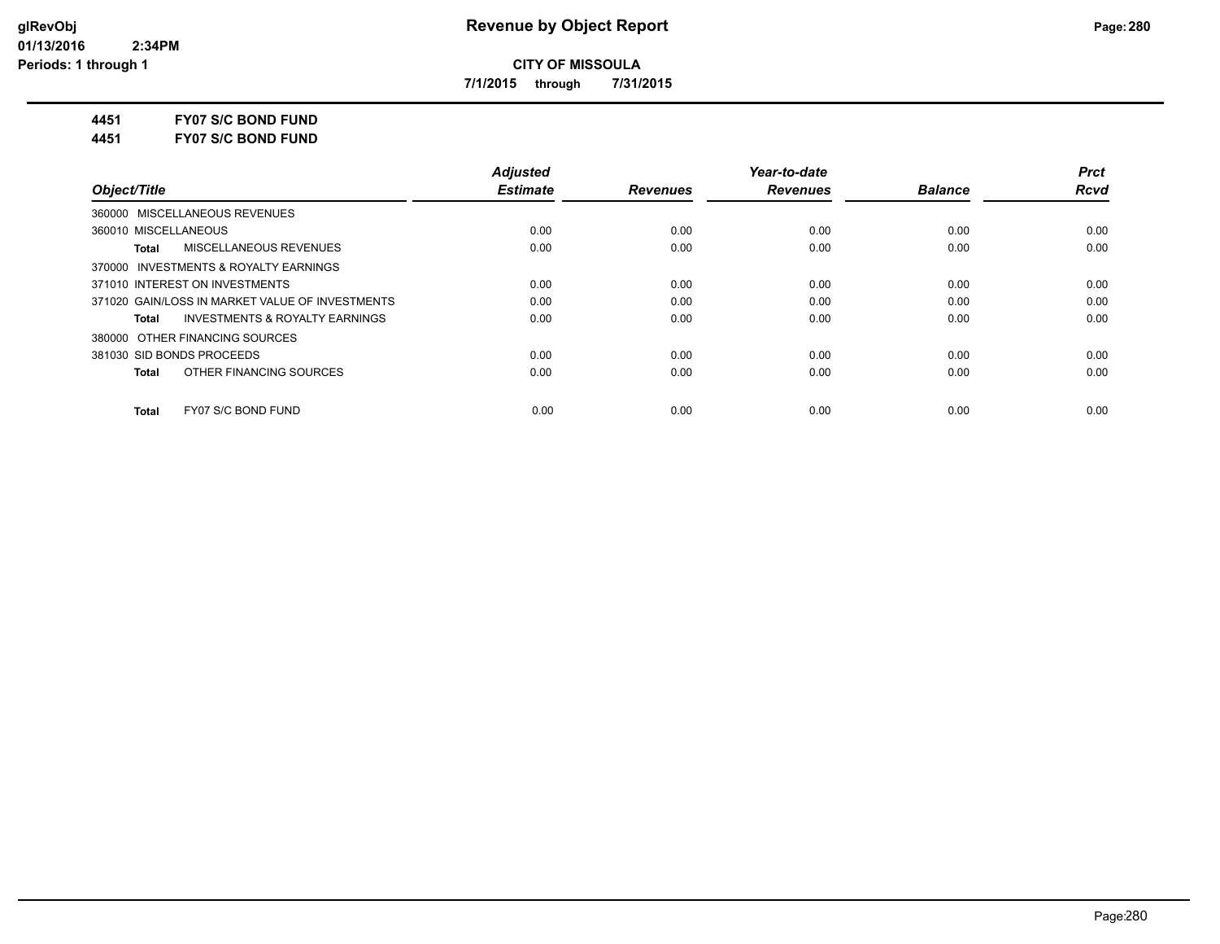**7/1/2015 through 7/31/2015**

**4451 FY07 S/C BOND FUND**

**4451 FY07 S/C BOND FUND**

|                                                 | <b>Adjusted</b> |                 | Year-to-date    |                | <b>Prct</b> |
|-------------------------------------------------|-----------------|-----------------|-----------------|----------------|-------------|
| Object/Title                                    | <b>Estimate</b> | <b>Revenues</b> | <b>Revenues</b> | <b>Balance</b> | <b>Rcvd</b> |
| 360000 MISCELLANEOUS REVENUES                   |                 |                 |                 |                |             |
| 360010 MISCELLANEOUS                            | 0.00            | 0.00            | 0.00            | 0.00           | 0.00        |
| MISCELLANEOUS REVENUES<br>Total                 | 0.00            | 0.00            | 0.00            | 0.00           | 0.00        |
| 370000 INVESTMENTS & ROYALTY EARNINGS           |                 |                 |                 |                |             |
| 371010 INTEREST ON INVESTMENTS                  | 0.00            | 0.00            | 0.00            | 0.00           | 0.00        |
| 371020 GAIN/LOSS IN MARKET VALUE OF INVESTMENTS | 0.00            | 0.00            | 0.00            | 0.00           | 0.00        |
| INVESTMENTS & ROYALTY EARNINGS<br>Total         | 0.00            | 0.00            | 0.00            | 0.00           | 0.00        |
| 380000 OTHER FINANCING SOURCES                  |                 |                 |                 |                |             |
| 381030 SID BONDS PROCEEDS                       | 0.00            | 0.00            | 0.00            | 0.00           | 0.00        |
| OTHER FINANCING SOURCES<br>Total                | 0.00            | 0.00            | 0.00            | 0.00           | 0.00        |
| FY07 S/C BOND FUND<br><b>Total</b>              | 0.00            | 0.00            | 0.00            | 0.00           | 0.00        |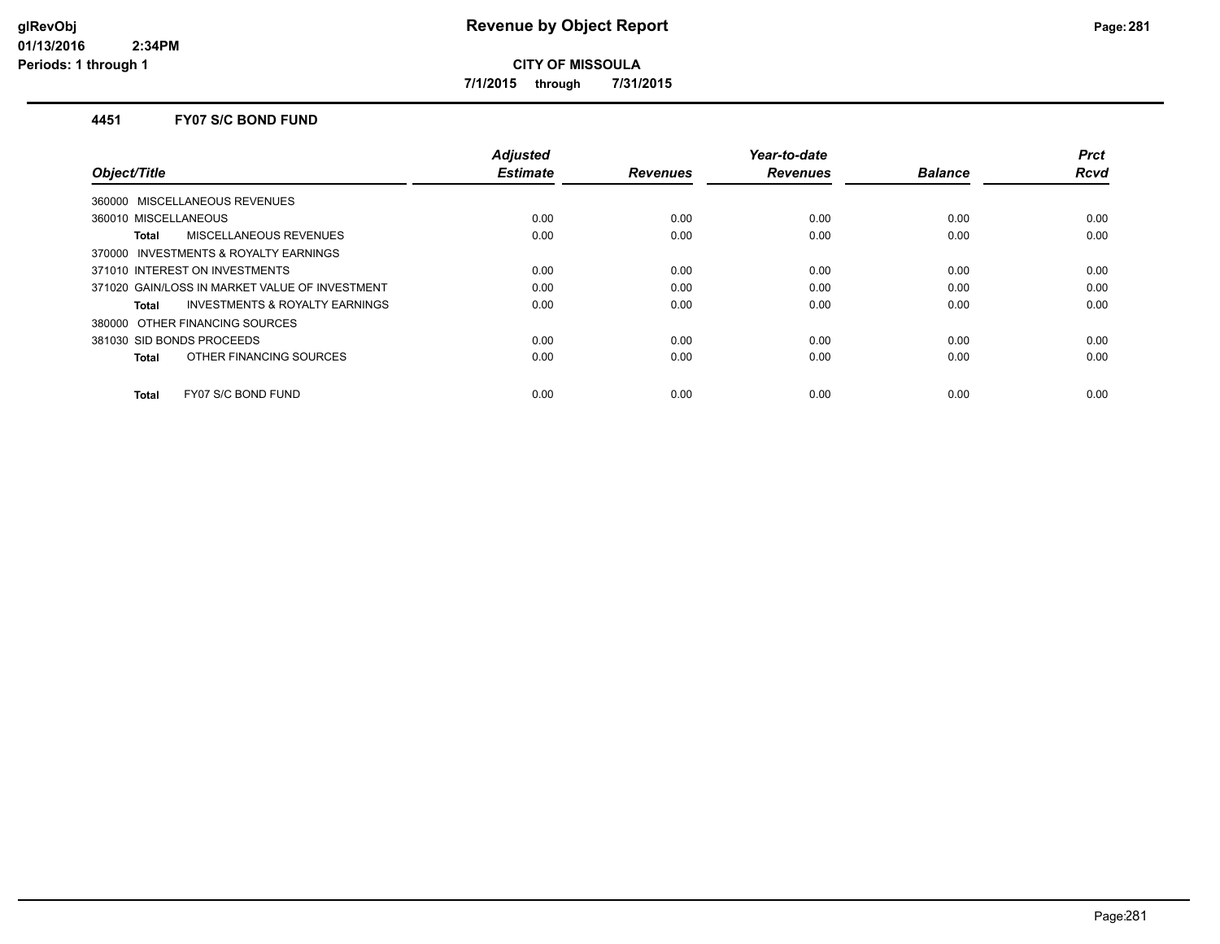**7/1/2015 through 7/31/2015**

### **4451 FY07 S/C BOND FUND**

| Object/Title                                   | <b>Adjusted</b><br><b>Estimate</b> | <b>Revenues</b> | Year-to-date<br><b>Revenues</b> | <b>Balance</b> | <b>Prct</b><br><b>Rcvd</b> |
|------------------------------------------------|------------------------------------|-----------------|---------------------------------|----------------|----------------------------|
| 360000 MISCELLANEOUS REVENUES                  |                                    |                 |                                 |                |                            |
| 360010 MISCELLANEOUS                           | 0.00                               | 0.00            | 0.00                            | 0.00           | 0.00                       |
| MISCELLANEOUS REVENUES<br>Total                | 0.00                               | 0.00            | 0.00                            | 0.00           | 0.00                       |
| 370000 INVESTMENTS & ROYALTY EARNINGS          |                                    |                 |                                 |                |                            |
| 371010 INTEREST ON INVESTMENTS                 | 0.00                               | 0.00            | 0.00                            | 0.00           | 0.00                       |
| 371020 GAIN/LOSS IN MARKET VALUE OF INVESTMENT | 0.00                               | 0.00            | 0.00                            | 0.00           | 0.00                       |
| INVESTMENTS & ROYALTY EARNINGS<br>Total        | 0.00                               | 0.00            | 0.00                            | 0.00           | 0.00                       |
| 380000 OTHER FINANCING SOURCES                 |                                    |                 |                                 |                |                            |
| 381030 SID BONDS PROCEEDS                      | 0.00                               | 0.00            | 0.00                            | 0.00           | 0.00                       |
| OTHER FINANCING SOURCES<br>Total               | 0.00                               | 0.00            | 0.00                            | 0.00           | 0.00                       |
| FY07 S/C BOND FUND<br><b>Total</b>             | 0.00                               | 0.00            | 0.00                            | 0.00           | 0.00                       |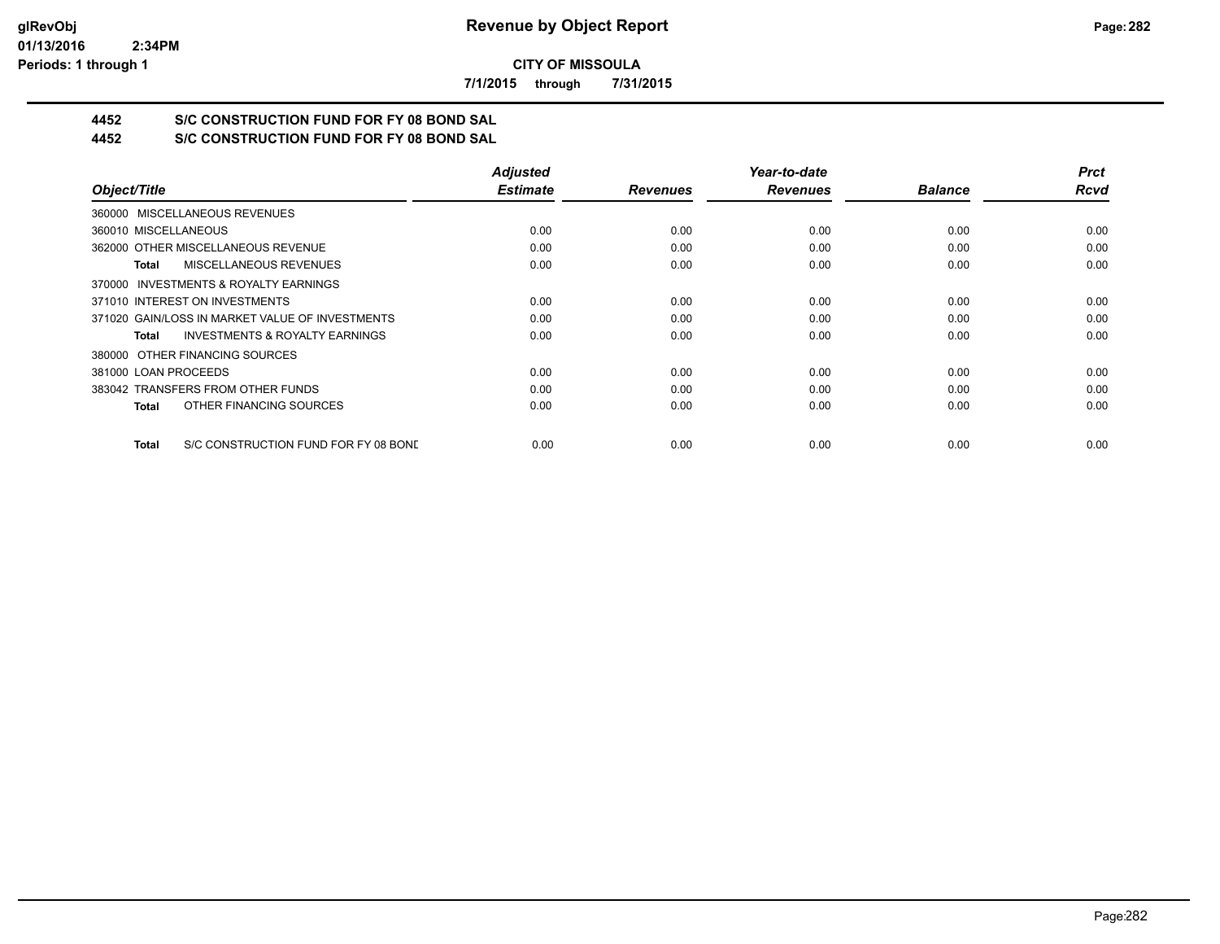**7/1/2015 through 7/31/2015**

# **4452 S/C CONSTRUCTION FUND FOR FY 08 BOND SAL**

**4452 S/C CONSTRUCTION FUND FOR FY 08 BOND SAL**

|                                                      | <b>Adjusted</b> |                 | Year-to-date    |                | <b>Prct</b> |
|------------------------------------------------------|-----------------|-----------------|-----------------|----------------|-------------|
| Object/Title                                         | <b>Estimate</b> | <b>Revenues</b> | <b>Revenues</b> | <b>Balance</b> | <b>Rcvd</b> |
| 360000 MISCELLANEOUS REVENUES                        |                 |                 |                 |                |             |
| 360010 MISCELLANEOUS                                 | 0.00            | 0.00            | 0.00            | 0.00           | 0.00        |
| 362000 OTHER MISCELLANEOUS REVENUE                   | 0.00            | 0.00            | 0.00            | 0.00           | 0.00        |
| <b>MISCELLANEOUS REVENUES</b><br>Total               | 0.00            | 0.00            | 0.00            | 0.00           | 0.00        |
| 370000 INVESTMENTS & ROYALTY EARNINGS                |                 |                 |                 |                |             |
| 371010 INTEREST ON INVESTMENTS                       | 0.00            | 0.00            | 0.00            | 0.00           | 0.00        |
| 371020 GAIN/LOSS IN MARKET VALUE OF INVESTMENTS      | 0.00            | 0.00            | 0.00            | 0.00           | 0.00        |
| <b>INVESTMENTS &amp; ROYALTY EARNINGS</b><br>Total   | 0.00            | 0.00            | 0.00            | 0.00           | 0.00        |
| 380000 OTHER FINANCING SOURCES                       |                 |                 |                 |                |             |
| 381000 LOAN PROCEEDS                                 | 0.00            | 0.00            | 0.00            | 0.00           | 0.00        |
| 383042 TRANSFERS FROM OTHER FUNDS                    | 0.00            | 0.00            | 0.00            | 0.00           | 0.00        |
| OTHER FINANCING SOURCES<br><b>Total</b>              | 0.00            | 0.00            | 0.00            | 0.00           | 0.00        |
| S/C CONSTRUCTION FUND FOR FY 08 BOND<br><b>Total</b> | 0.00            | 0.00            | 0.00            | 0.00           | 0.00        |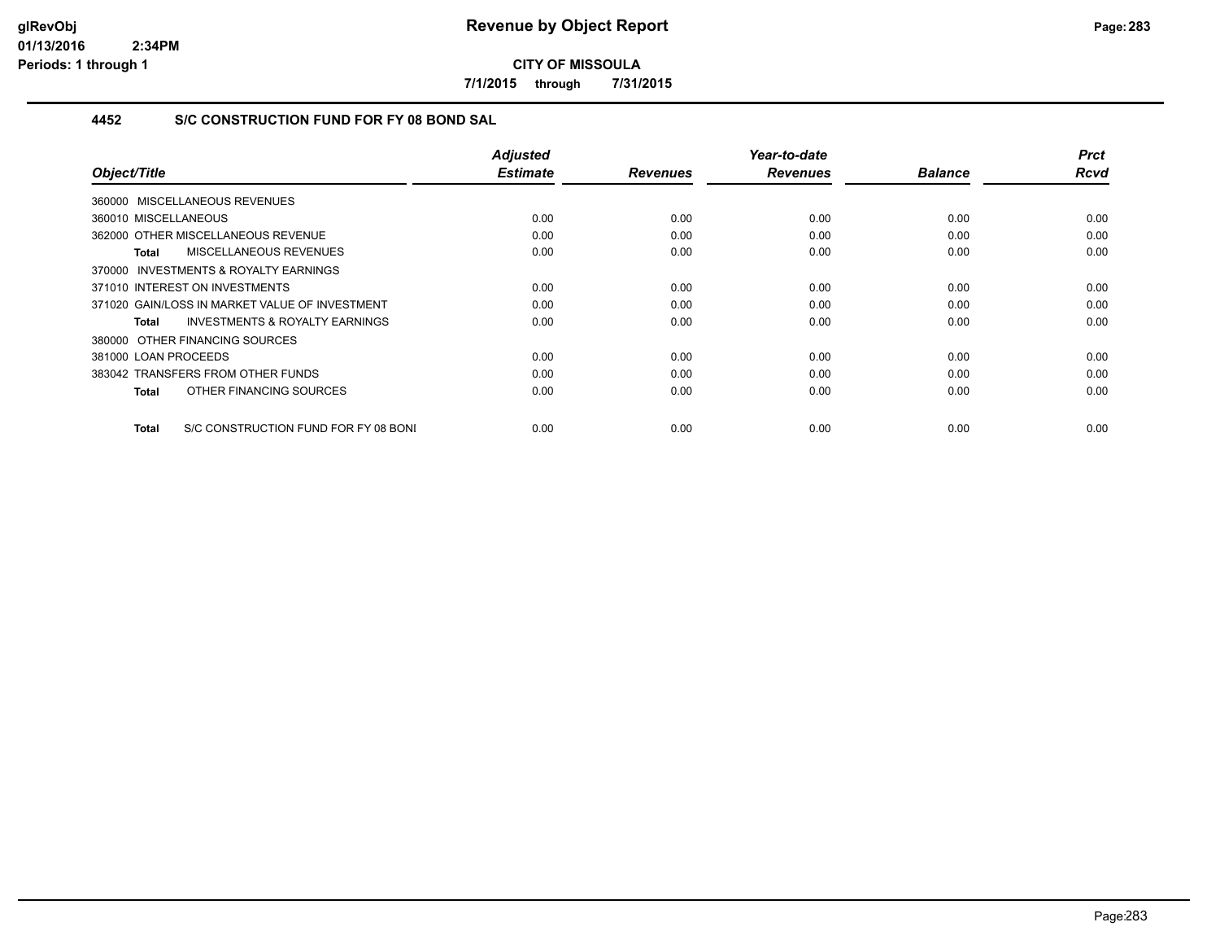**7/1/2015 through 7/31/2015**

## **4452 S/C CONSTRUCTION FUND FOR FY 08 BOND SAL**

|                                                      | <b>Adjusted</b><br><b>Estimate</b> |                 | Year-to-date    |                | <b>Prct</b><br><b>Rcvd</b> |
|------------------------------------------------------|------------------------------------|-----------------|-----------------|----------------|----------------------------|
| Object/Title                                         |                                    | <b>Revenues</b> | <b>Revenues</b> | <b>Balance</b> |                            |
| 360000 MISCELLANEOUS REVENUES                        |                                    |                 |                 |                |                            |
| 360010 MISCELLANEOUS                                 | 0.00                               | 0.00            | 0.00            | 0.00           | 0.00                       |
| 362000 OTHER MISCELLANEOUS REVENUE                   | 0.00                               | 0.00            | 0.00            | 0.00           | 0.00                       |
| MISCELLANEOUS REVENUES<br>Total                      | 0.00                               | 0.00            | 0.00            | 0.00           | 0.00                       |
| 370000 INVESTMENTS & ROYALTY EARNINGS                |                                    |                 |                 |                |                            |
| 371010 INTEREST ON INVESTMENTS                       | 0.00                               | 0.00            | 0.00            | 0.00           | 0.00                       |
| 371020 GAIN/LOSS IN MARKET VALUE OF INVESTMENT       | 0.00                               | 0.00            | 0.00            | 0.00           | 0.00                       |
| <b>INVESTMENTS &amp; ROYALTY EARNINGS</b><br>Total   | 0.00                               | 0.00            | 0.00            | 0.00           | 0.00                       |
| 380000 OTHER FINANCING SOURCES                       |                                    |                 |                 |                |                            |
| 381000 LOAN PROCEEDS                                 | 0.00                               | 0.00            | 0.00            | 0.00           | 0.00                       |
| 383042 TRANSFERS FROM OTHER FUNDS                    | 0.00                               | 0.00            | 0.00            | 0.00           | 0.00                       |
| OTHER FINANCING SOURCES<br>Total                     | 0.00                               | 0.00            | 0.00            | 0.00           | 0.00                       |
|                                                      |                                    |                 |                 |                |                            |
| S/C CONSTRUCTION FUND FOR FY 08 BONI<br><b>Total</b> | 0.00                               | 0.00            | 0.00            | 0.00           | 0.00                       |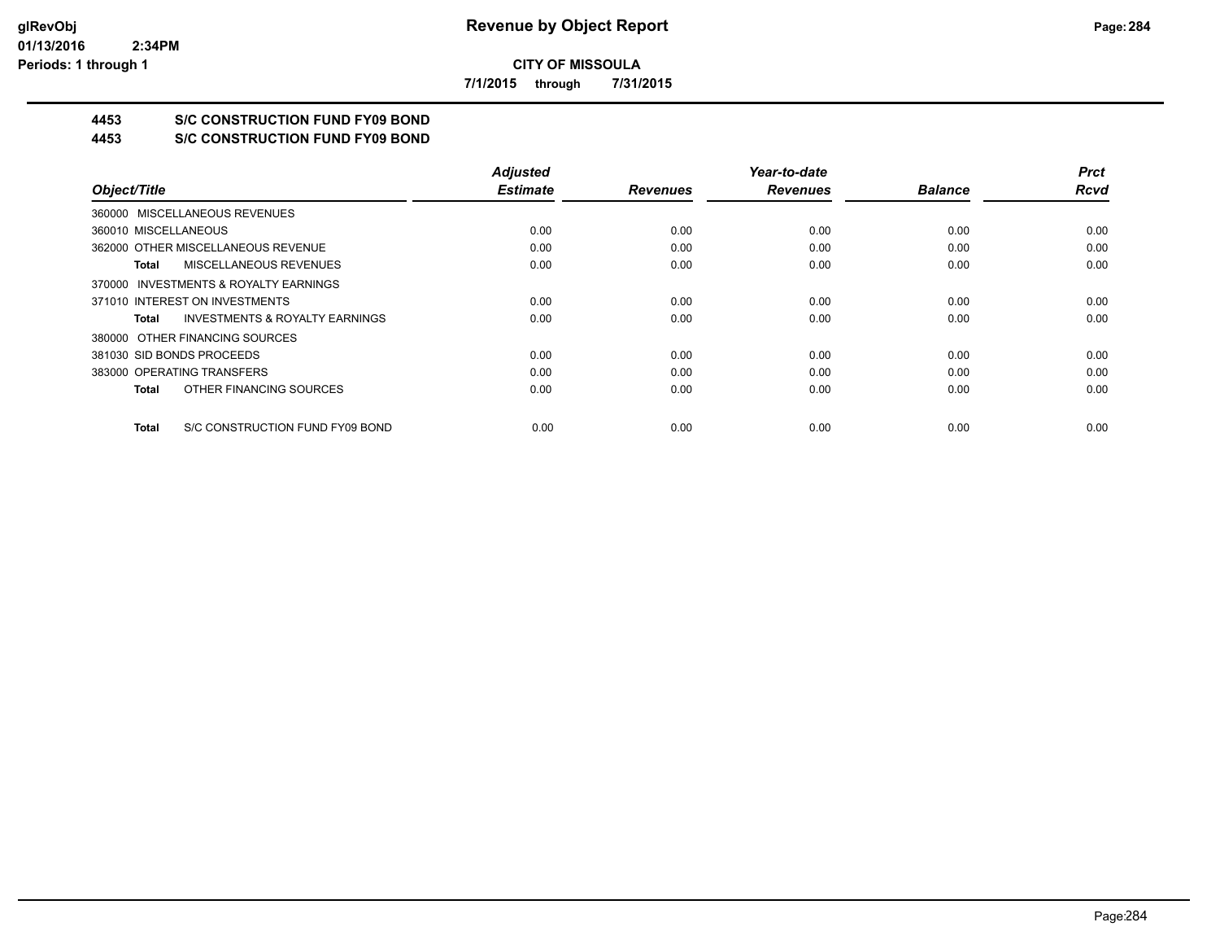**7/1/2015 through 7/31/2015**

# **4453 S/C CONSTRUCTION FUND FY09 BOND**

**4453 S/C CONSTRUCTION FUND FY09 BOND**

|                                                    | <b>Adjusted</b> |                 | Year-to-date    |                | <b>Prct</b> |
|----------------------------------------------------|-----------------|-----------------|-----------------|----------------|-------------|
| Object/Title                                       | <b>Estimate</b> | <b>Revenues</b> | <b>Revenues</b> | <b>Balance</b> | <b>Rcvd</b> |
| 360000 MISCELLANEOUS REVENUES                      |                 |                 |                 |                |             |
| 360010 MISCELLANEOUS                               | 0.00            | 0.00            | 0.00            | 0.00           | 0.00        |
| 362000 OTHER MISCELLANEOUS REVENUE                 | 0.00            | 0.00            | 0.00            | 0.00           | 0.00        |
| MISCELLANEOUS REVENUES<br>Total                    | 0.00            | 0.00            | 0.00            | 0.00           | 0.00        |
| 370000 INVESTMENTS & ROYALTY EARNINGS              |                 |                 |                 |                |             |
| 371010 INTEREST ON INVESTMENTS                     | 0.00            | 0.00            | 0.00            | 0.00           | 0.00        |
| <b>INVESTMENTS &amp; ROYALTY EARNINGS</b><br>Total | 0.00            | 0.00            | 0.00            | 0.00           | 0.00        |
| 380000 OTHER FINANCING SOURCES                     |                 |                 |                 |                |             |
| 381030 SID BONDS PROCEEDS                          | 0.00            | 0.00            | 0.00            | 0.00           | 0.00        |
| 383000 OPERATING TRANSFERS                         | 0.00            | 0.00            | 0.00            | 0.00           | 0.00        |
| OTHER FINANCING SOURCES<br>Total                   | 0.00            | 0.00            | 0.00            | 0.00           | 0.00        |
| S/C CONSTRUCTION FUND FY09 BOND<br>Total           | 0.00            | 0.00            | 0.00            | 0.00           | 0.00        |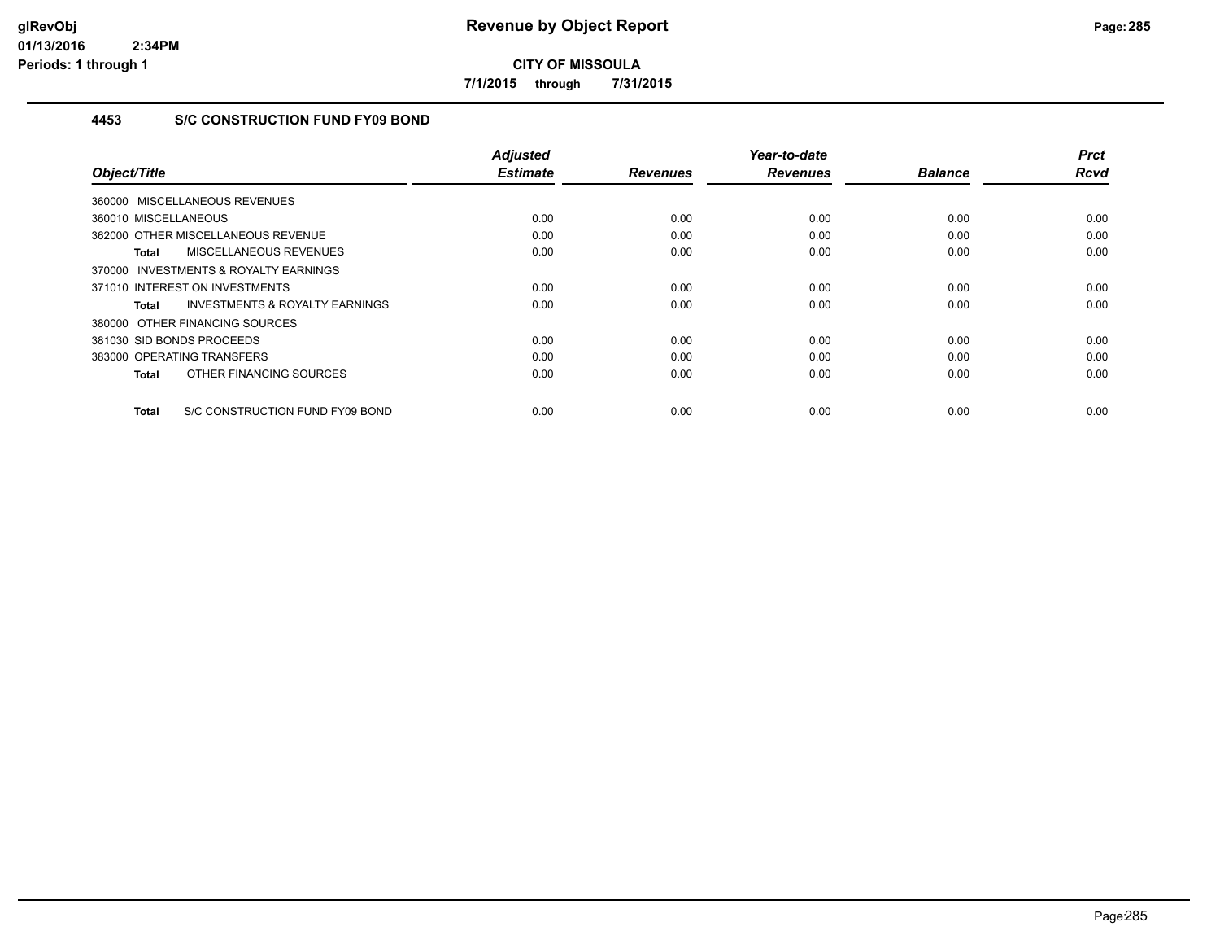**7/1/2015 through 7/31/2015**

## **4453 S/C CONSTRUCTION FUND FY09 BOND**

| Object/Title                                        | Adjusted<br><b>Estimate</b> | <b>Revenues</b> | Year-to-date<br><b>Revenues</b> | <b>Balance</b> | <b>Prct</b><br>Rcvd |
|-----------------------------------------------------|-----------------------------|-----------------|---------------------------------|----------------|---------------------|
|                                                     |                             |                 |                                 |                |                     |
| 360000 MISCELLANEOUS REVENUES                       |                             |                 |                                 |                |                     |
| 360010 MISCELLANEOUS                                | 0.00                        | 0.00            | 0.00                            | 0.00           | 0.00                |
| 362000 OTHER MISCELLANEOUS REVENUE                  | 0.00                        | 0.00            | 0.00                            | 0.00           | 0.00                |
| MISCELLANEOUS REVENUES<br>Total                     | 0.00                        | 0.00            | 0.00                            | 0.00           | 0.00                |
| <b>INVESTMENTS &amp; ROYALTY EARNINGS</b><br>370000 |                             |                 |                                 |                |                     |
| 371010 INTEREST ON INVESTMENTS                      | 0.00                        | 0.00            | 0.00                            | 0.00           | 0.00                |
| <b>INVESTMENTS &amp; ROYALTY EARNINGS</b><br>Total  | 0.00                        | 0.00            | 0.00                            | 0.00           | 0.00                |
| 380000 OTHER FINANCING SOURCES                      |                             |                 |                                 |                |                     |
| 381030 SID BONDS PROCEEDS                           | 0.00                        | 0.00            | 0.00                            | 0.00           | 0.00                |
| 383000 OPERATING TRANSFERS                          | 0.00                        | 0.00            | 0.00                            | 0.00           | 0.00                |
| OTHER FINANCING SOURCES<br>Total                    | 0.00                        | 0.00            | 0.00                            | 0.00           | 0.00                |
| S/C CONSTRUCTION FUND FY09 BOND<br>Total            | 0.00                        | 0.00            | 0.00                            | 0.00           | 0.00                |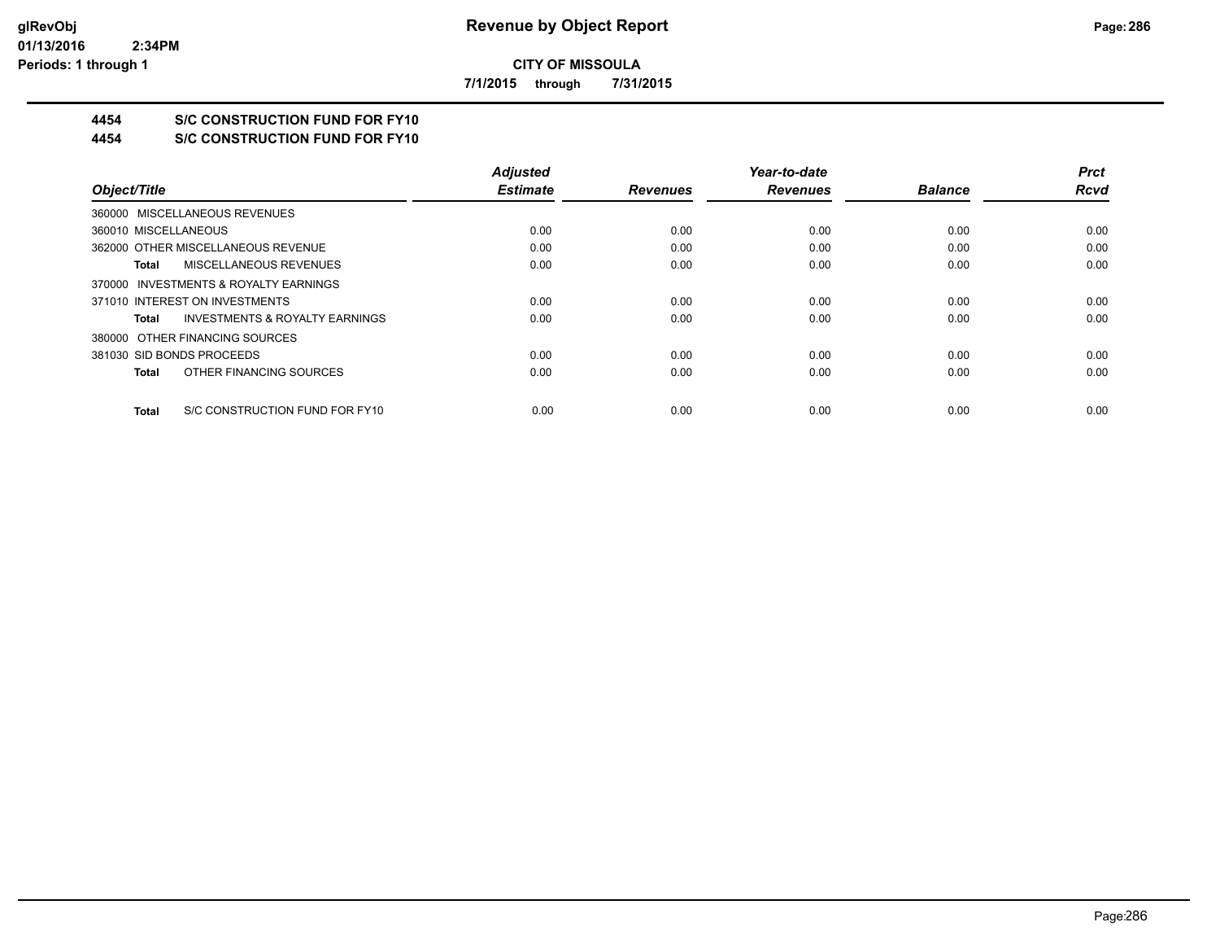**7/1/2015 through 7/31/2015**

# **4454 S/C CONSTRUCTION FUND FOR FY10**

**4454 S/C CONSTRUCTION FUND FOR FY10**

|                                                    | <b>Adjusted</b> |                 | Year-to-date    |                | <b>Prct</b> |
|----------------------------------------------------|-----------------|-----------------|-----------------|----------------|-------------|
| Object/Title                                       | <b>Estimate</b> | <b>Revenues</b> | <b>Revenues</b> | <b>Balance</b> | <b>Rcvd</b> |
| 360000 MISCELLANEOUS REVENUES                      |                 |                 |                 |                |             |
| 360010 MISCELLANEOUS                               | 0.00            | 0.00            | 0.00            | 0.00           | 0.00        |
| 362000 OTHER MISCELLANEOUS REVENUE                 | 0.00            | 0.00            | 0.00            | 0.00           | 0.00        |
| MISCELLANEOUS REVENUES<br>Total                    | 0.00            | 0.00            | 0.00            | 0.00           | 0.00        |
| 370000 INVESTMENTS & ROYALTY EARNINGS              |                 |                 |                 |                |             |
| 371010 INTEREST ON INVESTMENTS                     | 0.00            | 0.00            | 0.00            | 0.00           | 0.00        |
| <b>INVESTMENTS &amp; ROYALTY EARNINGS</b><br>Total | 0.00            | 0.00            | 0.00            | 0.00           | 0.00        |
| 380000 OTHER FINANCING SOURCES                     |                 |                 |                 |                |             |
| 381030 SID BONDS PROCEEDS                          | 0.00            | 0.00            | 0.00            | 0.00           | 0.00        |
| OTHER FINANCING SOURCES<br>Total                   | 0.00            | 0.00            | 0.00            | 0.00           | 0.00        |
| S/C CONSTRUCTION FUND FOR FY10<br>Total            | 0.00            | 0.00            | 0.00            | 0.00           | 0.00        |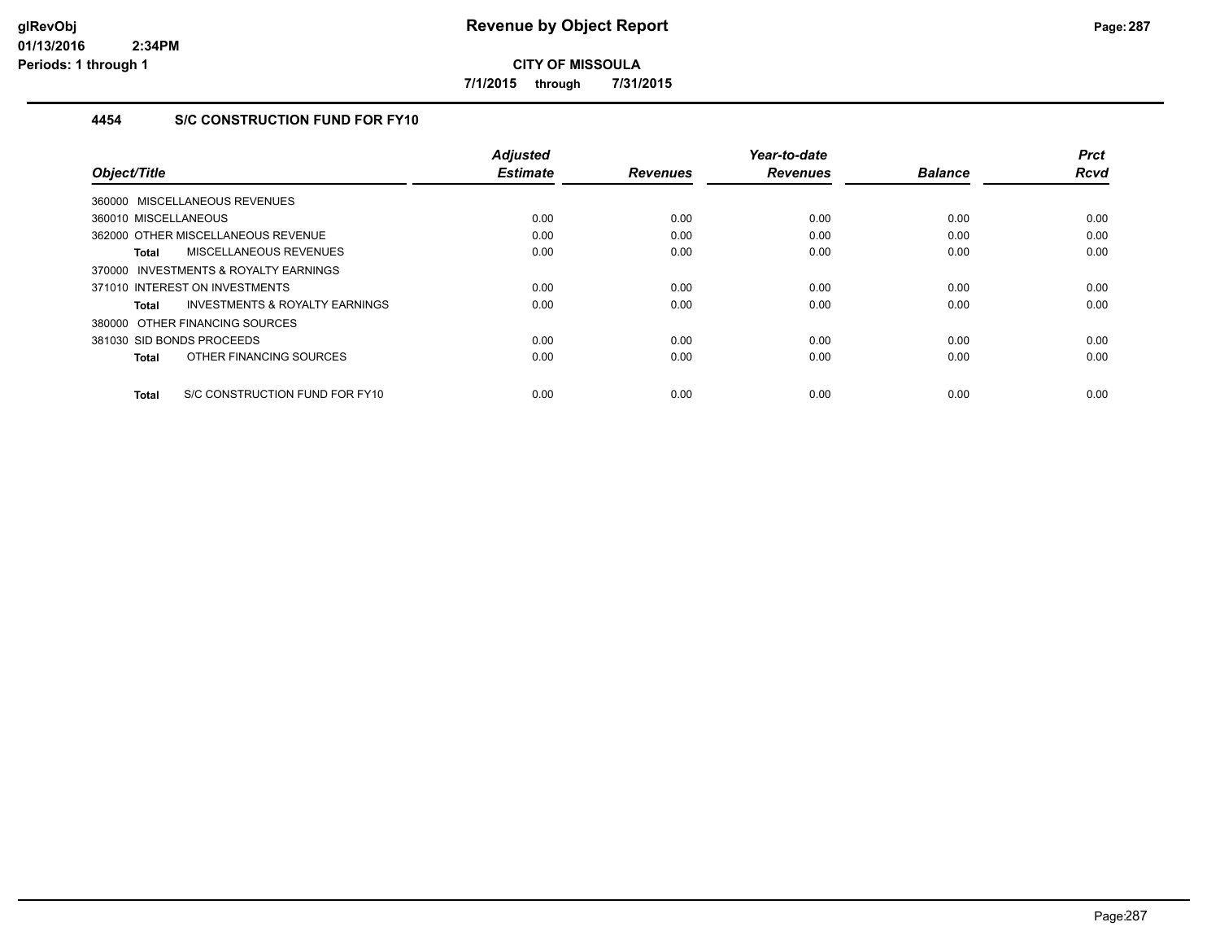**7/1/2015 through 7/31/2015**

## **4454 S/C CONSTRUCTION FUND FOR FY10**

|                                                | <b>Adjusted</b> |                 | Year-to-date    |                | <b>Prct</b> |
|------------------------------------------------|-----------------|-----------------|-----------------|----------------|-------------|
| Object/Title                                   | <b>Estimate</b> | <b>Revenues</b> | <b>Revenues</b> | <b>Balance</b> | <b>Rcvd</b> |
| 360000 MISCELLANEOUS REVENUES                  |                 |                 |                 |                |             |
| 360010 MISCELLANEOUS                           | 0.00            | 0.00            | 0.00            | 0.00           | 0.00        |
| 362000 OTHER MISCELLANEOUS REVENUE             | 0.00            | 0.00            | 0.00            | 0.00           | 0.00        |
| MISCELLANEOUS REVENUES<br>Total                | 0.00            | 0.00            | 0.00            | 0.00           | 0.00        |
| INVESTMENTS & ROYALTY EARNINGS<br>370000       |                 |                 |                 |                |             |
| 371010 INTEREST ON INVESTMENTS                 | 0.00            | 0.00            | 0.00            | 0.00           | 0.00        |
| INVESTMENTS & ROYALTY EARNINGS<br>Total        | 0.00            | 0.00            | 0.00            | 0.00           | 0.00        |
| 380000 OTHER FINANCING SOURCES                 |                 |                 |                 |                |             |
| 381030 SID BONDS PROCEEDS                      | 0.00            | 0.00            | 0.00            | 0.00           | 0.00        |
| OTHER FINANCING SOURCES<br><b>Total</b>        | 0.00            | 0.00            | 0.00            | 0.00           | 0.00        |
| S/C CONSTRUCTION FUND FOR FY10<br><b>Total</b> | 0.00            | 0.00            | 0.00            | 0.00           | 0.00        |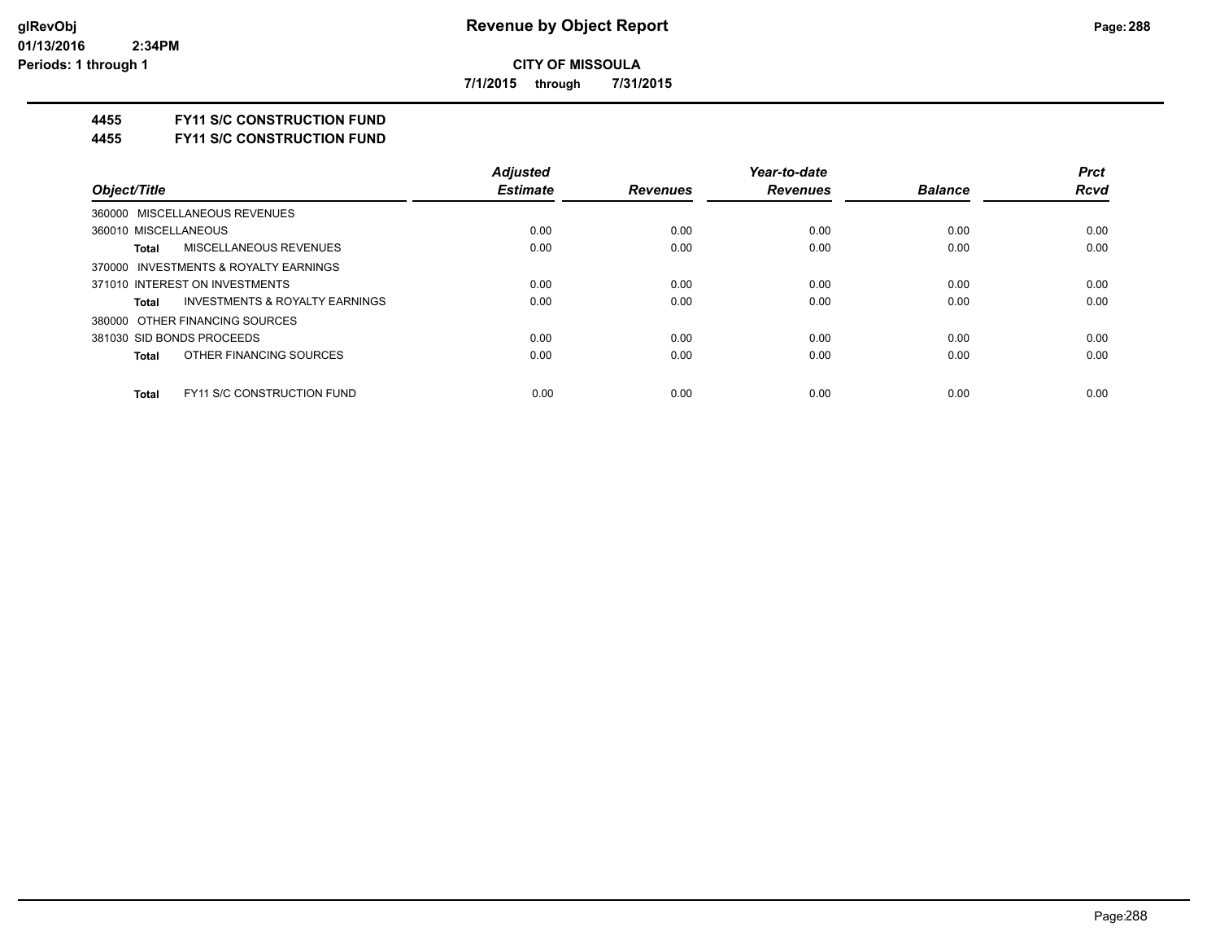**7/1/2015 through 7/31/2015**

## **4455 FY11 S/C CONSTRUCTION FUND**

**4455 FY11 S/C CONSTRUCTION FUND**

|                                                    | <b>Adjusted</b> |                 | Year-to-date    |                | <b>Prct</b> |
|----------------------------------------------------|-----------------|-----------------|-----------------|----------------|-------------|
| Object/Title                                       | <b>Estimate</b> | <b>Revenues</b> | <b>Revenues</b> | <b>Balance</b> | <b>Rcvd</b> |
| 360000 MISCELLANEOUS REVENUES                      |                 |                 |                 |                |             |
| 360010 MISCELLANEOUS                               | 0.00            | 0.00            | 0.00            | 0.00           | 0.00        |
| MISCELLANEOUS REVENUES<br>Total                    | 0.00            | 0.00            | 0.00            | 0.00           | 0.00        |
| 370000 INVESTMENTS & ROYALTY EARNINGS              |                 |                 |                 |                |             |
| 371010 INTEREST ON INVESTMENTS                     | 0.00            | 0.00            | 0.00            | 0.00           | 0.00        |
| <b>INVESTMENTS &amp; ROYALTY EARNINGS</b><br>Total | 0.00            | 0.00            | 0.00            | 0.00           | 0.00        |
| 380000 OTHER FINANCING SOURCES                     |                 |                 |                 |                |             |
| 381030 SID BONDS PROCEEDS                          | 0.00            | 0.00            | 0.00            | 0.00           | 0.00        |
| OTHER FINANCING SOURCES<br><b>Total</b>            | 0.00            | 0.00            | 0.00            | 0.00           | 0.00        |
| FY11 S/C CONSTRUCTION FUND<br>Total                | 0.00            | 0.00            | 0.00            | 0.00           | 0.00        |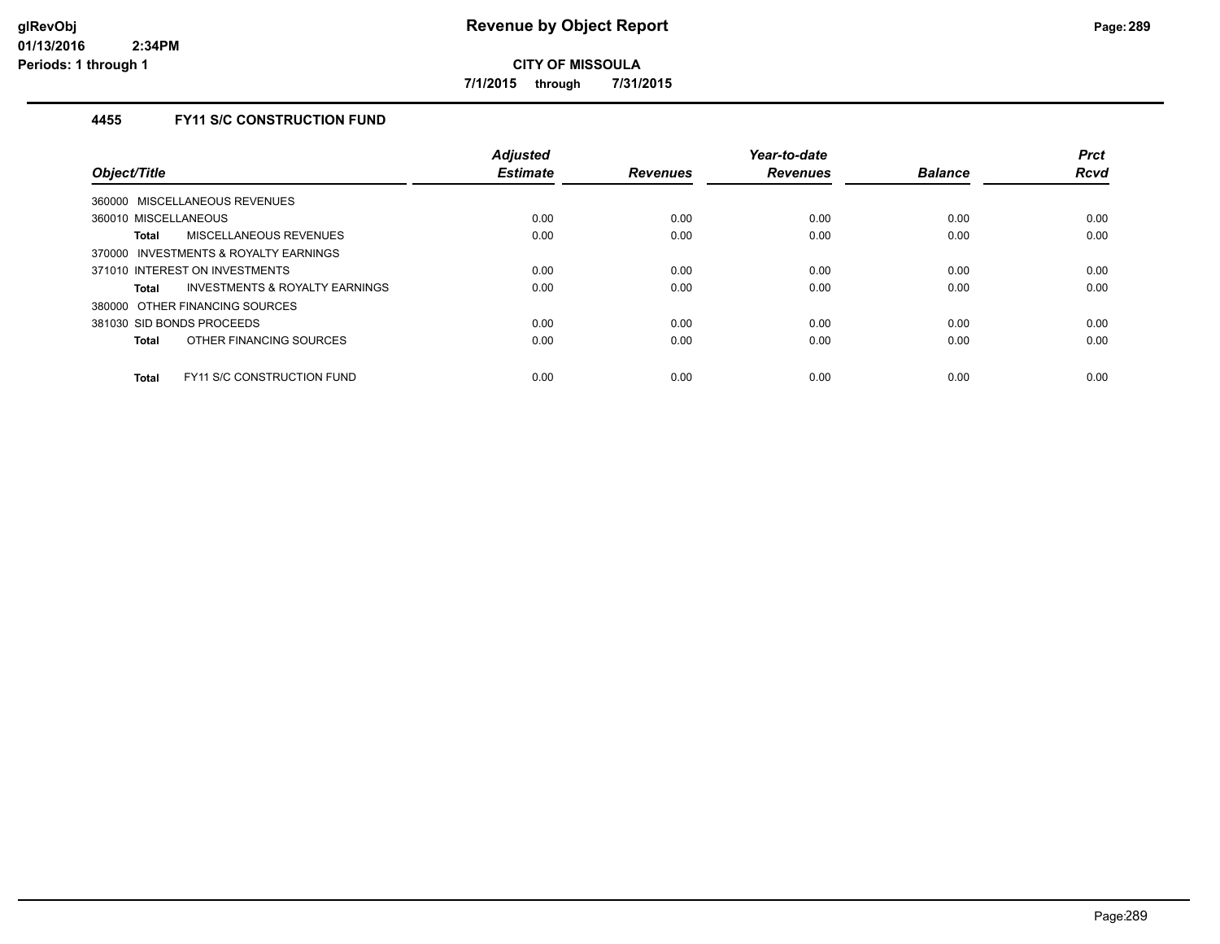**7/1/2015 through 7/31/2015**

## **4455 FY11 S/C CONSTRUCTION FUND**

| Object/Title                               | <b>Adjusted</b><br><b>Estimate</b> | <b>Revenues</b> | Year-to-date<br><b>Revenues</b> | <b>Balance</b> | <b>Prct</b><br><b>Rcvd</b> |
|--------------------------------------------|------------------------------------|-----------------|---------------------------------|----------------|----------------------------|
| 360000 MISCELLANEOUS REVENUES              |                                    |                 |                                 |                |                            |
| 360010 MISCELLANEOUS                       | 0.00                               | 0.00            | 0.00                            | 0.00           | 0.00                       |
| MISCELLANEOUS REVENUES<br>Total            | 0.00                               | 0.00            | 0.00                            | 0.00           | 0.00                       |
| 370000 INVESTMENTS & ROYALTY EARNINGS      |                                    |                 |                                 |                |                            |
| 371010 INTEREST ON INVESTMENTS             | 0.00                               | 0.00            | 0.00                            | 0.00           | 0.00                       |
| INVESTMENTS & ROYALTY EARNINGS<br>Total    | 0.00                               | 0.00            | 0.00                            | 0.00           | 0.00                       |
| 380000 OTHER FINANCING SOURCES             |                                    |                 |                                 |                |                            |
| 381030 SID BONDS PROCEEDS                  | 0.00                               | 0.00            | 0.00                            | 0.00           | 0.00                       |
| OTHER FINANCING SOURCES<br>Total           | 0.00                               | 0.00            | 0.00                            | 0.00           | 0.00                       |
| FY11 S/C CONSTRUCTION FUND<br><b>Total</b> | 0.00                               | 0.00            | 0.00                            | 0.00           | 0.00                       |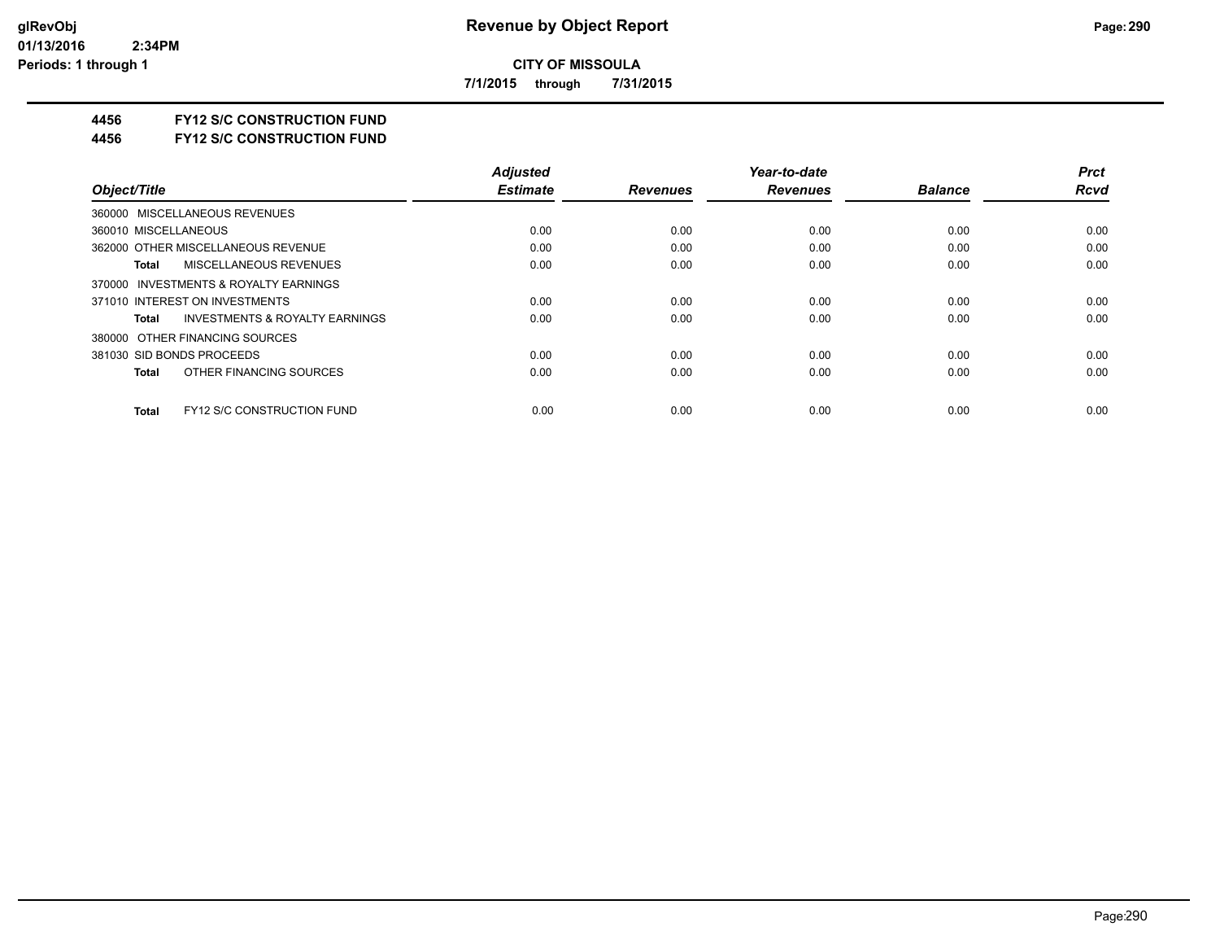**7/1/2015 through 7/31/2015**

## **4456 FY12 S/C CONSTRUCTION FUND**

**4456 FY12 S/C CONSTRUCTION FUND**

|                                                    | <b>Adjusted</b> |                 | Year-to-date    |                | <b>Prct</b> |
|----------------------------------------------------|-----------------|-----------------|-----------------|----------------|-------------|
| Object/Title                                       | <b>Estimate</b> | <b>Revenues</b> | <b>Revenues</b> | <b>Balance</b> | <b>Rcvd</b> |
| 360000 MISCELLANEOUS REVENUES                      |                 |                 |                 |                |             |
| 360010 MISCELLANEOUS                               | 0.00            | 0.00            | 0.00            | 0.00           | 0.00        |
| 362000 OTHER MISCELLANEOUS REVENUE                 | 0.00            | 0.00            | 0.00            | 0.00           | 0.00        |
| <b>MISCELLANEOUS REVENUES</b><br>Total             | 0.00            | 0.00            | 0.00            | 0.00           | 0.00        |
| 370000 INVESTMENTS & ROYALTY EARNINGS              |                 |                 |                 |                |             |
| 371010 INTEREST ON INVESTMENTS                     | 0.00            | 0.00            | 0.00            | 0.00           | 0.00        |
| <b>INVESTMENTS &amp; ROYALTY EARNINGS</b><br>Total | 0.00            | 0.00            | 0.00            | 0.00           | 0.00        |
| 380000 OTHER FINANCING SOURCES                     |                 |                 |                 |                |             |
| 381030 SID BONDS PROCEEDS                          | 0.00            | 0.00            | 0.00            | 0.00           | 0.00        |
| OTHER FINANCING SOURCES<br>Total                   | 0.00            | 0.00            | 0.00            | 0.00           | 0.00        |
| <b>FY12 S/C CONSTRUCTION FUND</b><br><b>Total</b>  | 0.00            | 0.00            | 0.00            | 0.00           | 0.00        |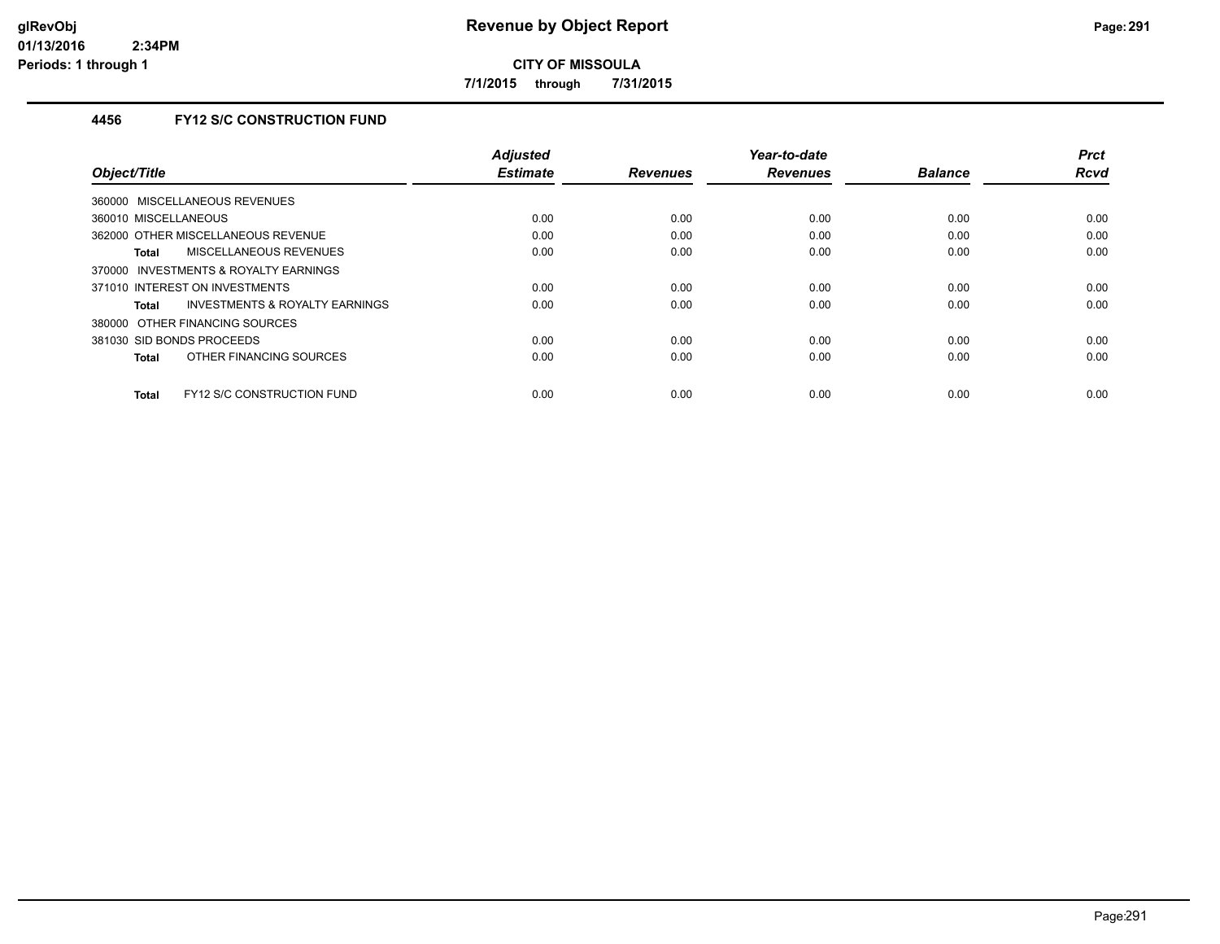**7/1/2015 through 7/31/2015**

### **4456 FY12 S/C CONSTRUCTION FUND**

|                                                    | <b>Adjusted</b> |                 | Year-to-date    |                | <b>Prct</b> |
|----------------------------------------------------|-----------------|-----------------|-----------------|----------------|-------------|
| Object/Title                                       | <b>Estimate</b> | <b>Revenues</b> | <b>Revenues</b> | <b>Balance</b> | <b>Rcvd</b> |
| 360000 MISCELLANEOUS REVENUES                      |                 |                 |                 |                |             |
| 360010 MISCELLANEOUS                               | 0.00            | 0.00            | 0.00            | 0.00           | 0.00        |
| 362000 OTHER MISCELLANEOUS REVENUE                 | 0.00            | 0.00            | 0.00            | 0.00           | 0.00        |
| MISCELLANEOUS REVENUES<br>Total                    | 0.00            | 0.00            | 0.00            | 0.00           | 0.00        |
| INVESTMENTS & ROYALTY EARNINGS<br>370000           |                 |                 |                 |                |             |
| 371010 INTEREST ON INVESTMENTS                     | 0.00            | 0.00            | 0.00            | 0.00           | 0.00        |
| <b>INVESTMENTS &amp; ROYALTY EARNINGS</b><br>Total | 0.00            | 0.00            | 0.00            | 0.00           | 0.00        |
| 380000 OTHER FINANCING SOURCES                     |                 |                 |                 |                |             |
| 381030 SID BONDS PROCEEDS                          | 0.00            | 0.00            | 0.00            | 0.00           | 0.00        |
| OTHER FINANCING SOURCES<br>Total                   | 0.00            | 0.00            | 0.00            | 0.00           | 0.00        |
| <b>FY12 S/C CONSTRUCTION FUND</b><br>Total         | 0.00            | 0.00            | 0.00            | 0.00           | 0.00        |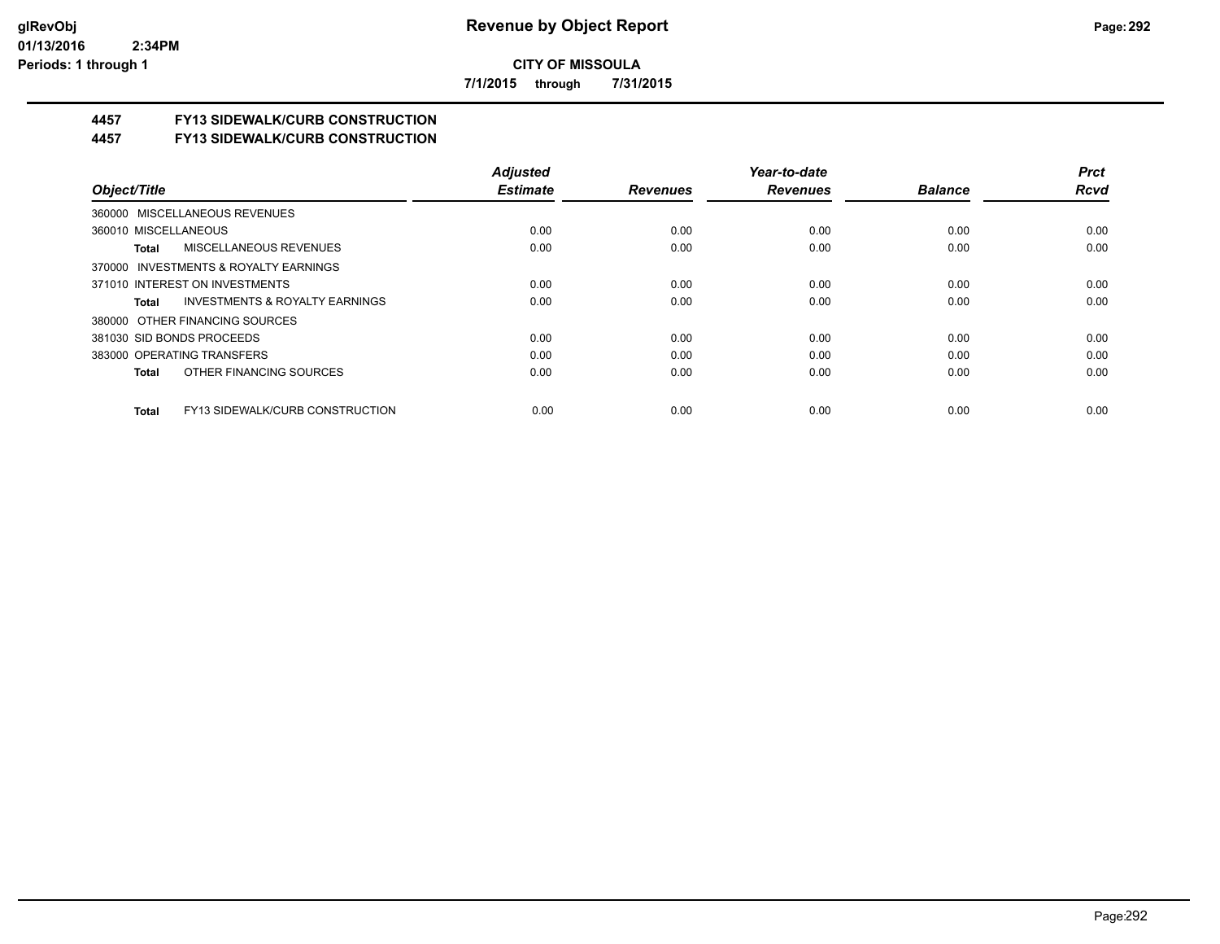**7/1/2015 through 7/31/2015**

## **4457 FY13 SIDEWALK/CURB CONSTRUCTION**

**4457 FY13 SIDEWALK/CURB CONSTRUCTION**

|                                                    | <b>Adjusted</b> |                 | Year-to-date    |                | <b>Prct</b> |
|----------------------------------------------------|-----------------|-----------------|-----------------|----------------|-------------|
| Object/Title                                       | <b>Estimate</b> | <b>Revenues</b> | <b>Revenues</b> | <b>Balance</b> | <b>Rcvd</b> |
| 360000 MISCELLANEOUS REVENUES                      |                 |                 |                 |                |             |
| 360010 MISCELLANEOUS                               | 0.00            | 0.00            | 0.00            | 0.00           | 0.00        |
| MISCELLANEOUS REVENUES<br>Total                    | 0.00            | 0.00            | 0.00            | 0.00           | 0.00        |
| 370000 INVESTMENTS & ROYALTY EARNINGS              |                 |                 |                 |                |             |
| 371010 INTEREST ON INVESTMENTS                     | 0.00            | 0.00            | 0.00            | 0.00           | 0.00        |
| <b>INVESTMENTS &amp; ROYALTY EARNINGS</b><br>Total | 0.00            | 0.00            | 0.00            | 0.00           | 0.00        |
| 380000 OTHER FINANCING SOURCES                     |                 |                 |                 |                |             |
| 381030 SID BONDS PROCEEDS                          | 0.00            | 0.00            | 0.00            | 0.00           | 0.00        |
| 383000 OPERATING TRANSFERS                         | 0.00            | 0.00            | 0.00            | 0.00           | 0.00        |
| OTHER FINANCING SOURCES<br>Total                   | 0.00            | 0.00            | 0.00            | 0.00           | 0.00        |
| FY13 SIDEWALK/CURB CONSTRUCTION<br><b>Total</b>    | 0.00            | 0.00            | 0.00            | 0.00           | 0.00        |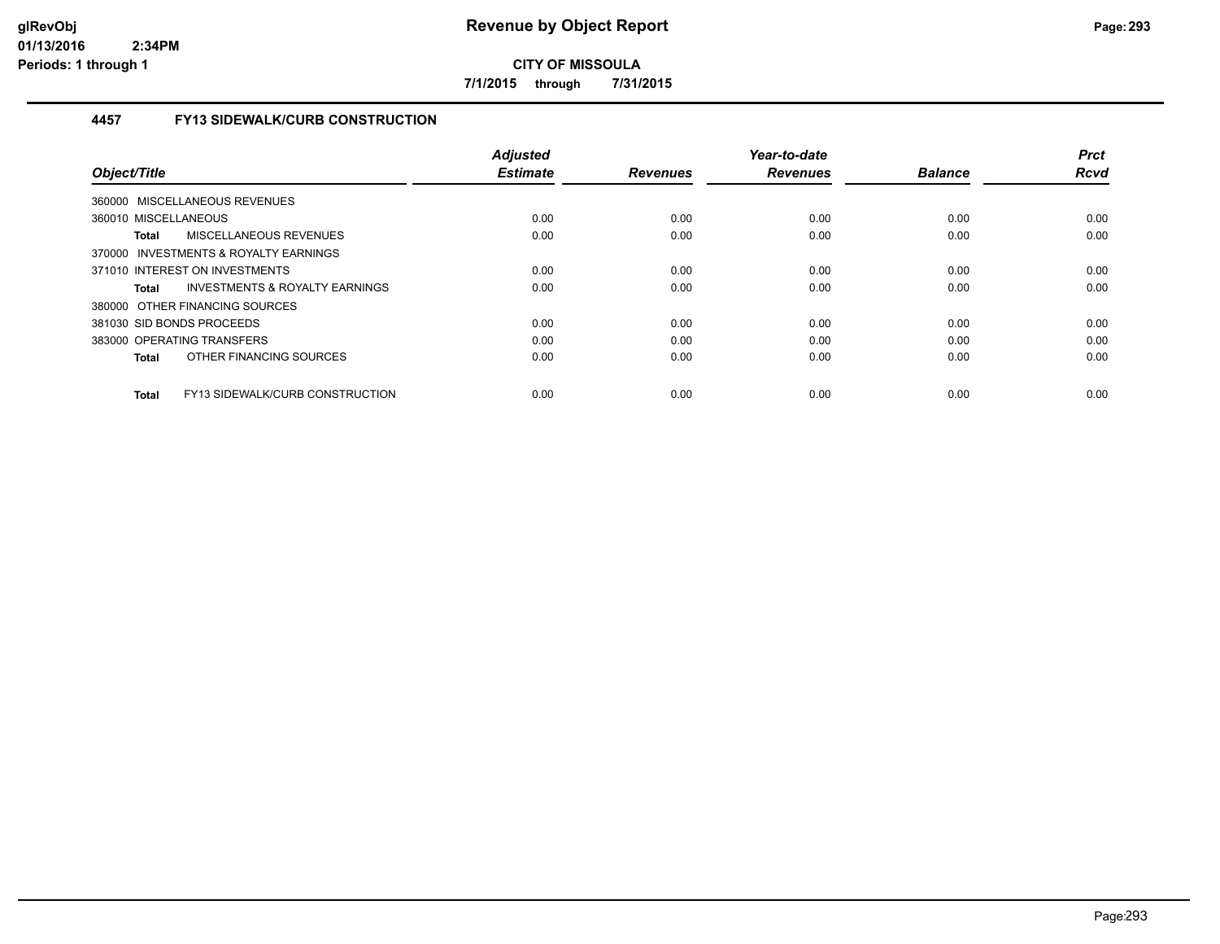**7/1/2015 through 7/31/2015**

### **4457 FY13 SIDEWALK/CURB CONSTRUCTION**

| Object/Title                                       | <b>Adjusted</b><br><b>Estimate</b> | <b>Revenues</b> | Year-to-date<br><b>Revenues</b> | <b>Balance</b> | <b>Prct</b><br><b>Rcvd</b> |
|----------------------------------------------------|------------------------------------|-----------------|---------------------------------|----------------|----------------------------|
|                                                    |                                    |                 |                                 |                |                            |
| 360000 MISCELLANEOUS REVENUES                      |                                    |                 |                                 |                |                            |
| 360010 MISCELLANEOUS                               | 0.00                               | 0.00            | 0.00                            | 0.00           | 0.00                       |
| MISCELLANEOUS REVENUES<br><b>Total</b>             | 0.00                               | 0.00            | 0.00                            | 0.00           | 0.00                       |
| 370000 INVESTMENTS & ROYALTY EARNINGS              |                                    |                 |                                 |                |                            |
| 371010 INTEREST ON INVESTMENTS                     | 0.00                               | 0.00            | 0.00                            | 0.00           | 0.00                       |
| <b>INVESTMENTS &amp; ROYALTY EARNINGS</b><br>Total | 0.00                               | 0.00            | 0.00                            | 0.00           | 0.00                       |
| 380000 OTHER FINANCING SOURCES                     |                                    |                 |                                 |                |                            |
| 381030 SID BONDS PROCEEDS                          | 0.00                               | 0.00            | 0.00                            | 0.00           | 0.00                       |
| 383000 OPERATING TRANSFERS                         | 0.00                               | 0.00            | 0.00                            | 0.00           | 0.00                       |
| OTHER FINANCING SOURCES<br>Total                   | 0.00                               | 0.00            | 0.00                            | 0.00           | 0.00                       |
|                                                    |                                    |                 |                                 |                |                            |
| FY13 SIDEWALK/CURB CONSTRUCTION<br><b>Total</b>    | 0.00                               | 0.00            | 0.00                            | 0.00           | 0.00                       |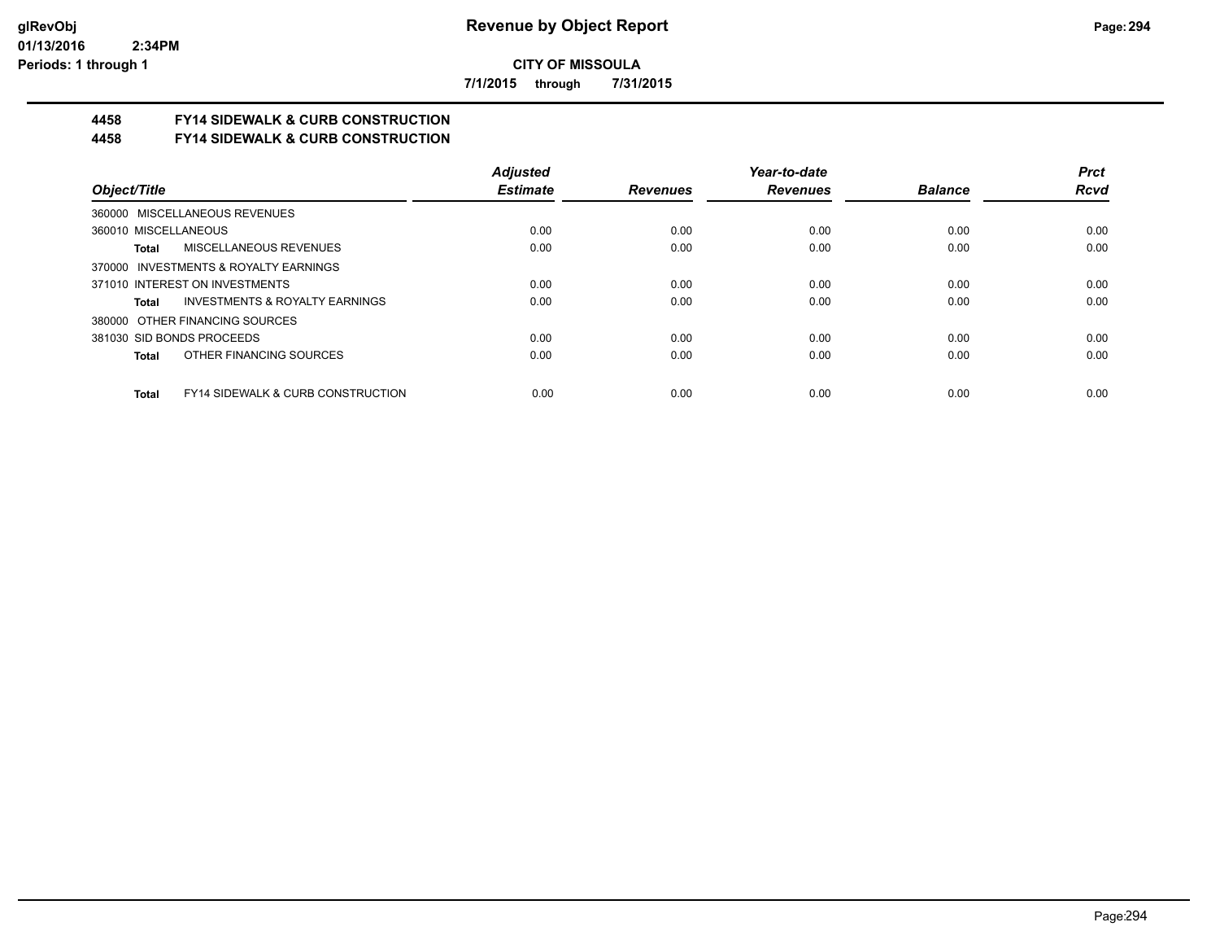**7/1/2015 through 7/31/2015**

# **4458 FY14 SIDEWALK & CURB CONSTRUCTION**

**4458 FY14 SIDEWALK & CURB CONSTRUCTION**

|                                                              | <b>Adjusted</b> |                 | Year-to-date    |                | <b>Prct</b> |
|--------------------------------------------------------------|-----------------|-----------------|-----------------|----------------|-------------|
| Object/Title                                                 | <b>Estimate</b> | <b>Revenues</b> | <b>Revenues</b> | <b>Balance</b> | <b>Rcvd</b> |
| 360000 MISCELLANEOUS REVENUES                                |                 |                 |                 |                |             |
| 360010 MISCELLANEOUS                                         | 0.00            | 0.00            | 0.00            | 0.00           | 0.00        |
| <b>MISCELLANEOUS REVENUES</b><br>Total                       | 0.00            | 0.00            | 0.00            | 0.00           | 0.00        |
| 370000 INVESTMENTS & ROYALTY EARNINGS                        |                 |                 |                 |                |             |
| 371010 INTEREST ON INVESTMENTS                               | 0.00            | 0.00            | 0.00            | 0.00           | 0.00        |
| INVESTMENTS & ROYALTY EARNINGS<br>Total                      | 0.00            | 0.00            | 0.00            | 0.00           | 0.00        |
| 380000 OTHER FINANCING SOURCES                               |                 |                 |                 |                |             |
| 381030 SID BONDS PROCEEDS                                    | 0.00            | 0.00            | 0.00            | 0.00           | 0.00        |
| OTHER FINANCING SOURCES<br><b>Total</b>                      | 0.00            | 0.00            | 0.00            | 0.00           | 0.00        |
|                                                              |                 |                 |                 |                |             |
| <b>FY14 SIDEWALK &amp; CURB CONSTRUCTION</b><br><b>Total</b> | 0.00            | 0.00            | 0.00            | 0.00           | 0.00        |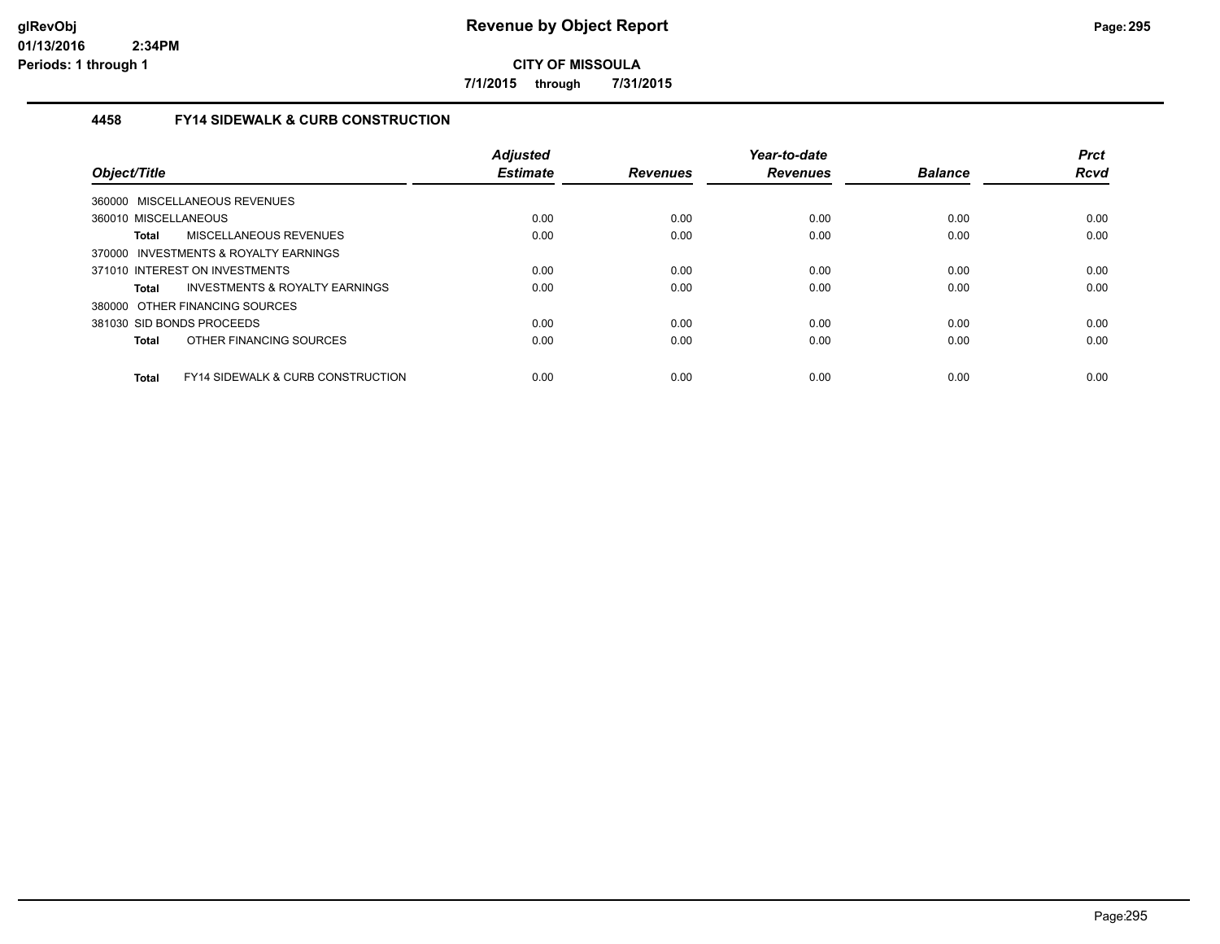**7/1/2015 through 7/31/2015**

### **4458 FY14 SIDEWALK & CURB CONSTRUCTION**

| Object/Title              |                                              | <b>Adjusted</b><br><b>Estimate</b> | <b>Revenues</b> | Year-to-date<br><b>Revenues</b> | <b>Balance</b> | <b>Prct</b><br><b>Rcvd</b> |
|---------------------------|----------------------------------------------|------------------------------------|-----------------|---------------------------------|----------------|----------------------------|
|                           | 360000 MISCELLANEOUS REVENUES                |                                    |                 |                                 |                |                            |
| 360010 MISCELLANEOUS      |                                              | 0.00                               | 0.00            | 0.00                            | 0.00           | 0.00                       |
| Total                     | MISCELLANEOUS REVENUES                       | 0.00                               | 0.00            | 0.00                            | 0.00           | 0.00                       |
|                           | 370000 INVESTMENTS & ROYALTY EARNINGS        |                                    |                 |                                 |                |                            |
|                           | 371010 INTEREST ON INVESTMENTS               | 0.00                               | 0.00            | 0.00                            | 0.00           | 0.00                       |
| <b>Total</b>              | INVESTMENTS & ROYALTY EARNINGS               | 0.00                               | 0.00            | 0.00                            | 0.00           | 0.00                       |
|                           | 380000 OTHER FINANCING SOURCES               |                                    |                 |                                 |                |                            |
| 381030 SID BONDS PROCEEDS |                                              | 0.00                               | 0.00            | 0.00                            | 0.00           | 0.00                       |
| <b>Total</b>              | OTHER FINANCING SOURCES                      | 0.00                               | 0.00            | 0.00                            | 0.00           | 0.00                       |
| <b>Total</b>              | <b>FY14 SIDEWALK &amp; CURB CONSTRUCTION</b> | 0.00                               | 0.00            | 0.00                            | 0.00           | 0.00                       |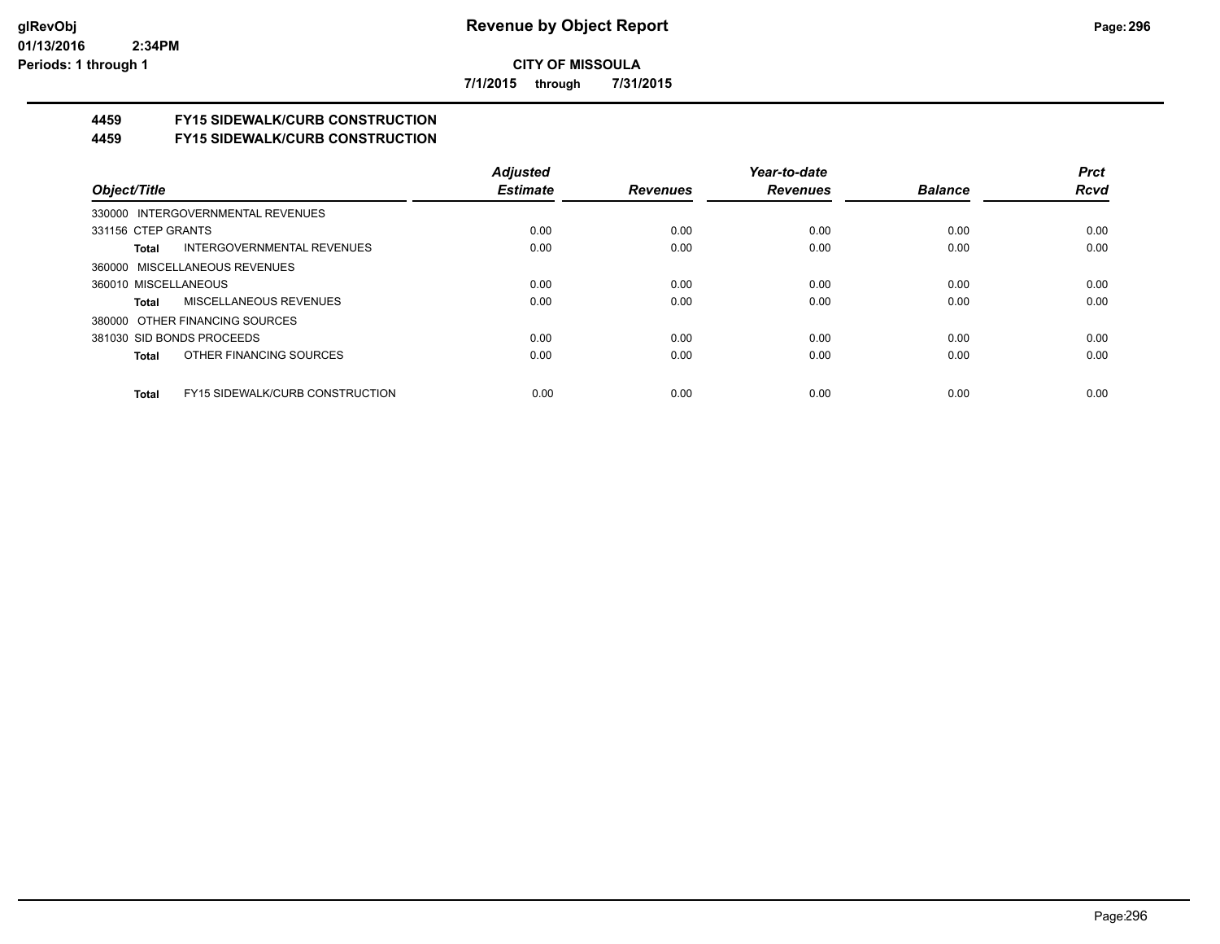**7/1/2015 through 7/31/2015**

# **4459 FY15 SIDEWALK/CURB CONSTRUCTION**

**4459 FY15 SIDEWALK/CURB CONSTRUCTION**

|                                                        | <b>Adjusted</b> |                 | Year-to-date    |                | <b>Prct</b> |
|--------------------------------------------------------|-----------------|-----------------|-----------------|----------------|-------------|
| Object/Title                                           | <b>Estimate</b> | <b>Revenues</b> | <b>Revenues</b> | <b>Balance</b> | <b>Rcvd</b> |
| 330000 INTERGOVERNMENTAL REVENUES                      |                 |                 |                 |                |             |
| 331156 CTEP GRANTS                                     | 0.00            | 0.00            | 0.00            | 0.00           | 0.00        |
| INTERGOVERNMENTAL REVENUES<br>Total                    | 0.00            | 0.00            | 0.00            | 0.00           | 0.00        |
| 360000 MISCELLANEOUS REVENUES                          |                 |                 |                 |                |             |
| 360010 MISCELLANEOUS                                   | 0.00            | 0.00            | 0.00            | 0.00           | 0.00        |
| MISCELLANEOUS REVENUES<br>Total                        | 0.00            | 0.00            | 0.00            | 0.00           | 0.00        |
| 380000 OTHER FINANCING SOURCES                         |                 |                 |                 |                |             |
| 381030 SID BONDS PROCEEDS                              | 0.00            | 0.00            | 0.00            | 0.00           | 0.00        |
| OTHER FINANCING SOURCES<br>Total                       | 0.00            | 0.00            | 0.00            | 0.00           | 0.00        |
|                                                        |                 |                 |                 |                |             |
| <b>FY15 SIDEWALK/CURB CONSTRUCTION</b><br><b>Total</b> | 0.00            | 0.00            | 0.00            | 0.00           | 0.00        |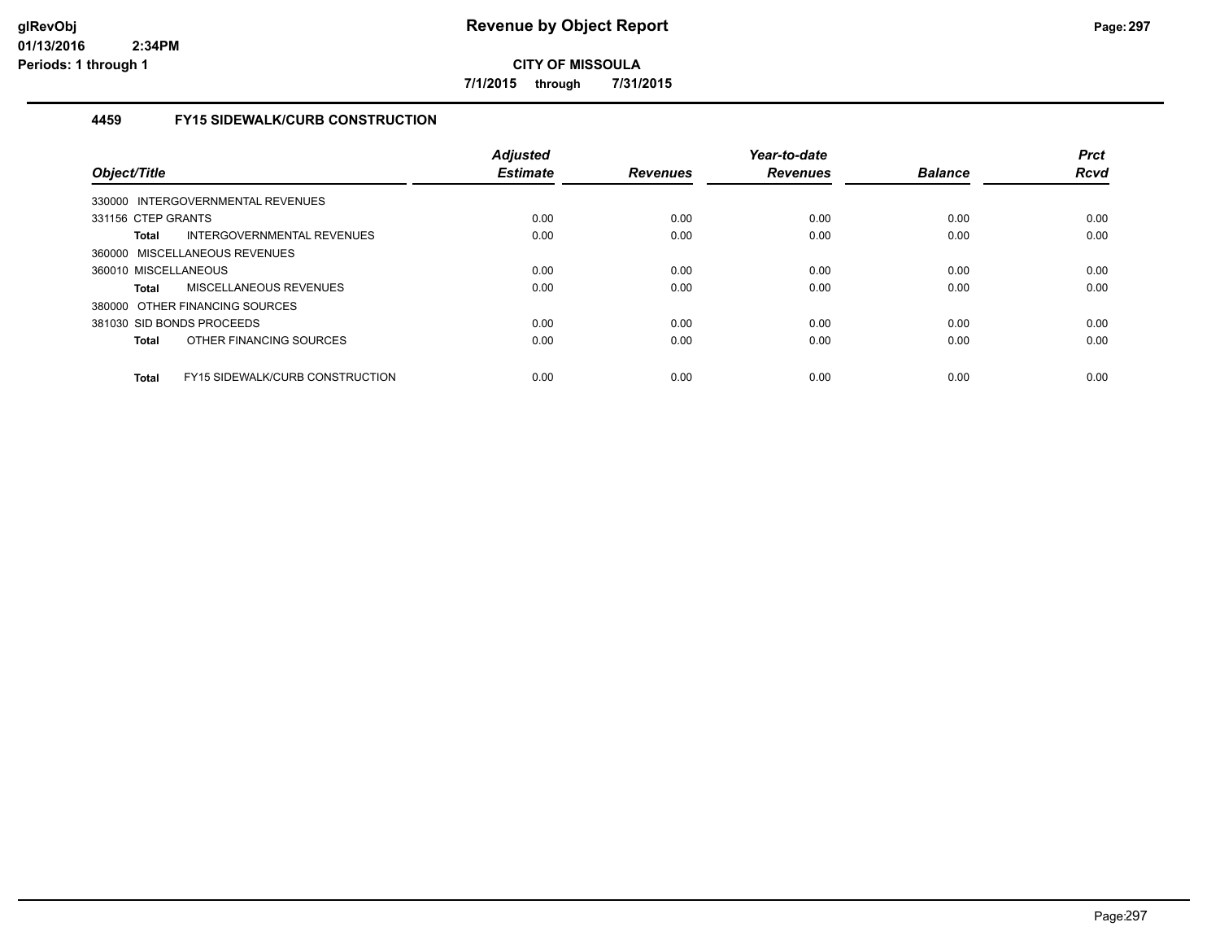**7/1/2015 through 7/31/2015**

### **4459 FY15 SIDEWALK/CURB CONSTRUCTION**

| Object/Title              |                                   | <b>Adjusted</b><br><b>Estimate</b> | <b>Revenues</b> | Year-to-date<br><b>Revenues</b> | <b>Balance</b> | <b>Prct</b><br><b>Rcvd</b> |
|---------------------------|-----------------------------------|------------------------------------|-----------------|---------------------------------|----------------|----------------------------|
|                           | 330000 INTERGOVERNMENTAL REVENUES |                                    |                 |                                 |                |                            |
| 331156 CTEP GRANTS        |                                   | 0.00                               | 0.00            | 0.00                            | 0.00           | 0.00                       |
| Total                     | INTERGOVERNMENTAL REVENUES        | 0.00                               | 0.00            | 0.00                            | 0.00           | 0.00                       |
|                           | 360000 MISCELLANEOUS REVENUES     |                                    |                 |                                 |                |                            |
| 360010 MISCELLANEOUS      |                                   | 0.00                               | 0.00            | 0.00                            | 0.00           | 0.00                       |
| <b>Total</b>              | MISCELLANEOUS REVENUES            | 0.00                               | 0.00            | 0.00                            | 0.00           | 0.00                       |
|                           | 380000 OTHER FINANCING SOURCES    |                                    |                 |                                 |                |                            |
| 381030 SID BONDS PROCEEDS |                                   | 0.00                               | 0.00            | 0.00                            | 0.00           | 0.00                       |
| <b>Total</b>              | OTHER FINANCING SOURCES           | 0.00                               | 0.00            | 0.00                            | 0.00           | 0.00                       |
| <b>Total</b>              | FY15 SIDEWALK/CURB CONSTRUCTION   | 0.00                               | 0.00            | 0.00                            | 0.00           | 0.00                       |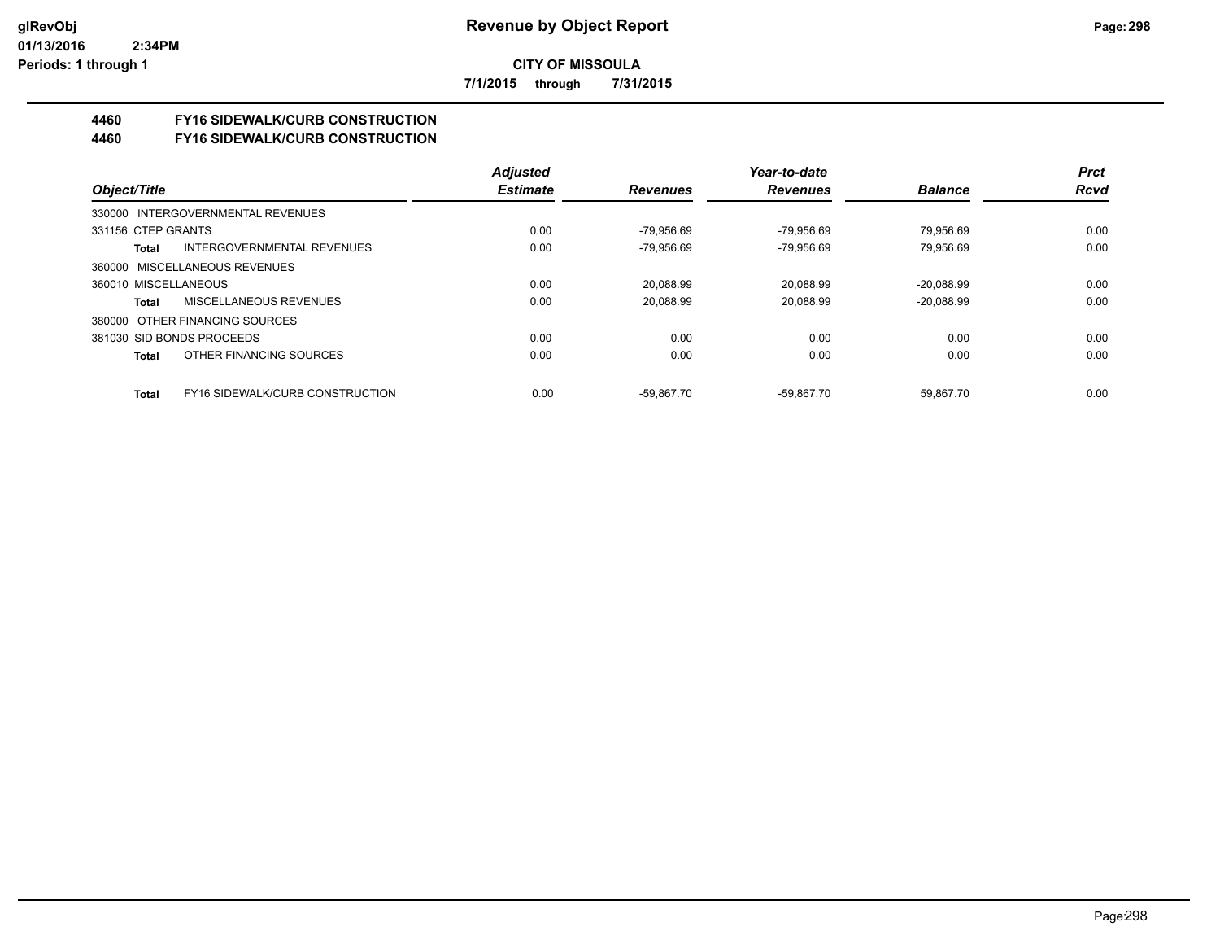**7/1/2015 through 7/31/2015**

# **4460 FY16 SIDEWALK/CURB CONSTRUCTION**

**4460 FY16 SIDEWALK/CURB CONSTRUCTION**

|                                          | <b>Adjusted</b> |                 | Year-to-date    |                | <b>Prct</b> |
|------------------------------------------|-----------------|-----------------|-----------------|----------------|-------------|
| Object/Title                             | <b>Estimate</b> | <b>Revenues</b> | <b>Revenues</b> | <b>Balance</b> | <b>Rcvd</b> |
| 330000 INTERGOVERNMENTAL REVENUES        |                 |                 |                 |                |             |
| 331156 CTEP GRANTS                       | 0.00            | $-79.956.69$    | -79.956.69      | 79.956.69      | 0.00        |
| INTERGOVERNMENTAL REVENUES<br>Total      | 0.00            | $-79.956.69$    | -79.956.69      | 79.956.69      | 0.00        |
| 360000 MISCELLANEOUS REVENUES            |                 |                 |                 |                |             |
| 360010 MISCELLANEOUS                     | 0.00            | 20.088.99       | 20.088.99       | $-20.088.99$   | 0.00        |
| MISCELLANEOUS REVENUES<br>Total          | 0.00            | 20.088.99       | 20.088.99       | $-20.088.99$   | 0.00        |
| 380000 OTHER FINANCING SOURCES           |                 |                 |                 |                |             |
| 381030 SID BONDS PROCEEDS                | 0.00            | 0.00            | 0.00            | 0.00           | 0.00        |
| OTHER FINANCING SOURCES<br>Total         | 0.00            | 0.00            | 0.00            | 0.00           | 0.00        |
|                                          |                 |                 |                 |                |             |
| FY16 SIDEWALK/CURB CONSTRUCTION<br>Total | 0.00            | $-59.867.70$    | -59.867.70      | 59.867.70      | 0.00        |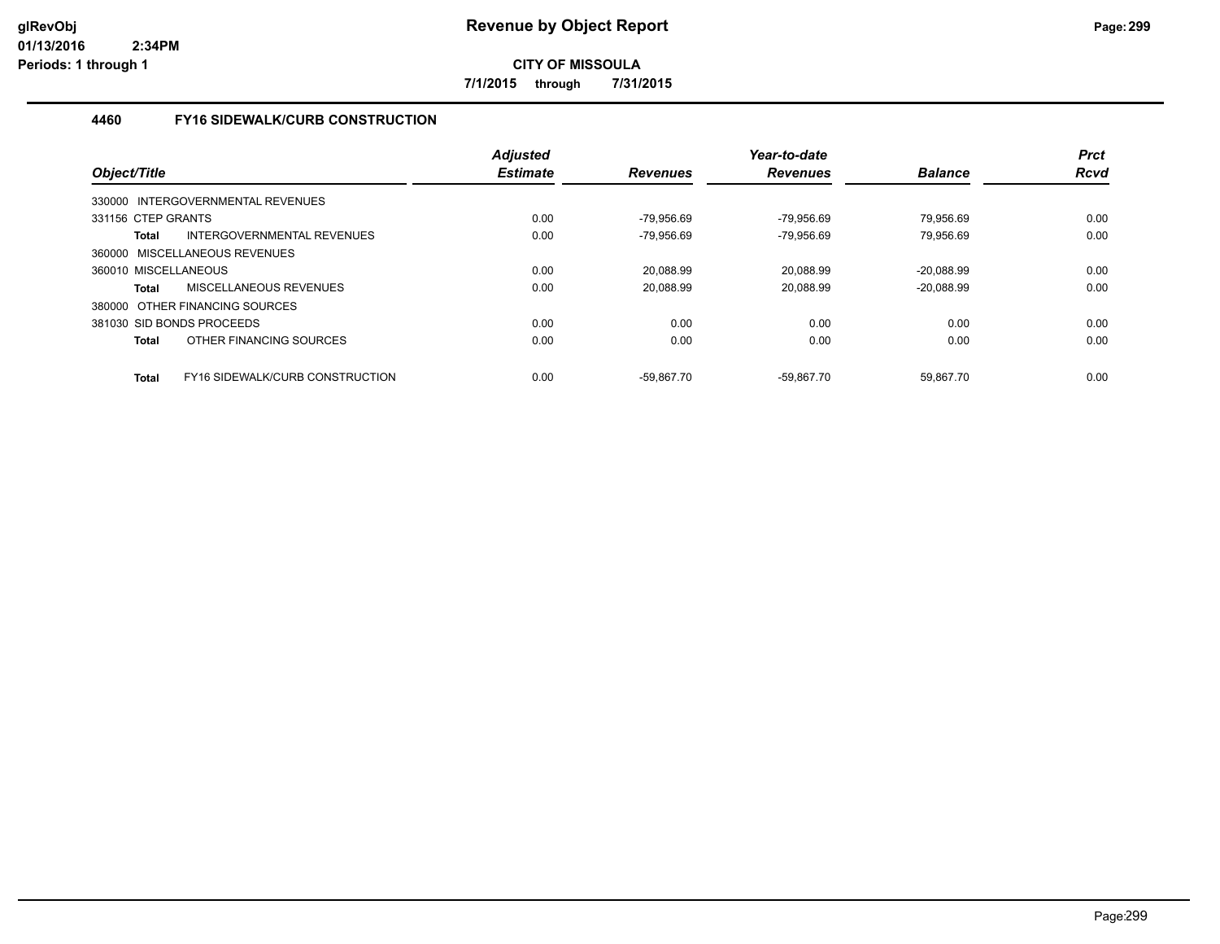**7/1/2015 through 7/31/2015**

### **4460 FY16 SIDEWALK/CURB CONSTRUCTION**

| Object/Title         |                                        | <b>Adjusted</b><br><b>Estimate</b> | <b>Revenues</b> | Year-to-date<br><b>Revenues</b> | <b>Balance</b> | <b>Prct</b><br><b>Rcvd</b> |
|----------------------|----------------------------------------|------------------------------------|-----------------|---------------------------------|----------------|----------------------------|
|                      | 330000 INTERGOVERNMENTAL REVENUES      |                                    |                 |                                 |                |                            |
| 331156 CTEP GRANTS   |                                        | 0.00                               | -79.956.69      | -79.956.69                      | 79.956.69      | 0.00                       |
| <b>Total</b>         | INTERGOVERNMENTAL REVENUES             | 0.00                               | $-79,956.69$    | $-79,956.69$                    | 79,956.69      | 0.00                       |
|                      | 360000 MISCELLANEOUS REVENUES          |                                    |                 |                                 |                |                            |
| 360010 MISCELLANEOUS |                                        | 0.00                               | 20.088.99       | 20.088.99                       | $-20.088.99$   | 0.00                       |
| <b>Total</b>         | MISCELLANEOUS REVENUES                 | 0.00                               | 20,088.99       | 20.088.99                       | $-20,088.99$   | 0.00                       |
|                      | 380000 OTHER FINANCING SOURCES         |                                    |                 |                                 |                |                            |
|                      | 381030 SID BONDS PROCEEDS              | 0.00                               | 0.00            | 0.00                            | 0.00           | 0.00                       |
| <b>Total</b>         | OTHER FINANCING SOURCES                | 0.00                               | 0.00            | 0.00                            | 0.00           | 0.00                       |
| <b>Total</b>         | <b>FY16 SIDEWALK/CURB CONSTRUCTION</b> | 0.00                               | $-59.867.70$    | $-59.867.70$                    | 59.867.70      | 0.00                       |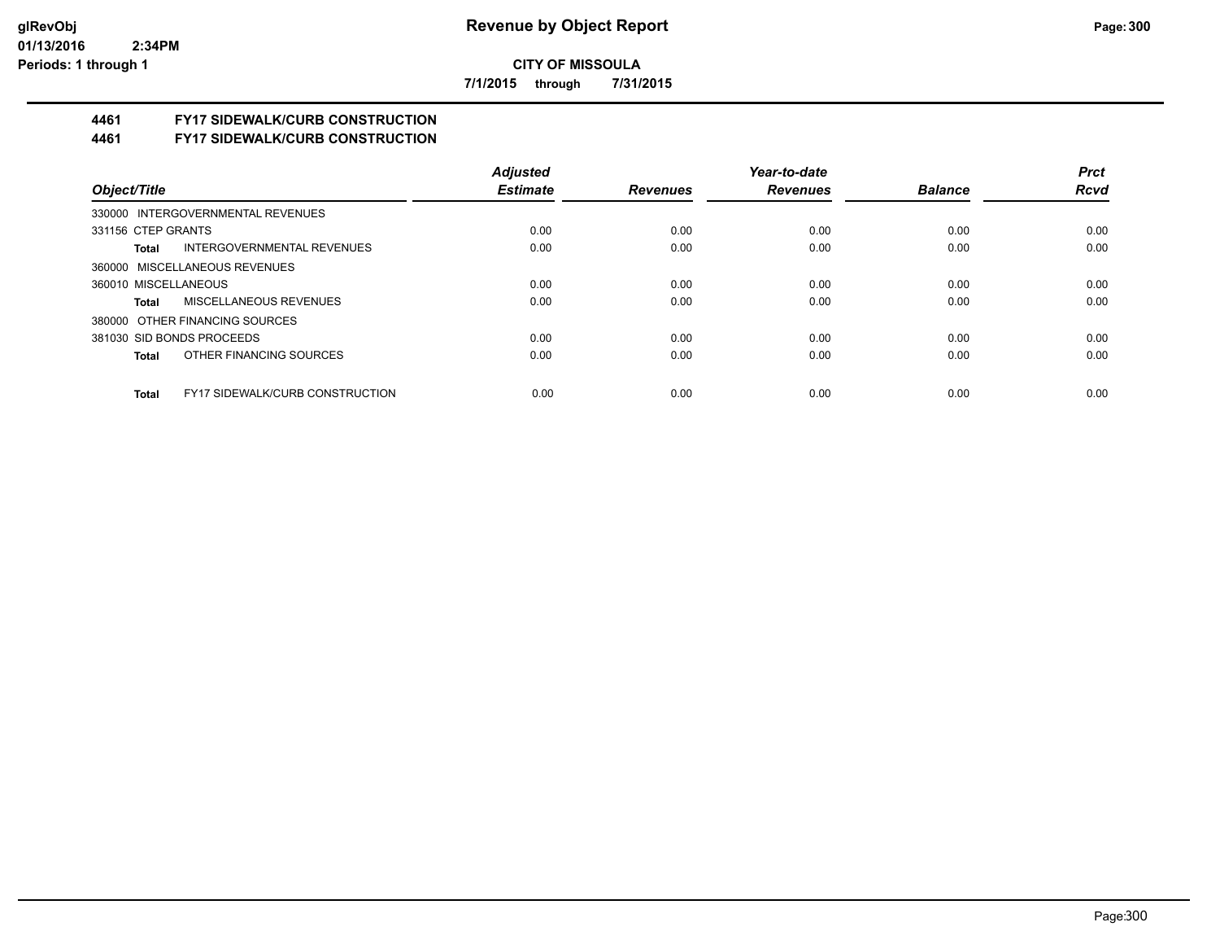**7/1/2015 through 7/31/2015**

# **4461 FY17 SIDEWALK/CURB CONSTRUCTION**

**4461 FY17 SIDEWALK/CURB CONSTRUCTION**

|                                                        | <b>Adjusted</b> |                 | Year-to-date    |                | <b>Prct</b> |
|--------------------------------------------------------|-----------------|-----------------|-----------------|----------------|-------------|
| Object/Title                                           | <b>Estimate</b> | <b>Revenues</b> | <b>Revenues</b> | <b>Balance</b> | <b>Rcvd</b> |
| 330000 INTERGOVERNMENTAL REVENUES                      |                 |                 |                 |                |             |
| 331156 CTEP GRANTS                                     | 0.00            | 0.00            | 0.00            | 0.00           | 0.00        |
| INTERGOVERNMENTAL REVENUES<br>Total                    | 0.00            | 0.00            | 0.00            | 0.00           | 0.00        |
| 360000 MISCELLANEOUS REVENUES                          |                 |                 |                 |                |             |
| 360010 MISCELLANEOUS                                   | 0.00            | 0.00            | 0.00            | 0.00           | 0.00        |
| MISCELLANEOUS REVENUES<br>Total                        | 0.00            | 0.00            | 0.00            | 0.00           | 0.00        |
| 380000 OTHER FINANCING SOURCES                         |                 |                 |                 |                |             |
| 381030 SID BONDS PROCEEDS                              | 0.00            | 0.00            | 0.00            | 0.00           | 0.00        |
| OTHER FINANCING SOURCES<br>Total                       | 0.00            | 0.00            | 0.00            | 0.00           | 0.00        |
|                                                        |                 |                 |                 |                |             |
| <b>FY17 SIDEWALK/CURB CONSTRUCTION</b><br><b>Total</b> | 0.00            | 0.00            | 0.00            | 0.00           | 0.00        |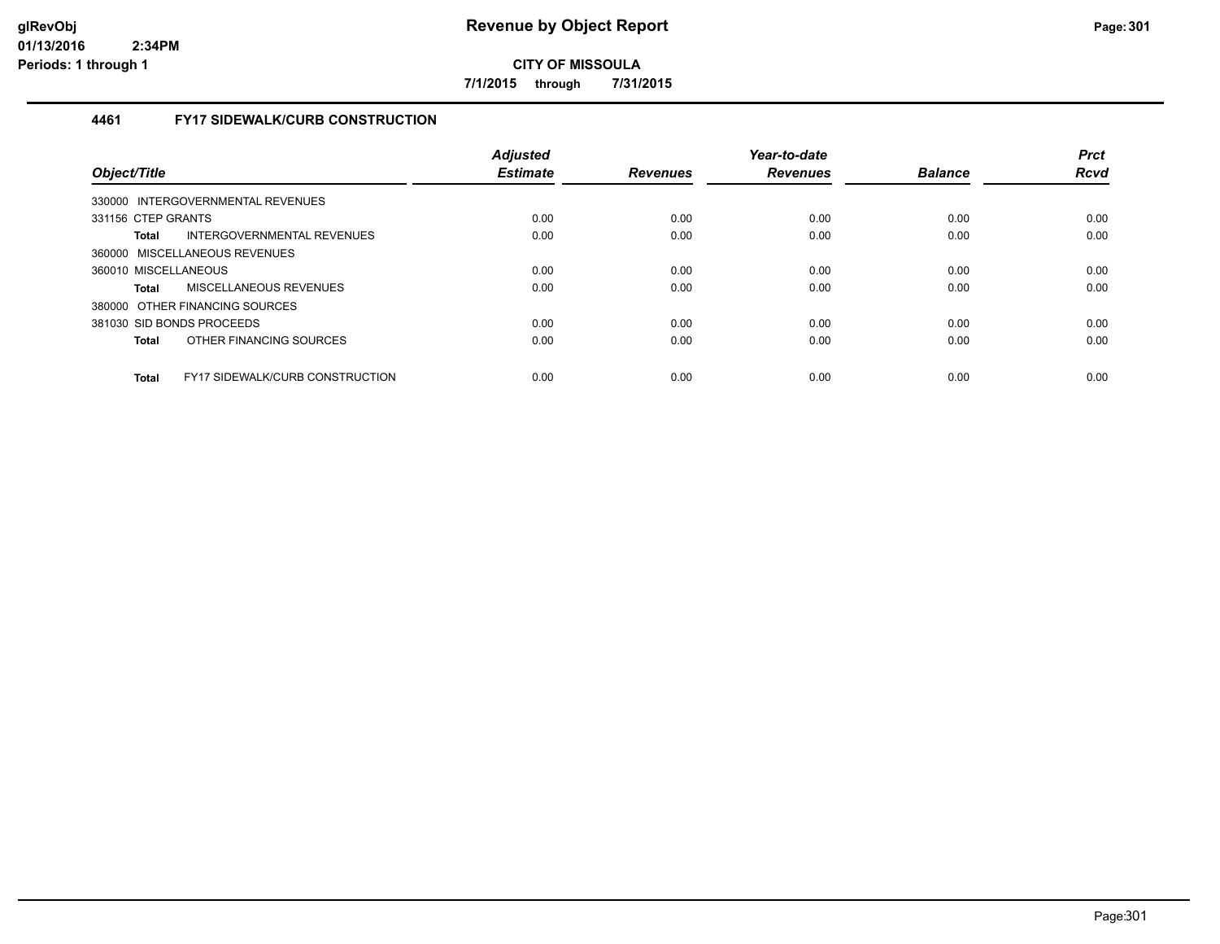**7/1/2015 through 7/31/2015**

### **4461 FY17 SIDEWALK/CURB CONSTRUCTION**

| Object/Title         |                                        | <b>Adjusted</b><br><b>Estimate</b> | <b>Revenues</b> | Year-to-date<br><b>Revenues</b> | <b>Balance</b> | <b>Prct</b><br><b>Rcvd</b> |
|----------------------|----------------------------------------|------------------------------------|-----------------|---------------------------------|----------------|----------------------------|
|                      | 330000 INTERGOVERNMENTAL REVENUES      |                                    |                 |                                 |                |                            |
| 331156 CTEP GRANTS   |                                        | 0.00                               | 0.00            | 0.00                            | 0.00           | 0.00                       |
| <b>Total</b>         | INTERGOVERNMENTAL REVENUES             | 0.00                               | 0.00            | 0.00                            | 0.00           | 0.00                       |
|                      | 360000 MISCELLANEOUS REVENUES          |                                    |                 |                                 |                |                            |
| 360010 MISCELLANEOUS |                                        | 0.00                               | 0.00            | 0.00                            | 0.00           | 0.00                       |
| <b>Total</b>         | MISCELLANEOUS REVENUES                 | 0.00                               | 0.00            | 0.00                            | 0.00           | 0.00                       |
|                      | 380000 OTHER FINANCING SOURCES         |                                    |                 |                                 |                |                            |
|                      | 381030 SID BONDS PROCEEDS              | 0.00                               | 0.00            | 0.00                            | 0.00           | 0.00                       |
| <b>Total</b>         | OTHER FINANCING SOURCES                | 0.00                               | 0.00            | 0.00                            | 0.00           | 0.00                       |
| <b>Total</b>         | <b>FY17 SIDEWALK/CURB CONSTRUCTION</b> | 0.00                               | 0.00            | 0.00                            | 0.00           | 0.00                       |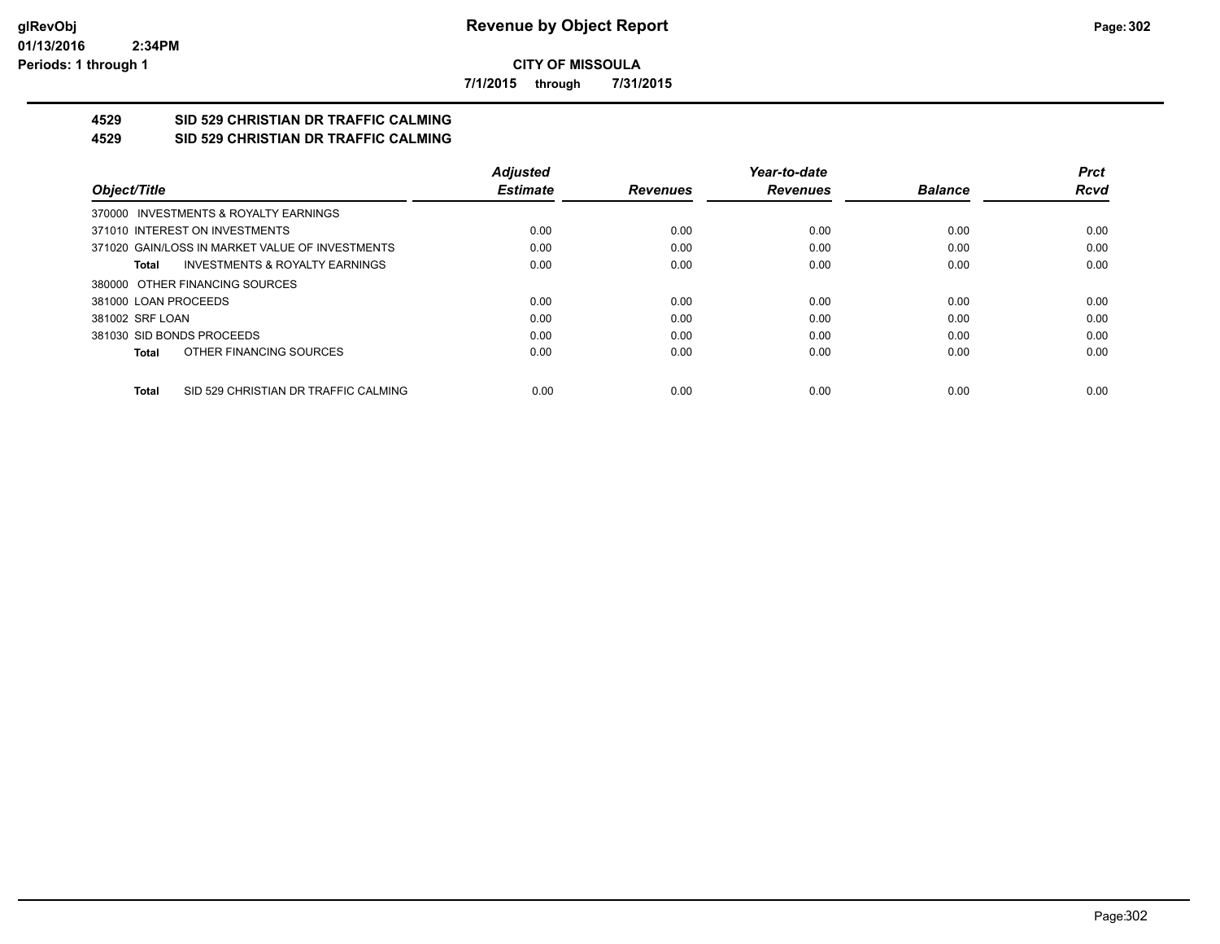**7/1/2015 through 7/31/2015**

#### **4529 SID 529 CHRISTIAN DR TRAFFIC CALMING 4529 SID 529 CHRISTIAN DR TRAFFIC CALMING**

|                      |                                                 | <b>Adjusted</b> |                 | Year-to-date    |                | <b>Prct</b> |
|----------------------|-------------------------------------------------|-----------------|-----------------|-----------------|----------------|-------------|
| Object/Title         |                                                 | <b>Estimate</b> | <b>Revenues</b> | <b>Revenues</b> | <b>Balance</b> | <b>Rcvd</b> |
|                      | 370000 INVESTMENTS & ROYALTY EARNINGS           |                 |                 |                 |                |             |
|                      | 371010 INTEREST ON INVESTMENTS                  | 0.00            | 0.00            | 0.00            | 0.00           | 0.00        |
|                      | 371020 GAIN/LOSS IN MARKET VALUE OF INVESTMENTS | 0.00            | 0.00            | 0.00            | 0.00           | 0.00        |
| Total                | <b>INVESTMENTS &amp; ROYALTY EARNINGS</b>       | 0.00            | 0.00            | 0.00            | 0.00           | 0.00        |
|                      | 380000 OTHER FINANCING SOURCES                  |                 |                 |                 |                |             |
| 381000 LOAN PROCEEDS |                                                 | 0.00            | 0.00            | 0.00            | 0.00           | 0.00        |
| 381002 SRF LOAN      |                                                 | 0.00            | 0.00            | 0.00            | 0.00           | 0.00        |
|                      | 381030 SID BONDS PROCEEDS                       | 0.00            | 0.00            | 0.00            | 0.00           | 0.00        |
| Total                | OTHER FINANCING SOURCES                         | 0.00            | 0.00            | 0.00            | 0.00           | 0.00        |
| <b>Total</b>         | SID 529 CHRISTIAN DR TRAFFIC CALMING            | 0.00            | 0.00            | 0.00            | 0.00           | 0.00        |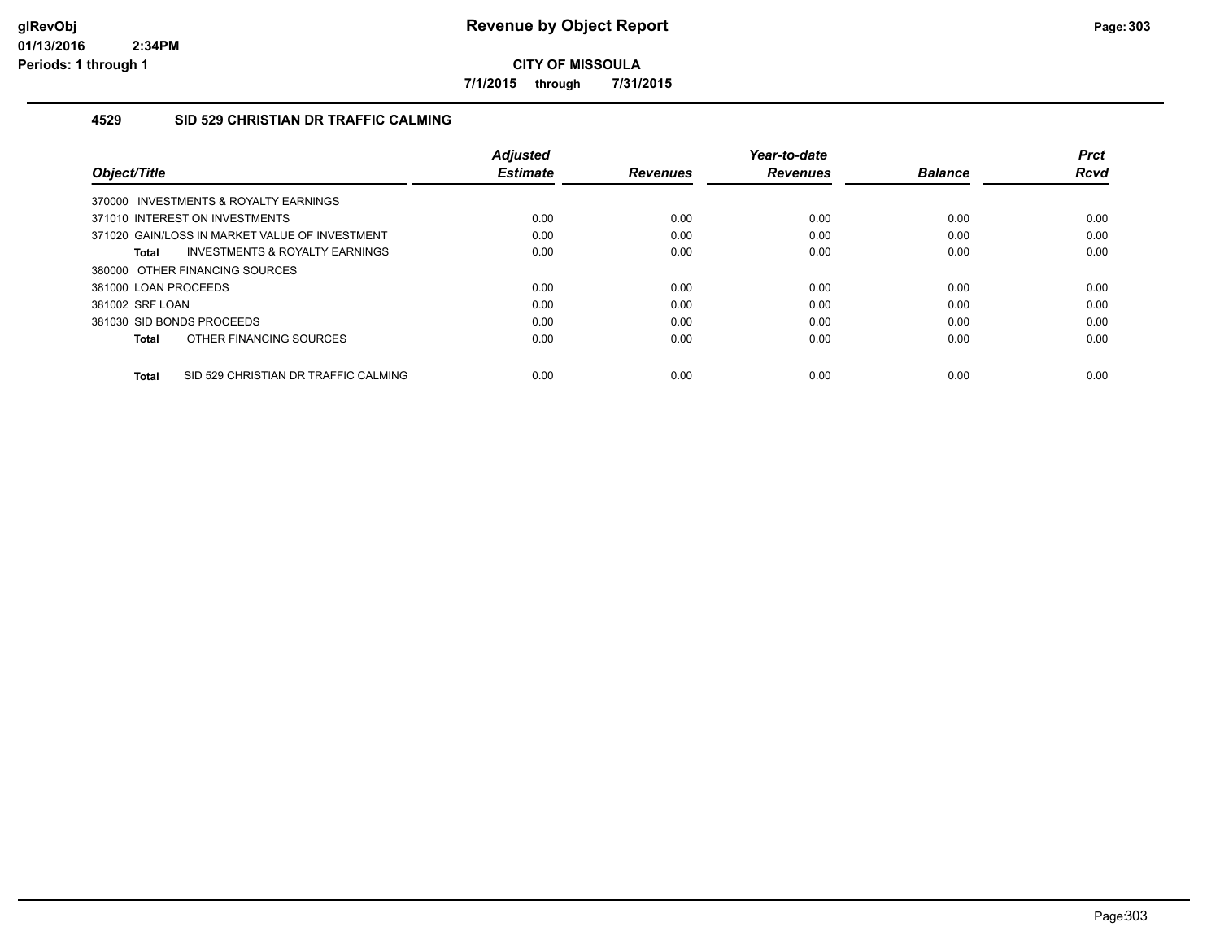**7/1/2015 through 7/31/2015**

### **4529 SID 529 CHRISTIAN DR TRAFFIC CALMING**

| Object/Title                                   | <b>Adjusted</b><br><b>Estimate</b> | <b>Revenues</b> | Year-to-date<br><b>Revenues</b> | <b>Balance</b> | <b>Prct</b><br><b>Rcvd</b> |
|------------------------------------------------|------------------------------------|-----------------|---------------------------------|----------------|----------------------------|
| 370000 INVESTMENTS & ROYALTY EARNINGS          |                                    |                 |                                 |                |                            |
| 371010 INTEREST ON INVESTMENTS                 | 0.00                               | 0.00            | 0.00                            | 0.00           | 0.00                       |
| 371020 GAIN/LOSS IN MARKET VALUE OF INVESTMENT | 0.00                               | 0.00            | 0.00                            | 0.00           | 0.00                       |
| INVESTMENTS & ROYALTY EARNINGS<br>Total        | 0.00                               | 0.00            | 0.00                            | 0.00           | 0.00                       |
| 380000 OTHER FINANCING SOURCES                 |                                    |                 |                                 |                |                            |
| 381000 LOAN PROCEEDS                           | 0.00                               | 0.00            | 0.00                            | 0.00           | 0.00                       |
| 381002 SRF LOAN                                | 0.00                               | 0.00            | 0.00                            | 0.00           | 0.00                       |
| 381030 SID BONDS PROCEEDS                      | 0.00                               | 0.00            | 0.00                            | 0.00           | 0.00                       |
| OTHER FINANCING SOURCES<br>Total               | 0.00                               | 0.00            | 0.00                            | 0.00           | 0.00                       |
| SID 529 CHRISTIAN DR TRAFFIC CALMING<br>Total  | 0.00                               | 0.00            | 0.00                            | 0.00           | 0.00                       |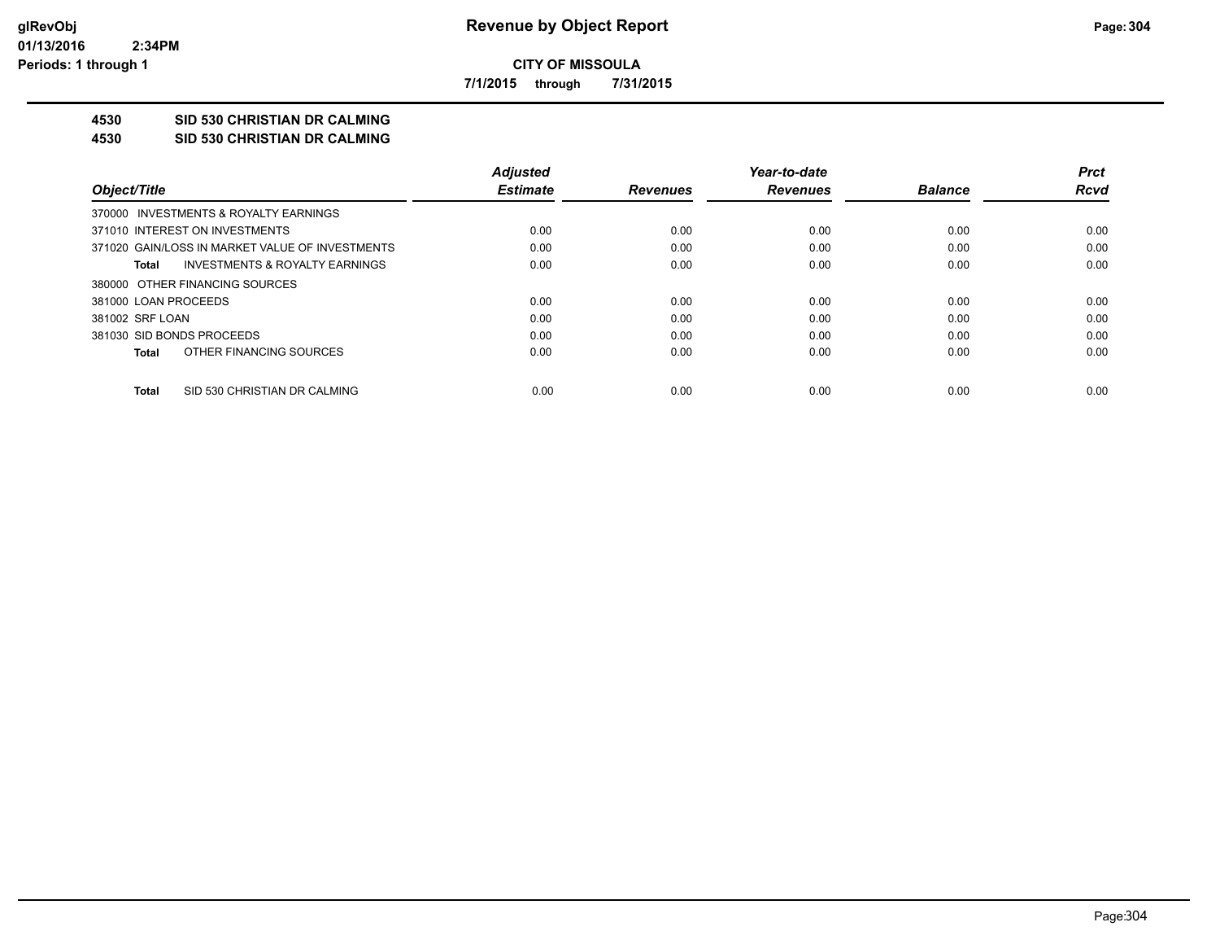**7/1/2015 through 7/31/2015**

# **4530 SID 530 CHRISTIAN DR CALMING**

**4530 SID 530 CHRISTIAN DR CALMING**

|                                                    | <b>Adiusted</b> |                 | Year-to-date    |                | <b>Prct</b> |
|----------------------------------------------------|-----------------|-----------------|-----------------|----------------|-------------|
| Object/Title                                       | <b>Estimate</b> | <b>Revenues</b> | <b>Revenues</b> | <b>Balance</b> | Rcvd        |
| 370000 INVESTMENTS & ROYALTY EARNINGS              |                 |                 |                 |                |             |
| 371010 INTEREST ON INVESTMENTS                     | 0.00            | 0.00            | 0.00            | 0.00           | 0.00        |
| 371020 GAIN/LOSS IN MARKET VALUE OF INVESTMENTS    | 0.00            | 0.00            | 0.00            | 0.00           | 0.00        |
| <b>INVESTMENTS &amp; ROYALTY EARNINGS</b><br>Total | 0.00            | 0.00            | 0.00            | 0.00           | 0.00        |
| 380000 OTHER FINANCING SOURCES                     |                 |                 |                 |                |             |
| 381000 LOAN PROCEEDS                               | 0.00            | 0.00            | 0.00            | 0.00           | 0.00        |
| 381002 SRF LOAN                                    | 0.00            | 0.00            | 0.00            | 0.00           | 0.00        |
| 381030 SID BONDS PROCEEDS                          | 0.00            | 0.00            | 0.00            | 0.00           | 0.00        |
| OTHER FINANCING SOURCES<br>Total                   | 0.00            | 0.00            | 0.00            | 0.00           | 0.00        |
|                                                    |                 |                 |                 |                |             |
| SID 530 CHRISTIAN DR CALMING<br>Total              | 0.00            | 0.00            | 0.00            | 0.00           | 0.00        |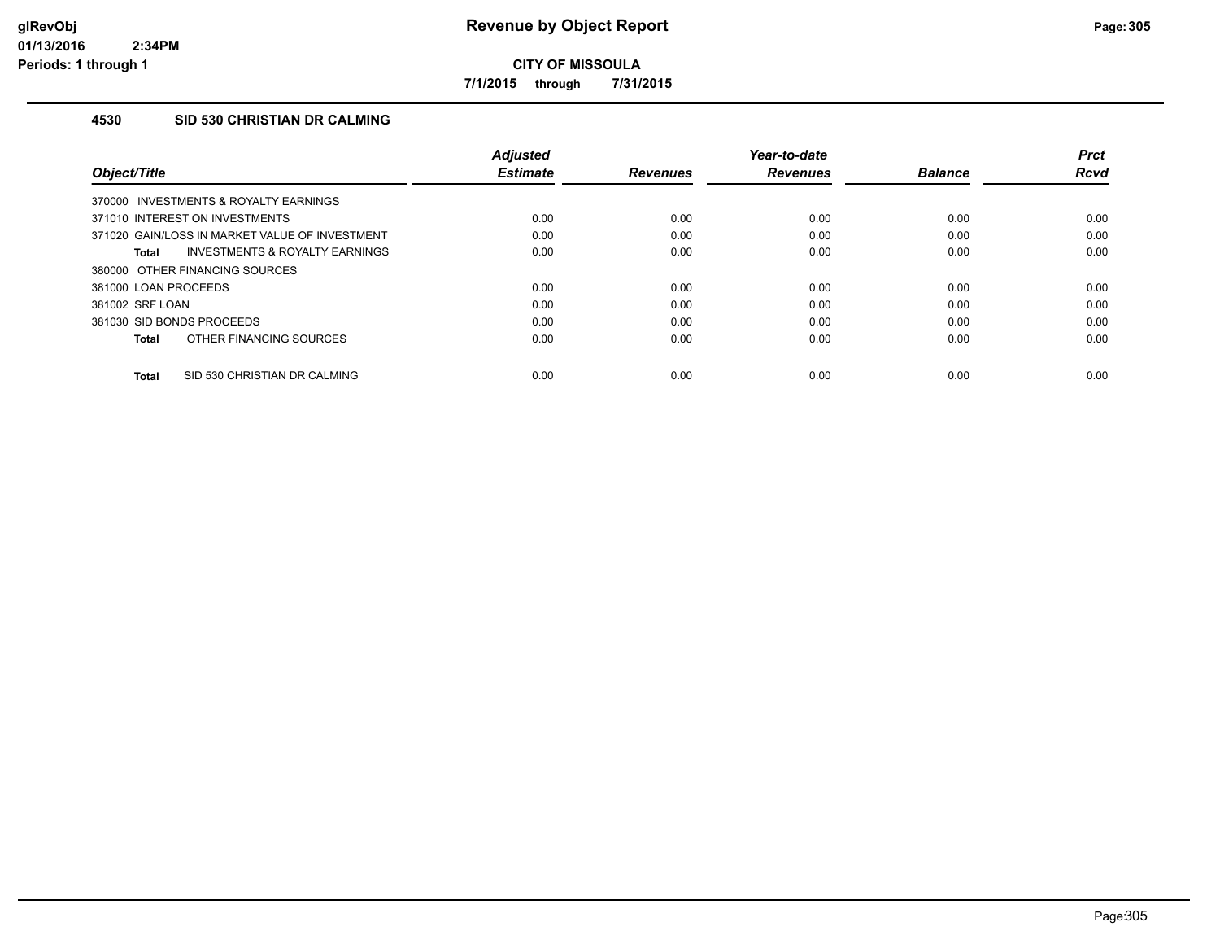**7/1/2015 through 7/31/2015**

### **4530 SID 530 CHRISTIAN DR CALMING**

| Object/Title                                       | <b>Adjusted</b><br><b>Estimate</b> | <b>Revenues</b> | Year-to-date<br><b>Revenues</b> | <b>Balance</b> | <b>Prct</b><br>Rcvd |
|----------------------------------------------------|------------------------------------|-----------------|---------------------------------|----------------|---------------------|
| 370000 INVESTMENTS & ROYALTY EARNINGS              |                                    |                 |                                 |                |                     |
| 371010 INTEREST ON INVESTMENTS                     | 0.00                               | 0.00            | 0.00                            | 0.00           | 0.00                |
| 371020 GAIN/LOSS IN MARKET VALUE OF INVESTMENT     | 0.00                               | 0.00            | 0.00                            | 0.00           | 0.00                |
| <b>INVESTMENTS &amp; ROYALTY EARNINGS</b><br>Total | 0.00                               | 0.00            | 0.00                            | 0.00           | 0.00                |
| 380000 OTHER FINANCING SOURCES                     |                                    |                 |                                 |                |                     |
| 381000 LOAN PROCEEDS                               | 0.00                               | 0.00            | 0.00                            | 0.00           | 0.00                |
| 381002 SRF LOAN                                    | 0.00                               | 0.00            | 0.00                            | 0.00           | 0.00                |
| 381030 SID BONDS PROCEEDS                          | 0.00                               | 0.00            | 0.00                            | 0.00           | 0.00                |
| OTHER FINANCING SOURCES<br><b>Total</b>            | 0.00                               | 0.00            | 0.00                            | 0.00           | 0.00                |
| SID 530 CHRISTIAN DR CALMING<br>Total              | 0.00                               | 0.00            | 0.00                            | 0.00           | 0.00                |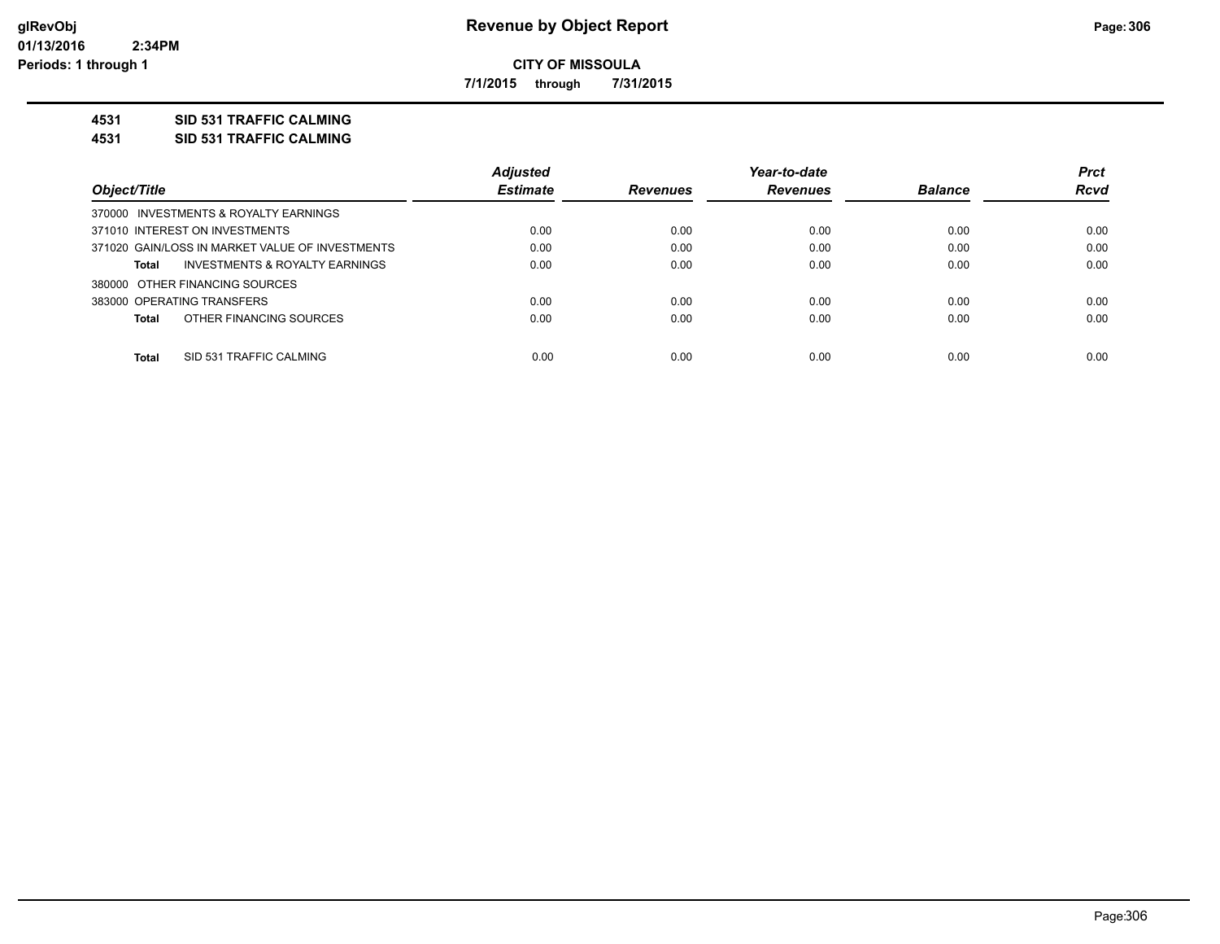**7/1/2015 through 7/31/2015**

### **4531 SID 531 TRAFFIC CALMING**

**4531 SID 531 TRAFFIC CALMING**

|                                                    | <b>Adjusted</b> |                 | Year-to-date    |                | <b>Prct</b> |
|----------------------------------------------------|-----------------|-----------------|-----------------|----------------|-------------|
| Object/Title                                       | <b>Estimate</b> | <b>Revenues</b> | <b>Revenues</b> | <b>Balance</b> | <b>Rcvd</b> |
| 370000 INVESTMENTS & ROYALTY EARNINGS              |                 |                 |                 |                |             |
| 371010 INTEREST ON INVESTMENTS                     | 0.00            | 0.00            | 0.00            | 0.00           | 0.00        |
| 371020 GAIN/LOSS IN MARKET VALUE OF INVESTMENTS    | 0.00            | 0.00            | 0.00            | 0.00           | 0.00        |
| <b>INVESTMENTS &amp; ROYALTY EARNINGS</b><br>Total | 0.00            | 0.00            | 0.00            | 0.00           | 0.00        |
| 380000 OTHER FINANCING SOURCES                     |                 |                 |                 |                |             |
| 383000 OPERATING TRANSFERS                         | 0.00            | 0.00            | 0.00            | 0.00           | 0.00        |
| OTHER FINANCING SOURCES<br>Total                   | 0.00            | 0.00            | 0.00            | 0.00           | 0.00        |
|                                                    |                 |                 |                 |                |             |
| Total<br>SID 531 TRAFFIC CALMING                   | 0.00            | 0.00            | 0.00            | 0.00           | 0.00        |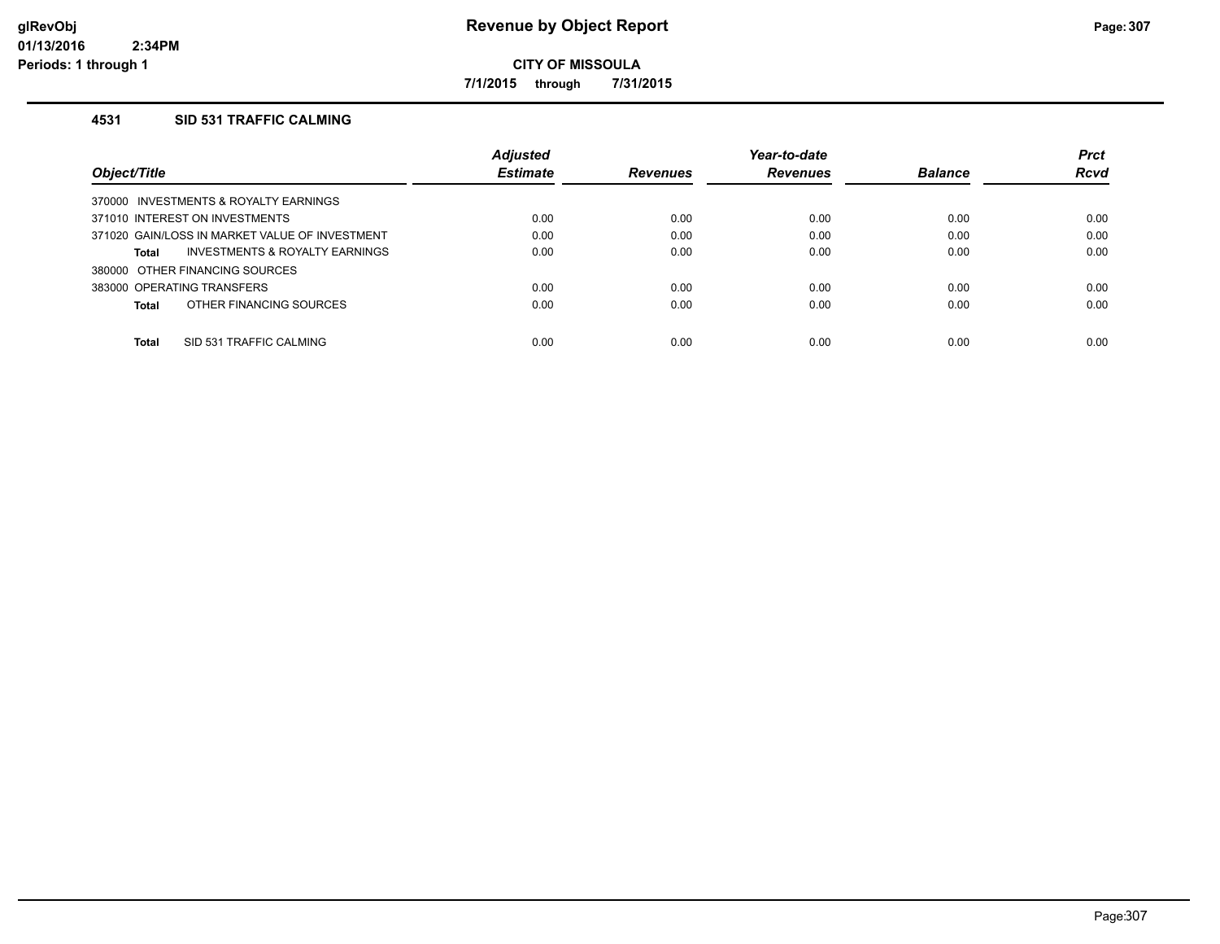**7/1/2015 through 7/31/2015**

### **4531 SID 531 TRAFFIC CALMING**

|                                                | <b>Adjusted</b> |                 | Year-to-date    |                | <b>Prct</b> |
|------------------------------------------------|-----------------|-----------------|-----------------|----------------|-------------|
| Object/Title                                   | <b>Estimate</b> | <b>Revenues</b> | <b>Revenues</b> | <b>Balance</b> | <b>Rcvd</b> |
| 370000 INVESTMENTS & ROYALTY EARNINGS          |                 |                 |                 |                |             |
| 371010 INTEREST ON INVESTMENTS                 | 0.00            | 0.00            | 0.00            | 0.00           | 0.00        |
| 371020 GAIN/LOSS IN MARKET VALUE OF INVESTMENT | 0.00            | 0.00            | 0.00            | 0.00           | 0.00        |
| INVESTMENTS & ROYALTY EARNINGS<br>Total        | 0.00            | 0.00            | 0.00            | 0.00           | 0.00        |
| 380000 OTHER FINANCING SOURCES                 |                 |                 |                 |                |             |
| 383000 OPERATING TRANSFERS                     | 0.00            | 0.00            | 0.00            | 0.00           | 0.00        |
| OTHER FINANCING SOURCES<br>Total               | 0.00            | 0.00            | 0.00            | 0.00           | 0.00        |
|                                                |                 |                 |                 |                |             |
| Total<br>SID 531 TRAFFIC CALMING               | 0.00            | 0.00            | 0.00            | 0.00           | 0.00        |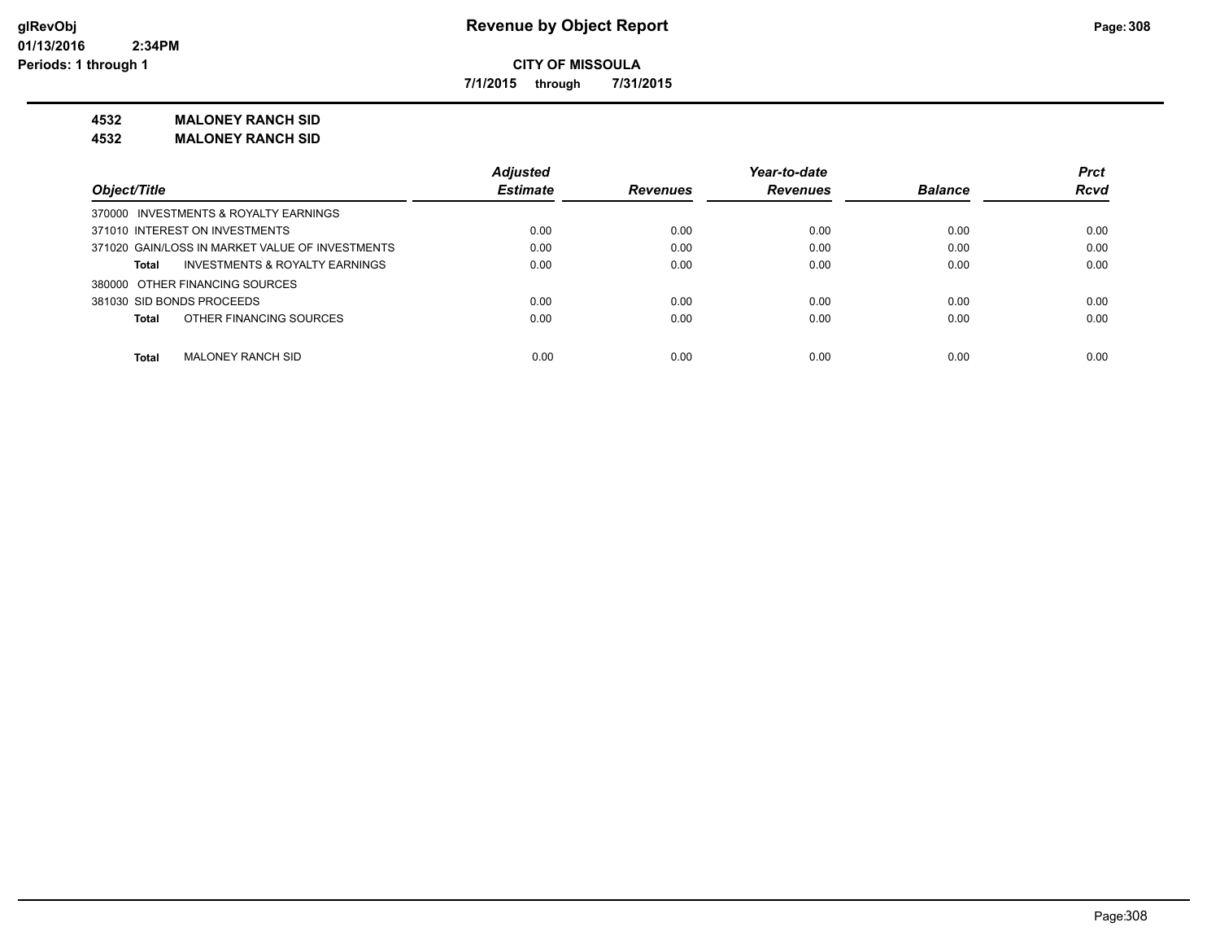**7/1/2015 through 7/31/2015**

### **4532 MALONEY RANCH SID**

**4532 MALONEY RANCH SID**

|                                                 | <b>Adjusted</b> |                 | Year-to-date    |                | <b>Prct</b> |
|-------------------------------------------------|-----------------|-----------------|-----------------|----------------|-------------|
| Object/Title                                    | <b>Estimate</b> | <b>Revenues</b> | <b>Revenues</b> | <b>Balance</b> | <b>Rcvd</b> |
| 370000 INVESTMENTS & ROYALTY EARNINGS           |                 |                 |                 |                |             |
| 371010 INTEREST ON INVESTMENTS                  | 0.00            | 0.00            | 0.00            | 0.00           | 0.00        |
| 371020 GAIN/LOSS IN MARKET VALUE OF INVESTMENTS | 0.00            | 0.00            | 0.00            | 0.00           | 0.00        |
| INVESTMENTS & ROYALTY EARNINGS<br>Total         | 0.00            | 0.00            | 0.00            | 0.00           | 0.00        |
| 380000 OTHER FINANCING SOURCES                  |                 |                 |                 |                |             |
| 381030 SID BONDS PROCEEDS                       | 0.00            | 0.00            | 0.00            | 0.00           | 0.00        |
| OTHER FINANCING SOURCES<br>Total                | 0.00            | 0.00            | 0.00            | 0.00           | 0.00        |
|                                                 |                 |                 |                 |                |             |
| <b>Total</b><br>MALONEY RANCH SID               | 0.00            | 0.00            | 0.00            | 0.00           | 0.00        |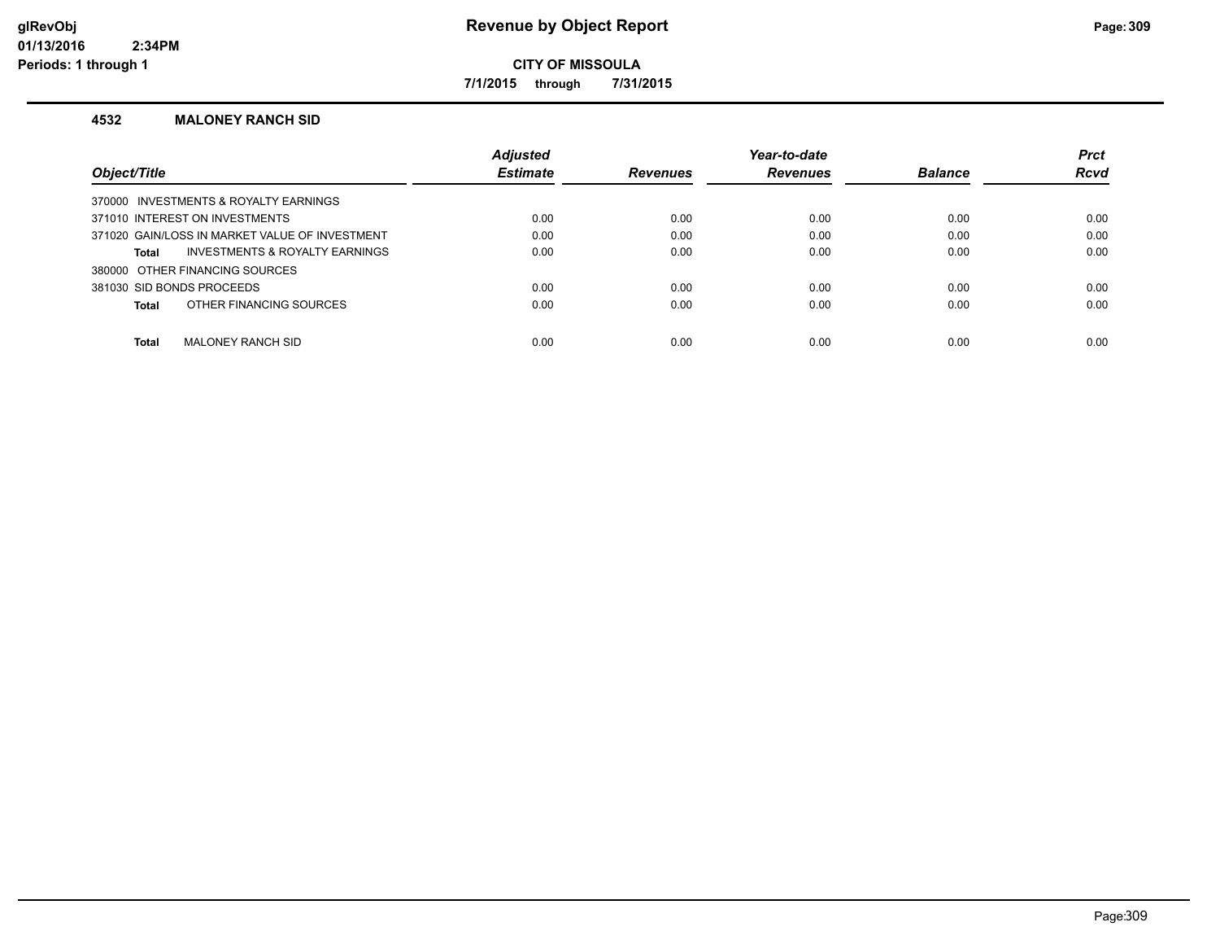**7/1/2015 through 7/31/2015**

### **4532 MALONEY RANCH SID**

|                                                    | <b>Adjusted</b> |                 | Year-to-date    |                | <b>Prct</b> |
|----------------------------------------------------|-----------------|-----------------|-----------------|----------------|-------------|
| Object/Title                                       | <b>Estimate</b> | <b>Revenues</b> | <b>Revenues</b> | <b>Balance</b> | <b>Rcvd</b> |
| 370000 INVESTMENTS & ROYALTY EARNINGS              |                 |                 |                 |                |             |
| 371010 INTEREST ON INVESTMENTS                     | 0.00            | 0.00            | 0.00            | 0.00           | 0.00        |
| 371020 GAIN/LOSS IN MARKET VALUE OF INVESTMENT     | 0.00            | 0.00            | 0.00            | 0.00           | 0.00        |
| <b>INVESTMENTS &amp; ROYALTY EARNINGS</b><br>Total | 0.00            | 0.00            | 0.00            | 0.00           | 0.00        |
| 380000 OTHER FINANCING SOURCES                     |                 |                 |                 |                |             |
| 381030 SID BONDS PROCEEDS                          | 0.00            | 0.00            | 0.00            | 0.00           | 0.00        |
| OTHER FINANCING SOURCES<br>Total                   | 0.00            | 0.00            | 0.00            | 0.00           | 0.00        |
|                                                    |                 |                 |                 |                |             |
| <b>Total</b><br><b>MALONEY RANCH SID</b>           | 0.00            | 0.00            | 0.00            | 0.00           | 0.00        |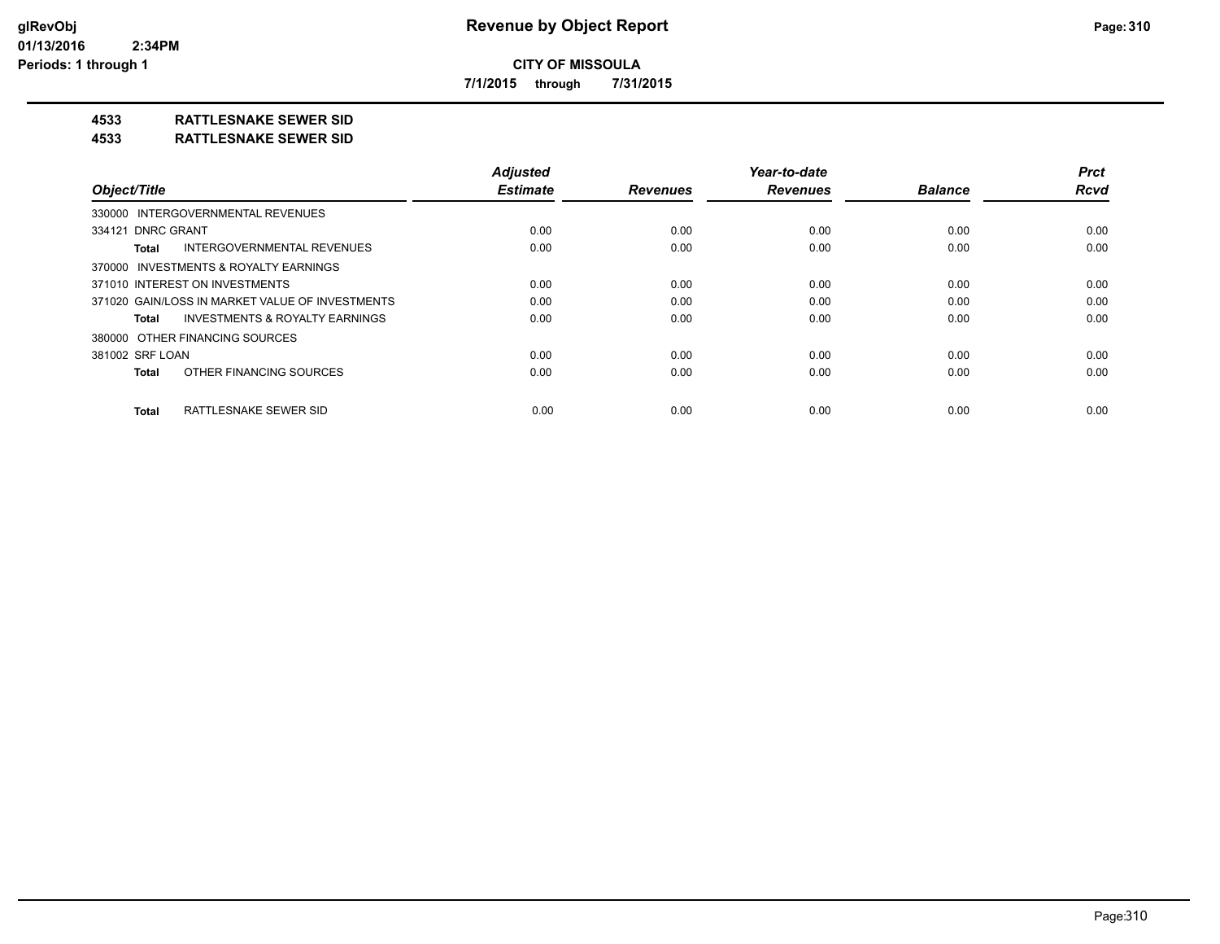**7/1/2015 through 7/31/2015**

### **4533 RATTLESNAKE SEWER SID**

#### **4533 RATTLESNAKE SEWER SID**

|                                                    | <b>Adjusted</b> |                 | Year-to-date    |                | <b>Prct</b> |
|----------------------------------------------------|-----------------|-----------------|-----------------|----------------|-------------|
| Object/Title                                       | <b>Estimate</b> | <b>Revenues</b> | <b>Revenues</b> | <b>Balance</b> | <b>Rcvd</b> |
| 330000 INTERGOVERNMENTAL REVENUES                  |                 |                 |                 |                |             |
| 334121 DNRC GRANT                                  | 0.00            | 0.00            | 0.00            | 0.00           | 0.00        |
| INTERGOVERNMENTAL REVENUES<br>Total                | 0.00            | 0.00            | 0.00            | 0.00           | 0.00        |
| 370000 INVESTMENTS & ROYALTY EARNINGS              |                 |                 |                 |                |             |
| 371010 INTEREST ON INVESTMENTS                     | 0.00            | 0.00            | 0.00            | 0.00           | 0.00        |
| 371020 GAIN/LOSS IN MARKET VALUE OF INVESTMENTS    | 0.00            | 0.00            | 0.00            | 0.00           | 0.00        |
| <b>INVESTMENTS &amp; ROYALTY EARNINGS</b><br>Total | 0.00            | 0.00            | 0.00            | 0.00           | 0.00        |
| 380000 OTHER FINANCING SOURCES                     |                 |                 |                 |                |             |
| 381002 SRF LOAN                                    | 0.00            | 0.00            | 0.00            | 0.00           | 0.00        |
| OTHER FINANCING SOURCES<br>Total                   | 0.00            | 0.00            | 0.00            | 0.00           | 0.00        |
| RATTLESNAKE SEWER SID<br><b>Total</b>              | 0.00            | 0.00            | 0.00            | 0.00           | 0.00        |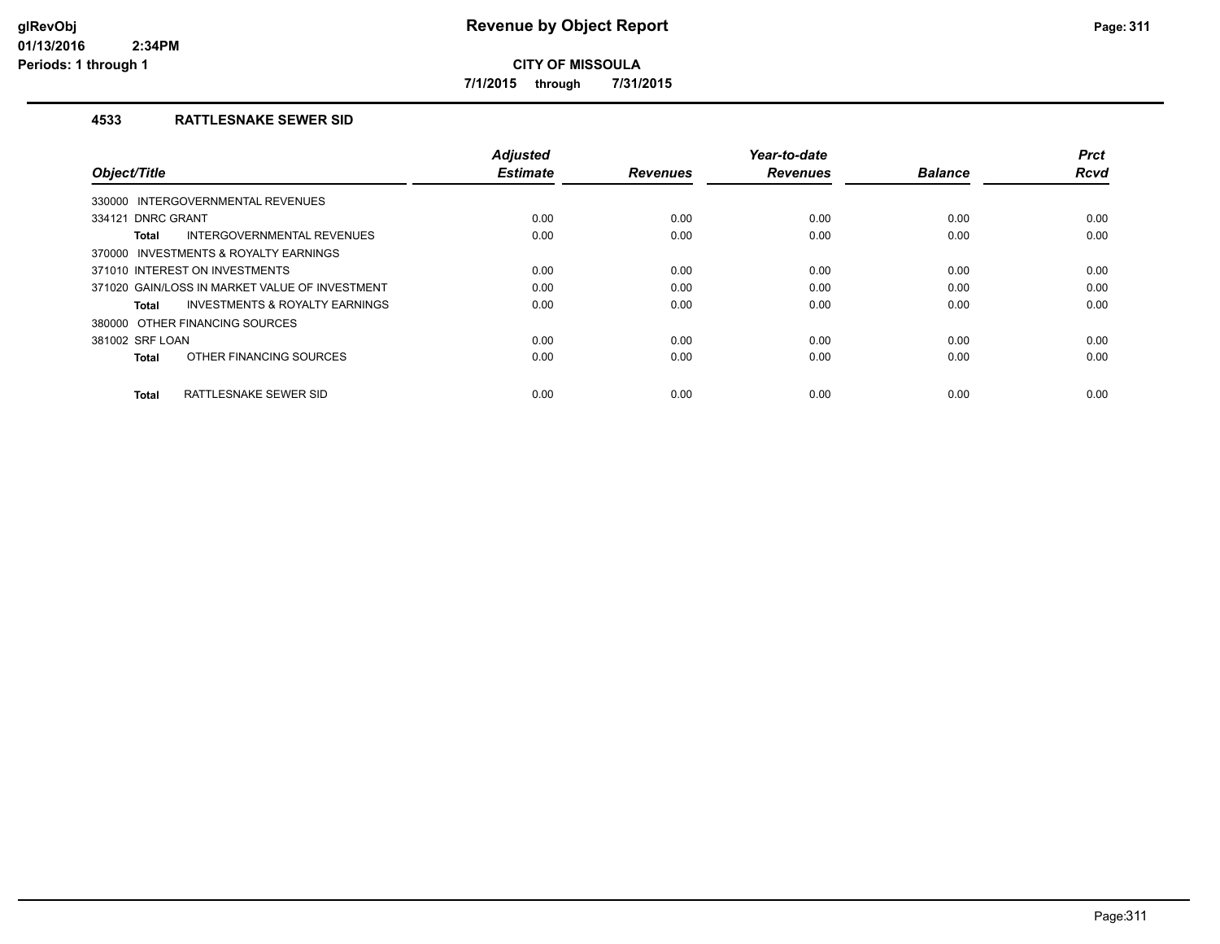**7/1/2015 through 7/31/2015**

### **4533 RATTLESNAKE SEWER SID**

| Object/Title                                   | <b>Adjusted</b><br><b>Estimate</b> | <b>Revenues</b> | Year-to-date<br><b>Revenues</b> | <b>Balance</b> | <b>Prct</b><br><b>Rcvd</b> |
|------------------------------------------------|------------------------------------|-----------------|---------------------------------|----------------|----------------------------|
| INTERGOVERNMENTAL REVENUES<br>330000           |                                    |                 |                                 |                |                            |
| 334121 DNRC GRANT                              | 0.00                               | 0.00            | 0.00                            | 0.00           | 0.00                       |
| INTERGOVERNMENTAL REVENUES<br>Total            | 0.00                               | 0.00            | 0.00                            | 0.00           | 0.00                       |
| 370000 INVESTMENTS & ROYALTY EARNINGS          |                                    |                 |                                 |                |                            |
| 371010 INTEREST ON INVESTMENTS                 | 0.00                               | 0.00            | 0.00                            | 0.00           | 0.00                       |
| 371020 GAIN/LOSS IN MARKET VALUE OF INVESTMENT | 0.00                               | 0.00            | 0.00                            | 0.00           | 0.00                       |
| INVESTMENTS & ROYALTY EARNINGS<br>Total        | 0.00                               | 0.00            | 0.00                            | 0.00           | 0.00                       |
| 380000 OTHER FINANCING SOURCES                 |                                    |                 |                                 |                |                            |
| 381002 SRF LOAN                                | 0.00                               | 0.00            | 0.00                            | 0.00           | 0.00                       |
| OTHER FINANCING SOURCES<br><b>Total</b>        | 0.00                               | 0.00            | 0.00                            | 0.00           | 0.00                       |
| RATTLESNAKE SEWER SID<br><b>Total</b>          | 0.00                               | 0.00            | 0.00                            | 0.00           | 0.00                       |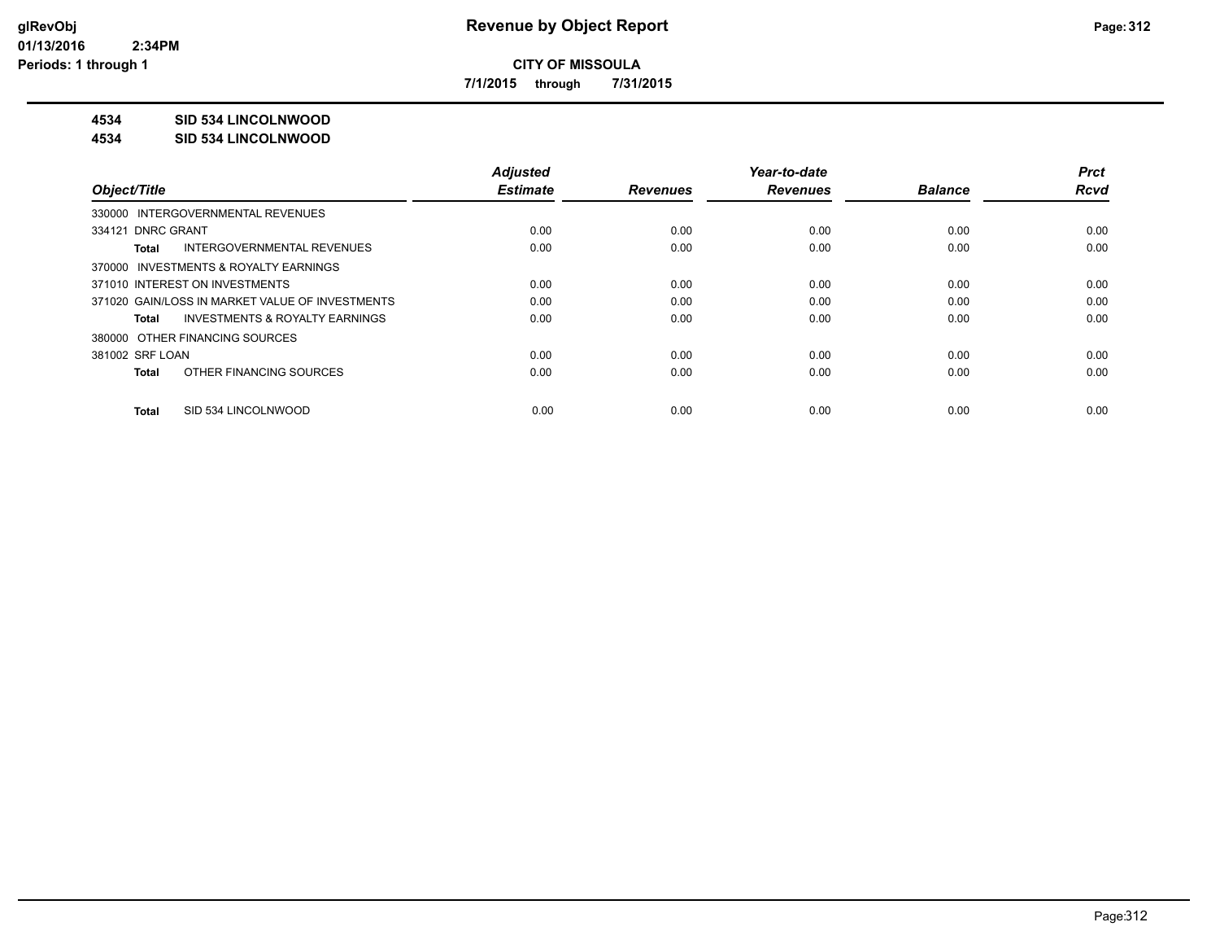**7/1/2015 through 7/31/2015**

### **4534 SID 534 LINCOLNWOOD**

#### **4534 SID 534 LINCOLNWOOD**

|                                                    | <b>Adjusted</b> |                 | Year-to-date    |                | <b>Prct</b> |
|----------------------------------------------------|-----------------|-----------------|-----------------|----------------|-------------|
| Object/Title                                       | <b>Estimate</b> | <b>Revenues</b> | <b>Revenues</b> | <b>Balance</b> | <b>Rcvd</b> |
| 330000 INTERGOVERNMENTAL REVENUES                  |                 |                 |                 |                |             |
| 334121 DNRC GRANT                                  | 0.00            | 0.00            | 0.00            | 0.00           | 0.00        |
| INTERGOVERNMENTAL REVENUES<br>Total                | 0.00            | 0.00            | 0.00            | 0.00           | 0.00        |
| 370000 INVESTMENTS & ROYALTY EARNINGS              |                 |                 |                 |                |             |
| 371010 INTEREST ON INVESTMENTS                     | 0.00            | 0.00            | 0.00            | 0.00           | 0.00        |
| 371020 GAIN/LOSS IN MARKET VALUE OF INVESTMENTS    | 0.00            | 0.00            | 0.00            | 0.00           | 0.00        |
| <b>INVESTMENTS &amp; ROYALTY EARNINGS</b><br>Total | 0.00            | 0.00            | 0.00            | 0.00           | 0.00        |
| 380000 OTHER FINANCING SOURCES                     |                 |                 |                 |                |             |
| 381002 SRF LOAN                                    | 0.00            | 0.00            | 0.00            | 0.00           | 0.00        |
| OTHER FINANCING SOURCES<br>Total                   | 0.00            | 0.00            | 0.00            | 0.00           | 0.00        |
| SID 534 LINCOLNWOOD<br>Total                       | 0.00            | 0.00            | 0.00            | 0.00           | 0.00        |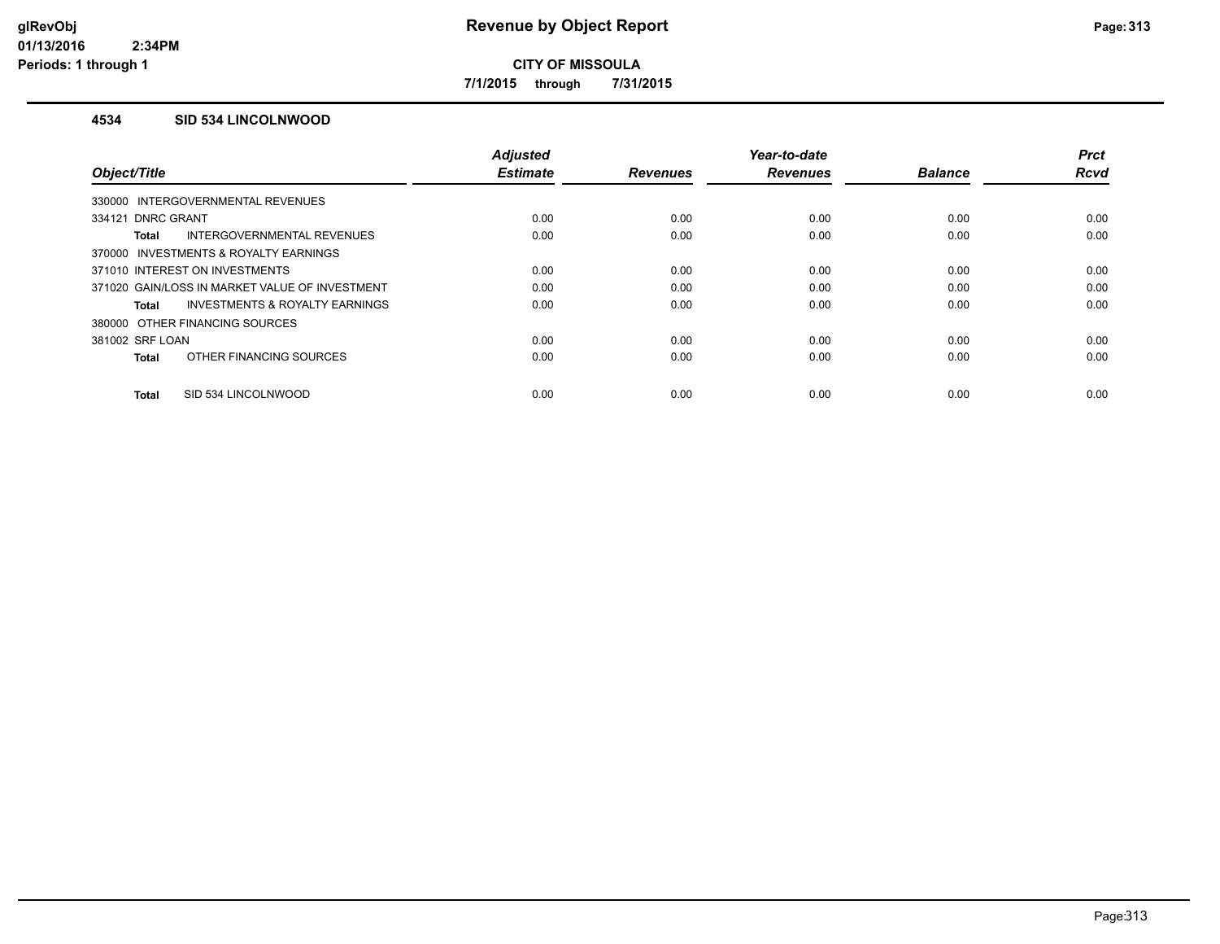**7/1/2015 through 7/31/2015**

### **4534 SID 534 LINCOLNWOOD**

|                                                | <b>Adjusted</b> |                 | Year-to-date    |                | <b>Prct</b> |
|------------------------------------------------|-----------------|-----------------|-----------------|----------------|-------------|
| Object/Title                                   | <b>Estimate</b> | <b>Revenues</b> | <b>Revenues</b> | <b>Balance</b> | <b>Rcvd</b> |
| 330000 INTERGOVERNMENTAL REVENUES              |                 |                 |                 |                |             |
| 334121 DNRC GRANT                              | 0.00            | 0.00            | 0.00            | 0.00           | 0.00        |
| INTERGOVERNMENTAL REVENUES<br>Total            | 0.00            | 0.00            | 0.00            | 0.00           | 0.00        |
| 370000 INVESTMENTS & ROYALTY EARNINGS          |                 |                 |                 |                |             |
| 371010 INTEREST ON INVESTMENTS                 | 0.00            | 0.00            | 0.00            | 0.00           | 0.00        |
| 371020 GAIN/LOSS IN MARKET VALUE OF INVESTMENT | 0.00            | 0.00            | 0.00            | 0.00           | 0.00        |
| INVESTMENTS & ROYALTY EARNINGS<br>Total        | 0.00            | 0.00            | 0.00            | 0.00           | 0.00        |
| 380000 OTHER FINANCING SOURCES                 |                 |                 |                 |                |             |
| 381002 SRF LOAN                                | 0.00            | 0.00            | 0.00            | 0.00           | 0.00        |
| OTHER FINANCING SOURCES<br><b>Total</b>        | 0.00            | 0.00            | 0.00            | 0.00           | 0.00        |
| SID 534 LINCOLNWOOD<br><b>Total</b>            | 0.00            | 0.00            | 0.00            | 0.00           | 0.00        |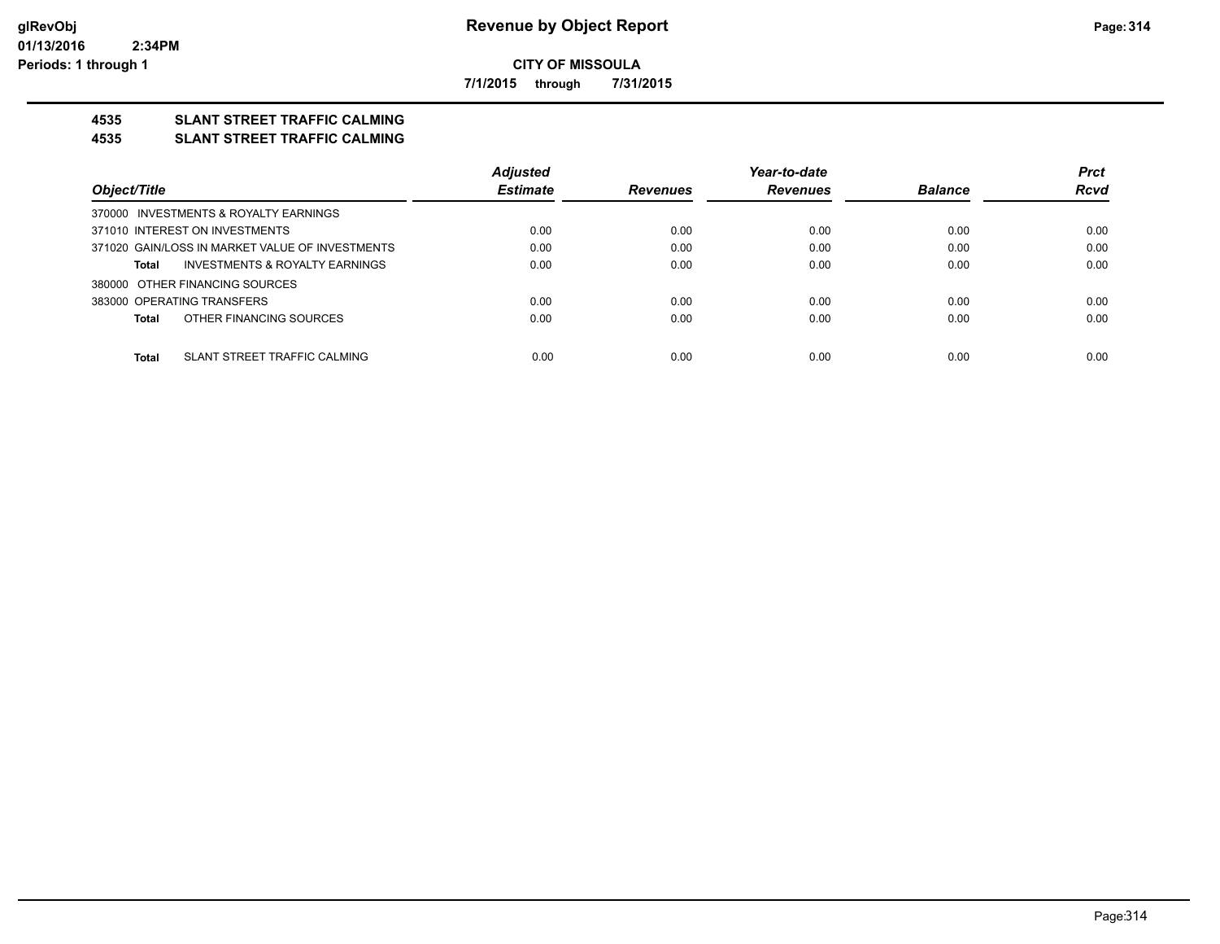**7/1/2015 through 7/31/2015**

## **4535 SLANT STREET TRAFFIC CALMING**

#### **4535 SLANT STREET TRAFFIC CALMING**

|                                                 | <b>Adjusted</b> |                 | Year-to-date    |                | <b>Prct</b> |
|-------------------------------------------------|-----------------|-----------------|-----------------|----------------|-------------|
| Object/Title                                    | <b>Estimate</b> | <b>Revenues</b> | <b>Revenues</b> | <b>Balance</b> | <b>Rcvd</b> |
| 370000 INVESTMENTS & ROYALTY EARNINGS           |                 |                 |                 |                |             |
| 371010 INTEREST ON INVESTMENTS                  | 0.00            | 0.00            | 0.00            | 0.00           | 0.00        |
| 371020 GAIN/LOSS IN MARKET VALUE OF INVESTMENTS | 0.00            | 0.00            | 0.00            | 0.00           | 0.00        |
| INVESTMENTS & ROYALTY EARNINGS<br>Total         | 0.00            | 0.00            | 0.00            | 0.00           | 0.00        |
| 380000 OTHER FINANCING SOURCES                  |                 |                 |                 |                |             |
| 383000 OPERATING TRANSFERS                      | 0.00            | 0.00            | 0.00            | 0.00           | 0.00        |
| OTHER FINANCING SOURCES<br>Total                | 0.00            | 0.00            | 0.00            | 0.00           | 0.00        |
|                                                 |                 |                 |                 |                |             |
| SLANT STREET TRAFFIC CALMING<br>Total           | 0.00            | 0.00            | 0.00            | 0.00           | 0.00        |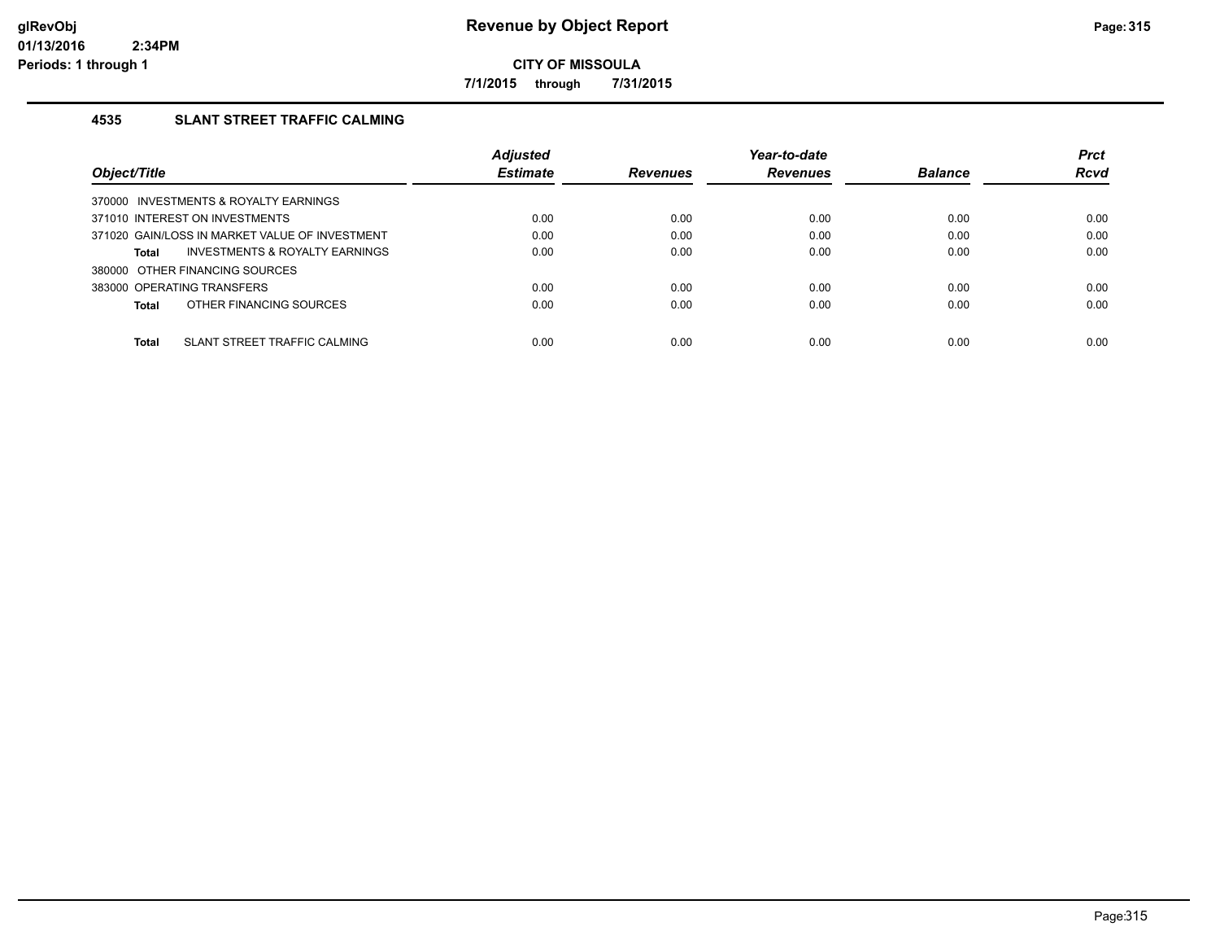**7/1/2015 through 7/31/2015**

### **4535 SLANT STREET TRAFFIC CALMING**

|                                                    | <b>Adjusted</b> |                 | Year-to-date    |                | <b>Prct</b> |
|----------------------------------------------------|-----------------|-----------------|-----------------|----------------|-------------|
| Object/Title                                       | <b>Estimate</b> | <b>Revenues</b> | <b>Revenues</b> | <b>Balance</b> | <b>Rcvd</b> |
| 370000 INVESTMENTS & ROYALTY EARNINGS              |                 |                 |                 |                |             |
| 371010 INTEREST ON INVESTMENTS                     | 0.00            | 0.00            | 0.00            | 0.00           | 0.00        |
| 371020 GAIN/LOSS IN MARKET VALUE OF INVESTMENT     | 0.00            | 0.00            | 0.00            | 0.00           | 0.00        |
| <b>INVESTMENTS &amp; ROYALTY EARNINGS</b><br>Total | 0.00            | 0.00            | 0.00            | 0.00           | 0.00        |
| 380000 OTHER FINANCING SOURCES                     |                 |                 |                 |                |             |
| 383000 OPERATING TRANSFERS                         | 0.00            | 0.00            | 0.00            | 0.00           | 0.00        |
| OTHER FINANCING SOURCES<br>Total                   | 0.00            | 0.00            | 0.00            | 0.00           | 0.00        |
|                                                    |                 |                 |                 |                |             |
| SLANT STREET TRAFFIC CALMING<br>Total              | 0.00            | 0.00            | 0.00            | 0.00           | 0.00        |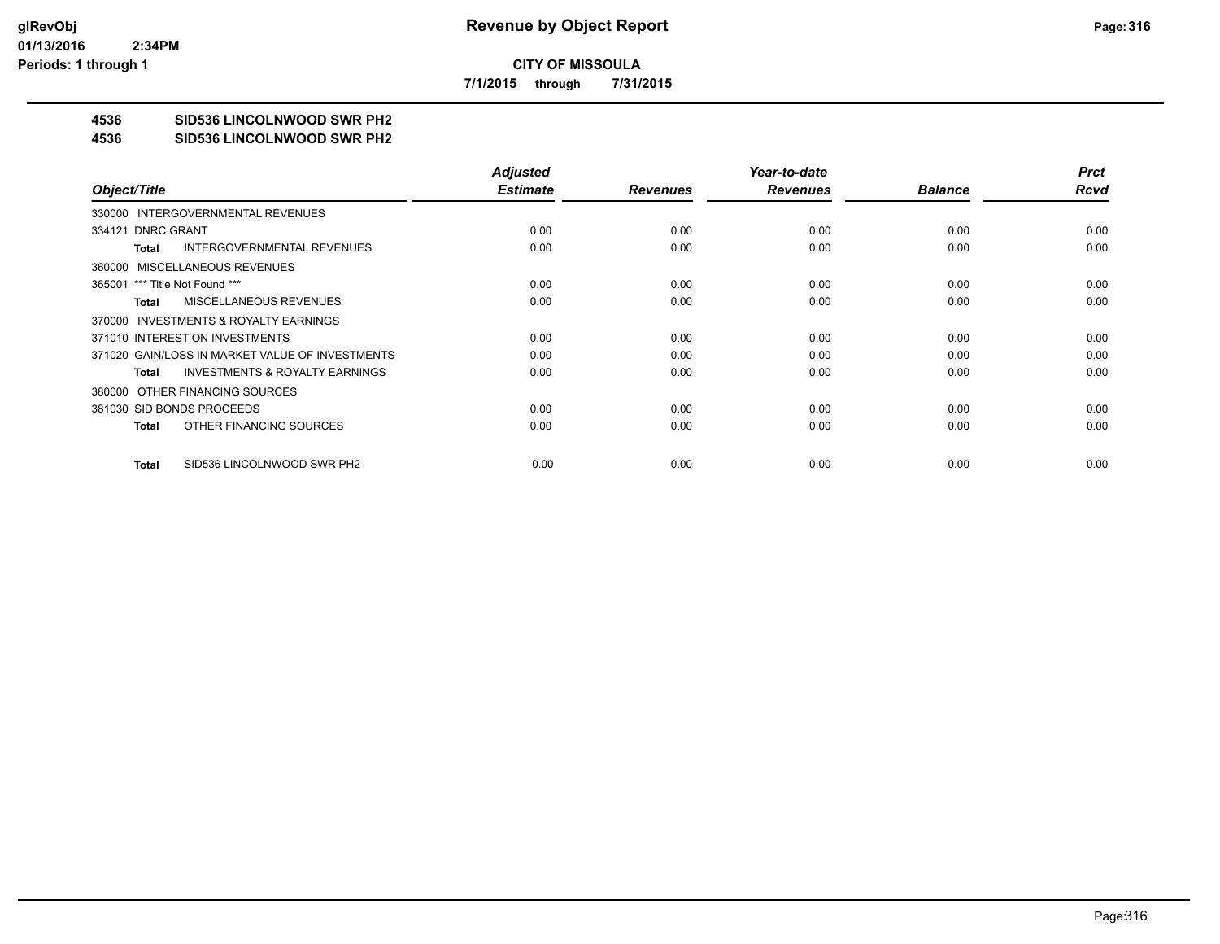**7/1/2015 through 7/31/2015**

# **4536 SID536 LINCOLNWOOD SWR PH2**

#### **4536 SID536 LINCOLNWOOD SWR PH2**

|                                                    | <b>Adjusted</b> |                 | Year-to-date    |                | <b>Prct</b> |
|----------------------------------------------------|-----------------|-----------------|-----------------|----------------|-------------|
| Object/Title                                       | <b>Estimate</b> | <b>Revenues</b> | <b>Revenues</b> | <b>Balance</b> | <b>Rcvd</b> |
| 330000 INTERGOVERNMENTAL REVENUES                  |                 |                 |                 |                |             |
| 334121 DNRC GRANT                                  | 0.00            | 0.00            | 0.00            | 0.00           | 0.00        |
| <b>INTERGOVERNMENTAL REVENUES</b><br>Total         | 0.00            | 0.00            | 0.00            | 0.00           | 0.00        |
| 360000 MISCELLANEOUS REVENUES                      |                 |                 |                 |                |             |
| 365001 *** Title Not Found ***                     | 0.00            | 0.00            | 0.00            | 0.00           | 0.00        |
| <b>MISCELLANEOUS REVENUES</b><br>Total             | 0.00            | 0.00            | 0.00            | 0.00           | 0.00        |
| 370000 INVESTMENTS & ROYALTY EARNINGS              |                 |                 |                 |                |             |
| 371010 INTEREST ON INVESTMENTS                     | 0.00            | 0.00            | 0.00            | 0.00           | 0.00        |
| 371020 GAIN/LOSS IN MARKET VALUE OF INVESTMENTS    | 0.00            | 0.00            | 0.00            | 0.00           | 0.00        |
| <b>INVESTMENTS &amp; ROYALTY EARNINGS</b><br>Total | 0.00            | 0.00            | 0.00            | 0.00           | 0.00        |
| 380000 OTHER FINANCING SOURCES                     |                 |                 |                 |                |             |
| 381030 SID BONDS PROCEEDS                          | 0.00            | 0.00            | 0.00            | 0.00           | 0.00        |
| OTHER FINANCING SOURCES<br>Total                   | 0.00            | 0.00            | 0.00            | 0.00           | 0.00        |
|                                                    |                 |                 |                 |                |             |
| SID536 LINCOLNWOOD SWR PH2<br>Total                | 0.00            | 0.00            | 0.00            | 0.00           | 0.00        |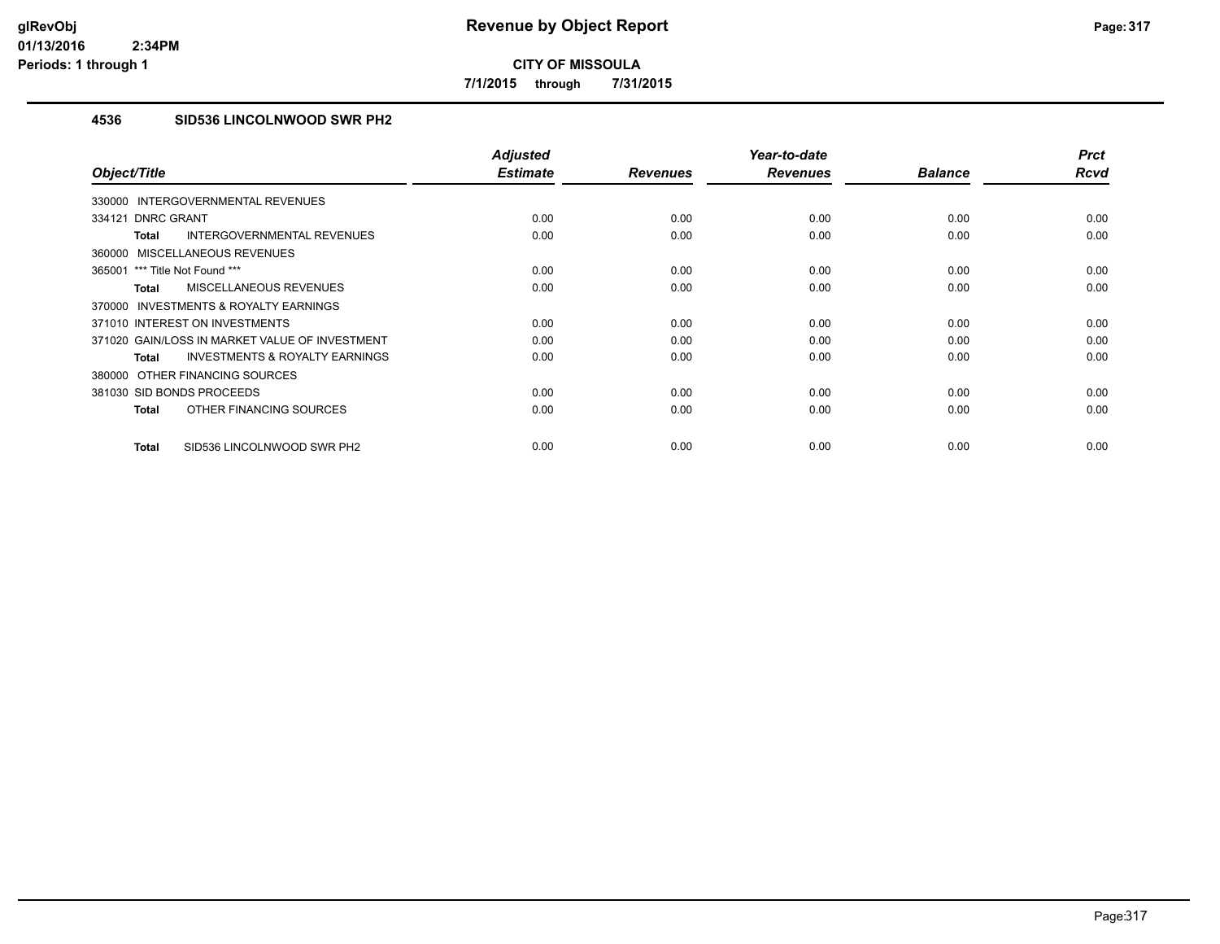**7/1/2015 through 7/31/2015**

### **4536 SID536 LINCOLNWOOD SWR PH2**

| Object/Title                                              | <b>Adjusted</b><br><b>Estimate</b> | <b>Revenues</b> | Year-to-date<br><b>Revenues</b> | <b>Balance</b> | <b>Prct</b><br><b>Rcvd</b> |
|-----------------------------------------------------------|------------------------------------|-----------------|---------------------------------|----------------|----------------------------|
| 330000 INTERGOVERNMENTAL REVENUES                         |                                    |                 |                                 |                |                            |
| <b>DNRC GRANT</b><br>334121                               | 0.00                               | 0.00            | 0.00                            | 0.00           | 0.00                       |
| <b>INTERGOVERNMENTAL REVENUES</b><br><b>Total</b>         | 0.00                               | 0.00            | 0.00                            | 0.00           | 0.00                       |
| 360000 MISCELLANEOUS REVENUES                             |                                    |                 |                                 |                |                            |
| 365001 *** Title Not Found ***                            | 0.00                               | 0.00            | 0.00                            | 0.00           | 0.00                       |
| <b>MISCELLANEOUS REVENUES</b><br><b>Total</b>             | 0.00                               | 0.00            | 0.00                            | 0.00           | 0.00                       |
| 370000 INVESTMENTS & ROYALTY EARNINGS                     |                                    |                 |                                 |                |                            |
| 371010 INTEREST ON INVESTMENTS                            | 0.00                               | 0.00            | 0.00                            | 0.00           | 0.00                       |
| 371020 GAIN/LOSS IN MARKET VALUE OF INVESTMENT            | 0.00                               | 0.00            | 0.00                            | 0.00           | 0.00                       |
| <b>INVESTMENTS &amp; ROYALTY EARNINGS</b><br><b>Total</b> | 0.00                               | 0.00            | 0.00                            | 0.00           | 0.00                       |
| 380000 OTHER FINANCING SOURCES                            |                                    |                 |                                 |                |                            |
| 381030 SID BONDS PROCEEDS                                 | 0.00                               | 0.00            | 0.00                            | 0.00           | 0.00                       |
| OTHER FINANCING SOURCES<br><b>Total</b>                   | 0.00                               | 0.00            | 0.00                            | 0.00           | 0.00                       |
| SID536 LINCOLNWOOD SWR PH2<br><b>Total</b>                | 0.00                               | 0.00            | 0.00                            | 0.00           | 0.00                       |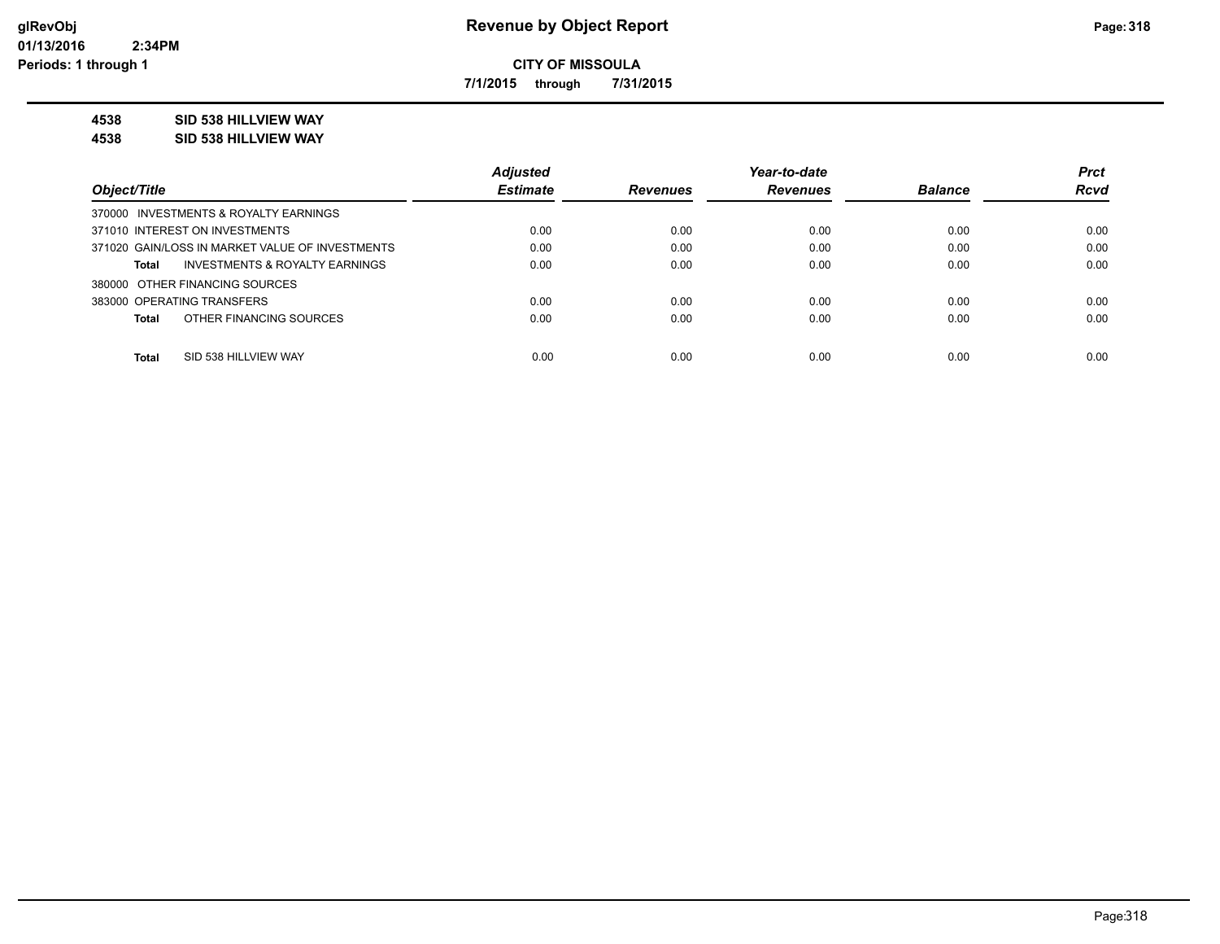**7/1/2015 through 7/31/2015**

### **4538 SID 538 HILLVIEW WAY**

#### **4538 SID 538 HILLVIEW WAY**

|                                                 | <b>Adjusted</b> |                 | Year-to-date    |                | <b>Prct</b> |
|-------------------------------------------------|-----------------|-----------------|-----------------|----------------|-------------|
| Object/Title                                    | <b>Estimate</b> | <b>Revenues</b> | <b>Revenues</b> | <b>Balance</b> | <b>Rcvd</b> |
| 370000 INVESTMENTS & ROYALTY EARNINGS           |                 |                 |                 |                |             |
| 371010 INTEREST ON INVESTMENTS                  | 0.00            | 0.00            | 0.00            | 0.00           | 0.00        |
| 371020 GAIN/LOSS IN MARKET VALUE OF INVESTMENTS | 0.00            | 0.00            | 0.00            | 0.00           | 0.00        |
| INVESTMENTS & ROYALTY EARNINGS<br>Total         | 0.00            | 0.00            | 0.00            | 0.00           | 0.00        |
| 380000 OTHER FINANCING SOURCES                  |                 |                 |                 |                |             |
| 383000 OPERATING TRANSFERS                      | 0.00            | 0.00            | 0.00            | 0.00           | 0.00        |
| OTHER FINANCING SOURCES<br>Total                | 0.00            | 0.00            | 0.00            | 0.00           | 0.00        |
|                                                 |                 |                 |                 |                |             |
| <b>Total</b><br>SID 538 HILLVIEW WAY            | 0.00            | 0.00            | 0.00            | 0.00           | 0.00        |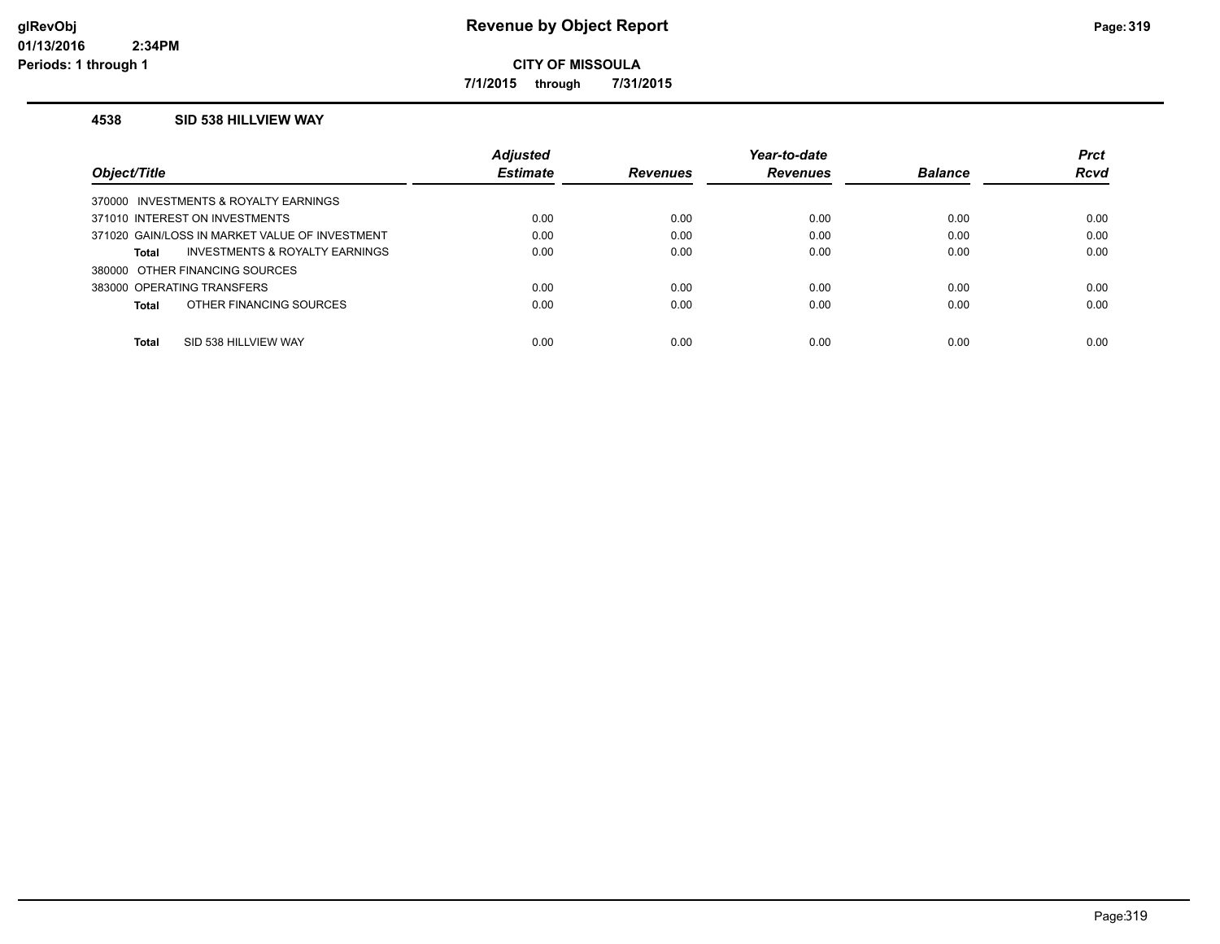**7/1/2015 through 7/31/2015**

### **4538 SID 538 HILLVIEW WAY**

|                                                | <b>Adjusted</b> |                 | Year-to-date    |                | <b>Prct</b> |
|------------------------------------------------|-----------------|-----------------|-----------------|----------------|-------------|
| Object/Title                                   | <b>Estimate</b> | <b>Revenues</b> | <b>Revenues</b> | <b>Balance</b> | <b>Rcvd</b> |
| 370000 INVESTMENTS & ROYALTY EARNINGS          |                 |                 |                 |                |             |
| 371010 INTEREST ON INVESTMENTS                 | 0.00            | 0.00            | 0.00            | 0.00           | 0.00        |
| 371020 GAIN/LOSS IN MARKET VALUE OF INVESTMENT | 0.00            | 0.00            | 0.00            | 0.00           | 0.00        |
| INVESTMENTS & ROYALTY EARNINGS<br>Total        | 0.00            | 0.00            | 0.00            | 0.00           | 0.00        |
| 380000 OTHER FINANCING SOURCES                 |                 |                 |                 |                |             |
| 383000 OPERATING TRANSFERS                     | 0.00            | 0.00            | 0.00            | 0.00           | 0.00        |
| OTHER FINANCING SOURCES<br>Total               | 0.00            | 0.00            | 0.00            | 0.00           | 0.00        |
|                                                |                 |                 |                 |                |             |
| Total<br>SID 538 HILLVIEW WAY                  | 0.00            | 0.00            | 0.00            | 0.00           | 0.00        |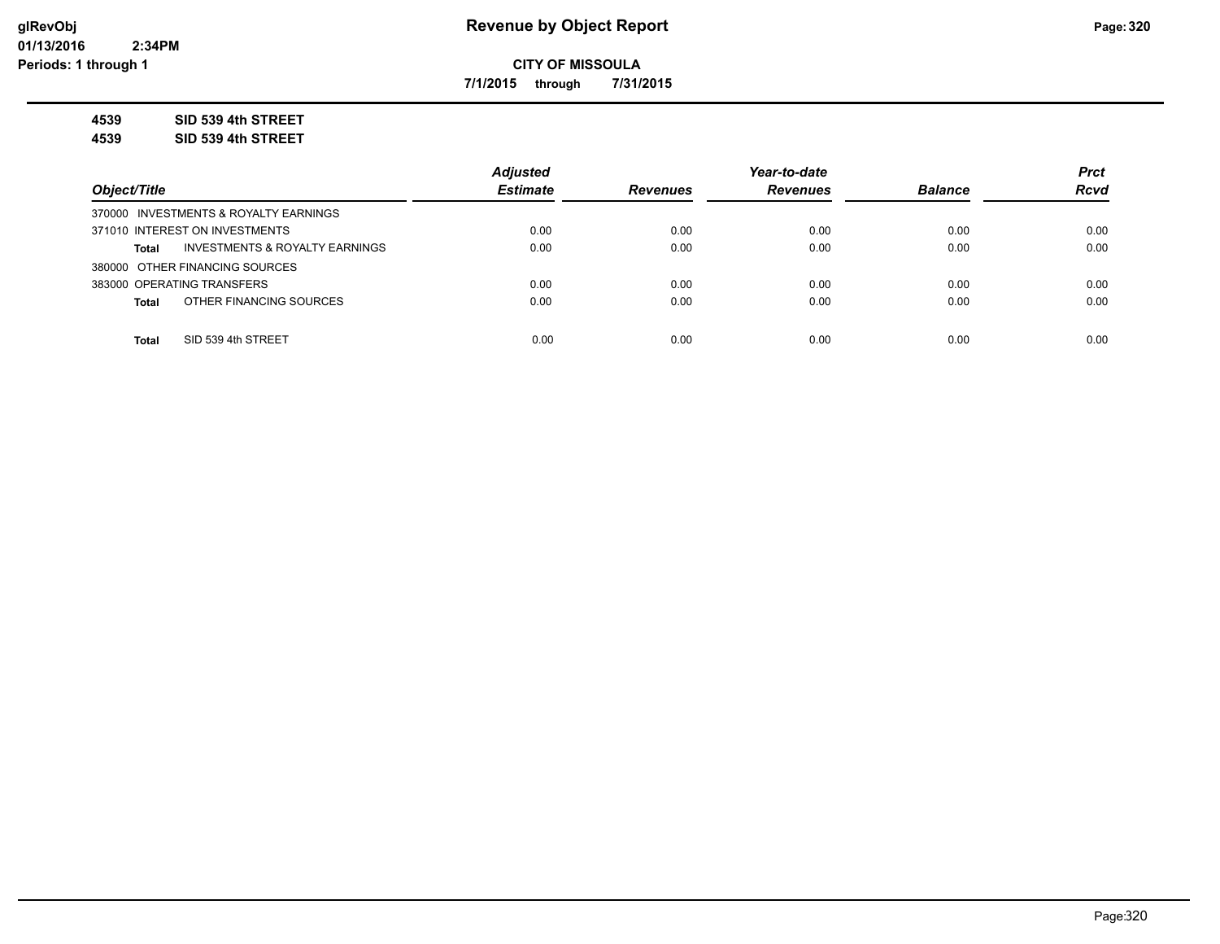**7/1/2015 through 7/31/2015**

**4539 SID 539 4th STREET**

**4539 SID 539 4th STREET**

|                                                           | <b>Adjusted</b> |                 | Year-to-date    |                | <b>Prct</b> |
|-----------------------------------------------------------|-----------------|-----------------|-----------------|----------------|-------------|
| Object/Title                                              | <b>Estimate</b> | <b>Revenues</b> | <b>Revenues</b> | <b>Balance</b> | <b>Rcvd</b> |
| 370000 INVESTMENTS & ROYALTY EARNINGS                     |                 |                 |                 |                |             |
| 371010 INTEREST ON INVESTMENTS                            | 0.00            | 0.00            | 0.00            | 0.00           | 0.00        |
| <b>INVESTMENTS &amp; ROYALTY EARNINGS</b><br><b>Total</b> | 0.00            | 0.00            | 0.00            | 0.00           | 0.00        |
| 380000 OTHER FINANCING SOURCES                            |                 |                 |                 |                |             |
| 383000 OPERATING TRANSFERS                                | 0.00            | 0.00            | 0.00            | 0.00           | 0.00        |
| OTHER FINANCING SOURCES<br><b>Total</b>                   | 0.00            | 0.00            | 0.00            | 0.00           | 0.00        |
|                                                           |                 |                 |                 |                |             |
| SID 539 4th STREET<br><b>Total</b>                        | 0.00            | 0.00            | 0.00            | 0.00           | 0.00        |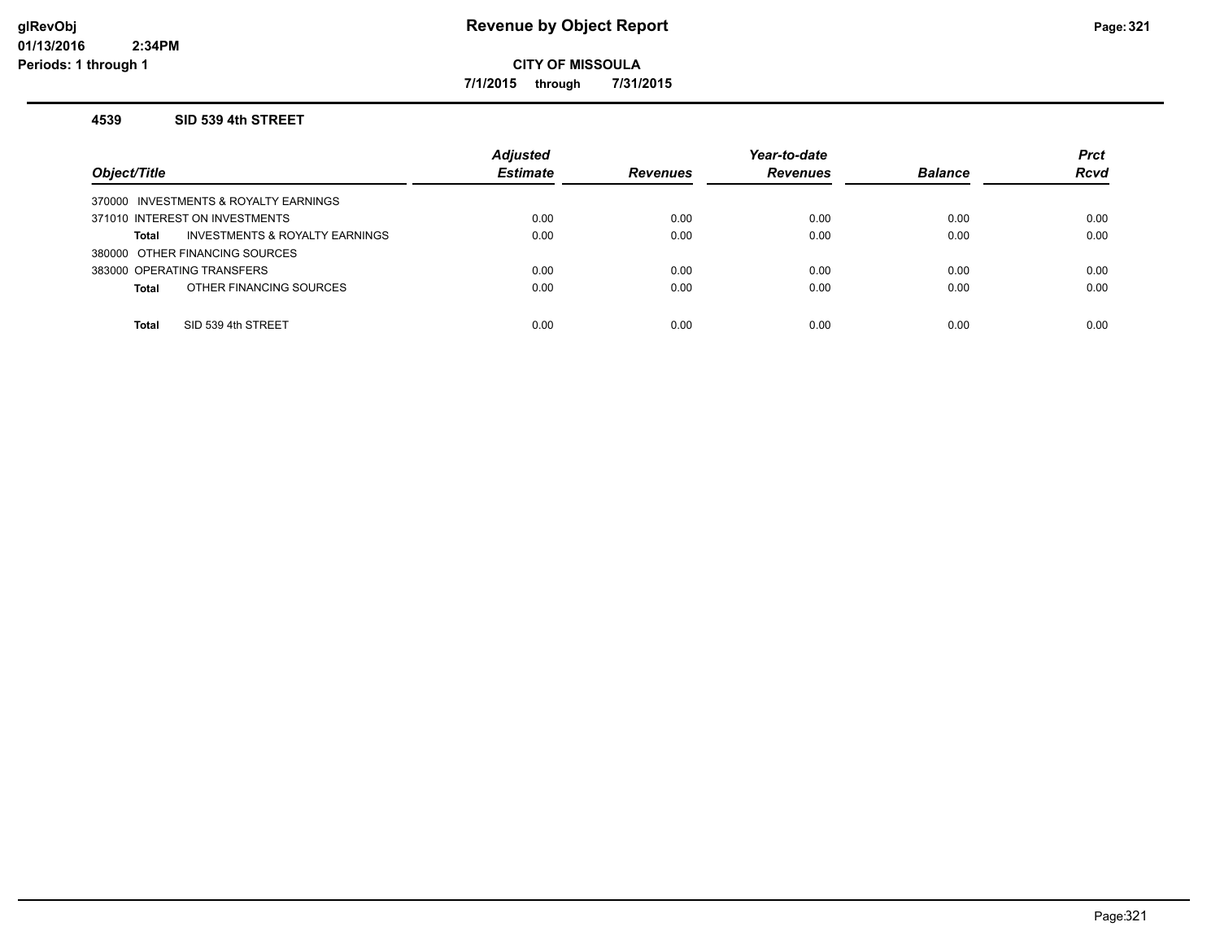**7/1/2015 through 7/31/2015**

#### **4539 SID 539 4th STREET**

| Object/Title                            | <b>Adjusted</b><br><b>Estimate</b> | <b>Revenues</b> | Year-to-date<br><b>Revenues</b> | <b>Balance</b> | <b>Prct</b><br><b>Rcvd</b> |
|-----------------------------------------|------------------------------------|-----------------|---------------------------------|----------------|----------------------------|
| 370000 INVESTMENTS & ROYALTY EARNINGS   |                                    |                 |                                 |                |                            |
| 371010 INTEREST ON INVESTMENTS          | 0.00                               | 0.00            | 0.00                            | 0.00           | 0.00                       |
| INVESTMENTS & ROYALTY EARNINGS<br>Total | 0.00                               | 0.00            | 0.00                            | 0.00           | 0.00                       |
| 380000 OTHER FINANCING SOURCES          |                                    |                 |                                 |                |                            |
| 383000 OPERATING TRANSFERS              | 0.00                               | 0.00            | 0.00                            | 0.00           | 0.00                       |
| OTHER FINANCING SOURCES<br><b>Total</b> | 0.00                               | 0.00            | 0.00                            | 0.00           | 0.00                       |
|                                         |                                    |                 |                                 |                |                            |
| SID 539 4th STREET<br><b>Total</b>      | 0.00                               | 0.00            | 0.00                            | 0.00           | 0.00                       |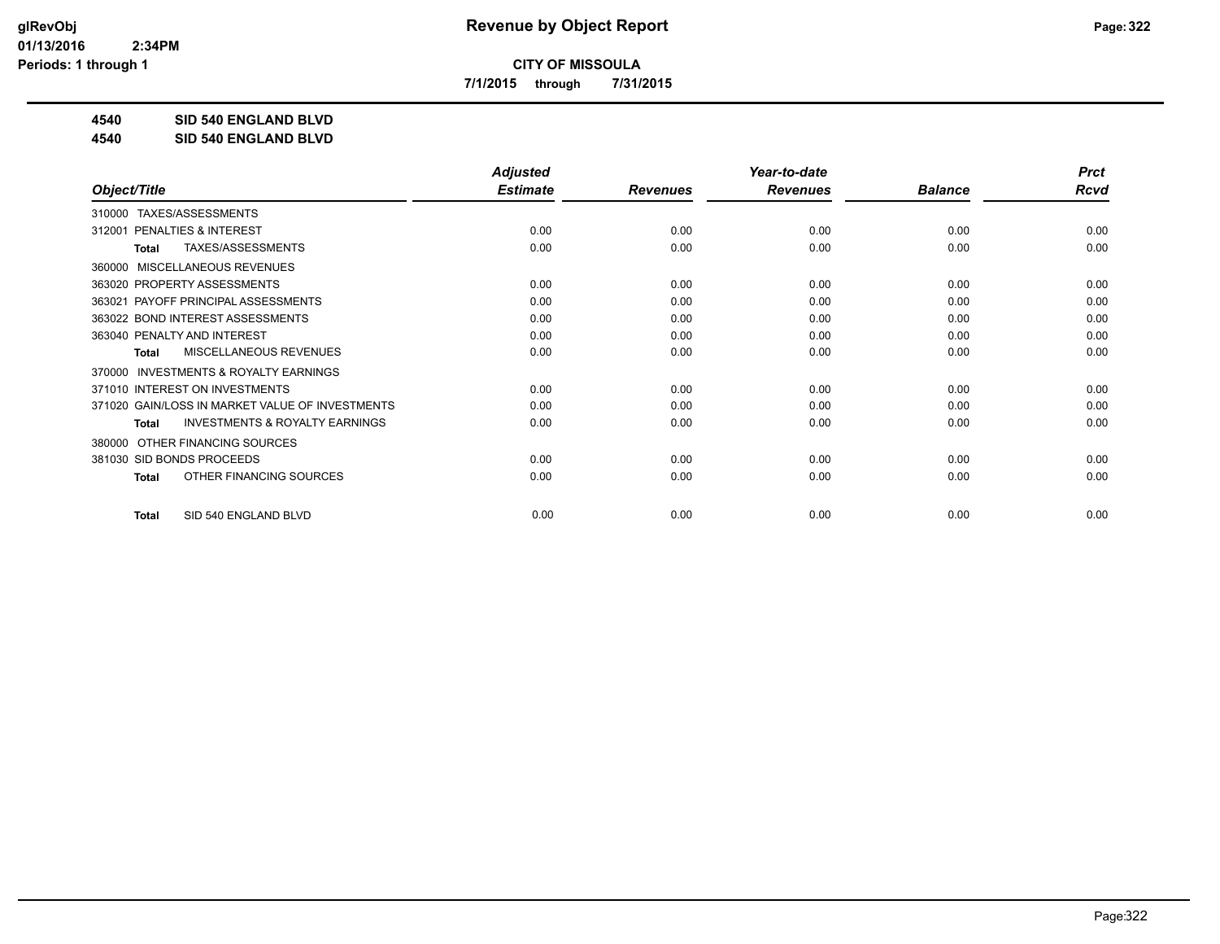**7/1/2015 through 7/31/2015**

**4540 SID 540 ENGLAND BLVD**

**4540 SID 540 ENGLAND BLVD**

| <b>Adjusted</b> |                 | Year-to-date    |                | <b>Prct</b> |
|-----------------|-----------------|-----------------|----------------|-------------|
| <b>Estimate</b> | <b>Revenues</b> | <b>Revenues</b> | <b>Balance</b> | <b>Rcvd</b> |
|                 |                 |                 |                |             |
| 0.00            | 0.00            | 0.00            | 0.00           | 0.00        |
| 0.00            | 0.00            | 0.00            | 0.00           | 0.00        |
|                 |                 |                 |                |             |
| 0.00            | 0.00            | 0.00            | 0.00           | 0.00        |
| 0.00            | 0.00            | 0.00            | 0.00           | 0.00        |
| 0.00            | 0.00            | 0.00            | 0.00           | 0.00        |
| 0.00            | 0.00            | 0.00            | 0.00           | 0.00        |
| 0.00            | 0.00            | 0.00            | 0.00           | 0.00        |
|                 |                 |                 |                |             |
| 0.00            | 0.00            | 0.00            | 0.00           | 0.00        |
| 0.00            | 0.00            | 0.00            | 0.00           | 0.00        |
| 0.00            | 0.00            | 0.00            | 0.00           | 0.00        |
|                 |                 |                 |                |             |
| 0.00            | 0.00            | 0.00            | 0.00           | 0.00        |
| 0.00            | 0.00            | 0.00            | 0.00           | 0.00        |
| 0.00            | 0.00            | 0.00            | 0.00           | 0.00        |
|                 |                 |                 |                |             |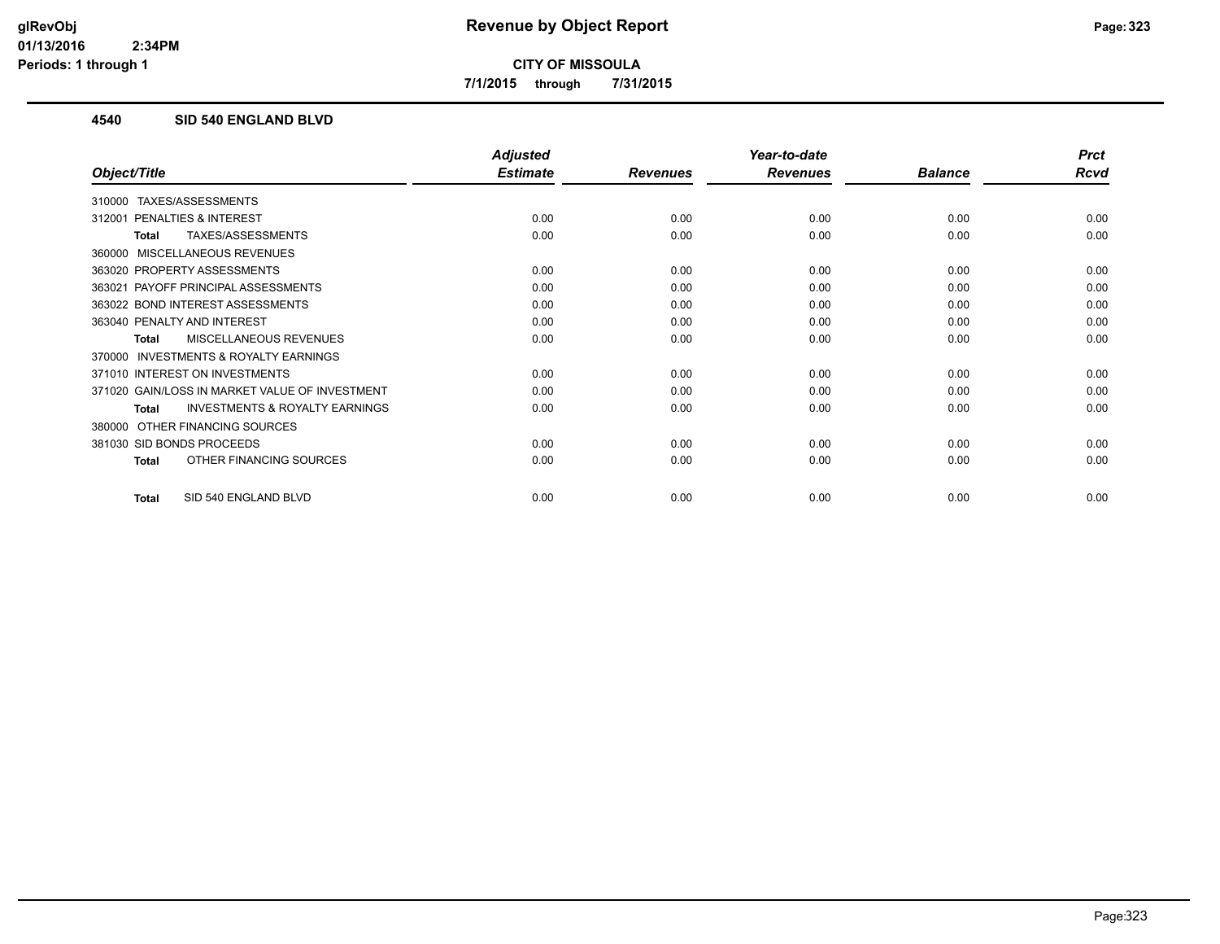**7/1/2015 through 7/31/2015**

### **4540 SID 540 ENGLAND BLVD**

|                                                           | <b>Adjusted</b> |                 | Year-to-date    |                | <b>Prct</b> |
|-----------------------------------------------------------|-----------------|-----------------|-----------------|----------------|-------------|
| Object/Title                                              | <b>Estimate</b> | <b>Revenues</b> | <b>Revenues</b> | <b>Balance</b> | <b>Rcvd</b> |
| TAXES/ASSESSMENTS<br>310000                               |                 |                 |                 |                |             |
| <b>PENALTIES &amp; INTEREST</b><br>312001                 | 0.00            | 0.00            | 0.00            | 0.00           | 0.00        |
| TAXES/ASSESSMENTS<br><b>Total</b>                         | 0.00            | 0.00            | 0.00            | 0.00           | 0.00        |
| MISCELLANEOUS REVENUES<br>360000                          |                 |                 |                 |                |             |
| 363020 PROPERTY ASSESSMENTS                               | 0.00            | 0.00            | 0.00            | 0.00           | 0.00        |
| PAYOFF PRINCIPAL ASSESSMENTS<br>363021                    | 0.00            | 0.00            | 0.00            | 0.00           | 0.00        |
| 363022 BOND INTEREST ASSESSMENTS                          | 0.00            | 0.00            | 0.00            | 0.00           | 0.00        |
| 363040 PENALTY AND INTEREST                               | 0.00            | 0.00            | 0.00            | 0.00           | 0.00        |
| <b>MISCELLANEOUS REVENUES</b><br>Total                    | 0.00            | 0.00            | 0.00            | 0.00           | 0.00        |
| INVESTMENTS & ROYALTY EARNINGS<br>370000                  |                 |                 |                 |                |             |
| 371010 INTEREST ON INVESTMENTS                            | 0.00            | 0.00            | 0.00            | 0.00           | 0.00        |
| 371020 GAIN/LOSS IN MARKET VALUE OF INVESTMENT            | 0.00            | 0.00            | 0.00            | 0.00           | 0.00        |
| <b>INVESTMENTS &amp; ROYALTY EARNINGS</b><br><b>Total</b> | 0.00            | 0.00            | 0.00            | 0.00           | 0.00        |
| OTHER FINANCING SOURCES<br>380000                         |                 |                 |                 |                |             |
| 381030 SID BONDS PROCEEDS                                 | 0.00            | 0.00            | 0.00            | 0.00           | 0.00        |
| OTHER FINANCING SOURCES<br>Total                          | 0.00            | 0.00            | 0.00            | 0.00           | 0.00        |
| SID 540 ENGLAND BLVD<br><b>Total</b>                      | 0.00            | 0.00            | 0.00            | 0.00           | 0.00        |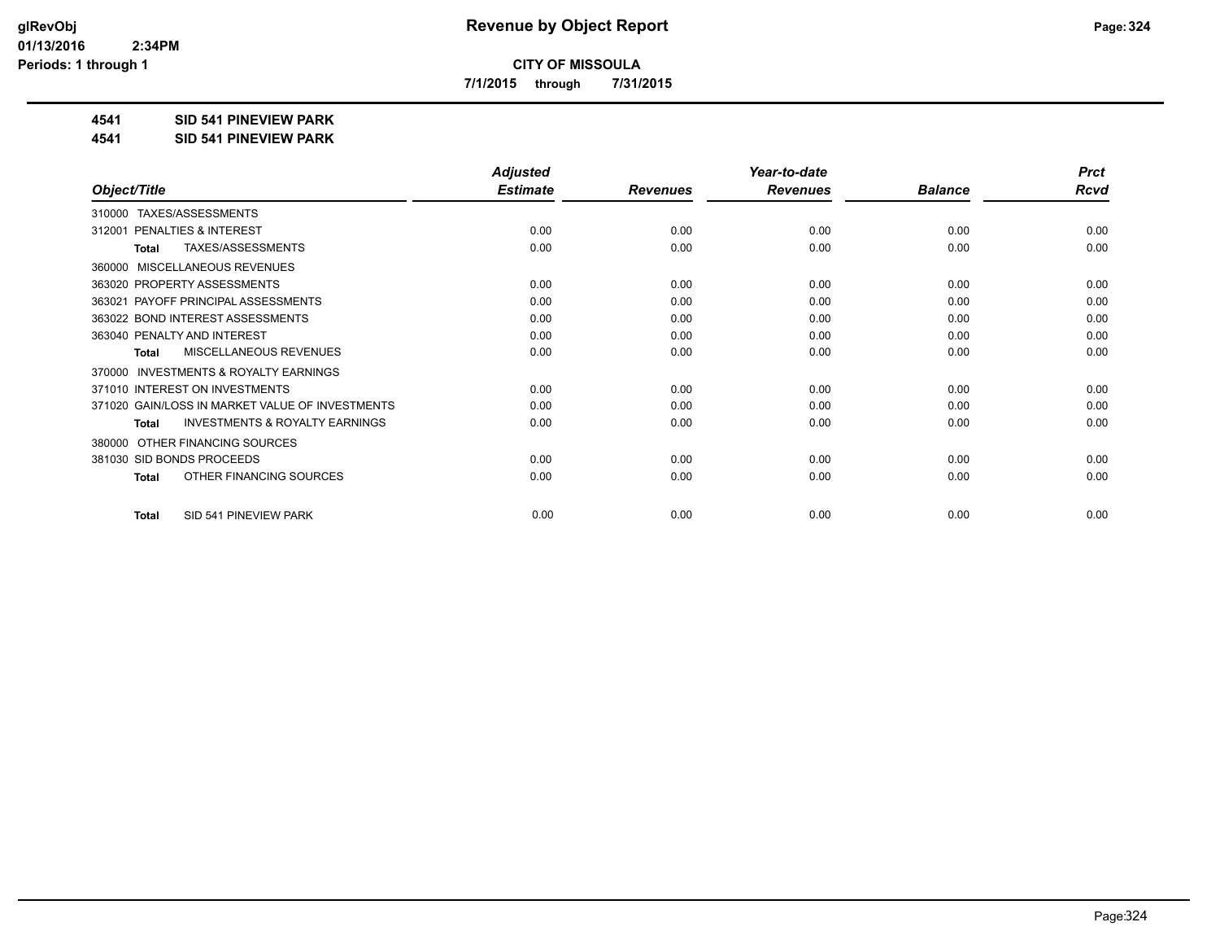**7/1/2015 through 7/31/2015**

### **4541 SID 541 PINEVIEW PARK**

**4541 SID 541 PINEVIEW PARK**

|                                                           | <b>Adjusted</b> |                 | Year-to-date    |                | <b>Prct</b> |
|-----------------------------------------------------------|-----------------|-----------------|-----------------|----------------|-------------|
| Object/Title                                              | <b>Estimate</b> | <b>Revenues</b> | <b>Revenues</b> | <b>Balance</b> | <b>Rcvd</b> |
| TAXES/ASSESSMENTS<br>310000                               |                 |                 |                 |                |             |
| <b>PENALTIES &amp; INTEREST</b><br>312001                 | 0.00            | 0.00            | 0.00            | 0.00           | 0.00        |
| TAXES/ASSESSMENTS<br><b>Total</b>                         | 0.00            | 0.00            | 0.00            | 0.00           | 0.00        |
| MISCELLANEOUS REVENUES<br>360000                          |                 |                 |                 |                |             |
| 363020 PROPERTY ASSESSMENTS                               | 0.00            | 0.00            | 0.00            | 0.00           | 0.00        |
| PAYOFF PRINCIPAL ASSESSMENTS<br>363021                    | 0.00            | 0.00            | 0.00            | 0.00           | 0.00        |
| 363022 BOND INTEREST ASSESSMENTS                          | 0.00            | 0.00            | 0.00            | 0.00           | 0.00        |
| 363040 PENALTY AND INTEREST                               | 0.00            | 0.00            | 0.00            | 0.00           | 0.00        |
| <b>MISCELLANEOUS REVENUES</b><br><b>Total</b>             | 0.00            | 0.00            | 0.00            | 0.00           | 0.00        |
| <b>INVESTMENTS &amp; ROYALTY EARNINGS</b><br>370000       |                 |                 |                 |                |             |
| 371010 INTEREST ON INVESTMENTS                            | 0.00            | 0.00            | 0.00            | 0.00           | 0.00        |
| 371020 GAIN/LOSS IN MARKET VALUE OF INVESTMENTS           | 0.00            | 0.00            | 0.00            | 0.00           | 0.00        |
| <b>INVESTMENTS &amp; ROYALTY EARNINGS</b><br><b>Total</b> | 0.00            | 0.00            | 0.00            | 0.00           | 0.00        |
| OTHER FINANCING SOURCES<br>380000                         |                 |                 |                 |                |             |
| 381030 SID BONDS PROCEEDS                                 | 0.00            | 0.00            | 0.00            | 0.00           | 0.00        |
| OTHER FINANCING SOURCES<br><b>Total</b>                   | 0.00            | 0.00            | 0.00            | 0.00           | 0.00        |
| SID 541 PINEVIEW PARK<br><b>Total</b>                     | 0.00            | 0.00            | 0.00            | 0.00           | 0.00        |
|                                                           |                 |                 |                 |                |             |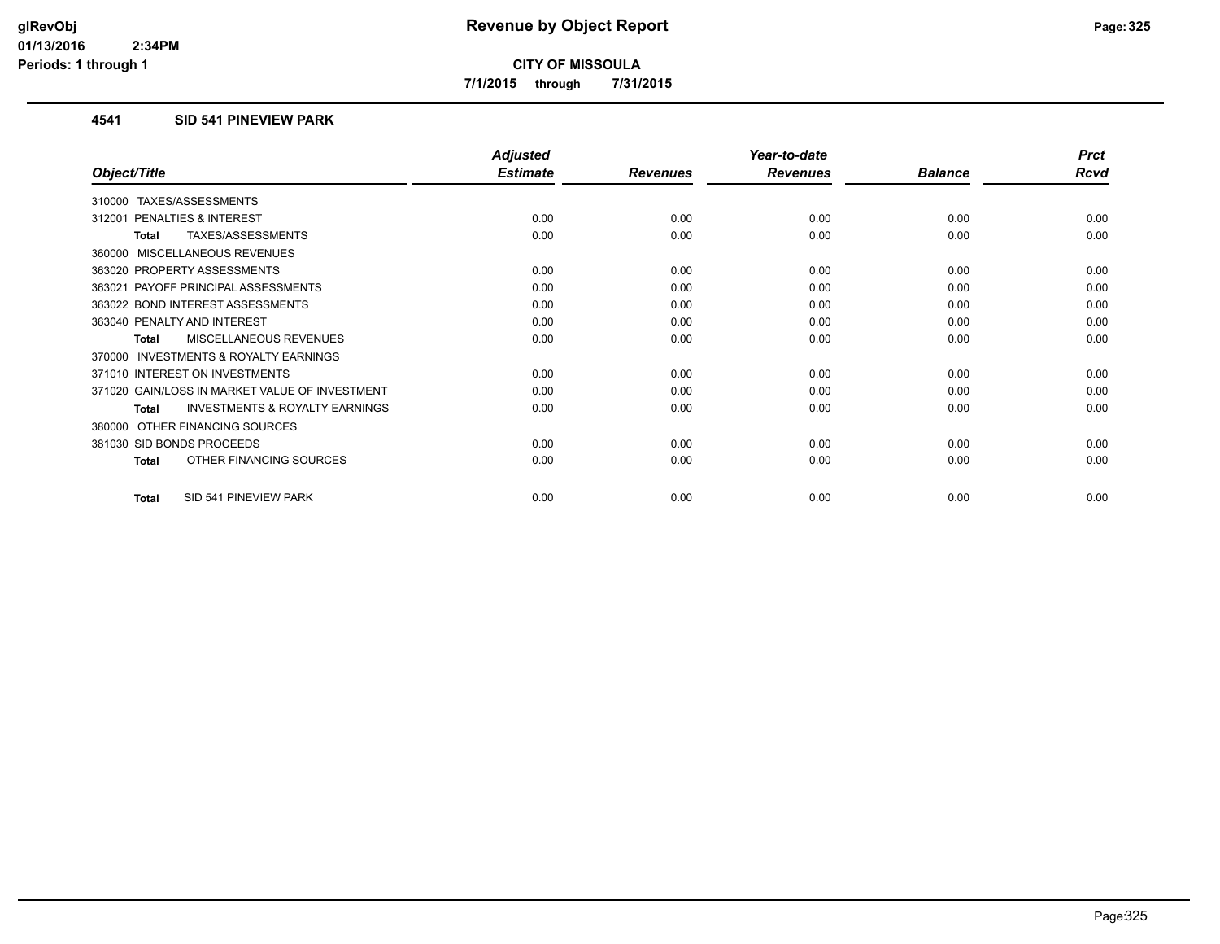**7/1/2015 through 7/31/2015**

#### **4541 SID 541 PINEVIEW PARK**

|                                                           | <b>Adjusted</b> |                 | Year-to-date    |                | <b>Prct</b> |
|-----------------------------------------------------------|-----------------|-----------------|-----------------|----------------|-------------|
| Object/Title                                              | <b>Estimate</b> | <b>Revenues</b> | <b>Revenues</b> | <b>Balance</b> | <b>Rcvd</b> |
| TAXES/ASSESSMENTS<br>310000                               |                 |                 |                 |                |             |
| <b>PENALTIES &amp; INTEREST</b><br>312001                 | 0.00            | 0.00            | 0.00            | 0.00           | 0.00        |
| TAXES/ASSESSMENTS<br><b>Total</b>                         | 0.00            | 0.00            | 0.00            | 0.00           | 0.00        |
| MISCELLANEOUS REVENUES<br>360000                          |                 |                 |                 |                |             |
| 363020 PROPERTY ASSESSMENTS                               | 0.00            | 0.00            | 0.00            | 0.00           | 0.00        |
| PAYOFF PRINCIPAL ASSESSMENTS<br>363021                    | 0.00            | 0.00            | 0.00            | 0.00           | 0.00        |
| 363022 BOND INTEREST ASSESSMENTS                          | 0.00            | 0.00            | 0.00            | 0.00           | 0.00        |
| 363040 PENALTY AND INTEREST                               | 0.00            | 0.00            | 0.00            | 0.00           | 0.00        |
| <b>MISCELLANEOUS REVENUES</b><br>Total                    | 0.00            | 0.00            | 0.00            | 0.00           | 0.00        |
| INVESTMENTS & ROYALTY EARNINGS<br>370000                  |                 |                 |                 |                |             |
| 371010 INTEREST ON INVESTMENTS                            | 0.00            | 0.00            | 0.00            | 0.00           | 0.00        |
| 371020 GAIN/LOSS IN MARKET VALUE OF INVESTMENT            | 0.00            | 0.00            | 0.00            | 0.00           | 0.00        |
| <b>INVESTMENTS &amp; ROYALTY EARNINGS</b><br><b>Total</b> | 0.00            | 0.00            | 0.00            | 0.00           | 0.00        |
| OTHER FINANCING SOURCES<br>380000                         |                 |                 |                 |                |             |
| 381030 SID BONDS PROCEEDS                                 | 0.00            | 0.00            | 0.00            | 0.00           | 0.00        |
| OTHER FINANCING SOURCES<br>Total                          | 0.00            | 0.00            | 0.00            | 0.00           | 0.00        |
| SID 541 PINEVIEW PARK<br><b>Total</b>                     | 0.00            | 0.00            | 0.00            | 0.00           | 0.00        |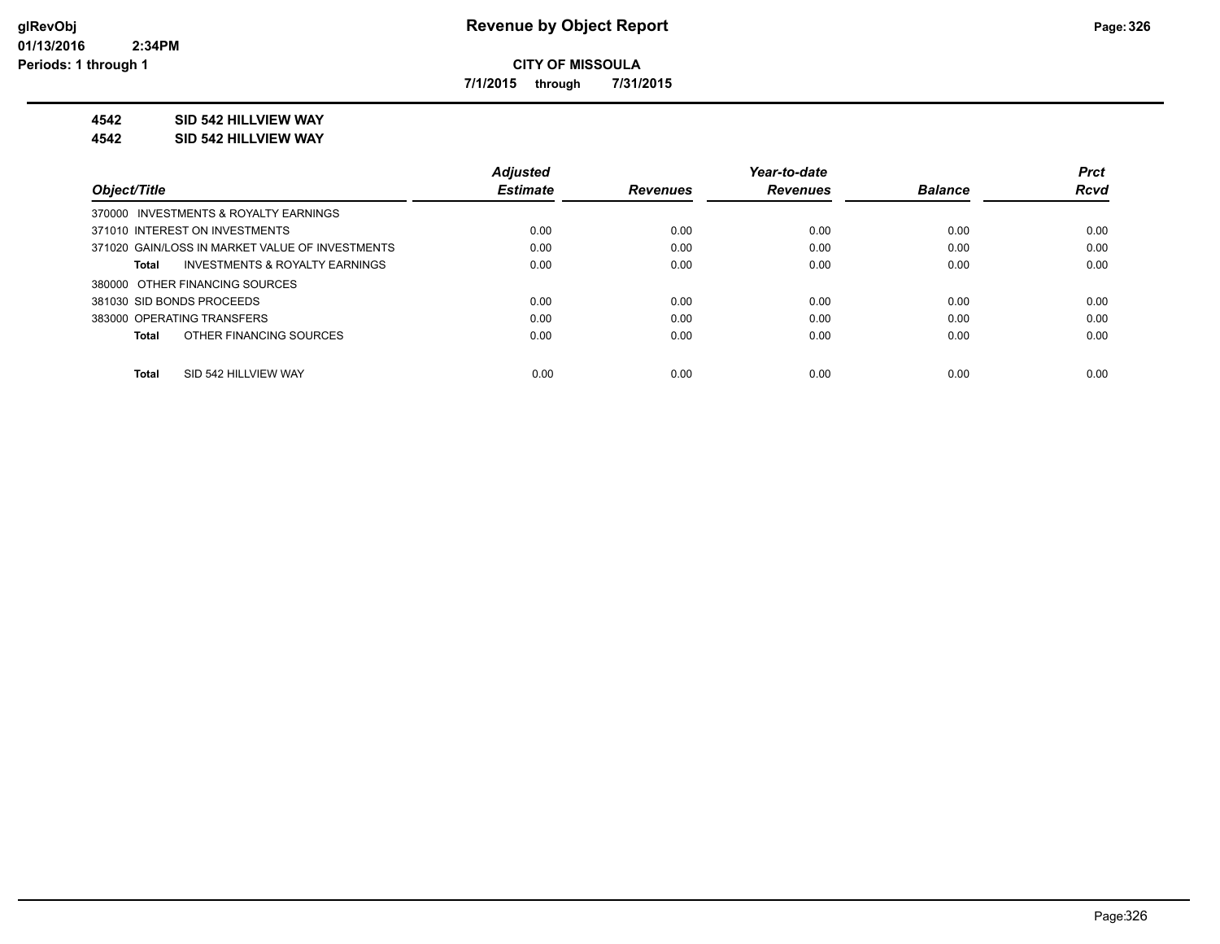**7/1/2015 through 7/31/2015**

#### **4542 SID 542 HILLVIEW WAY**

#### **4542 SID 542 HILLVIEW WAY**

|                                                    | <b>Adjusted</b> |                 | Year-to-date    |                | <b>Prct</b> |
|----------------------------------------------------|-----------------|-----------------|-----------------|----------------|-------------|
| Object/Title                                       | <b>Estimate</b> | <b>Revenues</b> | <b>Revenues</b> | <b>Balance</b> | <b>Rcvd</b> |
| 370000 INVESTMENTS & ROYALTY EARNINGS              |                 |                 |                 |                |             |
| 371010 INTEREST ON INVESTMENTS                     | 0.00            | 0.00            | 0.00            | 0.00           | 0.00        |
| 371020 GAIN/LOSS IN MARKET VALUE OF INVESTMENTS    | 0.00            | 0.00            | 0.00            | 0.00           | 0.00        |
| <b>INVESTMENTS &amp; ROYALTY EARNINGS</b><br>Total | 0.00            | 0.00            | 0.00            | 0.00           | 0.00        |
| 380000 OTHER FINANCING SOURCES                     |                 |                 |                 |                |             |
| 381030 SID BONDS PROCEEDS                          | 0.00            | 0.00            | 0.00            | 0.00           | 0.00        |
| 383000 OPERATING TRANSFERS                         | 0.00            | 0.00            | 0.00            | 0.00           | 0.00        |
| OTHER FINANCING SOURCES<br>Total                   | 0.00            | 0.00            | 0.00            | 0.00           | 0.00        |
|                                                    |                 |                 |                 |                |             |
| SID 542 HILLVIEW WAY<br>Total                      | 0.00            | 0.00            | 0.00            | 0.00           | 0.00        |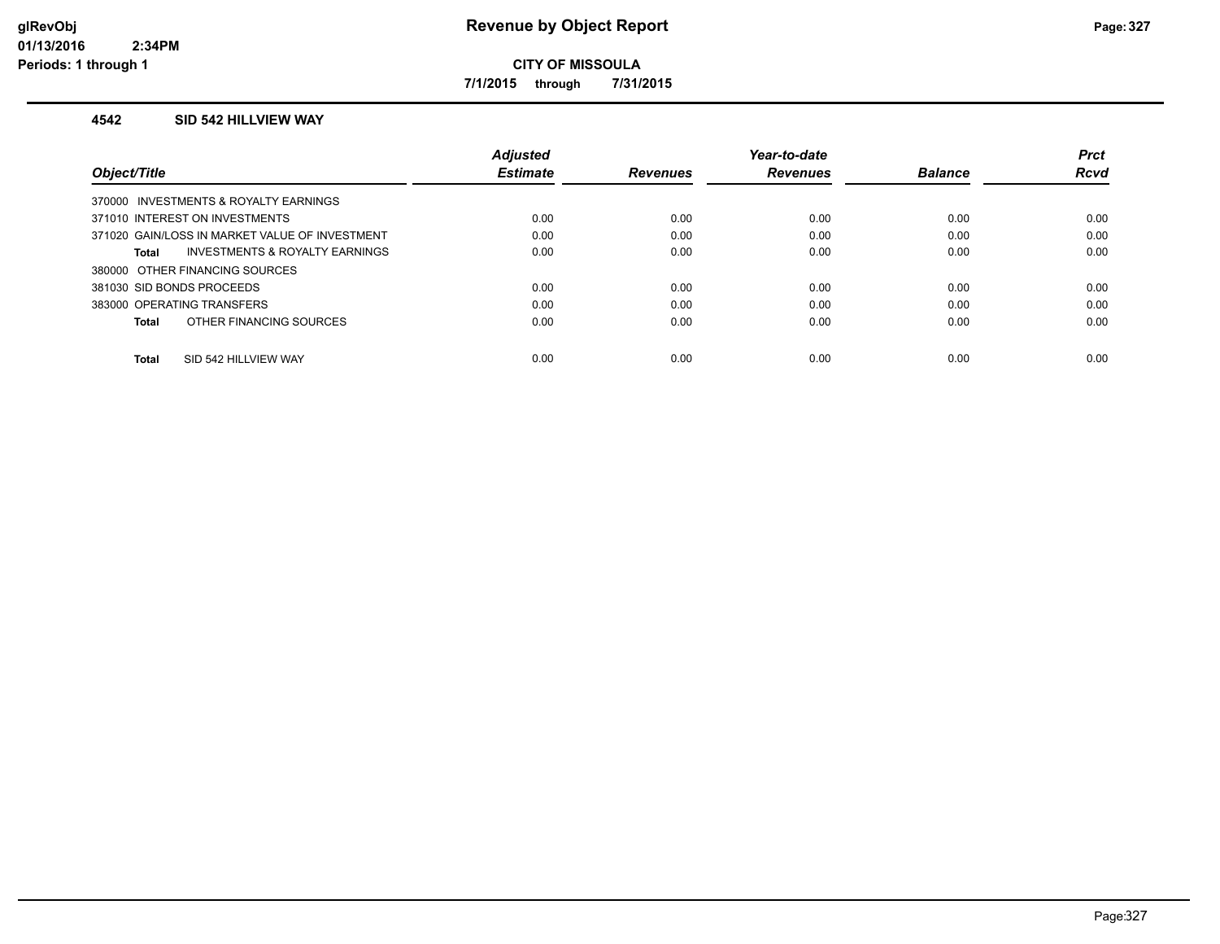**7/1/2015 through 7/31/2015**

#### **4542 SID 542 HILLVIEW WAY**

|                                                | Adjusted        |                 | Year-to-date    |                | <b>Prct</b> |
|------------------------------------------------|-----------------|-----------------|-----------------|----------------|-------------|
| Object/Title                                   | <b>Estimate</b> | <b>Revenues</b> | <b>Revenues</b> | <b>Balance</b> | <b>Rcvd</b> |
| 370000 INVESTMENTS & ROYALTY EARNINGS          |                 |                 |                 |                |             |
| 371010 INTEREST ON INVESTMENTS                 | 0.00            | 0.00            | 0.00            | 0.00           | 0.00        |
| 371020 GAIN/LOSS IN MARKET VALUE OF INVESTMENT | 0.00            | 0.00            | 0.00            | 0.00           | 0.00        |
| INVESTMENTS & ROYALTY EARNINGS<br>Total        | 0.00            | 0.00            | 0.00            | 0.00           | 0.00        |
| 380000 OTHER FINANCING SOURCES                 |                 |                 |                 |                |             |
| 381030 SID BONDS PROCEEDS                      | 0.00            | 0.00            | 0.00            | 0.00           | 0.00        |
| 383000 OPERATING TRANSFERS                     | 0.00            | 0.00            | 0.00            | 0.00           | 0.00        |
| OTHER FINANCING SOURCES<br>Total               | 0.00            | 0.00            | 0.00            | 0.00           | 0.00        |
| SID 542 HILLVIEW WAY<br><b>Total</b>           | 0.00            | 0.00            | 0.00            | 0.00           | 0.00        |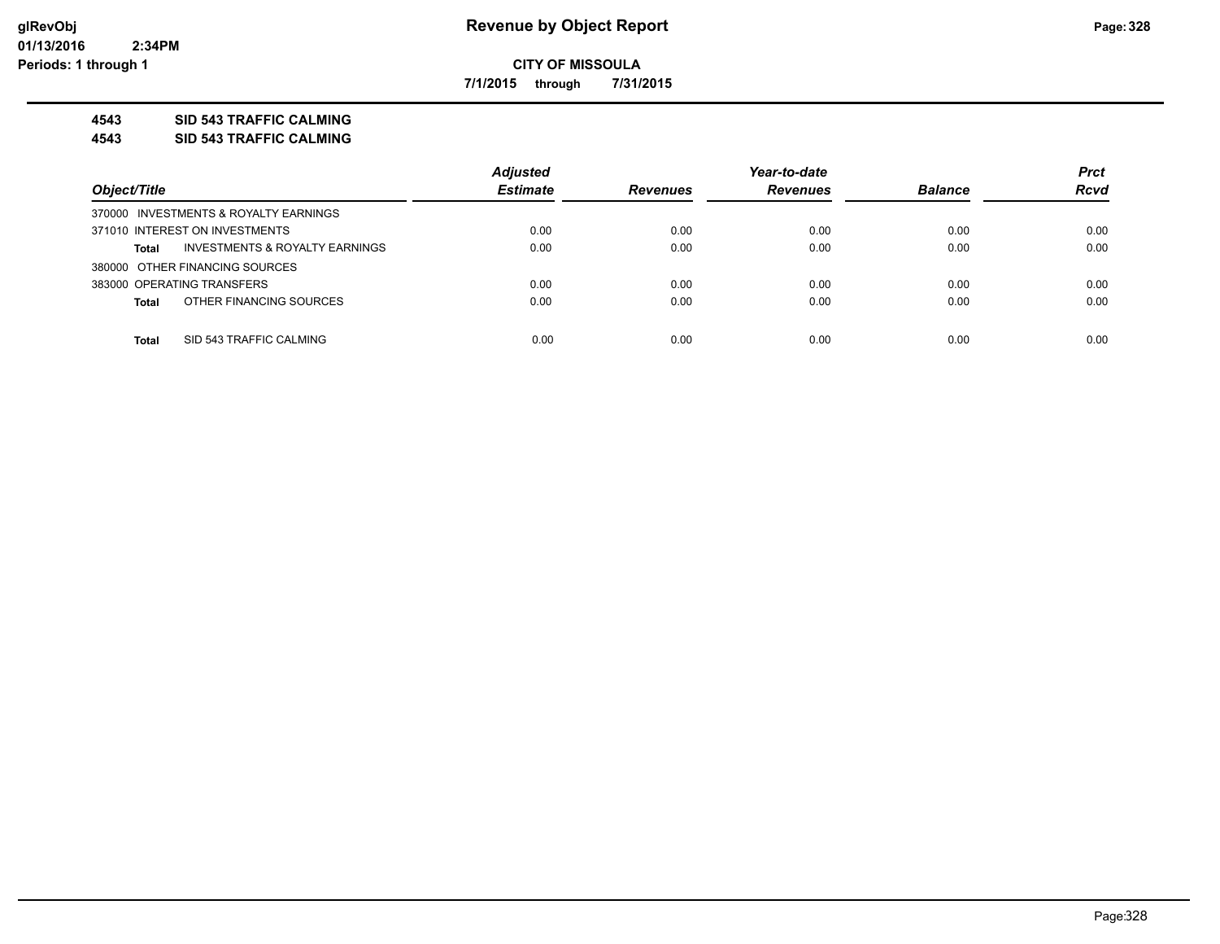**7/1/2015 through 7/31/2015**

#### **4543 SID 543 TRAFFIC CALMING**

**4543 SID 543 TRAFFIC CALMING**

|                                                    | <b>Adjusted</b> |                 | Year-to-date    |                | <b>Prct</b> |
|----------------------------------------------------|-----------------|-----------------|-----------------|----------------|-------------|
| Object/Title                                       | <b>Estimate</b> | <b>Revenues</b> | <b>Revenues</b> | <b>Balance</b> | <b>Rcvd</b> |
| 370000 INVESTMENTS & ROYALTY EARNINGS              |                 |                 |                 |                |             |
| 371010 INTEREST ON INVESTMENTS                     | 0.00            | 0.00            | 0.00            | 0.00           | 0.00        |
| <b>INVESTMENTS &amp; ROYALTY EARNINGS</b><br>Total | 0.00            | 0.00            | 0.00            | 0.00           | 0.00        |
| 380000 OTHER FINANCING SOURCES                     |                 |                 |                 |                |             |
| 383000 OPERATING TRANSFERS                         | 0.00            | 0.00            | 0.00            | 0.00           | 0.00        |
| OTHER FINANCING SOURCES<br><b>Total</b>            | 0.00            | 0.00            | 0.00            | 0.00           | 0.00        |
|                                                    |                 |                 |                 |                |             |
| SID 543 TRAFFIC CALMING<br><b>Total</b>            | 0.00            | 0.00            | 0.00            | 0.00           | 0.00        |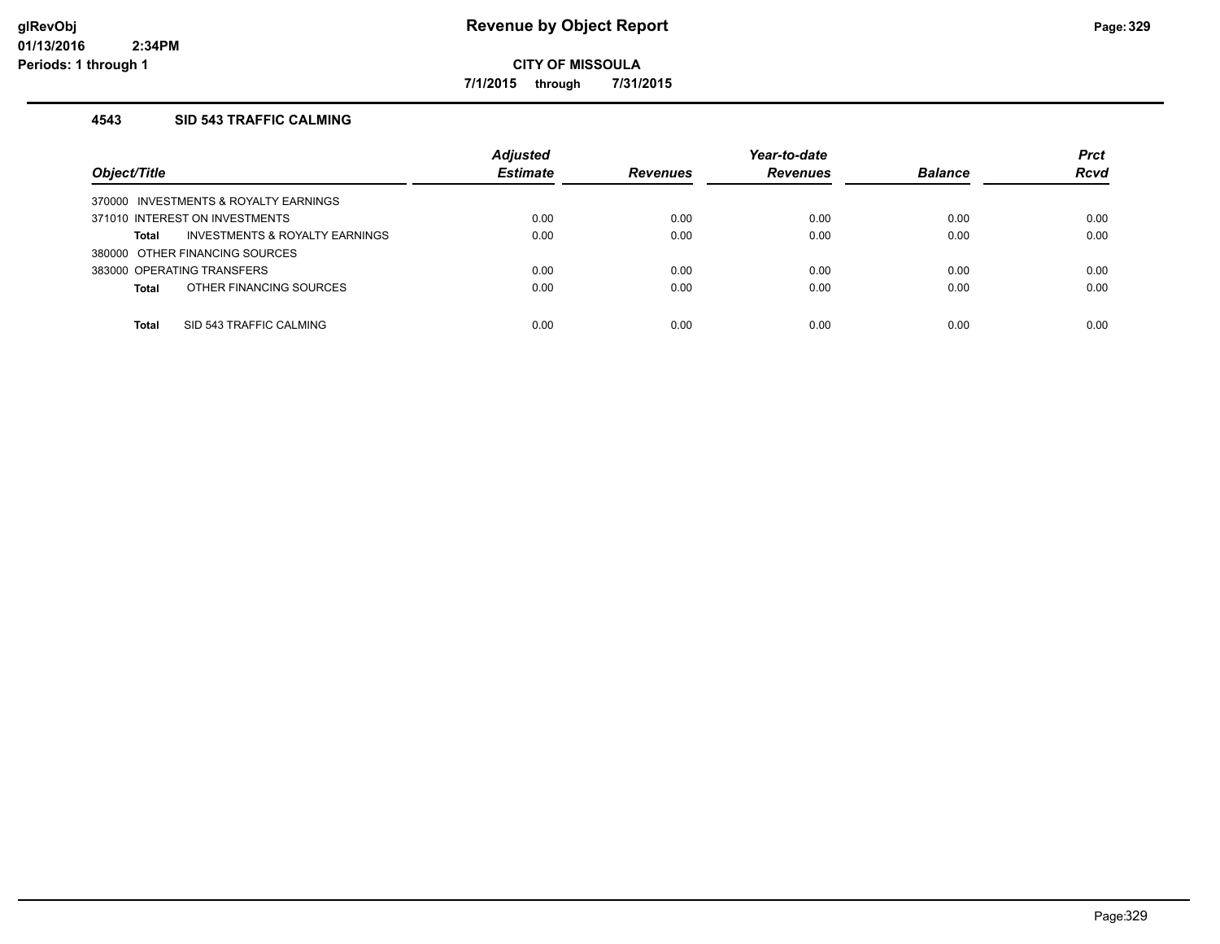**7/1/2015 through 7/31/2015**

#### **4543 SID 543 TRAFFIC CALMING**

| Object/Title                            | <b>Adjusted</b><br><b>Estimate</b> | <b>Revenues</b> | Year-to-date<br><b>Revenues</b> | <b>Balance</b> | <b>Prct</b><br><b>Rcvd</b> |
|-----------------------------------------|------------------------------------|-----------------|---------------------------------|----------------|----------------------------|
| 370000 INVESTMENTS & ROYALTY EARNINGS   |                                    |                 |                                 |                |                            |
| 371010 INTEREST ON INVESTMENTS          | 0.00                               | 0.00            | 0.00                            | 0.00           | 0.00                       |
| INVESTMENTS & ROYALTY EARNINGS<br>Total | 0.00                               | 0.00            | 0.00                            | 0.00           | 0.00                       |
| 380000 OTHER FINANCING SOURCES          |                                    |                 |                                 |                |                            |
| 383000 OPERATING TRANSFERS              | 0.00                               | 0.00            | 0.00                            | 0.00           | 0.00                       |
| OTHER FINANCING SOURCES<br><b>Total</b> | 0.00                               | 0.00            | 0.00                            | 0.00           | 0.00                       |
|                                         |                                    |                 |                                 |                |                            |
| SID 543 TRAFFIC CALMING<br>Total        | 0.00                               | 0.00            | 0.00                            | 0.00           | 0.00                       |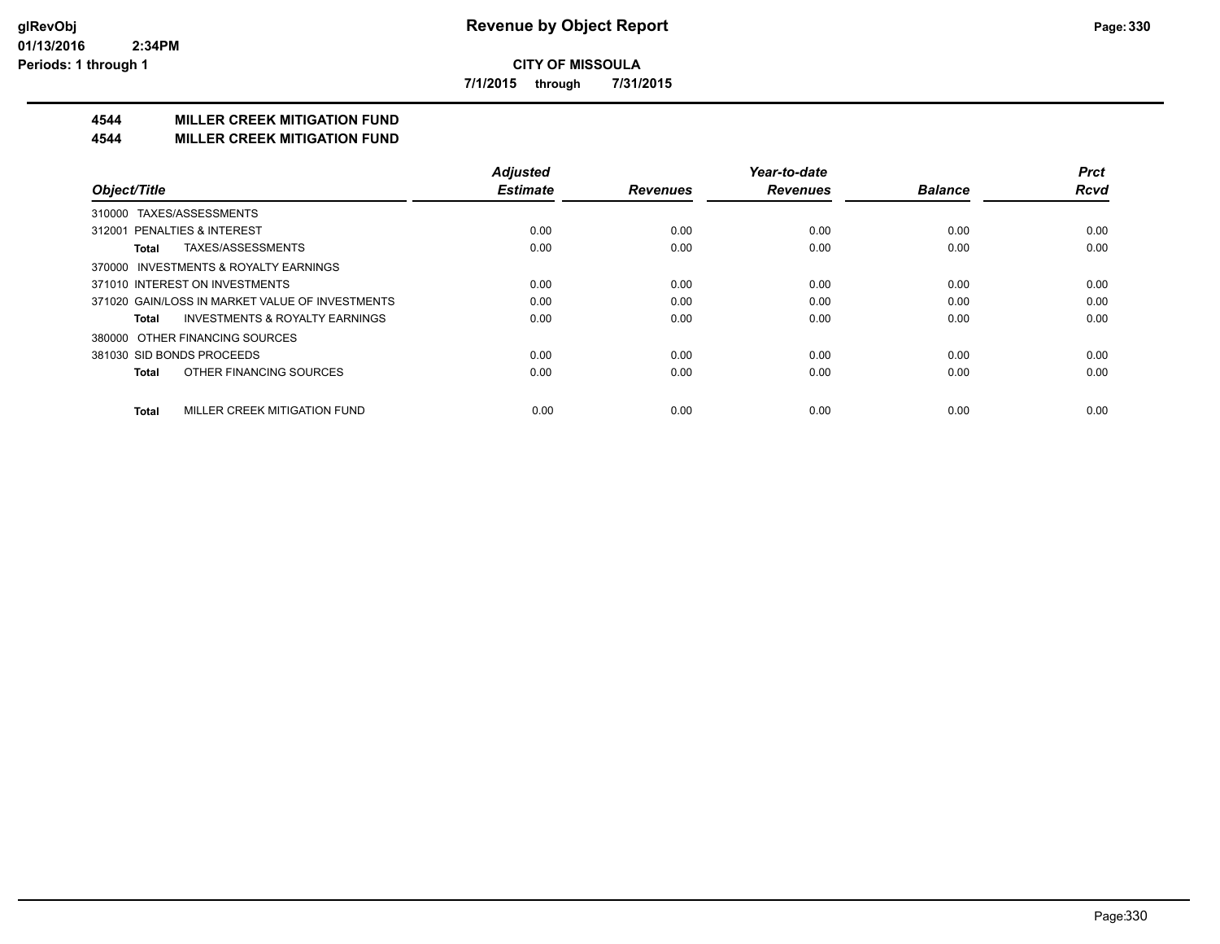**7/1/2015 through 7/31/2015**

## **4544 MILLER CREEK MITIGATION FUND**

#### **4544 MILLER CREEK MITIGATION FUND**

|                                                    | <b>Adjusted</b> |                 | Year-to-date    |                | <b>Prct</b> |
|----------------------------------------------------|-----------------|-----------------|-----------------|----------------|-------------|
| Object/Title                                       | <b>Estimate</b> | <b>Revenues</b> | <b>Revenues</b> | <b>Balance</b> | <b>Rcvd</b> |
| TAXES/ASSESSMENTS<br>310000                        |                 |                 |                 |                |             |
| 312001 PENALTIES & INTEREST                        | 0.00            | 0.00            | 0.00            | 0.00           | 0.00        |
| TAXES/ASSESSMENTS<br>Total                         | 0.00            | 0.00            | 0.00            | 0.00           | 0.00        |
| 370000 INVESTMENTS & ROYALTY EARNINGS              |                 |                 |                 |                |             |
| 371010 INTEREST ON INVESTMENTS                     | 0.00            | 0.00            | 0.00            | 0.00           | 0.00        |
| 371020 GAIN/LOSS IN MARKET VALUE OF INVESTMENTS    | 0.00            | 0.00            | 0.00            | 0.00           | 0.00        |
| <b>INVESTMENTS &amp; ROYALTY EARNINGS</b><br>Total | 0.00            | 0.00            | 0.00            | 0.00           | 0.00        |
| OTHER FINANCING SOURCES<br>380000                  |                 |                 |                 |                |             |
| 381030 SID BONDS PROCEEDS                          | 0.00            | 0.00            | 0.00            | 0.00           | 0.00        |
| OTHER FINANCING SOURCES<br><b>Total</b>            | 0.00            | 0.00            | 0.00            | 0.00           | 0.00        |
| MILLER CREEK MITIGATION FUND<br><b>Total</b>       | 0.00            | 0.00            | 0.00            | 0.00           | 0.00        |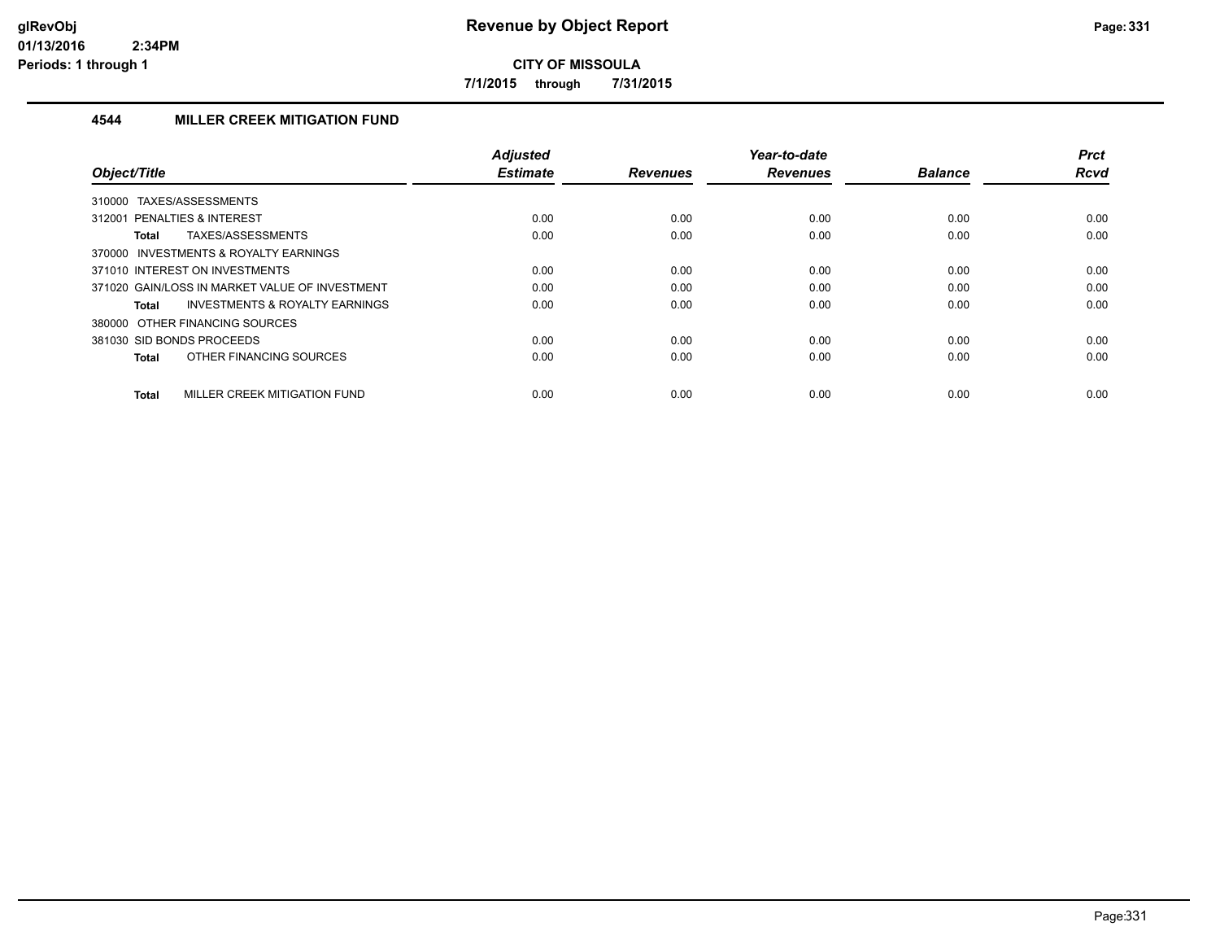**7/1/2015 through 7/31/2015**

#### **4544 MILLER CREEK MITIGATION FUND**

| Object/Title                                       | <b>Adjusted</b><br><b>Estimate</b> | <b>Revenues</b> | Year-to-date<br><b>Revenues</b> | <b>Balance</b> | <b>Prct</b><br><b>Rcvd</b> |
|----------------------------------------------------|------------------------------------|-----------------|---------------------------------|----------------|----------------------------|
| TAXES/ASSESSMENTS<br>310000                        |                                    |                 |                                 |                |                            |
| 312001 PENALTIES & INTEREST                        | 0.00                               | 0.00            | 0.00                            | 0.00           | 0.00                       |
| TAXES/ASSESSMENTS<br><b>Total</b>                  | 0.00                               | 0.00            | 0.00                            | 0.00           | 0.00                       |
| 370000 INVESTMENTS & ROYALTY EARNINGS              |                                    |                 |                                 |                |                            |
| 371010 INTEREST ON INVESTMENTS                     | 0.00                               | 0.00            | 0.00                            | 0.00           | 0.00                       |
| 371020 GAIN/LOSS IN MARKET VALUE OF INVESTMENT     | 0.00                               | 0.00            | 0.00                            | 0.00           | 0.00                       |
| <b>INVESTMENTS &amp; ROYALTY EARNINGS</b><br>Total | 0.00                               | 0.00            | 0.00                            | 0.00           | 0.00                       |
| 380000 OTHER FINANCING SOURCES                     |                                    |                 |                                 |                |                            |
| 381030 SID BONDS PROCEEDS                          | 0.00                               | 0.00            | 0.00                            | 0.00           | 0.00                       |
| OTHER FINANCING SOURCES<br>Total                   | 0.00                               | 0.00            | 0.00                            | 0.00           | 0.00                       |
| MILLER CREEK MITIGATION FUND<br>Total              | 0.00                               | 0.00            | 0.00                            | 0.00           | 0.00                       |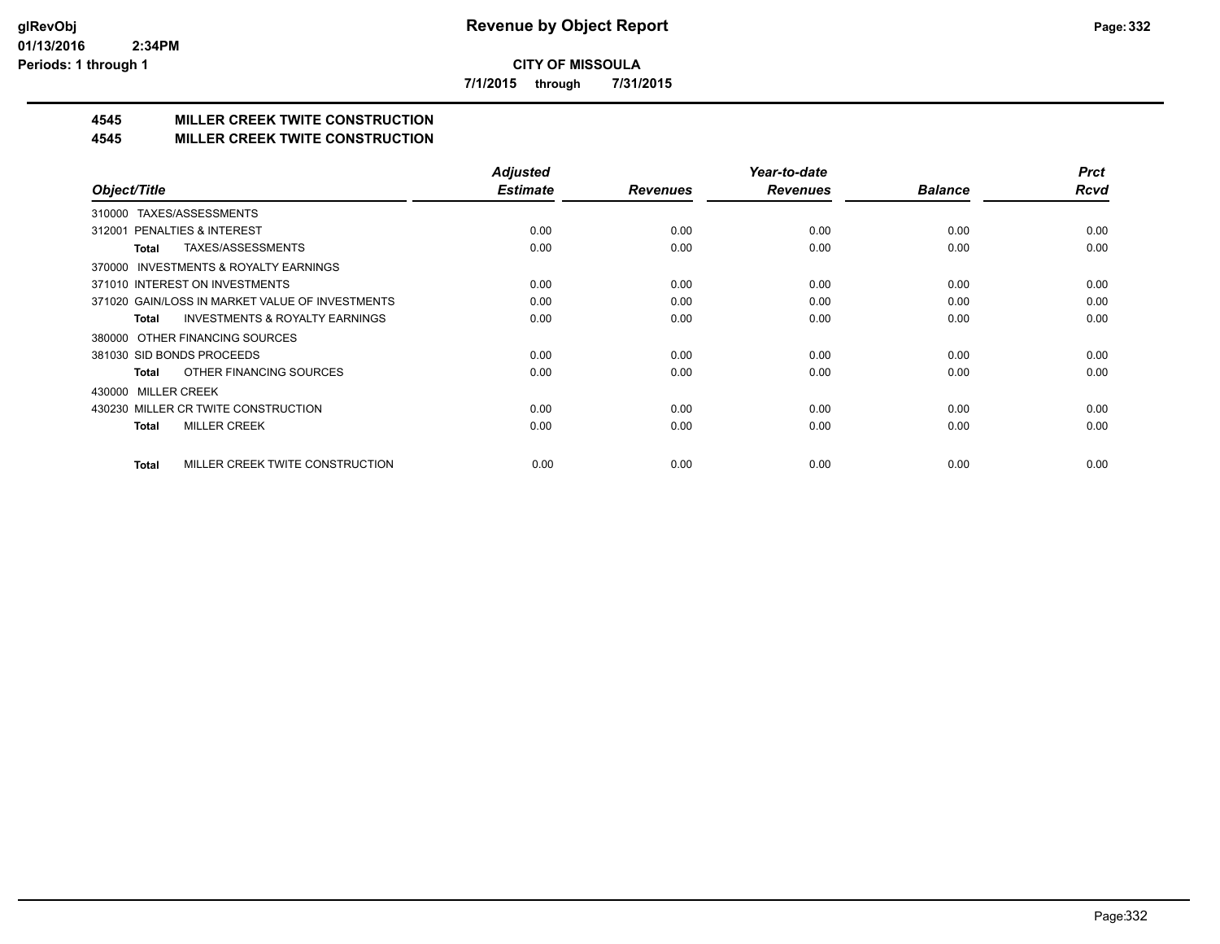**7/1/2015 through 7/31/2015**

# **4545 MILLER CREEK TWITE CONSTRUCTION**

#### **4545 MILLER CREEK TWITE CONSTRUCTION**

|                                                     | <b>Adjusted</b> |                 | Year-to-date    |                | <b>Prct</b> |
|-----------------------------------------------------|-----------------|-----------------|-----------------|----------------|-------------|
| Object/Title                                        | <b>Estimate</b> | <b>Revenues</b> | <b>Revenues</b> | <b>Balance</b> | <b>Rcvd</b> |
| TAXES/ASSESSMENTS<br>310000                         |                 |                 |                 |                |             |
| 312001 PENALTIES & INTEREST                         | 0.00            | 0.00            | 0.00            | 0.00           | 0.00        |
| TAXES/ASSESSMENTS<br>Total                          | 0.00            | 0.00            | 0.00            | 0.00           | 0.00        |
| <b>INVESTMENTS &amp; ROYALTY EARNINGS</b><br>370000 |                 |                 |                 |                |             |
| 371010 INTEREST ON INVESTMENTS                      | 0.00            | 0.00            | 0.00            | 0.00           | 0.00        |
| 371020 GAIN/LOSS IN MARKET VALUE OF INVESTMENTS     | 0.00            | 0.00            | 0.00            | 0.00           | 0.00        |
| <b>INVESTMENTS &amp; ROYALTY EARNINGS</b><br>Total  | 0.00            | 0.00            | 0.00            | 0.00           | 0.00        |
| 380000 OTHER FINANCING SOURCES                      |                 |                 |                 |                |             |
| 381030 SID BONDS PROCEEDS                           | 0.00            | 0.00            | 0.00            | 0.00           | 0.00        |
| OTHER FINANCING SOURCES<br>Total                    | 0.00            | 0.00            | 0.00            | 0.00           | 0.00        |
| 430000 MILLER CREEK                                 |                 |                 |                 |                |             |
| 430230 MILLER CR TWITE CONSTRUCTION                 | 0.00            | 0.00            | 0.00            | 0.00           | 0.00        |
| <b>MILLER CREEK</b><br><b>Total</b>                 | 0.00            | 0.00            | 0.00            | 0.00           | 0.00        |
|                                                     |                 |                 |                 |                |             |
| MILLER CREEK TWITE CONSTRUCTION<br>Total            | 0.00            | 0.00            | 0.00            | 0.00           | 0.00        |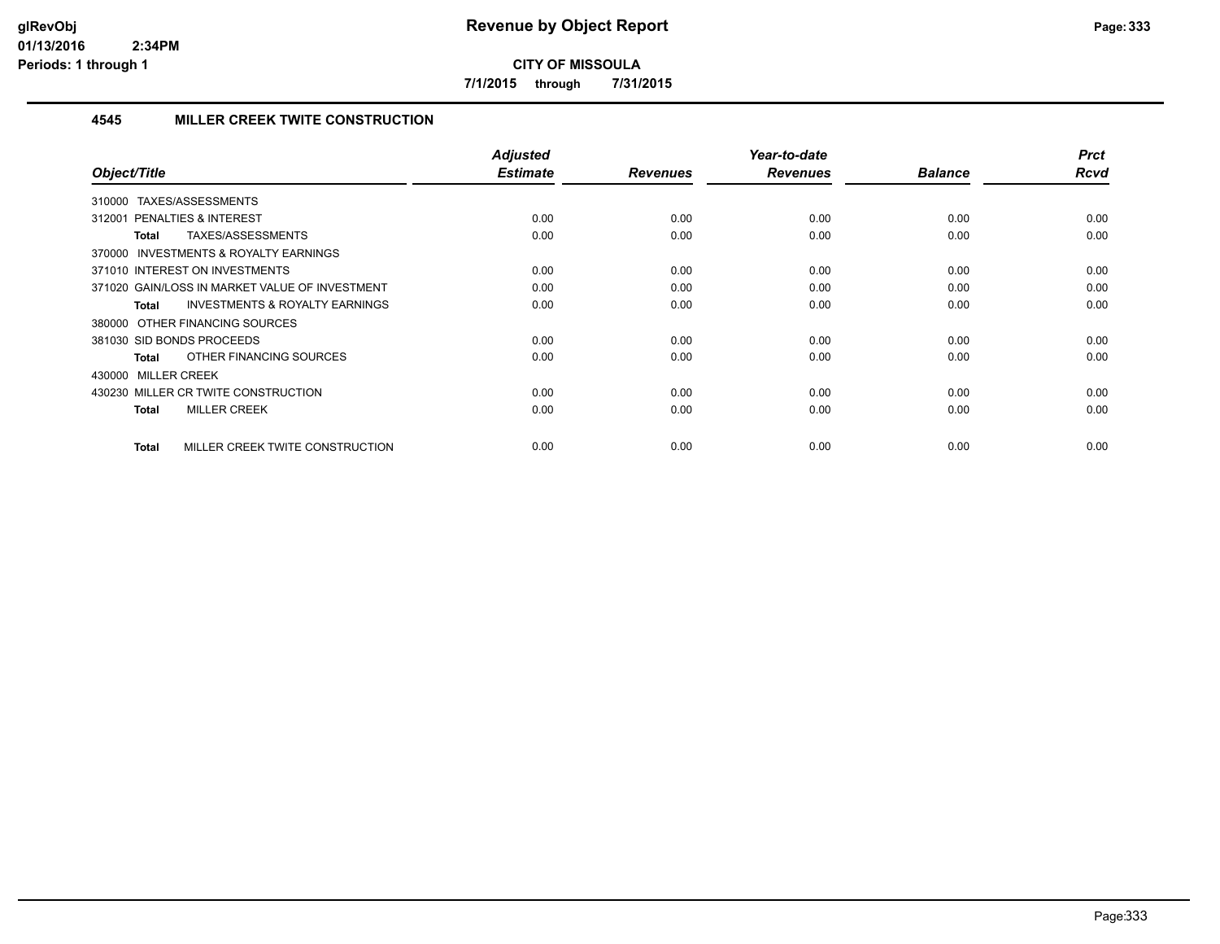**7/1/2015 through 7/31/2015**

#### **4545 MILLER CREEK TWITE CONSTRUCTION**

| Object/Title                                              | <b>Adjusted</b><br><b>Estimate</b> | <b>Revenues</b> | Year-to-date<br><b>Revenues</b> | <b>Balance</b> | <b>Prct</b><br><b>Rcvd</b> |
|-----------------------------------------------------------|------------------------------------|-----------------|---------------------------------|----------------|----------------------------|
| TAXES/ASSESSMENTS<br>310000                               |                                    |                 |                                 |                |                            |
| PENALTIES & INTEREST<br>312001                            | 0.00                               | 0.00            | 0.00                            | 0.00           | 0.00                       |
| TAXES/ASSESSMENTS<br><b>Total</b>                         | 0.00                               | 0.00            | 0.00                            | 0.00           | 0.00                       |
| INVESTMENTS & ROYALTY EARNINGS<br>370000                  |                                    |                 |                                 |                |                            |
| 371010 INTEREST ON INVESTMENTS                            | 0.00                               | 0.00            | 0.00                            | 0.00           | 0.00                       |
| 371020 GAIN/LOSS IN MARKET VALUE OF INVESTMENT            | 0.00                               | 0.00            | 0.00                            | 0.00           | 0.00                       |
| <b>INVESTMENTS &amp; ROYALTY EARNINGS</b><br><b>Total</b> | 0.00                               | 0.00            | 0.00                            | 0.00           | 0.00                       |
| 380000 OTHER FINANCING SOURCES                            |                                    |                 |                                 |                |                            |
| 381030 SID BONDS PROCEEDS                                 | 0.00                               | 0.00            | 0.00                            | 0.00           | 0.00                       |
| OTHER FINANCING SOURCES<br>Total                          | 0.00                               | 0.00            | 0.00                            | 0.00           | 0.00                       |
| 430000 MILLER CREEK                                       |                                    |                 |                                 |                |                            |
| 430230 MILLER CR TWITE CONSTRUCTION                       | 0.00                               | 0.00            | 0.00                            | 0.00           | 0.00                       |
| <b>MILLER CREEK</b><br><b>Total</b>                       | 0.00                               | 0.00            | 0.00                            | 0.00           | 0.00                       |
| MILLER CREEK TWITE CONSTRUCTION<br><b>Total</b>           | 0.00                               | 0.00            | 0.00                            | 0.00           | 0.00                       |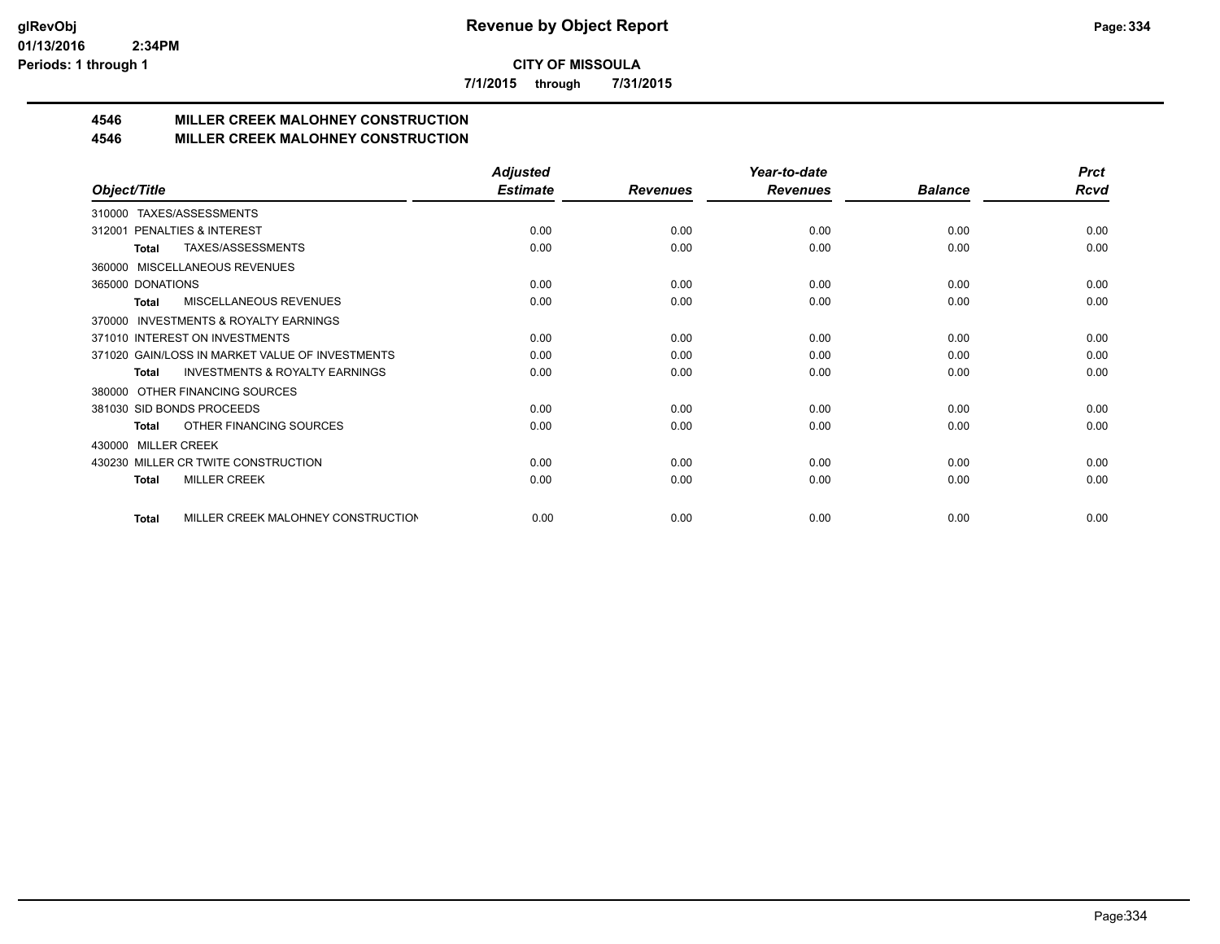**7/1/2015 through 7/31/2015**

# **4546 MILLER CREEK MALOHNEY CONSTRUCTION**

#### **4546 MILLER CREEK MALOHNEY CONSTRUCTION**

|                                                           | <b>Adjusted</b> |                 | Year-to-date    |                | <b>Prct</b> |
|-----------------------------------------------------------|-----------------|-----------------|-----------------|----------------|-------------|
| Object/Title                                              | <b>Estimate</b> | <b>Revenues</b> | <b>Revenues</b> | <b>Balance</b> | Rcvd        |
| TAXES/ASSESSMENTS<br>310000                               |                 |                 |                 |                |             |
| PENALTIES & INTEREST<br>312001                            | 0.00            | 0.00            | 0.00            | 0.00           | 0.00        |
| TAXES/ASSESSMENTS<br>Total                                | 0.00            | 0.00            | 0.00            | 0.00           | 0.00        |
| MISCELLANEOUS REVENUES<br>360000                          |                 |                 |                 |                |             |
| 365000 DONATIONS                                          | 0.00            | 0.00            | 0.00            | 0.00           | 0.00        |
| <b>MISCELLANEOUS REVENUES</b><br><b>Total</b>             | 0.00            | 0.00            | 0.00            | 0.00           | 0.00        |
| <b>INVESTMENTS &amp; ROYALTY EARNINGS</b><br>370000       |                 |                 |                 |                |             |
| 371010 INTEREST ON INVESTMENTS                            | 0.00            | 0.00            | 0.00            | 0.00           | 0.00        |
| 371020 GAIN/LOSS IN MARKET VALUE OF INVESTMENTS           | 0.00            | 0.00            | 0.00            | 0.00           | 0.00        |
| <b>INVESTMENTS &amp; ROYALTY EARNINGS</b><br><b>Total</b> | 0.00            | 0.00            | 0.00            | 0.00           | 0.00        |
| OTHER FINANCING SOURCES<br>380000                         |                 |                 |                 |                |             |
| 381030 SID BONDS PROCEEDS                                 | 0.00            | 0.00            | 0.00            | 0.00           | 0.00        |
| OTHER FINANCING SOURCES<br>Total                          | 0.00            | 0.00            | 0.00            | 0.00           | 0.00        |
| <b>MILLER CREEK</b><br>430000                             |                 |                 |                 |                |             |
| 430230 MILLER CR TWITE CONSTRUCTION                       | 0.00            | 0.00            | 0.00            | 0.00           | 0.00        |
| <b>MILLER CREEK</b><br><b>Total</b>                       | 0.00            | 0.00            | 0.00            | 0.00           | 0.00        |
|                                                           |                 |                 |                 |                |             |
| MILLER CREEK MALOHNEY CONSTRUCTION<br><b>Total</b>        | 0.00            | 0.00            | 0.00            | 0.00           | 0.00        |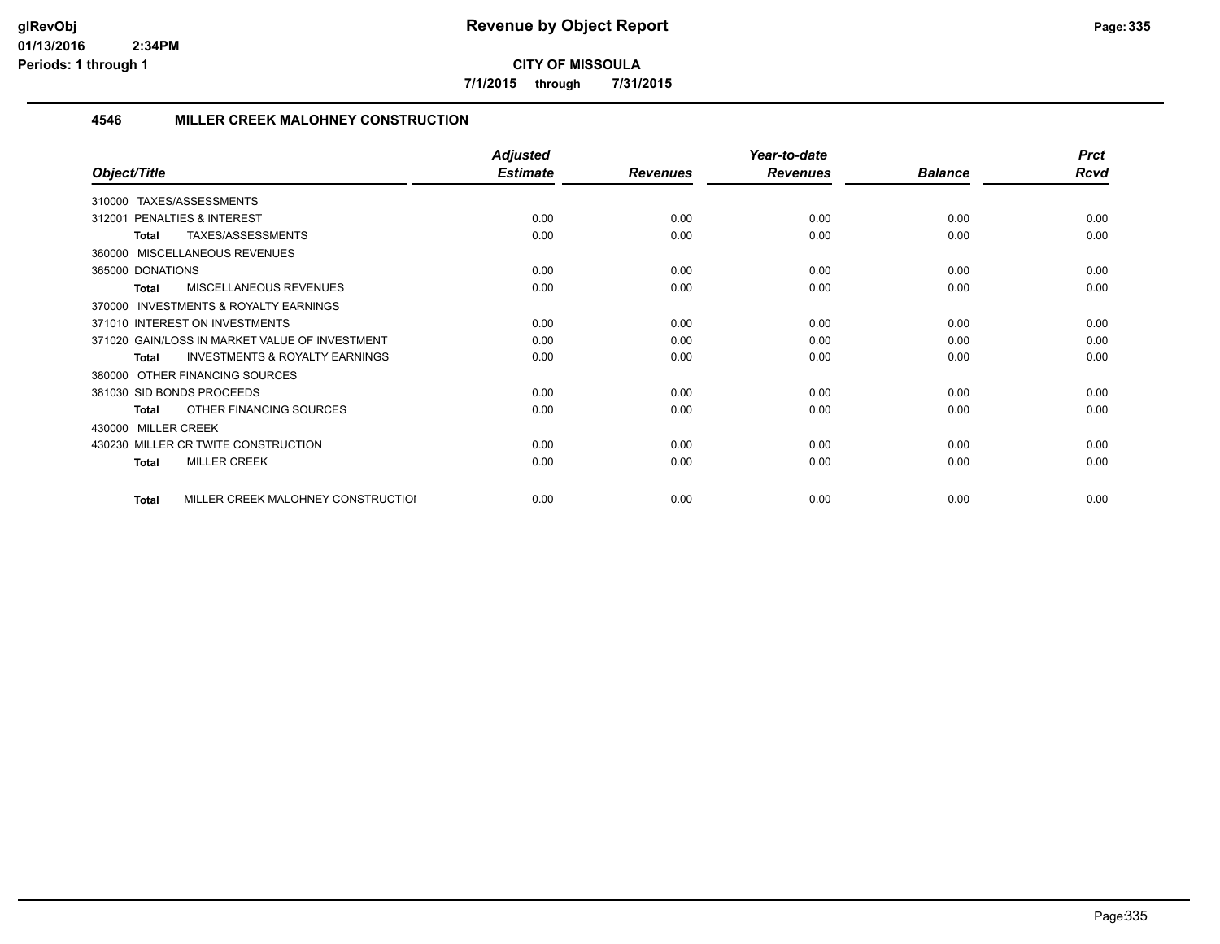**7/1/2015 through 7/31/2015**

#### **4546 MILLER CREEK MALOHNEY CONSTRUCTION**

|                                                           | <b>Adjusted</b> |                 | Year-to-date    |                | <b>Prct</b> |
|-----------------------------------------------------------|-----------------|-----------------|-----------------|----------------|-------------|
| Object/Title                                              | <b>Estimate</b> | <b>Revenues</b> | <b>Revenues</b> | <b>Balance</b> | <b>Rcvd</b> |
| 310000 TAXES/ASSESSMENTS                                  |                 |                 |                 |                |             |
| PENALTIES & INTEREST<br>312001                            | 0.00            | 0.00            | 0.00            | 0.00           | 0.00        |
| TAXES/ASSESSMENTS<br><b>Total</b>                         | 0.00            | 0.00            | 0.00            | 0.00           | 0.00        |
| 360000 MISCELLANEOUS REVENUES                             |                 |                 |                 |                |             |
| 365000 DONATIONS                                          | 0.00            | 0.00            | 0.00            | 0.00           | 0.00        |
| MISCELLANEOUS REVENUES<br>Total                           | 0.00            | 0.00            | 0.00            | 0.00           | 0.00        |
| INVESTMENTS & ROYALTY EARNINGS<br>370000                  |                 |                 |                 |                |             |
| 371010 INTEREST ON INVESTMENTS                            | 0.00            | 0.00            | 0.00            | 0.00           | 0.00        |
| 371020 GAIN/LOSS IN MARKET VALUE OF INVESTMENT            | 0.00            | 0.00            | 0.00            | 0.00           | 0.00        |
| <b>INVESTMENTS &amp; ROYALTY EARNINGS</b><br><b>Total</b> | 0.00            | 0.00            | 0.00            | 0.00           | 0.00        |
| 380000 OTHER FINANCING SOURCES                            |                 |                 |                 |                |             |
| 381030 SID BONDS PROCEEDS                                 | 0.00            | 0.00            | 0.00            | 0.00           | 0.00        |
| OTHER FINANCING SOURCES<br>Total                          | 0.00            | 0.00            | 0.00            | 0.00           | 0.00        |
| 430000 MILLER CREEK                                       |                 |                 |                 |                |             |
| 430230 MILLER CR TWITE CONSTRUCTION                       | 0.00            | 0.00            | 0.00            | 0.00           | 0.00        |
| <b>MILLER CREEK</b><br><b>Total</b>                       | 0.00            | 0.00            | 0.00            | 0.00           | 0.00        |
| MILLER CREEK MALOHNEY CONSTRUCTIOI<br>Total               | 0.00            | 0.00            | 0.00            | 0.00           | 0.00        |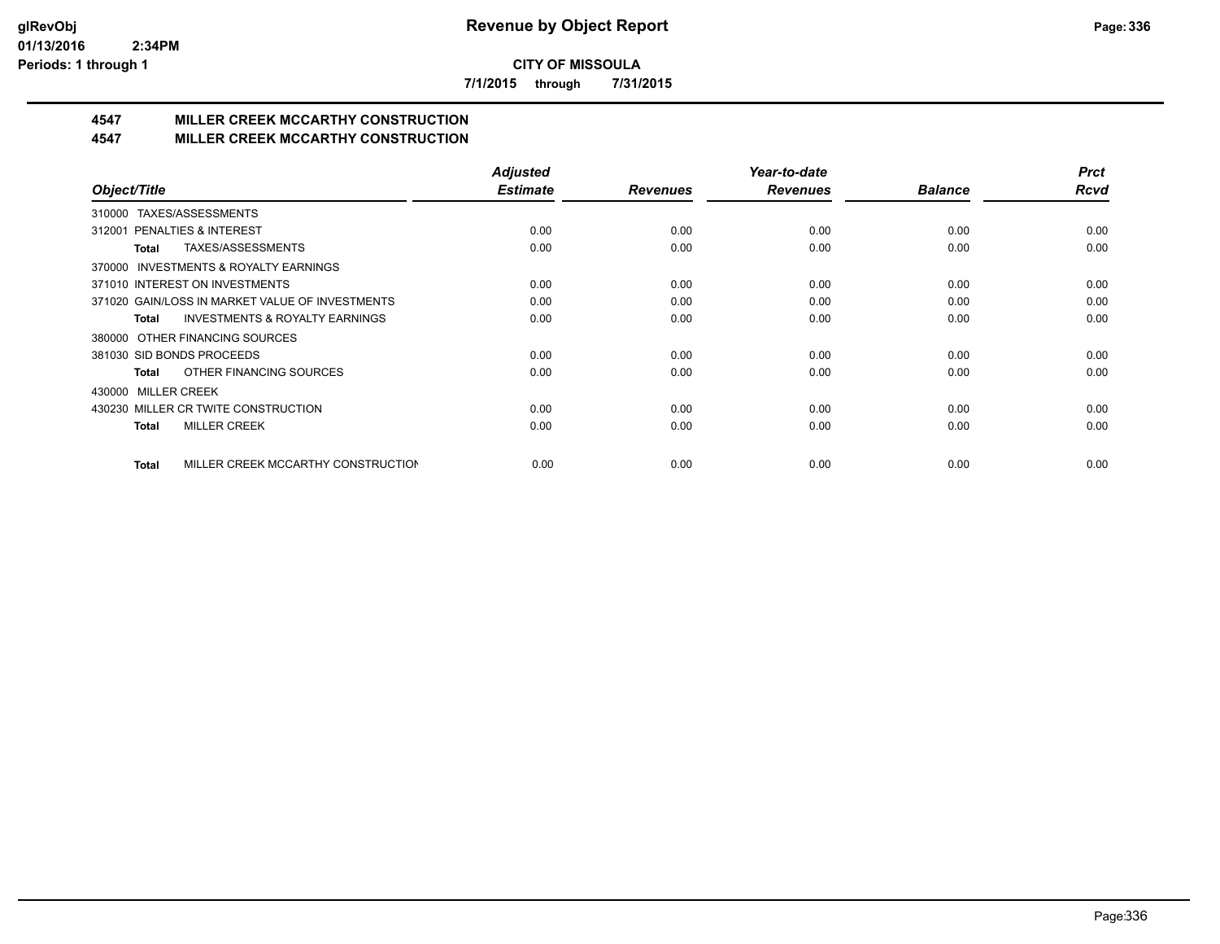**7/1/2015 through 7/31/2015**

# **4547 MILLER CREEK MCCARTHY CONSTRUCTION**

#### **4547 MILLER CREEK MCCARTHY CONSTRUCTION**

|                                                     | <b>Adjusted</b> |                 | Year-to-date    |                | <b>Prct</b> |
|-----------------------------------------------------|-----------------|-----------------|-----------------|----------------|-------------|
| Object/Title                                        | <b>Estimate</b> | <b>Revenues</b> | <b>Revenues</b> | <b>Balance</b> | Rcvd        |
| TAXES/ASSESSMENTS<br>310000                         |                 |                 |                 |                |             |
| 312001 PENALTIES & INTEREST                         | 0.00            | 0.00            | 0.00            | 0.00           | 0.00        |
| TAXES/ASSESSMENTS<br>Total                          | 0.00            | 0.00            | 0.00            | 0.00           | 0.00        |
| <b>INVESTMENTS &amp; ROYALTY EARNINGS</b><br>370000 |                 |                 |                 |                |             |
| 371010 INTEREST ON INVESTMENTS                      | 0.00            | 0.00            | 0.00            | 0.00           | 0.00        |
| 371020 GAIN/LOSS IN MARKET VALUE OF INVESTMENTS     | 0.00            | 0.00            | 0.00            | 0.00           | 0.00        |
| <b>INVESTMENTS &amp; ROYALTY EARNINGS</b><br>Total  | 0.00            | 0.00            | 0.00            | 0.00           | 0.00        |
| 380000 OTHER FINANCING SOURCES                      |                 |                 |                 |                |             |
| 381030 SID BONDS PROCEEDS                           | 0.00            | 0.00            | 0.00            | 0.00           | 0.00        |
| OTHER FINANCING SOURCES<br>Total                    | 0.00            | 0.00            | 0.00            | 0.00           | 0.00        |
| <b>MILLER CREEK</b><br>430000                       |                 |                 |                 |                |             |
| 430230 MILLER CR TWITE CONSTRUCTION                 | 0.00            | 0.00            | 0.00            | 0.00           | 0.00        |
| <b>MILLER CREEK</b><br>Total                        | 0.00            | 0.00            | 0.00            | 0.00           | 0.00        |
|                                                     |                 |                 |                 |                |             |
| MILLER CREEK MCCARTHY CONSTRUCTION<br><b>Total</b>  | 0.00            | 0.00            | 0.00            | 0.00           | 0.00        |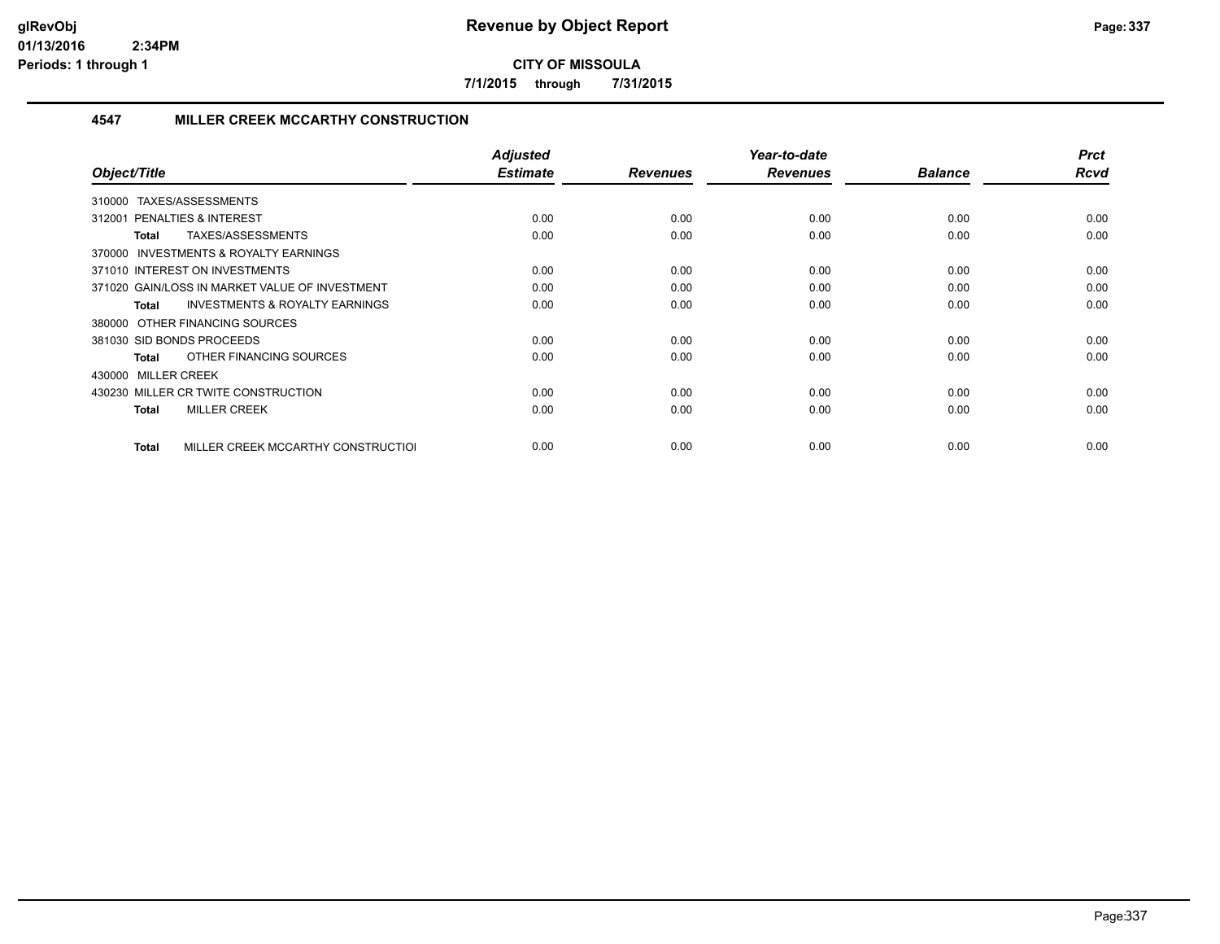**7/1/2015 through 7/31/2015**

#### **4547 MILLER CREEK MCCARTHY CONSTRUCTION**

| Object/Title                                              | <b>Adjusted</b><br><b>Estimate</b> | <b>Revenues</b> | Year-to-date<br><b>Revenues</b> | <b>Balance</b> | <b>Prct</b><br><b>Rcvd</b> |
|-----------------------------------------------------------|------------------------------------|-----------------|---------------------------------|----------------|----------------------------|
| TAXES/ASSESSMENTS<br>310000                               |                                    |                 |                                 |                |                            |
| 312001 PENALTIES & INTEREST                               | 0.00                               | 0.00            | 0.00                            | 0.00           | 0.00                       |
| TAXES/ASSESSMENTS<br>Total                                | 0.00                               | 0.00            | 0.00                            | 0.00           | 0.00                       |
| <b>INVESTMENTS &amp; ROYALTY EARNINGS</b><br>370000       |                                    |                 |                                 |                |                            |
| 371010 INTEREST ON INVESTMENTS                            | 0.00                               | 0.00            | 0.00                            | 0.00           | 0.00                       |
| 371020 GAIN/LOSS IN MARKET VALUE OF INVESTMENT            | 0.00                               | 0.00            | 0.00                            | 0.00           | 0.00                       |
| <b>INVESTMENTS &amp; ROYALTY EARNINGS</b><br><b>Total</b> | 0.00                               | 0.00            | 0.00                            | 0.00           | 0.00                       |
| 380000 OTHER FINANCING SOURCES                            |                                    |                 |                                 |                |                            |
| 381030 SID BONDS PROCEEDS                                 | 0.00                               | 0.00            | 0.00                            | 0.00           | 0.00                       |
| OTHER FINANCING SOURCES<br><b>Total</b>                   | 0.00                               | 0.00            | 0.00                            | 0.00           | 0.00                       |
| 430000 MILLER CREEK                                       |                                    |                 |                                 |                |                            |
| 430230 MILLER CR TWITE CONSTRUCTION                       | 0.00                               | 0.00            | 0.00                            | 0.00           | 0.00                       |
| <b>MILLER CREEK</b><br><b>Total</b>                       | 0.00                               | 0.00            | 0.00                            | 0.00           | 0.00                       |
|                                                           |                                    |                 |                                 |                |                            |
| MILLER CREEK MCCARTHY CONSTRUCTIOL<br><b>Total</b>        | 0.00                               | 0.00            | 0.00                            | 0.00           | 0.00                       |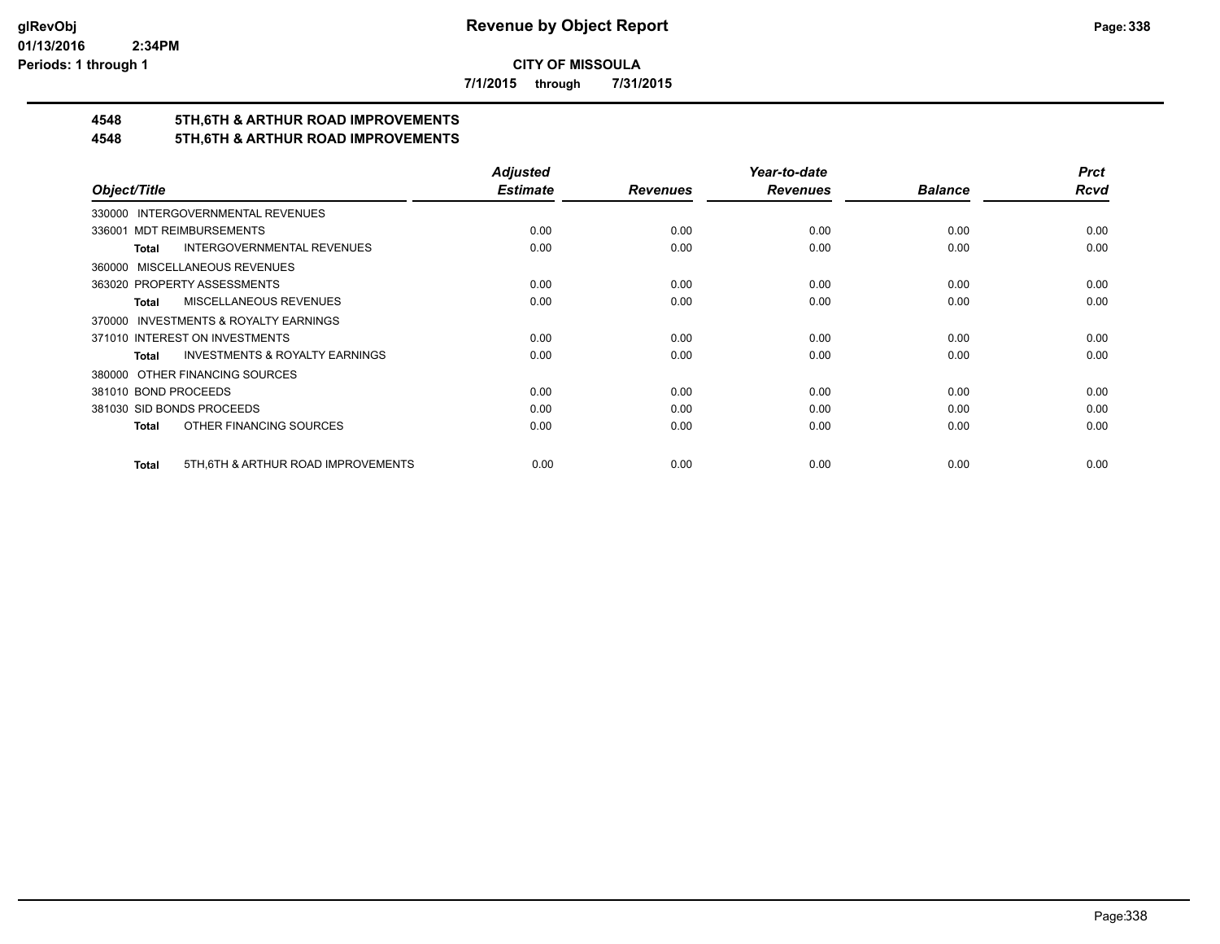**7/1/2015 through 7/31/2015**

# **4548 5TH,6TH & ARTHUR ROAD IMPROVEMENTS**

### **4548 5TH,6TH & ARTHUR ROAD IMPROVEMENTS**

|                                                           | <b>Adjusted</b> |                 | Year-to-date    |                | <b>Prct</b> |
|-----------------------------------------------------------|-----------------|-----------------|-----------------|----------------|-------------|
| Object/Title                                              | <b>Estimate</b> | <b>Revenues</b> | <b>Revenues</b> | <b>Balance</b> | <b>Rcvd</b> |
| 330000 INTERGOVERNMENTAL REVENUES                         |                 |                 |                 |                |             |
| <b>MDT REIMBURSEMENTS</b><br>336001                       | 0.00            | 0.00            | 0.00            | 0.00           | 0.00        |
| <b>INTERGOVERNMENTAL REVENUES</b><br><b>Total</b>         | 0.00            | 0.00            | 0.00            | 0.00           | 0.00        |
| 360000 MISCELLANEOUS REVENUES                             |                 |                 |                 |                |             |
| 363020 PROPERTY ASSESSMENTS                               | 0.00            | 0.00            | 0.00            | 0.00           | 0.00        |
| MISCELLANEOUS REVENUES<br>Total                           | 0.00            | 0.00            | 0.00            | 0.00           | 0.00        |
| 370000 INVESTMENTS & ROYALTY EARNINGS                     |                 |                 |                 |                |             |
| 371010 INTEREST ON INVESTMENTS                            | 0.00            | 0.00            | 0.00            | 0.00           | 0.00        |
| <b>INVESTMENTS &amp; ROYALTY EARNINGS</b><br><b>Total</b> | 0.00            | 0.00            | 0.00            | 0.00           | 0.00        |
| 380000 OTHER FINANCING SOURCES                            |                 |                 |                 |                |             |
| 381010 BOND PROCEEDS                                      | 0.00            | 0.00            | 0.00            | 0.00           | 0.00        |
| 381030 SID BONDS PROCEEDS                                 | 0.00            | 0.00            | 0.00            | 0.00           | 0.00        |
| OTHER FINANCING SOURCES<br>Total                          | 0.00            | 0.00            | 0.00            | 0.00           | 0.00        |
|                                                           |                 |                 |                 |                |             |
| 5TH, 6TH & ARTHUR ROAD IMPROVEMENTS<br><b>Total</b>       | 0.00            | 0.00            | 0.00            | 0.00           | 0.00        |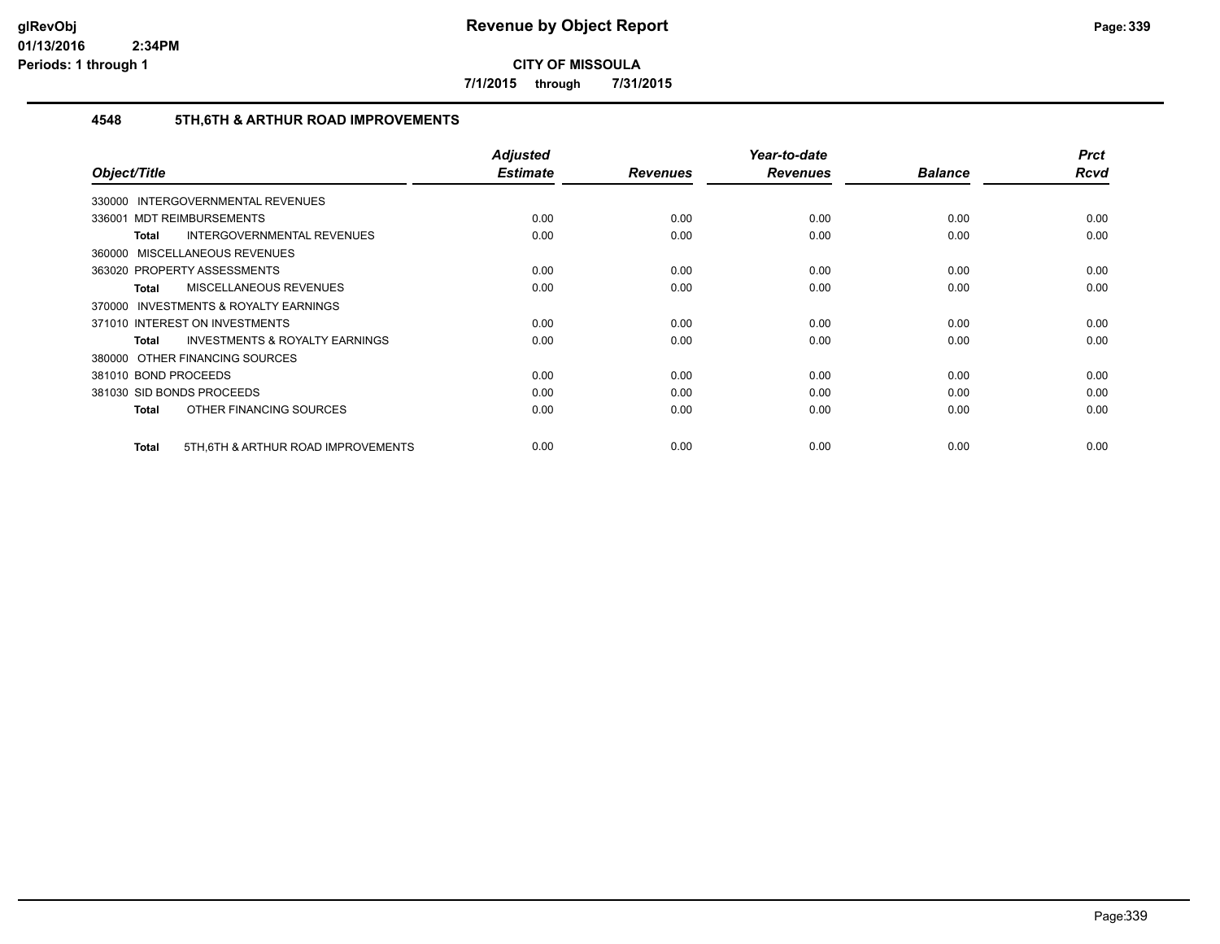**7/1/2015 through 7/31/2015**

#### **4548 5TH,6TH & ARTHUR ROAD IMPROVEMENTS**

| Object/Title                                              | <b>Adjusted</b><br><b>Estimate</b> | <b>Revenues</b> | Year-to-date<br><b>Revenues</b> | <b>Balance</b> | <b>Prct</b><br><b>Rcvd</b> |
|-----------------------------------------------------------|------------------------------------|-----------------|---------------------------------|----------------|----------------------------|
| INTERGOVERNMENTAL REVENUES<br>330000                      |                                    |                 |                                 |                |                            |
| 336001 MDT REIMBURSEMENTS                                 | 0.00                               | 0.00            | 0.00                            | 0.00           | 0.00                       |
| <b>INTERGOVERNMENTAL REVENUES</b><br>Total                | 0.00                               | 0.00            | 0.00                            | 0.00           | 0.00                       |
| MISCELLANEOUS REVENUES<br>360000                          |                                    |                 |                                 |                |                            |
| 363020 PROPERTY ASSESSMENTS                               | 0.00                               | 0.00            | 0.00                            | 0.00           | 0.00                       |
| MISCELLANEOUS REVENUES<br><b>Total</b>                    | 0.00                               | 0.00            | 0.00                            | 0.00           | 0.00                       |
| <b>INVESTMENTS &amp; ROYALTY EARNINGS</b><br>370000       |                                    |                 |                                 |                |                            |
| 371010 INTEREST ON INVESTMENTS                            | 0.00                               | 0.00            | 0.00                            | 0.00           | 0.00                       |
| <b>INVESTMENTS &amp; ROYALTY EARNINGS</b><br><b>Total</b> | 0.00                               | 0.00            | 0.00                            | 0.00           | 0.00                       |
| 380000 OTHER FINANCING SOURCES                            |                                    |                 |                                 |                |                            |
| 381010 BOND PROCEEDS                                      | 0.00                               | 0.00            | 0.00                            | 0.00           | 0.00                       |
| 381030 SID BONDS PROCEEDS                                 | 0.00                               | 0.00            | 0.00                            | 0.00           | 0.00                       |
| OTHER FINANCING SOURCES<br><b>Total</b>                   | 0.00                               | 0.00            | 0.00                            | 0.00           | 0.00                       |
| 5TH, 6TH & ARTHUR ROAD IMPROVEMENTS<br><b>Total</b>       | 0.00                               | 0.00            | 0.00                            | 0.00           | 0.00                       |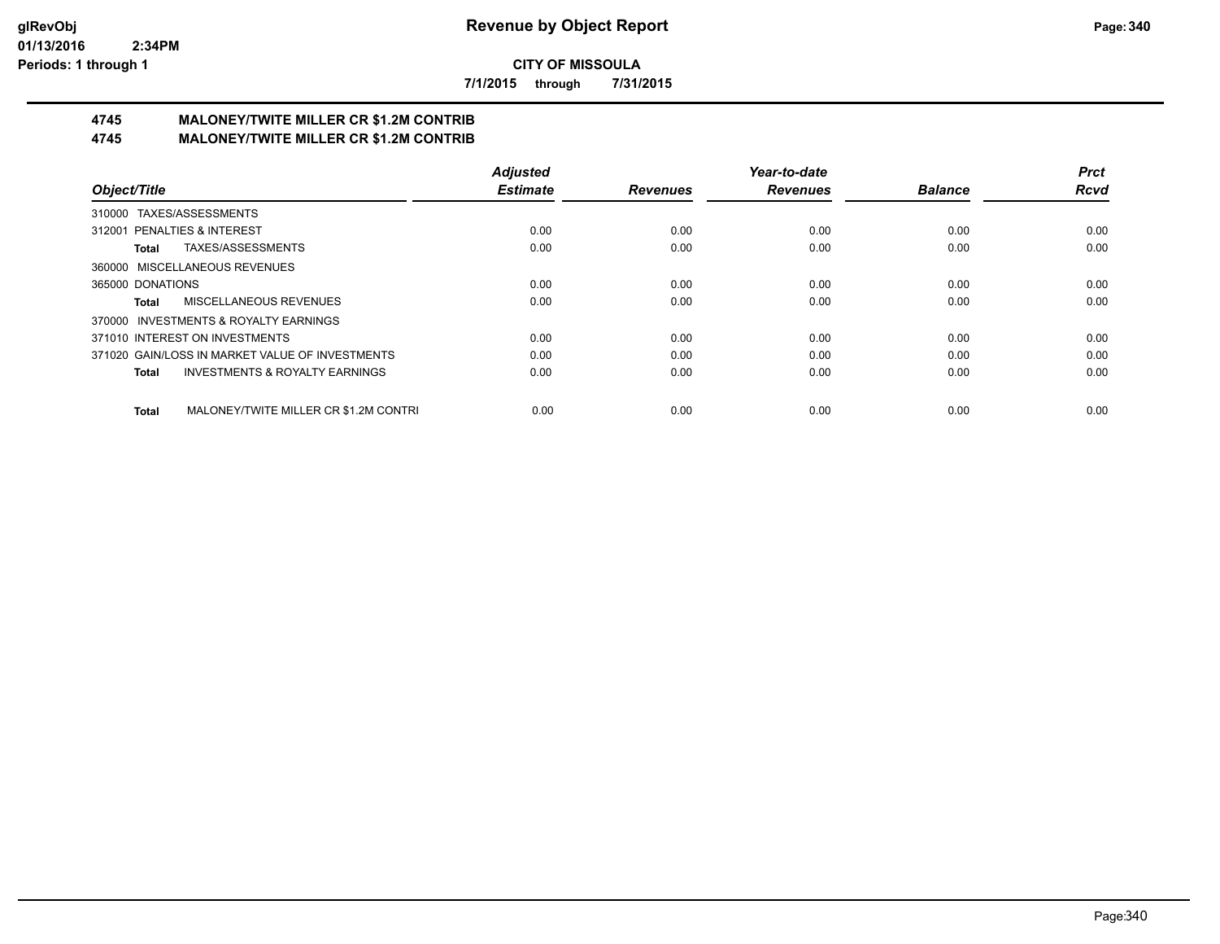**7/1/2015 through 7/31/2015**

# **4745 MALONEY/TWITE MILLER CR \$1.2M CONTRIB**

**4745 MALONEY/TWITE MILLER CR \$1.2M CONTRIB**

|                                                           | <b>Adjusted</b> |                 | Year-to-date    |                | <b>Prct</b> |
|-----------------------------------------------------------|-----------------|-----------------|-----------------|----------------|-------------|
| Object/Title                                              | <b>Estimate</b> | <b>Revenues</b> | <b>Revenues</b> | <b>Balance</b> | <b>Rcvd</b> |
| 310000 TAXES/ASSESSMENTS                                  |                 |                 |                 |                |             |
| 312001 PENALTIES & INTEREST                               | 0.00            | 0.00            | 0.00            | 0.00           | 0.00        |
| TAXES/ASSESSMENTS<br>Total                                | 0.00            | 0.00            | 0.00            | 0.00           | 0.00        |
| 360000 MISCELLANEOUS REVENUES                             |                 |                 |                 |                |             |
| 365000 DONATIONS                                          | 0.00            | 0.00            | 0.00            | 0.00           | 0.00        |
| MISCELLANEOUS REVENUES<br>Total                           | 0.00            | 0.00            | 0.00            | 0.00           | 0.00        |
| 370000 INVESTMENTS & ROYALTY EARNINGS                     |                 |                 |                 |                |             |
| 371010 INTEREST ON INVESTMENTS                            | 0.00            | 0.00            | 0.00            | 0.00           | 0.00        |
| 371020 GAIN/LOSS IN MARKET VALUE OF INVESTMENTS           | 0.00            | 0.00            | 0.00            | 0.00           | 0.00        |
| <b>INVESTMENTS &amp; ROYALTY EARNINGS</b><br><b>Total</b> | 0.00            | 0.00            | 0.00            | 0.00           | 0.00        |
| MALONEY/TWITE MILLER CR \$1.2M CONTRI<br><b>Total</b>     | 0.00            | 0.00            | 0.00            | 0.00           | 0.00        |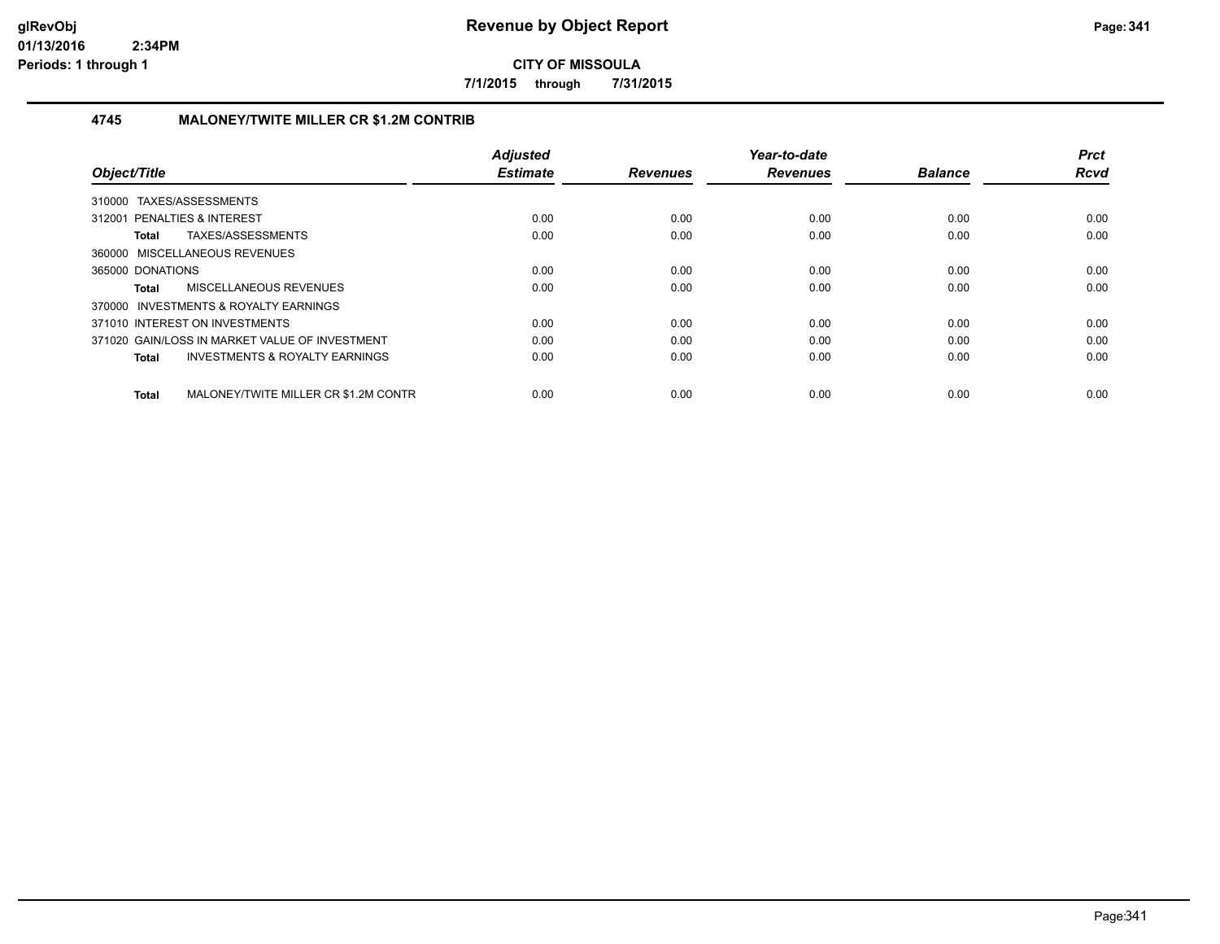**7/1/2015 through 7/31/2015**

#### **4745 MALONEY/TWITE MILLER CR \$1.2M CONTRIB**

|                                                           | <b>Adjusted</b> |                 | Year-to-date    |                | <b>Prct</b> |
|-----------------------------------------------------------|-----------------|-----------------|-----------------|----------------|-------------|
| Object/Title                                              | <b>Estimate</b> | <b>Revenues</b> | <b>Revenues</b> | <b>Balance</b> | <b>Rcvd</b> |
| 310000 TAXES/ASSESSMENTS                                  |                 |                 |                 |                |             |
| 312001 PENALTIES & INTEREST                               | 0.00            | 0.00            | 0.00            | 0.00           | 0.00        |
| TAXES/ASSESSMENTS<br>Total                                | 0.00            | 0.00            | 0.00            | 0.00           | 0.00        |
| 360000 MISCELLANEOUS REVENUES                             |                 |                 |                 |                |             |
| 365000 DONATIONS                                          | 0.00            | 0.00            | 0.00            | 0.00           | 0.00        |
| MISCELLANEOUS REVENUES<br>Total                           | 0.00            | 0.00            | 0.00            | 0.00           | 0.00        |
| 370000 INVESTMENTS & ROYALTY EARNINGS                     |                 |                 |                 |                |             |
| 371010 INTEREST ON INVESTMENTS                            | 0.00            | 0.00            | 0.00            | 0.00           | 0.00        |
| 371020 GAIN/LOSS IN MARKET VALUE OF INVESTMENT            | 0.00            | 0.00            | 0.00            | 0.00           | 0.00        |
| <b>INVESTMENTS &amp; ROYALTY EARNINGS</b><br><b>Total</b> | 0.00            | 0.00            | 0.00            | 0.00           | 0.00        |
|                                                           |                 |                 |                 |                |             |
| MALONEY/TWITE MILLER CR \$1.2M CONTR<br>Total             | 0.00            | 0.00            | 0.00            | 0.00           | 0.00        |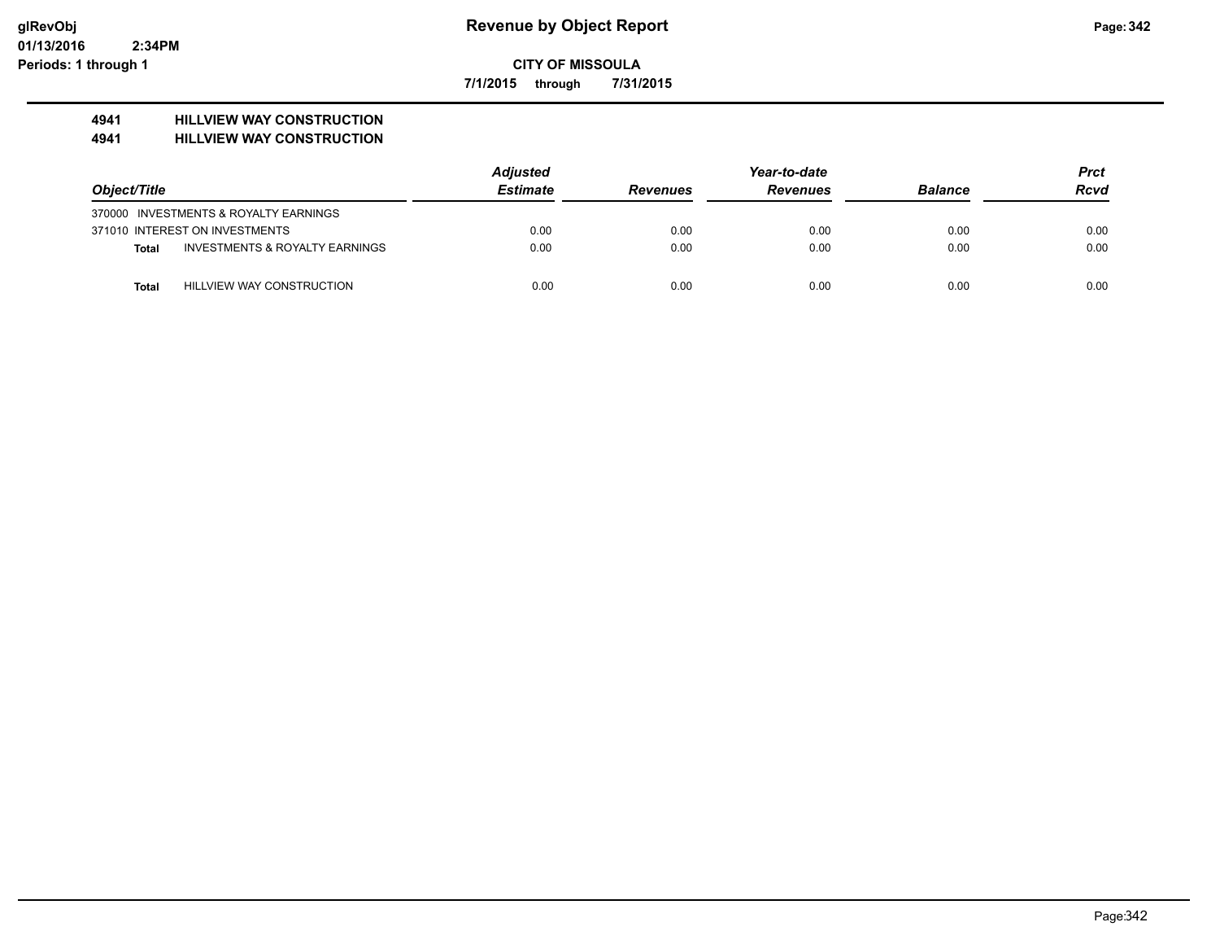**7/1/2015 through 7/31/2015**

# **4941 HILLVIEW WAY CONSTRUCTION**

#### **4941 HILLVIEW WAY CONSTRUCTION**

|              |                                       | <b>Adjusted</b> |                 |                 | <b>Prct</b>    |             |
|--------------|---------------------------------------|-----------------|-----------------|-----------------|----------------|-------------|
| Object/Title |                                       | <b>Estimate</b> | <b>Revenues</b> | <b>Revenues</b> | <b>Balance</b> | <b>Rcvd</b> |
|              | 370000 INVESTMENTS & ROYALTY EARNINGS |                 |                 |                 |                |             |
|              | 371010 INTEREST ON INVESTMENTS        | 0.00            | 0.00            | 0.00            | 0.00           | 0.00        |
| Total        | INVESTMENTS & ROYALTY EARNINGS        | 0.00            | 0.00            | 0.00            | 0.00           | 0.00        |
| <b>Total</b> | HILLVIEW WAY CONSTRUCTION             | 0.00            | 0.00            | 0.00            | 0.00           | 0.00        |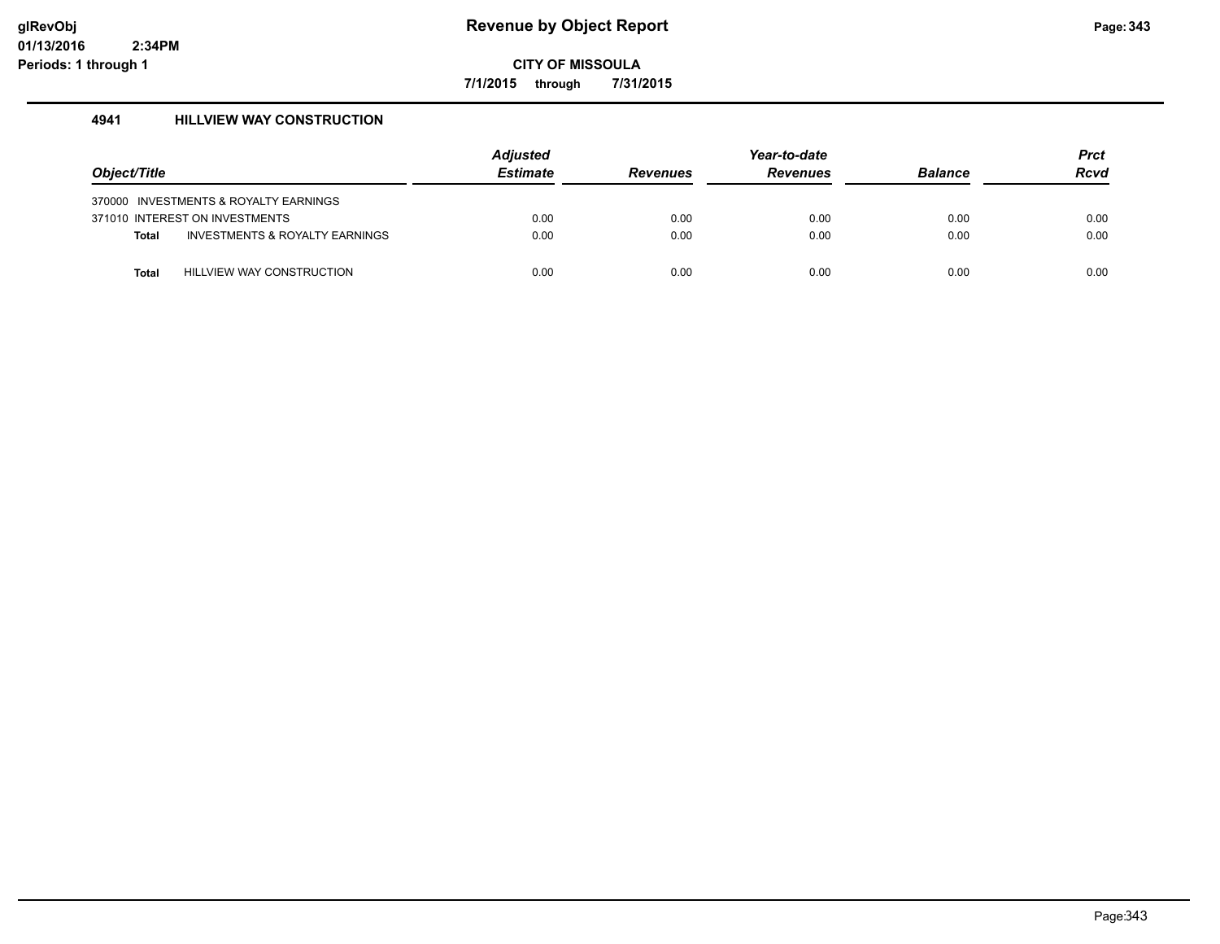**7/1/2015 through 7/31/2015**

#### **4941 HILLVIEW WAY CONSTRUCTION**

|              |                                           | <b>Adjusted</b> |                 | Year-to-date    |                | <b>Prct</b> |
|--------------|-------------------------------------------|-----------------|-----------------|-----------------|----------------|-------------|
| Object/Title |                                           | <b>Estimate</b> | <b>Revenues</b> | <b>Revenues</b> | <b>Balance</b> | <b>Rcvd</b> |
|              | 370000 INVESTMENTS & ROYALTY EARNINGS     |                 |                 |                 |                |             |
|              | 371010 INTEREST ON INVESTMENTS            | 0.00            | 0.00            | 0.00            | 0.00           | 0.00        |
| <b>Total</b> | <b>INVESTMENTS &amp; ROYALTY EARNINGS</b> | 0.00            | 0.00            | 0.00            | 0.00           | 0.00        |
| <b>Total</b> | <b>HILLVIEW WAY CONSTRUCTION</b>          | 0.00            | 0.00            | 0.00            | 0.00           | 0.00        |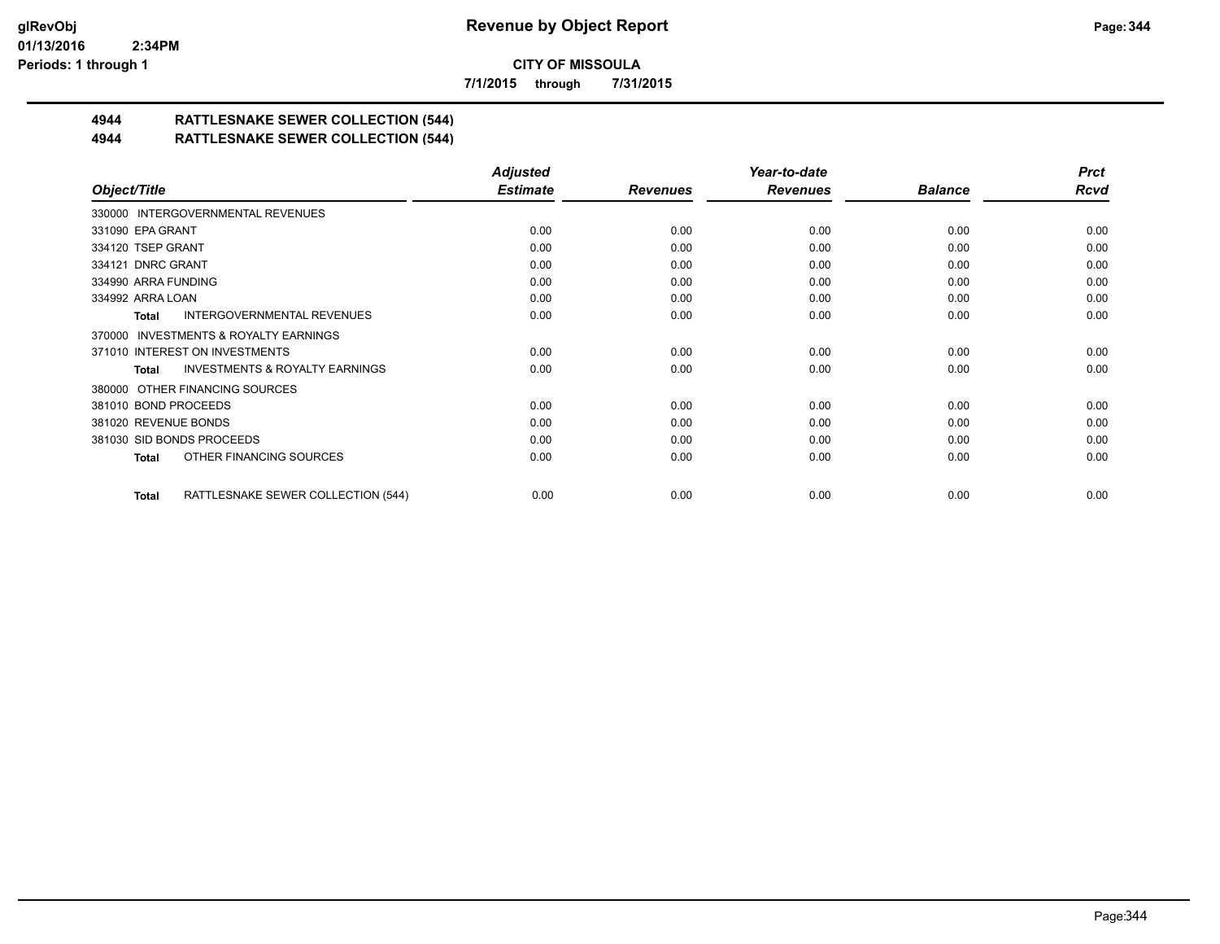**7/1/2015 through 7/31/2015**

# **4944 RATTLESNAKE SEWER COLLECTION (544)**

#### **4944 RATTLESNAKE SEWER COLLECTION (544)**

|                                                     | <b>Adjusted</b> |                 | Year-to-date    |                | <b>Prct</b> |
|-----------------------------------------------------|-----------------|-----------------|-----------------|----------------|-------------|
| Object/Title                                        | <b>Estimate</b> | <b>Revenues</b> | <b>Revenues</b> | <b>Balance</b> | <b>Rcvd</b> |
| 330000 INTERGOVERNMENTAL REVENUES                   |                 |                 |                 |                |             |
| 331090 EPA GRANT                                    | 0.00            | 0.00            | 0.00            | 0.00           | 0.00        |
| 334120 TSEP GRANT                                   | 0.00            | 0.00            | 0.00            | 0.00           | 0.00        |
| 334121 DNRC GRANT                                   | 0.00            | 0.00            | 0.00            | 0.00           | 0.00        |
| 334990 ARRA FUNDING                                 | 0.00            | 0.00            | 0.00            | 0.00           | 0.00        |
| 334992 ARRA LOAN                                    | 0.00            | 0.00            | 0.00            | 0.00           | 0.00        |
| INTERGOVERNMENTAL REVENUES<br>Total                 | 0.00            | 0.00            | 0.00            | 0.00           | 0.00        |
| <b>INVESTMENTS &amp; ROYALTY EARNINGS</b><br>370000 |                 |                 |                 |                |             |
| 371010 INTEREST ON INVESTMENTS                      | 0.00            | 0.00            | 0.00            | 0.00           | 0.00        |
| <b>INVESTMENTS &amp; ROYALTY EARNINGS</b><br>Total  | 0.00            | 0.00            | 0.00            | 0.00           | 0.00        |
| 380000 OTHER FINANCING SOURCES                      |                 |                 |                 |                |             |
| 381010 BOND PROCEEDS                                | 0.00            | 0.00            | 0.00            | 0.00           | 0.00        |
| 381020 REVENUE BONDS                                | 0.00            | 0.00            | 0.00            | 0.00           | 0.00        |
| 381030 SID BONDS PROCEEDS                           | 0.00            | 0.00            | 0.00            | 0.00           | 0.00        |
| OTHER FINANCING SOURCES<br>Total                    | 0.00            | 0.00            | 0.00            | 0.00           | 0.00        |
| RATTLESNAKE SEWER COLLECTION (544)<br>Total         | 0.00            | 0.00            | 0.00            | 0.00           | 0.00        |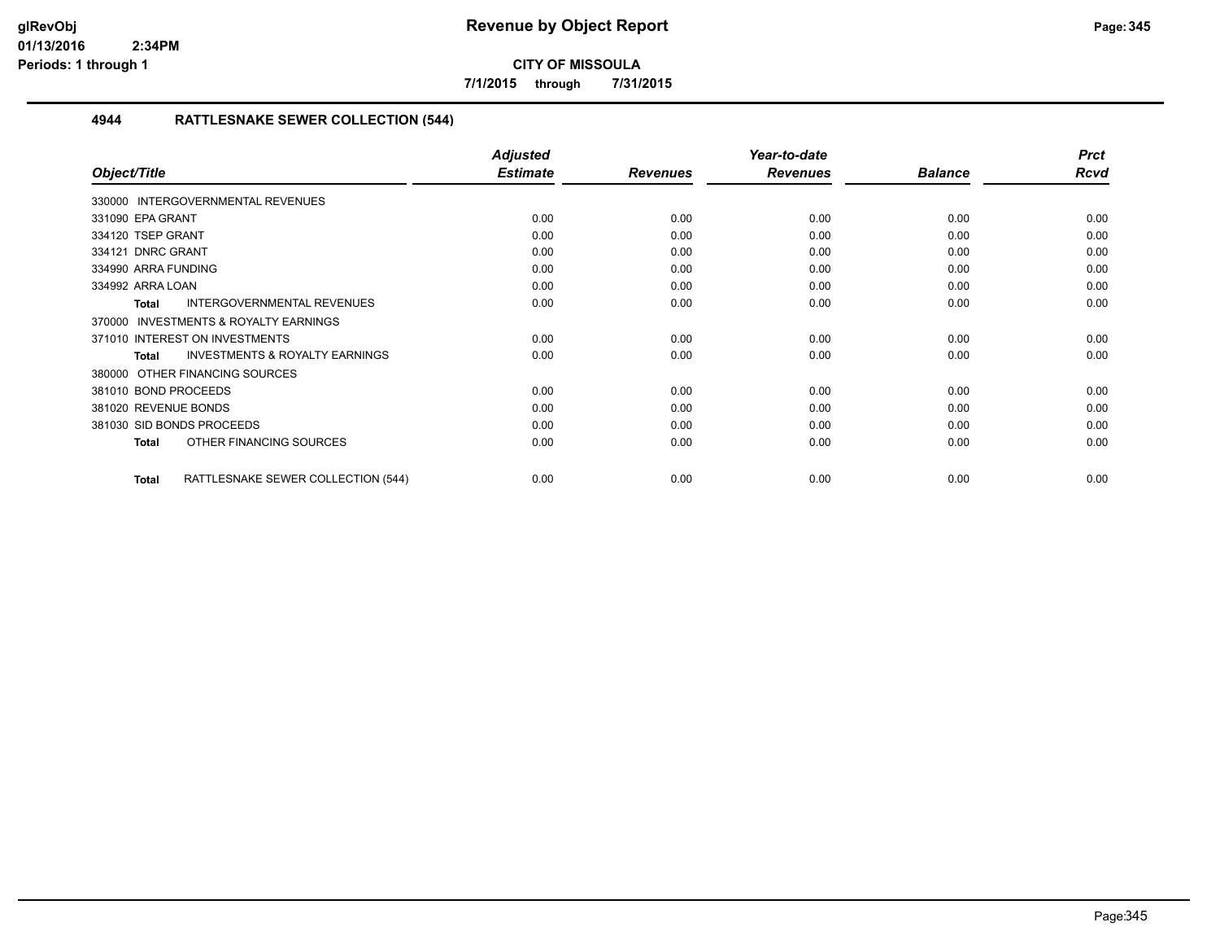**7/1/2015 through 7/31/2015**

#### **4944 RATTLESNAKE SEWER COLLECTION (544)**

|                                                           | <b>Adjusted</b> |                 | Year-to-date    |                | <b>Prct</b> |
|-----------------------------------------------------------|-----------------|-----------------|-----------------|----------------|-------------|
| Object/Title                                              | <b>Estimate</b> | <b>Revenues</b> | <b>Revenues</b> | <b>Balance</b> | <b>Rcvd</b> |
| 330000 INTERGOVERNMENTAL REVENUES                         |                 |                 |                 |                |             |
| 331090 EPA GRANT                                          | 0.00            | 0.00            | 0.00            | 0.00           | 0.00        |
| 334120 TSEP GRANT                                         | 0.00            | 0.00            | 0.00            | 0.00           | 0.00        |
| 334121 DNRC GRANT                                         | 0.00            | 0.00            | 0.00            | 0.00           | 0.00        |
| 334990 ARRA FUNDING                                       | 0.00            | 0.00            | 0.00            | 0.00           | 0.00        |
| 334992 ARRA LOAN                                          | 0.00            | 0.00            | 0.00            | 0.00           | 0.00        |
| <b>INTERGOVERNMENTAL REVENUES</b><br><b>Total</b>         | 0.00            | 0.00            | 0.00            | 0.00           | 0.00        |
| <b>INVESTMENTS &amp; ROYALTY EARNINGS</b><br>370000       |                 |                 |                 |                |             |
| 371010 INTEREST ON INVESTMENTS                            | 0.00            | 0.00            | 0.00            | 0.00           | 0.00        |
| <b>INVESTMENTS &amp; ROYALTY EARNINGS</b><br><b>Total</b> | 0.00            | 0.00            | 0.00            | 0.00           | 0.00        |
| 380000 OTHER FINANCING SOURCES                            |                 |                 |                 |                |             |
| 381010 BOND PROCEEDS                                      | 0.00            | 0.00            | 0.00            | 0.00           | 0.00        |
| 381020 REVENUE BONDS                                      | 0.00            | 0.00            | 0.00            | 0.00           | 0.00        |
| 381030 SID BONDS PROCEEDS                                 | 0.00            | 0.00            | 0.00            | 0.00           | 0.00        |
| OTHER FINANCING SOURCES<br><b>Total</b>                   | 0.00            | 0.00            | 0.00            | 0.00           | 0.00        |
| RATTLESNAKE SEWER COLLECTION (544)<br><b>Total</b>        | 0.00            | 0.00            | 0.00            | 0.00           | 0.00        |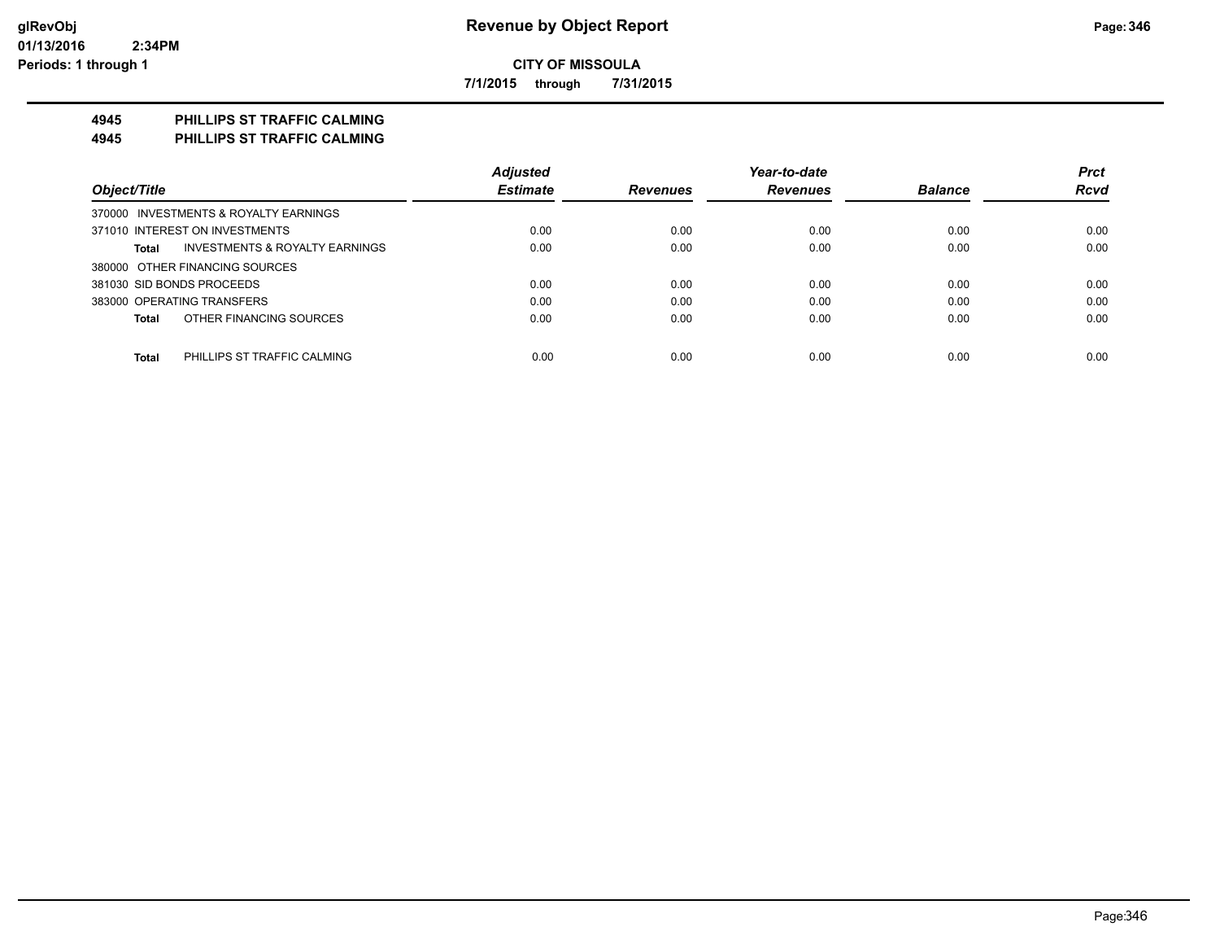**7/1/2015 through 7/31/2015**

### **4945 PHILLIPS ST TRAFFIC CALMING**

**4945 PHILLIPS ST TRAFFIC CALMING**

|                                                    | <b>Adjusted</b> |          | Year-to-date    |                | <b>Prct</b> |
|----------------------------------------------------|-----------------|----------|-----------------|----------------|-------------|
| Object/Title                                       | <b>Estimate</b> | Revenues | <b>Revenues</b> | <b>Balance</b> | <b>Rcvd</b> |
| 370000 INVESTMENTS & ROYALTY EARNINGS              |                 |          |                 |                |             |
| 371010 INTEREST ON INVESTMENTS                     | 0.00            | 0.00     | 0.00            | 0.00           | 0.00        |
| <b>INVESTMENTS &amp; ROYALTY EARNINGS</b><br>Total | 0.00            | 0.00     | 0.00            | 0.00           | 0.00        |
| 380000 OTHER FINANCING SOURCES                     |                 |          |                 |                |             |
| 381030 SID BONDS PROCEEDS                          | 0.00            | 0.00     | 0.00            | 0.00           | 0.00        |
| 383000 OPERATING TRANSFERS                         | 0.00            | 0.00     | 0.00            | 0.00           | 0.00        |
| OTHER FINANCING SOURCES<br>Total                   | 0.00            | 0.00     | 0.00            | 0.00           | 0.00        |
|                                                    |                 |          |                 |                |             |
| <b>Total</b><br>PHILLIPS ST TRAFFIC CALMING        | 0.00            | 0.00     | 0.00            | 0.00           | 0.00        |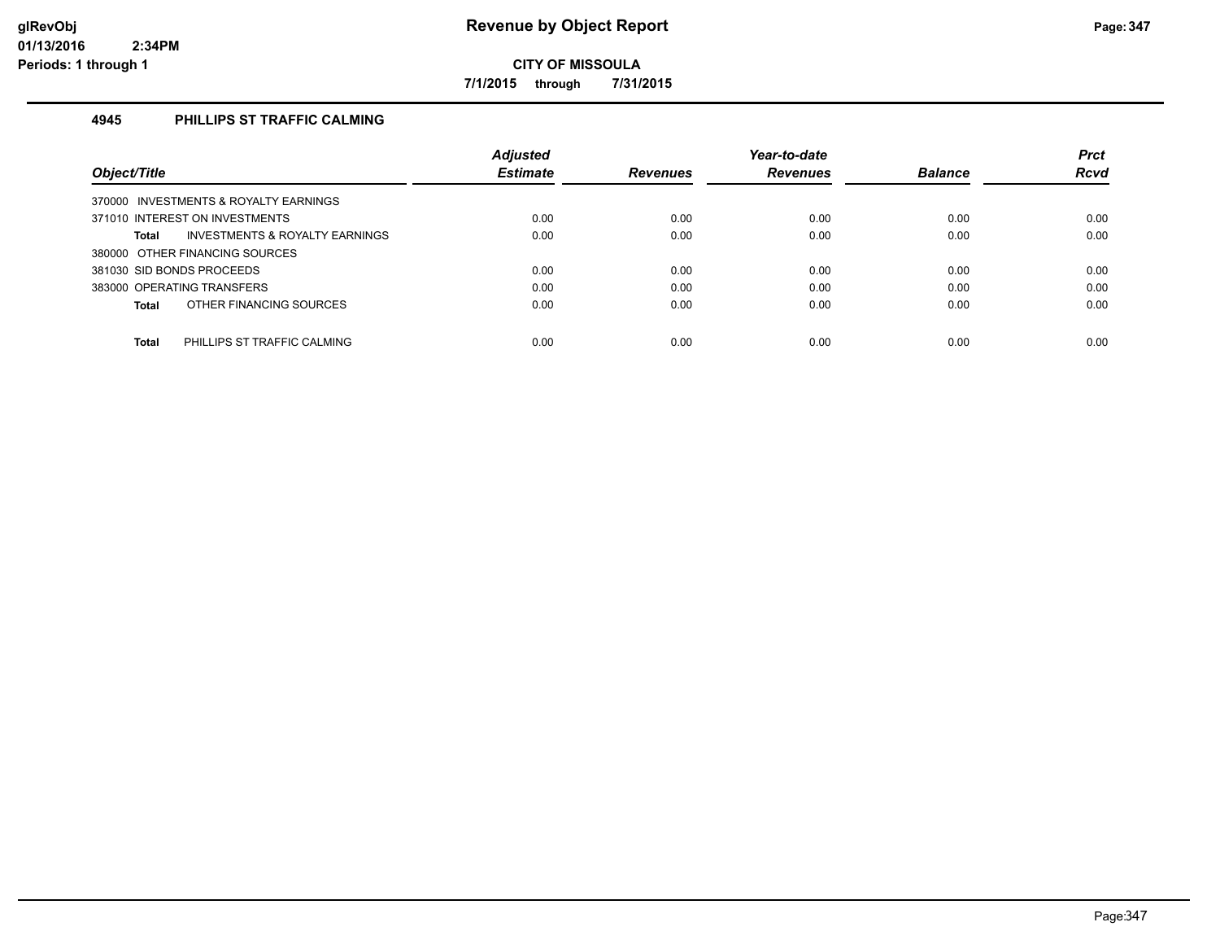**7/1/2015 through 7/31/2015**

#### **4945 PHILLIPS ST TRAFFIC CALMING**

|                                                | <b>Adjusted</b> |                 | Year-to-date    |                | <b>Prct</b> |
|------------------------------------------------|-----------------|-----------------|-----------------|----------------|-------------|
| Object/Title                                   | <b>Estimate</b> | <b>Revenues</b> | <b>Revenues</b> | <b>Balance</b> | <b>Rcvd</b> |
| 370000 INVESTMENTS & ROYALTY EARNINGS          |                 |                 |                 |                |             |
| 371010 INTEREST ON INVESTMENTS                 | 0.00            | 0.00            | 0.00            | 0.00           | 0.00        |
| INVESTMENTS & ROYALTY EARNINGS<br><b>Total</b> | 0.00            | 0.00            | 0.00            | 0.00           | 0.00        |
| 380000 OTHER FINANCING SOURCES                 |                 |                 |                 |                |             |
| 381030 SID BONDS PROCEEDS                      | 0.00            | 0.00            | 0.00            | 0.00           | 0.00        |
| 383000 OPERATING TRANSFERS                     | 0.00            | 0.00            | 0.00            | 0.00           | 0.00        |
| OTHER FINANCING SOURCES<br><b>Total</b>        | 0.00            | 0.00            | 0.00            | 0.00           | 0.00        |
|                                                |                 |                 |                 |                |             |
| <b>Total</b><br>PHILLIPS ST TRAFFIC CALMING    | 0.00            | 0.00            | 0.00            | 0.00           | 0.00        |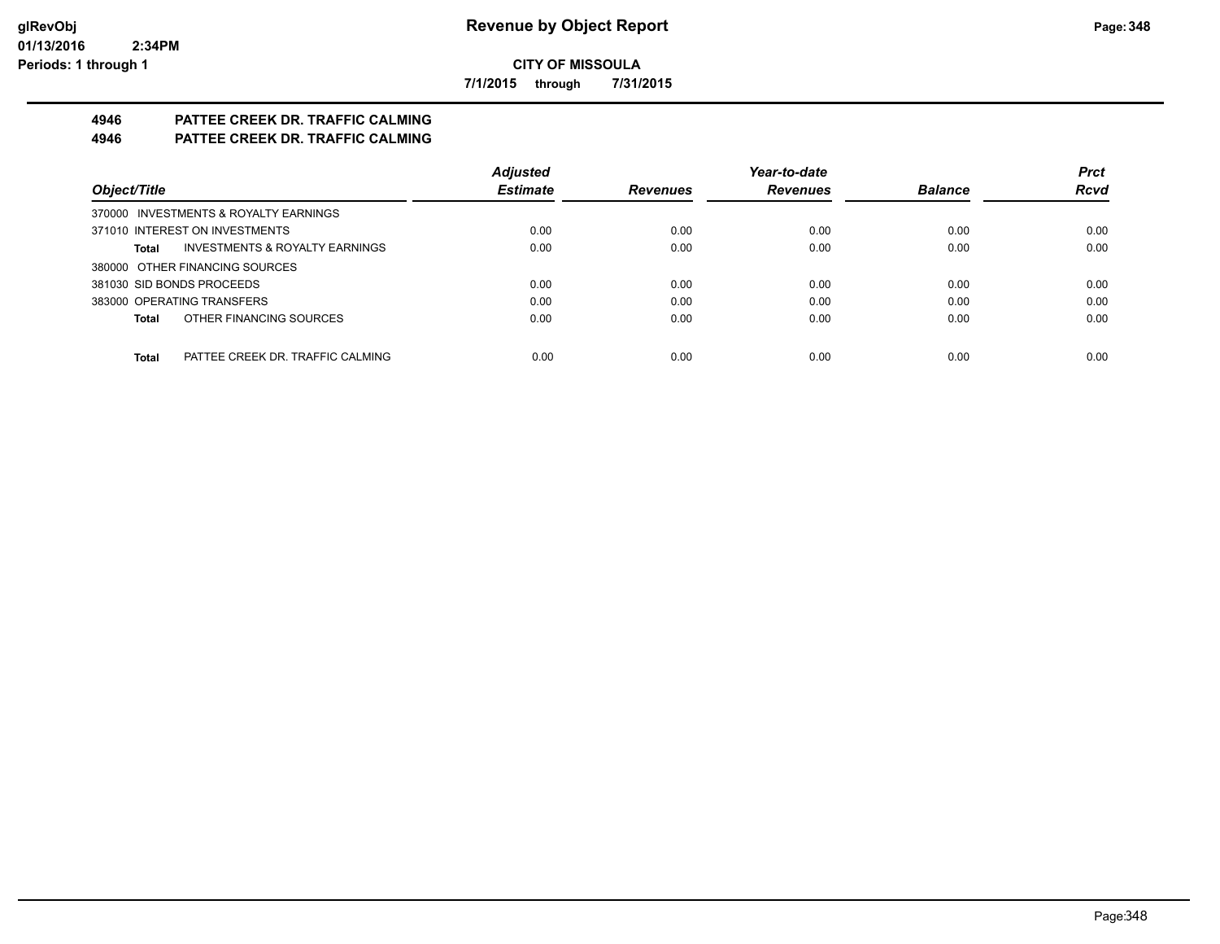**7/1/2015 through 7/31/2015**

# **4946 PATTEE CREEK DR. TRAFFIC CALMING**

# **4946 PATTEE CREEK DR. TRAFFIC CALMING**

|                                                  | <b>Adjusted</b> |                 | Year-to-date    |                | <b>Prct</b> |
|--------------------------------------------------|-----------------|-----------------|-----------------|----------------|-------------|
| Object/Title                                     | <b>Estimate</b> | <b>Revenues</b> | <b>Revenues</b> | <b>Balance</b> | <b>Rcvd</b> |
| 370000 INVESTMENTS & ROYALTY EARNINGS            |                 |                 |                 |                |             |
| 371010 INTEREST ON INVESTMENTS                   | 0.00            | 0.00            | 0.00            | 0.00           | 0.00        |
| INVESTMENTS & ROYALTY EARNINGS<br>Total          | 0.00            | 0.00            | 0.00            | 0.00           | 0.00        |
| 380000 OTHER FINANCING SOURCES                   |                 |                 |                 |                |             |
| 381030 SID BONDS PROCEEDS                        | 0.00            | 0.00            | 0.00            | 0.00           | 0.00        |
| 383000 OPERATING TRANSFERS                       | 0.00            | 0.00            | 0.00            | 0.00           | 0.00        |
| OTHER FINANCING SOURCES<br>Total                 | 0.00            | 0.00            | 0.00            | 0.00           | 0.00        |
|                                                  |                 |                 |                 |                |             |
| PATTEE CREEK DR. TRAFFIC CALMING<br><b>Total</b> | 0.00            | 0.00            | 0.00            | 0.00           | 0.00        |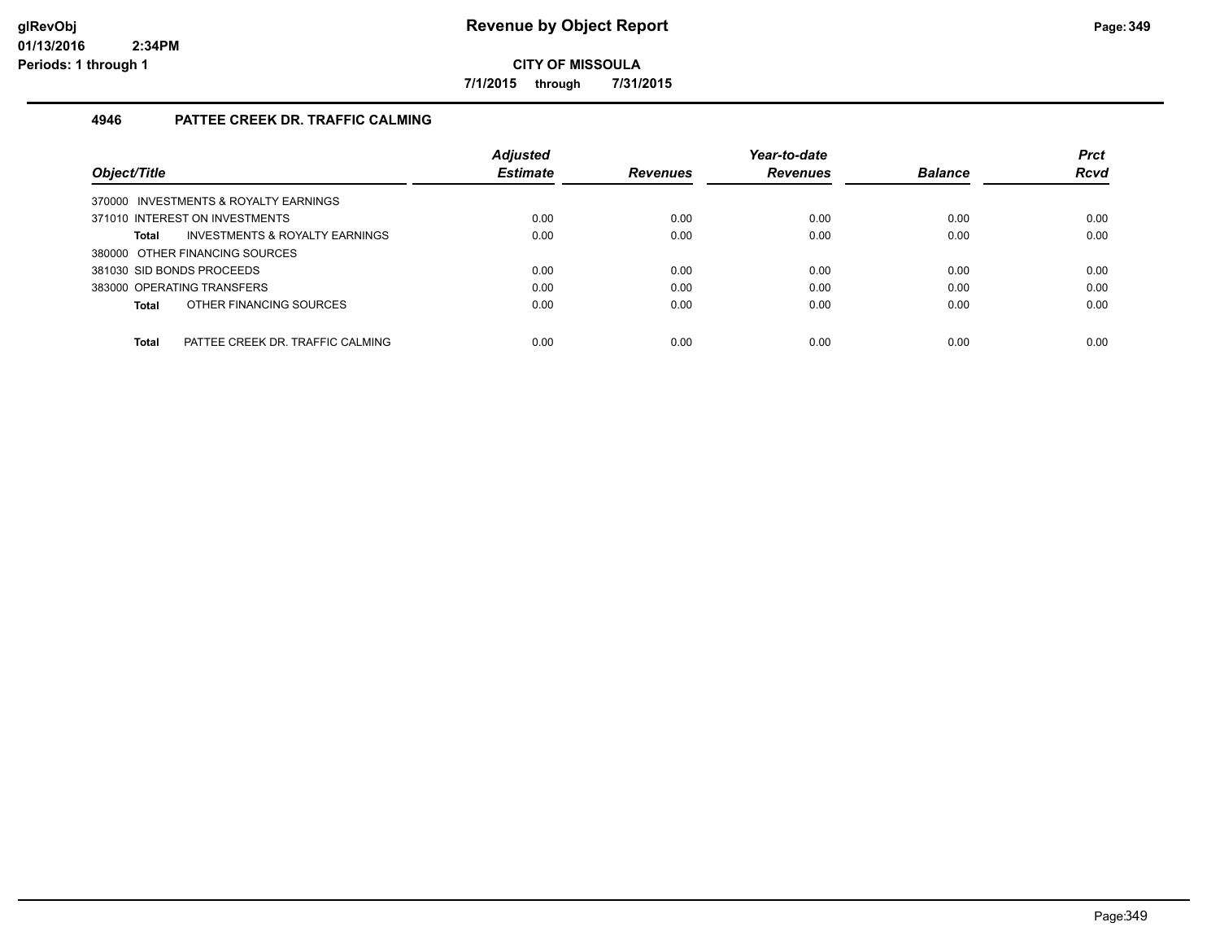**7/1/2015 through 7/31/2015**

#### **4946 PATTEE CREEK DR. TRAFFIC CALMING**

| Object/Title                                     | <b>Adjusted</b><br><b>Estimate</b> | <b>Revenues</b> | Year-to-date<br><b>Revenues</b> | <b>Balance</b> | <b>Prct</b><br><b>Rcvd</b> |
|--------------------------------------------------|------------------------------------|-----------------|---------------------------------|----------------|----------------------------|
|                                                  |                                    |                 |                                 |                |                            |
| 370000 INVESTMENTS & ROYALTY EARNINGS            |                                    |                 |                                 |                |                            |
| 371010 INTEREST ON INVESTMENTS                   | 0.00                               | 0.00            | 0.00                            | 0.00           | 0.00                       |
| INVESTMENTS & ROYALTY EARNINGS<br>Total          | 0.00                               | 0.00            | 0.00                            | 0.00           | 0.00                       |
| 380000 OTHER FINANCING SOURCES                   |                                    |                 |                                 |                |                            |
| 381030 SID BONDS PROCEEDS                        | 0.00                               | 0.00            | 0.00                            | 0.00           | 0.00                       |
| 383000 OPERATING TRANSFERS                       | 0.00                               | 0.00            | 0.00                            | 0.00           | 0.00                       |
| OTHER FINANCING SOURCES<br>Total                 | 0.00                               | 0.00            | 0.00                            | 0.00           | 0.00                       |
|                                                  |                                    |                 |                                 |                |                            |
| <b>Total</b><br>PATTEE CREEK DR. TRAFFIC CALMING | 0.00                               | 0.00            | 0.00                            | 0.00           | 0.00                       |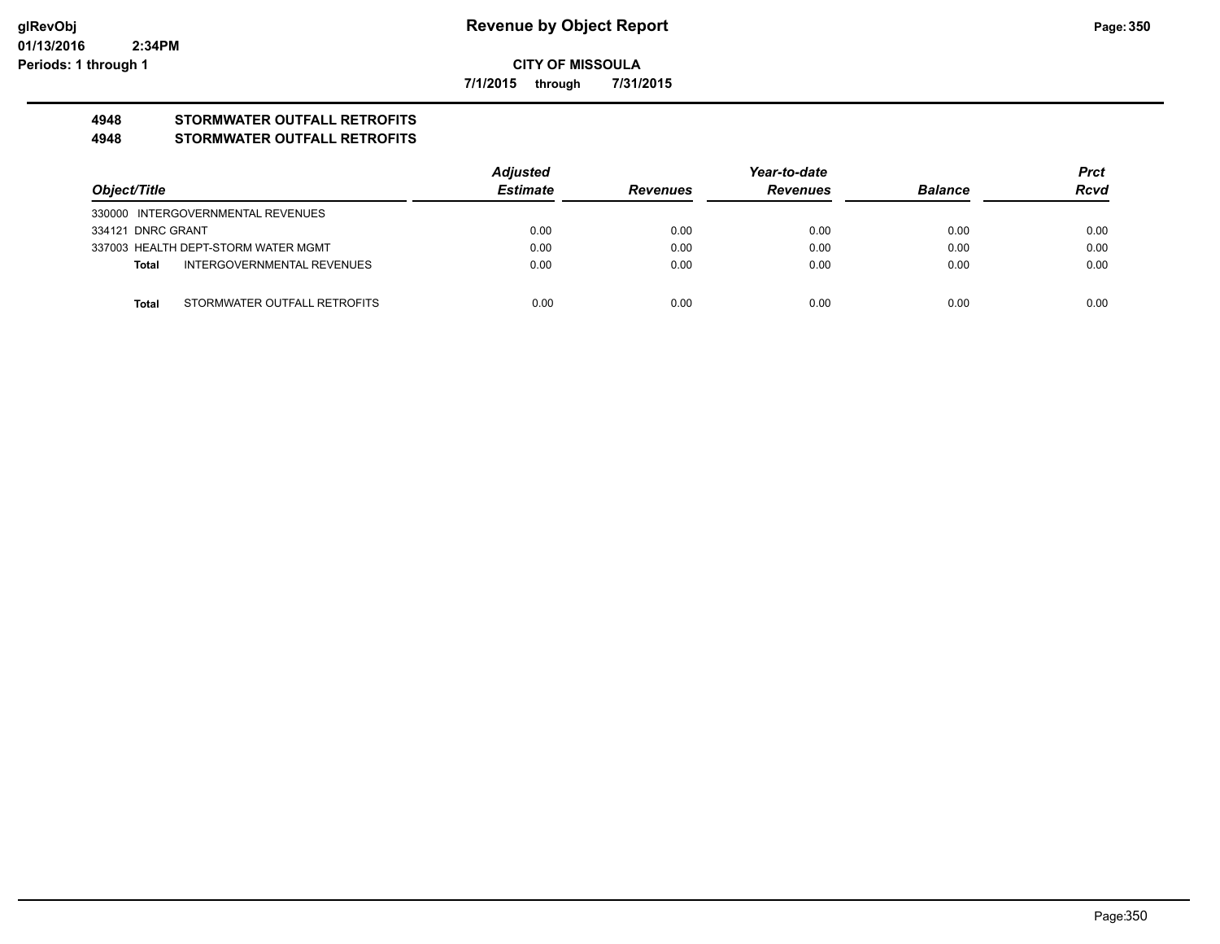**7/1/2015 through 7/31/2015**

# **4948 STORMWATER OUTFALL RETROFITS**

#### **4948 STORMWATER OUTFALL RETROFITS**

|                   |                                     | Adjusted        | Year-to-date    |                 |                | <b>Prct</b> |
|-------------------|-------------------------------------|-----------------|-----------------|-----------------|----------------|-------------|
| Object/Title      |                                     | <b>Estimate</b> | <b>Revenues</b> | <b>Revenues</b> | <b>Balance</b> | <b>Rcvd</b> |
|                   | 330000 INTERGOVERNMENTAL REVENUES   |                 |                 |                 |                |             |
| 334121 DNRC GRANT |                                     | 0.00            | 0.00            | 0.00            | 0.00           | 0.00        |
|                   | 337003 HEALTH DEPT-STORM WATER MGMT | 0.00            | 0.00            | 0.00            | 0.00           | 0.00        |
| Total             | INTERGOVERNMENTAL REVENUES          | 0.00            | 0.00            | 0.00            | 0.00           | 0.00        |
|                   |                                     |                 |                 |                 |                |             |
| Total             | STORMWATER OUTFALL RETROFITS        | 0.00            | 0.00            | 0.00            | 0.00           | 0.00        |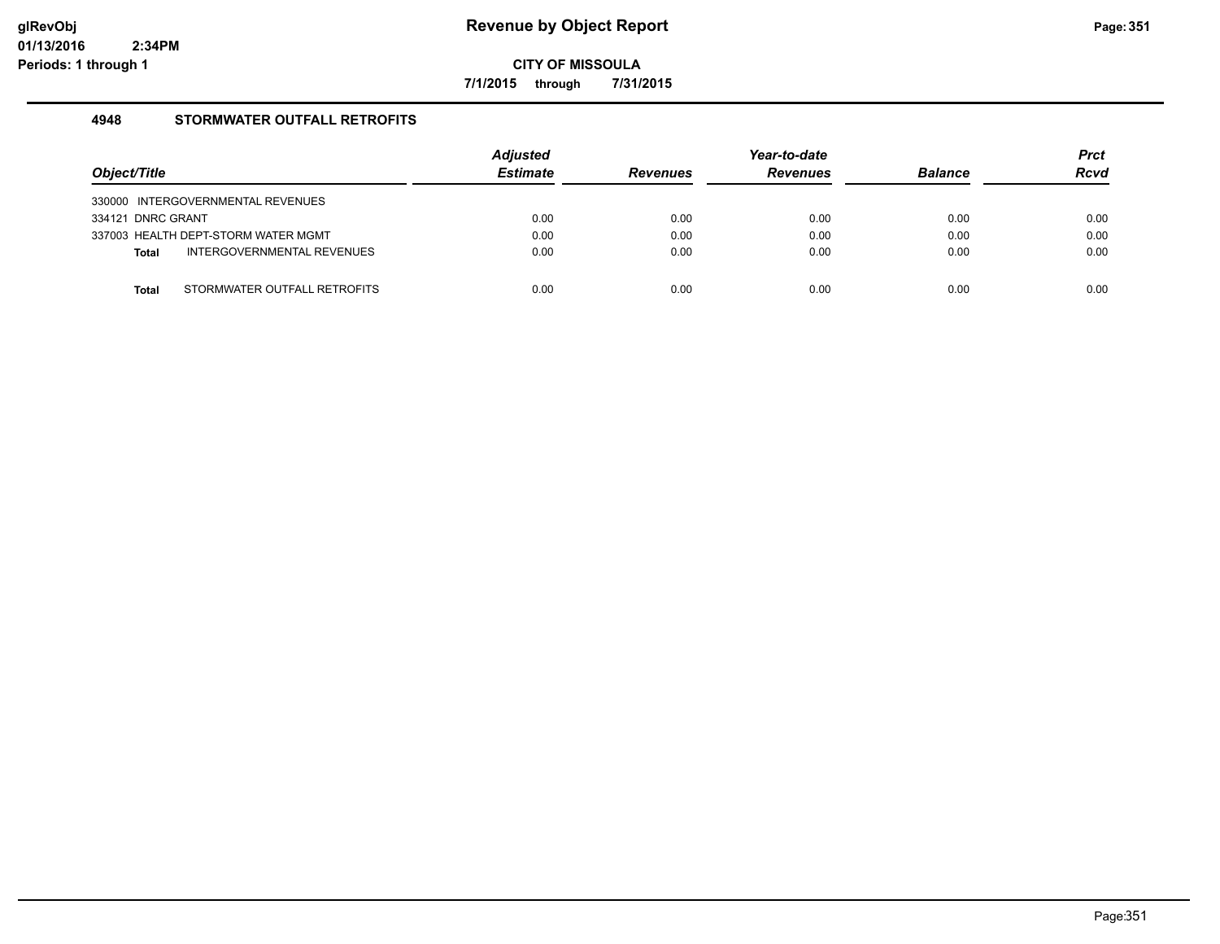**7/1/2015 through 7/31/2015**

#### **4948 STORMWATER OUTFALL RETROFITS**

| Object/Title                               | <b>Adjusted</b><br><b>Estimate</b> | <b>Revenues</b> | Year-to-date<br><b>Revenues</b> | <b>Balance</b> | <b>Prct</b><br><b>Rcvd</b> |
|--------------------------------------------|------------------------------------|-----------------|---------------------------------|----------------|----------------------------|
| 330000 INTERGOVERNMENTAL REVENUES          |                                    |                 |                                 |                |                            |
| 334121 DNRC GRANT                          | 0.00                               | 0.00            | 0.00                            | 0.00           | 0.00                       |
| 337003 HEALTH DEPT-STORM WATER MGMT        | 0.00                               | 0.00            | 0.00                            | 0.00           | 0.00                       |
| INTERGOVERNMENTAL REVENUES<br><b>Total</b> | 0.00                               | 0.00            | 0.00                            | 0.00           | 0.00                       |
|                                            |                                    |                 |                                 |                |                            |
| STORMWATER OUTFALL RETROFITS<br>Total      | 0.00                               | 0.00            | 0.00                            | 0.00           | 0.00                       |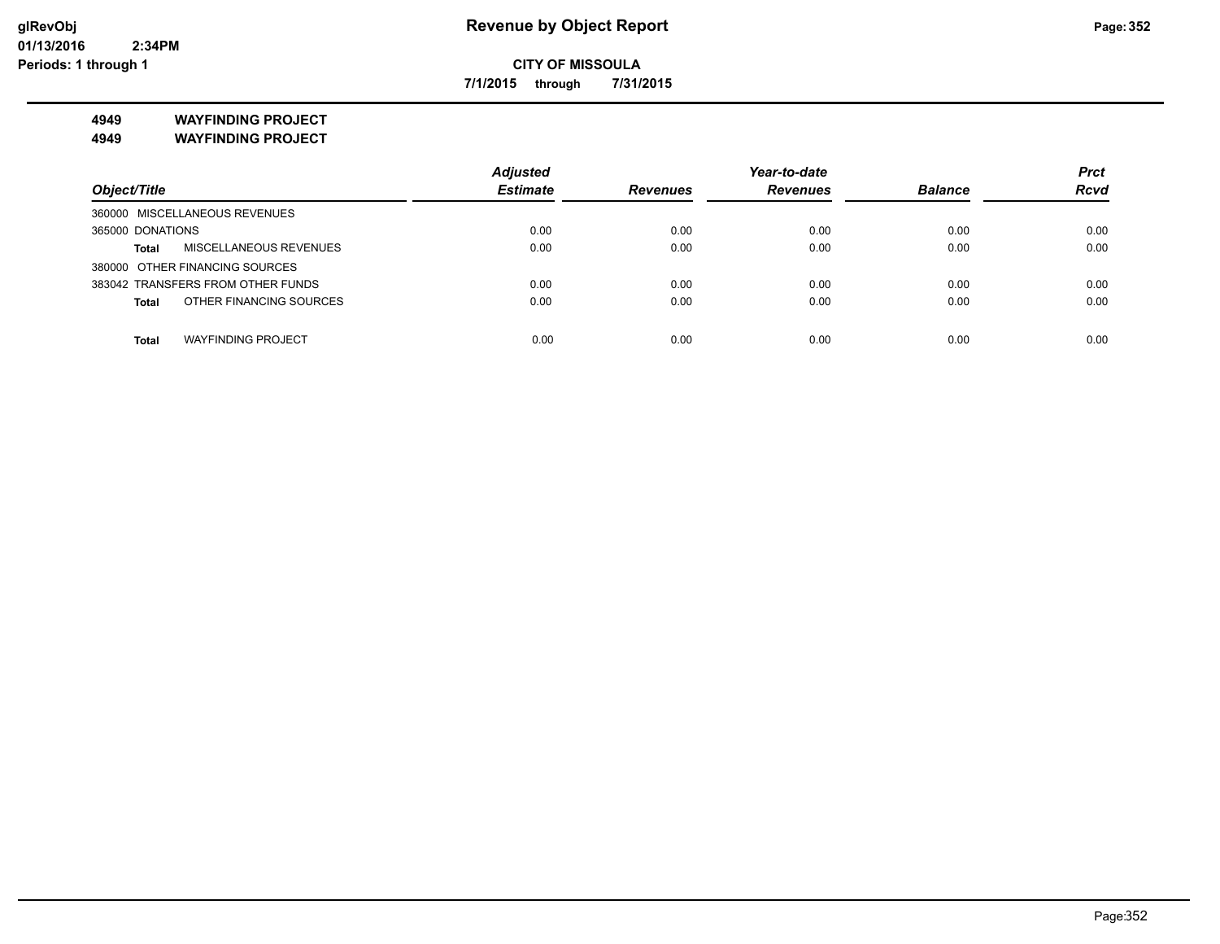**7/1/2015 through 7/31/2015**

**4949 WAYFINDING PROJECT 4949 WAYFINDING PROJECT**

|                                               | <b>Adjusted</b> |                 | Year-to-date    |                | <b>Prct</b> |
|-----------------------------------------------|-----------------|-----------------|-----------------|----------------|-------------|
| Object/Title                                  | <b>Estimate</b> | <b>Revenues</b> | <b>Revenues</b> | <b>Balance</b> | <b>Rcvd</b> |
| 360000 MISCELLANEOUS REVENUES                 |                 |                 |                 |                |             |
| 365000 DONATIONS                              | 0.00            | 0.00            | 0.00            | 0.00           | 0.00        |
| <b>MISCELLANEOUS REVENUES</b><br><b>Total</b> | 0.00            | 0.00            | 0.00            | 0.00           | 0.00        |
| 380000 OTHER FINANCING SOURCES                |                 |                 |                 |                |             |
| 383042 TRANSFERS FROM OTHER FUNDS             | 0.00            | 0.00            | 0.00            | 0.00           | 0.00        |
| OTHER FINANCING SOURCES<br><b>Total</b>       | 0.00            | 0.00            | 0.00            | 0.00           | 0.00        |
|                                               |                 |                 |                 |                |             |
| <b>WAYFINDING PROJECT</b><br><b>Total</b>     | 0.00            | 0.00            | 0.00            | 0.00           | 0.00        |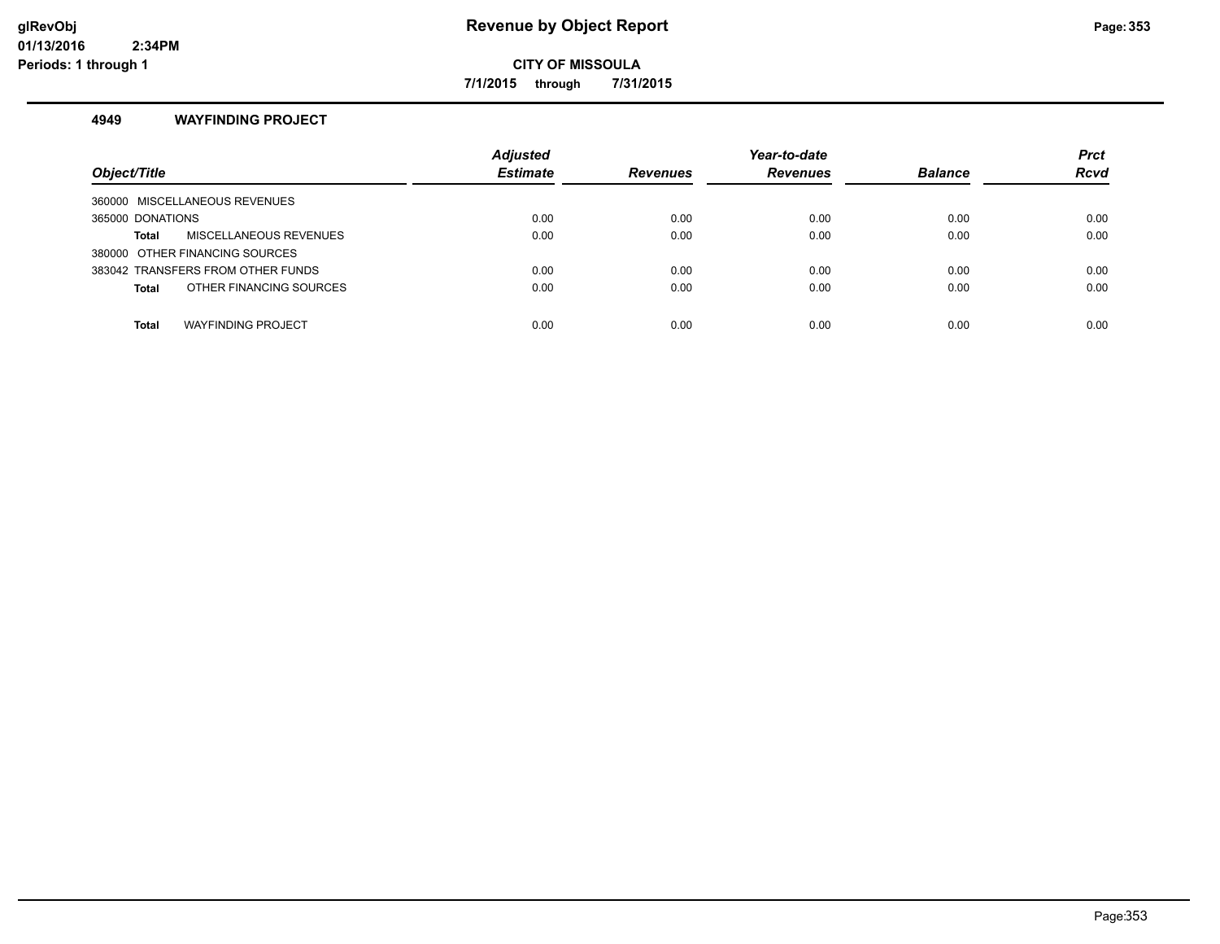**7/1/2015 through 7/31/2015**

#### **4949 WAYFINDING PROJECT**

| Object/Title                              | <b>Adjusted</b><br><b>Estimate</b> | <b>Revenues</b> | Year-to-date<br><b>Revenues</b> | <b>Balance</b> | <b>Prct</b><br><b>Rcvd</b> |
|-------------------------------------------|------------------------------------|-----------------|---------------------------------|----------------|----------------------------|
| 360000 MISCELLANEOUS REVENUES             |                                    |                 |                                 |                |                            |
| 365000 DONATIONS                          | 0.00                               | 0.00            | 0.00                            | 0.00           | 0.00                       |
| MISCELLANEOUS REVENUES<br>Total           | 0.00                               | 0.00            | 0.00                            | 0.00           | 0.00                       |
| 380000 OTHER FINANCING SOURCES            |                                    |                 |                                 |                |                            |
| 383042 TRANSFERS FROM OTHER FUNDS         | 0.00                               | 0.00            | 0.00                            | 0.00           | 0.00                       |
| OTHER FINANCING SOURCES<br><b>Total</b>   | 0.00                               | 0.00            | 0.00                            | 0.00           | 0.00                       |
|                                           |                                    |                 |                                 |                |                            |
| <b>WAYFINDING PROJECT</b><br><b>Total</b> | 0.00                               | 0.00            | 0.00                            | 0.00           | 0.00                       |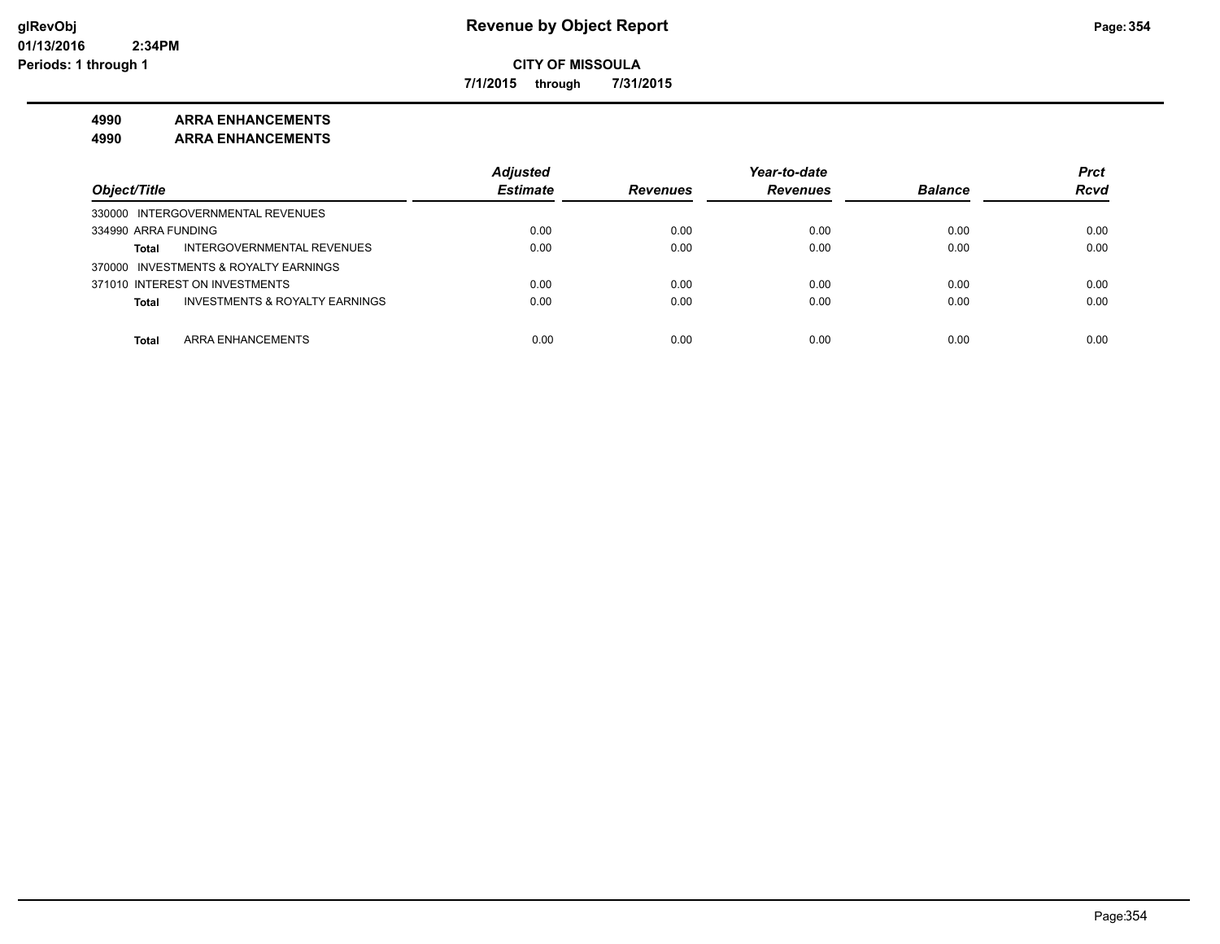**7/1/2015 through 7/31/2015**

#### **4990 ARRA ENHANCEMENTS**

**4990 ARRA ENHANCEMENTS**

|                                                    | <b>Adiusted</b> |                 | Year-to-date    |                | <b>Prct</b> |
|----------------------------------------------------|-----------------|-----------------|-----------------|----------------|-------------|
| Object/Title                                       | <b>Estimate</b> | <b>Revenues</b> | <b>Revenues</b> | <b>Balance</b> | <b>Rcvd</b> |
| 330000 INTERGOVERNMENTAL REVENUES                  |                 |                 |                 |                |             |
| 334990 ARRA FUNDING                                | 0.00            | 0.00            | 0.00            | 0.00           | 0.00        |
| INTERGOVERNMENTAL REVENUES<br><b>Total</b>         | 0.00            | 0.00            | 0.00            | 0.00           | 0.00        |
| 370000 INVESTMENTS & ROYALTY EARNINGS              |                 |                 |                 |                |             |
| 371010 INTEREST ON INVESTMENTS                     | 0.00            | 0.00            | 0.00            | 0.00           | 0.00        |
| <b>INVESTMENTS &amp; ROYALTY EARNINGS</b><br>Total | 0.00            | 0.00            | 0.00            | 0.00           | 0.00        |
| <b>ARRA ENHANCEMENTS</b><br>Total                  | 0.00            | 0.00            | 0.00            | 0.00           | 0.00        |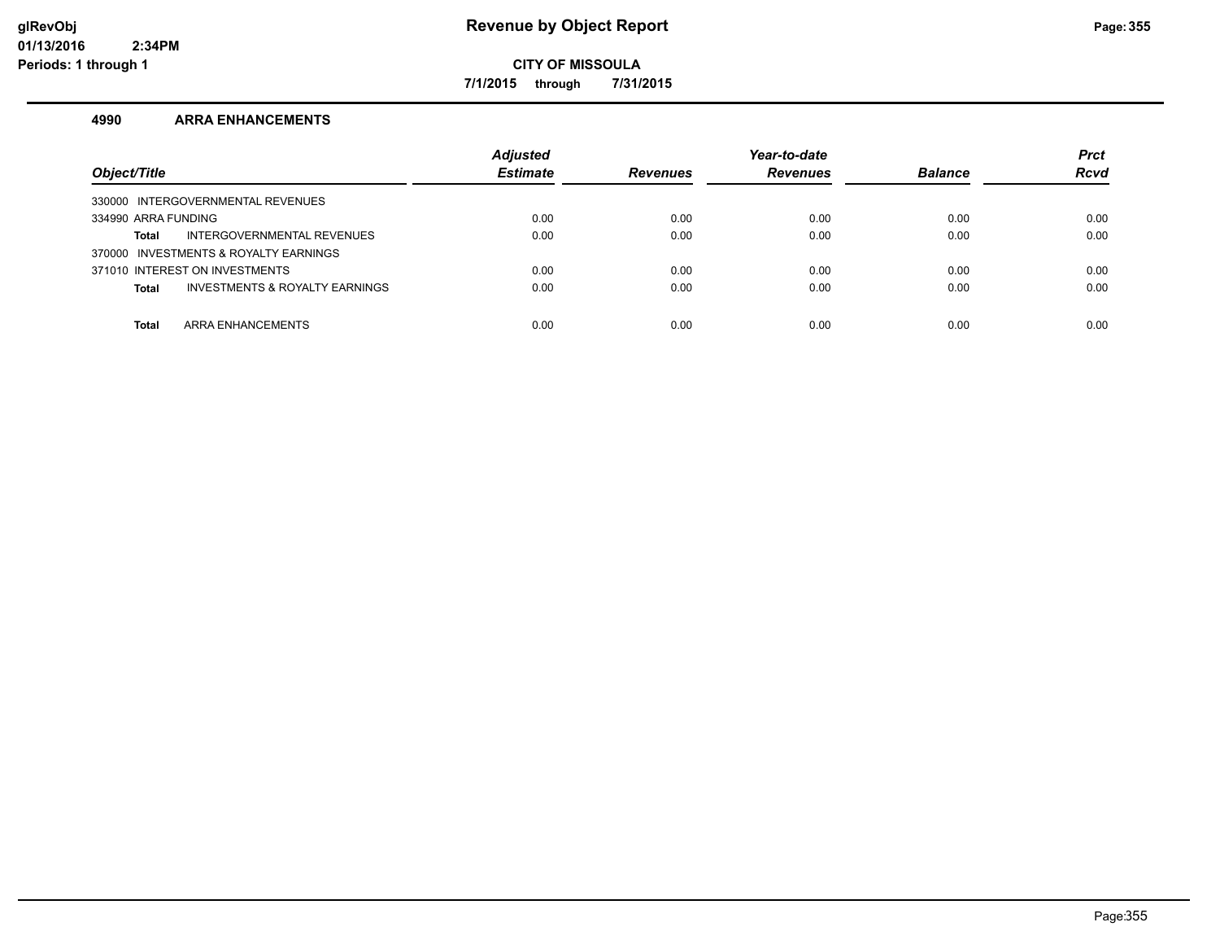**7/1/2015 through 7/31/2015**

#### **4990 ARRA ENHANCEMENTS**

| Object/Title                                   | <b>Adjusted</b><br><b>Estimate</b> | <b>Revenues</b> | Year-to-date<br><b>Revenues</b> | <b>Balance</b> | <b>Prct</b><br><b>Rcvd</b> |
|------------------------------------------------|------------------------------------|-----------------|---------------------------------|----------------|----------------------------|
| 330000 INTERGOVERNMENTAL REVENUES              |                                    |                 |                                 |                |                            |
| 334990 ARRA FUNDING                            | 0.00                               | 0.00            | 0.00                            | 0.00           | 0.00                       |
| INTERGOVERNMENTAL REVENUES<br>Total            | 0.00                               | 0.00            | 0.00                            | 0.00           | 0.00                       |
| 370000 INVESTMENTS & ROYALTY EARNINGS          |                                    |                 |                                 |                |                            |
| 371010 INTEREST ON INVESTMENTS                 | 0.00                               | 0.00            | 0.00                            | 0.00           | 0.00                       |
| INVESTMENTS & ROYALTY EARNINGS<br><b>Total</b> | 0.00                               | 0.00            | 0.00                            | 0.00           | 0.00                       |
|                                                |                                    |                 |                                 |                |                            |
| ARRA ENHANCEMENTS<br><b>Total</b>              | 0.00                               | 0.00            | 0.00                            | 0.00           | 0.00                       |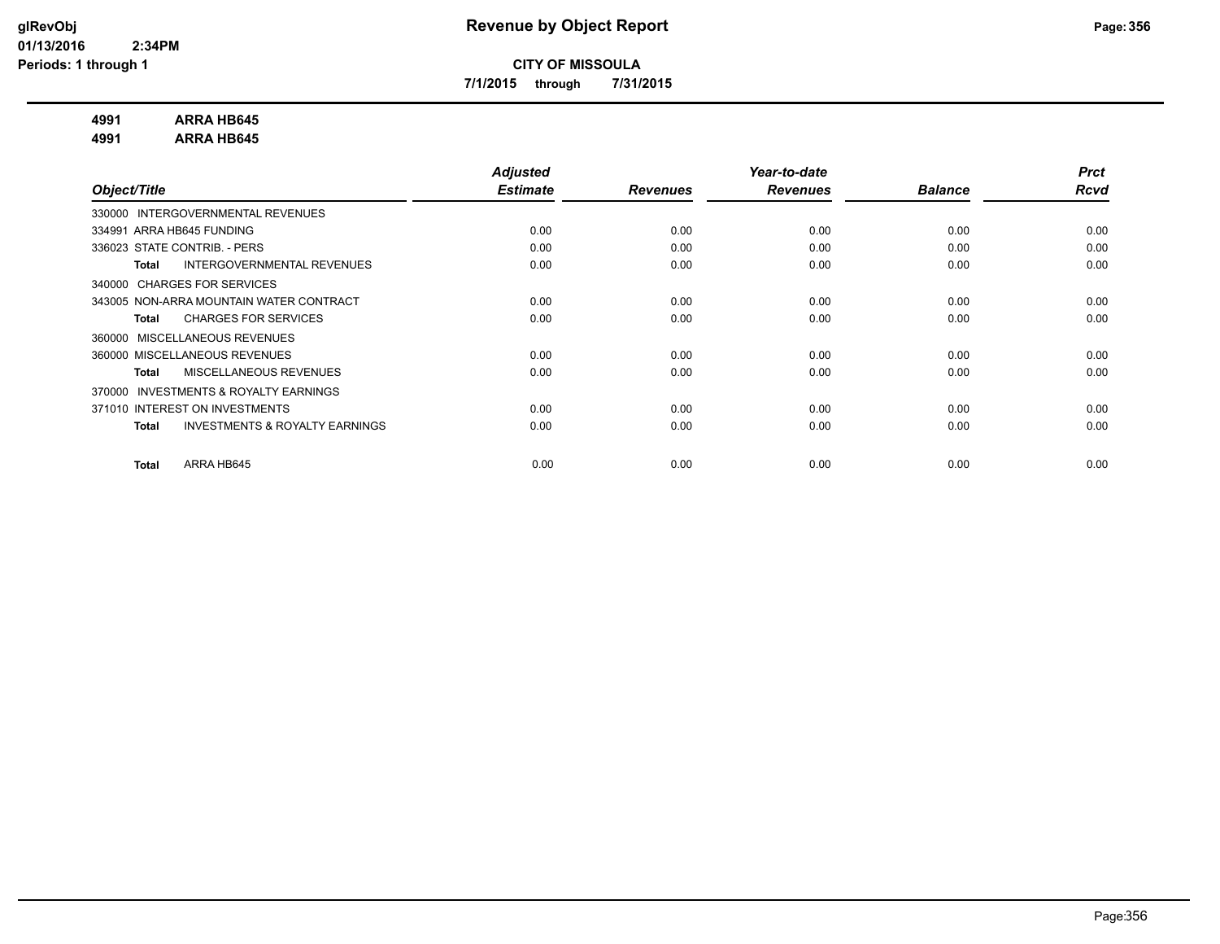**7/1/2015 through 7/31/2015**

#### **4991 ARRA HB645**

**4991 ARRA HB645**

|                                                           | <b>Adjusted</b> |                 | Year-to-date    |                | <b>Prct</b> |
|-----------------------------------------------------------|-----------------|-----------------|-----------------|----------------|-------------|
| Object/Title                                              | <b>Estimate</b> | <b>Revenues</b> | <b>Revenues</b> | <b>Balance</b> | <b>Rcvd</b> |
| INTERGOVERNMENTAL REVENUES<br>330000                      |                 |                 |                 |                |             |
| 334991 ARRA HB645 FUNDING                                 | 0.00            | 0.00            | 0.00            | 0.00           | 0.00        |
| 336023 STATE CONTRIB. - PERS                              | 0.00            | 0.00            | 0.00            | 0.00           | 0.00        |
| <b>INTERGOVERNMENTAL REVENUES</b><br><b>Total</b>         | 0.00            | 0.00            | 0.00            | 0.00           | 0.00        |
| 340000 CHARGES FOR SERVICES                               |                 |                 |                 |                |             |
| 343005 NON-ARRA MOUNTAIN WATER CONTRACT                   | 0.00            | 0.00            | 0.00            | 0.00           | 0.00        |
| <b>CHARGES FOR SERVICES</b><br>Total                      | 0.00            | 0.00            | 0.00            | 0.00           | 0.00        |
| MISCELLANEOUS REVENUES<br>360000                          |                 |                 |                 |                |             |
| 360000 MISCELLANEOUS REVENUES                             | 0.00            | 0.00            | 0.00            | 0.00           | 0.00        |
| MISCELLANEOUS REVENUES<br><b>Total</b>                    | 0.00            | 0.00            | 0.00            | 0.00           | 0.00        |
| <b>INVESTMENTS &amp; ROYALTY EARNINGS</b><br>370000       |                 |                 |                 |                |             |
| 371010 INTEREST ON INVESTMENTS                            | 0.00            | 0.00            | 0.00            | 0.00           | 0.00        |
| <b>INVESTMENTS &amp; ROYALTY EARNINGS</b><br><b>Total</b> | 0.00            | 0.00            | 0.00            | 0.00           | 0.00        |
|                                                           |                 |                 |                 |                |             |
| ARRA HB645<br><b>Total</b>                                | 0.00            | 0.00            | 0.00            | 0.00           | 0.00        |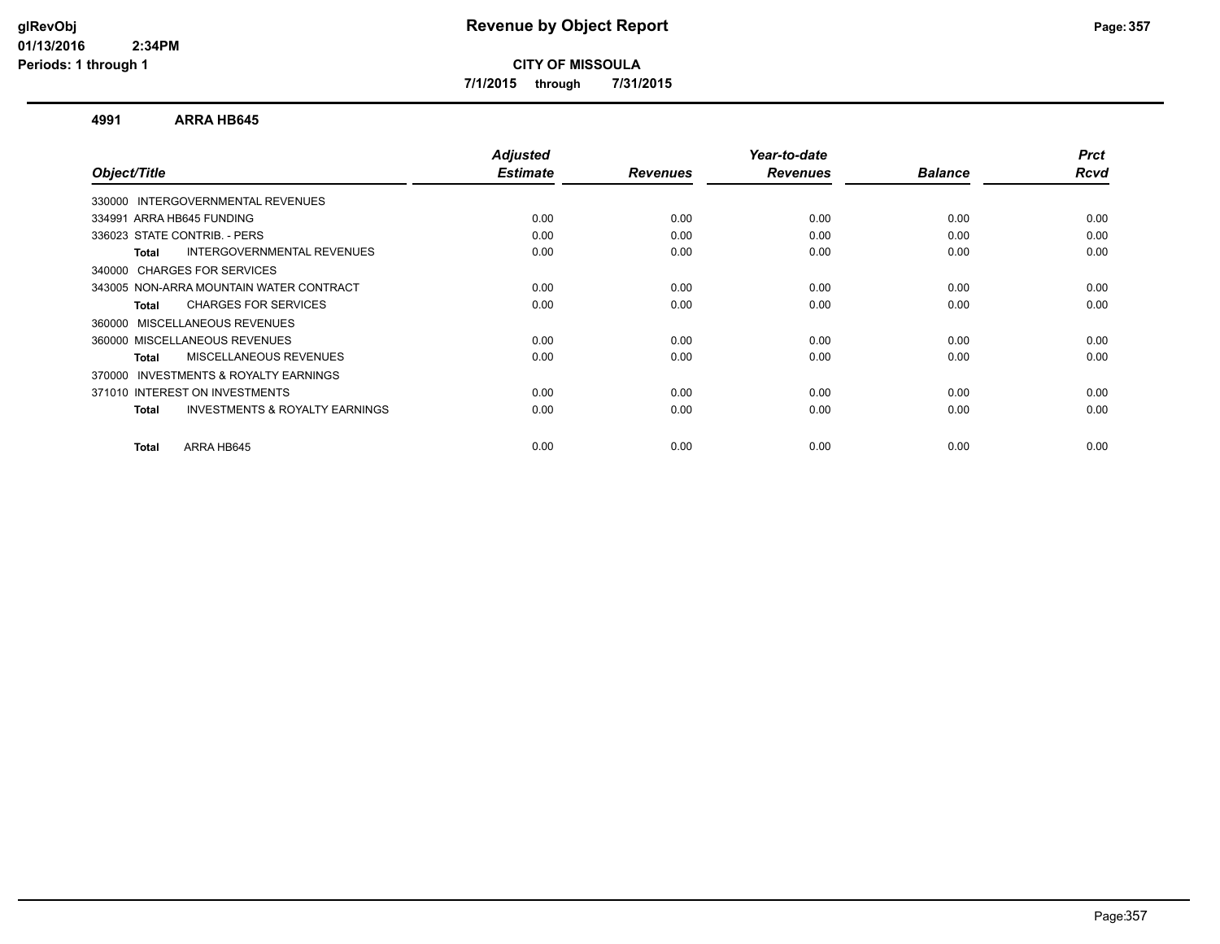**7/1/2015 through 7/31/2015**

#### **4991 ARRA HB645**

|      |                         |                         | <b>Balance</b>          | <b>Prct</b><br>Rcvd |
|------|-------------------------|-------------------------|-------------------------|---------------------|
|      |                         |                         |                         |                     |
|      |                         |                         |                         |                     |
| 0.00 | 0.00                    | 0.00                    | 0.00                    | 0.00                |
| 0.00 | 0.00                    | 0.00                    | 0.00                    | 0.00                |
| 0.00 | 0.00                    | 0.00                    | 0.00                    | 0.00                |
|      |                         |                         |                         |                     |
| 0.00 | 0.00                    | 0.00                    | 0.00                    | 0.00                |
| 0.00 | 0.00                    | 0.00                    | 0.00                    | 0.00                |
|      |                         |                         |                         |                     |
| 0.00 | 0.00                    | 0.00                    | 0.00                    | 0.00                |
| 0.00 | 0.00                    | 0.00                    | 0.00                    | 0.00                |
|      |                         |                         |                         |                     |
| 0.00 | 0.00                    | 0.00                    | 0.00                    | 0.00                |
| 0.00 | 0.00                    | 0.00                    | 0.00                    | 0.00                |
|      |                         |                         |                         | 0.00                |
|      | <b>Estimate</b><br>0.00 | <b>Revenues</b><br>0.00 | <b>Revenues</b><br>0.00 | 0.00                |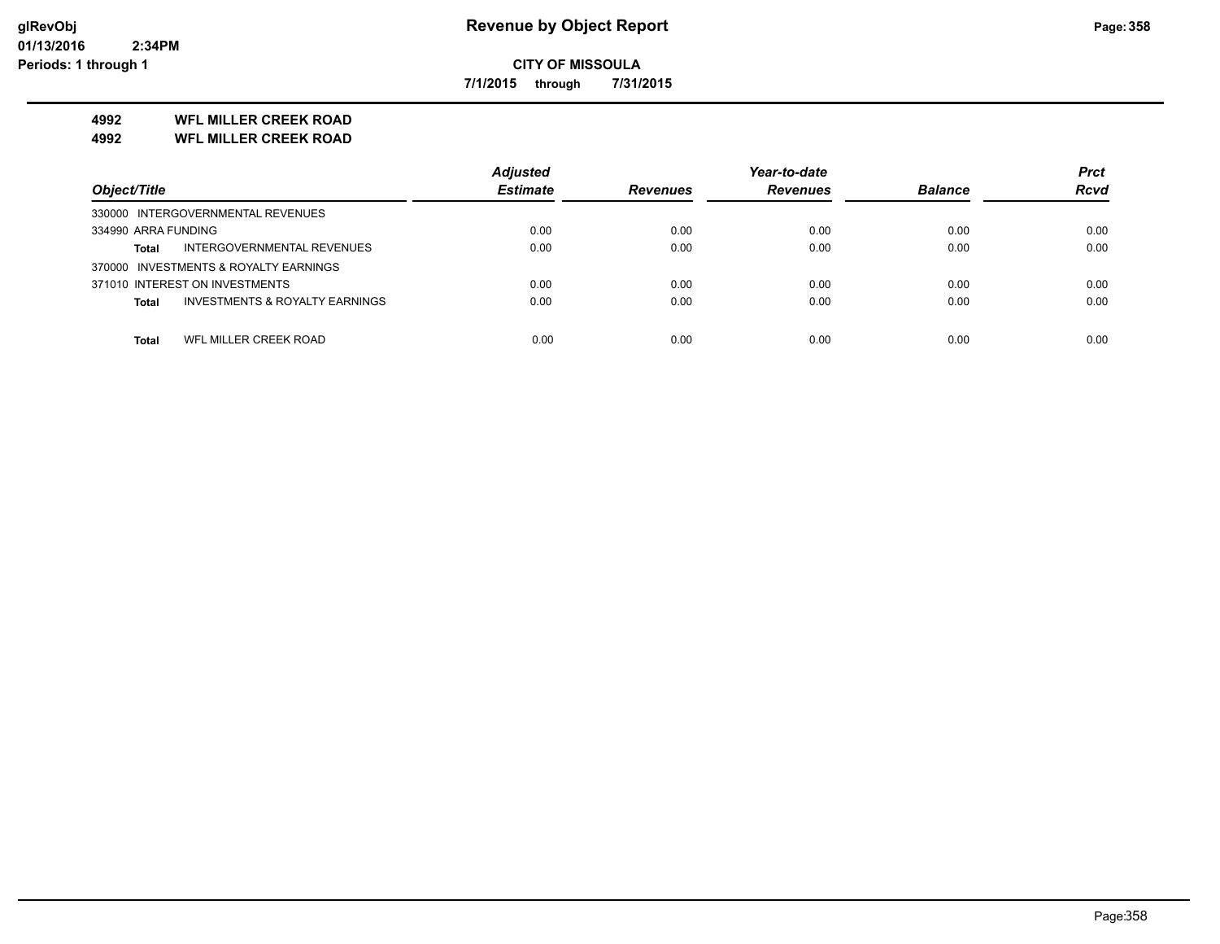**7/1/2015 through 7/31/2015**

#### **4992 WFL MILLER CREEK ROAD**

**4992 WFL MILLER CREEK ROAD**

|                                                           | <b>Adjusted</b> |                 | Year-to-date    |                | <b>Prct</b> |
|-----------------------------------------------------------|-----------------|-----------------|-----------------|----------------|-------------|
| Object/Title                                              | <b>Estimate</b> | <b>Revenues</b> | <b>Revenues</b> | <b>Balance</b> | <b>Rcvd</b> |
| 330000 INTERGOVERNMENTAL REVENUES                         |                 |                 |                 |                |             |
| 334990 ARRA FUNDING                                       | 0.00            | 0.00            | 0.00            | 0.00           | 0.00        |
| INTERGOVERNMENTAL REVENUES<br><b>Total</b>                | 0.00            | 0.00            | 0.00            | 0.00           | 0.00        |
| 370000 INVESTMENTS & ROYALTY EARNINGS                     |                 |                 |                 |                |             |
| 371010 INTEREST ON INVESTMENTS                            | 0.00            | 0.00            | 0.00            | 0.00           | 0.00        |
| <b>INVESTMENTS &amp; ROYALTY EARNINGS</b><br><b>Total</b> | 0.00            | 0.00            | 0.00            | 0.00           | 0.00        |
|                                                           |                 |                 |                 |                |             |
| WFL MILLER CREEK ROAD<br>Total                            | 0.00            | 0.00            | 0.00            | 0.00           | 0.00        |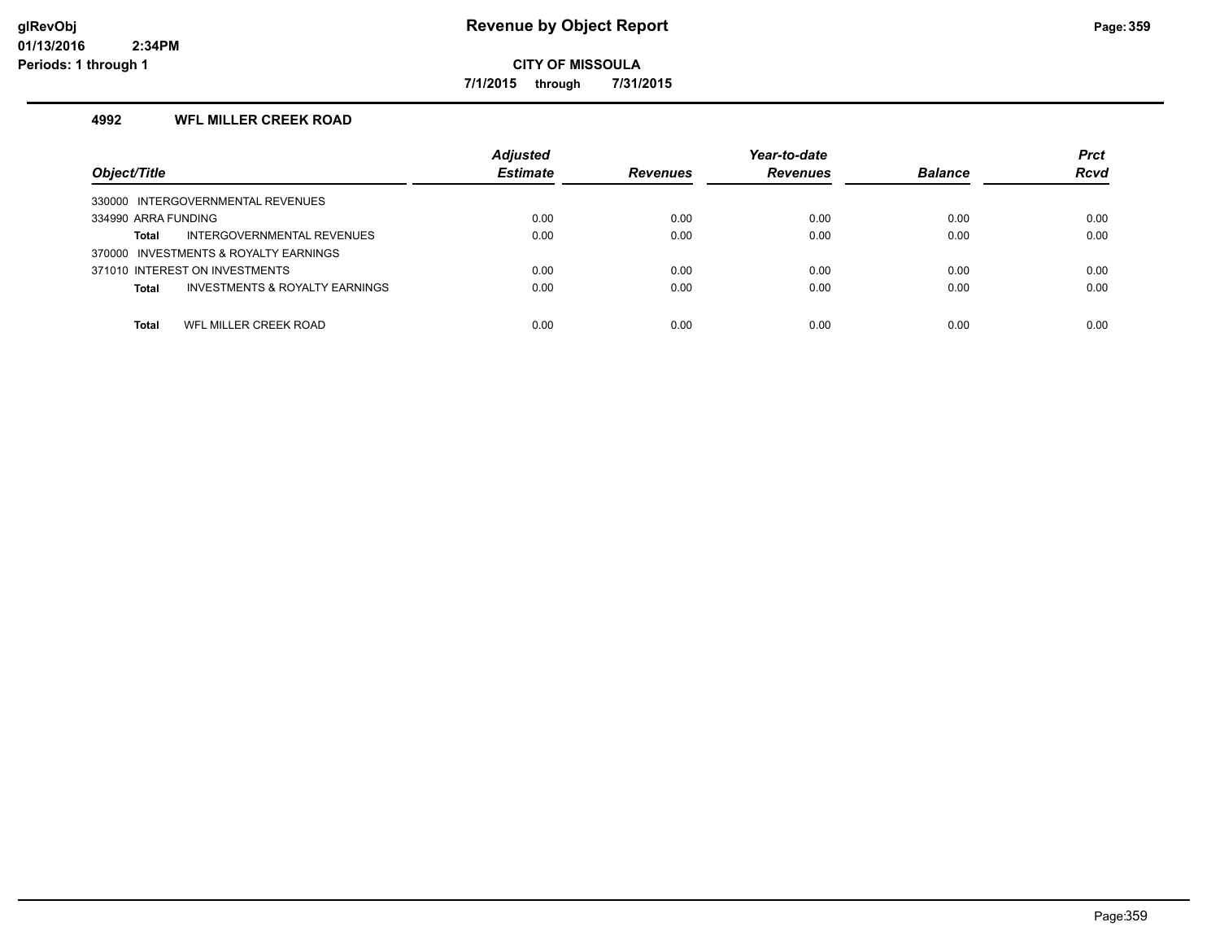**7/1/2015 through 7/31/2015**

#### **4992 WFL MILLER CREEK ROAD**

| Object/Title                                              | <b>Adjusted</b><br><b>Estimate</b> | <b>Revenues</b> | Year-to-date<br><b>Revenues</b> | <b>Balance</b> | <b>Prct</b><br><b>Rcvd</b> |
|-----------------------------------------------------------|------------------------------------|-----------------|---------------------------------|----------------|----------------------------|
| 330000 INTERGOVERNMENTAL REVENUES                         |                                    |                 |                                 |                |                            |
| 334990 ARRA FUNDING                                       | 0.00                               | 0.00            | 0.00                            | 0.00           | 0.00                       |
| INTERGOVERNMENTAL REVENUES<br>Total                       | 0.00                               | 0.00            | 0.00                            | 0.00           | 0.00                       |
| 370000 INVESTMENTS & ROYALTY EARNINGS                     |                                    |                 |                                 |                |                            |
| 371010 INTEREST ON INVESTMENTS                            | 0.00                               | 0.00            | 0.00                            | 0.00           | 0.00                       |
| <b>INVESTMENTS &amp; ROYALTY EARNINGS</b><br><b>Total</b> | 0.00                               | 0.00            | 0.00                            | 0.00           | 0.00                       |
|                                                           |                                    |                 |                                 |                |                            |
| WFL MILLER CREEK ROAD<br><b>Total</b>                     | 0.00                               | 0.00            | 0.00                            | 0.00           | 0.00                       |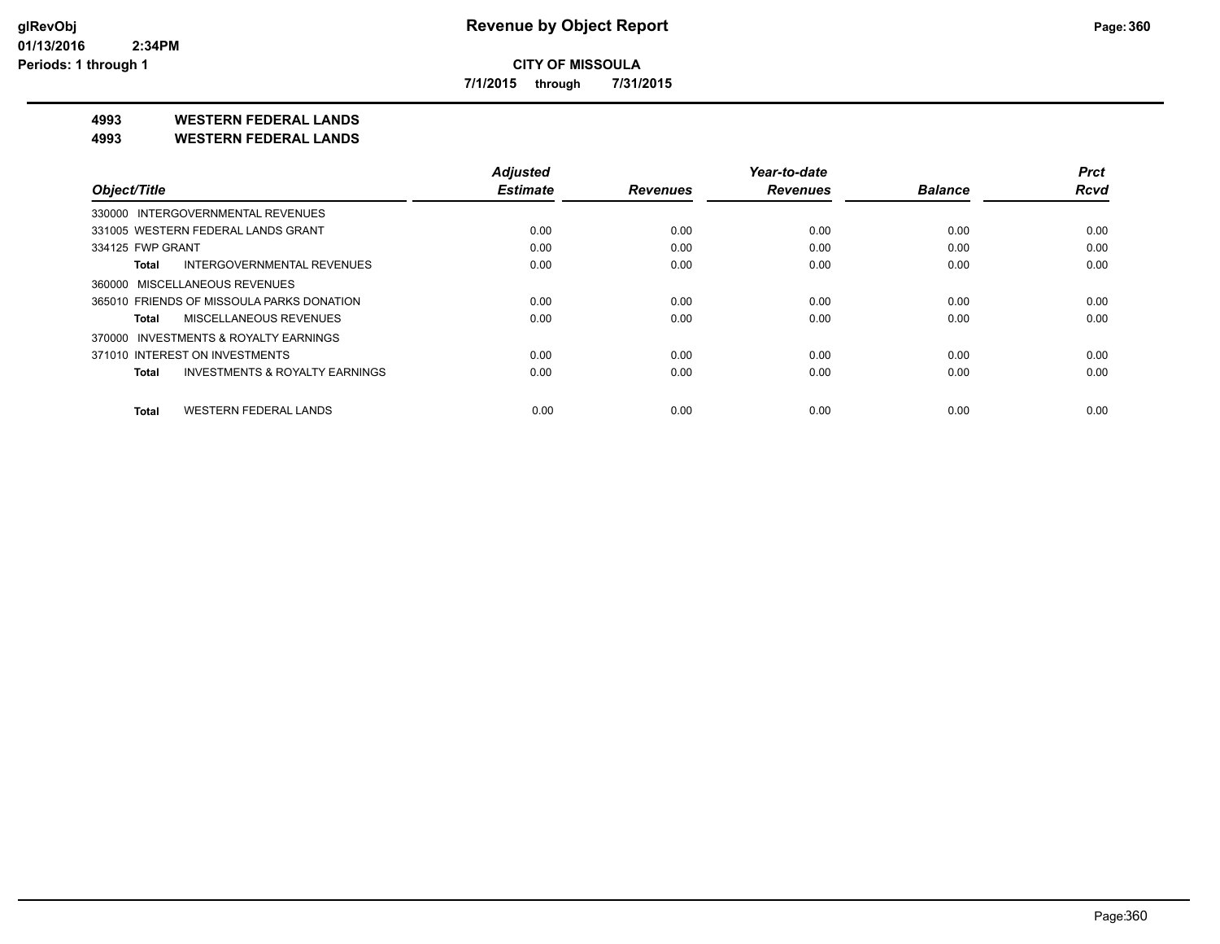**7/1/2015 through 7/31/2015**

**4993 WESTERN FEDERAL LANDS**

**4993 WESTERN FEDERAL LANDS**

|                                              | <b>Adjusted</b> |                 | Year-to-date    |                | <b>Prct</b> |
|----------------------------------------------|-----------------|-----------------|-----------------|----------------|-------------|
| Object/Title                                 | <b>Estimate</b> | <b>Revenues</b> | <b>Revenues</b> | <b>Balance</b> | <b>Rcvd</b> |
| 330000 INTERGOVERNMENTAL REVENUES            |                 |                 |                 |                |             |
| 331005 WESTERN FEDERAL LANDS GRANT           | 0.00            | 0.00            | 0.00            | 0.00           | 0.00        |
| 334125 FWP GRANT                             | 0.00            | 0.00            | 0.00            | 0.00           | 0.00        |
| INTERGOVERNMENTAL REVENUES<br>Total          | 0.00            | 0.00            | 0.00            | 0.00           | 0.00        |
| 360000 MISCELLANEOUS REVENUES                |                 |                 |                 |                |             |
| 365010 FRIENDS OF MISSOULA PARKS DONATION    | 0.00            | 0.00            | 0.00            | 0.00           | 0.00        |
| MISCELLANEOUS REVENUES<br>Total              | 0.00            | 0.00            | 0.00            | 0.00           | 0.00        |
| 370000 INVESTMENTS & ROYALTY EARNINGS        |                 |                 |                 |                |             |
| 371010 INTEREST ON INVESTMENTS               | 0.00            | 0.00            | 0.00            | 0.00           | 0.00        |
| INVESTMENTS & ROYALTY EARNINGS<br>Total      | 0.00            | 0.00            | 0.00            | 0.00           | 0.00        |
| <b>WESTERN FEDERAL LANDS</b><br><b>Total</b> | 0.00            | 0.00            | 0.00            | 0.00           | 0.00        |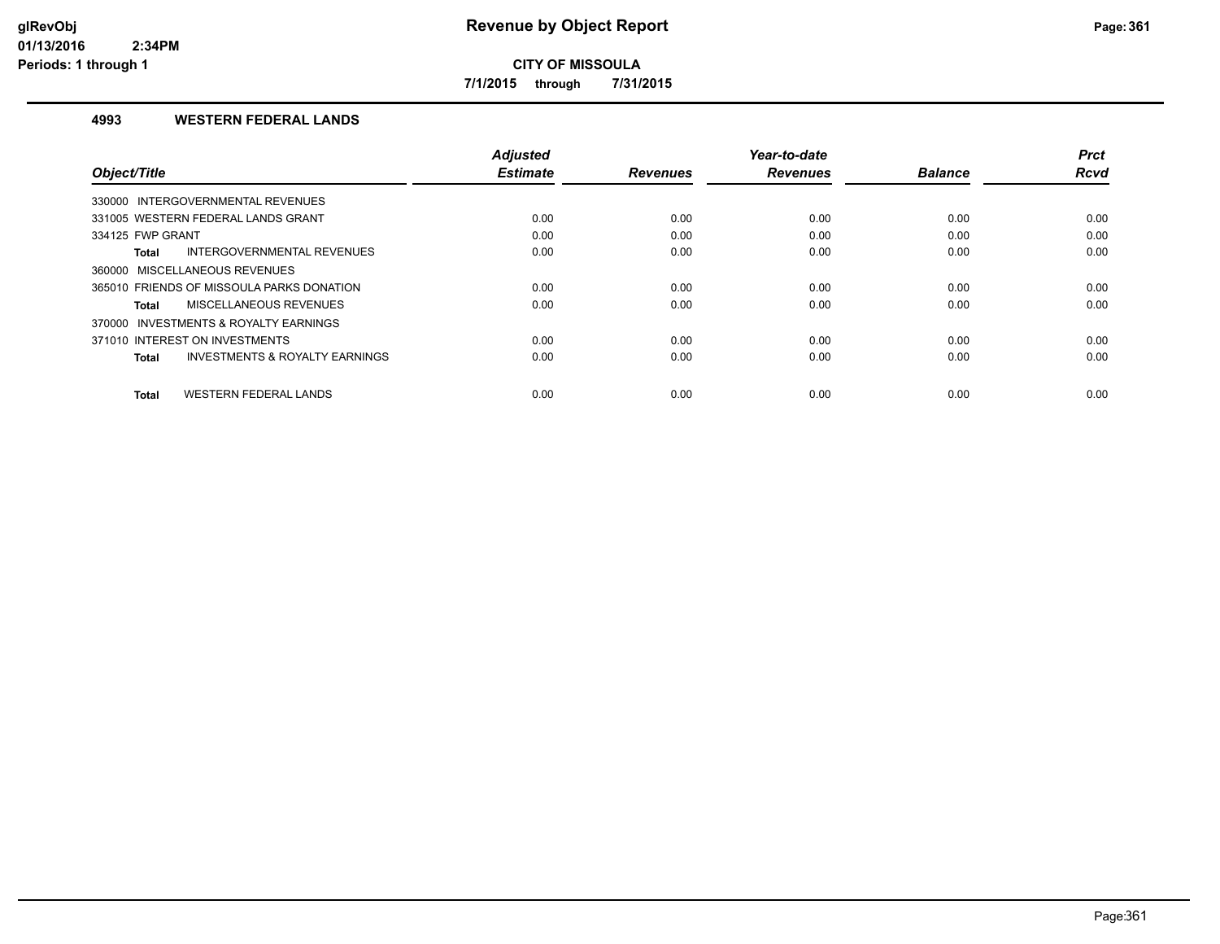**7/1/2015 through 7/31/2015**

#### **4993 WESTERN FEDERAL LANDS**

|                                                    | <b>Adjusted</b> |                 | Year-to-date    |                | <b>Prct</b> |
|----------------------------------------------------|-----------------|-----------------|-----------------|----------------|-------------|
| Object/Title                                       | <b>Estimate</b> | <b>Revenues</b> | <b>Revenues</b> | <b>Balance</b> | <b>Rcvd</b> |
| 330000 INTERGOVERNMENTAL REVENUES                  |                 |                 |                 |                |             |
| 331005 WESTERN FEDERAL LANDS GRANT                 | 0.00            | 0.00            | 0.00            | 0.00           | 0.00        |
| 334125 FWP GRANT                                   | 0.00            | 0.00            | 0.00            | 0.00           | 0.00        |
| INTERGOVERNMENTAL REVENUES<br><b>Total</b>         | 0.00            | 0.00            | 0.00            | 0.00           | 0.00        |
| 360000 MISCELLANEOUS REVENUES                      |                 |                 |                 |                |             |
| 365010 FRIENDS OF MISSOULA PARKS DONATION          | 0.00            | 0.00            | 0.00            | 0.00           | 0.00        |
| MISCELLANEOUS REVENUES<br>Total                    | 0.00            | 0.00            | 0.00            | 0.00           | 0.00        |
| 370000 INVESTMENTS & ROYALTY EARNINGS              |                 |                 |                 |                |             |
| 371010 INTEREST ON INVESTMENTS                     | 0.00            | 0.00            | 0.00            | 0.00           | 0.00        |
| <b>INVESTMENTS &amp; ROYALTY EARNINGS</b><br>Total | 0.00            | 0.00            | 0.00            | 0.00           | 0.00        |
|                                                    |                 |                 |                 |                |             |
| <b>WESTERN FEDERAL LANDS</b><br><b>Total</b>       | 0.00            | 0.00            | 0.00            | 0.00           | 0.00        |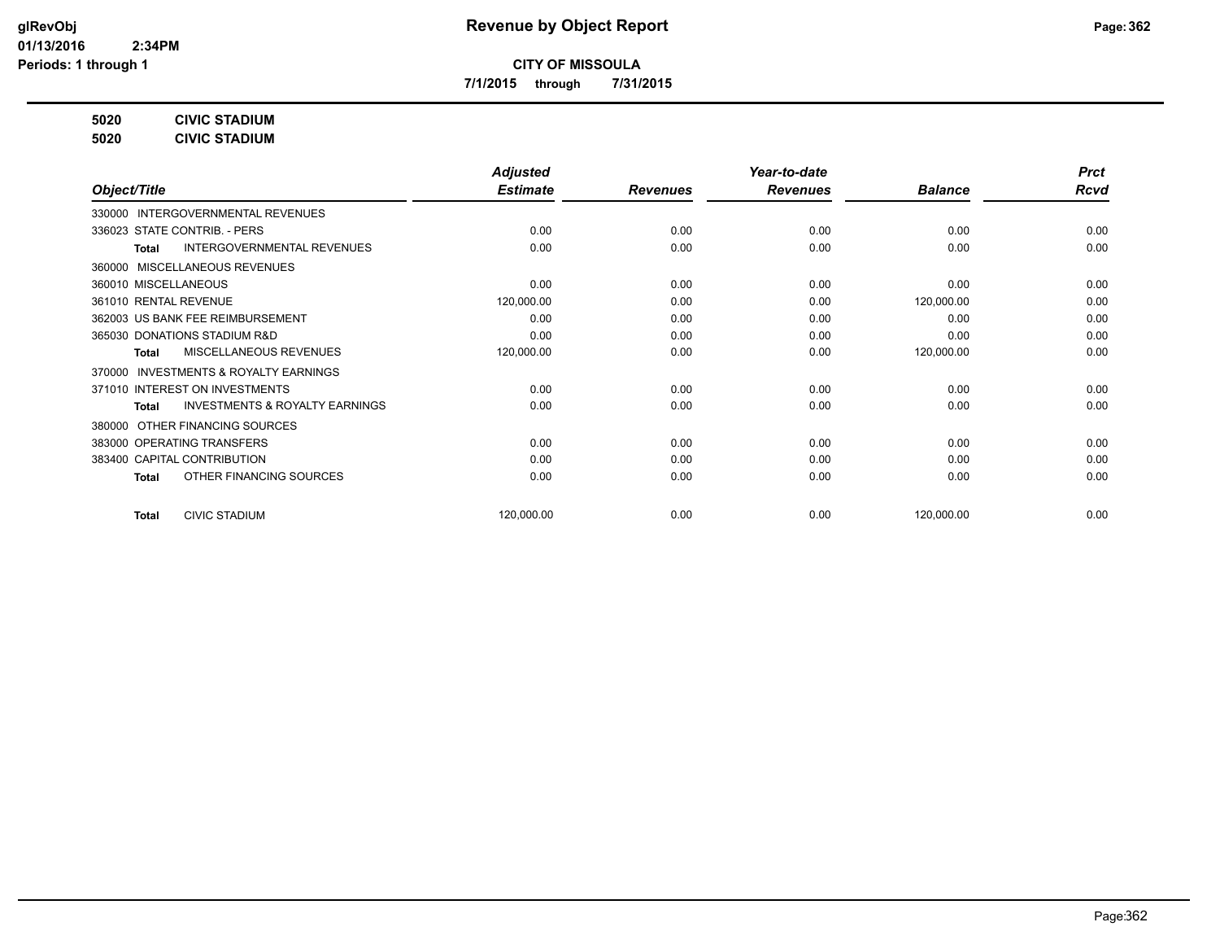**7/1/2015 through 7/31/2015**

**5020 CIVIC STADIUM**

**5020 CIVIC STADIUM**

|                                                           | <b>Adjusted</b> |                 | Year-to-date    |                | <b>Prct</b> |
|-----------------------------------------------------------|-----------------|-----------------|-----------------|----------------|-------------|
| Object/Title                                              | <b>Estimate</b> | <b>Revenues</b> | <b>Revenues</b> | <b>Balance</b> | <b>Rcvd</b> |
| 330000 INTERGOVERNMENTAL REVENUES                         |                 |                 |                 |                |             |
| 336023 STATE CONTRIB. - PERS                              | 0.00            | 0.00            | 0.00            | 0.00           | 0.00        |
| <b>INTERGOVERNMENTAL REVENUES</b><br>Total                | 0.00            | 0.00            | 0.00            | 0.00           | 0.00        |
| 360000 MISCELLANEOUS REVENUES                             |                 |                 |                 |                |             |
| 360010 MISCELLANEOUS                                      | 0.00            | 0.00            | 0.00            | 0.00           | 0.00        |
| 361010 RENTAL REVENUE                                     | 120,000.00      | 0.00            | 0.00            | 120,000.00     | 0.00        |
| 362003 US BANK FEE REIMBURSEMENT                          | 0.00            | 0.00            | 0.00            | 0.00           | 0.00        |
| 365030 DONATIONS STADIUM R&D                              | 0.00            | 0.00            | 0.00            | 0.00           | 0.00        |
| <b>MISCELLANEOUS REVENUES</b><br><b>Total</b>             | 120,000.00      | 0.00            | 0.00            | 120,000.00     | 0.00        |
| 370000 INVESTMENTS & ROYALTY EARNINGS                     |                 |                 |                 |                |             |
| 371010 INTEREST ON INVESTMENTS                            | 0.00            | 0.00            | 0.00            | 0.00           | 0.00        |
| <b>INVESTMENTS &amp; ROYALTY EARNINGS</b><br><b>Total</b> | 0.00            | 0.00            | 0.00            | 0.00           | 0.00        |
| OTHER FINANCING SOURCES<br>380000                         |                 |                 |                 |                |             |
| 383000 OPERATING TRANSFERS                                | 0.00            | 0.00            | 0.00            | 0.00           | 0.00        |
| 383400 CAPITAL CONTRIBUTION                               | 0.00            | 0.00            | 0.00            | 0.00           | 0.00        |
| OTHER FINANCING SOURCES<br><b>Total</b>                   | 0.00            | 0.00            | 0.00            | 0.00           | 0.00        |
|                                                           |                 |                 |                 |                |             |
| <b>CIVIC STADIUM</b><br><b>Total</b>                      | 120,000.00      | 0.00            | 0.00            | 120,000.00     | 0.00        |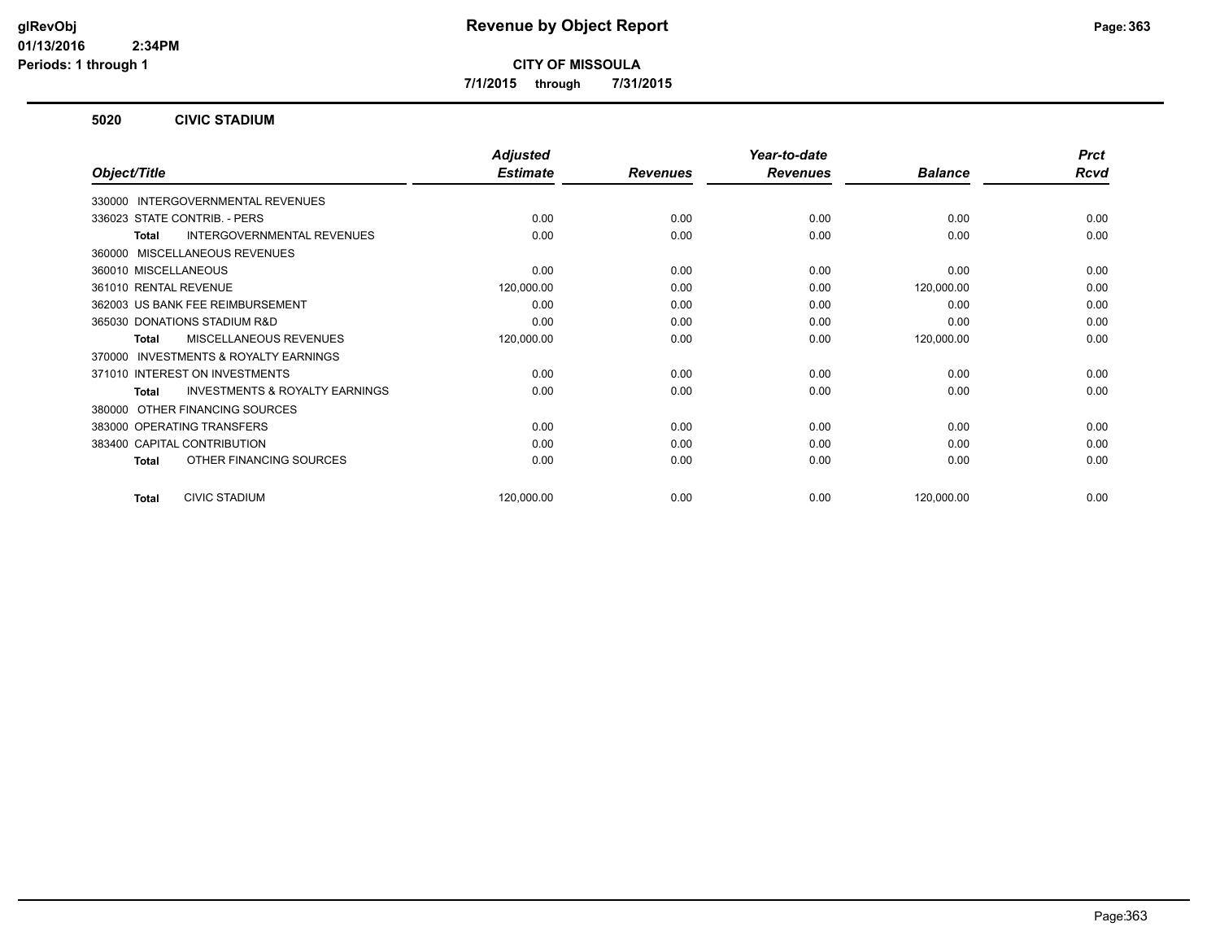**7/1/2015 through 7/31/2015**

#### **5020 CIVIC STADIUM**

|                                                     | <b>Adjusted</b> |                 | Year-to-date    |                | <b>Prct</b> |
|-----------------------------------------------------|-----------------|-----------------|-----------------|----------------|-------------|
| Object/Title                                        | <b>Estimate</b> | <b>Revenues</b> | <b>Revenues</b> | <b>Balance</b> | <b>Rcvd</b> |
| 330000 INTERGOVERNMENTAL REVENUES                   |                 |                 |                 |                |             |
| 336023 STATE CONTRIB. - PERS                        | 0.00            | 0.00            | 0.00            | 0.00           | 0.00        |
| INTERGOVERNMENTAL REVENUES<br><b>Total</b>          | 0.00            | 0.00            | 0.00            | 0.00           | 0.00        |
| 360000 MISCELLANEOUS REVENUES                       |                 |                 |                 |                |             |
| 360010 MISCELLANEOUS                                | 0.00            | 0.00            | 0.00            | 0.00           | 0.00        |
| 361010 RENTAL REVENUE                               | 120,000.00      | 0.00            | 0.00            | 120,000.00     | 0.00        |
| 362003 US BANK FEE REIMBURSEMENT                    | 0.00            | 0.00            | 0.00            | 0.00           | 0.00        |
| 365030 DONATIONS STADIUM R&D                        | 0.00            | 0.00            | 0.00            | 0.00           | 0.00        |
| MISCELLANEOUS REVENUES<br><b>Total</b>              | 120,000.00      | 0.00            | 0.00            | 120,000.00     | 0.00        |
| <b>INVESTMENTS &amp; ROYALTY EARNINGS</b><br>370000 |                 |                 |                 |                |             |
| 371010 INTEREST ON INVESTMENTS                      | 0.00            | 0.00            | 0.00            | 0.00           | 0.00        |
| <b>INVESTMENTS &amp; ROYALTY EARNINGS</b><br>Total  | 0.00            | 0.00            | 0.00            | 0.00           | 0.00        |
| OTHER FINANCING SOURCES<br>380000                   |                 |                 |                 |                |             |
| 383000 OPERATING TRANSFERS                          | 0.00            | 0.00            | 0.00            | 0.00           | 0.00        |
| 383400 CAPITAL CONTRIBUTION                         | 0.00            | 0.00            | 0.00            | 0.00           | 0.00        |
| OTHER FINANCING SOURCES<br><b>Total</b>             | 0.00            | 0.00            | 0.00            | 0.00           | 0.00        |
| <b>CIVIC STADIUM</b><br><b>Total</b>                | 120,000.00      | 0.00            | 0.00            | 120,000.00     | 0.00        |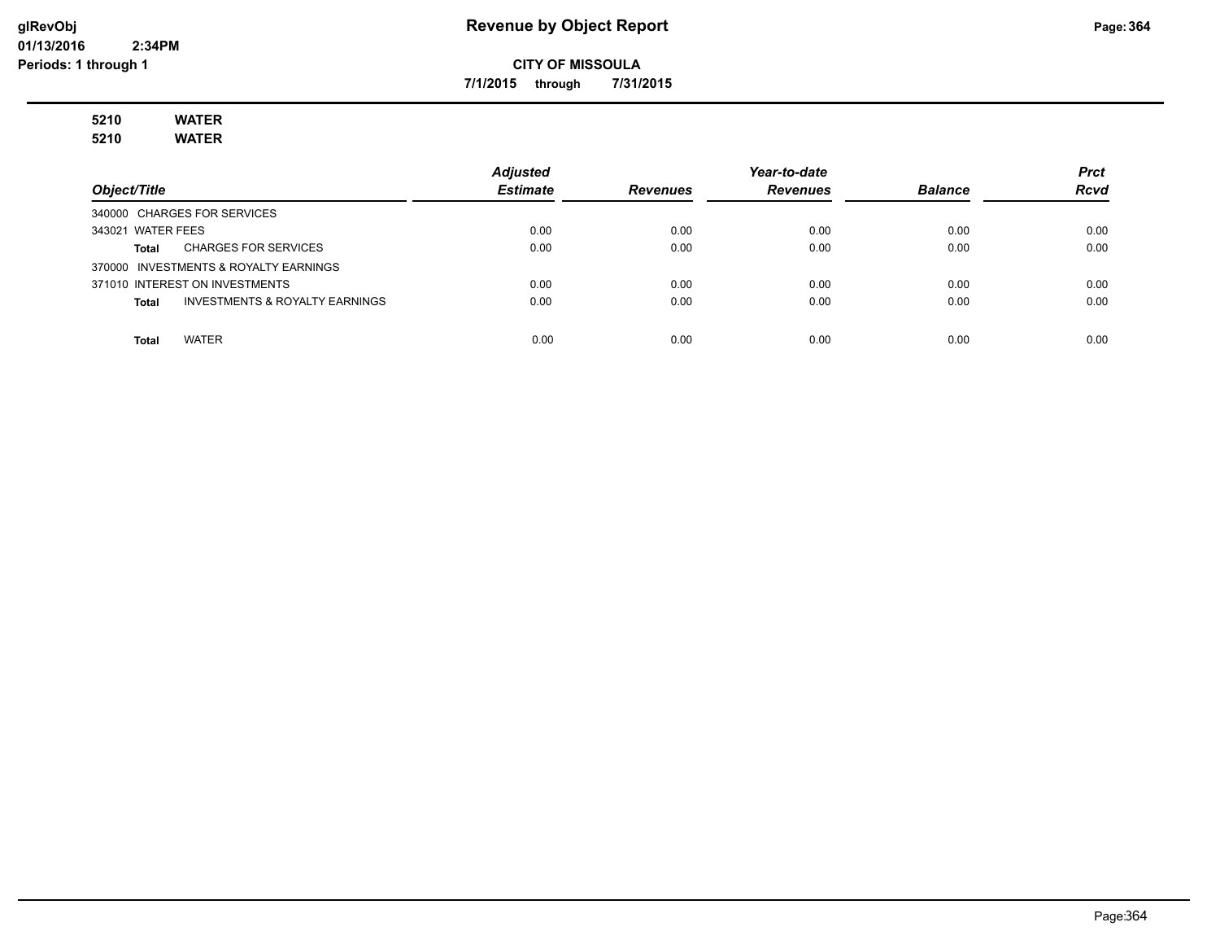**7/1/2015 through 7/31/2015**

# **5210 WATER**

**5210 WATER**

|                                                    | <b>Adjusted</b> |                 | Year-to-date    |                | <b>Prct</b> |
|----------------------------------------------------|-----------------|-----------------|-----------------|----------------|-------------|
| Object/Title                                       | <b>Estimate</b> | <b>Revenues</b> | <b>Revenues</b> | <b>Balance</b> | <b>Rcvd</b> |
| 340000 CHARGES FOR SERVICES                        |                 |                 |                 |                |             |
| 343021 WATER FEES                                  | 0.00            | 0.00            | 0.00            | 0.00           | 0.00        |
| <b>CHARGES FOR SERVICES</b><br>Total               | 0.00            | 0.00            | 0.00            | 0.00           | 0.00        |
| 370000 INVESTMENTS & ROYALTY EARNINGS              |                 |                 |                 |                |             |
| 371010 INTEREST ON INVESTMENTS                     | 0.00            | 0.00            | 0.00            | 0.00           | 0.00        |
| <b>INVESTMENTS &amp; ROYALTY EARNINGS</b><br>Total | 0.00            | 0.00            | 0.00            | 0.00           | 0.00        |
|                                                    |                 |                 |                 |                |             |
| WATER<br>Total                                     | 0.00            | 0.00            | 0.00            | 0.00           | 0.00        |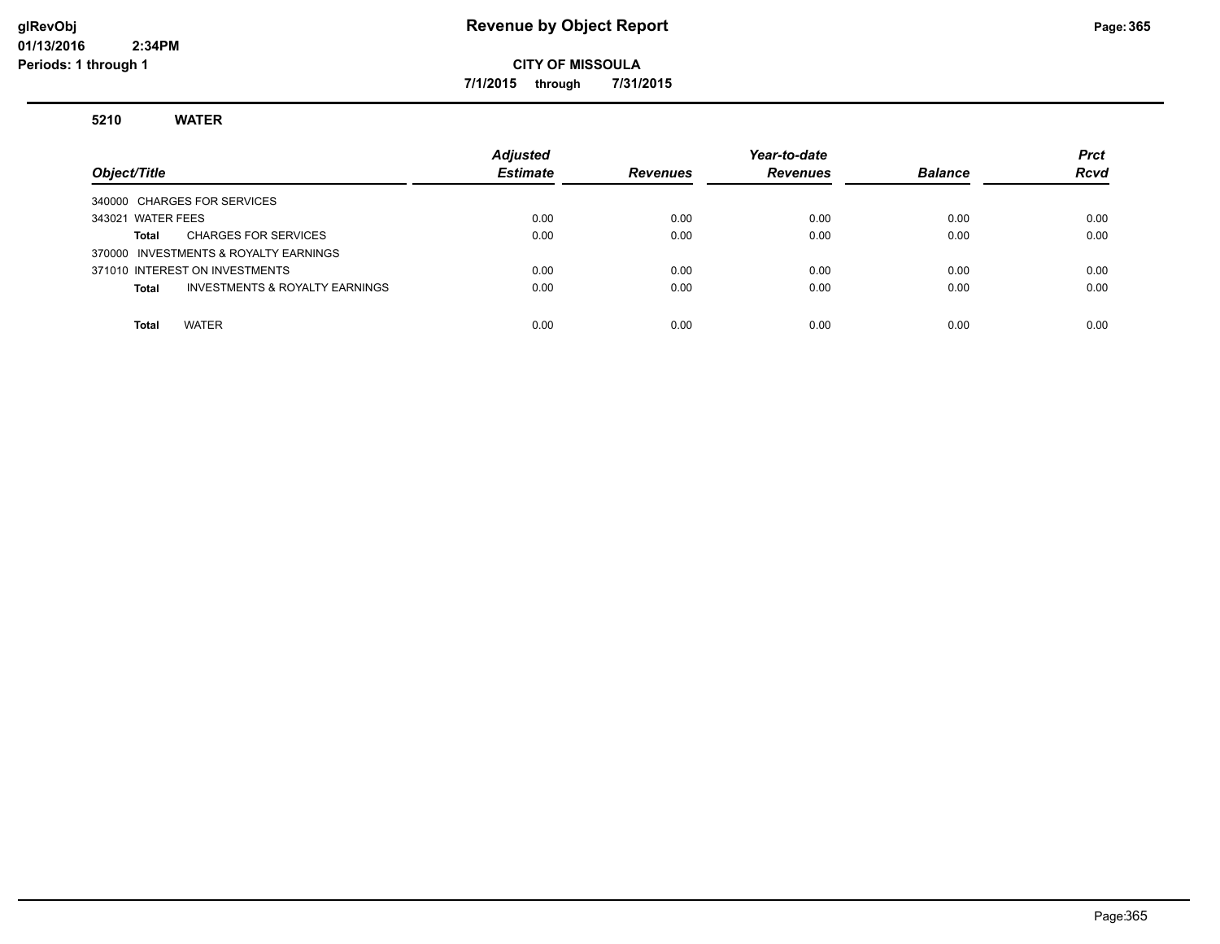#### **glRevObj Revenue by Object Report Page:365**

#### **CITY OF MISSOULA**

**7/1/2015 through 7/31/2015**

#### **5210 WATER**

| Object/Title                                              | <b>Adjusted</b><br><b>Estimate</b> | <b>Revenues</b> | Year-to-date<br><b>Revenues</b> | <b>Balance</b> | <b>Prct</b><br><b>Rcvd</b> |
|-----------------------------------------------------------|------------------------------------|-----------------|---------------------------------|----------------|----------------------------|
| 340000 CHARGES FOR SERVICES                               |                                    |                 |                                 |                |                            |
| 343021 WATER FEES                                         | 0.00                               | 0.00            | 0.00                            | 0.00           | 0.00                       |
| <b>CHARGES FOR SERVICES</b><br>Total                      | 0.00                               | 0.00            | 0.00                            | 0.00           | 0.00                       |
| 370000 INVESTMENTS & ROYALTY EARNINGS                     |                                    |                 |                                 |                |                            |
| 371010 INTEREST ON INVESTMENTS                            | 0.00                               | 0.00            | 0.00                            | 0.00           | 0.00                       |
| <b>INVESTMENTS &amp; ROYALTY EARNINGS</b><br><b>Total</b> | 0.00                               | 0.00            | 0.00                            | 0.00           | 0.00                       |
|                                                           |                                    |                 |                                 |                |                            |
| <b>WATER</b><br><b>Total</b>                              | 0.00                               | 0.00            | 0.00                            | 0.00           | 0.00                       |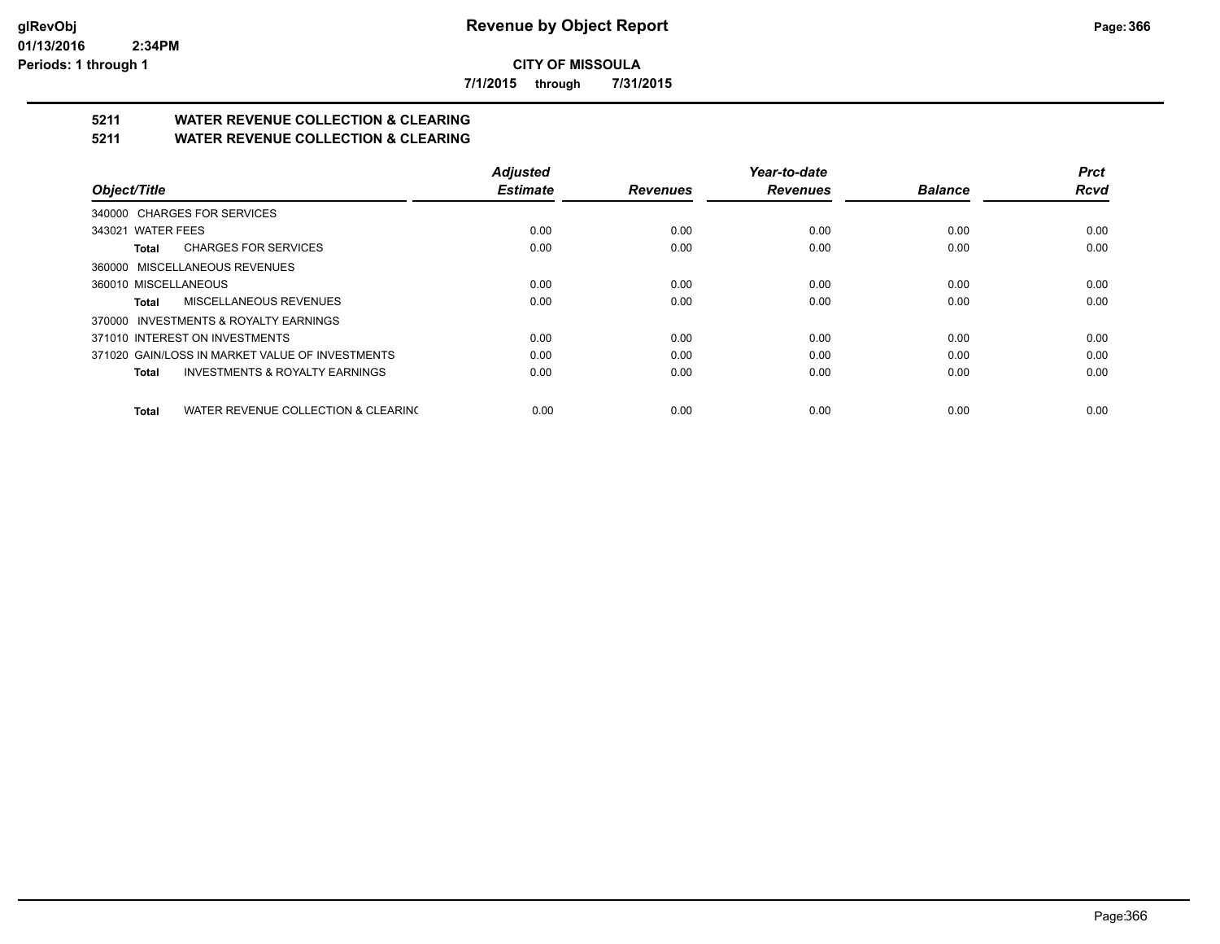**7/1/2015 through 7/31/2015**

## **5211 WATER REVENUE COLLECTION & CLEARING**

**5211 WATER REVENUE COLLECTION & CLEARING**

|                                                 | <b>Adjusted</b> |                 | Year-to-date    |                | <b>Prct</b> |
|-------------------------------------------------|-----------------|-----------------|-----------------|----------------|-------------|
| Object/Title                                    | <b>Estimate</b> | <b>Revenues</b> | <b>Revenues</b> | <b>Balance</b> | <b>Rcvd</b> |
| 340000 CHARGES FOR SERVICES                     |                 |                 |                 |                |             |
| 343021 WATER FEES                               | 0.00            | 0.00            | 0.00            | 0.00           | 0.00        |
| <b>CHARGES FOR SERVICES</b><br>Total            | 0.00            | 0.00            | 0.00            | 0.00           | 0.00        |
| 360000 MISCELLANEOUS REVENUES                   |                 |                 |                 |                |             |
| 360010 MISCELLANEOUS                            | 0.00            | 0.00            | 0.00            | 0.00           | 0.00        |
| <b>MISCELLANEOUS REVENUES</b><br>Total          | 0.00            | 0.00            | 0.00            | 0.00           | 0.00        |
| 370000 INVESTMENTS & ROYALTY EARNINGS           |                 |                 |                 |                |             |
| 371010 INTEREST ON INVESTMENTS                  | 0.00            | 0.00            | 0.00            | 0.00           | 0.00        |
| 371020 GAIN/LOSS IN MARKET VALUE OF INVESTMENTS | 0.00            | 0.00            | 0.00            | 0.00           | 0.00        |
| INVESTMENTS & ROYALTY EARNINGS<br>Total         | 0.00            | 0.00            | 0.00            | 0.00           | 0.00        |
| WATER REVENUE COLLECTION & CLEARING<br>Total    | 0.00            | 0.00            | 0.00            | 0.00           | 0.00        |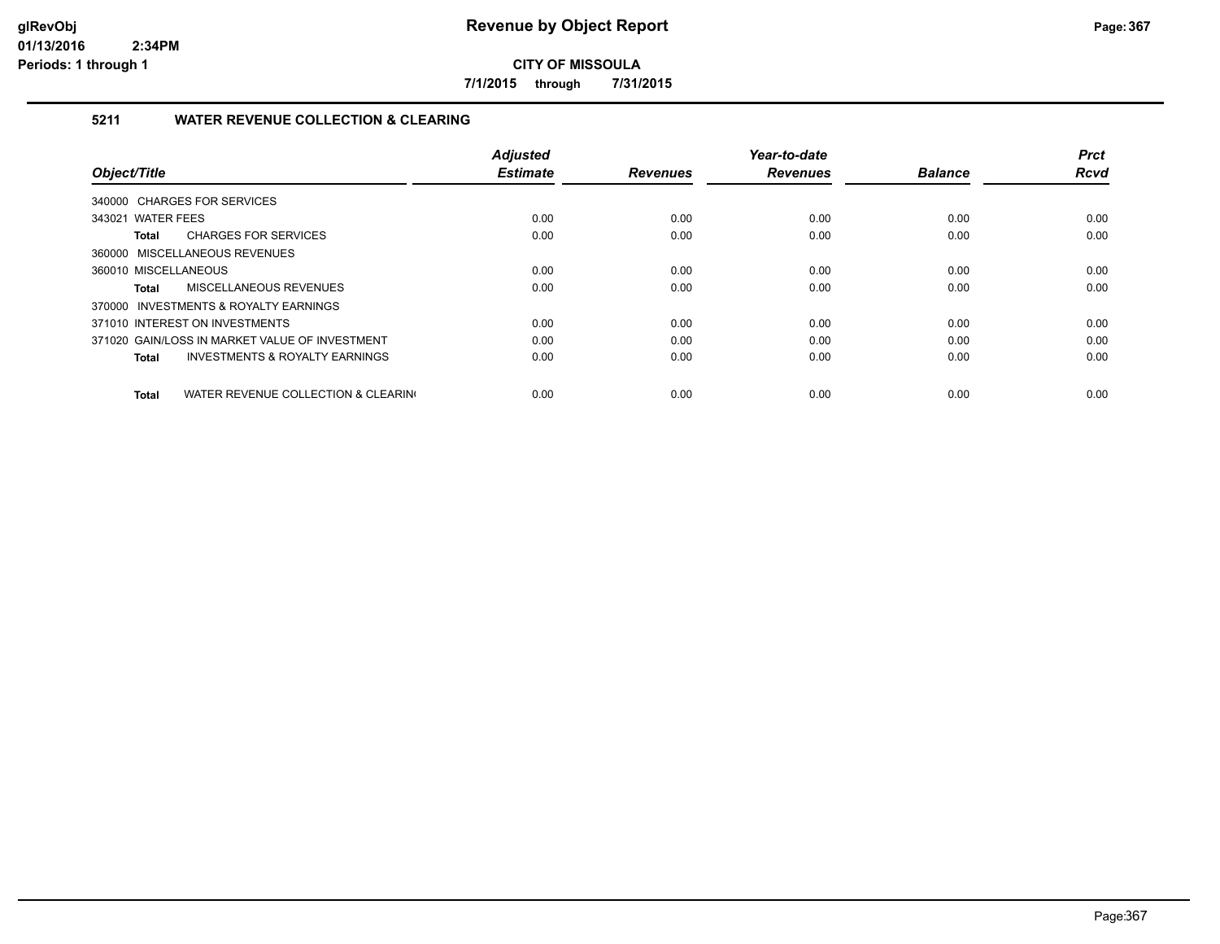**7/1/2015 through 7/31/2015**

#### **5211 WATER REVENUE COLLECTION & CLEARING**

|                                                     | <b>Adjusted</b> |                 | Year-to-date    |                | <b>Prct</b> |
|-----------------------------------------------------|-----------------|-----------------|-----------------|----------------|-------------|
| Object/Title                                        | <b>Estimate</b> | <b>Revenues</b> | <b>Revenues</b> | <b>Balance</b> | <b>Rcvd</b> |
| 340000 CHARGES FOR SERVICES                         |                 |                 |                 |                |             |
| 343021 WATER FEES                                   | 0.00            | 0.00            | 0.00            | 0.00           | 0.00        |
| <b>CHARGES FOR SERVICES</b><br>Total                | 0.00            | 0.00            | 0.00            | 0.00           | 0.00        |
| 360000 MISCELLANEOUS REVENUES                       |                 |                 |                 |                |             |
| 360010 MISCELLANEOUS                                | 0.00            | 0.00            | 0.00            | 0.00           | 0.00        |
| MISCELLANEOUS REVENUES<br><b>Total</b>              | 0.00            | 0.00            | 0.00            | 0.00           | 0.00        |
| 370000 INVESTMENTS & ROYALTY EARNINGS               |                 |                 |                 |                |             |
| 371010 INTEREST ON INVESTMENTS                      | 0.00            | 0.00            | 0.00            | 0.00           | 0.00        |
| 371020 GAIN/LOSS IN MARKET VALUE OF INVESTMENT      | 0.00            | 0.00            | 0.00            | 0.00           | 0.00        |
| <b>INVESTMENTS &amp; ROYALTY EARNINGS</b><br>Total  | 0.00            | 0.00            | 0.00            | 0.00           | 0.00        |
|                                                     |                 |                 |                 |                |             |
| WATER REVENUE COLLECTION & CLEARING<br><b>Total</b> | 0.00            | 0.00            | 0.00            | 0.00           | 0.00        |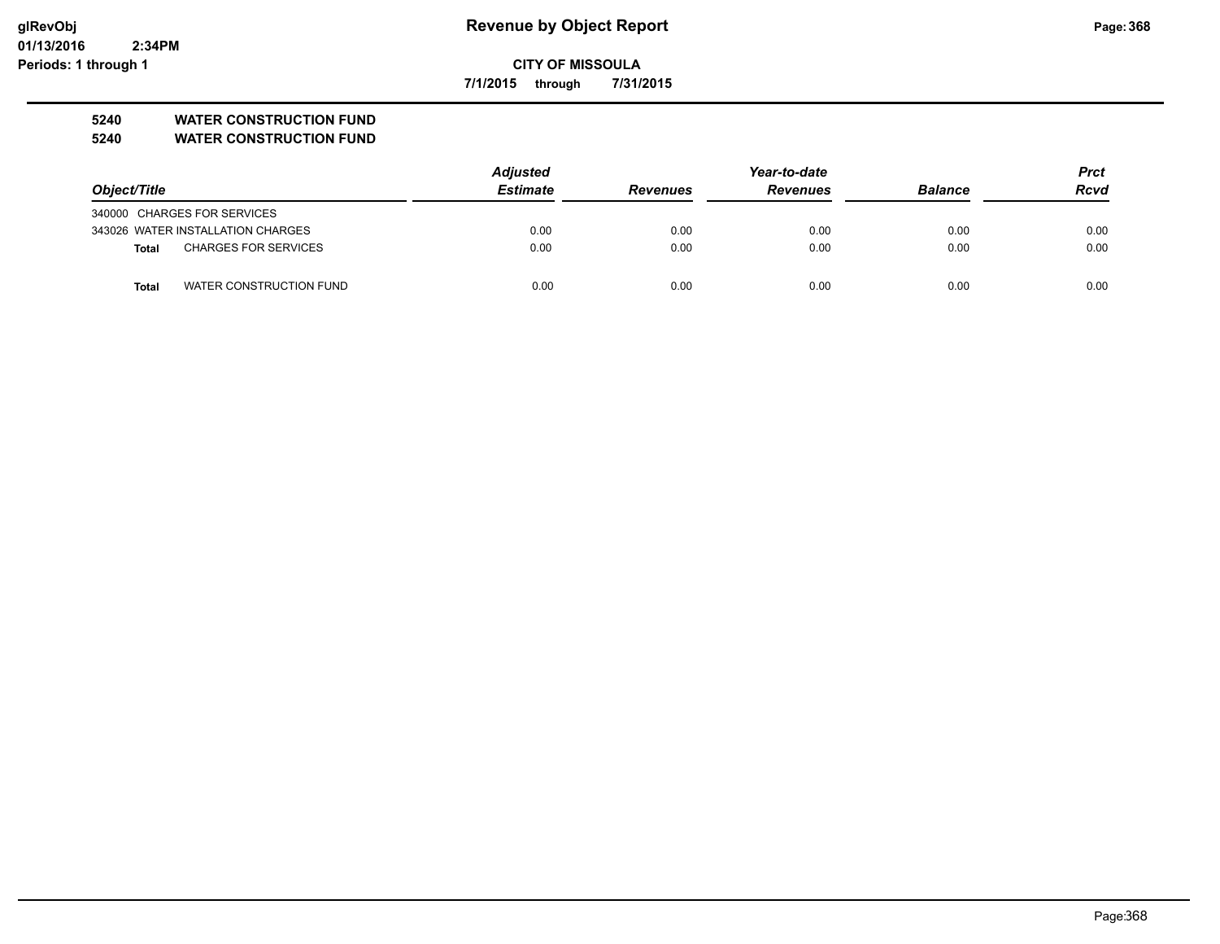**01/13/2016 2:34PM Periods: 1 through 1**

## **CITY OF MISSOULA**

**7/1/2015 through 7/31/2015**

#### **5240 WATER CONSTRUCTION FUND**

**5240 WATER CONSTRUCTION FUND**

|                             |                                   | <b>Adjusted</b> |                 | Year-to-date    |                | <b>Prct</b> |
|-----------------------------|-----------------------------------|-----------------|-----------------|-----------------|----------------|-------------|
| Object/Title                |                                   | <b>Estimate</b> | <b>Revenues</b> | <b>Revenues</b> | <b>Balance</b> | <b>Rcvd</b> |
| 340000 CHARGES FOR SERVICES |                                   |                 |                 |                 |                |             |
|                             | 343026 WATER INSTALLATION CHARGES | 0.00            | 0.00            | 0.00            | 0.00           | 0.00        |
| Total                       | <b>CHARGES FOR SERVICES</b>       | 0.00            | 0.00            | 0.00            | 0.00           | 0.00        |
| <b>Total</b>                | WATER CONSTRUCTION FUND           | 0.00            | 0.00            | 0.00            | 0.00           | 0.00        |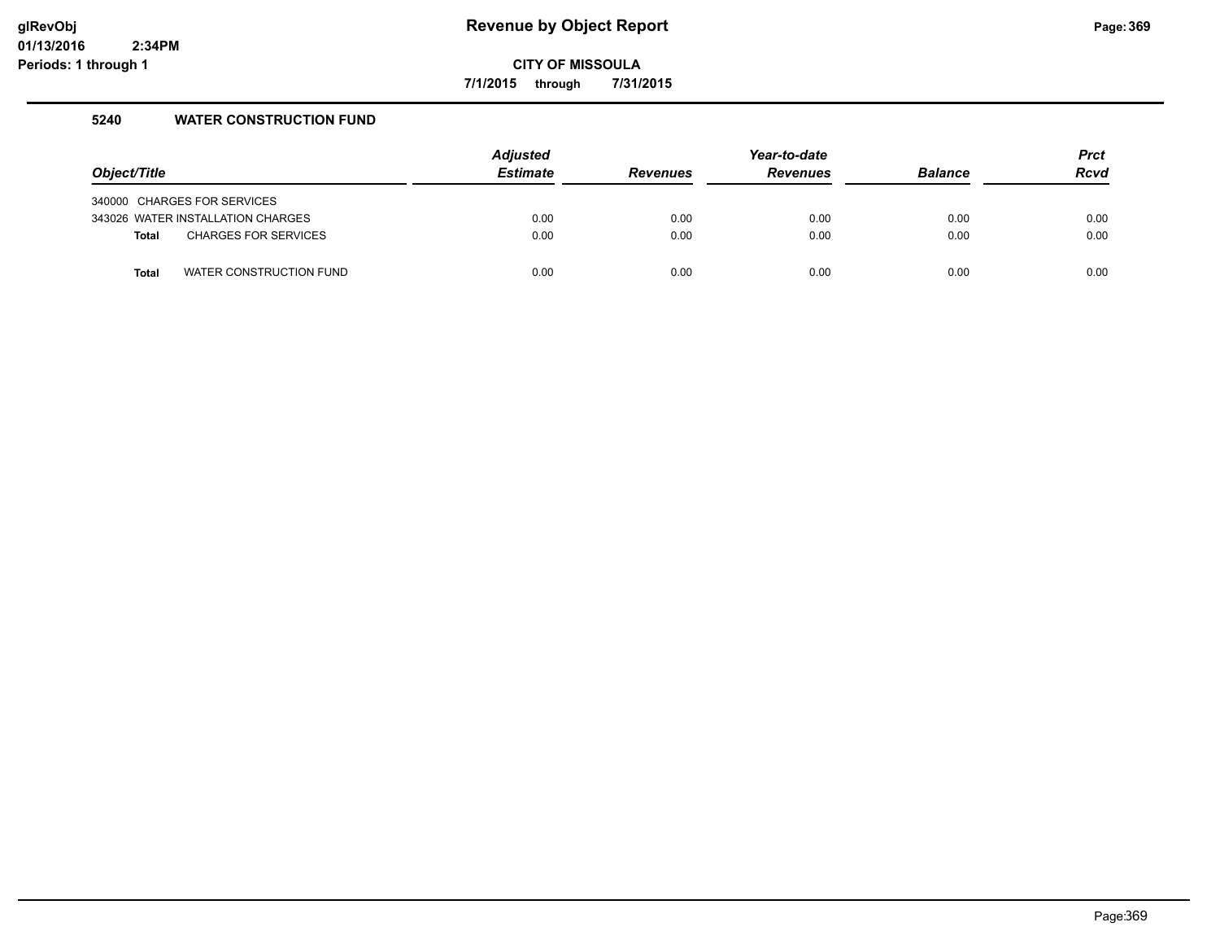**7/1/2015 through 7/31/2015**

#### **5240 WATER CONSTRUCTION FUND**

| Object/Title |                                   | <b>Adjusted</b><br><b>Estimate</b> | <b>Revenues</b> | Year-to-date<br><b>Revenues</b> | <b>Balance</b> | Prct<br><b>Rcvd</b> |
|--------------|-----------------------------------|------------------------------------|-----------------|---------------------------------|----------------|---------------------|
|              | 340000 CHARGES FOR SERVICES       |                                    |                 |                                 |                |                     |
|              | 343026 WATER INSTALLATION CHARGES | 0.00                               | 0.00            | 0.00                            | 0.00           | 0.00                |
| <b>Total</b> | <b>CHARGES FOR SERVICES</b>       | 0.00                               | 0.00            | 0.00                            | 0.00           | 0.00                |
|              |                                   |                                    |                 |                                 |                |                     |
| Total        | WATER CONSTRUCTION FUND           | 0.00                               | 0.00            | 0.00                            | 0.00           | 0.00                |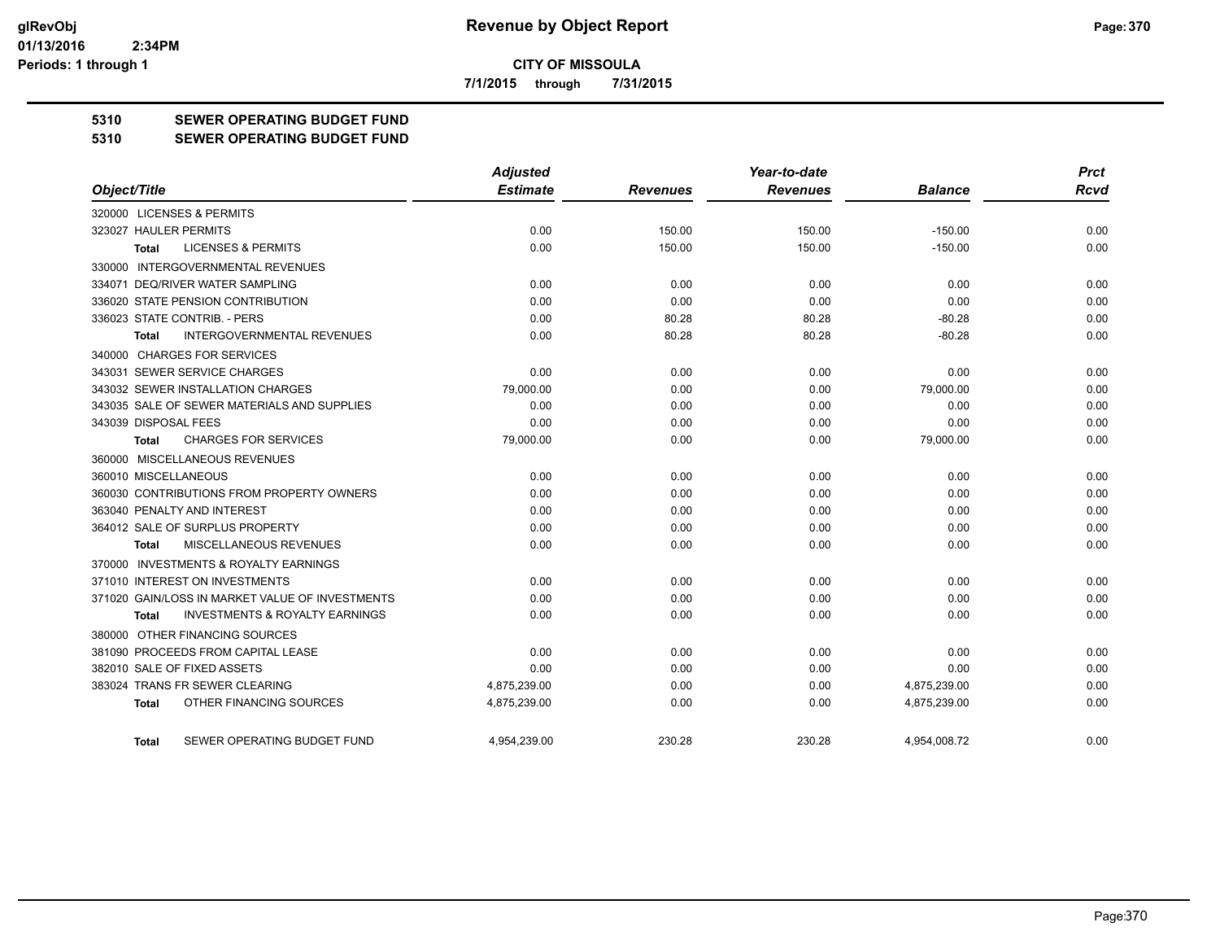**7/1/2015 through 7/31/2015**

#### **5310 SEWER OPERATING BUDGET FUND**

#### **5310 SEWER OPERATING BUDGET FUND**

|                                                           | <b>Adjusted</b> |                 | Year-to-date    |                | <b>Prct</b> |
|-----------------------------------------------------------|-----------------|-----------------|-----------------|----------------|-------------|
| Object/Title                                              | <b>Estimate</b> | <b>Revenues</b> | <b>Revenues</b> | <b>Balance</b> | Rcvd        |
| 320000 LICENSES & PERMITS                                 |                 |                 |                 |                |             |
| 323027 HAULER PERMITS                                     | 0.00            | 150.00          | 150.00          | $-150.00$      | 0.00        |
| <b>LICENSES &amp; PERMITS</b><br><b>Total</b>             | 0.00            | 150.00          | 150.00          | $-150.00$      | 0.00        |
| 330000 INTERGOVERNMENTAL REVENUES                         |                 |                 |                 |                |             |
| 334071 DEQ/RIVER WATER SAMPLING                           | 0.00            | 0.00            | 0.00            | 0.00           | 0.00        |
| 336020 STATE PENSION CONTRIBUTION                         | 0.00            | 0.00            | 0.00            | 0.00           | 0.00        |
| 336023 STATE CONTRIB. - PERS                              | 0.00            | 80.28           | 80.28           | $-80.28$       | 0.00        |
| <b>INTERGOVERNMENTAL REVENUES</b><br>Total                | 0.00            | 80.28           | 80.28           | $-80.28$       | 0.00        |
| 340000 CHARGES FOR SERVICES                               |                 |                 |                 |                |             |
| 343031 SEWER SERVICE CHARGES                              | 0.00            | 0.00            | 0.00            | 0.00           | 0.00        |
| 343032 SEWER INSTALLATION CHARGES                         | 79,000.00       | 0.00            | 0.00            | 79,000.00      | 0.00        |
| 343035 SALE OF SEWER MATERIALS AND SUPPLIES               | 0.00            | 0.00            | 0.00            | 0.00           | 0.00        |
| 343039 DISPOSAL FEES                                      | 0.00            | 0.00            | 0.00            | 0.00           | 0.00        |
| <b>CHARGES FOR SERVICES</b><br><b>Total</b>               | 79,000.00       | 0.00            | 0.00            | 79,000.00      | 0.00        |
| 360000 MISCELLANEOUS REVENUES                             |                 |                 |                 |                |             |
| 360010 MISCELLANEOUS                                      | 0.00            | 0.00            | 0.00            | 0.00           | 0.00        |
| 360030 CONTRIBUTIONS FROM PROPERTY OWNERS                 | 0.00            | 0.00            | 0.00            | 0.00           | 0.00        |
| 363040 PENALTY AND INTEREST                               | 0.00            | 0.00            | 0.00            | 0.00           | 0.00        |
| 364012 SALE OF SURPLUS PROPERTY                           | 0.00            | 0.00            | 0.00            | 0.00           | 0.00        |
| <b>MISCELLANEOUS REVENUES</b><br><b>Total</b>             | 0.00            | 0.00            | 0.00            | 0.00           | 0.00        |
| 370000 INVESTMENTS & ROYALTY EARNINGS                     |                 |                 |                 |                |             |
| 371010 INTEREST ON INVESTMENTS                            | 0.00            | 0.00            | 0.00            | 0.00           | 0.00        |
| 371020 GAIN/LOSS IN MARKET VALUE OF INVESTMENTS           | 0.00            | 0.00            | 0.00            | 0.00           | 0.00        |
| <b>INVESTMENTS &amp; ROYALTY EARNINGS</b><br><b>Total</b> | 0.00            | 0.00            | 0.00            | 0.00           | 0.00        |
| 380000 OTHER FINANCING SOURCES                            |                 |                 |                 |                |             |
| 381090 PROCEEDS FROM CAPITAL LEASE                        | 0.00            | 0.00            | 0.00            | 0.00           | 0.00        |
| 382010 SALE OF FIXED ASSETS                               | 0.00            | 0.00            | 0.00            | 0.00           | 0.00        |
| 383024 TRANS FR SEWER CLEARING                            | 4,875,239.00    | 0.00            | 0.00            | 4,875,239.00   | 0.00        |
| OTHER FINANCING SOURCES<br><b>Total</b>                   | 4,875,239.00    | 0.00            | 0.00            | 4,875,239.00   | 0.00        |
| SEWER OPERATING BUDGET FUND<br>Total                      | 4.954.239.00    | 230.28          | 230.28          | 4.954.008.72   | 0.00        |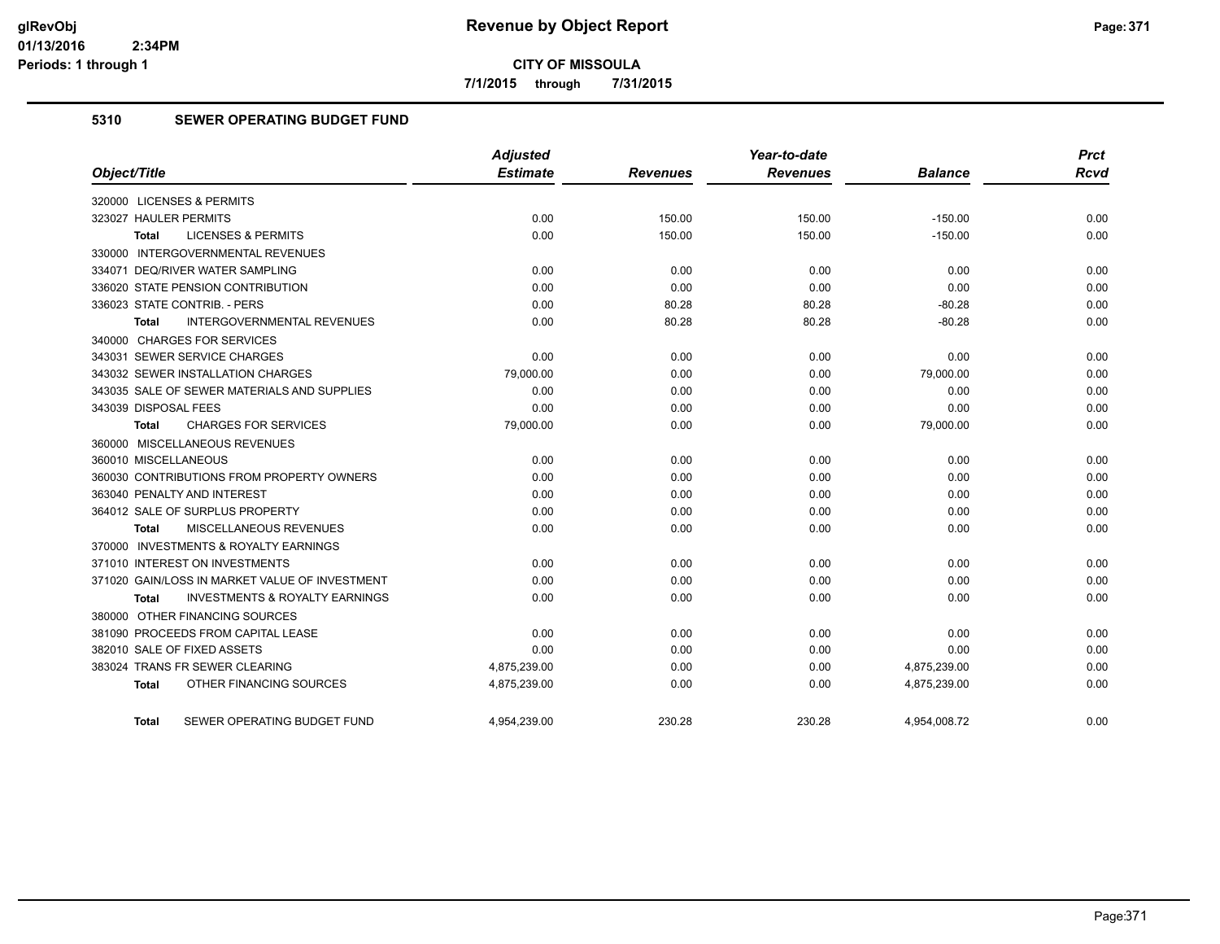**7/1/2015 through 7/31/2015**

#### **5310 SEWER OPERATING BUDGET FUND**

|                                                           | <b>Adjusted</b> |                 | Year-to-date    |                | <b>Prct</b> |
|-----------------------------------------------------------|-----------------|-----------------|-----------------|----------------|-------------|
| Object/Title                                              | <b>Estimate</b> | <b>Revenues</b> | <b>Revenues</b> | <b>Balance</b> | <b>Rcvd</b> |
| 320000 LICENSES & PERMITS                                 |                 |                 |                 |                |             |
| 323027 HAULER PERMITS                                     | 0.00            | 150.00          | 150.00          | $-150.00$      | 0.00        |
| <b>LICENSES &amp; PERMITS</b><br><b>Total</b>             | 0.00            | 150.00          | 150.00          | $-150.00$      | 0.00        |
| 330000 INTERGOVERNMENTAL REVENUES                         |                 |                 |                 |                |             |
| 334071 DEQ/RIVER WATER SAMPLING                           | 0.00            | 0.00            | 0.00            | 0.00           | 0.00        |
| 336020 STATE PENSION CONTRIBUTION                         | 0.00            | 0.00            | 0.00            | 0.00           | 0.00        |
| 336023 STATE CONTRIB. - PERS                              | 0.00            | 80.28           | 80.28           | $-80.28$       | 0.00        |
| <b>INTERGOVERNMENTAL REVENUES</b><br><b>Total</b>         | 0.00            | 80.28           | 80.28           | $-80.28$       | 0.00        |
| 340000 CHARGES FOR SERVICES                               |                 |                 |                 |                |             |
| 343031 SEWER SERVICE CHARGES                              | 0.00            | 0.00            | 0.00            | 0.00           | 0.00        |
| 343032 SEWER INSTALLATION CHARGES                         | 79,000.00       | 0.00            | 0.00            | 79,000.00      | 0.00        |
| 343035 SALE OF SEWER MATERIALS AND SUPPLIES               | 0.00            | 0.00            | 0.00            | 0.00           | 0.00        |
| 343039 DISPOSAL FEES                                      | 0.00            | 0.00            | 0.00            | 0.00           | 0.00        |
| <b>CHARGES FOR SERVICES</b><br><b>Total</b>               | 79,000.00       | 0.00            | 0.00            | 79,000.00      | 0.00        |
| 360000 MISCELLANEOUS REVENUES                             |                 |                 |                 |                |             |
| 360010 MISCELLANEOUS                                      | 0.00            | 0.00            | 0.00            | 0.00           | 0.00        |
| 360030 CONTRIBUTIONS FROM PROPERTY OWNERS                 | 0.00            | 0.00            | 0.00            | 0.00           | 0.00        |
| 363040 PENALTY AND INTEREST                               | 0.00            | 0.00            | 0.00            | 0.00           | 0.00        |
| 364012 SALE OF SURPLUS PROPERTY                           | 0.00            | 0.00            | 0.00            | 0.00           | 0.00        |
| <b>MISCELLANEOUS REVENUES</b><br>Total                    | 0.00            | 0.00            | 0.00            | 0.00           | 0.00        |
| 370000 INVESTMENTS & ROYALTY EARNINGS                     |                 |                 |                 |                |             |
| 371010 INTEREST ON INVESTMENTS                            | 0.00            | 0.00            | 0.00            | 0.00           | 0.00        |
| 371020 GAIN/LOSS IN MARKET VALUE OF INVESTMENT            | 0.00            | 0.00            | 0.00            | 0.00           | 0.00        |
| <b>INVESTMENTS &amp; ROYALTY EARNINGS</b><br><b>Total</b> | 0.00            | 0.00            | 0.00            | 0.00           | 0.00        |
| 380000 OTHER FINANCING SOURCES                            |                 |                 |                 |                |             |
| 381090 PROCEEDS FROM CAPITAL LEASE                        | 0.00            | 0.00            | 0.00            | 0.00           | 0.00        |
| 382010 SALE OF FIXED ASSETS                               | 0.00            | 0.00            | 0.00            | 0.00           | 0.00        |
| 383024 TRANS FR SEWER CLEARING                            | 4,875,239.00    | 0.00            | 0.00            | 4,875,239.00   | 0.00        |
| OTHER FINANCING SOURCES<br>Total                          | 4,875,239.00    | 0.00            | 0.00            | 4,875,239.00   | 0.00        |
| SEWER OPERATING BUDGET FUND<br>Total                      | 4,954,239.00    | 230.28          | 230.28          | 4,954,008.72   | 0.00        |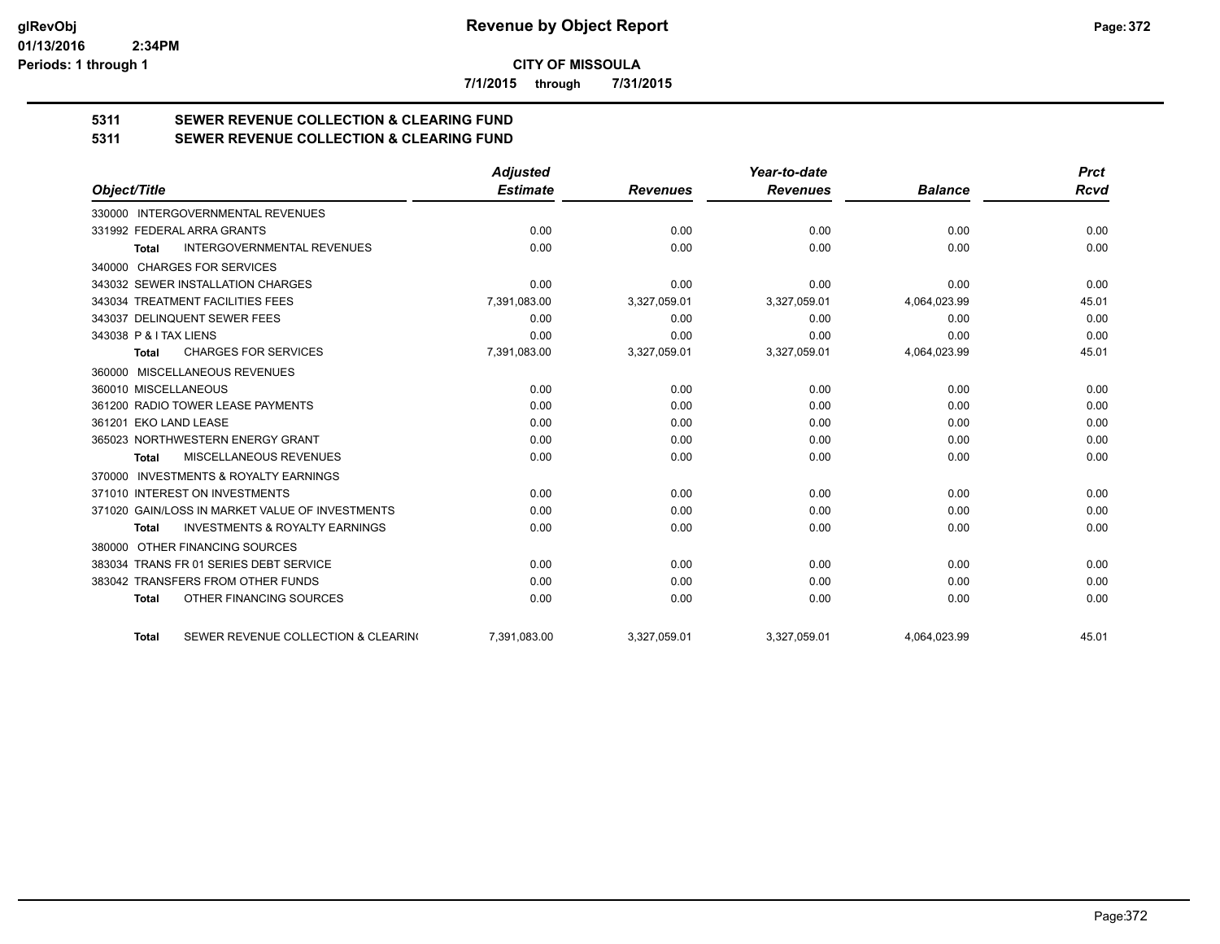**7/1/2015 through 7/31/2015**

# **5311 SEWER REVENUE COLLECTION & CLEARING FUND**

| 5311 | <b>SEWER REVENUE COLLECTION &amp; CLEARING FUND</b> |
|------|-----------------------------------------------------|
|      |                                                     |

|                                                           | <b>Adjusted</b> |                 | Year-to-date    |                | <b>Prct</b> |
|-----------------------------------------------------------|-----------------|-----------------|-----------------|----------------|-------------|
| Object/Title                                              | <b>Estimate</b> | <b>Revenues</b> | <b>Revenues</b> | <b>Balance</b> | <b>Rcvd</b> |
| 330000 INTERGOVERNMENTAL REVENUES                         |                 |                 |                 |                |             |
| 331992 FEDERAL ARRA GRANTS                                | 0.00            | 0.00            | 0.00            | 0.00           | 0.00        |
| <b>INTERGOVERNMENTAL REVENUES</b><br><b>Total</b>         | 0.00            | 0.00            | 0.00            | 0.00           | 0.00        |
| <b>CHARGES FOR SERVICES</b><br>340000                     |                 |                 |                 |                |             |
| 343032 SEWER INSTALLATION CHARGES                         | 0.00            | 0.00            | 0.00            | 0.00           | 0.00        |
| 343034 TREATMENT FACILITIES FEES                          | 7,391,083.00    | 3,327,059.01    | 3,327,059.01    | 4,064,023.99   | 45.01       |
| 343037 DELINQUENT SEWER FEES                              | 0.00            | 0.00            | 0.00            | 0.00           | 0.00        |
| 343038 P & I TAX LIENS                                    | 0.00            | 0.00            | 0.00            | 0.00           | 0.00        |
| <b>CHARGES FOR SERVICES</b><br><b>Total</b>               | 7,391,083.00    | 3,327,059.01    | 3,327,059.01    | 4,064,023.99   | 45.01       |
| MISCELLANEOUS REVENUES<br>360000                          |                 |                 |                 |                |             |
| 360010 MISCELLANEOUS                                      | 0.00            | 0.00            | 0.00            | 0.00           | 0.00        |
| 361200 RADIO TOWER LEASE PAYMENTS                         | 0.00            | 0.00            | 0.00            | 0.00           | 0.00        |
| 361201 EKO LAND LEASE                                     | 0.00            | 0.00            | 0.00            | 0.00           | 0.00        |
| 365023 NORTHWESTERN ENERGY GRANT                          | 0.00            | 0.00            | 0.00            | 0.00           | 0.00        |
| <b>MISCELLANEOUS REVENUES</b><br><b>Total</b>             | 0.00            | 0.00            | 0.00            | 0.00           | 0.00        |
| <b>INVESTMENTS &amp; ROYALTY EARNINGS</b><br>370000       |                 |                 |                 |                |             |
| 371010 INTEREST ON INVESTMENTS                            | 0.00            | 0.00            | 0.00            | 0.00           | 0.00        |
| 371020 GAIN/LOSS IN MARKET VALUE OF INVESTMENTS           | 0.00            | 0.00            | 0.00            | 0.00           | 0.00        |
| <b>INVESTMENTS &amp; ROYALTY EARNINGS</b><br><b>Total</b> | 0.00            | 0.00            | 0.00            | 0.00           | 0.00        |
| OTHER FINANCING SOURCES<br>380000                         |                 |                 |                 |                |             |
| 383034 TRANS FR 01 SERIES DEBT SERVICE                    | 0.00            | 0.00            | 0.00            | 0.00           | 0.00        |
| 383042 TRANSFERS FROM OTHER FUNDS                         | 0.00            | 0.00            | 0.00            | 0.00           | 0.00        |
| OTHER FINANCING SOURCES<br><b>Total</b>                   | 0.00            | 0.00            | 0.00            | 0.00           | 0.00        |
| SEWER REVENUE COLLECTION & CLEARING<br><b>Total</b>       | 7,391,083.00    | 3,327,059.01    | 3,327,059.01    | 4,064,023.99   | 45.01       |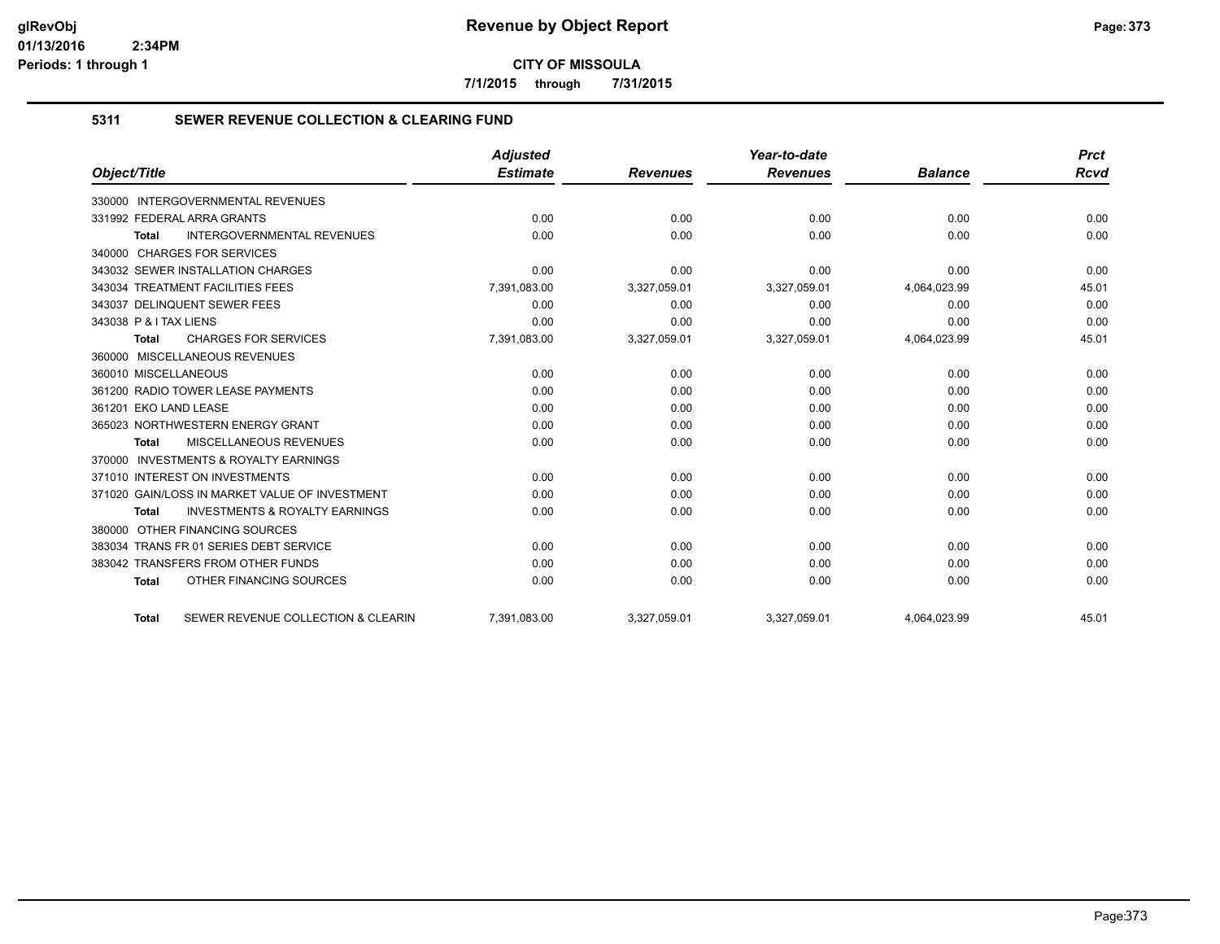**7/1/2015 through 7/31/2015**

#### **5311 SEWER REVENUE COLLECTION & CLEARING FUND**

|                                                           | <b>Adjusted</b> |                 | Year-to-date    |                | <b>Prct</b> |
|-----------------------------------------------------------|-----------------|-----------------|-----------------|----------------|-------------|
| Object/Title                                              | <b>Estimate</b> | <b>Revenues</b> | <b>Revenues</b> | <b>Balance</b> | <b>Rcvd</b> |
| <b>INTERGOVERNMENTAL REVENUES</b><br>330000               |                 |                 |                 |                |             |
| 331992 FEDERAL ARRA GRANTS                                | 0.00            | 0.00            | 0.00            | 0.00           | 0.00        |
| <b>INTERGOVERNMENTAL REVENUES</b><br><b>Total</b>         | 0.00            | 0.00            | 0.00            | 0.00           | 0.00        |
| 340000 CHARGES FOR SERVICES                               |                 |                 |                 |                |             |
| 343032 SEWER INSTALLATION CHARGES                         | 0.00            | 0.00            | 0.00            | 0.00           | 0.00        |
| 343034 TREATMENT FACILITIES FEES                          | 7,391,083.00    | 3,327,059.01    | 3,327,059.01    | 4,064,023.99   | 45.01       |
| 343037 DELINQUENT SEWER FEES                              | 0.00            | 0.00            | 0.00            | 0.00           | 0.00        |
| 343038 P & I TAX LIENS                                    | 0.00            | 0.00            | 0.00            | 0.00           | 0.00        |
| <b>CHARGES FOR SERVICES</b><br><b>Total</b>               | 7,391,083.00    | 3,327,059.01    | 3,327,059.01    | 4,064,023.99   | 45.01       |
| 360000 MISCELLANEOUS REVENUES                             |                 |                 |                 |                |             |
| 360010 MISCELLANEOUS                                      | 0.00            | 0.00            | 0.00            | 0.00           | 0.00        |
| 361200 RADIO TOWER LEASE PAYMENTS                         | 0.00            | 0.00            | 0.00            | 0.00           | 0.00        |
| 361201 EKO LAND LEASE                                     | 0.00            | 0.00            | 0.00            | 0.00           | 0.00        |
| 365023 NORTHWESTERN ENERGY GRANT                          | 0.00            | 0.00            | 0.00            | 0.00           | 0.00        |
| MISCELLANEOUS REVENUES<br><b>Total</b>                    | 0.00            | 0.00            | 0.00            | 0.00           | 0.00        |
| 370000 INVESTMENTS & ROYALTY EARNINGS                     |                 |                 |                 |                |             |
| 371010 INTEREST ON INVESTMENTS                            | 0.00            | 0.00            | 0.00            | 0.00           | 0.00        |
| 371020 GAIN/LOSS IN MARKET VALUE OF INVESTMENT            | 0.00            | 0.00            | 0.00            | 0.00           | 0.00        |
| <b>INVESTMENTS &amp; ROYALTY EARNINGS</b><br><b>Total</b> | 0.00            | 0.00            | 0.00            | 0.00           | 0.00        |
| OTHER FINANCING SOURCES<br>380000                         |                 |                 |                 |                |             |
| 383034 TRANS FR 01 SERIES DEBT SERVICE                    | 0.00            | 0.00            | 0.00            | 0.00           | 0.00        |
| 383042 TRANSFERS FROM OTHER FUNDS                         | 0.00            | 0.00            | 0.00            | 0.00           | 0.00        |
| OTHER FINANCING SOURCES<br><b>Total</b>                   | 0.00            | 0.00            | 0.00            | 0.00           | 0.00        |
| SEWER REVENUE COLLECTION & CLEARIN<br><b>Total</b>        | 7,391,083.00    | 3,327,059.01    | 3,327,059.01    | 4,064,023.99   | 45.01       |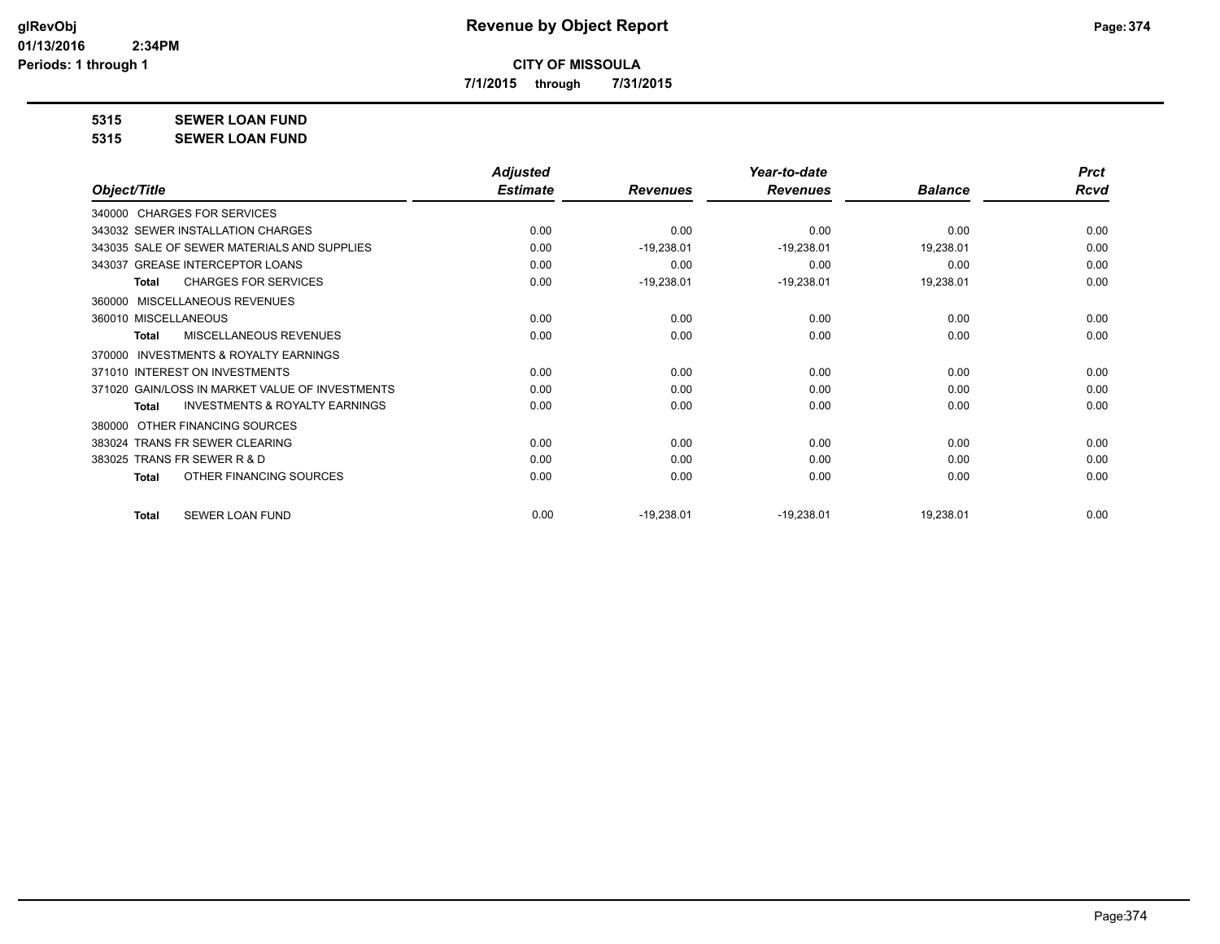**7/1/2015 through 7/31/2015**

**5315 SEWER LOAN FUND**

**5315 SEWER LOAN FUND**

|                                                     | <b>Adjusted</b> |                 | Year-to-date    |                | <b>Prct</b> |
|-----------------------------------------------------|-----------------|-----------------|-----------------|----------------|-------------|
| Object/Title                                        | <b>Estimate</b> | <b>Revenues</b> | <b>Revenues</b> | <b>Balance</b> | <b>Rcvd</b> |
| 340000 CHARGES FOR SERVICES                         |                 |                 |                 |                |             |
| 343032 SEWER INSTALLATION CHARGES                   | 0.00            | 0.00            | 0.00            | 0.00           | 0.00        |
| 343035 SALE OF SEWER MATERIALS AND SUPPLIES         | 0.00            | $-19,238.01$    | $-19,238.01$    | 19,238.01      | 0.00        |
| 343037 GREASE INTERCEPTOR LOANS                     | 0.00            | 0.00            | 0.00            | 0.00           | 0.00        |
| <b>CHARGES FOR SERVICES</b><br><b>Total</b>         | 0.00            | $-19,238.01$    | $-19,238.01$    | 19,238.01      | 0.00        |
| <b>MISCELLANEOUS REVENUES</b><br>360000             |                 |                 |                 |                |             |
| 360010 MISCELLANEOUS                                | 0.00            | 0.00            | 0.00            | 0.00           | 0.00        |
| <b>MISCELLANEOUS REVENUES</b><br>Total              | 0.00            | 0.00            | 0.00            | 0.00           | 0.00        |
| <b>INVESTMENTS &amp; ROYALTY EARNINGS</b><br>370000 |                 |                 |                 |                |             |
| 371010 INTEREST ON INVESTMENTS                      | 0.00            | 0.00            | 0.00            | 0.00           | 0.00        |
| 371020 GAIN/LOSS IN MARKET VALUE OF INVESTMENTS     | 0.00            | 0.00            | 0.00            | 0.00           | 0.00        |
| <b>INVESTMENTS &amp; ROYALTY EARNINGS</b><br>Total  | 0.00            | 0.00            | 0.00            | 0.00           | 0.00        |
| OTHER FINANCING SOURCES<br>380000                   |                 |                 |                 |                |             |
| 383024 TRANS FR SEWER CLEARING                      | 0.00            | 0.00            | 0.00            | 0.00           | 0.00        |
| 383025 TRANS FR SEWER R & D                         | 0.00            | 0.00            | 0.00            | 0.00           | 0.00        |
| OTHER FINANCING SOURCES<br><b>Total</b>             | 0.00            | 0.00            | 0.00            | 0.00           | 0.00        |
| <b>SEWER LOAN FUND</b><br><b>Total</b>              | 0.00            | $-19,238.01$    | $-19,238.01$    | 19,238.01      | 0.00        |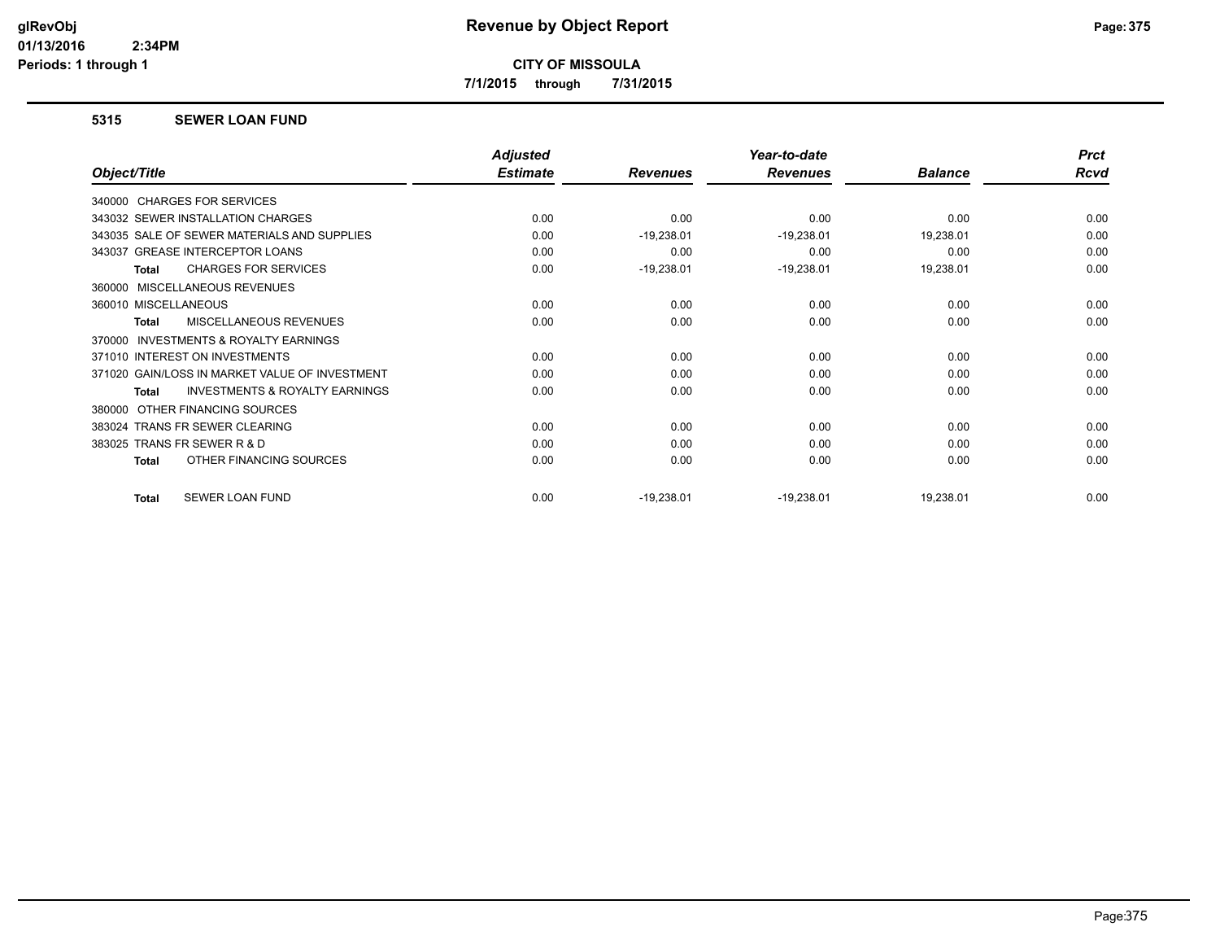**7/1/2015 through 7/31/2015**

#### **5315 SEWER LOAN FUND**

|                                                    | <b>Adjusted</b> |                 | Year-to-date    |                | <b>Prct</b> |
|----------------------------------------------------|-----------------|-----------------|-----------------|----------------|-------------|
| Object/Title                                       | <b>Estimate</b> | <b>Revenues</b> | <b>Revenues</b> | <b>Balance</b> | <b>Rcvd</b> |
| 340000 CHARGES FOR SERVICES                        |                 |                 |                 |                |             |
| 343032 SEWER INSTALLATION CHARGES                  | 0.00            | 0.00            | 0.00            | 0.00           | 0.00        |
| 343035 SALE OF SEWER MATERIALS AND SUPPLIES        | 0.00            | $-19,238.01$    | $-19,238.01$    | 19,238.01      | 0.00        |
| 343037 GREASE INTERCEPTOR LOANS                    | 0.00            | 0.00            | 0.00            | 0.00           | 0.00        |
| <b>CHARGES FOR SERVICES</b><br>Total               | 0.00            | $-19,238.01$    | $-19,238.01$    | 19,238.01      | 0.00        |
| MISCELLANEOUS REVENUES<br>360000                   |                 |                 |                 |                |             |
| 360010 MISCELLANEOUS                               | 0.00            | 0.00            | 0.00            | 0.00           | 0.00        |
| <b>MISCELLANEOUS REVENUES</b><br><b>Total</b>      | 0.00            | 0.00            | 0.00            | 0.00           | 0.00        |
| INVESTMENTS & ROYALTY EARNINGS<br>370000           |                 |                 |                 |                |             |
| 371010 INTEREST ON INVESTMENTS                     | 0.00            | 0.00            | 0.00            | 0.00           | 0.00        |
| 371020 GAIN/LOSS IN MARKET VALUE OF INVESTMENT     | 0.00            | 0.00            | 0.00            | 0.00           | 0.00        |
| <b>INVESTMENTS &amp; ROYALTY EARNINGS</b><br>Total | 0.00            | 0.00            | 0.00            | 0.00           | 0.00        |
| OTHER FINANCING SOURCES<br>380000                  |                 |                 |                 |                |             |
| 383024 TRANS FR SEWER CLEARING                     | 0.00            | 0.00            | 0.00            | 0.00           | 0.00        |
| 383025 TRANS FR SEWER R & D                        | 0.00            | 0.00            | 0.00            | 0.00           | 0.00        |
| OTHER FINANCING SOURCES<br>Total                   | 0.00            | 0.00            | 0.00            | 0.00           | 0.00        |
| SEWER LOAN FUND<br><b>Total</b>                    | 0.00            | $-19,238.01$    | $-19,238.01$    | 19,238.01      | 0.00        |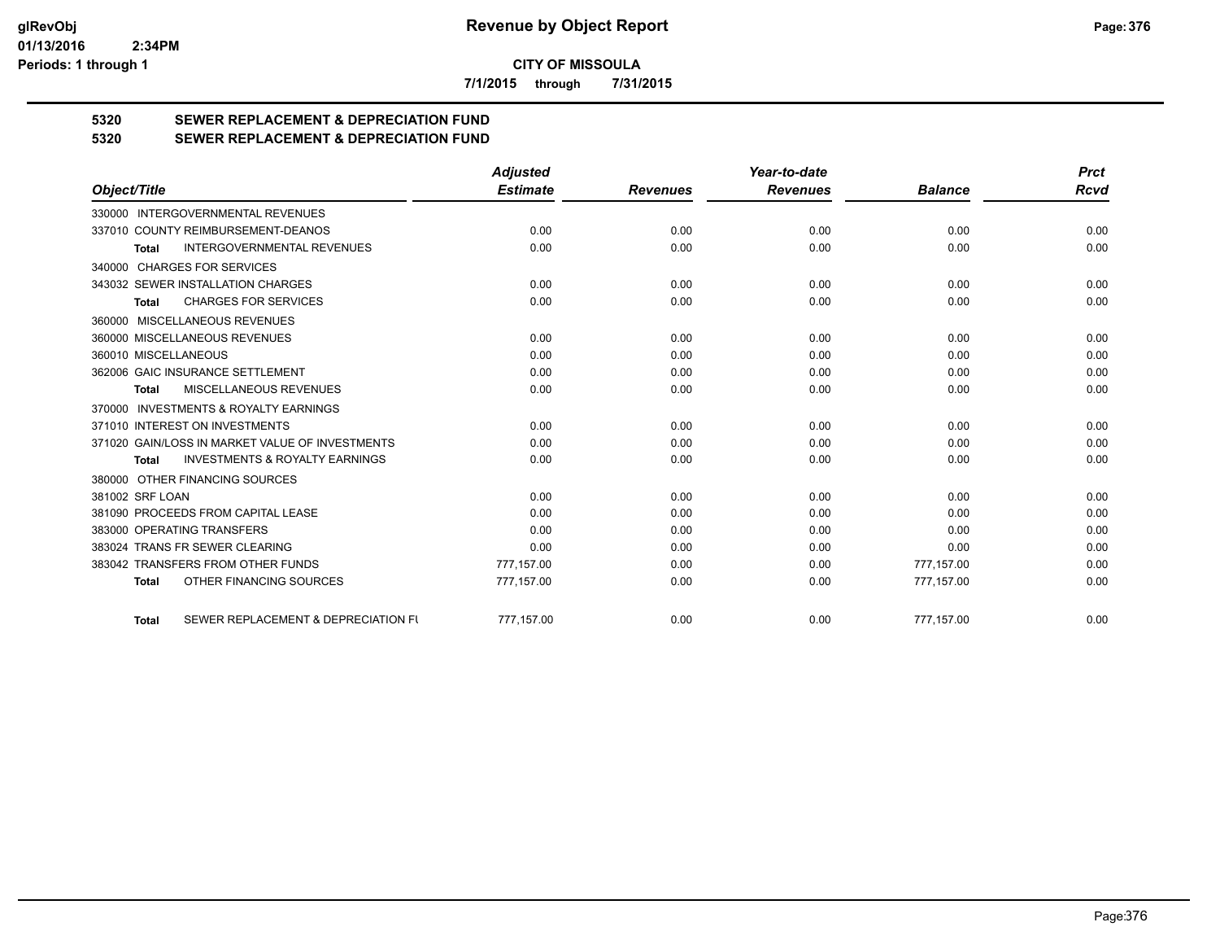**7/1/2015 through 7/31/2015**

# **5320 SEWER REPLACEMENT & DEPRECIATION FUND**

### **5320 SEWER REPLACEMENT & DEPRECIATION FUND**

|                                                           | <b>Adjusted</b> |                 | Year-to-date    |                | <b>Prct</b> |
|-----------------------------------------------------------|-----------------|-----------------|-----------------|----------------|-------------|
| Object/Title                                              | <b>Estimate</b> | <b>Revenues</b> | <b>Revenues</b> | <b>Balance</b> | <b>Rcvd</b> |
| 330000 INTERGOVERNMENTAL REVENUES                         |                 |                 |                 |                |             |
| 337010 COUNTY REIMBURSEMENT-DEANOS                        | 0.00            | 0.00            | 0.00            | 0.00           | 0.00        |
| <b>INTERGOVERNMENTAL REVENUES</b><br><b>Total</b>         | 0.00            | 0.00            | 0.00            | 0.00           | 0.00        |
| 340000 CHARGES FOR SERVICES                               |                 |                 |                 |                |             |
| 343032 SEWER INSTALLATION CHARGES                         | 0.00            | 0.00            | 0.00            | 0.00           | 0.00        |
| <b>CHARGES FOR SERVICES</b><br><b>Total</b>               | 0.00            | 0.00            | 0.00            | 0.00           | 0.00        |
| 360000 MISCELLANEOUS REVENUES                             |                 |                 |                 |                |             |
| 360000 MISCELLANEOUS REVENUES                             | 0.00            | 0.00            | 0.00            | 0.00           | 0.00        |
| 360010 MISCELLANEOUS                                      | 0.00            | 0.00            | 0.00            | 0.00           | 0.00        |
| 362006 GAIC INSURANCE SETTLEMENT                          | 0.00            | 0.00            | 0.00            | 0.00           | 0.00        |
| MISCELLANEOUS REVENUES<br><b>Total</b>                    | 0.00            | 0.00            | 0.00            | 0.00           | 0.00        |
| 370000 INVESTMENTS & ROYALTY EARNINGS                     |                 |                 |                 |                |             |
| 371010 INTEREST ON INVESTMENTS                            | 0.00            | 0.00            | 0.00            | 0.00           | 0.00        |
| 371020 GAIN/LOSS IN MARKET VALUE OF INVESTMENTS           | 0.00            | 0.00            | 0.00            | 0.00           | 0.00        |
| <b>INVESTMENTS &amp; ROYALTY EARNINGS</b><br><b>Total</b> | 0.00            | 0.00            | 0.00            | 0.00           | 0.00        |
| 380000 OTHER FINANCING SOURCES                            |                 |                 |                 |                |             |
| 381002 SRF LOAN                                           | 0.00            | 0.00            | 0.00            | 0.00           | 0.00        |
| 381090 PROCEEDS FROM CAPITAL LEASE                        | 0.00            | 0.00            | 0.00            | 0.00           | 0.00        |
| 383000 OPERATING TRANSFERS                                | 0.00            | 0.00            | 0.00            | 0.00           | 0.00        |
| 383024 TRANS FR SEWER CLEARING                            | 0.00            | 0.00            | 0.00            | 0.00           | 0.00        |
| 383042 TRANSFERS FROM OTHER FUNDS                         | 777,157.00      | 0.00            | 0.00            | 777,157.00     | 0.00        |
| OTHER FINANCING SOURCES<br><b>Total</b>                   | 777,157.00      | 0.00            | 0.00            | 777,157.00     | 0.00        |
|                                                           |                 |                 |                 |                |             |
| SEWER REPLACEMENT & DEPRECIATION FU<br><b>Total</b>       | 777.157.00      | 0.00            | 0.00            | 777,157.00     | 0.00        |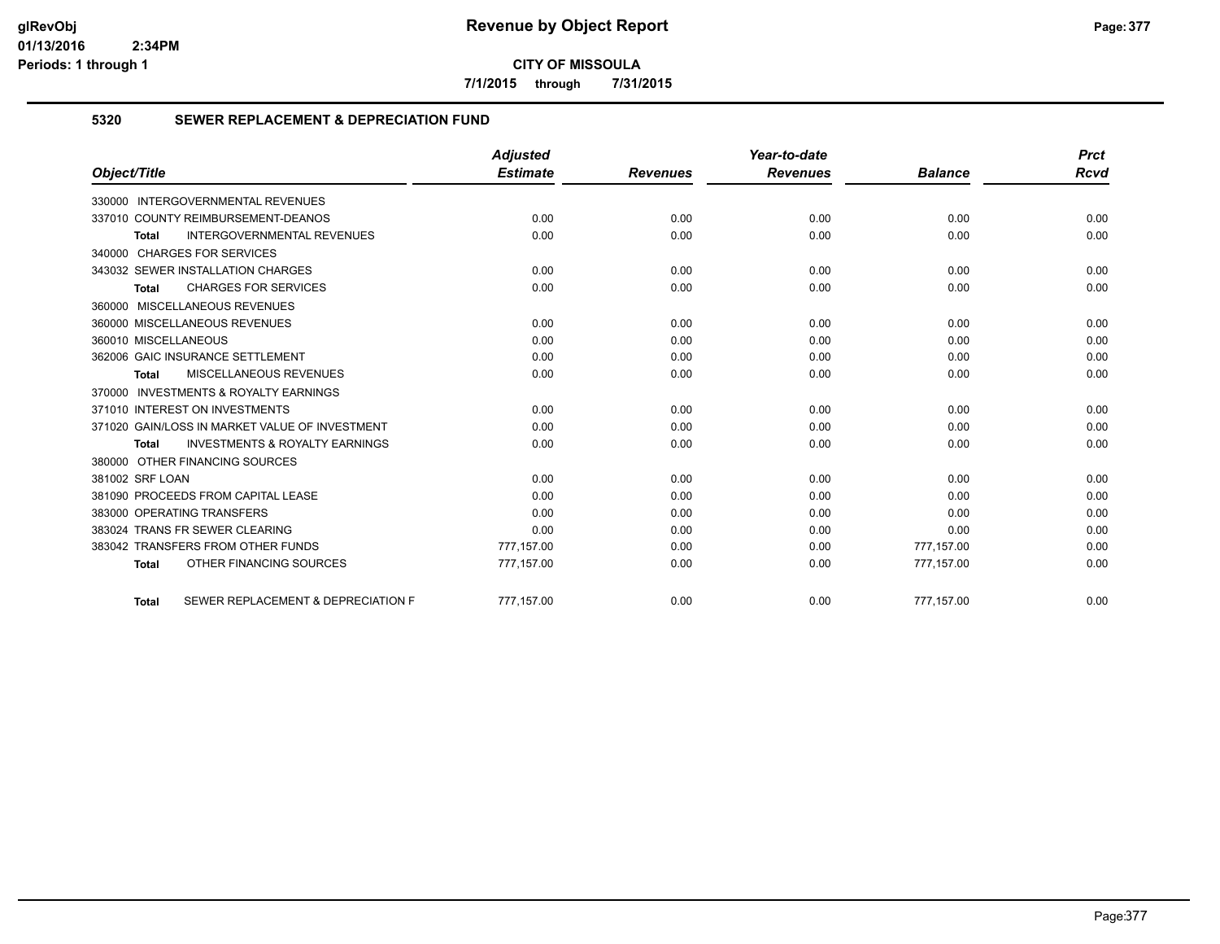**7/1/2015 through 7/31/2015**

#### **5320 SEWER REPLACEMENT & DEPRECIATION FUND**

|                                                           | <b>Adjusted</b> |                 | Year-to-date    |                | <b>Prct</b> |
|-----------------------------------------------------------|-----------------|-----------------|-----------------|----------------|-------------|
| Object/Title                                              | <b>Estimate</b> | <b>Revenues</b> | <b>Revenues</b> | <b>Balance</b> | <b>Rcvd</b> |
| 330000 INTERGOVERNMENTAL REVENUES                         |                 |                 |                 |                |             |
| 337010 COUNTY REIMBURSEMENT-DEANOS                        | 0.00            | 0.00            | 0.00            | 0.00           | 0.00        |
| INTERGOVERNMENTAL REVENUES<br><b>Total</b>                | 0.00            | 0.00            | 0.00            | 0.00           | 0.00        |
| 340000 CHARGES FOR SERVICES                               |                 |                 |                 |                |             |
| 343032 SEWER INSTALLATION CHARGES                         | 0.00            | 0.00            | 0.00            | 0.00           | 0.00        |
| <b>CHARGES FOR SERVICES</b><br><b>Total</b>               | 0.00            | 0.00            | 0.00            | 0.00           | 0.00        |
| 360000 MISCELLANEOUS REVENUES                             |                 |                 |                 |                |             |
| 360000 MISCELLANEOUS REVENUES                             | 0.00            | 0.00            | 0.00            | 0.00           | 0.00        |
| 360010 MISCELLANEOUS                                      | 0.00            | 0.00            | 0.00            | 0.00           | 0.00        |
| 362006 GAIC INSURANCE SETTLEMENT                          | 0.00            | 0.00            | 0.00            | 0.00           | 0.00        |
| <b>MISCELLANEOUS REVENUES</b><br><b>Total</b>             | 0.00            | 0.00            | 0.00            | 0.00           | 0.00        |
| 370000 INVESTMENTS & ROYALTY EARNINGS                     |                 |                 |                 |                |             |
| 371010 INTEREST ON INVESTMENTS                            | 0.00            | 0.00            | 0.00            | 0.00           | 0.00        |
| 371020 GAIN/LOSS IN MARKET VALUE OF INVESTMENT            | 0.00            | 0.00            | 0.00            | 0.00           | 0.00        |
| <b>INVESTMENTS &amp; ROYALTY EARNINGS</b><br><b>Total</b> | 0.00            | 0.00            | 0.00            | 0.00           | 0.00        |
| 380000 OTHER FINANCING SOURCES                            |                 |                 |                 |                |             |
| 381002 SRF LOAN                                           | 0.00            | 0.00            | 0.00            | 0.00           | 0.00        |
| 381090 PROCEEDS FROM CAPITAL LEASE                        | 0.00            | 0.00            | 0.00            | 0.00           | 0.00        |
| 383000 OPERATING TRANSFERS                                | 0.00            | 0.00            | 0.00            | 0.00           | 0.00        |
| 383024 TRANS FR SEWER CLEARING                            | 0.00            | 0.00            | 0.00            | 0.00           | 0.00        |
| 383042 TRANSFERS FROM OTHER FUNDS                         | 777,157.00      | 0.00            | 0.00            | 777,157.00     | 0.00        |
| OTHER FINANCING SOURCES<br><b>Total</b>                   | 777,157.00      | 0.00            | 0.00            | 777,157.00     | 0.00        |
| SEWER REPLACEMENT & DEPRECIATION F<br><b>Total</b>        | 777.157.00      | 0.00            | 0.00            | 777.157.00     | 0.00        |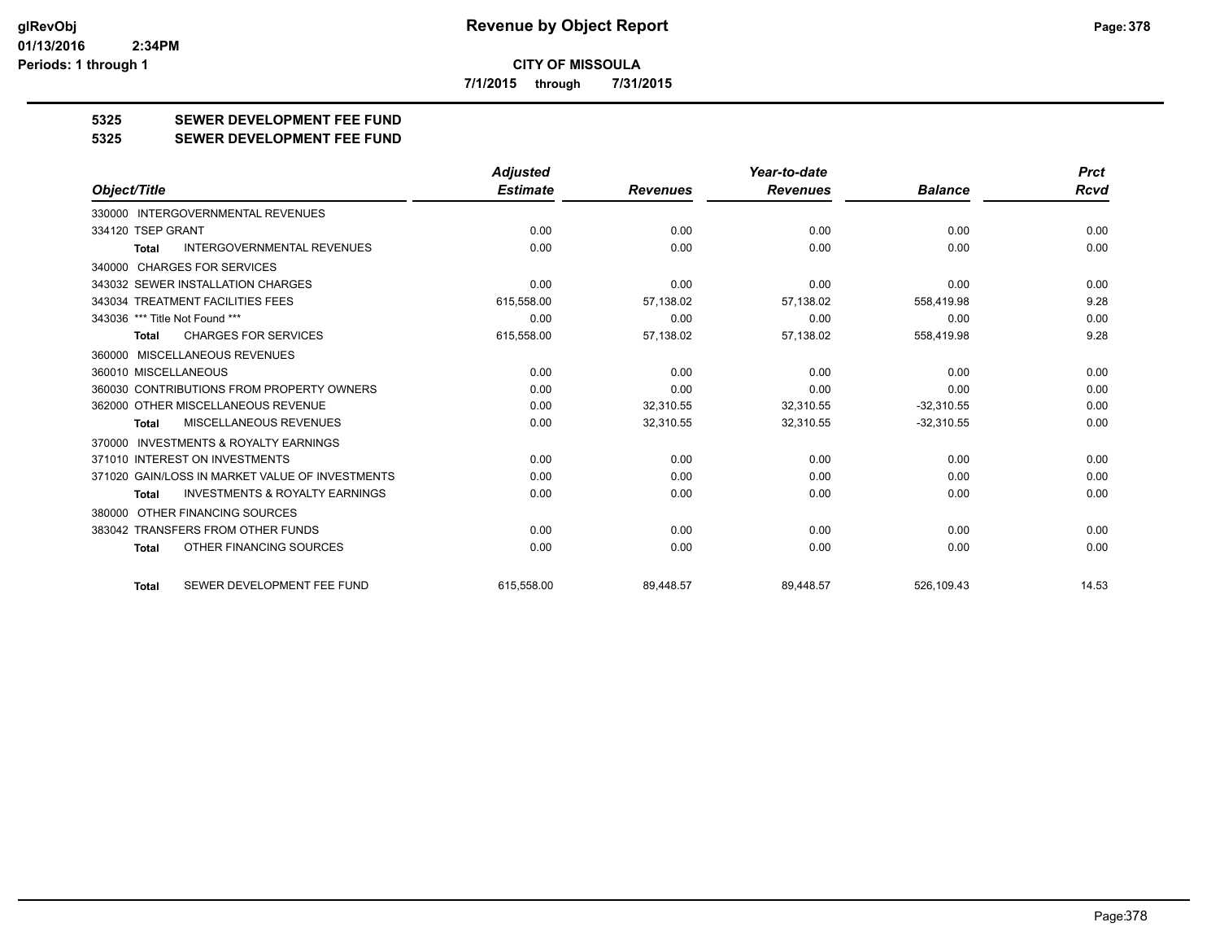**7/1/2015 through 7/31/2015**

### **5325 SEWER DEVELOPMENT FEE FUND**

#### **5325 SEWER DEVELOPMENT FEE FUND**

|                                                           | <b>Adjusted</b> |                 | Year-to-date    |                | <b>Prct</b> |
|-----------------------------------------------------------|-----------------|-----------------|-----------------|----------------|-------------|
| Object/Title                                              | <b>Estimate</b> | <b>Revenues</b> | <b>Revenues</b> | <b>Balance</b> | Rcvd        |
| 330000 INTERGOVERNMENTAL REVENUES                         |                 |                 |                 |                |             |
| 334120 TSEP GRANT                                         | 0.00            | 0.00            | 0.00            | 0.00           | 0.00        |
| <b>INTERGOVERNMENTAL REVENUES</b><br><b>Total</b>         | 0.00            | 0.00            | 0.00            | 0.00           | 0.00        |
| 340000 CHARGES FOR SERVICES                               |                 |                 |                 |                |             |
| 343032 SEWER INSTALLATION CHARGES                         | 0.00            | 0.00            | 0.00            | 0.00           | 0.00        |
| 343034 TREATMENT FACILITIES FEES                          | 615,558.00      | 57,138.02       | 57,138.02       | 558,419.98     | 9.28        |
| 343036 *** Title Not Found ***                            | 0.00            | 0.00            | 0.00            | 0.00           | 0.00        |
| <b>CHARGES FOR SERVICES</b><br><b>Total</b>               | 615,558.00      | 57,138.02       | 57,138.02       | 558,419.98     | 9.28        |
| 360000 MISCELLANEOUS REVENUES                             |                 |                 |                 |                |             |
| 360010 MISCELLANEOUS                                      | 0.00            | 0.00            | 0.00            | 0.00           | 0.00        |
| 360030 CONTRIBUTIONS FROM PROPERTY OWNERS                 | 0.00            | 0.00            | 0.00            | 0.00           | 0.00        |
| 362000 OTHER MISCELLANEOUS REVENUE                        | 0.00            | 32,310.55       | 32,310.55       | $-32,310.55$   | 0.00        |
| <b>MISCELLANEOUS REVENUES</b><br><b>Total</b>             | 0.00            | 32,310.55       | 32,310.55       | $-32,310.55$   | 0.00        |
| <b>INVESTMENTS &amp; ROYALTY EARNINGS</b><br>370000       |                 |                 |                 |                |             |
| 371010 INTEREST ON INVESTMENTS                            | 0.00            | 0.00            | 0.00            | 0.00           | 0.00        |
| 371020 GAIN/LOSS IN MARKET VALUE OF INVESTMENTS           | 0.00            | 0.00            | 0.00            | 0.00           | 0.00        |
| <b>INVESTMENTS &amp; ROYALTY EARNINGS</b><br><b>Total</b> | 0.00            | 0.00            | 0.00            | 0.00           | 0.00        |
| 380000 OTHER FINANCING SOURCES                            |                 |                 |                 |                |             |
| 383042 TRANSFERS FROM OTHER FUNDS                         | 0.00            | 0.00            | 0.00            | 0.00           | 0.00        |
| OTHER FINANCING SOURCES<br>Total                          | 0.00            | 0.00            | 0.00            | 0.00           | 0.00        |
| SEWER DEVELOPMENT FEE FUND<br><b>Total</b>                | 615.558.00      | 89,448.57       | 89.448.57       | 526.109.43     | 14.53       |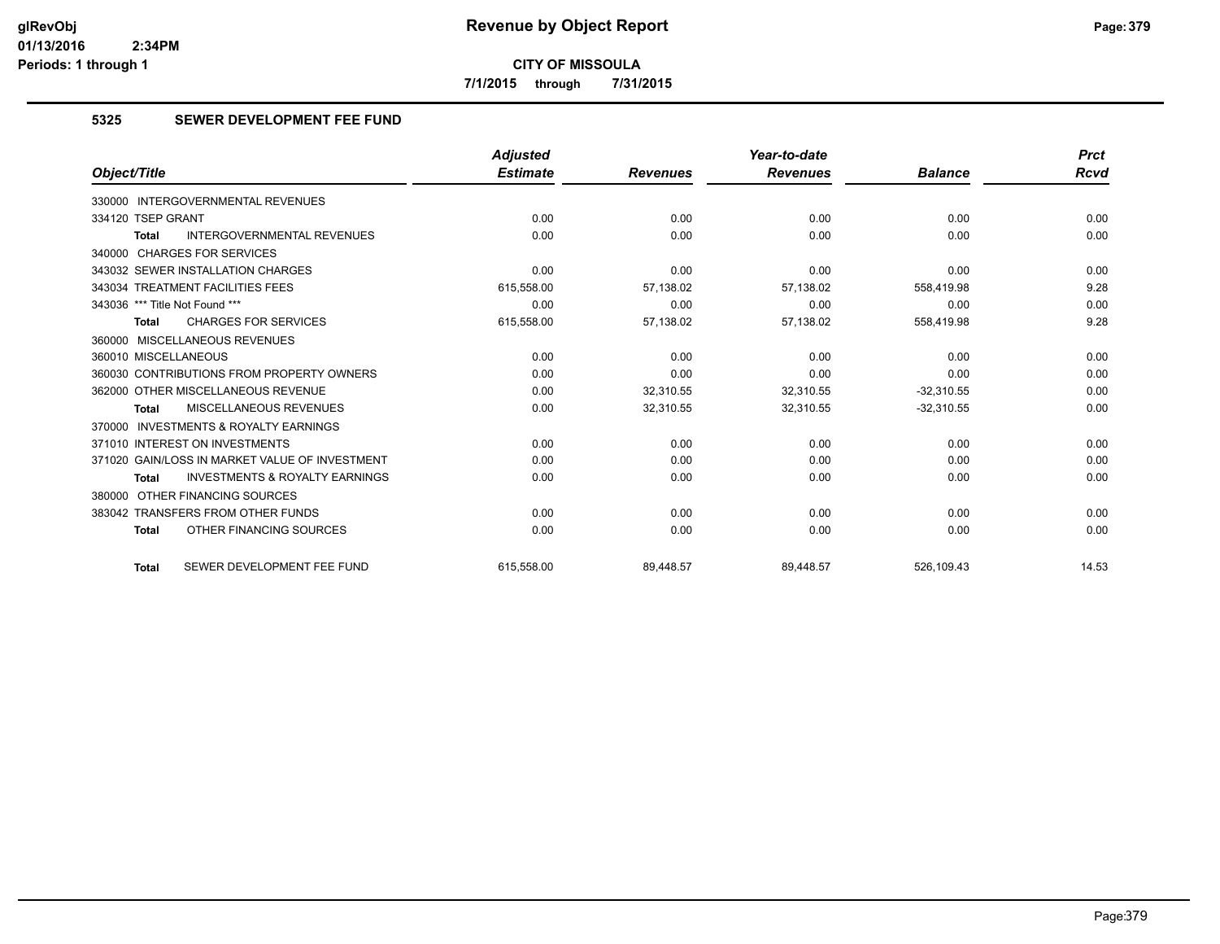**7/1/2015 through 7/31/2015**

#### **5325 SEWER DEVELOPMENT FEE FUND**

|                                                           | <b>Adjusted</b> |                 | Year-to-date    |                |             |  |
|-----------------------------------------------------------|-----------------|-----------------|-----------------|----------------|-------------|--|
| Object/Title                                              | <b>Estimate</b> | <b>Revenues</b> | <b>Revenues</b> | <b>Balance</b> | <b>Rcvd</b> |  |
| 330000 INTERGOVERNMENTAL REVENUES                         |                 |                 |                 |                |             |  |
| 334120 TSEP GRANT                                         | 0.00            | 0.00            | 0.00            | 0.00           | 0.00        |  |
| <b>INTERGOVERNMENTAL REVENUES</b><br><b>Total</b>         | 0.00            | 0.00            | 0.00            | 0.00           | 0.00        |  |
| 340000 CHARGES FOR SERVICES                               |                 |                 |                 |                |             |  |
| 343032 SEWER INSTALLATION CHARGES                         | 0.00            | 0.00            | 0.00            | 0.00           | 0.00        |  |
| 343034 TREATMENT FACILITIES FEES                          | 615,558.00      | 57,138.02       | 57,138.02       | 558,419.98     | 9.28        |  |
| 343036 *** Title Not Found ***                            | 0.00            | 0.00            | 0.00            | 0.00           | 0.00        |  |
| <b>CHARGES FOR SERVICES</b><br><b>Total</b>               | 615,558.00      | 57,138.02       | 57,138.02       | 558,419.98     | 9.28        |  |
| 360000 MISCELLANEOUS REVENUES                             |                 |                 |                 |                |             |  |
| 360010 MISCELLANEOUS                                      | 0.00            | 0.00            | 0.00            | 0.00           | 0.00        |  |
| 360030 CONTRIBUTIONS FROM PROPERTY OWNERS                 | 0.00            | 0.00            | 0.00            | 0.00           | 0.00        |  |
| 362000 OTHER MISCELLANEOUS REVENUE                        | 0.00            | 32.310.55       | 32.310.55       | $-32.310.55$   | 0.00        |  |
| <b>MISCELLANEOUS REVENUES</b><br><b>Total</b>             | 0.00            | 32,310.55       | 32,310.55       | $-32,310.55$   | 0.00        |  |
| 370000 INVESTMENTS & ROYALTY EARNINGS                     |                 |                 |                 |                |             |  |
| 371010 INTEREST ON INVESTMENTS                            | 0.00            | 0.00            | 0.00            | 0.00           | 0.00        |  |
| 371020 GAIN/LOSS IN MARKET VALUE OF INVESTMENT            | 0.00            | 0.00            | 0.00            | 0.00           | 0.00        |  |
| <b>INVESTMENTS &amp; ROYALTY EARNINGS</b><br><b>Total</b> | 0.00            | 0.00            | 0.00            | 0.00           | 0.00        |  |
| 380000 OTHER FINANCING SOURCES                            |                 |                 |                 |                |             |  |
| 383042 TRANSFERS FROM OTHER FUNDS                         | 0.00            | 0.00            | 0.00            | 0.00           | 0.00        |  |
| OTHER FINANCING SOURCES<br><b>Total</b>                   | 0.00            | 0.00            | 0.00            | 0.00           | 0.00        |  |
| SEWER DEVELOPMENT FEE FUND<br><b>Total</b>                | 615.558.00      | 89.448.57       | 89,448.57       | 526.109.43     | 14.53       |  |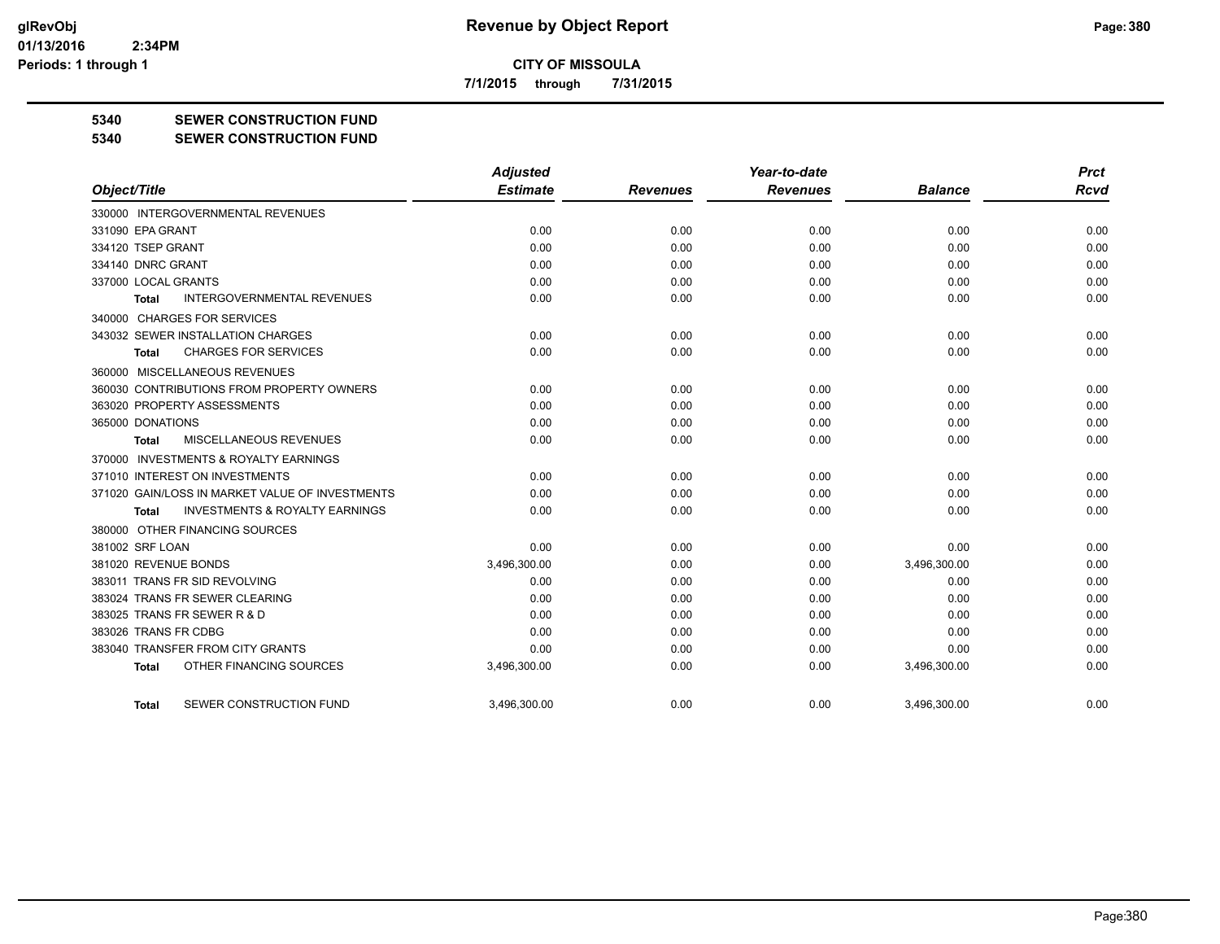**7/1/2015 through 7/31/2015**

#### **5340 SEWER CONSTRUCTION FUND**

#### **5340 SEWER CONSTRUCTION FUND**

|                                                    | <b>Adjusted</b> |                 | Year-to-date    |                | <b>Prct</b> |
|----------------------------------------------------|-----------------|-----------------|-----------------|----------------|-------------|
| Object/Title                                       | <b>Estimate</b> | <b>Revenues</b> | <b>Revenues</b> | <b>Balance</b> | Rcvd        |
| 330000 INTERGOVERNMENTAL REVENUES                  |                 |                 |                 |                |             |
| 331090 EPA GRANT                                   | 0.00            | 0.00            | 0.00            | 0.00           | 0.00        |
| 334120 TSEP GRANT                                  | 0.00            | 0.00            | 0.00            | 0.00           | 0.00        |
| 334140 DNRC GRANT                                  | 0.00            | 0.00            | 0.00            | 0.00           | 0.00        |
| 337000 LOCAL GRANTS                                | 0.00            | 0.00            | 0.00            | 0.00           | 0.00        |
| <b>INTERGOVERNMENTAL REVENUES</b><br>Total         | 0.00            | 0.00            | 0.00            | 0.00           | 0.00        |
| 340000 CHARGES FOR SERVICES                        |                 |                 |                 |                |             |
| 343032 SEWER INSTALLATION CHARGES                  | 0.00            | 0.00            | 0.00            | 0.00           | 0.00        |
| <b>CHARGES FOR SERVICES</b><br>Total               | 0.00            | 0.00            | 0.00            | 0.00           | 0.00        |
| 360000 MISCELLANEOUS REVENUES                      |                 |                 |                 |                |             |
| 360030 CONTRIBUTIONS FROM PROPERTY OWNERS          | 0.00            | 0.00            | 0.00            | 0.00           | 0.00        |
| 363020 PROPERTY ASSESSMENTS                        | 0.00            | 0.00            | 0.00            | 0.00           | 0.00        |
| 365000 DONATIONS                                   | 0.00            | 0.00            | 0.00            | 0.00           | 0.00        |
| <b>MISCELLANEOUS REVENUES</b><br>Total             | 0.00            | 0.00            | 0.00            | 0.00           | 0.00        |
| 370000 INVESTMENTS & ROYALTY EARNINGS              |                 |                 |                 |                |             |
| 371010 INTEREST ON INVESTMENTS                     | 0.00            | 0.00            | 0.00            | 0.00           | 0.00        |
| 371020 GAIN/LOSS IN MARKET VALUE OF INVESTMENTS    | 0.00            | 0.00            | 0.00            | 0.00           | 0.00        |
| <b>INVESTMENTS &amp; ROYALTY EARNINGS</b><br>Total | 0.00            | 0.00            | 0.00            | 0.00           | 0.00        |
| 380000 OTHER FINANCING SOURCES                     |                 |                 |                 |                |             |
| 381002 SRF LOAN                                    | 0.00            | 0.00            | 0.00            | 0.00           | 0.00        |
| 381020 REVENUE BONDS                               | 3,496,300.00    | 0.00            | 0.00            | 3,496,300.00   | 0.00        |
| 383011 TRANS FR SID REVOLVING                      | 0.00            | 0.00            | 0.00            | 0.00           | 0.00        |
| 383024 TRANS FR SEWER CLEARING                     | 0.00            | 0.00            | 0.00            | 0.00           | 0.00        |
| 383025 TRANS FR SEWER R & D                        | 0.00            | 0.00            | 0.00            | 0.00           | 0.00        |
| 383026 TRANS FR CDBG                               | 0.00            | 0.00            | 0.00            | 0.00           | 0.00        |
| 383040 TRANSFER FROM CITY GRANTS                   | 0.00            | 0.00            | 0.00            | 0.00           | 0.00        |
| OTHER FINANCING SOURCES<br><b>Total</b>            | 3,496,300.00    | 0.00            | 0.00            | 3,496,300.00   | 0.00        |
| SEWER CONSTRUCTION FUND<br>Total                   | 3.496.300.00    | 0.00            | 0.00            | 3.496.300.00   | 0.00        |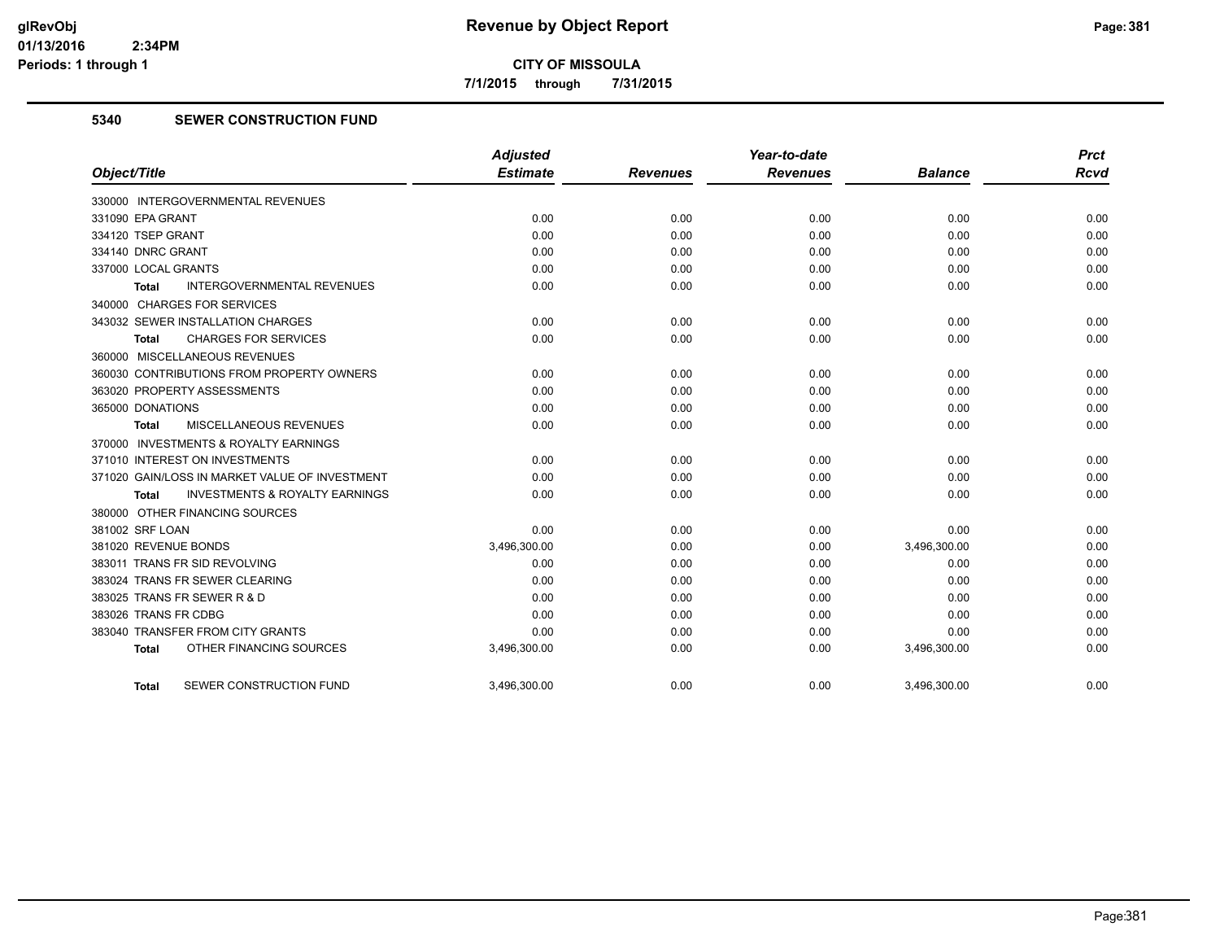**7/1/2015 through 7/31/2015**

#### **5340 SEWER CONSTRUCTION FUND**

| Object/Title                                              | <b>Adjusted</b><br><b>Estimate</b> | <b>Revenues</b> | Year-to-date<br><b>Revenues</b> | <b>Balance</b> | <b>Prct</b><br><b>Rcvd</b> |
|-----------------------------------------------------------|------------------------------------|-----------------|---------------------------------|----------------|----------------------------|
|                                                           |                                    |                 |                                 |                |                            |
| 330000 INTERGOVERNMENTAL REVENUES                         |                                    |                 |                                 |                |                            |
| 331090 EPA GRANT                                          | 0.00                               | 0.00            | 0.00                            | 0.00           | 0.00                       |
| 334120 TSEP GRANT                                         | 0.00                               | 0.00            | 0.00                            | 0.00           | 0.00                       |
| 334140 DNRC GRANT                                         | 0.00                               | 0.00            | 0.00                            | 0.00           | 0.00                       |
| 337000 LOCAL GRANTS                                       | 0.00                               | 0.00            | 0.00                            | 0.00           | 0.00                       |
| INTERGOVERNMENTAL REVENUES<br><b>Total</b>                | 0.00                               | 0.00            | 0.00                            | 0.00           | 0.00                       |
| 340000 CHARGES FOR SERVICES                               |                                    |                 |                                 |                |                            |
| 343032 SEWER INSTALLATION CHARGES                         | 0.00                               | 0.00            | 0.00                            | 0.00           | 0.00                       |
| <b>CHARGES FOR SERVICES</b><br><b>Total</b>               | 0.00                               | 0.00            | 0.00                            | 0.00           | 0.00                       |
| 360000 MISCELLANEOUS REVENUES                             |                                    |                 |                                 |                |                            |
| 360030 CONTRIBUTIONS FROM PROPERTY OWNERS                 | 0.00                               | 0.00            | 0.00                            | 0.00           | 0.00                       |
| 363020 PROPERTY ASSESSMENTS                               | 0.00                               | 0.00            | 0.00                            | 0.00           | 0.00                       |
| 365000 DONATIONS                                          | 0.00                               | 0.00            | 0.00                            | 0.00           | 0.00                       |
| MISCELLANEOUS REVENUES<br><b>Total</b>                    | 0.00                               | 0.00            | 0.00                            | 0.00           | 0.00                       |
| 370000 INVESTMENTS & ROYALTY EARNINGS                     |                                    |                 |                                 |                |                            |
| 371010 INTEREST ON INVESTMENTS                            | 0.00                               | 0.00            | 0.00                            | 0.00           | 0.00                       |
| 371020 GAIN/LOSS IN MARKET VALUE OF INVESTMENT            | 0.00                               | 0.00            | 0.00                            | 0.00           | 0.00                       |
| <b>INVESTMENTS &amp; ROYALTY EARNINGS</b><br><b>Total</b> | 0.00                               | 0.00            | 0.00                            | 0.00           | 0.00                       |
| 380000 OTHER FINANCING SOURCES                            |                                    |                 |                                 |                |                            |
| 381002 SRF LOAN                                           | 0.00                               | 0.00            | 0.00                            | 0.00           | 0.00                       |
| 381020 REVENUE BONDS                                      | 3,496,300.00                       | 0.00            | 0.00                            | 3,496,300.00   | 0.00                       |
| 383011 TRANS FR SID REVOLVING                             | 0.00                               | 0.00            | 0.00                            | 0.00           | 0.00                       |
| 383024 TRANS FR SEWER CLEARING                            | 0.00                               | 0.00            | 0.00                            | 0.00           | 0.00                       |
| 383025 TRANS FR SEWER R & D                               | 0.00                               | 0.00            | 0.00                            | 0.00           | 0.00                       |
| 383026 TRANS FR CDBG                                      | 0.00                               | 0.00            | 0.00                            | 0.00           | 0.00                       |
| 383040 TRANSFER FROM CITY GRANTS                          | 0.00                               | 0.00            | 0.00                            | 0.00           | 0.00                       |
| OTHER FINANCING SOURCES<br><b>Total</b>                   | 3,496,300.00                       | 0.00            | 0.00                            | 3,496,300.00   | 0.00                       |
| SEWER CONSTRUCTION FUND<br><b>Total</b>                   | 3,496,300.00                       | 0.00            | 0.00                            | 3,496,300.00   | 0.00                       |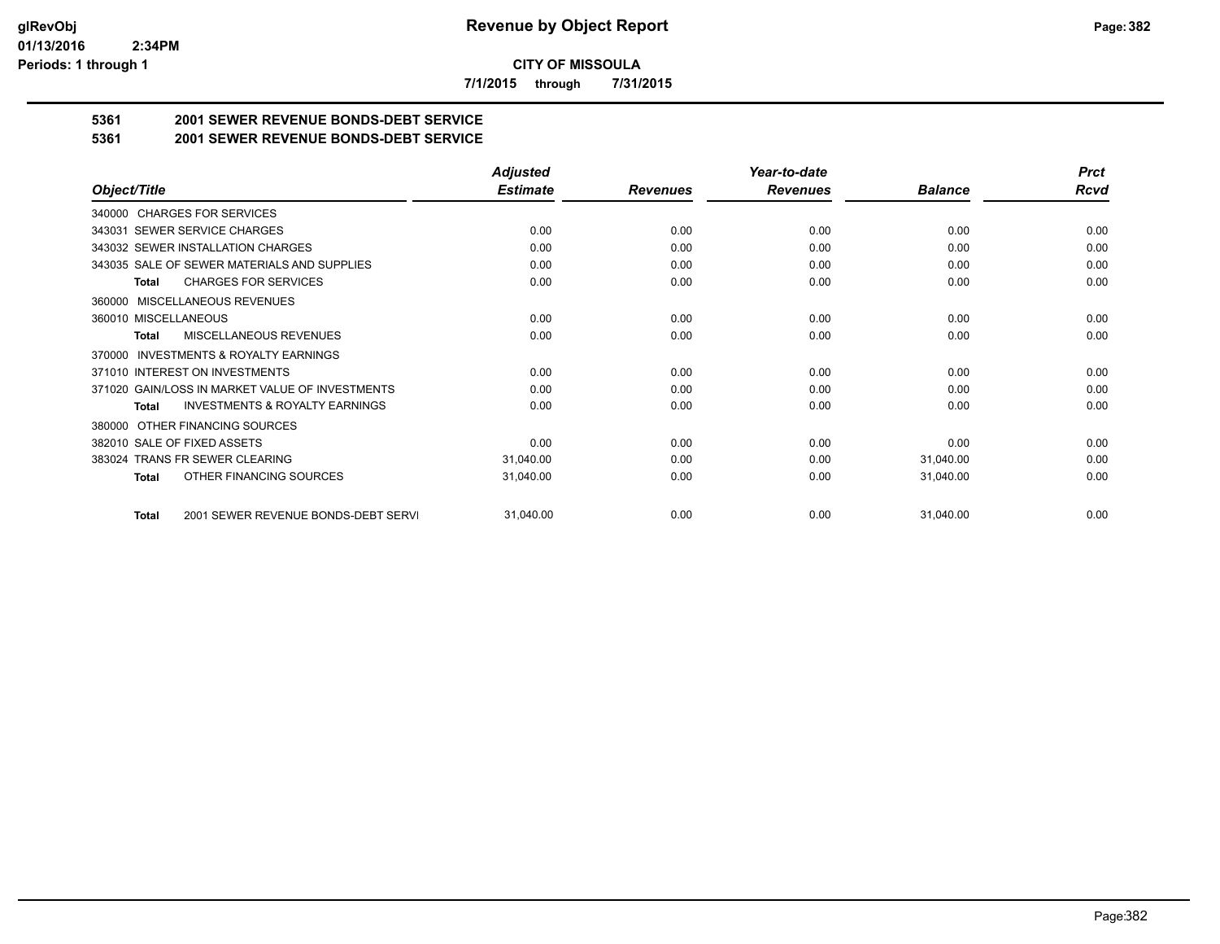**7/1/2015 through 7/31/2015**

## **5361 2001 SEWER REVENUE BONDS-DEBT SERVICE**

**5361 2001 SEWER REVENUE BONDS-DEBT SERVICE**

|                                                           | <b>Adjusted</b> |                 | Year-to-date    |                | <b>Prct</b> |
|-----------------------------------------------------------|-----------------|-----------------|-----------------|----------------|-------------|
| Object/Title                                              | <b>Estimate</b> | <b>Revenues</b> | <b>Revenues</b> | <b>Balance</b> | <b>Rcvd</b> |
| 340000 CHARGES FOR SERVICES                               |                 |                 |                 |                |             |
| SEWER SERVICE CHARGES<br>343031                           | 0.00            | 0.00            | 0.00            | 0.00           | 0.00        |
| 343032 SEWER INSTALLATION CHARGES                         | 0.00            | 0.00            | 0.00            | 0.00           | 0.00        |
| 343035 SALE OF SEWER MATERIALS AND SUPPLIES               | 0.00            | 0.00            | 0.00            | 0.00           | 0.00        |
| <b>CHARGES FOR SERVICES</b><br><b>Total</b>               | 0.00            | 0.00            | 0.00            | 0.00           | 0.00        |
| <b>MISCELLANEOUS REVENUES</b><br>360000                   |                 |                 |                 |                |             |
| 360010 MISCELLANEOUS                                      | 0.00            | 0.00            | 0.00            | 0.00           | 0.00        |
| <b>MISCELLANEOUS REVENUES</b><br>Total                    | 0.00            | 0.00            | 0.00            | 0.00           | 0.00        |
| <b>INVESTMENTS &amp; ROYALTY EARNINGS</b><br>370000       |                 |                 |                 |                |             |
| 371010 INTEREST ON INVESTMENTS                            | 0.00            | 0.00            | 0.00            | 0.00           | 0.00        |
| 371020 GAIN/LOSS IN MARKET VALUE OF INVESTMENTS           | 0.00            | 0.00            | 0.00            | 0.00           | 0.00        |
| <b>INVESTMENTS &amp; ROYALTY EARNINGS</b><br><b>Total</b> | 0.00            | 0.00            | 0.00            | 0.00           | 0.00        |
| OTHER FINANCING SOURCES<br>380000                         |                 |                 |                 |                |             |
| 382010 SALE OF FIXED ASSETS                               | 0.00            | 0.00            | 0.00            | 0.00           | 0.00        |
| 383024 TRANS FR SEWER CLEARING                            | 31,040.00       | 0.00            | 0.00            | 31,040.00      | 0.00        |
| OTHER FINANCING SOURCES<br>Total                          | 31,040.00       | 0.00            | 0.00            | 31,040.00      | 0.00        |
| 2001 SEWER REVENUE BONDS-DEBT SERVI<br><b>Total</b>       | 31,040.00       | 0.00            | 0.00            | 31,040.00      | 0.00        |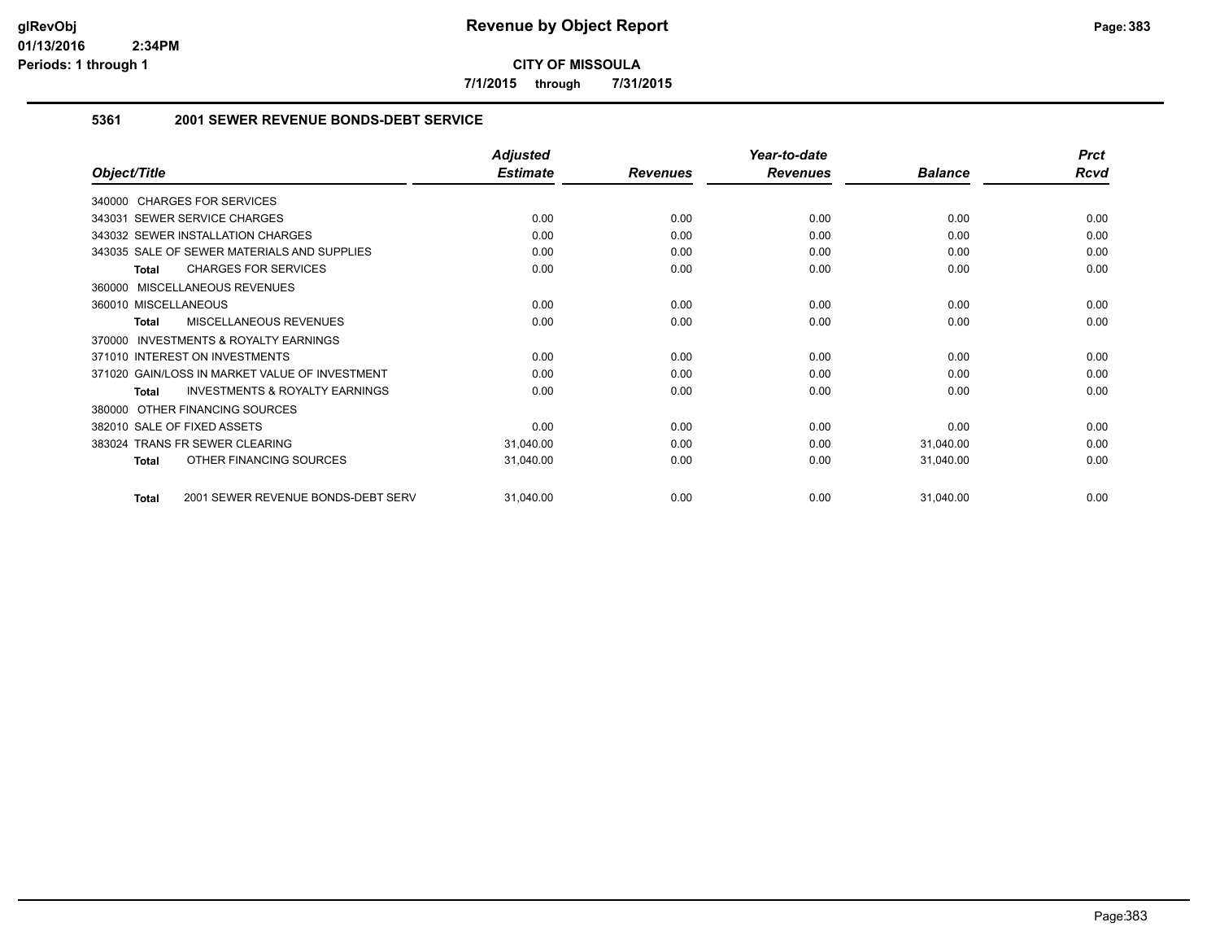**7/1/2015 through 7/31/2015**

#### **5361 2001 SEWER REVENUE BONDS-DEBT SERVICE**

|                                                           | <b>Adjusted</b> |                 | Year-to-date    |                | <b>Prct</b> |
|-----------------------------------------------------------|-----------------|-----------------|-----------------|----------------|-------------|
| Object/Title                                              | <b>Estimate</b> | <b>Revenues</b> | <b>Revenues</b> | <b>Balance</b> | Rcvd        |
| 340000 CHARGES FOR SERVICES                               |                 |                 |                 |                |             |
| 343031 SEWER SERVICE CHARGES                              | 0.00            | 0.00            | 0.00            | 0.00           | 0.00        |
| 343032 SEWER INSTALLATION CHARGES                         | 0.00            | 0.00            | 0.00            | 0.00           | 0.00        |
| 343035 SALE OF SEWER MATERIALS AND SUPPLIES               | 0.00            | 0.00            | 0.00            | 0.00           | 0.00        |
| <b>CHARGES FOR SERVICES</b><br><b>Total</b>               | 0.00            | 0.00            | 0.00            | 0.00           | 0.00        |
| MISCELLANEOUS REVENUES<br>360000                          |                 |                 |                 |                |             |
| 360010 MISCELLANEOUS                                      | 0.00            | 0.00            | 0.00            | 0.00           | 0.00        |
| MISCELLANEOUS REVENUES<br><b>Total</b>                    | 0.00            | 0.00            | 0.00            | 0.00           | 0.00        |
| <b>INVESTMENTS &amp; ROYALTY EARNINGS</b><br>370000       |                 |                 |                 |                |             |
| 371010 INTEREST ON INVESTMENTS                            | 0.00            | 0.00            | 0.00            | 0.00           | 0.00        |
| 371020 GAIN/LOSS IN MARKET VALUE OF INVESTMENT            | 0.00            | 0.00            | 0.00            | 0.00           | 0.00        |
| <b>INVESTMENTS &amp; ROYALTY EARNINGS</b><br><b>Total</b> | 0.00            | 0.00            | 0.00            | 0.00           | 0.00        |
| OTHER FINANCING SOURCES<br>380000                         |                 |                 |                 |                |             |
| 382010 SALE OF FIXED ASSETS                               | 0.00            | 0.00            | 0.00            | 0.00           | 0.00        |
| <b>TRANS FR SEWER CLEARING</b><br>383024                  | 31,040.00       | 0.00            | 0.00            | 31,040.00      | 0.00        |
| OTHER FINANCING SOURCES<br><b>Total</b>                   | 31,040.00       | 0.00            | 0.00            | 31,040.00      | 0.00        |
| 2001 SEWER REVENUE BONDS-DEBT SERV<br><b>Total</b>        | 31,040.00       | 0.00            | 0.00            | 31,040.00      | 0.00        |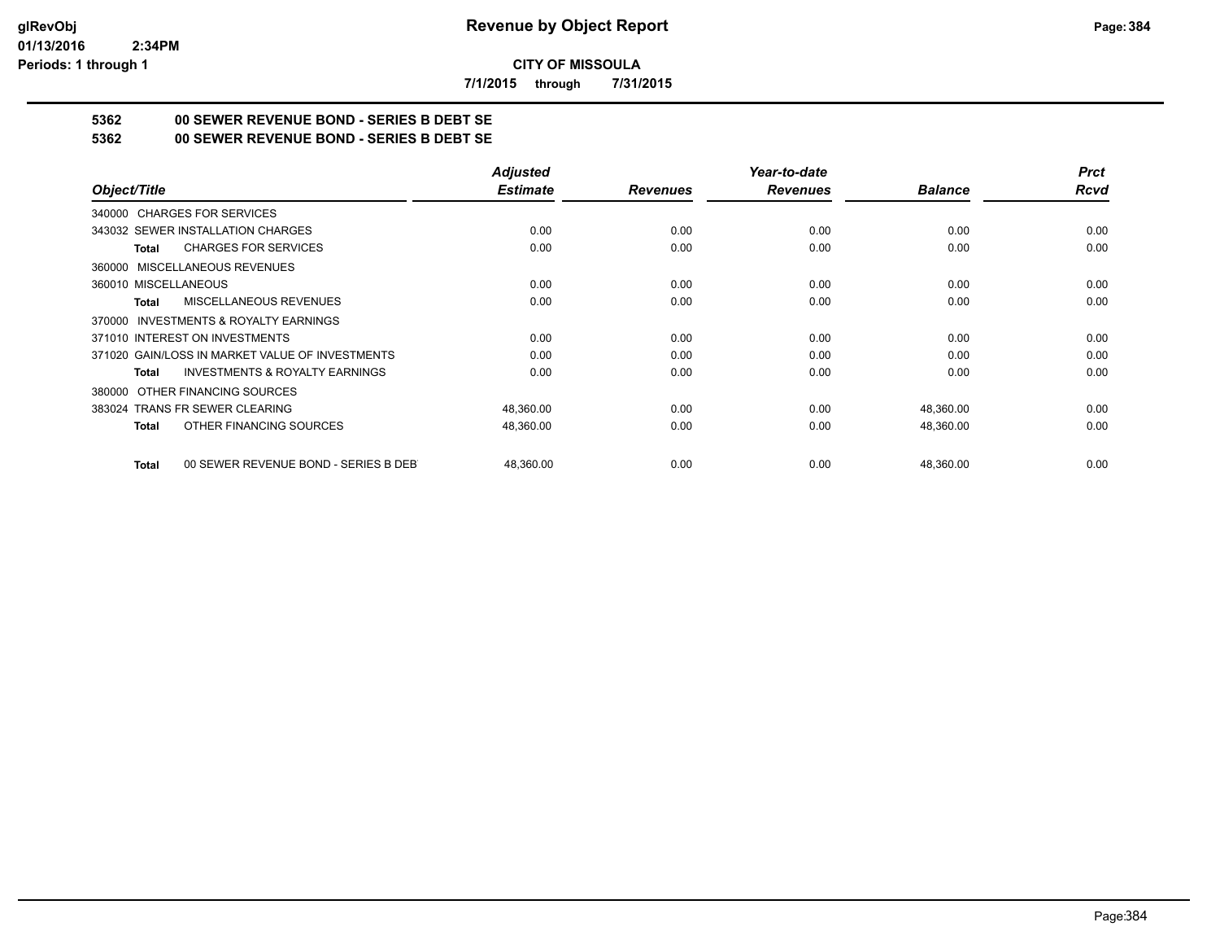**7/1/2015 through 7/31/2015**

## **5362 00 SEWER REVENUE BOND - SERIES B DEBT SE**

**5362 00 SEWER REVENUE BOND - SERIES B DEBT SE**

|                                                           | <b>Adjusted</b> |                 | Year-to-date    | <b>Prct</b>    |             |
|-----------------------------------------------------------|-----------------|-----------------|-----------------|----------------|-------------|
| Object/Title                                              | <b>Estimate</b> | <b>Revenues</b> | <b>Revenues</b> | <b>Balance</b> | <b>Rcvd</b> |
| 340000 CHARGES FOR SERVICES                               |                 |                 |                 |                |             |
| 343032 SEWER INSTALLATION CHARGES                         | 0.00            | 0.00            | 0.00            | 0.00           | 0.00        |
| <b>CHARGES FOR SERVICES</b><br><b>Total</b>               | 0.00            | 0.00            | 0.00            | 0.00           | 0.00        |
| MISCELLANEOUS REVENUES<br>360000                          |                 |                 |                 |                |             |
| 360010 MISCELLANEOUS                                      | 0.00            | 0.00            | 0.00            | 0.00           | 0.00        |
| MISCELLANEOUS REVENUES<br>Total                           | 0.00            | 0.00            | 0.00            | 0.00           | 0.00        |
| INVESTMENTS & ROYALTY EARNINGS<br>370000                  |                 |                 |                 |                |             |
| 371010 INTEREST ON INVESTMENTS                            | 0.00            | 0.00            | 0.00            | 0.00           | 0.00        |
| 371020 GAIN/LOSS IN MARKET VALUE OF INVESTMENTS           | 0.00            | 0.00            | 0.00            | 0.00           | 0.00        |
| <b>INVESTMENTS &amp; ROYALTY EARNINGS</b><br><b>Total</b> | 0.00            | 0.00            | 0.00            | 0.00           | 0.00        |
| OTHER FINANCING SOURCES<br>380000                         |                 |                 |                 |                |             |
| 383024 TRANS FR SEWER CLEARING                            | 48,360.00       | 0.00            | 0.00            | 48,360.00      | 0.00        |
| OTHER FINANCING SOURCES<br><b>Total</b>                   | 48,360.00       | 0.00            | 0.00            | 48,360.00      | 0.00        |
| 00 SEWER REVENUE BOND - SERIES B DEB<br><b>Total</b>      | 48,360.00       | 0.00            | 0.00            | 48,360.00      | 0.00        |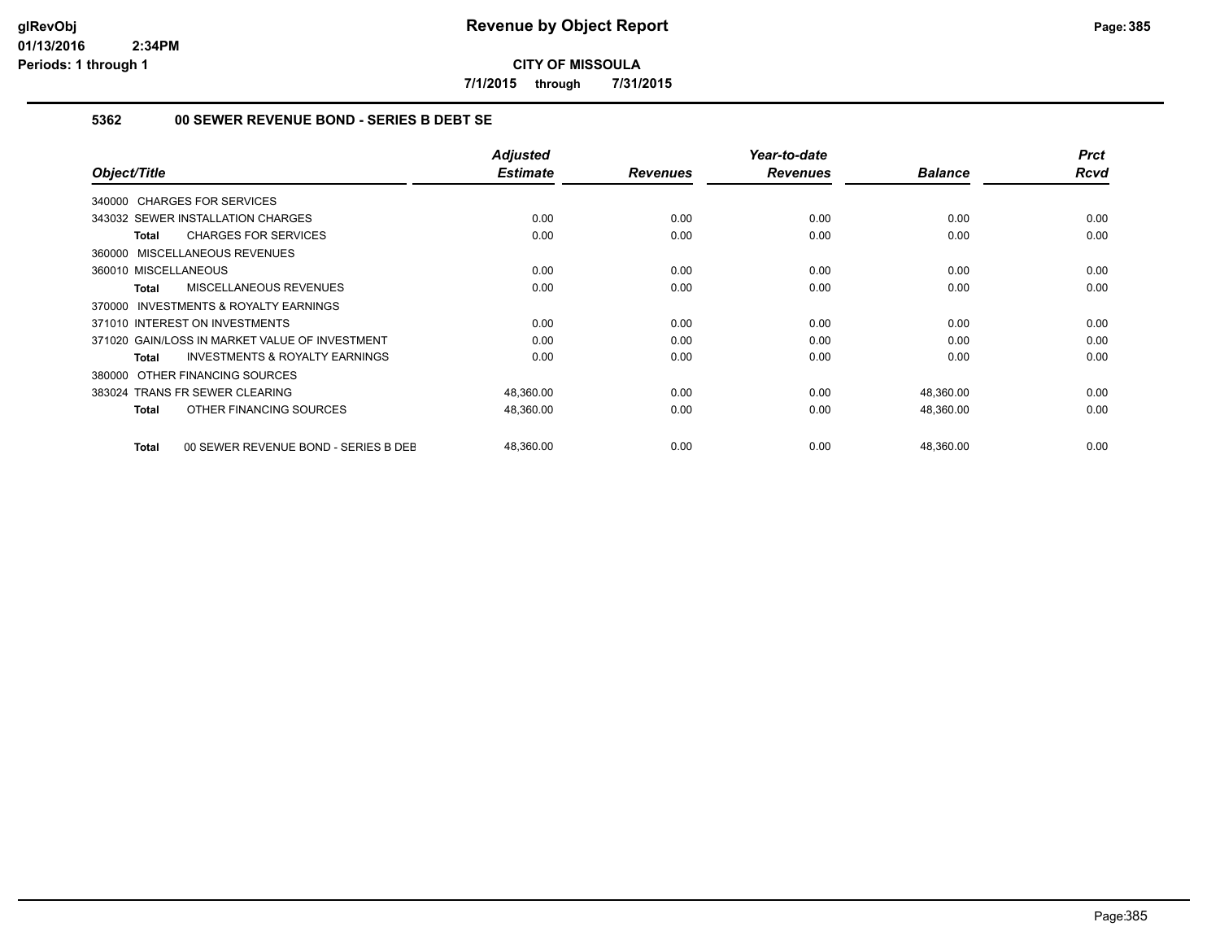**7/1/2015 through 7/31/2015**

#### **5362 00 SEWER REVENUE BOND - SERIES B DEBT SE**

| Object/Title                                              | <b>Adjusted</b><br><b>Estimate</b> | <b>Revenues</b> | Year-to-date<br><b>Revenues</b> | <b>Balance</b> | <b>Prct</b><br><b>Rcvd</b> |
|-----------------------------------------------------------|------------------------------------|-----------------|---------------------------------|----------------|----------------------------|
| 340000 CHARGES FOR SERVICES                               |                                    |                 |                                 |                |                            |
| 343032 SEWER INSTALLATION CHARGES                         | 0.00                               | 0.00            | 0.00                            | 0.00           | 0.00                       |
| <b>CHARGES FOR SERVICES</b><br>Total                      | 0.00                               | 0.00            | 0.00                            | 0.00           | 0.00                       |
| 360000 MISCELLANEOUS REVENUES                             |                                    |                 |                                 |                |                            |
| 360010 MISCELLANEOUS                                      | 0.00                               | 0.00            | 0.00                            | 0.00           | 0.00                       |
| MISCELLANEOUS REVENUES<br><b>Total</b>                    | 0.00                               | 0.00            | 0.00                            | 0.00           | 0.00                       |
| <b>INVESTMENTS &amp; ROYALTY EARNINGS</b><br>370000       |                                    |                 |                                 |                |                            |
| 371010 INTEREST ON INVESTMENTS                            | 0.00                               | 0.00            | 0.00                            | 0.00           | 0.00                       |
| 371020 GAIN/LOSS IN MARKET VALUE OF INVESTMENT            | 0.00                               | 0.00            | 0.00                            | 0.00           | 0.00                       |
| <b>INVESTMENTS &amp; ROYALTY EARNINGS</b><br><b>Total</b> | 0.00                               | 0.00            | 0.00                            | 0.00           | 0.00                       |
| OTHER FINANCING SOURCES<br>380000                         |                                    |                 |                                 |                |                            |
| 383024 TRANS FR SEWER CLEARING                            | 48,360.00                          | 0.00            | 0.00                            | 48,360.00      | 0.00                       |
| OTHER FINANCING SOURCES<br><b>Total</b>                   | 48,360.00                          | 0.00            | 0.00                            | 48,360.00      | 0.00                       |
| 00 SEWER REVENUE BOND - SERIES B DEE<br><b>Total</b>      | 48,360.00                          | 0.00            | 0.00                            | 48,360.00      | 0.00                       |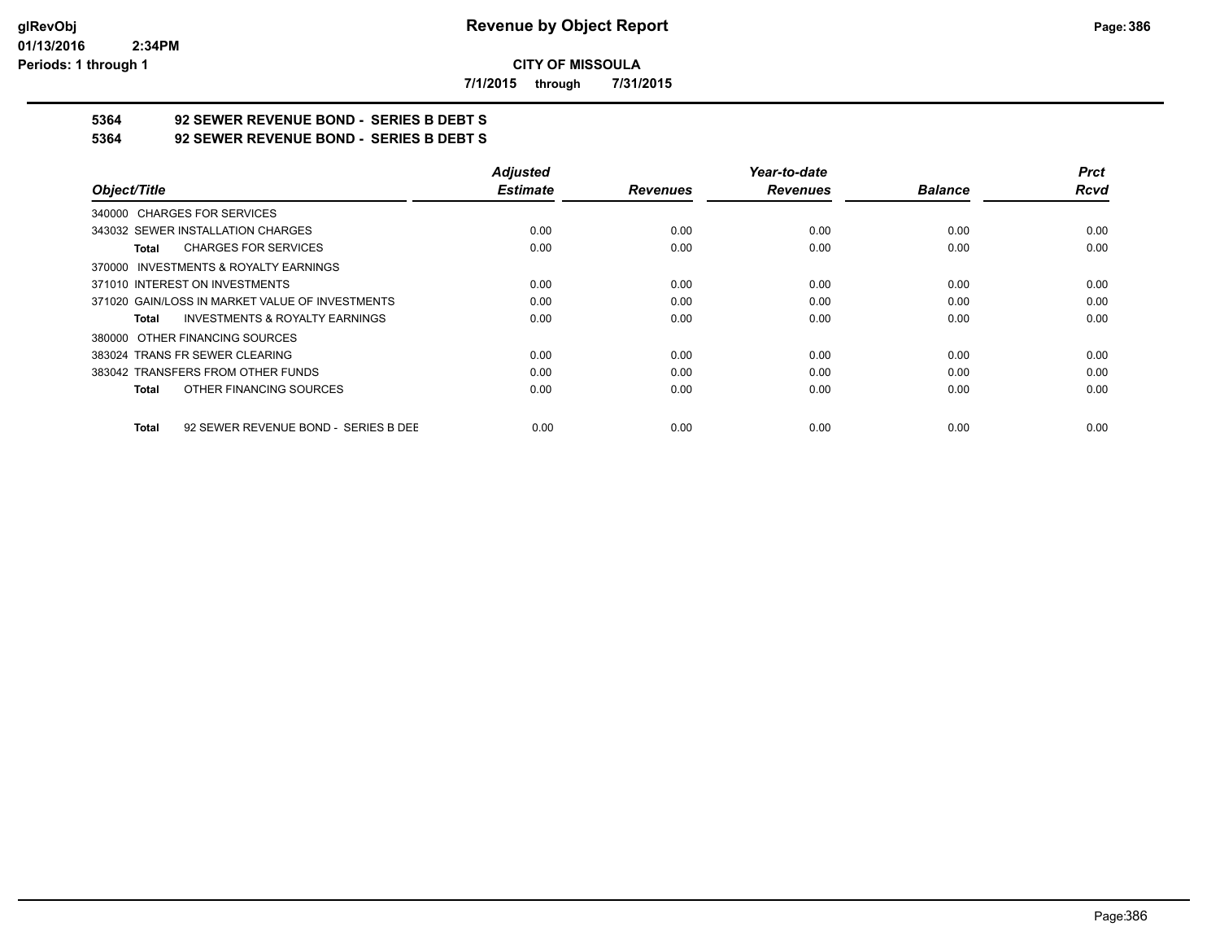**7/1/2015 through 7/31/2015**

## **5364 92 SEWER REVENUE BOND - SERIES B DEBT S**

**5364 92 SEWER REVENUE BOND - SERIES B DEBT S**

|                                                    | <b>Adjusted</b> |                 | Year-to-date    |                | <b>Prct</b> |
|----------------------------------------------------|-----------------|-----------------|-----------------|----------------|-------------|
| Object/Title                                       | <b>Estimate</b> | <b>Revenues</b> | <b>Revenues</b> | <b>Balance</b> | <b>Rcvd</b> |
| 340000 CHARGES FOR SERVICES                        |                 |                 |                 |                |             |
| 343032 SEWER INSTALLATION CHARGES                  | 0.00            | 0.00            | 0.00            | 0.00           | 0.00        |
| <b>CHARGES FOR SERVICES</b><br>Total               | 0.00            | 0.00            | 0.00            | 0.00           | 0.00        |
| 370000 INVESTMENTS & ROYALTY EARNINGS              |                 |                 |                 |                |             |
| 371010 INTEREST ON INVESTMENTS                     | 0.00            | 0.00            | 0.00            | 0.00           | 0.00        |
| 371020 GAIN/LOSS IN MARKET VALUE OF INVESTMENTS    | 0.00            | 0.00            | 0.00            | 0.00           | 0.00        |
| <b>INVESTMENTS &amp; ROYALTY EARNINGS</b><br>Total | 0.00            | 0.00            | 0.00            | 0.00           | 0.00        |
| 380000 OTHER FINANCING SOURCES                     |                 |                 |                 |                |             |
| 383024 TRANS FR SEWER CLEARING                     | 0.00            | 0.00            | 0.00            | 0.00           | 0.00        |
| 383042 TRANSFERS FROM OTHER FUNDS                  | 0.00            | 0.00            | 0.00            | 0.00           | 0.00        |
| OTHER FINANCING SOURCES<br>Total                   | 0.00            | 0.00            | 0.00            | 0.00           | 0.00        |
| 92 SEWER REVENUE BOND - SERIES B DEE<br>Total      | 0.00            | 0.00            | 0.00            | 0.00           | 0.00        |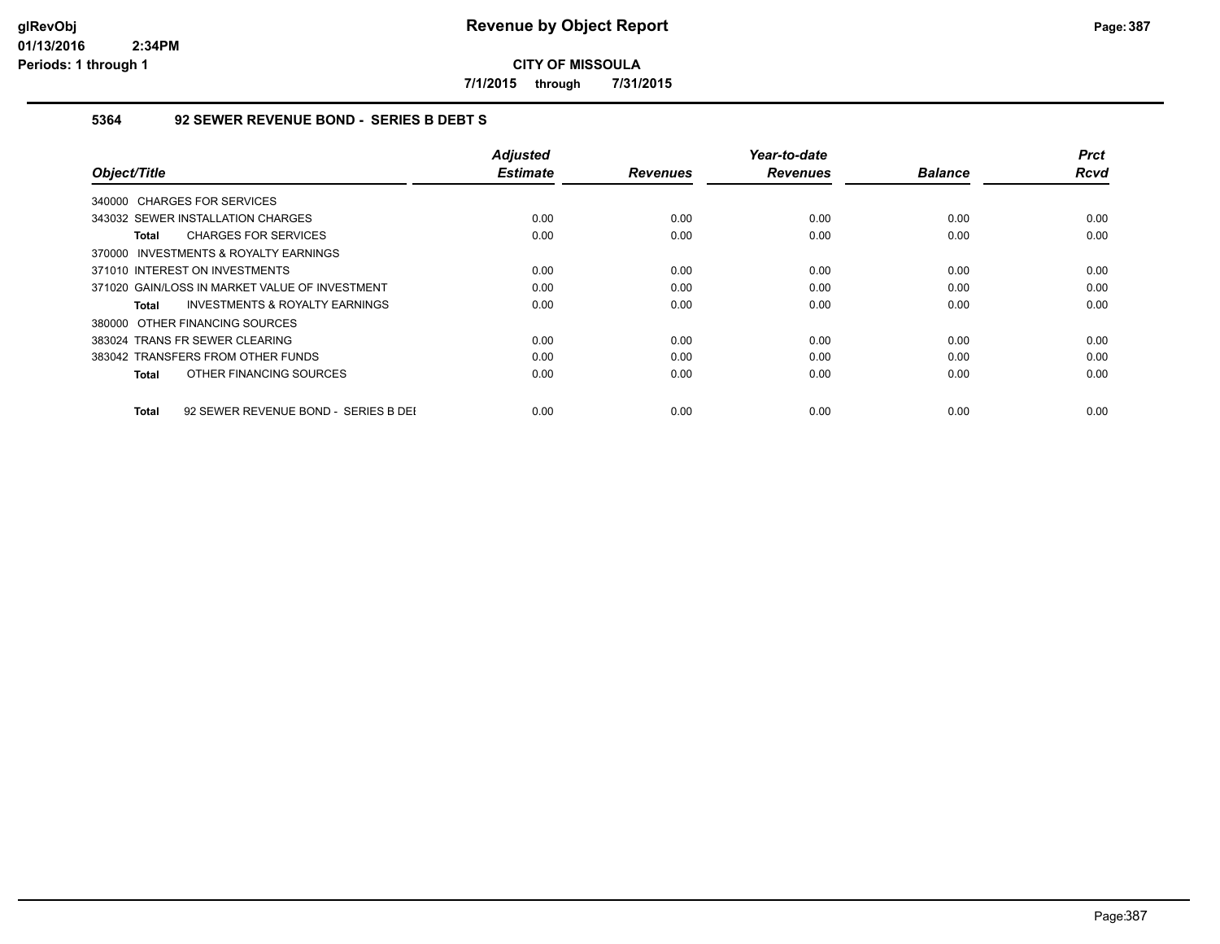**7/1/2015 through 7/31/2015**

#### **5364 92 SEWER REVENUE BOND - SERIES B DEBT S**

| Object/Title                                         | <b>Adjusted</b><br><b>Estimate</b> | <b>Revenues</b> | Year-to-date<br><b>Revenues</b> | <b>Balance</b> | <b>Prct</b><br><b>Rcvd</b> |
|------------------------------------------------------|------------------------------------|-----------------|---------------------------------|----------------|----------------------------|
| 340000 CHARGES FOR SERVICES                          |                                    |                 |                                 |                |                            |
| 343032 SEWER INSTALLATION CHARGES                    | 0.00                               | 0.00            | 0.00                            | 0.00           | 0.00                       |
| <b>CHARGES FOR SERVICES</b><br>Total                 | 0.00                               | 0.00            | 0.00                            | 0.00           | 0.00                       |
| 370000 INVESTMENTS & ROYALTY EARNINGS                |                                    |                 |                                 |                |                            |
| 371010 INTEREST ON INVESTMENTS                       | 0.00                               | 0.00            | 0.00                            | 0.00           | 0.00                       |
| 371020 GAIN/LOSS IN MARKET VALUE OF INVESTMENT       | 0.00                               | 0.00            | 0.00                            | 0.00           | 0.00                       |
| <b>INVESTMENTS &amp; ROYALTY EARNINGS</b><br>Total   | 0.00                               | 0.00            | 0.00                            | 0.00           | 0.00                       |
| 380000 OTHER FINANCING SOURCES                       |                                    |                 |                                 |                |                            |
| 383024 TRANS FR SEWER CLEARING                       | 0.00                               | 0.00            | 0.00                            | 0.00           | 0.00                       |
| 383042 TRANSFERS FROM OTHER FUNDS                    | 0.00                               | 0.00            | 0.00                            | 0.00           | 0.00                       |
| OTHER FINANCING SOURCES<br>Total                     | 0.00                               | 0.00            | 0.00                            | 0.00           | 0.00                       |
| 92 SEWER REVENUE BOND - SERIES B DEI<br><b>Total</b> | 0.00                               | 0.00            | 0.00                            | 0.00           | 0.00                       |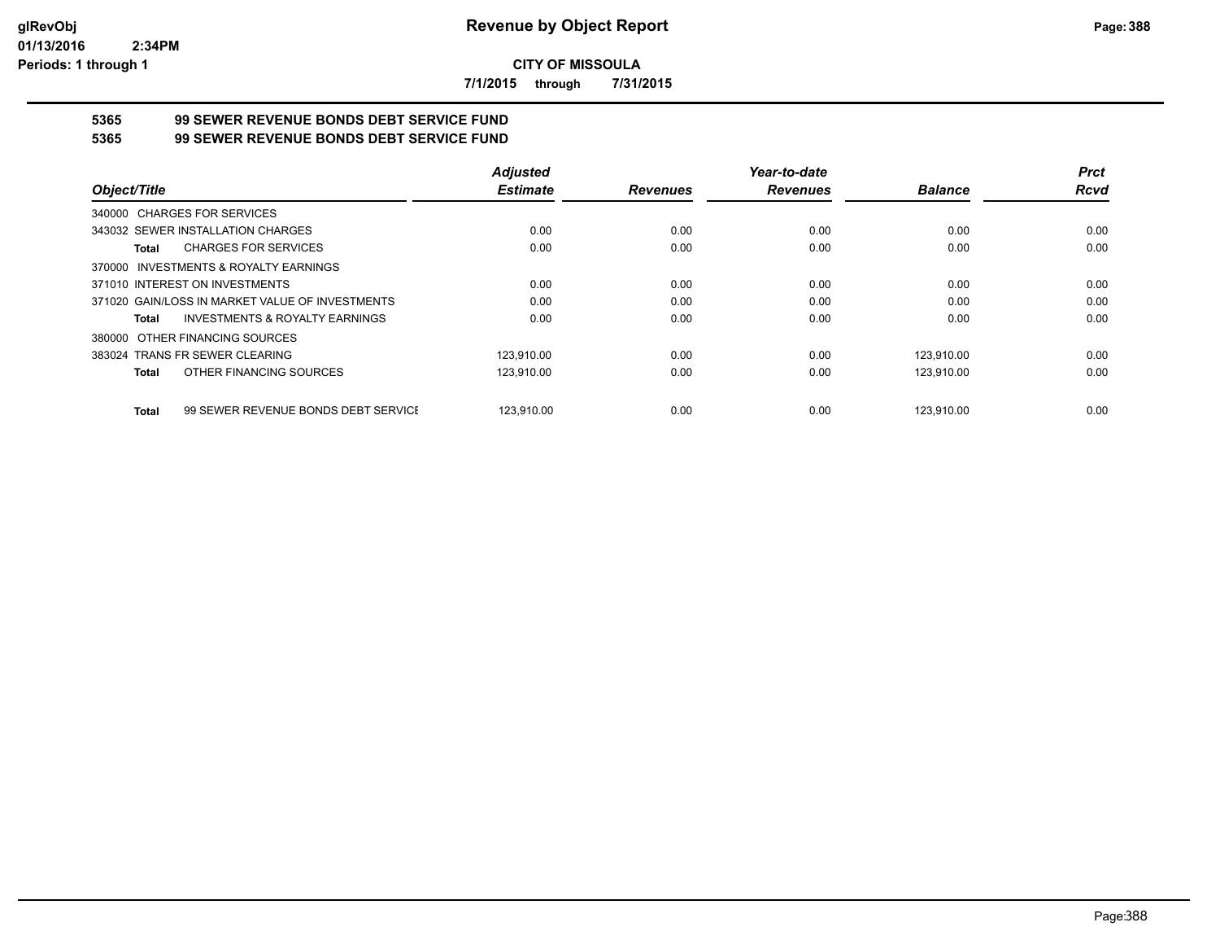**7/1/2015 through 7/31/2015**

# **5365 99 SEWER REVENUE BONDS DEBT SERVICE FUND**

**5365 99 SEWER REVENUE BONDS DEBT SERVICE FUND**

|                                                     | <b>Adjusted</b> |                 | Year-to-date    |                | <b>Prct</b> |
|-----------------------------------------------------|-----------------|-----------------|-----------------|----------------|-------------|
| Object/Title                                        | <b>Estimate</b> | <b>Revenues</b> | <b>Revenues</b> | <b>Balance</b> | <b>Rcvd</b> |
| 340000 CHARGES FOR SERVICES                         |                 |                 |                 |                |             |
| 343032 SEWER INSTALLATION CHARGES                   | 0.00            | 0.00            | 0.00            | 0.00           | 0.00        |
| <b>CHARGES FOR SERVICES</b><br>Total                | 0.00            | 0.00            | 0.00            | 0.00           | 0.00        |
| 370000 INVESTMENTS & ROYALTY EARNINGS               |                 |                 |                 |                |             |
| 371010 INTEREST ON INVESTMENTS                      | 0.00            | 0.00            | 0.00            | 0.00           | 0.00        |
| 371020 GAIN/LOSS IN MARKET VALUE OF INVESTMENTS     | 0.00            | 0.00            | 0.00            | 0.00           | 0.00        |
| <b>INVESTMENTS &amp; ROYALTY EARNINGS</b><br>Total  | 0.00            | 0.00            | 0.00            | 0.00           | 0.00        |
| 380000 OTHER FINANCING SOURCES                      |                 |                 |                 |                |             |
| 383024 TRANS FR SEWER CLEARING                      | 123.910.00      | 0.00            | 0.00            | 123.910.00     | 0.00        |
| OTHER FINANCING SOURCES<br>Total                    | 123.910.00      | 0.00            | 0.00            | 123.910.00     | 0.00        |
| 99 SEWER REVENUE BONDS DEBT SERVICE<br><b>Total</b> | 123.910.00      | 0.00            | 0.00            | 123.910.00     | 0.00        |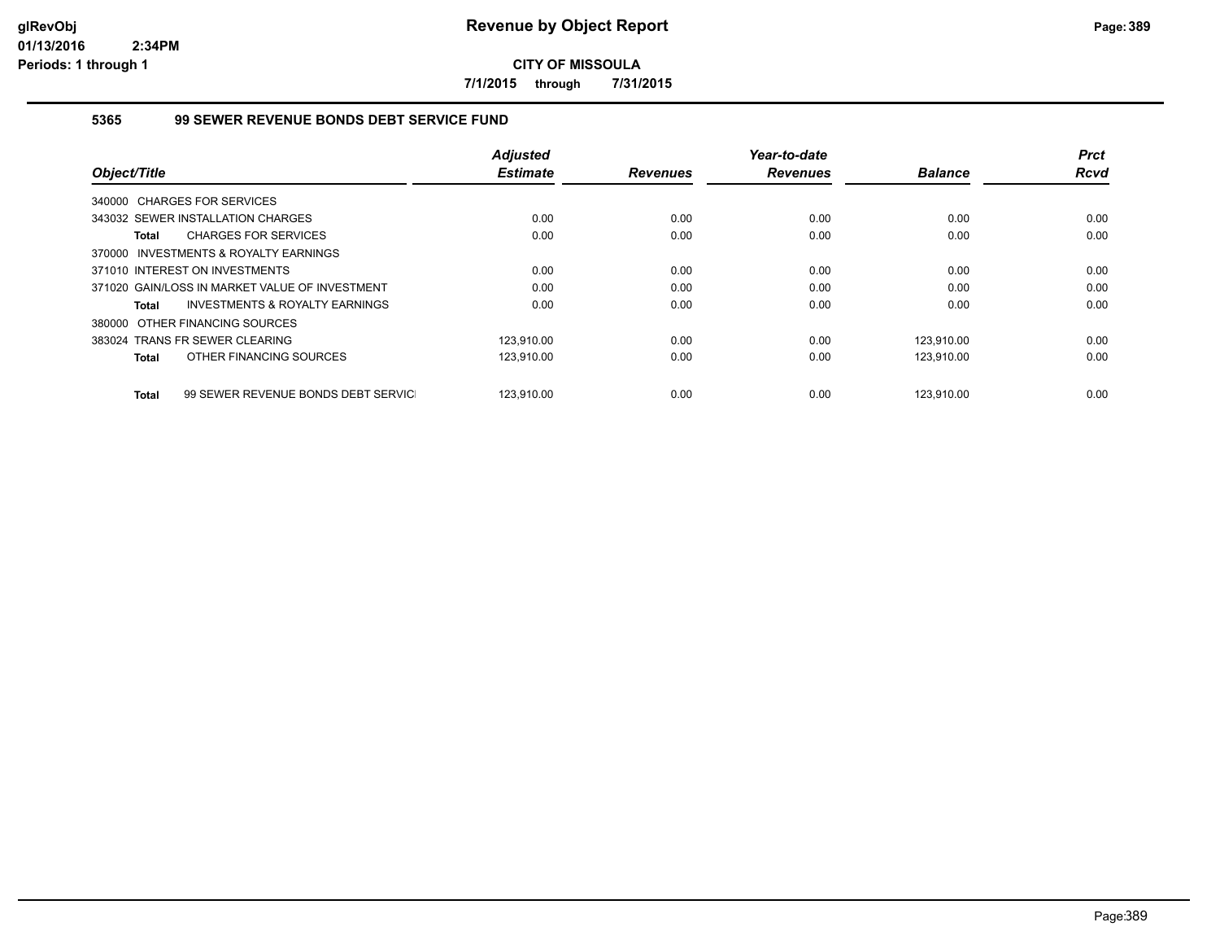**7/1/2015 through 7/31/2015**

#### **5365 99 SEWER REVENUE BONDS DEBT SERVICE FUND**

|                                                           | <b>Adjusted</b> |                 | Year-to-date    |                | <b>Prct</b> |
|-----------------------------------------------------------|-----------------|-----------------|-----------------|----------------|-------------|
| Object/Title                                              | <b>Estimate</b> | <b>Revenues</b> | <b>Revenues</b> | <b>Balance</b> | <b>Rcvd</b> |
| 340000 CHARGES FOR SERVICES                               |                 |                 |                 |                |             |
| 343032 SEWER INSTALLATION CHARGES                         | 0.00            | 0.00            | 0.00            | 0.00           | 0.00        |
| <b>CHARGES FOR SERVICES</b><br><b>Total</b>               | 0.00            | 0.00            | 0.00            | 0.00           | 0.00        |
| INVESTMENTS & ROYALTY EARNINGS<br>370000                  |                 |                 |                 |                |             |
| 371010 INTEREST ON INVESTMENTS                            | 0.00            | 0.00            | 0.00            | 0.00           | 0.00        |
| 371020 GAIN/LOSS IN MARKET VALUE OF INVESTMENT            | 0.00            | 0.00            | 0.00            | 0.00           | 0.00        |
| <b>INVESTMENTS &amp; ROYALTY EARNINGS</b><br><b>Total</b> | 0.00            | 0.00            | 0.00            | 0.00           | 0.00        |
| 380000 OTHER FINANCING SOURCES                            |                 |                 |                 |                |             |
| 383024 TRANS FR SEWER CLEARING                            | 123,910.00      | 0.00            | 0.00            | 123.910.00     | 0.00        |
| OTHER FINANCING SOURCES<br><b>Total</b>                   | 123,910.00      | 0.00            | 0.00            | 123,910.00     | 0.00        |
| 99 SEWER REVENUE BONDS DEBT SERVIC<br><b>Total</b>        | 123.910.00      | 0.00            | 0.00            | 123.910.00     | 0.00        |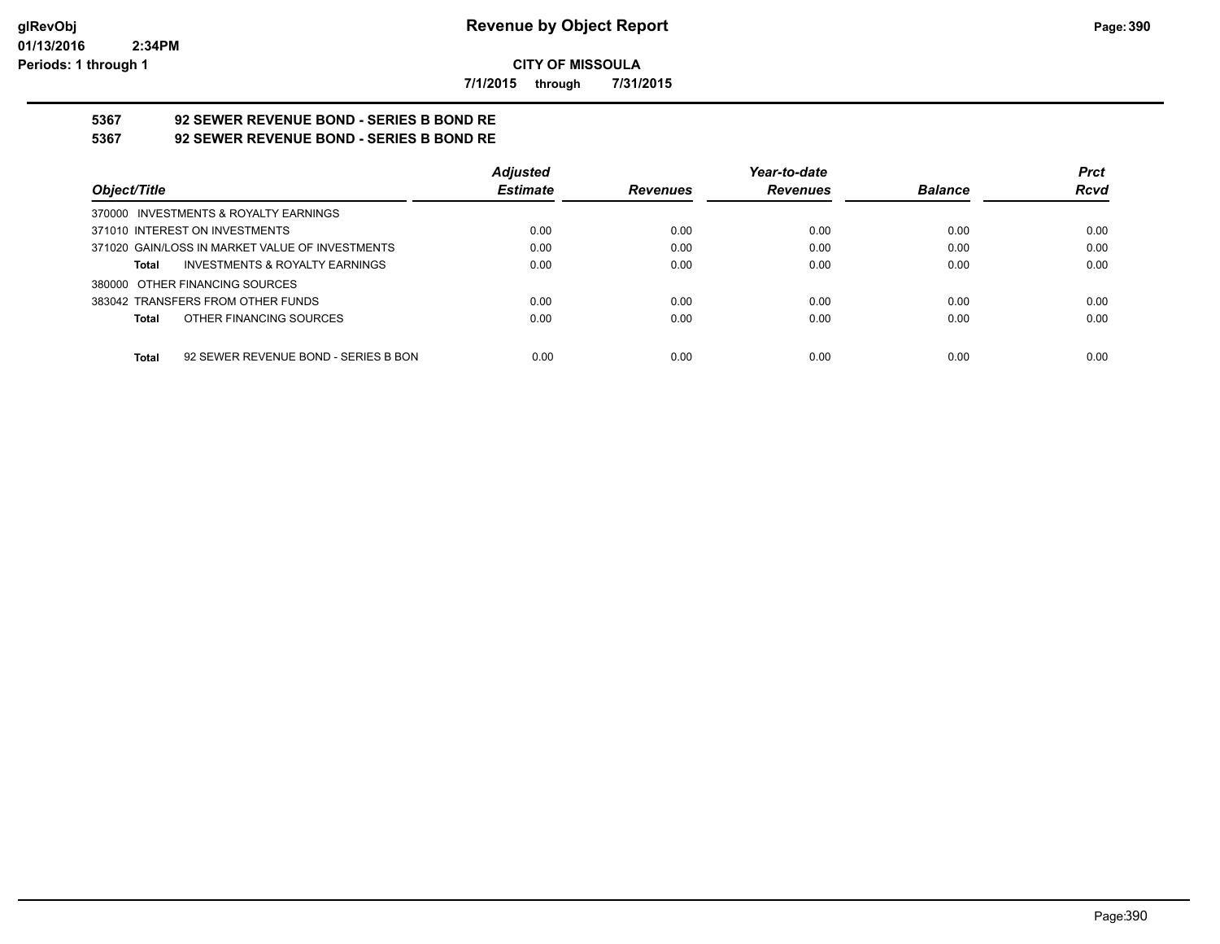**7/1/2015 through 7/31/2015**

# **5367 92 SEWER REVENUE BOND - SERIES B BOND RE**

**5367 92 SEWER REVENUE BOND - SERIES B BOND RE**

|                                                    | <b>Adjusted</b> |                 | Year-to-date    |                | <b>Prct</b> |
|----------------------------------------------------|-----------------|-----------------|-----------------|----------------|-------------|
| Object/Title                                       | <b>Estimate</b> | <b>Revenues</b> | <b>Revenues</b> | <b>Balance</b> | <b>Rcvd</b> |
| 370000 INVESTMENTS & ROYALTY EARNINGS              |                 |                 |                 |                |             |
| 371010 INTEREST ON INVESTMENTS                     | 0.00            | 0.00            | 0.00            | 0.00           | 0.00        |
| 371020 GAIN/LOSS IN MARKET VALUE OF INVESTMENTS    | 0.00            | 0.00            | 0.00            | 0.00           | 0.00        |
| <b>INVESTMENTS &amp; ROYALTY EARNINGS</b><br>Total | 0.00            | 0.00            | 0.00            | 0.00           | 0.00        |
| 380000 OTHER FINANCING SOURCES                     |                 |                 |                 |                |             |
| 383042 TRANSFERS FROM OTHER FUNDS                  | 0.00            | 0.00            | 0.00            | 0.00           | 0.00        |
| OTHER FINANCING SOURCES<br>Total                   | 0.00            | 0.00            | 0.00            | 0.00           | 0.00        |
|                                                    |                 |                 |                 |                |             |
| 92 SEWER REVENUE BOND - SERIES B BON<br>Total      | 0.00            | 0.00            | 0.00            | 0.00           | 0.00        |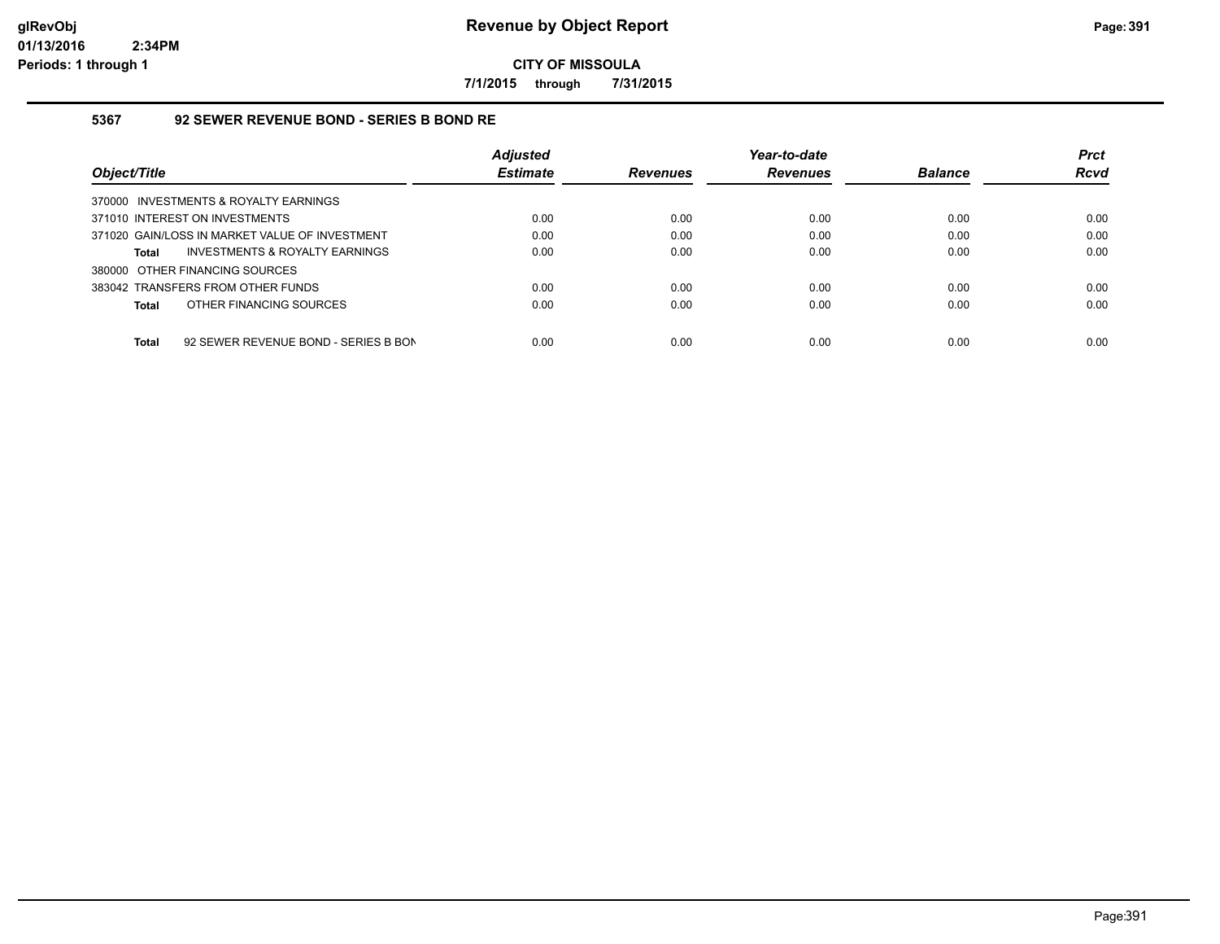**7/1/2015 through 7/31/2015**

#### **5367 92 SEWER REVENUE BOND - SERIES B BOND RE**

|                                                      | <b>Adjusted</b> |                 | Year-to-date    |                | <b>Prct</b> |
|------------------------------------------------------|-----------------|-----------------|-----------------|----------------|-------------|
| Object/Title                                         | <b>Estimate</b> | <b>Revenues</b> | <b>Revenues</b> | <b>Balance</b> | <b>Rcvd</b> |
| 370000 INVESTMENTS & ROYALTY EARNINGS                |                 |                 |                 |                |             |
| 371010 INTEREST ON INVESTMENTS                       | 0.00            | 0.00            | 0.00            | 0.00           | 0.00        |
| 371020 GAIN/LOSS IN MARKET VALUE OF INVESTMENT       | 0.00            | 0.00            | 0.00            | 0.00           | 0.00        |
| INVESTMENTS & ROYALTY EARNINGS<br><b>Total</b>       | 0.00            | 0.00            | 0.00            | 0.00           | 0.00        |
| 380000 OTHER FINANCING SOURCES                       |                 |                 |                 |                |             |
| 383042 TRANSFERS FROM OTHER FUNDS                    | 0.00            | 0.00            | 0.00            | 0.00           | 0.00        |
| OTHER FINANCING SOURCES<br><b>Total</b>              | 0.00            | 0.00            | 0.00            | 0.00           | 0.00        |
|                                                      |                 |                 |                 |                |             |
| 92 SEWER REVENUE BOND - SERIES B BON<br><b>Total</b> | 0.00            | 0.00            | 0.00            | 0.00           | 0.00        |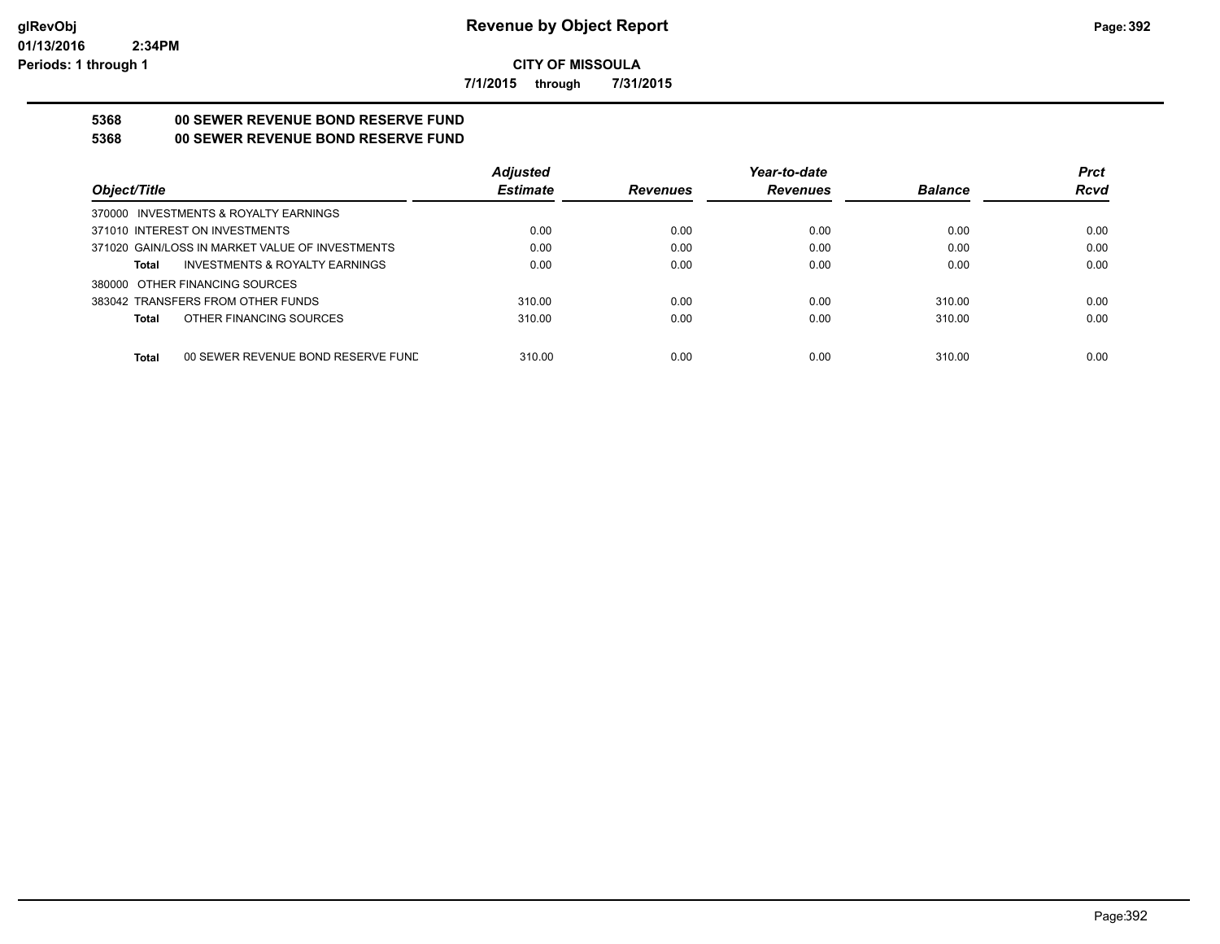**7/1/2015 through 7/31/2015**

## **5368 00 SEWER REVENUE BOND RESERVE FUND**

#### **5368 00 SEWER REVENUE BOND RESERVE FUND**

|                                                    | <b>Adjusted</b> |                 | Year-to-date    |                | <b>Prct</b> |
|----------------------------------------------------|-----------------|-----------------|-----------------|----------------|-------------|
| Object/Title                                       | <b>Estimate</b> | <b>Revenues</b> | <b>Revenues</b> | <b>Balance</b> | <b>Rcvd</b> |
| 370000 INVESTMENTS & ROYALTY EARNINGS              |                 |                 |                 |                |             |
| 371010 INTEREST ON INVESTMENTS                     | 0.00            | 0.00            | 0.00            | 0.00           | 0.00        |
| 371020 GAIN/LOSS IN MARKET VALUE OF INVESTMENTS    | 0.00            | 0.00            | 0.00            | 0.00           | 0.00        |
| <b>INVESTMENTS &amp; ROYALTY EARNINGS</b><br>Total | 0.00            | 0.00            | 0.00            | 0.00           | 0.00        |
| 380000 OTHER FINANCING SOURCES                     |                 |                 |                 |                |             |
| 383042 TRANSFERS FROM OTHER FUNDS                  | 310.00          | 0.00            | 0.00            | 310.00         | 0.00        |
| OTHER FINANCING SOURCES<br>Total                   | 310.00          | 0.00            | 0.00            | 310.00         | 0.00        |
|                                                    |                 |                 |                 |                |             |
| <b>Total</b><br>00 SEWER REVENUE BOND RESERVE FUND | 310.00          | 0.00            | 0.00            | 310.00         | 0.00        |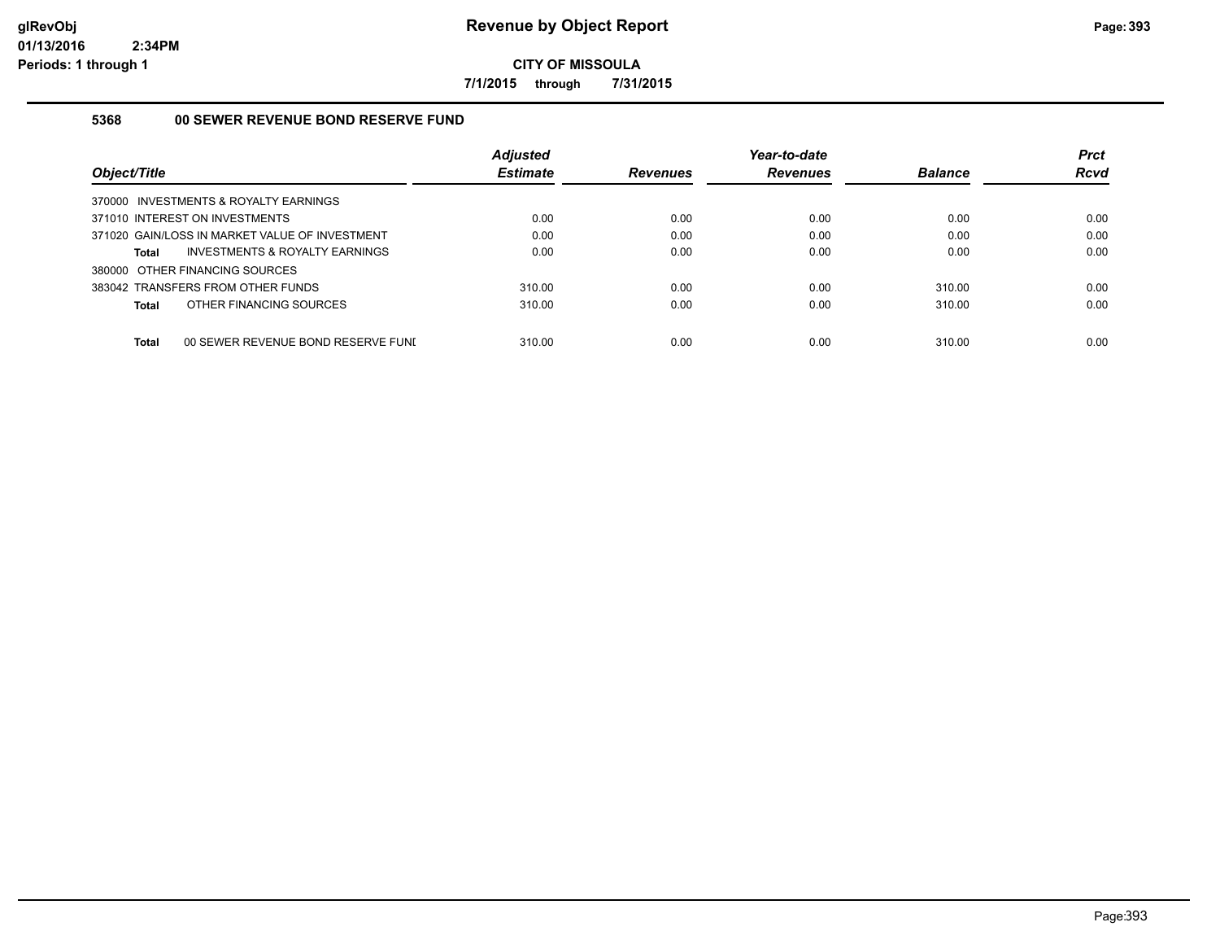**7/1/2015 through 7/31/2015**

#### **5368 00 SEWER REVENUE BOND RESERVE FUND**

| Object/Title                                       | <b>Adjusted</b><br><b>Estimate</b> | <b>Revenues</b> | Year-to-date<br><b>Revenues</b> | <b>Balance</b> | <b>Prct</b><br><b>Rcvd</b> |
|----------------------------------------------------|------------------------------------|-----------------|---------------------------------|----------------|----------------------------|
| 370000 INVESTMENTS & ROYALTY EARNINGS              |                                    |                 |                                 |                |                            |
| 371010 INTEREST ON INVESTMENTS                     | 0.00                               | 0.00            | 0.00                            | 0.00           | 0.00                       |
| 371020 GAIN/LOSS IN MARKET VALUE OF INVESTMENT     | 0.00                               | 0.00            | 0.00                            | 0.00           | 0.00                       |
| INVESTMENTS & ROYALTY EARNINGS<br><b>Total</b>     | 0.00                               | 0.00            | 0.00                            | 0.00           | 0.00                       |
| 380000 OTHER FINANCING SOURCES                     |                                    |                 |                                 |                |                            |
| 383042 TRANSFERS FROM OTHER FUNDS                  | 310.00                             | 0.00            | 0.00                            | 310.00         | 0.00                       |
| OTHER FINANCING SOURCES<br><b>Total</b>            | 310.00                             | 0.00            | 0.00                            | 310.00         | 0.00                       |
| 00 SEWER REVENUE BOND RESERVE FUNI<br><b>Total</b> | 310.00                             | 0.00            | 0.00                            | 310.00         | 0.00                       |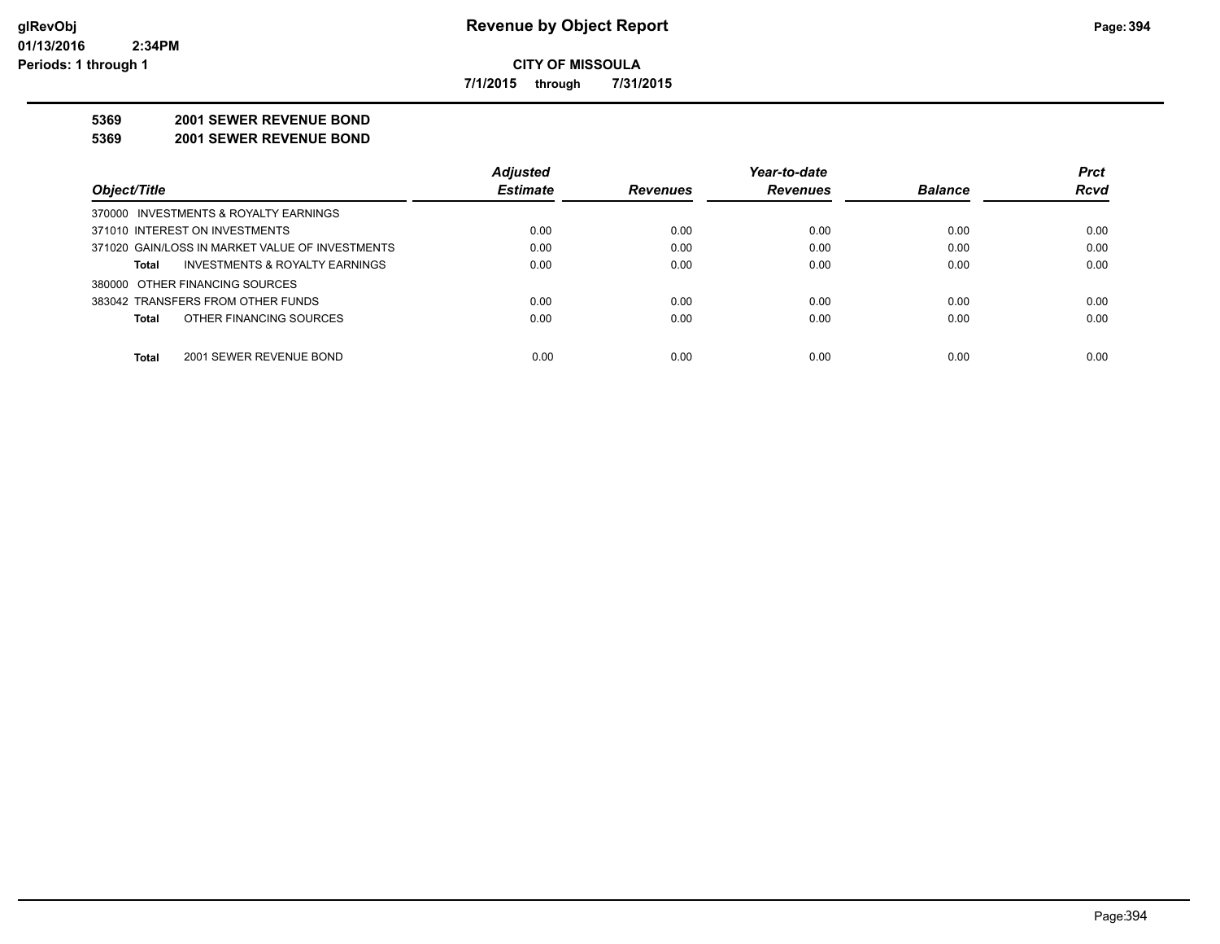**7/1/2015 through 7/31/2015**

#### **5369 2001 SEWER REVENUE BOND**

#### **5369 2001 SEWER REVENUE BOND**

|                                                 | <b>Adjusted</b> |                 | Year-to-date    |                | <b>Prct</b> |
|-------------------------------------------------|-----------------|-----------------|-----------------|----------------|-------------|
| Object/Title                                    | <b>Estimate</b> | <b>Revenues</b> | <b>Revenues</b> | <b>Balance</b> | <b>Rcvd</b> |
| 370000 INVESTMENTS & ROYALTY EARNINGS           | 0.00            |                 |                 |                |             |
| 371010 INTEREST ON INVESTMENTS                  |                 | 0.00            | 0.00            | 0.00           | 0.00        |
| 371020 GAIN/LOSS IN MARKET VALUE OF INVESTMENTS | 0.00            | 0.00            | 0.00            | 0.00           | 0.00        |
| INVESTMENTS & ROYALTY EARNINGS<br><b>Total</b>  | 0.00            | 0.00            | 0.00            | 0.00           | 0.00        |
| 380000 OTHER FINANCING SOURCES                  |                 |                 |                 |                |             |
| 383042 TRANSFERS FROM OTHER FUNDS               | 0.00            | 0.00            | 0.00            | 0.00           | 0.00        |
| OTHER FINANCING SOURCES<br><b>Total</b>         | 0.00            | 0.00            | 0.00            | 0.00           | 0.00        |
|                                                 |                 |                 |                 |                |             |
| <b>Total</b><br>2001 SEWER REVENUE BOND         | 0.00            | 0.00            | 0.00            | 0.00           | 0.00        |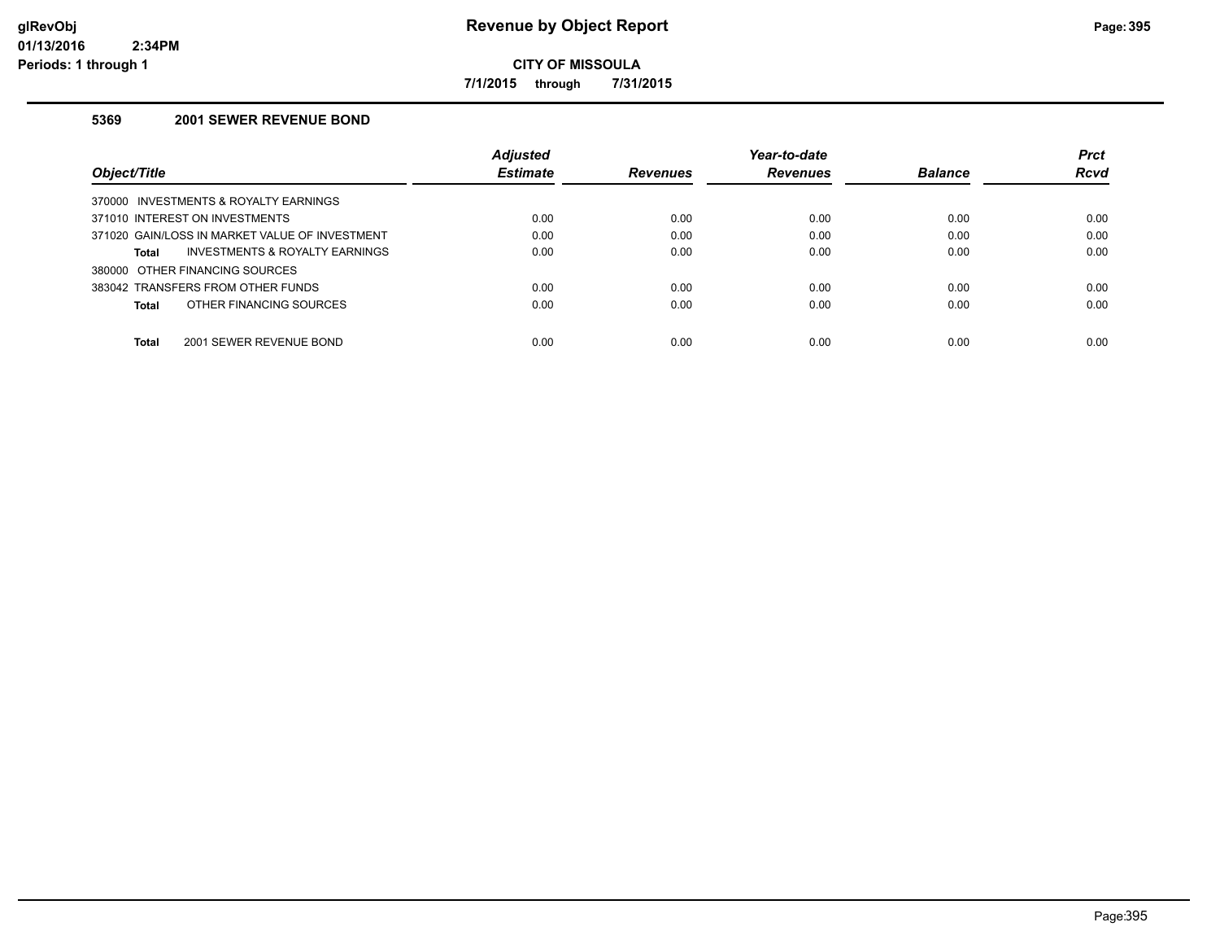**7/1/2015 through 7/31/2015**

#### **5369 2001 SEWER REVENUE BOND**

| <b>Adjusted</b> |                 | Year-to-date    |                | <b>Prct</b> |
|-----------------|-----------------|-----------------|----------------|-------------|
| <b>Estimate</b> | <b>Revenues</b> | <b>Revenues</b> | <b>Balance</b> | Rcvd        |
|                 |                 |                 |                |             |
| 0.00            | 0.00            | 0.00            | 0.00           | 0.00        |
| 0.00            | 0.00            | 0.00            | 0.00           | 0.00        |
| 0.00            | 0.00            | 0.00            | 0.00           | 0.00        |
|                 |                 |                 |                |             |
| 0.00            | 0.00            | 0.00            | 0.00           | 0.00        |
| 0.00            | 0.00            | 0.00            | 0.00           | 0.00        |
|                 |                 |                 |                | 0.00        |
|                 | 0.00            | 0.00            | 0.00           | 0.00        |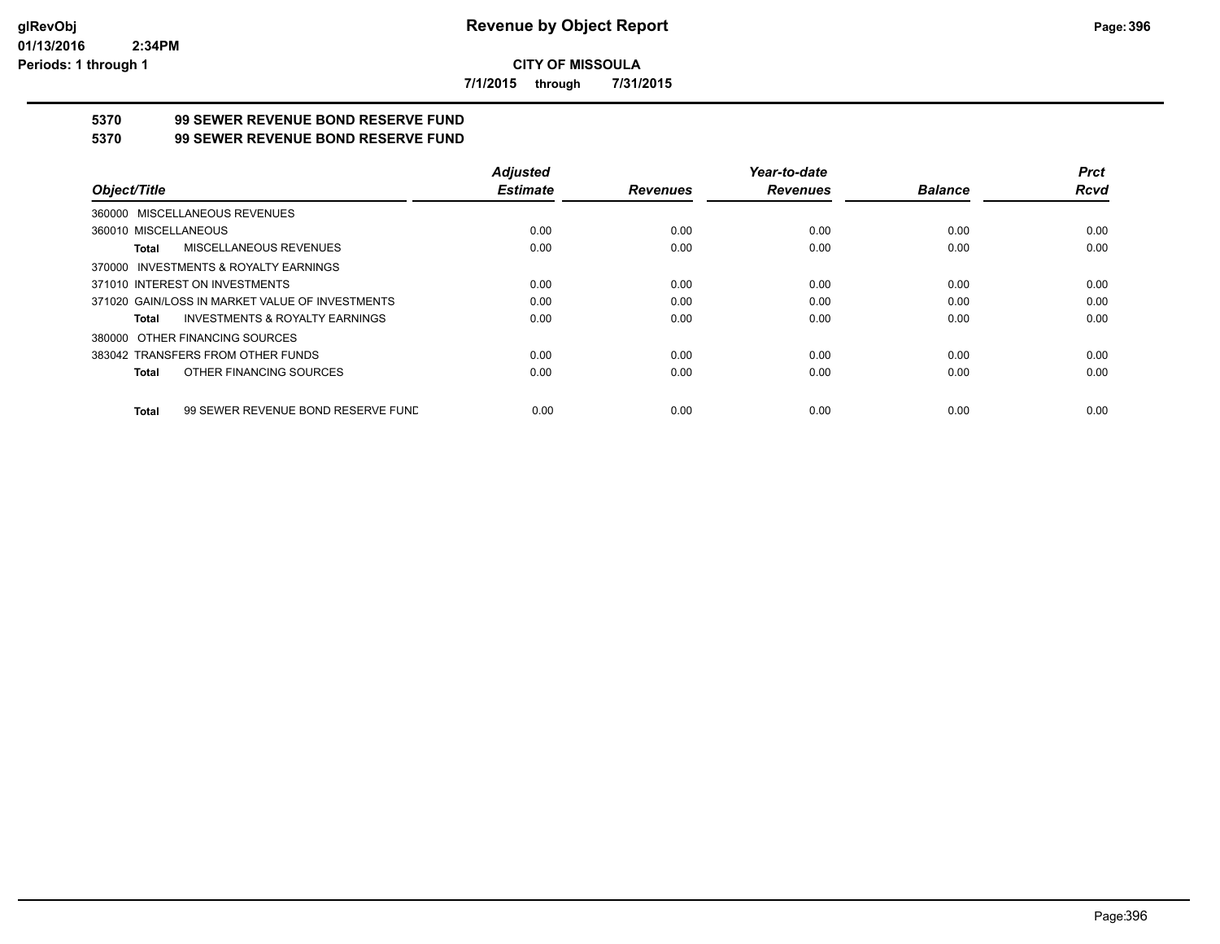**7/1/2015 through 7/31/2015**

## **5370 99 SEWER REVENUE BOND RESERVE FUND**

#### **5370 99 SEWER REVENUE BOND RESERVE FUND**

|                                                    | <b>Adjusted</b> |                 | Year-to-date    |                | <b>Prct</b> |
|----------------------------------------------------|-----------------|-----------------|-----------------|----------------|-------------|
| Object/Title                                       | <b>Estimate</b> | <b>Revenues</b> | <b>Revenues</b> | <b>Balance</b> | <b>Rcvd</b> |
| 360000 MISCELLANEOUS REVENUES                      |                 |                 |                 |                |             |
| 360010 MISCELLANEOUS                               | 0.00            | 0.00            | 0.00            | 0.00           | 0.00        |
| MISCELLANEOUS REVENUES<br>Total                    | 0.00            | 0.00            | 0.00            | 0.00           | 0.00        |
| 370000 INVESTMENTS & ROYALTY EARNINGS              |                 |                 |                 |                |             |
| 371010 INTEREST ON INVESTMENTS                     | 0.00            | 0.00            | 0.00            | 0.00           | 0.00        |
| 371020 GAIN/LOSS IN MARKET VALUE OF INVESTMENTS    | 0.00            | 0.00            | 0.00            | 0.00           | 0.00        |
| <b>INVESTMENTS &amp; ROYALTY EARNINGS</b><br>Total | 0.00            | 0.00            | 0.00            | 0.00           | 0.00        |
| 380000 OTHER FINANCING SOURCES                     |                 |                 |                 |                |             |
| 383042 TRANSFERS FROM OTHER FUNDS                  | 0.00            | 0.00            | 0.00            | 0.00           | 0.00        |
| OTHER FINANCING SOURCES<br>Total                   | 0.00            | 0.00            | 0.00            | 0.00           | 0.00        |
| 99 SEWER REVENUE BOND RESERVE FUND<br>Total        | 0.00            | 0.00            | 0.00            | 0.00           | 0.00        |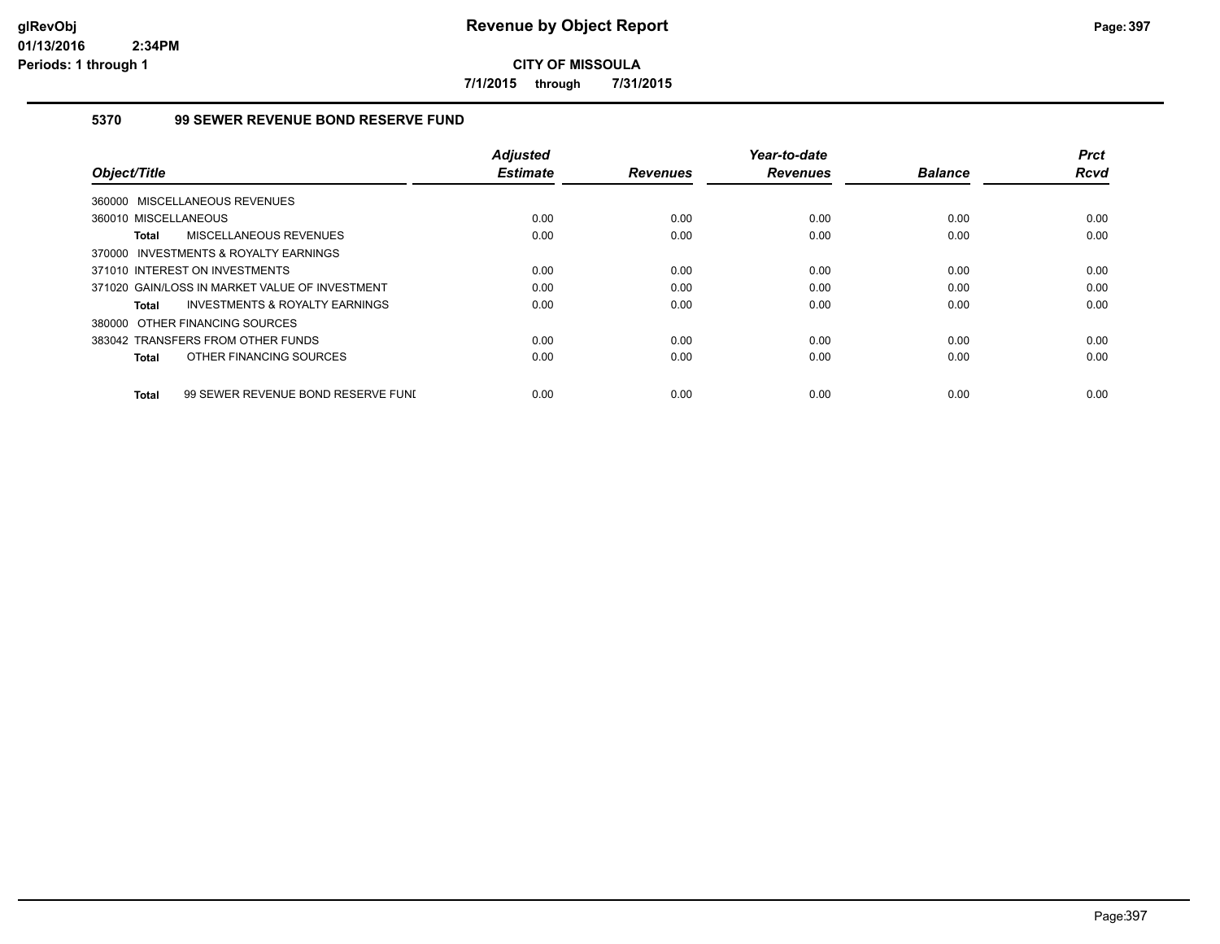**7/1/2015 through 7/31/2015**

## **5370 99 SEWER REVENUE BOND RESERVE FUND**

|                                                    | <b>Adjusted</b> |                 | Year-to-date    |                | <b>Prct</b> |
|----------------------------------------------------|-----------------|-----------------|-----------------|----------------|-------------|
| Object/Title                                       | <b>Estimate</b> | <b>Revenues</b> | <b>Revenues</b> | <b>Balance</b> | <b>Rcvd</b> |
| 360000 MISCELLANEOUS REVENUES                      |                 |                 |                 |                |             |
| 360010 MISCELLANEOUS                               | 0.00            | 0.00            | 0.00            | 0.00           | 0.00        |
| MISCELLANEOUS REVENUES<br>Total                    | 0.00            | 0.00            | 0.00            | 0.00           | 0.00        |
| 370000 INVESTMENTS & ROYALTY EARNINGS              |                 |                 |                 |                |             |
| 371010 INTEREST ON INVESTMENTS                     | 0.00            | 0.00            | 0.00            | 0.00           | 0.00        |
| 371020 GAIN/LOSS IN MARKET VALUE OF INVESTMENT     | 0.00            | 0.00            | 0.00            | 0.00           | 0.00        |
| <b>INVESTMENTS &amp; ROYALTY EARNINGS</b><br>Total | 0.00            | 0.00            | 0.00            | 0.00           | 0.00        |
| 380000 OTHER FINANCING SOURCES                     |                 |                 |                 |                |             |
| 383042 TRANSFERS FROM OTHER FUNDS                  | 0.00            | 0.00            | 0.00            | 0.00           | 0.00        |
| OTHER FINANCING SOURCES<br>Total                   | 0.00            | 0.00            | 0.00            | 0.00           | 0.00        |
|                                                    |                 |                 |                 |                |             |
| 99 SEWER REVENUE BOND RESERVE FUNI<br>Total        | 0.00            | 0.00            | 0.00            | 0.00           | 0.00        |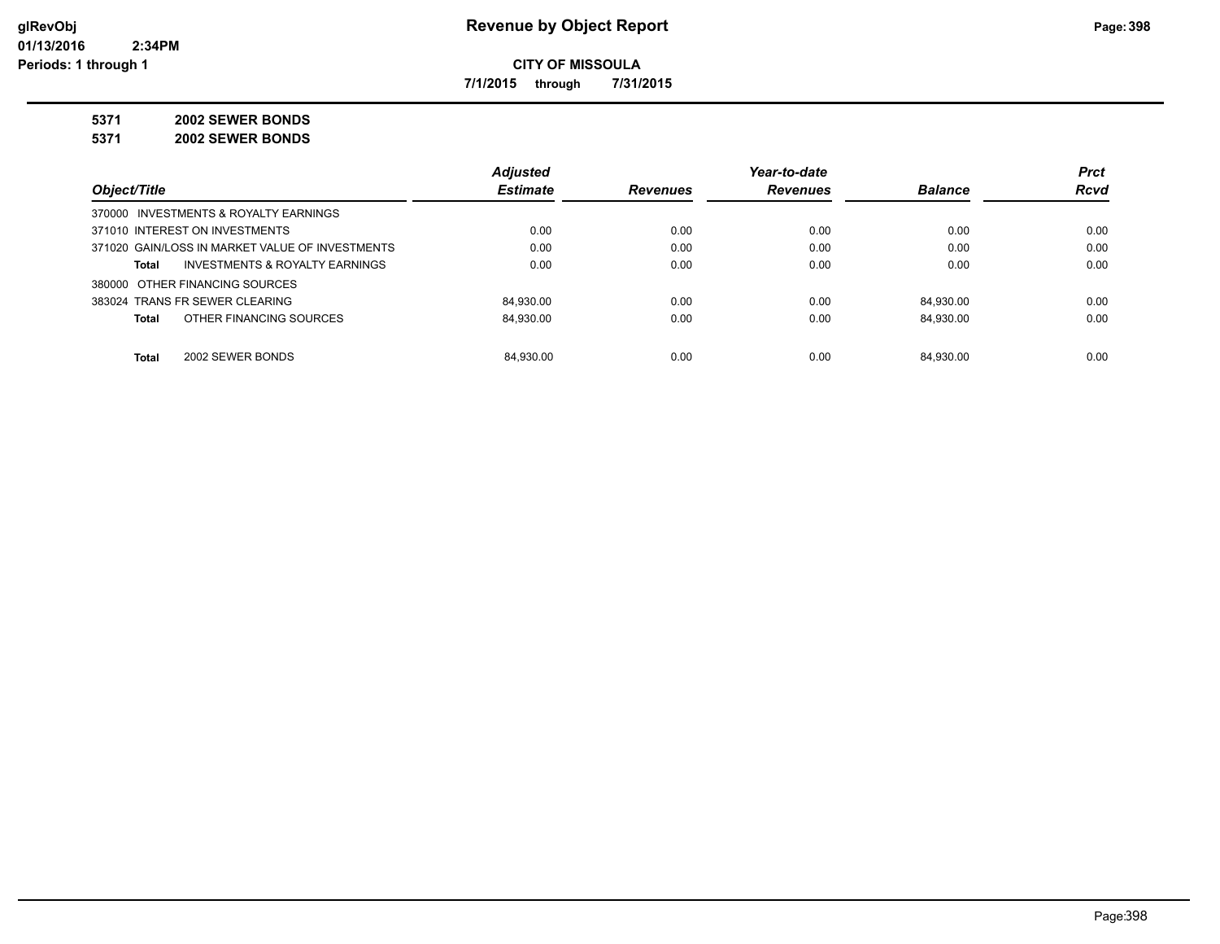**7/1/2015 through 7/31/2015**

**5371 2002 SEWER BONDS**

**5371 2002 SEWER BONDS**

|                                                    | <b>Adjusted</b> |                 | Year-to-date    |                | <b>Prct</b> |
|----------------------------------------------------|-----------------|-----------------|-----------------|----------------|-------------|
| Object/Title                                       | <b>Estimate</b> | <b>Revenues</b> | <b>Revenues</b> | <b>Balance</b> | <b>Rcvd</b> |
| 370000 INVESTMENTS & ROYALTY EARNINGS              |                 |                 |                 |                |             |
| 371010 INTEREST ON INVESTMENTS                     | 0.00            | 0.00            | 0.00            | 0.00           | 0.00        |
| 371020 GAIN/LOSS IN MARKET VALUE OF INVESTMENTS    | 0.00            | 0.00            | 0.00            | 0.00           | 0.00        |
| <b>INVESTMENTS &amp; ROYALTY EARNINGS</b><br>Total | 0.00            | 0.00            | 0.00            | 0.00           | 0.00        |
| 380000 OTHER FINANCING SOURCES                     |                 |                 |                 |                |             |
| 383024 TRANS FR SEWER CLEARING                     | 84.930.00       | 0.00            | 0.00            | 84.930.00      | 0.00        |
| OTHER FINANCING SOURCES<br>Total                   | 84.930.00       | 0.00            | 0.00            | 84.930.00      | 0.00        |
|                                                    |                 |                 |                 |                |             |
| 2002 SEWER BONDS<br>Total                          | 84.930.00       | 0.00            | 0.00            | 84.930.00      | 0.00        |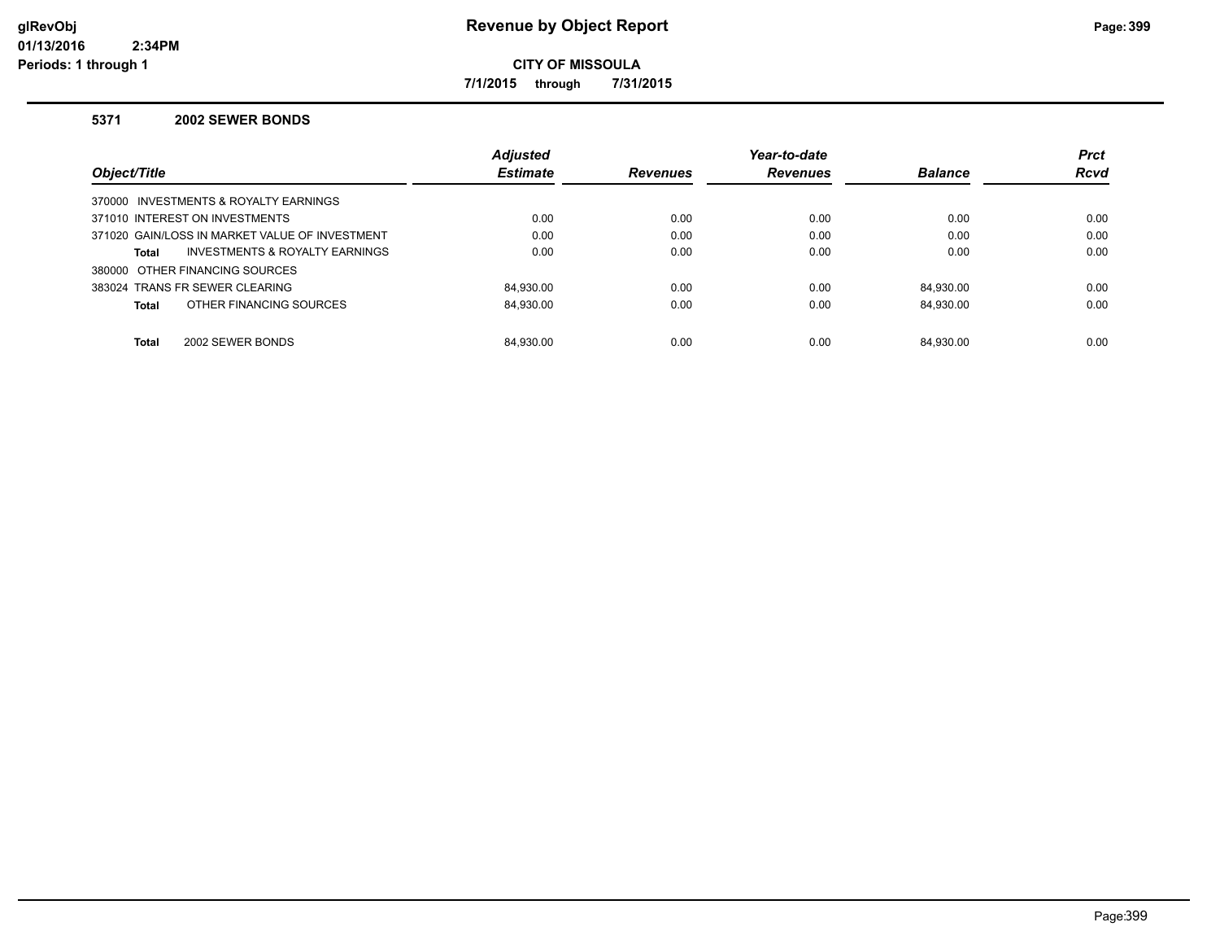**7/1/2015 through 7/31/2015**

#### **5371 2002 SEWER BONDS**

|                                                | <b>Adjusted</b> |                 | Year-to-date    |                | <b>Prct</b> |
|------------------------------------------------|-----------------|-----------------|-----------------|----------------|-------------|
| Object/Title                                   | <b>Estimate</b> | <b>Revenues</b> | <b>Revenues</b> | <b>Balance</b> | <b>Rcvd</b> |
| 370000 INVESTMENTS & ROYALTY EARNINGS          |                 |                 |                 |                |             |
| 371010 INTEREST ON INVESTMENTS                 | 0.00            | 0.00            | 0.00            | 0.00           | 0.00        |
| 371020 GAIN/LOSS IN MARKET VALUE OF INVESTMENT | 0.00            | 0.00            | 0.00            | 0.00           | 0.00        |
| INVESTMENTS & ROYALTY EARNINGS<br>Total        | 0.00            | 0.00            | 0.00            | 0.00           | 0.00        |
| 380000 OTHER FINANCING SOURCES                 |                 |                 |                 |                |             |
| 383024 TRANS FR SEWER CLEARING                 | 84.930.00       | 0.00            | 0.00            | 84.930.00      | 0.00        |
| OTHER FINANCING SOURCES<br><b>Total</b>        | 84.930.00       | 0.00            | 0.00            | 84.930.00      | 0.00        |
|                                                |                 |                 |                 |                |             |
| 2002 SEWER BONDS<br><b>Total</b>               | 84.930.00       | 0.00            | 0.00            | 84.930.00      | 0.00        |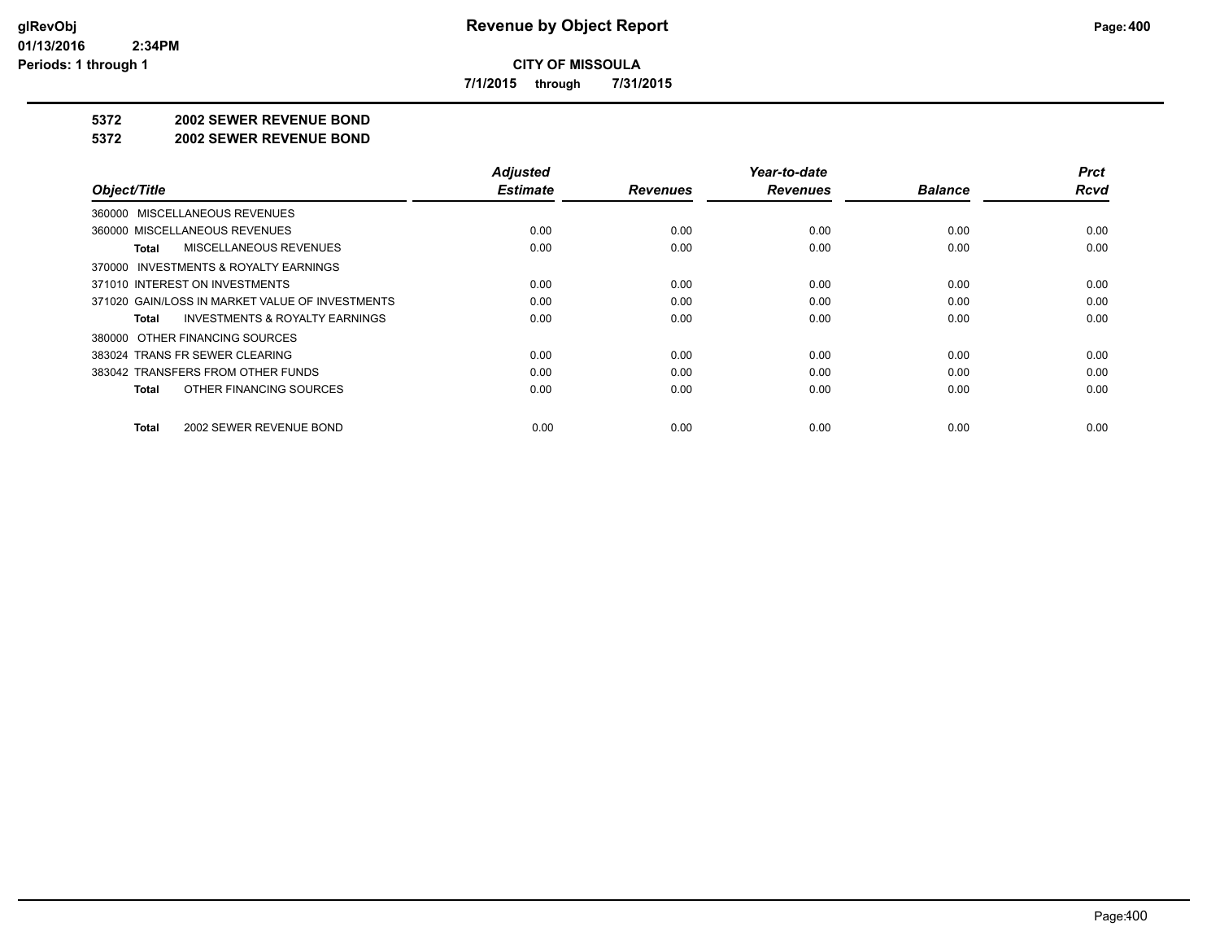**7/1/2015 through 7/31/2015**

#### **5372 2002 SEWER REVENUE BOND**

#### **5372 2002 SEWER REVENUE BOND**

| Object/Title                                       | <b>Adjusted</b><br><b>Estimate</b> | <b>Revenues</b> | Year-to-date<br><b>Revenues</b> | <b>Balance</b> | <b>Prct</b><br><b>Rcvd</b> |
|----------------------------------------------------|------------------------------------|-----------------|---------------------------------|----------------|----------------------------|
|                                                    |                                    |                 |                                 |                |                            |
| 360000 MISCELLANEOUS REVENUES                      |                                    |                 |                                 |                |                            |
| 360000 MISCELLANEOUS REVENUES                      | 0.00                               | 0.00            | 0.00                            | 0.00           | 0.00                       |
| <b>MISCELLANEOUS REVENUES</b><br>Total             | 0.00                               | 0.00            | 0.00                            | 0.00           | 0.00                       |
| 370000 INVESTMENTS & ROYALTY EARNINGS              |                                    |                 |                                 |                |                            |
| 371010 INTEREST ON INVESTMENTS                     | 0.00                               | 0.00            | 0.00                            | 0.00           | 0.00                       |
| 371020 GAIN/LOSS IN MARKET VALUE OF INVESTMENTS    | 0.00                               | 0.00            | 0.00                            | 0.00           | 0.00                       |
| <b>INVESTMENTS &amp; ROYALTY EARNINGS</b><br>Total | 0.00                               | 0.00            | 0.00                            | 0.00           | 0.00                       |
| 380000 OTHER FINANCING SOURCES                     |                                    |                 |                                 |                |                            |
| 383024 TRANS FR SEWER CLEARING                     | 0.00                               | 0.00            | 0.00                            | 0.00           | 0.00                       |
| 383042 TRANSFERS FROM OTHER FUNDS                  | 0.00                               | 0.00            | 0.00                            | 0.00           | 0.00                       |
| OTHER FINANCING SOURCES<br>Total                   | 0.00                               | 0.00            | 0.00                            | 0.00           | 0.00                       |
| 2002 SEWER REVENUE BOND<br>Total                   | 0.00                               | 0.00            | 0.00                            | 0.00           | 0.00                       |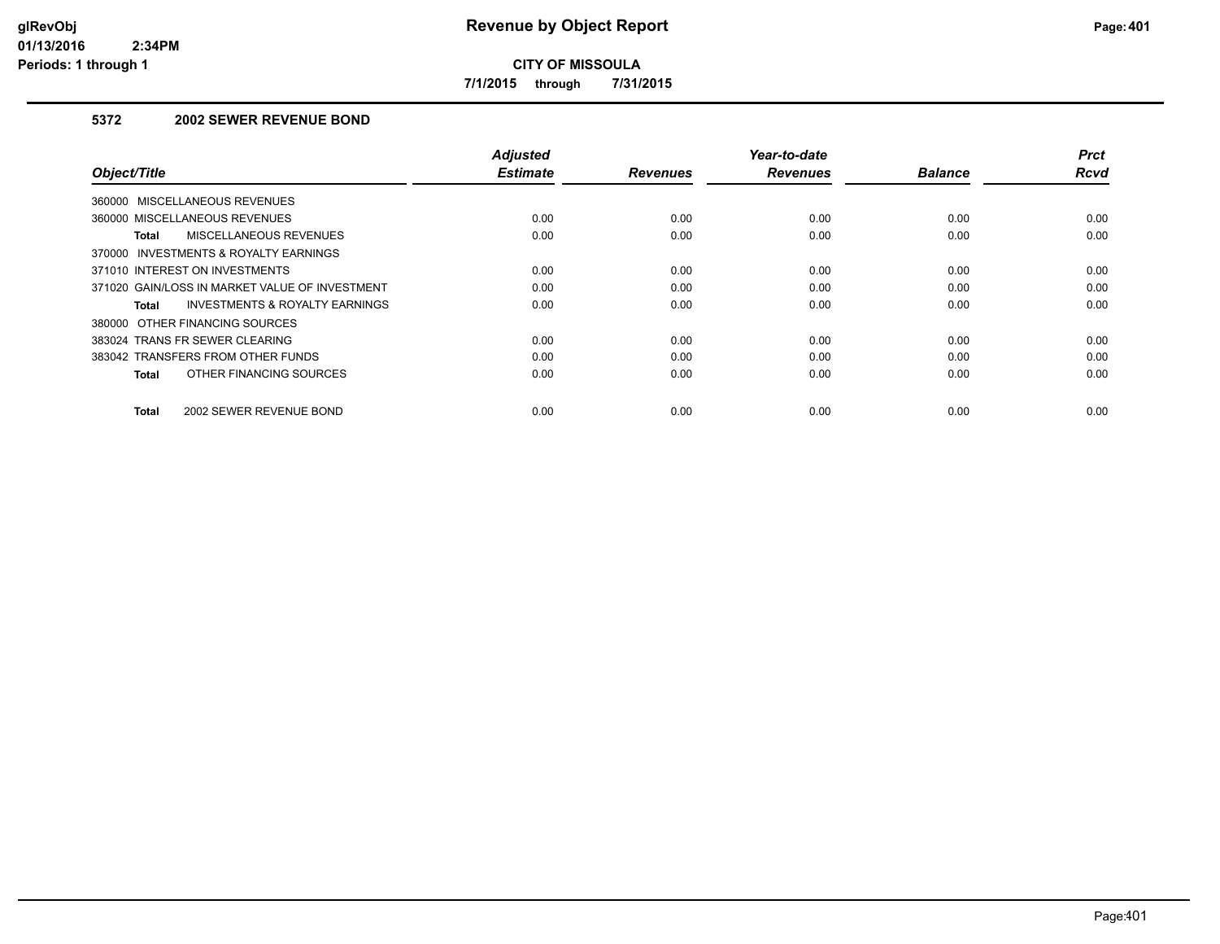**7/1/2015 through 7/31/2015**

## **5372 2002 SEWER REVENUE BOND**

| Object/Title                                   | <b>Adjusted</b><br><b>Estimate</b> | <b>Revenues</b> | Year-to-date<br><b>Revenues</b> | <b>Balance</b> | <b>Prct</b><br>Rcvd |
|------------------------------------------------|------------------------------------|-----------------|---------------------------------|----------------|---------------------|
| 360000 MISCELLANEOUS REVENUES                  |                                    |                 |                                 |                |                     |
| 360000 MISCELLANEOUS REVENUES                  | 0.00                               | 0.00            | 0.00                            | 0.00           | 0.00                |
| MISCELLANEOUS REVENUES<br>Total                | 0.00                               | 0.00            | 0.00                            | 0.00           | 0.00                |
| 370000 INVESTMENTS & ROYALTY EARNINGS          |                                    |                 |                                 |                |                     |
| 371010 INTEREST ON INVESTMENTS                 | 0.00                               | 0.00            | 0.00                            | 0.00           | 0.00                |
| 371020 GAIN/LOSS IN MARKET VALUE OF INVESTMENT | 0.00                               | 0.00            | 0.00                            | 0.00           | 0.00                |
| INVESTMENTS & ROYALTY EARNINGS<br>Total        | 0.00                               | 0.00            | 0.00                            | 0.00           | 0.00                |
| 380000 OTHER FINANCING SOURCES                 |                                    |                 |                                 |                |                     |
| 383024 TRANS FR SEWER CLEARING                 | 0.00                               | 0.00            | 0.00                            | 0.00           | 0.00                |
| 383042 TRANSFERS FROM OTHER FUNDS              | 0.00                               | 0.00            | 0.00                            | 0.00           | 0.00                |
| OTHER FINANCING SOURCES<br><b>Total</b>        | 0.00                               | 0.00            | 0.00                            | 0.00           | 0.00                |
| 2002 SEWER REVENUE BOND<br><b>Total</b>        | 0.00                               | 0.00            | 0.00                            | 0.00           | 0.00                |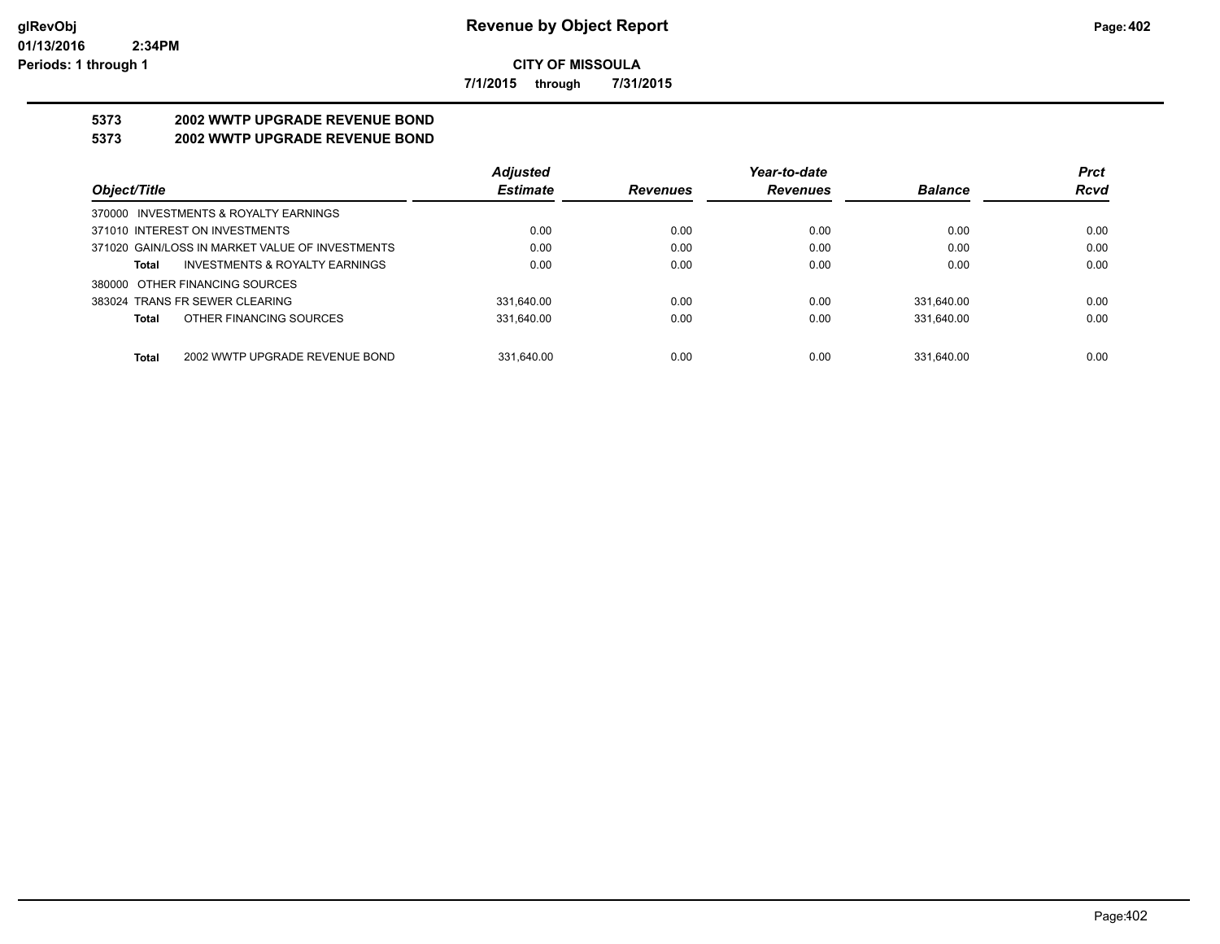**7/1/2015 through 7/31/2015**

## **5373 2002 WWTP UPGRADE REVENUE BOND**

## **5373 2002 WWTP UPGRADE REVENUE BOND**

|                                                 | <b>Adjusted</b> |                 | Year-to-date    |                | <b>Prct</b> |
|-------------------------------------------------|-----------------|-----------------|-----------------|----------------|-------------|
| Object/Title                                    | <b>Estimate</b> | <b>Revenues</b> | <b>Revenues</b> | <b>Balance</b> | <b>Rcvd</b> |
| 370000 INVESTMENTS & ROYALTY EARNINGS           |                 |                 |                 |                |             |
| 371010 INTEREST ON INVESTMENTS                  | 0.00            | 0.00            | 0.00            | 0.00           | 0.00        |
| 371020 GAIN/LOSS IN MARKET VALUE OF INVESTMENTS | 0.00            | 0.00            | 0.00            | 0.00           | 0.00        |
| INVESTMENTS & ROYALTY EARNINGS<br>Total         | 0.00            | 0.00            | 0.00            | 0.00           | 0.00        |
| 380000 OTHER FINANCING SOURCES                  |                 |                 |                 |                |             |
| 383024 TRANS FR SEWER CLEARING                  | 331.640.00      | 0.00            | 0.00            | 331.640.00     | 0.00        |
| OTHER FINANCING SOURCES<br>Total                | 331.640.00      | 0.00            | 0.00            | 331.640.00     | 0.00        |
|                                                 |                 |                 |                 |                |             |
| 2002 WWTP UPGRADE REVENUE BOND<br><b>Total</b>  | 331.640.00      | 0.00            | 0.00            | 331.640.00     | 0.00        |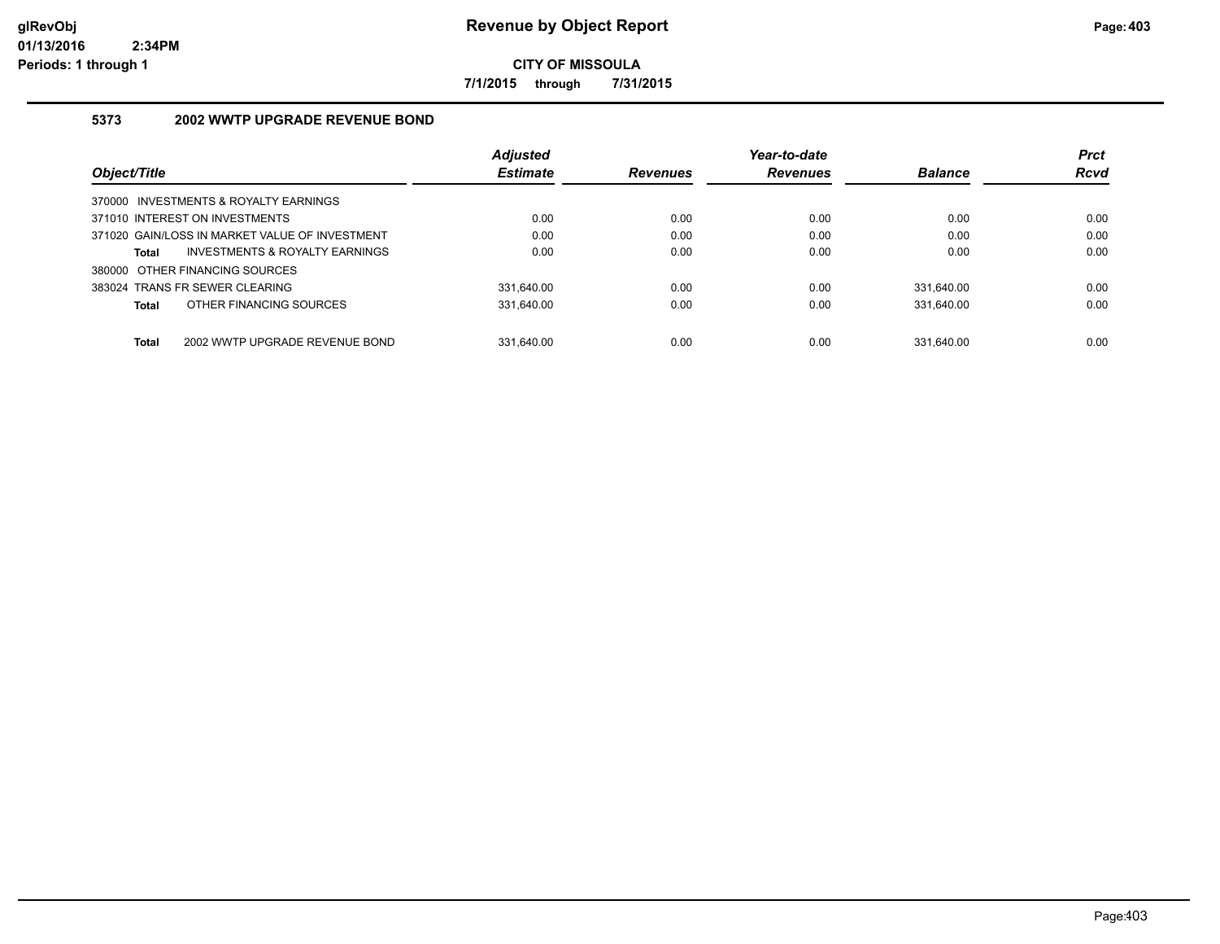**7/1/2015 through 7/31/2015**

## **5373 2002 WWTP UPGRADE REVENUE BOND**

|                                                | <b>Adjusted</b> |                 | Year-to-date    |                | <b>Prct</b> |
|------------------------------------------------|-----------------|-----------------|-----------------|----------------|-------------|
| Object/Title                                   | <b>Estimate</b> | <b>Revenues</b> | <b>Revenues</b> | <b>Balance</b> | <b>Rcvd</b> |
| 370000 INVESTMENTS & ROYALTY EARNINGS          |                 |                 |                 |                |             |
| 371010 INTEREST ON INVESTMENTS                 | 0.00            | 0.00            | 0.00            | 0.00           | 0.00        |
| 371020 GAIN/LOSS IN MARKET VALUE OF INVESTMENT | 0.00            | 0.00            | 0.00            | 0.00           | 0.00        |
| INVESTMENTS & ROYALTY EARNINGS<br><b>Total</b> | 0.00            | 0.00            | 0.00            | 0.00           | 0.00        |
| 380000 OTHER FINANCING SOURCES                 |                 |                 |                 |                |             |
| 383024 TRANS FR SEWER CLEARING                 | 331.640.00      | 0.00            | 0.00            | 331.640.00     | 0.00        |
| OTHER FINANCING SOURCES<br><b>Total</b>        | 331.640.00      | 0.00            | 0.00            | 331.640.00     | 0.00        |
|                                                |                 |                 |                 |                |             |
| <b>Total</b><br>2002 WWTP UPGRADE REVENUE BOND | 331.640.00      | 0.00            | 0.00            | 331.640.00     | 0.00        |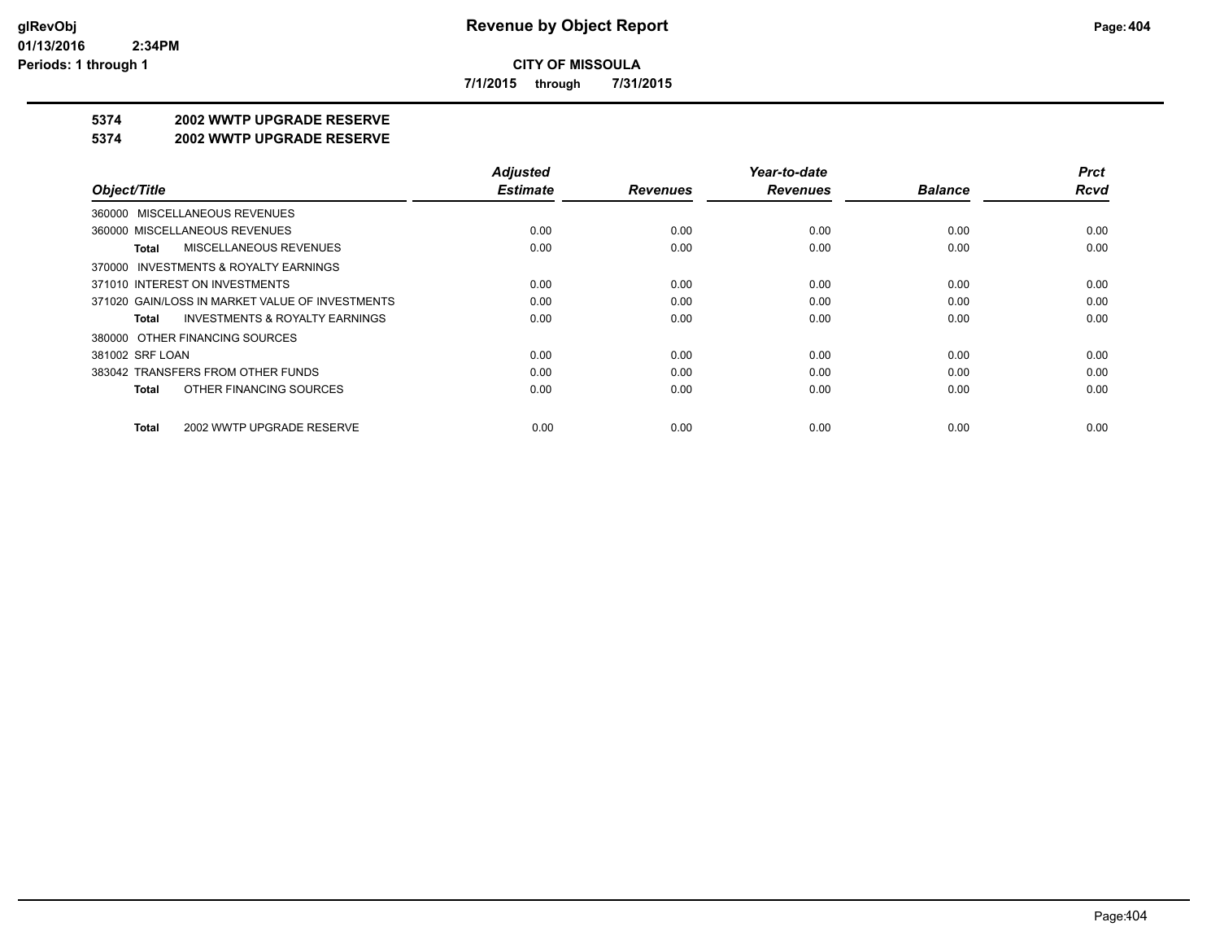**7/1/2015 through 7/31/2015**

## **5374 2002 WWTP UPGRADE RESERVE**

#### **5374 2002 WWTP UPGRADE RESERVE**

|                                                    | <b>Adjusted</b> |                 | Year-to-date    |                | <b>Prct</b> |
|----------------------------------------------------|-----------------|-----------------|-----------------|----------------|-------------|
| Object/Title                                       | <b>Estimate</b> | <b>Revenues</b> | <b>Revenues</b> | <b>Balance</b> | <b>Rcvd</b> |
| 360000 MISCELLANEOUS REVENUES                      |                 |                 |                 |                |             |
| 360000 MISCELLANEOUS REVENUES                      | 0.00            | 0.00            | 0.00            | 0.00           | 0.00        |
| <b>MISCELLANEOUS REVENUES</b><br>Total             | 0.00            | 0.00            | 0.00            | 0.00           | 0.00        |
| 370000 INVESTMENTS & ROYALTY EARNINGS              |                 |                 |                 |                |             |
| 371010 INTEREST ON INVESTMENTS                     | 0.00            | 0.00            | 0.00            | 0.00           | 0.00        |
| 371020 GAIN/LOSS IN MARKET VALUE OF INVESTMENTS    | 0.00            | 0.00            | 0.00            | 0.00           | 0.00        |
| <b>INVESTMENTS &amp; ROYALTY EARNINGS</b><br>Total | 0.00            | 0.00            | 0.00            | 0.00           | 0.00        |
| 380000 OTHER FINANCING SOURCES                     |                 |                 |                 |                |             |
| 381002 SRF LOAN                                    | 0.00            | 0.00            | 0.00            | 0.00           | 0.00        |
| 383042 TRANSFERS FROM OTHER FUNDS                  | 0.00            | 0.00            | 0.00            | 0.00           | 0.00        |
| OTHER FINANCING SOURCES<br>Total                   | 0.00            | 0.00            | 0.00            | 0.00           | 0.00        |
| 2002 WWTP UPGRADE RESERVE<br>Total                 | 0.00            | 0.00            | 0.00            | 0.00           | 0.00        |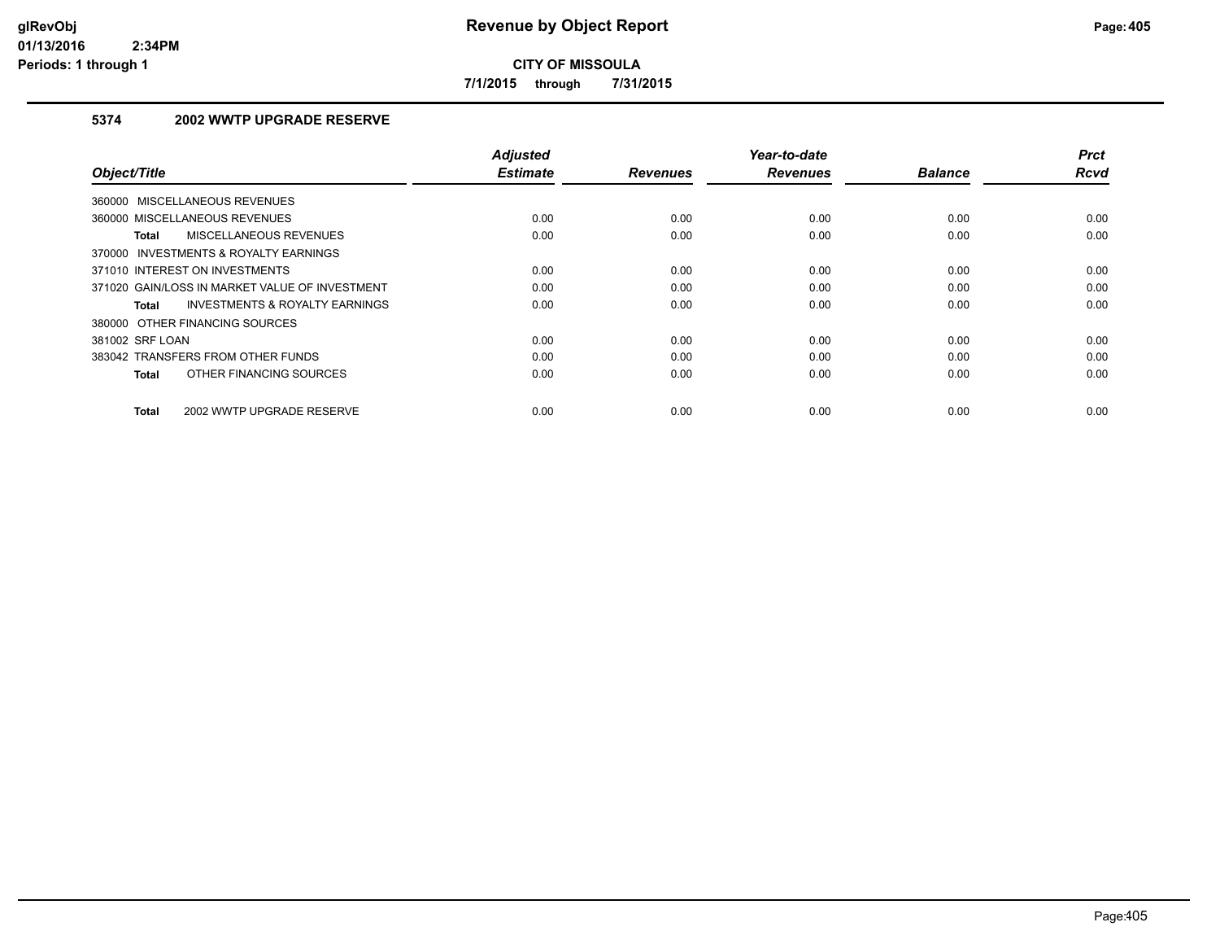**7/1/2015 through 7/31/2015**

## **5374 2002 WWTP UPGRADE RESERVE**

| Object/Title                                   | <b>Adjusted</b><br><b>Estimate</b> | <b>Revenues</b> | Year-to-date<br><b>Revenues</b> | <b>Balance</b> | <b>Prct</b><br><b>Rcvd</b> |
|------------------------------------------------|------------------------------------|-----------------|---------------------------------|----------------|----------------------------|
| 360000 MISCELLANEOUS REVENUES                  |                                    |                 |                                 |                |                            |
| 360000 MISCELLANEOUS REVENUES                  | 0.00                               | 0.00            | 0.00                            | 0.00           | 0.00                       |
| MISCELLANEOUS REVENUES<br>Total                | 0.00                               | 0.00            | 0.00                            | 0.00           | 0.00                       |
| 370000 INVESTMENTS & ROYALTY EARNINGS          |                                    |                 |                                 |                |                            |
| 371010 INTEREST ON INVESTMENTS                 | 0.00                               | 0.00            | 0.00                            | 0.00           | 0.00                       |
| 371020 GAIN/LOSS IN MARKET VALUE OF INVESTMENT | 0.00                               | 0.00            | 0.00                            | 0.00           | 0.00                       |
| INVESTMENTS & ROYALTY EARNINGS<br>Total        | 0.00                               | 0.00            | 0.00                            | 0.00           | 0.00                       |
| 380000 OTHER FINANCING SOURCES                 |                                    |                 |                                 |                |                            |
| 381002 SRF LOAN                                | 0.00                               | 0.00            | 0.00                            | 0.00           | 0.00                       |
| 383042 TRANSFERS FROM OTHER FUNDS              | 0.00                               | 0.00            | 0.00                            | 0.00           | 0.00                       |
| OTHER FINANCING SOURCES<br><b>Total</b>        | 0.00                               | 0.00            | 0.00                            | 0.00           | 0.00                       |
| 2002 WWTP UPGRADE RESERVE<br><b>Total</b>      | 0.00                               | 0.00            | 0.00                            | 0.00           | 0.00                       |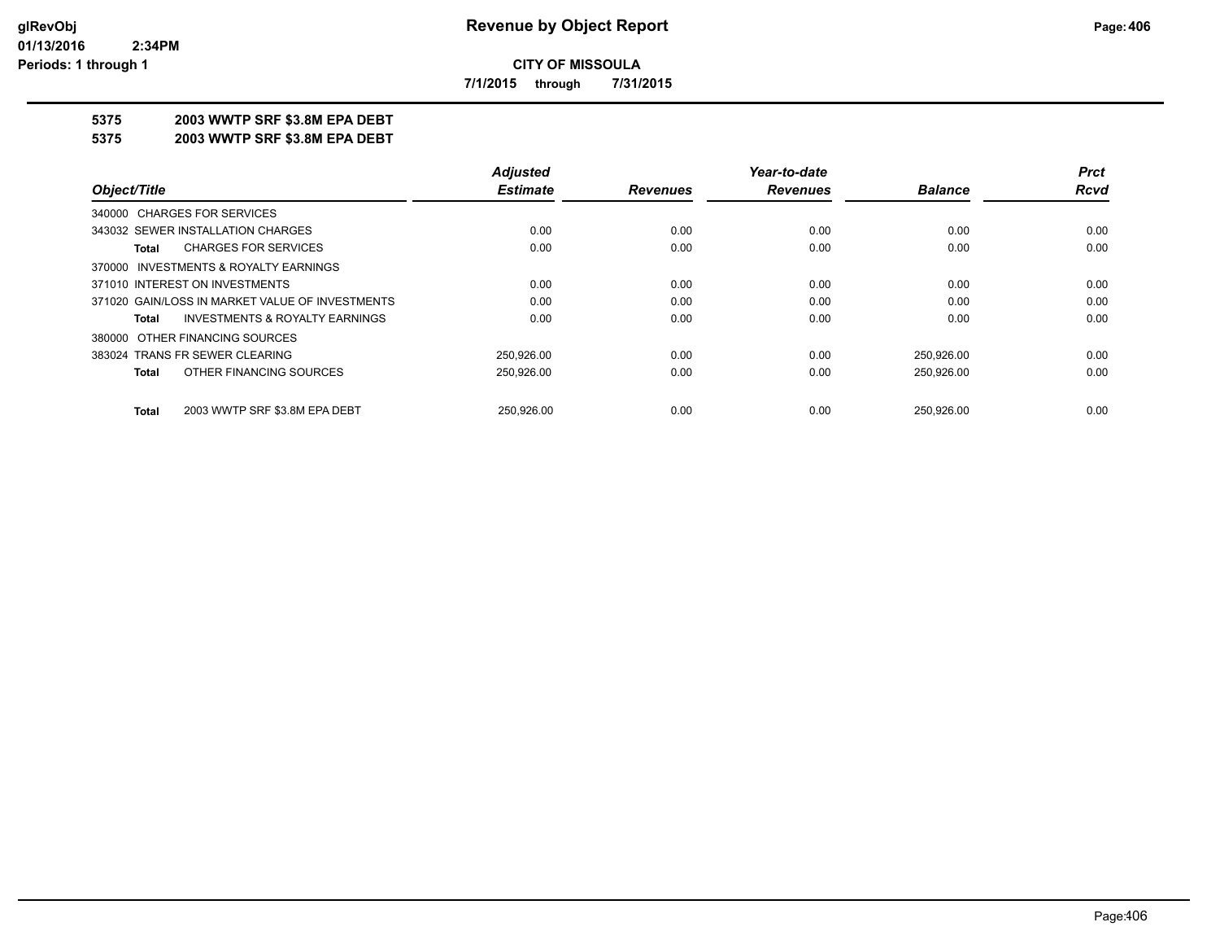**7/1/2015 through 7/31/2015**

## **5375 2003 WWTP SRF \$3.8M EPA DEBT**

#### **5375 2003 WWTP SRF \$3.8M EPA DEBT**

|                                                 | <b>Adjusted</b> |                 | Year-to-date    |                | <b>Prct</b> |
|-------------------------------------------------|-----------------|-----------------|-----------------|----------------|-------------|
| Object/Title                                    | <b>Estimate</b> | <b>Revenues</b> | <b>Revenues</b> | <b>Balance</b> | <b>Rcvd</b> |
| 340000 CHARGES FOR SERVICES                     |                 |                 |                 |                |             |
| 343032 SEWER INSTALLATION CHARGES               | 0.00            | 0.00            | 0.00            | 0.00           | 0.00        |
| <b>CHARGES FOR SERVICES</b><br>Total            | 0.00            | 0.00            | 0.00            | 0.00           | 0.00        |
| 370000 INVESTMENTS & ROYALTY EARNINGS           |                 |                 |                 |                |             |
| 371010 INTEREST ON INVESTMENTS                  | 0.00            | 0.00            | 0.00            | 0.00           | 0.00        |
| 371020 GAIN/LOSS IN MARKET VALUE OF INVESTMENTS | 0.00            | 0.00            | 0.00            | 0.00           | 0.00        |
| INVESTMENTS & ROYALTY EARNINGS<br>Total         | 0.00            | 0.00            | 0.00            | 0.00           | 0.00        |
| 380000 OTHER FINANCING SOURCES                  |                 |                 |                 |                |             |
| 383024 TRANS FR SEWER CLEARING                  | 250.926.00      | 0.00            | 0.00            | 250.926.00     | 0.00        |
| OTHER FINANCING SOURCES<br>Total                | 250,926.00      | 0.00            | 0.00            | 250,926.00     | 0.00        |
| 2003 WWTP SRF \$3.8M EPA DEBT<br>Total          | 250.926.00      | 0.00            | 0.00            | 250.926.00     | 0.00        |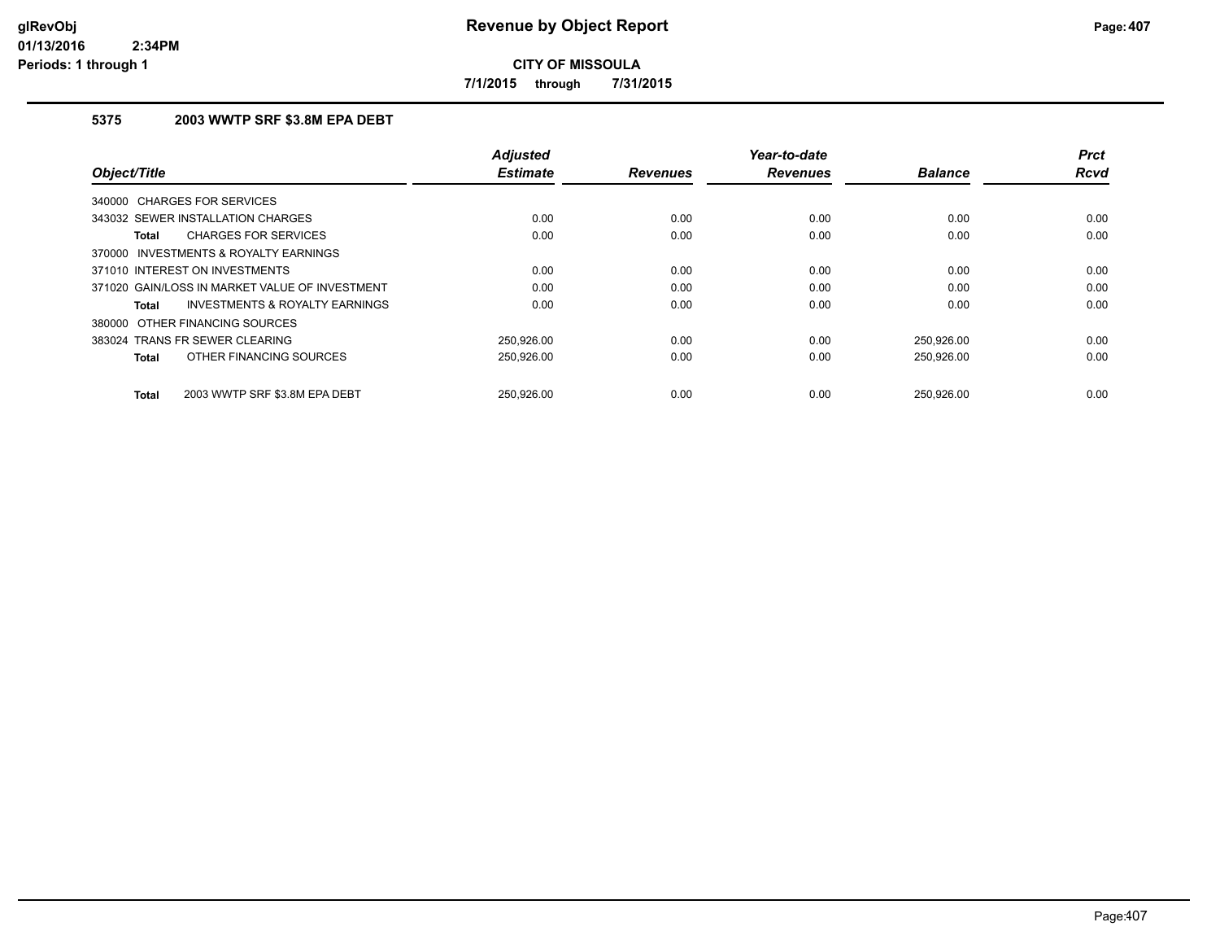**7/1/2015 through 7/31/2015**

## **5375 2003 WWTP SRF \$3.8M EPA DEBT**

|                                                    | <b>Adjusted</b> |                 | Year-to-date    |                | <b>Prct</b> |
|----------------------------------------------------|-----------------|-----------------|-----------------|----------------|-------------|
| Object/Title                                       | <b>Estimate</b> | <b>Revenues</b> | <b>Revenues</b> | <b>Balance</b> | <b>Rcvd</b> |
| <b>CHARGES FOR SERVICES</b><br>340000              |                 |                 |                 |                |             |
| 343032 SEWER INSTALLATION CHARGES                  | 0.00            | 0.00            | 0.00            | 0.00           | 0.00        |
| <b>CHARGES FOR SERVICES</b><br>Total               | 0.00            | 0.00            | 0.00            | 0.00           | 0.00        |
| 370000 INVESTMENTS & ROYALTY EARNINGS              |                 |                 |                 |                |             |
| 371010 INTEREST ON INVESTMENTS                     | 0.00            | 0.00            | 0.00            | 0.00           | 0.00        |
| 371020 GAIN/LOSS IN MARKET VALUE OF INVESTMENT     | 0.00            | 0.00            | 0.00            | 0.00           | 0.00        |
| <b>INVESTMENTS &amp; ROYALTY EARNINGS</b><br>Total | 0.00            | 0.00            | 0.00            | 0.00           | 0.00        |
| 380000 OTHER FINANCING SOURCES                     |                 |                 |                 |                |             |
| 383024 TRANS FR SEWER CLEARING                     | 250.926.00      | 0.00            | 0.00            | 250.926.00     | 0.00        |
| OTHER FINANCING SOURCES<br>Total                   | 250,926.00      | 0.00            | 0.00            | 250,926.00     | 0.00        |
| 2003 WWTP SRF \$3.8M EPA DEBT<br><b>Total</b>      | 250.926.00      | 0.00            | 0.00            | 250.926.00     | 0.00        |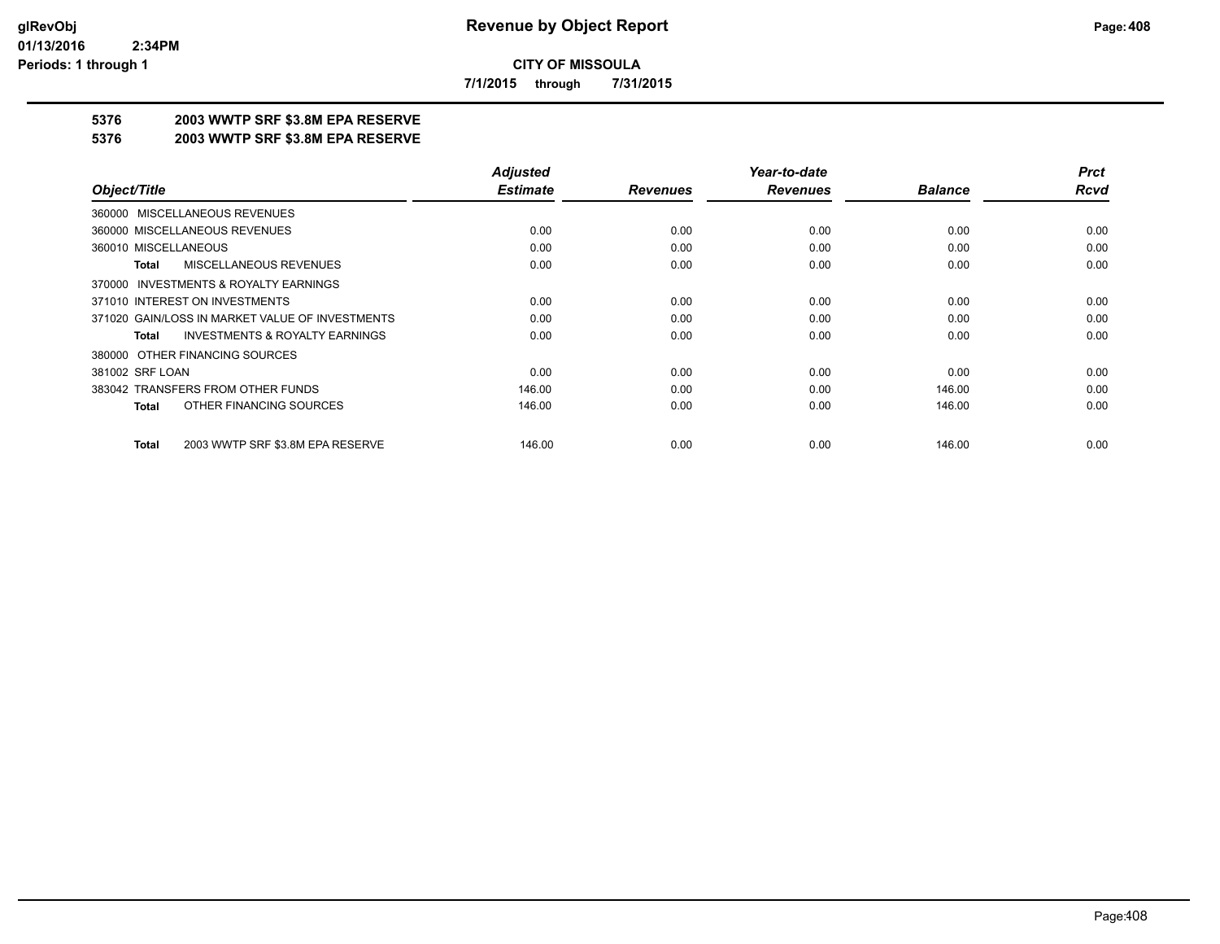**7/1/2015 through 7/31/2015**

## **5376 2003 WWTP SRF \$3.8M EPA RESERVE**

#### **5376 2003 WWTP SRF \$3.8M EPA RESERVE**

|                                                    | <b>Adjusted</b> |                 | Year-to-date    |                | <b>Prct</b> |
|----------------------------------------------------|-----------------|-----------------|-----------------|----------------|-------------|
| Object/Title                                       | <b>Estimate</b> | <b>Revenues</b> | <b>Revenues</b> | <b>Balance</b> | <b>Rcvd</b> |
| MISCELLANEOUS REVENUES<br>360000                   |                 |                 |                 |                |             |
| 360000 MISCELLANEOUS REVENUES                      | 0.00            | 0.00            | 0.00            | 0.00           | 0.00        |
| 360010 MISCELLANEOUS                               | 0.00            | 0.00            | 0.00            | 0.00           | 0.00        |
| MISCELLANEOUS REVENUES<br>Total                    | 0.00            | 0.00            | 0.00            | 0.00           | 0.00        |
| INVESTMENTS & ROYALTY EARNINGS<br>370000           |                 |                 |                 |                |             |
| 371010 INTEREST ON INVESTMENTS                     | 0.00            | 0.00            | 0.00            | 0.00           | 0.00        |
| 371020 GAIN/LOSS IN MARKET VALUE OF INVESTMENTS    | 0.00            | 0.00            | 0.00            | 0.00           | 0.00        |
| <b>INVESTMENTS &amp; ROYALTY EARNINGS</b><br>Total | 0.00            | 0.00            | 0.00            | 0.00           | 0.00        |
| 380000 OTHER FINANCING SOURCES                     |                 |                 |                 |                |             |
| 381002 SRF LOAN                                    | 0.00            | 0.00            | 0.00            | 0.00           | 0.00        |
| 383042 TRANSFERS FROM OTHER FUNDS                  | 146.00          | 0.00            | 0.00            | 146.00         | 0.00        |
| OTHER FINANCING SOURCES<br><b>Total</b>            | 146.00          | 0.00            | 0.00            | 146.00         | 0.00        |
| 2003 WWTP SRF \$3.8M EPA RESERVE<br><b>Total</b>   | 146.00          | 0.00            | 0.00            | 146.00         | 0.00        |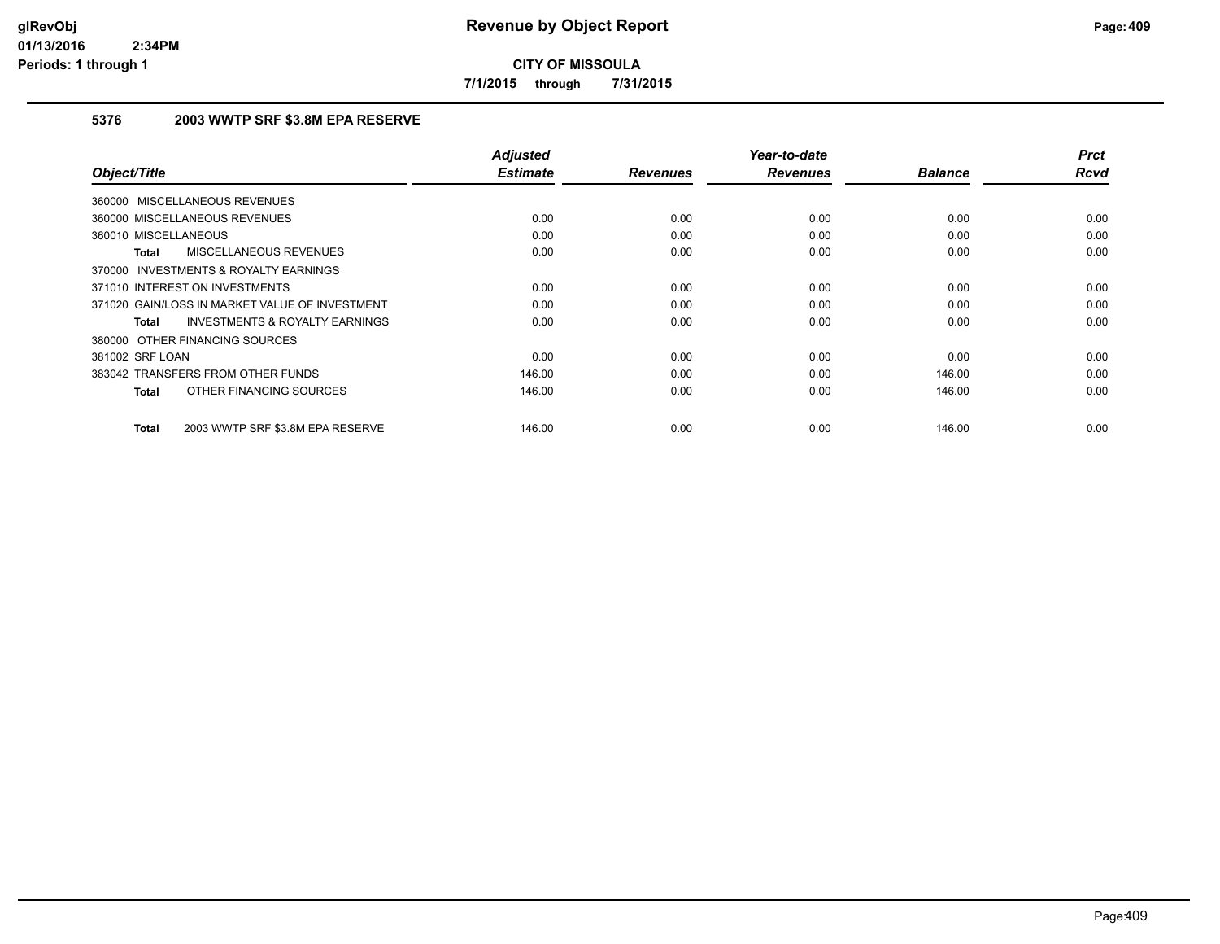**7/1/2015 through 7/31/2015**

## **5376 2003 WWTP SRF \$3.8M EPA RESERVE**

|                                                           | <b>Adjusted</b> |                 | Year-to-date    |                | <b>Prct</b> |
|-----------------------------------------------------------|-----------------|-----------------|-----------------|----------------|-------------|
| Object/Title                                              | <b>Estimate</b> | <b>Revenues</b> | <b>Revenues</b> | <b>Balance</b> | <b>Rcvd</b> |
| 360000 MISCELLANEOUS REVENUES                             |                 |                 |                 |                |             |
| 360000 MISCELLANEOUS REVENUES                             | 0.00            | 0.00            | 0.00            | 0.00           | 0.00        |
| 360010 MISCELLANEOUS                                      | 0.00            | 0.00            | 0.00            | 0.00           | 0.00        |
| <b>MISCELLANEOUS REVENUES</b><br><b>Total</b>             | 0.00            | 0.00            | 0.00            | 0.00           | 0.00        |
| 370000 INVESTMENTS & ROYALTY EARNINGS                     |                 |                 |                 |                |             |
| 371010 INTEREST ON INVESTMENTS                            | 0.00            | 0.00            | 0.00            | 0.00           | 0.00        |
| 371020 GAIN/LOSS IN MARKET VALUE OF INVESTMENT            | 0.00            | 0.00            | 0.00            | 0.00           | 0.00        |
| <b>INVESTMENTS &amp; ROYALTY EARNINGS</b><br><b>Total</b> | 0.00            | 0.00            | 0.00            | 0.00           | 0.00        |
| 380000 OTHER FINANCING SOURCES                            |                 |                 |                 |                |             |
| 381002 SRF LOAN                                           | 0.00            | 0.00            | 0.00            | 0.00           | 0.00        |
| 383042 TRANSFERS FROM OTHER FUNDS                         | 146.00          | 0.00            | 0.00            | 146.00         | 0.00        |
| OTHER FINANCING SOURCES<br><b>Total</b>                   | 146.00          | 0.00            | 0.00            | 146.00         | 0.00        |
| 2003 WWTP SRF \$3.8M EPA RESERVE<br><b>Total</b>          | 146.00          | 0.00            | 0.00            | 146.00         | 0.00        |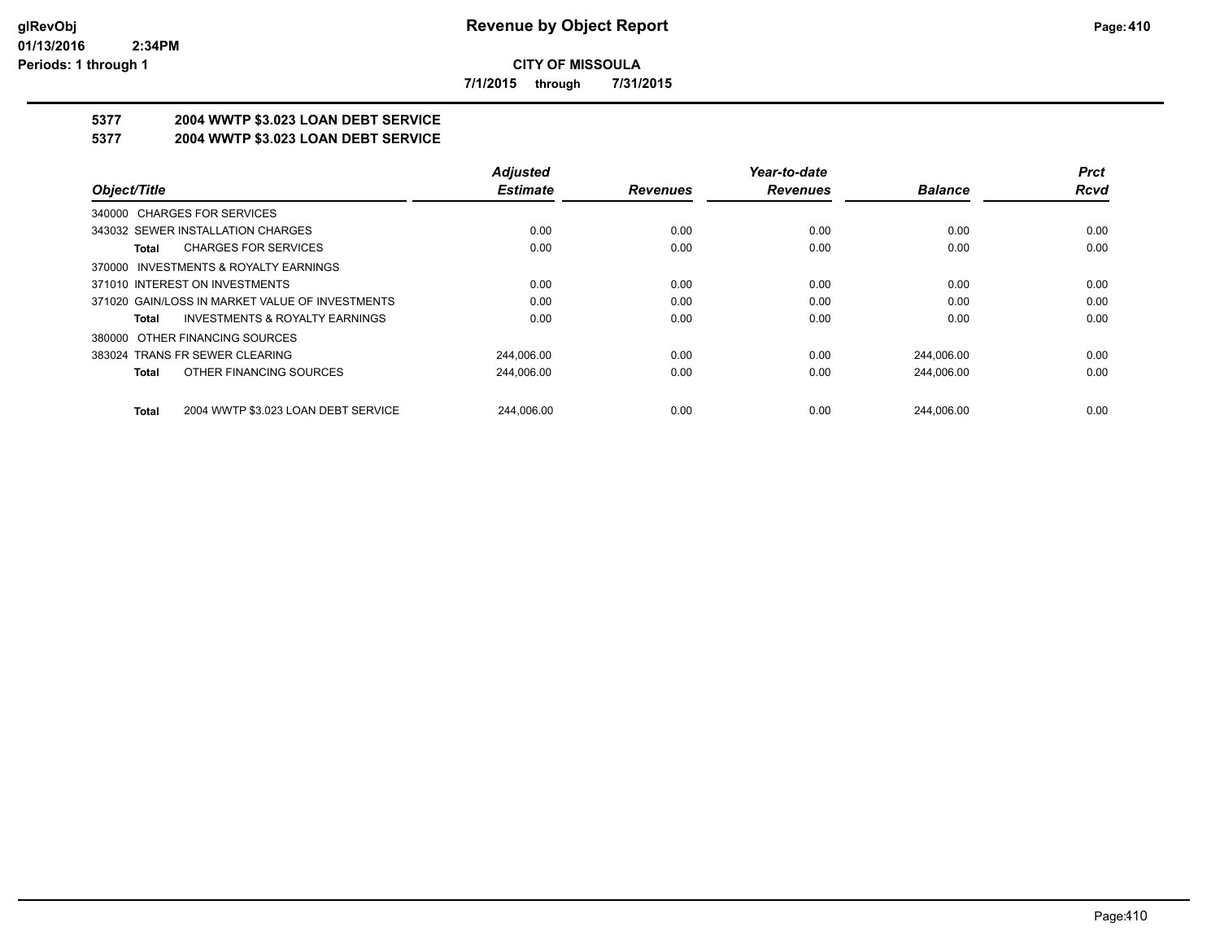**7/1/2015 through 7/31/2015**

# **5377 2004 WWTP \$3.023 LOAN DEBT SERVICE**

## **5377 2004 WWTP \$3.023 LOAN DEBT SERVICE**

|                                                     | <b>Adjusted</b> |                 | Year-to-date    |                | <b>Prct</b> |
|-----------------------------------------------------|-----------------|-----------------|-----------------|----------------|-------------|
| Object/Title                                        | <b>Estimate</b> | <b>Revenues</b> | <b>Revenues</b> | <b>Balance</b> | <b>Rcvd</b> |
| 340000 CHARGES FOR SERVICES                         |                 |                 |                 |                |             |
| 343032 SEWER INSTALLATION CHARGES                   | 0.00            | 0.00            | 0.00            | 0.00           | 0.00        |
| <b>CHARGES FOR SERVICES</b><br>Total                | 0.00            | 0.00            | 0.00            | 0.00           | 0.00        |
| 370000 INVESTMENTS & ROYALTY EARNINGS               |                 |                 |                 |                |             |
| 371010 INTEREST ON INVESTMENTS                      | 0.00            | 0.00            | 0.00            | 0.00           | 0.00        |
| 371020 GAIN/LOSS IN MARKET VALUE OF INVESTMENTS     | 0.00            | 0.00            | 0.00            | 0.00           | 0.00        |
| <b>INVESTMENTS &amp; ROYALTY EARNINGS</b><br>Total  | 0.00            | 0.00            | 0.00            | 0.00           | 0.00        |
| OTHER FINANCING SOURCES<br>380000                   |                 |                 |                 |                |             |
| 383024 TRANS FR SEWER CLEARING                      | 244.006.00      | 0.00            | 0.00            | 244.006.00     | 0.00        |
| OTHER FINANCING SOURCES<br><b>Total</b>             | 244,006.00      | 0.00            | 0.00            | 244,006.00     | 0.00        |
| 2004 WWTP \$3.023 LOAN DEBT SERVICE<br><b>Total</b> | 244.006.00      | 0.00            | 0.00            | 244.006.00     | 0.00        |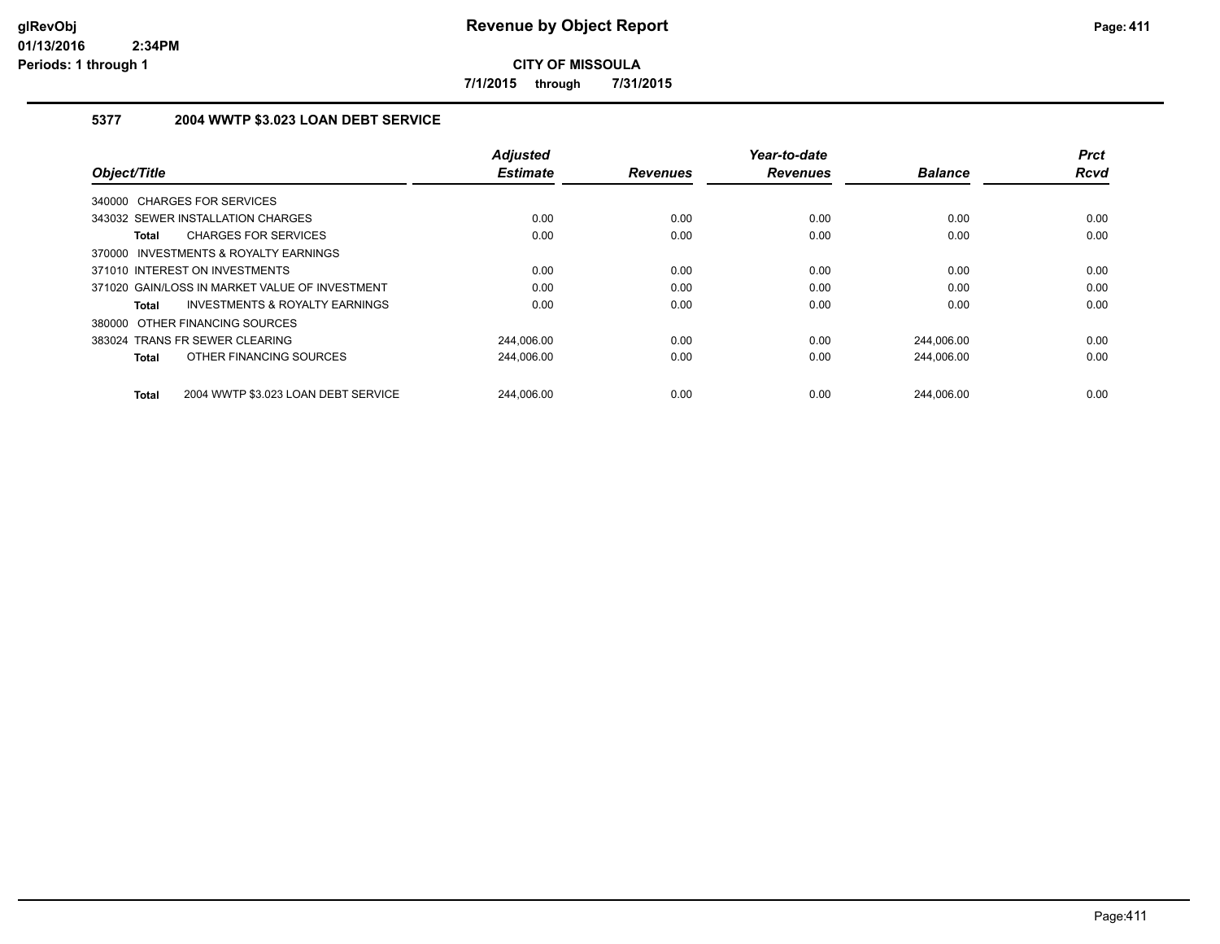**7/1/2015 through 7/31/2015**

## **5377 2004 WWTP \$3.023 LOAN DEBT SERVICE**

|                                                           | <b>Adjusted</b> |                 | Year-to-date    |                | <b>Prct</b> |
|-----------------------------------------------------------|-----------------|-----------------|-----------------|----------------|-------------|
| Object/Title                                              | <b>Estimate</b> | <b>Revenues</b> | <b>Revenues</b> | <b>Balance</b> | Rcvd        |
| 340000 CHARGES FOR SERVICES                               |                 |                 |                 |                |             |
| 343032 SEWER INSTALLATION CHARGES                         | 0.00            | 0.00            | 0.00            | 0.00           | 0.00        |
| <b>CHARGES FOR SERVICES</b><br><b>Total</b>               | 0.00            | 0.00            | 0.00            | 0.00           | 0.00        |
| 370000 INVESTMENTS & ROYALTY EARNINGS                     |                 |                 |                 |                |             |
| 371010 INTEREST ON INVESTMENTS                            | 0.00            | 0.00            | 0.00            | 0.00           | 0.00        |
| 371020 GAIN/LOSS IN MARKET VALUE OF INVESTMENT            | 0.00            | 0.00            | 0.00            | 0.00           | 0.00        |
| <b>INVESTMENTS &amp; ROYALTY EARNINGS</b><br><b>Total</b> | 0.00            | 0.00            | 0.00            | 0.00           | 0.00        |
| 380000 OTHER FINANCING SOURCES                            |                 |                 |                 |                |             |
| 383024 TRANS FR SEWER CLEARING                            | 244.006.00      | 0.00            | 0.00            | 244,006.00     | 0.00        |
| OTHER FINANCING SOURCES<br><b>Total</b>                   | 244,006.00      | 0.00            | 0.00            | 244.006.00     | 0.00        |
| 2004 WWTP \$3.023 LOAN DEBT SERVICE<br><b>Total</b>       | 244.006.00      | 0.00            | 0.00            | 244.006.00     | 0.00        |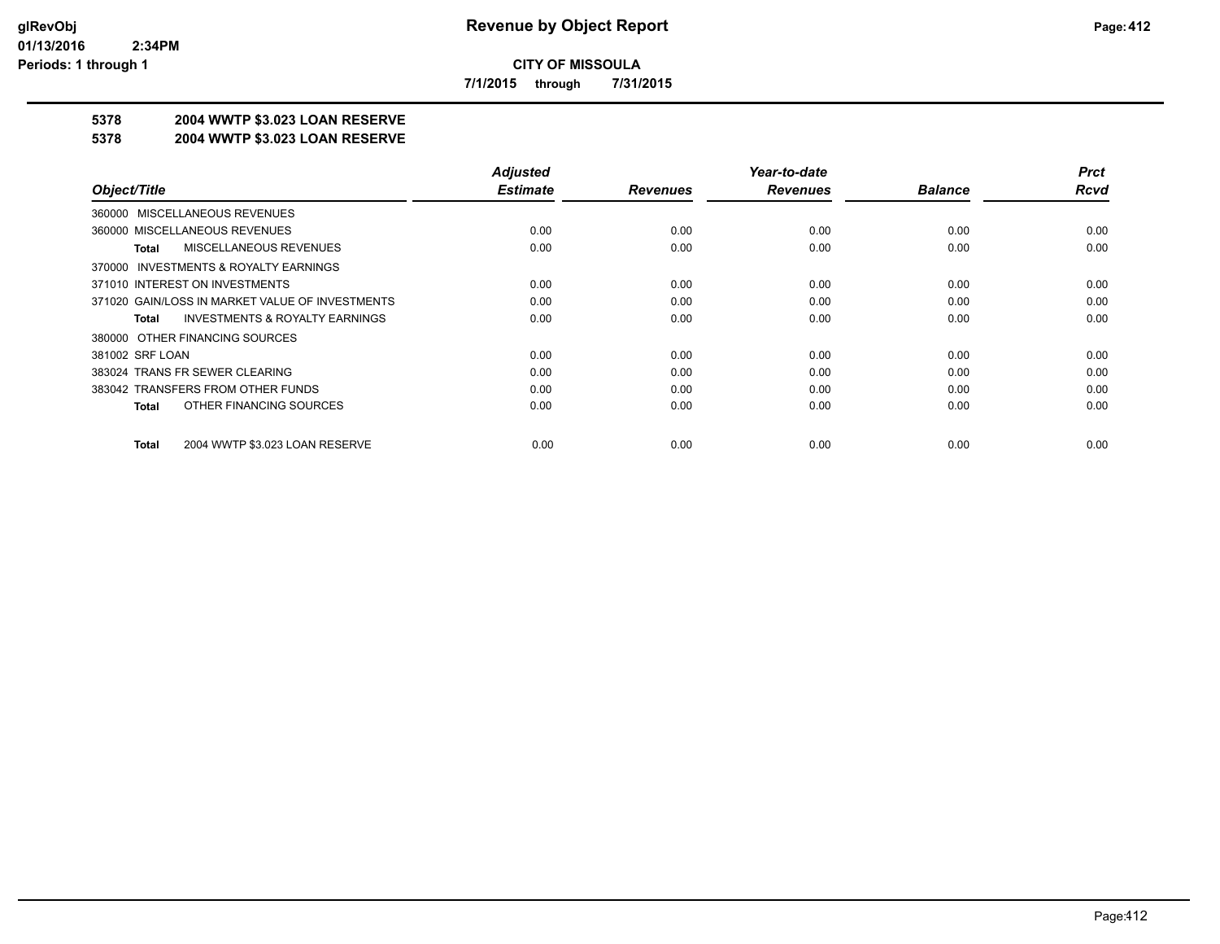**7/1/2015 through 7/31/2015**

## **5378 2004 WWTP \$3.023 LOAN RESERVE**

#### **5378 2004 WWTP \$3.023 LOAN RESERVE**

|                                                    | <b>Adjusted</b> |                 | Year-to-date    |                | <b>Prct</b> |
|----------------------------------------------------|-----------------|-----------------|-----------------|----------------|-------------|
| Object/Title                                       | <b>Estimate</b> | <b>Revenues</b> | <b>Revenues</b> | <b>Balance</b> | <b>Rcvd</b> |
| 360000 MISCELLANEOUS REVENUES                      |                 |                 |                 |                |             |
| 360000 MISCELLANEOUS REVENUES                      | 0.00            | 0.00            | 0.00            | 0.00           | 0.00        |
| <b>MISCELLANEOUS REVENUES</b><br>Total             | 0.00            | 0.00            | 0.00            | 0.00           | 0.00        |
| 370000 INVESTMENTS & ROYALTY EARNINGS              |                 |                 |                 |                |             |
| 371010 INTEREST ON INVESTMENTS                     | 0.00            | 0.00            | 0.00            | 0.00           | 0.00        |
| 371020 GAIN/LOSS IN MARKET VALUE OF INVESTMENTS    | 0.00            | 0.00            | 0.00            | 0.00           | 0.00        |
| <b>INVESTMENTS &amp; ROYALTY EARNINGS</b><br>Total | 0.00            | 0.00            | 0.00            | 0.00           | 0.00        |
| 380000 OTHER FINANCING SOURCES                     |                 |                 |                 |                |             |
| 381002 SRF LOAN                                    | 0.00            | 0.00            | 0.00            | 0.00           | 0.00        |
| 383024 TRANS FR SEWER CLEARING                     | 0.00            | 0.00            | 0.00            | 0.00           | 0.00        |
| 383042 TRANSFERS FROM OTHER FUNDS                  | 0.00            | 0.00            | 0.00            | 0.00           | 0.00        |
| OTHER FINANCING SOURCES<br>Total                   | 0.00            | 0.00            | 0.00            | 0.00           | 0.00        |
| 2004 WWTP \$3.023 LOAN RESERVE<br>Total            | 0.00            | 0.00            | 0.00            | 0.00           | 0.00        |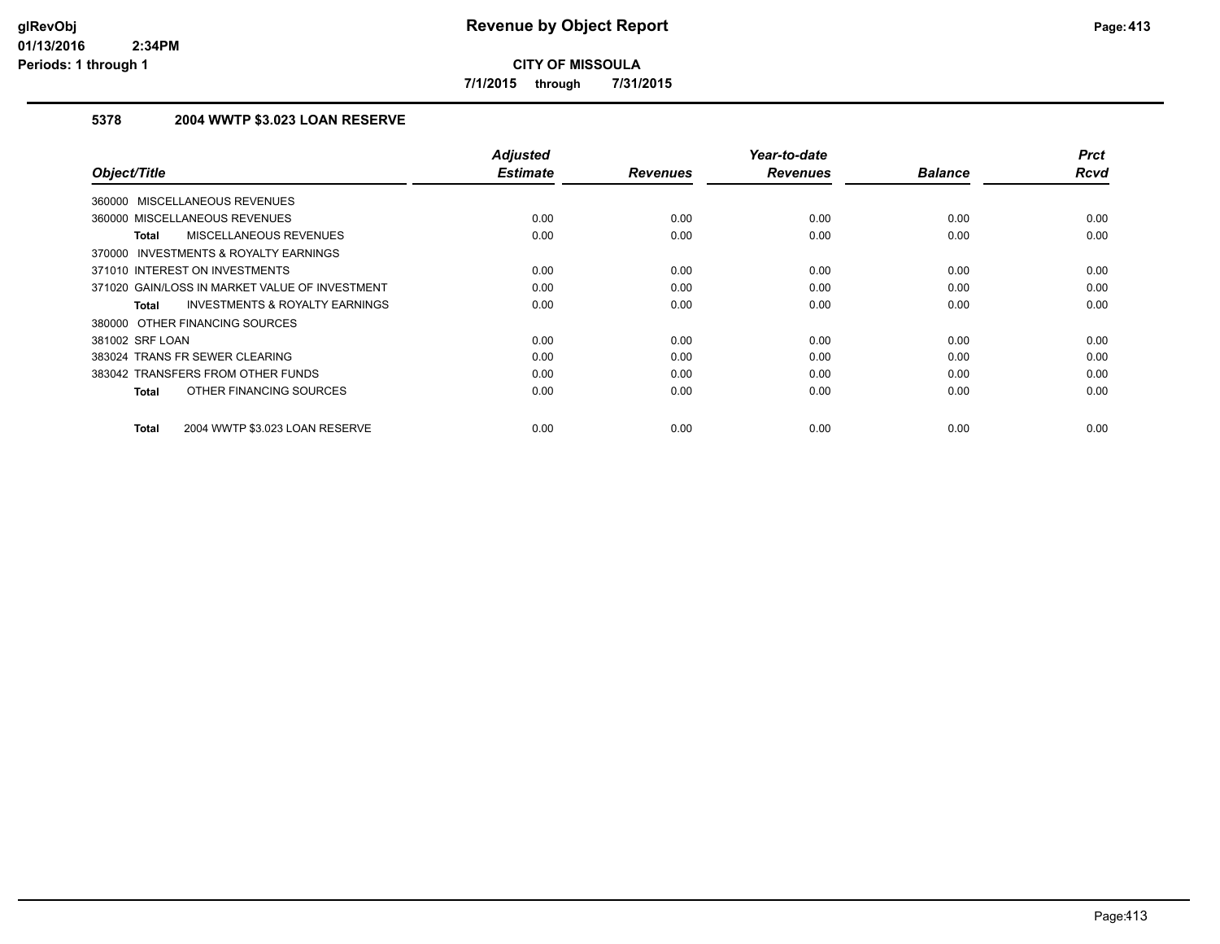**7/1/2015 through 7/31/2015**

## **5378 2004 WWTP \$3.023 LOAN RESERVE**

| Object/Title                                              | <b>Adjusted</b><br><b>Estimate</b> | <b>Revenues</b> | Year-to-date<br><b>Revenues</b> | <b>Balance</b> | <b>Prct</b><br>Rcvd |
|-----------------------------------------------------------|------------------------------------|-----------------|---------------------------------|----------------|---------------------|
| 360000 MISCELLANEOUS REVENUES                             |                                    |                 |                                 |                |                     |
| 360000 MISCELLANEOUS REVENUES                             | 0.00                               | 0.00            | 0.00                            | 0.00           | 0.00                |
| MISCELLANEOUS REVENUES<br><b>Total</b>                    | 0.00                               | 0.00            | 0.00                            | 0.00           | 0.00                |
| 370000 INVESTMENTS & ROYALTY EARNINGS                     |                                    |                 |                                 |                |                     |
| 371010 INTEREST ON INVESTMENTS                            | 0.00                               | 0.00            | 0.00                            | 0.00           | 0.00                |
| 371020 GAIN/LOSS IN MARKET VALUE OF INVESTMENT            | 0.00                               | 0.00            | 0.00                            | 0.00           | 0.00                |
| <b>INVESTMENTS &amp; ROYALTY EARNINGS</b><br><b>Total</b> | 0.00                               | 0.00            | 0.00                            | 0.00           | 0.00                |
| 380000 OTHER FINANCING SOURCES                            |                                    |                 |                                 |                |                     |
| 381002 SRF LOAN                                           | 0.00                               | 0.00            | 0.00                            | 0.00           | 0.00                |
| 383024 TRANS FR SEWER CLEARING                            | 0.00                               | 0.00            | 0.00                            | 0.00           | 0.00                |
| 383042 TRANSFERS FROM OTHER FUNDS                         | 0.00                               | 0.00            | 0.00                            | 0.00           | 0.00                |
| OTHER FINANCING SOURCES<br><b>Total</b>                   | 0.00                               | 0.00            | 0.00                            | 0.00           | 0.00                |
|                                                           |                                    |                 |                                 |                |                     |
| 2004 WWTP \$3.023 LOAN RESERVE<br><b>Total</b>            | 0.00                               | 0.00            | 0.00                            | 0.00           | 0.00                |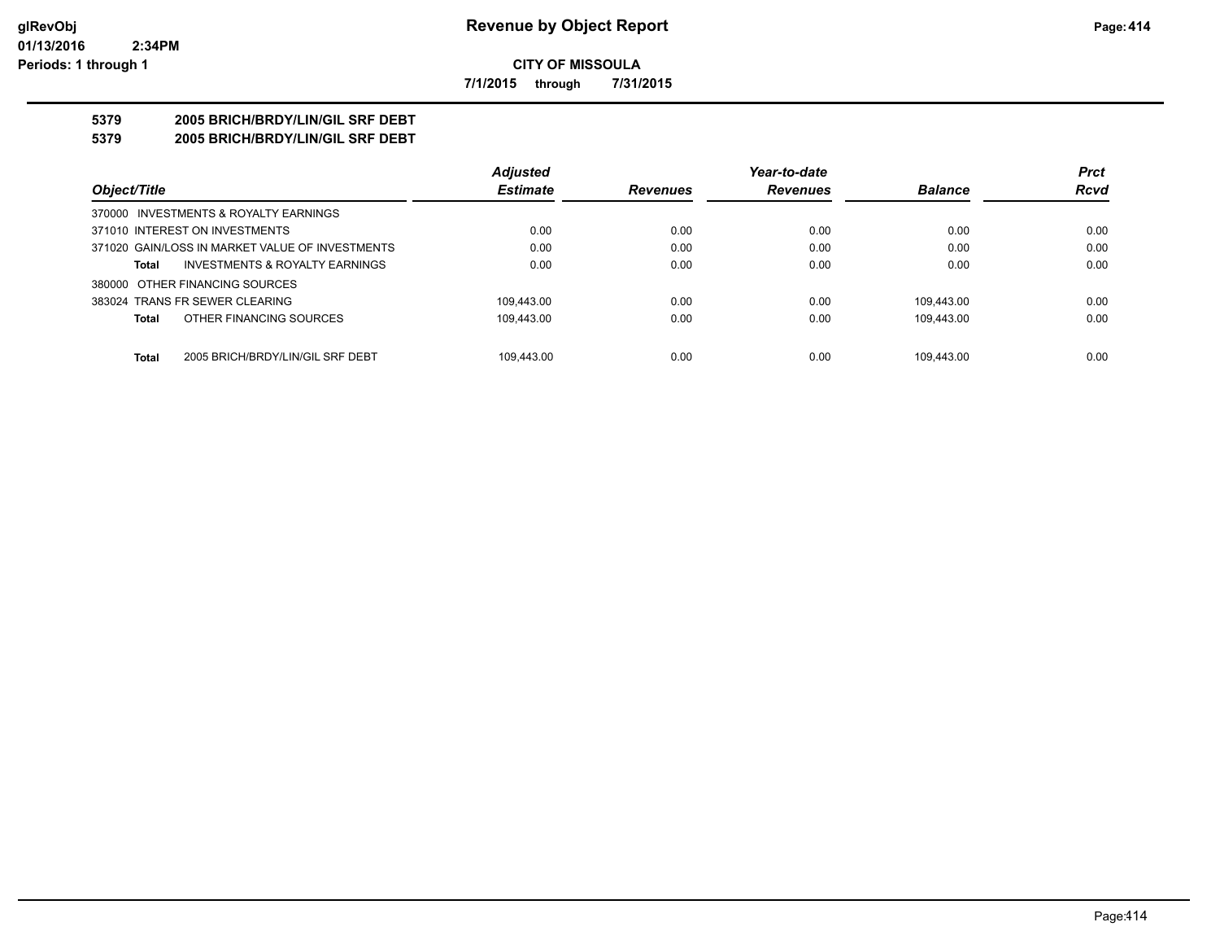**7/1/2015 through 7/31/2015**

## **5379 2005 BRICH/BRDY/LIN/GIL SRF DEBT**

**5379 2005 BRICH/BRDY/LIN/GIL SRF DEBT**

|                                                  | <b>Adjusted</b> |                 | Year-to-date    |                | <b>Prct</b> |
|--------------------------------------------------|-----------------|-----------------|-----------------|----------------|-------------|
| Object/Title                                     | <b>Estimate</b> | <b>Revenues</b> | <b>Revenues</b> | <b>Balance</b> | <b>Rcvd</b> |
| 370000 INVESTMENTS & ROYALTY EARNINGS            |                 |                 |                 |                |             |
| 371010 INTEREST ON INVESTMENTS                   | 0.00            | 0.00            | 0.00            | 0.00           | 0.00        |
| 371020 GAIN/LOSS IN MARKET VALUE OF INVESTMENTS  | 0.00            | 0.00            | 0.00            | 0.00           | 0.00        |
| INVESTMENTS & ROYALTY EARNINGS<br><b>Total</b>   | 0.00            | 0.00            | 0.00            | 0.00           | 0.00        |
| 380000 OTHER FINANCING SOURCES                   |                 |                 |                 |                |             |
| 383024 TRANS FR SEWER CLEARING                   | 109.443.00      | 0.00            | 0.00            | 109.443.00     | 0.00        |
| OTHER FINANCING SOURCES<br><b>Total</b>          | 109.443.00      | 0.00            | 0.00            | 109.443.00     | 0.00        |
| <b>Total</b><br>2005 BRICH/BRDY/LIN/GIL SRF DEBT | 109.443.00      | 0.00            | 0.00            | 109.443.00     | 0.00        |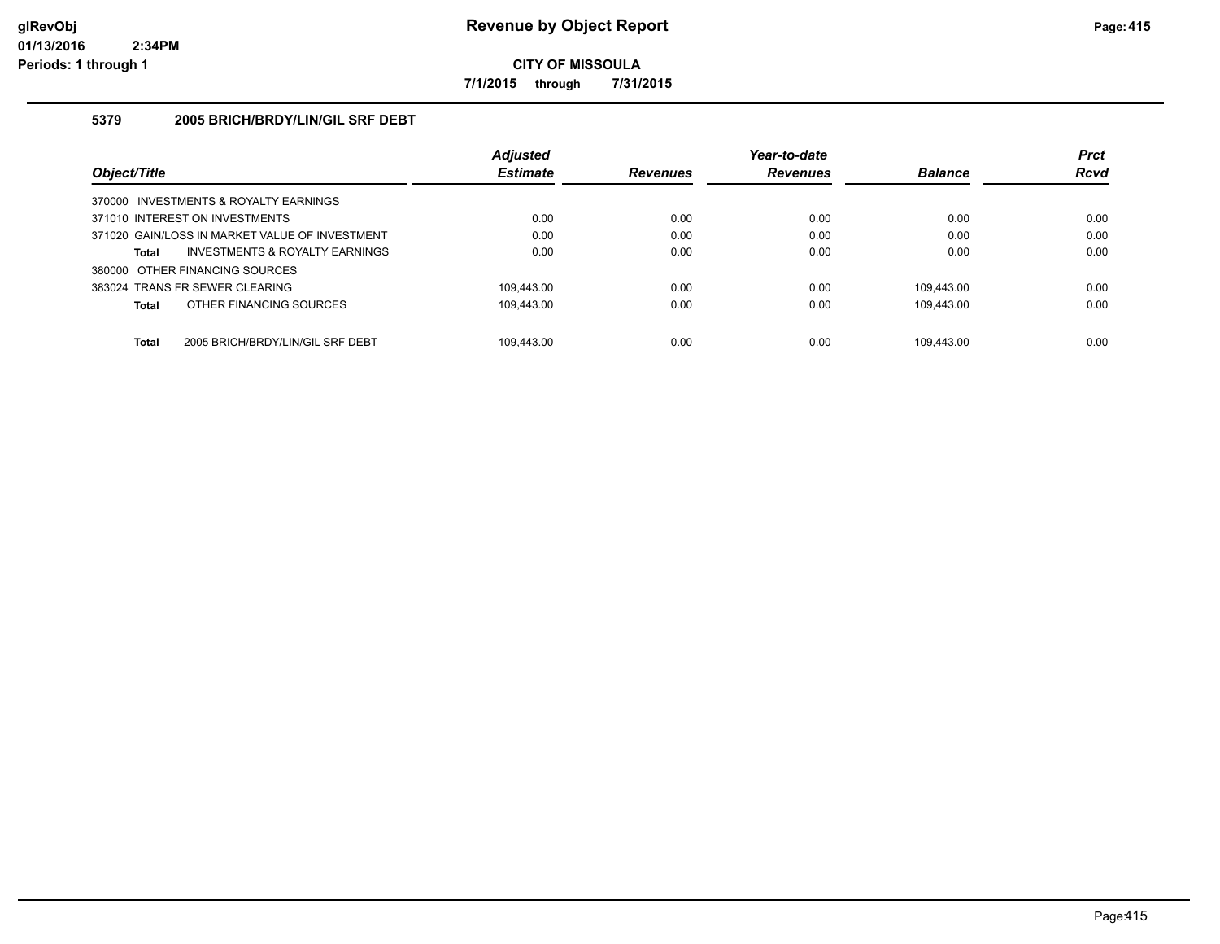**7/1/2015 through 7/31/2015**

## **5379 2005 BRICH/BRDY/LIN/GIL SRF DEBT**

|                                                  | <b>Adjusted</b> |                 | Year-to-date    |                | <b>Prct</b> |
|--------------------------------------------------|-----------------|-----------------|-----------------|----------------|-------------|
| Object/Title                                     | <b>Estimate</b> | <b>Revenues</b> | <b>Revenues</b> | <b>Balance</b> | <b>Rcvd</b> |
| 370000 INVESTMENTS & ROYALTY EARNINGS            |                 |                 |                 |                |             |
| 371010 INTEREST ON INVESTMENTS                   | 0.00            | 0.00            | 0.00            | 0.00           | 0.00        |
| 371020 GAIN/LOSS IN MARKET VALUE OF INVESTMENT   | 0.00            | 0.00            | 0.00            | 0.00           | 0.00        |
| INVESTMENTS & ROYALTY EARNINGS<br>Total          | 0.00            | 0.00            | 0.00            | 0.00           | 0.00        |
| 380000 OTHER FINANCING SOURCES                   |                 |                 |                 |                |             |
| 383024 TRANS FR SEWER CLEARING                   | 109.443.00      | 0.00            | 0.00            | 109.443.00     | 0.00        |
| OTHER FINANCING SOURCES<br><b>Total</b>          | 109.443.00      | 0.00            | 0.00            | 109.443.00     | 0.00        |
|                                                  |                 |                 |                 |                |             |
| <b>Total</b><br>2005 BRICH/BRDY/LIN/GIL SRF DEBT | 109.443.00      | 0.00            | 0.00            | 109.443.00     | 0.00        |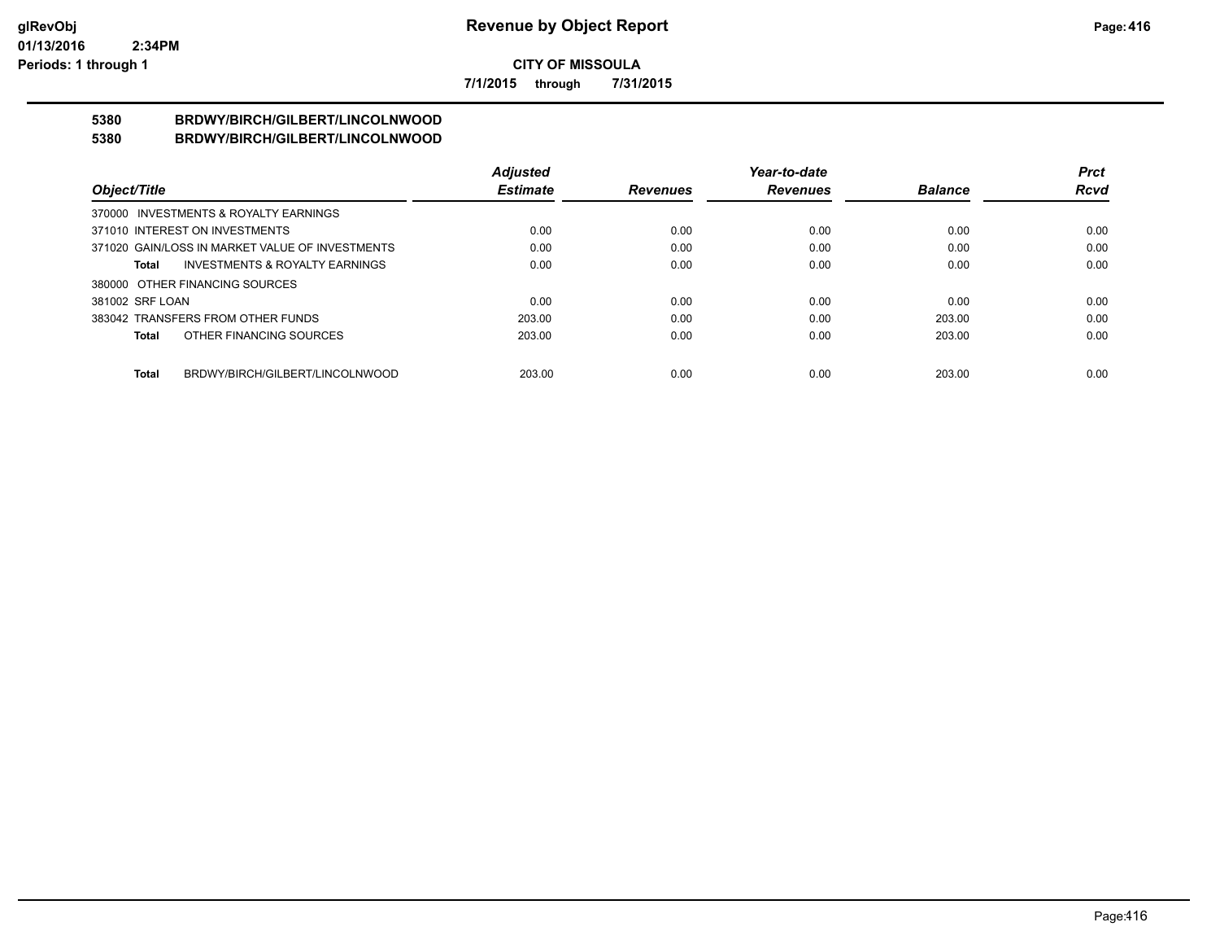**7/1/2015 through 7/31/2015**

#### **5380 BRDWY/BIRCH/GILBERT/LINCOLNWOOD 5380 BRDWY/BIRCH/GILBERT/LINCOLNWOOD**

|                                                 |                                           | <b>Adjusted</b> |                 | Year-to-date    |                | <b>Prct</b> |
|-------------------------------------------------|-------------------------------------------|-----------------|-----------------|-----------------|----------------|-------------|
| Object/Title                                    |                                           | <b>Estimate</b> | <b>Revenues</b> | <b>Revenues</b> | <b>Balance</b> | <b>Rcvd</b> |
| 370000 INVESTMENTS & ROYALTY EARNINGS           |                                           |                 |                 |                 |                |             |
| 371010 INTEREST ON INVESTMENTS                  |                                           | 0.00            | 0.00            | 0.00            | 0.00           | 0.00        |
| 371020 GAIN/LOSS IN MARKET VALUE OF INVESTMENTS |                                           | 0.00            | 0.00            | 0.00            | 0.00           | 0.00        |
| Total                                           | <b>INVESTMENTS &amp; ROYALTY EARNINGS</b> | 0.00            | 0.00            | 0.00            | 0.00           | 0.00        |
| 380000 OTHER FINANCING SOURCES                  |                                           |                 |                 |                 |                |             |
| 381002 SRF LOAN                                 |                                           | 0.00            | 0.00            | 0.00            | 0.00           | 0.00        |
| 383042 TRANSFERS FROM OTHER FUNDS               |                                           | 203.00          | 0.00            | 0.00            | 203.00         | 0.00        |
| <b>Total</b>                                    | OTHER FINANCING SOURCES                   | 203.00          | 0.00            | 0.00            | 203.00         | 0.00        |
|                                                 |                                           |                 |                 |                 |                |             |
| <b>Total</b>                                    | BRDWY/BIRCH/GILBERT/LINCOLNWOOD           | 203.00          | 0.00            | 0.00            | 203.00         | 0.00        |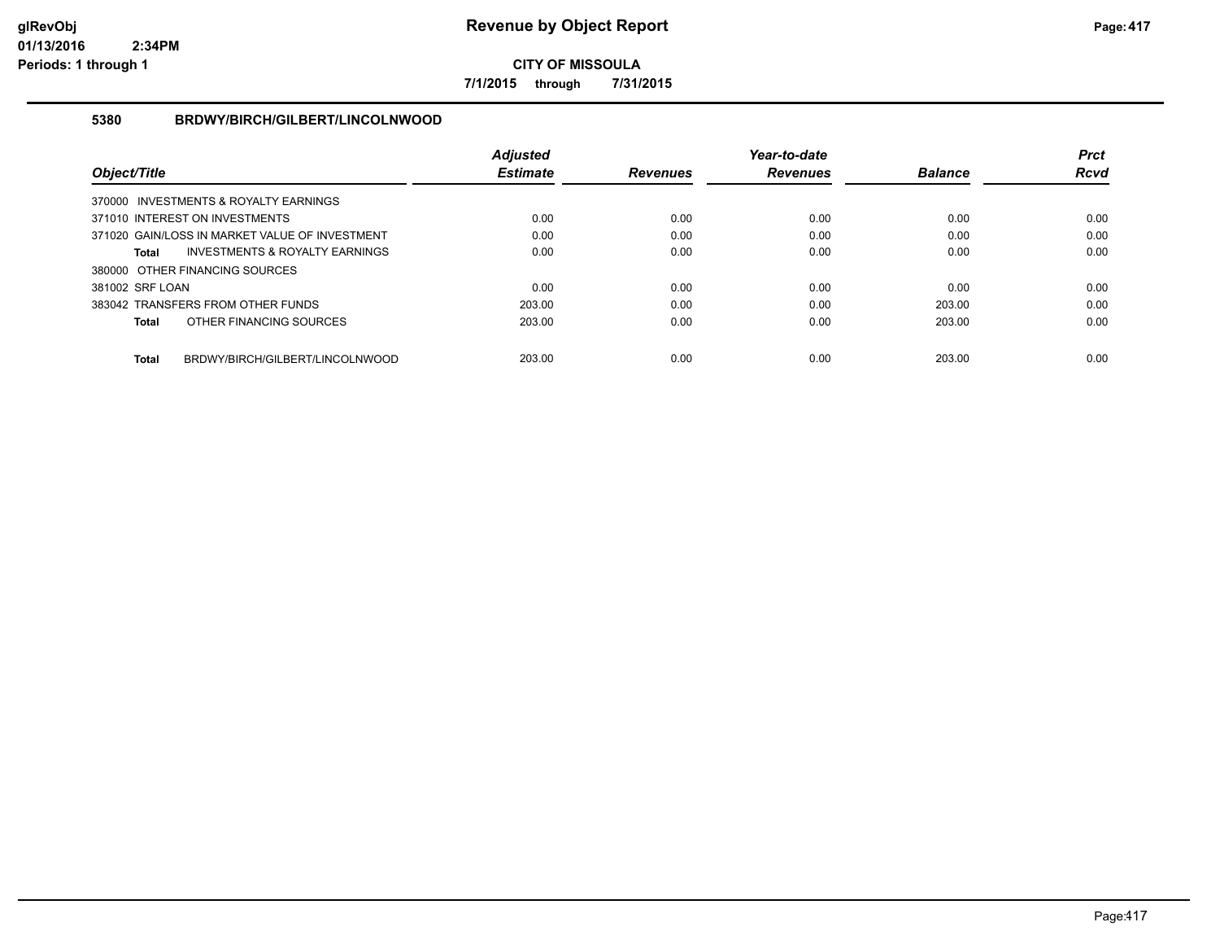**7/1/2015 through 7/31/2015**

### **5380 BRDWY/BIRCH/GILBERT/LINCOLNWOOD**

|                                                 | <b>Adiusted</b> |                 | Year-to-date    |                | <b>Prct</b> |
|-------------------------------------------------|-----------------|-----------------|-----------------|----------------|-------------|
| Object/Title                                    | <b>Estimate</b> | <b>Revenues</b> | <b>Revenues</b> | <b>Balance</b> | Rcvd        |
| 370000 INVESTMENTS & ROYALTY EARNINGS           |                 |                 |                 |                |             |
| 371010 INTEREST ON INVESTMENTS                  | 0.00            | 0.00            | 0.00            | 0.00           | 0.00        |
| 371020 GAIN/LOSS IN MARKET VALUE OF INVESTMENT  | 0.00            | 0.00            | 0.00            | 0.00           | 0.00        |
| INVESTMENTS & ROYALTY EARNINGS<br>Total         | 0.00            | 0.00            | 0.00            | 0.00           | 0.00        |
| 380000 OTHER FINANCING SOURCES                  |                 |                 |                 |                |             |
| 381002 SRF LOAN                                 | 0.00            | 0.00            | 0.00            | 0.00           | 0.00        |
| 383042 TRANSFERS FROM OTHER FUNDS               | 203.00          | 0.00            | 0.00            | 203.00         | 0.00        |
| OTHER FINANCING SOURCES<br><b>Total</b>         | 203.00          | 0.00            | 0.00            | 203.00         | 0.00        |
|                                                 |                 |                 |                 |                |             |
| BRDWY/BIRCH/GILBERT/LINCOLNWOOD<br><b>Total</b> | 203.00          | 0.00            | 0.00            | 203.00         | 0.00        |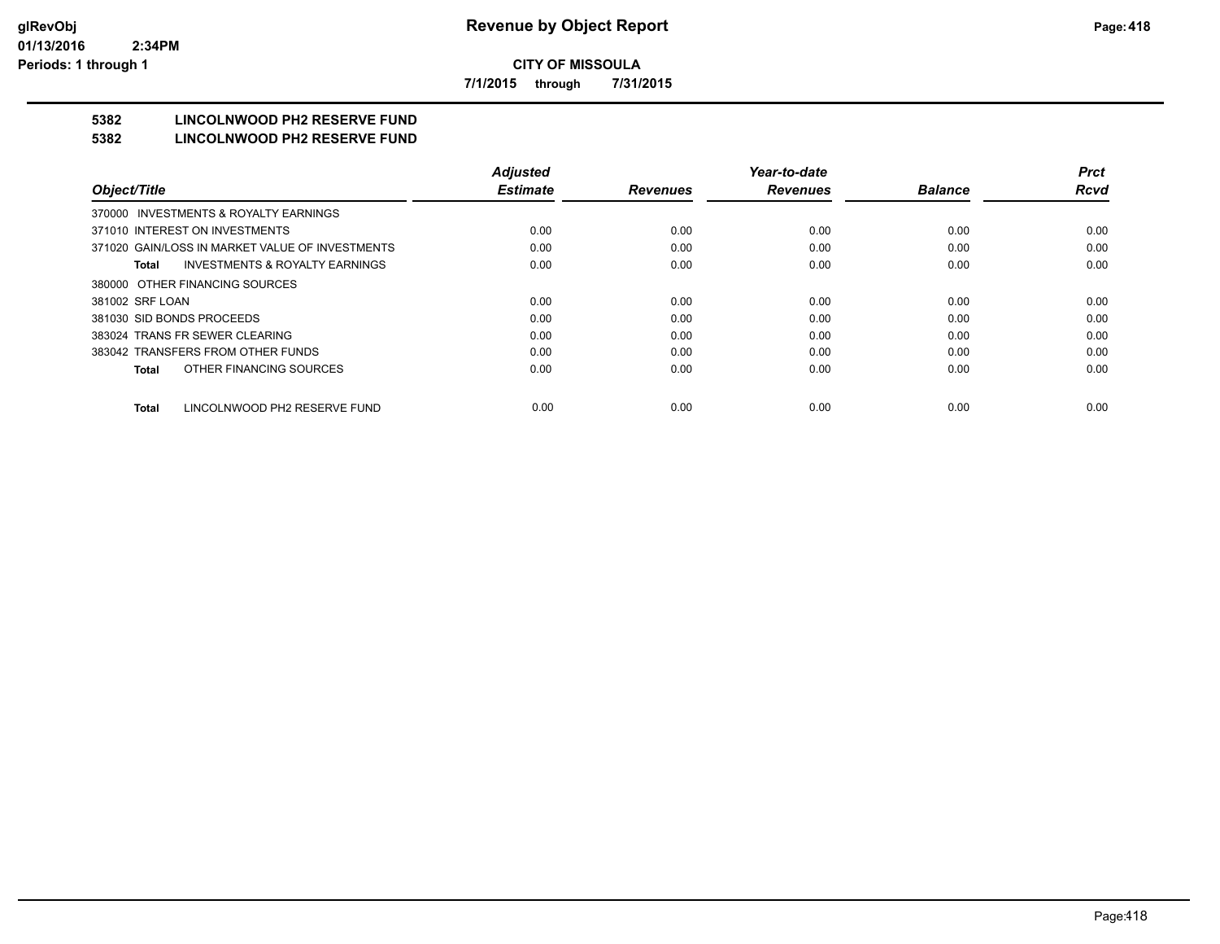**7/1/2015 through 7/31/2015**

## **5382 LINCOLNWOOD PH2 RESERVE FUND**

#### **5382 LINCOLNWOOD PH2 RESERVE FUND**

|                                                    | <b>Adjusted</b> |                 | Year-to-date    |                | <b>Prct</b> |
|----------------------------------------------------|-----------------|-----------------|-----------------|----------------|-------------|
| Object/Title                                       | <b>Estimate</b> | <b>Revenues</b> | <b>Revenues</b> | <b>Balance</b> | <b>Rcvd</b> |
| INVESTMENTS & ROYALTY EARNINGS<br>370000           |                 |                 |                 |                |             |
| 371010 INTEREST ON INVESTMENTS                     | 0.00            | 0.00            | 0.00            | 0.00           | 0.00        |
| 371020 GAIN/LOSS IN MARKET VALUE OF INVESTMENTS    | 0.00            | 0.00            | 0.00            | 0.00           | 0.00        |
| <b>INVESTMENTS &amp; ROYALTY EARNINGS</b><br>Total | 0.00            | 0.00            | 0.00            | 0.00           | 0.00        |
| 380000 OTHER FINANCING SOURCES                     |                 |                 |                 |                |             |
| 381002 SRF LOAN                                    | 0.00            | 0.00            | 0.00            | 0.00           | 0.00        |
| 381030 SID BONDS PROCEEDS                          | 0.00            | 0.00            | 0.00            | 0.00           | 0.00        |
| 383024 TRANS FR SEWER CLEARING                     | 0.00            | 0.00            | 0.00            | 0.00           | 0.00        |
| 383042 TRANSFERS FROM OTHER FUNDS                  | 0.00            | 0.00            | 0.00            | 0.00           | 0.00        |
| OTHER FINANCING SOURCES<br>Total                   | 0.00            | 0.00            | 0.00            | 0.00           | 0.00        |
| LINCOLNWOOD PH2 RESERVE FUND<br><b>Total</b>       | 0.00            | 0.00            | 0.00            | 0.00           | 0.00        |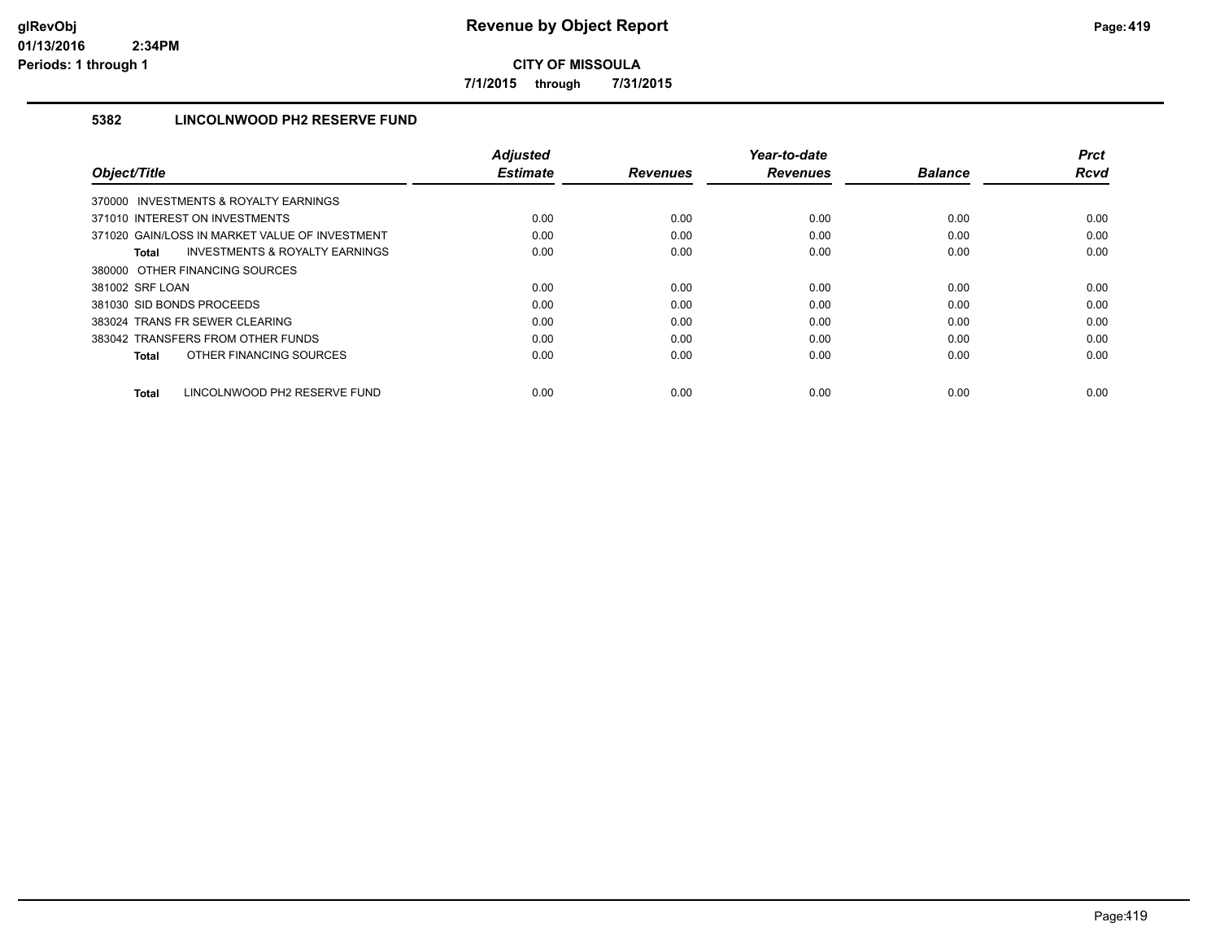**7/1/2015 through 7/31/2015**

## **5382 LINCOLNWOOD PH2 RESERVE FUND**

|                                                    | <b>Adjusted</b> |                 | Year-to-date    |                | <b>Prct</b> |
|----------------------------------------------------|-----------------|-----------------|-----------------|----------------|-------------|
| Object/Title                                       | <b>Estimate</b> | <b>Revenues</b> | <b>Revenues</b> | <b>Balance</b> | Rcvd        |
| 370000 INVESTMENTS & ROYALTY EARNINGS              |                 |                 |                 |                |             |
| 371010 INTEREST ON INVESTMENTS                     | 0.00            | 0.00            | 0.00            | 0.00           | 0.00        |
| 371020 GAIN/LOSS IN MARKET VALUE OF INVESTMENT     | 0.00            | 0.00            | 0.00            | 0.00           | 0.00        |
| <b>INVESTMENTS &amp; ROYALTY EARNINGS</b><br>Total | 0.00            | 0.00            | 0.00            | 0.00           | 0.00        |
| 380000 OTHER FINANCING SOURCES                     |                 |                 |                 |                |             |
| 381002 SRF LOAN                                    | 0.00            | 0.00            | 0.00            | 0.00           | 0.00        |
| 381030 SID BONDS PROCEEDS                          | 0.00            | 0.00            | 0.00            | 0.00           | 0.00        |
| 383024 TRANS FR SEWER CLEARING                     | 0.00            | 0.00            | 0.00            | 0.00           | 0.00        |
| 383042 TRANSFERS FROM OTHER FUNDS                  | 0.00            | 0.00            | 0.00            | 0.00           | 0.00        |
| OTHER FINANCING SOURCES<br>Total                   | 0.00            | 0.00            | 0.00            | 0.00           | 0.00        |
| LINCOLNWOOD PH2 RESERVE FUND<br><b>Total</b>       | 0.00            | 0.00            | 0.00            | 0.00           | 0.00        |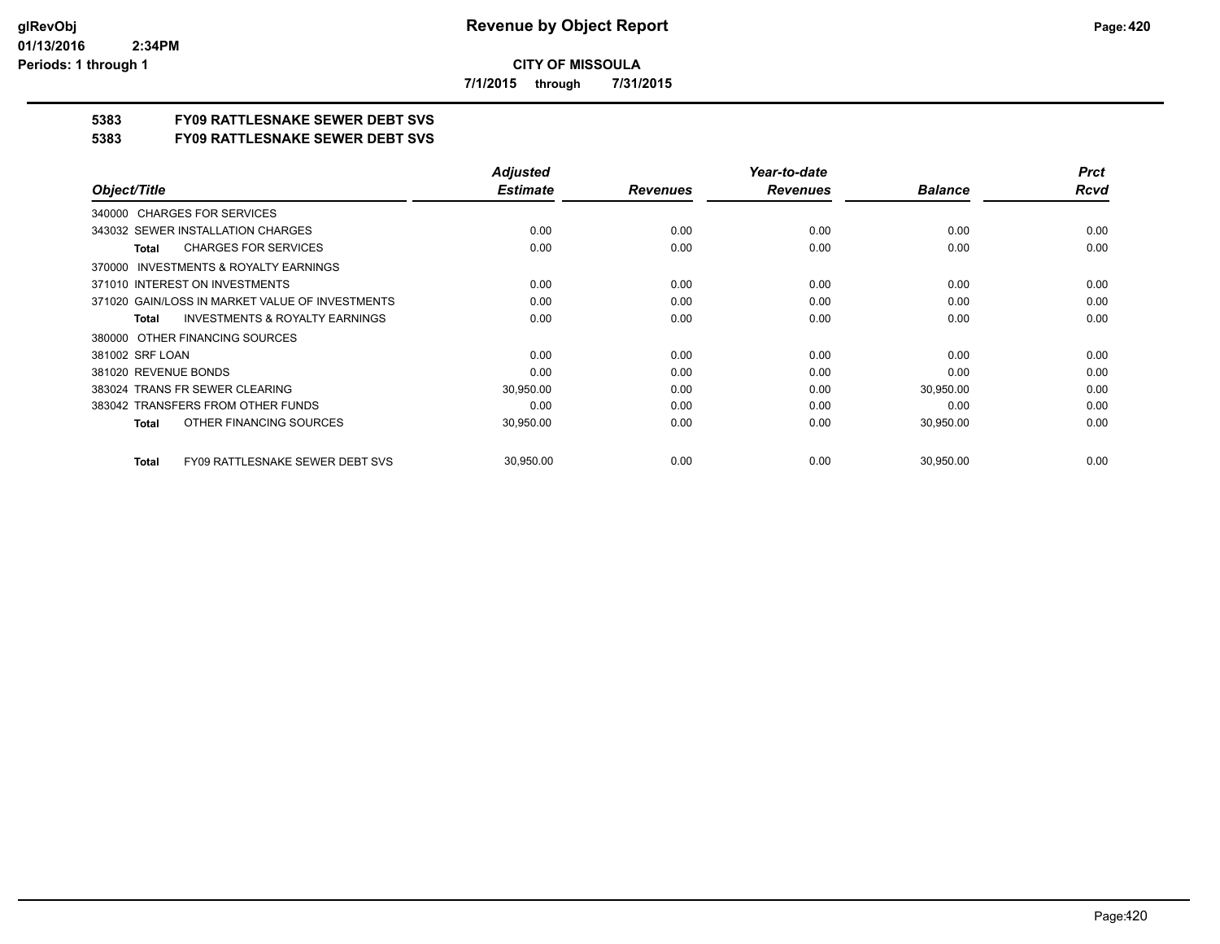**7/1/2015 through 7/31/2015**

## **5383 FY09 RATTLESNAKE SEWER DEBT SVS**

#### **5383 FY09 RATTLESNAKE SEWER DEBT SVS**

|                                                     | <b>Adjusted</b> |                 | Year-to-date    |                | <b>Prct</b> |
|-----------------------------------------------------|-----------------|-----------------|-----------------|----------------|-------------|
| Object/Title                                        | <b>Estimate</b> | <b>Revenues</b> | <b>Revenues</b> | <b>Balance</b> | <b>Rcvd</b> |
| 340000 CHARGES FOR SERVICES                         |                 |                 |                 |                |             |
| 343032 SEWER INSTALLATION CHARGES                   | 0.00            | 0.00            | 0.00            | 0.00           | 0.00        |
| <b>CHARGES FOR SERVICES</b><br><b>Total</b>         | 0.00            | 0.00            | 0.00            | 0.00           | 0.00        |
| <b>INVESTMENTS &amp; ROYALTY EARNINGS</b><br>370000 |                 |                 |                 |                |             |
| 371010 INTEREST ON INVESTMENTS                      | 0.00            | 0.00            | 0.00            | 0.00           | 0.00        |
| 371020 GAIN/LOSS IN MARKET VALUE OF INVESTMENTS     | 0.00            | 0.00            | 0.00            | 0.00           | 0.00        |
| <b>INVESTMENTS &amp; ROYALTY EARNINGS</b><br>Total  | 0.00            | 0.00            | 0.00            | 0.00           | 0.00        |
| OTHER FINANCING SOURCES<br>380000                   |                 |                 |                 |                |             |
| 381002 SRF LOAN                                     | 0.00            | 0.00            | 0.00            | 0.00           | 0.00        |
| 381020 REVENUE BONDS                                | 0.00            | 0.00            | 0.00            | 0.00           | 0.00        |
| 383024 TRANS FR SEWER CLEARING                      | 30,950.00       | 0.00            | 0.00            | 30,950.00      | 0.00        |
| 383042 TRANSFERS FROM OTHER FUNDS                   | 0.00            | 0.00            | 0.00            | 0.00           | 0.00        |
| OTHER FINANCING SOURCES<br>Total                    | 30,950.00       | 0.00            | 0.00            | 30,950.00      | 0.00        |
| <b>FY09 RATTLESNAKE SEWER DEBT SVS</b><br>Total     | 30,950.00       | 0.00            | 0.00            | 30,950.00      | 0.00        |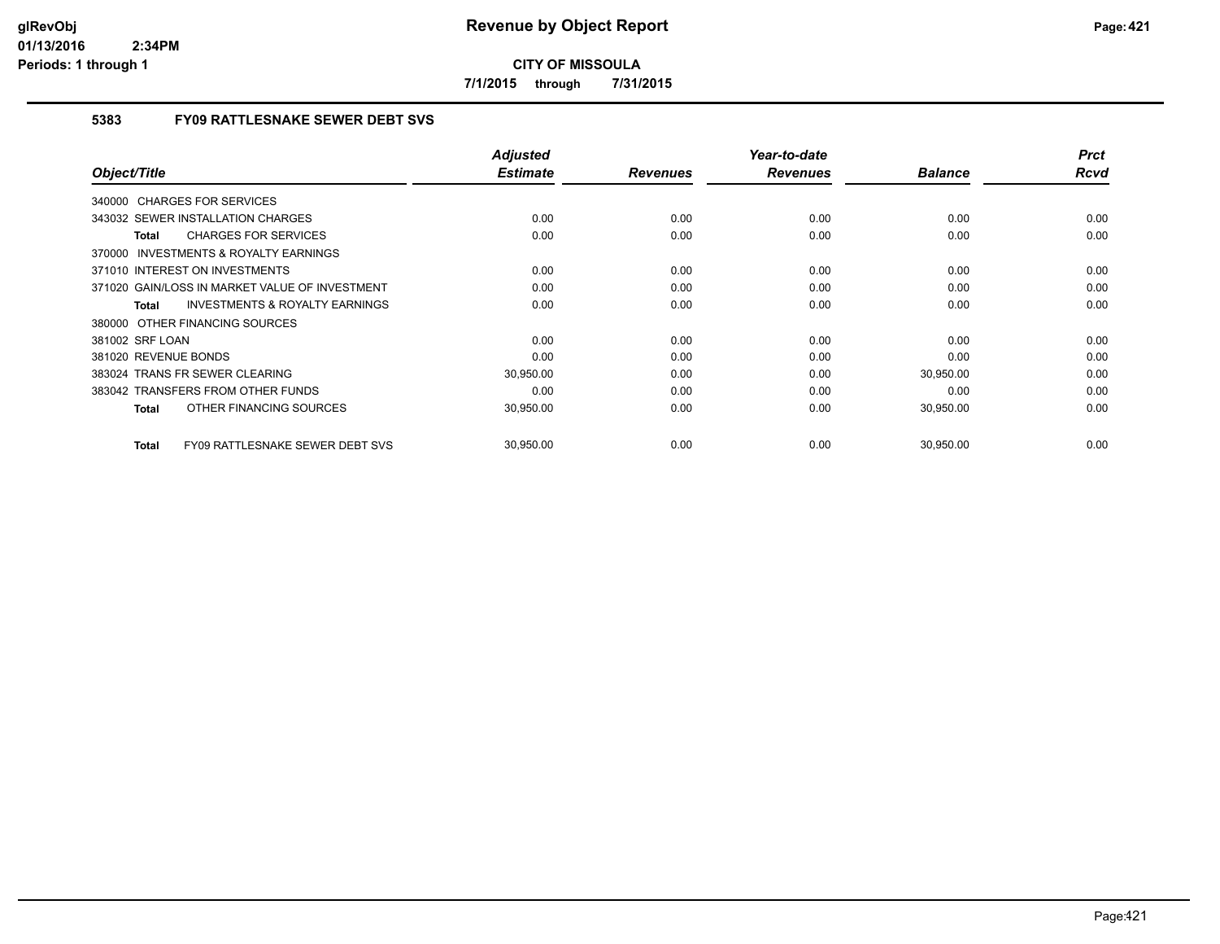**7/1/2015 through 7/31/2015**

## **5383 FY09 RATTLESNAKE SEWER DEBT SVS**

| <b>Adjusted</b> |                              | Year-to-date            |                         | <b>Prct</b><br>Rcvd         |
|-----------------|------------------------------|-------------------------|-------------------------|-----------------------------|
|                 |                              |                         |                         |                             |
|                 |                              |                         |                         |                             |
| 0.00            | 0.00                         | 0.00                    | 0.00                    | 0.00                        |
| 0.00            | 0.00                         | 0.00                    | 0.00                    | 0.00                        |
|                 |                              |                         |                         |                             |
| 0.00            | 0.00                         | 0.00                    | 0.00                    | 0.00                        |
| 0.00            | 0.00                         | 0.00                    | 0.00                    | 0.00                        |
| 0.00            | 0.00                         | 0.00                    | 0.00                    | 0.00                        |
|                 |                              |                         |                         |                             |
| 0.00            | 0.00                         | 0.00                    | 0.00                    | 0.00                        |
| 0.00            | 0.00                         | 0.00                    | 0.00                    | 0.00                        |
| 30,950.00       | 0.00                         | 0.00                    | 30,950.00               | 0.00                        |
| 0.00            | 0.00                         | 0.00                    | 0.00                    | 0.00                        |
| 30,950.00       | 0.00                         | 0.00                    | 30,950.00               | 0.00                        |
|                 |                              |                         |                         | 0.00                        |
|                 | <b>Estimate</b><br>30,950.00 | <b>Revenues</b><br>0.00 | <b>Revenues</b><br>0.00 | <b>Balance</b><br>30,950.00 |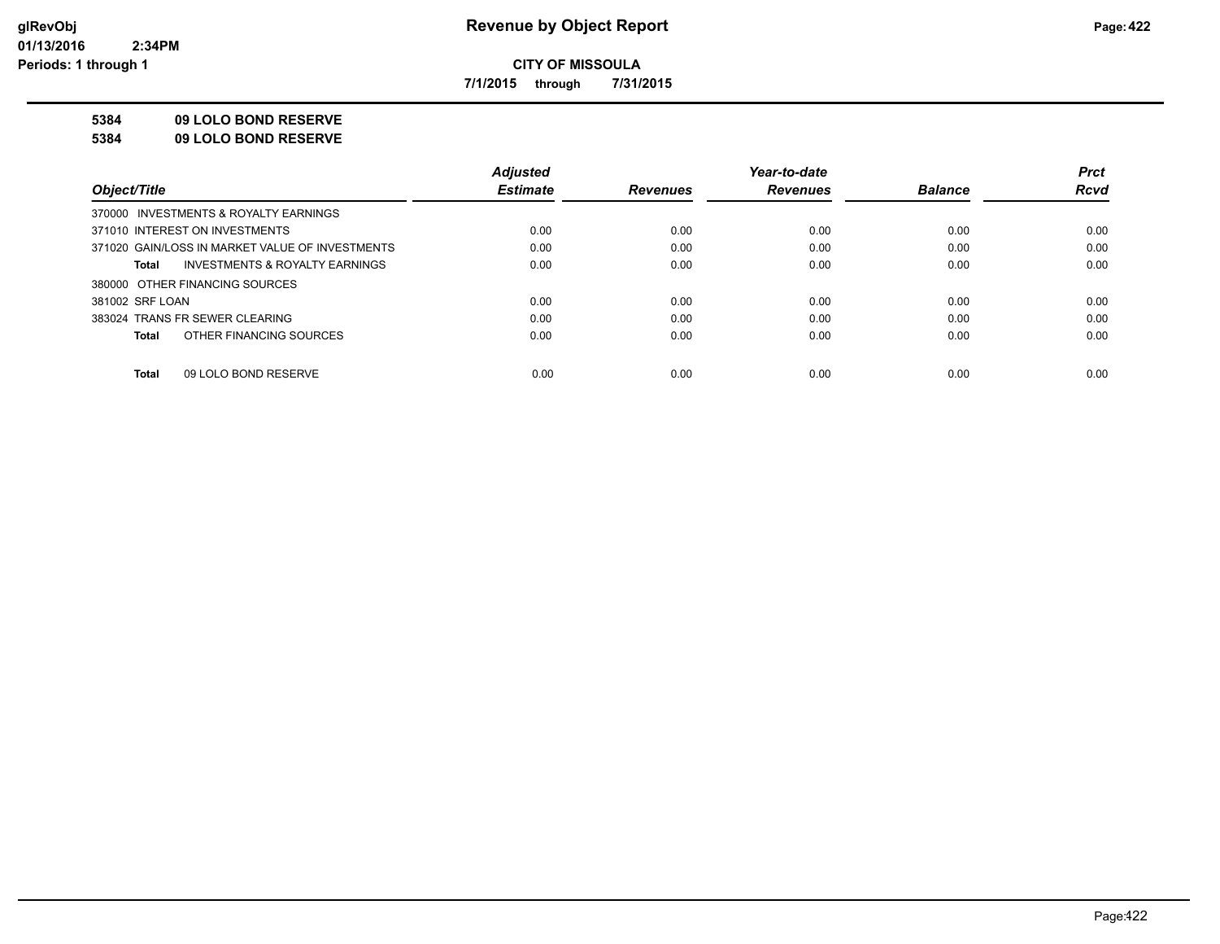**7/1/2015 through 7/31/2015**

#### **5384 09 LOLO BOND RESERVE**

**5384 09 LOLO BOND RESERVE**

|                                                    | <b>Adiusted</b> |                 | Year-to-date    |                | <b>Prct</b> |
|----------------------------------------------------|-----------------|-----------------|-----------------|----------------|-------------|
| Object/Title                                       | <b>Estimate</b> | <b>Revenues</b> | <b>Revenues</b> | <b>Balance</b> | <b>Rcvd</b> |
| 370000 INVESTMENTS & ROYALTY EARNINGS              |                 |                 |                 |                |             |
| 371010 INTEREST ON INVESTMENTS                     | 0.00            | 0.00            | 0.00            | 0.00           | 0.00        |
| 371020 GAIN/LOSS IN MARKET VALUE OF INVESTMENTS    | 0.00            | 0.00            | 0.00            | 0.00           | 0.00        |
| <b>INVESTMENTS &amp; ROYALTY EARNINGS</b><br>Total | 0.00            | 0.00            | 0.00            | 0.00           | 0.00        |
| 380000 OTHER FINANCING SOURCES                     |                 |                 |                 |                |             |
| 381002 SRF LOAN                                    | 0.00            | 0.00            | 0.00            | 0.00           | 0.00        |
| 383024 TRANS FR SEWER CLEARING                     | 0.00            | 0.00            | 0.00            | 0.00           | 0.00        |
| OTHER FINANCING SOURCES<br>Total                   | 0.00            | 0.00            | 0.00            | 0.00           | 0.00        |
|                                                    |                 |                 |                 |                |             |
| 09 LOLO BOND RESERVE<br>Total                      | 0.00            | 0.00            | 0.00            | 0.00           | 0.00        |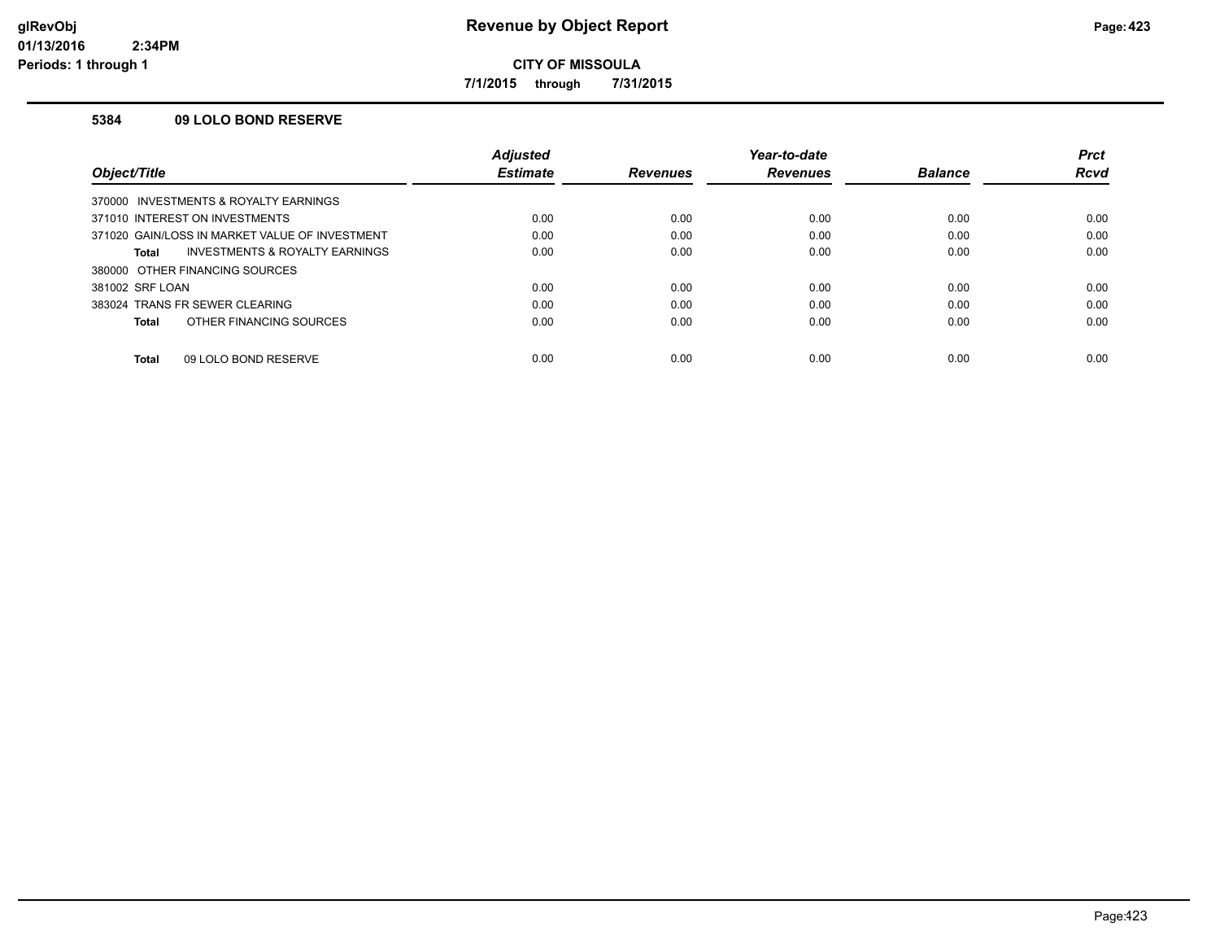**7/1/2015 through 7/31/2015**

### **5384 09 LOLO BOND RESERVE**

|                                                | <b>Adjusted</b> |                 | Year-to-date    |                | <b>Prct</b> |
|------------------------------------------------|-----------------|-----------------|-----------------|----------------|-------------|
| Object/Title                                   | <b>Estimate</b> | <b>Revenues</b> | <b>Revenues</b> | <b>Balance</b> | <b>Rcvd</b> |
| 370000 INVESTMENTS & ROYALTY EARNINGS          |                 |                 |                 |                |             |
| 371010 INTEREST ON INVESTMENTS                 | 0.00            | 0.00            | 0.00            | 0.00           | 0.00        |
| 371020 GAIN/LOSS IN MARKET VALUE OF INVESTMENT | 0.00            | 0.00            | 0.00            | 0.00           | 0.00        |
| INVESTMENTS & ROYALTY EARNINGS<br>Total        | 0.00            | 0.00            | 0.00            | 0.00           | 0.00        |
| 380000 OTHER FINANCING SOURCES                 |                 |                 |                 |                |             |
| 381002 SRF LOAN                                | 0.00            | 0.00            | 0.00            | 0.00           | 0.00        |
| 383024 TRANS FR SEWER CLEARING                 | 0.00            | 0.00            | 0.00            | 0.00           | 0.00        |
| OTHER FINANCING SOURCES<br>Total               | 0.00            | 0.00            | 0.00            | 0.00           | 0.00        |
|                                                |                 |                 |                 |                |             |
| 09 LOLO BOND RESERVE<br>Total                  | 0.00            | 0.00            | 0.00            | 0.00           | 0.00        |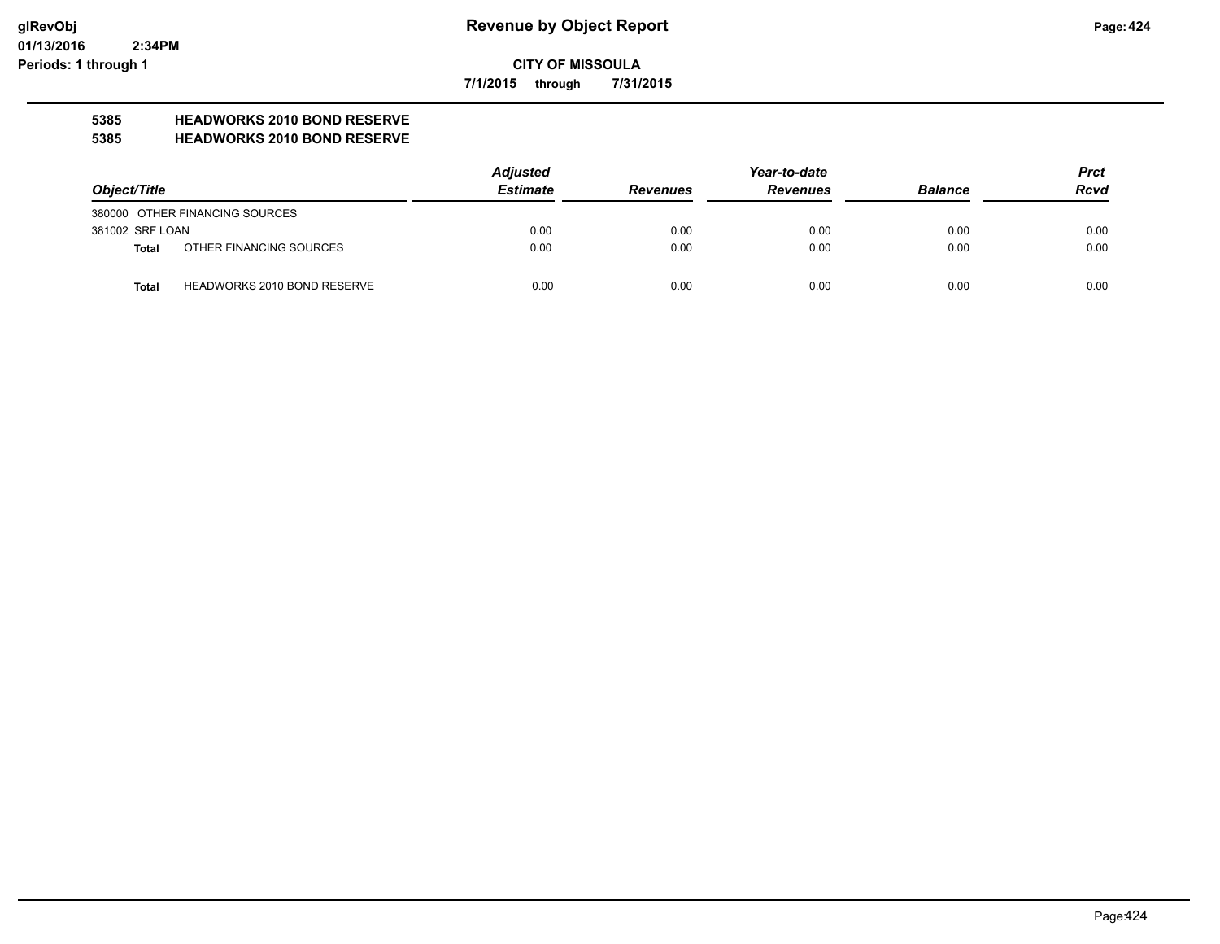**7/1/2015 through 7/31/2015**

## **5385 HEADWORKS 2010 BOND RESERVE**

#### **5385 HEADWORKS 2010 BOND RESERVE**

|                 |                                    | <b>Adjusted</b> |                 | Year-to-date    |                |             |
|-----------------|------------------------------------|-----------------|-----------------|-----------------|----------------|-------------|
| Object/Title    |                                    | <b>Estimate</b> | <b>Revenues</b> | <b>Revenues</b> | <b>Balance</b> | <b>Rcvd</b> |
|                 | 380000 OTHER FINANCING SOURCES     |                 |                 |                 |                |             |
| 381002 SRF LOAN |                                    | 0.00            | 0.00            | 0.00            | 0.00           | 0.00        |
| Total           | OTHER FINANCING SOURCES            | 0.00            | 0.00            | 0.00            | 0.00           | 0.00        |
| <b>Total</b>    | <b>HEADWORKS 2010 BOND RESERVE</b> | 0.00            | 0.00            | 0.00            | 0.00           | 0.00        |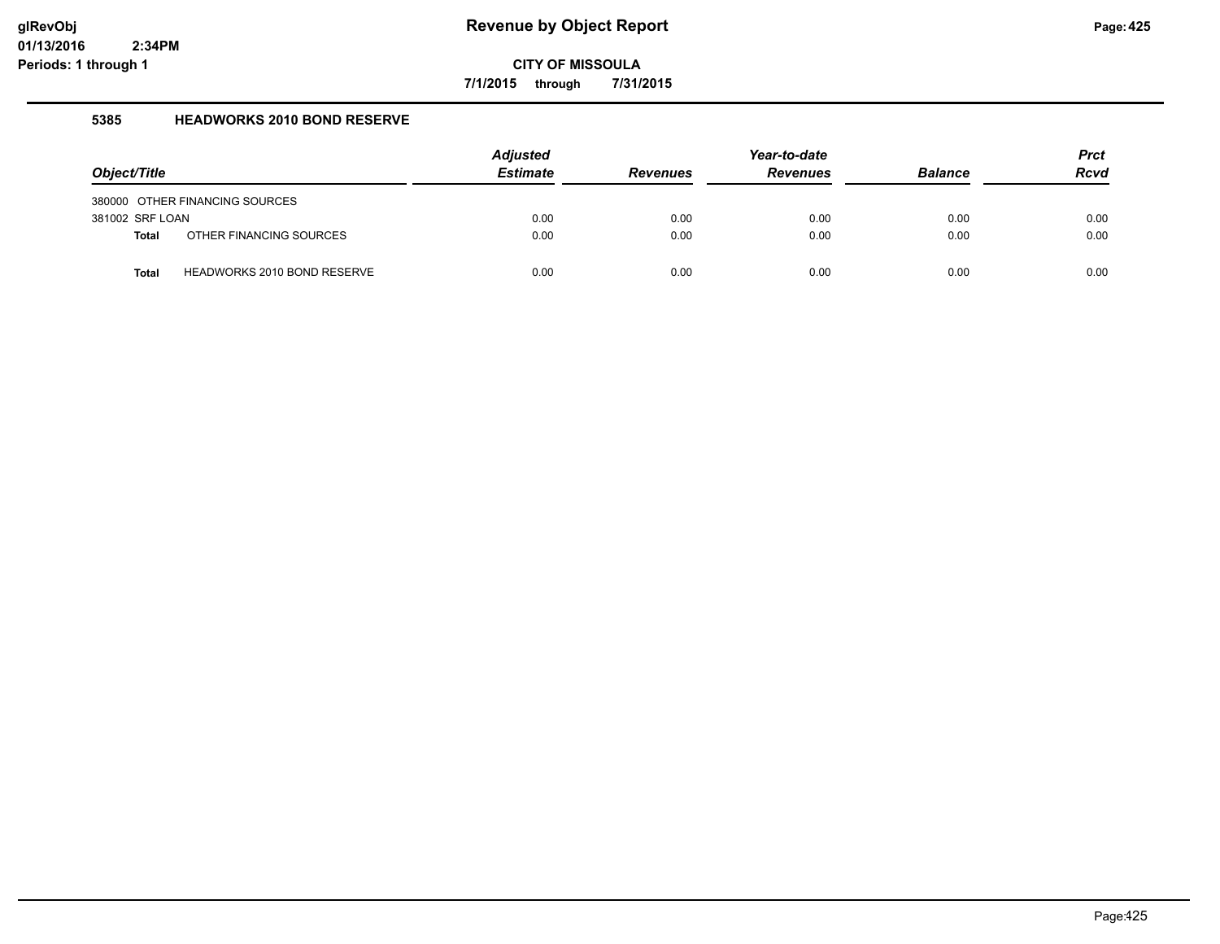**7/1/2015 through 7/31/2015**

## **5385 HEADWORKS 2010 BOND RESERVE**

| Object/Title    |                                | <b>Adjusted</b><br><b>Estimate</b> | <b>Revenues</b> | Year-to-date<br><b>Revenues</b> | <b>Balance</b> | <b>Prct</b><br><b>Rcvd</b> |
|-----------------|--------------------------------|------------------------------------|-----------------|---------------------------------|----------------|----------------------------|
|                 | 380000 OTHER FINANCING SOURCES |                                    |                 |                                 |                |                            |
| 381002 SRF LOAN |                                | 0.00                               | 0.00            | 0.00                            | 0.00           | 0.00                       |
| <b>Total</b>    | OTHER FINANCING SOURCES        | 0.00                               | 0.00            | 0.00                            | 0.00           | 0.00                       |
| <b>Total</b>    | HEADWORKS 2010 BOND RESERVE    | 0.00                               | 0.00            | 0.00                            | 0.00           | 0.00                       |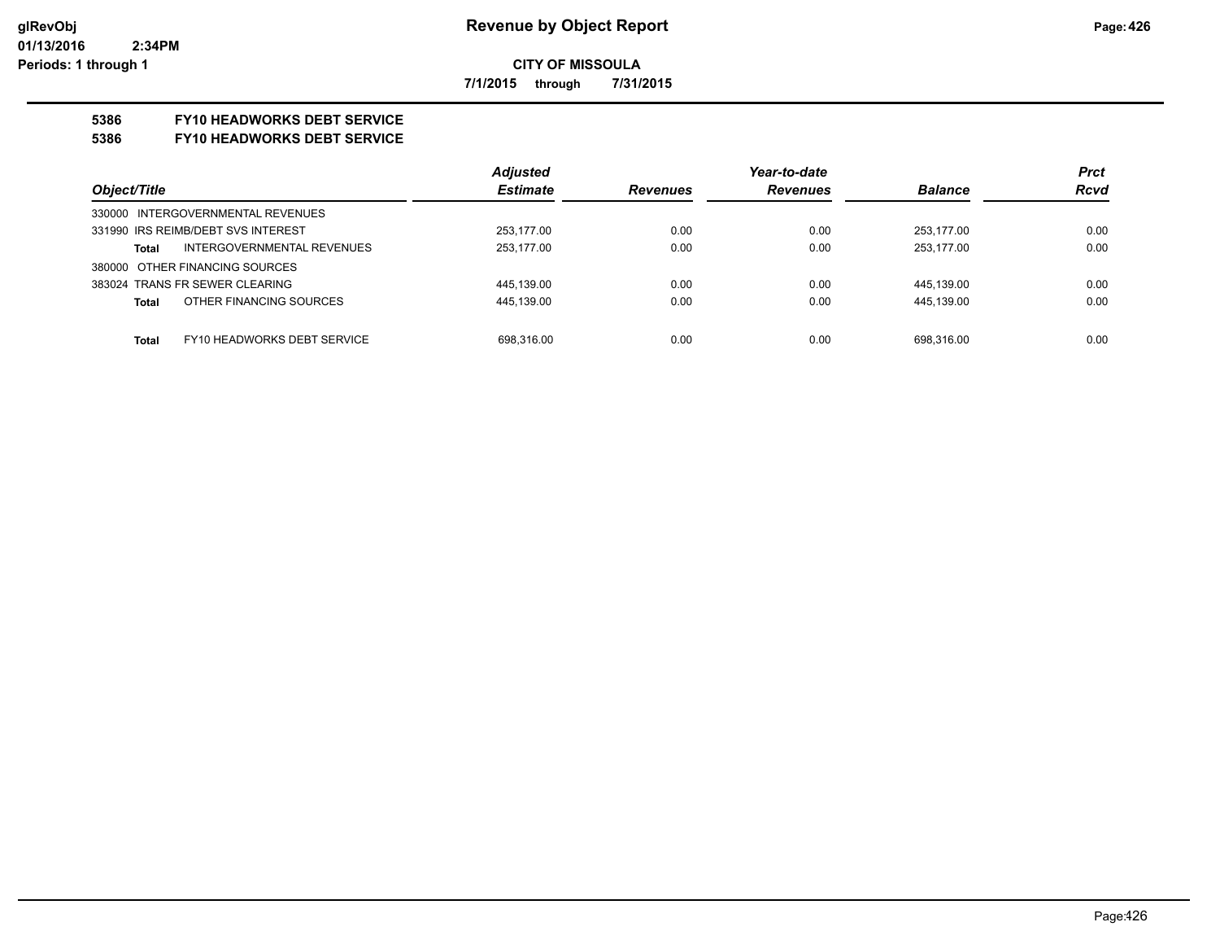**7/1/2015 through 7/31/2015**

## **5386 FY10 HEADWORKS DEBT SERVICE**

#### **5386 FY10 HEADWORKS DEBT SERVICE**

|                                      | <b>Adjusted</b> |                 | Year-to-date    |                | <b>Prct</b> |
|--------------------------------------|-----------------|-----------------|-----------------|----------------|-------------|
| Object/Title                         | <b>Estimate</b> | <b>Revenues</b> | <b>Revenues</b> | <b>Balance</b> | <b>Rcvd</b> |
| 330000 INTERGOVERNMENTAL REVENUES    |                 |                 |                 |                |             |
| 331990 IRS REIMB/DEBT SVS INTEREST   | 253.177.00      | 0.00            | 0.00            | 253.177.00     | 0.00        |
| INTERGOVERNMENTAL REVENUES<br>Total  | 253.177.00      | 0.00            | 0.00            | 253.177.00     | 0.00        |
| 380000 OTHER FINANCING SOURCES       |                 |                 |                 |                |             |
| 383024 TRANS FR SEWER CLEARING       | 445.139.00      | 0.00            | 0.00            | 445,139.00     | 0.00        |
| OTHER FINANCING SOURCES<br>Total     | 445,139.00      | 0.00            | 0.00            | 445.139.00     | 0.00        |
|                                      |                 |                 |                 |                |             |
| FY10 HEADWORKS DEBT SERVICE<br>Total | 698.316.00      | 0.00            | 0.00            | 698.316.00     | 0.00        |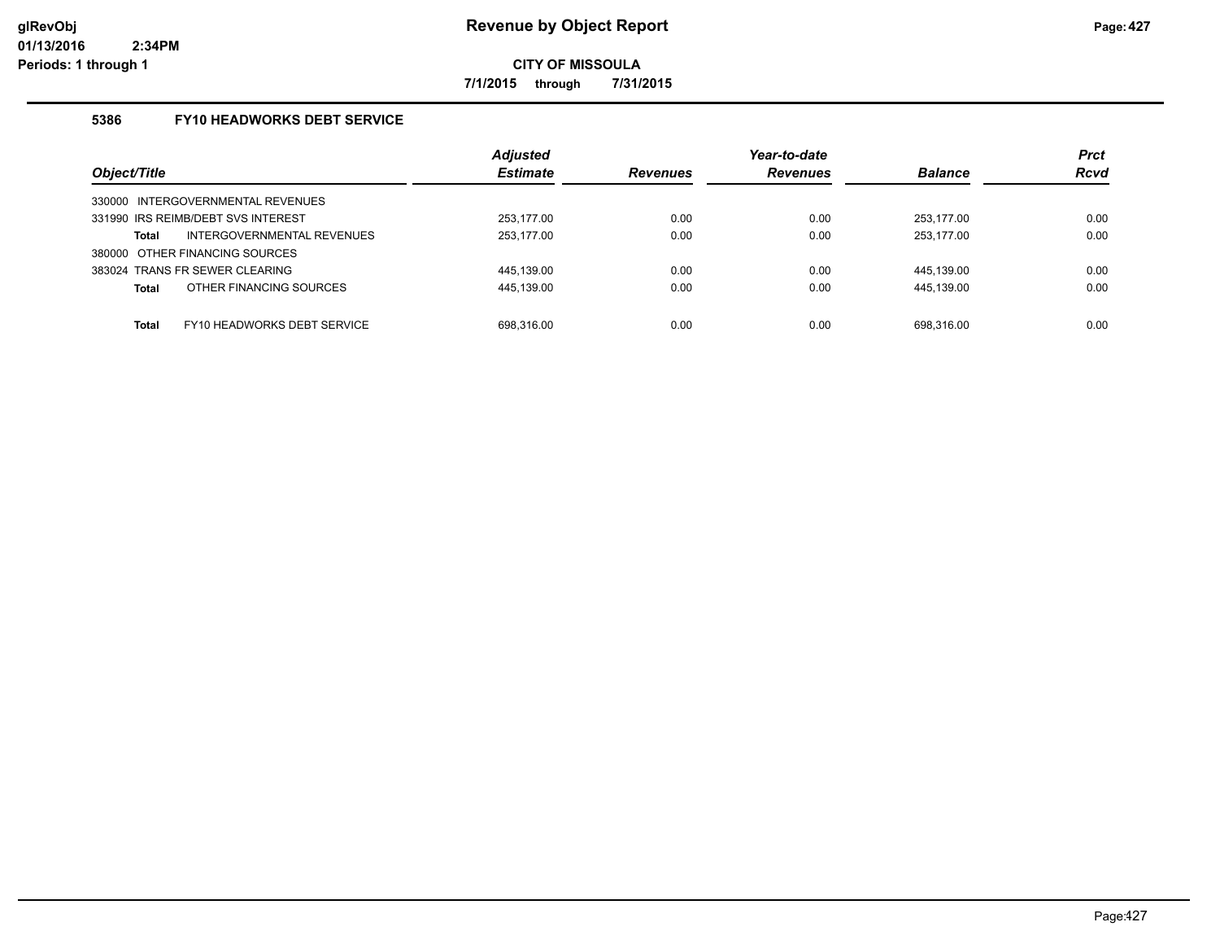**7/1/2015 through 7/31/2015**

## **5386 FY10 HEADWORKS DEBT SERVICE**

| Object/Title                                       | <b>Adjusted</b><br><b>Estimate</b> | <b>Revenues</b> | Year-to-date<br><b>Revenues</b> | <b>Balance</b> | <b>Prct</b><br><b>Rcvd</b> |
|----------------------------------------------------|------------------------------------|-----------------|---------------------------------|----------------|----------------------------|
| 330000 INTERGOVERNMENTAL REVENUES                  |                                    |                 |                                 |                |                            |
| 331990 IRS REIMB/DEBT SVS INTEREST                 | 253.177.00                         | 0.00            | 0.00                            | 253.177.00     | 0.00                       |
| <b>INTERGOVERNMENTAL REVENUES</b><br>Total         | 253,177.00                         | 0.00            | 0.00                            | 253.177.00     | 0.00                       |
| 380000 OTHER FINANCING SOURCES                     |                                    |                 |                                 |                |                            |
| 383024 TRANS FR SEWER CLEARING                     | 445,139.00                         | 0.00            | 0.00                            | 445.139.00     | 0.00                       |
| OTHER FINANCING SOURCES<br>Total                   | 445,139.00                         | 0.00            | 0.00                            | 445,139.00     | 0.00                       |
|                                                    |                                    |                 |                                 |                |                            |
| <b>FY10 HEADWORKS DEBT SERVICE</b><br><b>Total</b> | 698.316.00                         | 0.00            | 0.00                            | 698.316.00     | 0.00                       |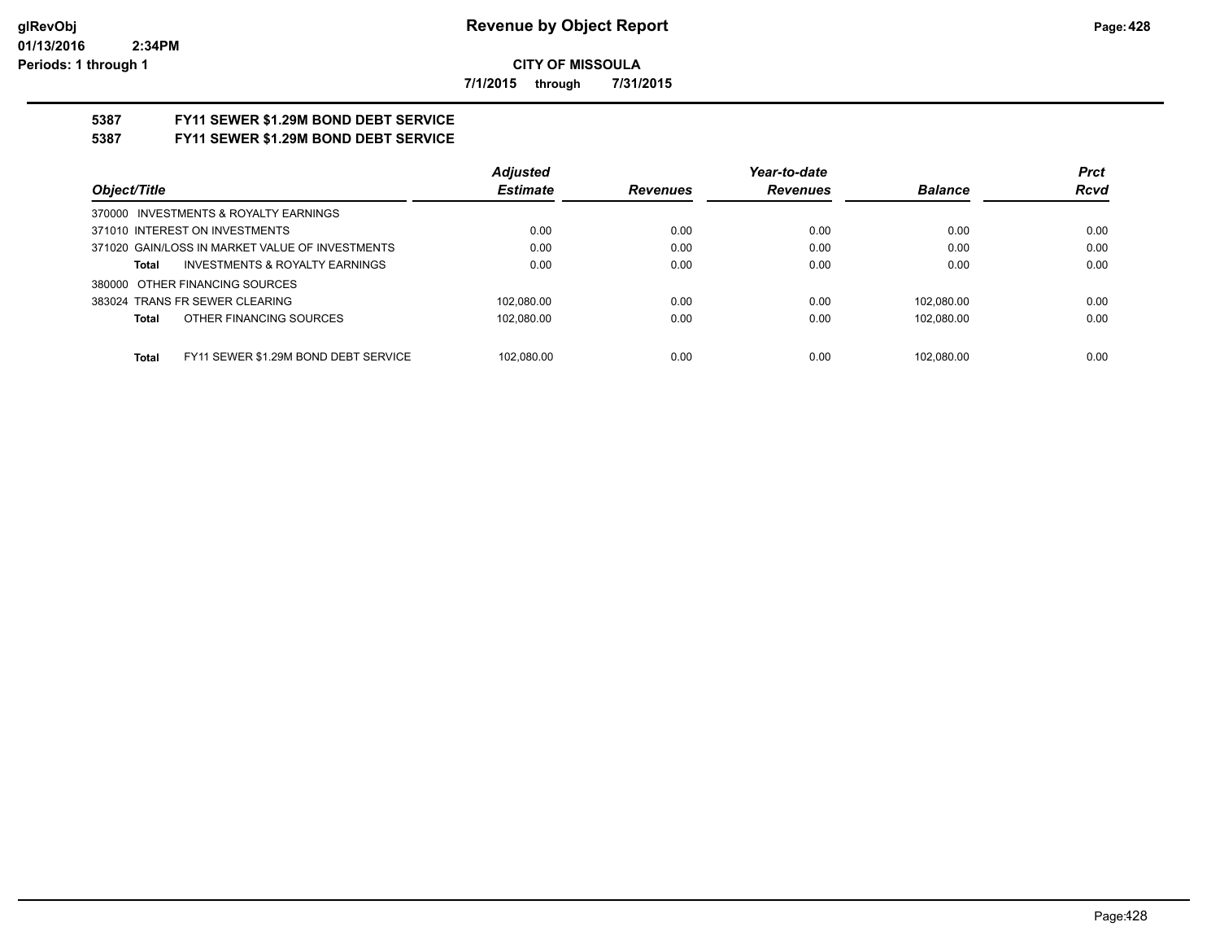**7/1/2015 through 7/31/2015**

# **5387 FY11 SEWER \$1.29M BOND DEBT SERVICE**

## **5387 FY11 SEWER \$1.29M BOND DEBT SERVICE**

|                                                      | <b>Adjusted</b> |                 | Year-to-date    |                | <b>Prct</b> |
|------------------------------------------------------|-----------------|-----------------|-----------------|----------------|-------------|
| Object/Title                                         | <b>Estimate</b> | <b>Revenues</b> | <b>Revenues</b> | <b>Balance</b> | <b>Rcvd</b> |
| 370000 INVESTMENTS & ROYALTY EARNINGS                |                 |                 |                 |                |             |
| 371010 INTEREST ON INVESTMENTS                       | 0.00            | 0.00            | 0.00            | 0.00           | 0.00        |
| 371020 GAIN/LOSS IN MARKET VALUE OF INVESTMENTS      | 0.00            | 0.00            | 0.00            | 0.00           | 0.00        |
| <b>INVESTMENTS &amp; ROYALTY EARNINGS</b><br>Total   | 0.00            | 0.00            | 0.00            | 0.00           | 0.00        |
| 380000 OTHER FINANCING SOURCES                       |                 |                 |                 |                |             |
| 383024 TRANS FR SEWER CLEARING                       | 102.080.00      | 0.00            | 0.00            | 102.080.00     | 0.00        |
| OTHER FINANCING SOURCES<br>Total                     | 102.080.00      | 0.00            | 0.00            | 102.080.00     | 0.00        |
|                                                      |                 |                 |                 |                |             |
| FY11 SEWER \$1.29M BOND DEBT SERVICE<br><b>Total</b> | 102.080.00      | 0.00            | 0.00            | 102.080.00     | 0.00        |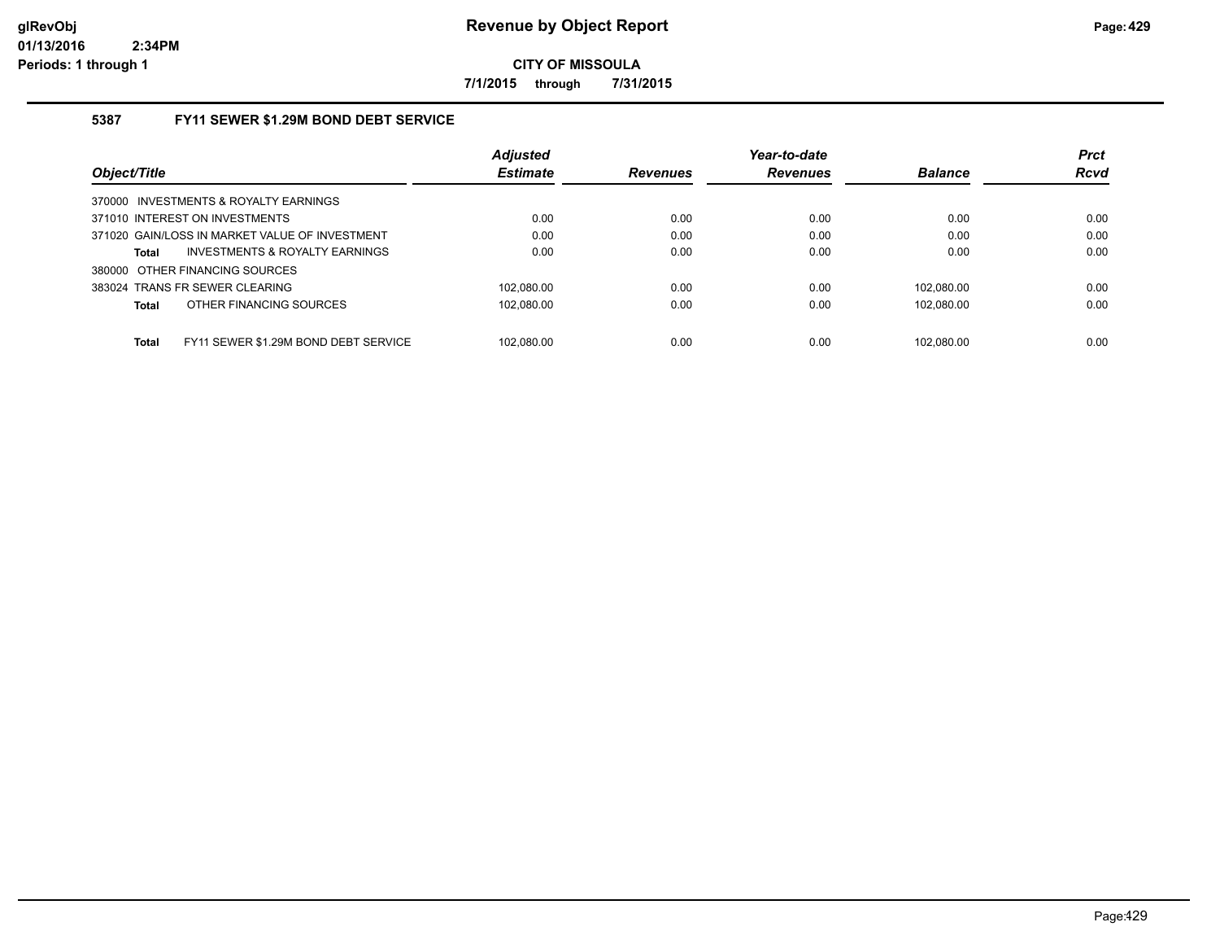**7/1/2015 through 7/31/2015**

## **5387 FY11 SEWER \$1.29M BOND DEBT SERVICE**

|                                                      | <b>Adjusted</b> |                 | Year-to-date    |                | <b>Prct</b> |
|------------------------------------------------------|-----------------|-----------------|-----------------|----------------|-------------|
| Object/Title                                         | <b>Estimate</b> | <b>Revenues</b> | <b>Revenues</b> | <b>Balance</b> | <b>Rcvd</b> |
| 370000 INVESTMENTS & ROYALTY EARNINGS                |                 |                 |                 |                |             |
| 371010 INTEREST ON INVESTMENTS                       | 0.00            | 0.00            | 0.00            | 0.00           | 0.00        |
| 371020 GAIN/LOSS IN MARKET VALUE OF INVESTMENT       | 0.00            | 0.00            | 0.00            | 0.00           | 0.00        |
| INVESTMENTS & ROYALTY EARNINGS<br><b>Total</b>       | 0.00            | 0.00            | 0.00            | 0.00           | 0.00        |
| 380000 OTHER FINANCING SOURCES                       |                 |                 |                 |                |             |
| 383024 TRANS FR SEWER CLEARING                       | 102.080.00      | 0.00            | 0.00            | 102.080.00     | 0.00        |
| OTHER FINANCING SOURCES<br><b>Total</b>              | 102.080.00      | 0.00            | 0.00            | 102.080.00     | 0.00        |
|                                                      |                 |                 |                 |                |             |
| <b>Total</b><br>FY11 SEWER \$1.29M BOND DEBT SERVICE | 102.080.00      | 0.00            | 0.00            | 102.080.00     | 0.00        |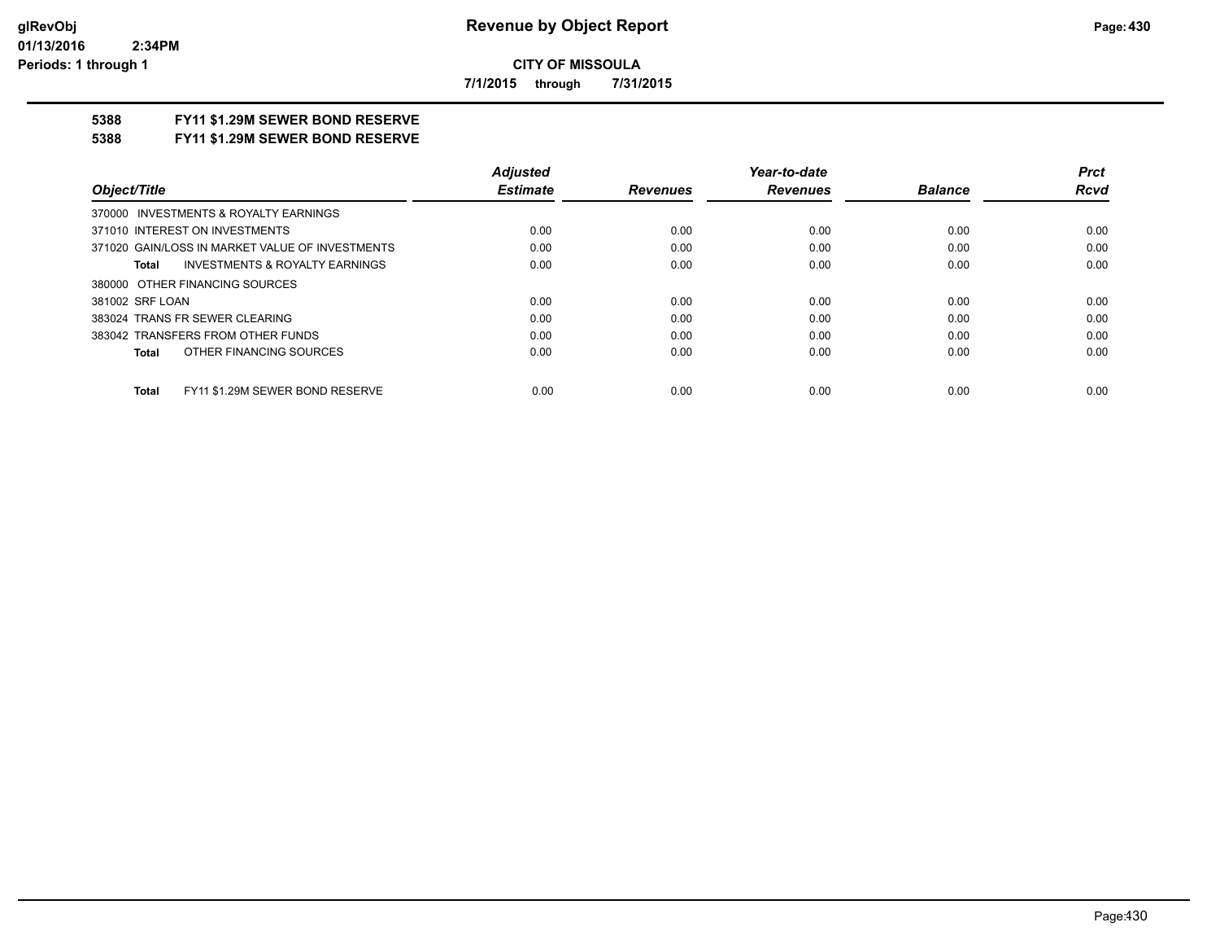**7/1/2015 through 7/31/2015**

## **5388 FY11 \$1.29M SEWER BOND RESERVE**

#### **5388 FY11 \$1.29M SEWER BOND RESERVE**

|                                                    | <b>Adjusted</b> |                 | Year-to-date    |                | <b>Prct</b> |
|----------------------------------------------------|-----------------|-----------------|-----------------|----------------|-------------|
| Object/Title                                       | <b>Estimate</b> | <b>Revenues</b> | <b>Revenues</b> | <b>Balance</b> | <b>Rcvd</b> |
| 370000 INVESTMENTS & ROYALTY EARNINGS              |                 |                 |                 |                |             |
| 371010 INTEREST ON INVESTMENTS                     | 0.00            | 0.00            | 0.00            | 0.00           | 0.00        |
| 371020 GAIN/LOSS IN MARKET VALUE OF INVESTMENTS    | 0.00            | 0.00            | 0.00            | 0.00           | 0.00        |
| <b>INVESTMENTS &amp; ROYALTY EARNINGS</b><br>Total | 0.00            | 0.00            | 0.00            | 0.00           | 0.00        |
| 380000 OTHER FINANCING SOURCES                     |                 |                 |                 |                |             |
| 381002 SRF LOAN                                    | 0.00            | 0.00            | 0.00            | 0.00           | 0.00        |
| 383024 TRANS FR SEWER CLEARING                     | 0.00            | 0.00            | 0.00            | 0.00           | 0.00        |
| 383042 TRANSFERS FROM OTHER FUNDS                  | 0.00            | 0.00            | 0.00            | 0.00           | 0.00        |
| OTHER FINANCING SOURCES<br>Total                   | 0.00            | 0.00            | 0.00            | 0.00           | 0.00        |
| FY11 \$1.29M SEWER BOND RESERVE<br><b>Total</b>    | 0.00            | 0.00            | 0.00            | 0.00           | 0.00        |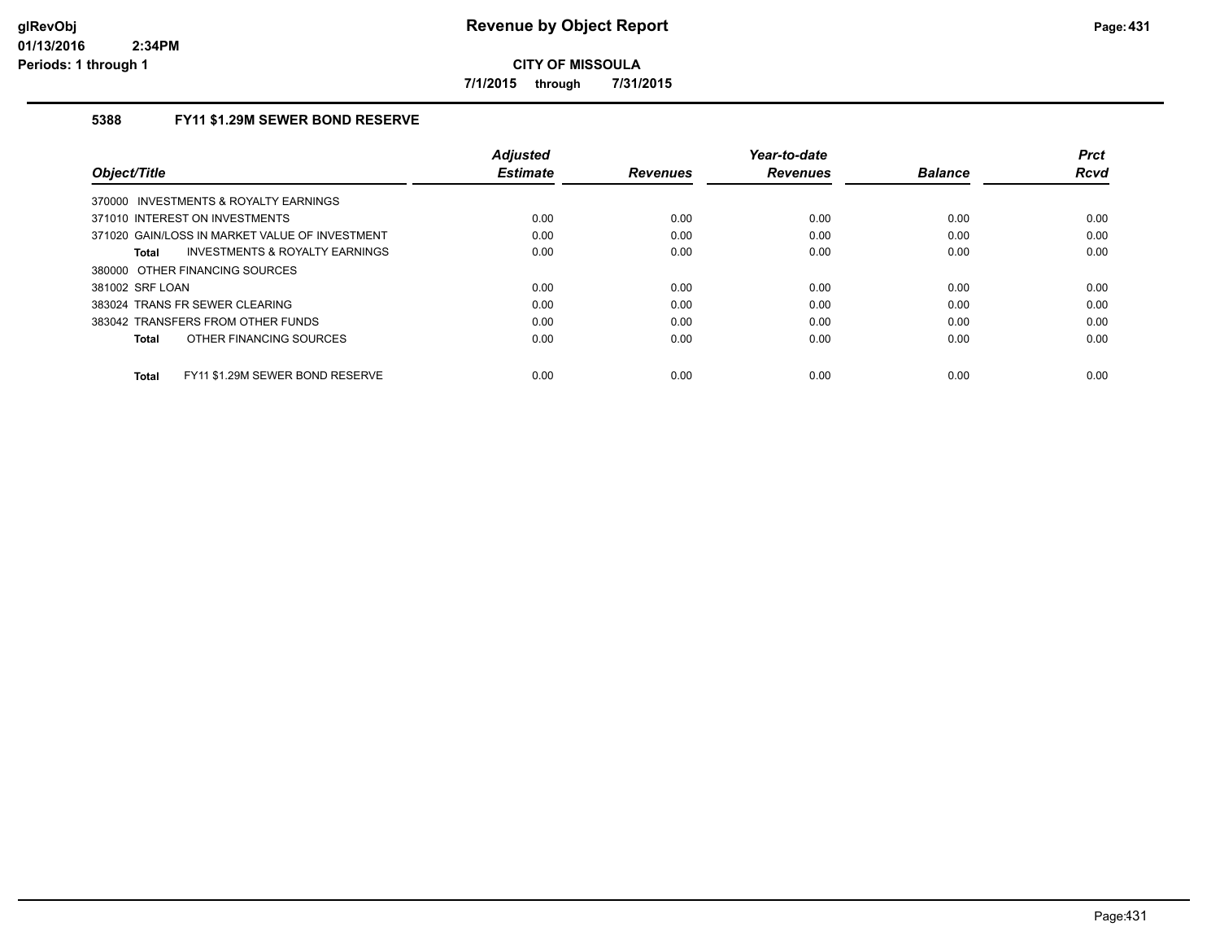**7/1/2015 through 7/31/2015**

## **5388 FY11 \$1.29M SEWER BOND RESERVE**

| Object/Title                                   | <b>Adjusted</b><br><b>Estimate</b> | <b>Revenues</b> | Year-to-date<br><b>Revenues</b> | <b>Balance</b> | <b>Prct</b><br>Rcvd |
|------------------------------------------------|------------------------------------|-----------------|---------------------------------|----------------|---------------------|
| 370000 INVESTMENTS & ROYALTY EARNINGS          |                                    |                 |                                 |                |                     |
| 371010 INTEREST ON INVESTMENTS                 | 0.00                               | 0.00            | 0.00                            | 0.00           | 0.00                |
| 371020 GAIN/LOSS IN MARKET VALUE OF INVESTMENT | 0.00                               | 0.00            | 0.00                            | 0.00           | 0.00                |
| INVESTMENTS & ROYALTY EARNINGS<br>Total        | 0.00                               | 0.00            | 0.00                            | 0.00           | 0.00                |
| 380000 OTHER FINANCING SOURCES                 |                                    |                 |                                 |                |                     |
| 381002 SRF LOAN                                | 0.00                               | 0.00            | 0.00                            | 0.00           | 0.00                |
| 383024 TRANS FR SEWER CLEARING                 | 0.00                               | 0.00            | 0.00                            | 0.00           | 0.00                |
| 383042 TRANSFERS FROM OTHER FUNDS              | 0.00                               | 0.00            | 0.00                            | 0.00           | 0.00                |
| OTHER FINANCING SOURCES<br>Total               | 0.00                               | 0.00            | 0.00                            | 0.00           | 0.00                |
| FY11 \$1.29M SEWER BOND RESERVE<br>Total       | 0.00                               | 0.00            | 0.00                            | 0.00           | 0.00                |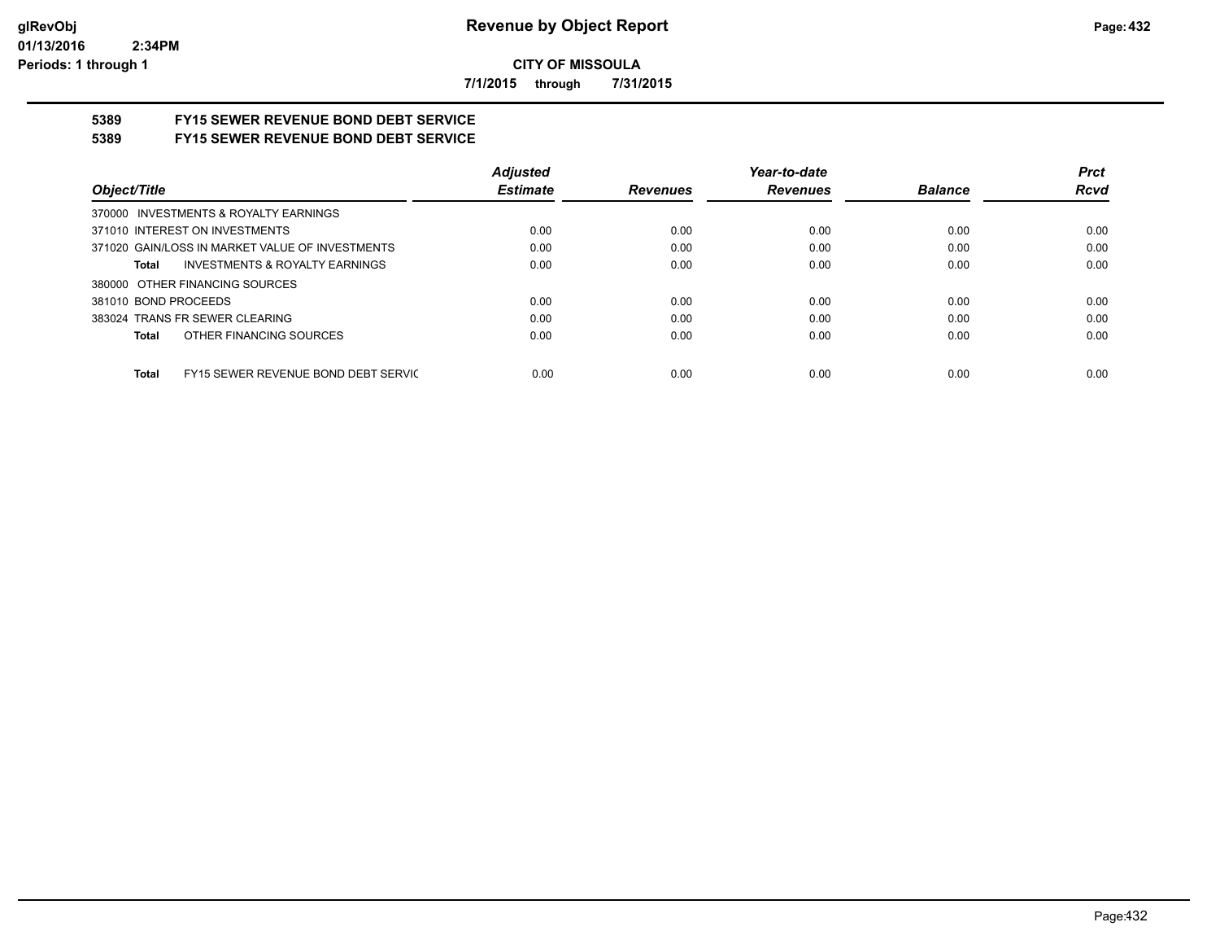**7/1/2015 through 7/31/2015**

# **5389 FY15 SEWER REVENUE BOND DEBT SERVICE**

## **5389 FY15 SEWER REVENUE BOND DEBT SERVICE**

|                                                     | <b>Adjusted</b> |          | Year-to-date    |                | <b>Prct</b> |
|-----------------------------------------------------|-----------------|----------|-----------------|----------------|-------------|
| Object/Title                                        | <b>Estimate</b> | Revenues | <b>Revenues</b> | <b>Balance</b> | <b>Rcvd</b> |
| 370000 INVESTMENTS & ROYALTY EARNINGS               |                 |          |                 |                |             |
| 371010 INTEREST ON INVESTMENTS                      | 0.00            | 0.00     | 0.00            | 0.00           | 0.00        |
| 371020 GAIN/LOSS IN MARKET VALUE OF INVESTMENTS     | 0.00            | 0.00     | 0.00            | 0.00           | 0.00        |
| <b>INVESTMENTS &amp; ROYALTY EARNINGS</b><br>Total  | 0.00            | 0.00     | 0.00            | 0.00           | 0.00        |
| 380000 OTHER FINANCING SOURCES                      |                 |          |                 |                |             |
| 381010 BOND PROCEEDS                                | 0.00            | 0.00     | 0.00            | 0.00           | 0.00        |
| 383024 TRANS FR SEWER CLEARING                      | 0.00            | 0.00     | 0.00            | 0.00           | 0.00        |
| OTHER FINANCING SOURCES<br>Total                    | 0.00            | 0.00     | 0.00            | 0.00           | 0.00        |
|                                                     |                 |          |                 |                |             |
| FY15 SEWER REVENUE BOND DEBT SERVIC<br><b>Total</b> | 0.00            | 0.00     | 0.00            | 0.00           | 0.00        |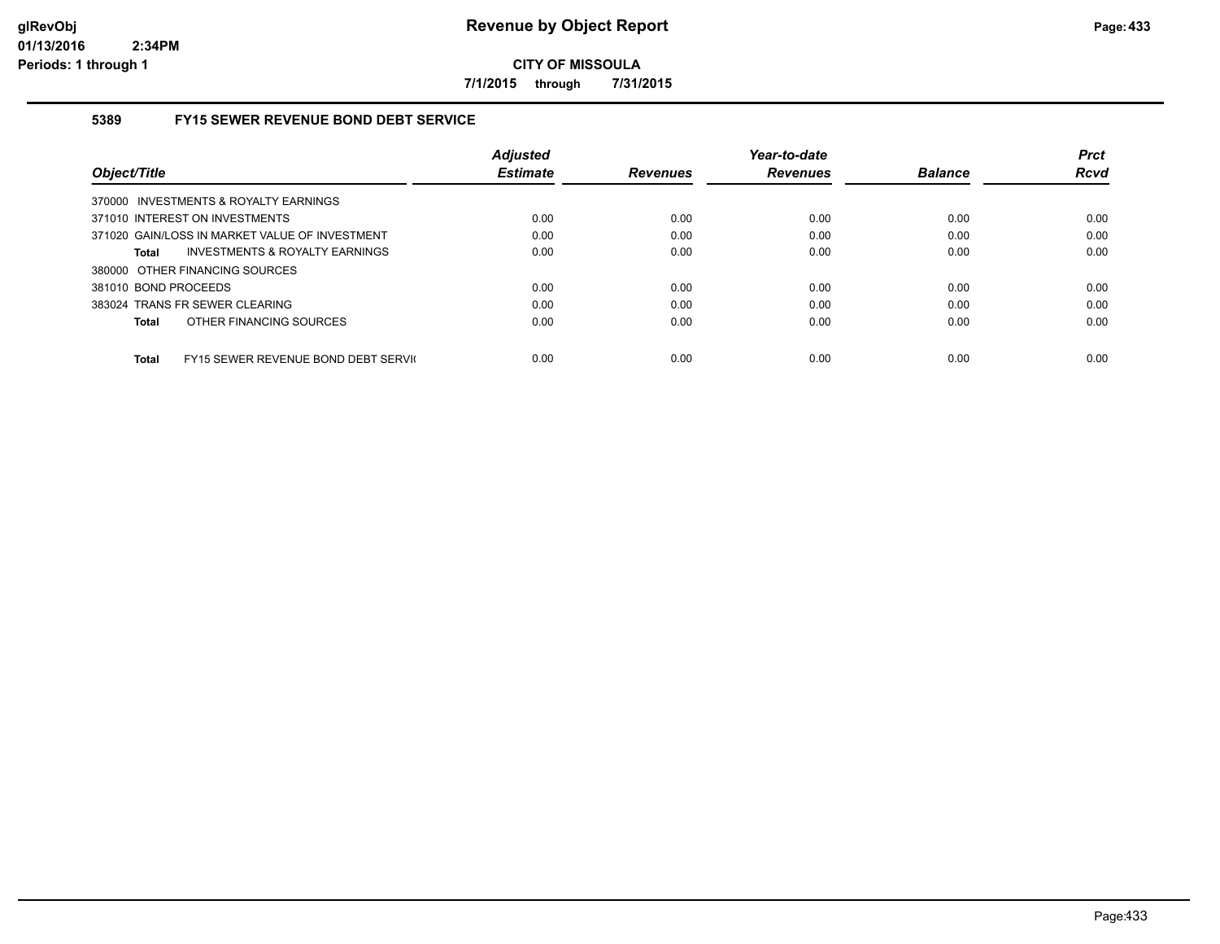**7/1/2015 through 7/31/2015**

#### **5389 FY15 SEWER REVENUE BOND DEBT SERVICE**

|                                                     | <b>Adiusted</b> |                 | Year-to-date    |                | <b>Prct</b> |
|-----------------------------------------------------|-----------------|-----------------|-----------------|----------------|-------------|
| Object/Title                                        | <b>Estimate</b> | <b>Revenues</b> | <b>Revenues</b> | <b>Balance</b> | <b>Rcvd</b> |
| 370000 INVESTMENTS & ROYALTY EARNINGS               |                 |                 |                 |                |             |
| 371010 INTEREST ON INVESTMENTS                      | 0.00            | 0.00            | 0.00            | 0.00           | 0.00        |
| 371020 GAIN/LOSS IN MARKET VALUE OF INVESTMENT      | 0.00            | 0.00            | 0.00            | 0.00           | 0.00        |
| INVESTMENTS & ROYALTY EARNINGS<br>Total             | 0.00            | 0.00            | 0.00            | 0.00           | 0.00        |
| 380000 OTHER FINANCING SOURCES                      |                 |                 |                 |                |             |
| 381010 BOND PROCEEDS                                | 0.00            | 0.00            | 0.00            | 0.00           | 0.00        |
| 383024 TRANS FR SEWER CLEARING                      | 0.00            | 0.00            | 0.00            | 0.00           | 0.00        |
| OTHER FINANCING SOURCES<br><b>Total</b>             | 0.00            | 0.00            | 0.00            | 0.00           | 0.00        |
|                                                     |                 |                 |                 |                |             |
| FY15 SEWER REVENUE BOND DEBT SERVIC<br><b>Total</b> | 0.00            | 0.00            | 0.00            | 0.00           | 0.00        |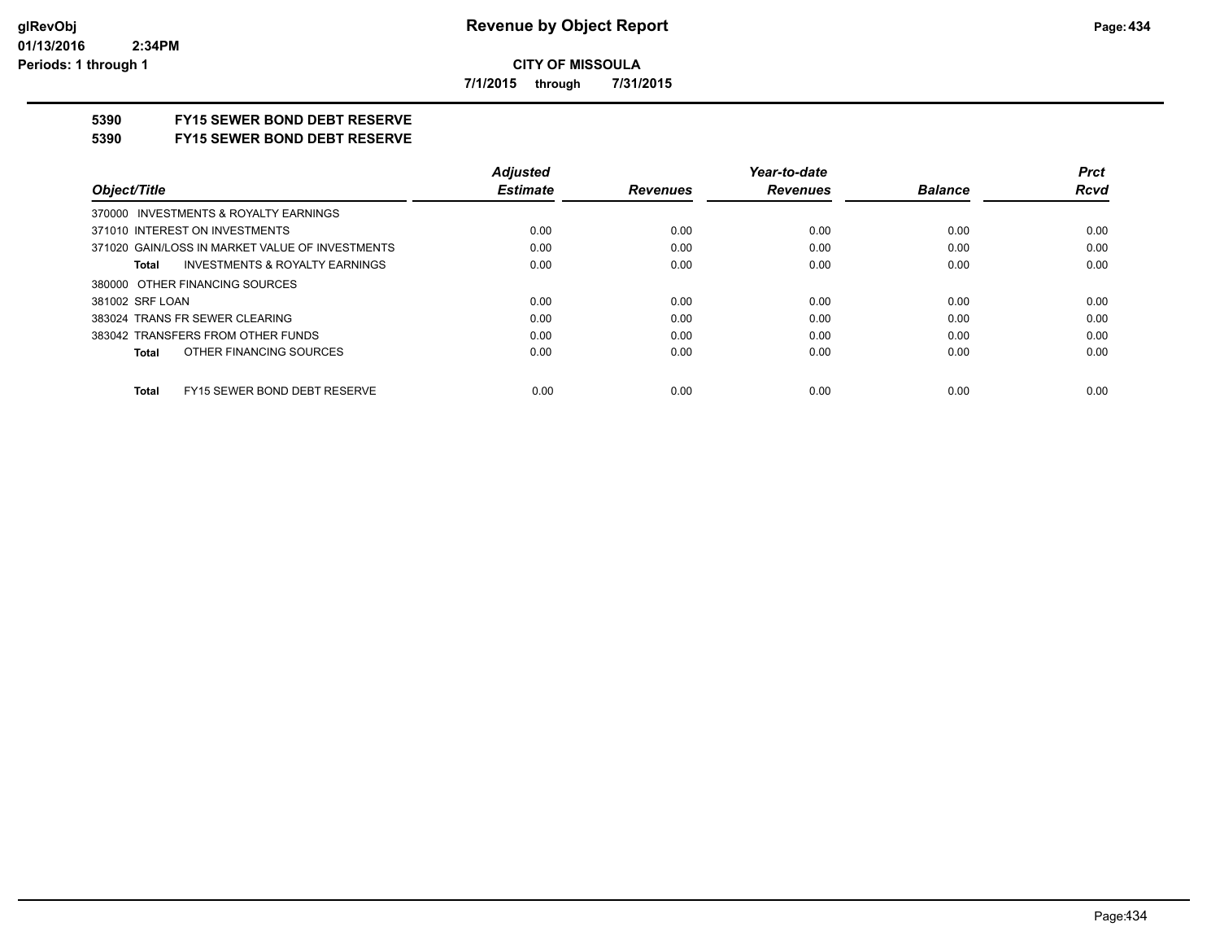**7/1/2015 through 7/31/2015**

## **5390 FY15 SEWER BOND DEBT RESERVE**

#### **5390 FY15 SEWER BOND DEBT RESERVE**

|                                                    | <b>Adjusted</b> |                 | Year-to-date    |                | <b>Prct</b> |
|----------------------------------------------------|-----------------|-----------------|-----------------|----------------|-------------|
| Object/Title                                       | <b>Estimate</b> | <b>Revenues</b> | <b>Revenues</b> | <b>Balance</b> | <b>Rcvd</b> |
| 370000 INVESTMENTS & ROYALTY EARNINGS              |                 |                 |                 |                |             |
| 371010 INTEREST ON INVESTMENTS                     | 0.00            | 0.00            | 0.00            | 0.00           | 0.00        |
| 371020 GAIN/LOSS IN MARKET VALUE OF INVESTMENTS    | 0.00            | 0.00            | 0.00            | 0.00           | 0.00        |
| <b>INVESTMENTS &amp; ROYALTY EARNINGS</b><br>Total | 0.00            | 0.00            | 0.00            | 0.00           | 0.00        |
| 380000 OTHER FINANCING SOURCES                     |                 |                 |                 |                |             |
| 381002 SRF LOAN                                    | 0.00            | 0.00            | 0.00            | 0.00           | 0.00        |
| 383024 TRANS FR SEWER CLEARING                     | 0.00            | 0.00            | 0.00            | 0.00           | 0.00        |
| 383042 TRANSFERS FROM OTHER FUNDS                  | 0.00            | 0.00            | 0.00            | 0.00           | 0.00        |
| OTHER FINANCING SOURCES<br><b>Total</b>            | 0.00            | 0.00            | 0.00            | 0.00           | 0.00        |
|                                                    |                 |                 |                 |                |             |
| FY15 SEWER BOND DEBT RESERVE<br><b>Total</b>       | 0.00            | 0.00            | 0.00            | 0.00           | 0.00        |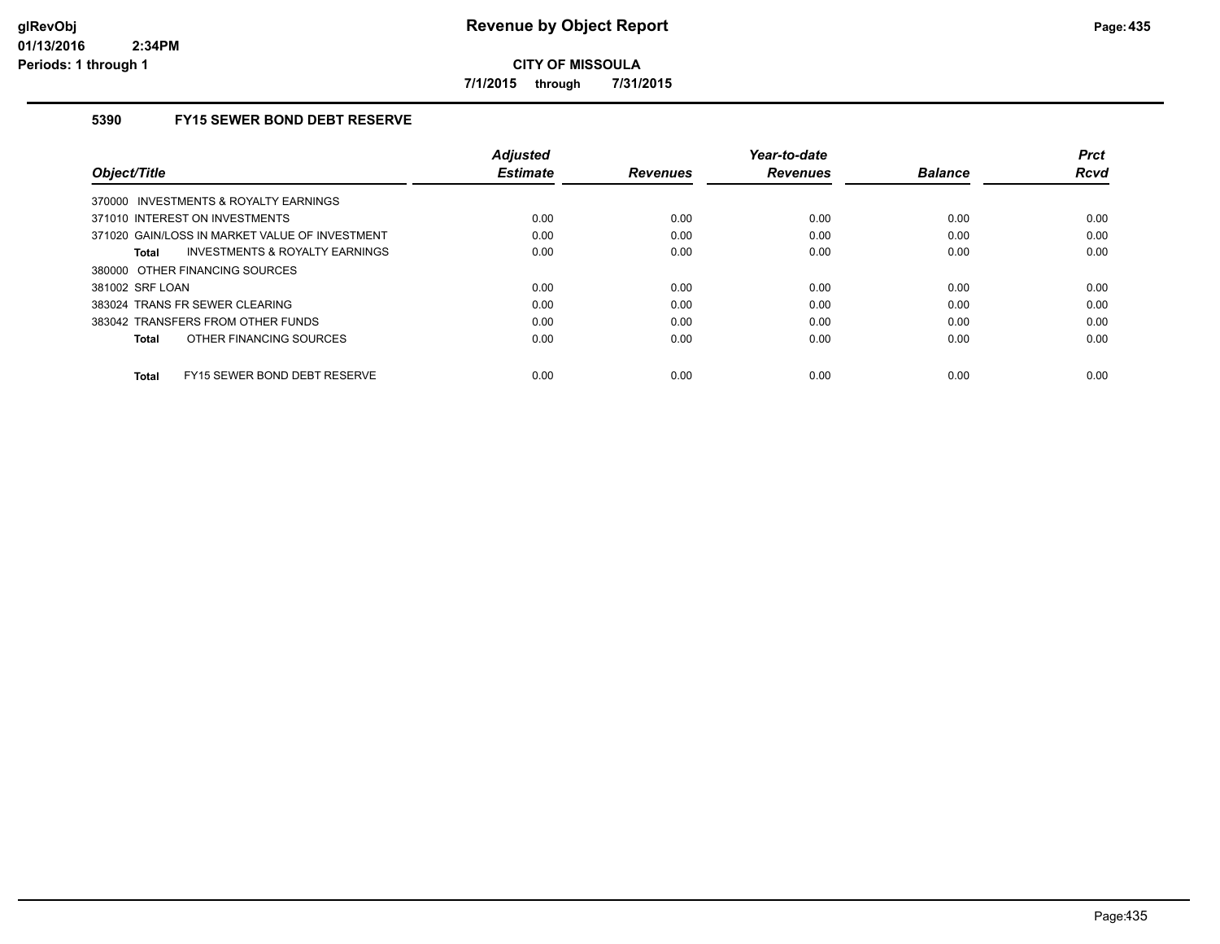**7/1/2015 through 7/31/2015**

## **5390 FY15 SEWER BOND DEBT RESERVE**

| Object/Title                                       | <b>Adjusted</b><br><b>Estimate</b> | <b>Revenues</b> | Year-to-date<br><b>Revenues</b> | <b>Balance</b> | <b>Prct</b><br>Rcvd |
|----------------------------------------------------|------------------------------------|-----------------|---------------------------------|----------------|---------------------|
| 370000 INVESTMENTS & ROYALTY EARNINGS              |                                    |                 |                                 |                |                     |
| 371010 INTEREST ON INVESTMENTS                     | 0.00                               | 0.00            | 0.00                            | 0.00           | 0.00                |
| 371020 GAIN/LOSS IN MARKET VALUE OF INVESTMENT     | 0.00                               | 0.00            | 0.00                            | 0.00           | 0.00                |
| <b>INVESTMENTS &amp; ROYALTY EARNINGS</b><br>Total | 0.00                               | 0.00            | 0.00                            | 0.00           | 0.00                |
| 380000 OTHER FINANCING SOURCES                     |                                    |                 |                                 |                |                     |
| 381002 SRF LOAN                                    | 0.00                               | 0.00            | 0.00                            | 0.00           | 0.00                |
| 383024 TRANS FR SEWER CLEARING                     | 0.00                               | 0.00            | 0.00                            | 0.00           | 0.00                |
| 383042 TRANSFERS FROM OTHER FUNDS                  | 0.00                               | 0.00            | 0.00                            | 0.00           | 0.00                |
| OTHER FINANCING SOURCES<br>Total                   | 0.00                               | 0.00            | 0.00                            | 0.00           | 0.00                |
| FY15 SEWER BOND DEBT RESERVE<br>Total              | 0.00                               | 0.00            | 0.00                            | 0.00           | 0.00                |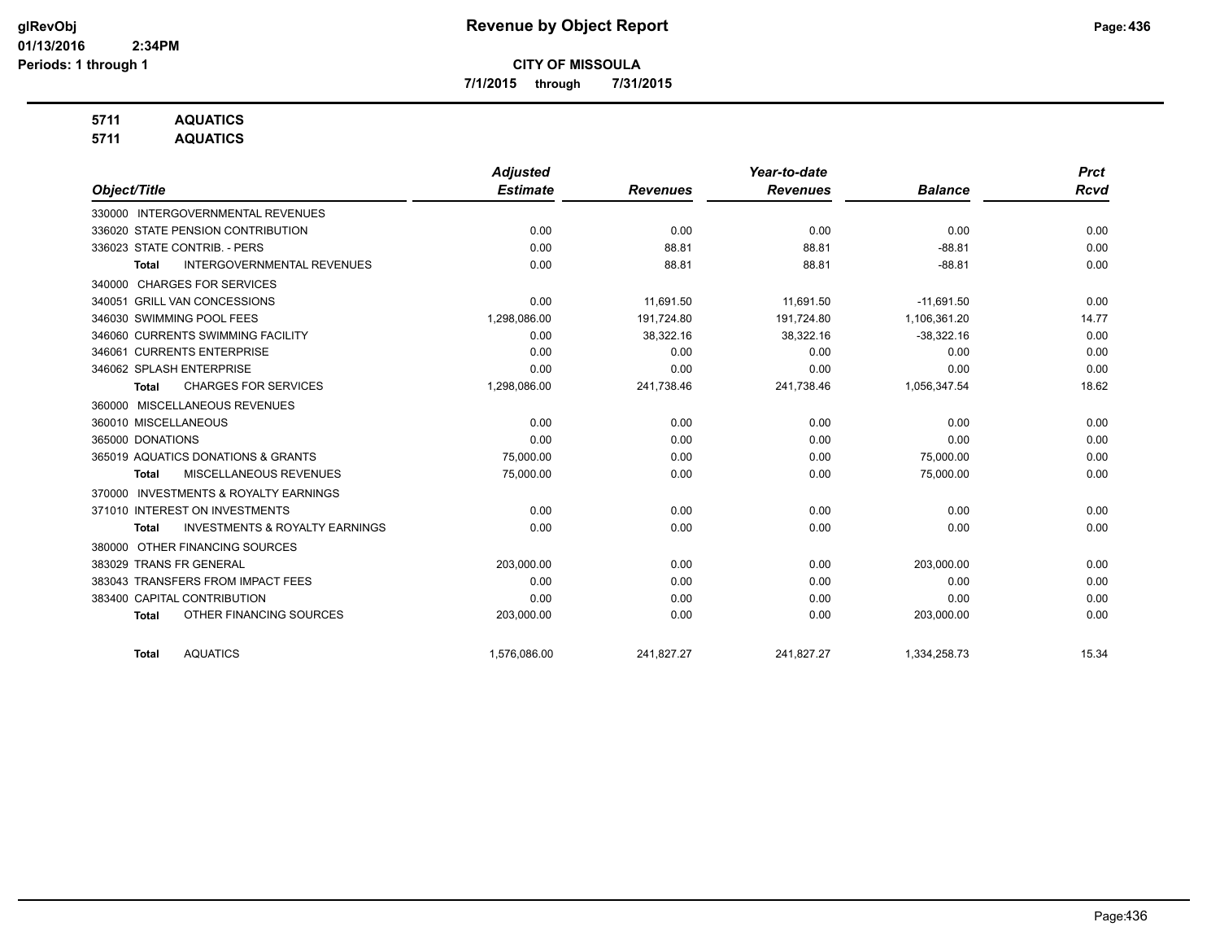**7/1/2015 through 7/31/2015**

## **5711 AQUATICS**

**5711 AQUATICS**

|                                                           | <b>Adjusted</b> |                 | Year-to-date    |                | <b>Prct</b> |
|-----------------------------------------------------------|-----------------|-----------------|-----------------|----------------|-------------|
| Object/Title                                              | <b>Estimate</b> | <b>Revenues</b> | <b>Revenues</b> | <b>Balance</b> | <b>Rcvd</b> |
| 330000 INTERGOVERNMENTAL REVENUES                         |                 |                 |                 |                |             |
| 336020 STATE PENSION CONTRIBUTION                         | 0.00            | 0.00            | 0.00            | 0.00           | 0.00        |
| 336023 STATE CONTRIB. - PERS                              | 0.00            | 88.81           | 88.81           | $-88.81$       | 0.00        |
| <b>INTERGOVERNMENTAL REVENUES</b><br><b>Total</b>         | 0.00            | 88.81           | 88.81           | $-88.81$       | 0.00        |
| <b>CHARGES FOR SERVICES</b><br>340000                     |                 |                 |                 |                |             |
| 340051 GRILL VAN CONCESSIONS                              | 0.00            | 11,691.50       | 11.691.50       | $-11,691.50$   | 0.00        |
| 346030 SWIMMING POOL FEES                                 | 1,298,086.00    | 191,724.80      | 191,724.80      | 1,106,361.20   | 14.77       |
| 346060 CURRENTS SWIMMING FACILITY                         | 0.00            | 38,322.16       | 38,322.16       | $-38,322.16$   | 0.00        |
| 346061 CURRENTS ENTERPRISE                                | 0.00            | 0.00            | 0.00            | 0.00           | 0.00        |
| 346062 SPLASH ENTERPRISE                                  | 0.00            | 0.00            | 0.00            | 0.00           | 0.00        |
| <b>CHARGES FOR SERVICES</b><br><b>Total</b>               | 1,298,086.00    | 241,738.46      | 241,738.46      | 1,056,347.54   | 18.62       |
| MISCELLANEOUS REVENUES<br>360000                          |                 |                 |                 |                |             |
| 360010 MISCELLANEOUS                                      | 0.00            | 0.00            | 0.00            | 0.00           | 0.00        |
| 365000 DONATIONS                                          | 0.00            | 0.00            | 0.00            | 0.00           | 0.00        |
| 365019 AQUATICS DONATIONS & GRANTS                        | 75,000.00       | 0.00            | 0.00            | 75,000.00      | 0.00        |
| MISCELLANEOUS REVENUES<br><b>Total</b>                    | 75,000.00       | 0.00            | 0.00            | 75,000.00      | 0.00        |
| <b>INVESTMENTS &amp; ROYALTY EARNINGS</b><br>370000       |                 |                 |                 |                |             |
| 371010 INTEREST ON INVESTMENTS                            | 0.00            | 0.00            | 0.00            | 0.00           | 0.00        |
| <b>INVESTMENTS &amp; ROYALTY EARNINGS</b><br><b>Total</b> | 0.00            | 0.00            | 0.00            | 0.00           | 0.00        |
| OTHER FINANCING SOURCES<br>380000                         |                 |                 |                 |                |             |
| 383029 TRANS FR GENERAL                                   | 203,000.00      | 0.00            | 0.00            | 203,000.00     | 0.00        |
| 383043 TRANSFERS FROM IMPACT FEES                         | 0.00            | 0.00            | 0.00            | 0.00           | 0.00        |
| 383400 CAPITAL CONTRIBUTION                               | 0.00            | 0.00            | 0.00            | 0.00           | 0.00        |
| OTHER FINANCING SOURCES<br><b>Total</b>                   | 203,000.00      | 0.00            | 0.00            | 203,000.00     | 0.00        |
| <b>AQUATICS</b><br><b>Total</b>                           | 1,576,086.00    | 241,827.27      | 241,827.27      | 1,334,258.73   | 15.34       |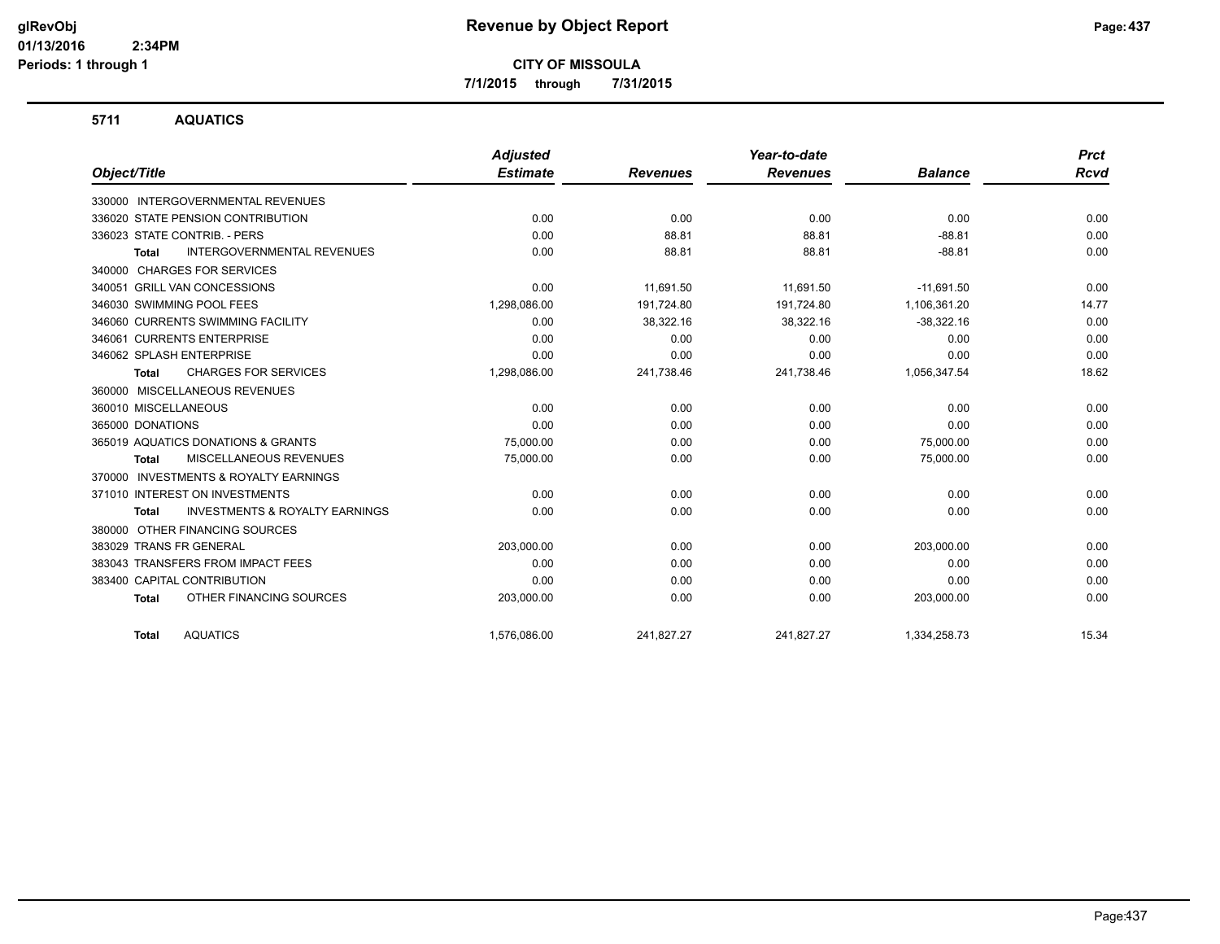**7/1/2015 through 7/31/2015**

**5711 AQUATICS**

|                                                     | <b>Adjusted</b> |                 | Year-to-date    |                | <b>Prct</b> |
|-----------------------------------------------------|-----------------|-----------------|-----------------|----------------|-------------|
| Object/Title                                        | <b>Estimate</b> | <b>Revenues</b> | <b>Revenues</b> | <b>Balance</b> | <b>Rcvd</b> |
| 330000 INTERGOVERNMENTAL REVENUES                   |                 |                 |                 |                |             |
| 336020 STATE PENSION CONTRIBUTION                   | 0.00            | 0.00            | 0.00            | 0.00           | 0.00        |
| 336023 STATE CONTRIB. - PERS                        | 0.00            | 88.81           | 88.81           | $-88.81$       | 0.00        |
| <b>INTERGOVERNMENTAL REVENUES</b><br><b>Total</b>   | 0.00            | 88.81           | 88.81           | $-88.81$       | 0.00        |
| 340000 CHARGES FOR SERVICES                         |                 |                 |                 |                |             |
| 340051 GRILL VAN CONCESSIONS                        | 0.00            | 11,691.50       | 11,691.50       | $-11,691.50$   | 0.00        |
| 346030 SWIMMING POOL FEES                           | 1,298,086.00    | 191,724.80      | 191,724.80      | 1,106,361.20   | 14.77       |
| 346060 CURRENTS SWIMMING FACILITY                   | 0.00            | 38,322.16       | 38,322.16       | $-38,322.16$   | 0.00        |
| 346061 CURRENTS ENTERPRISE                          | 0.00            | 0.00            | 0.00            | 0.00           | 0.00        |
| 346062 SPLASH ENTERPRISE                            | 0.00            | 0.00            | 0.00            | 0.00           | 0.00        |
| <b>CHARGES FOR SERVICES</b><br>Total                | 1,298,086.00    | 241,738.46      | 241,738.46      | 1,056,347.54   | 18.62       |
| 360000 MISCELLANEOUS REVENUES                       |                 |                 |                 |                |             |
| 360010 MISCELLANEOUS                                | 0.00            | 0.00            | 0.00            | 0.00           | 0.00        |
| 365000 DONATIONS                                    | 0.00            | 0.00            | 0.00            | 0.00           | 0.00        |
| 365019 AQUATICS DONATIONS & GRANTS                  | 75,000.00       | 0.00            | 0.00            | 75,000.00      | 0.00        |
| <b>MISCELLANEOUS REVENUES</b><br><b>Total</b>       | 75,000.00       | 0.00            | 0.00            | 75,000.00      | 0.00        |
| <b>INVESTMENTS &amp; ROYALTY EARNINGS</b><br>370000 |                 |                 |                 |                |             |
| 371010 INTEREST ON INVESTMENTS                      | 0.00            | 0.00            | 0.00            | 0.00           | 0.00        |
| <b>INVESTMENTS &amp; ROYALTY EARNINGS</b><br>Total  | 0.00            | 0.00            | 0.00            | 0.00           | 0.00        |
| OTHER FINANCING SOURCES<br>380000                   |                 |                 |                 |                |             |
| 383029 TRANS FR GENERAL                             | 203,000.00      | 0.00            | 0.00            | 203,000.00     | 0.00        |
| 383043 TRANSFERS FROM IMPACT FEES                   | 0.00            | 0.00            | 0.00            | 0.00           | 0.00        |
| 383400 CAPITAL CONTRIBUTION                         | 0.00            | 0.00            | 0.00            | 0.00           | 0.00        |
| OTHER FINANCING SOURCES<br><b>Total</b>             | 203,000.00      | 0.00            | 0.00            | 203,000.00     | 0.00        |
| <b>AQUATICS</b><br><b>Total</b>                     | 1,576,086.00    | 241,827.27      | 241.827.27      | 1,334,258.73   | 15.34       |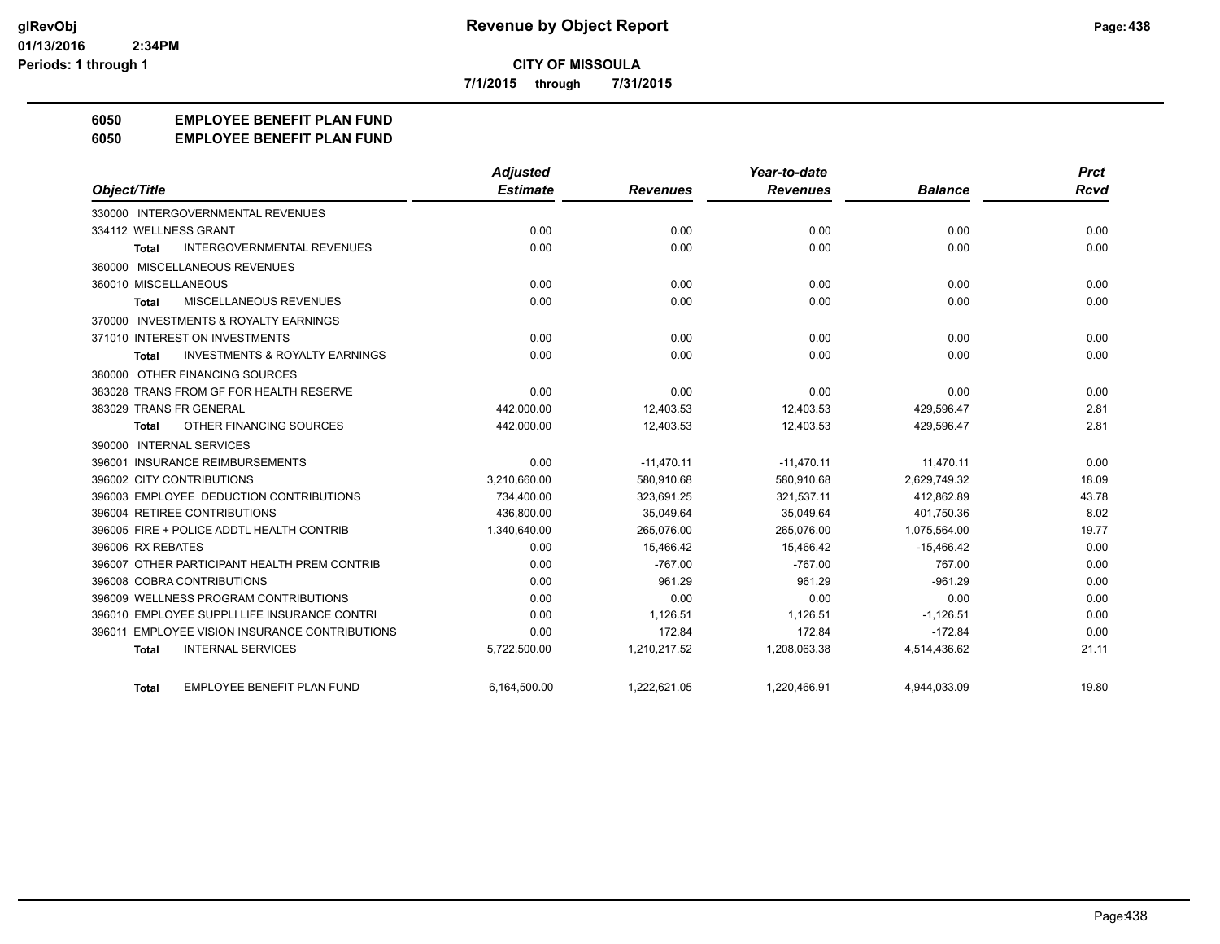**7/1/2015 through 7/31/2015**

# **6050 EMPLOYEE BENEFIT PLAN FUND**

**6050 EMPLOYEE BENEFIT PLAN FUND**

|                                                           | <b>Adjusted</b> |                 | Year-to-date    |                | <b>Prct</b> |
|-----------------------------------------------------------|-----------------|-----------------|-----------------|----------------|-------------|
| Object/Title                                              | <b>Estimate</b> | <b>Revenues</b> | <b>Revenues</b> | <b>Balance</b> | <b>Rcvd</b> |
| 330000 INTERGOVERNMENTAL REVENUES                         |                 |                 |                 |                |             |
| 334112 WELLNESS GRANT                                     | 0.00            | 0.00            | 0.00            | 0.00           | 0.00        |
| <b>INTERGOVERNMENTAL REVENUES</b><br><b>Total</b>         | 0.00            | 0.00            | 0.00            | 0.00           | 0.00        |
| 360000 MISCELLANEOUS REVENUES                             |                 |                 |                 |                |             |
| 360010 MISCELLANEOUS                                      | 0.00            | 0.00            | 0.00            | 0.00           | 0.00        |
| MISCELLANEOUS REVENUES<br><b>Total</b>                    | 0.00            | 0.00            | 0.00            | 0.00           | 0.00        |
| 370000 INVESTMENTS & ROYALTY EARNINGS                     |                 |                 |                 |                |             |
| 371010 INTEREST ON INVESTMENTS                            | 0.00            | 0.00            | 0.00            | 0.00           | 0.00        |
| <b>INVESTMENTS &amp; ROYALTY EARNINGS</b><br><b>Total</b> | 0.00            | 0.00            | 0.00            | 0.00           | 0.00        |
| 380000 OTHER FINANCING SOURCES                            |                 |                 |                 |                |             |
| 383028 TRANS FROM GF FOR HEALTH RESERVE                   | 0.00            | 0.00            | 0.00            | 0.00           | 0.00        |
| 383029 TRANS FR GENERAL                                   | 442,000.00      | 12,403.53       | 12,403.53       | 429,596.47     | 2.81        |
| OTHER FINANCING SOURCES<br><b>Total</b>                   | 442,000.00      | 12,403.53       | 12,403.53       | 429,596.47     | 2.81        |
| 390000 INTERNAL SERVICES                                  |                 |                 |                 |                |             |
| 396001 INSURANCE REIMBURSEMENTS                           | 0.00            | $-11,470.11$    | $-11,470.11$    | 11,470.11      | 0.00        |
| 396002 CITY CONTRIBUTIONS                                 | 3,210,660.00    | 580,910.68      | 580,910.68      | 2,629,749.32   | 18.09       |
| 396003 EMPLOYEE DEDUCTION CONTRIBUTIONS                   | 734,400.00      | 323,691.25      | 321,537.11      | 412.862.89     | 43.78       |
| 396004 RETIREE CONTRIBUTIONS                              | 436,800.00      | 35,049.64       | 35,049.64       | 401,750.36     | 8.02        |
| 396005 FIRE + POLICE ADDTL HEALTH CONTRIB                 | 1,340,640.00    | 265,076.00      | 265,076.00      | 1,075,564.00   | 19.77       |
| 396006 RX REBATES                                         | 0.00            | 15,466.42       | 15,466.42       | $-15,466.42$   | 0.00        |
| 396007 OTHER PARTICIPANT HEALTH PREM CONTRIB              | 0.00            | $-767.00$       | $-767.00$       | 767.00         | 0.00        |
| 396008 COBRA CONTRIBUTIONS                                | 0.00            | 961.29          | 961.29          | $-961.29$      | 0.00        |
| 396009 WELLNESS PROGRAM CONTRIBUTIONS                     | 0.00            | 0.00            | 0.00            | 0.00           | 0.00        |
| 396010 EMPLOYEE SUPPLI LIFE INSURANCE CONTRI              | 0.00            | 1,126.51        | 1,126.51        | $-1,126.51$    | 0.00        |
| 396011 EMPLOYEE VISION INSURANCE CONTRIBUTIONS            | 0.00            | 172.84          | 172.84          | $-172.84$      | 0.00        |
| <b>INTERNAL SERVICES</b><br><b>Total</b>                  | 5,722,500.00    | 1,210,217.52    | 1,208,063.38    | 4,514,436.62   | 21.11       |
| EMPLOYEE BENEFIT PLAN FUND<br><b>Total</b>                | 6,164,500.00    | 1.222.621.05    | 1,220,466.91    | 4,944,033.09   | 19.80       |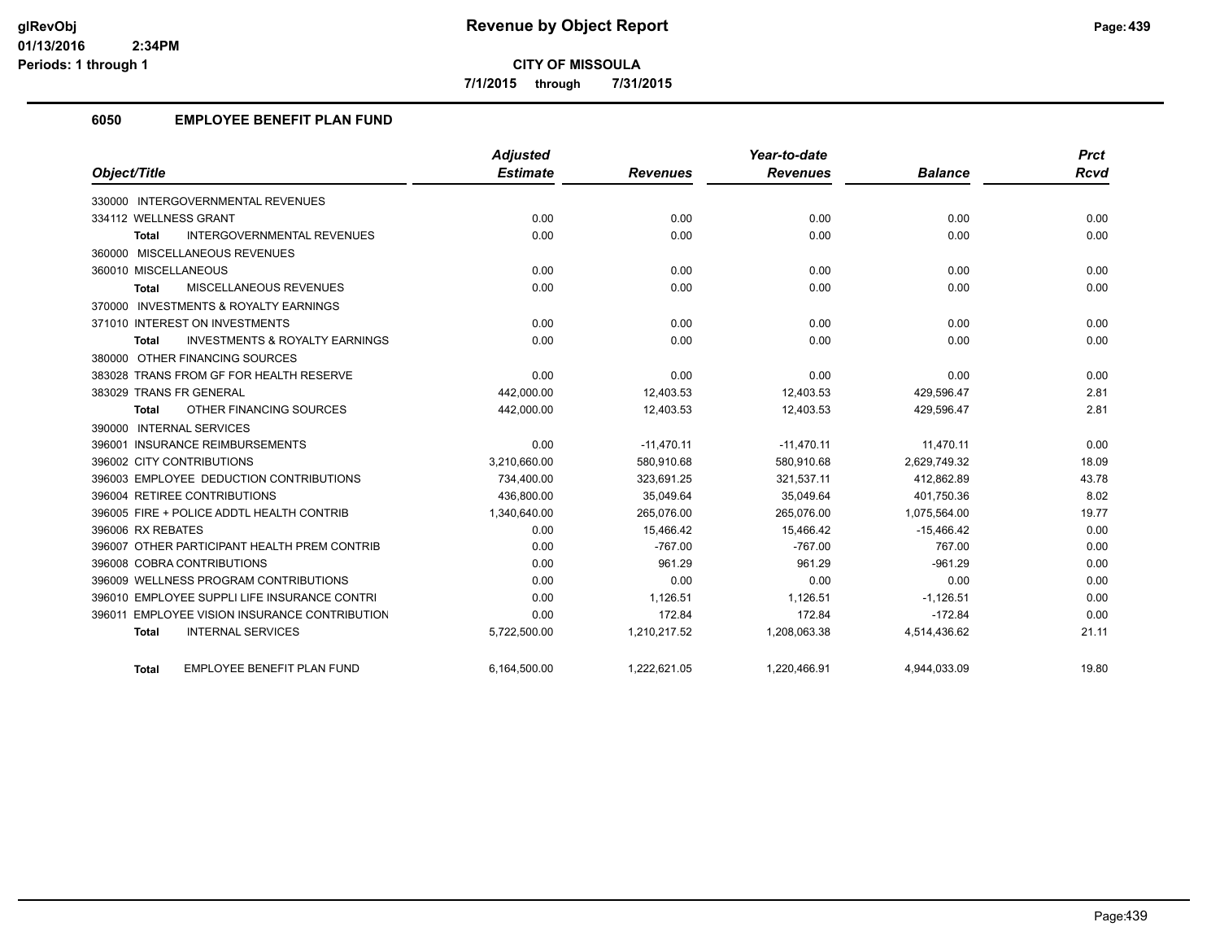**7/1/2015 through 7/31/2015**

## **6050 EMPLOYEE BENEFIT PLAN FUND**

| Object/Title                                              | <b>Adjusted</b><br><b>Estimate</b> | <b>Revenues</b> | Year-to-date<br><b>Revenues</b> | <b>Balance</b> | <b>Prct</b><br><b>Rcvd</b> |
|-----------------------------------------------------------|------------------------------------|-----------------|---------------------------------|----------------|----------------------------|
|                                                           |                                    |                 |                                 |                |                            |
| 330000 INTERGOVERNMENTAL REVENUES                         |                                    |                 |                                 |                |                            |
| 334112 WELLNESS GRANT                                     | 0.00                               | 0.00            | 0.00                            | 0.00           | 0.00                       |
| <b>INTERGOVERNMENTAL REVENUES</b><br><b>Total</b>         | 0.00                               | 0.00            | 0.00                            | 0.00           | 0.00                       |
| 360000 MISCELLANEOUS REVENUES                             |                                    |                 |                                 |                |                            |
| 360010 MISCELLANEOUS                                      | 0.00                               | 0.00            | 0.00                            | 0.00           | 0.00                       |
| <b>MISCELLANEOUS REVENUES</b><br><b>Total</b>             | 0.00                               | 0.00            | 0.00                            | 0.00           | 0.00                       |
| 370000 INVESTMENTS & ROYALTY EARNINGS                     |                                    |                 |                                 |                |                            |
| 371010 INTEREST ON INVESTMENTS                            | 0.00                               | 0.00            | 0.00                            | 0.00           | 0.00                       |
| <b>INVESTMENTS &amp; ROYALTY EARNINGS</b><br><b>Total</b> | 0.00                               | 0.00            | 0.00                            | 0.00           | 0.00                       |
| 380000 OTHER FINANCING SOURCES                            |                                    |                 |                                 |                |                            |
| 383028 TRANS FROM GF FOR HEALTH RESERVE                   | 0.00                               | 0.00            | 0.00                            | 0.00           | 0.00                       |
| 383029 TRANS FR GENERAL                                   | 442,000.00                         | 12,403.53       | 12,403.53                       | 429,596.47     | 2.81                       |
| OTHER FINANCING SOURCES<br>Total                          | 442,000.00                         | 12,403.53       | 12,403.53                       | 429,596.47     | 2.81                       |
| 390000 INTERNAL SERVICES                                  |                                    |                 |                                 |                |                            |
| 396001 INSURANCE REIMBURSEMENTS                           | 0.00                               | $-11,470.11$    | $-11,470.11$                    | 11,470.11      | 0.00                       |
| 396002 CITY CONTRIBUTIONS                                 | 3,210,660.00                       | 580,910.68      | 580,910.68                      | 2,629,749.32   | 18.09                      |
| 396003 EMPLOYEE DEDUCTION CONTRIBUTIONS                   | 734,400.00                         | 323,691.25      | 321,537.11                      | 412,862.89     | 43.78                      |
| 396004 RETIREE CONTRIBUTIONS                              | 436.800.00                         | 35.049.64       | 35,049.64                       | 401,750.36     | 8.02                       |
| 396005 FIRE + POLICE ADDTL HEALTH CONTRIB                 | 1,340,640.00                       | 265.076.00      | 265.076.00                      | 1.075.564.00   | 19.77                      |
| 396006 RX REBATES                                         | 0.00                               | 15,466.42       | 15,466.42                       | $-15,466.42$   | 0.00                       |
| 396007 OTHER PARTICIPANT HEALTH PREM CONTRIB              | 0.00                               | $-767.00$       | $-767.00$                       | 767.00         | 0.00                       |
| 396008 COBRA CONTRIBUTIONS                                | 0.00                               | 961.29          | 961.29                          | $-961.29$      | 0.00                       |
| 396009 WELLNESS PROGRAM CONTRIBUTIONS                     | 0.00                               | 0.00            | 0.00                            | 0.00           | 0.00                       |
| 396010 EMPLOYEE SUPPLI LIFE INSURANCE CONTRI              | 0.00                               | 1,126.51        | 1,126.51                        | $-1,126.51$    | 0.00                       |
| 396011 EMPLOYEE VISION INSURANCE CONTRIBUTION             | 0.00                               | 172.84          | 172.84                          | $-172.84$      | 0.00                       |
| <b>INTERNAL SERVICES</b><br><b>Total</b>                  | 5,722,500.00                       | 1,210,217.52    | 1,208,063.38                    | 4,514,436.62   | 21.11                      |
| <b>EMPLOYEE BENEFIT PLAN FUND</b><br><b>Total</b>         | 6,164,500.00                       | 1,222,621.05    | 1,220,466.91                    | 4,944,033.09   | 19.80                      |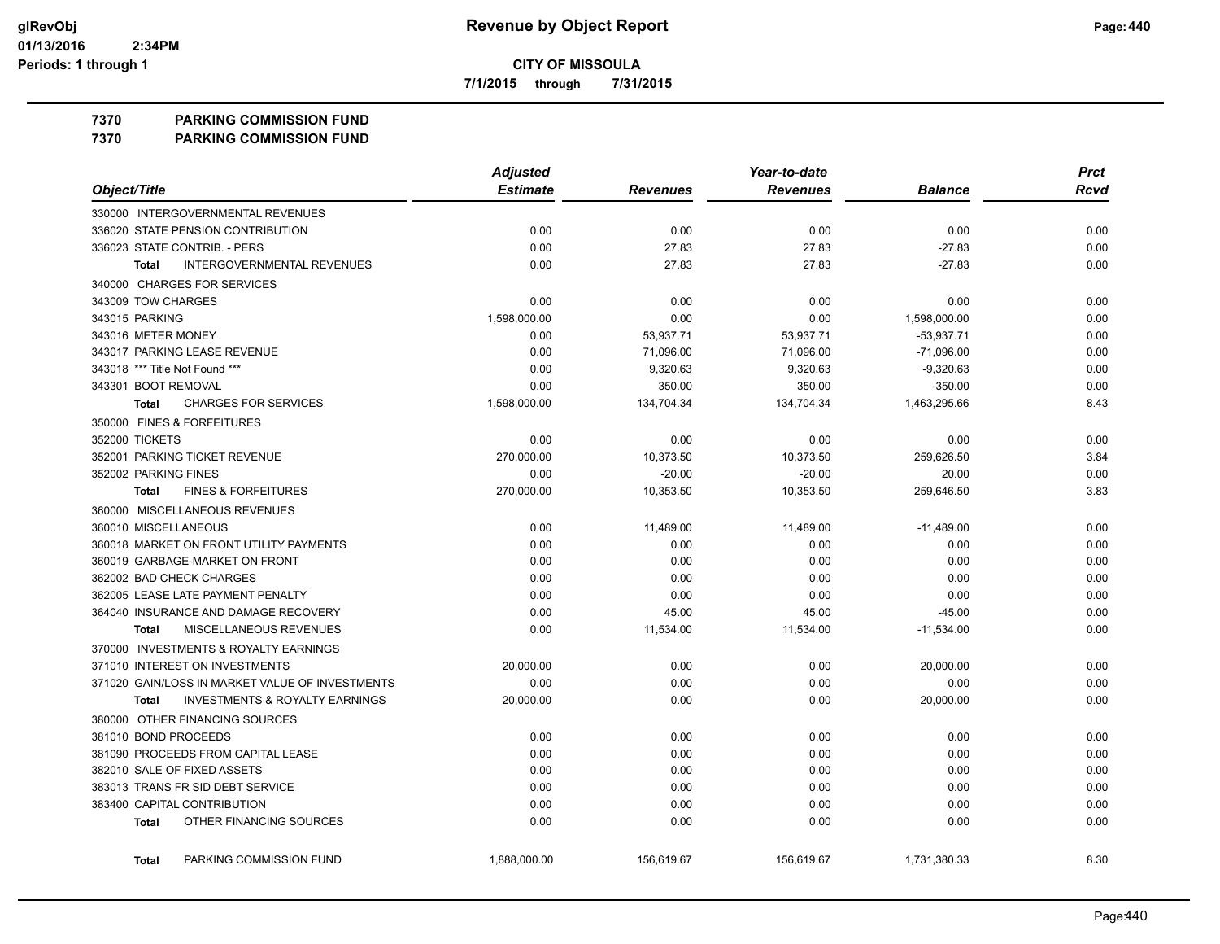**7/1/2015 through 7/31/2015**

#### **7370 PARKING COMMISSION FUND**

**7370 PARKING COMMISSION FUND**

|                                                           | <b>Adjusted</b> |                 | Year-to-date    |                | <b>Prct</b> |
|-----------------------------------------------------------|-----------------|-----------------|-----------------|----------------|-------------|
| Object/Title                                              | <b>Estimate</b> | <b>Revenues</b> | <b>Revenues</b> | <b>Balance</b> | <b>Rcvd</b> |
| 330000 INTERGOVERNMENTAL REVENUES                         |                 |                 |                 |                |             |
| 336020 STATE PENSION CONTRIBUTION                         | 0.00            | 0.00            | 0.00            | 0.00           | 0.00        |
| 336023 STATE CONTRIB. - PERS                              | 0.00            | 27.83           | 27.83           | $-27.83$       | 0.00        |
| <b>INTERGOVERNMENTAL REVENUES</b><br><b>Total</b>         | 0.00            | 27.83           | 27.83           | $-27.83$       | 0.00        |
| 340000 CHARGES FOR SERVICES                               |                 |                 |                 |                |             |
| 343009 TOW CHARGES                                        | 0.00            | 0.00            | 0.00            | 0.00           | 0.00        |
| 343015 PARKING                                            | 1,598,000.00    | 0.00            | 0.00            | 1,598,000.00   | 0.00        |
| 343016 METER MONEY                                        | 0.00            | 53,937.71       | 53,937.71       | $-53,937.71$   | 0.00        |
| 343017 PARKING LEASE REVENUE                              | 0.00            | 71,096.00       | 71,096.00       | $-71,096.00$   | 0.00        |
| 343018 *** Title Not Found ***                            | 0.00            | 9,320.63        | 9,320.63        | $-9,320.63$    | 0.00        |
| 343301 BOOT REMOVAL                                       | 0.00            | 350.00          | 350.00          | $-350.00$      | 0.00        |
| <b>Total</b><br><b>CHARGES FOR SERVICES</b>               | 1,598,000.00    | 134,704.34      | 134,704.34      | 1,463,295.66   | 8.43        |
| 350000 FINES & FORFEITURES                                |                 |                 |                 |                |             |
| 352000 TICKETS                                            | 0.00            | 0.00            | 0.00            | 0.00           | 0.00        |
| 352001 PARKING TICKET REVENUE                             | 270,000.00      | 10,373.50       | 10,373.50       | 259,626.50     | 3.84        |
| 352002 PARKING FINES                                      | 0.00            | $-20.00$        | $-20.00$        | 20.00          | 0.00        |
| <b>FINES &amp; FORFEITURES</b><br><b>Total</b>            | 270,000.00      | 10,353.50       | 10,353.50       | 259,646.50     | 3.83        |
| 360000 MISCELLANEOUS REVENUES                             |                 |                 |                 |                |             |
| 360010 MISCELLANEOUS                                      | 0.00            | 11,489.00       | 11,489.00       | $-11,489.00$   | 0.00        |
| 360018 MARKET ON FRONT UTILITY PAYMENTS                   | 0.00            | 0.00            | 0.00            | 0.00           | 0.00        |
| 360019 GARBAGE-MARKET ON FRONT                            | 0.00            | 0.00            | 0.00            | 0.00           | 0.00        |
| 362002 BAD CHECK CHARGES                                  | 0.00            | 0.00            | 0.00            | 0.00           | 0.00        |
| 362005 LEASE LATE PAYMENT PENALTY                         | 0.00            | 0.00            | 0.00            | 0.00           | 0.00        |
| 364040 INSURANCE AND DAMAGE RECOVERY                      | 0.00            | 45.00           | 45.00           | $-45.00$       | 0.00        |
| MISCELLANEOUS REVENUES<br>Total                           | 0.00            | 11,534.00       | 11,534.00       | $-11,534.00$   | 0.00        |
| 370000 INVESTMENTS & ROYALTY EARNINGS                     |                 |                 |                 |                |             |
| 371010 INTEREST ON INVESTMENTS                            | 20,000.00       | 0.00            | 0.00            | 20,000.00      | 0.00        |
| 371020 GAIN/LOSS IN MARKET VALUE OF INVESTMENTS           | 0.00            | 0.00            | 0.00            | 0.00           | 0.00        |
| <b>INVESTMENTS &amp; ROYALTY EARNINGS</b><br><b>Total</b> | 20,000.00       | 0.00            | 0.00            | 20,000.00      | 0.00        |
| 380000 OTHER FINANCING SOURCES                            |                 |                 |                 |                |             |
| 381010 BOND PROCEEDS                                      | 0.00            | 0.00            | 0.00            | 0.00           | 0.00        |
| 381090 PROCEEDS FROM CAPITAL LEASE                        | 0.00            | 0.00            | 0.00            | 0.00           | 0.00        |
| 382010 SALE OF FIXED ASSETS                               | 0.00            | 0.00            | 0.00            | 0.00           | 0.00        |
| 383013 TRANS FR SID DEBT SERVICE                          | 0.00            | 0.00            | 0.00            | 0.00           | 0.00        |
| 383400 CAPITAL CONTRIBUTION                               | 0.00            | 0.00            | 0.00            | 0.00           | 0.00        |
| OTHER FINANCING SOURCES<br><b>Total</b>                   | 0.00            | 0.00            | 0.00            | 0.00           | 0.00        |
| PARKING COMMISSION FUND<br>Total                          | 1,888,000.00    | 156,619.67      | 156,619.67      | 1,731,380.33   | 8.30        |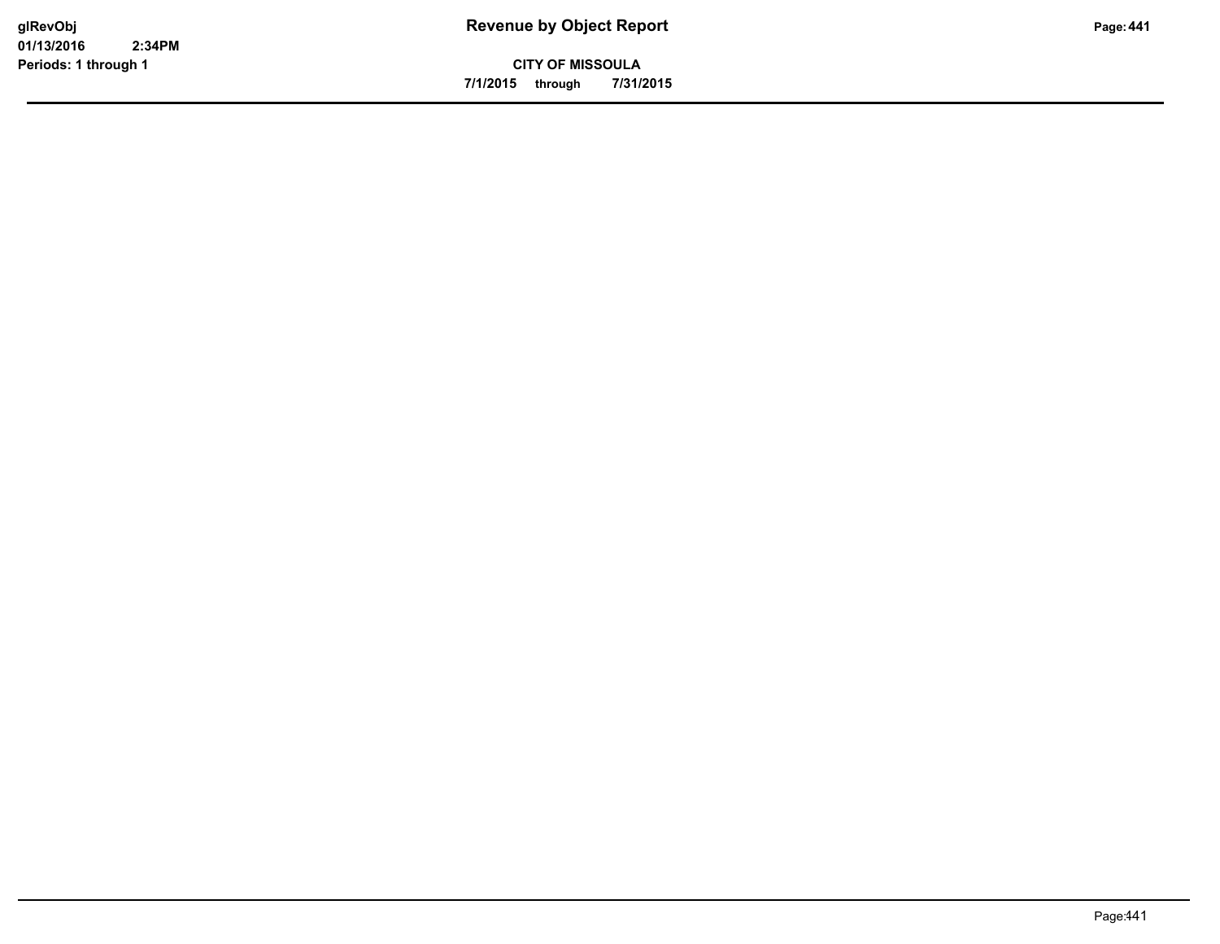**CITY OF MISSOULA 7/1/2015 through 7/31/2015**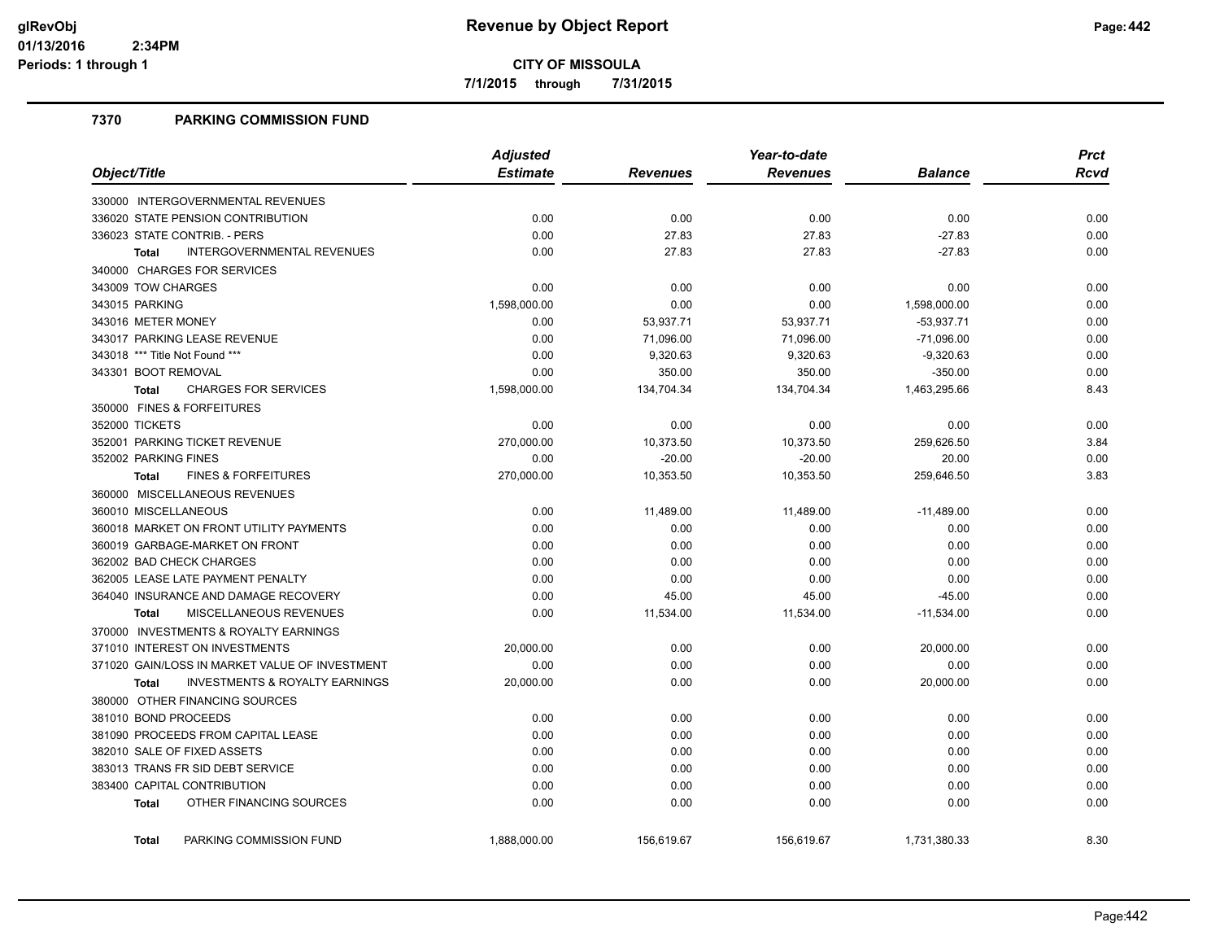**7/1/2015 through 7/31/2015**

## **7370 PARKING COMMISSION FUND**

|                                                           | <b>Adjusted</b> |                 | Year-to-date    | <b>Prct</b>    |             |
|-----------------------------------------------------------|-----------------|-----------------|-----------------|----------------|-------------|
| Object/Title                                              | <b>Estimate</b> | <b>Revenues</b> | <b>Revenues</b> | <b>Balance</b> | <b>Rcvd</b> |
| 330000 INTERGOVERNMENTAL REVENUES                         |                 |                 |                 |                |             |
| 336020 STATE PENSION CONTRIBUTION                         | 0.00            | 0.00            | 0.00            | 0.00           | 0.00        |
| 336023 STATE CONTRIB. - PERS                              | 0.00            | 27.83           | 27.83           | $-27.83$       | 0.00        |
| INTERGOVERNMENTAL REVENUES<br><b>Total</b>                | 0.00            | 27.83           | 27.83           | $-27.83$       | 0.00        |
| 340000 CHARGES FOR SERVICES                               |                 |                 |                 |                |             |
| 343009 TOW CHARGES                                        | 0.00            | 0.00            | 0.00            | 0.00           | 0.00        |
| 343015 PARKING                                            | 1,598,000.00    | 0.00            | 0.00            | 1,598,000.00   | 0.00        |
| 343016 METER MONEY                                        | 0.00            | 53,937.71       | 53,937.71       | $-53,937.71$   | 0.00        |
| 343017 PARKING LEASE REVENUE                              | 0.00            | 71,096.00       | 71,096.00       | $-71,096.00$   | 0.00        |
| 343018 *** Title Not Found ***                            | 0.00            | 9,320.63        | 9,320.63        | $-9,320.63$    | 0.00        |
| 343301 BOOT REMOVAL                                       | 0.00            | 350.00          | 350.00          | $-350.00$      | 0.00        |
| <b>CHARGES FOR SERVICES</b><br><b>Total</b>               | 1,598,000.00    | 134,704.34      | 134,704.34      | 1,463,295.66   | 8.43        |
| 350000 FINES & FORFEITURES                                |                 |                 |                 |                |             |
| 352000 TICKETS                                            | 0.00            | 0.00            | 0.00            | 0.00           | 0.00        |
| 352001 PARKING TICKET REVENUE                             | 270,000.00      | 10,373.50       | 10,373.50       | 259,626.50     | 3.84        |
| 352002 PARKING FINES                                      | 0.00            | $-20.00$        | $-20.00$        | 20.00          | 0.00        |
| <b>FINES &amp; FORFEITURES</b><br><b>Total</b>            | 270,000.00      | 10,353.50       | 10,353.50       | 259,646.50     | 3.83        |
| 360000 MISCELLANEOUS REVENUES                             |                 |                 |                 |                |             |
| 360010 MISCELLANEOUS                                      | 0.00            | 11,489.00       | 11,489.00       | $-11,489.00$   | 0.00        |
| 360018 MARKET ON FRONT UTILITY PAYMENTS                   | 0.00            | 0.00            | 0.00            | 0.00           | 0.00        |
| 360019 GARBAGE-MARKET ON FRONT                            | 0.00            | 0.00            | 0.00            | 0.00           | 0.00        |
| 362002 BAD CHECK CHARGES                                  | 0.00            | 0.00            | 0.00            | 0.00           | 0.00        |
| 362005 LEASE LATE PAYMENT PENALTY                         | 0.00            | 0.00            | 0.00            | 0.00           | 0.00        |
| 364040 INSURANCE AND DAMAGE RECOVERY                      | 0.00            | 45.00           | 45.00           | $-45.00$       | 0.00        |
| MISCELLANEOUS REVENUES<br>Total                           | 0.00            | 11,534.00       | 11,534.00       | $-11,534.00$   | 0.00        |
| 370000 INVESTMENTS & ROYALTY EARNINGS                     |                 |                 |                 |                |             |
| 371010 INTEREST ON INVESTMENTS                            | 20,000.00       | 0.00            | 0.00            | 20,000.00      | 0.00        |
| 371020 GAIN/LOSS IN MARKET VALUE OF INVESTMENT            | 0.00            | 0.00            | 0.00            | 0.00           | 0.00        |
| <b>INVESTMENTS &amp; ROYALTY EARNINGS</b><br><b>Total</b> | 20,000.00       | 0.00            | 0.00            | 20,000.00      | 0.00        |
| 380000 OTHER FINANCING SOURCES                            |                 |                 |                 |                |             |
| 381010 BOND PROCEEDS                                      | 0.00            | 0.00            | 0.00            | 0.00           | 0.00        |
| 381090 PROCEEDS FROM CAPITAL LEASE                        | 0.00            | 0.00            | 0.00            | 0.00           | 0.00        |
| 382010 SALE OF FIXED ASSETS                               | 0.00            | 0.00            | 0.00            | 0.00           | 0.00        |
| 383013 TRANS FR SID DEBT SERVICE                          | 0.00            | 0.00            | 0.00            | 0.00           | 0.00        |
| 383400 CAPITAL CONTRIBUTION                               | 0.00            | 0.00            | 0.00            | 0.00           | 0.00        |
| OTHER FINANCING SOURCES<br><b>Total</b>                   | 0.00            | 0.00            | 0.00            | 0.00           | 0.00        |
| PARKING COMMISSION FUND<br><b>Total</b>                   | 1.888.000.00    | 156.619.67      | 156.619.67      | 1,731,380.33   | 8.30        |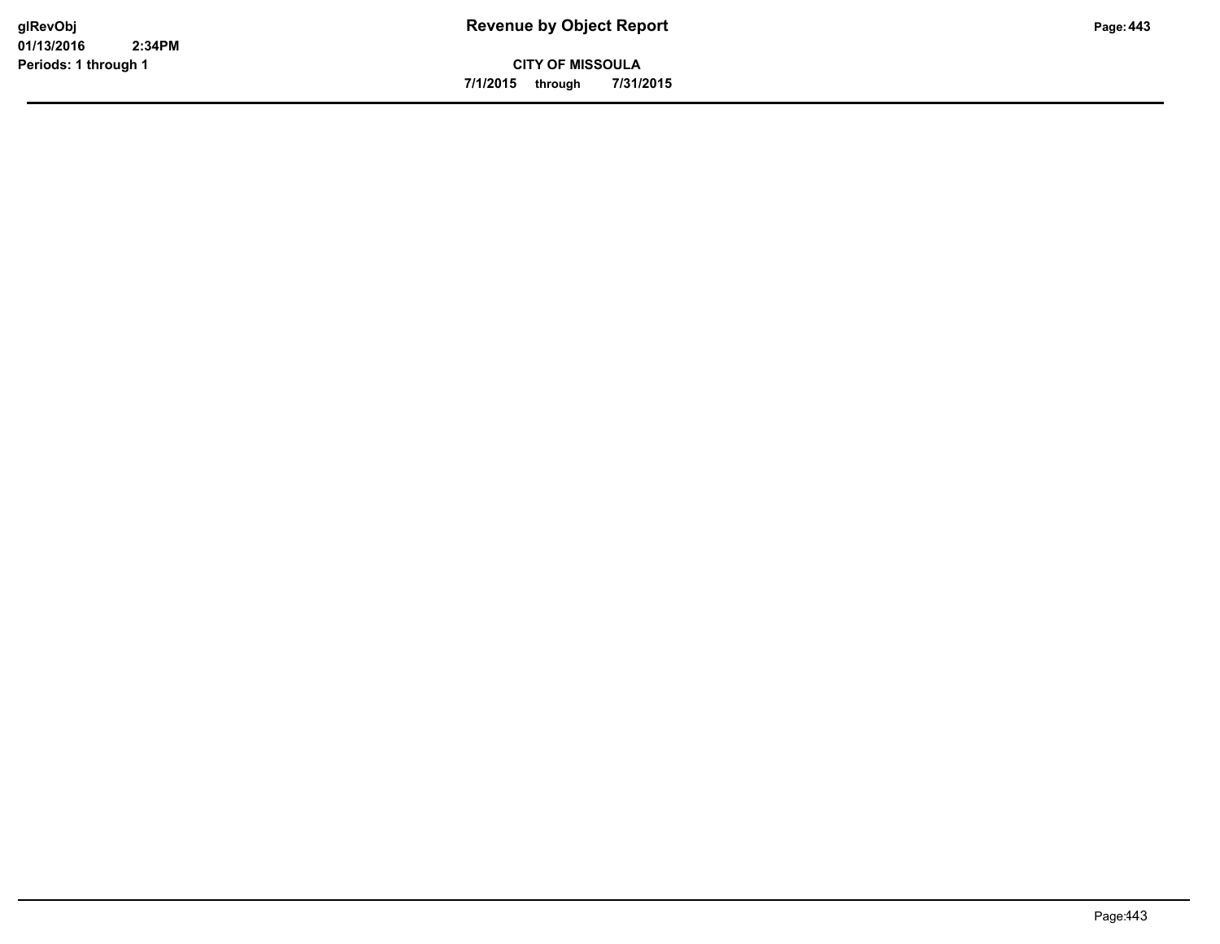**CITY OF MISSOULA 7/1/2015 through 7/31/2015**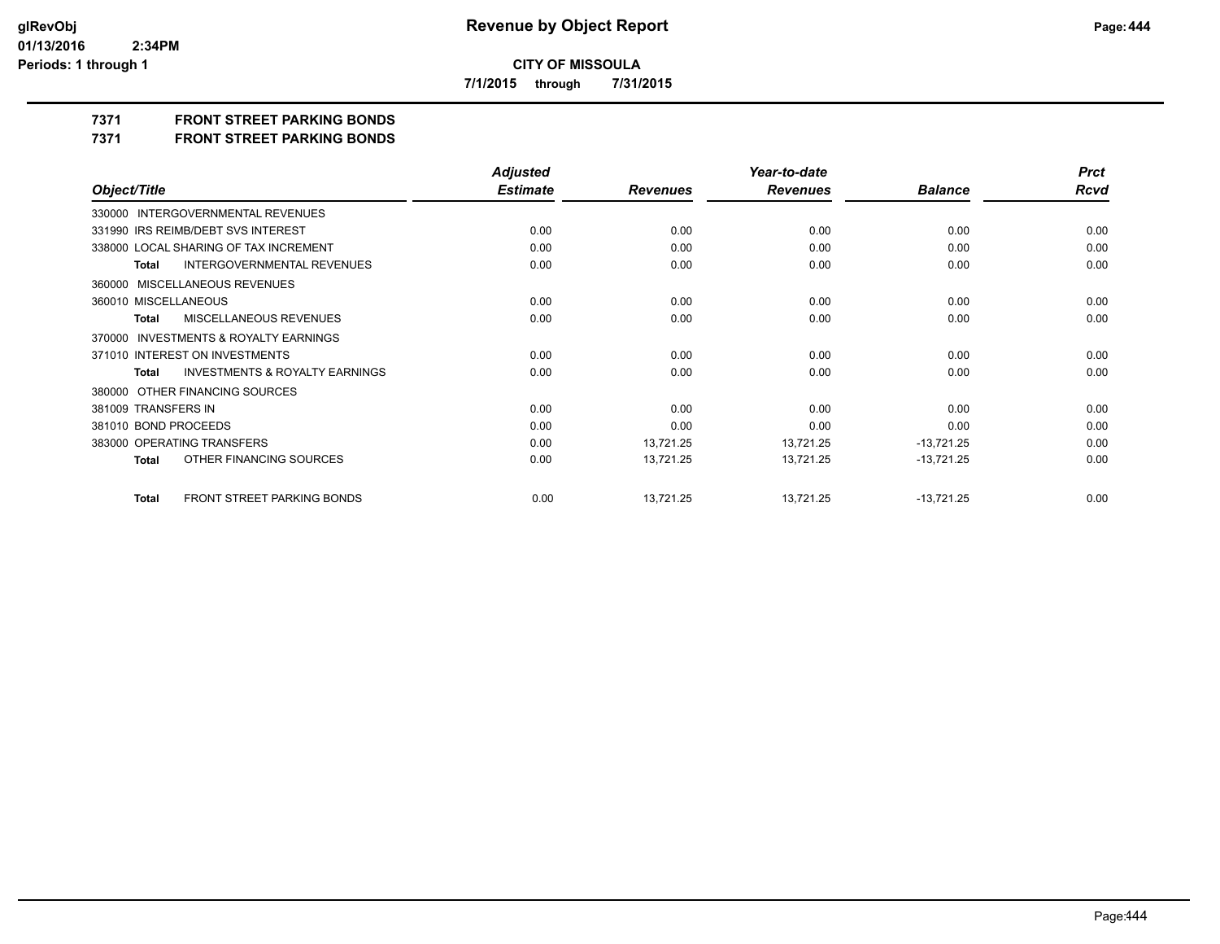**7/1/2015 through 7/31/2015**

## **7371 FRONT STREET PARKING BONDS**

**7371 FRONT STREET PARKING BONDS**

|                                                           | <b>Adjusted</b> |                 | Year-to-date    |                | <b>Prct</b> |
|-----------------------------------------------------------|-----------------|-----------------|-----------------|----------------|-------------|
| Object/Title                                              | <b>Estimate</b> | <b>Revenues</b> | <b>Revenues</b> | <b>Balance</b> | <b>Rcvd</b> |
| 330000 INTERGOVERNMENTAL REVENUES                         |                 |                 |                 |                |             |
| 331990 IRS REIMB/DEBT SVS INTEREST                        | 0.00            | 0.00            | 0.00            | 0.00           | 0.00        |
| 338000 LOCAL SHARING OF TAX INCREMENT                     | 0.00            | 0.00            | 0.00            | 0.00           | 0.00        |
| <b>INTERGOVERNMENTAL REVENUES</b><br><b>Total</b>         | 0.00            | 0.00            | 0.00            | 0.00           | 0.00        |
| 360000 MISCELLANEOUS REVENUES                             |                 |                 |                 |                |             |
| 360010 MISCELLANEOUS                                      | 0.00            | 0.00            | 0.00            | 0.00           | 0.00        |
| MISCELLANEOUS REVENUES<br><b>Total</b>                    | 0.00            | 0.00            | 0.00            | 0.00           | 0.00        |
| 370000 INVESTMENTS & ROYALTY EARNINGS                     |                 |                 |                 |                |             |
| 371010 INTEREST ON INVESTMENTS                            | 0.00            | 0.00            | 0.00            | 0.00           | 0.00        |
| <b>INVESTMENTS &amp; ROYALTY EARNINGS</b><br><b>Total</b> | 0.00            | 0.00            | 0.00            | 0.00           | 0.00        |
| 380000 OTHER FINANCING SOURCES                            |                 |                 |                 |                |             |
| 381009 TRANSFERS IN                                       | 0.00            | 0.00            | 0.00            | 0.00           | 0.00        |
| 381010 BOND PROCEEDS                                      | 0.00            | 0.00            | 0.00            | 0.00           | 0.00        |
| 383000 OPERATING TRANSFERS                                | 0.00            | 13,721.25       | 13,721.25       | $-13,721.25$   | 0.00        |
| OTHER FINANCING SOURCES<br><b>Total</b>                   | 0.00            | 13,721.25       | 13,721.25       | $-13,721.25$   | 0.00        |
| FRONT STREET PARKING BONDS<br><b>Total</b>                | 0.00            | 13,721.25       | 13,721.25       | $-13,721.25$   | 0.00        |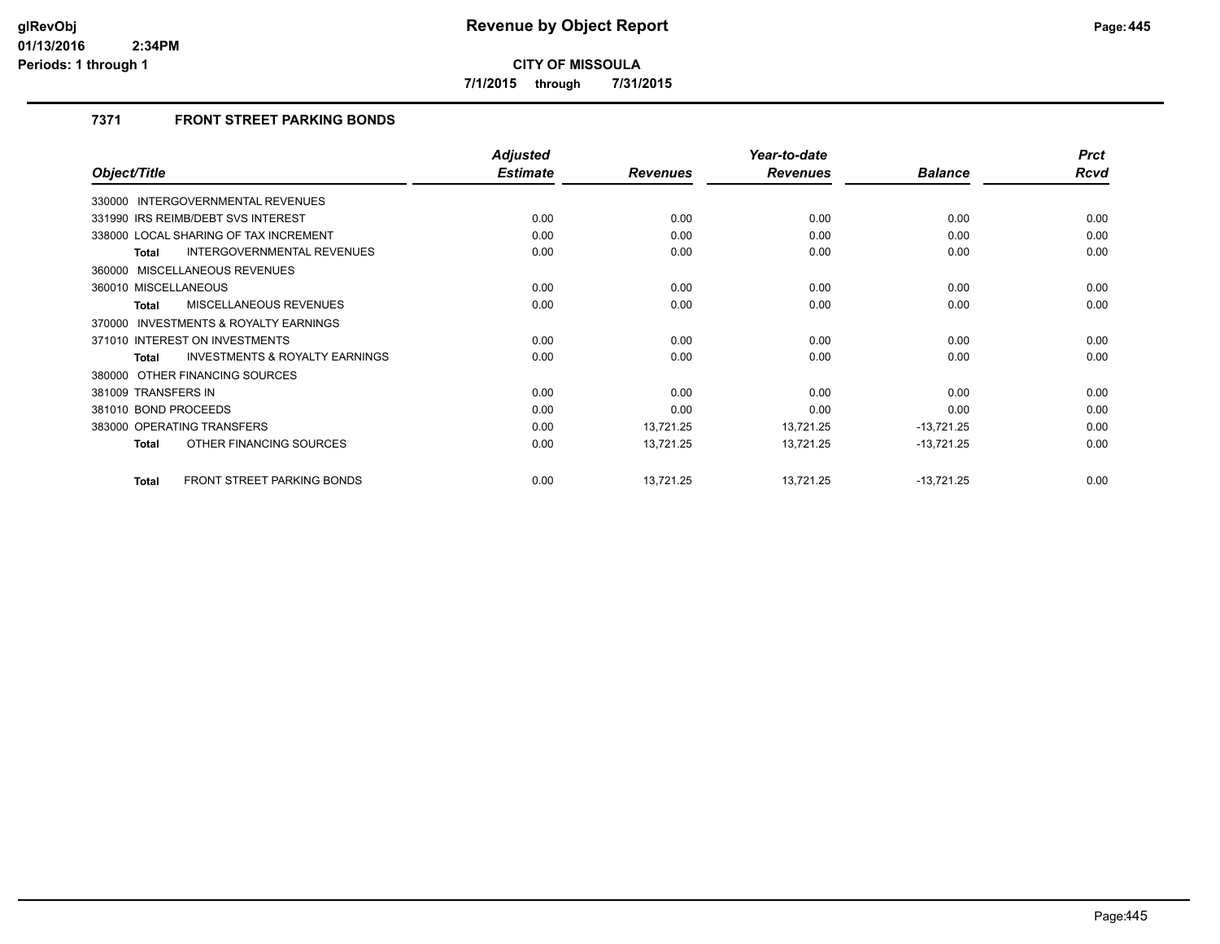**7/1/2015 through 7/31/2015**

## **7371 FRONT STREET PARKING BONDS**

|                                                           | <b>Adjusted</b> |                 | Year-to-date    |                | <b>Prct</b> |
|-----------------------------------------------------------|-----------------|-----------------|-----------------|----------------|-------------|
| Object/Title                                              | <b>Estimate</b> | <b>Revenues</b> | <b>Revenues</b> | <b>Balance</b> | <b>Rcvd</b> |
| INTERGOVERNMENTAL REVENUES<br>330000                      |                 |                 |                 |                |             |
| 331990 IRS REIMB/DEBT SVS INTEREST                        | 0.00            | 0.00            | 0.00            | 0.00           | 0.00        |
| 338000 LOCAL SHARING OF TAX INCREMENT                     | 0.00            | 0.00            | 0.00            | 0.00           | 0.00        |
| INTERGOVERNMENTAL REVENUES<br><b>Total</b>                | 0.00            | 0.00            | 0.00            | 0.00           | 0.00        |
| 360000 MISCELLANEOUS REVENUES                             |                 |                 |                 |                |             |
| 360010 MISCELLANEOUS                                      | 0.00            | 0.00            | 0.00            | 0.00           | 0.00        |
| MISCELLANEOUS REVENUES<br><b>Total</b>                    | 0.00            | 0.00            | 0.00            | 0.00           | 0.00        |
| 370000 INVESTMENTS & ROYALTY EARNINGS                     |                 |                 |                 |                |             |
| 371010 INTEREST ON INVESTMENTS                            | 0.00            | 0.00            | 0.00            | 0.00           | 0.00        |
| <b>INVESTMENTS &amp; ROYALTY EARNINGS</b><br><b>Total</b> | 0.00            | 0.00            | 0.00            | 0.00           | 0.00        |
| 380000 OTHER FINANCING SOURCES                            |                 |                 |                 |                |             |
| 381009 TRANSFERS IN                                       | 0.00            | 0.00            | 0.00            | 0.00           | 0.00        |
| 381010 BOND PROCEEDS                                      | 0.00            | 0.00            | 0.00            | 0.00           | 0.00        |
| 383000 OPERATING TRANSFERS                                | 0.00            | 13,721.25       | 13,721.25       | $-13,721.25$   | 0.00        |
| OTHER FINANCING SOURCES<br><b>Total</b>                   | 0.00            | 13,721.25       | 13,721.25       | $-13,721.25$   | 0.00        |
| FRONT STREET PARKING BONDS<br><b>Total</b>                | 0.00            | 13,721.25       | 13,721.25       | $-13,721.25$   | 0.00        |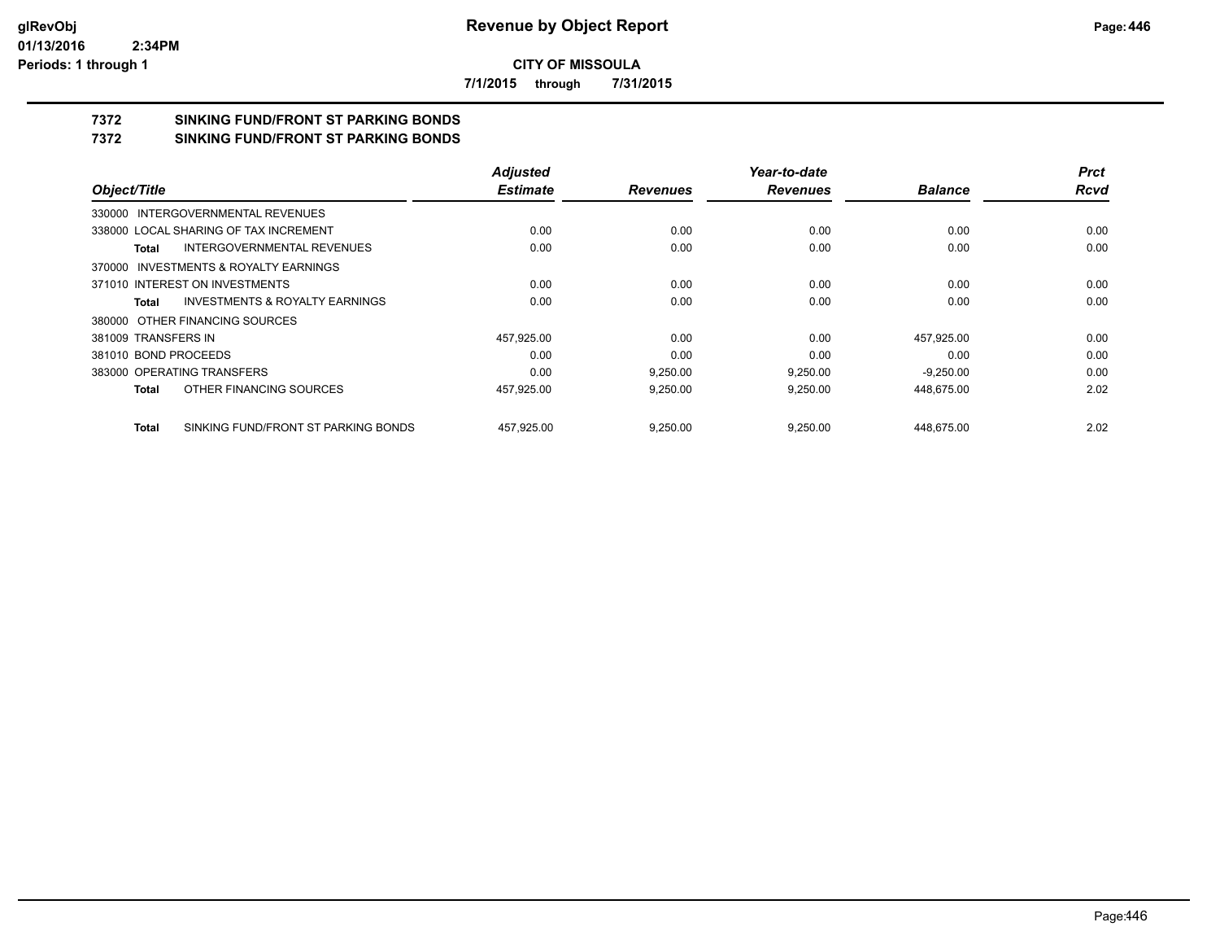**7/1/2015 through 7/31/2015**

# **7372 SINKING FUND/FRONT ST PARKING BONDS**

**7372 SINKING FUND/FRONT ST PARKING BONDS**

|                                              | <b>Adjusted</b> |                 | Year-to-date    |                | <b>Prct</b> |
|----------------------------------------------|-----------------|-----------------|-----------------|----------------|-------------|
| Object/Title                                 | <b>Estimate</b> | <b>Revenues</b> | <b>Revenues</b> | <b>Balance</b> | <b>Rcvd</b> |
| 330000 INTERGOVERNMENTAL REVENUES            |                 |                 |                 |                |             |
| 338000 LOCAL SHARING OF TAX INCREMENT        | 0.00            | 0.00            | 0.00            | 0.00           | 0.00        |
| INTERGOVERNMENTAL REVENUES<br>Total          | 0.00            | 0.00            | 0.00            | 0.00           | 0.00        |
| 370000 INVESTMENTS & ROYALTY EARNINGS        |                 |                 |                 |                |             |
| 371010 INTEREST ON INVESTMENTS               | 0.00            | 0.00            | 0.00            | 0.00           | 0.00        |
| INVESTMENTS & ROYALTY EARNINGS<br>Total      | 0.00            | 0.00            | 0.00            | 0.00           | 0.00        |
| 380000 OTHER FINANCING SOURCES               |                 |                 |                 |                |             |
| 381009 TRANSFERS IN                          | 457,925.00      | 0.00            | 0.00            | 457,925.00     | 0.00        |
| 381010 BOND PROCEEDS                         | 0.00            | 0.00            | 0.00            | 0.00           | 0.00        |
| 383000 OPERATING TRANSFERS                   | 0.00            | 9.250.00        | 9.250.00        | $-9.250.00$    | 0.00        |
| OTHER FINANCING SOURCES<br>Total             | 457,925.00      | 9,250.00        | 9,250.00        | 448,675.00     | 2.02        |
| SINKING FUND/FRONT ST PARKING BONDS<br>Total | 457.925.00      | 9,250.00        | 9,250.00        | 448.675.00     | 2.02        |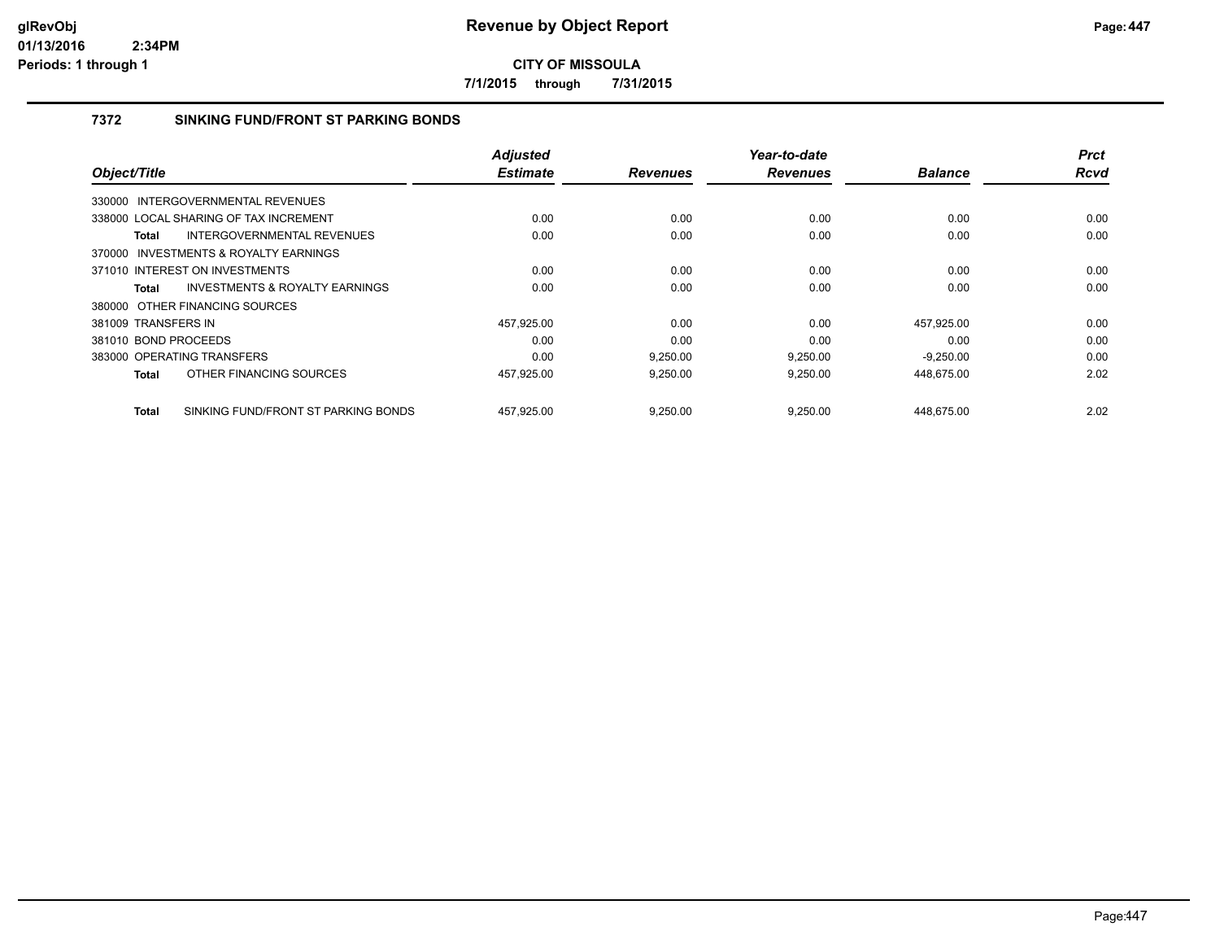**7/1/2015 through 7/31/2015**

#### **7372 SINKING FUND/FRONT ST PARKING BONDS**

| Object/Title         |                                       | <b>Adjusted</b><br><b>Estimate</b> | <b>Revenues</b> | Year-to-date<br><b>Revenues</b> | <b>Balance</b> | <b>Prct</b><br><b>Rcvd</b> |
|----------------------|---------------------------------------|------------------------------------|-----------------|---------------------------------|----------------|----------------------------|
|                      |                                       |                                    |                 |                                 |                |                            |
|                      | 330000 INTERGOVERNMENTAL REVENUES     |                                    |                 |                                 |                |                            |
|                      | 338000 LOCAL SHARING OF TAX INCREMENT | 0.00                               | 0.00            | 0.00                            | 0.00           | 0.00                       |
| Total                | INTERGOVERNMENTAL REVENUES            | 0.00                               | 0.00            | 0.00                            | 0.00           | 0.00                       |
|                      | 370000 INVESTMENTS & ROYALTY EARNINGS |                                    |                 |                                 |                |                            |
|                      | 371010 INTEREST ON INVESTMENTS        | 0.00                               | 0.00            | 0.00                            | 0.00           | 0.00                       |
| Total                | INVESTMENTS & ROYALTY EARNINGS        | 0.00                               | 0.00            | 0.00                            | 0.00           | 0.00                       |
|                      | 380000 OTHER FINANCING SOURCES        |                                    |                 |                                 |                |                            |
| 381009 TRANSFERS IN  |                                       | 457.925.00                         | 0.00            | 0.00                            | 457.925.00     | 0.00                       |
| 381010 BOND PROCEEDS |                                       | 0.00                               | 0.00            | 0.00                            | 0.00           | 0.00                       |
|                      | 383000 OPERATING TRANSFERS            | 0.00                               | 9,250.00        | 9,250.00                        | $-9,250.00$    | 0.00                       |
| Total                | OTHER FINANCING SOURCES               | 457,925.00                         | 9,250.00        | 9,250.00                        | 448,675.00     | 2.02                       |
| <b>Total</b>         | SINKING FUND/FRONT ST PARKING BONDS   | 457,925.00                         | 9.250.00        | 9.250.00                        | 448.675.00     | 2.02                       |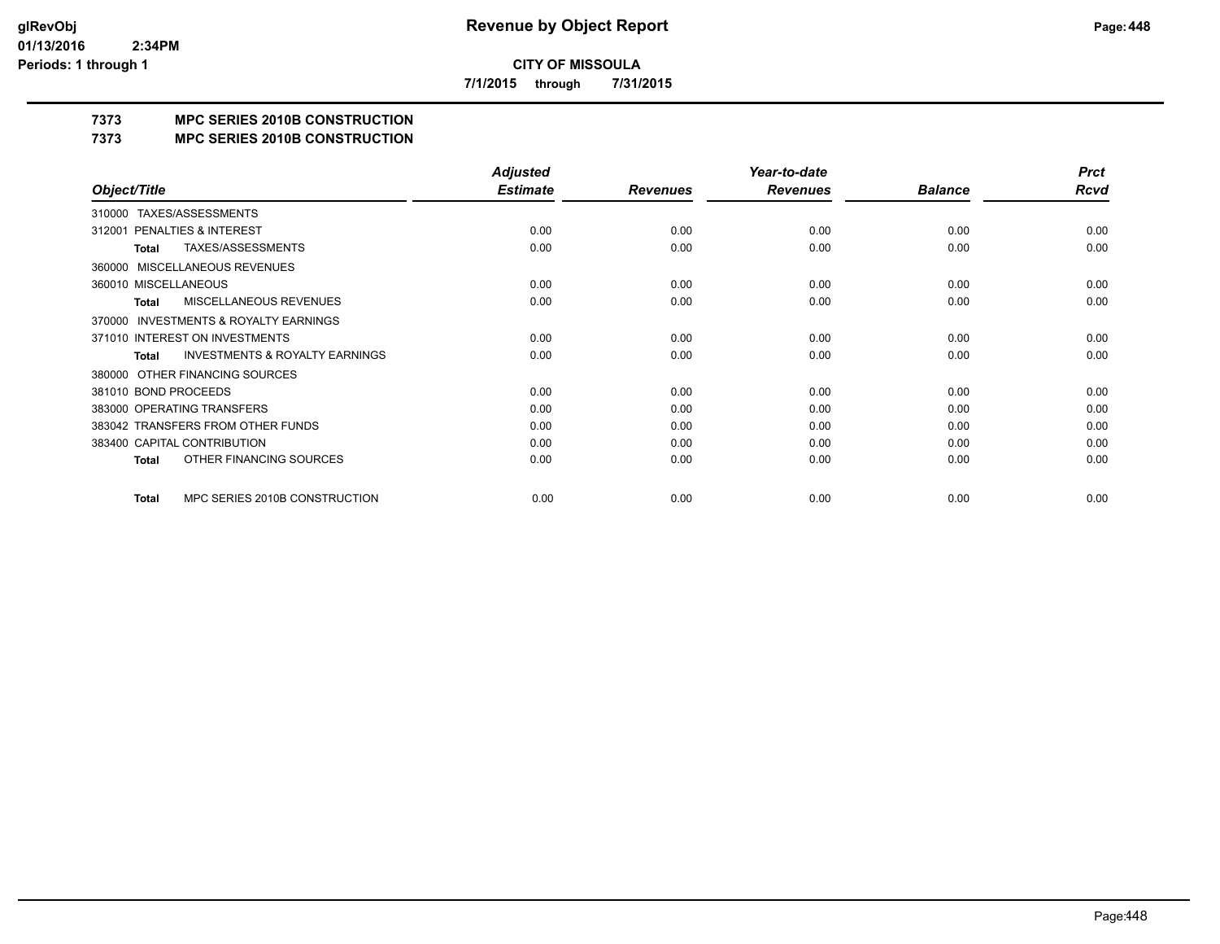**7/1/2015 through 7/31/2015**

## **7373 MPC SERIES 2010B CONSTRUCTION**

#### **7373 MPC SERIES 2010B CONSTRUCTION**

|                                                     | <b>Adjusted</b> |                 | Year-to-date    |                | <b>Prct</b> |
|-----------------------------------------------------|-----------------|-----------------|-----------------|----------------|-------------|
| Object/Title                                        | <b>Estimate</b> | <b>Revenues</b> | <b>Revenues</b> | <b>Balance</b> | Rcvd        |
| TAXES/ASSESSMENTS<br>310000                         |                 |                 |                 |                |             |
| PENALTIES & INTEREST<br>312001                      | 0.00            | 0.00            | 0.00            | 0.00           | 0.00        |
| TAXES/ASSESSMENTS<br>Total                          | 0.00            | 0.00            | 0.00            | 0.00           | 0.00        |
| MISCELLANEOUS REVENUES<br>360000                    |                 |                 |                 |                |             |
| 360010 MISCELLANEOUS                                | 0.00            | 0.00            | 0.00            | 0.00           | 0.00        |
| <b>MISCELLANEOUS REVENUES</b><br>Total              | 0.00            | 0.00            | 0.00            | 0.00           | 0.00        |
| <b>INVESTMENTS &amp; ROYALTY EARNINGS</b><br>370000 |                 |                 |                 |                |             |
| 371010 INTEREST ON INVESTMENTS                      | 0.00            | 0.00            | 0.00            | 0.00           | 0.00        |
| <b>INVESTMENTS &amp; ROYALTY EARNINGS</b><br>Total  | 0.00            | 0.00            | 0.00            | 0.00           | 0.00        |
| OTHER FINANCING SOURCES<br>380000                   |                 |                 |                 |                |             |
| 381010 BOND PROCEEDS                                | 0.00            | 0.00            | 0.00            | 0.00           | 0.00        |
| 383000 OPERATING TRANSFERS                          | 0.00            | 0.00            | 0.00            | 0.00           | 0.00        |
| 383042 TRANSFERS FROM OTHER FUNDS                   | 0.00            | 0.00            | 0.00            | 0.00           | 0.00        |
| 383400 CAPITAL CONTRIBUTION                         | 0.00            | 0.00            | 0.00            | 0.00           | 0.00        |
| OTHER FINANCING SOURCES<br><b>Total</b>             | 0.00            | 0.00            | 0.00            | 0.00           | 0.00        |
| MPC SERIES 2010B CONSTRUCTION<br>Total              | 0.00            | 0.00            | 0.00            | 0.00           | 0.00        |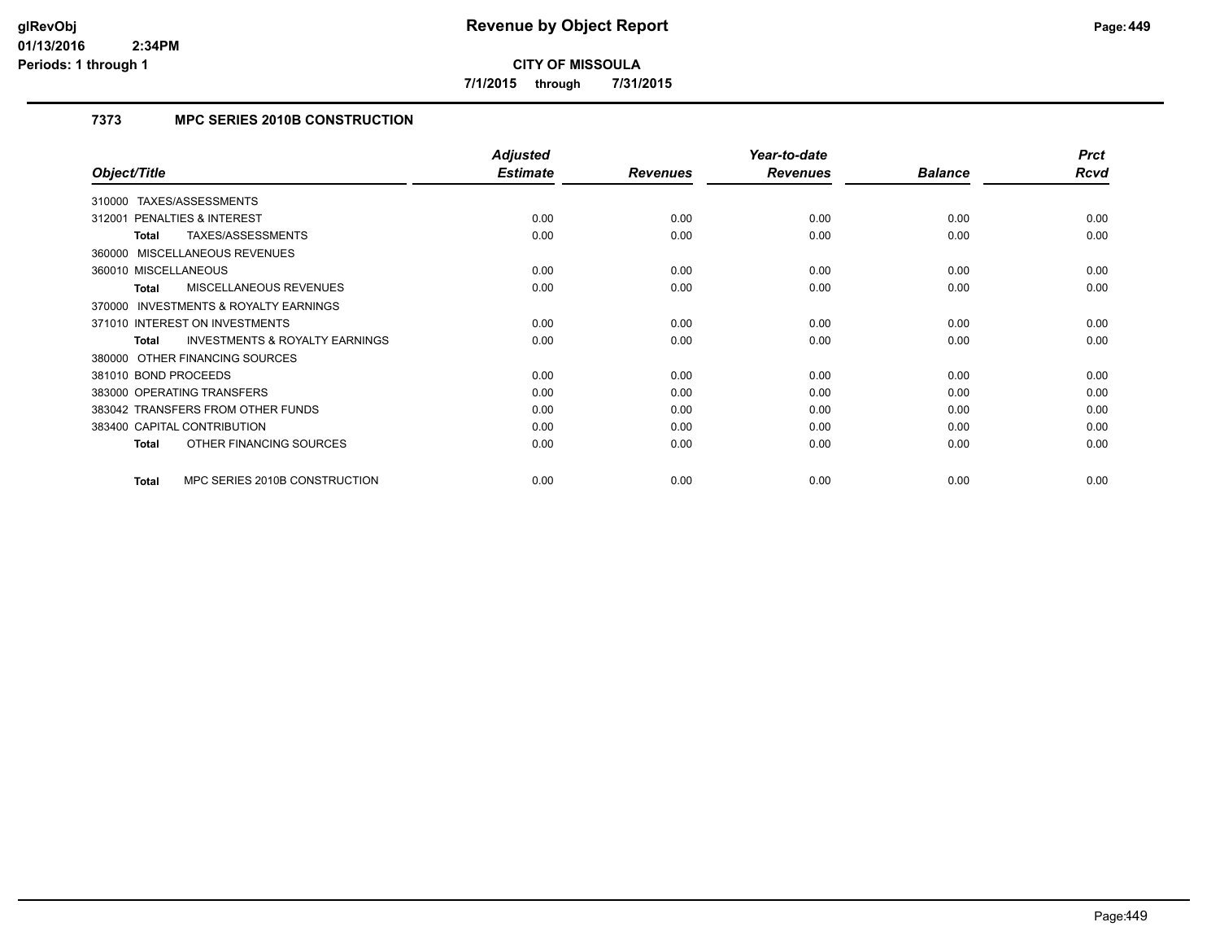**7/1/2015 through 7/31/2015**

## **7373 MPC SERIES 2010B CONSTRUCTION**

|                                                    | <b>Adjusted</b> |                 | Year-to-date    |                | <b>Prct</b> |
|----------------------------------------------------|-----------------|-----------------|-----------------|----------------|-------------|
| Object/Title                                       | <b>Estimate</b> | <b>Revenues</b> | <b>Revenues</b> | <b>Balance</b> | Rcvd        |
| TAXES/ASSESSMENTS<br>310000                        |                 |                 |                 |                |             |
| <b>PENALTIES &amp; INTEREST</b><br>312001          | 0.00            | 0.00            | 0.00            | 0.00           | 0.00        |
| TAXES/ASSESSMENTS<br>Total                         | 0.00            | 0.00            | 0.00            | 0.00           | 0.00        |
| 360000 MISCELLANEOUS REVENUES                      |                 |                 |                 |                |             |
| 360010 MISCELLANEOUS                               | 0.00            | 0.00            | 0.00            | 0.00           | 0.00        |
| MISCELLANEOUS REVENUES<br>Total                    | 0.00            | 0.00            | 0.00            | 0.00           | 0.00        |
| 370000 INVESTMENTS & ROYALTY EARNINGS              |                 |                 |                 |                |             |
| 371010 INTEREST ON INVESTMENTS                     | 0.00            | 0.00            | 0.00            | 0.00           | 0.00        |
| <b>INVESTMENTS &amp; ROYALTY EARNINGS</b><br>Total | 0.00            | 0.00            | 0.00            | 0.00           | 0.00        |
| 380000 OTHER FINANCING SOURCES                     |                 |                 |                 |                |             |
| 381010 BOND PROCEEDS                               | 0.00            | 0.00            | 0.00            | 0.00           | 0.00        |
| 383000 OPERATING TRANSFERS                         | 0.00            | 0.00            | 0.00            | 0.00           | 0.00        |
| 383042 TRANSFERS FROM OTHER FUNDS                  | 0.00            | 0.00            | 0.00            | 0.00           | 0.00        |
| 383400 CAPITAL CONTRIBUTION                        | 0.00            | 0.00            | 0.00            | 0.00           | 0.00        |
| OTHER FINANCING SOURCES<br><b>Total</b>            | 0.00            | 0.00            | 0.00            | 0.00           | 0.00        |
|                                                    |                 |                 |                 |                |             |
| MPC SERIES 2010B CONSTRUCTION<br><b>Total</b>      | 0.00            | 0.00            | 0.00            | 0.00           | 0.00        |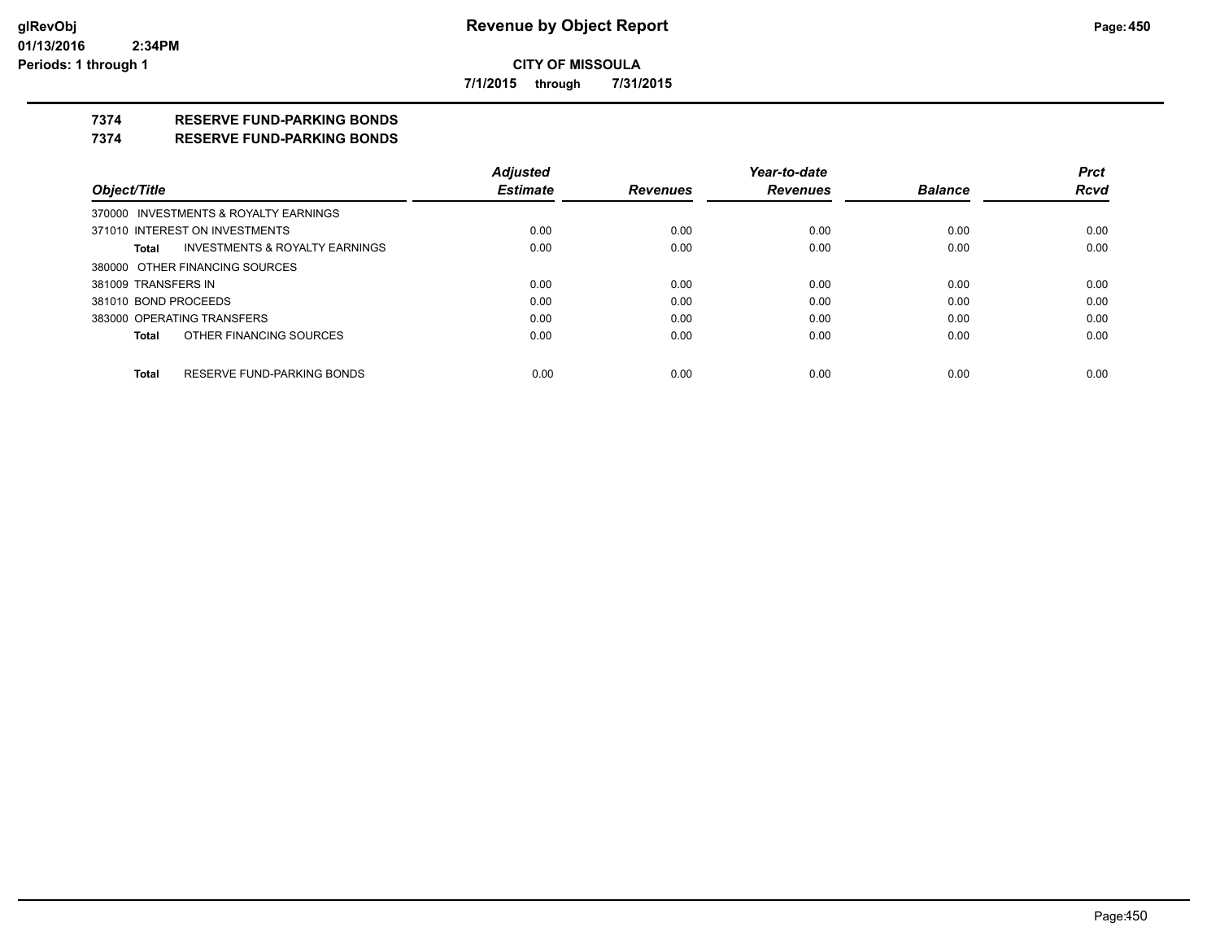**7/1/2015 through 7/31/2015**

## **7374 RESERVE FUND-PARKING BONDS**

#### **7374 RESERVE FUND-PARKING BONDS**

|                                         | <b>Adjusted</b> |                 | Year-to-date    |                | <b>Prct</b> |
|-----------------------------------------|-----------------|-----------------|-----------------|----------------|-------------|
| Object/Title                            | <b>Estimate</b> | <b>Revenues</b> | <b>Revenues</b> | <b>Balance</b> | <b>Rcvd</b> |
| 370000 INVESTMENTS & ROYALTY EARNINGS   |                 |                 |                 |                |             |
| 371010 INTEREST ON INVESTMENTS          | 0.00            | 0.00            | 0.00            | 0.00           | 0.00        |
| INVESTMENTS & ROYALTY EARNINGS<br>Total | 0.00            | 0.00            | 0.00            | 0.00           | 0.00        |
| 380000 OTHER FINANCING SOURCES          |                 |                 |                 |                |             |
| 381009 TRANSFERS IN                     | 0.00            | 0.00            | 0.00            | 0.00           | 0.00        |
| 381010 BOND PROCEEDS                    | 0.00            | 0.00            | 0.00            | 0.00           | 0.00        |
| 383000 OPERATING TRANSFERS              | 0.00            | 0.00            | 0.00            | 0.00           | 0.00        |
| OTHER FINANCING SOURCES<br>Total        | 0.00            | 0.00            | 0.00            | 0.00           | 0.00        |
| RESERVE FUND-PARKING BONDS              |                 |                 |                 |                |             |
| Total                                   | 0.00            | 0.00            | 0.00            | 0.00           | 0.00        |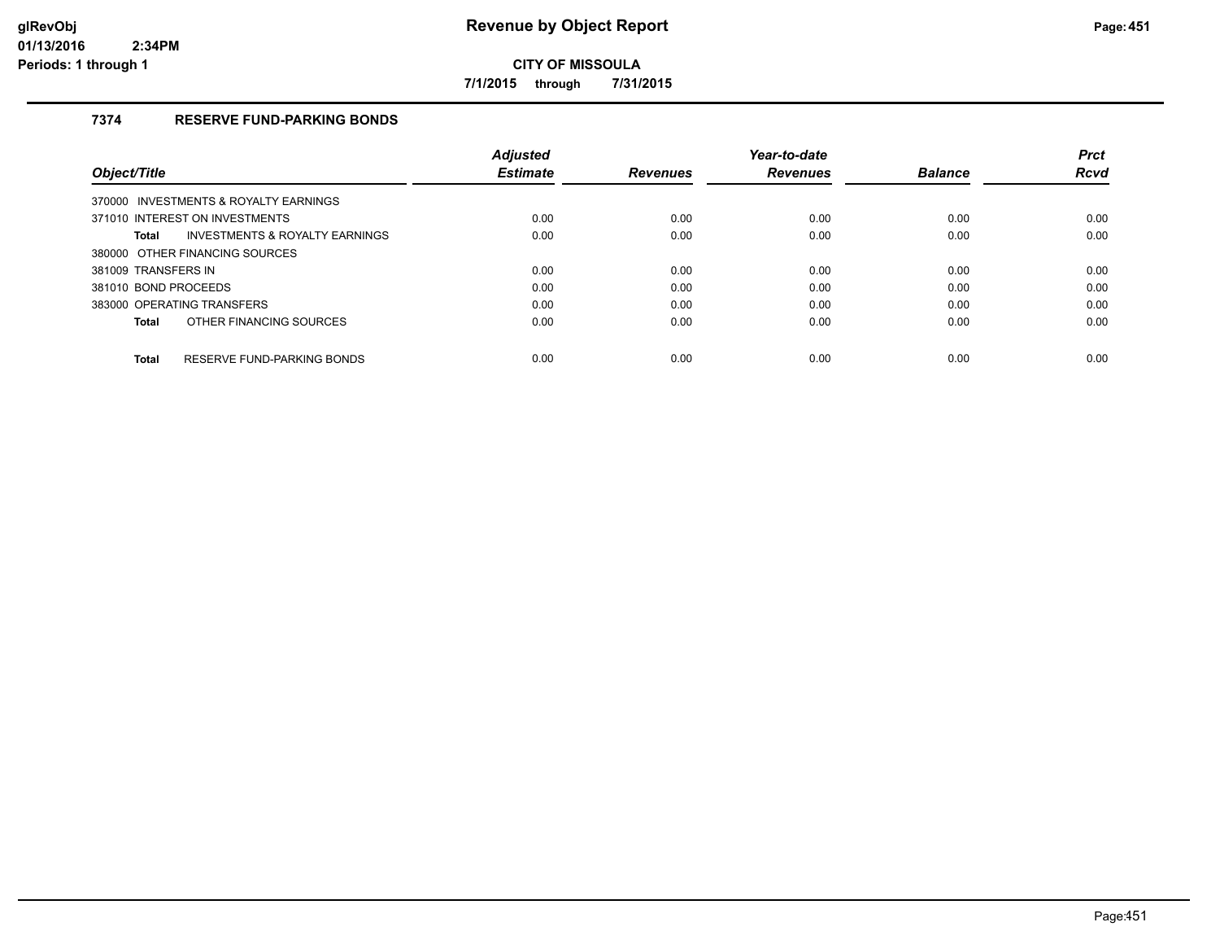**7/1/2015 through 7/31/2015**

## **7374 RESERVE FUND-PARKING BONDS**

|                                                    | <b>Adiusted</b> |                 | Year-to-date    |                | <b>Prct</b> |
|----------------------------------------------------|-----------------|-----------------|-----------------|----------------|-------------|
| Object/Title                                       | <b>Estimate</b> | <b>Revenues</b> | <b>Revenues</b> | <b>Balance</b> | <b>Rcvd</b> |
| 370000 INVESTMENTS & ROYALTY EARNINGS              |                 |                 |                 |                |             |
| 371010 INTEREST ON INVESTMENTS                     | 0.00            | 0.00            | 0.00            | 0.00           | 0.00        |
| <b>INVESTMENTS &amp; ROYALTY EARNINGS</b><br>Total | 0.00            | 0.00            | 0.00            | 0.00           | 0.00        |
| 380000 OTHER FINANCING SOURCES                     |                 |                 |                 |                |             |
| 381009 TRANSFERS IN                                | 0.00            | 0.00            | 0.00            | 0.00           | 0.00        |
| 381010 BOND PROCEEDS                               | 0.00            | 0.00            | 0.00            | 0.00           | 0.00        |
| 383000 OPERATING TRANSFERS                         | 0.00            | 0.00            | 0.00            | 0.00           | 0.00        |
| OTHER FINANCING SOURCES<br>Total                   | 0.00            | 0.00            | 0.00            | 0.00           | 0.00        |
| RESERVE FUND-PARKING BONDS<br><b>Total</b>         | 0.00            | 0.00            | 0.00            | 0.00           | 0.00        |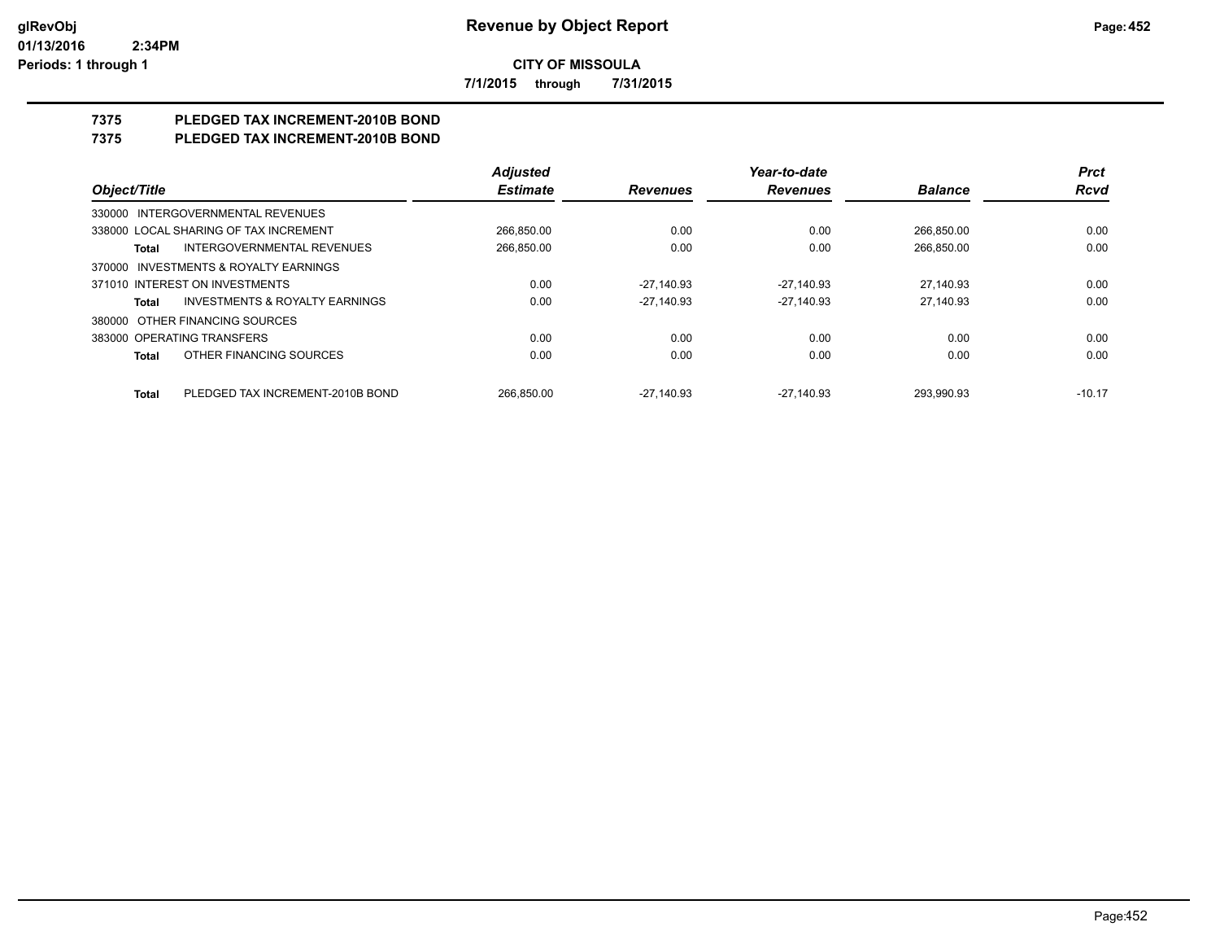**7/1/2015 through 7/31/2015**

# **7375 PLEDGED TAX INCREMENT-2010B BOND**

## **7375 PLEDGED TAX INCREMENT-2010B BOND**

|              |                                           | <b>Adjusted</b> |                 | Year-to-date    |                | <b>Prct</b> |
|--------------|-------------------------------------------|-----------------|-----------------|-----------------|----------------|-------------|
| Object/Title |                                           | <b>Estimate</b> | <b>Revenues</b> | <b>Revenues</b> | <b>Balance</b> | <b>Rcvd</b> |
|              | 330000 INTERGOVERNMENTAL REVENUES         |                 |                 |                 |                |             |
|              | 338000 LOCAL SHARING OF TAX INCREMENT     | 266.850.00      | 0.00            | 0.00            | 266.850.00     | 0.00        |
| Total        | INTERGOVERNMENTAL REVENUES                | 266.850.00      | 0.00            | 0.00            | 266.850.00     | 0.00        |
|              | 370000 INVESTMENTS & ROYALTY EARNINGS     |                 |                 |                 |                |             |
|              | 371010 INTEREST ON INVESTMENTS            | 0.00            | $-27.140.93$    | $-27.140.93$    | 27,140.93      | 0.00        |
| Total        | <b>INVESTMENTS &amp; ROYALTY EARNINGS</b> | 0.00            | $-27.140.93$    | $-27.140.93$    | 27.140.93      | 0.00        |
|              | 380000 OTHER FINANCING SOURCES            |                 |                 |                 |                |             |
|              | 383000 OPERATING TRANSFERS                | 0.00            | 0.00            | 0.00            | 0.00           | 0.00        |
| Total        | OTHER FINANCING SOURCES                   | 0.00            | 0.00            | 0.00            | 0.00           | 0.00        |
| <b>Total</b> | PLEDGED TAX INCREMENT-2010B BOND          | 266.850.00      | $-27.140.93$    | $-27.140.93$    | 293.990.93     | $-10.17$    |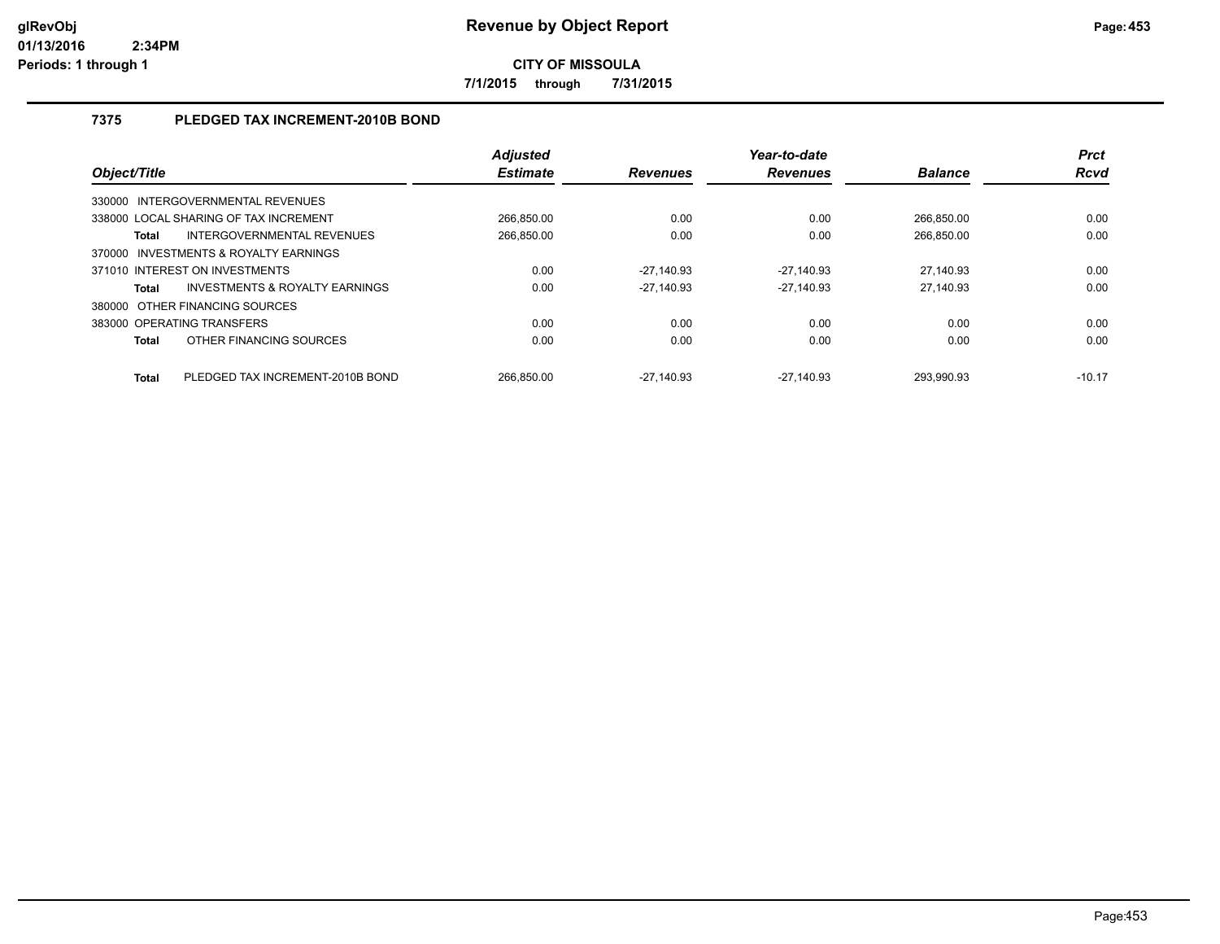**7/1/2015 through 7/31/2015**

## **7375 PLEDGED TAX INCREMENT-2010B BOND**

| Object/Title |                                       | <b>Adjusted</b><br><b>Estimate</b> | <b>Revenues</b> | Year-to-date<br><b>Revenues</b> | <b>Balance</b> | <b>Prct</b><br><b>Rcvd</b> |
|--------------|---------------------------------------|------------------------------------|-----------------|---------------------------------|----------------|----------------------------|
|              | 330000 INTERGOVERNMENTAL REVENUES     |                                    |                 |                                 |                |                            |
|              | 338000 LOCAL SHARING OF TAX INCREMENT | 266.850.00                         | 0.00            | 0.00                            | 266.850.00     | 0.00                       |
| <b>Total</b> | INTERGOVERNMENTAL REVENUES            | 266,850.00                         | 0.00            | 0.00                            | 266,850.00     | 0.00                       |
|              | 370000 INVESTMENTS & ROYALTY EARNINGS |                                    |                 |                                 |                |                            |
|              | 371010 INTEREST ON INVESTMENTS        | 0.00                               | $-27.140.93$    | $-27.140.93$                    | 27.140.93      | 0.00                       |
| <b>Total</b> | INVESTMENTS & ROYALTY EARNINGS        | 0.00                               | $-27.140.93$    | $-27.140.93$                    | 27.140.93      | 0.00                       |
|              | 380000 OTHER FINANCING SOURCES        |                                    |                 |                                 |                |                            |
|              | 383000 OPERATING TRANSFERS            | 0.00                               | 0.00            | 0.00                            | 0.00           | 0.00                       |
| <b>Total</b> | OTHER FINANCING SOURCES               | 0.00                               | 0.00            | 0.00                            | 0.00           | 0.00                       |
| <b>Total</b> | PLEDGED TAX INCREMENT-2010B BOND      | 266.850.00                         | $-27.140.93$    | $-27.140.93$                    | 293.990.93     | $-10.17$                   |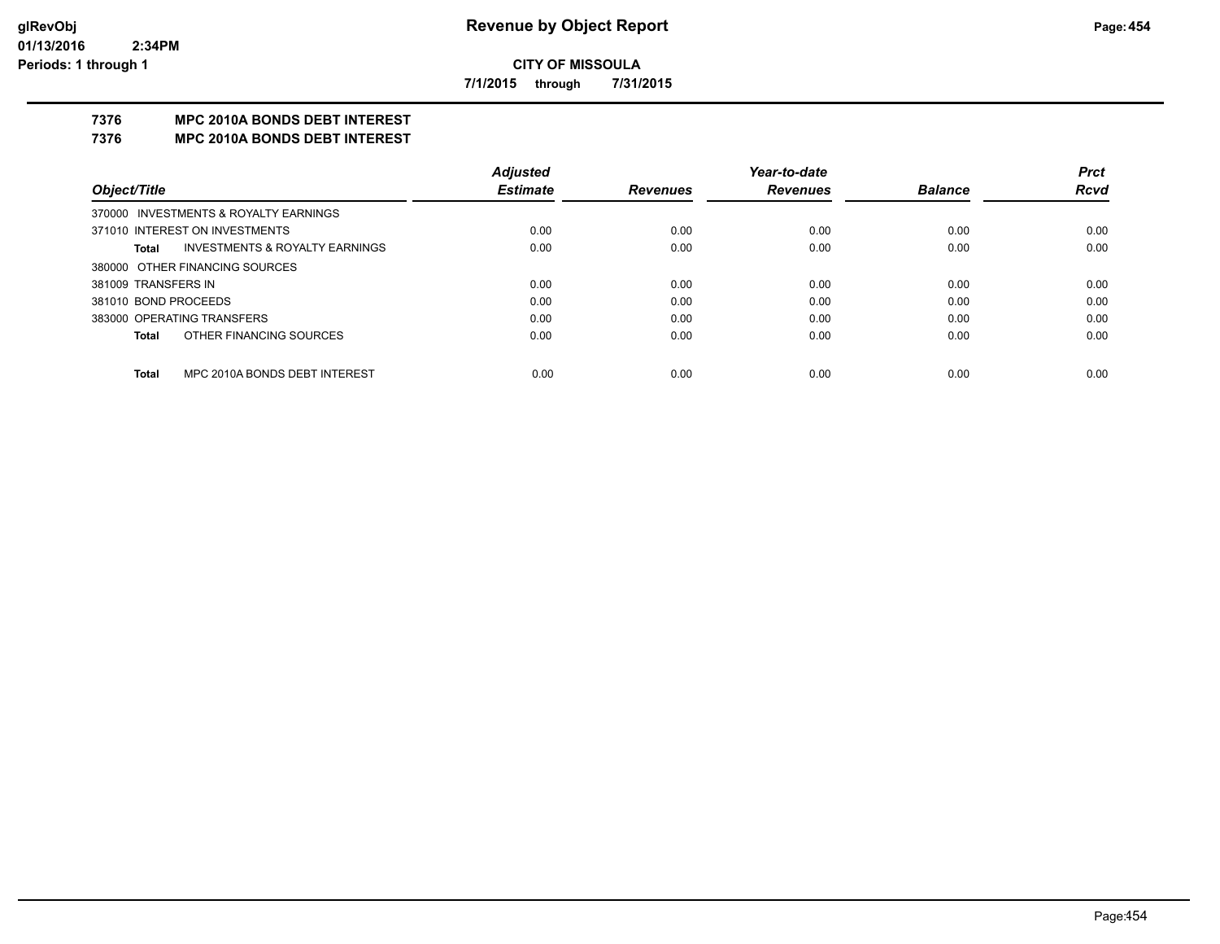**7/1/2015 through 7/31/2015**

## **7376 MPC 2010A BONDS DEBT INTEREST**

#### **7376 MPC 2010A BONDS DEBT INTEREST**

|                            |                                           | <b>Adjusted</b> |                 | Year-to-date    |                | <b>Prct</b> |
|----------------------------|-------------------------------------------|-----------------|-----------------|-----------------|----------------|-------------|
| Object/Title               |                                           | <b>Estimate</b> | <b>Revenues</b> | <b>Revenues</b> | <b>Balance</b> | <b>Rcvd</b> |
|                            | 370000 INVESTMENTS & ROYALTY EARNINGS     |                 |                 |                 |                |             |
|                            | 371010 INTEREST ON INVESTMENTS            | 0.00            | 0.00            | 0.00            | 0.00           | 0.00        |
| Total                      | <b>INVESTMENTS &amp; ROYALTY EARNINGS</b> | 0.00            | 0.00            | 0.00            | 0.00           | 0.00        |
|                            | 380000 OTHER FINANCING SOURCES            |                 |                 |                 |                |             |
| 381009 TRANSFERS IN        |                                           | 0.00            | 0.00            | 0.00            | 0.00           | 0.00        |
| 381010 BOND PROCEEDS       |                                           | 0.00            | 0.00            | 0.00            | 0.00           | 0.00        |
| 383000 OPERATING TRANSFERS |                                           | 0.00            | 0.00            | 0.00            | 0.00           | 0.00        |
| Total                      | OTHER FINANCING SOURCES                   | 0.00            | 0.00            | 0.00            | 0.00           | 0.00        |
|                            |                                           |                 |                 |                 |                |             |
| Total                      | MPC 2010A BONDS DEBT INTEREST             | 0.00            | 0.00            | 0.00            | 0.00           | 0.00        |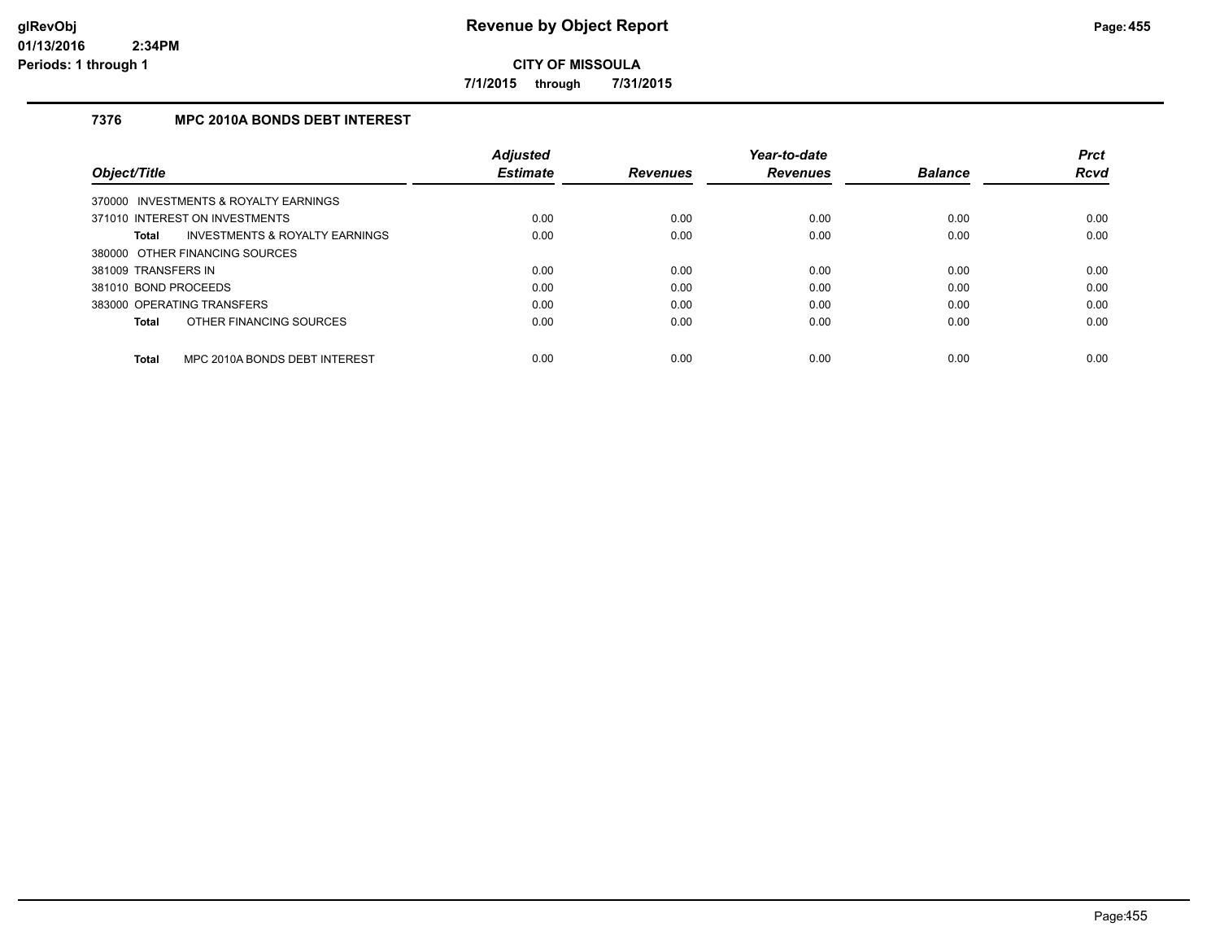**7/1/2015 through 7/31/2015**

## **7376 MPC 2010A BONDS DEBT INTEREST**

|                                                           | <b>Adjusted</b> |                 | Year-to-date    |                | <b>Prct</b> |
|-----------------------------------------------------------|-----------------|-----------------|-----------------|----------------|-------------|
| Object/Title                                              | <b>Estimate</b> | <b>Revenues</b> | <b>Revenues</b> | <b>Balance</b> | <b>Rcvd</b> |
| 370000 INVESTMENTS & ROYALTY EARNINGS                     |                 |                 |                 |                |             |
| 371010 INTEREST ON INVESTMENTS                            | 0.00            | 0.00            | 0.00            | 0.00           | 0.00        |
| <b>INVESTMENTS &amp; ROYALTY EARNINGS</b><br><b>Total</b> | 0.00            | 0.00            | 0.00            | 0.00           | 0.00        |
| 380000 OTHER FINANCING SOURCES                            |                 |                 |                 |                |             |
| 381009 TRANSFERS IN                                       | 0.00            | 0.00            | 0.00            | 0.00           | 0.00        |
| 381010 BOND PROCEEDS                                      | 0.00            | 0.00            | 0.00            | 0.00           | 0.00        |
| 383000 OPERATING TRANSFERS                                | 0.00            | 0.00            | 0.00            | 0.00           | 0.00        |
| OTHER FINANCING SOURCES<br><b>Total</b>                   | 0.00            | 0.00            | 0.00            | 0.00           | 0.00        |
| MPC 2010A BONDS DEBT INTEREST<br><b>Total</b>             | 0.00            | 0.00            | 0.00            | 0.00           | 0.00        |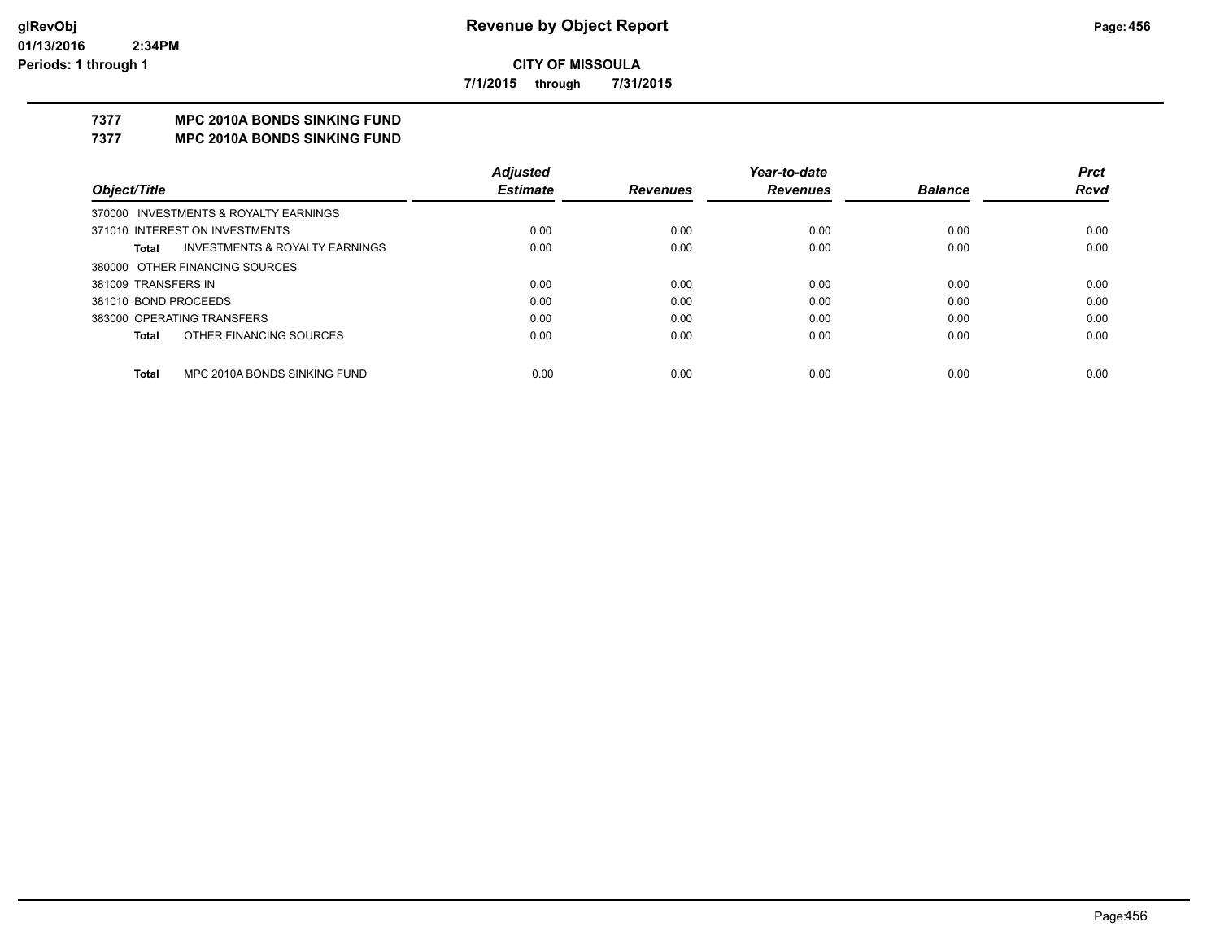**7/1/2015 through 7/31/2015**

## **7377 MPC 2010A BONDS SINKING FUND**

**7377 MPC 2010A BONDS SINKING FUND**

|                                              | <b>Adjusted</b> |                 | Year-to-date    |                | <b>Prct</b> |
|----------------------------------------------|-----------------|-----------------|-----------------|----------------|-------------|
| Object/Title                                 | <b>Estimate</b> | <b>Revenues</b> | <b>Revenues</b> | <b>Balance</b> | <b>Rcvd</b> |
| 370000 INVESTMENTS & ROYALTY EARNINGS        |                 |                 |                 |                |             |
| 371010 INTEREST ON INVESTMENTS               | 0.00            | 0.00            | 0.00            | 0.00           | 0.00        |
| INVESTMENTS & ROYALTY EARNINGS<br>Total      | 0.00            | 0.00            | 0.00            | 0.00           | 0.00        |
| 380000 OTHER FINANCING SOURCES               |                 |                 |                 |                |             |
| 381009 TRANSFERS IN                          | 0.00            | 0.00            | 0.00            | 0.00           | 0.00        |
| 381010 BOND PROCEEDS                         | 0.00            | 0.00            | 0.00            | 0.00           | 0.00        |
| 383000 OPERATING TRANSFERS                   | 0.00            | 0.00            | 0.00            | 0.00           | 0.00        |
| OTHER FINANCING SOURCES<br>Total             | 0.00            | 0.00            | 0.00            | 0.00           | 0.00        |
|                                              |                 |                 |                 |                |             |
| MPC 2010A BONDS SINKING FUND<br><b>Total</b> | 0.00            | 0.00            | 0.00            | 0.00           | 0.00        |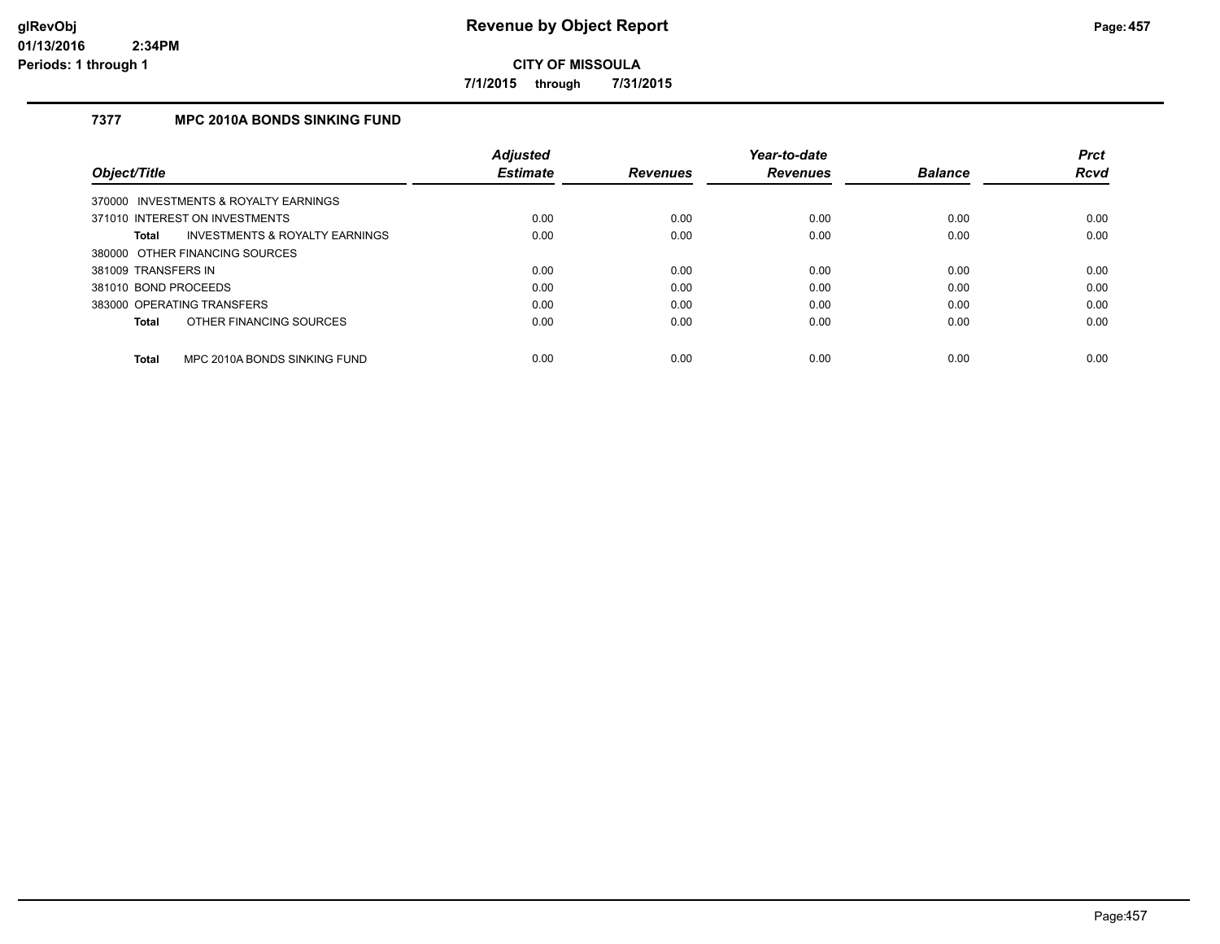**7/1/2015 through 7/31/2015**

## **7377 MPC 2010A BONDS SINKING FUND**

|                                              | <b>Adiusted</b> |                 | Year-to-date    |                | <b>Prct</b> |
|----------------------------------------------|-----------------|-----------------|-----------------|----------------|-------------|
| Object/Title                                 | <b>Estimate</b> | <b>Revenues</b> | <b>Revenues</b> | <b>Balance</b> | <b>Rcvd</b> |
| 370000 INVESTMENTS & ROYALTY EARNINGS        |                 |                 |                 |                |             |
| 371010 INTEREST ON INVESTMENTS               | 0.00            | 0.00            | 0.00            | 0.00           | 0.00        |
| INVESTMENTS & ROYALTY EARNINGS<br>Total      | 0.00            | 0.00            | 0.00            | 0.00           | 0.00        |
| 380000 OTHER FINANCING SOURCES               |                 |                 |                 |                |             |
| 381009 TRANSFERS IN                          | 0.00            | 0.00            | 0.00            | 0.00           | 0.00        |
| 381010 BOND PROCEEDS                         | 0.00            | 0.00            | 0.00            | 0.00           | 0.00        |
| 383000 OPERATING TRANSFERS                   | 0.00            | 0.00            | 0.00            | 0.00           | 0.00        |
| OTHER FINANCING SOURCES<br>Total             | 0.00            | 0.00            | 0.00            | 0.00           | 0.00        |
|                                              |                 |                 |                 |                |             |
| MPC 2010A BONDS SINKING FUND<br><b>Total</b> | 0.00            | 0.00            | 0.00            | 0.00           | 0.00        |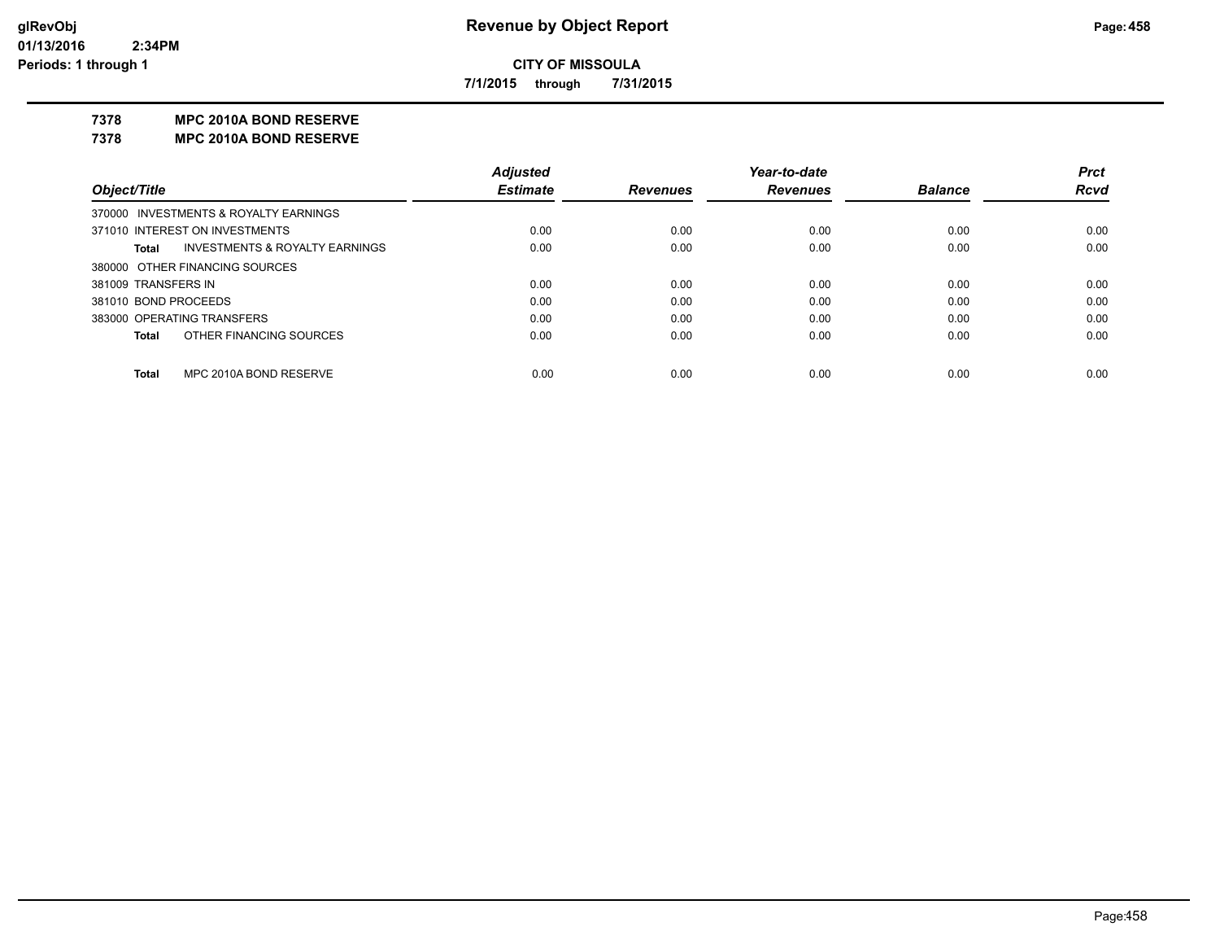**7/1/2015 through 7/31/2015**

#### **7378 MPC 2010A BOND RESERVE**

**7378 MPC 2010A BOND RESERVE**

|                      |                                       | <b>Adjusted</b> |                 | Year-to-date    |                | <b>Prct</b> |
|----------------------|---------------------------------------|-----------------|-----------------|-----------------|----------------|-------------|
| Object/Title         |                                       | <b>Estimate</b> | <b>Revenues</b> | <b>Revenues</b> | <b>Balance</b> | <b>Rcvd</b> |
|                      | 370000 INVESTMENTS & ROYALTY EARNINGS |                 |                 |                 |                |             |
|                      | 371010 INTEREST ON INVESTMENTS        | 0.00            | 0.00            | 0.00            | 0.00           | 0.00        |
| Total                | INVESTMENTS & ROYALTY EARNINGS        | 0.00            | 0.00            | 0.00            | 0.00           | 0.00        |
|                      | 380000 OTHER FINANCING SOURCES        |                 |                 |                 |                |             |
| 381009 TRANSFERS IN  |                                       | 0.00            | 0.00            | 0.00            | 0.00           | 0.00        |
| 381010 BOND PROCEEDS |                                       | 0.00            | 0.00            | 0.00            | 0.00           | 0.00        |
|                      | 383000 OPERATING TRANSFERS            | 0.00            | 0.00            | 0.00            | 0.00           | 0.00        |
| Total                | OTHER FINANCING SOURCES               | 0.00            | 0.00            | 0.00            | 0.00           | 0.00        |
|                      |                                       |                 |                 |                 |                |             |
| <b>Total</b>         | MPC 2010A BOND RESERVE                | 0.00            | 0.00            | 0.00            | 0.00           | 0.00        |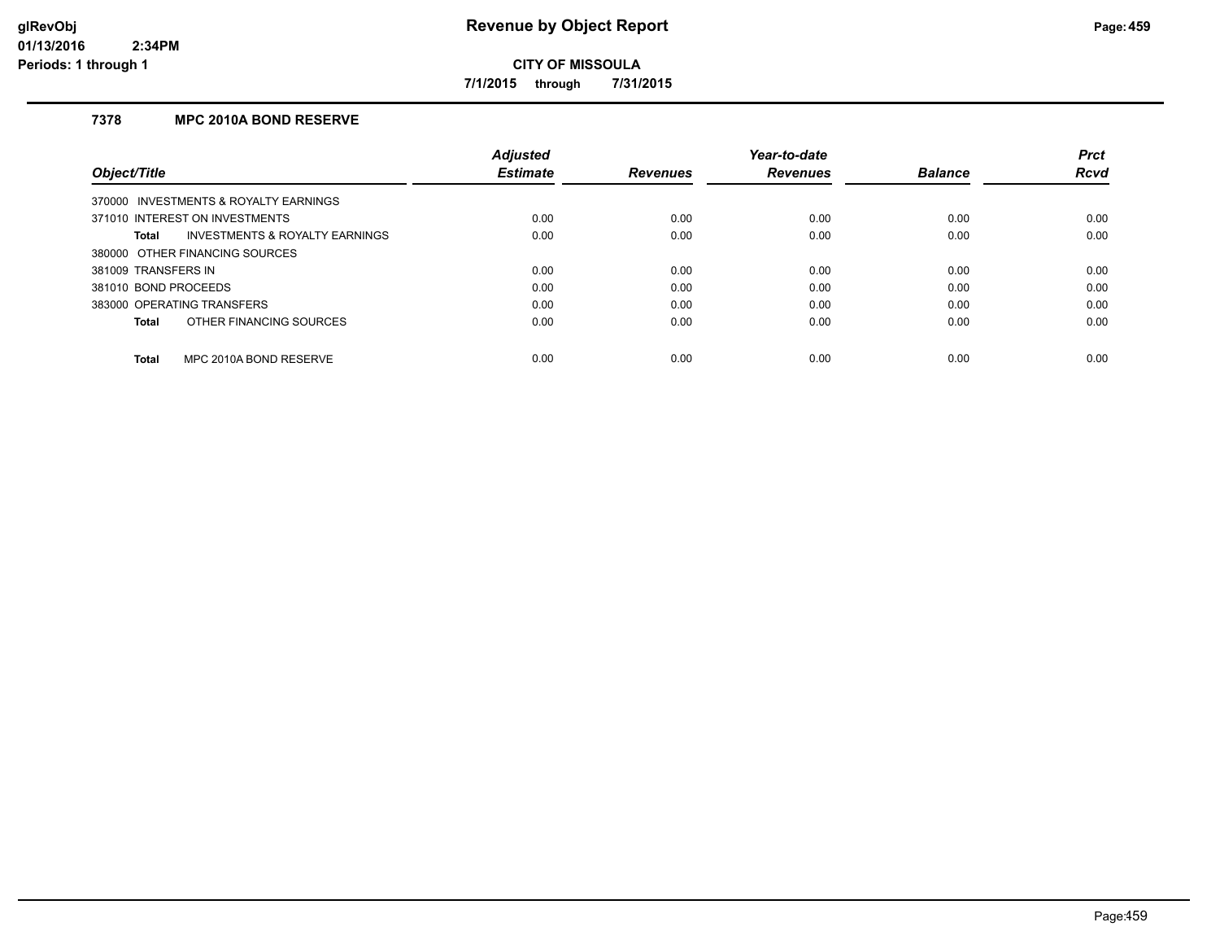**7/1/2015 through 7/31/2015**

## **7378 MPC 2010A BOND RESERVE**

|                                         | <b>Adjusted</b> |                 | Year-to-date    |                | <b>Prct</b> |
|-----------------------------------------|-----------------|-----------------|-----------------|----------------|-------------|
| Object/Title                            | <b>Estimate</b> | <b>Revenues</b> | <b>Revenues</b> | <b>Balance</b> | <b>Rcvd</b> |
| 370000 INVESTMENTS & ROYALTY EARNINGS   |                 |                 |                 |                |             |
| 371010 INTEREST ON INVESTMENTS          | 0.00            | 0.00            | 0.00            | 0.00           | 0.00        |
| INVESTMENTS & ROYALTY EARNINGS<br>Total | 0.00            | 0.00            | 0.00            | 0.00           | 0.00        |
| 380000 OTHER FINANCING SOURCES          |                 |                 |                 |                |             |
| 381009 TRANSFERS IN                     | 0.00            | 0.00            | 0.00            | 0.00           | 0.00        |
| 381010 BOND PROCEEDS                    | 0.00            | 0.00            | 0.00            | 0.00           | 0.00        |
| 383000 OPERATING TRANSFERS              | 0.00            | 0.00            | 0.00            | 0.00           | 0.00        |
| OTHER FINANCING SOURCES<br>Total        | 0.00            | 0.00            | 0.00            | 0.00           | 0.00        |
| MPC 2010A BOND RESERVE<br><b>Total</b>  | 0.00            | 0.00            | 0.00            | 0.00           | 0.00        |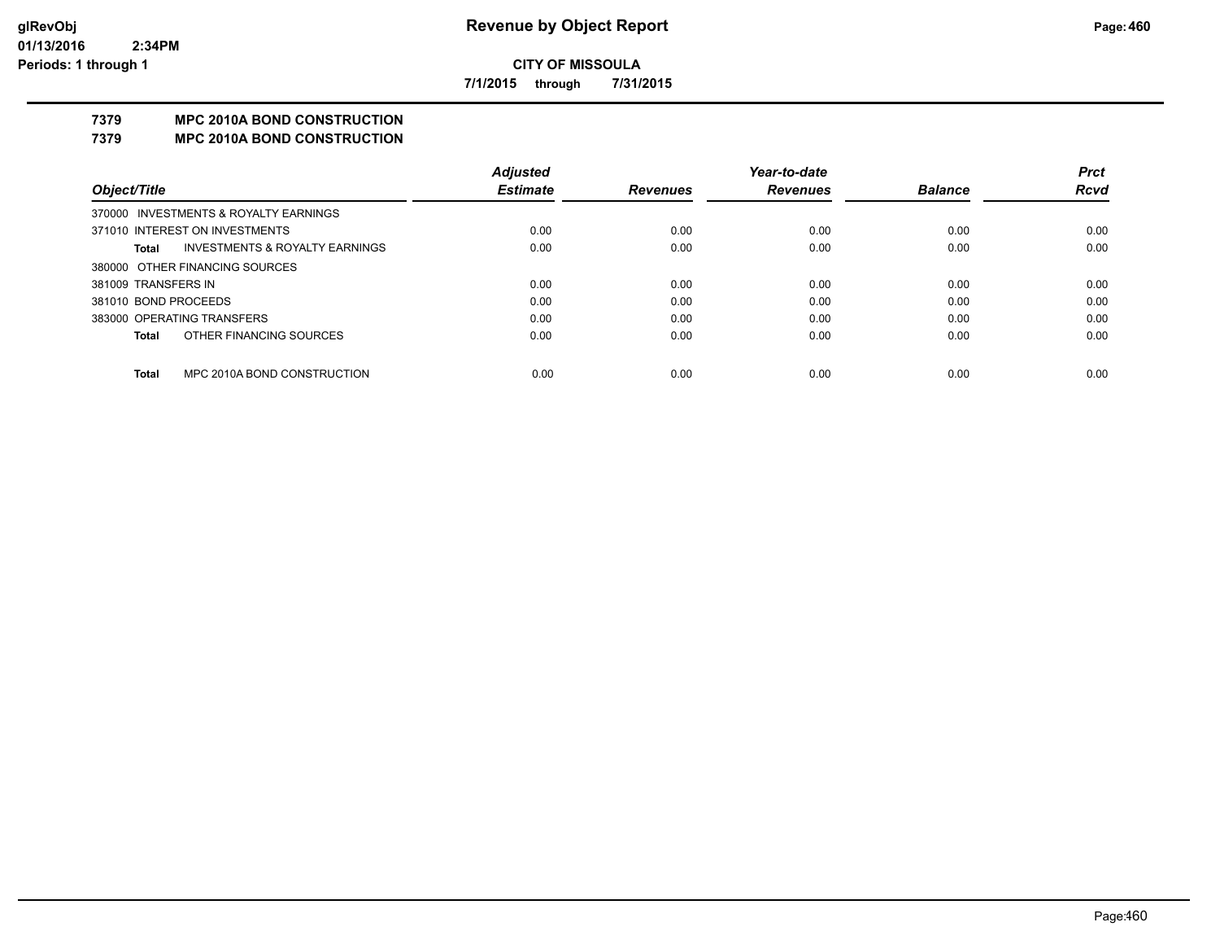**7/1/2015 through 7/31/2015**

## **7379 MPC 2010A BOND CONSTRUCTION**

#### **7379 MPC 2010A BOND CONSTRUCTION**

|                      |                                       | <b>Adjusted</b> |                 | Year-to-date    |                | <b>Prct</b> |
|----------------------|---------------------------------------|-----------------|-----------------|-----------------|----------------|-------------|
| Object/Title         |                                       | <b>Estimate</b> | <b>Revenues</b> | <b>Revenues</b> | <b>Balance</b> | <b>Rcvd</b> |
|                      | 370000 INVESTMENTS & ROYALTY EARNINGS |                 |                 |                 |                |             |
|                      | 371010 INTEREST ON INVESTMENTS        | 0.00            | 0.00            | 0.00            | 0.00           | 0.00        |
| Total                | INVESTMENTS & ROYALTY EARNINGS        | 0.00            | 0.00            | 0.00            | 0.00           | 0.00        |
|                      | 380000 OTHER FINANCING SOURCES        |                 |                 |                 |                |             |
| 381009 TRANSFERS IN  |                                       | 0.00            | 0.00            | 0.00            | 0.00           | 0.00        |
| 381010 BOND PROCEEDS |                                       | 0.00            | 0.00            | 0.00            | 0.00           | 0.00        |
|                      | 383000 OPERATING TRANSFERS            | 0.00            | 0.00            | 0.00            | 0.00           | 0.00        |
| Total                | OTHER FINANCING SOURCES               | 0.00            | 0.00            | 0.00            | 0.00           | 0.00        |
|                      |                                       |                 |                 |                 |                |             |
| Total                | MPC 2010A BOND CONSTRUCTION           | 0.00            | 0.00            | 0.00            | 0.00           | 0.00        |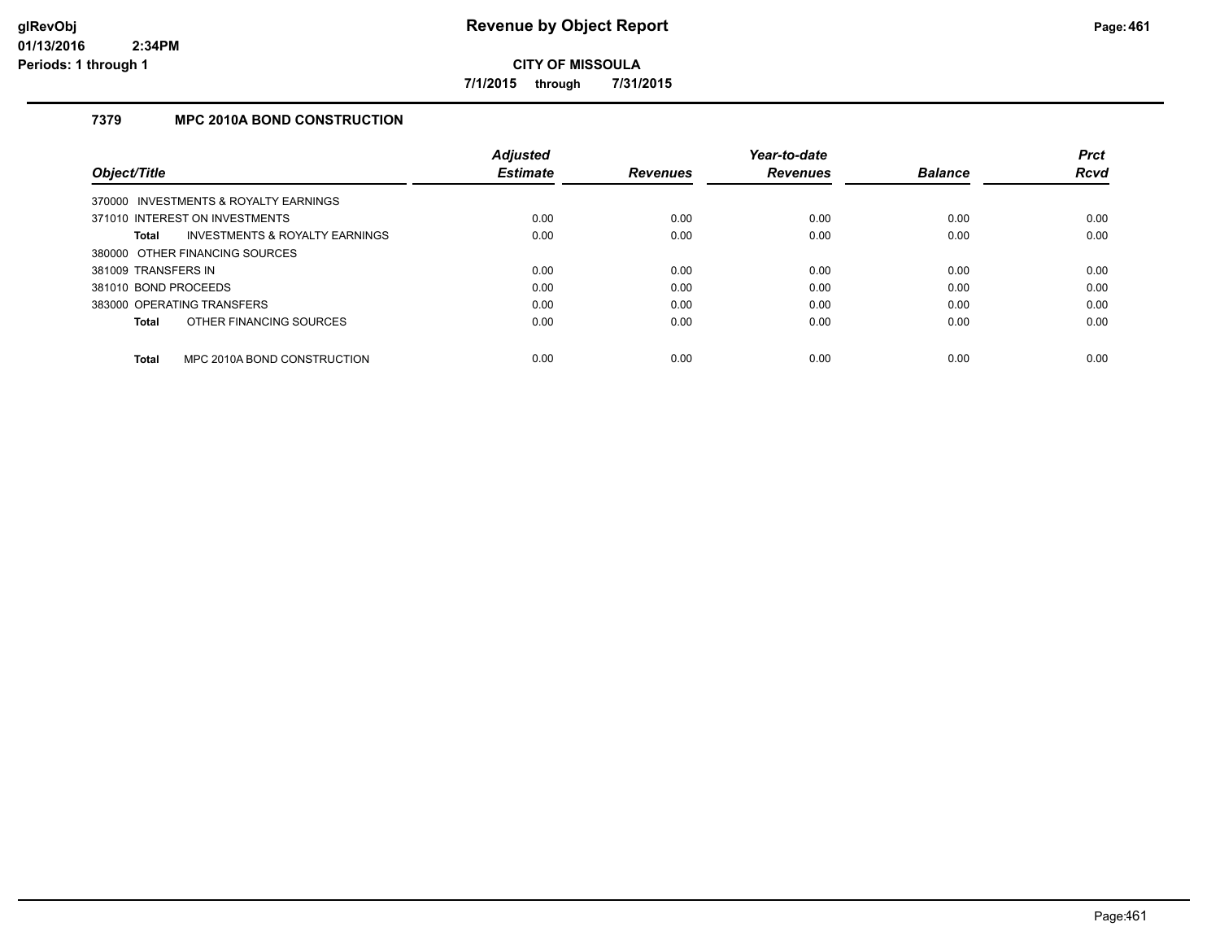**7/1/2015 through 7/31/2015**

## **7379 MPC 2010A BOND CONSTRUCTION**

|                      |                                       | <b>Adjusted</b> |                 | Year-to-date    |                | <b>Prct</b> |
|----------------------|---------------------------------------|-----------------|-----------------|-----------------|----------------|-------------|
| Object/Title         |                                       | <b>Estimate</b> | <b>Revenues</b> | <b>Revenues</b> | <b>Balance</b> | <b>Rcvd</b> |
|                      | 370000 INVESTMENTS & ROYALTY EARNINGS |                 |                 |                 |                |             |
|                      | 371010 INTEREST ON INVESTMENTS        | 0.00            | 0.00            | 0.00            | 0.00           | 0.00        |
| Total                | INVESTMENTS & ROYALTY EARNINGS        | 0.00            | 0.00            | 0.00            | 0.00           | 0.00        |
|                      | 380000 OTHER FINANCING SOURCES        |                 |                 |                 |                |             |
| 381009 TRANSFERS IN  |                                       | 0.00            | 0.00            | 0.00            | 0.00           | 0.00        |
| 381010 BOND PROCEEDS |                                       | 0.00            | 0.00            | 0.00            | 0.00           | 0.00        |
|                      | 383000 OPERATING TRANSFERS            | 0.00            | 0.00            | 0.00            | 0.00           | 0.00        |
| Total                | OTHER FINANCING SOURCES               | 0.00            | 0.00            | 0.00            | 0.00           | 0.00        |
| <b>Total</b>         | MPC 2010A BOND CONSTRUCTION           | 0.00            | 0.00            | 0.00            | 0.00           | 0.00        |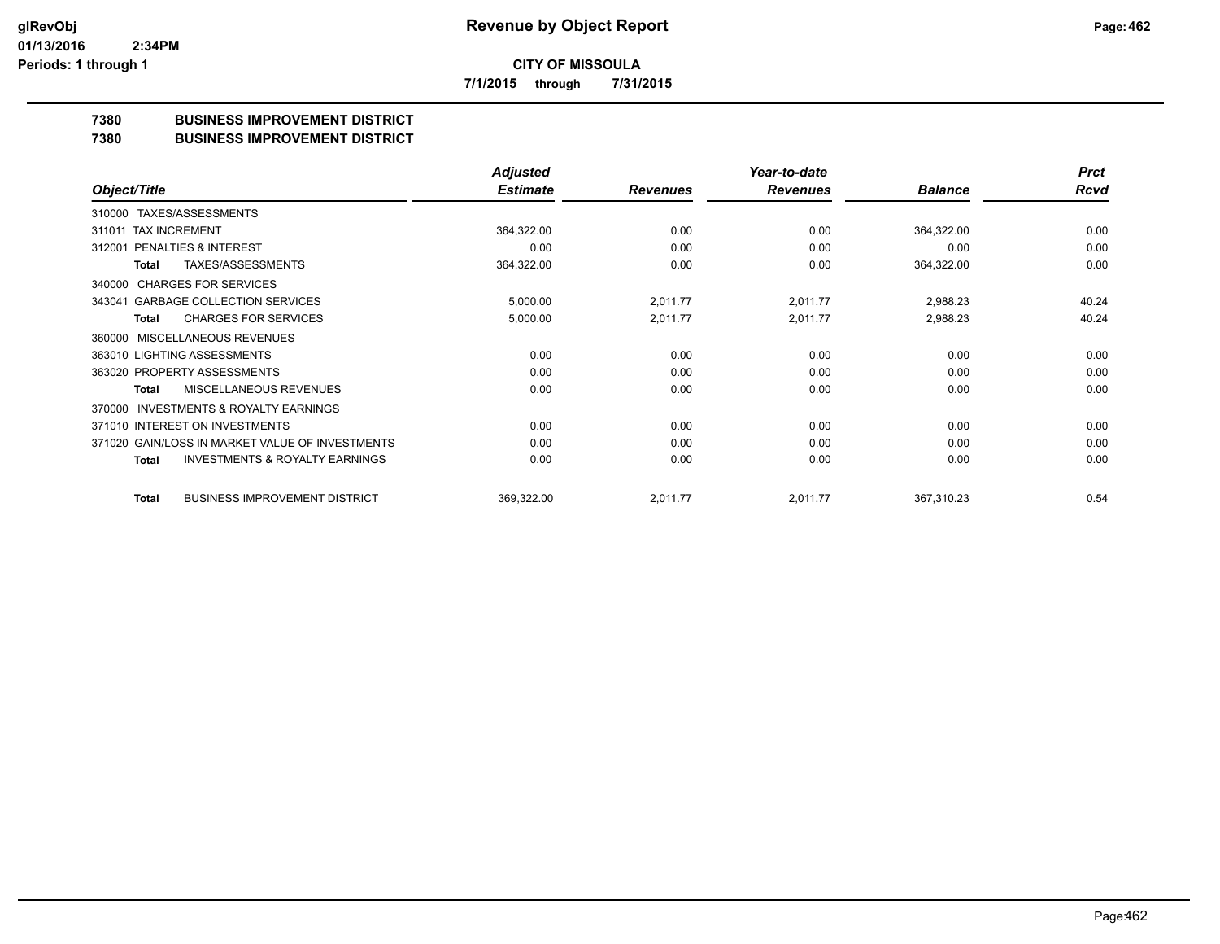**7/1/2015 through 7/31/2015**

## **7380 BUSINESS IMPROVEMENT DISTRICT**

#### **7380 BUSINESS IMPROVEMENT DISTRICT**

|                                                     | <b>Adjusted</b> |                 | Year-to-date    |                | <b>Prct</b> |
|-----------------------------------------------------|-----------------|-----------------|-----------------|----------------|-------------|
| Object/Title                                        | <b>Estimate</b> | <b>Revenues</b> | <b>Revenues</b> | <b>Balance</b> | <b>Rcvd</b> |
| 310000 TAXES/ASSESSMENTS                            |                 |                 |                 |                |             |
| <b>TAX INCREMENT</b><br>311011                      | 364,322.00      | 0.00            | 0.00            | 364,322.00     | 0.00        |
| PENALTIES & INTEREST<br>312001                      | 0.00            | 0.00            | 0.00            | 0.00           | 0.00        |
| TAXES/ASSESSMENTS<br>Total                          | 364,322.00      | 0.00            | 0.00            | 364,322.00     | 0.00        |
| <b>CHARGES FOR SERVICES</b><br>340000               |                 |                 |                 |                |             |
| <b>GARBAGE COLLECTION SERVICES</b><br>343041        | 5,000.00        | 2,011.77        | 2,011.77        | 2,988.23       | 40.24       |
| <b>CHARGES FOR SERVICES</b><br>Total                | 5,000.00        | 2,011.77        | 2,011.77        | 2,988.23       | 40.24       |
| MISCELLANEOUS REVENUES<br>360000                    |                 |                 |                 |                |             |
| 363010 LIGHTING ASSESSMENTS                         | 0.00            | 0.00            | 0.00            | 0.00           | 0.00        |
| 363020 PROPERTY ASSESSMENTS                         | 0.00            | 0.00            | 0.00            | 0.00           | 0.00        |
| <b>MISCELLANEOUS REVENUES</b><br>Total              | 0.00            | 0.00            | 0.00            | 0.00           | 0.00        |
| <b>INVESTMENTS &amp; ROYALTY EARNINGS</b><br>370000 |                 |                 |                 |                |             |
| 371010 INTEREST ON INVESTMENTS                      | 0.00            | 0.00            | 0.00            | 0.00           | 0.00        |
| 371020 GAIN/LOSS IN MARKET VALUE OF INVESTMENTS     | 0.00            | 0.00            | 0.00            | 0.00           | 0.00        |
| <b>INVESTMENTS &amp; ROYALTY EARNINGS</b><br>Total  | 0.00            | 0.00            | 0.00            | 0.00           | 0.00        |
| <b>BUSINESS IMPROVEMENT DISTRICT</b><br>Total       | 369,322.00      | 2,011.77        | 2,011.77        | 367,310.23     | 0.54        |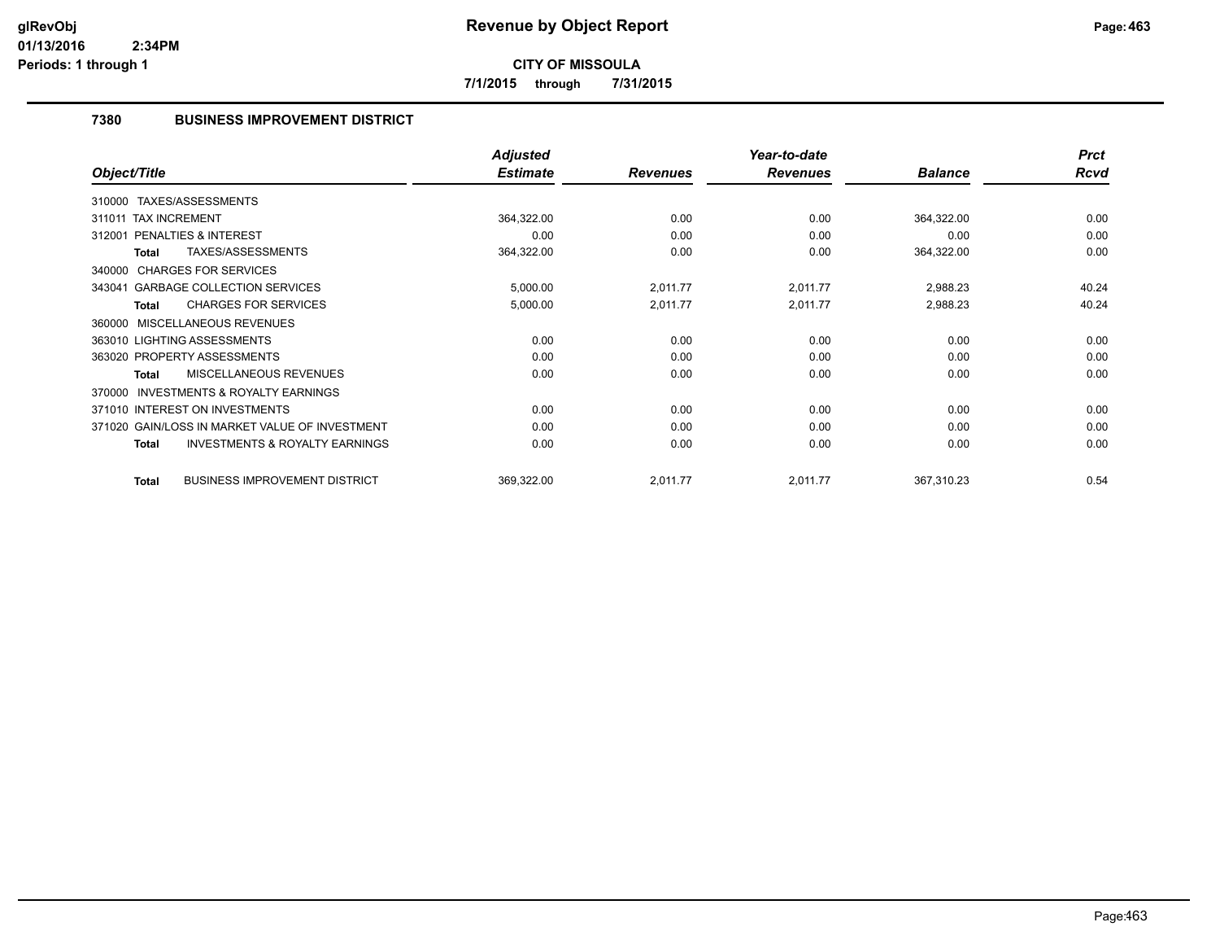**7/1/2015 through 7/31/2015**

## **7380 BUSINESS IMPROVEMENT DISTRICT**

|                                                           | <b>Adjusted</b> |                 | Year-to-date    |                | <b>Prct</b> |
|-----------------------------------------------------------|-----------------|-----------------|-----------------|----------------|-------------|
| Object/Title                                              | <b>Estimate</b> | <b>Revenues</b> | <b>Revenues</b> | <b>Balance</b> | Rcvd        |
| 310000 TAXES/ASSESSMENTS                                  |                 |                 |                 |                |             |
| 311011 TAX INCREMENT                                      | 364,322.00      | 0.00            | 0.00            | 364,322.00     | 0.00        |
| PENALTIES & INTEREST<br>312001                            | 0.00            | 0.00            | 0.00            | 0.00           | 0.00        |
| TAXES/ASSESSMENTS<br><b>Total</b>                         | 364,322.00      | 0.00            | 0.00            | 364,322.00     | 0.00        |
| 340000 CHARGES FOR SERVICES                               |                 |                 |                 |                |             |
| 343041 GARBAGE COLLECTION SERVICES                        | 5,000.00        | 2,011.77        | 2,011.77        | 2,988.23       | 40.24       |
| <b>CHARGES FOR SERVICES</b><br><b>Total</b>               | 5,000.00        | 2,011.77        | 2,011.77        | 2,988.23       | 40.24       |
| 360000 MISCELLANEOUS REVENUES                             |                 |                 |                 |                |             |
| 363010 LIGHTING ASSESSMENTS                               | 0.00            | 0.00            | 0.00            | 0.00           | 0.00        |
| 363020 PROPERTY ASSESSMENTS                               | 0.00            | 0.00            | 0.00            | 0.00           | 0.00        |
| <b>MISCELLANEOUS REVENUES</b><br><b>Total</b>             | 0.00            | 0.00            | 0.00            | 0.00           | 0.00        |
| <b>INVESTMENTS &amp; ROYALTY EARNINGS</b><br>370000       |                 |                 |                 |                |             |
| 371010 INTEREST ON INVESTMENTS                            | 0.00            | 0.00            | 0.00            | 0.00           | 0.00        |
| 371020 GAIN/LOSS IN MARKET VALUE OF INVESTMENT            | 0.00            | 0.00            | 0.00            | 0.00           | 0.00        |
| <b>INVESTMENTS &amp; ROYALTY EARNINGS</b><br><b>Total</b> | 0.00            | 0.00            | 0.00            | 0.00           | 0.00        |
| <b>BUSINESS IMPROVEMENT DISTRICT</b><br>Total             | 369,322.00      | 2,011.77        | 2,011.77        | 367,310.23     | 0.54        |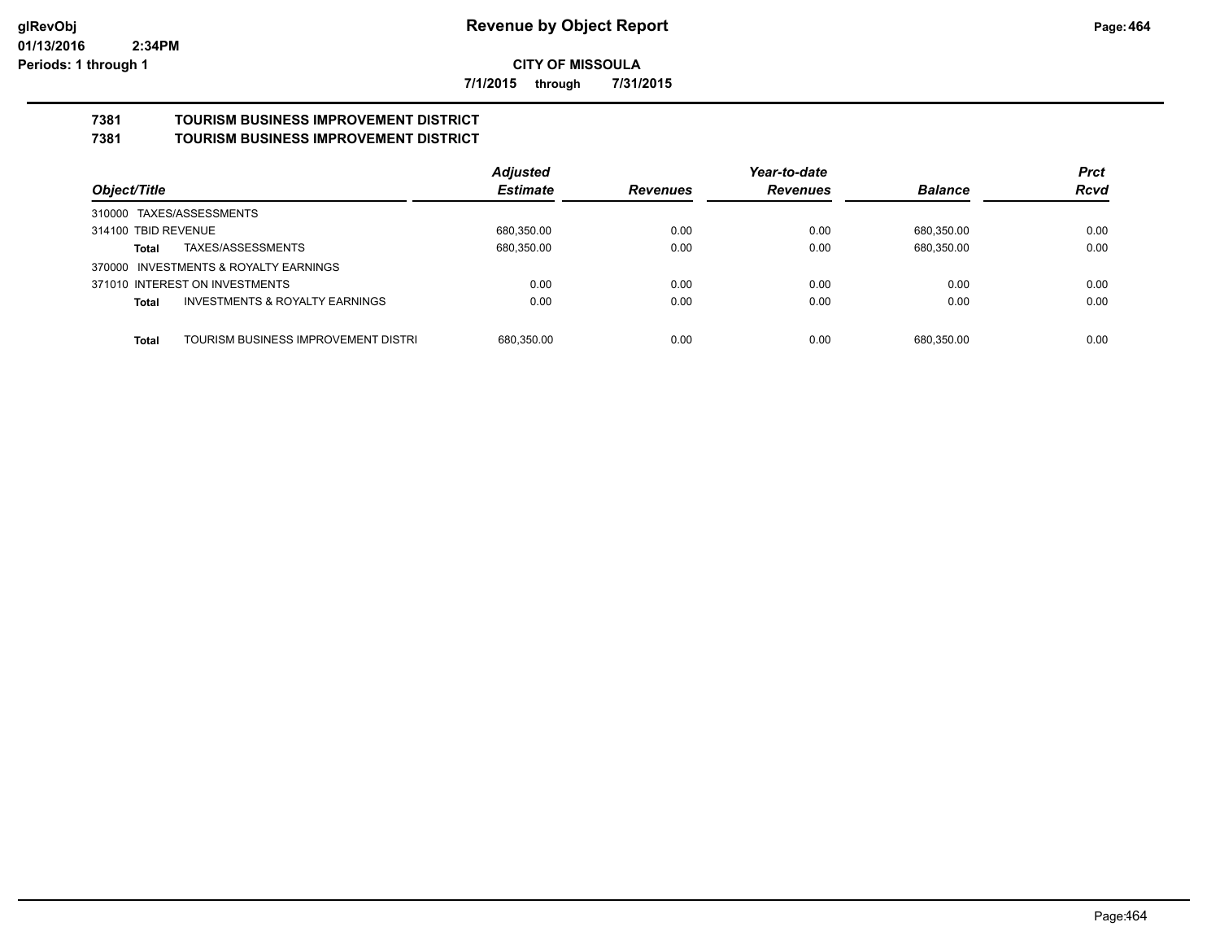**7/1/2015 through 7/31/2015**

#### **7381 TOURISM BUSINESS IMPROVEMENT DISTRICT 7381 TOURISM BUSINESS IMPROVEMENT DISTRICT**

|                                                     | <b>Adjusted</b> |                 | Year-to-date    |                | <b>Prct</b> |
|-----------------------------------------------------|-----------------|-----------------|-----------------|----------------|-------------|
| Object/Title                                        | <b>Estimate</b> | <b>Revenues</b> | <b>Revenues</b> | <b>Balance</b> | <b>Rcvd</b> |
| 310000 TAXES/ASSESSMENTS                            |                 |                 |                 |                |             |
| 314100 TBID REVENUE                                 | 680,350.00      | 0.00            | 0.00            | 680,350.00     | 0.00        |
| TAXES/ASSESSMENTS<br>Total                          | 680,350.00      | 0.00            | 0.00            | 680,350.00     | 0.00        |
| 370000 INVESTMENTS & ROYALTY EARNINGS               |                 |                 |                 |                |             |
| 371010 INTEREST ON INVESTMENTS                      | 0.00            | 0.00            | 0.00            | 0.00           | 0.00        |
| <b>INVESTMENTS &amp; ROYALTY EARNINGS</b><br>Total  | 0.00            | 0.00            | 0.00            | 0.00           | 0.00        |
|                                                     |                 |                 |                 |                |             |
| TOURISM BUSINESS IMPROVEMENT DISTRI<br><b>Total</b> | 680.350.00      | 0.00            | 0.00            | 680.350.00     | 0.00        |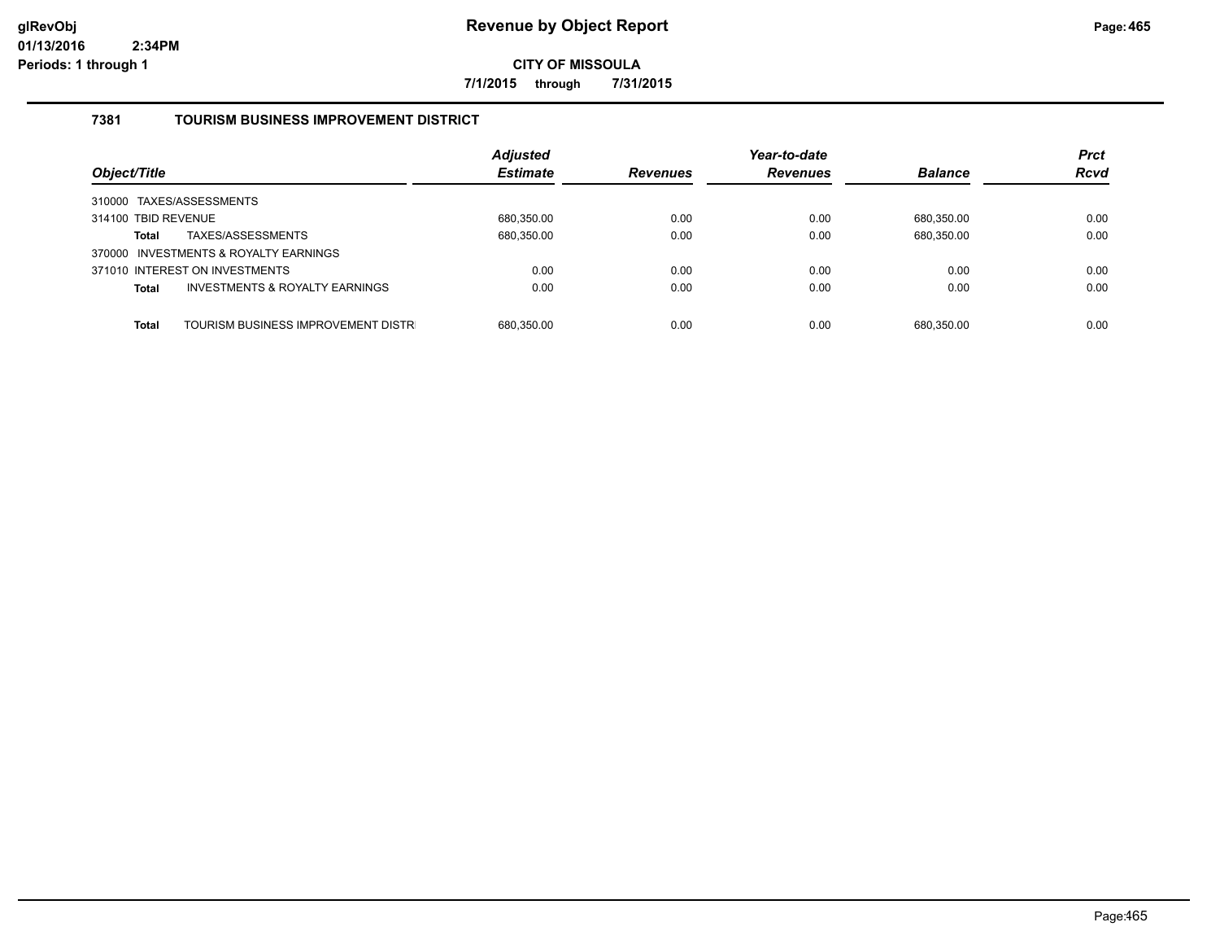**7/1/2015 through 7/31/2015**

## **7381 TOURISM BUSINESS IMPROVEMENT DISTRICT**

| Object/Title                                              | <b>Adjusted</b><br><b>Estimate</b> | <b>Revenues</b> | Year-to-date<br><b>Revenues</b> | <b>Balance</b> | <b>Prct</b><br><b>Rcvd</b> |
|-----------------------------------------------------------|------------------------------------|-----------------|---------------------------------|----------------|----------------------------|
| 310000 TAXES/ASSESSMENTS                                  |                                    |                 |                                 |                |                            |
| 314100 TBID REVENUE                                       | 680,350.00                         | 0.00            | 0.00                            | 680.350.00     | 0.00                       |
| TAXES/ASSESSMENTS<br><b>Total</b>                         | 680,350.00                         | 0.00            | 0.00                            | 680,350.00     | 0.00                       |
| 370000 INVESTMENTS & ROYALTY EARNINGS                     |                                    |                 |                                 |                |                            |
| 371010 INTEREST ON INVESTMENTS                            | 0.00                               | 0.00            | 0.00                            | 0.00           | 0.00                       |
| <b>INVESTMENTS &amp; ROYALTY EARNINGS</b><br><b>Total</b> | 0.00                               | 0.00            | 0.00                            | 0.00           | 0.00                       |
|                                                           |                                    |                 |                                 |                |                            |
| TOURISM BUSINESS IMPROVEMENT DISTR<br><b>Total</b>        | 680.350.00                         | 0.00            | 0.00                            | 680.350.00     | 0.00                       |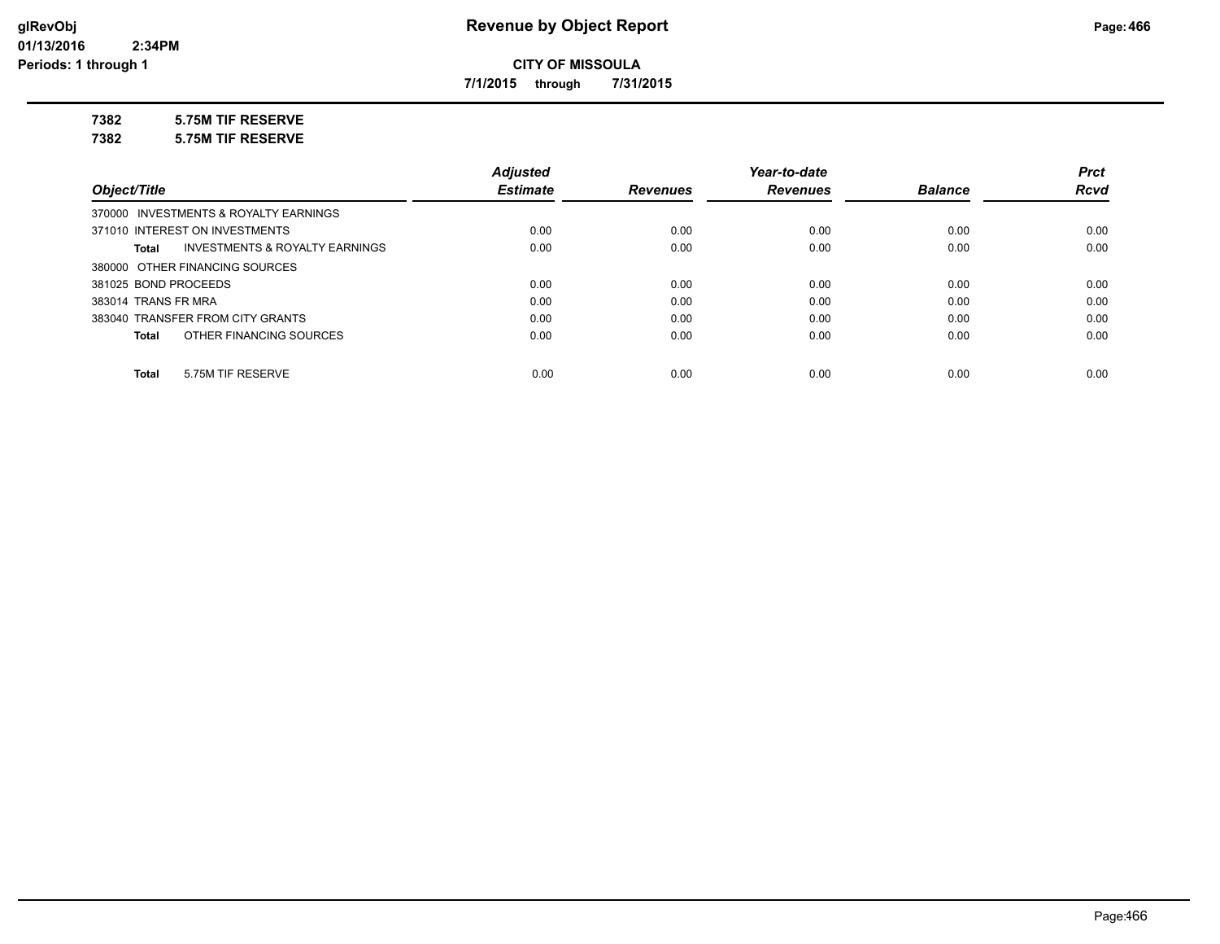**7/1/2015 through 7/31/2015**

## **7382 5.75M TIF RESERVE**

**7382 5.75M TIF RESERVE**

|                                                    | <b>Adjusted</b> |                 | Year-to-date    |                | <b>Prct</b> |
|----------------------------------------------------|-----------------|-----------------|-----------------|----------------|-------------|
| Object/Title                                       | <b>Estimate</b> | <b>Revenues</b> | <b>Revenues</b> | <b>Balance</b> | <b>Rcvd</b> |
| 370000 INVESTMENTS & ROYALTY EARNINGS              |                 |                 |                 |                |             |
| 371010 INTEREST ON INVESTMENTS                     | 0.00            | 0.00            | 0.00            | 0.00           | 0.00        |
| <b>INVESTMENTS &amp; ROYALTY EARNINGS</b><br>Total | 0.00            | 0.00            | 0.00            | 0.00           | 0.00        |
| 380000 OTHER FINANCING SOURCES                     |                 |                 |                 |                |             |
| 381025 BOND PROCEEDS                               | 0.00            | 0.00            | 0.00            | 0.00           | 0.00        |
| 383014 TRANS FR MRA                                | 0.00            | 0.00            | 0.00            | 0.00           | 0.00        |
| 383040 TRANSFER FROM CITY GRANTS                   | 0.00            | 0.00            | 0.00            | 0.00           | 0.00        |
| OTHER FINANCING SOURCES<br>Total                   | 0.00            | 0.00            | 0.00            | 0.00           | 0.00        |
| 5.75M TIF RESERVE<br>Total                         | 0.00            | 0.00            | 0.00            | 0.00           | 0.00        |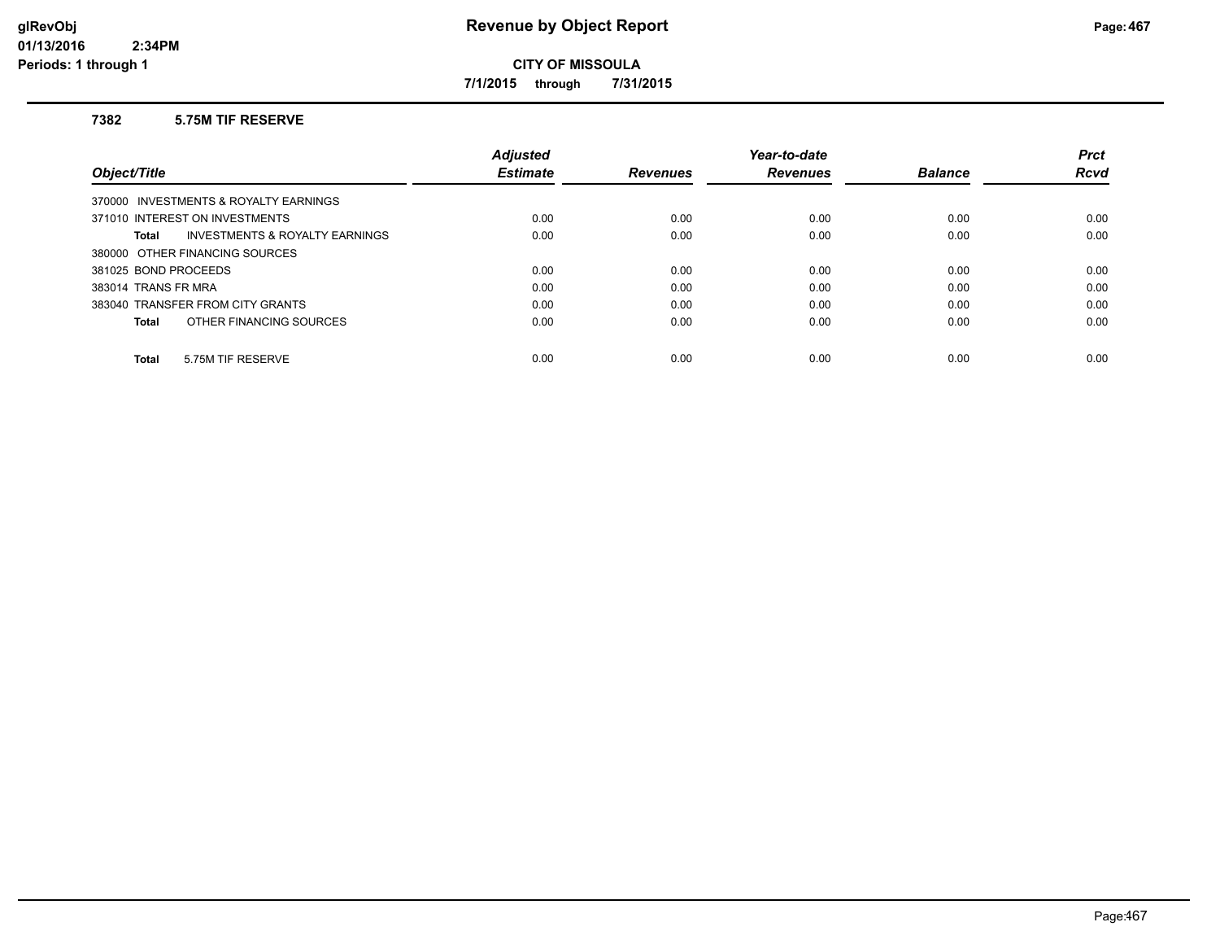**7/1/2015 through 7/31/2015**

#### **7382 5.75M TIF RESERVE**

|                                                           | <b>Adjusted</b> |                 | Year-to-date    |                | <b>Prct</b> |
|-----------------------------------------------------------|-----------------|-----------------|-----------------|----------------|-------------|
| Object/Title                                              | <b>Estimate</b> | <b>Revenues</b> | <b>Revenues</b> | <b>Balance</b> | Rcvd        |
| 370000 INVESTMENTS & ROYALTY EARNINGS                     |                 |                 |                 |                |             |
| 371010 INTEREST ON INVESTMENTS                            | 0.00            | 0.00            | 0.00            | 0.00           | 0.00        |
| <b>INVESTMENTS &amp; ROYALTY EARNINGS</b><br><b>Total</b> | 0.00            | 0.00            | 0.00            | 0.00           | 0.00        |
| 380000 OTHER FINANCING SOURCES                            |                 |                 |                 |                |             |
| 381025 BOND PROCEEDS                                      | 0.00            | 0.00            | 0.00            | 0.00           | 0.00        |
| 383014 TRANS FR MRA                                       | 0.00            | 0.00            | 0.00            | 0.00           | 0.00        |
| 383040 TRANSFER FROM CITY GRANTS                          | 0.00            | 0.00            | 0.00            | 0.00           | 0.00        |
| OTHER FINANCING SOURCES<br><b>Total</b>                   | 0.00            | 0.00            | 0.00            | 0.00           | 0.00        |
| 5.75M TIF RESERVE<br><b>Total</b>                         | 0.00            | 0.00            | 0.00            | 0.00           | 0.00        |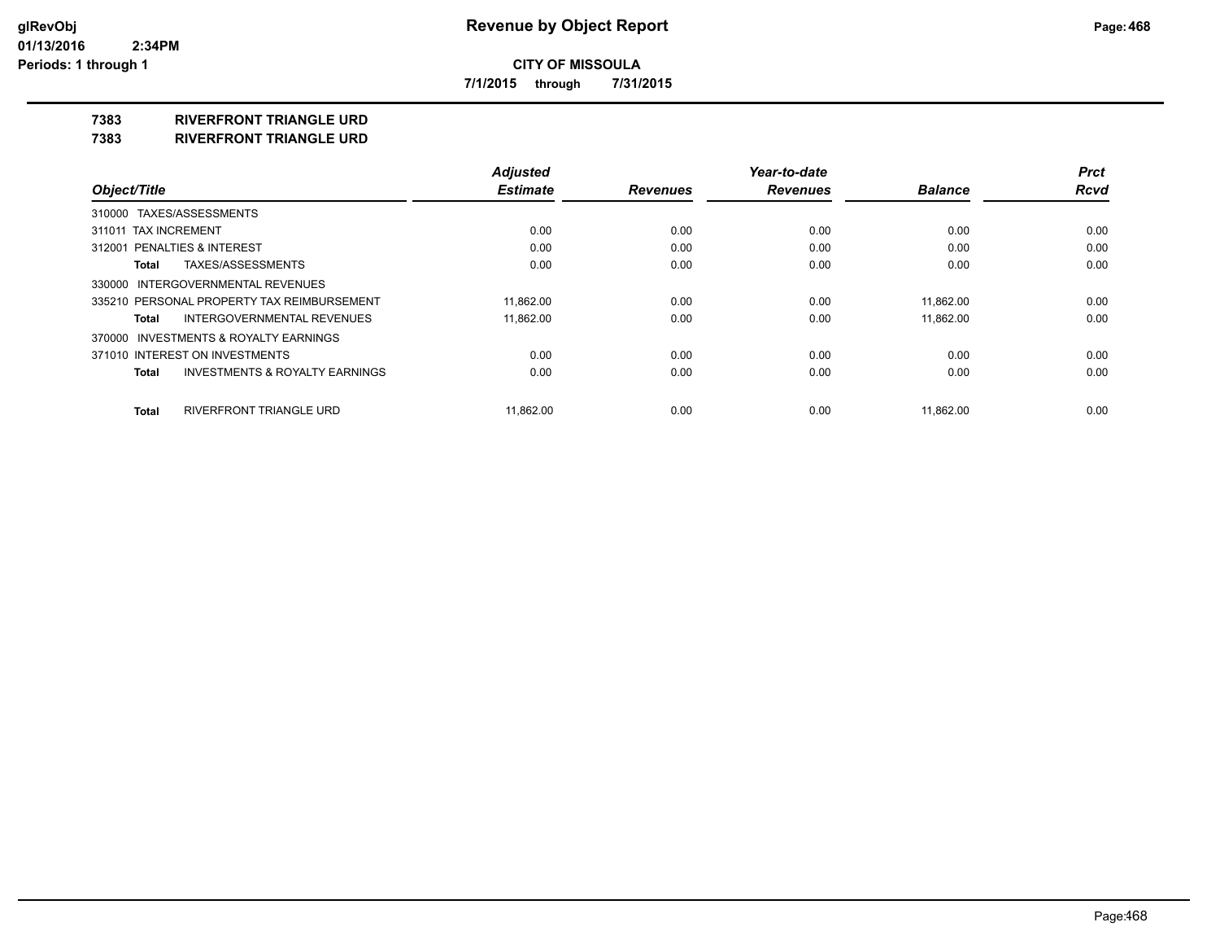**7/1/2015 through 7/31/2015**

#### **7383 RIVERFRONT TRIANGLE URD**

**7383 RIVERFRONT TRIANGLE URD**

|                                                    | <b>Adjusted</b> |                 | Year-to-date    |                | <b>Prct</b> |
|----------------------------------------------------|-----------------|-----------------|-----------------|----------------|-------------|
| Object/Title                                       | <b>Estimate</b> | <b>Revenues</b> | <b>Revenues</b> | <b>Balance</b> | <b>Rcvd</b> |
| 310000 TAXES/ASSESSMENTS                           |                 |                 |                 |                |             |
| 311011 TAX INCREMENT                               | 0.00            | 0.00            | 0.00            | 0.00           | 0.00        |
| 312001 PENALTIES & INTEREST                        | 0.00            | 0.00            | 0.00            | 0.00           | 0.00        |
| TAXES/ASSESSMENTS<br>Total                         | 0.00            | 0.00            | 0.00            | 0.00           | 0.00        |
| 330000 INTERGOVERNMENTAL REVENUES                  |                 |                 |                 |                |             |
| 335210 PERSONAL PROPERTY TAX REIMBURSEMENT         | 11.862.00       | 0.00            | 0.00            | 11.862.00      | 0.00        |
| <b>INTERGOVERNMENTAL REVENUES</b><br>Total         | 11.862.00       | 0.00            | 0.00            | 11.862.00      | 0.00        |
| 370000 INVESTMENTS & ROYALTY EARNINGS              |                 |                 |                 |                |             |
| 371010 INTEREST ON INVESTMENTS                     | 0.00            | 0.00            | 0.00            | 0.00           | 0.00        |
| <b>INVESTMENTS &amp; ROYALTY EARNINGS</b><br>Total | 0.00            | 0.00            | 0.00            | 0.00           | 0.00        |
| RIVERFRONT TRIANGLE URD<br>Total                   | 11.862.00       | 0.00            | 0.00            | 11.862.00      | 0.00        |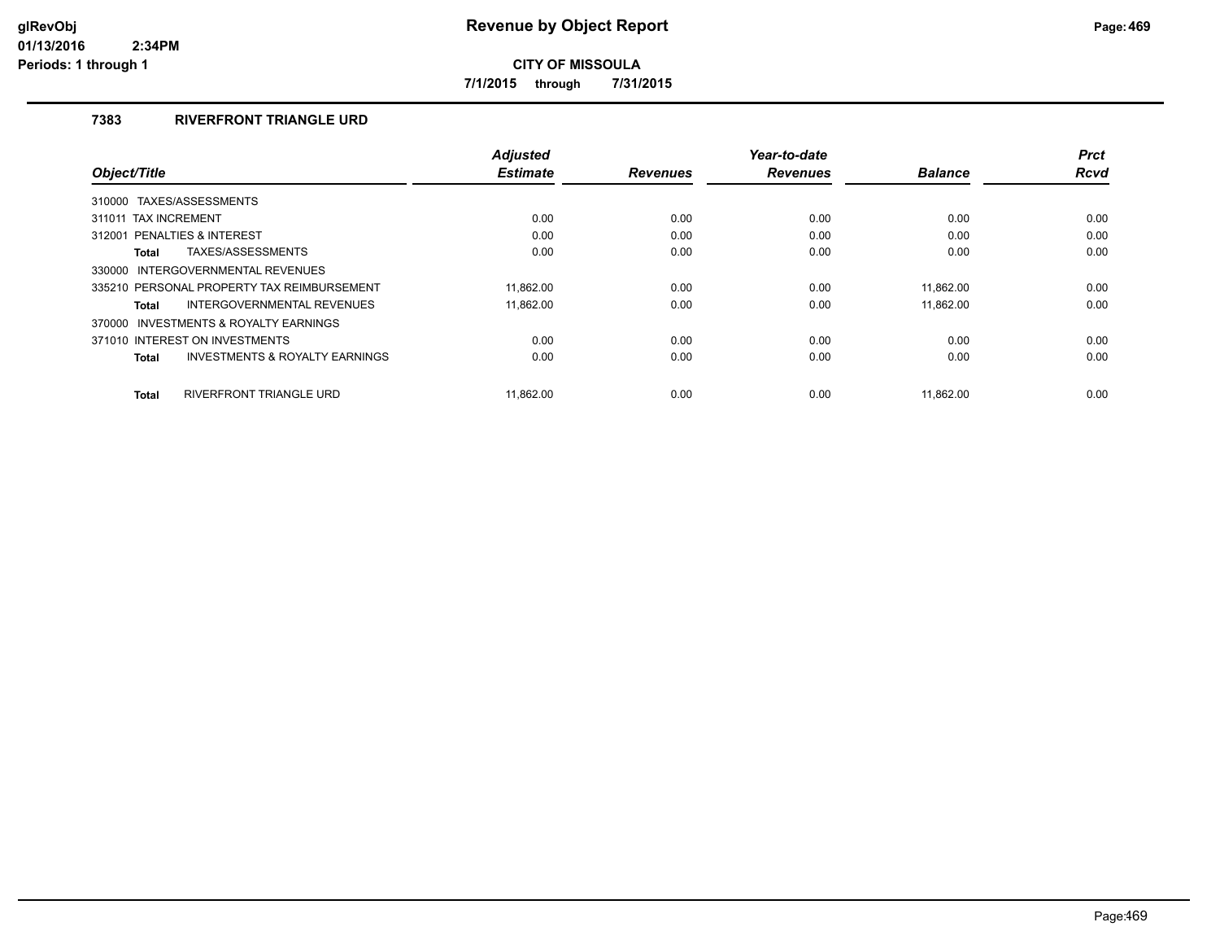**7/1/2015 through 7/31/2015**

## **7383 RIVERFRONT TRIANGLE URD**

|                                                           | <b>Adjusted</b> |                 | Year-to-date    |                | <b>Prct</b> |
|-----------------------------------------------------------|-----------------|-----------------|-----------------|----------------|-------------|
| Object/Title                                              | <b>Estimate</b> | <b>Revenues</b> | <b>Revenues</b> | <b>Balance</b> | <b>Rcvd</b> |
| TAXES/ASSESSMENTS<br>310000                               |                 |                 |                 |                |             |
| 311011 TAX INCREMENT                                      | 0.00            | 0.00            | 0.00            | 0.00           | 0.00        |
| 312001 PENALTIES & INTEREST                               | 0.00            | 0.00            | 0.00            | 0.00           | 0.00        |
| TAXES/ASSESSMENTS<br><b>Total</b>                         | 0.00            | 0.00            | 0.00            | 0.00           | 0.00        |
| 330000 INTERGOVERNMENTAL REVENUES                         |                 |                 |                 |                |             |
| 335210 PERSONAL PROPERTY TAX REIMBURSEMENT                | 11.862.00       | 0.00            | 0.00            | 11.862.00      | 0.00        |
| INTERGOVERNMENTAL REVENUES<br>Total                       | 11.862.00       | 0.00            | 0.00            | 11.862.00      | 0.00        |
| 370000 INVESTMENTS & ROYALTY EARNINGS                     |                 |                 |                 |                |             |
| 371010 INTEREST ON INVESTMENTS                            | 0.00            | 0.00            | 0.00            | 0.00           | 0.00        |
| <b>INVESTMENTS &amp; ROYALTY EARNINGS</b><br><b>Total</b> | 0.00            | 0.00            | 0.00            | 0.00           | 0.00        |
|                                                           |                 |                 |                 |                |             |
| RIVERFRONT TRIANGLE URD<br><b>Total</b>                   | 11.862.00       | 0.00            | 0.00            | 11.862.00      | 0.00        |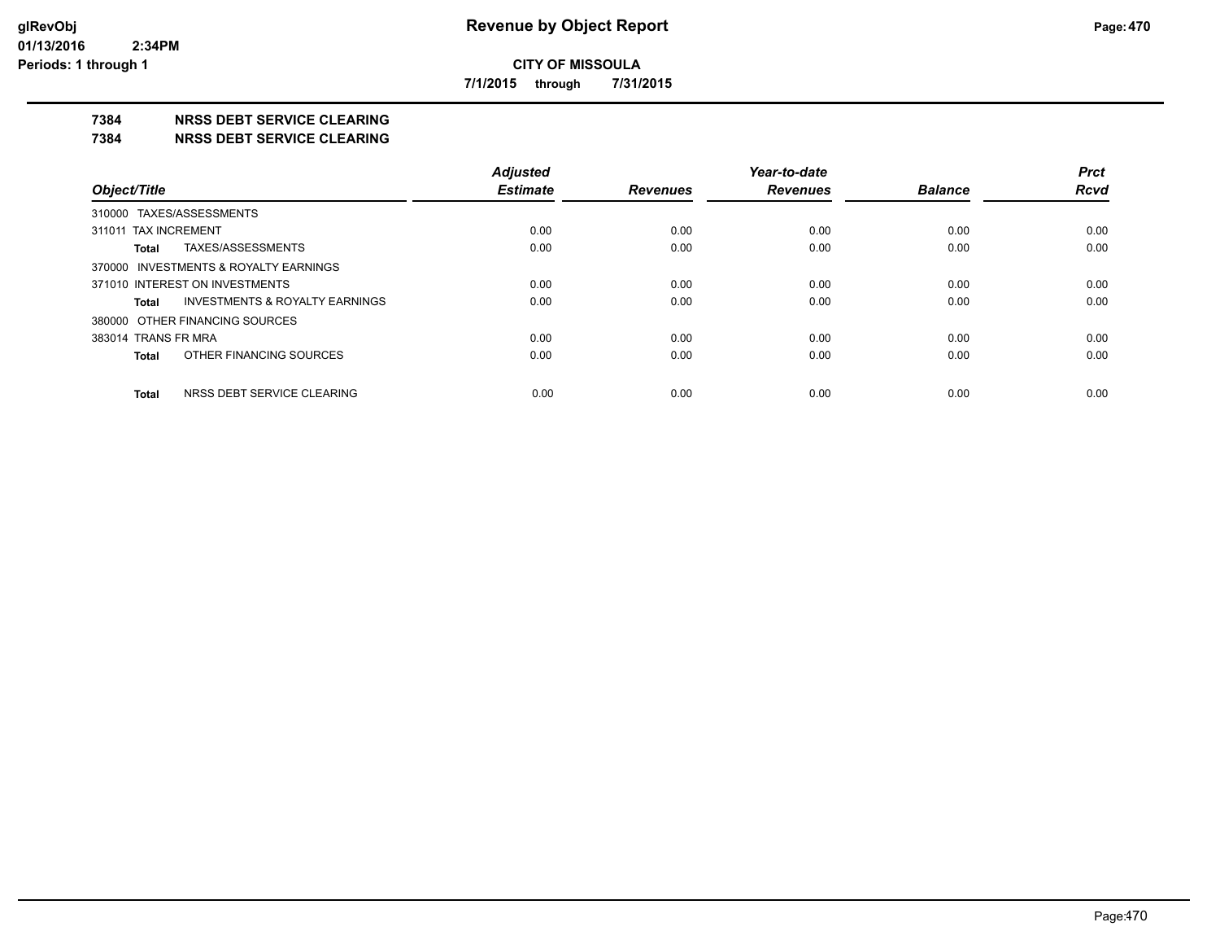**7/1/2015 through 7/31/2015**

## **7384 NRSS DEBT SERVICE CLEARING**

**7384 NRSS DEBT SERVICE CLEARING**

|                                         | <b>Adjusted</b> |                 | Year-to-date    |                | <b>Prct</b> |
|-----------------------------------------|-----------------|-----------------|-----------------|----------------|-------------|
| Object/Title                            | <b>Estimate</b> | <b>Revenues</b> | <b>Revenues</b> | <b>Balance</b> | <b>Rcvd</b> |
| 310000 TAXES/ASSESSMENTS                |                 |                 |                 |                |             |
| 311011 TAX INCREMENT                    | 0.00            | 0.00            | 0.00            | 0.00           | 0.00        |
| TAXES/ASSESSMENTS<br>Total              | 0.00            | 0.00            | 0.00            | 0.00           | 0.00        |
| 370000 INVESTMENTS & ROYALTY EARNINGS   |                 |                 |                 |                |             |
| 371010 INTEREST ON INVESTMENTS          | 0.00            | 0.00            | 0.00            | 0.00           | 0.00        |
| INVESTMENTS & ROYALTY EARNINGS<br>Total | 0.00            | 0.00            | 0.00            | 0.00           | 0.00        |
| 380000 OTHER FINANCING SOURCES          |                 |                 |                 |                |             |
| 383014 TRANS FR MRA                     | 0.00            | 0.00            | 0.00            | 0.00           | 0.00        |
| OTHER FINANCING SOURCES<br>Total        | 0.00            | 0.00            | 0.00            | 0.00           | 0.00        |
| NRSS DEBT SERVICE CLEARING<br>Total     | 0.00            | 0.00            | 0.00            | 0.00           | 0.00        |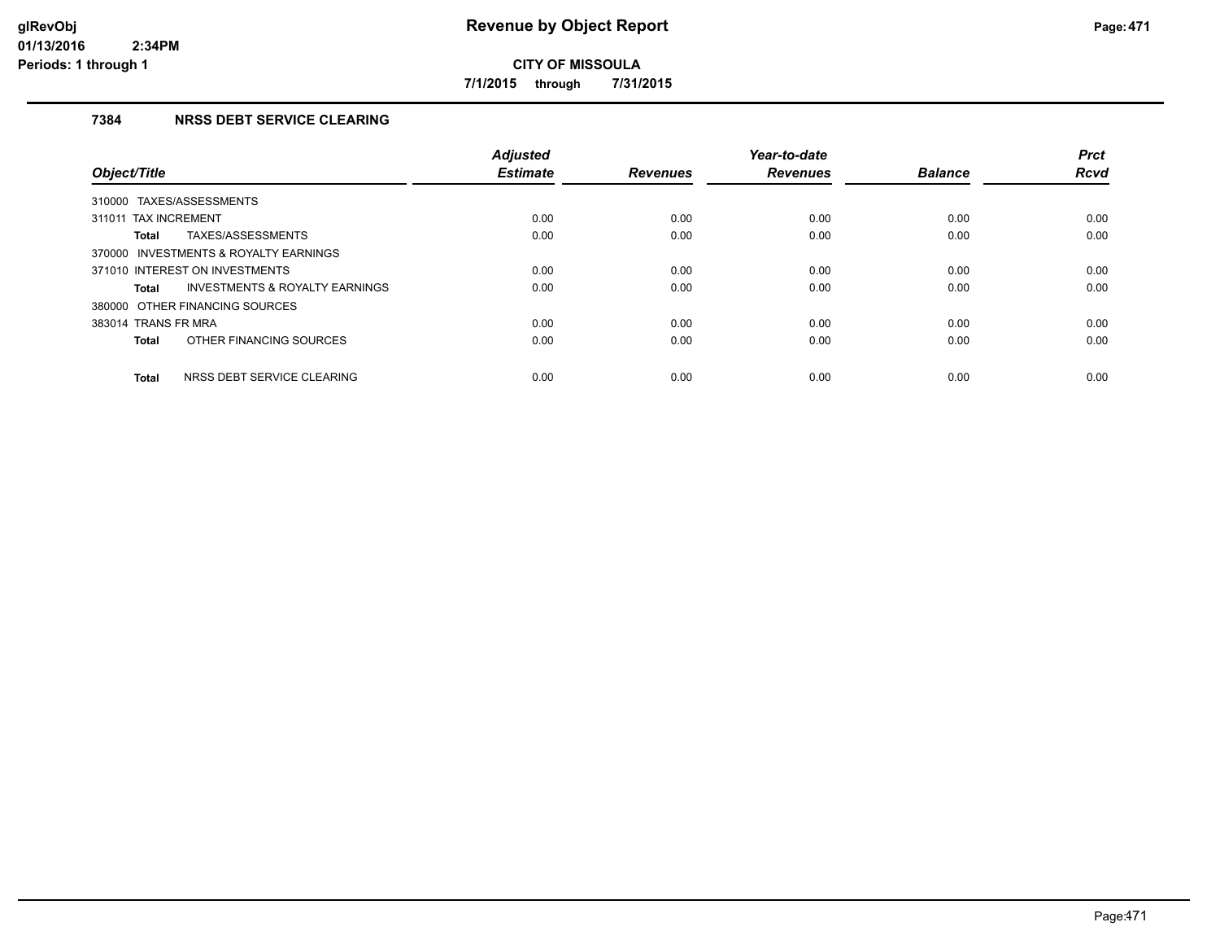**7/1/2015 through 7/31/2015**

## **7384 NRSS DEBT SERVICE CLEARING**

| Object/Title                               | <b>Adjusted</b><br><b>Estimate</b> | <b>Revenues</b> | Year-to-date<br><b>Revenues</b> | <b>Balance</b> | <b>Prct</b><br><b>Rcvd</b> |
|--------------------------------------------|------------------------------------|-----------------|---------------------------------|----------------|----------------------------|
| 310000 TAXES/ASSESSMENTS                   |                                    |                 |                                 |                |                            |
| 311011 TAX INCREMENT                       | 0.00                               | 0.00            | 0.00                            | 0.00           | 0.00                       |
| TAXES/ASSESSMENTS<br>Total                 | 0.00                               | 0.00            | 0.00                            | 0.00           | 0.00                       |
| 370000 INVESTMENTS & ROYALTY EARNINGS      |                                    |                 |                                 |                |                            |
| 371010 INTEREST ON INVESTMENTS             | 0.00                               | 0.00            | 0.00                            | 0.00           | 0.00                       |
| INVESTMENTS & ROYALTY EARNINGS<br>Total    | 0.00                               | 0.00            | 0.00                            | 0.00           | 0.00                       |
| 380000 OTHER FINANCING SOURCES             |                                    |                 |                                 |                |                            |
| 383014 TRANS FR MRA                        | 0.00                               | 0.00            | 0.00                            | 0.00           | 0.00                       |
| OTHER FINANCING SOURCES<br><b>Total</b>    | 0.00                               | 0.00            | 0.00                            | 0.00           | 0.00                       |
| NRSS DEBT SERVICE CLEARING<br><b>Total</b> | 0.00                               | 0.00            | 0.00                            | 0.00           | 0.00                       |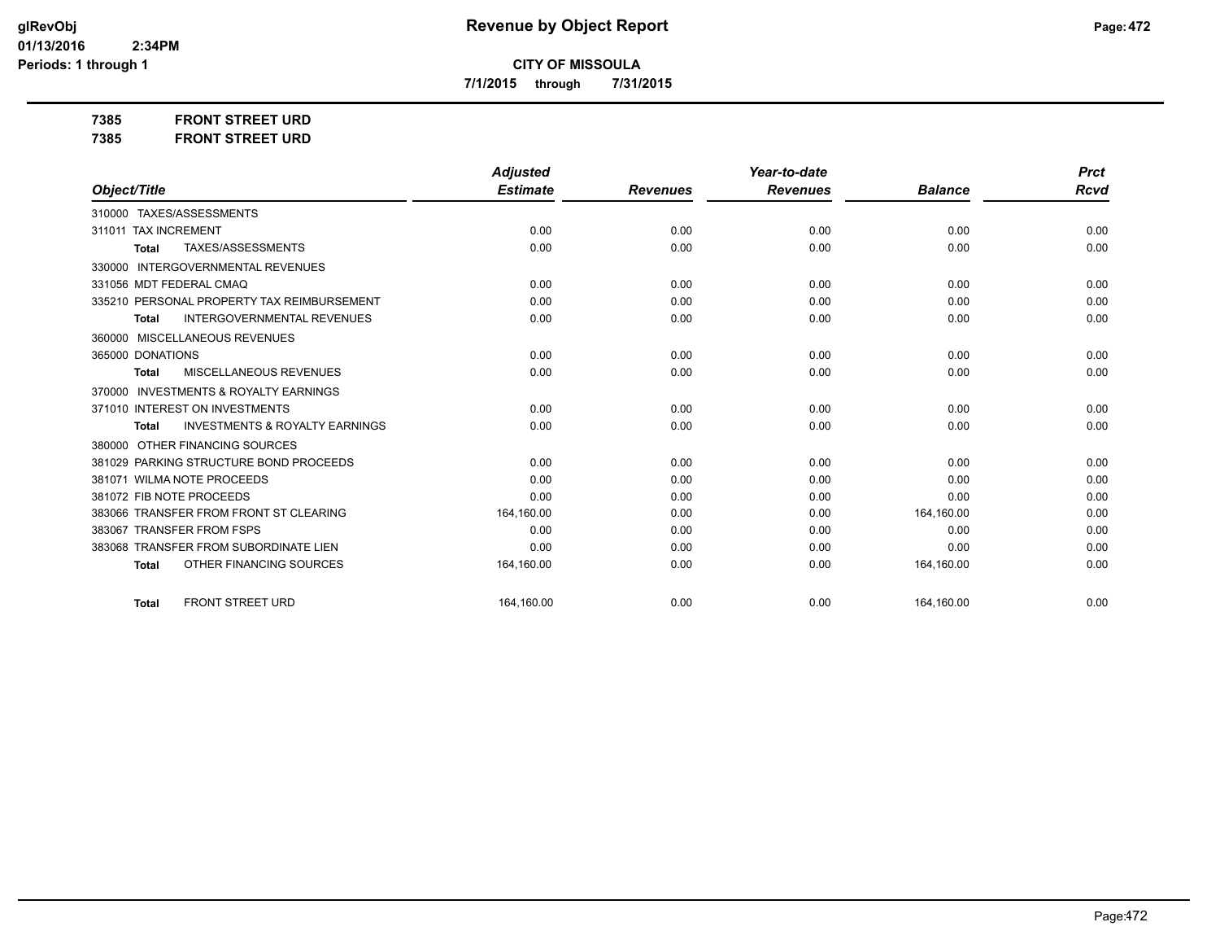**7/1/2015 through 7/31/2015**

**7385 FRONT STREET URD 7385 FRONT STREET URD**

|                                                           | <b>Adjusted</b> |                 | Year-to-date    |                | <b>Prct</b> |
|-----------------------------------------------------------|-----------------|-----------------|-----------------|----------------|-------------|
| Object/Title                                              | <b>Estimate</b> | <b>Revenues</b> | <b>Revenues</b> | <b>Balance</b> | <b>Rcvd</b> |
| 310000 TAXES/ASSESSMENTS                                  |                 |                 |                 |                |             |
| 311011 TAX INCREMENT                                      | 0.00            | 0.00            | 0.00            | 0.00           | 0.00        |
| TAXES/ASSESSMENTS<br><b>Total</b>                         | 0.00            | 0.00            | 0.00            | 0.00           | 0.00        |
| <b>INTERGOVERNMENTAL REVENUES</b><br>330000               |                 |                 |                 |                |             |
| 331056 MDT FEDERAL CMAQ                                   | 0.00            | 0.00            | 0.00            | 0.00           | 0.00        |
| 335210 PERSONAL PROPERTY TAX REIMBURSEMENT                | 0.00            | 0.00            | 0.00            | 0.00           | 0.00        |
| <b>INTERGOVERNMENTAL REVENUES</b><br><b>Total</b>         | 0.00            | 0.00            | 0.00            | 0.00           | 0.00        |
| 360000 MISCELLANEOUS REVENUES                             |                 |                 |                 |                |             |
| 365000 DONATIONS                                          | 0.00            | 0.00            | 0.00            | 0.00           | 0.00        |
| <b>MISCELLANEOUS REVENUES</b><br>Total                    | 0.00            | 0.00            | 0.00            | 0.00           | 0.00        |
| <b>INVESTMENTS &amp; ROYALTY EARNINGS</b><br>370000       |                 |                 |                 |                |             |
| 371010 INTEREST ON INVESTMENTS                            | 0.00            | 0.00            | 0.00            | 0.00           | 0.00        |
| <b>INVESTMENTS &amp; ROYALTY EARNINGS</b><br><b>Total</b> | 0.00            | 0.00            | 0.00            | 0.00           | 0.00        |
| 380000 OTHER FINANCING SOURCES                            |                 |                 |                 |                |             |
| 381029 PARKING STRUCTURE BOND PROCEEDS                    | 0.00            | 0.00            | 0.00            | 0.00           | 0.00        |
| 381071 WILMA NOTE PROCEEDS                                | 0.00            | 0.00            | 0.00            | 0.00           | 0.00        |
| 381072 FIB NOTE PROCEEDS                                  | 0.00            | 0.00            | 0.00            | 0.00           | 0.00        |
| 383066 TRANSFER FROM FRONT ST CLEARING                    | 164,160.00      | 0.00            | 0.00            | 164,160.00     | 0.00        |
| 383067 TRANSFER FROM FSPS                                 | 0.00            | 0.00            | 0.00            | 0.00           | 0.00        |
| 383068 TRANSFER FROM SUBORDINATE LIEN                     | 0.00            | 0.00            | 0.00            | 0.00           | 0.00        |
| OTHER FINANCING SOURCES<br><b>Total</b>                   | 164,160.00      | 0.00            | 0.00            | 164,160.00     | 0.00        |
|                                                           |                 |                 |                 |                |             |
| <b>FRONT STREET URD</b><br><b>Total</b>                   | 164,160.00      | 0.00            | 0.00            | 164,160.00     | 0.00        |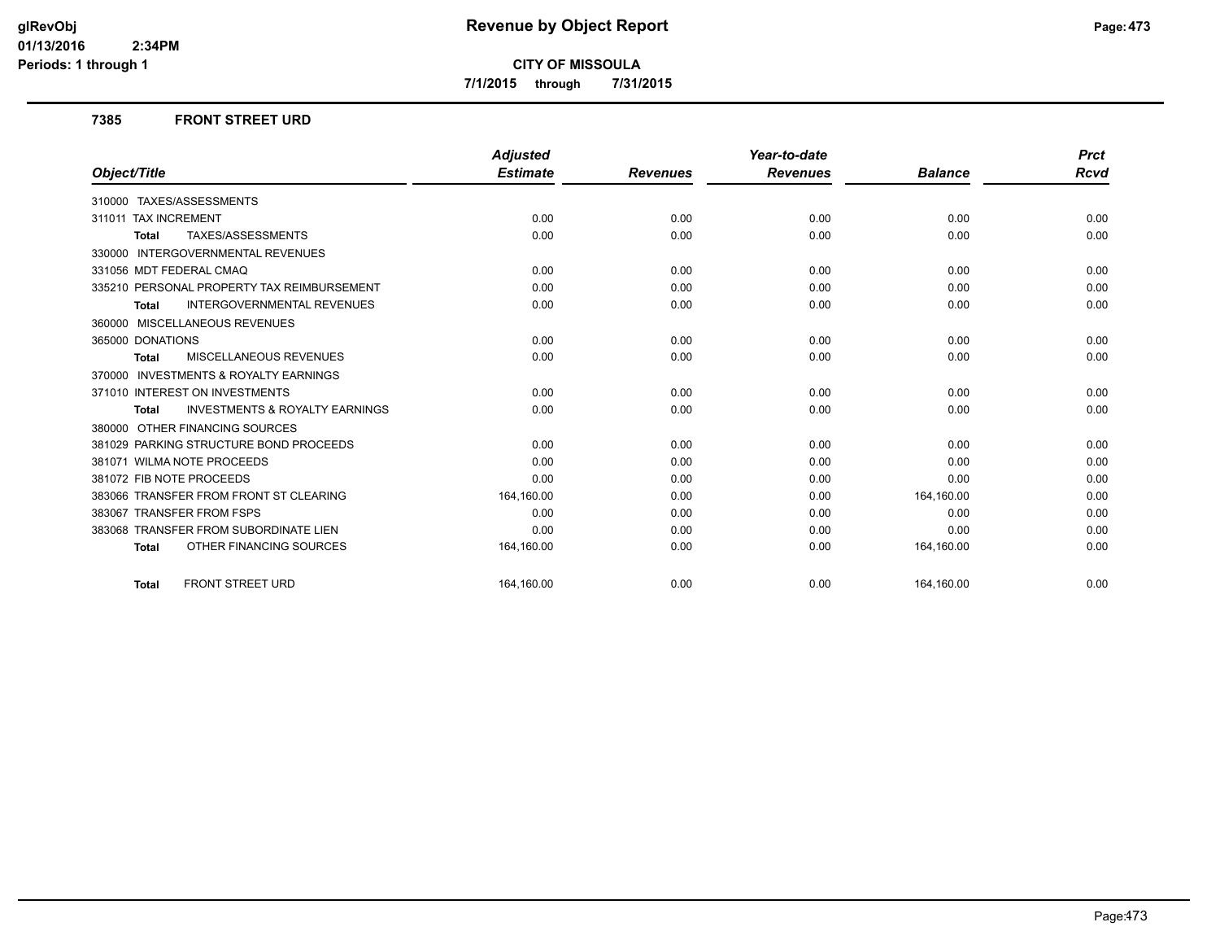**7/1/2015 through 7/31/2015**

### **7385 FRONT STREET URD**

|                                                           | <b>Adjusted</b> |                 | Year-to-date    |                | <b>Prct</b> |
|-----------------------------------------------------------|-----------------|-----------------|-----------------|----------------|-------------|
| Object/Title                                              | <b>Estimate</b> | <b>Revenues</b> | <b>Revenues</b> | <b>Balance</b> | Rcvd        |
| 310000 TAXES/ASSESSMENTS                                  |                 |                 |                 |                |             |
| 311011 TAX INCREMENT                                      | 0.00            | 0.00            | 0.00            | 0.00           | 0.00        |
| TAXES/ASSESSMENTS<br><b>Total</b>                         | 0.00            | 0.00            | 0.00            | 0.00           | 0.00        |
| <b>INTERGOVERNMENTAL REVENUES</b><br>330000               |                 |                 |                 |                |             |
| 331056 MDT FEDERAL CMAQ                                   | 0.00            | 0.00            | 0.00            | 0.00           | 0.00        |
| 335210 PERSONAL PROPERTY TAX REIMBURSEMENT                | 0.00            | 0.00            | 0.00            | 0.00           | 0.00        |
| <b>INTERGOVERNMENTAL REVENUES</b><br><b>Total</b>         | 0.00            | 0.00            | 0.00            | 0.00           | 0.00        |
| 360000 MISCELLANEOUS REVENUES                             |                 |                 |                 |                |             |
| 365000 DONATIONS                                          | 0.00            | 0.00            | 0.00            | 0.00           | 0.00        |
| MISCELLANEOUS REVENUES<br><b>Total</b>                    | 0.00            | 0.00            | 0.00            | 0.00           | 0.00        |
| 370000 INVESTMENTS & ROYALTY EARNINGS                     |                 |                 |                 |                |             |
| 371010 INTEREST ON INVESTMENTS                            | 0.00            | 0.00            | 0.00            | 0.00           | 0.00        |
| <b>INVESTMENTS &amp; ROYALTY EARNINGS</b><br><b>Total</b> | 0.00            | 0.00            | 0.00            | 0.00           | 0.00        |
| 380000 OTHER FINANCING SOURCES                            |                 |                 |                 |                |             |
| 381029 PARKING STRUCTURE BOND PROCEEDS                    | 0.00            | 0.00            | 0.00            | 0.00           | 0.00        |
| 381071 WILMA NOTE PROCEEDS                                | 0.00            | 0.00            | 0.00            | 0.00           | 0.00        |
| 381072 FIB NOTE PROCEEDS                                  | 0.00            | 0.00            | 0.00            | 0.00           | 0.00        |
| 383066 TRANSFER FROM FRONT ST CLEARING                    | 164,160.00      | 0.00            | 0.00            | 164,160.00     | 0.00        |
| 383067 TRANSFER FROM FSPS                                 | 0.00            | 0.00            | 0.00            | 0.00           | 0.00        |
| 383068 TRANSFER FROM SUBORDINATE LIEN                     | 0.00            | 0.00            | 0.00            | 0.00           | 0.00        |
| OTHER FINANCING SOURCES<br><b>Total</b>                   | 164,160.00      | 0.00            | 0.00            | 164,160.00     | 0.00        |
| <b>FRONT STREET URD</b><br><b>Total</b>                   | 164.160.00      | 0.00            | 0.00            | 164,160.00     | 0.00        |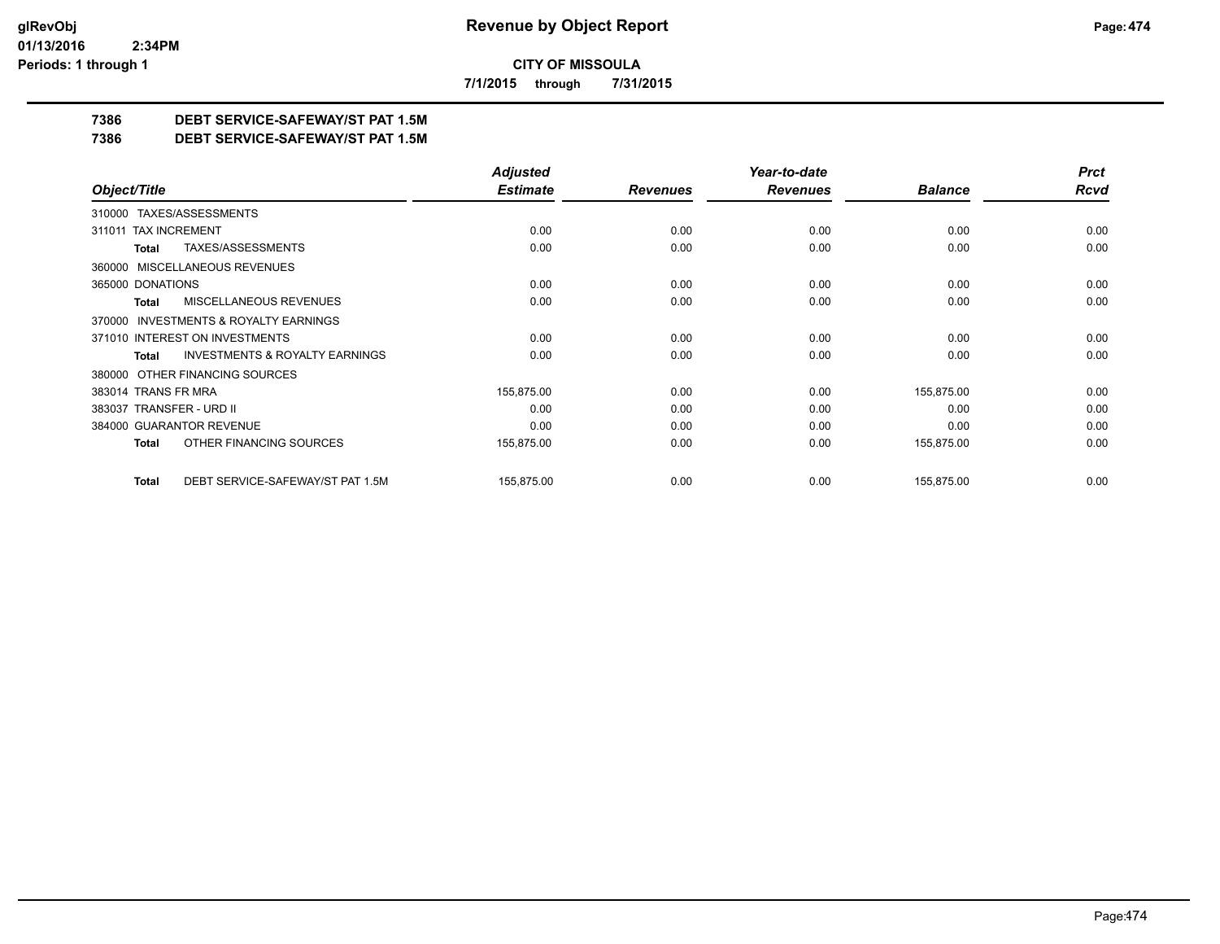**7/1/2015 through 7/31/2015**

## **7386 DEBT SERVICE-SAFEWAY/ST PAT 1.5M**

**7386 DEBT SERVICE-SAFEWAY/ST PAT 1.5M**

|                                                     | <b>Adjusted</b> |                 | Year-to-date    |                | <b>Prct</b> |
|-----------------------------------------------------|-----------------|-----------------|-----------------|----------------|-------------|
| Object/Title                                        | <b>Estimate</b> | <b>Revenues</b> | <b>Revenues</b> | <b>Balance</b> | <b>Rcvd</b> |
| 310000 TAXES/ASSESSMENTS                            |                 |                 |                 |                |             |
| 311011 TAX INCREMENT                                | 0.00            | 0.00            | 0.00            | 0.00           | 0.00        |
| TAXES/ASSESSMENTS<br>Total                          | 0.00            | 0.00            | 0.00            | 0.00           | 0.00        |
| 360000 MISCELLANEOUS REVENUES                       |                 |                 |                 |                |             |
| 365000 DONATIONS                                    | 0.00            | 0.00            | 0.00            | 0.00           | 0.00        |
| <b>MISCELLANEOUS REVENUES</b><br>Total              | 0.00            | 0.00            | 0.00            | 0.00           | 0.00        |
| <b>INVESTMENTS &amp; ROYALTY EARNINGS</b><br>370000 |                 |                 |                 |                |             |
| 371010 INTEREST ON INVESTMENTS                      | 0.00            | 0.00            | 0.00            | 0.00           | 0.00        |
| <b>INVESTMENTS &amp; ROYALTY EARNINGS</b><br>Total  | 0.00            | 0.00            | 0.00            | 0.00           | 0.00        |
| OTHER FINANCING SOURCES<br>380000                   |                 |                 |                 |                |             |
| 383014 TRANS FR MRA                                 | 155,875.00      | 0.00            | 0.00            | 155,875.00     | 0.00        |
| 383037 TRANSFER - URD II                            | 0.00            | 0.00            | 0.00            | 0.00           | 0.00        |
| 384000 GUARANTOR REVENUE                            | 0.00            | 0.00            | 0.00            | 0.00           | 0.00        |
| OTHER FINANCING SOURCES<br>Total                    | 155,875.00      | 0.00            | 0.00            | 155,875.00     | 0.00        |
| DEBT SERVICE-SAFEWAY/ST PAT 1.5M<br><b>Total</b>    | 155,875.00      | 0.00            | 0.00            | 155,875.00     | 0.00        |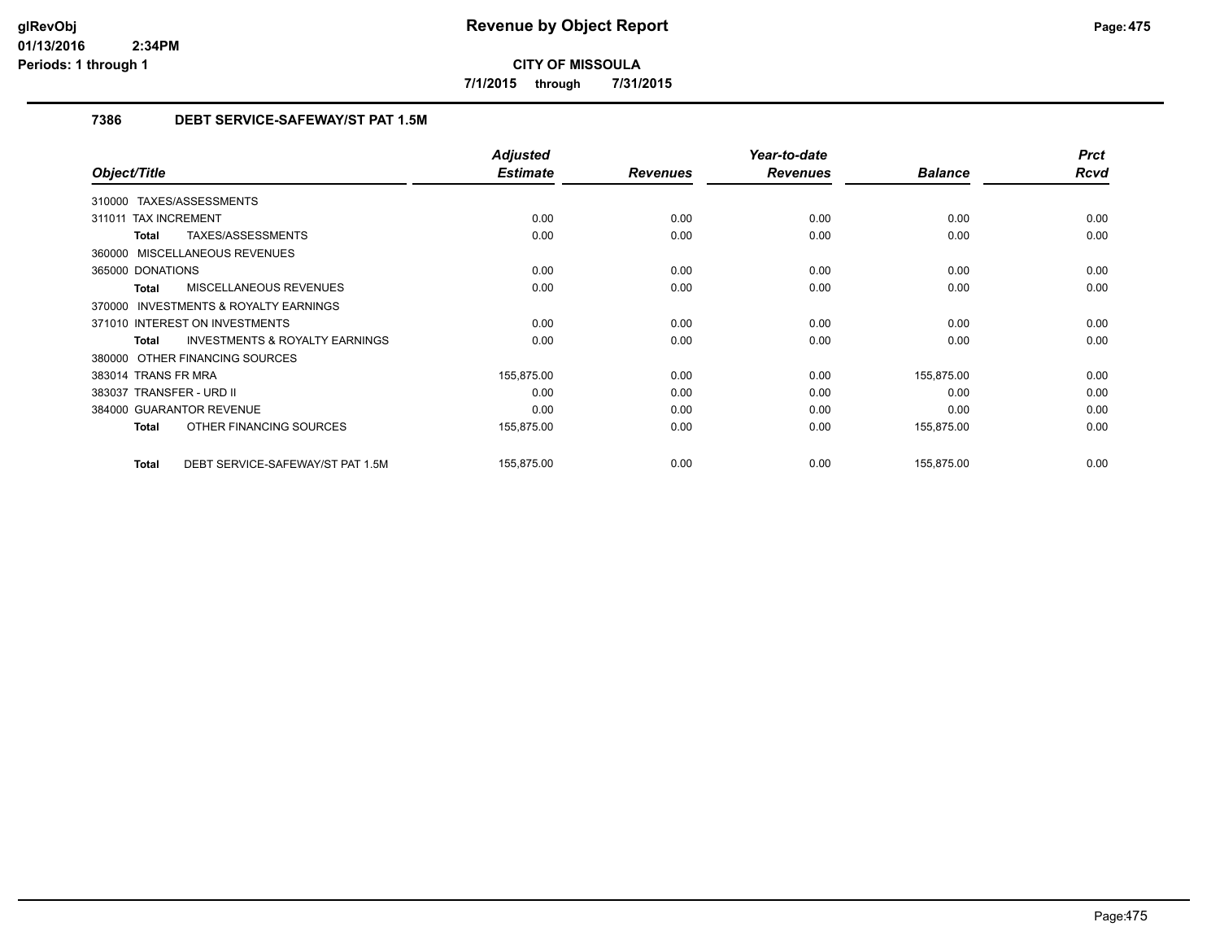**7/1/2015 through 7/31/2015**

## **7386 DEBT SERVICE-SAFEWAY/ST PAT 1.5M**

|                                                     | <b>Adjusted</b> |                 | Year-to-date    |                | <b>Prct</b> |
|-----------------------------------------------------|-----------------|-----------------|-----------------|----------------|-------------|
| Object/Title                                        | <b>Estimate</b> | <b>Revenues</b> | <b>Revenues</b> | <b>Balance</b> | <b>Rcvd</b> |
| 310000 TAXES/ASSESSMENTS                            |                 |                 |                 |                |             |
| 311011 TAX INCREMENT                                | 0.00            | 0.00            | 0.00            | 0.00           | 0.00        |
| TAXES/ASSESSMENTS<br>Total                          | 0.00            | 0.00            | 0.00            | 0.00           | 0.00        |
| 360000 MISCELLANEOUS REVENUES                       |                 |                 |                 |                |             |
| 365000 DONATIONS                                    | 0.00            | 0.00            | 0.00            | 0.00           | 0.00        |
| MISCELLANEOUS REVENUES<br><b>Total</b>              | 0.00            | 0.00            | 0.00            | 0.00           | 0.00        |
| <b>INVESTMENTS &amp; ROYALTY EARNINGS</b><br>370000 |                 |                 |                 |                |             |
| 371010 INTEREST ON INVESTMENTS                      | 0.00            | 0.00            | 0.00            | 0.00           | 0.00        |
| <b>INVESTMENTS &amp; ROYALTY EARNINGS</b><br>Total  | 0.00            | 0.00            | 0.00            | 0.00           | 0.00        |
| 380000 OTHER FINANCING SOURCES                      |                 |                 |                 |                |             |
| 383014 TRANS FR MRA                                 | 155,875.00      | 0.00            | 0.00            | 155,875.00     | 0.00        |
| 383037 TRANSFER - URD II                            | 0.00            | 0.00            | 0.00            | 0.00           | 0.00        |
| 384000 GUARANTOR REVENUE                            | 0.00            | 0.00            | 0.00            | 0.00           | 0.00        |
| OTHER FINANCING SOURCES<br>Total                    | 155,875.00      | 0.00            | 0.00            | 155,875.00     | 0.00        |
| DEBT SERVICE-SAFEWAY/ST PAT 1.5M<br>Total           | 155,875.00      | 0.00            | 0.00            | 155,875.00     | 0.00        |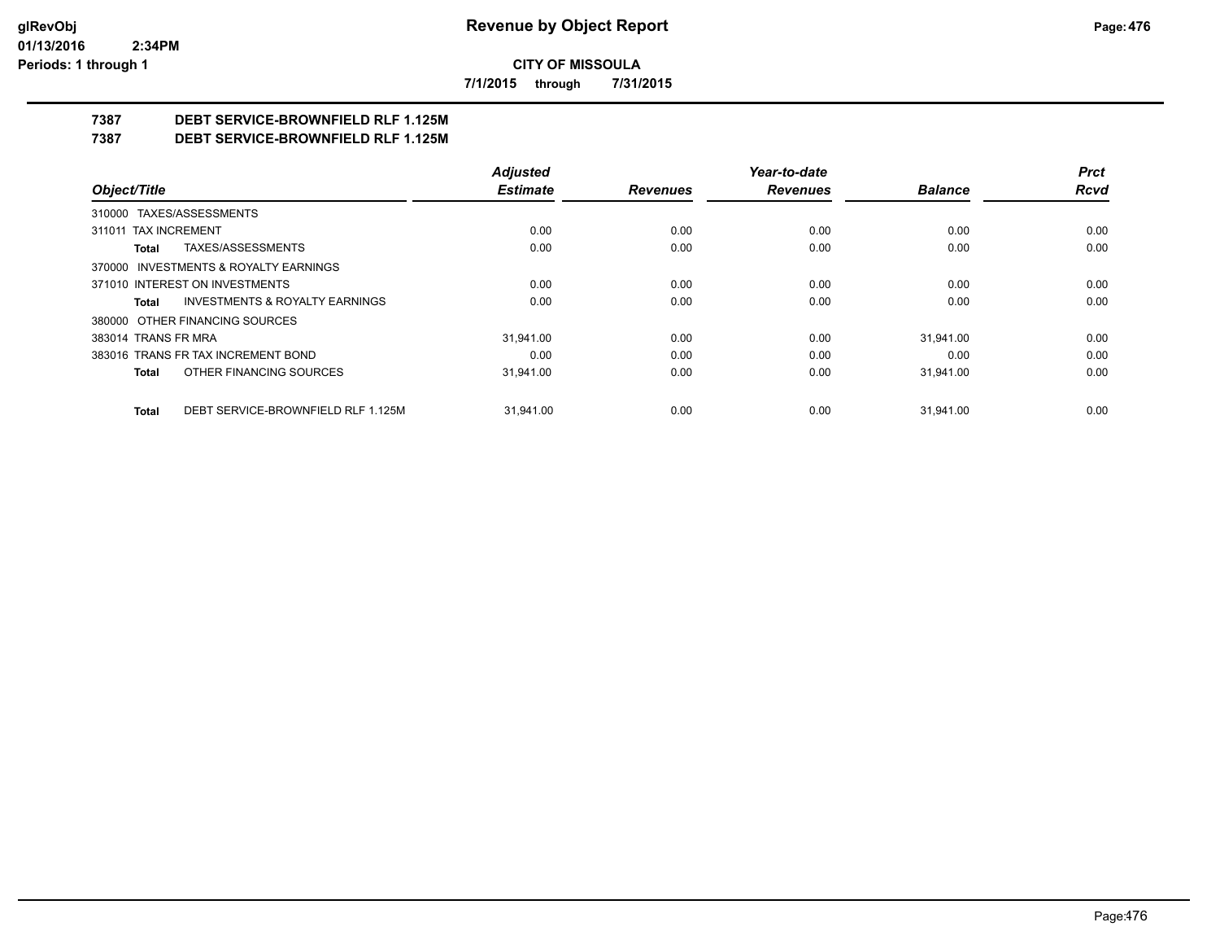**7/1/2015 through 7/31/2015**

# **7387 DEBT SERVICE-BROWNFIELD RLF 1.125M**

**7387 DEBT SERVICE-BROWNFIELD RLF 1.125M**

|                                                    | <b>Adiusted</b> |                 | Year-to-date    |                | <b>Prct</b> |
|----------------------------------------------------|-----------------|-----------------|-----------------|----------------|-------------|
| Object/Title                                       | <b>Estimate</b> | <b>Revenues</b> | <b>Revenues</b> | <b>Balance</b> | <b>Rcvd</b> |
| 310000 TAXES/ASSESSMENTS                           |                 |                 |                 |                |             |
| 311011 TAX INCREMENT                               | 0.00            | 0.00            | 0.00            | 0.00           | 0.00        |
| TAXES/ASSESSMENTS<br>Total                         | 0.00            | 0.00            | 0.00            | 0.00           | 0.00        |
| 370000 INVESTMENTS & ROYALTY EARNINGS              |                 |                 |                 |                |             |
| 371010 INTEREST ON INVESTMENTS                     | 0.00            | 0.00            | 0.00            | 0.00           | 0.00        |
| <b>INVESTMENTS &amp; ROYALTY EARNINGS</b><br>Total | 0.00            | 0.00            | 0.00            | 0.00           | 0.00        |
| 380000 OTHER FINANCING SOURCES                     |                 |                 |                 |                |             |
| 383014 TRANS FR MRA                                | 31.941.00       | 0.00            | 0.00            | 31.941.00      | 0.00        |
| 383016 TRANS FR TAX INCREMENT BOND                 | 0.00            | 0.00            | 0.00            | 0.00           | 0.00        |
| OTHER FINANCING SOURCES<br>Total                   | 31,941.00       | 0.00            | 0.00            | 31,941.00      | 0.00        |
| DEBT SERVICE-BROWNFIELD RLF 1.125M<br><b>Total</b> | 31.941.00       | 0.00            | 0.00            | 31.941.00      | 0.00        |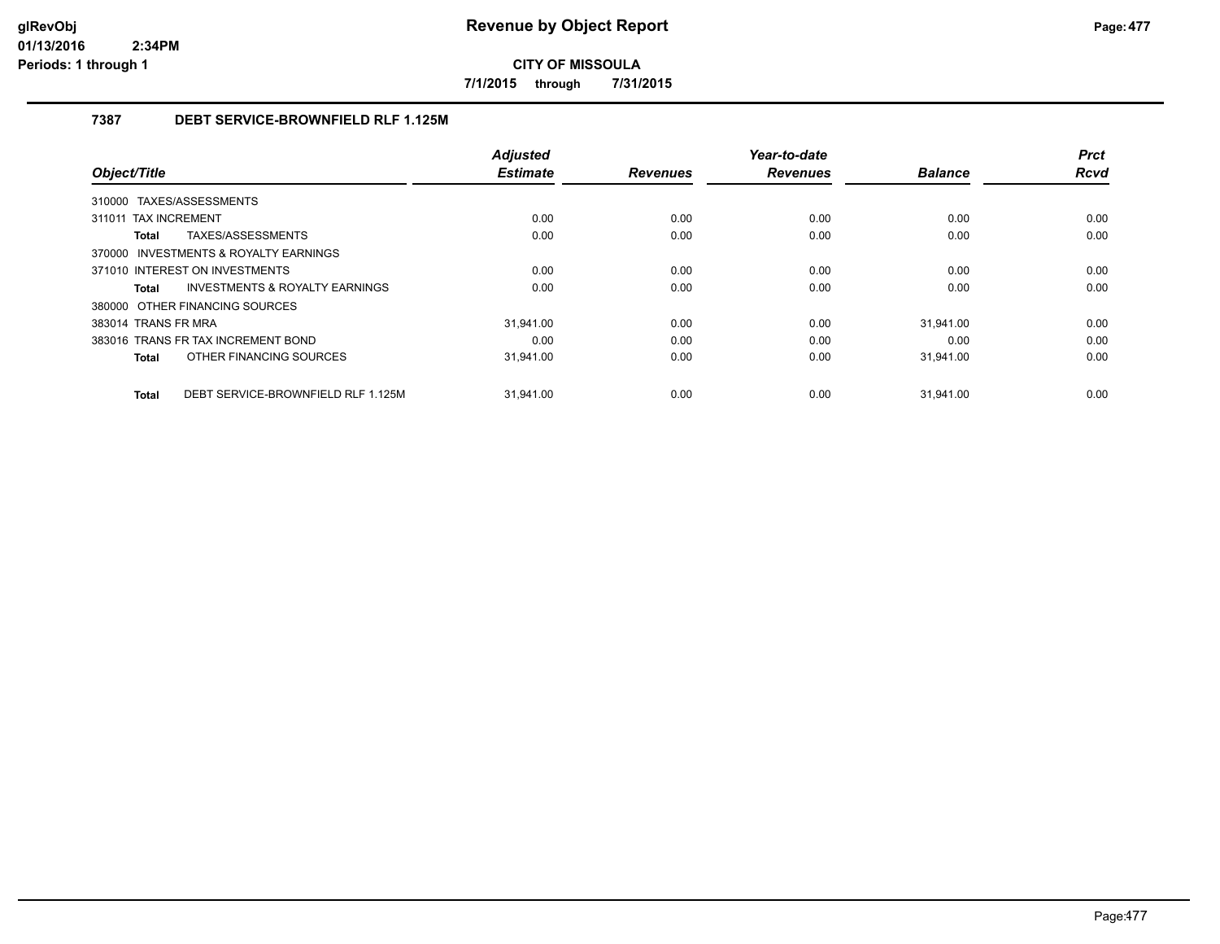**7/1/2015 through 7/31/2015**

## **7387 DEBT SERVICE-BROWNFIELD RLF 1.125M**

|                                                    | <b>Adjusted</b> |                 | Year-to-date    |                | <b>Prct</b> |
|----------------------------------------------------|-----------------|-----------------|-----------------|----------------|-------------|
| Object/Title                                       | <b>Estimate</b> | <b>Revenues</b> | <b>Revenues</b> | <b>Balance</b> | <b>Rcvd</b> |
| TAXES/ASSESSMENTS<br>310000                        |                 |                 |                 |                |             |
| 311011 TAX INCREMENT                               | 0.00            | 0.00            | 0.00            | 0.00           | 0.00        |
| TAXES/ASSESSMENTS<br><b>Total</b>                  | 0.00            | 0.00            | 0.00            | 0.00           | 0.00        |
| 370000 INVESTMENTS & ROYALTY EARNINGS              |                 |                 |                 |                |             |
| 371010 INTEREST ON INVESTMENTS                     | 0.00            | 0.00            | 0.00            | 0.00           | 0.00        |
| INVESTMENTS & ROYALTY EARNINGS<br>Total            | 0.00            | 0.00            | 0.00            | 0.00           | 0.00        |
| 380000 OTHER FINANCING SOURCES                     |                 |                 |                 |                |             |
| 383014 TRANS FR MRA                                | 31.941.00       | 0.00            | 0.00            | 31.941.00      | 0.00        |
| 383016 TRANS FR TAX INCREMENT BOND                 | 0.00            | 0.00            | 0.00            | 0.00           | 0.00        |
| OTHER FINANCING SOURCES<br><b>Total</b>            | 31,941.00       | 0.00            | 0.00            | 31,941.00      | 0.00        |
| DEBT SERVICE-BROWNFIELD RLF 1.125M<br><b>Total</b> | 31.941.00       | 0.00            | 0.00            | 31.941.00      | 0.00        |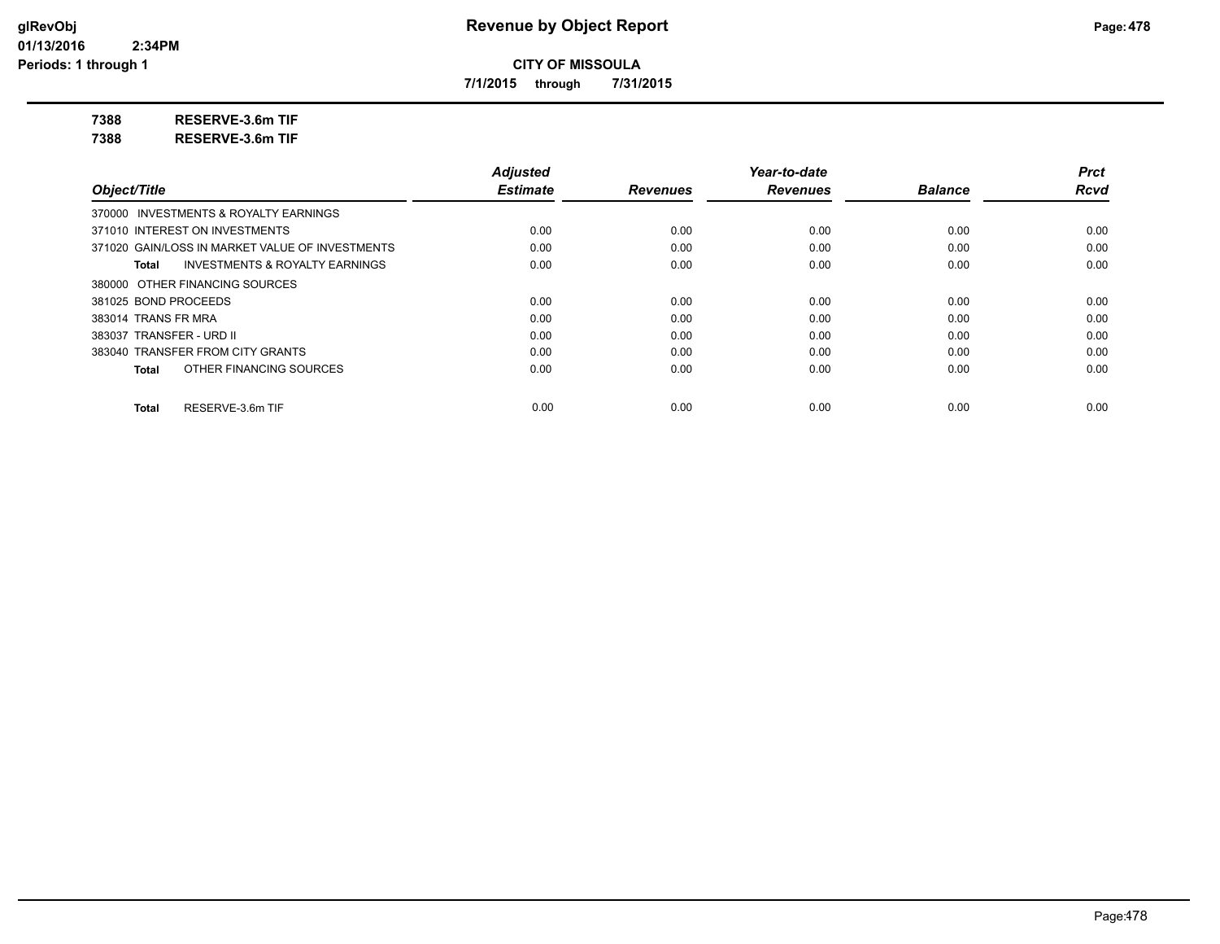**7/1/2015 through 7/31/2015**

**7388 RESERVE-3.6m TIF**

**7388 RESERVE-3.6m TIF**

|                                                    | <b>Adjusted</b> |                 | Year-to-date    |                | <b>Prct</b> |
|----------------------------------------------------|-----------------|-----------------|-----------------|----------------|-------------|
| Object/Title                                       | <b>Estimate</b> | <b>Revenues</b> | <b>Revenues</b> | <b>Balance</b> | <b>Rcvd</b> |
| 370000 INVESTMENTS & ROYALTY EARNINGS              |                 |                 |                 |                |             |
| 371010 INTEREST ON INVESTMENTS                     | 0.00            | 0.00            | 0.00            | 0.00           | 0.00        |
| 371020 GAIN/LOSS IN MARKET VALUE OF INVESTMENTS    | 0.00            | 0.00            | 0.00            | 0.00           | 0.00        |
| <b>INVESTMENTS &amp; ROYALTY EARNINGS</b><br>Total | 0.00            | 0.00            | 0.00            | 0.00           | 0.00        |
| 380000 OTHER FINANCING SOURCES                     |                 |                 |                 |                |             |
| 381025 BOND PROCEEDS                               | 0.00            | 0.00            | 0.00            | 0.00           | 0.00        |
| 383014 TRANS FR MRA                                | 0.00            | 0.00            | 0.00            | 0.00           | 0.00        |
| 383037 TRANSFER - URD II                           | 0.00            | 0.00            | 0.00            | 0.00           | 0.00        |
| 383040 TRANSFER FROM CITY GRANTS                   | 0.00            | 0.00            | 0.00            | 0.00           | 0.00        |
| OTHER FINANCING SOURCES<br>Total                   | 0.00            | 0.00            | 0.00            | 0.00           | 0.00        |
| RESERVE-3.6m TIF<br>Total                          | 0.00            | 0.00            | 0.00            | 0.00           | 0.00        |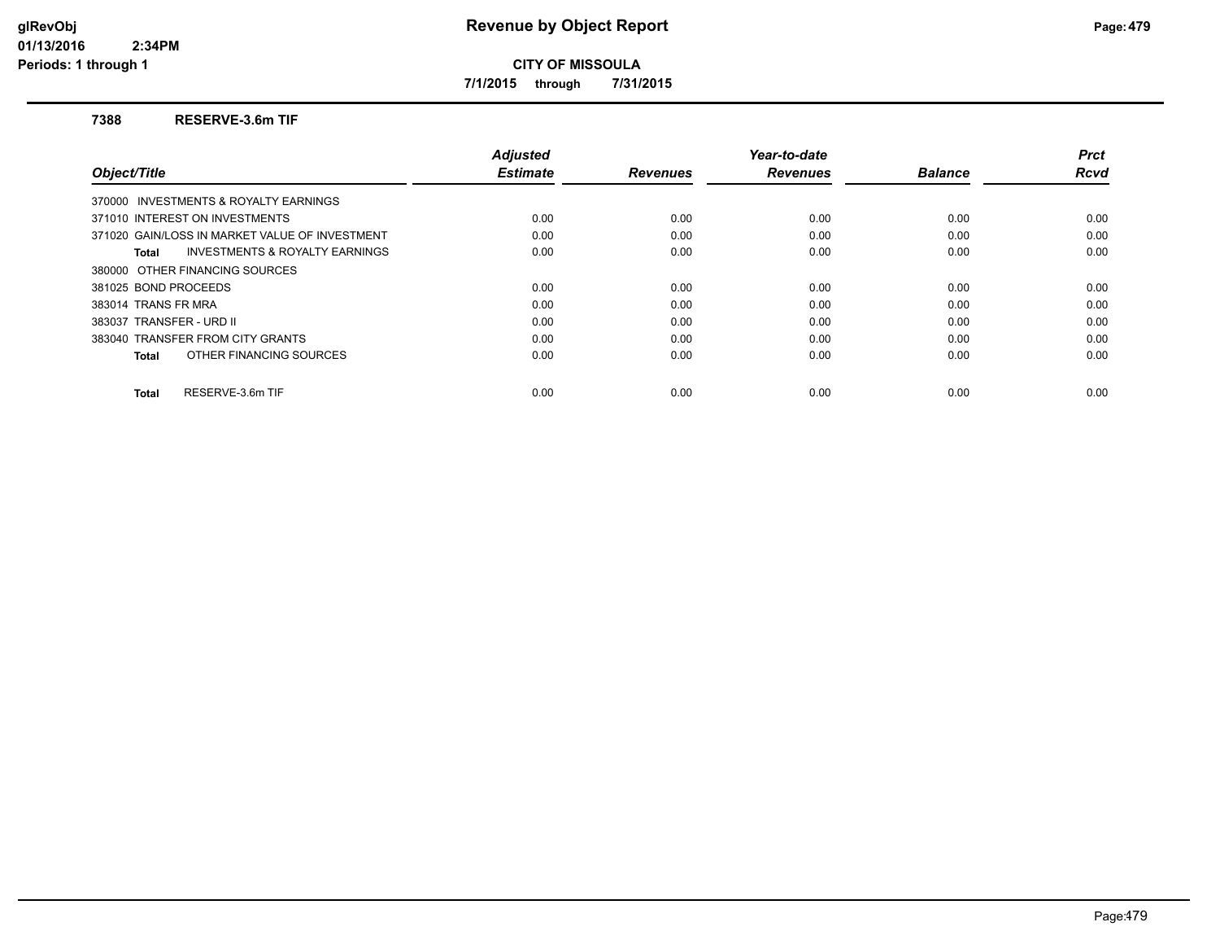**7/1/2015 through 7/31/2015**

### **7388 RESERVE-3.6m TIF**

|                                                    | <b>Adjusted</b> |                 | Year-to-date    |                | <b>Prct</b> |
|----------------------------------------------------|-----------------|-----------------|-----------------|----------------|-------------|
| Object/Title                                       | <b>Estimate</b> | <b>Revenues</b> | <b>Revenues</b> | <b>Balance</b> | <b>Rcvd</b> |
| 370000 INVESTMENTS & ROYALTY EARNINGS              |                 |                 |                 |                |             |
| 371010 INTEREST ON INVESTMENTS                     | 0.00            | 0.00            | 0.00            | 0.00           | 0.00        |
| 371020 GAIN/LOSS IN MARKET VALUE OF INVESTMENT     | 0.00            | 0.00            | 0.00            | 0.00           | 0.00        |
| <b>INVESTMENTS &amp; ROYALTY EARNINGS</b><br>Total | 0.00            | 0.00            | 0.00            | 0.00           | 0.00        |
| 380000 OTHER FINANCING SOURCES                     |                 |                 |                 |                |             |
| 381025 BOND PROCEEDS                               | 0.00            | 0.00            | 0.00            | 0.00           | 0.00        |
| 383014 TRANS FR MRA                                | 0.00            | 0.00            | 0.00            | 0.00           | 0.00        |
| 383037 TRANSFER - URD II                           | 0.00            | 0.00            | 0.00            | 0.00           | 0.00        |
| 383040 TRANSFER FROM CITY GRANTS                   | 0.00            | 0.00            | 0.00            | 0.00           | 0.00        |
| OTHER FINANCING SOURCES<br>Total                   | 0.00            | 0.00            | 0.00            | 0.00           | 0.00        |
| RESERVE-3.6m TIF<br><b>Total</b>                   | 0.00            | 0.00            | 0.00            | 0.00           | 0.00        |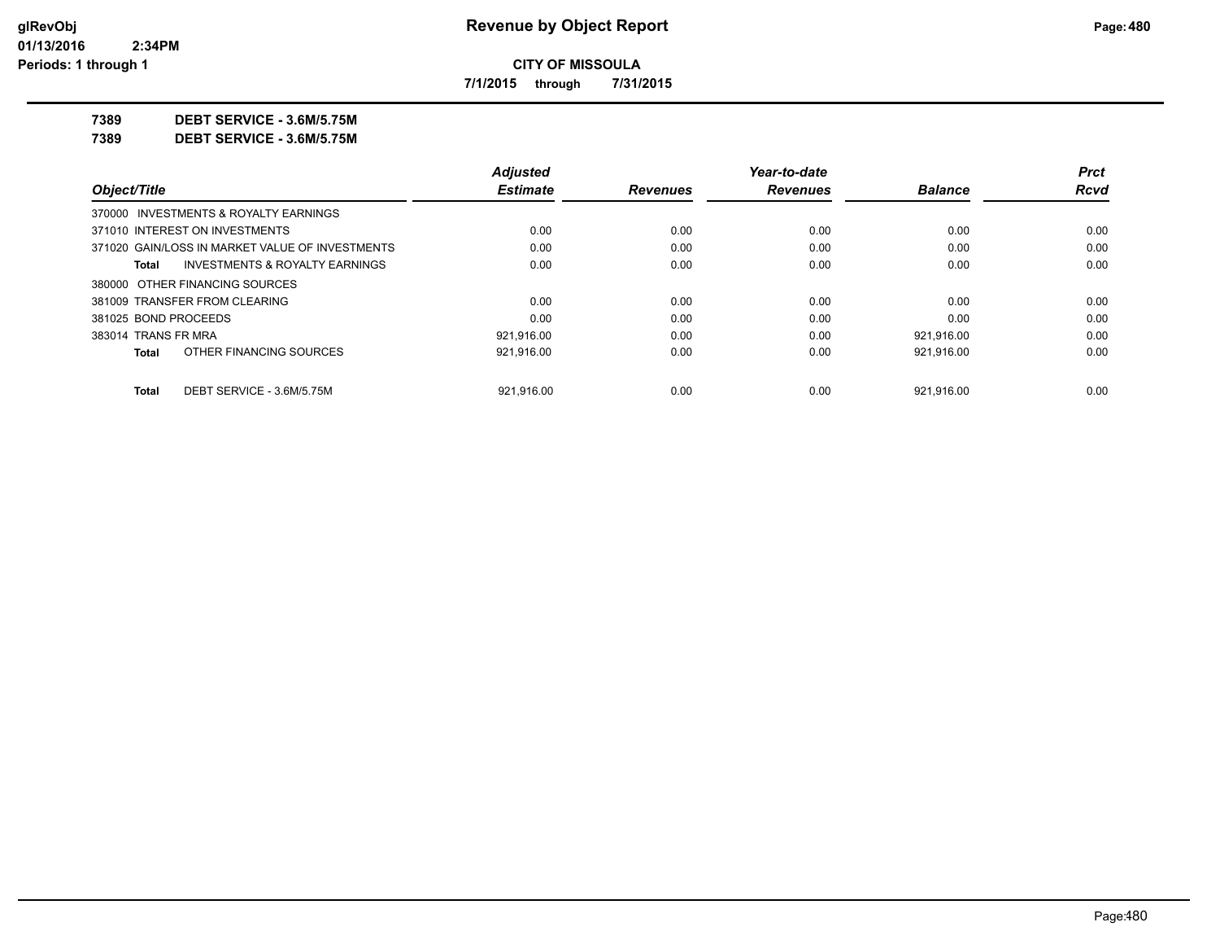**7/1/2015 through 7/31/2015**

**7389 DEBT SERVICE - 3.6M/5.75M**

**7389 DEBT SERVICE - 3.6M/5.75M**

|                      |                                                 | <b>Adjusted</b> |                 | Year-to-date    |                | <b>Prct</b> |
|----------------------|-------------------------------------------------|-----------------|-----------------|-----------------|----------------|-------------|
| Object/Title         |                                                 | <b>Estimate</b> | <b>Revenues</b> | <b>Revenues</b> | <b>Balance</b> | Rcvd        |
|                      | 370000 INVESTMENTS & ROYALTY EARNINGS           |                 |                 |                 |                |             |
|                      | 371010 INTEREST ON INVESTMENTS                  | 0.00            | 0.00            | 0.00            | 0.00           | 0.00        |
|                      | 371020 GAIN/LOSS IN MARKET VALUE OF INVESTMENTS | 0.00            | 0.00            | 0.00            | 0.00           | 0.00        |
| Total                | <b>INVESTMENTS &amp; ROYALTY EARNINGS</b>       | 0.00            | 0.00            | 0.00            | 0.00           | 0.00        |
|                      | 380000 OTHER FINANCING SOURCES                  |                 |                 |                 |                |             |
|                      | 381009 TRANSFER FROM CLEARING                   | 0.00            | 0.00            | 0.00            | 0.00           | 0.00        |
| 381025 BOND PROCEEDS |                                                 | 0.00            | 0.00            | 0.00            | 0.00           | 0.00        |
| 383014 TRANS FR MRA  |                                                 | 921,916.00      | 0.00            | 0.00            | 921,916.00     | 0.00        |
| Total                | OTHER FINANCING SOURCES                         | 921.916.00      | 0.00            | 0.00            | 921.916.00     | 0.00        |
| Total                | DEBT SERVICE - 3.6M/5.75M                       | 921.916.00      | 0.00            | 0.00            | 921.916.00     | 0.00        |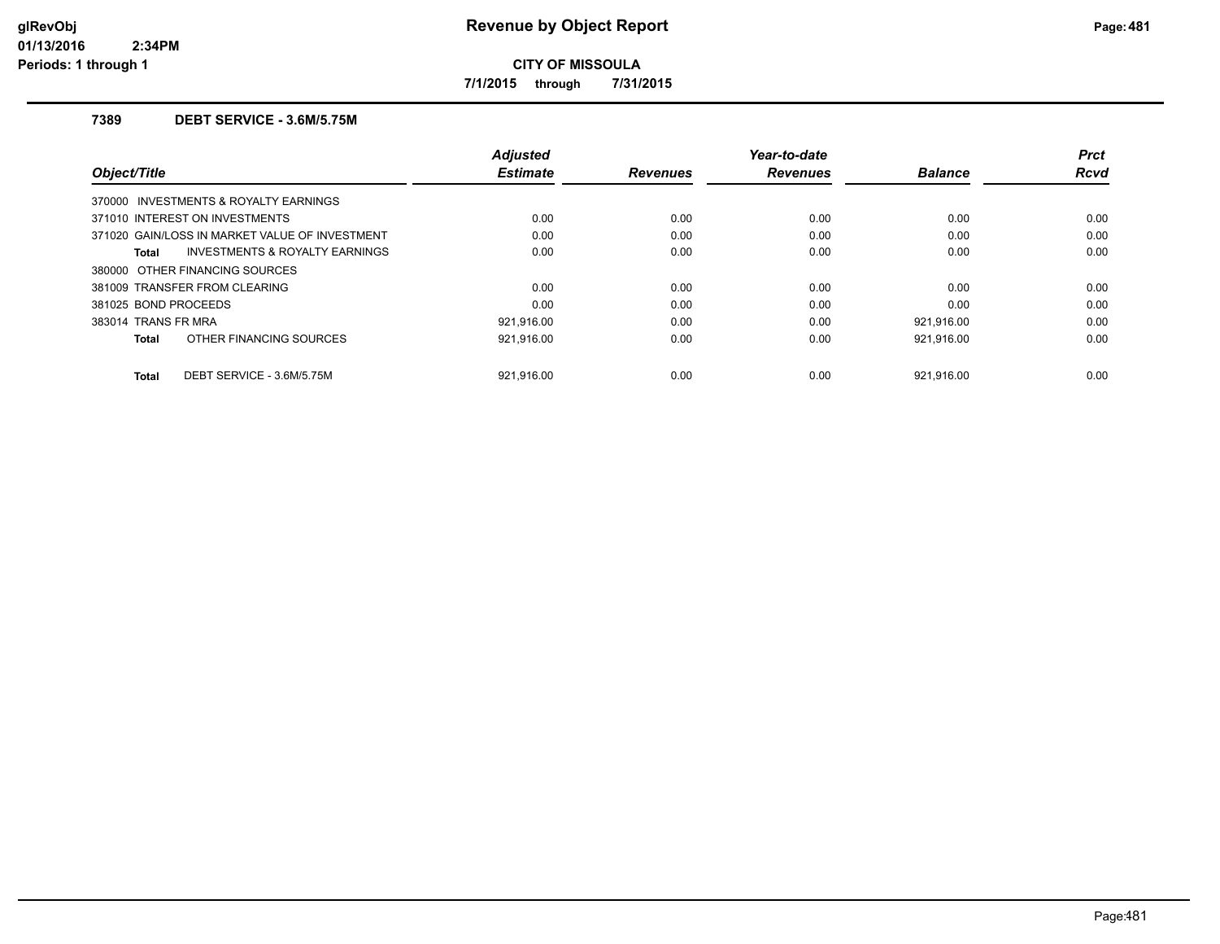**7/1/2015 through 7/31/2015**

## **7389 DEBT SERVICE - 3.6M/5.75M**

| Object/Title                                   | <b>Adjusted</b><br><b>Estimate</b> | <b>Revenues</b> | Year-to-date<br><b>Revenues</b> | <b>Balance</b> | <b>Prct</b><br><b>Rcvd</b> |
|------------------------------------------------|------------------------------------|-----------------|---------------------------------|----------------|----------------------------|
| 370000 INVESTMENTS & ROYALTY EARNINGS          |                                    |                 |                                 |                |                            |
| 371010 INTEREST ON INVESTMENTS                 | 0.00                               | 0.00            | 0.00                            | 0.00           | 0.00                       |
| 371020 GAIN/LOSS IN MARKET VALUE OF INVESTMENT | 0.00                               | 0.00            | 0.00                            | 0.00           | 0.00                       |
| INVESTMENTS & ROYALTY EARNINGS<br>Total        | 0.00                               | 0.00            | 0.00                            | 0.00           | 0.00                       |
| 380000 OTHER FINANCING SOURCES                 |                                    |                 |                                 |                |                            |
| 381009 TRANSFER FROM CLEARING                  | 0.00                               | 0.00            | 0.00                            | 0.00           | 0.00                       |
| 381025 BOND PROCEEDS                           | 0.00                               | 0.00            | 0.00                            | 0.00           | 0.00                       |
| 383014 TRANS FR MRA                            | 921,916.00                         | 0.00            | 0.00                            | 921.916.00     | 0.00                       |
| OTHER FINANCING SOURCES<br><b>Total</b>        | 921,916.00                         | 0.00            | 0.00                            | 921,916.00     | 0.00                       |
| DEBT SERVICE - 3.6M/5.75M<br><b>Total</b>      | 921.916.00                         | 0.00            | 0.00                            | 921.916.00     | 0.00                       |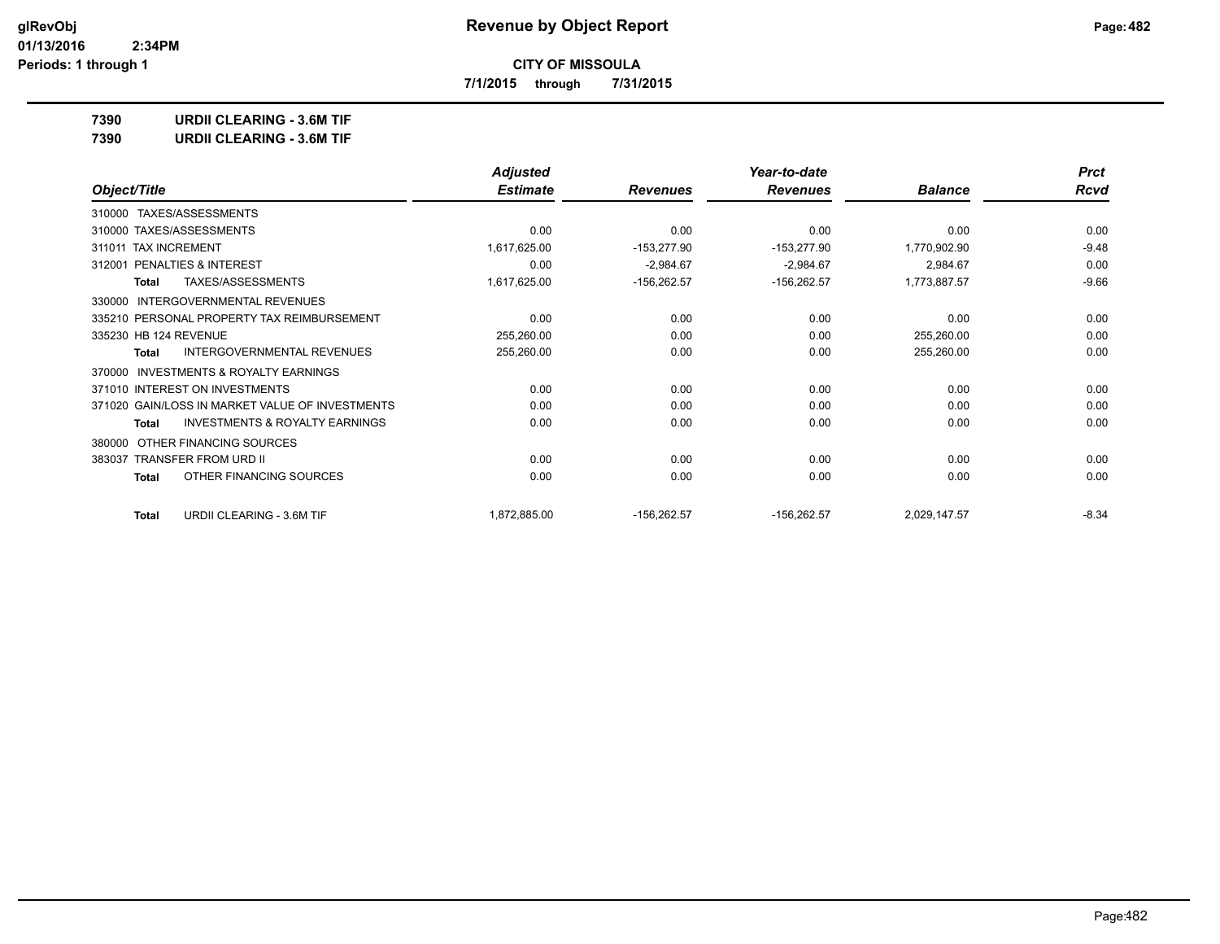**7/1/2015 through 7/31/2015**

**7390 URDII CLEARING - 3.6M TIF**

**7390 URDII CLEARING - 3.6M TIF**

|                                                           | <b>Adjusted</b> |                 | Year-to-date    |                | <b>Prct</b> |
|-----------------------------------------------------------|-----------------|-----------------|-----------------|----------------|-------------|
| Object/Title                                              | <b>Estimate</b> | <b>Revenues</b> | <b>Revenues</b> | <b>Balance</b> | <b>Rcvd</b> |
| 310000 TAXES/ASSESSMENTS                                  |                 |                 |                 |                |             |
| 310000 TAXES/ASSESSMENTS                                  | 0.00            | 0.00            | 0.00            | 0.00           | 0.00        |
| 311011 TAX INCREMENT                                      | 1,617,625.00    | $-153,277.90$   | $-153,277.90$   | 1,770,902.90   | $-9.48$     |
| PENALTIES & INTEREST<br>312001                            | 0.00            | $-2,984.67$     | $-2,984.67$     | 2,984.67       | 0.00        |
| TAXES/ASSESSMENTS<br><b>Total</b>                         | 1,617,625.00    | $-156,262.57$   | $-156,262.57$   | 1,773,887.57   | $-9.66$     |
| INTERGOVERNMENTAL REVENUES<br>330000                      |                 |                 |                 |                |             |
| 335210 PERSONAL PROPERTY TAX REIMBURSEMENT                | 0.00            | 0.00            | 0.00            | 0.00           | 0.00        |
| 335230 HB 124 REVENUE                                     | 255,260.00      | 0.00            | 0.00            | 255,260.00     | 0.00        |
| <b>INTERGOVERNMENTAL REVENUES</b><br>Total                | 255,260.00      | 0.00            | 0.00            | 255,260.00     | 0.00        |
| <b>INVESTMENTS &amp; ROYALTY EARNINGS</b><br>370000       |                 |                 |                 |                |             |
| 371010 INTEREST ON INVESTMENTS                            | 0.00            | 0.00            | 0.00            | 0.00           | 0.00        |
| 371020 GAIN/LOSS IN MARKET VALUE OF INVESTMENTS           | 0.00            | 0.00            | 0.00            | 0.00           | 0.00        |
| <b>INVESTMENTS &amp; ROYALTY EARNINGS</b><br><b>Total</b> | 0.00            | 0.00            | 0.00            | 0.00           | 0.00        |
| OTHER FINANCING SOURCES<br>380000                         |                 |                 |                 |                |             |
| 383037 TRANSFER FROM URD II                               | 0.00            | 0.00            | 0.00            | 0.00           | 0.00        |
| OTHER FINANCING SOURCES<br><b>Total</b>                   | 0.00            | 0.00            | 0.00            | 0.00           | 0.00        |
| URDII CLEARING - 3.6M TIF<br>Total                        | 1,872,885.00    | $-156,262.57$   | $-156,262.57$   | 2,029,147.57   | $-8.34$     |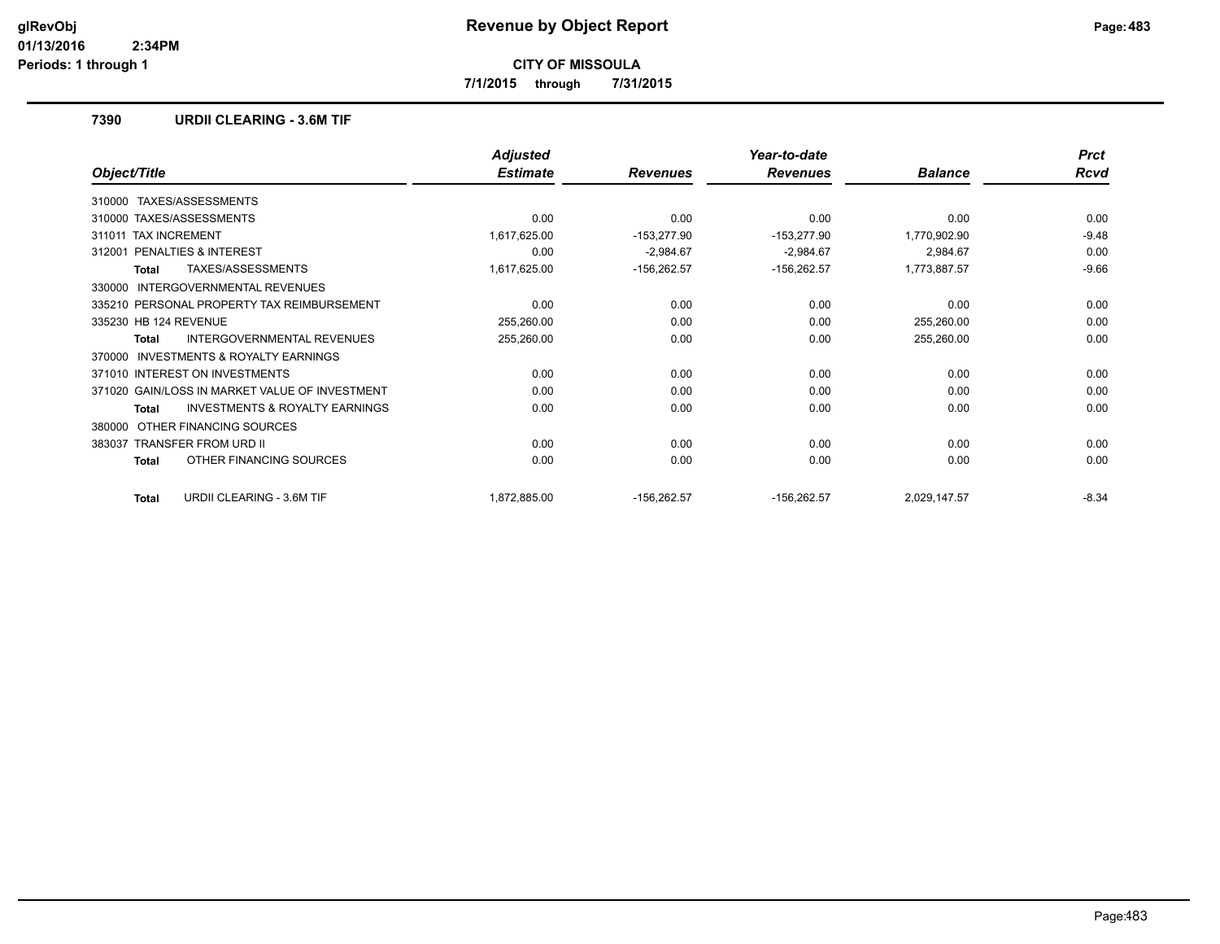**7/1/2015 through 7/31/2015**

## **7390 URDII CLEARING - 3.6M TIF**

|                                                           | <b>Adjusted</b> |                 | Year-to-date    |                | <b>Prct</b> |
|-----------------------------------------------------------|-----------------|-----------------|-----------------|----------------|-------------|
| Object/Title                                              | <b>Estimate</b> | <b>Revenues</b> | <b>Revenues</b> | <b>Balance</b> | <b>Rcvd</b> |
| TAXES/ASSESSMENTS<br>310000                               |                 |                 |                 |                |             |
| 310000 TAXES/ASSESSMENTS                                  | 0.00            | 0.00            | 0.00            | 0.00           | 0.00        |
| <b>TAX INCREMENT</b><br>311011                            | 1,617,625.00    | $-153,277.90$   | $-153,277.90$   | 1,770,902.90   | $-9.48$     |
| 312001 PENALTIES & INTEREST                               | 0.00            | $-2,984.67$     | $-2,984.67$     | 2,984.67       | 0.00        |
| TAXES/ASSESSMENTS<br><b>Total</b>                         | 1,617,625.00    | $-156,262.57$   | $-156,262.57$   | 1,773,887.57   | $-9.66$     |
| <b>INTERGOVERNMENTAL REVENUES</b><br>330000               |                 |                 |                 |                |             |
| 335210 PERSONAL PROPERTY TAX REIMBURSEMENT                | 0.00            | 0.00            | 0.00            | 0.00           | 0.00        |
| 335230 HB 124 REVENUE                                     | 255,260.00      | 0.00            | 0.00            | 255,260.00     | 0.00        |
| <b>INTERGOVERNMENTAL REVENUES</b><br><b>Total</b>         | 255,260.00      | 0.00            | 0.00            | 255,260.00     | 0.00        |
| <b>INVESTMENTS &amp; ROYALTY EARNINGS</b><br>370000       |                 |                 |                 |                |             |
| 371010 INTEREST ON INVESTMENTS                            | 0.00            | 0.00            | 0.00            | 0.00           | 0.00        |
| 371020 GAIN/LOSS IN MARKET VALUE OF INVESTMENT            | 0.00            | 0.00            | 0.00            | 0.00           | 0.00        |
| <b>INVESTMENTS &amp; ROYALTY EARNINGS</b><br><b>Total</b> | 0.00            | 0.00            | 0.00            | 0.00           | 0.00        |
| OTHER FINANCING SOURCES<br>380000                         |                 |                 |                 |                |             |
| <b>TRANSFER FROM URD II</b><br>383037                     | 0.00            | 0.00            | 0.00            | 0.00           | 0.00        |
| OTHER FINANCING SOURCES<br><b>Total</b>                   | 0.00            | 0.00            | 0.00            | 0.00           | 0.00        |
| <b>URDII CLEARING - 3.6M TIF</b><br><b>Total</b>          | 1,872,885.00    | $-156,262.57$   | $-156,262.57$   | 2,029,147.57   | $-8.34$     |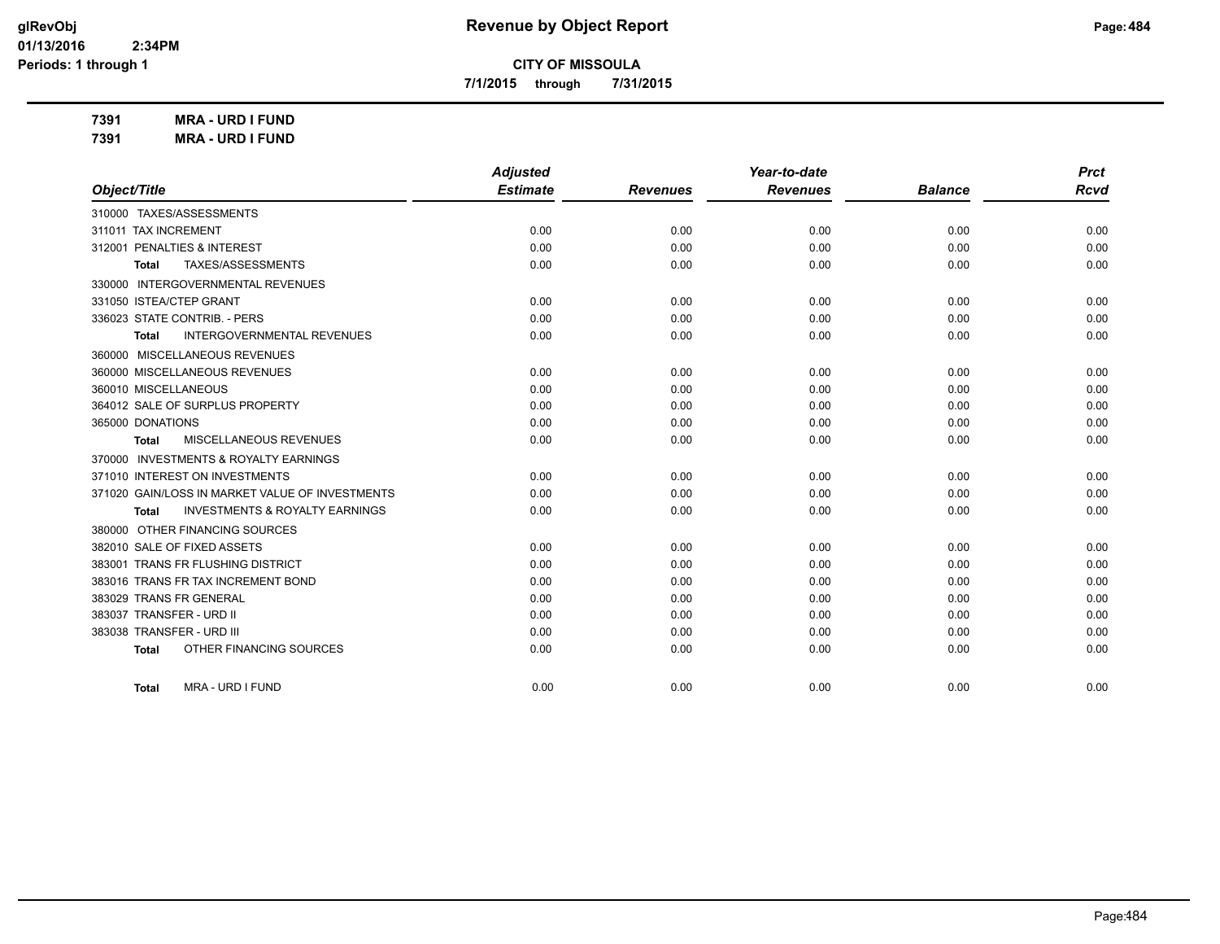**7/1/2015 through 7/31/2015**

**7391 MRA - URD I FUND**

|                                                    | <b>Adjusted</b> |                 | Year-to-date    |                | <b>Prct</b> |
|----------------------------------------------------|-----------------|-----------------|-----------------|----------------|-------------|
| Object/Title                                       | <b>Estimate</b> | <b>Revenues</b> | <b>Revenues</b> | <b>Balance</b> | <b>Rcvd</b> |
| 310000 TAXES/ASSESSMENTS                           |                 |                 |                 |                |             |
| 311011 TAX INCREMENT                               | 0.00            | 0.00            | 0.00            | 0.00           | 0.00        |
| 312001 PENALTIES & INTEREST                        | 0.00            | 0.00            | 0.00            | 0.00           | 0.00        |
| TAXES/ASSESSMENTS<br>Total                         | 0.00            | 0.00            | 0.00            | 0.00           | 0.00        |
| 330000 INTERGOVERNMENTAL REVENUES                  |                 |                 |                 |                |             |
| 331050 ISTEA/CTEP GRANT                            | 0.00            | 0.00            | 0.00            | 0.00           | 0.00        |
| 336023 STATE CONTRIB. - PERS                       | 0.00            | 0.00            | 0.00            | 0.00           | 0.00        |
| <b>INTERGOVERNMENTAL REVENUES</b><br><b>Total</b>  | 0.00            | 0.00            | 0.00            | 0.00           | 0.00        |
| 360000 MISCELLANEOUS REVENUES                      |                 |                 |                 |                |             |
| 360000 MISCELLANEOUS REVENUES                      | 0.00            | 0.00            | 0.00            | 0.00           | 0.00        |
| 360010 MISCELLANEOUS                               | 0.00            | 0.00            | 0.00            | 0.00           | 0.00        |
| 364012 SALE OF SURPLUS PROPERTY                    | 0.00            | 0.00            | 0.00            | 0.00           | 0.00        |
| 365000 DONATIONS                                   | 0.00            | 0.00            | 0.00            | 0.00           | 0.00        |
| MISCELLANEOUS REVENUES<br>Total                    | 0.00            | 0.00            | 0.00            | 0.00           | 0.00        |
| 370000 INVESTMENTS & ROYALTY EARNINGS              |                 |                 |                 |                |             |
| 371010 INTEREST ON INVESTMENTS                     | 0.00            | 0.00            | 0.00            | 0.00           | 0.00        |
| 371020 GAIN/LOSS IN MARKET VALUE OF INVESTMENTS    | 0.00            | 0.00            | 0.00            | 0.00           | 0.00        |
| <b>INVESTMENTS &amp; ROYALTY EARNINGS</b><br>Total | 0.00            | 0.00            | 0.00            | 0.00           | 0.00        |
| 380000 OTHER FINANCING SOURCES                     |                 |                 |                 |                |             |
| 382010 SALE OF FIXED ASSETS                        | 0.00            | 0.00            | 0.00            | 0.00           | 0.00        |
| 383001 TRANS FR FLUSHING DISTRICT                  | 0.00            | 0.00            | 0.00            | 0.00           | 0.00        |
| 383016 TRANS FR TAX INCREMENT BOND                 | 0.00            | 0.00            | 0.00            | 0.00           | 0.00        |
| 383029 TRANS FR GENERAL                            | 0.00            | 0.00            | 0.00            | 0.00           | 0.00        |
| 383037 TRANSFER - URD II                           | 0.00            | 0.00            | 0.00            | 0.00           | 0.00        |
| 383038 TRANSFER - URD III                          | 0.00            | 0.00            | 0.00            | 0.00           | 0.00        |
| OTHER FINANCING SOURCES<br><b>Total</b>            | 0.00            | 0.00            | 0.00            | 0.00           | 0.00        |
|                                                    |                 |                 |                 |                |             |
| MRA - URD I FUND<br><b>Total</b>                   | 0.00            | 0.00            | 0.00            | 0.00           | 0.00        |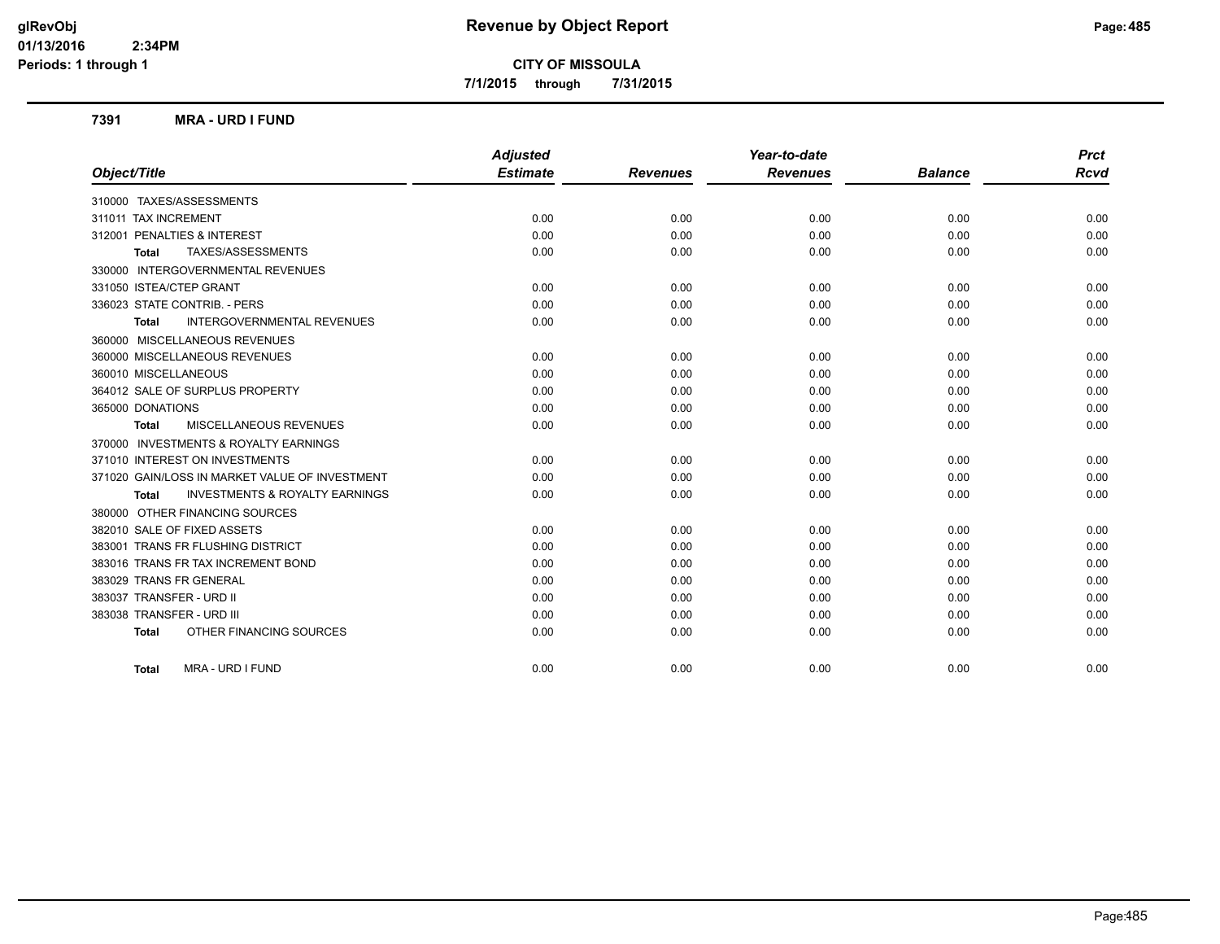**7/1/2015 through 7/31/2015**

### **7391 MRA - URD I FUND**

|                                                           | <b>Adjusted</b> |                 | Year-to-date    |                | <b>Prct</b> |
|-----------------------------------------------------------|-----------------|-----------------|-----------------|----------------|-------------|
| Object/Title                                              | <b>Estimate</b> | <b>Revenues</b> | <b>Revenues</b> | <b>Balance</b> | <b>Rcvd</b> |
| 310000 TAXES/ASSESSMENTS                                  |                 |                 |                 |                |             |
| 311011 TAX INCREMENT                                      | 0.00            | 0.00            | 0.00            | 0.00           | 0.00        |
| 312001 PENALTIES & INTEREST                               | 0.00            | 0.00            | 0.00            | 0.00           | 0.00        |
| TAXES/ASSESSMENTS<br><b>Total</b>                         | 0.00            | 0.00            | 0.00            | 0.00           | 0.00        |
| 330000 INTERGOVERNMENTAL REVENUES                         |                 |                 |                 |                |             |
| 331050 ISTEA/CTEP GRANT                                   | 0.00            | 0.00            | 0.00            | 0.00           | 0.00        |
| 336023 STATE CONTRIB. - PERS                              | 0.00            | 0.00            | 0.00            | 0.00           | 0.00        |
| <b>INTERGOVERNMENTAL REVENUES</b><br><b>Total</b>         | 0.00            | 0.00            | 0.00            | 0.00           | 0.00        |
| 360000 MISCELLANEOUS REVENUES                             |                 |                 |                 |                |             |
| 360000 MISCELLANEOUS REVENUES                             | 0.00            | 0.00            | 0.00            | 0.00           | 0.00        |
| 360010 MISCELLANEOUS                                      | 0.00            | 0.00            | 0.00            | 0.00           | 0.00        |
| 364012 SALE OF SURPLUS PROPERTY                           | 0.00            | 0.00            | 0.00            | 0.00           | 0.00        |
| 365000 DONATIONS                                          | 0.00            | 0.00            | 0.00            | 0.00           | 0.00        |
| MISCELLANEOUS REVENUES<br><b>Total</b>                    | 0.00            | 0.00            | 0.00            | 0.00           | 0.00        |
| 370000 INVESTMENTS & ROYALTY EARNINGS                     |                 |                 |                 |                |             |
| 371010 INTEREST ON INVESTMENTS                            | 0.00            | 0.00            | 0.00            | 0.00           | 0.00        |
| 371020 GAIN/LOSS IN MARKET VALUE OF INVESTMENT            | 0.00            | 0.00            | 0.00            | 0.00           | 0.00        |
| <b>INVESTMENTS &amp; ROYALTY EARNINGS</b><br><b>Total</b> | 0.00            | 0.00            | 0.00            | 0.00           | 0.00        |
| 380000 OTHER FINANCING SOURCES                            |                 |                 |                 |                |             |
| 382010 SALE OF FIXED ASSETS                               | 0.00            | 0.00            | 0.00            | 0.00           | 0.00        |
| 383001 TRANS FR FLUSHING DISTRICT                         | 0.00            | 0.00            | 0.00            | 0.00           | 0.00        |
| 383016 TRANS FR TAX INCREMENT BOND                        | 0.00            | 0.00            | 0.00            | 0.00           | 0.00        |
| 383029 TRANS FR GENERAL                                   | 0.00            | 0.00            | 0.00            | 0.00           | 0.00        |
| 383037 TRANSFER - URD II                                  | 0.00            | 0.00            | 0.00            | 0.00           | 0.00        |
| 383038 TRANSFER - URD III                                 | 0.00            | 0.00            | 0.00            | 0.00           | 0.00        |
| OTHER FINANCING SOURCES<br><b>Total</b>                   | 0.00            | 0.00            | 0.00            | 0.00           | 0.00        |
| MRA - URD I FUND<br><b>Total</b>                          | 0.00            | 0.00            | 0.00            | 0.00           | 0.00        |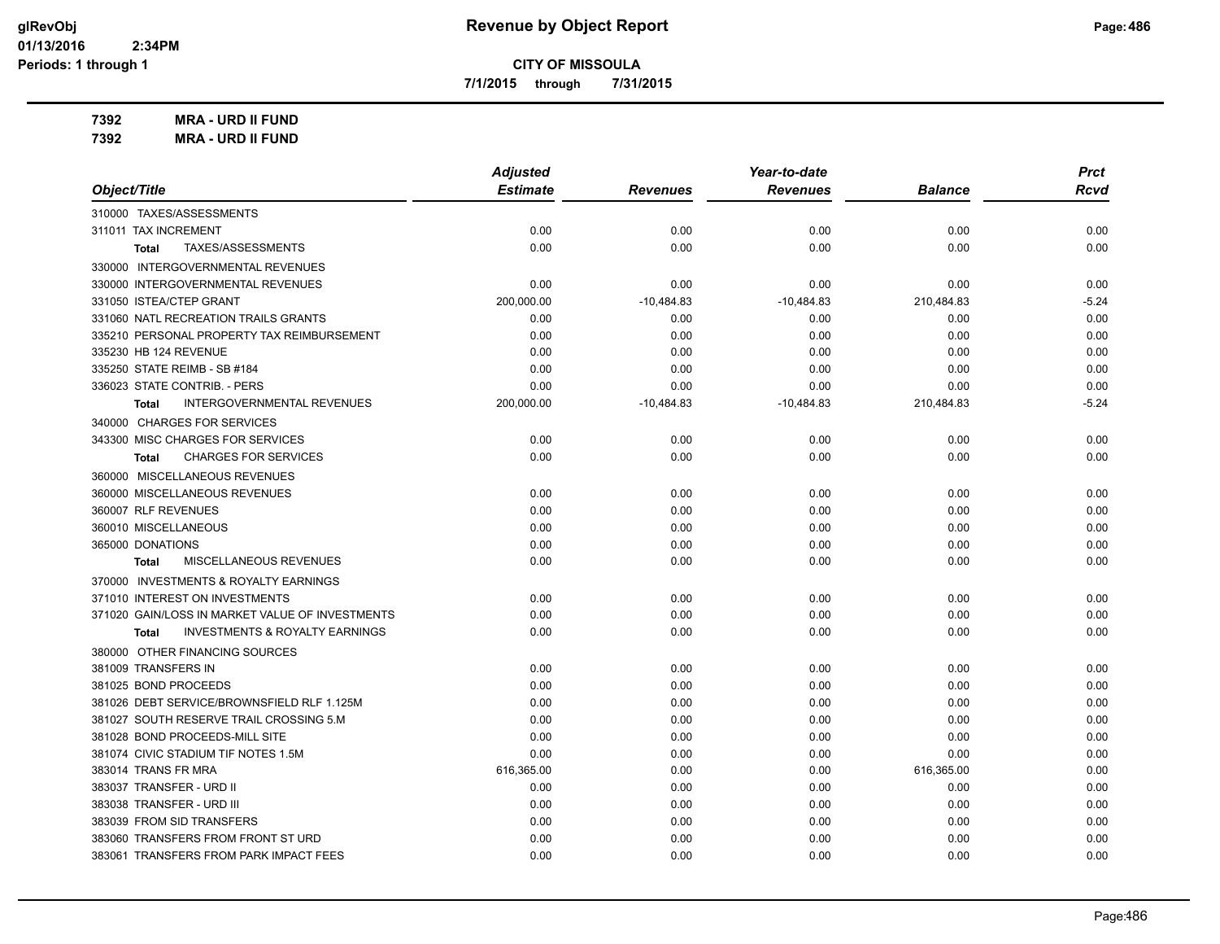**7/1/2015 through 7/31/2015**

**7392 MRA - URD II FUND 7392 MRA - URD II FUND**

| Object/Title                                              | <b>Adjusted</b><br><b>Estimate</b> | <b>Revenues</b> | Year-to-date<br><b>Revenues</b> | <b>Balance</b> | <b>Prct</b><br><b>Rcvd</b> |
|-----------------------------------------------------------|------------------------------------|-----------------|---------------------------------|----------------|----------------------------|
|                                                           |                                    |                 |                                 |                |                            |
| 310000 TAXES/ASSESSMENTS                                  |                                    |                 |                                 |                |                            |
| 311011 TAX INCREMENT                                      | 0.00                               | 0.00            | 0.00                            | 0.00           | 0.00                       |
| TAXES/ASSESSMENTS<br><b>Total</b>                         | 0.00                               | 0.00            | 0.00                            | 0.00           | 0.00                       |
| 330000 INTERGOVERNMENTAL REVENUES                         |                                    |                 |                                 |                |                            |
| 330000 INTERGOVERNMENTAL REVENUES                         | 0.00                               | 0.00            | 0.00                            | 0.00           | 0.00                       |
| 331050 ISTEA/CTEP GRANT                                   | 200,000.00                         | $-10,484.83$    | $-10,484.83$                    | 210,484.83     | $-5.24$                    |
| 331060 NATL RECREATION TRAILS GRANTS                      | 0.00                               | 0.00            | 0.00                            | 0.00           | 0.00                       |
| 335210 PERSONAL PROPERTY TAX REIMBURSEMENT                | 0.00                               | 0.00            | 0.00                            | 0.00           | 0.00                       |
| 335230 HB 124 REVENUE                                     | 0.00                               | 0.00            | 0.00                            | 0.00           | 0.00                       |
| 335250 STATE REIMB - SB #184                              | 0.00                               | 0.00            | 0.00                            | 0.00           | 0.00                       |
| 336023 STATE CONTRIB. - PERS                              | 0.00                               | 0.00            | 0.00                            | 0.00           | 0.00                       |
| <b>INTERGOVERNMENTAL REVENUES</b><br><b>Total</b>         | 200,000.00                         | $-10,484.83$    | $-10,484.83$                    | 210,484.83     | $-5.24$                    |
| 340000 CHARGES FOR SERVICES                               |                                    |                 |                                 |                |                            |
| 343300 MISC CHARGES FOR SERVICES                          | 0.00                               | 0.00            | 0.00                            | 0.00           | 0.00                       |
| <b>CHARGES FOR SERVICES</b><br><b>Total</b>               | 0.00                               | 0.00            | 0.00                            | 0.00           | 0.00                       |
| 360000 MISCELLANEOUS REVENUES                             |                                    |                 |                                 |                |                            |
| 360000 MISCELLANEOUS REVENUES                             | 0.00                               | 0.00            | 0.00                            | 0.00           | 0.00                       |
| 360007 RLF REVENUES                                       | 0.00                               | 0.00            | 0.00                            | 0.00           | 0.00                       |
| 360010 MISCELLANEOUS                                      | 0.00                               | 0.00            | 0.00                            | 0.00           | 0.00                       |
| 365000 DONATIONS                                          | 0.00                               | 0.00            | 0.00                            | 0.00           | 0.00                       |
| MISCELLANEOUS REVENUES<br><b>Total</b>                    | 0.00                               | 0.00            | 0.00                            | 0.00           | 0.00                       |
| 370000 INVESTMENTS & ROYALTY EARNINGS                     |                                    |                 |                                 |                |                            |
| 371010 INTEREST ON INVESTMENTS                            | 0.00                               | 0.00            | 0.00                            | 0.00           | 0.00                       |
| 371020 GAIN/LOSS IN MARKET VALUE OF INVESTMENTS           | 0.00                               | 0.00            | 0.00                            | 0.00           | 0.00                       |
| <b>INVESTMENTS &amp; ROYALTY EARNINGS</b><br><b>Total</b> | 0.00                               | 0.00            | 0.00                            | 0.00           | 0.00                       |
| 380000 OTHER FINANCING SOURCES                            |                                    |                 |                                 |                |                            |
| 381009 TRANSFERS IN                                       | 0.00                               | 0.00            | 0.00                            | 0.00           | 0.00                       |
| 381025 BOND PROCEEDS                                      | 0.00                               | 0.00            | 0.00                            | 0.00           | 0.00                       |
| 381026 DEBT SERVICE/BROWNSFIELD RLF 1.125M                | 0.00                               | 0.00            | 0.00                            | 0.00           | 0.00                       |
| 381027 SOUTH RESERVE TRAIL CROSSING 5.M                   | 0.00                               | 0.00            | 0.00                            | 0.00           | 0.00                       |
| 381028 BOND PROCEEDS-MILL SITE                            | 0.00                               | 0.00            | 0.00                            | 0.00           | 0.00                       |
| 381074 CIVIC STADIUM TIF NOTES 1.5M                       | 0.00                               | 0.00            | 0.00                            | 0.00           | 0.00                       |
| 383014 TRANS FR MRA                                       | 616,365.00                         | 0.00            | 0.00                            | 616,365.00     | 0.00                       |
| 383037 TRANSFER - URD II                                  | 0.00                               | 0.00            | 0.00                            | 0.00           | 0.00                       |
| 383038 TRANSFER - URD III                                 | 0.00                               | 0.00            | 0.00                            | 0.00           | 0.00                       |
| 383039 FROM SID TRANSFERS                                 | 0.00                               | 0.00            | 0.00                            | 0.00           | 0.00                       |
| 383060 TRANSFERS FROM FRONT ST URD                        | 0.00                               | 0.00            | 0.00                            | 0.00           | 0.00                       |

383061 TRANSFERS FROM PARK IMPACT FEES 0.00 0.00 0.00 0.00 0.00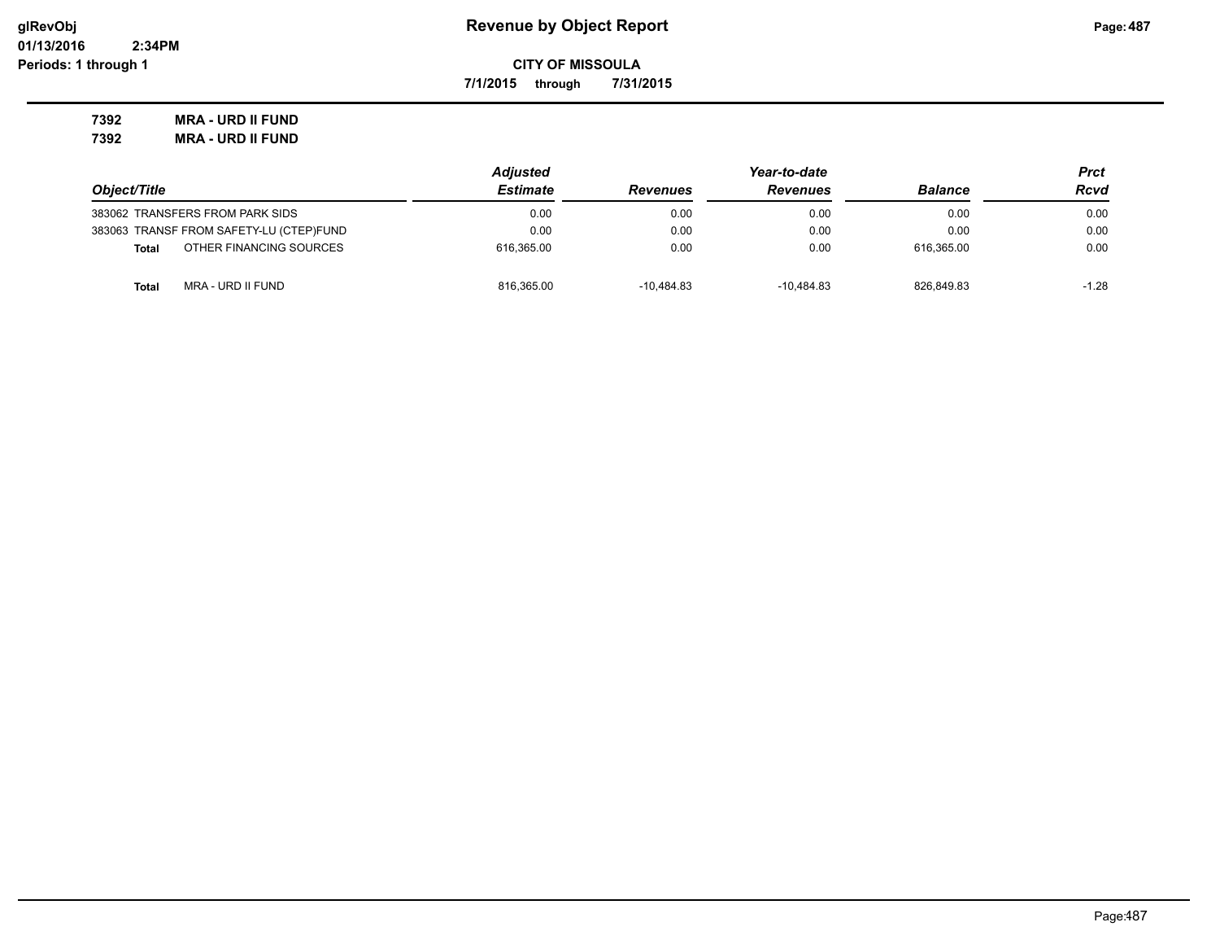**7/1/2015 through 7/31/2015**

**7392 MRA - URD II FUND 7392 MRA - URD II FUND**

|                                         | <b>Adjusted</b> |                 | Prct            |                |         |
|-----------------------------------------|-----------------|-----------------|-----------------|----------------|---------|
| Object/Title                            | <b>Estimate</b> | <b>Revenues</b> | <b>Revenues</b> | <b>Balance</b> | Rcvd    |
| 383062 TRANSFERS FROM PARK SIDS         | 0.00            | 0.00            | 0.00            | 0.00           | 0.00    |
| 383063 TRANSF FROM SAFETY-LU (CTEP)FUND | 0.00            | 0.00            | 0.00            | 0.00           | 0.00    |
| OTHER FINANCING SOURCES<br><b>Total</b> | 616.365.00      | 0.00            | 0.00            | 616.365.00     | 0.00    |
| MRA - URD II FUND<br><b>Total</b>       | 816.365.00      | $-10.484.83$    | $-10.484.83$    | 826.849.83     | $-1.28$ |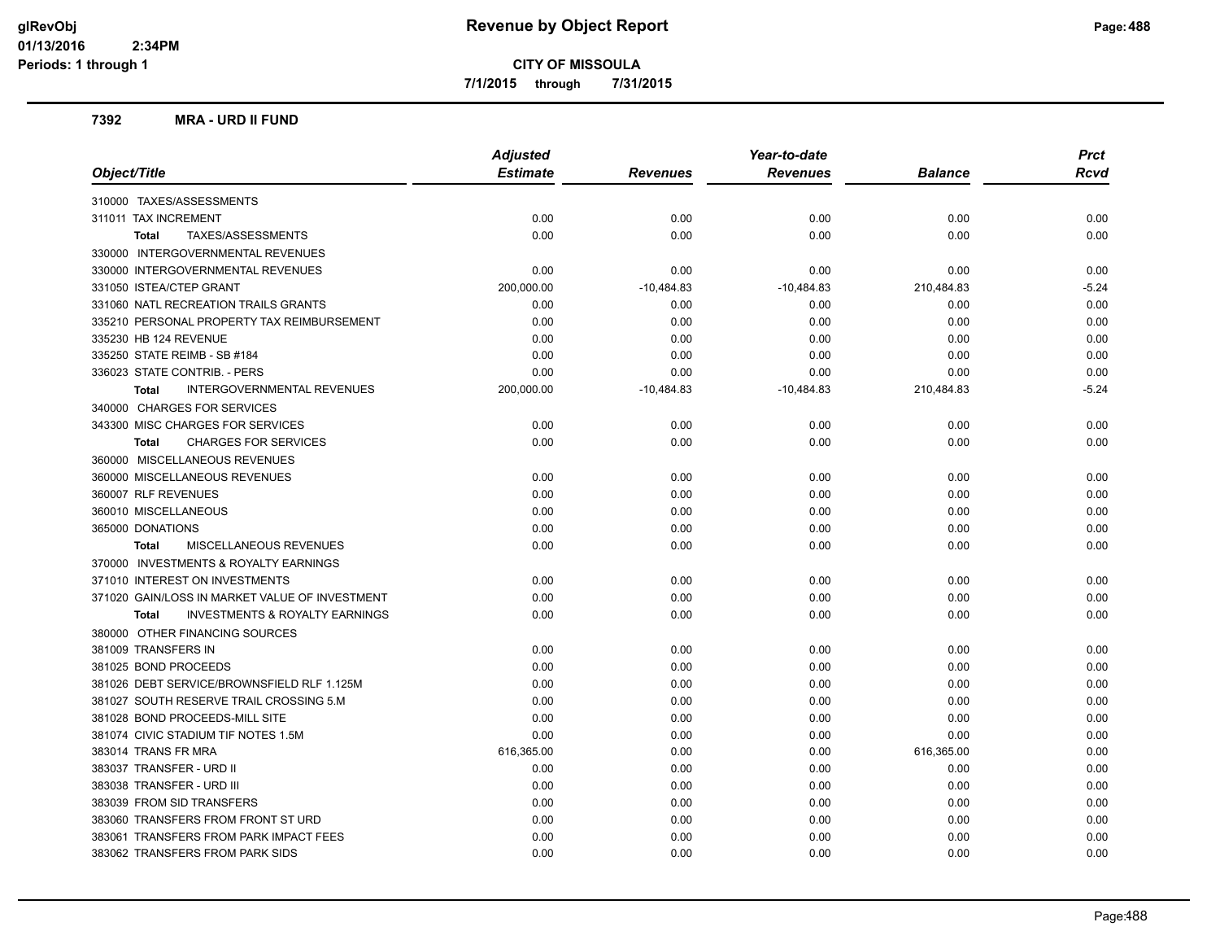**7/1/2015 through 7/31/2015**

### **7392 MRA - URD II FUND**

|                                                    | <b>Adjusted</b> |                 | Year-to-date    |                | <b>Prct</b> |
|----------------------------------------------------|-----------------|-----------------|-----------------|----------------|-------------|
| Object/Title                                       | <b>Estimate</b> | <b>Revenues</b> | <b>Revenues</b> | <b>Balance</b> | <b>Rcvd</b> |
| 310000 TAXES/ASSESSMENTS                           |                 |                 |                 |                |             |
| 311011 TAX INCREMENT                               | 0.00            | 0.00            | 0.00            | 0.00           | 0.00        |
| TAXES/ASSESSMENTS<br><b>Total</b>                  | 0.00            | 0.00            | 0.00            | 0.00           | 0.00        |
| 330000 INTERGOVERNMENTAL REVENUES                  |                 |                 |                 |                |             |
| 330000 INTERGOVERNMENTAL REVENUES                  | 0.00            | 0.00            | 0.00            | 0.00           | 0.00        |
| 331050 ISTEA/CTEP GRANT                            | 200,000.00      | $-10,484.83$    | $-10,484.83$    | 210,484.83     | $-5.24$     |
| 331060 NATL RECREATION TRAILS GRANTS               | 0.00            | 0.00            | 0.00            | 0.00           | 0.00        |
| 335210 PERSONAL PROPERTY TAX REIMBURSEMENT         | 0.00            | 0.00            | 0.00            | 0.00           | 0.00        |
| 335230 HB 124 REVENUE                              | 0.00            | 0.00            | 0.00            | 0.00           | 0.00        |
| 335250 STATE REIMB - SB #184                       | 0.00            | 0.00            | 0.00            | 0.00           | 0.00        |
| 336023 STATE CONTRIB. - PERS                       | 0.00            | 0.00            | 0.00            | 0.00           | 0.00        |
| INTERGOVERNMENTAL REVENUES<br><b>Total</b>         | 200,000.00      | $-10,484.83$    | $-10,484.83$    | 210,484.83     | $-5.24$     |
| 340000 CHARGES FOR SERVICES                        |                 |                 |                 |                |             |
| 343300 MISC CHARGES FOR SERVICES                   | 0.00            | 0.00            | 0.00            | 0.00           | 0.00        |
| <b>CHARGES FOR SERVICES</b><br><b>Total</b>        | 0.00            | 0.00            | 0.00            | 0.00           | 0.00        |
| 360000 MISCELLANEOUS REVENUES                      |                 |                 |                 |                |             |
| 360000 MISCELLANEOUS REVENUES                      | 0.00            | 0.00            | 0.00            | 0.00           | 0.00        |
| 360007 RLF REVENUES                                | 0.00            | 0.00            | 0.00            | 0.00           | 0.00        |
| 360010 MISCELLANEOUS                               | 0.00            | 0.00            | 0.00            | 0.00           | 0.00        |
| 365000 DONATIONS                                   | 0.00            | 0.00            | 0.00            | 0.00           | 0.00        |
| MISCELLANEOUS REVENUES<br><b>Total</b>             | 0.00            | 0.00            | 0.00            | 0.00           | 0.00        |
| 370000 INVESTMENTS & ROYALTY EARNINGS              |                 |                 |                 |                |             |
| 371010 INTEREST ON INVESTMENTS                     | 0.00            | 0.00            | 0.00            | 0.00           | 0.00        |
| 371020 GAIN/LOSS IN MARKET VALUE OF INVESTMENT     | 0.00            | 0.00            | 0.00            | 0.00           | 0.00        |
| <b>INVESTMENTS &amp; ROYALTY EARNINGS</b><br>Total | 0.00            | 0.00            | 0.00            | 0.00           | 0.00        |
| 380000 OTHER FINANCING SOURCES                     |                 |                 |                 |                |             |
| 381009 TRANSFERS IN                                | 0.00            | 0.00            | 0.00            | 0.00           | 0.00        |
| 381025 BOND PROCEEDS                               | 0.00            | 0.00            | 0.00            | 0.00           | 0.00        |
| 381026 DEBT SERVICE/BROWNSFIELD RLF 1.125M         | 0.00            | 0.00            | 0.00            | 0.00           | 0.00        |
| 381027 SOUTH RESERVE TRAIL CROSSING 5.M            | 0.00            | 0.00            | 0.00            | 0.00           | 0.00        |
| 381028 BOND PROCEEDS-MILL SITE                     | 0.00            | 0.00            | 0.00            | 0.00           | 0.00        |
| 381074 CIVIC STADIUM TIF NOTES 1.5M                | 0.00            | 0.00            | 0.00            | 0.00           | 0.00        |
| 383014 TRANS FR MRA                                | 616,365.00      | 0.00            | 0.00            | 616,365.00     | 0.00        |
| 383037 TRANSFER - URD II                           | 0.00            | 0.00            | 0.00            | 0.00           | 0.00        |
| 383038 TRANSFER - URD III                          | 0.00            | 0.00            | 0.00            | 0.00           | 0.00        |
| 383039 FROM SID TRANSFERS                          | 0.00            | 0.00            | 0.00            | 0.00           | 0.00        |
| 383060 TRANSFERS FROM FRONT ST URD                 | 0.00            | 0.00            | 0.00            | 0.00           | 0.00        |
| 383061 TRANSFERS FROM PARK IMPACT FEES             | 0.00            | 0.00            | 0.00            | 0.00           | 0.00        |
| 383062 TRANSFERS FROM PARK SIDS                    | 0.00            | 0.00            | 0.00            | 0.00           | 0.00        |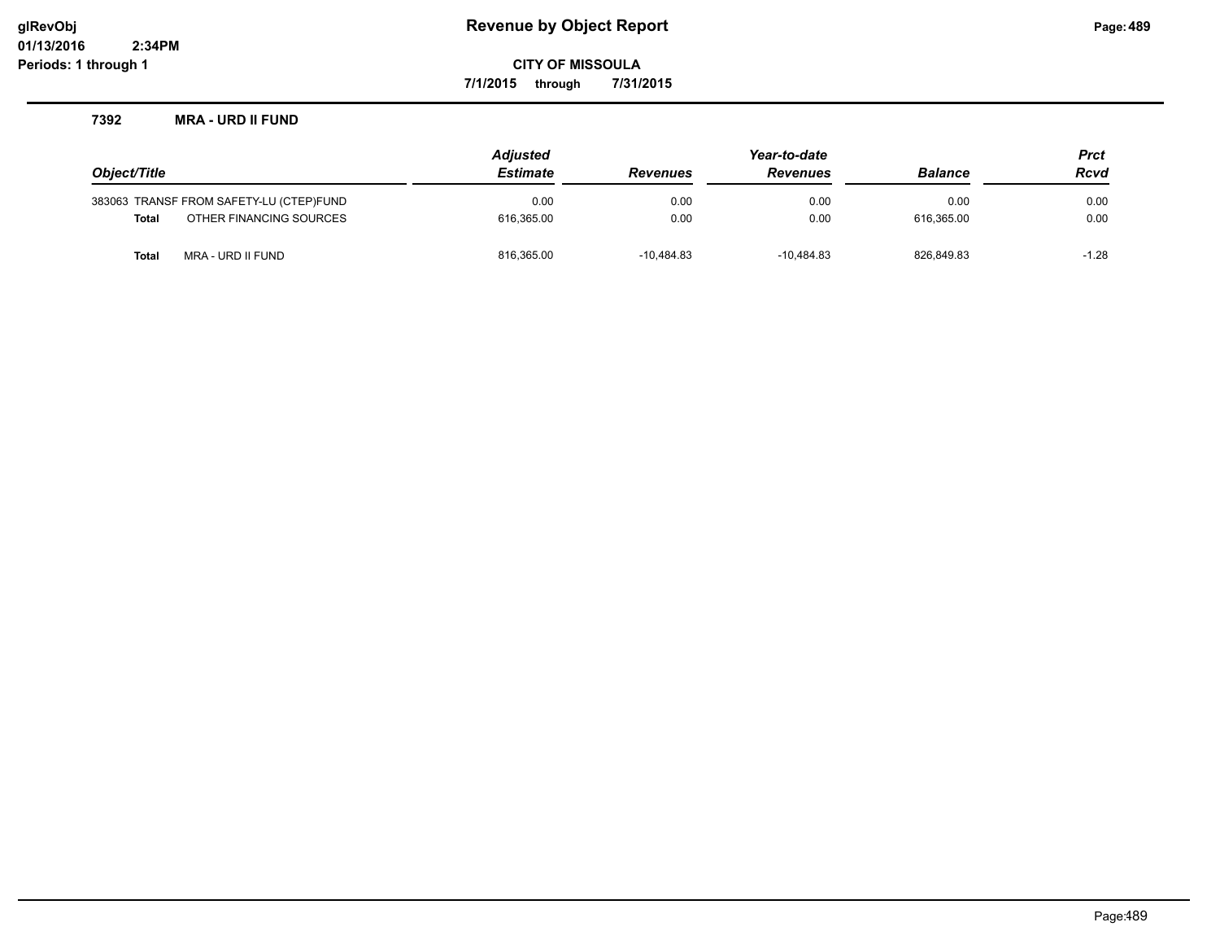**7/1/2015 through 7/31/2015**

### **7392 MRA - URD II FUND**

|              |                                         | <b>Adjusted</b> | Year-to-date    |                 |                | <b>Prct</b> |
|--------------|-----------------------------------------|-----------------|-----------------|-----------------|----------------|-------------|
| Object/Title |                                         | <b>Estimate</b> | <b>Revenues</b> | <b>Revenues</b> | <b>Balance</b> | <b>Rcvd</b> |
|              | 383063 TRANSF FROM SAFETY-LU (CTEP)FUND | 0.00            | 0.00            | 0.00            | 0.00           | 0.00        |
| <b>Total</b> | OTHER FINANCING SOURCES                 | 616.365.00      | 0.00            | 0.00            | 616.365.00     | 0.00        |
| Total        | MRA - URD II FUND                       | 816,365.00      | $-10.484.83$    | $-10.484.83$    | 826.849.83     | $-1.28$     |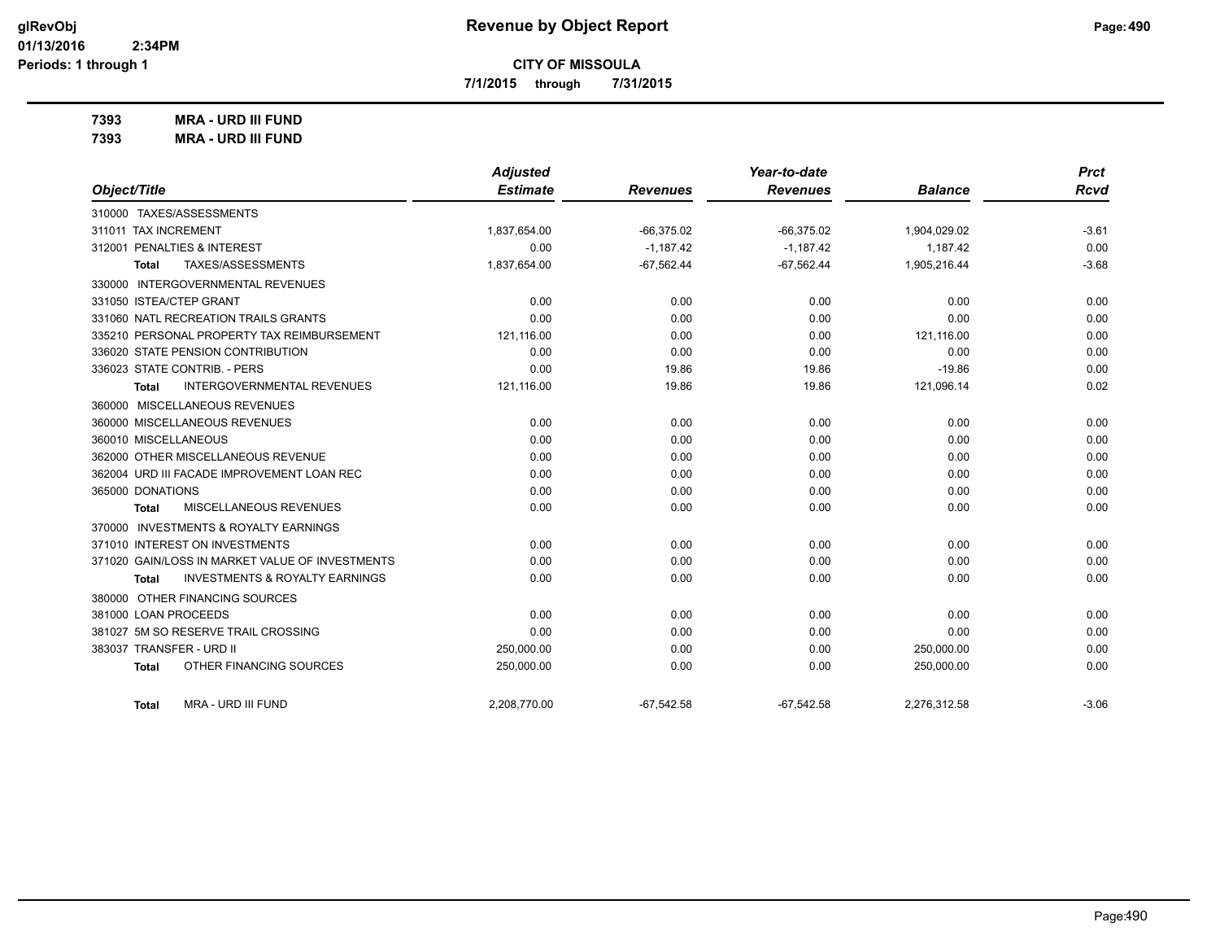**7/1/2015 through 7/31/2015**

**7393 MRA - URD III FUND**

**7393 MRA - URD III FUND**

|                                                           | <b>Adjusted</b> |                 | Year-to-date    |                | <b>Prct</b> |
|-----------------------------------------------------------|-----------------|-----------------|-----------------|----------------|-------------|
| Object/Title                                              | <b>Estimate</b> | <b>Revenues</b> | <b>Revenues</b> | <b>Balance</b> | <b>Rcvd</b> |
| 310000 TAXES/ASSESSMENTS                                  |                 |                 |                 |                |             |
| 311011 TAX INCREMENT                                      | 1,837,654.00    | $-66,375.02$    | $-66,375.02$    | 1,904,029.02   | $-3.61$     |
| 312001 PENALTIES & INTEREST                               | 0.00            | $-1,187.42$     | $-1,187.42$     | 1.187.42       | 0.00        |
| TAXES/ASSESSMENTS<br>Total                                | 1,837,654.00    | $-67,562.44$    | $-67,562.44$    | 1,905,216.44   | $-3.68$     |
| 330000 INTERGOVERNMENTAL REVENUES                         |                 |                 |                 |                |             |
| 331050 ISTEA/CTEP GRANT                                   | 0.00            | 0.00            | 0.00            | 0.00           | 0.00        |
| 331060 NATL RECREATION TRAILS GRANTS                      | 0.00            | 0.00            | 0.00            | 0.00           | 0.00        |
| 335210 PERSONAL PROPERTY TAX REIMBURSEMENT                | 121,116.00      | 0.00            | 0.00            | 121,116.00     | 0.00        |
| 336020 STATE PENSION CONTRIBUTION                         | 0.00            | 0.00            | 0.00            | 0.00           | 0.00        |
| 336023 STATE CONTRIB. - PERS                              | 0.00            | 19.86           | 19.86           | $-19.86$       | 0.00        |
| <b>INTERGOVERNMENTAL REVENUES</b><br><b>Total</b>         | 121,116.00      | 19.86           | 19.86           | 121,096.14     | 0.02        |
| 360000 MISCELLANEOUS REVENUES                             |                 |                 |                 |                |             |
| 360000 MISCELLANEOUS REVENUES                             | 0.00            | 0.00            | 0.00            | 0.00           | 0.00        |
| 360010 MISCELLANEOUS                                      | 0.00            | 0.00            | 0.00            | 0.00           | 0.00        |
| 362000 OTHER MISCELLANEOUS REVENUE                        | 0.00            | 0.00            | 0.00            | 0.00           | 0.00        |
| 362004 URD III FACADE IMPROVEMENT LOAN REC                | 0.00            | 0.00            | 0.00            | 0.00           | 0.00        |
| 365000 DONATIONS                                          | 0.00            | 0.00            | 0.00            | 0.00           | 0.00        |
| MISCELLANEOUS REVENUES<br>Total                           | 0.00            | 0.00            | 0.00            | 0.00           | 0.00        |
| <b>INVESTMENTS &amp; ROYALTY EARNINGS</b><br>370000       |                 |                 |                 |                |             |
| 371010 INTEREST ON INVESTMENTS                            | 0.00            | 0.00            | 0.00            | 0.00           | 0.00        |
| 371020 GAIN/LOSS IN MARKET VALUE OF INVESTMENTS           | 0.00            | 0.00            | 0.00            | 0.00           | 0.00        |
| <b>INVESTMENTS &amp; ROYALTY EARNINGS</b><br><b>Total</b> | 0.00            | 0.00            | 0.00            | 0.00           | 0.00        |
| 380000 OTHER FINANCING SOURCES                            |                 |                 |                 |                |             |
| 381000 LOAN PROCEEDS                                      | 0.00            | 0.00            | 0.00            | 0.00           | 0.00        |
| 381027 5M SO RESERVE TRAIL CROSSING                       | 0.00            | 0.00            | 0.00            | 0.00           | 0.00        |
| 383037 TRANSFER - URD II                                  | 250,000.00      | 0.00            | 0.00            | 250,000.00     | 0.00        |
| OTHER FINANCING SOURCES<br>Total                          | 250,000.00      | 0.00            | 0.00            | 250,000.00     | 0.00        |
| MRA - URD III FUND<br>Total                               | 2.208.770.00    | $-67,542.58$    | $-67,542.58$    | 2,276,312.58   | $-3.06$     |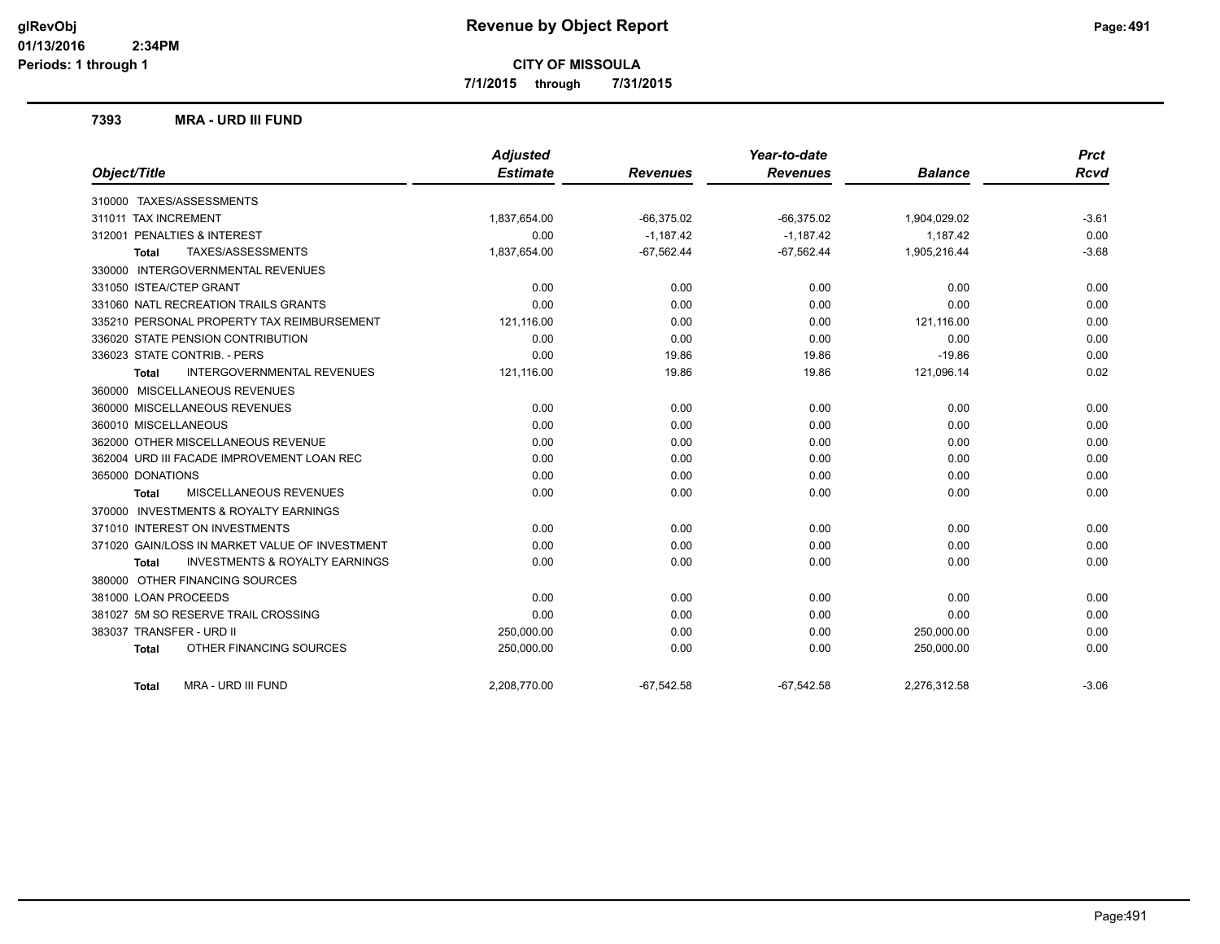**7/1/2015 through 7/31/2015**

### **7393 MRA - URD III FUND**

| Object/Title                                              | <b>Adjusted</b><br><b>Estimate</b> | <b>Revenues</b> | Year-to-date<br><b>Revenues</b> | <b>Balance</b> | <b>Prct</b><br><b>Rcvd</b> |
|-----------------------------------------------------------|------------------------------------|-----------------|---------------------------------|----------------|----------------------------|
|                                                           |                                    |                 |                                 |                |                            |
| 310000 TAXES/ASSESSMENTS                                  |                                    |                 |                                 |                |                            |
| 311011 TAX INCREMENT                                      | 1,837,654.00                       | $-66,375.02$    | $-66,375.02$                    | 1,904,029.02   | $-3.61$                    |
| 312001 PENALTIES & INTEREST                               | 0.00                               | $-1,187.42$     | $-1,187.42$                     | 1,187.42       | 0.00                       |
| TAXES/ASSESSMENTS<br><b>Total</b>                         | 1,837,654.00                       | $-67,562.44$    | $-67,562.44$                    | 1,905,216.44   | $-3.68$                    |
| 330000 INTERGOVERNMENTAL REVENUES                         |                                    |                 |                                 |                |                            |
| 331050 ISTEA/CTEP GRANT                                   | 0.00                               | 0.00            | 0.00                            | 0.00           | 0.00                       |
| 331060 NATL RECREATION TRAILS GRANTS                      | 0.00                               | 0.00            | 0.00                            | 0.00           | 0.00                       |
| 335210 PERSONAL PROPERTY TAX REIMBURSEMENT                | 121,116.00                         | 0.00            | 0.00                            | 121,116.00     | 0.00                       |
| 336020 STATE PENSION CONTRIBUTION                         | 0.00                               | 0.00            | 0.00                            | 0.00           | 0.00                       |
| 336023 STATE CONTRIB. - PERS                              | 0.00                               | 19.86           | 19.86                           | $-19.86$       | 0.00                       |
| <b>INTERGOVERNMENTAL REVENUES</b><br><b>Total</b>         | 121,116.00                         | 19.86           | 19.86                           | 121,096.14     | 0.02                       |
| 360000 MISCELLANEOUS REVENUES                             |                                    |                 |                                 |                |                            |
| 360000 MISCELLANEOUS REVENUES                             | 0.00                               | 0.00            | 0.00                            | 0.00           | 0.00                       |
| 360010 MISCELLANEOUS                                      | 0.00                               | 0.00            | 0.00                            | 0.00           | 0.00                       |
| 362000 OTHER MISCELLANEOUS REVENUE                        | 0.00                               | 0.00            | 0.00                            | 0.00           | 0.00                       |
| 362004 URD III FACADE IMPROVEMENT LOAN REC                | 0.00                               | 0.00            | 0.00                            | 0.00           | 0.00                       |
| 365000 DONATIONS                                          | 0.00                               | 0.00            | 0.00                            | 0.00           | 0.00                       |
| MISCELLANEOUS REVENUES<br><b>Total</b>                    | 0.00                               | 0.00            | 0.00                            | 0.00           | 0.00                       |
| 370000 INVESTMENTS & ROYALTY EARNINGS                     |                                    |                 |                                 |                |                            |
| 371010 INTEREST ON INVESTMENTS                            | 0.00                               | 0.00            | 0.00                            | 0.00           | 0.00                       |
| 371020 GAIN/LOSS IN MARKET VALUE OF INVESTMENT            | 0.00                               | 0.00            | 0.00                            | 0.00           | 0.00                       |
| <b>INVESTMENTS &amp; ROYALTY EARNINGS</b><br><b>Total</b> | 0.00                               | 0.00            | 0.00                            | 0.00           | 0.00                       |
| 380000 OTHER FINANCING SOURCES                            |                                    |                 |                                 |                |                            |
| 381000 LOAN PROCEEDS                                      | 0.00                               | 0.00            | 0.00                            | 0.00           | 0.00                       |
| 381027 5M SO RESERVE TRAIL CROSSING                       | 0.00                               | 0.00            | 0.00                            | 0.00           | 0.00                       |
| 383037 TRANSFER - URD II                                  | 250,000.00                         | 0.00            | 0.00                            | 250,000.00     | 0.00                       |
| OTHER FINANCING SOURCES<br><b>Total</b>                   | 250,000.00                         | 0.00            | 0.00                            | 250,000.00     | 0.00                       |
| MRA - URD III FUND<br><b>Total</b>                        | 2,208,770.00                       | $-67,542.58$    | $-67,542.58$                    | 2,276,312.58   | $-3.06$                    |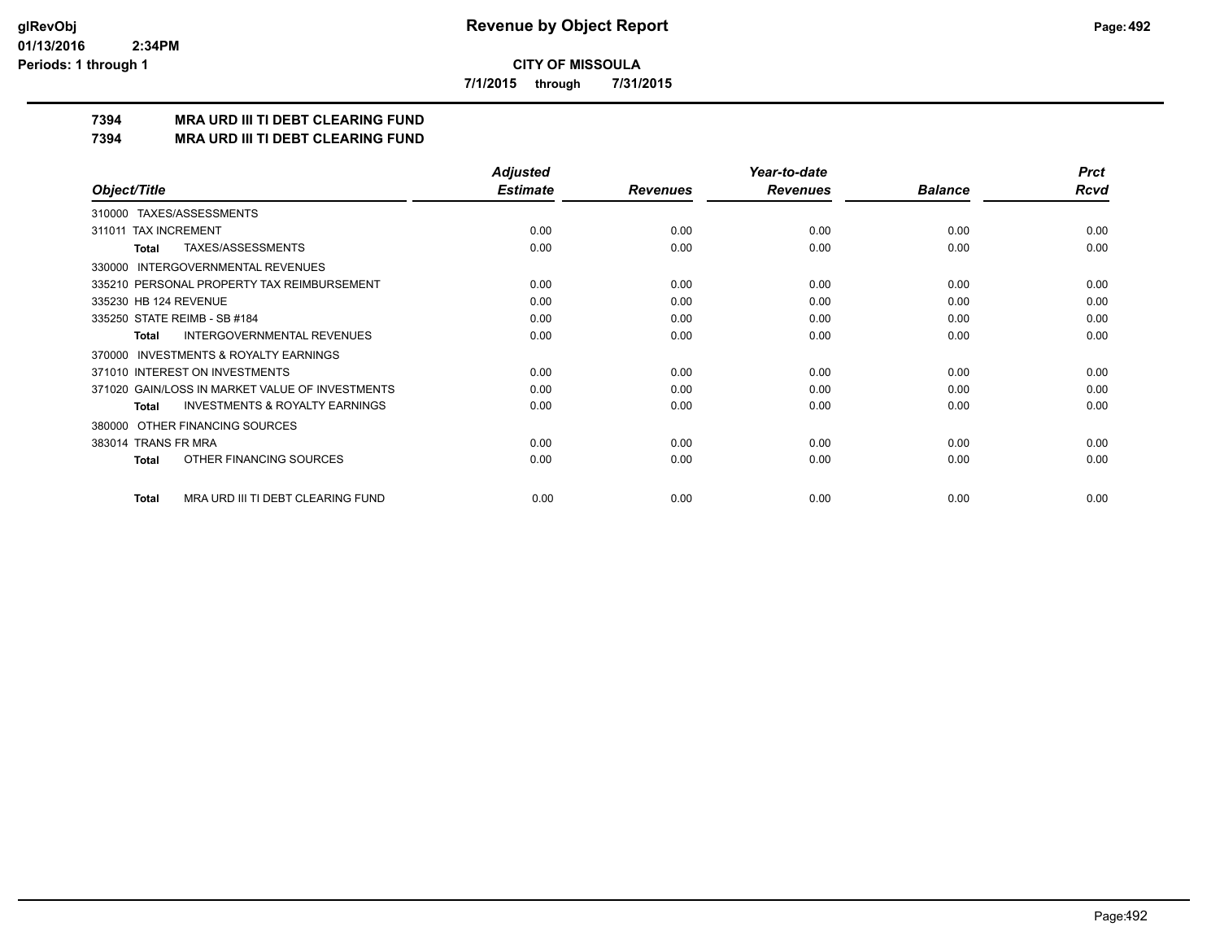**7/1/2015 through 7/31/2015**

## **7394 MRA URD III TI DEBT CLEARING FUND**

**7394 MRA URD III TI DEBT CLEARING FUND**

|                                                           | <b>Adjusted</b> |                 | Year-to-date    |                | <b>Prct</b> |
|-----------------------------------------------------------|-----------------|-----------------|-----------------|----------------|-------------|
| Object/Title                                              | <b>Estimate</b> | <b>Revenues</b> | <b>Revenues</b> | <b>Balance</b> | <b>Rcvd</b> |
| 310000 TAXES/ASSESSMENTS                                  |                 |                 |                 |                |             |
| <b>TAX INCREMENT</b><br>311011                            | 0.00            | 0.00            | 0.00            | 0.00           | 0.00        |
| TAXES/ASSESSMENTS<br><b>Total</b>                         | 0.00            | 0.00            | 0.00            | 0.00           | 0.00        |
| INTERGOVERNMENTAL REVENUES<br>330000                      |                 |                 |                 |                |             |
| 335210 PERSONAL PROPERTY TAX REIMBURSEMENT                | 0.00            | 0.00            | 0.00            | 0.00           | 0.00        |
| 335230 HB 124 REVENUE                                     | 0.00            | 0.00            | 0.00            | 0.00           | 0.00        |
| 335250 STATE REIMB - SB #184                              | 0.00            | 0.00            | 0.00            | 0.00           | 0.00        |
| <b>INTERGOVERNMENTAL REVENUES</b><br><b>Total</b>         | 0.00            | 0.00            | 0.00            | 0.00           | 0.00        |
| <b>INVESTMENTS &amp; ROYALTY EARNINGS</b><br>370000       |                 |                 |                 |                |             |
| 371010 INTEREST ON INVESTMENTS                            | 0.00            | 0.00            | 0.00            | 0.00           | 0.00        |
| 371020 GAIN/LOSS IN MARKET VALUE OF INVESTMENTS           | 0.00            | 0.00            | 0.00            | 0.00           | 0.00        |
| <b>INVESTMENTS &amp; ROYALTY EARNINGS</b><br><b>Total</b> | 0.00            | 0.00            | 0.00            | 0.00           | 0.00        |
| OTHER FINANCING SOURCES<br>380000                         |                 |                 |                 |                |             |
| 383014 TRANS FR MRA                                       | 0.00            | 0.00            | 0.00            | 0.00           | 0.00        |
| OTHER FINANCING SOURCES<br>Total                          | 0.00            | 0.00            | 0.00            | 0.00           | 0.00        |
| MRA URD III TI DEBT CLEARING FUND<br>Total                | 0.00            | 0.00            | 0.00            | 0.00           | 0.00        |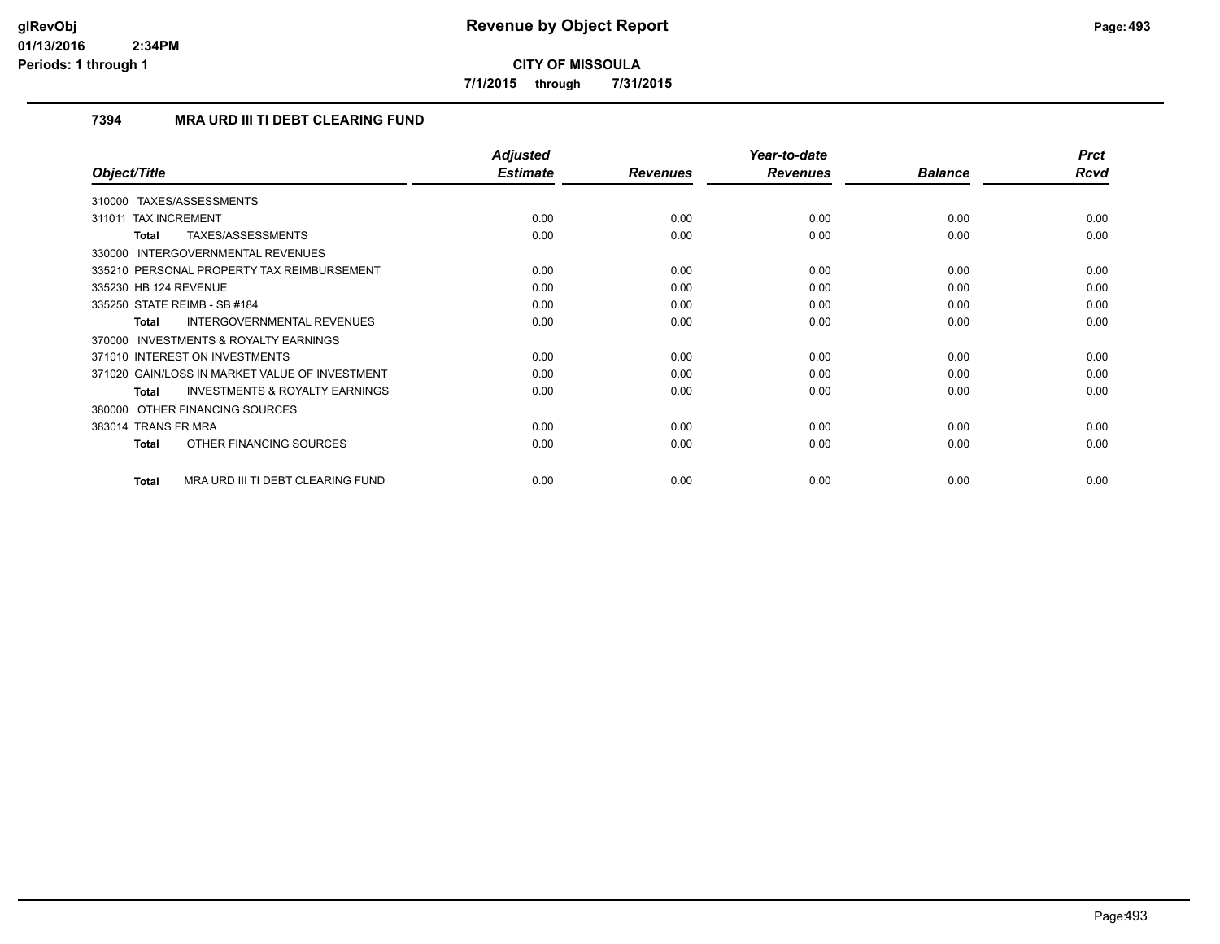**7/1/2015 through 7/31/2015**

## **7394 MRA URD III TI DEBT CLEARING FUND**

|                                                    | <b>Adjusted</b> |                 | Year-to-date    |                | <b>Prct</b> |
|----------------------------------------------------|-----------------|-----------------|-----------------|----------------|-------------|
| Object/Title                                       | <b>Estimate</b> | <b>Revenues</b> | <b>Revenues</b> | <b>Balance</b> | Rcvd        |
| TAXES/ASSESSMENTS<br>310000                        |                 |                 |                 |                |             |
| 311011 TAX INCREMENT                               | 0.00            | 0.00            | 0.00            | 0.00           | 0.00        |
| TAXES/ASSESSMENTS<br>Total                         | 0.00            | 0.00            | 0.00            | 0.00           | 0.00        |
| 330000 INTERGOVERNMENTAL REVENUES                  |                 |                 |                 |                |             |
| 335210 PERSONAL PROPERTY TAX REIMBURSEMENT         | 0.00            | 0.00            | 0.00            | 0.00           | 0.00        |
| 335230 HB 124 REVENUE                              | 0.00            | 0.00            | 0.00            | 0.00           | 0.00        |
| 335250 STATE REIMB - SB #184                       | 0.00            | 0.00            | 0.00            | 0.00           | 0.00        |
| <b>INTERGOVERNMENTAL REVENUES</b><br>Total         | 0.00            | 0.00            | 0.00            | 0.00           | 0.00        |
| 370000 INVESTMENTS & ROYALTY EARNINGS              |                 |                 |                 |                |             |
| 371010 INTEREST ON INVESTMENTS                     | 0.00            | 0.00            | 0.00            | 0.00           | 0.00        |
| 371020 GAIN/LOSS IN MARKET VALUE OF INVESTMENT     | 0.00            | 0.00            | 0.00            | 0.00           | 0.00        |
| <b>INVESTMENTS &amp; ROYALTY EARNINGS</b><br>Total | 0.00            | 0.00            | 0.00            | 0.00           | 0.00        |
| 380000 OTHER FINANCING SOURCES                     |                 |                 |                 |                |             |
| 383014 TRANS FR MRA                                | 0.00            | 0.00            | 0.00            | 0.00           | 0.00        |
| OTHER FINANCING SOURCES<br>Total                   | 0.00            | 0.00            | 0.00            | 0.00           | 0.00        |
| MRA URD III TI DEBT CLEARING FUND<br><b>Total</b>  | 0.00            | 0.00            | 0.00            | 0.00           | 0.00        |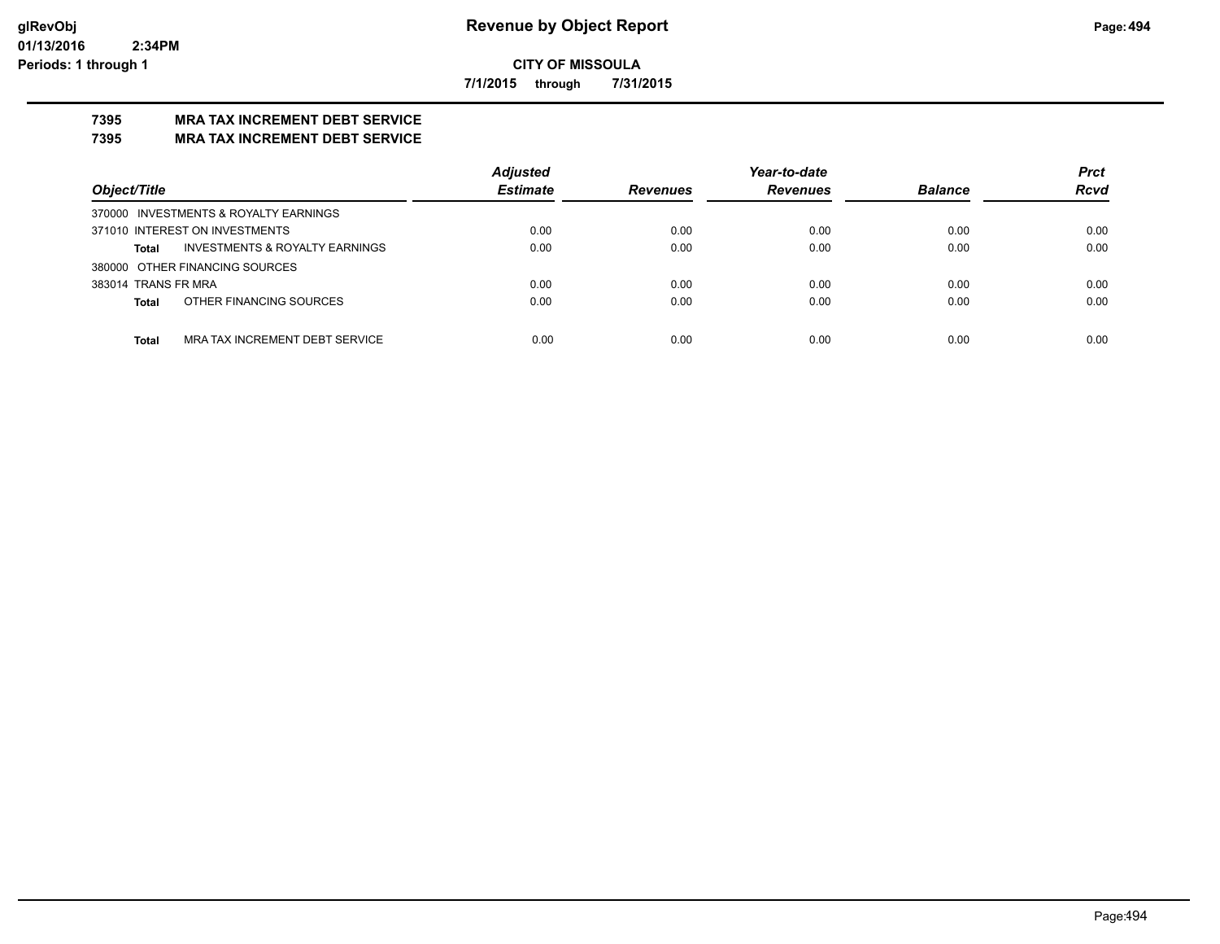**7/1/2015 through 7/31/2015**

# **7395 MRA TAX INCREMENT DEBT SERVICE**

## **7395 MRA TAX INCREMENT DEBT SERVICE**

|                                                           | <b>Adjusted</b> |                 | Year-to-date    |                | <b>Prct</b> |
|-----------------------------------------------------------|-----------------|-----------------|-----------------|----------------|-------------|
| Object/Title                                              | <b>Estimate</b> | <b>Revenues</b> | <b>Revenues</b> | <b>Balance</b> | <b>Rcvd</b> |
| 370000 INVESTMENTS & ROYALTY EARNINGS                     |                 |                 |                 |                |             |
| 371010 INTEREST ON INVESTMENTS                            | 0.00            | 0.00            | 0.00            | 0.00           | 0.00        |
| <b>INVESTMENTS &amp; ROYALTY EARNINGS</b><br><b>Total</b> | 0.00            | 0.00            | 0.00            | 0.00           | 0.00        |
| 380000 OTHER FINANCING SOURCES                            |                 |                 |                 |                |             |
| 383014 TRANS FR MRA                                       | 0.00            | 0.00            | 0.00            | 0.00           | 0.00        |
| OTHER FINANCING SOURCES<br><b>Total</b>                   | 0.00            | 0.00            | 0.00            | 0.00           | 0.00        |
|                                                           |                 |                 |                 |                |             |
| MRA TAX INCREMENT DEBT SERVICE<br><b>Total</b>            | 0.00            | 0.00            | 0.00            | 0.00           | 0.00        |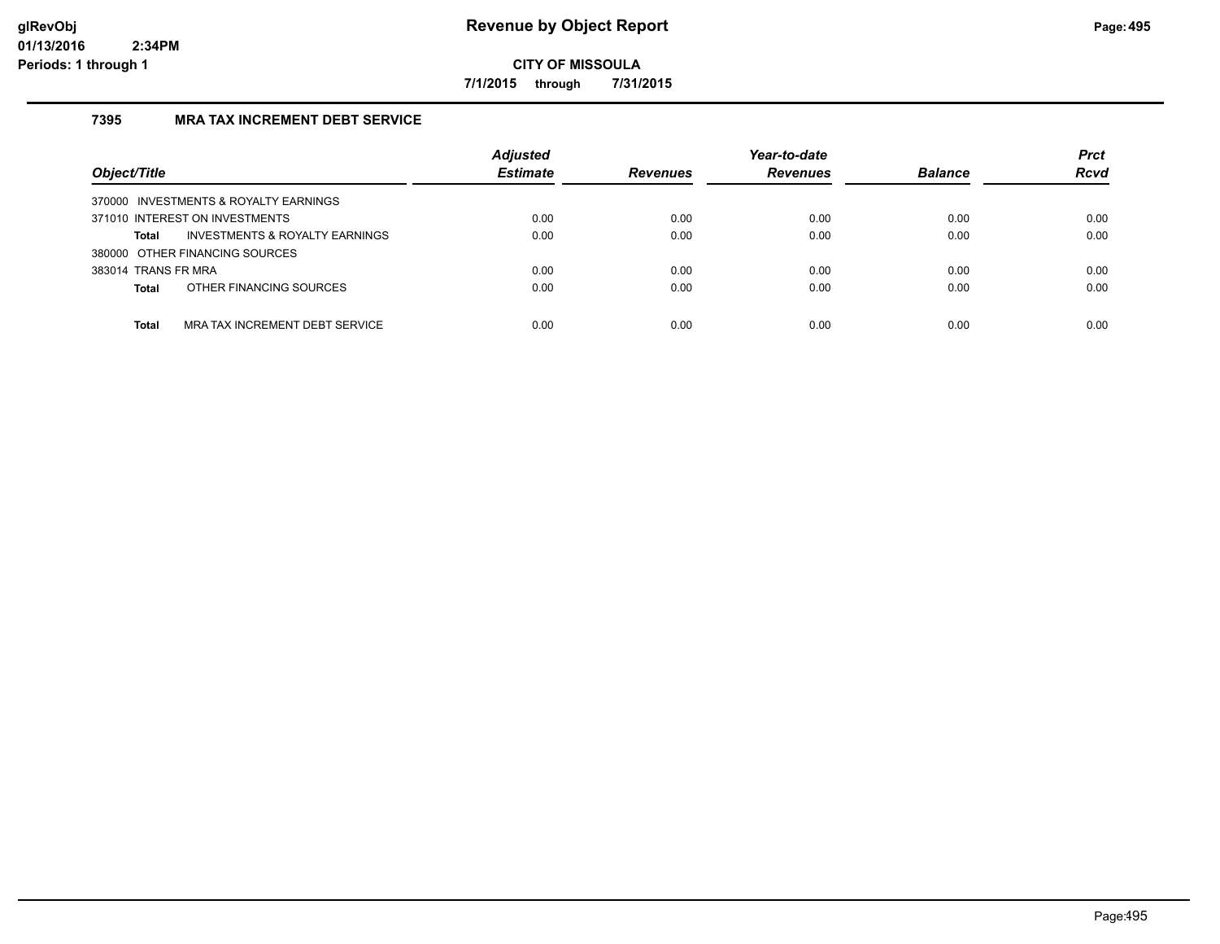**7/1/2015 through 7/31/2015**

## **7395 MRA TAX INCREMENT DEBT SERVICE**

| Object/Title                                          | <b>Adjusted</b><br><b>Estimate</b> | <b>Revenues</b> | Year-to-date<br><b>Revenues</b> | <b>Balance</b> | <b>Prct</b><br><b>Rcvd</b> |
|-------------------------------------------------------|------------------------------------|-----------------|---------------------------------|----------------|----------------------------|
| 370000 INVESTMENTS & ROYALTY EARNINGS                 |                                    |                 |                                 |                |                            |
| 371010 INTEREST ON INVESTMENTS                        | 0.00                               | 0.00            | 0.00                            | 0.00           | 0.00                       |
| INVESTMENTS & ROYALTY EARNINGS<br><b>Total</b>        | 0.00                               | 0.00            | 0.00                            | 0.00           | 0.00                       |
| 380000 OTHER FINANCING SOURCES                        |                                    |                 |                                 |                |                            |
| 383014 TRANS FR MRA                                   | 0.00                               | 0.00            | 0.00                            | 0.00           | 0.00                       |
| OTHER FINANCING SOURCES<br><b>Total</b>               | 0.00                               | 0.00            | 0.00                            | 0.00           | 0.00                       |
|                                                       |                                    |                 |                                 |                |                            |
| <b>MRA TAX INCREMENT DEBT SERVICE</b><br><b>Total</b> | 0.00                               | 0.00            | 0.00                            | 0.00           | 0.00                       |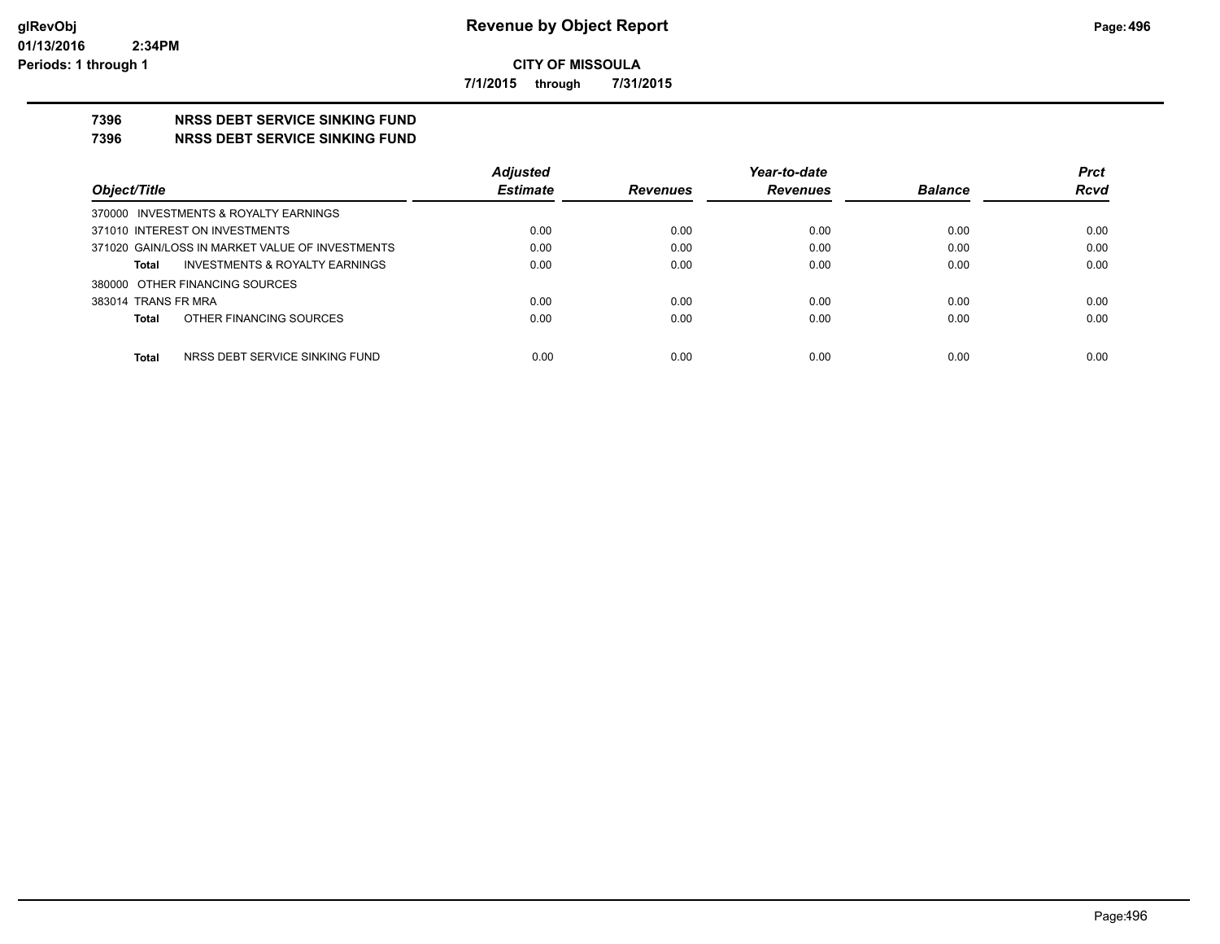**7/1/2015 through 7/31/2015**

## **7396 NRSS DEBT SERVICE SINKING FUND**

**7396 NRSS DEBT SERVICE SINKING FUND**

|                                                 | Adjusted        |                 | Year-to-date    |                | <b>Prct</b> |
|-------------------------------------------------|-----------------|-----------------|-----------------|----------------|-------------|
| Object/Title                                    | <b>Estimate</b> | <b>Revenues</b> | <b>Revenues</b> | <b>Balance</b> | <b>Rcvd</b> |
| 370000 INVESTMENTS & ROYALTY EARNINGS           |                 |                 |                 |                |             |
| 371010 INTEREST ON INVESTMENTS                  | 0.00            | 0.00            | 0.00            | 0.00           | 0.00        |
| 371020 GAIN/LOSS IN MARKET VALUE OF INVESTMENTS | 0.00            | 0.00            | 0.00            | 0.00           | 0.00        |
| INVESTMENTS & ROYALTY EARNINGS<br>Total         | 0.00            | 0.00            | 0.00            | 0.00           | 0.00        |
| 380000 OTHER FINANCING SOURCES                  |                 |                 |                 |                |             |
| 383014 TRANS FR MRA                             | 0.00            | 0.00            | 0.00            | 0.00           | 0.00        |
| OTHER FINANCING SOURCES<br><b>Total</b>         | 0.00            | 0.00            | 0.00            | 0.00           | 0.00        |
|                                                 |                 |                 |                 |                |             |
| <b>Total</b><br>NRSS DEBT SERVICE SINKING FUND  | 0.00            | 0.00            | 0.00            | 0.00           | 0.00        |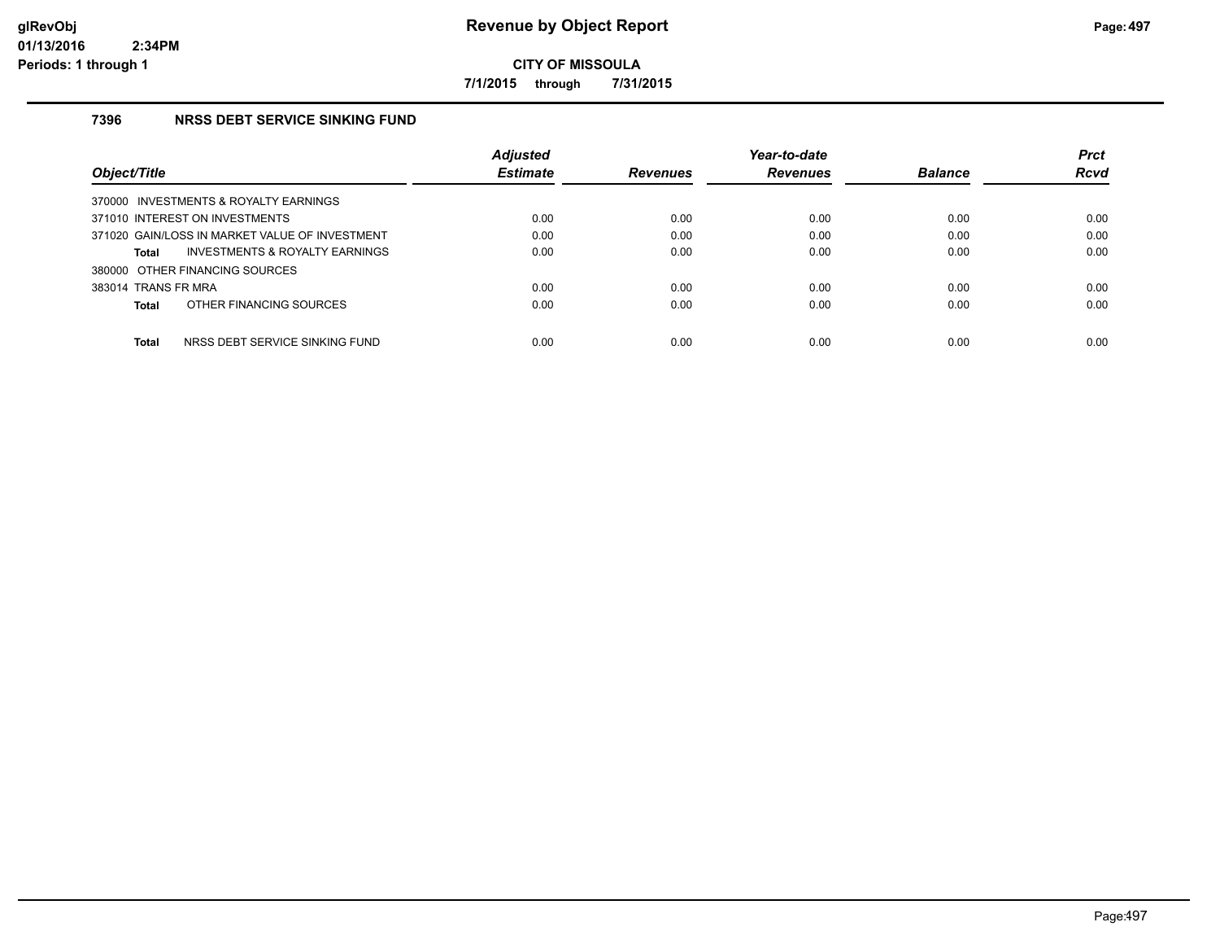**7/1/2015 through 7/31/2015**

## **7396 NRSS DEBT SERVICE SINKING FUND**

|                                                | <b>Adjusted</b> |                 | Year-to-date    |                | <b>Prct</b> |
|------------------------------------------------|-----------------|-----------------|-----------------|----------------|-------------|
| Object/Title                                   | <b>Estimate</b> | <b>Revenues</b> | <b>Revenues</b> | <b>Balance</b> | <b>Rcvd</b> |
| 370000 INVESTMENTS & ROYALTY EARNINGS          |                 |                 |                 |                |             |
| 371010 INTEREST ON INVESTMENTS                 | 0.00            | 0.00            | 0.00            | 0.00           | 0.00        |
| 371020 GAIN/LOSS IN MARKET VALUE OF INVESTMENT | 0.00            | 0.00            | 0.00            | 0.00           | 0.00        |
| INVESTMENTS & ROYALTY EARNINGS<br><b>Total</b> | 0.00            | 0.00            | 0.00            | 0.00           | 0.00        |
| 380000 OTHER FINANCING SOURCES                 |                 |                 |                 |                |             |
| 383014 TRANS FR MRA                            | 0.00            | 0.00            | 0.00            | 0.00           | 0.00        |
| OTHER FINANCING SOURCES<br><b>Total</b>        | 0.00            | 0.00            | 0.00            | 0.00           | 0.00        |
|                                                |                 |                 |                 |                |             |
| NRSS DEBT SERVICE SINKING FUND<br><b>Total</b> | 0.00            | 0.00            | 0.00            | 0.00           | 0.00        |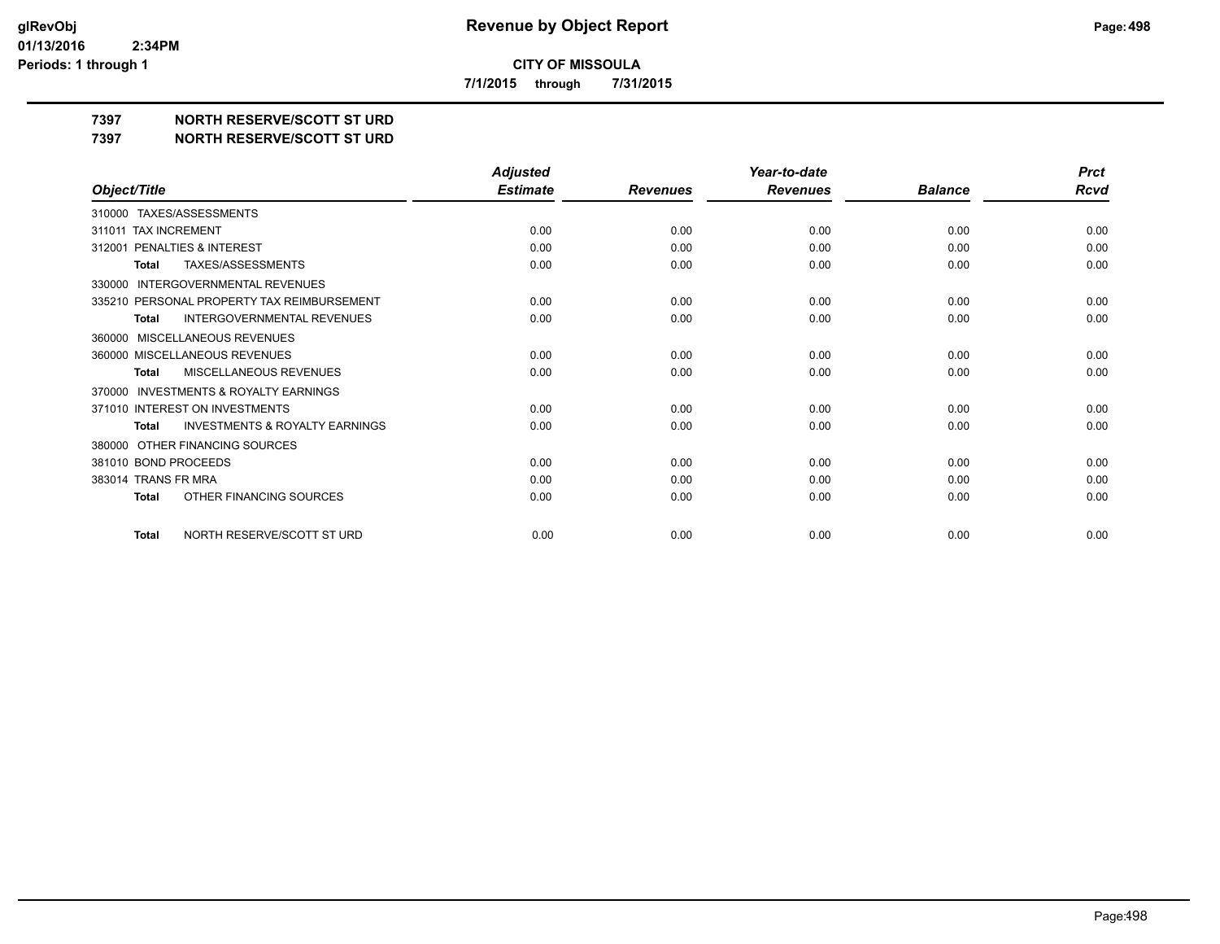**7/1/2015 through 7/31/2015**

**7397 NORTH RESERVE/SCOTT ST URD**

**7397 NORTH RESERVE/SCOTT ST URD**

|                                                           | <b>Adjusted</b> |                 | Year-to-date    |                | <b>Prct</b> |
|-----------------------------------------------------------|-----------------|-----------------|-----------------|----------------|-------------|
| Object/Title                                              | <b>Estimate</b> | <b>Revenues</b> | <b>Revenues</b> | <b>Balance</b> | <b>Rcvd</b> |
| 310000 TAXES/ASSESSMENTS                                  |                 |                 |                 |                |             |
| <b>TAX INCREMENT</b><br>311011                            | 0.00            | 0.00            | 0.00            | 0.00           | 0.00        |
| PENALTIES & INTEREST<br>312001                            | 0.00            | 0.00            | 0.00            | 0.00           | 0.00        |
| <b>TAXES/ASSESSMENTS</b><br>Total                         | 0.00            | 0.00            | 0.00            | 0.00           | 0.00        |
| <b>INTERGOVERNMENTAL REVENUES</b><br>330000               |                 |                 |                 |                |             |
| 335210 PERSONAL PROPERTY TAX REIMBURSEMENT                | 0.00            | 0.00            | 0.00            | 0.00           | 0.00        |
| <b>INTERGOVERNMENTAL REVENUES</b><br><b>Total</b>         | 0.00            | 0.00            | 0.00            | 0.00           | 0.00        |
| MISCELLANEOUS REVENUES<br>360000                          |                 |                 |                 |                |             |
| 360000 MISCELLANEOUS REVENUES                             | 0.00            | 0.00            | 0.00            | 0.00           | 0.00        |
| MISCELLANEOUS REVENUES<br><b>Total</b>                    | 0.00            | 0.00            | 0.00            | 0.00           | 0.00        |
| <b>INVESTMENTS &amp; ROYALTY EARNINGS</b><br>370000       |                 |                 |                 |                |             |
| 371010 INTEREST ON INVESTMENTS                            | 0.00            | 0.00            | 0.00            | 0.00           | 0.00        |
| <b>INVESTMENTS &amp; ROYALTY EARNINGS</b><br><b>Total</b> | 0.00            | 0.00            | 0.00            | 0.00           | 0.00        |
| OTHER FINANCING SOURCES<br>380000                         |                 |                 |                 |                |             |
| 381010 BOND PROCEEDS                                      | 0.00            | 0.00            | 0.00            | 0.00           | 0.00        |
| 383014 TRANS FR MRA                                       | 0.00            | 0.00            | 0.00            | 0.00           | 0.00        |
| OTHER FINANCING SOURCES<br><b>Total</b>                   | 0.00            | 0.00            | 0.00            | 0.00           | 0.00        |
| NORTH RESERVE/SCOTT ST URD<br>Total                       | 0.00            | 0.00            | 0.00            | 0.00           | 0.00        |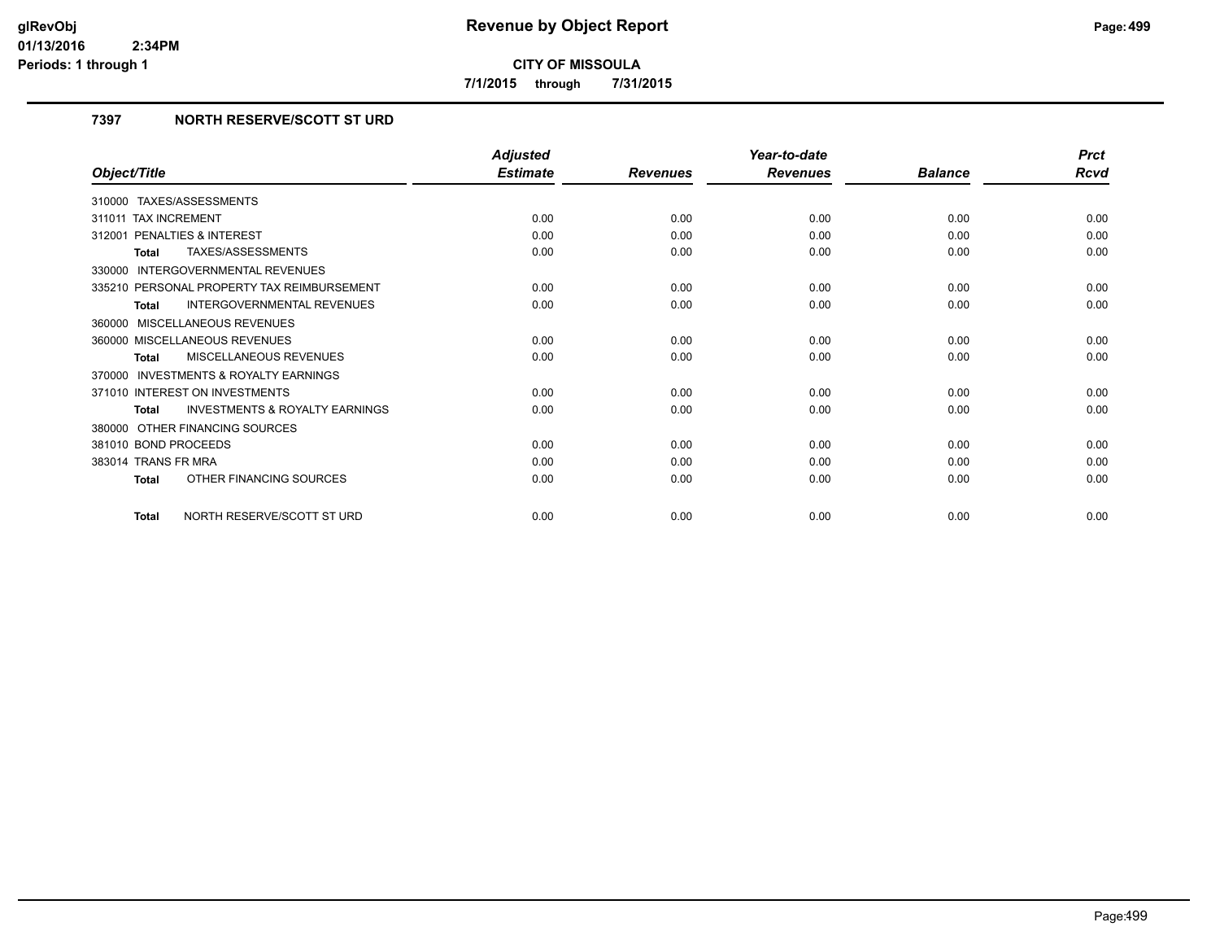**7/1/2015 through 7/31/2015**

## **7397 NORTH RESERVE/SCOTT ST URD**

|                                                    | <b>Adjusted</b> |                 | Year-to-date    |                | <b>Prct</b> |
|----------------------------------------------------|-----------------|-----------------|-----------------|----------------|-------------|
| Object/Title                                       | <b>Estimate</b> | <b>Revenues</b> | <b>Revenues</b> | <b>Balance</b> | Rcvd        |
| 310000 TAXES/ASSESSMENTS                           |                 |                 |                 |                |             |
| <b>TAX INCREMENT</b><br>311011                     | 0.00            | 0.00            | 0.00            | 0.00           | 0.00        |
| PENALTIES & INTEREST<br>312001                     | 0.00            | 0.00            | 0.00            | 0.00           | 0.00        |
| TAXES/ASSESSMENTS<br><b>Total</b>                  | 0.00            | 0.00            | 0.00            | 0.00           | 0.00        |
| <b>INTERGOVERNMENTAL REVENUES</b><br>330000        |                 |                 |                 |                |             |
| 335210 PERSONAL PROPERTY TAX REIMBURSEMENT         | 0.00            | 0.00            | 0.00            | 0.00           | 0.00        |
| <b>INTERGOVERNMENTAL REVENUES</b><br><b>Total</b>  | 0.00            | 0.00            | 0.00            | 0.00           | 0.00        |
| 360000 MISCELLANEOUS REVENUES                      |                 |                 |                 |                |             |
| 360000 MISCELLANEOUS REVENUES                      | 0.00            | 0.00            | 0.00            | 0.00           | 0.00        |
| MISCELLANEOUS REVENUES<br><b>Total</b>             | 0.00            | 0.00            | 0.00            | 0.00           | 0.00        |
| 370000 INVESTMENTS & ROYALTY EARNINGS              |                 |                 |                 |                |             |
| 371010 INTEREST ON INVESTMENTS                     | 0.00            | 0.00            | 0.00            | 0.00           | 0.00        |
| <b>INVESTMENTS &amp; ROYALTY EARNINGS</b><br>Total | 0.00            | 0.00            | 0.00            | 0.00           | 0.00        |
| 380000 OTHER FINANCING SOURCES                     |                 |                 |                 |                |             |
| 381010 BOND PROCEEDS                               | 0.00            | 0.00            | 0.00            | 0.00           | 0.00        |
| 383014 TRANS FR MRA                                | 0.00            | 0.00            | 0.00            | 0.00           | 0.00        |
| OTHER FINANCING SOURCES<br><b>Total</b>            | 0.00            | 0.00            | 0.00            | 0.00           | 0.00        |
| NORTH RESERVE/SCOTT ST URD<br><b>Total</b>         | 0.00            | 0.00            | 0.00            | 0.00           | 0.00        |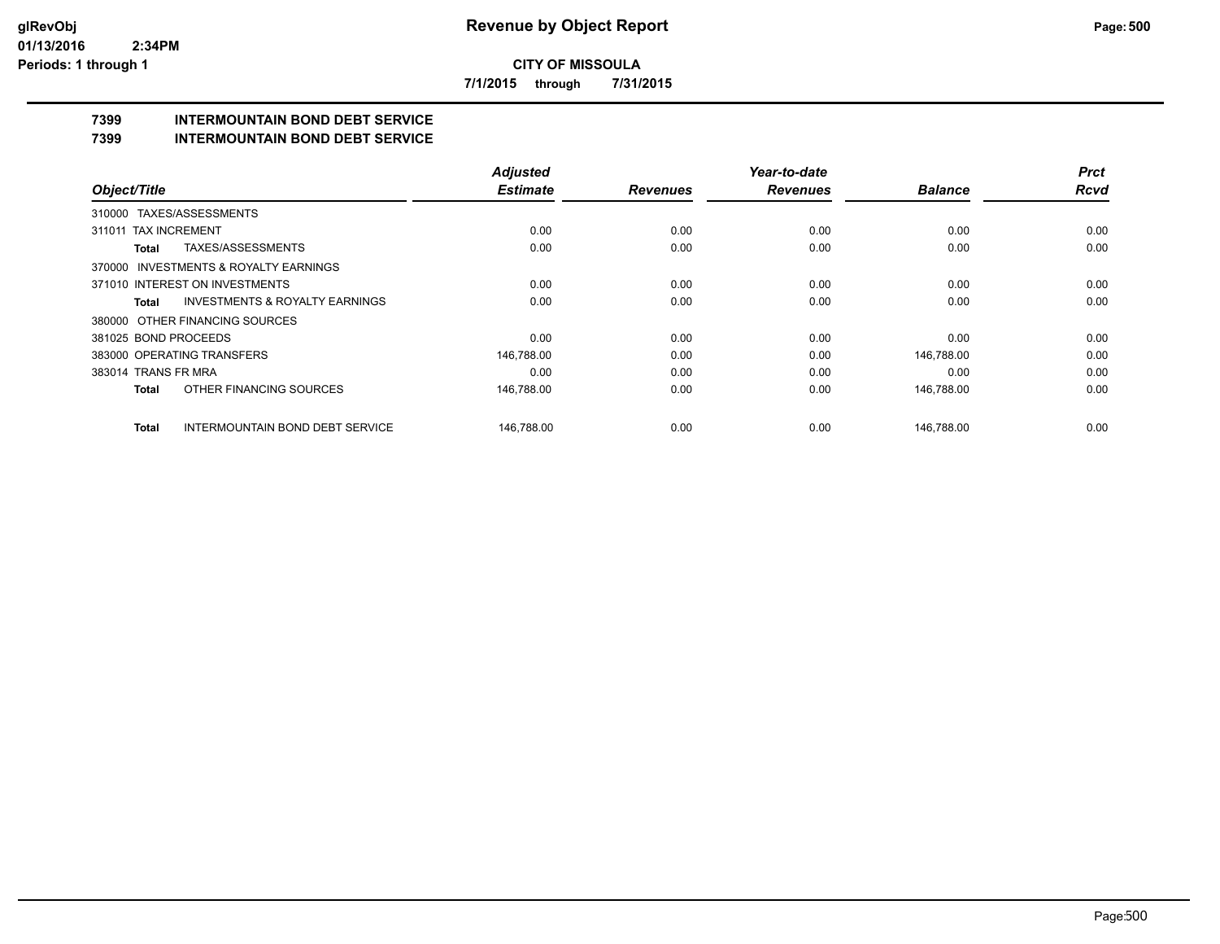**7/1/2015 through 7/31/2015**

# **7399 INTERMOUNTAIN BOND DEBT SERVICE**

### **7399 INTERMOUNTAIN BOND DEBT SERVICE**

|                                                           | <b>Adjusted</b> |                 | Year-to-date    |                | <b>Prct</b> |
|-----------------------------------------------------------|-----------------|-----------------|-----------------|----------------|-------------|
| Object/Title                                              | <b>Estimate</b> | <b>Revenues</b> | <b>Revenues</b> | <b>Balance</b> | <b>Rcvd</b> |
| TAXES/ASSESSMENTS<br>310000                               |                 |                 |                 |                |             |
| 311011 TAX INCREMENT                                      | 0.00            | 0.00            | 0.00            | 0.00           | 0.00        |
| TAXES/ASSESSMENTS<br>Total                                | 0.00            | 0.00            | 0.00            | 0.00           | 0.00        |
| 370000 INVESTMENTS & ROYALTY EARNINGS                     |                 |                 |                 |                |             |
| 371010 INTEREST ON INVESTMENTS                            | 0.00            | 0.00            | 0.00            | 0.00           | 0.00        |
| <b>INVESTMENTS &amp; ROYALTY EARNINGS</b><br><b>Total</b> | 0.00            | 0.00            | 0.00            | 0.00           | 0.00        |
| 380000 OTHER FINANCING SOURCES                            |                 |                 |                 |                |             |
| 381025 BOND PROCEEDS                                      | 0.00            | 0.00            | 0.00            | 0.00           | 0.00        |
| 383000 OPERATING TRANSFERS                                | 146,788.00      | 0.00            | 0.00            | 146,788.00     | 0.00        |
| 383014 TRANS FR MRA                                       | 0.00            | 0.00            | 0.00            | 0.00           | 0.00        |
| OTHER FINANCING SOURCES<br><b>Total</b>                   | 146,788.00      | 0.00            | 0.00            | 146,788.00     | 0.00        |
| <b>INTERMOUNTAIN BOND DEBT SERVICE</b><br><b>Total</b>    | 146.788.00      | 0.00            | 0.00            | 146.788.00     | 0.00        |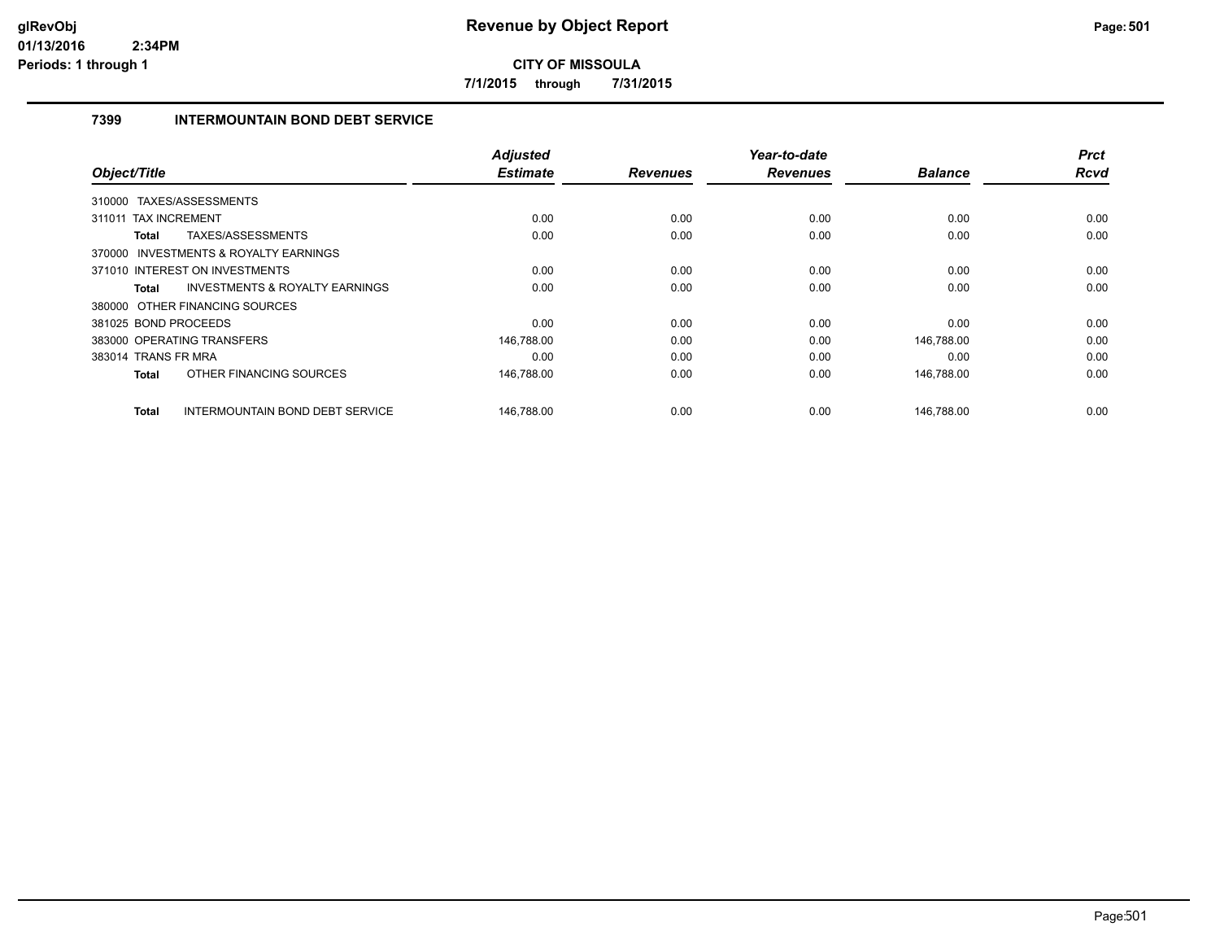**7/1/2015 through 7/31/2015**

## **7399 INTERMOUNTAIN BOND DEBT SERVICE**

| Object/Title                                       | <b>Adjusted</b><br><b>Estimate</b> | <b>Revenues</b> | Year-to-date<br><b>Revenues</b> | <b>Balance</b> | <b>Prct</b><br>Rcvd |
|----------------------------------------------------|------------------------------------|-----------------|---------------------------------|----------------|---------------------|
|                                                    |                                    |                 |                                 |                |                     |
| 310000 TAXES/ASSESSMENTS                           |                                    |                 |                                 |                |                     |
| <b>TAX INCREMENT</b><br>311011                     | 0.00                               | 0.00            | 0.00                            | 0.00           | 0.00                |
| TAXES/ASSESSMENTS<br><b>Total</b>                  | 0.00                               | 0.00            | 0.00                            | 0.00           | 0.00                |
| 370000 INVESTMENTS & ROYALTY EARNINGS              |                                    |                 |                                 |                |                     |
| 371010 INTEREST ON INVESTMENTS                     | 0.00                               | 0.00            | 0.00                            | 0.00           | 0.00                |
| <b>INVESTMENTS &amp; ROYALTY EARNINGS</b><br>Total | 0.00                               | 0.00            | 0.00                            | 0.00           | 0.00                |
| 380000 OTHER FINANCING SOURCES                     |                                    |                 |                                 |                |                     |
| 381025 BOND PROCEEDS                               | 0.00                               | 0.00            | 0.00                            | 0.00           | 0.00                |
| 383000 OPERATING TRANSFERS                         | 146,788.00                         | 0.00            | 0.00                            | 146,788.00     | 0.00                |
| 383014 TRANS FR MRA                                | 0.00                               | 0.00            | 0.00                            | 0.00           | 0.00                |
| OTHER FINANCING SOURCES<br>Total                   | 146,788.00                         | 0.00            | 0.00                            | 146,788.00     | 0.00                |
| INTERMOUNTAIN BOND DEBT SERVICE<br><b>Total</b>    | 146,788.00                         | 0.00            | 0.00                            | 146,788.00     | 0.00                |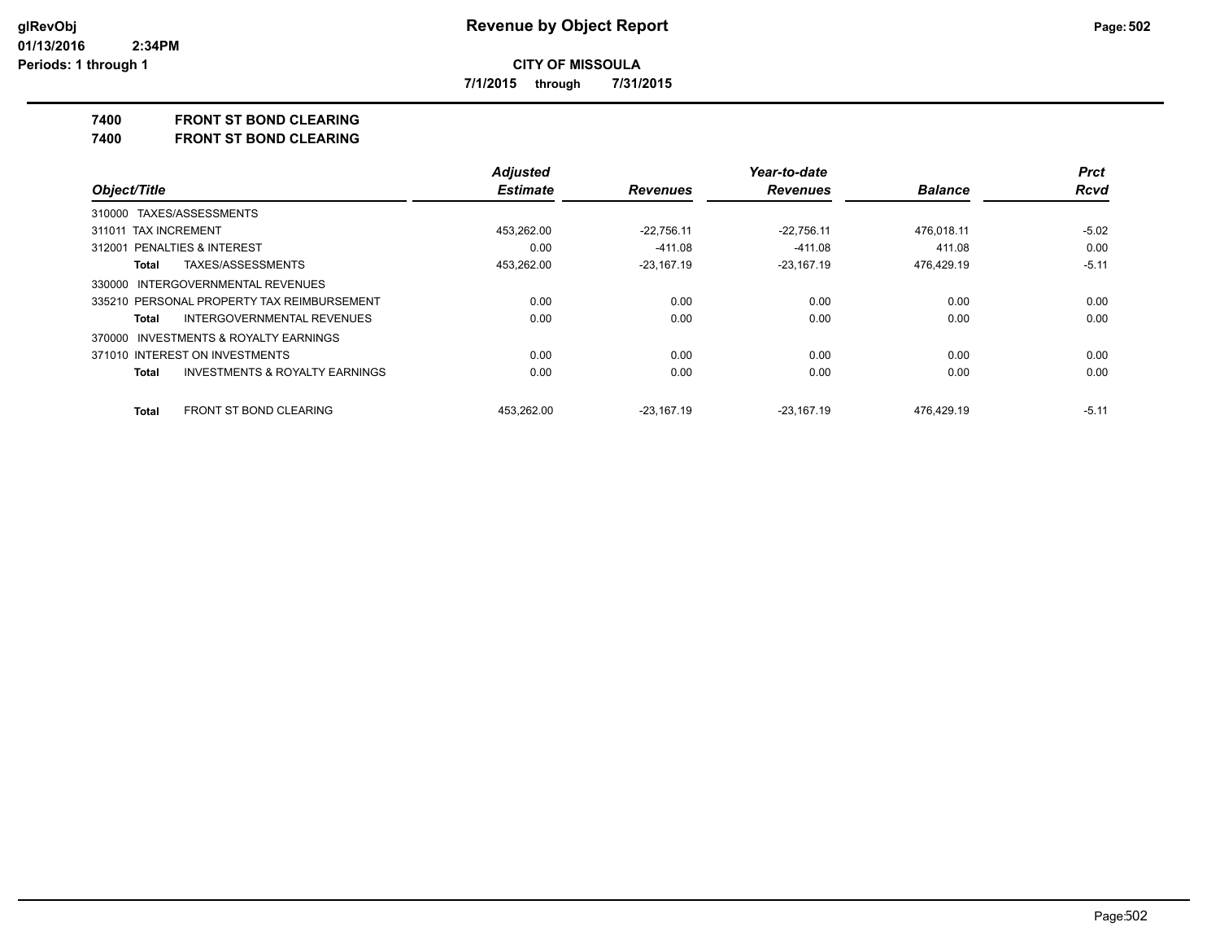**7/1/2015 through 7/31/2015**

### **7400 FRONT ST BOND CLEARING**

**7400 FRONT ST BOND CLEARING**

|                                                           | <b>Adjusted</b> |                 | Year-to-date    |                | <b>Prct</b> |
|-----------------------------------------------------------|-----------------|-----------------|-----------------|----------------|-------------|
| Object/Title                                              | <b>Estimate</b> | <b>Revenues</b> | <b>Revenues</b> | <b>Balance</b> | Rcvd        |
| 310000 TAXES/ASSESSMENTS                                  |                 |                 |                 |                |             |
| 311011 TAX INCREMENT                                      | 453.262.00      | $-22.756.11$    | $-22.756.11$    | 476.018.11     | $-5.02$     |
| 312001 PENALTIES & INTEREST                               | 0.00            | $-411.08$       | $-411.08$       | 411.08         | 0.00        |
| TAXES/ASSESSMENTS<br>Total                                | 453.262.00      | $-23.167.19$    | $-23.167.19$    | 476.429.19     | $-5.11$     |
| 330000 INTERGOVERNMENTAL REVENUES                         |                 |                 |                 |                |             |
| 335210 PERSONAL PROPERTY TAX REIMBURSEMENT                | 0.00            | 0.00            | 0.00            | 0.00           | 0.00        |
| <b>INTERGOVERNMENTAL REVENUES</b><br>Total                | 0.00            | 0.00            | 0.00            | 0.00           | 0.00        |
| 370000 INVESTMENTS & ROYALTY EARNINGS                     |                 |                 |                 |                |             |
| 371010 INTEREST ON INVESTMENTS                            | 0.00            | 0.00            | 0.00            | 0.00           | 0.00        |
| <b>INVESTMENTS &amp; ROYALTY EARNINGS</b><br><b>Total</b> | 0.00            | 0.00            | 0.00            | 0.00           | 0.00        |
| FRONT ST BOND CLEARING<br><b>Total</b>                    | 453.262.00      | $-23.167.19$    | $-23.167.19$    | 476.429.19     | $-5.11$     |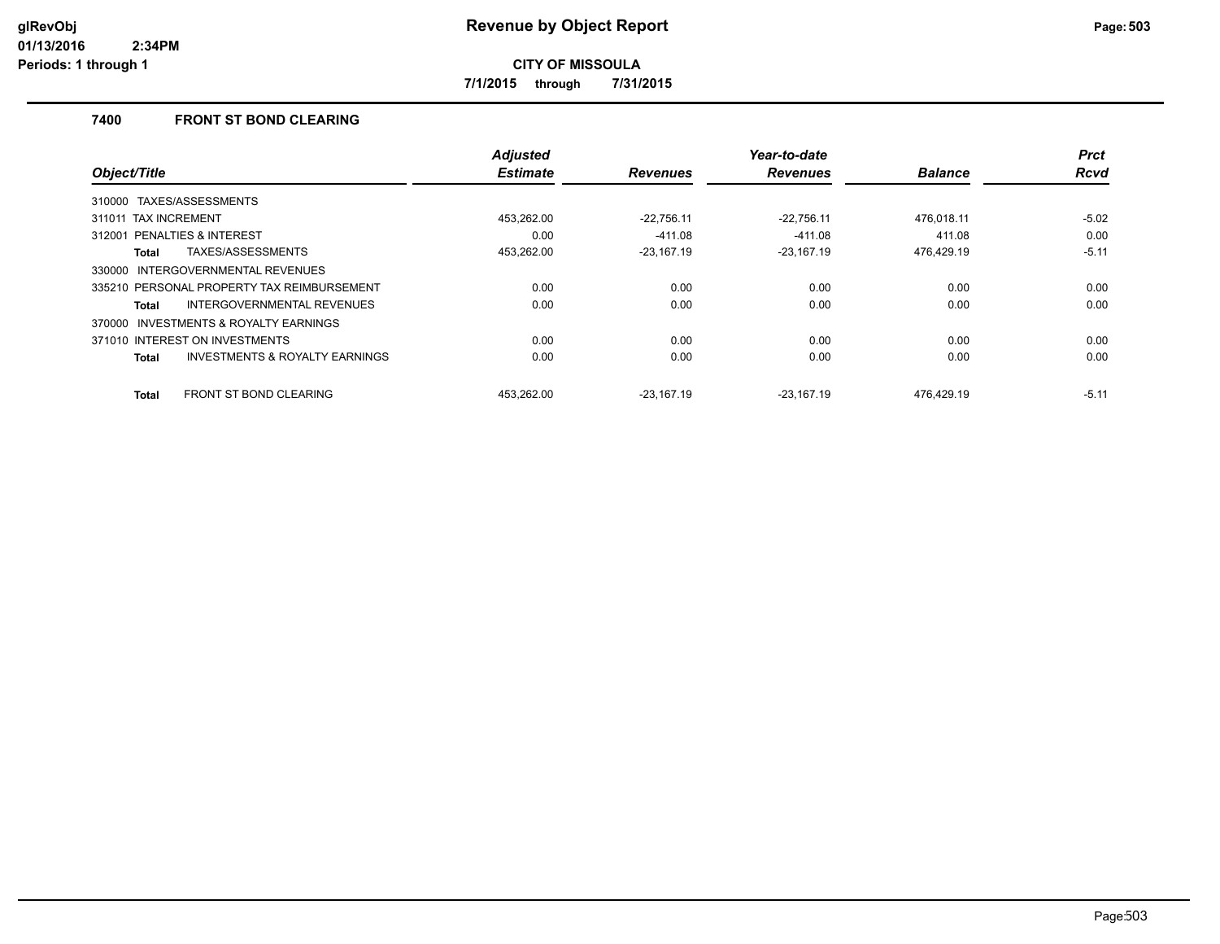**7/1/2015 through 7/31/2015**

## **7400 FRONT ST BOND CLEARING**

|                                                    | <b>Adjusted</b> |                 | Year-to-date    |                | <b>Prct</b> |
|----------------------------------------------------|-----------------|-----------------|-----------------|----------------|-------------|
| Object/Title                                       | <b>Estimate</b> | <b>Revenues</b> | <b>Revenues</b> | <b>Balance</b> | <b>Rcvd</b> |
| 310000 TAXES/ASSESSMENTS                           |                 |                 |                 |                |             |
| 311011 TAX INCREMENT                               | 453,262.00      | $-22,756.11$    | $-22,756.11$    | 476,018.11     | $-5.02$     |
| PENALTIES & INTEREST<br>312001                     | 0.00            | $-411.08$       | $-411.08$       | 411.08         | 0.00        |
| TAXES/ASSESSMENTS<br>Total                         | 453,262.00      | $-23,167.19$    | $-23,167.19$    | 476.429.19     | $-5.11$     |
| 330000 INTERGOVERNMENTAL REVENUES                  |                 |                 |                 |                |             |
| 335210 PERSONAL PROPERTY TAX REIMBURSEMENT         | 0.00            | 0.00            | 0.00            | 0.00           | 0.00        |
| INTERGOVERNMENTAL REVENUES<br>Total                | 0.00            | 0.00            | 0.00            | 0.00           | 0.00        |
| 370000 INVESTMENTS & ROYALTY EARNINGS              |                 |                 |                 |                |             |
| 371010 INTEREST ON INVESTMENTS                     | 0.00            | 0.00            | 0.00            | 0.00           | 0.00        |
| <b>INVESTMENTS &amp; ROYALTY EARNINGS</b><br>Total | 0.00            | 0.00            | 0.00            | 0.00           | 0.00        |
| <b>FRONT ST BOND CLEARING</b><br><b>Total</b>      | 453.262.00      | $-23.167.19$    | $-23.167.19$    | 476.429.19     | $-5.11$     |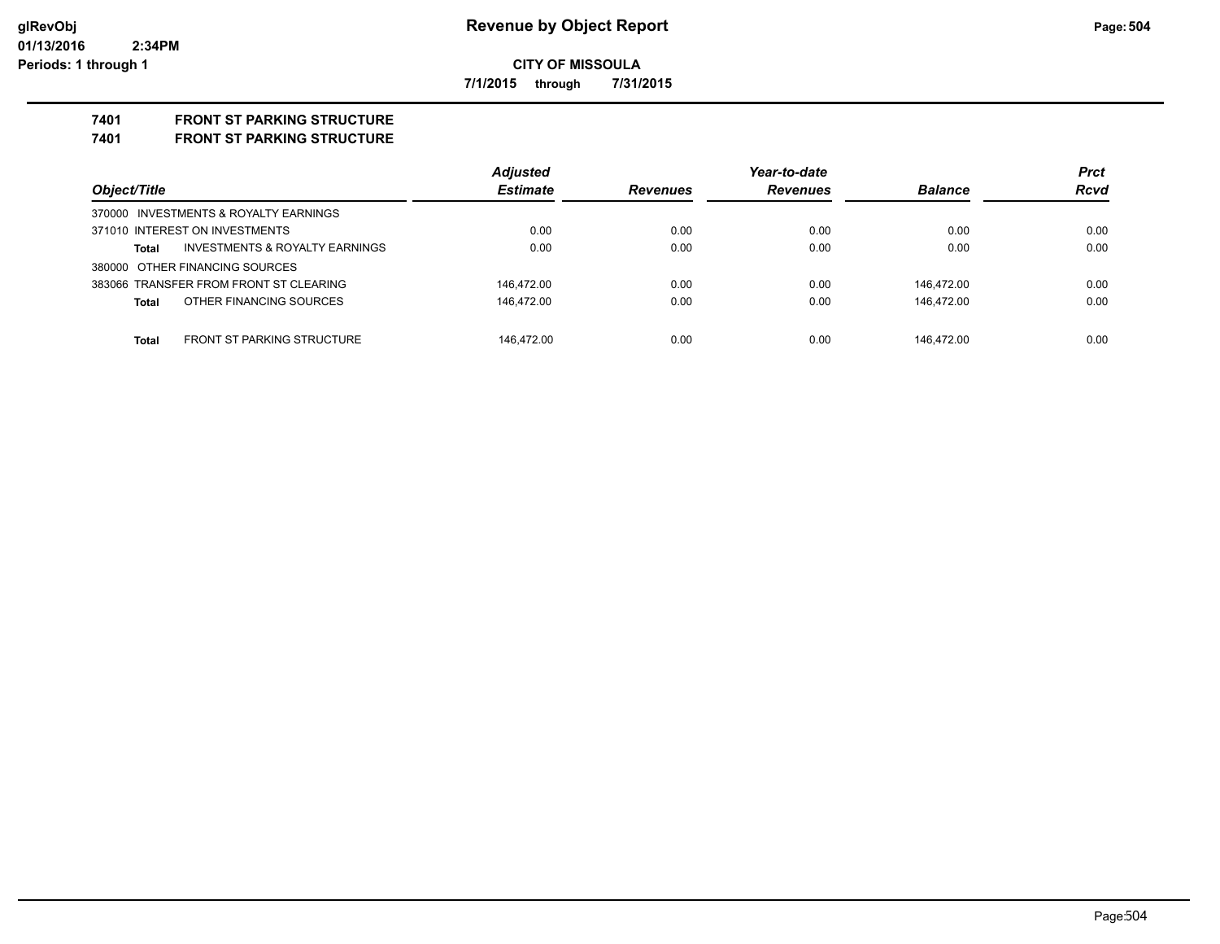**7/1/2015 through 7/31/2015**

## **7401 FRONT ST PARKING STRUCTURE**

### **7401 FRONT ST PARKING STRUCTURE**

| Object/Title                               | <b>Adjusted</b><br><b>Estimate</b> |                 |                 | <b>Prct</b>    |             |
|--------------------------------------------|------------------------------------|-----------------|-----------------|----------------|-------------|
|                                            |                                    | <b>Revenues</b> | <b>Revenues</b> | <b>Balance</b> | <b>Rcvd</b> |
| 370000 INVESTMENTS & ROYALTY EARNINGS      |                                    |                 |                 |                |             |
| 371010 INTEREST ON INVESTMENTS             | 0.00                               | 0.00            | 0.00            | 0.00           | 0.00        |
| INVESTMENTS & ROYALTY EARNINGS<br>Total    | 0.00                               | 0.00            | 0.00            | 0.00           | 0.00        |
| 380000 OTHER FINANCING SOURCES             |                                    |                 |                 |                |             |
| 383066 TRANSFER FROM FRONT ST CLEARING     | 146.472.00                         | 0.00            | 0.00            | 146.472.00     | 0.00        |
| OTHER FINANCING SOURCES<br><b>Total</b>    | 146.472.00                         | 0.00            | 0.00            | 146.472.00     | 0.00        |
|                                            |                                    |                 |                 |                |             |
| <b>FRONT ST PARKING STRUCTURE</b><br>Total | 146.472.00                         | 0.00            | 0.00            | 146.472.00     | 0.00        |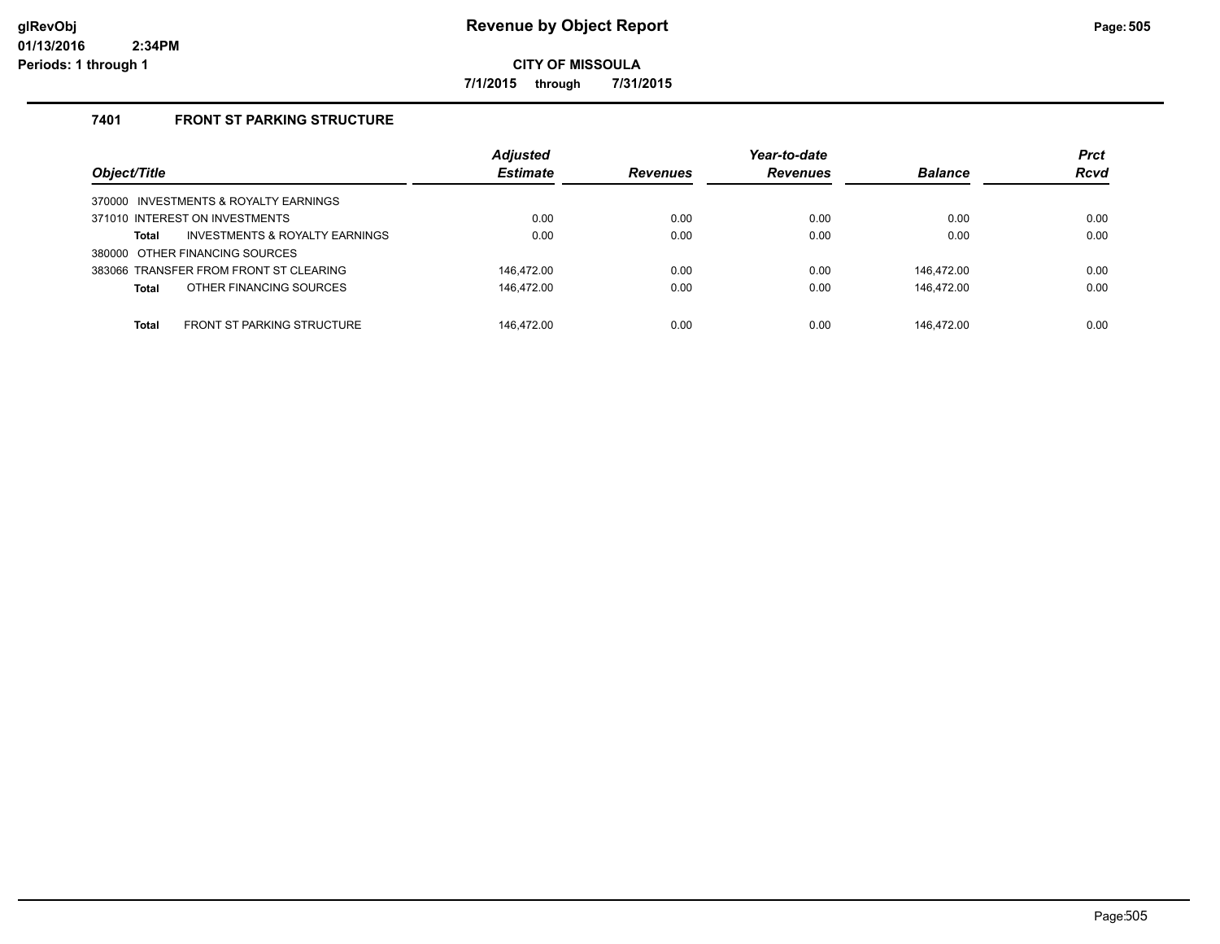**7/1/2015 through 7/31/2015**

#### **7401 FRONT ST PARKING STRUCTURE**

| Object/Title                                      | <b>Adjusted</b><br><b>Estimate</b> | <b>Revenues</b> | Year-to-date<br><b>Revenues</b> | <b>Balance</b> | <b>Prct</b><br><b>Rcvd</b> |
|---------------------------------------------------|------------------------------------|-----------------|---------------------------------|----------------|----------------------------|
| 370000 INVESTMENTS & ROYALTY EARNINGS             |                                    |                 |                                 |                |                            |
| 371010 INTEREST ON INVESTMENTS                    | 0.00                               | 0.00            | 0.00                            | 0.00           | 0.00                       |
| INVESTMENTS & ROYALTY EARNINGS<br>Total           | 0.00                               | 0.00            | 0.00                            | 0.00           | 0.00                       |
| 380000 OTHER FINANCING SOURCES                    |                                    |                 |                                 |                |                            |
| 383066 TRANSFER FROM FRONT ST CLEARING            | 146.472.00                         | 0.00            | 0.00                            | 146.472.00     | 0.00                       |
| OTHER FINANCING SOURCES<br><b>Total</b>           | 146,472.00                         | 0.00            | 0.00                            | 146.472.00     | 0.00                       |
|                                                   |                                    |                 |                                 |                |                            |
| <b>FRONT ST PARKING STRUCTURE</b><br><b>Total</b> | 146.472.00                         | 0.00            | 0.00                            | 146.472.00     | 0.00                       |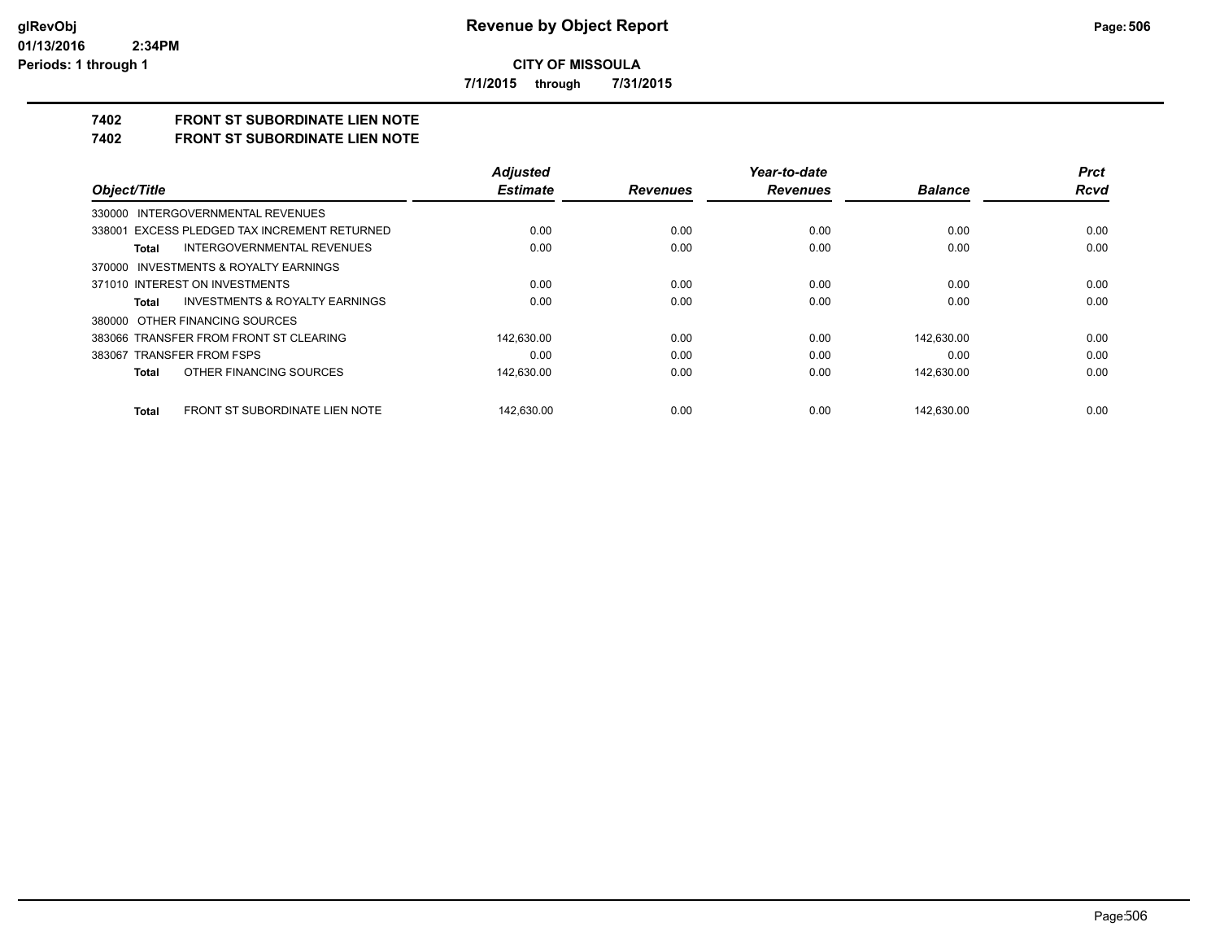**7/1/2015 through 7/31/2015**

## **7402 FRONT ST SUBORDINATE LIEN NOTE**

**7402 FRONT ST SUBORDINATE LIEN NOTE**

|                                                    | <b>Adjusted</b> |                 | Year-to-date    |                | <b>Prct</b> |
|----------------------------------------------------|-----------------|-----------------|-----------------|----------------|-------------|
| Object/Title                                       | <b>Estimate</b> | <b>Revenues</b> | <b>Revenues</b> | <b>Balance</b> | <b>Rcvd</b> |
| 330000 INTERGOVERNMENTAL REVENUES                  |                 |                 |                 |                |             |
| 338001 EXCESS PLEDGED TAX INCREMENT RETURNED       | 0.00            | 0.00            | 0.00            | 0.00           | 0.00        |
| <b>INTERGOVERNMENTAL REVENUES</b><br>Total         | 0.00            | 0.00            | 0.00            | 0.00           | 0.00        |
| 370000 INVESTMENTS & ROYALTY EARNINGS              |                 |                 |                 |                |             |
| 371010 INTEREST ON INVESTMENTS                     | 0.00            | 0.00            | 0.00            | 0.00           | 0.00        |
| <b>INVESTMENTS &amp; ROYALTY EARNINGS</b><br>Total | 0.00            | 0.00            | 0.00            | 0.00           | 0.00        |
| 380000 OTHER FINANCING SOURCES                     |                 |                 |                 |                |             |
| 383066 TRANSFER FROM FRONT ST CLEARING             | 142.630.00      | 0.00            | 0.00            | 142.630.00     | 0.00        |
| 383067 TRANSFER FROM FSPS                          | 0.00            | 0.00            | 0.00            | 0.00           | 0.00        |
| OTHER FINANCING SOURCES<br>Total                   | 142,630.00      | 0.00            | 0.00            | 142,630.00     | 0.00        |
| FRONT ST SUBORDINATE LIEN NOTE<br>Total            | 142.630.00      | 0.00            | 0.00            | 142.630.00     | 0.00        |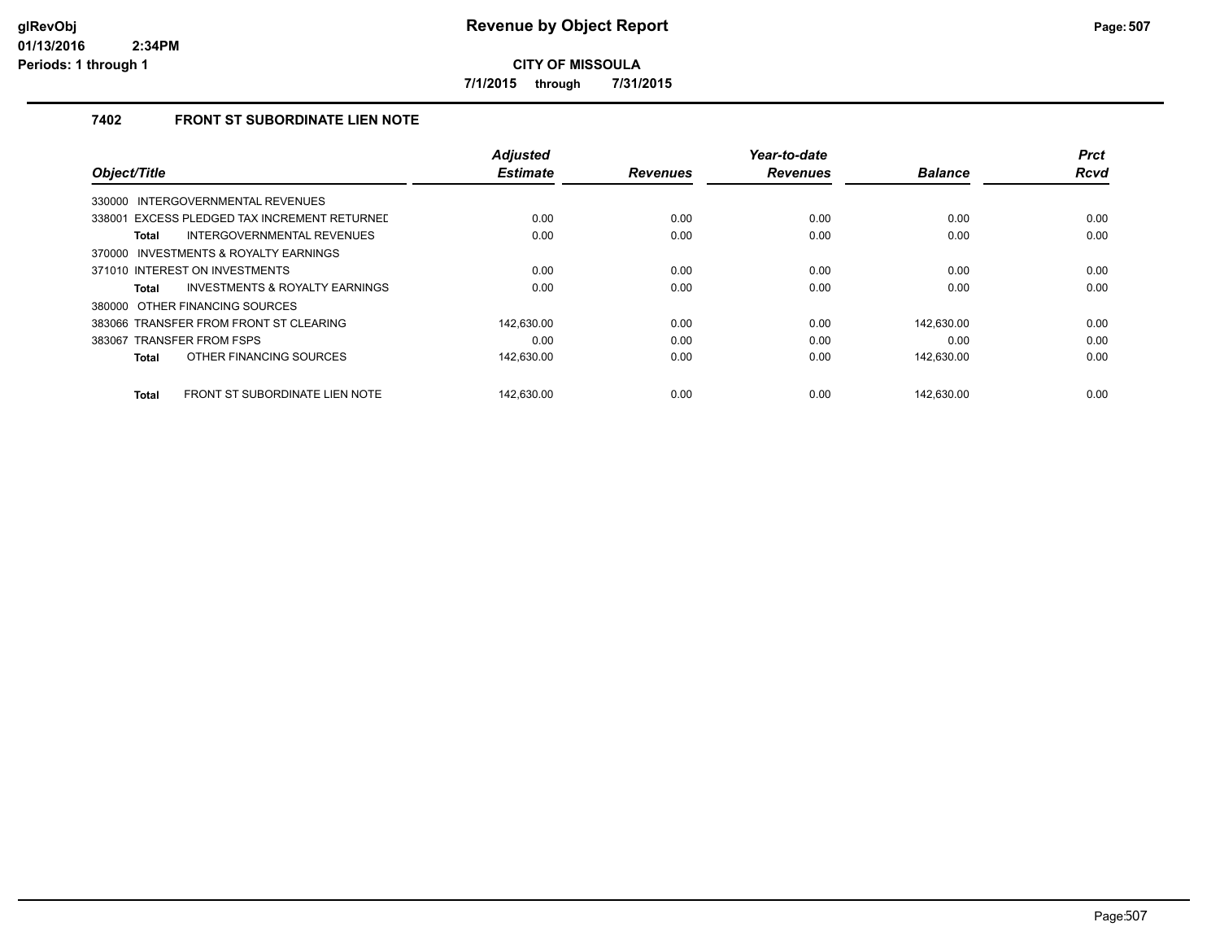**7/1/2015 through 7/31/2015**

#### **7402 FRONT ST SUBORDINATE LIEN NOTE**

|                                                | <b>Adjusted</b> |                 | Year-to-date    |                | <b>Prct</b> |
|------------------------------------------------|-----------------|-----------------|-----------------|----------------|-------------|
| Object/Title                                   | <b>Estimate</b> | <b>Revenues</b> | <b>Revenues</b> | <b>Balance</b> | <b>Rcvd</b> |
| INTERGOVERNMENTAL REVENUES<br>330000           |                 |                 |                 |                |             |
| 338001 EXCESS PLEDGED TAX INCREMENT RETURNEL   | 0.00            | 0.00            | 0.00            | 0.00           | 0.00        |
| INTERGOVERNMENTAL REVENUES<br>Total            | 0.00            | 0.00            | 0.00            | 0.00           | 0.00        |
| INVESTMENTS & ROYALTY EARNINGS<br>370000       |                 |                 |                 |                |             |
| 371010 INTEREST ON INVESTMENTS                 | 0.00            | 0.00            | 0.00            | 0.00           | 0.00        |
| INVESTMENTS & ROYALTY EARNINGS<br>Total        | 0.00            | 0.00            | 0.00            | 0.00           | 0.00        |
| 380000 OTHER FINANCING SOURCES                 |                 |                 |                 |                |             |
| 383066 TRANSFER FROM FRONT ST CLEARING         | 142.630.00      | 0.00            | 0.00            | 142.630.00     | 0.00        |
| 383067 TRANSFER FROM FSPS                      | 0.00            | 0.00            | 0.00            | 0.00           | 0.00        |
| OTHER FINANCING SOURCES<br><b>Total</b>        | 142,630.00      | 0.00            | 0.00            | 142,630.00     | 0.00        |
|                                                |                 |                 |                 |                |             |
| FRONT ST SUBORDINATE LIEN NOTE<br><b>Total</b> | 142.630.00      | 0.00            | 0.00            | 142.630.00     | 0.00        |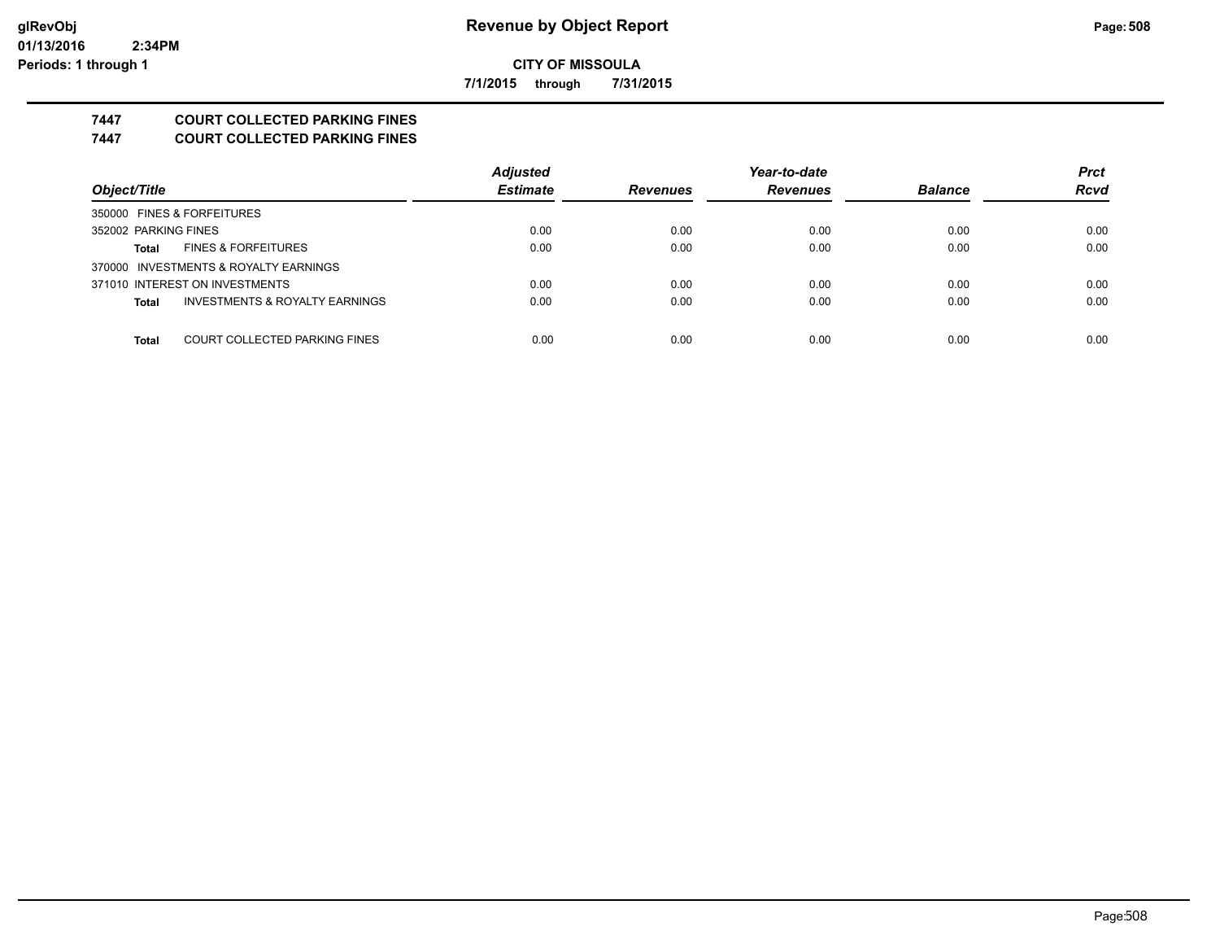**7/1/2015 through 7/31/2015**

## **7447 COURT COLLECTED PARKING FINES**

**7447 COURT COLLECTED PARKING FINES**

|                                                | <b>Adjusted</b> |                 | Year-to-date    |                | <b>Prct</b> |
|------------------------------------------------|-----------------|-----------------|-----------------|----------------|-------------|
| Object/Title                                   | <b>Estimate</b> | <b>Revenues</b> | <b>Revenues</b> | <b>Balance</b> | <b>Rcvd</b> |
| 350000 FINES & FORFEITURES                     |                 |                 |                 |                |             |
| 352002 PARKING FINES                           | 0.00            | 0.00            | 0.00            | 0.00           | 0.00        |
| <b>FINES &amp; FORFEITURES</b><br><b>Total</b> | 0.00            | 0.00            | 0.00            | 0.00           | 0.00        |
| 370000 INVESTMENTS & ROYALTY EARNINGS          |                 |                 |                 |                |             |
| 371010 INTEREST ON INVESTMENTS                 | 0.00            | 0.00            | 0.00            | 0.00           | 0.00        |
| INVESTMENTS & ROYALTY EARNINGS<br><b>Total</b> | 0.00            | 0.00            | 0.00            | 0.00           | 0.00        |
|                                                |                 |                 |                 |                |             |
| COURT COLLECTED PARKING FINES<br><b>Total</b>  | 0.00            | 0.00            | 0.00            | 0.00           | 0.00        |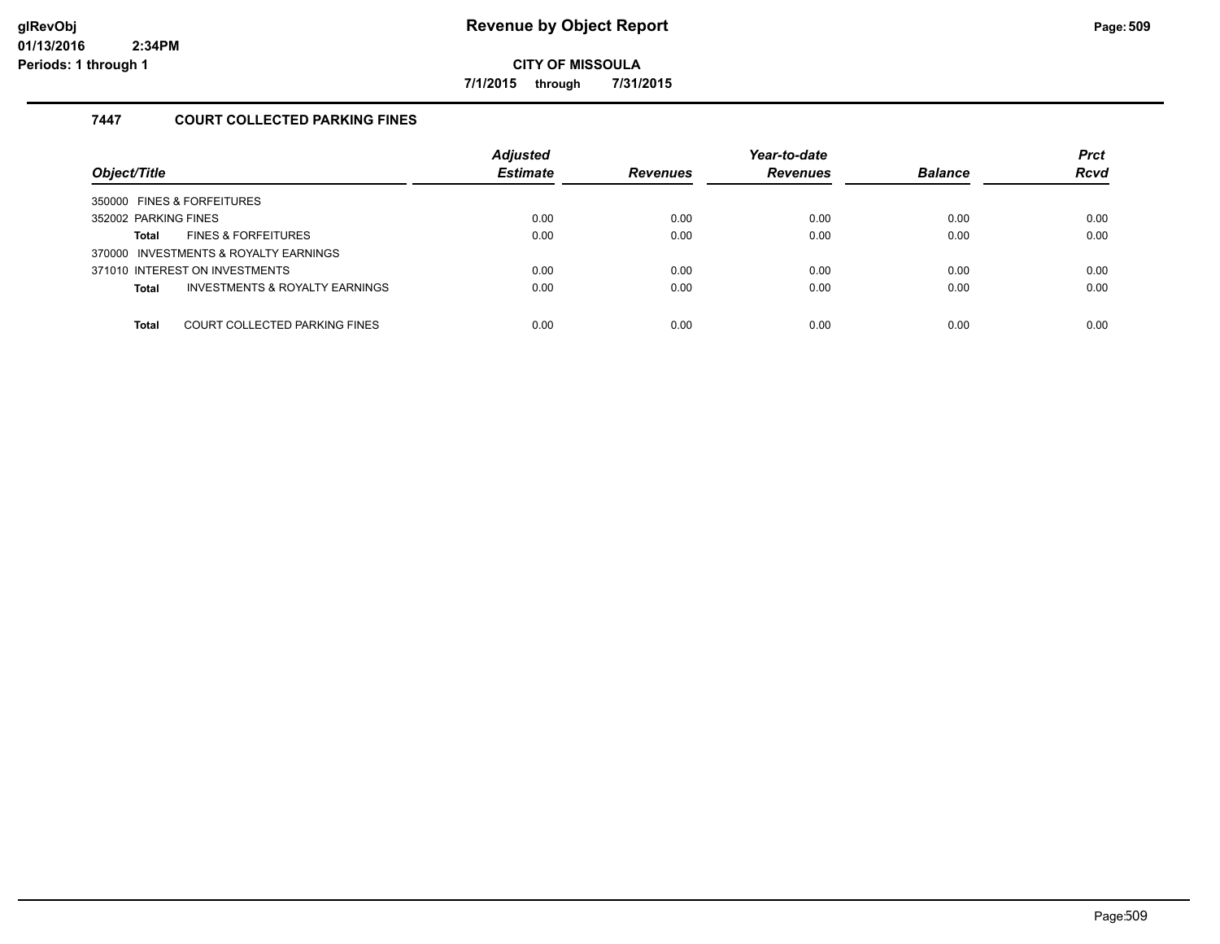**7/1/2015 through 7/31/2015**

#### **7447 COURT COLLECTED PARKING FINES**

| Object/Title                                   | <b>Adjusted</b><br><b>Estimate</b> | <b>Revenues</b> | Year-to-date<br><b>Revenues</b> | <b>Balance</b> | <b>Prct</b><br><b>Rcvd</b> |
|------------------------------------------------|------------------------------------|-----------------|---------------------------------|----------------|----------------------------|
| 350000 FINES & FORFEITURES                     |                                    |                 |                                 |                |                            |
| 352002 PARKING FINES                           | 0.00                               | 0.00            | 0.00                            | 0.00           | 0.00                       |
| <b>FINES &amp; FORFEITURES</b><br>Total        | 0.00                               | 0.00            | 0.00                            | 0.00           | 0.00                       |
| 370000 INVESTMENTS & ROYALTY EARNINGS          |                                    |                 |                                 |                |                            |
| 371010 INTEREST ON INVESTMENTS                 | 0.00                               | 0.00            | 0.00                            | 0.00           | 0.00                       |
| INVESTMENTS & ROYALTY EARNINGS<br><b>Total</b> | 0.00                               | 0.00            | 0.00                            | 0.00           | 0.00                       |
|                                                |                                    |                 |                                 |                |                            |
| COURT COLLECTED PARKING FINES<br><b>Total</b>  | 0.00                               | 0.00            | 0.00                            | 0.00           | 0.00                       |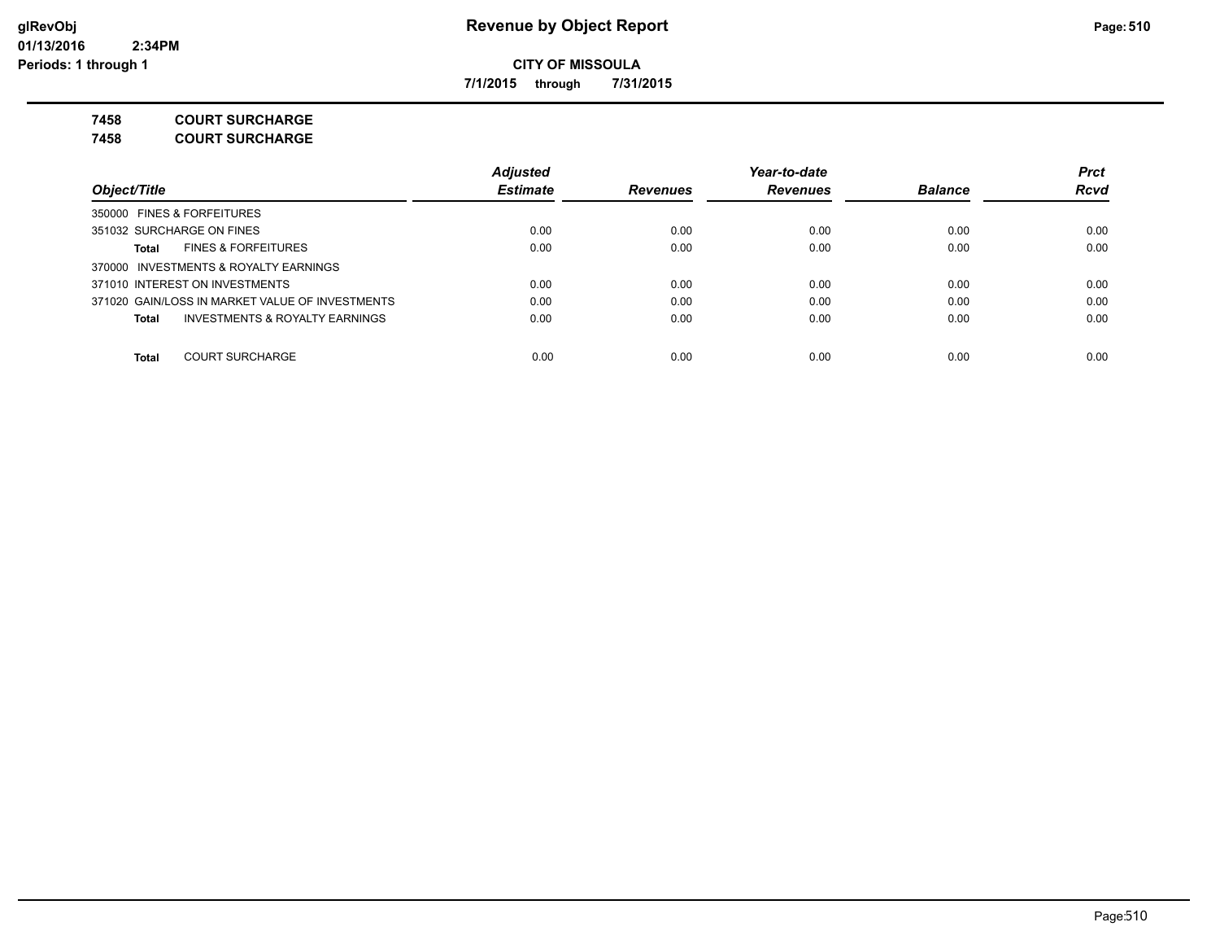**7/1/2015 through 7/31/2015**

**7458 COURT SURCHARGE**

**7458 COURT SURCHARGE**

|                                                    | <b>Adjusted</b> |                 | Year-to-date    |                | <b>Prct</b> |
|----------------------------------------------------|-----------------|-----------------|-----------------|----------------|-------------|
| Object/Title                                       | <b>Estimate</b> | <b>Revenues</b> | <b>Revenues</b> | <b>Balance</b> | <b>Rcvd</b> |
| 350000 FINES & FORFEITURES                         |                 |                 |                 |                |             |
| 351032 SURCHARGE ON FINES                          | 0.00            | 0.00            | 0.00            | 0.00           | 0.00        |
| <b>FINES &amp; FORFEITURES</b><br>Total            | 0.00            | 0.00            | 0.00            | 0.00           | 0.00        |
| 370000 INVESTMENTS & ROYALTY EARNINGS              |                 |                 |                 |                |             |
| 371010 INTEREST ON INVESTMENTS                     | 0.00            | 0.00            | 0.00            | 0.00           | 0.00        |
| 371020 GAIN/LOSS IN MARKET VALUE OF INVESTMENTS    | 0.00            | 0.00            | 0.00            | 0.00           | 0.00        |
| <b>INVESTMENTS &amp; ROYALTY EARNINGS</b><br>Total | 0.00            | 0.00            | 0.00            | 0.00           | 0.00        |
|                                                    |                 |                 |                 |                |             |
| <b>COURT SURCHARGE</b><br><b>Total</b>             | 0.00            | 0.00            | 0.00            | 0.00           | 0.00        |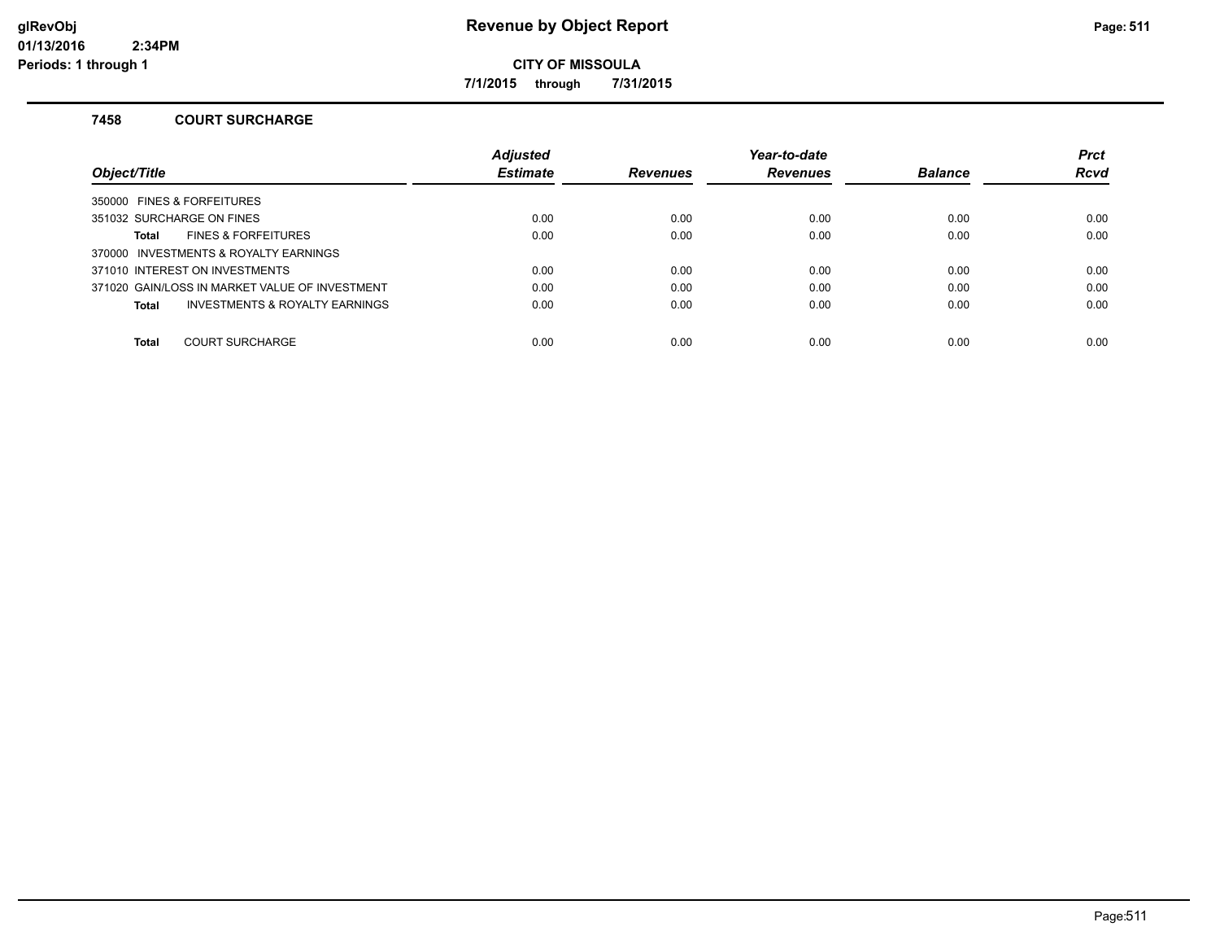**7/1/2015 through 7/31/2015**

#### **7458 COURT SURCHARGE**

|                                                | <b>Adjusted</b> |                 | Year-to-date    |                | <b>Prct</b> |
|------------------------------------------------|-----------------|-----------------|-----------------|----------------|-------------|
| Object/Title                                   | <b>Estimate</b> | <b>Revenues</b> | <b>Revenues</b> | <b>Balance</b> | <b>Rcvd</b> |
| 350000 FINES & FORFEITURES                     |                 |                 |                 |                |             |
| 351032 SURCHARGE ON FINES                      | 0.00            | 0.00            | 0.00            | 0.00           | 0.00        |
| <b>FINES &amp; FORFEITURES</b><br>Total        | 0.00            | 0.00            | 0.00            | 0.00           | 0.00        |
| 370000 INVESTMENTS & ROYALTY EARNINGS          |                 |                 |                 |                |             |
| 371010 INTEREST ON INVESTMENTS                 | 0.00            | 0.00            | 0.00            | 0.00           | 0.00        |
| 371020 GAIN/LOSS IN MARKET VALUE OF INVESTMENT | 0.00            | 0.00            | 0.00            | 0.00           | 0.00        |
| INVESTMENTS & ROYALTY EARNINGS<br>Total        | 0.00            | 0.00            | 0.00            | 0.00           | 0.00        |
|                                                |                 |                 |                 |                |             |
| <b>COURT SURCHARGE</b><br><b>Total</b>         | 0.00            | 0.00            | 0.00            | 0.00           | 0.00        |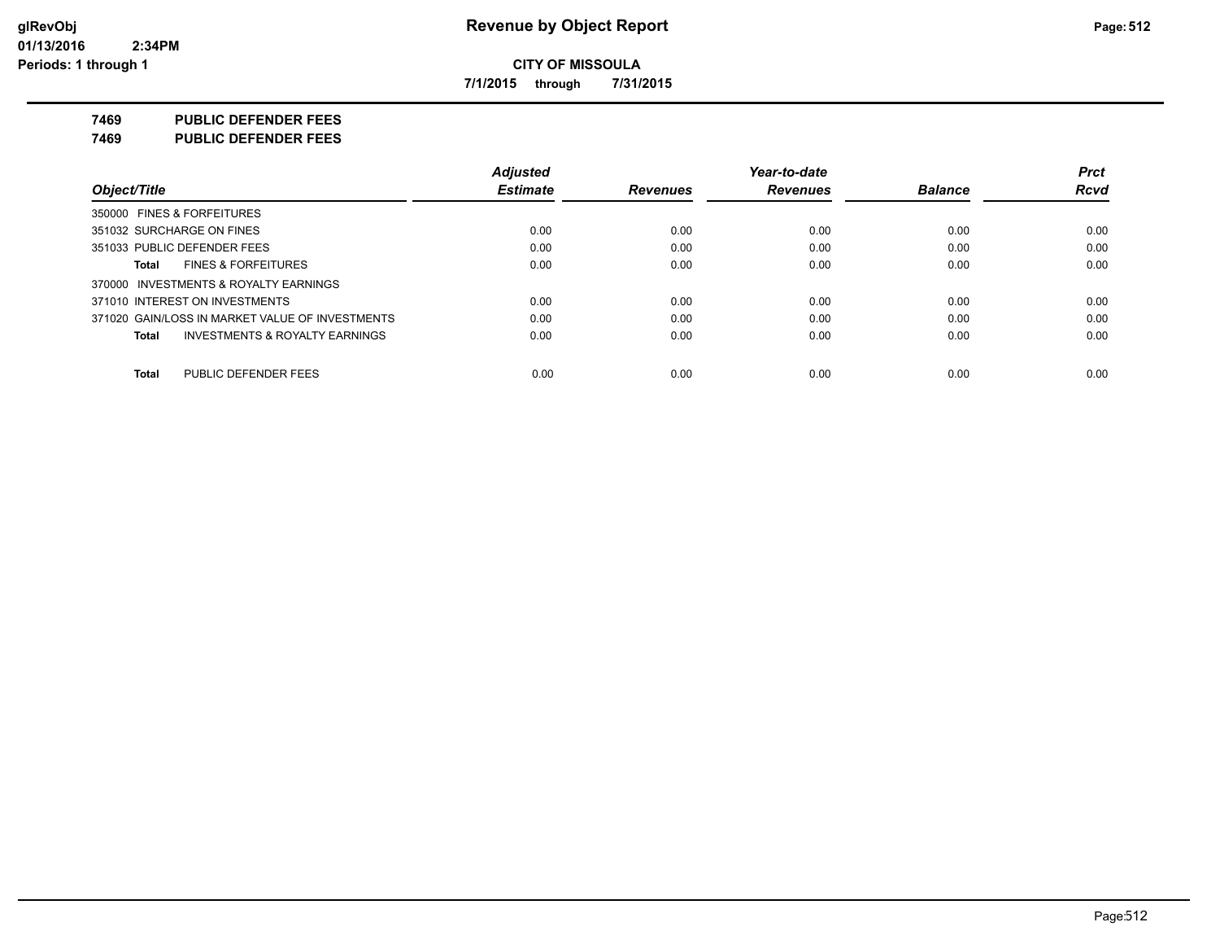**7/1/2015 through 7/31/2015**

**7469 PUBLIC DEFENDER FEES**

**7469 PUBLIC DEFENDER FEES**

|                                                    | <b>Adjusted</b> |                 | Year-to-date    |                | <b>Prct</b> |
|----------------------------------------------------|-----------------|-----------------|-----------------|----------------|-------------|
| Object/Title                                       | <b>Estimate</b> | <b>Revenues</b> | <b>Revenues</b> | <b>Balance</b> | <b>Rcvd</b> |
| 350000 FINES & FORFEITURES                         |                 |                 |                 |                |             |
| 351032 SURCHARGE ON FINES                          | 0.00            | 0.00            | 0.00            | 0.00           | 0.00        |
| 351033 PUBLIC DEFENDER FEES                        | 0.00            | 0.00            | 0.00            | 0.00           | 0.00        |
| <b>FINES &amp; FORFEITURES</b><br>Total            | 0.00            | 0.00            | 0.00            | 0.00           | 0.00        |
| 370000 INVESTMENTS & ROYALTY EARNINGS              |                 |                 |                 |                |             |
| 371010 INTEREST ON INVESTMENTS                     | 0.00            | 0.00            | 0.00            | 0.00           | 0.00        |
| 371020 GAIN/LOSS IN MARKET VALUE OF INVESTMENTS    | 0.00            | 0.00            | 0.00            | 0.00           | 0.00        |
| <b>INVESTMENTS &amp; ROYALTY EARNINGS</b><br>Total | 0.00            | 0.00            | 0.00            | 0.00           | 0.00        |
| PUBLIC DEFENDER FEES<br>Total                      | 0.00            | 0.00            | 0.00            | 0.00           | 0.00        |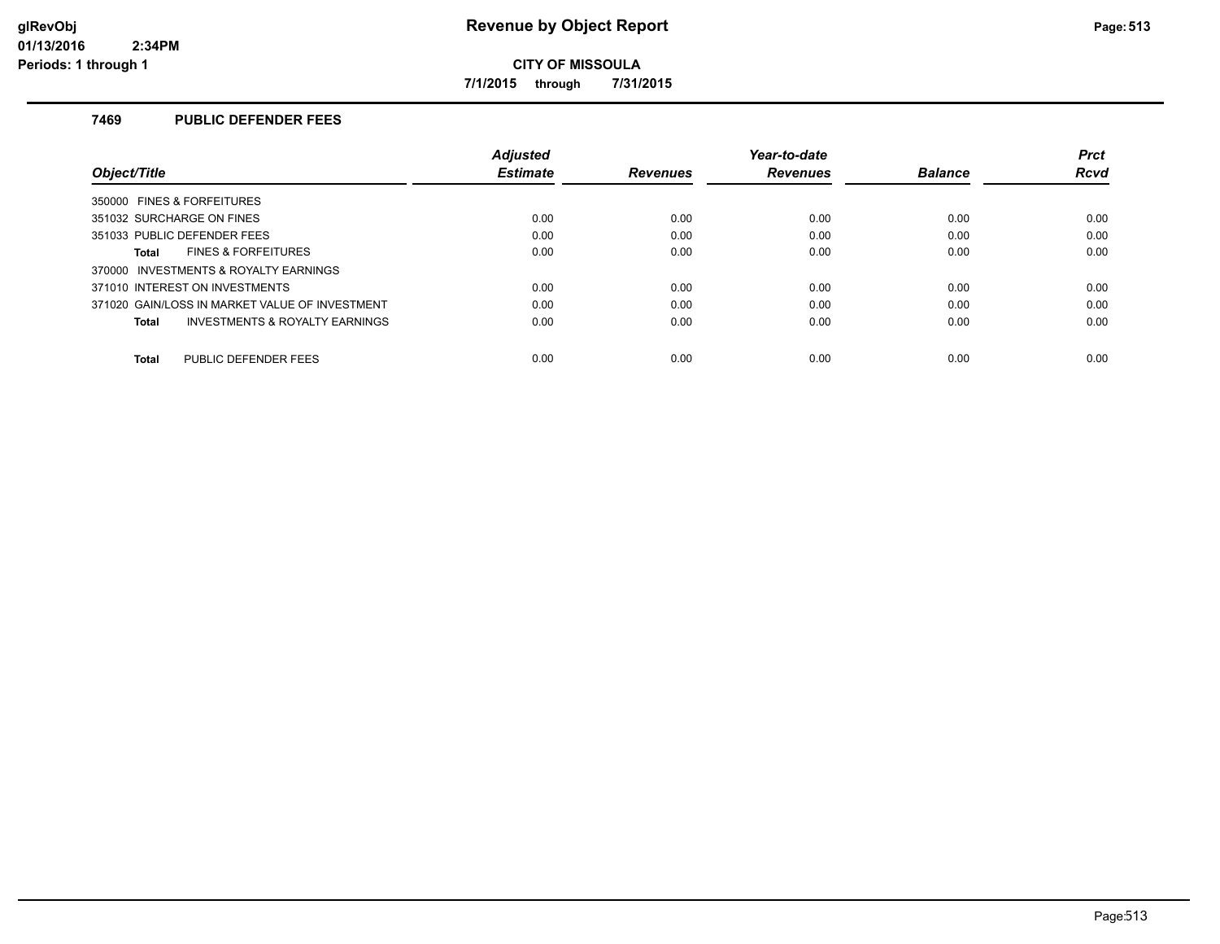**7/1/2015 through 7/31/2015**

#### **7469 PUBLIC DEFENDER FEES**

|                                                    | <b>Adjusted</b> |                 | Year-to-date    |                | <b>Prct</b> |
|----------------------------------------------------|-----------------|-----------------|-----------------|----------------|-------------|
| Object/Title                                       | <b>Estimate</b> | <b>Revenues</b> | <b>Revenues</b> | <b>Balance</b> | Rcvd        |
| 350000 FINES & FORFEITURES                         |                 |                 |                 |                |             |
| 351032 SURCHARGE ON FINES                          | 0.00            | 0.00            | 0.00            | 0.00           | 0.00        |
| 351033 PUBLIC DEFENDER FEES                        | 0.00            | 0.00            | 0.00            | 0.00           | 0.00        |
| <b>FINES &amp; FORFEITURES</b><br>Total            | 0.00            | 0.00            | 0.00            | 0.00           | 0.00        |
| 370000 INVESTMENTS & ROYALTY EARNINGS              |                 |                 |                 |                |             |
| 371010 INTEREST ON INVESTMENTS                     | 0.00            | 0.00            | 0.00            | 0.00           | 0.00        |
| 371020 GAIN/LOSS IN MARKET VALUE OF INVESTMENT     | 0.00            | 0.00            | 0.00            | 0.00           | 0.00        |
| <b>INVESTMENTS &amp; ROYALTY EARNINGS</b><br>Total | 0.00            | 0.00            | 0.00            | 0.00           | 0.00        |
| PUBLIC DEFENDER FEES                               | 0.00            | 0.00            | 0.00            | 0.00           | 0.00        |
| <b>Total</b>                                       |                 |                 |                 |                |             |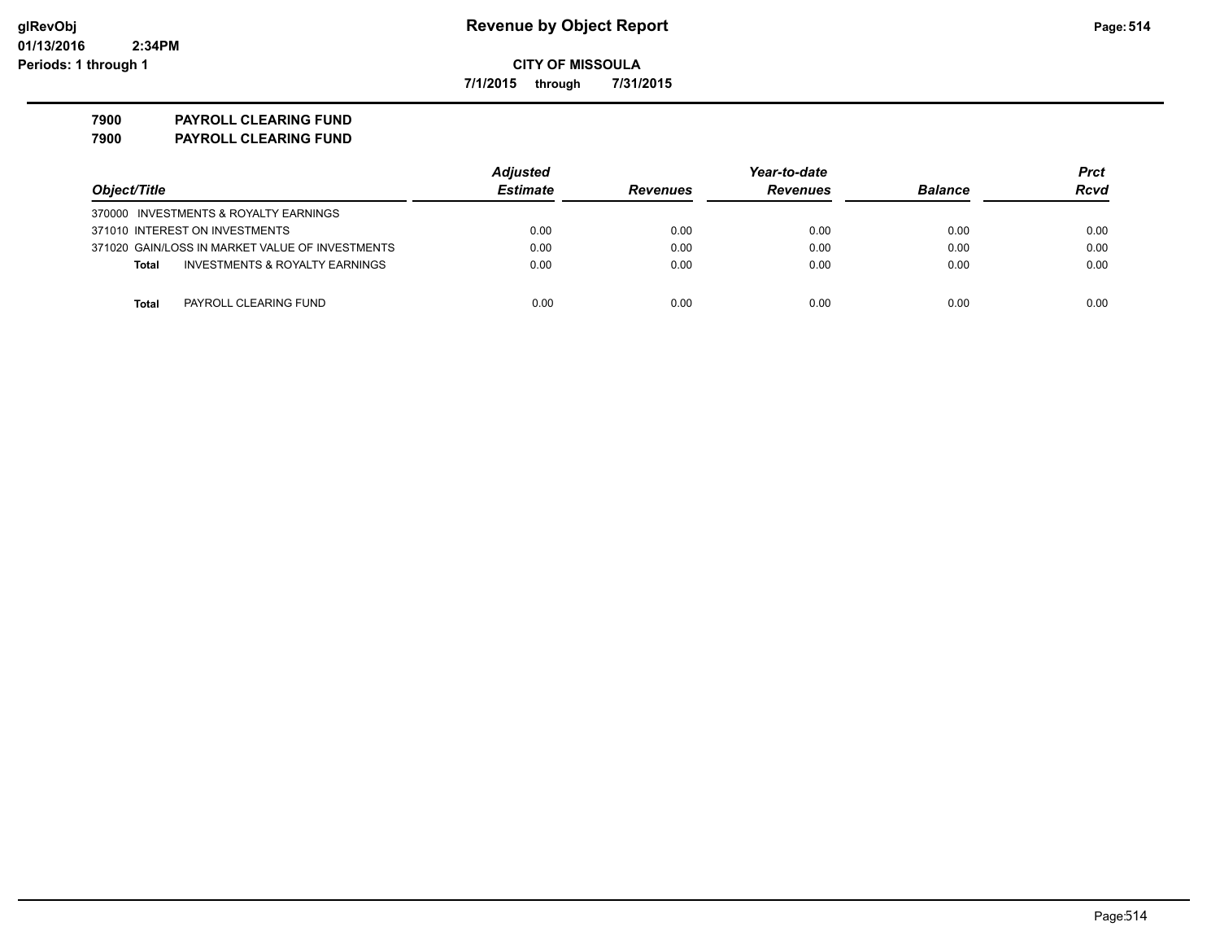**7/1/2015 through 7/31/2015**

**7900 PAYROLL CLEARING FUND**

| 7900 | <b>PAYROLL CLEARING FUND</b> |  |
|------|------------------------------|--|
|      |                              |  |

|                                                           | <b>Adjusted</b> |                 | Year-to-date    |                | <b>Prct</b> |  |
|-----------------------------------------------------------|-----------------|-----------------|-----------------|----------------|-------------|--|
| Object/Title                                              | <b>Estimate</b> | <b>Revenues</b> | <b>Revenues</b> | <b>Balance</b> | <b>Rcvd</b> |  |
| 370000 INVESTMENTS & ROYALTY EARNINGS                     |                 |                 |                 |                |             |  |
| 371010 INTEREST ON INVESTMENTS                            | 0.00            | 0.00            | 0.00            | 0.00           | 0.00        |  |
| 371020 GAIN/LOSS IN MARKET VALUE OF INVESTMENTS           | 0.00            | 0.00            | 0.00            | 0.00           | 0.00        |  |
| <b>INVESTMENTS &amp; ROYALTY EARNINGS</b><br><b>Total</b> | 0.00            | 0.00            | 0.00            | 0.00           | 0.00        |  |
|                                                           |                 |                 |                 |                |             |  |
| PAYROLL CLEARING FUND<br>Total                            | 0.00            | 0.00            | 0.00            | 0.00           | 0.00        |  |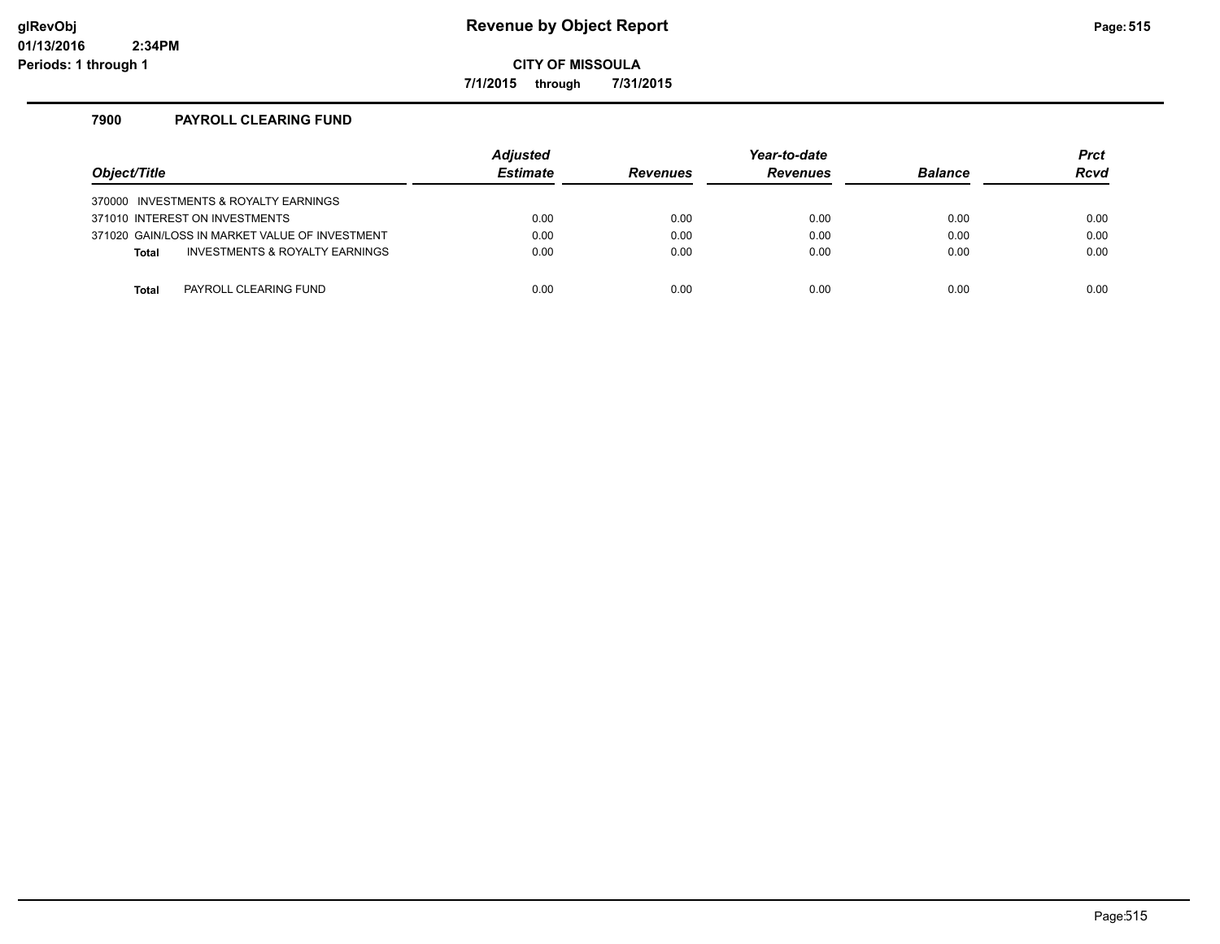**7/1/2015 through 7/31/2015**

#### **7900 PAYROLL CLEARING FUND**

| Object/Title |                                                | <b>Adjusted</b><br><b>Estimate</b> | <b>Revenues</b> | Year-to-date<br><b>Revenues</b> | <b>Balance</b> | <b>Prct</b><br><b>Rcvd</b> |
|--------------|------------------------------------------------|------------------------------------|-----------------|---------------------------------|----------------|----------------------------|
|              | 370000 INVESTMENTS & ROYALTY EARNINGS          |                                    |                 |                                 |                |                            |
|              | 371010 INTEREST ON INVESTMENTS                 | 0.00                               | 0.00            | 0.00                            | 0.00           | 0.00                       |
|              | 371020 GAIN/LOSS IN MARKET VALUE OF INVESTMENT | 0.00                               | 0.00            | 0.00                            | 0.00           | 0.00                       |
| <b>Total</b> | INVESTMENTS & ROYALTY EARNINGS                 | 0.00                               | 0.00            | 0.00                            | 0.00           | 0.00                       |
|              |                                                |                                    |                 |                                 |                |                            |
| Total        | PAYROLL CLEARING FUND                          | 0.00                               | 0.00            | 0.00                            | 0.00           | 0.00                       |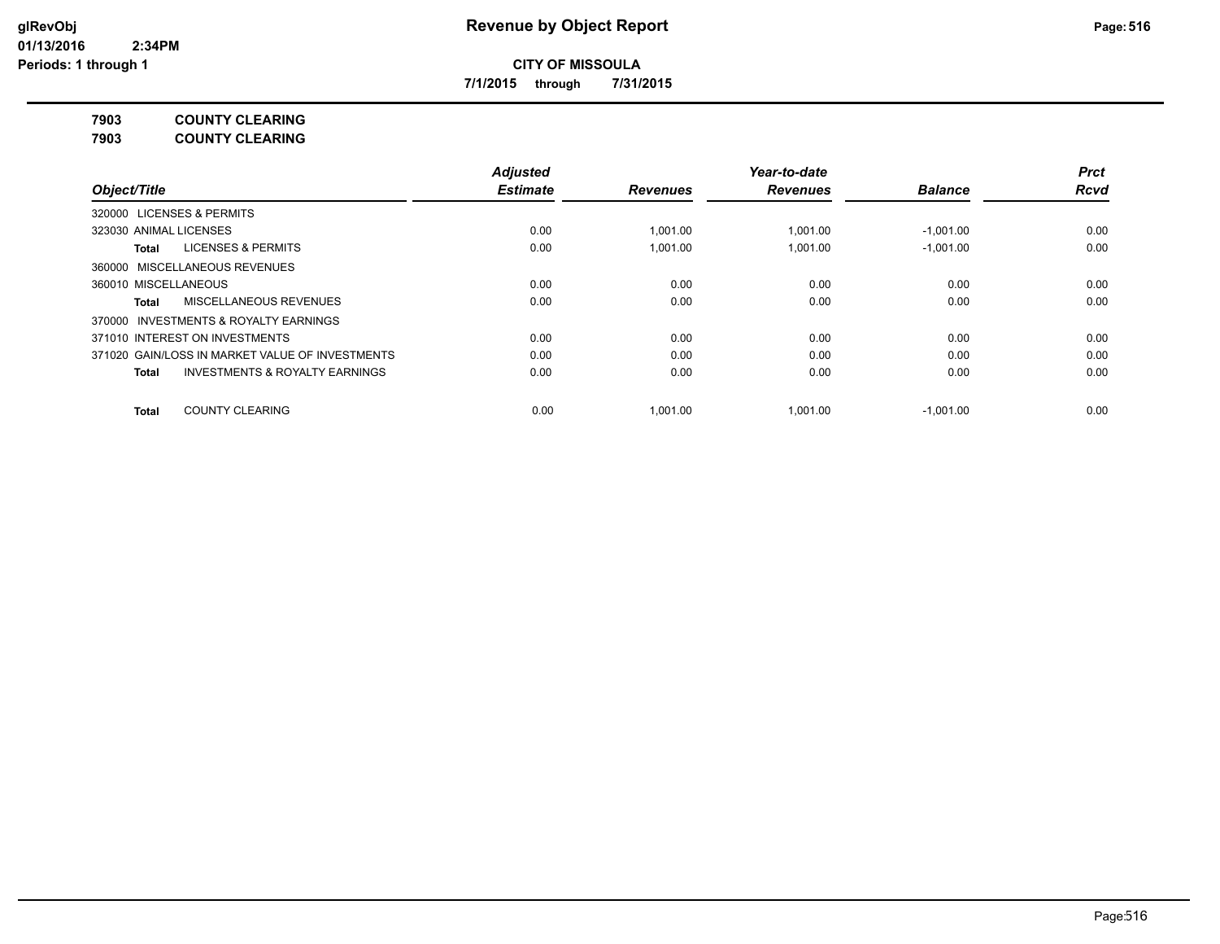**7/1/2015 through 7/31/2015**

**7903 COUNTY CLEARING**

**7903 COUNTY CLEARING**

|                                                    | <b>Adjusted</b> |                 | Year-to-date    |                | <b>Prct</b> |
|----------------------------------------------------|-----------------|-----------------|-----------------|----------------|-------------|
| Object/Title                                       | <b>Estimate</b> | <b>Revenues</b> | <b>Revenues</b> | <b>Balance</b> | <b>Rcvd</b> |
| 320000 LICENSES & PERMITS                          |                 |                 |                 |                |             |
| 323030 ANIMAL LICENSES                             | 0.00            | 1.001.00        | 1.001.00        | $-1.001.00$    | 0.00        |
| <b>LICENSES &amp; PERMITS</b><br>Total             | 0.00            | 1,001.00        | 1.001.00        | $-1.001.00$    | 0.00        |
| 360000 MISCELLANEOUS REVENUES                      |                 |                 |                 |                |             |
| 360010 MISCELLANEOUS                               | 0.00            | 0.00            | 0.00            | 0.00           | 0.00        |
| <b>MISCELLANEOUS REVENUES</b><br><b>Total</b>      | 0.00            | 0.00            | 0.00            | 0.00           | 0.00        |
| 370000 INVESTMENTS & ROYALTY EARNINGS              |                 |                 |                 |                |             |
| 371010 INTEREST ON INVESTMENTS                     | 0.00            | 0.00            | 0.00            | 0.00           | 0.00        |
| 371020 GAIN/LOSS IN MARKET VALUE OF INVESTMENTS    | 0.00            | 0.00            | 0.00            | 0.00           | 0.00        |
| <b>INVESTMENTS &amp; ROYALTY EARNINGS</b><br>Total | 0.00            | 0.00            | 0.00            | 0.00           | 0.00        |
| <b>COUNTY CLEARING</b><br><b>Total</b>             | 0.00            | 1.001.00        | 1.001.00        | $-1.001.00$    | 0.00        |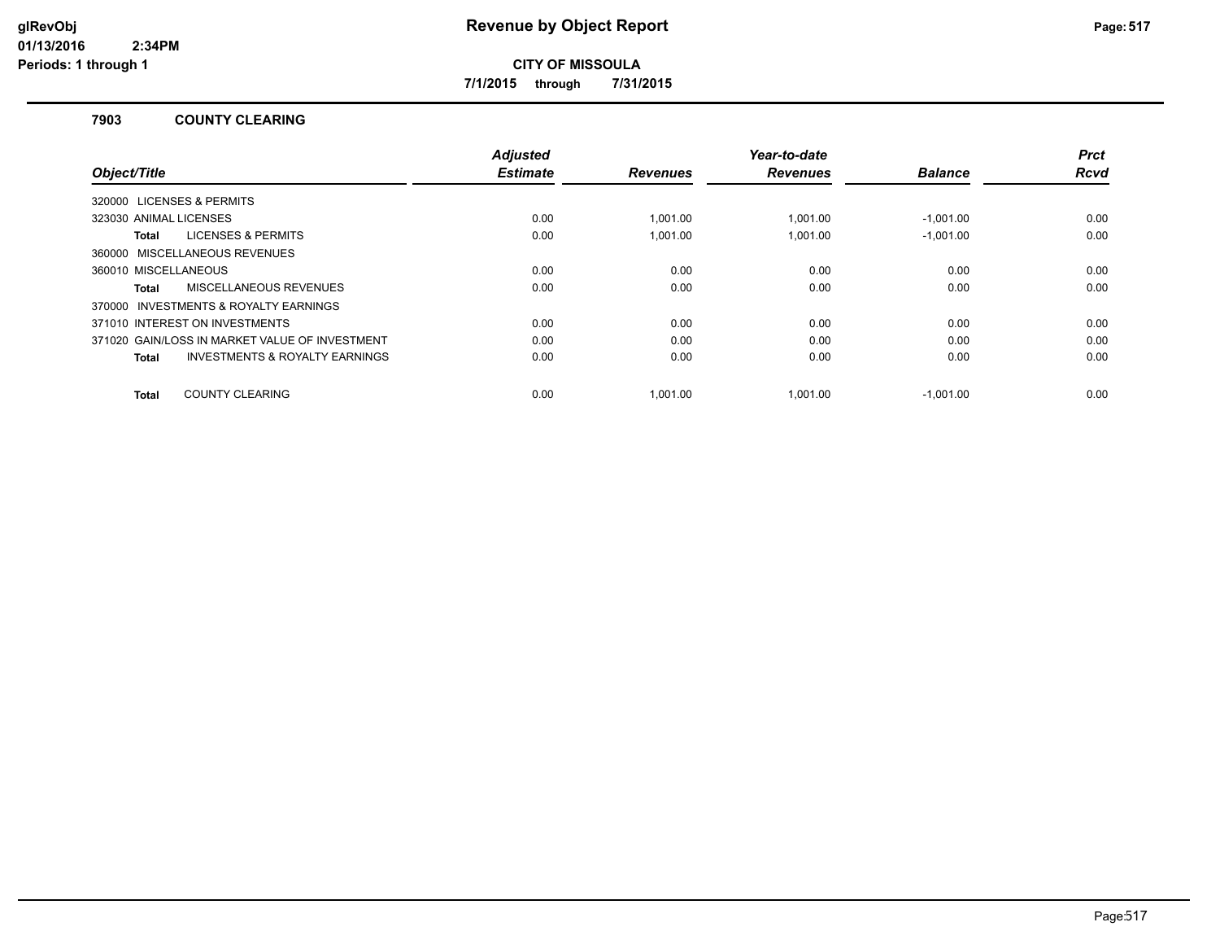**7/1/2015 through 7/31/2015**

#### **7903 COUNTY CLEARING**

|                                                           | <b>Adjusted</b> |                 | Year-to-date    |                | <b>Prct</b> |
|-----------------------------------------------------------|-----------------|-----------------|-----------------|----------------|-------------|
| Object/Title                                              | <b>Estimate</b> | <b>Revenues</b> | <b>Revenues</b> | <b>Balance</b> | <b>Rcvd</b> |
| 320000 LICENSES & PERMITS                                 |                 |                 |                 |                |             |
| 323030 ANIMAL LICENSES                                    | 0.00            | 1.001.00        | 1.001.00        | $-1.001.00$    | 0.00        |
| <b>LICENSES &amp; PERMITS</b><br>Total                    | 0.00            | 1.001.00        | 1.001.00        | $-1.001.00$    | 0.00        |
| 360000 MISCELLANEOUS REVENUES                             |                 |                 |                 |                |             |
| 360010 MISCELLANEOUS                                      | 0.00            | 0.00            | 0.00            | 0.00           | 0.00        |
| MISCELLANEOUS REVENUES<br>Total                           | 0.00            | 0.00            | 0.00            | 0.00           | 0.00        |
| 370000 INVESTMENTS & ROYALTY EARNINGS                     |                 |                 |                 |                |             |
| 371010 INTEREST ON INVESTMENTS                            | 0.00            | 0.00            | 0.00            | 0.00           | 0.00        |
| 371020 GAIN/LOSS IN MARKET VALUE OF INVESTMENT            | 0.00            | 0.00            | 0.00            | 0.00           | 0.00        |
| <b>INVESTMENTS &amp; ROYALTY EARNINGS</b><br><b>Total</b> | 0.00            | 0.00            | 0.00            | 0.00           | 0.00        |
|                                                           |                 |                 |                 |                |             |
| <b>COUNTY CLEARING</b><br><b>Total</b>                    | 0.00            | 1.001.00        | 1.001.00        | $-1.001.00$    | 0.00        |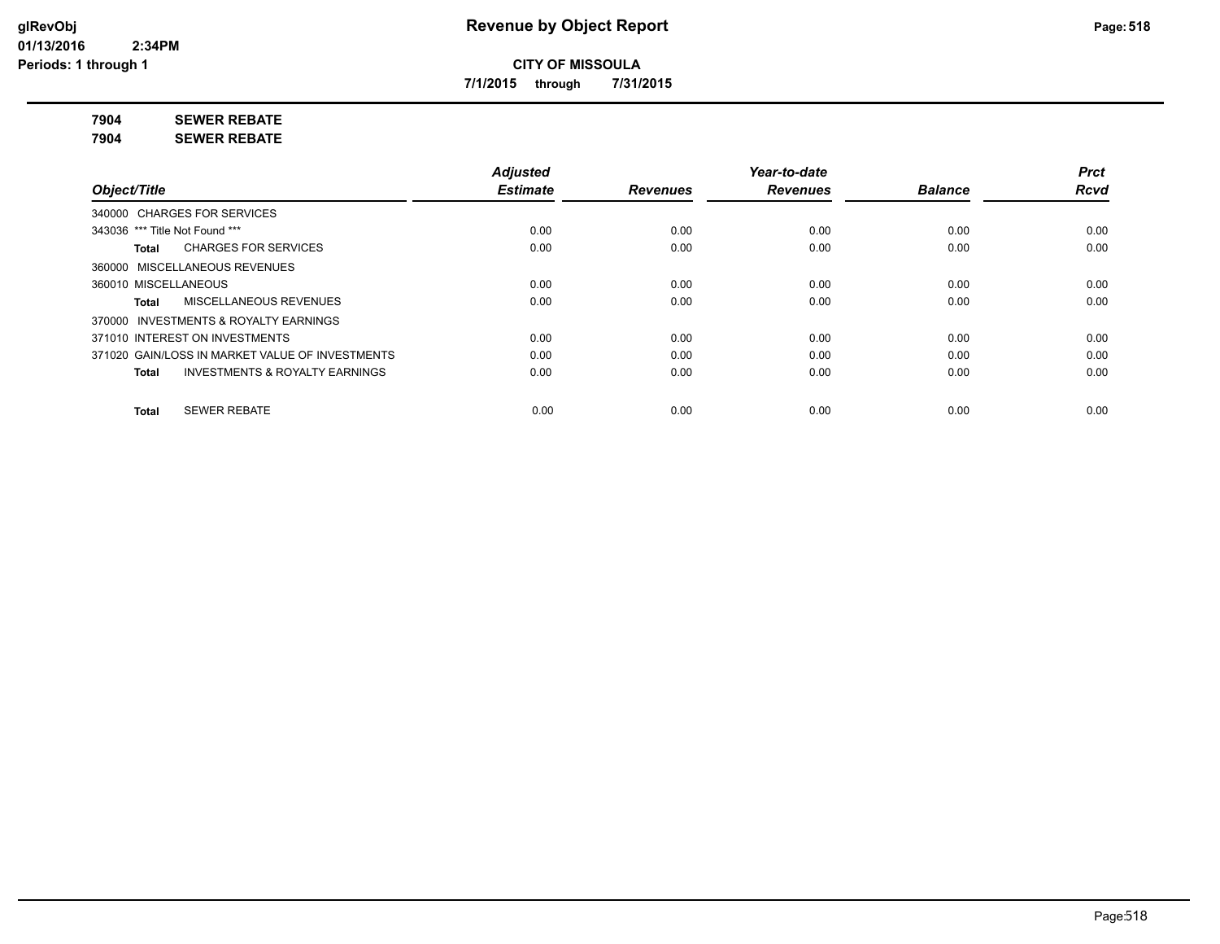**7/1/2015 through 7/31/2015**

**7904 SEWER REBATE**

**7904 SEWER REBATE**

|                                                           | <b>Adjusted</b> |                 | Year-to-date    |                | <b>Prct</b> |
|-----------------------------------------------------------|-----------------|-----------------|-----------------|----------------|-------------|
| Object/Title                                              | <b>Estimate</b> | <b>Revenues</b> | <b>Revenues</b> | <b>Balance</b> | <b>Rcvd</b> |
| 340000 CHARGES FOR SERVICES                               |                 |                 |                 |                |             |
| 343036 *** Title Not Found ***                            | 0.00            | 0.00            | 0.00            | 0.00           | 0.00        |
| <b>CHARGES FOR SERVICES</b><br>Total                      | 0.00            | 0.00            | 0.00            | 0.00           | 0.00        |
| 360000 MISCELLANEOUS REVENUES                             |                 |                 |                 |                |             |
| 360010 MISCELLANEOUS                                      | 0.00            | 0.00            | 0.00            | 0.00           | 0.00        |
| <b>MISCELLANEOUS REVENUES</b><br>Total                    | 0.00            | 0.00            | 0.00            | 0.00           | 0.00        |
| 370000 INVESTMENTS & ROYALTY EARNINGS                     |                 |                 |                 |                |             |
| 371010 INTEREST ON INVESTMENTS                            | 0.00            | 0.00            | 0.00            | 0.00           | 0.00        |
| 371020 GAIN/LOSS IN MARKET VALUE OF INVESTMENTS           | 0.00            | 0.00            | 0.00            | 0.00           | 0.00        |
| <b>INVESTMENTS &amp; ROYALTY EARNINGS</b><br><b>Total</b> | 0.00            | 0.00            | 0.00            | 0.00           | 0.00        |
| <b>SEWER REBATE</b><br><b>Total</b>                       | 0.00            | 0.00            | 0.00            | 0.00           | 0.00        |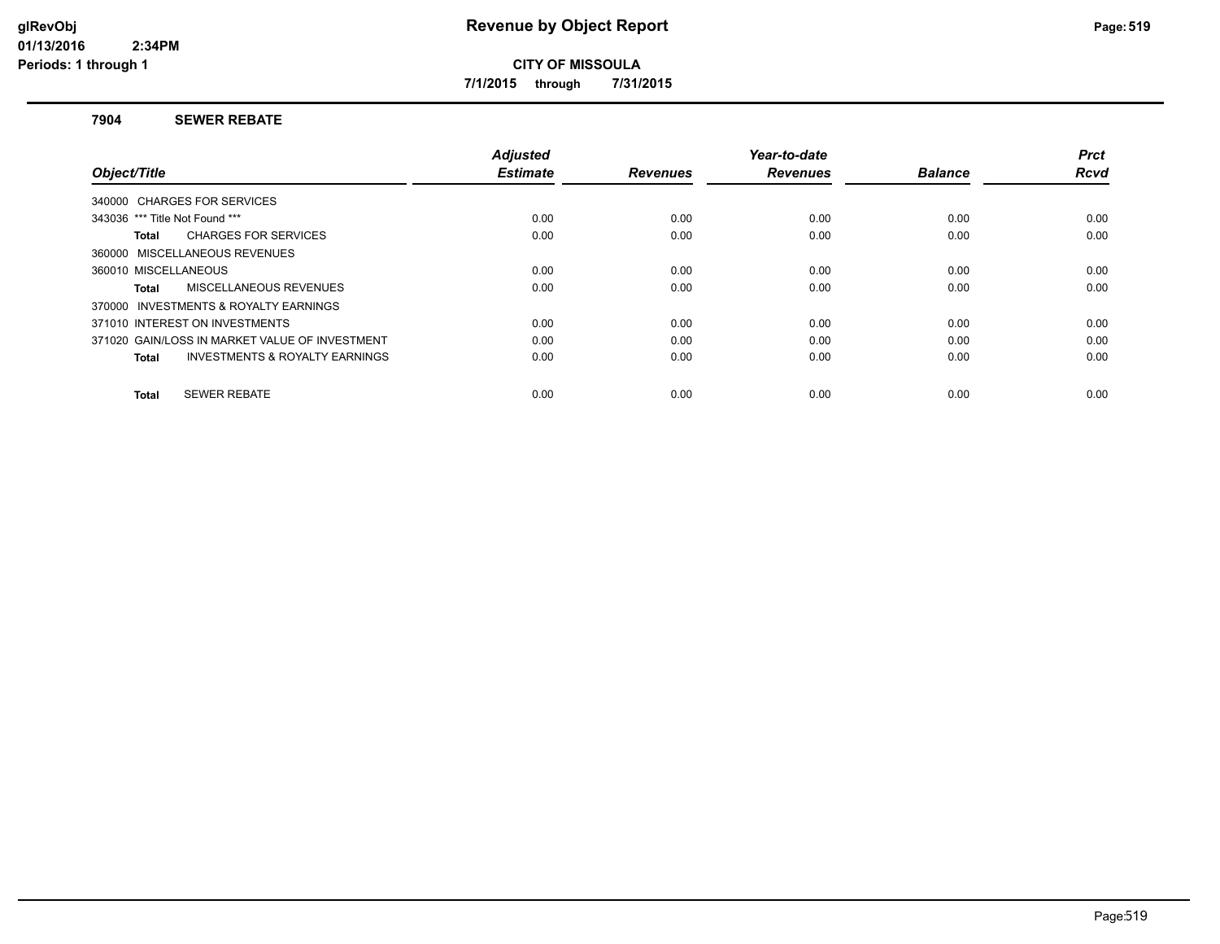**7/1/2015 through 7/31/2015**

#### **7904 SEWER REBATE**

|                                                           | <b>Adjusted</b> |                 | Year-to-date    |                | <b>Prct</b> |
|-----------------------------------------------------------|-----------------|-----------------|-----------------|----------------|-------------|
| Object/Title                                              | <b>Estimate</b> | <b>Revenues</b> | <b>Revenues</b> | <b>Balance</b> | <b>Rcvd</b> |
| 340000 CHARGES FOR SERVICES                               |                 |                 |                 |                |             |
| 343036 *** Title Not Found ***                            | 0.00            | 0.00            | 0.00            | 0.00           | 0.00        |
| <b>CHARGES FOR SERVICES</b><br>Total                      | 0.00            | 0.00            | 0.00            | 0.00           | 0.00        |
| 360000 MISCELLANEOUS REVENUES                             |                 |                 |                 |                |             |
| 360010 MISCELLANEOUS                                      | 0.00            | 0.00            | 0.00            | 0.00           | 0.00        |
| MISCELLANEOUS REVENUES<br>Total                           | 0.00            | 0.00            | 0.00            | 0.00           | 0.00        |
| 370000 INVESTMENTS & ROYALTY EARNINGS                     |                 |                 |                 |                |             |
| 371010 INTEREST ON INVESTMENTS                            | 0.00            | 0.00            | 0.00            | 0.00           | 0.00        |
| 371020 GAIN/LOSS IN MARKET VALUE OF INVESTMENT            | 0.00            | 0.00            | 0.00            | 0.00           | 0.00        |
| <b>INVESTMENTS &amp; ROYALTY EARNINGS</b><br><b>Total</b> | 0.00            | 0.00            | 0.00            | 0.00           | 0.00        |
|                                                           |                 |                 |                 |                |             |
| <b>SEWER REBATE</b><br>Total                              | 0.00            | 0.00            | 0.00            | 0.00           | 0.00        |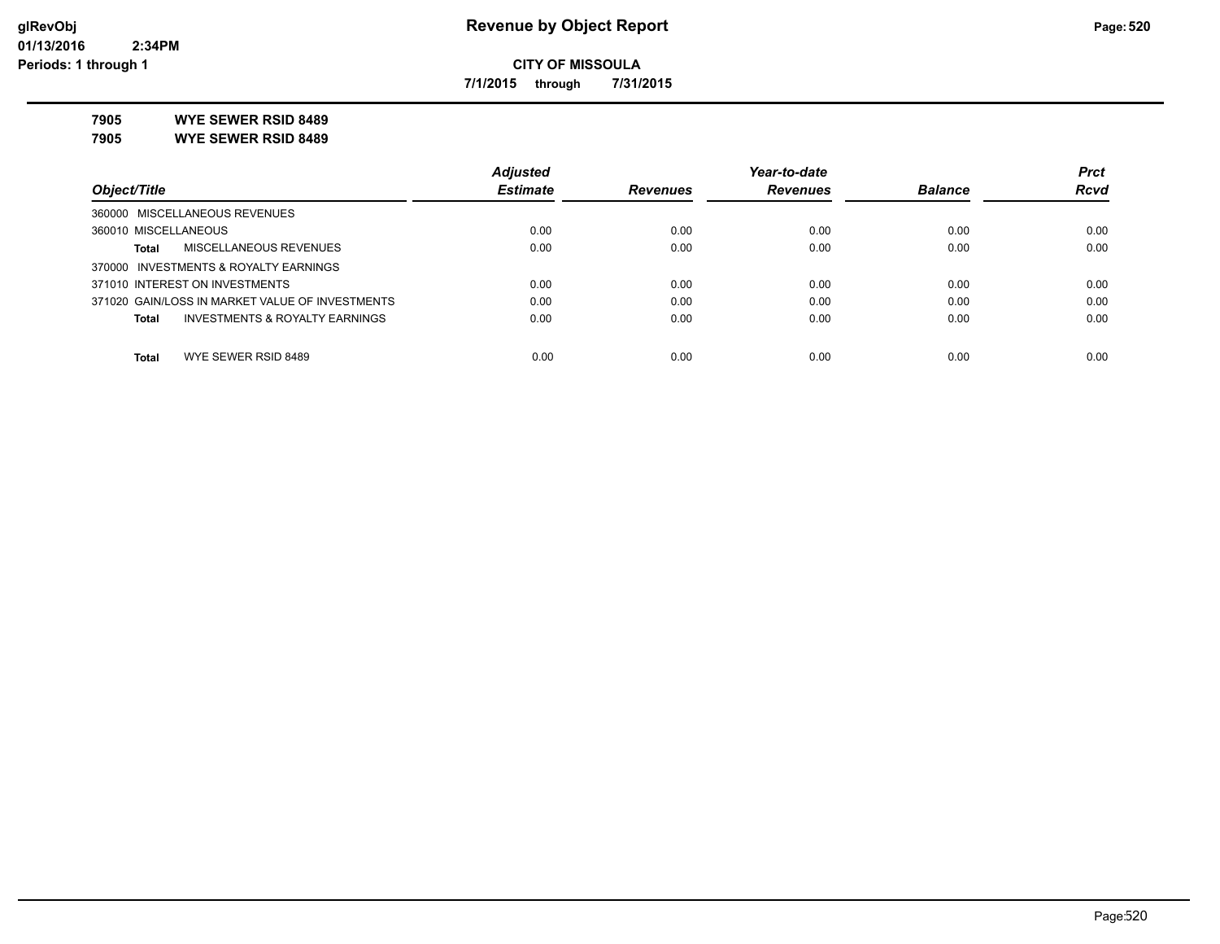**7/1/2015 through 7/31/2015**

**7905 WYE SEWER RSID 8489**

**7905 WYE SEWER RSID 8489**

|                                                 | <b>Adjusted</b> |                 | Year-to-date    |                | <b>Prct</b> |
|-------------------------------------------------|-----------------|-----------------|-----------------|----------------|-------------|
| Object/Title                                    | <b>Estimate</b> | <b>Revenues</b> | <b>Revenues</b> | <b>Balance</b> | <b>Rcvd</b> |
| 360000 MISCELLANEOUS REVENUES                   |                 |                 |                 |                |             |
| 360010 MISCELLANEOUS                            | 0.00            | 0.00            | 0.00            | 0.00           | 0.00        |
| MISCELLANEOUS REVENUES<br>Total                 | 0.00            | 0.00            | 0.00            | 0.00           | 0.00        |
| 370000 INVESTMENTS & ROYALTY EARNINGS           |                 |                 |                 |                |             |
| 371010 INTEREST ON INVESTMENTS                  | 0.00            | 0.00            | 0.00            | 0.00           | 0.00        |
| 371020 GAIN/LOSS IN MARKET VALUE OF INVESTMENTS | 0.00            | 0.00            | 0.00            | 0.00           | 0.00        |
| INVESTMENTS & ROYALTY EARNINGS<br>Total         | 0.00            | 0.00            | 0.00            | 0.00           | 0.00        |
|                                                 |                 |                 |                 |                |             |
| WYE SEWER RSID 8489<br>Total                    | 0.00            | 0.00            | 0.00            | 0.00           | 0.00        |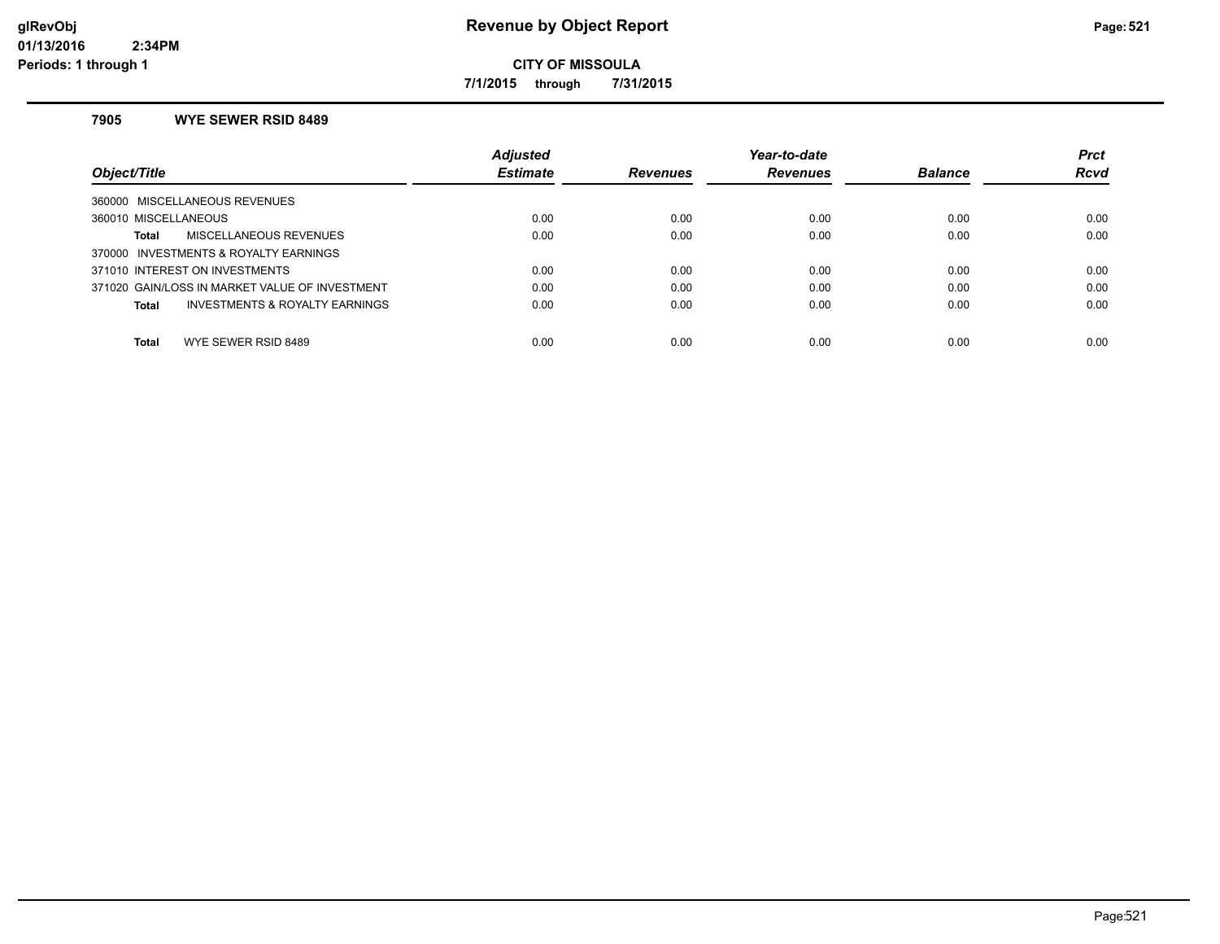**7/1/2015 through 7/31/2015**

#### **7905 WYE SEWER RSID 8489**

|                                                | <b>Adjusted</b> |                 | Year-to-date    |                | <b>Prct</b> |
|------------------------------------------------|-----------------|-----------------|-----------------|----------------|-------------|
| Object/Title                                   | <b>Estimate</b> | <b>Revenues</b> | <b>Revenues</b> | <b>Balance</b> | <b>Rcvd</b> |
| 360000 MISCELLANEOUS REVENUES                  |                 |                 |                 |                |             |
| 360010 MISCELLANEOUS                           | 0.00            | 0.00            | 0.00            | 0.00           | 0.00        |
| MISCELLANEOUS REVENUES<br>Total                | 0.00            | 0.00            | 0.00            | 0.00           | 0.00        |
| 370000 INVESTMENTS & ROYALTY EARNINGS          |                 |                 |                 |                |             |
| 371010 INTEREST ON INVESTMENTS                 | 0.00            | 0.00            | 0.00            | 0.00           | 0.00        |
| 371020 GAIN/LOSS IN MARKET VALUE OF INVESTMENT | 0.00            | 0.00            | 0.00            | 0.00           | 0.00        |
| INVESTMENTS & ROYALTY EARNINGS<br>Total        | 0.00            | 0.00            | 0.00            | 0.00           | 0.00        |
|                                                |                 |                 |                 |                |             |
| WYE SEWER RSID 8489<br><b>Total</b>            | 0.00            | 0.00            | 0.00            | 0.00           | 0.00        |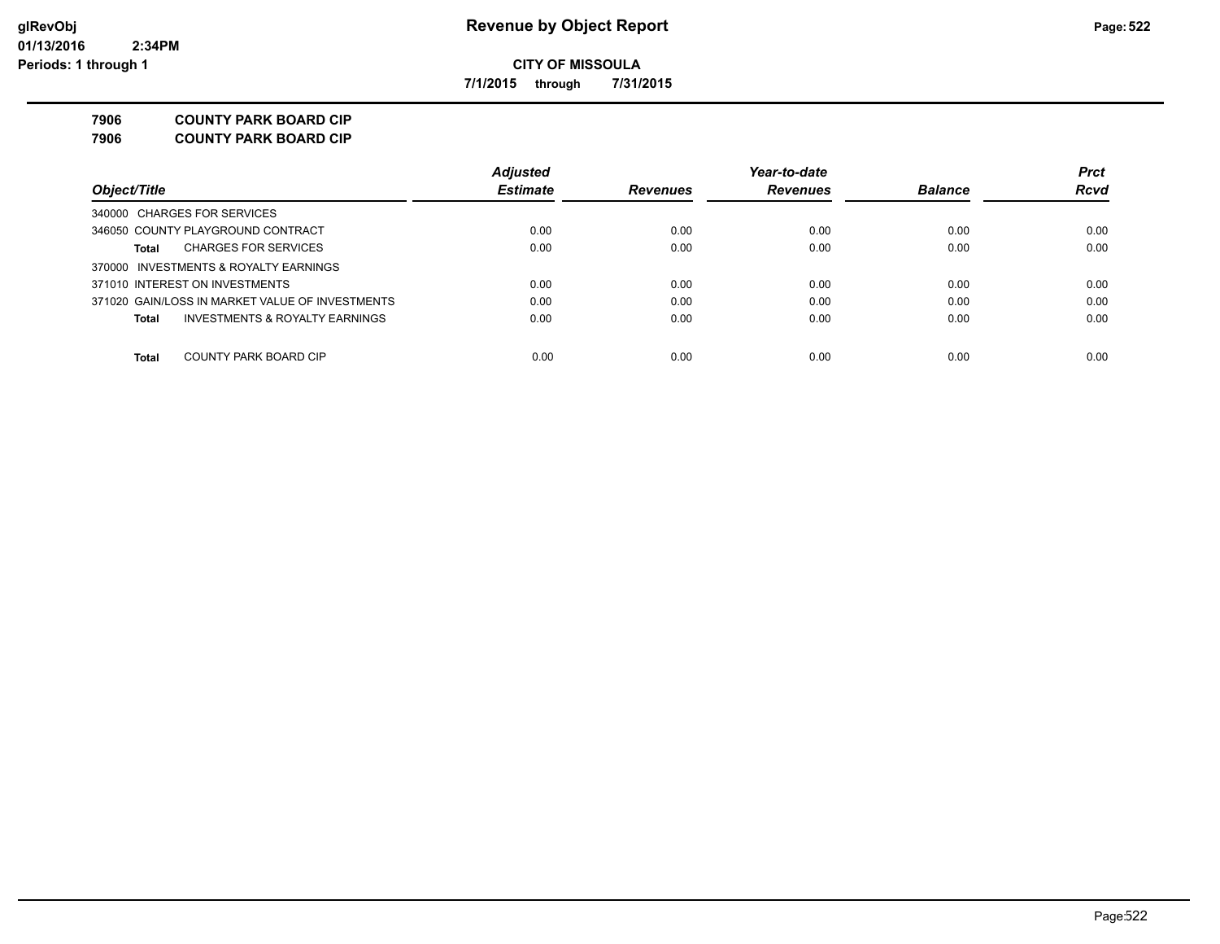**7/1/2015 through 7/31/2015**

**7906 COUNTY PARK BOARD CIP**

**7906 COUNTY PARK BOARD CIP**

|                                                 | <b>Adjusted</b> |                 | Year-to-date    |                | <b>Prct</b> |
|-------------------------------------------------|-----------------|-----------------|-----------------|----------------|-------------|
| Object/Title                                    | <b>Estimate</b> | <b>Revenues</b> | <b>Revenues</b> | <b>Balance</b> | <b>Rcvd</b> |
| 340000 CHARGES FOR SERVICES                     |                 |                 |                 |                |             |
| 346050 COUNTY PLAYGROUND CONTRACT               | 0.00            | 0.00            | 0.00            | 0.00           | 0.00        |
| <b>CHARGES FOR SERVICES</b><br>Total            | 0.00            | 0.00            | 0.00            | 0.00           | 0.00        |
| 370000 INVESTMENTS & ROYALTY EARNINGS           |                 |                 |                 |                |             |
| 371010 INTEREST ON INVESTMENTS                  | 0.00            | 0.00            | 0.00            | 0.00           | 0.00        |
| 371020 GAIN/LOSS IN MARKET VALUE OF INVESTMENTS | 0.00            | 0.00            | 0.00            | 0.00           | 0.00        |
| INVESTMENTS & ROYALTY EARNINGS<br>Total         | 0.00            | 0.00            | 0.00            | 0.00           | 0.00        |
| COUNTY PARK BOARD CIP<br>Total                  | 0.00            | 0.00            | 0.00            | 0.00           | 0.00        |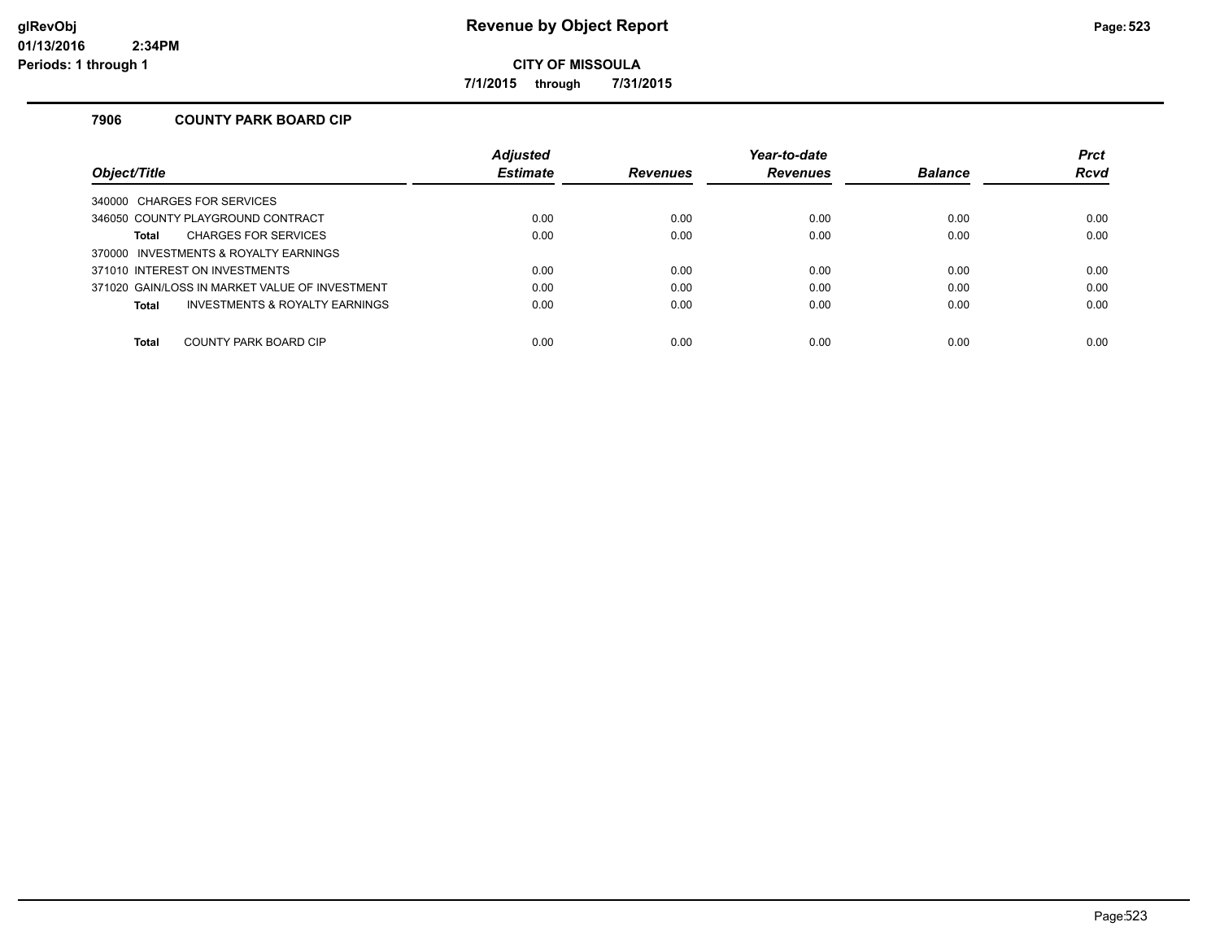**7/1/2015 through 7/31/2015**

#### **7906 COUNTY PARK BOARD CIP**

|                                                | <b>Adjusted</b> |                 | Year-to-date    |                | <b>Prct</b> |
|------------------------------------------------|-----------------|-----------------|-----------------|----------------|-------------|
| Object/Title                                   | <b>Estimate</b> | <b>Revenues</b> | <b>Revenues</b> | <b>Balance</b> | <b>Rcvd</b> |
| 340000 CHARGES FOR SERVICES                    |                 |                 |                 |                |             |
| 346050 COUNTY PLAYGROUND CONTRACT              | 0.00            | 0.00            | 0.00            | 0.00           | 0.00        |
| <b>CHARGES FOR SERVICES</b><br><b>Total</b>    | 0.00            | 0.00            | 0.00            | 0.00           | 0.00        |
| 370000 INVESTMENTS & ROYALTY EARNINGS          |                 |                 |                 |                |             |
| 371010 INTEREST ON INVESTMENTS                 | 0.00            | 0.00            | 0.00            | 0.00           | 0.00        |
| 371020 GAIN/LOSS IN MARKET VALUE OF INVESTMENT | 0.00            | 0.00            | 0.00            | 0.00           | 0.00        |
| INVESTMENTS & ROYALTY EARNINGS<br><b>Total</b> | 0.00            | 0.00            | 0.00            | 0.00           | 0.00        |
|                                                |                 |                 |                 |                |             |
| <b>Total</b><br>COUNTY PARK BOARD CIP          | 0.00            | 0.00            | 0.00            | 0.00           | 0.00        |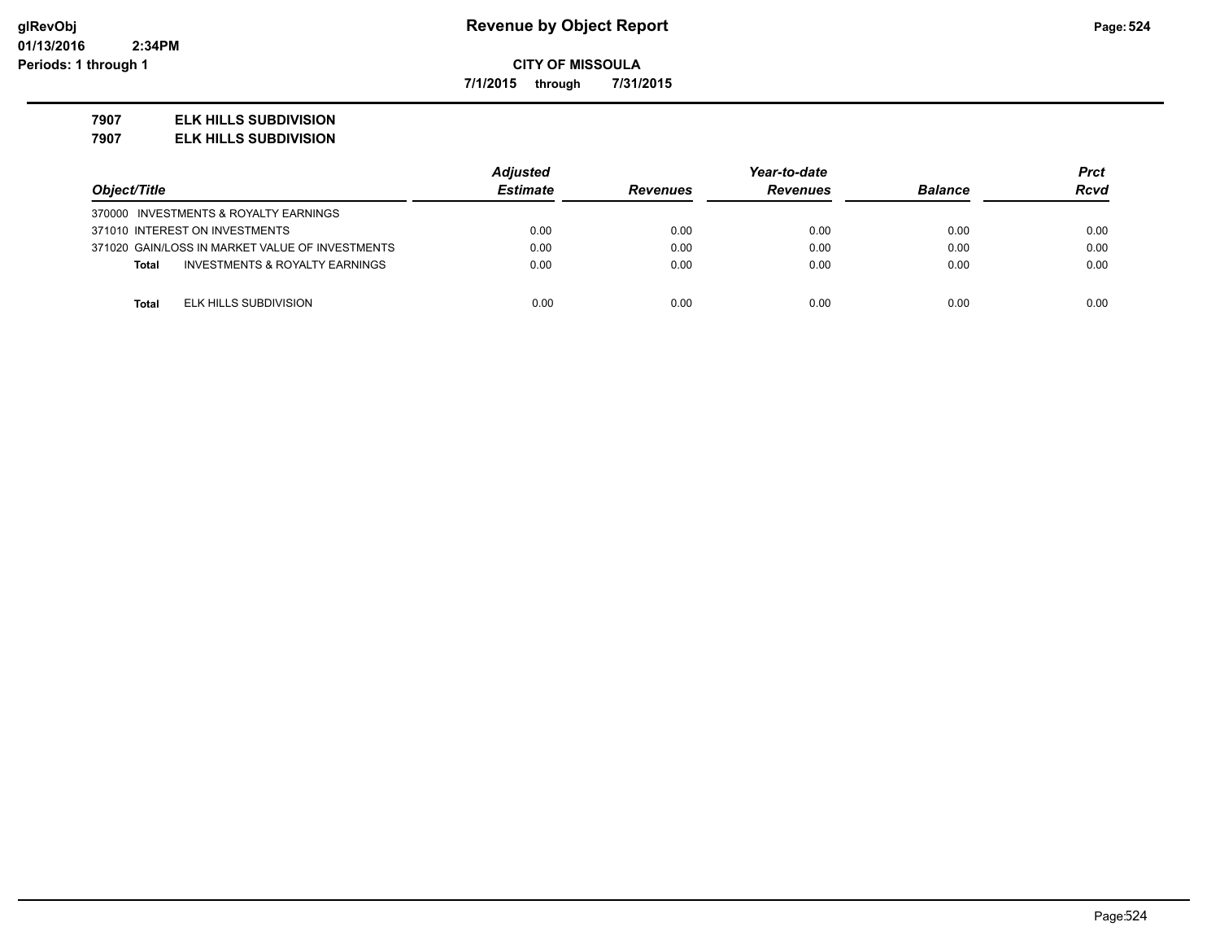**7/1/2015 through 7/31/2015**

#### **7907 ELK HILLS SUBDIVISION**

**7907 ELK HILLS SUBDIVISION**

|                                                 | <b>Adjusted</b> |                 | Year-to-date    |                |             |
|-------------------------------------------------|-----------------|-----------------|-----------------|----------------|-------------|
| Object/Title                                    | <b>Estimate</b> | <b>Revenues</b> | <b>Revenues</b> | <b>Balance</b> | <b>Rcvd</b> |
| 370000 INVESTMENTS & ROYALTY EARNINGS           |                 |                 |                 |                |             |
| 371010 INTEREST ON INVESTMENTS                  | 0.00            | 0.00            | 0.00            | 0.00           | 0.00        |
| 371020 GAIN/LOSS IN MARKET VALUE OF INVESTMENTS | 0.00            | 0.00            | 0.00            | 0.00           | 0.00        |
| INVESTMENTS & ROYALTY EARNINGS<br><b>Total</b>  | 0.00            | 0.00            | 0.00            | 0.00           | 0.00        |
|                                                 |                 |                 |                 |                |             |
| ELK HILLS SUBDIVISION<br><b>Total</b>           | 0.00            | 0.00            | 0.00            | 0.00           | 0.00        |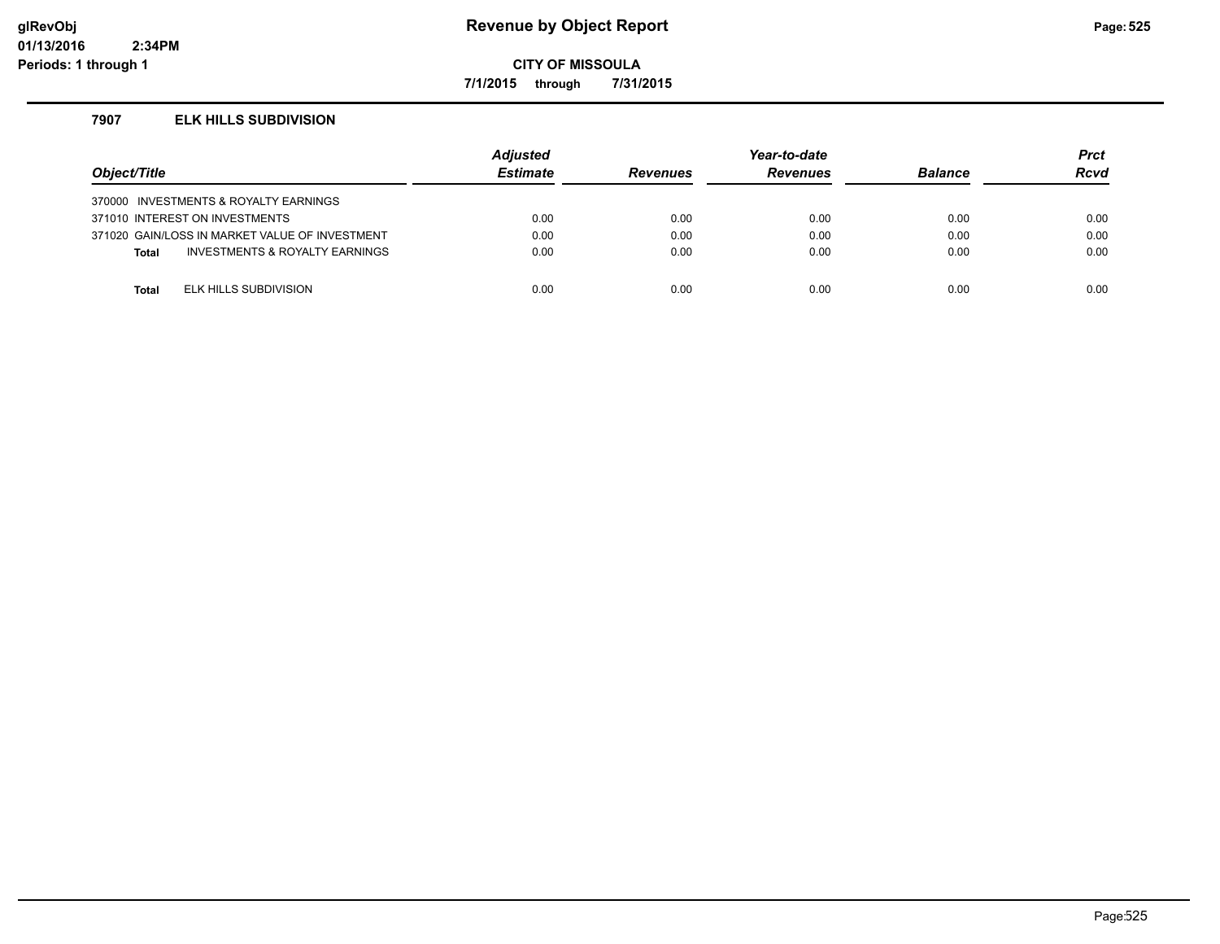#### **glRevObj Revenue by Object Report Page:525**

**CITY OF MISSOULA**

**7/1/2015 through 7/31/2015**

#### **7907 ELK HILLS SUBDIVISION**

| Object/Title |                                                | <b>Adjusted</b><br><b>Estimate</b> | <b>Revenues</b> | Year-to-date<br><b>Revenues</b> | <b>Balance</b> | <b>Prct</b><br>Rcvd |
|--------------|------------------------------------------------|------------------------------------|-----------------|---------------------------------|----------------|---------------------|
|              | 370000 INVESTMENTS & ROYALTY EARNINGS          |                                    |                 |                                 |                |                     |
|              | 371010 INTEREST ON INVESTMENTS                 | 0.00                               | 0.00            | 0.00                            | 0.00           | 0.00                |
|              | 371020 GAIN/LOSS IN MARKET VALUE OF INVESTMENT | 0.00                               | 0.00            | 0.00                            | 0.00           | 0.00                |
| <b>Total</b> | <b>INVESTMENTS &amp; ROYALTY EARNINGS</b>      | 0.00                               | 0.00            | 0.00                            | 0.00           | 0.00                |
|              |                                                |                                    |                 |                                 |                |                     |
| Total        | ELK HILLS SUBDIVISION                          | 0.00                               | 0.00            | 0.00                            | 0.00           | 0.00                |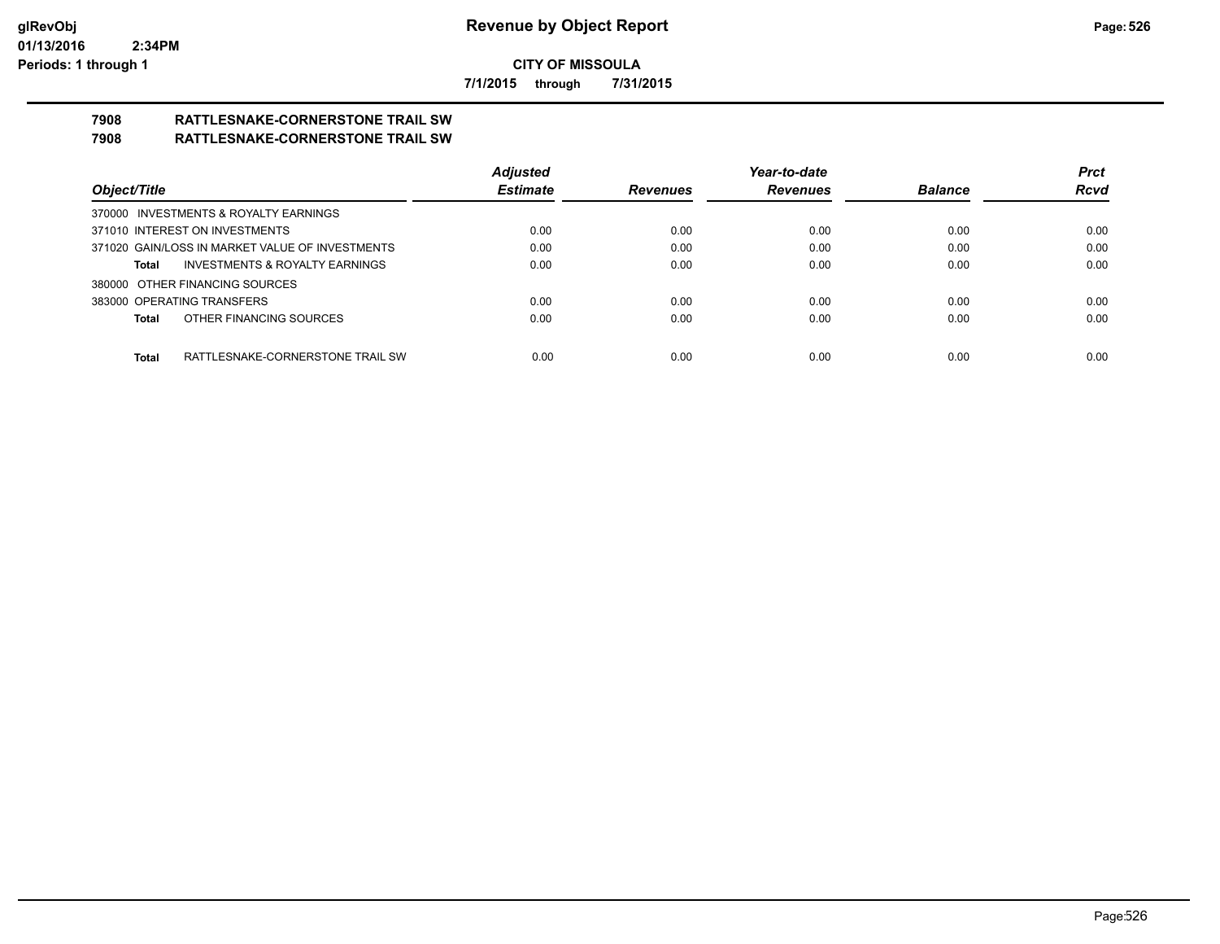**7/1/2015 through 7/31/2015**

# **7908 RATTLESNAKE-CORNERSTONE TRAIL SW**

## **7908 RATTLESNAKE-CORNERSTONE TRAIL SW**

|                                                 | <b>Adjusted</b> |                 | Year-to-date    |                | <b>Prct</b> |
|-------------------------------------------------|-----------------|-----------------|-----------------|----------------|-------------|
| Object/Title                                    | <b>Estimate</b> | <b>Revenues</b> | <b>Revenues</b> | <b>Balance</b> | <b>Rcvd</b> |
| 370000 INVESTMENTS & ROYALTY EARNINGS           |                 |                 |                 |                |             |
| 371010 INTEREST ON INVESTMENTS                  | 0.00            | 0.00            | 0.00            | 0.00           | 0.00        |
| 371020 GAIN/LOSS IN MARKET VALUE OF INVESTMENTS | 0.00            | 0.00            | 0.00            | 0.00           | 0.00        |
| INVESTMENTS & ROYALTY EARNINGS<br>Total         | 0.00            | 0.00            | 0.00            | 0.00           | 0.00        |
| 380000 OTHER FINANCING SOURCES                  |                 |                 |                 |                |             |
| 383000 OPERATING TRANSFERS                      | 0.00            | 0.00            | 0.00            | 0.00           | 0.00        |
| OTHER FINANCING SOURCES<br>Total                | 0.00            | 0.00            | 0.00            | 0.00           | 0.00        |
|                                                 |                 |                 |                 |                |             |
| Total<br>RATTLESNAKE-CORNERSTONE TRAIL SW       | 0.00            | 0.00            | 0.00            | 0.00           | 0.00        |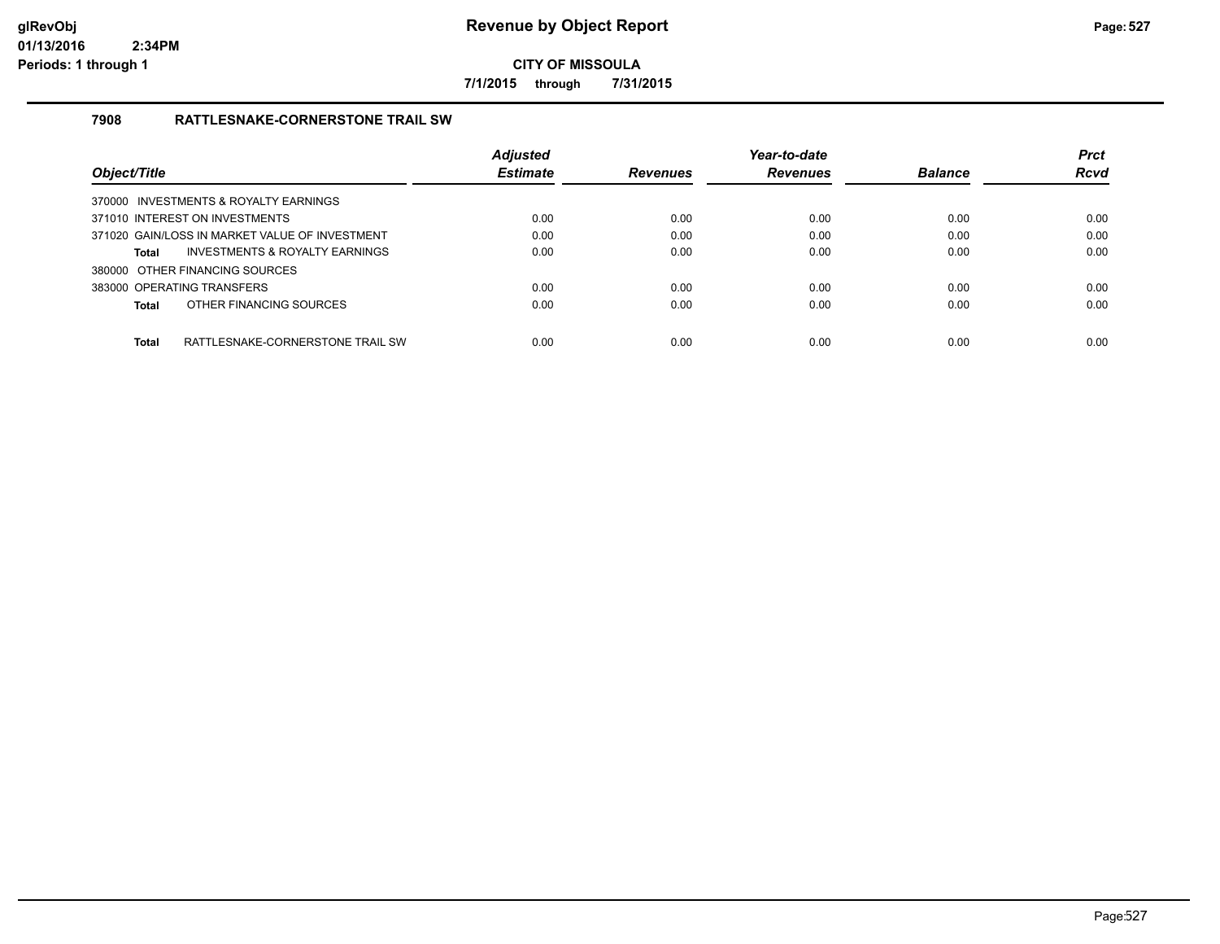**7/1/2015 through 7/31/2015**

#### **7908 RATTLESNAKE-CORNERSTONE TRAIL SW**

|                                                  | <b>Adjusted</b> |                 | Year-to-date    |                | <b>Prct</b> |
|--------------------------------------------------|-----------------|-----------------|-----------------|----------------|-------------|
| Object/Title                                     | <b>Estimate</b> | <b>Revenues</b> | <b>Revenues</b> | <b>Balance</b> | Rcvd        |
| 370000 INVESTMENTS & ROYALTY EARNINGS            |                 |                 |                 |                |             |
| 371010 INTEREST ON INVESTMENTS                   | 0.00            | 0.00            | 0.00            | 0.00           | 0.00        |
| 371020 GAIN/LOSS IN MARKET VALUE OF INVESTMENT   | 0.00            | 0.00            | 0.00            | 0.00           | 0.00        |
| INVESTMENTS & ROYALTY EARNINGS<br><b>Total</b>   | 0.00            | 0.00            | 0.00            | 0.00           | 0.00        |
| 380000 OTHER FINANCING SOURCES                   |                 |                 |                 |                |             |
| 383000 OPERATING TRANSFERS                       | 0.00            | 0.00            | 0.00            | 0.00           | 0.00        |
| OTHER FINANCING SOURCES<br><b>Total</b>          | 0.00            | 0.00            | 0.00            | 0.00           | 0.00        |
|                                                  |                 |                 |                 |                |             |
| <b>Total</b><br>RATTLESNAKE-CORNERSTONE TRAIL SW | 0.00            | 0.00            | 0.00            | 0.00           | 0.00        |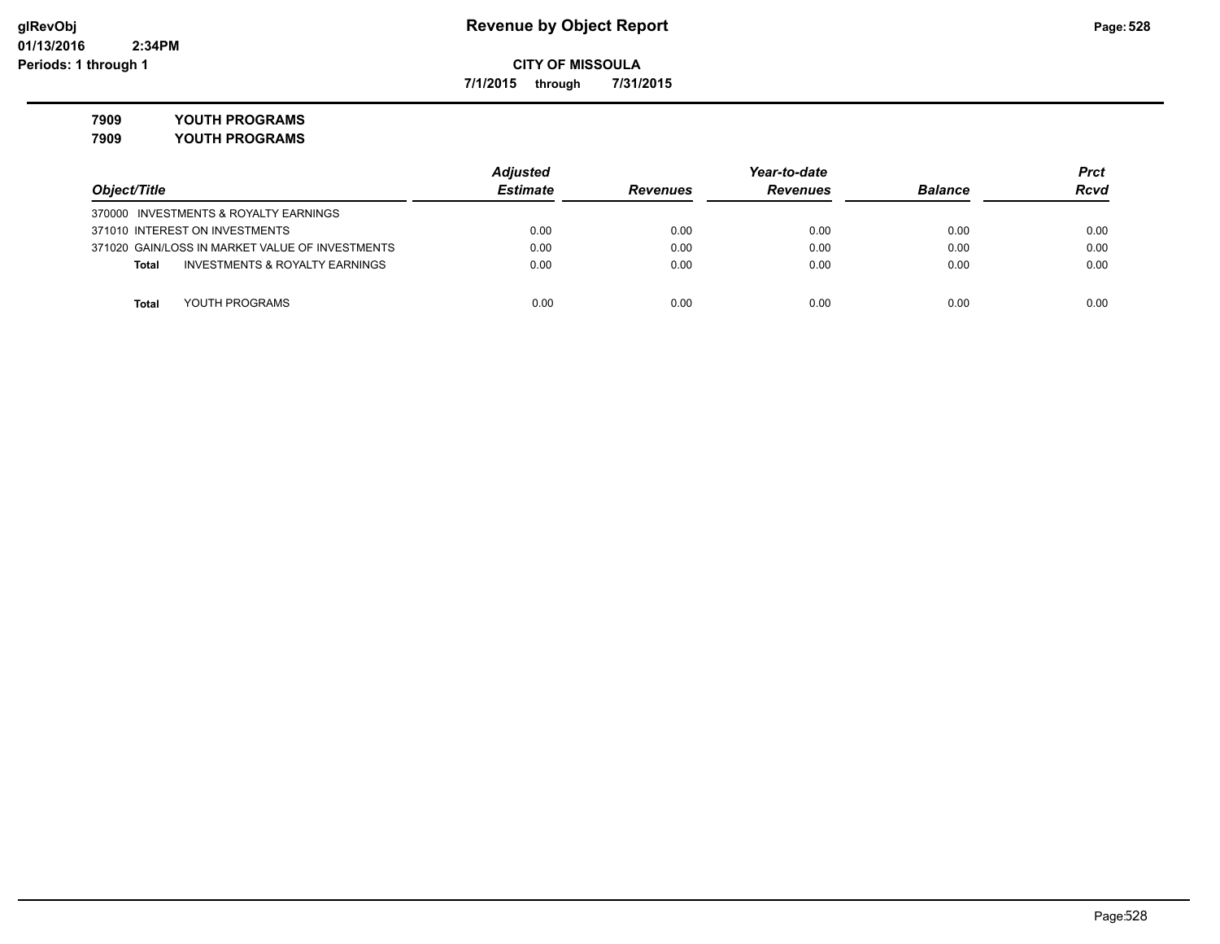**7/1/2015 through 7/31/2015**

**7909 YOUTH PROGRAMS**

**7909 YOUTH PROGRAMS**

|                                                 | <b>Adjusted</b> |                 | Year-to-date    |                | <b>Prct</b> |
|-------------------------------------------------|-----------------|-----------------|-----------------|----------------|-------------|
| Object/Title                                    | <b>Estimate</b> | <b>Revenues</b> | <b>Revenues</b> | <b>Balance</b> | <b>Rcvd</b> |
| 370000 INVESTMENTS & ROYALTY EARNINGS           |                 |                 |                 |                |             |
| 371010 INTEREST ON INVESTMENTS                  | 0.00            | 0.00            | 0.00            | 0.00           | 0.00        |
| 371020 GAIN/LOSS IN MARKET VALUE OF INVESTMENTS | 0.00            | 0.00            | 0.00            | 0.00           | 0.00        |
| INVESTMENTS & ROYALTY EARNINGS<br>Total         | 0.00            | 0.00            | 0.00            | 0.00           | 0.00        |
|                                                 |                 |                 |                 |                |             |
| YOUTH PROGRAMS<br>Total                         | 0.00            | 0.00            | 0.00            | 0.00           | 0.00        |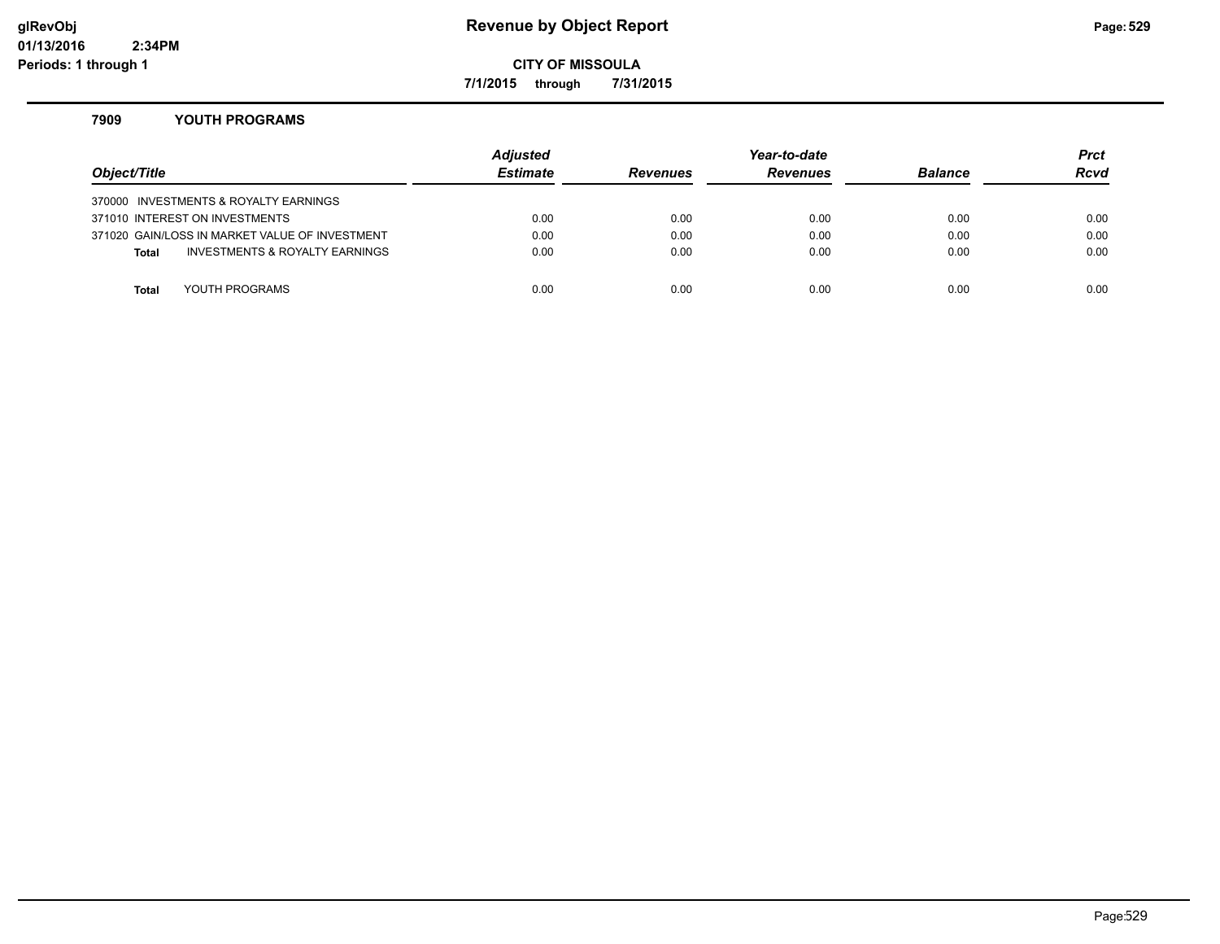#### **glRevObj Revenue by Object Report Page:529**

**CITY OF MISSOULA**

**7/1/2015 through 7/31/2015**

#### **7909 YOUTH PROGRAMS**

| Object/Title |                                                | Adjusted<br><b>Estimate</b> | <b>Revenues</b> | Year-to-date<br><b>Revenues</b> | <b>Balance</b> | <b>Prct</b><br>Rcvd |
|--------------|------------------------------------------------|-----------------------------|-----------------|---------------------------------|----------------|---------------------|
|              | 370000 INVESTMENTS & ROYALTY EARNINGS          |                             |                 |                                 |                |                     |
|              | 371010 INTEREST ON INVESTMENTS                 | 0.00                        | 0.00            | 0.00                            | 0.00           | 0.00                |
|              | 371020 GAIN/LOSS IN MARKET VALUE OF INVESTMENT | 0.00                        | 0.00            | 0.00                            | 0.00           | 0.00                |
| <b>Total</b> | <b>INVESTMENTS &amp; ROYALTY EARNINGS</b>      | 0.00                        | 0.00            | 0.00                            | 0.00           | 0.00                |
|              |                                                |                             |                 |                                 |                |                     |
| Total        | YOUTH PROGRAMS                                 | 0.00                        | 0.00            | 0.00                            | 0.00           | 0.00                |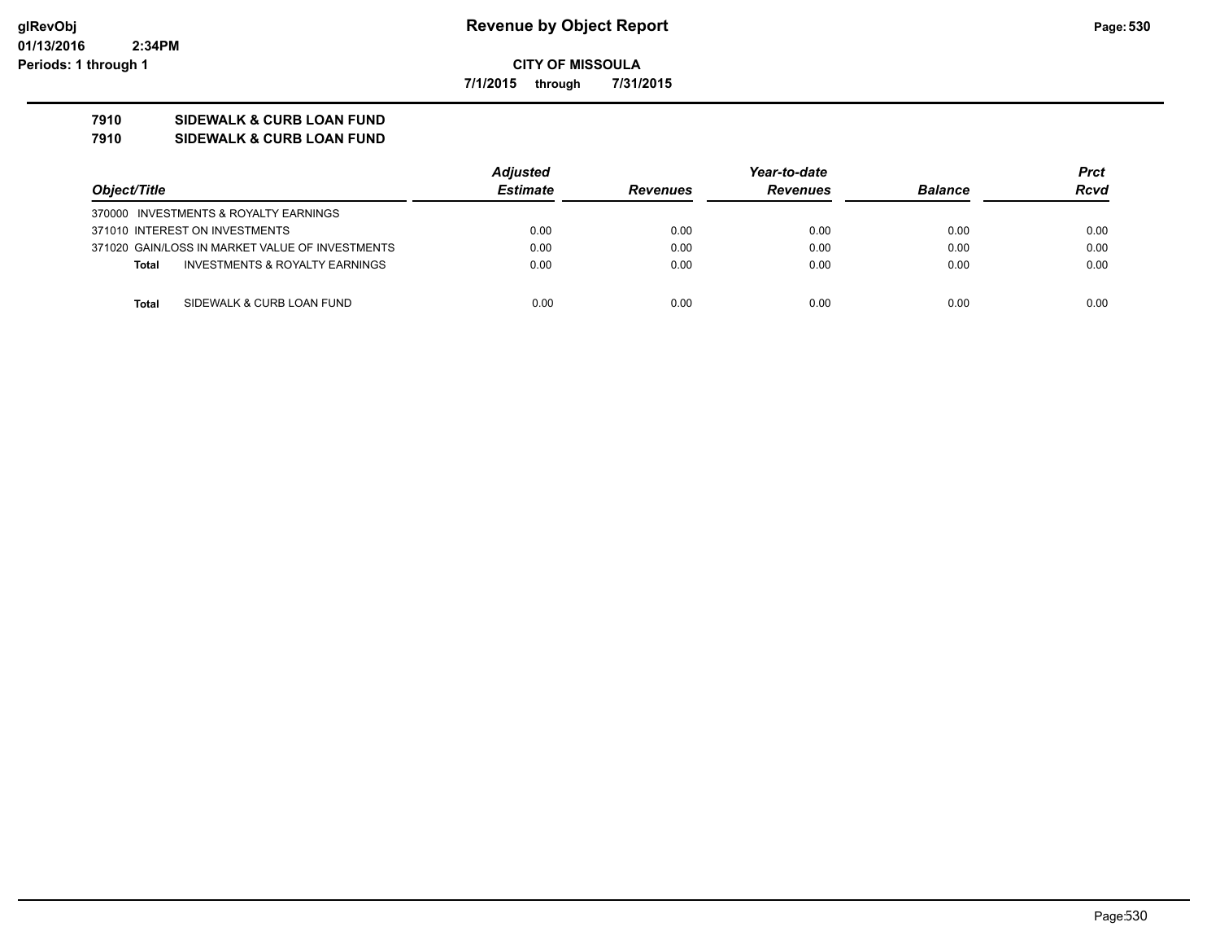**7/1/2015 through 7/31/2015**

### **7910 SIDEWALK & CURB LOAN FUND**

**7910 SIDEWALK & CURB LOAN FUND**

|                                                 | <b>Adjusted</b> |                 | Year-to-date    |                | Prct        |
|-------------------------------------------------|-----------------|-----------------|-----------------|----------------|-------------|
| Object/Title                                    | <b>Estimate</b> | <b>Revenues</b> | <b>Revenues</b> | <b>Balance</b> | <b>Rcvd</b> |
| 370000 INVESTMENTS & ROYALTY EARNINGS           |                 |                 |                 |                |             |
| 371010 INTEREST ON INVESTMENTS                  | 0.00            | 0.00            | 0.00            | 0.00           | 0.00        |
| 371020 GAIN/LOSS IN MARKET VALUE OF INVESTMENTS | 0.00            | 0.00            | 0.00            | 0.00           | 0.00        |
| INVESTMENTS & ROYALTY EARNINGS<br><b>Total</b>  | 0.00            | 0.00            | 0.00            | 0.00           | 0.00        |
|                                                 |                 |                 |                 |                |             |
| SIDEWALK & CURB LOAN FUND<br><b>Total</b>       | 0.00            | 0.00            | 0.00            | 0.00           | 0.00        |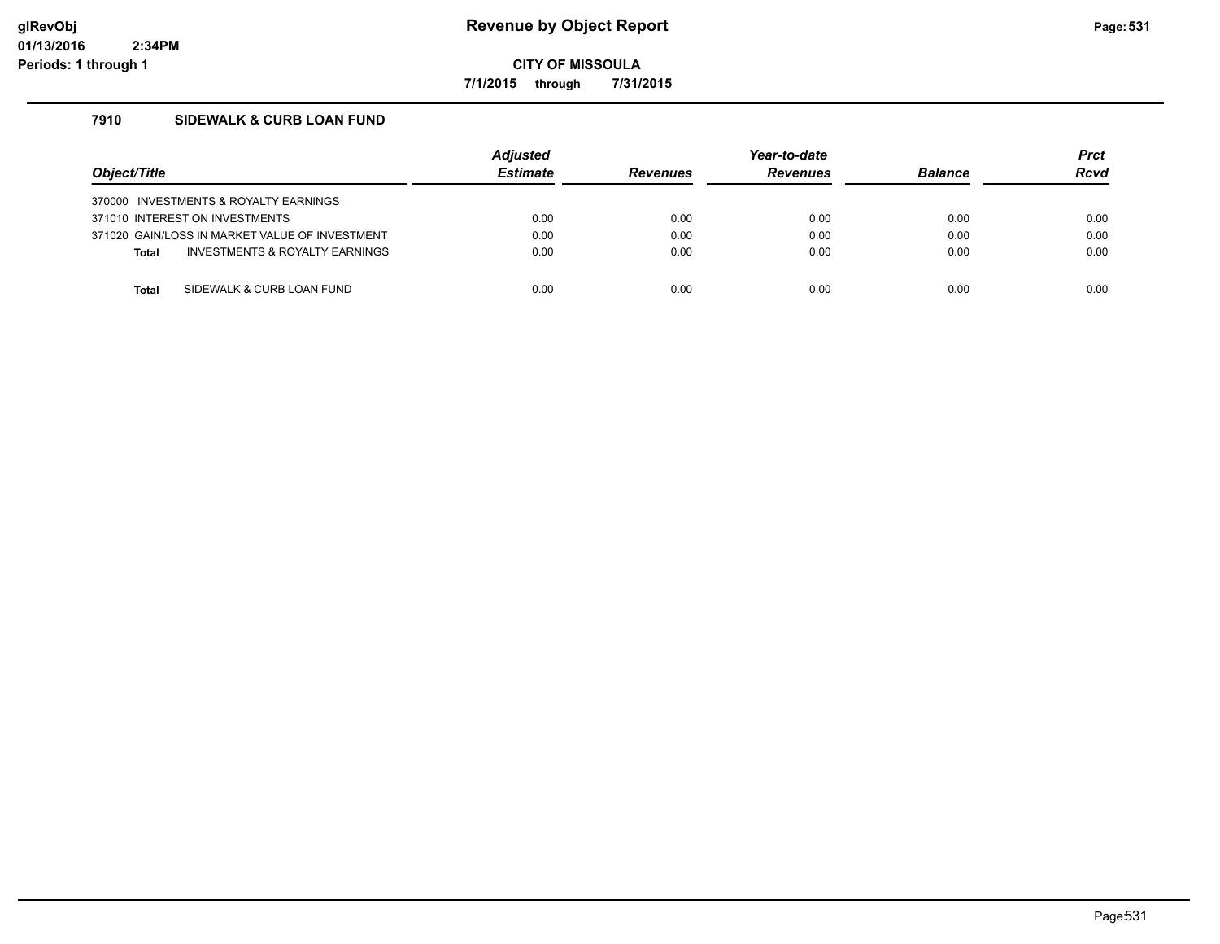**7/1/2015 through 7/31/2015**

#### **7910 SIDEWALK & CURB LOAN FUND**

| Object/Title                          |                                                | <b>Adiusted</b><br><b>Estimate</b> | <b>Revenues</b> | Year-to-date<br><b>Revenues</b> | <b>Balance</b> | <b>Prct</b><br><b>Rcvd</b> |
|---------------------------------------|------------------------------------------------|------------------------------------|-----------------|---------------------------------|----------------|----------------------------|
| 370000 INVESTMENTS & ROYALTY EARNINGS |                                                |                                    |                 |                                 |                |                            |
| 371010 INTEREST ON INVESTMENTS        |                                                | 0.00                               | 0.00            | 0.00                            | 0.00           | 0.00                       |
|                                       | 371020 GAIN/LOSS IN MARKET VALUE OF INVESTMENT | 0.00                               | 0.00            | 0.00                            | 0.00           | 0.00                       |
| <b>Total</b>                          | INVESTMENTS & ROYALTY EARNINGS                 | 0.00                               | 0.00            | 0.00                            | 0.00           | 0.00                       |
|                                       |                                                |                                    |                 |                                 |                |                            |
| Total                                 | SIDEWALK & CURB LOAN FUND                      | 0.00                               | 0.00            | 0.00                            | 0.00           | 0.00                       |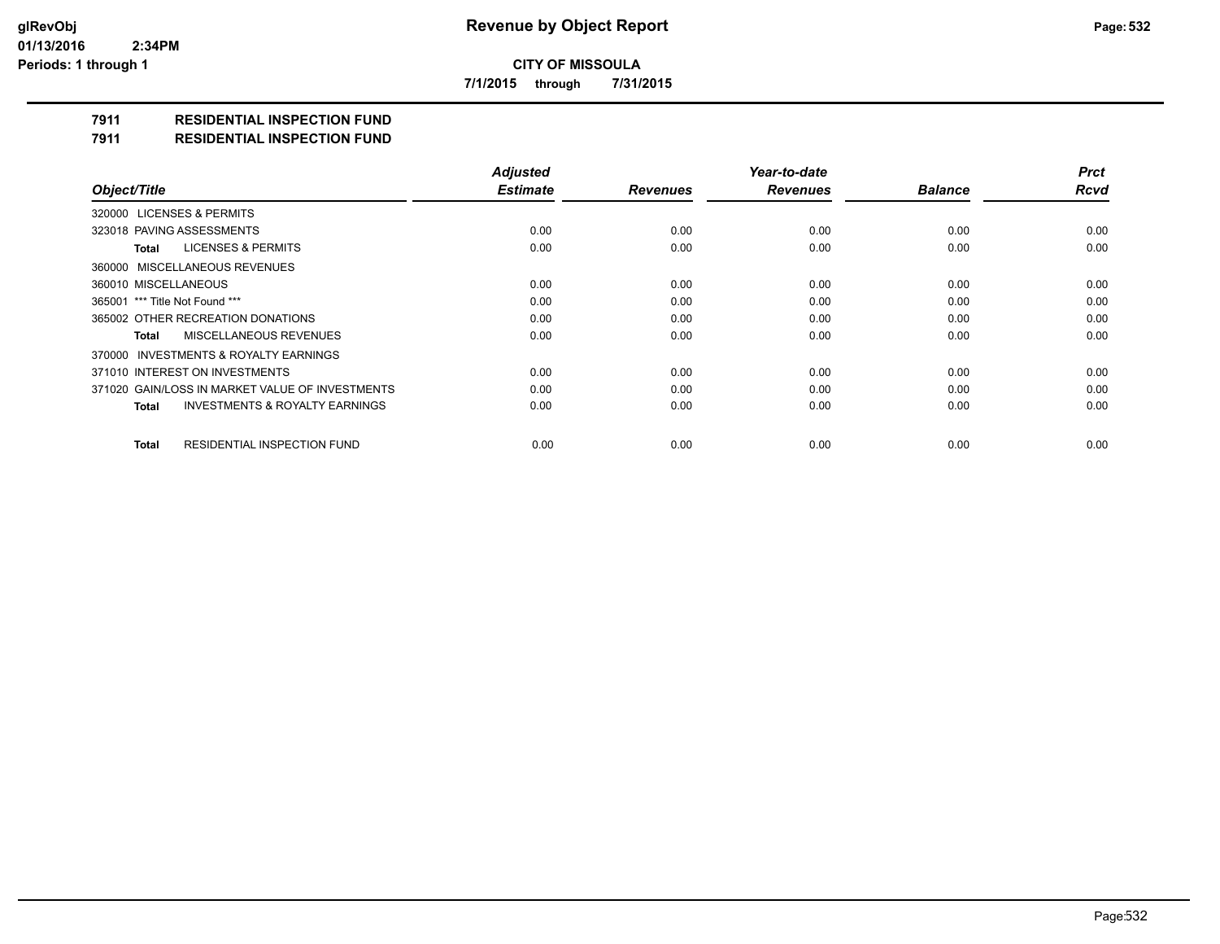**7/1/2015 through 7/31/2015**

## **7911 RESIDENTIAL INSPECTION FUND**

#### **7911 RESIDENTIAL INSPECTION FUND**

|                                                    | <b>Adjusted</b> |                 | Year-to-date    |                | <b>Prct</b> |
|----------------------------------------------------|-----------------|-----------------|-----------------|----------------|-------------|
| Object/Title                                       | <b>Estimate</b> | <b>Revenues</b> | <b>Revenues</b> | <b>Balance</b> | <b>Rcvd</b> |
| 320000 LICENSES & PERMITS                          |                 |                 |                 |                |             |
| 323018 PAVING ASSESSMENTS                          | 0.00            | 0.00            | 0.00            | 0.00           | 0.00        |
| LICENSES & PERMITS<br>Total                        | 0.00            | 0.00            | 0.00            | 0.00           | 0.00        |
| 360000 MISCELLANEOUS REVENUES                      |                 |                 |                 |                |             |
| 360010 MISCELLANEOUS                               | 0.00            | 0.00            | 0.00            | 0.00           | 0.00        |
| 365001 *** Title Not Found ***                     | 0.00            | 0.00            | 0.00            | 0.00           | 0.00        |
| 365002 OTHER RECREATION DONATIONS                  | 0.00            | 0.00            | 0.00            | 0.00           | 0.00        |
| MISCELLANEOUS REVENUES<br><b>Total</b>             | 0.00            | 0.00            | 0.00            | 0.00           | 0.00        |
| 370000 INVESTMENTS & ROYALTY EARNINGS              |                 |                 |                 |                |             |
| 371010 INTEREST ON INVESTMENTS                     | 0.00            | 0.00            | 0.00            | 0.00           | 0.00        |
| 371020 GAIN/LOSS IN MARKET VALUE OF INVESTMENTS    | 0.00            | 0.00            | 0.00            | 0.00           | 0.00        |
| <b>INVESTMENTS &amp; ROYALTY EARNINGS</b><br>Total | 0.00            | 0.00            | 0.00            | 0.00           | 0.00        |
|                                                    |                 |                 |                 |                |             |
| RESIDENTIAL INSPECTION FUND<br><b>Total</b>        | 0.00            | 0.00            | 0.00            | 0.00           | 0.00        |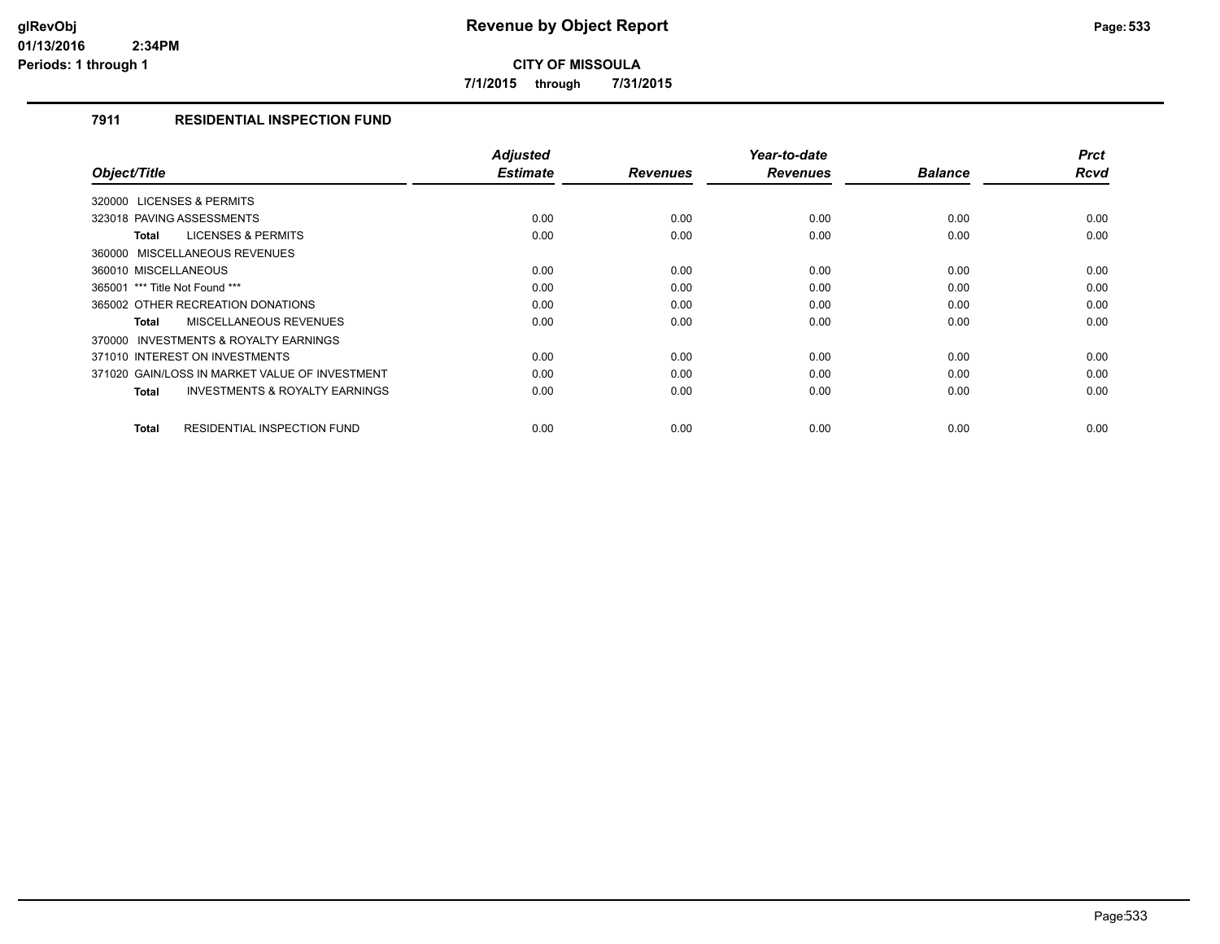**7/1/2015 through 7/31/2015**

#### **7911 RESIDENTIAL INSPECTION FUND**

| Object/Title                                       | <b>Adjusted</b><br><b>Estimate</b> | <b>Revenues</b> | Year-to-date<br><b>Revenues</b> | <b>Balance</b> | <b>Prct</b><br>Rcvd |
|----------------------------------------------------|------------------------------------|-----------------|---------------------------------|----------------|---------------------|
|                                                    |                                    |                 |                                 |                |                     |
| 320000 LICENSES & PERMITS                          |                                    |                 |                                 |                |                     |
| 323018 PAVING ASSESSMENTS                          | 0.00                               | 0.00            | 0.00                            | 0.00           | 0.00                |
| <b>LICENSES &amp; PERMITS</b><br><b>Total</b>      | 0.00                               | 0.00            | 0.00                            | 0.00           | 0.00                |
| 360000 MISCELLANEOUS REVENUES                      |                                    |                 |                                 |                |                     |
| 360010 MISCELLANEOUS                               | 0.00                               | 0.00            | 0.00                            | 0.00           | 0.00                |
| 365001 *** Title Not Found ***                     | 0.00                               | 0.00            | 0.00                            | 0.00           | 0.00                |
| 365002 OTHER RECREATION DONATIONS                  | 0.00                               | 0.00            | 0.00                            | 0.00           | 0.00                |
| <b>MISCELLANEOUS REVENUES</b><br>Total             | 0.00                               | 0.00            | 0.00                            | 0.00           | 0.00                |
| INVESTMENTS & ROYALTY EARNINGS<br>370000           |                                    |                 |                                 |                |                     |
| 371010 INTEREST ON INVESTMENTS                     | 0.00                               | 0.00            | 0.00                            | 0.00           | 0.00                |
| 371020 GAIN/LOSS IN MARKET VALUE OF INVESTMENT     | 0.00                               | 0.00            | 0.00                            | 0.00           | 0.00                |
| <b>INVESTMENTS &amp; ROYALTY EARNINGS</b><br>Total | 0.00                               | 0.00            | 0.00                            | 0.00           | 0.00                |
|                                                    |                                    |                 |                                 |                |                     |
| <b>RESIDENTIAL INSPECTION FUND</b><br><b>Total</b> | 0.00                               | 0.00            | 0.00                            | 0.00           | 0.00                |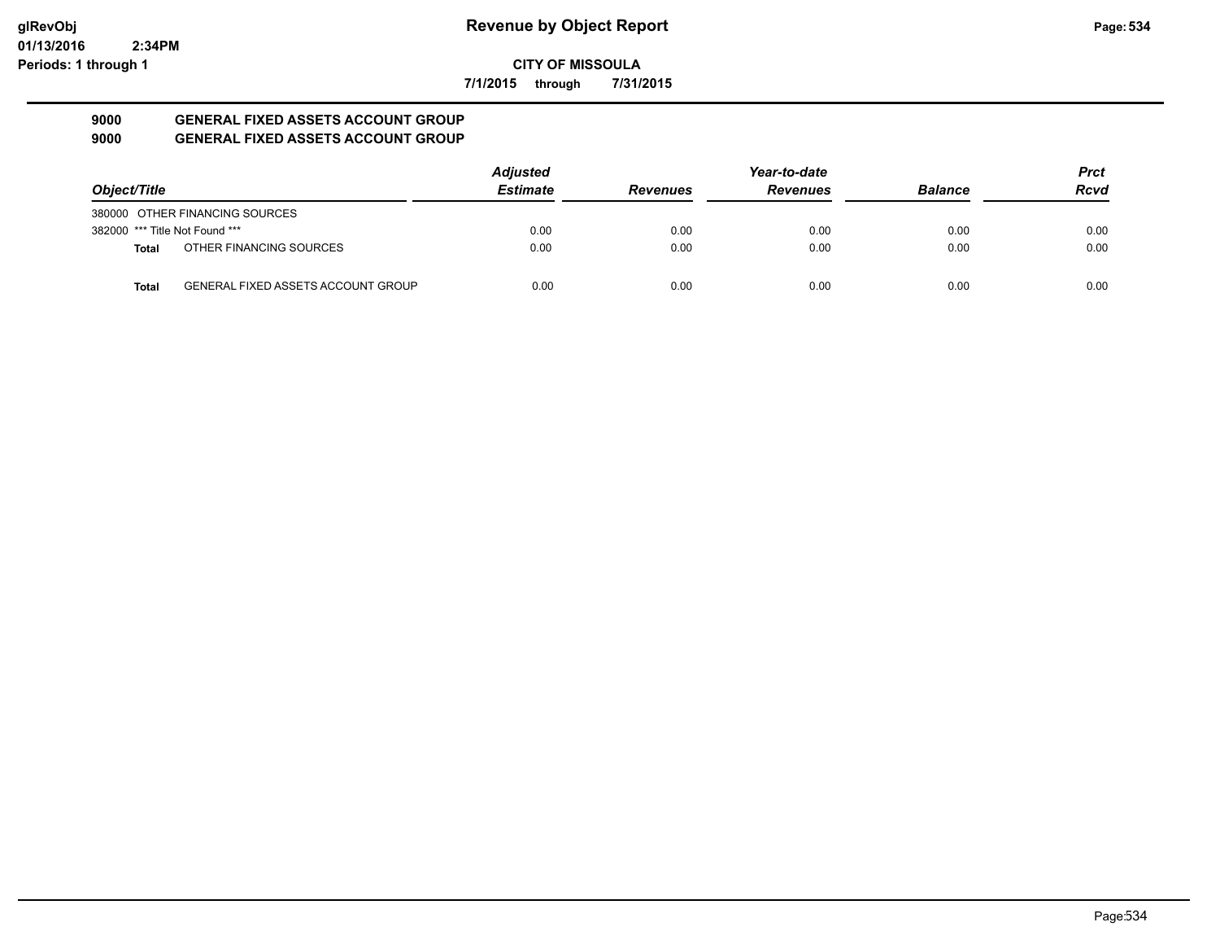**7/1/2015 through 7/31/2015**

#### **9000 GENERAL FIXED ASSETS ACCOUNT GROUP 9000 GENERAL FIXED ASSETS ACCOUNT GROUP**

|                                |                                           | <b>Adjusted</b> |                 | Year-to-date    |                | <b>Prct</b> |
|--------------------------------|-------------------------------------------|-----------------|-----------------|-----------------|----------------|-------------|
| Object/Title                   |                                           | <b>Estimate</b> | <b>Revenues</b> | <b>Revenues</b> | <b>Balance</b> | <b>Rcvd</b> |
|                                | 380000 OTHER FINANCING SOURCES            |                 |                 |                 |                |             |
| 382000 *** Title Not Found *** |                                           | 0.00            | 0.00            | 0.00            | 0.00           | 0.00        |
| <b>Total</b>                   | OTHER FINANCING SOURCES                   | 0.00            | 0.00            | 0.00            | 0.00           | 0.00        |
| <b>Total</b>                   | <b>GENERAL FIXED ASSETS ACCOUNT GROUP</b> | 0.00            | 0.00            | 0.00            | 0.00           | 0.00        |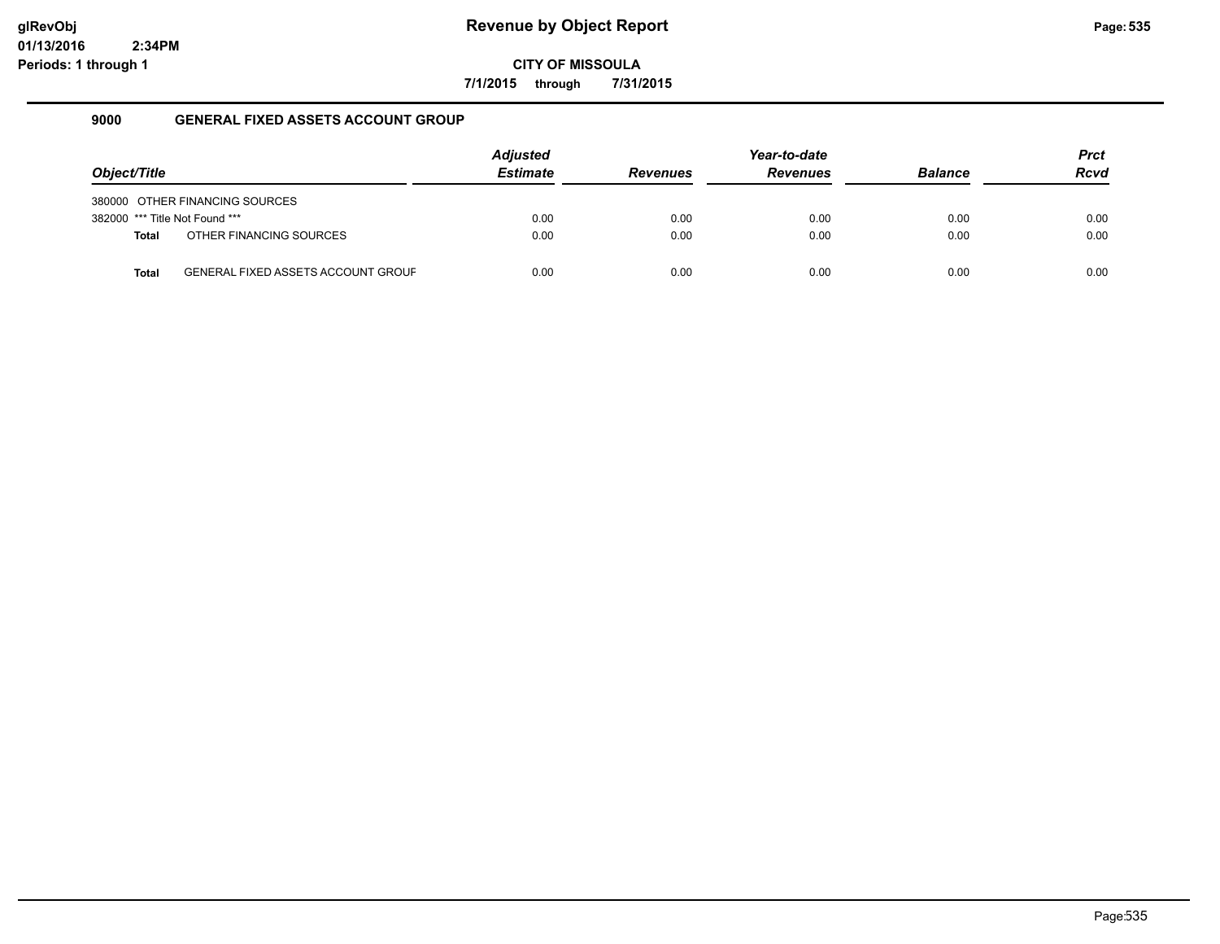**7/1/2015 through 7/31/2015**

#### **9000 GENERAL FIXED ASSETS ACCOUNT GROUP**

|                                |                                           | <b>Adjusted</b> |                 | Year-to-date    |                | <b>Prct</b> |
|--------------------------------|-------------------------------------------|-----------------|-----------------|-----------------|----------------|-------------|
| Object/Title                   |                                           | <b>Estimate</b> | <b>Revenues</b> | <b>Revenues</b> | <b>Balance</b> | <b>Rcvd</b> |
|                                | 380000 OTHER FINANCING SOURCES            |                 |                 |                 |                |             |
| 382000 *** Title Not Found *** |                                           | 0.00            | 0.00            | 0.00            | 0.00           | 0.00        |
| <b>Total</b>                   | OTHER FINANCING SOURCES                   | 0.00            | 0.00            | 0.00            | 0.00           | 0.00        |
| <b>Total</b>                   | <b>GENERAL FIXED ASSETS ACCOUNT GROUF</b> | 0.00            | 0.00            | 0.00            | 0.00           | 0.00        |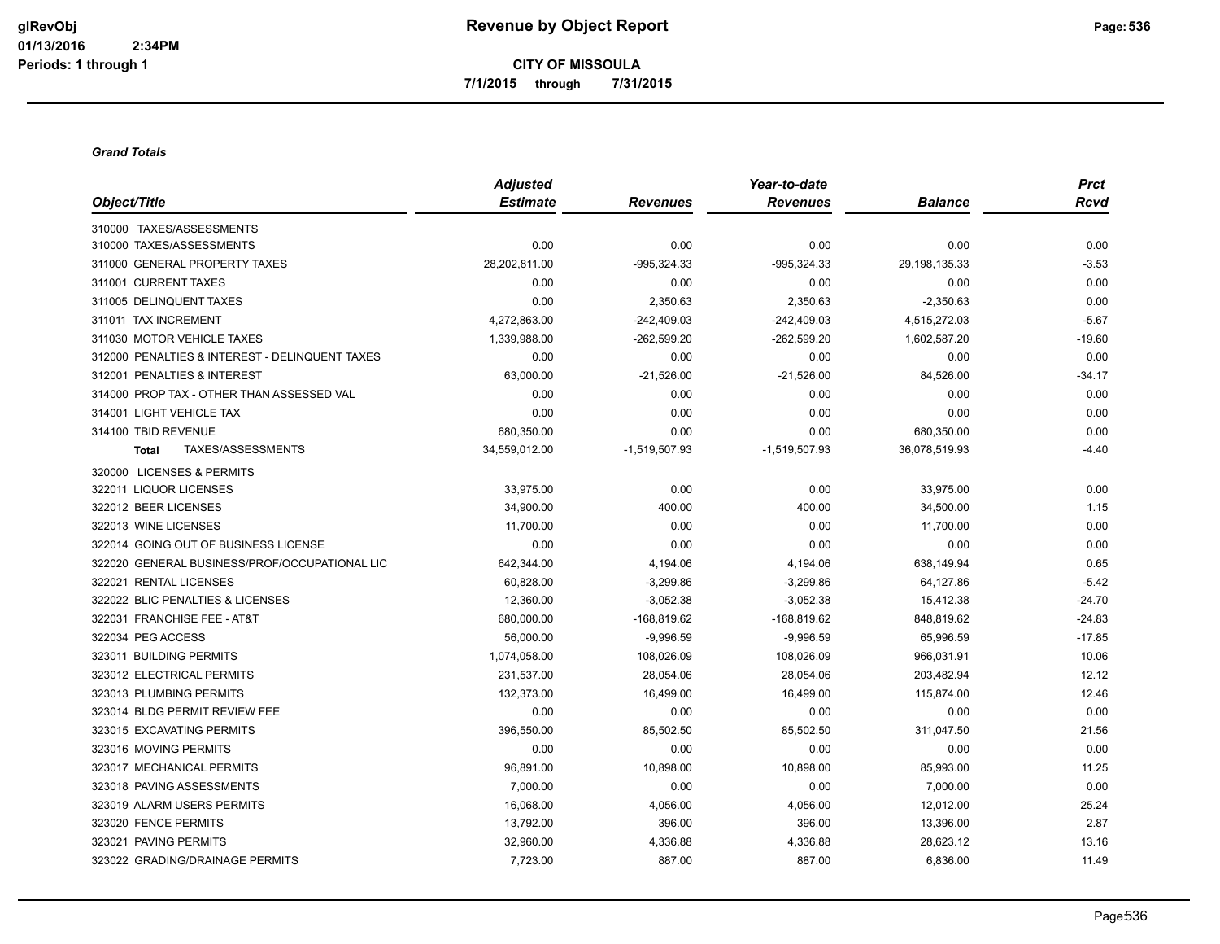**CITY OF MISSOULA 7/1/2015 through 7/31/2015**

#### *Grand Totals*

|                                                | <b>Adjusted</b> |                 | Year-to-date    |                  | <b>Prct</b> |
|------------------------------------------------|-----------------|-----------------|-----------------|------------------|-------------|
| Object/Title                                   | <b>Estimate</b> | <b>Revenues</b> | <b>Revenues</b> | <b>Balance</b>   | <b>Rcvd</b> |
| 310000 TAXES/ASSESSMENTS                       |                 |                 |                 |                  |             |
| 310000 TAXES/ASSESSMENTS                       | 0.00            | 0.00            | 0.00            | 0.00             | 0.00        |
| 311000 GENERAL PROPERTY TAXES                  | 28,202,811.00   | -995,324.33     | -995,324.33     | 29, 198, 135. 33 | $-3.53$     |
| 311001 CURRENT TAXES                           | 0.00            | 0.00            | 0.00            | 0.00             | 0.00        |
| 311005 DELINQUENT TAXES                        | 0.00            | 2,350.63        | 2,350.63        | $-2,350.63$      | 0.00        |
| 311011 TAX INCREMENT                           | 4,272,863.00    | $-242,409.03$   | $-242,409.03$   | 4,515,272.03     | $-5.67$     |
| 311030 MOTOR VEHICLE TAXES                     | 1,339,988.00    | $-262,599.20$   | $-262,599.20$   | 1,602,587.20     | $-19.60$    |
| 312000 PENALTIES & INTEREST - DELINQUENT TAXES | 0.00            | 0.00            | 0.00            | 0.00             | 0.00        |
| 312001 PENALTIES & INTEREST                    | 63,000.00       | $-21,526.00$    | $-21,526.00$    | 84,526.00        | $-34.17$    |
| 314000 PROP TAX - OTHER THAN ASSESSED VAL      | 0.00            | 0.00            | 0.00            | 0.00             | 0.00        |
| 314001 LIGHT VEHICLE TAX                       | 0.00            | 0.00            | 0.00            | 0.00             | 0.00        |
| 314100 TBID REVENUE                            | 680,350.00      | 0.00            | 0.00            | 680,350.00       | 0.00        |
| TAXES/ASSESSMENTS<br><b>Total</b>              | 34,559,012.00   | $-1,519,507.93$ | $-1,519,507.93$ | 36,078,519.93    | $-4.40$     |
| 320000 LICENSES & PERMITS                      |                 |                 |                 |                  |             |
| 322011 LIQUOR LICENSES                         | 33,975.00       | 0.00            | 0.00            | 33,975.00        | 0.00        |
| 322012 BEER LICENSES                           | 34,900.00       | 400.00          | 400.00          | 34,500.00        | 1.15        |
| 322013 WINE LICENSES                           | 11,700.00       | 0.00            | 0.00            | 11,700.00        | 0.00        |
| 322014 GOING OUT OF BUSINESS LICENSE           | 0.00            | 0.00            | 0.00            | 0.00             | 0.00        |
| 322020 GENERAL BUSINESS/PROF/OCCUPATIONAL LIC  | 642,344.00      | 4,194.06        | 4,194.06        | 638,149.94       | 0.65        |
| 322021 RENTAL LICENSES                         | 60,828.00       | $-3,299.86$     | $-3,299.86$     | 64,127.86        | $-5.42$     |
| 322022 BLIC PENALTIES & LICENSES               | 12,360.00       | $-3,052.38$     | $-3,052.38$     | 15,412.38        | $-24.70$    |
| 322031 FRANCHISE FEE - AT&T                    | 680,000.00      | -168,819.62     | -168,819.62     | 848,819.62       | $-24.83$    |
| 322034 PEG ACCESS                              | 56,000.00       | $-9,996.59$     | $-9,996.59$     | 65,996.59        | $-17.85$    |
| 323011 BUILDING PERMITS                        | 1,074,058.00    | 108,026.09      | 108,026.09      | 966,031.91       | 10.06       |
| 323012 ELECTRICAL PERMITS                      | 231,537.00      | 28,054.06       | 28,054.06       | 203,482.94       | 12.12       |
| 323013 PLUMBING PERMITS                        | 132,373.00      | 16,499.00       | 16,499.00       | 115,874.00       | 12.46       |
| 323014 BLDG PERMIT REVIEW FEE                  | 0.00            | 0.00            | 0.00            | 0.00             | 0.00        |
| 323015 EXCAVATING PERMITS                      | 396,550.00      | 85,502.50       | 85,502.50       | 311,047.50       | 21.56       |
| 323016 MOVING PERMITS                          | 0.00            | 0.00            | 0.00            | 0.00             | 0.00        |
| 323017 MECHANICAL PERMITS                      | 96,891.00       | 10,898.00       | 10,898.00       | 85,993.00        | 11.25       |
| 323018 PAVING ASSESSMENTS                      | 7,000.00        | 0.00            | 0.00            | 7,000.00         | 0.00        |
| 323019 ALARM USERS PERMITS                     | 16,068.00       | 4,056.00        | 4,056.00        | 12,012.00        | 25.24       |
| 323020 FENCE PERMITS                           | 13,792.00       | 396.00          | 396.00          | 13,396.00        | 2.87        |
| 323021 PAVING PERMITS                          | 32,960.00       | 4,336.88        | 4,336.88        | 28,623.12        | 13.16       |
| 323022 GRADING/DRAINAGE PERMITS                | 7,723.00        | 887.00          | 887.00          | 6,836.00         | 11.49       |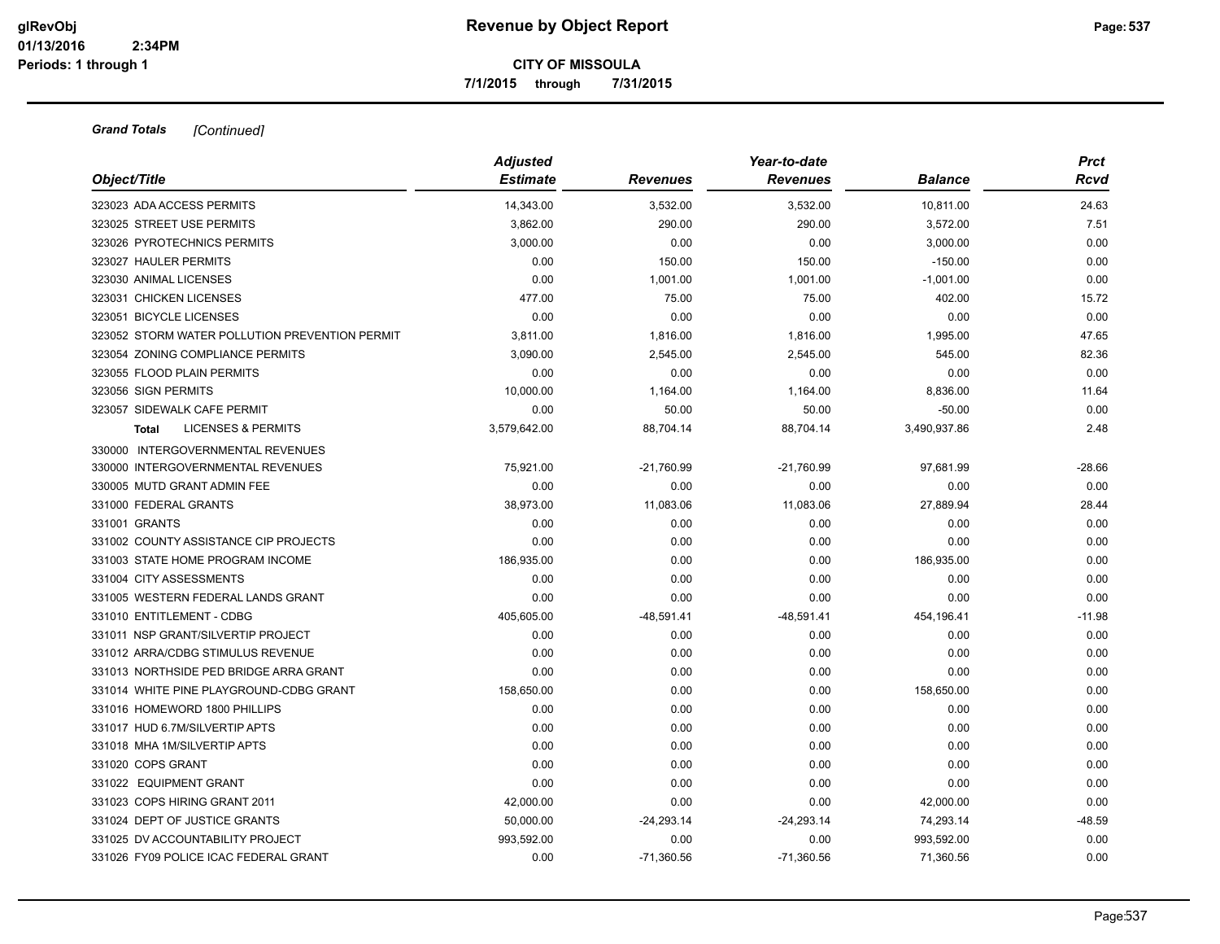**7/1/2015 through 7/31/2015**

| Object/Title                                   | <b>Adjusted</b><br><b>Estimate</b> | Revenues     | Year-to-date<br><b>Revenues</b> | <b>Balance</b> | <b>Prct</b><br>Rcvd |
|------------------------------------------------|------------------------------------|--------------|---------------------------------|----------------|---------------------|
| 323023 ADA ACCESS PERMITS                      | 14,343.00                          | 3,532.00     | 3,532.00                        | 10,811.00      | 24.63               |
| 323025 STREET USE PERMITS                      | 3,862.00                           | 290.00       | 290.00                          | 3,572.00       | 7.51                |
| 323026 PYROTECHNICS PERMITS                    | 3,000.00                           | 0.00         | 0.00                            | 3,000.00       | 0.00                |
| 323027 HAULER PERMITS                          | 0.00                               | 150.00       | 150.00                          | $-150.00$      | 0.00                |
| 323030 ANIMAL LICENSES                         | 0.00                               | 1,001.00     | 1,001.00                        | $-1,001.00$    | 0.00                |
| 323031 CHICKEN LICENSES                        | 477.00                             | 75.00        | 75.00                           | 402.00         | 15.72               |
| 323051 BICYCLE LICENSES                        | 0.00                               | 0.00         | 0.00                            | 0.00           | 0.00                |
| 323052 STORM WATER POLLUTION PREVENTION PERMIT | 3,811.00                           | 1,816.00     | 1,816.00                        | 1,995.00       | 47.65               |
| 323054 ZONING COMPLIANCE PERMITS               | 3,090.00                           | 2,545.00     | 2,545.00                        | 545.00         | 82.36               |
| 323055 FLOOD PLAIN PERMITS                     | 0.00                               | 0.00         | 0.00                            | 0.00           | 0.00                |
| 323056 SIGN PERMITS                            | 10,000.00                          | 1,164.00     | 1,164.00                        | 8,836.00       | 11.64               |
| 323057 SIDEWALK CAFE PERMIT                    | 0.00                               | 50.00        | 50.00                           | $-50.00$       | 0.00                |
| <b>LICENSES &amp; PERMITS</b><br>Total         | 3,579,642.00                       | 88,704.14    | 88,704.14                       | 3,490,937.86   | 2.48                |
| 330000 INTERGOVERNMENTAL REVENUES              |                                    |              |                                 |                |                     |
| 330000 INTERGOVERNMENTAL REVENUES              | 75,921.00                          | $-21,760.99$ | $-21,760.99$                    | 97,681.99      | $-28.66$            |
| 330005 MUTD GRANT ADMIN FEE                    | 0.00                               | 0.00         | 0.00                            | 0.00           | 0.00                |
| 331000 FEDERAL GRANTS                          | 38,973.00                          | 11,083.06    | 11,083.06                       | 27,889.94      | 28.44               |
| 331001 GRANTS                                  | 0.00                               | 0.00         | 0.00                            | 0.00           | 0.00                |
| 331002 COUNTY ASSISTANCE CIP PROJECTS          | 0.00                               | 0.00         | 0.00                            | 0.00           | 0.00                |
| 331003 STATE HOME PROGRAM INCOME               | 186,935.00                         | 0.00         | 0.00                            | 186,935.00     | 0.00                |
| 331004 CITY ASSESSMENTS                        | 0.00                               | 0.00         | 0.00                            | 0.00           | 0.00                |
| 331005 WESTERN FEDERAL LANDS GRANT             | 0.00                               | 0.00         | 0.00                            | 0.00           | 0.00                |
| 331010 ENTITLEMENT - CDBG                      | 405,605.00                         | $-48,591.41$ | $-48,591.41$                    | 454,196.41     | $-11.98$            |
| 331011 NSP GRANT/SILVERTIP PROJECT             | 0.00                               | 0.00         | 0.00                            | 0.00           | 0.00                |
| 331012 ARRA/CDBG STIMULUS REVENUE              | 0.00                               | 0.00         | 0.00                            | 0.00           | 0.00                |
| 331013 NORTHSIDE PED BRIDGE ARRA GRANT         | 0.00                               | 0.00         | 0.00                            | 0.00           | 0.00                |
| 331014 WHITE PINE PLAYGROUND-CDBG GRANT        | 158,650.00                         | 0.00         | 0.00                            | 158,650.00     | 0.00                |
| 331016 HOMEWORD 1800 PHILLIPS                  | 0.00                               | 0.00         | 0.00                            | 0.00           | 0.00                |
| 331017 HUD 6.7M/SILVERTIP APTS                 | 0.00                               | 0.00         | 0.00                            | 0.00           | 0.00                |
| 331018 MHA 1M/SILVERTIP APTS                   | 0.00                               | 0.00         | 0.00                            | 0.00           | 0.00                |
| 331020 COPS GRANT                              | 0.00                               | 0.00         | 0.00                            | 0.00           | 0.00                |
| 331022 EQUIPMENT GRANT                         | 0.00                               | 0.00         | 0.00                            | 0.00           | 0.00                |
| 331023 COPS HIRING GRANT 2011                  | 42,000.00                          | 0.00         | 0.00                            | 42,000.00      | 0.00                |
| 331024 DEPT OF JUSTICE GRANTS                  | 50,000.00                          | $-24,293.14$ | $-24,293.14$                    | 74,293.14      | -48.59              |
| 331025 DV ACCOUNTABILITY PROJECT               | 993,592.00                         | 0.00         | 0.00                            | 993,592.00     | 0.00                |
| 331026 FY09 POLICE ICAC FEDERAL GRANT          | 0.00                               | $-71.360.56$ | $-71.360.56$                    | 71.360.56      | 0.00                |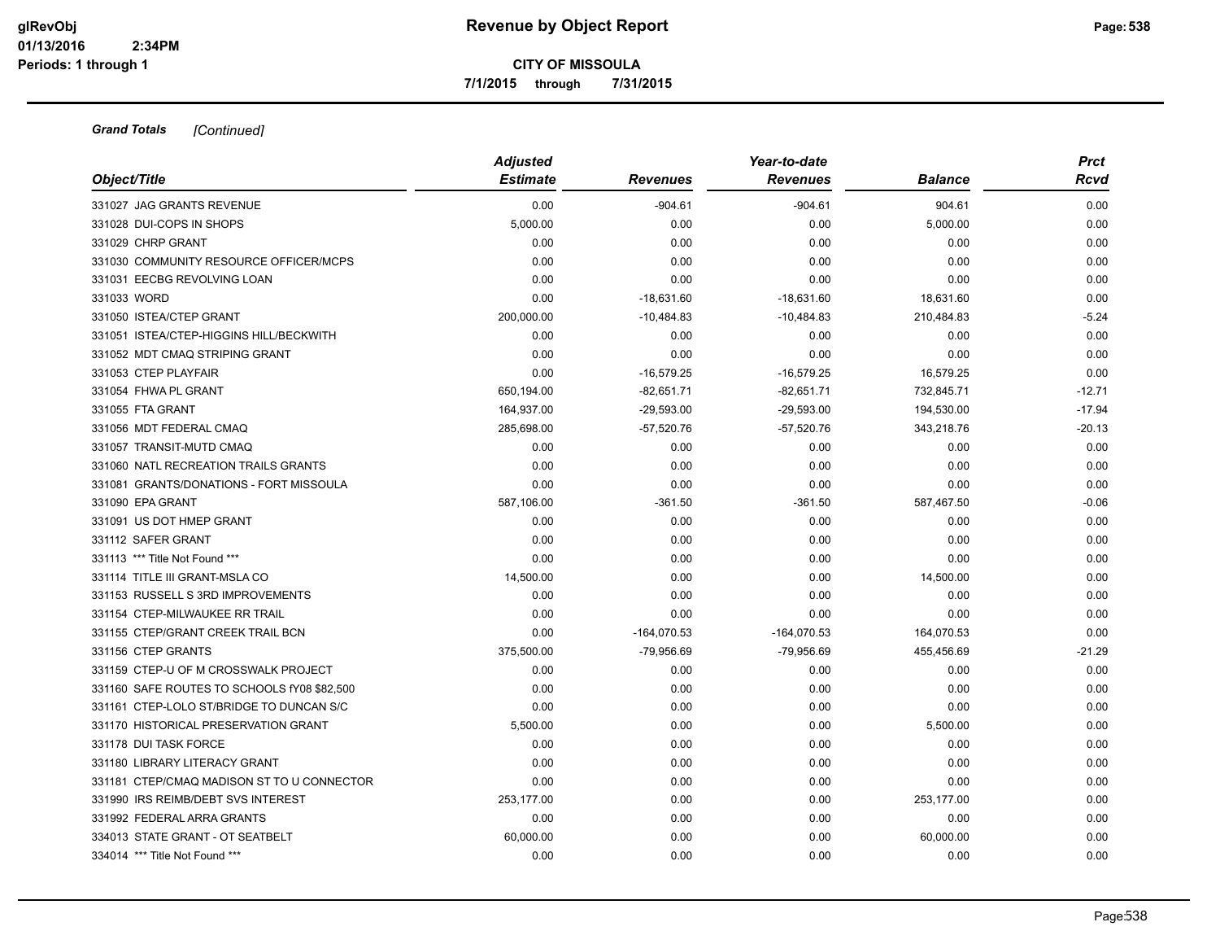**7/1/2015 through 7/31/2015**

| Object/Title                                | <b>Adjusted</b><br><b>Estimate</b> | <b>Revenues</b> | Year-to-date<br><b>Revenues</b> | <b>Balance</b> | <b>Prct</b><br>Rcvd |
|---------------------------------------------|------------------------------------|-----------------|---------------------------------|----------------|---------------------|
| 331027 JAG GRANTS REVENUE                   | 0.00                               | $-904.61$       | $-904.61$                       | 904.61         | 0.00                |
| 331028 DUI-COPS IN SHOPS                    | 5,000.00                           | 0.00            | 0.00                            | 5,000.00       | 0.00                |
| 331029 CHRP GRANT                           | 0.00                               | 0.00            | 0.00                            | 0.00           | 0.00                |
| 331030 COMMUNITY RESOURCE OFFICER/MCPS      | 0.00                               | 0.00            | 0.00                            | 0.00           | 0.00                |
| 331031 EECBG REVOLVING LOAN                 | 0.00                               | 0.00            | 0.00                            | 0.00           | 0.00                |
| 331033 WORD                                 | 0.00                               | $-18,631.60$    | $-18,631.60$                    | 18,631.60      | 0.00                |
| 331050 ISTEA/CTEP GRANT                     | 200,000.00                         | $-10,484.83$    | $-10,484.83$                    | 210,484.83     | $-5.24$             |
| 331051 ISTEA/CTEP-HIGGINS HILL/BECKWITH     | 0.00                               | 0.00            | 0.00                            | 0.00           | 0.00                |
| 331052 MDT CMAQ STRIPING GRANT              | 0.00                               | 0.00            | 0.00                            | 0.00           | 0.00                |
| 331053 CTEP PLAYFAIR                        | 0.00                               | $-16,579.25$    | $-16,579.25$                    | 16,579.25      | 0.00                |
| 331054 FHWA PL GRANT                        | 650,194.00                         | $-82,651.71$    | $-82,651.71$                    | 732,845.71     | $-12.71$            |
| 331055 FTA GRANT                            | 164,937.00                         | $-29,593.00$    | $-29,593.00$                    | 194,530.00     | $-17.94$            |
| 331056 MDT FEDERAL CMAQ                     | 285,698.00                         | $-57,520.76$    | $-57,520.76$                    | 343,218.76     | $-20.13$            |
| 331057 TRANSIT-MUTD CMAQ                    | 0.00                               | 0.00            | 0.00                            | 0.00           | 0.00                |
| 331060 NATL RECREATION TRAILS GRANTS        | 0.00                               | 0.00            | 0.00                            | 0.00           | 0.00                |
| 331081 GRANTS/DONATIONS - FORT MISSOULA     | 0.00                               | 0.00            | 0.00                            | 0.00           | 0.00                |
| 331090 EPA GRANT                            | 587,106.00                         | $-361.50$       | $-361.50$                       | 587,467.50     | $-0.06$             |
| 331091 US DOT HMEP GRANT                    | 0.00                               | 0.00            | 0.00                            | 0.00           | 0.00                |
| 331112 SAFER GRANT                          | 0.00                               | 0.00            | 0.00                            | 0.00           | 0.00                |
| 331113 *** Title Not Found ***              | 0.00                               | 0.00            | 0.00                            | 0.00           | 0.00                |
| 331114 TITLE III GRANT-MSLA CO              | 14,500.00                          | 0.00            | 0.00                            | 14,500.00      | 0.00                |
| 331153 RUSSELL S 3RD IMPROVEMENTS           | 0.00                               | 0.00            | 0.00                            | 0.00           | 0.00                |
| 331154 CTEP-MILWAUKEE RR TRAIL              | 0.00                               | 0.00            | 0.00                            | 0.00           | 0.00                |
| 331155 CTEP/GRANT CREEK TRAIL BCN           | 0.00                               | $-164,070.53$   | $-164,070.53$                   | 164,070.53     | 0.00                |
| 331156 CTEP GRANTS                          | 375,500.00                         | $-79.956.69$    | -79,956.69                      | 455,456.69     | $-21.29$            |
| 331159 CTEP-U OF M CROSSWALK PROJECT        | 0.00                               | 0.00            | 0.00                            | 0.00           | 0.00                |
| 331160 SAFE ROUTES TO SCHOOLS fY08 \$82,500 | 0.00                               | 0.00            | 0.00                            | 0.00           | 0.00                |
| 331161 CTEP-LOLO ST/BRIDGE TO DUNCAN S/C    | 0.00                               | 0.00            | 0.00                            | 0.00           | 0.00                |
| 331170 HISTORICAL PRESERVATION GRANT        | 5,500.00                           | 0.00            | 0.00                            | 5,500.00       | 0.00                |
| 331178 DUI TASK FORCE                       | 0.00                               | 0.00            | 0.00                            | 0.00           | 0.00                |
| 331180 LIBRARY LITERACY GRANT               | 0.00                               | 0.00            | 0.00                            | 0.00           | 0.00                |
| 331181 CTEP/CMAQ MADISON ST TO U CONNECTOR  | 0.00                               | 0.00            | 0.00                            | 0.00           | 0.00                |
| 331990 IRS REIMB/DEBT SVS INTEREST          | 253,177.00                         | 0.00            | 0.00                            | 253,177.00     | 0.00                |
| 331992 FEDERAL ARRA GRANTS                  | 0.00                               | 0.00            | 0.00                            | 0.00           | 0.00                |
| 334013 STATE GRANT - OT SEATBELT            | 60,000.00                          | 0.00            | 0.00                            | 60,000.00      | 0.00                |
| 334014 *** Title Not Found ***              | 0.00                               | 0.00            | 0.00                            | 0.00           | 0.00                |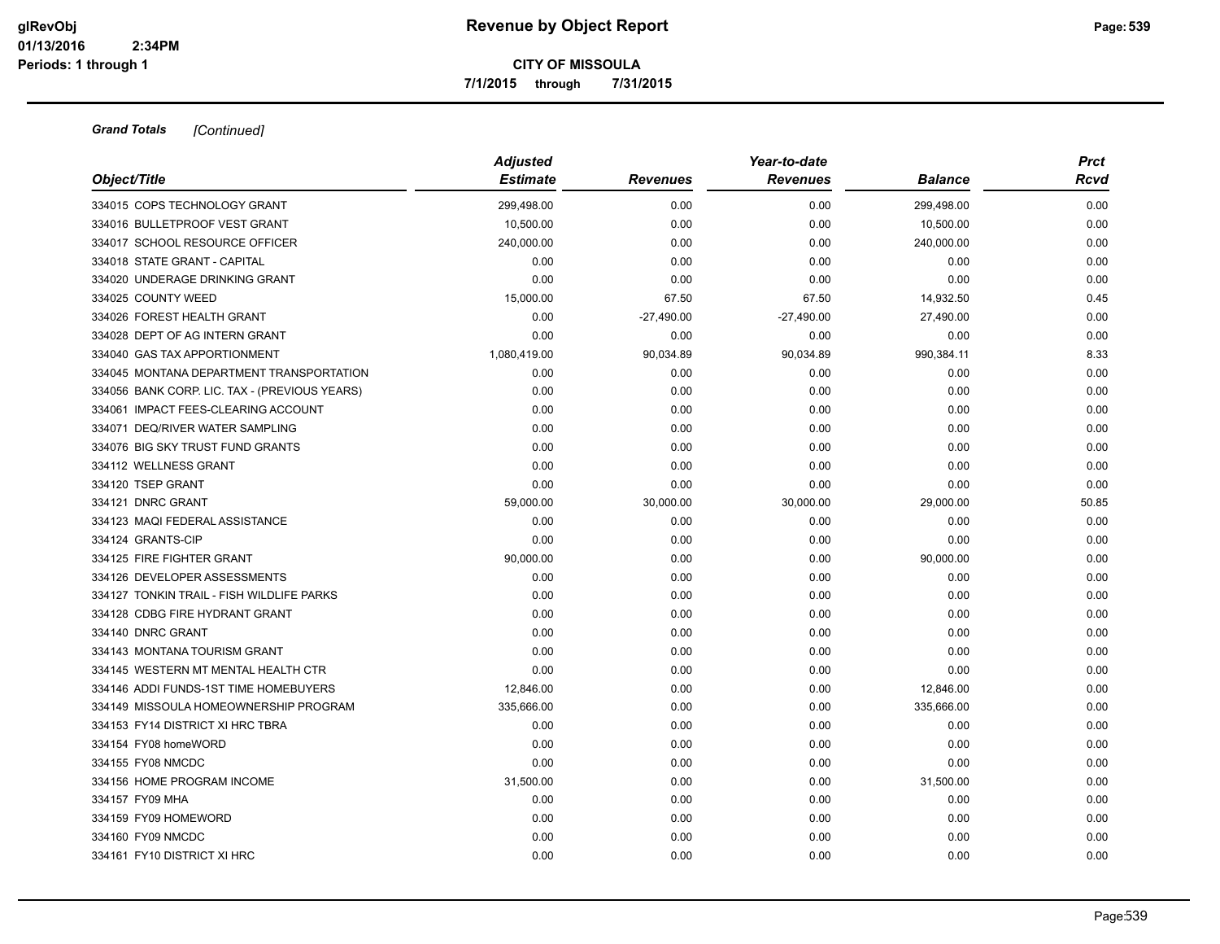**7/1/2015 through 7/31/2015**

| Object/Title                                  | <b>Adjusted</b><br><b>Estimate</b> |                 | Year-to-date<br><b>Revenues</b> | <b>Balance</b> | <b>Prct</b> |
|-----------------------------------------------|------------------------------------|-----------------|---------------------------------|----------------|-------------|
|                                               |                                    | <b>Revenues</b> |                                 |                | Rcvd        |
| 334015 COPS TECHNOLOGY GRANT                  | 299,498.00                         | 0.00            | 0.00                            | 299,498.00     | 0.00        |
| 334016 BULLETPROOF VEST GRANT                 | 10,500.00                          | 0.00            | 0.00                            | 10,500.00      | 0.00        |
| 334017 SCHOOL RESOURCE OFFICER                | 240,000.00                         | 0.00            | 0.00                            | 240,000.00     | 0.00        |
| 334018 STATE GRANT - CAPITAL                  | 0.00                               | 0.00            | 0.00                            | 0.00           | 0.00        |
| 334020 UNDERAGE DRINKING GRANT                | 0.00                               | 0.00            | 0.00                            | 0.00           | 0.00        |
| 334025 COUNTY WEED                            | 15,000.00                          | 67.50           | 67.50                           | 14,932.50      | 0.45        |
| 334026 FOREST HEALTH GRANT                    | 0.00                               | $-27,490.00$    | $-27,490.00$                    | 27,490.00      | 0.00        |
| 334028 DEPT OF AG INTERN GRANT                | 0.00                               | 0.00            | 0.00                            | 0.00           | 0.00        |
| 334040 GAS TAX APPORTIONMENT                  | 1,080,419.00                       | 90,034.89       | 90,034.89                       | 990,384.11     | 8.33        |
| 334045 MONTANA DEPARTMENT TRANSPORTATION      | 0.00                               | 0.00            | 0.00                            | 0.00           | 0.00        |
| 334056 BANK CORP. LIC. TAX - (PREVIOUS YEARS) | 0.00                               | 0.00            | 0.00                            | 0.00           | 0.00        |
| 334061 IMPACT FEES-CLEARING ACCOUNT           | 0.00                               | 0.00            | 0.00                            | 0.00           | 0.00        |
| 334071 DEQ/RIVER WATER SAMPLING               | 0.00                               | 0.00            | 0.00                            | 0.00           | 0.00        |
| 334076 BIG SKY TRUST FUND GRANTS              | 0.00                               | 0.00            | 0.00                            | 0.00           | 0.00        |
| 334112 WELLNESS GRANT                         | 0.00                               | 0.00            | 0.00                            | 0.00           | 0.00        |
| 334120 TSEP GRANT                             | 0.00                               | 0.00            | 0.00                            | 0.00           | 0.00        |
| 334121 DNRC GRANT                             | 59,000.00                          | 30,000.00       | 30,000.00                       | 29,000.00      | 50.85       |
| 334123 MAQI FEDERAL ASSISTANCE                | 0.00                               | 0.00            | 0.00                            | 0.00           | 0.00        |
| 334124 GRANTS-CIP                             | 0.00                               | 0.00            | 0.00                            | 0.00           | 0.00        |
| 334125 FIRE FIGHTER GRANT                     | 90,000.00                          | 0.00            | 0.00                            | 90,000.00      | 0.00        |
| 334126 DEVELOPER ASSESSMENTS                  | 0.00                               | 0.00            | 0.00                            | 0.00           | 0.00        |
| 334127 TONKIN TRAIL - FISH WILDLIFE PARKS     | 0.00                               | 0.00            | 0.00                            | 0.00           | 0.00        |
| 334128 CDBG FIRE HYDRANT GRANT                | 0.00                               | 0.00            | 0.00                            | 0.00           | 0.00        |
| 334140 DNRC GRANT                             | 0.00                               | 0.00            | 0.00                            | 0.00           | 0.00        |
| 334143 MONTANA TOURISM GRANT                  | 0.00                               | 0.00            | 0.00                            | 0.00           | 0.00        |
| 334145 WESTERN MT MENTAL HEALTH CTR           | 0.00                               | 0.00            | 0.00                            | 0.00           | 0.00        |
| 334146 ADDI FUNDS-1ST TIME HOMEBUYERS         | 12,846.00                          | 0.00            | 0.00                            | 12,846.00      | 0.00        |
| 334149 MISSOULA HOMEOWNERSHIP PROGRAM         | 335,666.00                         | 0.00            | 0.00                            | 335,666.00     | 0.00        |
| 334153 FY14 DISTRICT XI HRC TBRA              | 0.00                               | 0.00            | 0.00                            | 0.00           | 0.00        |
| 334154 FY08 homeWORD                          | 0.00                               | 0.00            | 0.00                            | 0.00           | 0.00        |
| 334155 FY08 NMCDC                             | 0.00                               | 0.00            | 0.00                            | 0.00           | 0.00        |
| 334156 HOME PROGRAM INCOME                    | 31,500.00                          | 0.00            | 0.00                            | 31,500.00      | 0.00        |
| 334157 FY09 MHA                               | 0.00                               | 0.00            | 0.00                            | 0.00           | 0.00        |
| 334159 FY09 HOMEWORD                          | 0.00                               | 0.00            | 0.00                            | 0.00           | 0.00        |
| 334160 FY09 NMCDC                             | 0.00                               | 0.00            | 0.00                            | 0.00           | 0.00        |
| 334161 FY10 DISTRICT XI HRC                   | 0.00                               | 0.00            | 0.00                            | 0.00           | 0.00        |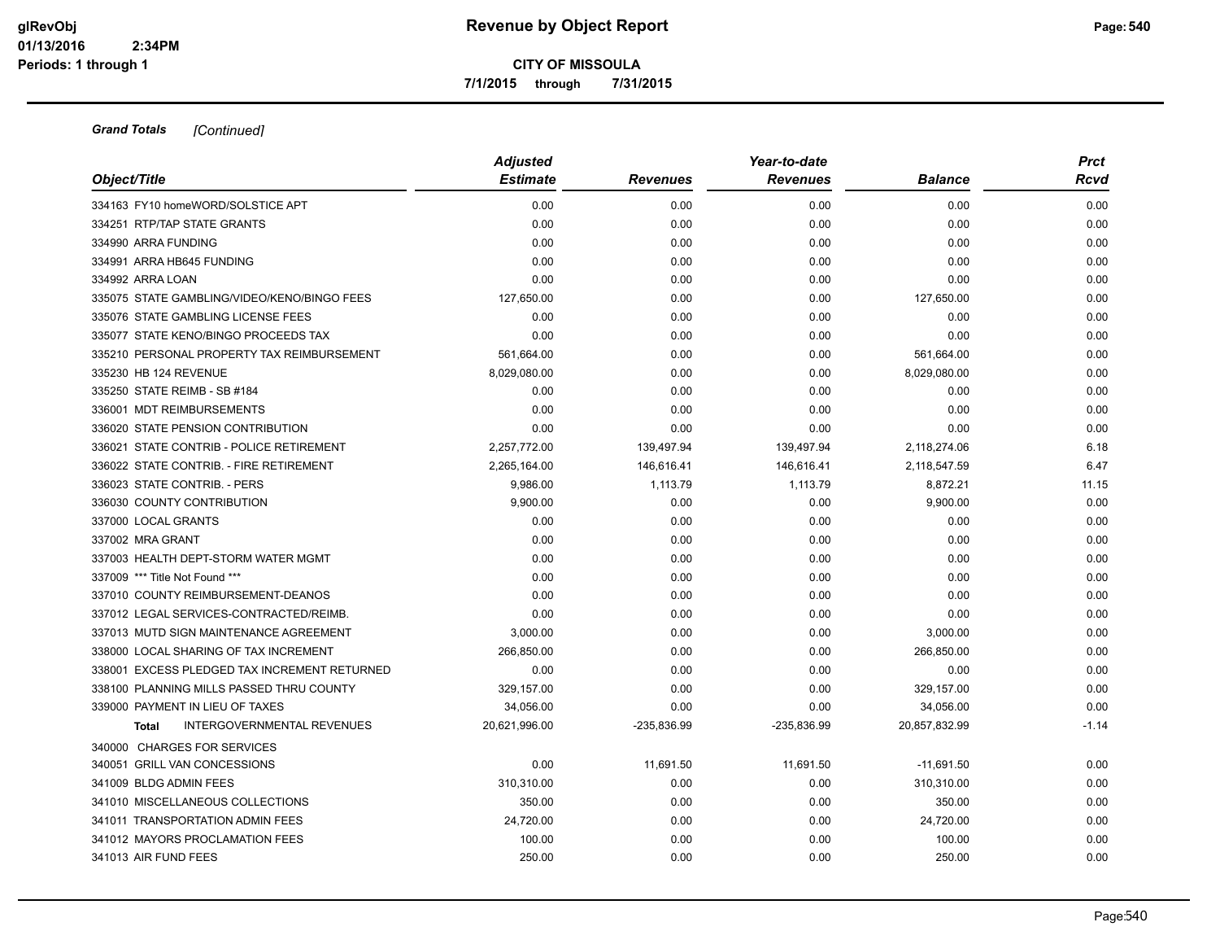**7/1/2015 through 7/31/2015**

| Object/Title                                      | <b>Adjusted</b> |                 | Year-to-date    |                | <b>Prct</b> |
|---------------------------------------------------|-----------------|-----------------|-----------------|----------------|-------------|
|                                                   | <b>Estimate</b> | <b>Revenues</b> | <b>Revenues</b> | <b>Balance</b> | Rcvd        |
| 334163 FY10 homeWORD/SOLSTICE APT                 | 0.00            | 0.00            | 0.00            | 0.00           | 0.00        |
| 334251 RTP/TAP STATE GRANTS                       | 0.00            | 0.00            | 0.00            | 0.00           | 0.00        |
| 334990 ARRA FUNDING                               | 0.00            | 0.00            | 0.00            | 0.00           | 0.00        |
| 334991 ARRA HB645 FUNDING                         | 0.00            | 0.00            | 0.00            | 0.00           | 0.00        |
| 334992 ARRA LOAN                                  | 0.00            | 0.00            | 0.00            | 0.00           | 0.00        |
| 335075 STATE GAMBLING/VIDEO/KENO/BINGO FEES       | 127,650.00      | 0.00            | 0.00            | 127,650.00     | 0.00        |
| 335076 STATE GAMBLING LICENSE FEES                | 0.00            | 0.00            | 0.00            | 0.00           | 0.00        |
| 335077 STATE KENO/BINGO PROCEEDS TAX              | 0.00            | 0.00            | 0.00            | 0.00           | 0.00        |
| 335210 PERSONAL PROPERTY TAX REIMBURSEMENT        | 561,664.00      | 0.00            | 0.00            | 561,664.00     | 0.00        |
| 335230 HB 124 REVENUE                             | 8,029,080.00    | 0.00            | 0.00            | 8,029,080.00   | 0.00        |
| 335250 STATE REIMB - SB #184                      | 0.00            | 0.00            | 0.00            | 0.00           | 0.00        |
| 336001 MDT REIMBURSEMENTS                         | 0.00            | 0.00            | 0.00            | 0.00           | 0.00        |
| 336020 STATE PENSION CONTRIBUTION                 | 0.00            | 0.00            | 0.00            | 0.00           | 0.00        |
| 336021 STATE CONTRIB - POLICE RETIREMENT          | 2,257,772.00    | 139,497.94      | 139,497.94      | 2,118,274.06   | 6.18        |
| 336022 STATE CONTRIB. - FIRE RETIREMENT           | 2,265,164.00    | 146,616.41      | 146,616.41      | 2,118,547.59   | 6.47        |
| 336023 STATE CONTRIB. - PERS                      | 9,986.00        | 1,113.79        | 1,113.79        | 8,872.21       | 11.15       |
| 336030 COUNTY CONTRIBUTION                        | 9,900.00        | 0.00            | 0.00            | 9,900.00       | 0.00        |
| 337000 LOCAL GRANTS                               | 0.00            | 0.00            | 0.00            | 0.00           | 0.00        |
| 337002 MRA GRANT                                  | 0.00            | 0.00            | 0.00            | 0.00           | 0.00        |
| 337003 HEALTH DEPT-STORM WATER MGMT               | 0.00            | 0.00            | 0.00            | 0.00           | 0.00        |
| 337009 *** Title Not Found ***                    | 0.00            | 0.00            | 0.00            | 0.00           | 0.00        |
| 337010 COUNTY REIMBURSEMENT-DEANOS                | 0.00            | 0.00            | 0.00            | 0.00           | 0.00        |
| 337012 LEGAL SERVICES-CONTRACTED/REIMB.           | 0.00            | 0.00            | 0.00            | 0.00           | 0.00        |
| 337013 MUTD SIGN MAINTENANCE AGREEMENT            | 3,000.00        | 0.00            | 0.00            | 3,000.00       | 0.00        |
| 338000 LOCAL SHARING OF TAX INCREMENT             | 266,850.00      | 0.00            | 0.00            | 266,850.00     | 0.00        |
| 338001 EXCESS PLEDGED TAX INCREMENT RETURNED      | 0.00            | 0.00            | 0.00            | 0.00           | 0.00        |
| 338100 PLANNING MILLS PASSED THRU COUNTY          | 329,157.00      | 0.00            | 0.00            | 329,157.00     | 0.00        |
| 339000 PAYMENT IN LIEU OF TAXES                   | 34,056.00       | 0.00            | 0.00            | 34,056.00      | 0.00        |
| <b>INTERGOVERNMENTAL REVENUES</b><br><b>Total</b> | 20,621,996.00   | $-235,836.99$   | -235,836.99     | 20,857,832.99  | $-1.14$     |
| 340000 CHARGES FOR SERVICES                       |                 |                 |                 |                |             |
| 340051 GRILL VAN CONCESSIONS                      | 0.00            | 11,691.50       | 11,691.50       | $-11,691.50$   | 0.00        |
| 341009 BLDG ADMIN FEES                            | 310,310.00      | 0.00            | 0.00            | 310,310.00     | 0.00        |
| 341010 MISCELLANEOUS COLLECTIONS                  | 350.00          | 0.00            | 0.00            | 350.00         | 0.00        |
| 341011 TRANSPORTATION ADMIN FEES                  | 24,720.00       | 0.00            | 0.00            | 24,720.00      | 0.00        |
| 341012 MAYORS PROCLAMATION FEES                   | 100.00          | 0.00            | 0.00            | 100.00         | 0.00        |
| 341013 AIR FUND FEES                              | 250.00          | 0.00            | 0.00            | 250.00         | 0.00        |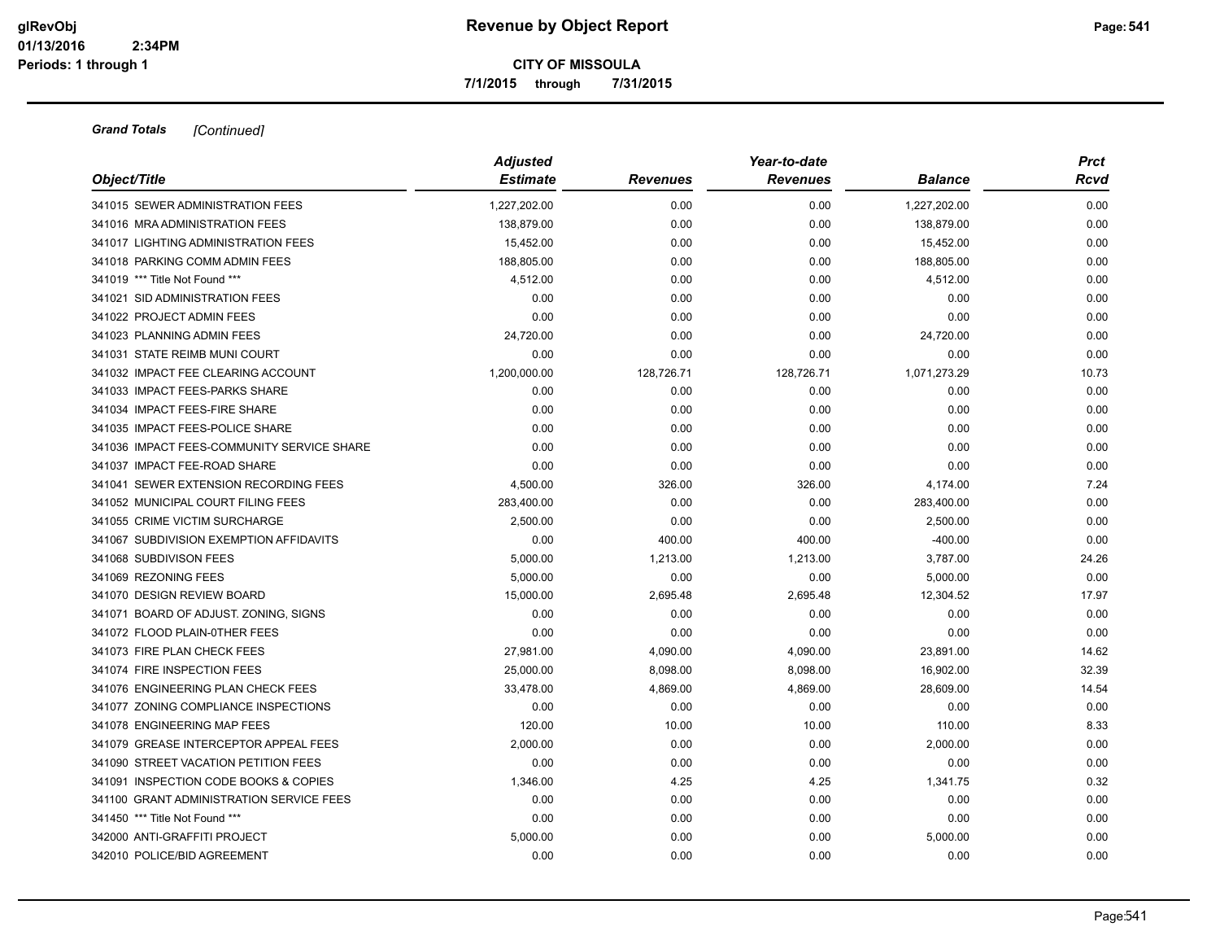**7/1/2015 through 7/31/2015**

|                                            | <b>Adjusted</b> |                 | Year-to-date    | <b>Prct</b>    |       |
|--------------------------------------------|-----------------|-----------------|-----------------|----------------|-------|
| Object/Title                               | <b>Estimate</b> | <b>Revenues</b> | <b>Revenues</b> | <b>Balance</b> | Rcvd  |
| 341015 SEWER ADMINISTRATION FEES           | 1,227,202.00    | 0.00            | 0.00            | 1,227,202.00   | 0.00  |
| 341016 MRA ADMINISTRATION FEES             | 138,879.00      | 0.00            | 0.00            | 138,879.00     | 0.00  |
| 341017 LIGHTING ADMINISTRATION FEES        | 15,452.00       | 0.00            | 0.00            | 15,452.00      | 0.00  |
| 341018 PARKING COMM ADMIN FEES             | 188,805.00      | 0.00            | 0.00            | 188,805.00     | 0.00  |
| 341019 *** Title Not Found ***             | 4,512.00        | 0.00            | 0.00            | 4,512.00       | 0.00  |
| 341021 SID ADMINISTRATION FEES             | 0.00            | 0.00            | 0.00            | 0.00           | 0.00  |
| 341022 PROJECT ADMIN FEES                  | 0.00            | 0.00            | 0.00            | 0.00           | 0.00  |
| 341023 PLANNING ADMIN FEES                 | 24,720.00       | 0.00            | 0.00            | 24,720.00      | 0.00  |
| 341031 STATE REIMB MUNI COURT              | 0.00            | 0.00            | 0.00            | 0.00           | 0.00  |
| 341032 IMPACT FEE CLEARING ACCOUNT         | 1,200,000.00    | 128,726.71      | 128,726.71      | 1,071,273.29   | 10.73 |
| 341033 IMPACT FEES-PARKS SHARE             | 0.00            | 0.00            | 0.00            | 0.00           | 0.00  |
| 341034 IMPACT FEES-FIRE SHARE              | 0.00            | 0.00            | 0.00            | 0.00           | 0.00  |
| 341035 IMPACT FEES-POLICE SHARE            | 0.00            | 0.00            | 0.00            | 0.00           | 0.00  |
| 341036 IMPACT FEES-COMMUNITY SERVICE SHARE | 0.00            | 0.00            | 0.00            | 0.00           | 0.00  |
| 341037 IMPACT FEE-ROAD SHARE               | 0.00            | 0.00            | 0.00            | 0.00           | 0.00  |
| 341041 SEWER EXTENSION RECORDING FEES      | 4,500.00        | 326.00          | 326.00          | 4,174.00       | 7.24  |
| 341052 MUNICIPAL COURT FILING FEES         | 283,400.00      | 0.00            | 0.00            | 283,400.00     | 0.00  |
| 341055 CRIME VICTIM SURCHARGE              | 2,500.00        | 0.00            | 0.00            | 2,500.00       | 0.00  |
| 341067 SUBDIVISION EXEMPTION AFFIDAVITS    | 0.00            | 400.00          | 400.00          | $-400.00$      | 0.00  |
| 341068 SUBDIVISON FEES                     | 5,000.00        | 1,213.00        | 1,213.00        | 3,787.00       | 24.26 |
| 341069 REZONING FEES                       | 5,000.00        | 0.00            | 0.00            | 5,000.00       | 0.00  |
| 341070 DESIGN REVIEW BOARD                 | 15,000.00       | 2,695.48        | 2,695.48        | 12,304.52      | 17.97 |
| 341071 BOARD OF ADJUST. ZONING, SIGNS      | 0.00            | 0.00            | 0.00            | 0.00           | 0.00  |
| 341072 FLOOD PLAIN-0THER FEES              | 0.00            | 0.00            | 0.00            | 0.00           | 0.00  |
| 341073 FIRE PLAN CHECK FEES                | 27,981.00       | 4,090.00        | 4,090.00        | 23,891.00      | 14.62 |
| 341074 FIRE INSPECTION FEES                | 25,000.00       | 8,098.00        | 8,098.00        | 16,902.00      | 32.39 |
| 341076 ENGINEERING PLAN CHECK FEES         | 33,478.00       | 4,869.00        | 4,869.00        | 28,609.00      | 14.54 |
| 341077 ZONING COMPLIANCE INSPECTIONS       | 0.00            | 0.00            | 0.00            | 0.00           | 0.00  |
| 341078 ENGINEERING MAP FEES                | 120.00          | 10.00           | 10.00           | 110.00         | 8.33  |
| 341079 GREASE INTERCEPTOR APPEAL FEES      | 2,000.00        | 0.00            | 0.00            | 2,000.00       | 0.00  |
| 341090 STREET VACATION PETITION FEES       | 0.00            | 0.00            | 0.00            | 0.00           | 0.00  |
| 341091 INSPECTION CODE BOOKS & COPIES      | 1,346.00        | 4.25            | 4.25            | 1,341.75       | 0.32  |
| 341100 GRANT ADMINISTRATION SERVICE FEES   | 0.00            | 0.00            | 0.00            | 0.00           | 0.00  |
| 341450 *** Title Not Found ***             | 0.00            | 0.00            | 0.00            | 0.00           | 0.00  |
| 342000 ANTI-GRAFFITI PROJECT               | 5,000.00        | 0.00            | 0.00            | 5,000.00       | 0.00  |
| 342010 POLICE/BID AGREEMENT                | 0.00            | 0.00            | 0.00            | 0.00           | 0.00  |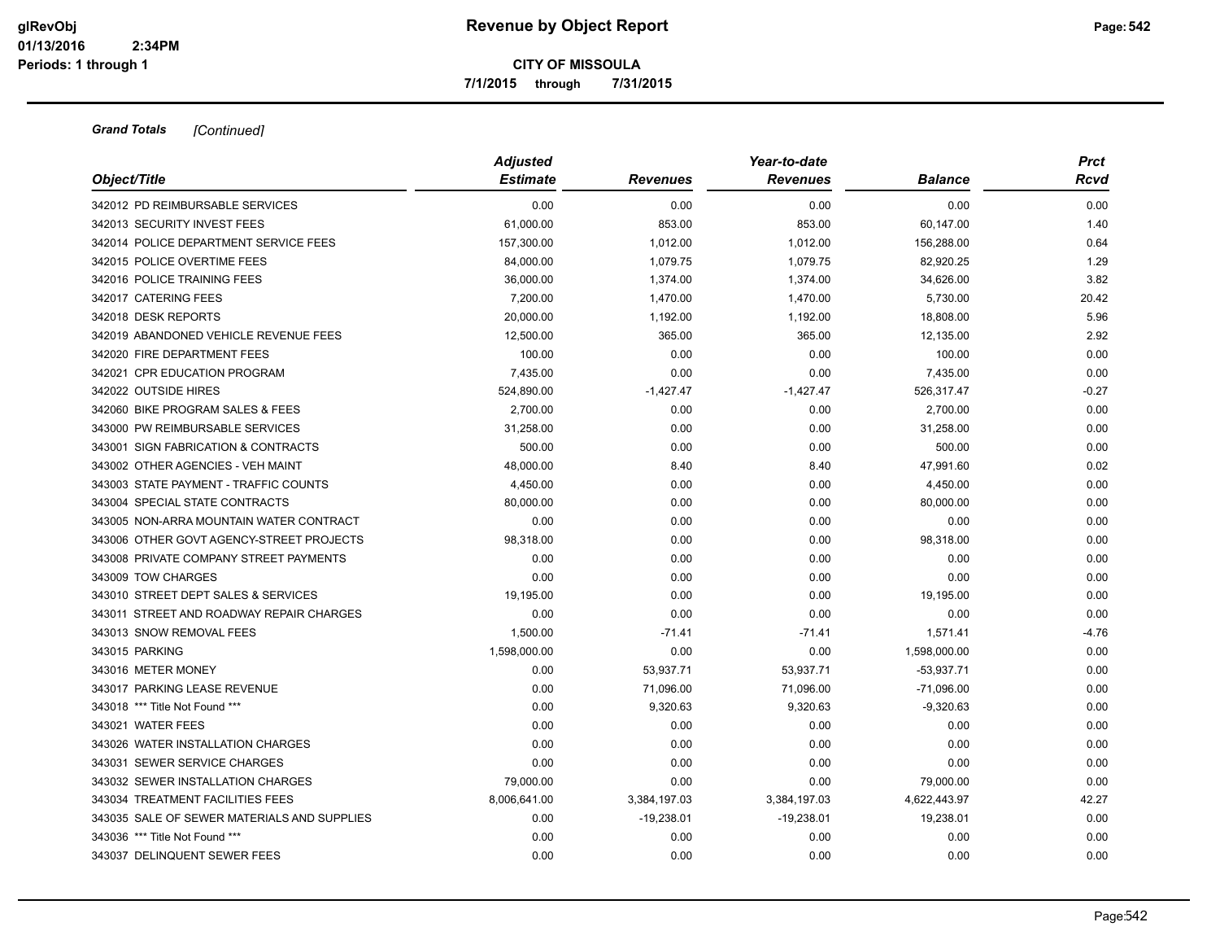**7/1/2015 through 7/31/2015**

|                                             | <b>Adjusted</b> |                 | <b>Prct</b>     |                |         |
|---------------------------------------------|-----------------|-----------------|-----------------|----------------|---------|
| Object/Title                                | <b>Estimate</b> | <b>Revenues</b> | <b>Revenues</b> | <b>Balance</b> | Rcvd    |
| 342012 PD REIMBURSABLE SERVICES             | 0.00            | 0.00            | 0.00            | 0.00           | 0.00    |
| 342013 SECURITY INVEST FEES                 | 61,000.00       | 853.00          | 853.00          | 60,147.00      | 1.40    |
| 342014 POLICE DEPARTMENT SERVICE FEES       | 157,300.00      | 1,012.00        | 1,012.00        | 156,288.00     | 0.64    |
| 342015 POLICE OVERTIME FEES                 | 84,000.00       | 1,079.75        | 1,079.75        | 82,920.25      | 1.29    |
| 342016 POLICE TRAINING FEES                 | 36,000.00       | 1,374.00        | 1,374.00        | 34,626.00      | 3.82    |
| 342017 CATERING FEES                        | 7,200.00        | 1,470.00        | 1,470.00        | 5,730.00       | 20.42   |
| 342018 DESK REPORTS                         | 20,000.00       | 1,192.00        | 1,192.00        | 18,808.00      | 5.96    |
| 342019 ABANDONED VEHICLE REVENUE FEES       | 12,500.00       | 365.00          | 365.00          | 12,135.00      | 2.92    |
| 342020 FIRE DEPARTMENT FEES                 | 100.00          | 0.00            | 0.00            | 100.00         | 0.00    |
| 342021 CPR EDUCATION PROGRAM                | 7,435.00        | 0.00            | 0.00            | 7,435.00       | 0.00    |
| 342022 OUTSIDE HIRES                        | 524,890.00      | $-1,427.47$     | $-1,427.47$     | 526,317.47     | $-0.27$ |
| 342060 BIKE PROGRAM SALES & FEES            | 2,700.00        | 0.00            | 0.00            | 2,700.00       | 0.00    |
| 343000 PW REIMBURSABLE SERVICES             | 31,258.00       | 0.00            | 0.00            | 31,258.00      | 0.00    |
| 343001 SIGN FABRICATION & CONTRACTS         | 500.00          | 0.00            | 0.00            | 500.00         | 0.00    |
| 343002 OTHER AGENCIES - VEH MAINT           | 48,000.00       | 8.40            | 8.40            | 47,991.60      | 0.02    |
| 343003 STATE PAYMENT - TRAFFIC COUNTS       | 4,450.00        | 0.00            | 0.00            | 4,450.00       | 0.00    |
| 343004 SPECIAL STATE CONTRACTS              | 80,000.00       | 0.00            | 0.00            | 80,000.00      | 0.00    |
| 343005 NON-ARRA MOUNTAIN WATER CONTRACT     | 0.00            | 0.00            | 0.00            | 0.00           | 0.00    |
| 343006 OTHER GOVT AGENCY-STREET PROJECTS    | 98,318.00       | 0.00            | 0.00            | 98,318.00      | 0.00    |
| 343008 PRIVATE COMPANY STREET PAYMENTS      | 0.00            | 0.00            | 0.00            | 0.00           | 0.00    |
| 343009 TOW CHARGES                          | 0.00            | 0.00            | 0.00            | 0.00           | 0.00    |
| 343010 STREET DEPT SALES & SERVICES         | 19,195.00       | 0.00            | 0.00            | 19,195.00      | 0.00    |
| 343011 STREET AND ROADWAY REPAIR CHARGES    | 0.00            | 0.00            | 0.00            | 0.00           | 0.00    |
| 343013 SNOW REMOVAL FEES                    | 1,500.00        | $-71.41$        | $-71.41$        | 1,571.41       | $-4.76$ |
| 343015 PARKING                              | 1,598,000.00    | 0.00            | 0.00            | 1,598,000.00   | 0.00    |
| 343016 METER MONEY                          | 0.00            | 53,937.71       | 53,937.71       | $-53,937.71$   | 0.00    |
| 343017 PARKING LEASE REVENUE                | 0.00            | 71,096.00       | 71,096.00       | $-71,096.00$   | 0.00    |
| 343018 *** Title Not Found ***              | 0.00            | 9,320.63        | 9,320.63        | $-9,320.63$    | 0.00    |
| 343021 WATER FEES                           | 0.00            | 0.00            | 0.00            | 0.00           | 0.00    |
| 343026 WATER INSTALLATION CHARGES           | 0.00            | 0.00            | 0.00            | 0.00           | 0.00    |
| 343031 SEWER SERVICE CHARGES                | 0.00            | 0.00            | 0.00            | 0.00           | 0.00    |
| 343032 SEWER INSTALLATION CHARGES           | 79,000.00       | 0.00            | 0.00            | 79,000.00      | 0.00    |
| 343034 TREATMENT FACILITIES FEES            | 8,006,641.00    | 3,384,197.03    | 3,384,197.03    | 4,622,443.97   | 42.27   |
| 343035 SALE OF SEWER MATERIALS AND SUPPLIES | 0.00            | $-19,238.01$    | $-19,238.01$    | 19,238.01      | 0.00    |
| 343036 *** Title Not Found ***              | 0.00            | 0.00            | 0.00            | 0.00           | 0.00    |
| 343037 DELINQUENT SEWER FEES                | 0.00            | 0.00            | 0.00            | 0.00           | 0.00    |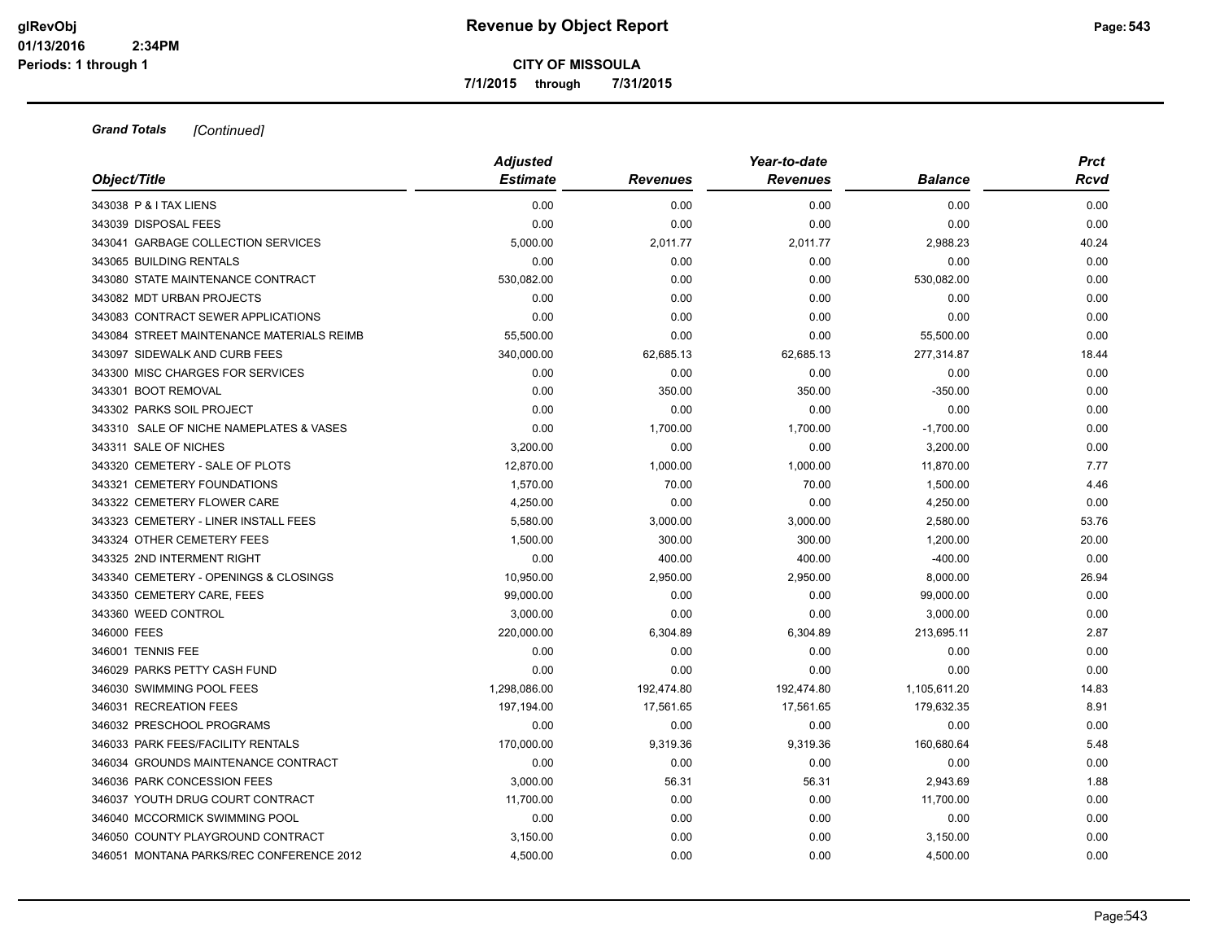**7/1/2015 through 7/31/2015**

| Object/Title                              | <b>Adjusted</b><br><b>Estimate</b> | <b>Revenues</b> | Year-to-date<br><b>Revenues</b> | <b>Balance</b> | <b>Prct</b><br>Rcvd |
|-------------------------------------------|------------------------------------|-----------------|---------------------------------|----------------|---------------------|
| 343038 P & I TAX LIENS                    | 0.00                               | 0.00            | 0.00                            | 0.00           | 0.00                |
| 343039 DISPOSAL FEES                      | 0.00                               | 0.00            | 0.00                            | 0.00           | 0.00                |
| 343041 GARBAGE COLLECTION SERVICES        | 5,000.00                           | 2,011.77        | 2,011.77                        | 2,988.23       | 40.24               |
| 343065 BUILDING RENTALS                   | 0.00                               | 0.00            | 0.00                            | 0.00           | 0.00                |
| 343080 STATE MAINTENANCE CONTRACT         | 530,082.00                         | 0.00            | 0.00                            | 530,082.00     | 0.00                |
| 343082 MDT URBAN PROJECTS                 | 0.00                               | 0.00            | 0.00                            | 0.00           | 0.00                |
| 343083 CONTRACT SEWER APPLICATIONS        | 0.00                               | 0.00            | 0.00                            | 0.00           | 0.00                |
| 343084 STREET MAINTENANCE MATERIALS REIMB | 55,500.00                          | 0.00            | 0.00                            | 55,500.00      | 0.00                |
| 343097 SIDEWALK AND CURB FEES             | 340,000.00                         | 62,685.13       | 62,685.13                       | 277,314.87     | 18.44               |
| 343300 MISC CHARGES FOR SERVICES          | 0.00                               | 0.00            | 0.00                            | 0.00           | 0.00                |
| 343301 BOOT REMOVAL                       | 0.00                               | 350.00          | 350.00                          | $-350.00$      | 0.00                |
| 343302 PARKS SOIL PROJECT                 | 0.00                               | 0.00            | 0.00                            | 0.00           | 0.00                |
| 343310 SALE OF NICHE NAMEPLATES & VASES   | 0.00                               | 1,700.00        | 1,700.00                        | $-1,700.00$    | 0.00                |
| 343311 SALE OF NICHES                     | 3,200.00                           | 0.00            | 0.00                            | 3,200.00       | 0.00                |
| 343320 CEMETERY - SALE OF PLOTS           | 12,870.00                          | 1,000.00        | 1,000.00                        | 11,870.00      | 7.77                |
| 343321 CEMETERY FOUNDATIONS               | 1,570.00                           | 70.00           | 70.00                           | 1,500.00       | 4.46                |
| 343322 CEMETERY FLOWER CARE               | 4,250.00                           | 0.00            | 0.00                            | 4,250.00       | 0.00                |
| 343323 CEMETERY - LINER INSTALL FEES      | 5,580.00                           | 3,000.00        | 3,000.00                        | 2,580.00       | 53.76               |
| 343324 OTHER CEMETERY FEES                | 1,500.00                           | 300.00          | 300.00                          | 1,200.00       | 20.00               |
| 343325 2ND INTERMENT RIGHT                | 0.00                               | 400.00          | 400.00                          | $-400.00$      | 0.00                |
| 343340 CEMETERY - OPENINGS & CLOSINGS     | 10,950.00                          | 2,950.00        | 2,950.00                        | 8,000.00       | 26.94               |
| 343350 CEMETERY CARE, FEES                | 99,000.00                          | 0.00            | 0.00                            | 99,000.00      | 0.00                |
| 343360 WEED CONTROL                       | 3,000.00                           | 0.00            | 0.00                            | 3,000.00       | 0.00                |
| 346000 FEES                               | 220,000.00                         | 6,304.89        | 6,304.89                        | 213,695.11     | 2.87                |
| 346001 TENNIS FEE                         | 0.00                               | 0.00            | 0.00                            | 0.00           | 0.00                |
| 346029 PARKS PETTY CASH FUND              | 0.00                               | 0.00            | 0.00                            | 0.00           | 0.00                |
| 346030 SWIMMING POOL FEES                 | 1,298,086.00                       | 192,474.80      | 192,474.80                      | 1,105,611.20   | 14.83               |
| 346031 RECREATION FEES                    | 197,194.00                         | 17,561.65       | 17,561.65                       | 179,632.35     | 8.91                |
| 346032 PRESCHOOL PROGRAMS                 | 0.00                               | 0.00            | 0.00                            | 0.00           | 0.00                |
| 346033 PARK FEES/FACILITY RENTALS         | 170,000.00                         | 9,319.36        | 9,319.36                        | 160,680.64     | 5.48                |
| 346034 GROUNDS MAINTENANCE CONTRACT       | 0.00                               | 0.00            | 0.00                            | 0.00           | 0.00                |
| 346036 PARK CONCESSION FEES               | 3,000.00                           | 56.31           | 56.31                           | 2,943.69       | 1.88                |
| 346037 YOUTH DRUG COURT CONTRACT          | 11,700.00                          | 0.00            | 0.00                            | 11,700.00      | 0.00                |
| 346040 MCCORMICK SWIMMING POOL            | 0.00                               | 0.00            | 0.00                            | 0.00           | 0.00                |
| 346050 COUNTY PLAYGROUND CONTRACT         | 3,150.00                           | 0.00            | 0.00                            | 3,150.00       | 0.00                |
| 346051 MONTANA PARKS/REC CONFERENCE 2012  | 4,500.00                           | 0.00            | 0.00                            | 4,500.00       | 0.00                |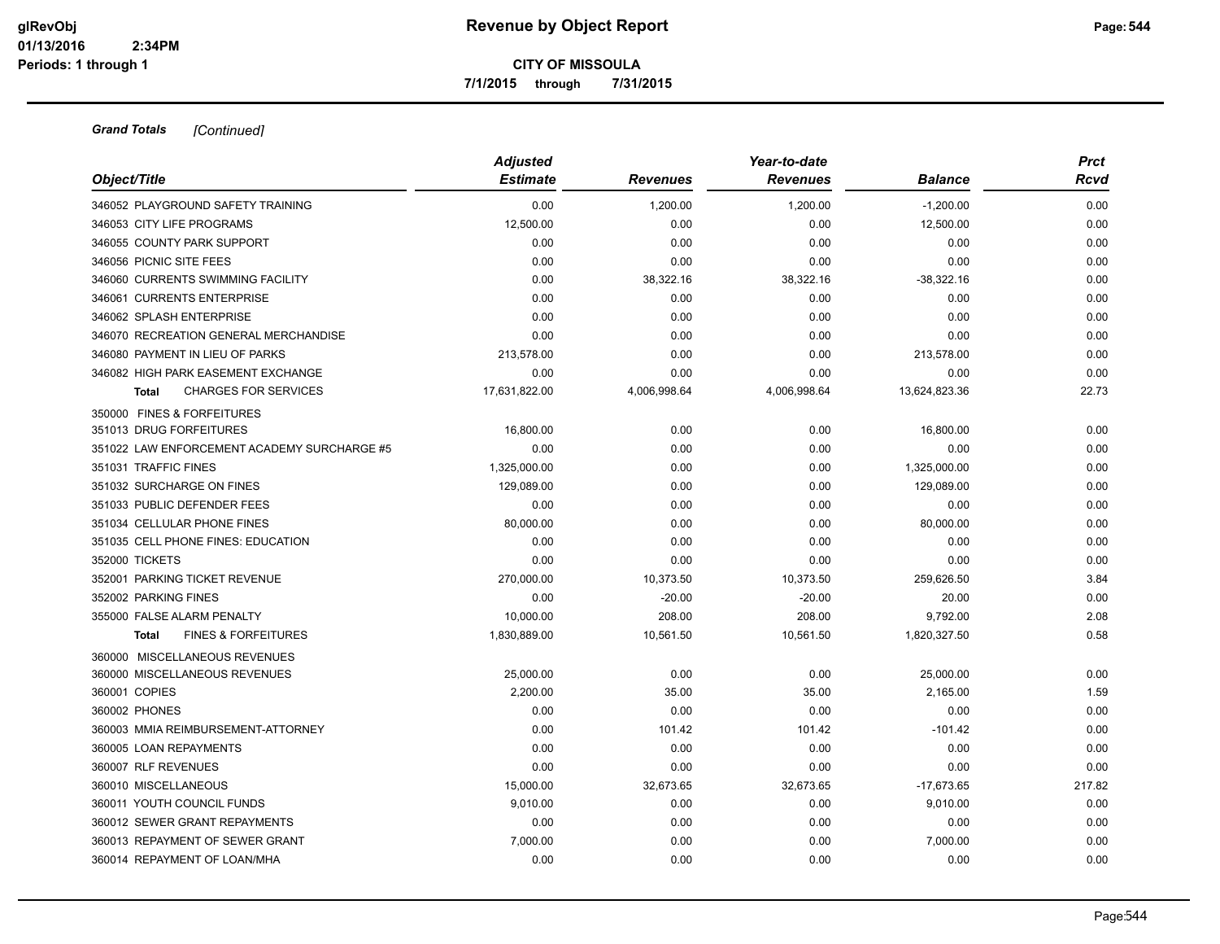**7/1/2015 through 7/31/2015**

|                                                | <b>Adjusted</b><br><b>Estimate</b> |                 | Year-to-date    |               | <b>Prct</b> |
|------------------------------------------------|------------------------------------|-----------------|-----------------|---------------|-------------|
| Object/Title                                   |                                    | <b>Revenues</b> | <b>Revenues</b> | Balance       | Rcvd        |
| 346052 PLAYGROUND SAFETY TRAINING              | 0.00                               | 1,200.00        | 1,200.00        | $-1,200.00$   | 0.00        |
| 346053 CITY LIFE PROGRAMS                      | 12,500.00                          | 0.00            | 0.00            | 12,500.00     | 0.00        |
| 346055 COUNTY PARK SUPPORT                     | 0.00                               | 0.00            | 0.00            | 0.00          | 0.00        |
| 346056 PICNIC SITE FEES                        | 0.00                               | 0.00            | 0.00            | 0.00          | 0.00        |
| 346060 CURRENTS SWIMMING FACILITY              | 0.00                               | 38,322.16       | 38,322.16       | $-38,322.16$  | 0.00        |
| 346061 CURRENTS ENTERPRISE                     | 0.00                               | 0.00            | 0.00            | 0.00          | 0.00        |
| 346062 SPLASH ENTERPRISE                       | 0.00                               | 0.00            | 0.00            | 0.00          | 0.00        |
| 346070 RECREATION GENERAL MERCHANDISE          | 0.00                               | 0.00            | 0.00            | 0.00          | 0.00        |
| 346080 PAYMENT IN LIEU OF PARKS                | 213,578.00                         | 0.00            | 0.00            | 213,578.00    | 0.00        |
| 346082 HIGH PARK EASEMENT EXCHANGE             | 0.00                               | 0.00            | 0.00            | 0.00          | 0.00        |
| <b>CHARGES FOR SERVICES</b><br>Total           | 17,631,822.00                      | 4,006,998.64    | 4,006,998.64    | 13,624,823.36 | 22.73       |
| 350000 FINES & FORFEITURES                     |                                    |                 |                 |               |             |
| 351013 DRUG FORFEITURES                        | 16,800.00                          | 0.00            | 0.00            | 16,800.00     | 0.00        |
| 351022 LAW ENFORCEMENT ACADEMY SURCHARGE #5    | 0.00                               | 0.00            | 0.00            | 0.00          | 0.00        |
| 351031 TRAFFIC FINES                           | 1,325,000.00                       | 0.00            | 0.00            | 1,325,000.00  | 0.00        |
| 351032 SURCHARGE ON FINES                      | 129,089.00                         | 0.00            | 0.00            | 129,089.00    | 0.00        |
| 351033 PUBLIC DEFENDER FEES                    | 0.00                               | 0.00            | 0.00            | 0.00          | 0.00        |
| 351034 CELLULAR PHONE FINES                    | 80,000.00                          | 0.00            | 0.00            | 80,000.00     | 0.00        |
| 351035 CELL PHONE FINES: EDUCATION             | 0.00                               | 0.00            | 0.00            | 0.00          | 0.00        |
| 352000 TICKETS                                 | 0.00                               | 0.00            | 0.00            | 0.00          | 0.00        |
| 352001 PARKING TICKET REVENUE                  | 270,000.00                         | 10,373.50       | 10,373.50       | 259,626.50    | 3.84        |
| 352002 PARKING FINES                           | 0.00                               | $-20.00$        | $-20.00$        | 20.00         | 0.00        |
| 355000 FALSE ALARM PENALTY                     | 10,000.00                          | 208.00          | 208.00          | 9,792.00      | 2.08        |
| <b>FINES &amp; FORFEITURES</b><br><b>Total</b> | 1,830,889.00                       | 10,561.50       | 10,561.50       | 1,820,327.50  | 0.58        |
| 360000 MISCELLANEOUS REVENUES                  |                                    |                 |                 |               |             |
| 360000 MISCELLANEOUS REVENUES                  | 25,000.00                          | 0.00            | 0.00            | 25,000.00     | 0.00        |
| 360001 COPIES                                  | 2,200.00                           | 35.00           | 35.00           | 2,165.00      | 1.59        |
| 360002 PHONES                                  | 0.00                               | 0.00            | 0.00            | 0.00          | 0.00        |
| 360003 MMIA REIMBURSEMENT-ATTORNEY             | 0.00                               | 101.42          | 101.42          | $-101.42$     | 0.00        |
| 360005 LOAN REPAYMENTS                         | 0.00                               | 0.00            | 0.00            | 0.00          | 0.00        |
| 360007 RLF REVENUES                            | 0.00                               | 0.00            | 0.00            | 0.00          | 0.00        |
| 360010 MISCELLANEOUS                           | 15,000.00                          | 32,673.65       | 32,673.65       | $-17,673.65$  | 217.82      |
| 360011 YOUTH COUNCIL FUNDS                     | 9,010.00                           | 0.00            | 0.00            | 9,010.00      | 0.00        |
| 360012 SEWER GRANT REPAYMENTS                  | 0.00                               | 0.00            | 0.00            | 0.00          | 0.00        |
| 360013 REPAYMENT OF SEWER GRANT                | 7,000.00                           | 0.00            | 0.00            | 7,000.00      | 0.00        |
| 360014 REPAYMENT OF LOAN/MHA                   | 0.00                               | 0.00            | 0.00            | 0.00          | 0.00        |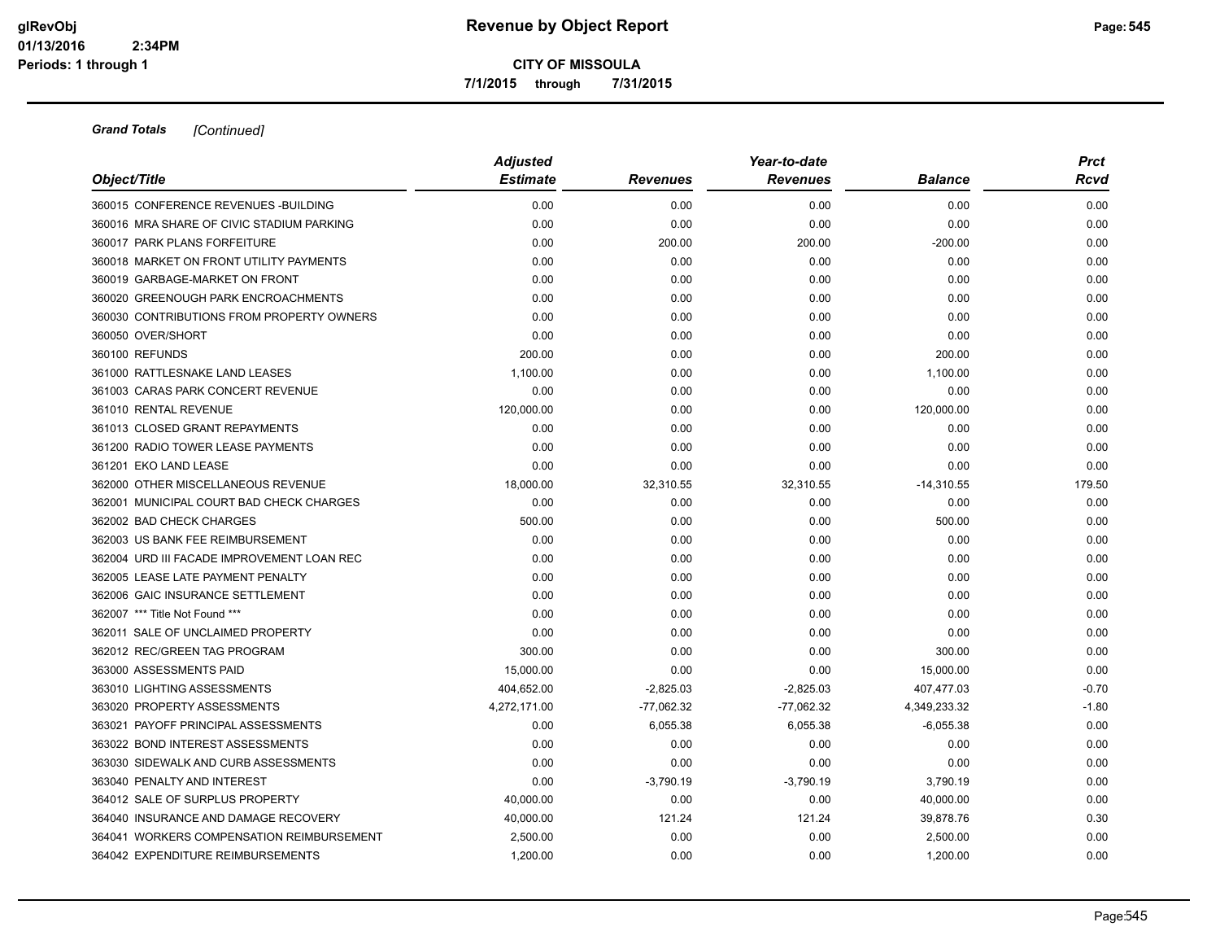**7/1/2015 through 7/31/2015**

|                                            | <b>Adjusted</b> | Year-to-date    |                 |                |         |  |
|--------------------------------------------|-----------------|-----------------|-----------------|----------------|---------|--|
| Object/Title                               | <b>Estimate</b> | <b>Revenues</b> | <b>Revenues</b> | <b>Balance</b> | Rcvd    |  |
| 360015 CONFERENCE REVENUES - BUILDING      | 0.00            | 0.00            | 0.00            | 0.00           | 0.00    |  |
| 360016 MRA SHARE OF CIVIC STADIUM PARKING  | 0.00            | 0.00            | 0.00            | 0.00           | 0.00    |  |
| 360017 PARK PLANS FORFEITURE               | 0.00            | 200.00          | 200.00          | $-200.00$      | 0.00    |  |
| 360018 MARKET ON FRONT UTILITY PAYMENTS    | 0.00            | 0.00            | 0.00            | 0.00           | 0.00    |  |
| 360019 GARBAGE-MARKET ON FRONT             | 0.00            | 0.00            | 0.00            | 0.00           | 0.00    |  |
| 360020 GREENOUGH PARK ENCROACHMENTS        | 0.00            | 0.00            | 0.00            | 0.00           | 0.00    |  |
| 360030 CONTRIBUTIONS FROM PROPERTY OWNERS  | 0.00            | 0.00            | 0.00            | 0.00           | 0.00    |  |
| 360050 OVER/SHORT                          | 0.00            | 0.00            | 0.00            | 0.00           | 0.00    |  |
| 360100 REFUNDS                             | 200.00          | 0.00            | 0.00            | 200.00         | 0.00    |  |
| 361000 RATTLESNAKE LAND LEASES             | 1,100.00        | 0.00            | 0.00            | 1,100.00       | 0.00    |  |
| 361003 CARAS PARK CONCERT REVENUE          | 0.00            | 0.00            | 0.00            | 0.00           | 0.00    |  |
| 361010 RENTAL REVENUE                      | 120,000.00      | 0.00            | 0.00            | 120,000.00     | 0.00    |  |
| 361013 CLOSED GRANT REPAYMENTS             | 0.00            | 0.00            | 0.00            | 0.00           | 0.00    |  |
| 361200 RADIO TOWER LEASE PAYMENTS          | 0.00            | 0.00            | 0.00            | 0.00           | 0.00    |  |
| 361201 EKO LAND LEASE                      | 0.00            | 0.00            | 0.00            | 0.00           | 0.00    |  |
| 362000 OTHER MISCELLANEOUS REVENUE         | 18,000.00       | 32,310.55       | 32,310.55       | $-14,310.55$   | 179.50  |  |
| 362001 MUNICIPAL COURT BAD CHECK CHARGES   | 0.00            | 0.00            | 0.00            | 0.00           | 0.00    |  |
| 362002 BAD CHECK CHARGES                   | 500.00          | 0.00            | 0.00            | 500.00         | 0.00    |  |
| 362003 US BANK FEE REIMBURSEMENT           | 0.00            | 0.00            | 0.00            | 0.00           | 0.00    |  |
| 362004 URD III FACADE IMPROVEMENT LOAN REC | 0.00            | 0.00            | 0.00            | 0.00           | 0.00    |  |
| 362005 LEASE LATE PAYMENT PENALTY          | 0.00            | 0.00            | 0.00            | 0.00           | 0.00    |  |
| 362006 GAIC INSURANCE SETTLEMENT           | 0.00            | 0.00            | 0.00            | 0.00           | 0.00    |  |
| 362007 *** Title Not Found ***             | 0.00            | 0.00            | 0.00            | 0.00           | 0.00    |  |
| 362011 SALE OF UNCLAIMED PROPERTY          | 0.00            | 0.00            | 0.00            | 0.00           | 0.00    |  |
| 362012 REC/GREEN TAG PROGRAM               | 300.00          | 0.00            | 0.00            | 300.00         | 0.00    |  |
| 363000 ASSESSMENTS PAID                    | 15,000.00       | 0.00            | 0.00            | 15,000.00      | 0.00    |  |
| 363010 LIGHTING ASSESSMENTS                | 404,652.00      | $-2,825.03$     | $-2,825.03$     | 407,477.03     | $-0.70$ |  |
| 363020 PROPERTY ASSESSMENTS                | 4,272,171.00    | $-77,062.32$    | $-77,062.32$    | 4,349,233.32   | $-1.80$ |  |
| 363021 PAYOFF PRINCIPAL ASSESSMENTS        | 0.00            | 6,055.38        | 6,055.38        | $-6,055.38$    | 0.00    |  |
| 363022 BOND INTEREST ASSESSMENTS           | 0.00            | 0.00            | 0.00            | 0.00           | 0.00    |  |
| 363030 SIDEWALK AND CURB ASSESSMENTS       | 0.00            | 0.00            | 0.00            | 0.00           | 0.00    |  |
| 363040 PENALTY AND INTEREST                | 0.00            | $-3,790.19$     | $-3,790.19$     | 3,790.19       | 0.00    |  |
| 364012 SALE OF SURPLUS PROPERTY            | 40,000.00       | 0.00            | 0.00            | 40,000.00      | 0.00    |  |
| 364040 INSURANCE AND DAMAGE RECOVERY       | 40,000.00       | 121.24          | 121.24          | 39,878.76      | 0.30    |  |
| 364041 WORKERS COMPENSATION REIMBURSEMENT  | 2,500.00        | 0.00            | 0.00            | 2,500.00       | 0.00    |  |
| 364042 EXPENDITURE REIMBURSEMENTS          | 1,200.00        | 0.00            | 0.00            | 1,200.00       | 0.00    |  |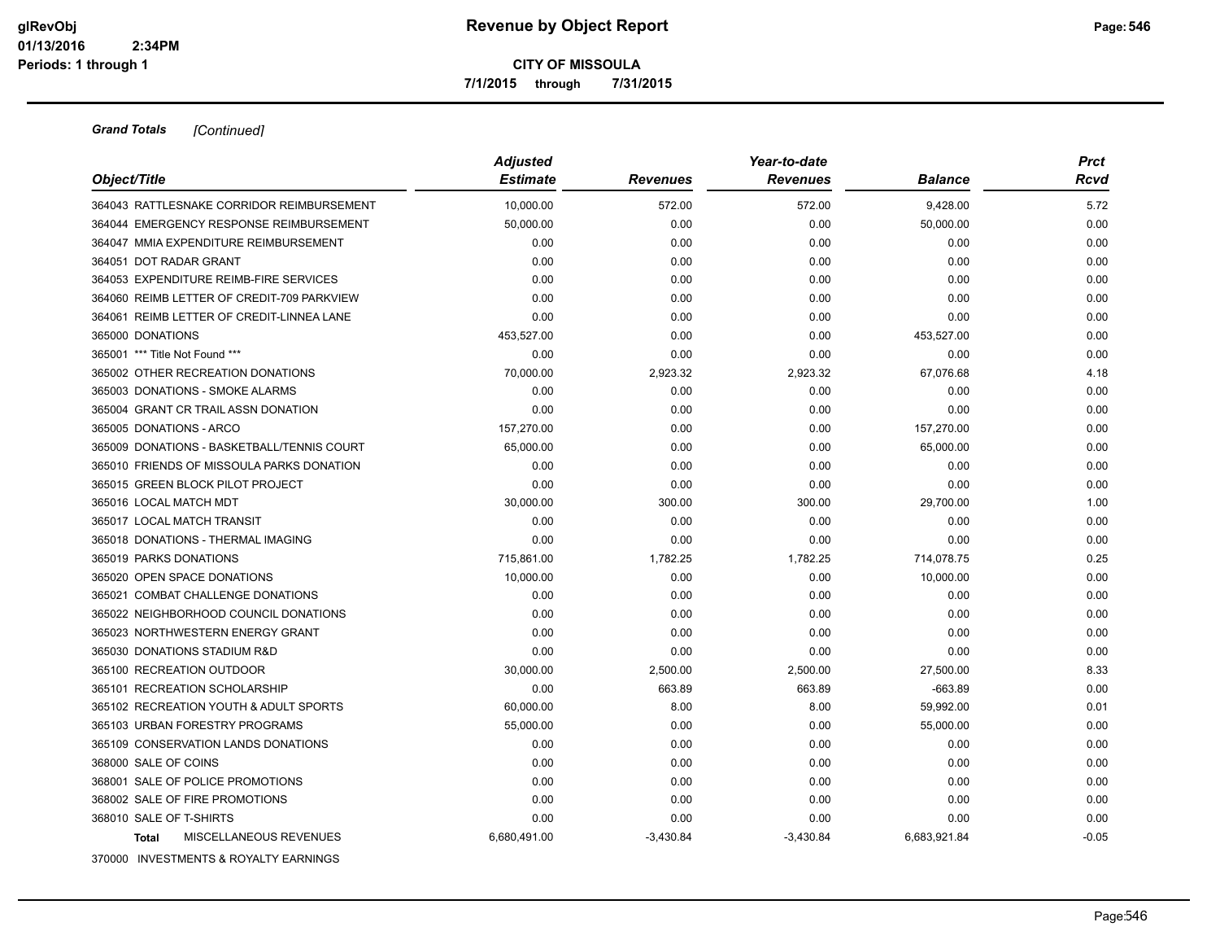**7/1/2015 through 7/31/2015**

|                                            | <b>Adjusted</b> | Year-to-date    |                 |                |         |  |
|--------------------------------------------|-----------------|-----------------|-----------------|----------------|---------|--|
| Object/Title                               | <b>Estimate</b> | <b>Revenues</b> | <b>Revenues</b> | <b>Balance</b> | Rcvd    |  |
| 364043 RATTLESNAKE CORRIDOR REIMBURSEMENT  | 10,000.00       | 572.00          | 572.00          | 9,428.00       | 5.72    |  |
| 364044 EMERGENCY RESPONSE REIMBURSEMENT    | 50,000.00       | 0.00            | 0.00            | 50,000.00      | 0.00    |  |
| 364047 MMIA EXPENDITURE REIMBURSEMENT      | 0.00            | 0.00            | 0.00            | 0.00           | 0.00    |  |
| 364051 DOT RADAR GRANT                     | 0.00            | 0.00            | 0.00            | 0.00           | 0.00    |  |
| 364053 EXPENDITURE REIMB-FIRE SERVICES     | 0.00            | 0.00            | 0.00            | 0.00           | 0.00    |  |
| 364060 REIMB LETTER OF CREDIT-709 PARKVIEW | 0.00            | 0.00            | 0.00            | 0.00           | 0.00    |  |
| 364061 REIMB LETTER OF CREDIT-LINNEA LANE  | 0.00            | 0.00            | 0.00            | 0.00           | 0.00    |  |
| 365000 DONATIONS                           | 453,527.00      | 0.00            | 0.00            | 453,527.00     | 0.00    |  |
| 365001 *** Title Not Found ***             | 0.00            | 0.00            | 0.00            | 0.00           | 0.00    |  |
| 365002 OTHER RECREATION DONATIONS          | 70,000.00       | 2,923.32        | 2,923.32        | 67,076.68      | 4.18    |  |
| 365003 DONATIONS - SMOKE ALARMS            | 0.00            | 0.00            | 0.00            | 0.00           | 0.00    |  |
| 365004 GRANT CR TRAIL ASSN DONATION        | 0.00            | 0.00            | 0.00            | 0.00           | 0.00    |  |
| 365005 DONATIONS - ARCO                    | 157,270.00      | 0.00            | 0.00            | 157,270.00     | 0.00    |  |
| 365009 DONATIONS - BASKETBALL/TENNIS COURT | 65,000.00       | 0.00            | 0.00            | 65,000.00      | 0.00    |  |
| 365010 FRIENDS OF MISSOULA PARKS DONATION  | 0.00            | 0.00            | 0.00            | 0.00           | 0.00    |  |
| 365015 GREEN BLOCK PILOT PROJECT           | 0.00            | 0.00            | 0.00            | 0.00           | 0.00    |  |
| 365016 LOCAL MATCH MDT                     | 30,000.00       | 300.00          | 300.00          | 29,700.00      | 1.00    |  |
| 365017 LOCAL MATCH TRANSIT                 | 0.00            | 0.00            | 0.00            | 0.00           | 0.00    |  |
| 365018 DONATIONS - THERMAL IMAGING         | 0.00            | 0.00            | 0.00            | 0.00           | 0.00    |  |
| 365019 PARKS DONATIONS                     | 715.861.00      | 1,782.25        | 1,782.25        | 714,078.75     | 0.25    |  |
| 365020 OPEN SPACE DONATIONS                | 10,000.00       | 0.00            | 0.00            | 10,000.00      | 0.00    |  |
| 365021 COMBAT CHALLENGE DONATIONS          | 0.00            | 0.00            | 0.00            | 0.00           | 0.00    |  |
| 365022 NEIGHBORHOOD COUNCIL DONATIONS      | 0.00            | 0.00            | 0.00            | 0.00           | 0.00    |  |
| 365023 NORTHWESTERN ENERGY GRANT           | 0.00            | 0.00            | 0.00            | 0.00           | 0.00    |  |
| 365030 DONATIONS STADIUM R&D               | 0.00            | 0.00            | 0.00            | 0.00           | 0.00    |  |
| 365100 RECREATION OUTDOOR                  | 30,000.00       | 2,500.00        | 2,500.00        | 27,500.00      | 8.33    |  |
| 365101 RECREATION SCHOLARSHIP              | 0.00            | 663.89          | 663.89          | $-663.89$      | 0.00    |  |
| 365102 RECREATION YOUTH & ADULT SPORTS     | 60,000.00       | 8.00            | 8.00            | 59,992.00      | 0.01    |  |
| 365103 URBAN FORESTRY PROGRAMS             | 55,000.00       | 0.00            | 0.00            | 55,000.00      | 0.00    |  |
| 365109 CONSERVATION LANDS DONATIONS        | 0.00            | 0.00            | 0.00            | 0.00           | 0.00    |  |
| 368000 SALE OF COINS                       | 0.00            | 0.00            | 0.00            | 0.00           | 0.00    |  |
| 368001 SALE OF POLICE PROMOTIONS           | 0.00            | 0.00            | 0.00            | 0.00           | 0.00    |  |
| 368002 SALE OF FIRE PROMOTIONS             | 0.00            | 0.00            | 0.00            | 0.00           | 0.00    |  |
| 368010 SALE OF T-SHIRTS                    | 0.00            | 0.00            | 0.00            | 0.00           | 0.00    |  |
| MISCELLANEOUS REVENUES<br><b>Total</b>     | 6,680,491.00    | $-3,430.84$     | $-3,430.84$     | 6,683,921.84   | $-0.05$ |  |
| 370000 INVESTMENTS & ROYALTY EARNINGS      |                 |                 |                 |                |         |  |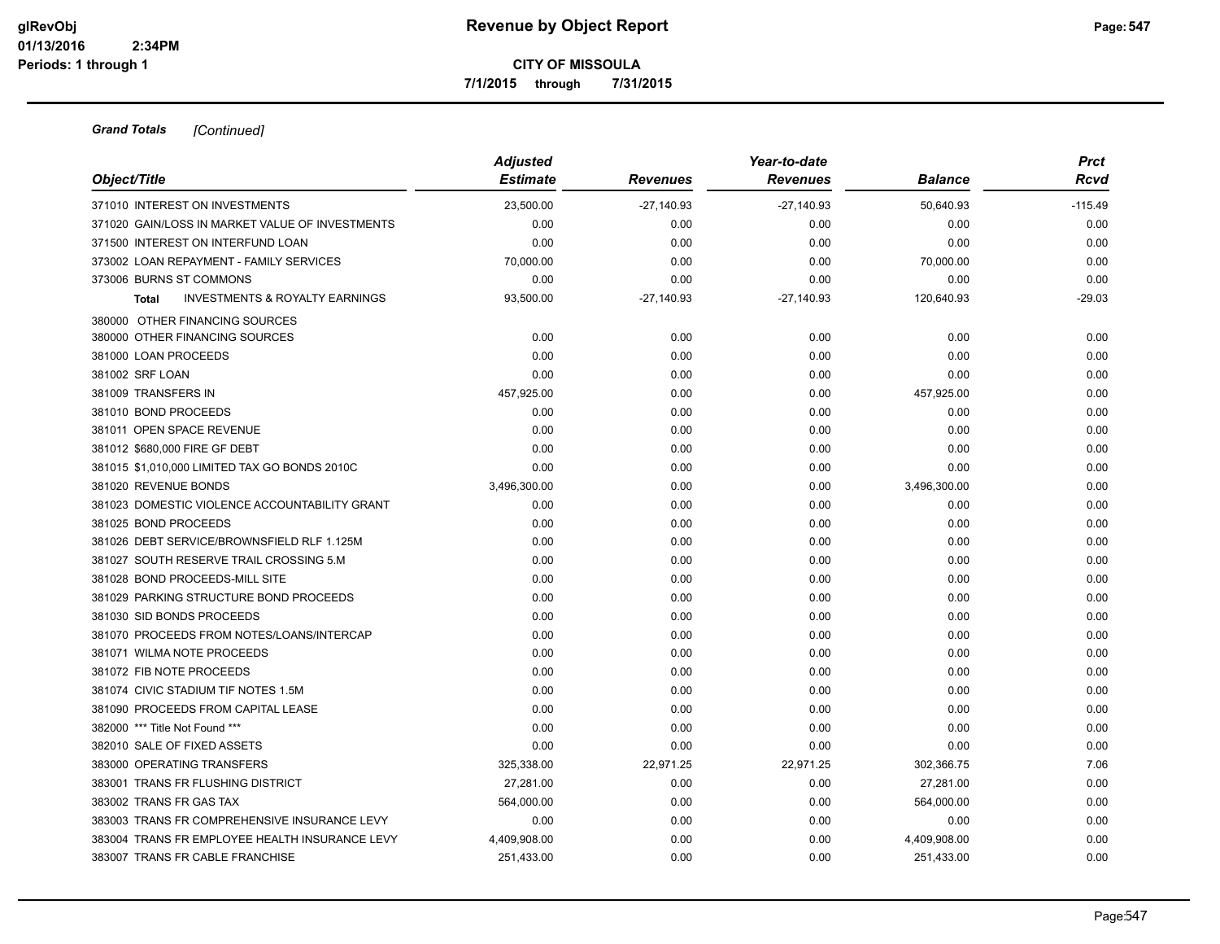**7/1/2015 through 7/31/2015**

|                                                           | <b>Adjusted</b> |              | Year-to-date    |                |           |  |
|-----------------------------------------------------------|-----------------|--------------|-----------------|----------------|-----------|--|
| Object/Title                                              | <b>Estimate</b> | Revenues     | <b>Revenues</b> | <b>Balance</b> | Rcvd      |  |
| 371010 INTEREST ON INVESTMENTS                            | 23,500.00       | $-27,140.93$ | $-27,140.93$    | 50,640.93      | $-115.49$ |  |
| 371020 GAIN/LOSS IN MARKET VALUE OF INVESTMENTS           | 0.00            | 0.00         | 0.00            | 0.00           | 0.00      |  |
| 371500 INTEREST ON INTERFUND LOAN                         | 0.00            | 0.00         | 0.00            | 0.00           | 0.00      |  |
| 373002 LOAN REPAYMENT - FAMILY SERVICES                   | 70,000.00       | 0.00         | 0.00            | 70,000.00      | 0.00      |  |
| 373006 BURNS ST COMMONS                                   | 0.00            | 0.00         | 0.00            | 0.00           | 0.00      |  |
| <b>INVESTMENTS &amp; ROYALTY EARNINGS</b><br><b>Total</b> | 93,500.00       | $-27,140.93$ | $-27,140.93$    | 120,640.93     | $-29.03$  |  |
| 380000 OTHER FINANCING SOURCES                            |                 |              |                 |                |           |  |
| 380000 OTHER FINANCING SOURCES                            | 0.00            | 0.00         | 0.00            | 0.00           | 0.00      |  |
| 381000 LOAN PROCEEDS                                      | 0.00            | 0.00         | 0.00            | 0.00           | 0.00      |  |
| 381002 SRF LOAN                                           | 0.00            | 0.00         | 0.00            | 0.00           | 0.00      |  |
| 381009 TRANSFERS IN                                       | 457,925.00      | 0.00         | 0.00            | 457,925.00     | 0.00      |  |
| 381010 BOND PROCEEDS                                      | 0.00            | 0.00         | 0.00            | 0.00           | 0.00      |  |
| 381011 OPEN SPACE REVENUE                                 | 0.00            | 0.00         | 0.00            | 0.00           | 0.00      |  |
| 381012 \$680,000 FIRE GF DEBT                             | 0.00            | 0.00         | 0.00            | 0.00           | 0.00      |  |
| 381015 \$1,010,000 LIMITED TAX GO BONDS 2010C             | 0.00            | 0.00         | 0.00            | 0.00           | 0.00      |  |
| 381020 REVENUE BONDS                                      | 3,496,300.00    | 0.00         | 0.00            | 3,496,300.00   | 0.00      |  |
| 381023 DOMESTIC VIOLENCE ACCOUNTABILITY GRANT             | 0.00            | 0.00         | 0.00            | 0.00           | 0.00      |  |
| 381025 BOND PROCEEDS                                      | 0.00            | 0.00         | 0.00            | 0.00           | 0.00      |  |
| 381026 DEBT SERVICE/BROWNSFIELD RLF 1.125M                | 0.00            | 0.00         | 0.00            | 0.00           | 0.00      |  |
| 381027 SOUTH RESERVE TRAIL CROSSING 5.M                   | 0.00            | 0.00         | 0.00            | 0.00           | 0.00      |  |
| 381028 BOND PROCEEDS-MILL SITE                            | 0.00            | 0.00         | 0.00            | 0.00           | 0.00      |  |
| 381029 PARKING STRUCTURE BOND PROCEEDS                    | 0.00            | 0.00         | 0.00            | 0.00           | 0.00      |  |
| 381030 SID BONDS PROCEEDS                                 | 0.00            | 0.00         | 0.00            | 0.00           | 0.00      |  |
| 381070 PROCEEDS FROM NOTES/LOANS/INTERCAP                 | 0.00            | 0.00         | 0.00            | 0.00           | 0.00      |  |
| 381071 WILMA NOTE PROCEEDS                                | 0.00            | 0.00         | 0.00            | 0.00           | 0.00      |  |
| 381072 FIB NOTE PROCEEDS                                  | 0.00            | 0.00         | 0.00            | 0.00           | 0.00      |  |
| 381074 CIVIC STADIUM TIF NOTES 1.5M                       | 0.00            | 0.00         | 0.00            | 0.00           | 0.00      |  |
| 381090 PROCEEDS FROM CAPITAL LEASE                        | 0.00            | 0.00         | 0.00            | 0.00           | 0.00      |  |
| 382000 *** Title Not Found ***                            | 0.00            | 0.00         | 0.00            | 0.00           | 0.00      |  |
| 382010 SALE OF FIXED ASSETS                               | 0.00            | 0.00         | 0.00            | 0.00           | 0.00      |  |
| 383000 OPERATING TRANSFERS                                | 325,338.00      | 22,971.25    | 22,971.25       | 302,366.75     | 7.06      |  |
| 383001 TRANS FR FLUSHING DISTRICT                         | 27,281.00       | 0.00         | 0.00            | 27,281.00      | 0.00      |  |
| 383002 TRANS FR GAS TAX                                   | 564,000.00      | 0.00         | 0.00            | 564,000.00     | 0.00      |  |
| 383003 TRANS FR COMPREHENSIVE INSURANCE LEVY              | 0.00            | 0.00         | 0.00            | 0.00           | 0.00      |  |
| 383004 TRANS FR EMPLOYEE HEALTH INSURANCE LEVY            | 4,409,908.00    | 0.00         | 0.00            | 4,409,908.00   | 0.00      |  |
| 383007 TRANS FR CABLE FRANCHISE                           | 251,433.00      | 0.00         | 0.00            | 251,433.00     | 0.00      |  |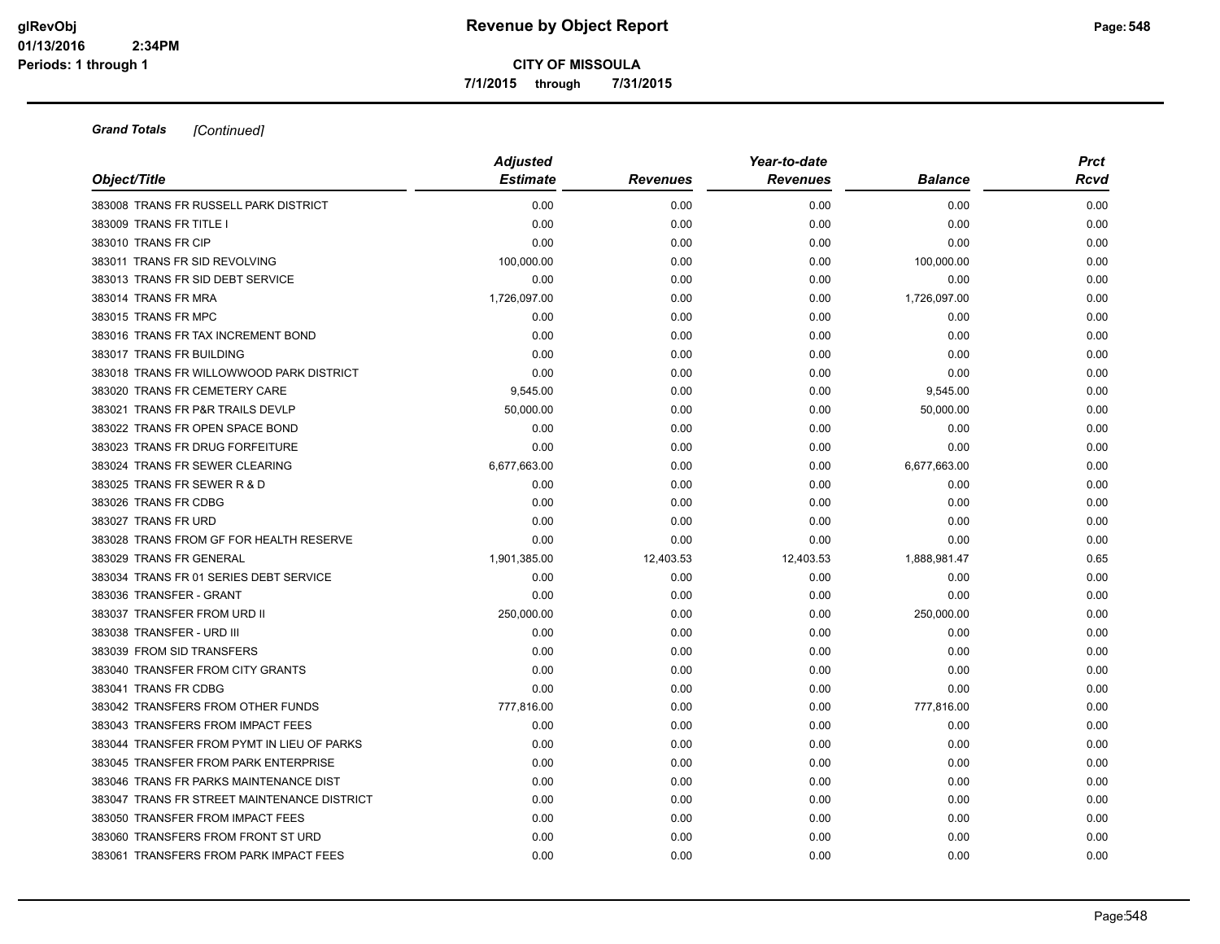**7/1/2015 through 7/31/2015**

|                                             | <b>Adjusted</b> |                 | <b>Prct</b>     |                |      |
|---------------------------------------------|-----------------|-----------------|-----------------|----------------|------|
| Object/Title                                | <b>Estimate</b> | <b>Revenues</b> | <b>Revenues</b> | <b>Balance</b> | Rcvd |
| 383008 TRANS FR RUSSELL PARK DISTRICT       | 0.00            | 0.00            | 0.00            | 0.00           | 0.00 |
| 383009 TRANS FR TITLE I                     | 0.00            | 0.00            | 0.00            | 0.00           | 0.00 |
| 383010 TRANS FR CIP                         | 0.00            | 0.00            | 0.00            | 0.00           | 0.00 |
| 383011 TRANS FR SID REVOLVING               | 100,000.00      | 0.00            | 0.00            | 100,000.00     | 0.00 |
| 383013 TRANS FR SID DEBT SERVICE            | 0.00            | 0.00            | 0.00            | 0.00           | 0.00 |
| 383014 TRANS FR MRA                         | 1,726,097.00    | 0.00            | 0.00            | 1,726,097.00   | 0.00 |
| 383015 TRANS FR MPC                         | 0.00            | 0.00            | 0.00            | 0.00           | 0.00 |
| 383016 TRANS FR TAX INCREMENT BOND          | 0.00            | 0.00            | 0.00            | 0.00           | 0.00 |
| 383017 TRANS FR BUILDING                    | 0.00            | 0.00            | 0.00            | 0.00           | 0.00 |
| 383018 TRANS FR WILLOWWOOD PARK DISTRICT    | 0.00            | 0.00            | 0.00            | 0.00           | 0.00 |
| 383020 TRANS FR CEMETERY CARE               | 9,545.00        | 0.00            | 0.00            | 9,545.00       | 0.00 |
| 383021 TRANS FR P&R TRAILS DEVLP            | 50,000.00       | 0.00            | 0.00            | 50,000.00      | 0.00 |
| 383022 TRANS FR OPEN SPACE BOND             | 0.00            | 0.00            | 0.00            | 0.00           | 0.00 |
| 383023 TRANS FR DRUG FORFEITURE             | 0.00            | 0.00            | 0.00            | 0.00           | 0.00 |
| 383024 TRANS FR SEWER CLEARING              | 6,677,663.00    | 0.00            | 0.00            | 6,677,663.00   | 0.00 |
| 383025 TRANS FR SEWER R & D                 | 0.00            | 0.00            | 0.00            | 0.00           | 0.00 |
| 383026 TRANS FR CDBG                        | 0.00            | 0.00            | 0.00            | 0.00           | 0.00 |
| 383027 TRANS FR URD                         | 0.00            | 0.00            | 0.00            | 0.00           | 0.00 |
| 383028 TRANS FROM GF FOR HEALTH RESERVE     | 0.00            | 0.00            | 0.00            | 0.00           | 0.00 |
| 383029 TRANS FR GENERAL                     | 1,901,385.00    | 12,403.53       | 12,403.53       | 1,888,981.47   | 0.65 |
| 383034 TRANS FR 01 SERIES DEBT SERVICE      | 0.00            | 0.00            | 0.00            | 0.00           | 0.00 |
| 383036 TRANSFER - GRANT                     | 0.00            | 0.00            | 0.00            | 0.00           | 0.00 |
| 383037 TRANSFER FROM URD II                 | 250,000.00      | 0.00            | 0.00            | 250,000.00     | 0.00 |
| 383038 TRANSFER - URD III                   | 0.00            | 0.00            | 0.00            | 0.00           | 0.00 |
| 383039 FROM SID TRANSFERS                   | 0.00            | 0.00            | 0.00            | 0.00           | 0.00 |
| 383040 TRANSFER FROM CITY GRANTS            | 0.00            | 0.00            | 0.00            | 0.00           | 0.00 |
| 383041 TRANS FR CDBG                        | 0.00            | 0.00            | 0.00            | 0.00           | 0.00 |
| 383042 TRANSFERS FROM OTHER FUNDS           | 777,816.00      | 0.00            | 0.00            | 777,816.00     | 0.00 |
| 383043 TRANSFERS FROM IMPACT FEES           | 0.00            | 0.00            | 0.00            | 0.00           | 0.00 |
| 383044 TRANSFER FROM PYMT IN LIEU OF PARKS  | 0.00            | 0.00            | 0.00            | 0.00           | 0.00 |
| 383045 TRANSFER FROM PARK ENTERPRISE        | 0.00            | 0.00            | 0.00            | 0.00           | 0.00 |
| 383046 TRANS FR PARKS MAINTENANCE DIST      | 0.00            | 0.00            | 0.00            | 0.00           | 0.00 |
| 383047 TRANS FR STREET MAINTENANCE DISTRICT | 0.00            | 0.00            | 0.00            | 0.00           | 0.00 |
| 383050 TRANSFER FROM IMPACT FEES            | 0.00            | 0.00            | 0.00            | 0.00           | 0.00 |
| 383060 TRANSFERS FROM FRONT ST URD          | 0.00            | 0.00            | 0.00            | 0.00           | 0.00 |
| 383061 TRANSFERS FROM PARK IMPACT FEES      | 0.00            | 0.00            | 0.00            | 0.00           | 0.00 |